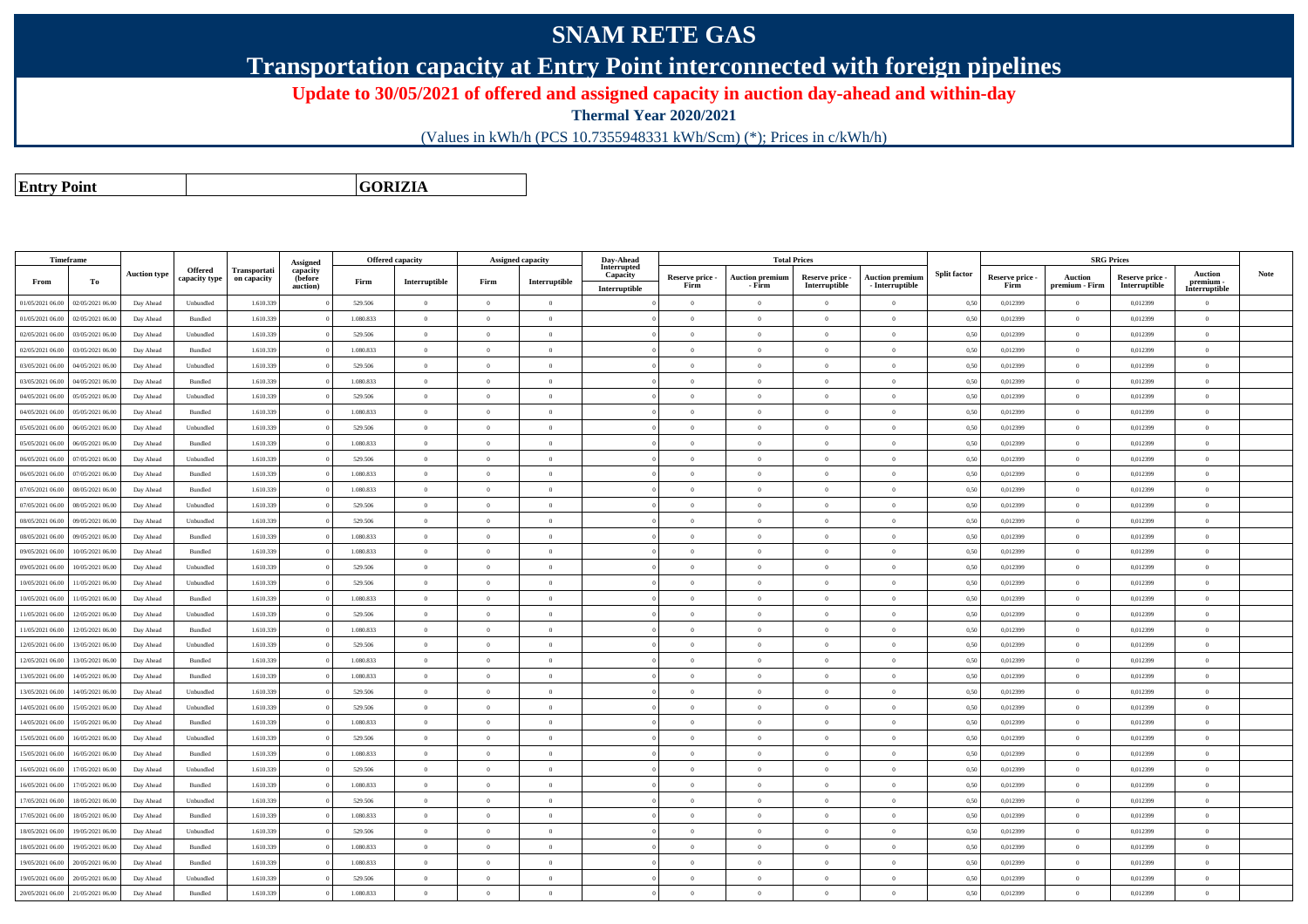## **SNAM RETE GAS**

**Transportation capacity at Entry Point interconnected with foreign pipelines**

**Update to 30/05/2021 of offered and assigned capacity in auction day-ahead and within-day**

**Thermal Year 2020/2021**

(Values in kWh/h (PCS 10.7355948331 kWh/Scm) (\*); Prices in c/kWh/h)

**Entry Point**

**GORIZIA**

| Timeframe        |                  |                     |                                 |                             | Assigned            |           | <b>Offered capacity</b> | Assigned capacity |                | Day-Ahead               |                 |                        | <b>Total Prices</b> |                        |                     |                 | <b>SRG Prices</b> |               |                            |             |
|------------------|------------------|---------------------|---------------------------------|-----------------------------|---------------------|-----------|-------------------------|-------------------|----------------|-------------------------|-----------------|------------------------|---------------------|------------------------|---------------------|-----------------|-------------------|---------------|----------------------------|-------------|
|                  |                  | <b>Auction type</b> | <b>Offered</b><br>capacity type | Transportati<br>on capacity | capacity<br>(before |           |                         |                   |                | Interrupted<br>Capacity | Reserve price - | <b>Auction premiun</b> | Reserve price -     | <b>Auction premiun</b> | <b>Split factor</b> | Reserve price - | <b>Auction</b>    | Reserve price | <b>Auction</b>             | <b>Note</b> |
| From             | To               |                     |                                 |                             | auction)            | Firm      | Interruptible           | Firm              | Interruptible  | Interruptible           | Firm            | - Firm                 | Interruptible       | $-$ Interruptible      |                     | Firm            | premium - Firm    | Interruptible | premium -<br>Interruptible |             |
| 01/05/2021 06:00 | 02/05/2021 06:00 | Day Ahead           | Unbundled                       | 1.610.33                    |                     | 529.506   | $\overline{0}$          | $\theta$          | $\overline{0}$ |                         | $\overline{0}$  | $\theta$               | $\Omega$            | $\overline{0}$         | 0,50                | 0,012399        | $\theta$          | 0,012399      | $\Omega$                   |             |
| 01/05/2021 06:00 | 02/05/2021 06:00 | Day Ahead           | Bundled                         | 1.610.339                   |                     | 1.080.833 | $\bf{0}$                | $\Omega$          | $\overline{0}$ |                         | $\overline{0}$  | $\overline{0}$         | $\bf{0}$            | $\,$ 0                 | 0,50                | 0,012399        | $\overline{0}$    | 0,012399      | $\overline{0}$             |             |
| 02/05/2021 06:00 | 03/05/2021 06.00 | Day Ahead           | Unbundled                       | 1.610.33                    |                     | 529.506   | $\overline{0}$          | $\Omega$          | $\theta$       |                         | $\theta$        | $\theta$               | $\theta$            | $\mathbf{0}$           | 0,50                | 0,012399        | $\overline{0}$    | 0,012399      | $\Omega$                   |             |
| 02/05/2021 06:00 | 03/05/2021 06:00 | Day Ahead           | Bundled                         | 1.610.339                   |                     | 1.080.833 | $\overline{0}$          | $\Omega$          | $\bf{0}$       |                         | $\bf{0}$        | $\theta$               | $\overline{0}$      | $\,0\,$                | 0,50                | 0,012399        | $\overline{0}$    | 0,012399      | $\mathbf{0}$               |             |
| 03/05/2021 06:00 | 04/05/2021 06.00 | Day Ahead           | Unbundled                       | 1.610.33                    |                     | 529.506   | $\overline{0}$          | $\Omega$          | $\theta$       |                         | $\theta$        | $\theta$               | $\theta$            | $\mathbf{0}$           | 0,50                | 0,012399        | $\overline{0}$    | 0,012399      | $\mathbf{0}$               |             |
| 03/05/2021 06:00 | 04/05/2021 06.00 | Day Ahead           | Bundled                         | 1.610.339                   |                     | 1.080.833 | $\overline{0}$          | $\Omega$          | $\theta$       |                         | $\theta$        | $\theta$               | $\overline{0}$      | $\overline{0}$         | 0,50                | 0,012399        | $\overline{0}$    | 0,012399      | $\Omega$                   |             |
| 04/05/2021 06:00 | 05/05/2021 06:00 | Day Ahead           | Unbundled                       | 1.610.33                    |                     | 529.506   | $\overline{0}$          | $\overline{0}$    | $\theta$       |                         | $\theta$        | $\theta$               | $\overline{0}$      | $\overline{0}$         | 0,50                | 0,012399        | $\overline{0}$    | 0,012399      | $\mathbf{0}$               |             |
| 04/05/2021 06:00 | 05/05/2021 06:00 | Day Ahead           | Bundled                         | 1.610.339                   |                     | 1.080.833 | $\overline{0}$          | $\Omega$          | $\Omega$       |                         | $\theta$        | $\theta$               | $\overline{0}$      | $\theta$               | 0,50                | 0,012399        | $\overline{0}$    | 0,012399      | $\Omega$                   |             |
| 05/05/2021 06:00 | 06/05/2021 06:00 | Day Ahead           | Unbundled                       | 1.610.339                   |                     | 529.506   | $\mathbf{0}$            | $\Omega$          | $\theta$       |                         | $\theta$        |                        | $\theta$            | $\theta$               | 0,50                | 0,012399        | $\overline{0}$    | 0,012399      | $\theta$                   |             |
| 05/05/2021 06:00 | 06/05/2021 06:00 | Day Ahead           | Bundled                         | 1.610.339                   |                     | 1.080.833 | $\overline{0}$          | $\Omega$          | $\theta$       |                         | $\theta$        | $\theta$               | $\overline{0}$      | $\overline{0}$         | 0,50                | 0,012399        | $\overline{0}$    | 0,012399      | $\theta$                   |             |
| 06/05/2021 06:00 | 07/05/2021 06.00 | Day Ahead           | Unbundled                       | 1.610.339                   |                     | 529.506   | $\mathbf{0}$            | $\Omega$          | $\theta$       |                         | $\theta$        | $\theta$               | $\overline{0}$      | $\mathbf{0}$           | 0,50                | 0,012399        | $\theta$          | 0,012399      | $\theta$                   |             |
| 06/05/2021 06:00 | 07/05/2021 06:00 | Day Ahead           | Bundled                         | 1.610.339                   |                     | 1.080.833 | $\overline{0}$          | $\Omega$          | $\Omega$       |                         | $\theta$        | $\theta$               | $\Omega$            | $\theta$               | 0,50                | 0,012399        | $\overline{0}$    | 0.012399      | $\theta$                   |             |
| 07/05/2021 06:00 | 08/05/2021 06:00 | Day Ahead           | Bundled                         | 1.610.339                   |                     | 1.080.833 | $\overline{0}$          | $\Omega$          | $\Omega$       |                         | $\Omega$        | $\theta$               | $\overline{0}$      | $\Omega$               | 0.50                | 0.012399        | $\overline{0}$    | 0.012399      | $\Omega$                   |             |
| 07/05/2021 06:00 | 08/05/2021 06:00 | Day Ahead           | $\label{thm:undl} Unbundle$     | 1.610.339                   |                     | 529.506   | $\overline{0}$          | $\Omega$          | $\Omega$       |                         | $\Omega$        | $\theta$               | $\Omega$            | $\theta$               | 0,50                | 0,012399        | $\overline{0}$    | 0,012399      | $\Omega$                   |             |
| 08/05/2021 06:00 | 09/05/2021 06:00 | Day Ahead           | $\label{thm:undl} Unbundle$     | 1.610.339                   |                     | 529.506   | $\overline{0}$          | $\Omega$          | $\Omega$       |                         | $\Omega$        | $\theta$               | $\overline{0}$      | $\overline{0}$         | 0.50                | 0.012399        | $\overline{0}$    | 0,012399      | $\Omega$                   |             |
| 08/05/2021 06:00 | 09/05/2021 06.00 | Day Ahead           | Bundled                         | 1.610.33                    |                     | 1.080.833 | $\,$ 0                  | $\overline{0}$    | $\theta$       |                         | $\theta$        | $\theta$               | $\overline{0}$      | $\,$ 0                 | 0,50                | 0,012399        | $\overline{0}$    | 0,012399      | $\mathbf{0}$               |             |
| 09/05/2021 06:00 | 10/05/2021 06:00 | Day Ahead           | <b>Bundled</b>                  | 1.610.339                   |                     | 1.080.833 | $\theta$                | $\Omega$          | $\Omega$       |                         | $\Omega$        | $\mathbf{a}$           | $\Omega$            | $\Omega$               | 0.50                | 0.012399        | $\overline{0}$    | 0.012399      | $\Omega$                   |             |
| 09/05/2021 06:00 | 10/05/2021 06:00 | Day Ahead           | Unbundled                       | 1.610.33                    |                     | 529.506   | $\,$ 0 $\,$             | $\Omega$          | $\theta$       |                         | $\theta$        | $\theta$               | $\sim$ 0            | $\mathbf{0}$           | 0,50                | 0,012399        | $\overline{0}$    | 0,012399      | $\Omega$                   |             |
| 10/05/2021 06:00 | 11/05/2021 06.00 | Day Ahead           | Unbundled                       | 1.610.339                   |                     | 529.506   | $\overline{0}$          | $\Omega$          | $\overline{0}$ |                         | $\theta$        | $\theta$               | $\overline{0}$      | $\overline{0}$         | 0,50                | 0,012399        | $\overline{0}$    | 0,012399      | $\mathbf{0}$               |             |
| 10/05/2021 06:00 | 1/05/2021 06.00  | Day Ahead           | Bundled                         | 1.610.33                    |                     | 1.080.833 | $\,$ 0                  | $\Omega$          | $\theta$       |                         | $\theta$        | $\theta$               | $\overline{0}$      | $\bf{0}$               | 0,50                | 0,012399        | $\overline{0}$    | 0,012399      | $\Omega$                   |             |
| 11/05/2021 06:00 | 12/05/2021 06:00 | Day Ahead           | Unbundled                       | 1.610.339                   |                     | 529.506   | $\overline{0}$          | $\Omega$          | $\theta$       |                         | $\theta$        | $\theta$               | $\overline{0}$      | $\mathbf{0}$           | 0,50                | 0,012399        | $\overline{0}$    | 0,012399      | $\mathbf{0}$               |             |
| 11/05/2021 06:00 | 12/05/2021 06:00 | Day Ahead           | Bundled                         | 1.610.33                    |                     | 1.080.833 | $\overline{0}$          | $\overline{0}$    | $\theta$       |                         | $\theta$        | $\theta$               | $\theta$            | $\mathbf{0}$           | 0,50                | 0,012399        | $\overline{0}$    | 0,012399      | $\mathbf{0}$               |             |
| 12/05/2021 06:00 | 13/05/2021 06.00 | Day Ahead           | Unbundled                       | 1.610.339                   |                     | 529.506   | $\overline{0}$          | $\overline{0}$    | $\overline{0}$ |                         | $\overline{0}$  | $\overline{0}$         | $\overline{0}$      | $\overline{0}$         | 0,50                | 0,012399        | $\overline{0}$    | 0,012399      | $\overline{0}$             |             |
| 12/05/2021 06:00 | 13/05/2021 06:00 | Day Ahead           | Bundled                         | 1.610.33                    |                     | 1.080.833 | $\overline{0}$          | $\Omega$          | $\Omega$       |                         | $\Omega$        | $\theta$               | $\overline{0}$      | $\theta$               | 0,50                | 0,012399        | $\overline{0}$    | 0,012399      | $\Omega$                   |             |
| 13/05/2021 06:00 | 14/05/2021 06.00 | Day Ahead           | Bundled                         | 1.610.339                   |                     | 1.080.833 | $\theta$                | $\theta$          | $\theta$       |                         | $\theta$        | $\theta$               | $\overline{0}$      | $\mathbf{0}$           | 0,50                | 0,012399        | $\overline{0}$    | 0,012399      | $\theta$                   |             |
| 13/05/2021 06:00 | 14/05/2021 06.00 | Day Ahead           | Unbundled                       | 1.610.33                    |                     | 529.506   | $\Omega$                | $\Omega$          | $\theta$       |                         | $\theta$        | $\theta$               | $\Omega$            | $\theta$               | 0,50                | 0,012399        | $\theta$          | 0,012399      | $\Omega$                   |             |
| 14/05/2021 06:00 | 15/05/2021 06:00 | Day Ahead           | Unbundled                       | 1.610.339                   |                     | 529.506   | $\theta$                | $\theta$          | $\theta$       |                         | $\theta$        | $\theta$               | $\overline{0}$      | $\mathbf{0}$           | 0,50                | 0,012399        | $\overline{0}$    | 0,012399      | $\mathbf{0}$               |             |
| 14/05/2021 06:00 | 15/05/2021 06:00 | Day Ahead           | Bundled                         | 1.610.339                   |                     | 1.080.833 | $\theta$                | $\Omega$          | $\theta$       |                         | $\theta$        | $\theta$               | $\theta$            | $\theta$               | 0.50                | 0.012399        | $\overline{0}$    | 0.012399      | $\Omega$                   |             |
| 15/05/2021 06:00 | 16/05/2021 06:00 | Day Ahead           | Unbundled                       | 1.610.339                   |                     | 529.506   | $\theta$                | $\Omega$          | $\theta$       |                         | $\theta$        | $\theta$               | $\overline{0}$      | $\overline{0}$         | 0,50                | 0,012399        | $\overline{0}$    | 0,012399      | $\theta$                   |             |
| 15/05/2021 06:00 | 16/05/2021 06:00 | Day Ahead           | Bundled                         | 1.610.339                   |                     | 1.080.833 | $\Omega$                | $\Omega$          | $\Omega$       |                         | $\theta$        | $\mathbf{a}$           | $\theta$            | $\theta$               | 0,50                | 0.012399        | $\overline{0}$    | 0.012399      | $\Omega$                   |             |
| 16/05/2021 06:00 | 17/05/2021 06.00 | Day Ahead           | Unbundled                       | 1.610.339                   |                     | 529.506   | $\,$ 0 $\,$             | $\theta$          | $\overline{0}$ |                         | $\overline{0}$  | $\theta$               | $\overline{0}$      | $\theta$               | 0,50                | 0,012399        | $\overline{0}$    | 0,012399      | $\overline{0}$             |             |
| 16/05/2021 06:00 | 17/05/2021 06.00 | Day Ahead           | Bundled                         | 1.610.339                   |                     | 1.080.833 | $\overline{0}$          | $\Omega$          | $\theta$       |                         | $\Omega$        | $\theta$               | $\overline{0}$      | $\overline{0}$         | 0,50                | 0.012399        | $\overline{0}$    | 0.012399      | $\theta$                   |             |
| 17/05/2021 06:00 | 18/05/2021 06:00 | Day Ahead           | Unbundled                       | 1.610.339                   |                     | 529.506   | $\theta$                | $\overline{0}$    | $\overline{0}$ |                         | $\overline{0}$  | $\theta$               | $\overline{0}$      | $\overline{0}$         | 0,50                | 0,012399        | $\overline{0}$    | 0,012399      | $\mathbf{0}$               |             |
| 17/05/2021 06:00 | 18/05/2021 06:00 | Day Ahead           | Bundled                         | 1.610.339                   |                     | 1.080.833 | $\overline{0}$          | $\Omega$          | $\theta$       |                         | $\theta$        | $\theta$               | $\Omega$            | $\theta$               | 0,50                | 0,012399        | $\overline{0}$    | 0,012399      | $\Omega$                   |             |
| 18/05/2021 06:00 | 19/05/2021 06:00 | Day Ahead           | Unbundled                       | 1.610.339                   |                     | 529.506   | $\theta$                | $\theta$          | $\theta$       |                         | $\theta$        | $\theta$               | $\overline{0}$      | $\theta$               | 0,50                | 0,012399        | $\overline{0}$    | 0,012399      | $\theta$                   |             |
| 18/05/2021 06:00 | 19/05/2021 06:00 | Day Ahead           | Bundled                         | 1.610.339                   |                     | 1.080.833 | $\,$ 0 $\,$             | $\Omega$          | $\overline{0}$ |                         | $\overline{0}$  | $\theta$               | $\bf{0}$            | $\overline{0}$         | 0,50                | 0,012399        | $\overline{0}$    | 0,012399      | $\overline{0}$             |             |
| 19/05/2021 06:00 | 20/05/2021 06.00 | Day Ahead           | Bundled                         | 1.610.33                    |                     | 1.080.833 | $\overline{0}$          | $\Omega$          | $\theta$       |                         | $\theta$        | $\mathbf{a}$           | $\overline{0}$      | $\mathbf{0}$           | 0,50                | 0,012399        | $\overline{0}$    | 0,012399      | $\Omega$                   |             |
| 19/05/2021 06:00 | 20/05/2021 06:00 | Day Ahead           | Unbundled                       | 1.610.339                   |                     | 529.506   | $\overline{0}$          | $\Omega$          | $\theta$       |                         | $\overline{0}$  | $\theta$               | $\bf{0}$            | $\overline{0}$         | 0.50                | 0,012399        | $\overline{0}$    | 0.012399      | $\overline{0}$             |             |
| 20/05/2021 06:00 | 21/05/2021 06.00 | Day Ahead           | Bundled                         | 1.610.339                   |                     | 1.080.833 | $\theta$                | $\Omega$          | $\Omega$       |                         | $\Omega$        |                        | $\Omega$            | $\Omega$               | 0,50                | 0,012399        | $\overline{0}$    | 0,012399      | $\Omega$                   |             |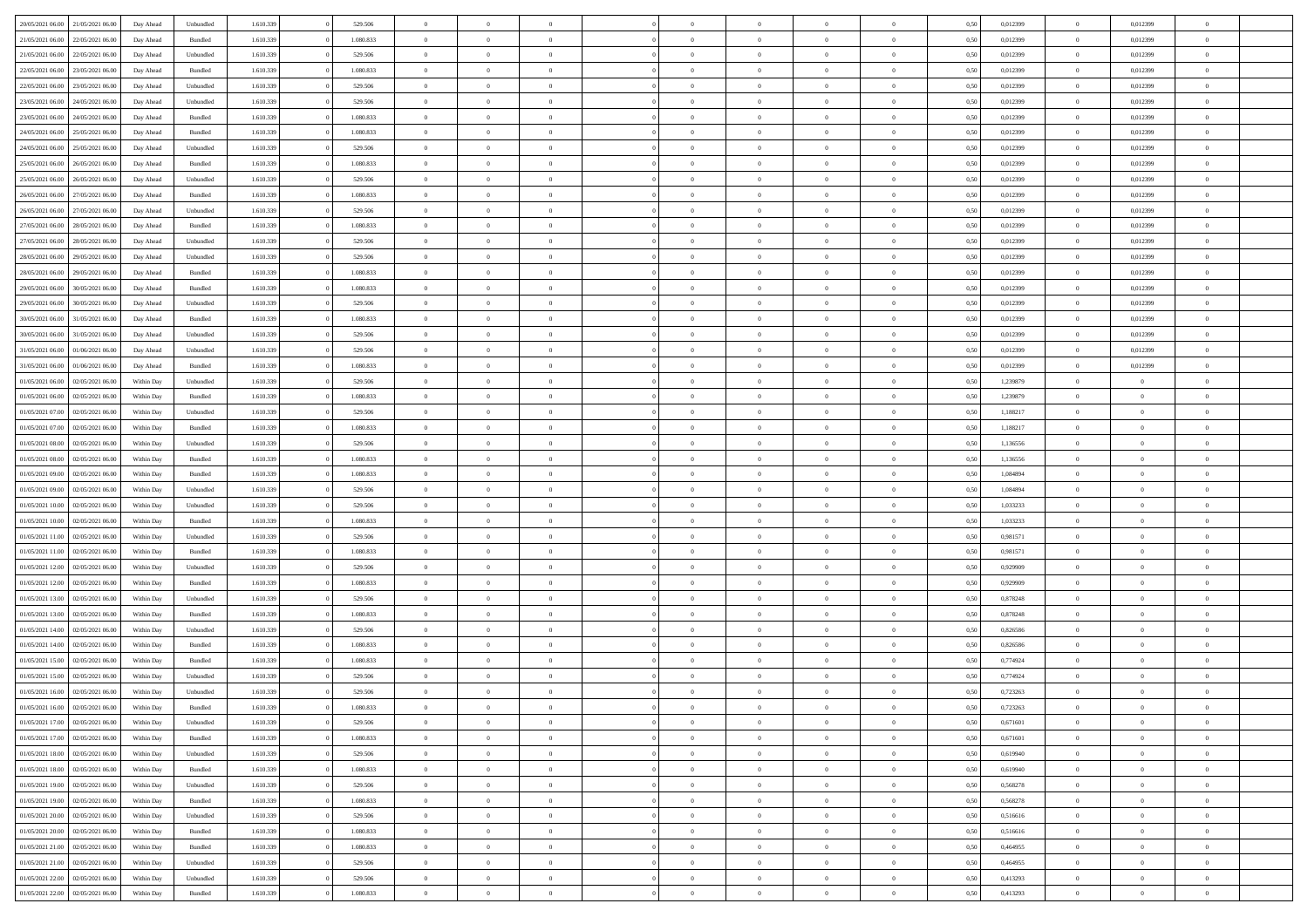| 20/05/2021 06:00 21/05/2021 06:00    | Day Ahead  | Unbundled | 1.610.339 | 529.506   | $\overline{0}$ | $\overline{0}$ | $\Omega$       | $\Omega$       | $\theta$       | $\Omega$       | $\overline{0}$ | 0,50 | 0,012399 | $\theta$       | 0,012399       | $\overline{0}$ |  |
|--------------------------------------|------------|-----------|-----------|-----------|----------------|----------------|----------------|----------------|----------------|----------------|----------------|------|----------|----------------|----------------|----------------|--|
| 21/05/2021 06:00<br>22/05/2021 06:00 | Day Ahead  | Bundled   | 1.610.339 | 1.080.833 | $\overline{0}$ | $\overline{0}$ | $\overline{0}$ | $\overline{0}$ | $\theta$       | $\overline{0}$ | $\bf{0}$       | 0,50 | 0,012399 | $\theta$       | 0,012399       | $\overline{0}$ |  |
| 21/05/2021 06:00<br>22/05/2021 06:00 | Day Ahead  | Unbundled | 1.610.339 | 529.506   | $\overline{0}$ | $\bf{0}$       | $\overline{0}$ | $\overline{0}$ | $\overline{0}$ | $\overline{0}$ | $\bf{0}$       | 0,50 | 0,012399 | $\overline{0}$ | 0,012399       | $\overline{0}$ |  |
| 22/05/2021 06:00<br>23/05/2021 06:00 | Day Ahead  | Bundled   | 1.610.339 | 1.080.833 | $\overline{0}$ | $\overline{0}$ | $\overline{0}$ | $\overline{0}$ | $\theta$       | $\overline{0}$ | $\overline{0}$ | 0.50 | 0.012399 | $\theta$       | 0.012399       | $\overline{0}$ |  |
| 22/05/2021 06:00<br>23/05/2021 06:00 | Day Ahead  | Unbundled | 1.610.339 | 529.506   | $\overline{0}$ | $\overline{0}$ | $\overline{0}$ | $\overline{0}$ | $\theta$       | $\overline{0}$ | $\bf{0}$       | 0,50 | 0,012399 | $\theta$       | 0,012399       | $\overline{0}$ |  |
| 23/05/2021 06:00<br>24/05/2021 06.00 | Day Ahead  | Unbundled | 1.610.339 | 529.506   | $\overline{0}$ | $\bf{0}$       | $\overline{0}$ | $\overline{0}$ | $\overline{0}$ | $\overline{0}$ | $\bf{0}$       | 0,50 | 0,012399 | $\bf{0}$       | 0,012399       | $\bf{0}$       |  |
| 23/05/2021 06:00<br>24/05/2021 06:00 | Day Ahead  | Bundled   | 1.610.339 | 1.080.833 | $\overline{0}$ | $\overline{0}$ | $\overline{0}$ | $\overline{0}$ | $\overline{0}$ | $\overline{0}$ | $\overline{0}$ | 0.5( | 0,012399 | $\overline{0}$ | 0.012399       | $\overline{0}$ |  |
| 24/05/2021 06:00<br>25/05/2021 06:00 | Day Ahead  | Bundled   | 1.610.339 | 1.080.833 | $\overline{0}$ | $\theta$       | $\overline{0}$ | $\overline{0}$ | $\theta$       | $\overline{0}$ | $\bf{0}$       | 0,50 | 0,012399 | $\theta$       | 0,012399       | $\overline{0}$ |  |
|                                      |            |           |           |           |                |                |                |                |                |                |                |      |          |                |                |                |  |
| 24/05/2021 06:00<br>25/05/2021 06.00 | Day Ahead  | Unbundled | 1.610.339 | 529.506   | $\overline{0}$ | $\bf{0}$       | $\overline{0}$ | $\overline{0}$ | $\overline{0}$ | $\overline{0}$ | $\bf{0}$       | 0,50 | 0,012399 | $\bf{0}$       | 0,012399       | $\overline{0}$ |  |
| 25/05/2021 06:00<br>26/05/2021 06:00 | Day Ahead  | Bundled   | 1.610.339 | 1.080.833 | $\overline{0}$ | $\overline{0}$ | $\overline{0}$ | $\overline{0}$ | $\overline{0}$ | $\overline{0}$ | $\overline{0}$ | 0.5( | 0,012399 | $\overline{0}$ | 0,012399       | $\overline{0}$ |  |
| 25/05/2021 06:00<br>26/05/2021 06:00 | Day Ahead  | Unbundled | 1.610.339 | 529.506   | $\overline{0}$ | $\overline{0}$ | $\overline{0}$ | $\overline{0}$ | $\theta$       | $\overline{0}$ | $\bf{0}$       | 0,50 | 0,012399 | $\theta$       | 0,012399       | $\overline{0}$ |  |
| 26/05/2021 06:00<br>27/05/2021 06:00 | Day Ahead  | Bundled   | 1.610.339 | 1.080.833 | $\overline{0}$ | $\bf{0}$       | $\overline{0}$ | $\overline{0}$ | $\bf{0}$       | $\overline{0}$ | $\bf{0}$       | 0,50 | 0,012399 | $\bf{0}$       | 0,012399       | $\overline{0}$ |  |
| 26/05/2021 06:00<br>27/05/2021 06:00 | Day Ahead  | Unbundled | 1.610.339 | 529,506   | $\overline{0}$ | $\overline{0}$ | $\overline{0}$ | $\overline{0}$ | $\overline{0}$ | $\overline{0}$ | $\overline{0}$ | 0.5( | 0.012399 | $\theta$       | 0.012399       | $\overline{0}$ |  |
| 27/05/2021 06:00<br>28/05/2021 06:00 | Day Ahead  | Bundled   | 1.610.339 | 1.080.833 | $\overline{0}$ | $\theta$       | $\overline{0}$ | $\overline{0}$ | $\theta$       | $\overline{0}$ | $\bf{0}$       | 0,50 | 0,012399 | $\,$ 0 $\,$    | 0,012399       | $\overline{0}$ |  |
| 27/05/2021 06:00<br>28/05/2021 06:00 | Day Ahead  | Unbundled | 1.610.339 | 529.506   | $\overline{0}$ | $\bf{0}$       | $\overline{0}$ | $\overline{0}$ | $\overline{0}$ | $\overline{0}$ | $\bf{0}$       | 0,50 | 0,012399 | $\bf{0}$       | 0,012399       | $\bf{0}$       |  |
| 28/05/2021 06:00<br>29/05/2021 06:00 | Day Ahead  | Unbundled | 1.610.339 | 529,506   | $\overline{0}$ | $\overline{0}$ | $\overline{0}$ | $\overline{0}$ | $\overline{0}$ | $\overline{0}$ | $\overline{0}$ | 0.5( | 0,012399 | $\overline{0}$ | 0.012399       | $\overline{0}$ |  |
| 28/05/2021 06:00<br>29/05/2021 06:00 | Day Ahead  | Bundled   | 1.610.339 | 1.080.833 | $\overline{0}$ | $\overline{0}$ | $\overline{0}$ | $\overline{0}$ | $\theta$       | $\overline{0}$ | $\bf{0}$       | 0,50 | 0,012399 | $\theta$       | 0,012399       | $\overline{0}$ |  |
| 29/05/2021 06:00<br>30/05/2021 06:00 | Day Ahead  | Bundled   | 1.610.339 | 1.080.833 | $\overline{0}$ | $\bf{0}$       | $\overline{0}$ | $\overline{0}$ | $\overline{0}$ | $\overline{0}$ | $\bf{0}$       | 0,50 | 0,012399 | $\bf{0}$       | 0,012399       | $\overline{0}$ |  |
| 29/05/2021 06:00<br>30/05/2021 06:00 | Day Ahead  | Unbundled | 1.610.339 | 529.506   | $\overline{0}$ | $\overline{0}$ | $\overline{0}$ | $\overline{0}$ | $\overline{0}$ | $\overline{0}$ | $\overline{0}$ | 0.5( | 0,012399 | $\theta$       | 0.012399       | $\overline{0}$ |  |
| 30/05/2021 06:00<br>31/05/2021 06:00 | Day Ahead  | Bundled   | 1.610.339 | 1.080.833 | $\overline{0}$ | $\overline{0}$ | $\overline{0}$ | $\overline{0}$ | $\theta$       | $\overline{0}$ | $\bf{0}$       | 0,50 | 0,012399 | $\,$ 0 $\,$    | 0,012399       | $\overline{0}$ |  |
| 30/05/2021 06:00<br>31/05/2021 06.00 | Day Ahead  | Unbundled | 1.610.339 | 529.506   | $\overline{0}$ | $\bf{0}$       | $\overline{0}$ | $\overline{0}$ | $\overline{0}$ | $\overline{0}$ | $\bf{0}$       | 0,50 | 0,012399 | $\bf{0}$       | 0,012399       | $\overline{0}$ |  |
| 31/05/2021 06:00<br>01/06/2021 06:00 | Day Ahead  | Unbundled | 1.610.339 | 529,506   | $\overline{0}$ | $\overline{0}$ | $\overline{0}$ | $\overline{0}$ | $\overline{0}$ | $\overline{0}$ | $\overline{0}$ | 0.5( | 0.012399 | $\overline{0}$ | 0.012399       | $\overline{0}$ |  |
| 31/05/2021 06:00<br>01/06/2021 06:00 | Day Ahead  | Bundled   | 1.610.339 | 1.080.833 | $\overline{0}$ | $\overline{0}$ | $\overline{0}$ | $\overline{0}$ | $\theta$       | $\overline{0}$ | $\bf{0}$       | 0,50 | 0,012399 | $\theta$       | 0,012399       | $\overline{0}$ |  |
| 01/05/2021 06:00<br>02/05/2021 06:00 | Within Day | Unbundled | 1.610.339 | 529.506   | $\overline{0}$ | $\bf{0}$       | $\overline{0}$ | $\overline{0}$ | $\overline{0}$ | $\overline{0}$ | $\bf{0}$       | 0,50 | 1,239879 | $\bf{0}$       | $\overline{0}$ | $\bf{0}$       |  |
| 01/05/2021 06:00<br>02/05/2021 06:00 | Within Day | Bundled   | 1.610.339 | 1.080.833 | $\overline{0}$ | $\overline{0}$ | $\overline{0}$ | $\overline{0}$ | $\overline{0}$ | $\overline{0}$ | $\overline{0}$ | 0.5( | 1,239879 | $\overline{0}$ | $\theta$       | $\overline{0}$ |  |
| 01/05/2021 07:00<br>02/05/2021 06:00 | Within Day | Unbundled | 1.610.339 | 529.506   | $\overline{0}$ | $\overline{0}$ | $\overline{0}$ | $\overline{0}$ | $\theta$       | $\overline{0}$ | $\bf{0}$       | 0,50 | 1,188217 | $\theta$       | $\theta$       | $\overline{0}$ |  |
| 01/05/2021 07:00<br>02/05/2021 06:00 | Within Day | Bundled   | 1.610.339 | 1.080.833 | $\overline{0}$ | $\bf{0}$       | $\overline{0}$ | $\overline{0}$ | $\overline{0}$ | $\overline{0}$ | $\bf{0}$       | 0,50 | 1,188217 | $\bf{0}$       | $\bf{0}$       | $\overline{0}$ |  |
| 01/05/2021 08:00<br>02/05/2021 06:00 | Within Day | Unbundled | 1.610.339 | 529.506   | $\overline{0}$ | $\overline{0}$ | $\overline{0}$ | $\overline{0}$ | $\overline{0}$ | $\overline{0}$ | $\overline{0}$ | 0.5( | 1,136556 | $\theta$       | $\theta$       | $\overline{0}$ |  |
| 01/05/2021 08:00<br>02/05/2021 06:00 | Within Day | Bundled   | 1.610.339 | 1.080.833 | $\bf{0}$       | $\overline{0}$ | $\overline{0}$ | $\overline{0}$ | $\theta$       | $\overline{0}$ | $\bf{0}$       | 0,50 | 1,136556 | $\theta$       | $\theta$       | $\overline{0}$ |  |
| 01/05/2021 09:00<br>02/05/2021 06:00 | Within Day | Bundled   | 1.610.339 | 1.080.833 | $\overline{0}$ | $\bf{0}$       | $\overline{0}$ | $\overline{0}$ | $\bf{0}$       | $\overline{0}$ | $\bf{0}$       | 0,50 | 1,084894 | $\bf{0}$       | $\overline{0}$ | $\overline{0}$ |  |
| 01/05/2021 09:00<br>02/05/2021 06.00 | Within Day | Unbundled | 1.610.339 | 529.506   | $\overline{0}$ | $\overline{0}$ | $\Omega$       | $\Omega$       | $\Omega$       | $\theta$       | $\overline{0}$ | 0.50 | 1.084894 | $\,$ 0 $\,$    | $\Omega$       | $\theta$       |  |
| 01/05/2021 10:00<br>02/05/2021 06:00 | Within Day | Unbundled | 1.610.339 | 529.506   | $\overline{0}$ | $\overline{0}$ | $\overline{0}$ | $\overline{0}$ | $\theta$       | $\overline{0}$ | $\bf{0}$       | 0,50 | 1,033233 | $\theta$       | $\theta$       | $\overline{0}$ |  |
| 01/05/2021 10:00<br>02/05/2021 06:00 | Within Day | Bundled   | 1.610.339 | 1.080.833 | $\overline{0}$ | $\bf{0}$       | $\overline{0}$ | $\overline{0}$ | $\bf{0}$       | $\overline{0}$ | $\bf{0}$       | 0,50 | 1,033233 | $\bf{0}$       | $\overline{0}$ | $\bf{0}$       |  |
| 01/05/2021 11:00<br>02/05/2021 06.00 |            | Unbundled | 1.610.339 | 529.506   | $\overline{0}$ | $\overline{0}$ | $\Omega$       | $\Omega$       | $\overline{0}$ | $\theta$       | $\overline{0}$ | 0.50 | 0.981571 | $\theta$       | $\Omega$       | $\theta$       |  |
| 01/05/2021 11:00<br>02/05/2021 06:00 | Within Day |           | 1.610.339 | 1.080.833 | $\bf{0}$       | $\overline{0}$ | $\overline{0}$ | $\overline{0}$ | $\theta$       | $\overline{0}$ |                |      | 0,981571 | $\theta$       | $\theta$       | $\overline{0}$ |  |
|                                      | Within Day | Bundled   |           |           |                |                |                |                |                |                | $\bf{0}$       | 0,50 |          |                |                |                |  |
| 01/05/2021 12:00<br>02/05/2021 06:00 | Within Day | Unbundled | 1.610.339 | 529.506   | $\overline{0}$ | $\bf{0}$       | $\overline{0}$ | $\overline{0}$ | $\overline{0}$ | $\overline{0}$ | $\bf{0}$       | 0,50 | 0,929909 | $\bf{0}$       | $\bf{0}$       | $\overline{0}$ |  |
| 01/05/2021 12:00<br>02/05/2021 06.00 | Within Day | Bundled   | 1.610.339 | 1.080.833 | $\overline{0}$ | $\theta$       | $\Omega$       | $\Omega$       | $\Omega$       | $\Omega$       | $\overline{0}$ | 0.50 | 0,929909 | $\theta$       | $\Omega$       | $\theta$       |  |
| 01/05/2021 13:00<br>02/05/2021 06:00 | Within Day | Unbundled | 1.610.339 | 529.506   | $\bf{0}$       | $\overline{0}$ | $\overline{0}$ | $\overline{0}$ | $\theta$       | $\overline{0}$ | $\bf{0}$       | 0,50 | 0,878248 | $\theta$       | $\theta$       | $\overline{0}$ |  |
| 01/05/2021 13:00<br>02/05/2021 06:00 | Within Day | Bundled   | 1.610.339 | 1.080.833 | $\overline{0}$ | $\bf{0}$       | $\overline{0}$ | $\overline{0}$ | $\overline{0}$ | $\overline{0}$ | $\bf{0}$       | 0,50 | 0,878248 | $\bf{0}$       | $\overline{0}$ | $\overline{0}$ |  |
| 01/05/2021 14:00<br>02/05/2021 06.00 | Within Day | Unbundled | 1.610.339 | 529.506   | $\overline{0}$ | $\overline{0}$ | $\Omega$       | $\Omega$       | $\theta$       | $\theta$       | $\overline{0}$ | 0.50 | 0,826586 | $\,$ 0 $\,$    | $\Omega$       | $\theta$       |  |
| 01/05/2021 14:00<br>02/05/2021 06:00 | Within Day | Bundled   | 1.610.339 | 1.080.833 | $\bf{0}$       | $\overline{0}$ | $\overline{0}$ | $\overline{0}$ | $\theta$       | $\overline{0}$ | $\bf{0}$       | 0,50 | 0,826586 | $\theta$       | $\theta$       | $\overline{0}$ |  |
| 01/05/2021 15:00<br>02/05/2021 06:00 | Within Day | Bundled   | 1.610.339 | 1.080.833 | $\overline{0}$ | $\bf{0}$       | $\overline{0}$ | $\overline{0}$ | $\overline{0}$ | $\overline{0}$ | $\bf{0}$       | 0,50 | 0,774924 | $\overline{0}$ | $\overline{0}$ | $\bf{0}$       |  |
| 01/05/2021 15:00<br>02/05/2021 06.00 | Within Day | Unbundled | 1.610.339 | 529.506   | $\overline{0}$ | $\Omega$       | $\Omega$       | $\Omega$       | $\Omega$       | $\theta$       | $\overline{0}$ | 0.50 | 0,774924 | $\theta$       | $\Omega$       | $\theta$       |  |
| 01/05/2021 16:00<br>02/05/2021 06:00 | Within Day | Unbundled | 1.610.339 | 529.506   | $\overline{0}$ | $\bf{0}$       | $\overline{0}$ | $\overline{0}$ | $\bf{0}$       | $\overline{0}$ | $\bf{0}$       | 0,50 | 0,723263 | $\bf{0}$       | $\bf{0}$       | $\overline{0}$ |  |
| 01/05/2021 16:00 02/05/2021 06:00    | Within Day | Bundled   | 1.610.339 | 1.080.833 |                |                |                |                |                |                |                | 0,50 | 0,723263 | $\bf{0}$       | $\bf{0}$       |                |  |
| 01/05/2021 17:00 02/05/2021 06:00    | Within Day | Unbundled | 1.610.339 | 529.506   | $\Omega$       | $\overline{0}$ | $\Omega$       | $\theta$       | $\overline{0}$ | $\theta$       | $\overline{0}$ | 0.50 | 0.671601 | $\theta$       | $\theta$       | $\theta$       |  |
| 01/05/2021 17:00<br>02/05/2021 06:00 | Within Day | Bundled   | 1.610.339 | 1.080.833 | $\overline{0}$ | $\overline{0}$ | $\overline{0}$ | $\overline{0}$ | $\,$ 0 $\,$    | $\overline{0}$ | $\,$ 0 $\,$    | 0,50 | 0,671601 | $\,$ 0 $\,$    | $\,$ 0 $\,$    | $\,$ 0         |  |
| 01/05/2021 18:00 02/05/2021 06:00    | Within Day | Unbundled | 1.610.339 | 529.506   | $\overline{0}$ | $\overline{0}$ | $\overline{0}$ | $\overline{0}$ | $\overline{0}$ | $\overline{0}$ | $\bf{0}$       | 0,50 | 0,619940 | $\overline{0}$ | $\bf{0}$       | $\overline{0}$ |  |
| 01/05/2021 18:00<br>02/05/2021 06:00 | Within Day | Bundled   | 1.610.339 | 1.080.833 | $\overline{0}$ | $\bf{0}$       | $\overline{0}$ | $\overline{0}$ | $\overline{0}$ | $\overline{0}$ | $\bf{0}$       | 0,50 | 0,619940 | $\bf{0}$       | $\theta$       | $\overline{0}$ |  |
| 01/05/2021 19:00<br>02/05/2021 06:00 | Within Day | Unbundled | 1.610.339 | 529.506   | $\overline{0}$ | $\overline{0}$ | $\overline{0}$ | $\overline{0}$ | $\overline{0}$ | $\overline{0}$ | $\bf{0}$       | 0,50 | 0,568278 | $\,$ 0 $\,$    | $\,$ 0 $\,$    | $\overline{0}$ |  |
| 01/05/2021 19:00 02/05/2021 06:00    | Within Day | Bundled   | 1.610.339 | 1.080.833 | $\overline{0}$ | $\overline{0}$ | $\overline{0}$ | $\overline{0}$ | $\bf{0}$       | $\overline{0}$ | $\bf{0}$       | 0,50 | 0,568278 | $\overline{0}$ | $\overline{0}$ | $\overline{0}$ |  |
| 01/05/2021 20:00<br>02/05/2021 06:00 | Within Day | Unbundled | 1.610.339 | 529.506   | $\overline{0}$ | $\bf{0}$       | $\overline{0}$ | $\overline{0}$ | $\overline{0}$ | $\overline{0}$ | $\bf{0}$       | 0.50 | 0,516616 | $\overline{0}$ | $\theta$       | $\overline{0}$ |  |
| 01/05/2021 20:00<br>02/05/2021 06:00 | Within Day | Bundled   | 1.610.339 | 1.080.833 | $\overline{0}$ | $\overline{0}$ | $\overline{0}$ | $\overline{0}$ | $\overline{0}$ | $\overline{0}$ | $\bf{0}$       | 0,50 | 0,516616 | $\,$ 0 $\,$    | $\bf{0}$       | $\overline{0}$ |  |
| 01/05/2021 21:00 02/05/2021 06:00    | Within Day | Bundled   | 1.610.339 | 1.080.833 | $\overline{0}$ | $\bf{0}$       | $\overline{0}$ | $\overline{0}$ | $\overline{0}$ | $\overline{0}$ | $\bf{0}$       | 0,50 | 0,464955 | $\overline{0}$ | $\overline{0}$ | $\bf{0}$       |  |
| 01/05/2021 21:00<br>02/05/2021 06:00 | Within Day | Unbundled | 1.610.339 | 529.506   | $\overline{0}$ | $\overline{0}$ | $\overline{0}$ | $\overline{0}$ | $\overline{0}$ | $\overline{0}$ | $\bf{0}$       | 0.50 | 0.464955 | $\overline{0}$ | $\theta$       | $\overline{0}$ |  |
| 01/05/2021 22:00<br>02/05/2021 06:00 | Within Day | Unbundled | 1.610.339 | 529.506   | $\overline{0}$ | $\,$ 0         | $\overline{0}$ | $\overline{0}$ | $\bf{0}$       | $\overline{0}$ | $\bf{0}$       | 0,50 | 0,413293 | $\,$ 0 $\,$    | $\,$ 0 $\,$    | $\bf{0}$       |  |
| 01/05/2021 22:00 02/05/2021 06:00    | Within Day | Bundled   | 1.610.339 | 1.080.833 | $\overline{0}$ | $\bf{0}$       | $\overline{0}$ | $\overline{0}$ | $\overline{0}$ | $\overline{0}$ | $\bf{0}$       | 0,50 | 0,413293 | $\overline{0}$ | $\bf{0}$       | $\overline{0}$ |  |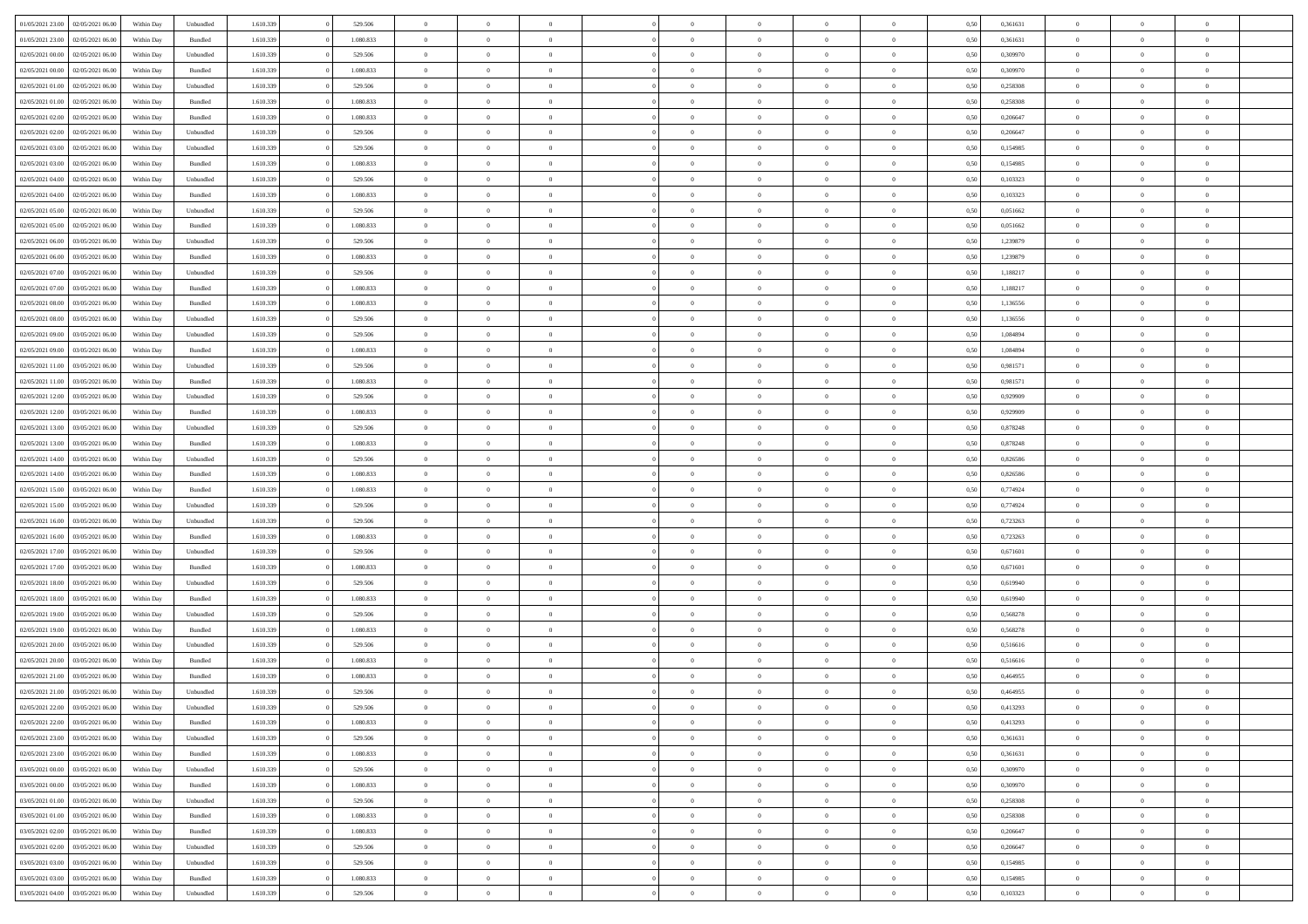|                  |                  |            |           |           |           | $\overline{0}$ | $\Omega$       |                |                | $\Omega$       | $\theta$       | $\theta$       |      |          | $\theta$       |                | $\theta$       |  |
|------------------|------------------|------------|-----------|-----------|-----------|----------------|----------------|----------------|----------------|----------------|----------------|----------------|------|----------|----------------|----------------|----------------|--|
| 01/05/2021 23:00 | 02/05/2021 06:00 | Within Dav | Unbundled | 1.610.339 | 529.506   |                |                |                | $\Omega$       |                |                |                | 0.50 | 0,361631 |                | $\theta$       |                |  |
| 01/05/2021 23:00 | 02/05/2021 06:00 | Within Day | Bundled   | 1.610.339 | 1.080.833 | $\overline{0}$ | $\theta$       | $\overline{0}$ | $\overline{0}$ | $\bf{0}$       | $\overline{0}$ | $\bf{0}$       | 0,50 | 0,361631 | $\theta$       | $\theta$       | $\overline{0}$ |  |
| 02/05/2021 00:00 | 02/05/2021 06:00 | Within Day | Unbundled | 1.610.339 | 529.506   | $\overline{0}$ | $\overline{0}$ | $\overline{0}$ | $\overline{0}$ | $\bf{0}$       | $\overline{0}$ | $\bf{0}$       | 0,50 | 0,309970 | $\bf{0}$       | $\overline{0}$ | $\overline{0}$ |  |
| 02/05/2021 00:00 | 02/05/2021 06:00 | Within Dav | Bundled   | 1.610.339 | 1.080.833 | $\overline{0}$ | $\overline{0}$ | $\overline{0}$ | $\overline{0}$ | $\bf{0}$       | $\overline{0}$ | $\overline{0}$ | 0.50 | 0,309970 | $\theta$       | $\theta$       | $\overline{0}$ |  |
|                  |                  |            |           |           |           |                |                |                |                |                |                |                |      |          |                |                |                |  |
| 02/05/2021 01:00 | 02/05/2021 06:00 | Within Day | Unbundled | 1.610.339 | 529.506   | $\overline{0}$ | $\theta$       | $\overline{0}$ | $\overline{0}$ | $\bf{0}$       | $\overline{0}$ | $\bf{0}$       | 0,50 | 0,258308 | $\theta$       | $\theta$       | $\overline{0}$ |  |
| 02/05/2021 01:00 | 02/05/2021 06:00 | Within Day | Bundled   | 1.610.339 | 1.080.833 | $\overline{0}$ | $\bf{0}$       | $\overline{0}$ | $\overline{0}$ | $\overline{0}$ | $\overline{0}$ | $\mathbf{0}$   | 0,50 | 0,258308 | $\bf{0}$       | $\overline{0}$ | $\bf{0}$       |  |
| 02/05/2021 02:00 | 02/05/2021 06:00 | Within Dav | Bundled   | 1.610.339 | 1.080.833 | $\overline{0}$ | $\overline{0}$ | $\overline{0}$ | $\overline{0}$ | $\overline{0}$ | $\overline{0}$ | $\overline{0}$ | 0.50 | 0.206647 | $\theta$       | $\overline{0}$ | $\overline{0}$ |  |
| 02/05/2021 02:00 | 02/05/2021 06:00 | Within Day | Unbundled | 1.610.339 | 529.506   | $\overline{0}$ | $\theta$       | $\overline{0}$ | $\overline{0}$ | $\bf{0}$       | $\overline{0}$ | $\bf{0}$       | 0,50 | 0,206647 | $\theta$       | $\theta$       | $\overline{0}$ |  |
|                  |                  |            |           |           |           |                | $\overline{0}$ |                |                | $\bf{0}$       |                |                |      |          | $\,0\,$        | $\overline{0}$ | $\overline{0}$ |  |
| 02/05/2021 03:00 | 02/05/2021 06:00 | Within Day | Unbundled | 1.610.339 | 529.506   | $\overline{0}$ |                | $\overline{0}$ | $\overline{0}$ |                | $\overline{0}$ | $\bf{0}$       | 0,50 | 0,154985 |                |                |                |  |
| 02/05/2021 03:00 | 02/05/2021 06:00 | Within Dav | Bundled   | 1.610.339 | 1.080.833 | $\overline{0}$ | $\overline{0}$ | $\overline{0}$ | $\overline{0}$ | $\overline{0}$ | $\overline{0}$ | $\overline{0}$ | 0.50 | 0,154985 | $\theta$       | $\overline{0}$ | $\overline{0}$ |  |
| 02/05/2021 04:00 | 02/05/2021 06:00 | Within Day | Unbundled | 1.610.339 | 529.506   | $\overline{0}$ | $\theta$       | $\overline{0}$ | $\overline{0}$ | $\bf{0}$       | $\overline{0}$ | $\bf{0}$       | 0,50 | 0,103323 | $\,$ 0 $\,$    | $\overline{0}$ | $\overline{0}$ |  |
| 02/05/2021 04:00 | 02/05/2021 06:00 | Within Day | Bundled   | 1.610.339 | 1.080.833 | $\overline{0}$ | $\overline{0}$ | $\overline{0}$ | $\bf{0}$       | $\bf{0}$       | $\bf{0}$       | $\mathbf{0}$   | 0,50 | 0,103323 | $\overline{0}$ | $\overline{0}$ | $\overline{0}$ |  |
| 02/05/2021 05:00 | 02/05/2021 06:00 | Within Day | Unbundled | 1.610.339 | 529.506   | $\overline{0}$ | $\overline{0}$ | $\overline{0}$ | $\overline{0}$ | $\bf{0}$       | $\overline{0}$ | $\overline{0}$ | 0.50 | 0.051662 | $\theta$       | $\theta$       | $\overline{0}$ |  |
|                  |                  |            |           |           |           | $\overline{0}$ | $\theta$       |                |                |                |                |                |      |          | $\theta$       | $\overline{0}$ |                |  |
| 02/05/2021 05:00 | 02/05/2021 06.00 | Within Day | Bundled   | 1.610.339 | 1.080.833 |                |                | $\overline{0}$ | $\overline{0}$ | $\bf{0}$       | $\overline{0}$ | $\bf{0}$       | 0,50 | 0,051662 |                |                | $\overline{0}$ |  |
| 02/05/2021 06:00 | 03/05/2021 06:00 | Within Day | Unbundled | 1.610.339 | 529.506   | $\overline{0}$ | $\overline{0}$ | $\overline{0}$ | $\bf{0}$       | $\overline{0}$ | $\overline{0}$ | $\mathbf{0}$   | 0,50 | 1,239879 | $\overline{0}$ | $\overline{0}$ | $\bf{0}$       |  |
| 02/05/2021 06:00 | 03/05/2021 06:00 | Within Dav | Bundled   | 1.610.339 | 1.080.833 | $\overline{0}$ | $\overline{0}$ | $\overline{0}$ | $\overline{0}$ | $\overline{0}$ | $\overline{0}$ | $\overline{0}$ | 0.50 | 1,239879 | $\theta$       | $\overline{0}$ | $\overline{0}$ |  |
| 02/05/2021 07:00 | 03/05/2021 06:00 | Within Day | Unbundled | 1.610.339 | 529.506   | $\overline{0}$ | $\theta$       | $\overline{0}$ | $\overline{0}$ | $\bf{0}$       | $\overline{0}$ | $\bf{0}$       | 0,50 | 1,188217 | $\,$ 0 $\,$    | $\theta$       | $\overline{0}$ |  |
| 02/05/2021 07:00 | 03/05/2021 06:00 | Within Day | Bundled   | 1.610.339 | 1.080.833 | $\overline{0}$ | $\overline{0}$ | $\overline{0}$ | $\bf{0}$       | $\bf{0}$       | $\bf{0}$       | $\bf{0}$       | 0,50 | 1,188217 | $\,0\,$        | $\overline{0}$ | $\overline{0}$ |  |
|                  |                  |            |           |           |           |                |                |                |                |                |                |                |      |          |                |                |                |  |
| 02/05/2021 08:00 | 03/05/2021 06:00 | Within Day | Bundled   | 1.610.339 | 1.080.833 | $\overline{0}$ | $\overline{0}$ | $\overline{0}$ | $\overline{0}$ | $\overline{0}$ | $\overline{0}$ | $\overline{0}$ | 0.50 | 1,136556 | $\theta$       | $\overline{0}$ | $\overline{0}$ |  |
| 02/05/2021 08:00 | 03/05/2021 06:00 | Within Day | Unbundled | 1.610.339 | 529.506   | $\overline{0}$ | $\theta$       | $\overline{0}$ | $\overline{0}$ | $\bf{0}$       | $\overline{0}$ | $\bf{0}$       | 0,50 | 1,136556 | $\,$ 0 $\,$    | $\theta$       | $\overline{0}$ |  |
| 02/05/2021 09:00 | 03/05/2021 06:00 | Within Day | Unbundled | 1.610.339 | 529.506   | $\overline{0}$ | $\overline{0}$ | $\overline{0}$ | $\bf{0}$       | $\bf{0}$       | $\overline{0}$ | $\bf{0}$       | 0,50 | 1,084894 | $\bf{0}$       | $\overline{0}$ | $\overline{0}$ |  |
| 02/05/2021 09:00 | 03/05/2021 06:00 | Within Day | Bundled   | 1.610.339 | 1.080.833 | $\overline{0}$ | $\overline{0}$ | $\overline{0}$ | $\overline{0}$ | $\bf{0}$       | $\overline{0}$ | $\overline{0}$ | 0.50 | 1.084894 | $\theta$       | $\overline{0}$ | $\overline{0}$ |  |
| 02/05/2021 11:00 | 03/05/2021 06:00 |            |           | 1.610.339 | 529.506   | $\overline{0}$ | $\theta$       | $\overline{0}$ | $\overline{0}$ | $\bf{0}$       | $\overline{0}$ |                |      | 0,981571 | $\,$ 0 $\,$    | $\overline{0}$ | $\overline{0}$ |  |
|                  |                  | Within Day | Unbundled |           |           |                |                |                |                |                |                | $\bf{0}$       | 0,50 |          |                |                |                |  |
| 02/05/2021 11:00 | 03/05/2021 06:00 | Within Day | Bundled   | 1.610.339 | 1.080.833 | $\overline{0}$ | $\bf{0}$       | $\overline{0}$ | $\overline{0}$ | $\overline{0}$ | $\overline{0}$ | $\mathbf{0}$   | 0,50 | 0,981571 | $\bf{0}$       | $\overline{0}$ | $\bf{0}$       |  |
| 02/05/2021 12:00 | 03/05/2021 06:00 | Within Dav | Unbundled | 1.610.339 | 529.506   | $\overline{0}$ | $\overline{0}$ | $\overline{0}$ | $\overline{0}$ | $\overline{0}$ | $\overline{0}$ | $\overline{0}$ | 0.50 | 0.929909 | $\overline{0}$ | $\overline{0}$ | $\overline{0}$ |  |
| 02/05/2021 12:00 | 03/05/2021 06:00 | Within Day | Bundled   | 1.610.339 | 1.080.833 | $\overline{0}$ | $\theta$       | $\overline{0}$ | $\overline{0}$ | $\bf{0}$       | $\overline{0}$ | $\bf{0}$       | 0,50 | 0,929909 | $\theta$       | $\theta$       | $\overline{0}$ |  |
| 02/05/2021 13:00 | 03/05/2021 06:00 | Within Day | Unbundled | 1.610.339 | 529.506   | $\overline{0}$ | $\overline{0}$ | $\overline{0}$ | $\overline{0}$ | $\bf{0}$       | $\overline{0}$ | $\bf{0}$       | 0,50 | 0,878248 | $\,0\,$        | $\overline{0}$ | $\overline{0}$ |  |
|                  |                  |            |           |           |           |                | $\overline{0}$ |                |                | $\overline{0}$ |                |                |      |          | $\theta$       | $\overline{0}$ | $\overline{0}$ |  |
| 02/05/2021 13:00 | 03/05/2021 06:00 | Within Day | Bundled   | 1.610.339 | 1.080.833 | $\overline{0}$ |                | $\overline{0}$ | $\overline{0}$ |                | $\overline{0}$ | $\overline{0}$ | 0.50 | 0,878248 |                |                |                |  |
| 02/05/2021 14:00 | 03/05/2021 06:00 | Within Day | Unbundled | 1.610.339 | 529.506   | $\overline{0}$ | $\theta$       | $\overline{0}$ | $\overline{0}$ | $\bf{0}$       | $\overline{0}$ | $\bf{0}$       | 0,50 | 0,826586 | $\,$ 0 $\,$    | $\overline{0}$ | $\overline{0}$ |  |
| 02/05/2021 14:00 | 03/05/2021 06:00 | Within Day | Bundled   | 1.610.339 | 1.080.833 | $\overline{0}$ | $\overline{0}$ | $\overline{0}$ | $\overline{0}$ | $\bf{0}$       | $\overline{0}$ | $\bf{0}$       | 0,50 | 0,826586 | $\bf{0}$       | $\overline{0}$ | $\overline{0}$ |  |
| 02/05/2021 15:00 | 03/05/2021 06:00 | Within Day | Bundled   | 1.610.339 | 1.080.833 | $\overline{0}$ | $\Omega$       | $\Omega$       | $\Omega$       | $\Omega$       | $\Omega$       | $\overline{0}$ | 0,50 | 0,774924 | $\,0\,$        | $\theta$       | $\theta$       |  |
| 02/05/2021 15:00 | 03/05/2021 06:00 | Within Day | Unbundled | 1.610.339 | 529.506   | $\overline{0}$ | $\theta$       | $\overline{0}$ | $\overline{0}$ | $\bf{0}$       | $\overline{0}$ | $\bf{0}$       | 0,50 | 0,774924 | $\theta$       | $\theta$       | $\overline{0}$ |  |
|                  |                  |            |           |           |           |                |                |                |                |                |                |                |      |          |                |                |                |  |
| 02/05/2021 16:00 | 03/05/2021 06:00 | Within Day | Unbundled | 1.610.339 | 529.506   | $\overline{0}$ | $\overline{0}$ | $\overline{0}$ | $\overline{0}$ | $\bf{0}$       | $\overline{0}$ | $\mathbf{0}$   | 0,50 | 0,723263 | $\bf{0}$       | $\overline{0}$ | $\bf{0}$       |  |
| 02/05/2021 16:00 | 03/05/2021 06:00 | Within Day | Bundled   | 1.610.339 | 1.080.833 | $\overline{0}$ | $\Omega$       | $\Omega$       | $\Omega$       | $\bf{0}$       | $\overline{0}$ | $\overline{0}$ | 0.50 | 0,723263 | $\,0\,$        | $\theta$       | $\theta$       |  |
| 02/05/2021 17:00 | 03/05/2021 06:00 | Within Day | Unbundled | 1.610.339 | 529.506   | $\overline{0}$ | $\theta$       | $\overline{0}$ | $\overline{0}$ | $\bf{0}$       | $\overline{0}$ | $\bf{0}$       | 0,50 | 0,671601 | $\,$ 0 $\,$    | $\theta$       | $\overline{0}$ |  |
| 02/05/2021 17:00 | 03/05/2021 06:00 | Within Day | Bundled   | 1.610.339 | 1.080.833 | $\overline{0}$ | $\overline{0}$ | $\overline{0}$ | $\overline{0}$ | $\bf{0}$       | $\overline{0}$ | $\bf{0}$       | 0,50 | 0,671601 | $\,0\,$        | $\overline{0}$ | $\overline{0}$ |  |
| 02/05/2021 18:00 | 03/05/2021 06:00 | Within Day | Unbundled | 1.610.339 | 529.506   | $\overline{0}$ | $\Omega$       | $\Omega$       | $\Omega$       | $\theta$       | $\overline{0}$ | $\overline{0}$ | 0.50 | 0.619940 | $\theta$       | $\theta$       | $\theta$       |  |
|                  |                  |            |           |           |           |                |                |                |                |                |                |                |      |          |                |                |                |  |
| 02/05/2021 18:00 | 03/05/2021 06:00 | Within Day | Bundled   | 1.610.339 | 1.080.833 | $\overline{0}$ | $\theta$       | $\overline{0}$ | $\overline{0}$ | $\bf{0}$       | $\overline{0}$ | $\bf{0}$       | 0,50 | 0,619940 | $\,$ 0 $\,$    | $\overline{0}$ | $\overline{0}$ |  |
| 02/05/2021 19:00 | 03/05/2021 06:00 | Within Day | Unbundled | 1.610.339 | 529.506   | $\overline{0}$ | $\overline{0}$ | $\overline{0}$ | $\overline{0}$ | $\bf{0}$       | $\overline{0}$ | $\bf{0}$       | 0,50 | 0,568278 | $\bf{0}$       | $\overline{0}$ | $\overline{0}$ |  |
| 02/05/2021 19:00 | 03/05/2021 06:00 | Within Day | Bundled   | 1.610.339 | 1.080.833 | $\overline{0}$ | $\Omega$       | $\overline{0}$ | $\Omega$       | $\overline{0}$ | $\overline{0}$ | $\overline{0}$ | 0.50 | 0,568278 | $\,0\,$        | $\theta$       | $\theta$       |  |
| 02/05/2021 20:00 | 03/05/2021 06:00 | Within Day | Unbundled | 1.610.339 | 529.506   | $\overline{0}$ | $\theta$       | $\overline{0}$ | $\overline{0}$ | $\bf{0}$       | $\overline{0}$ | $\bf{0}$       | 0,50 | 0,516616 | $\,$ 0 $\,$    | $\overline{0}$ | $\overline{0}$ |  |
| 02/05/2021 20.00 | 03/05/2021 06:00 | Within Day | Bundled   | 1.610.339 | 1.080.833 | $\overline{0}$ | $\overline{0}$ | $\overline{0}$ | $\overline{0}$ | $\bf{0}$       | $\overline{0}$ | $\mathbf{0}$   | 0,50 | 0,516616 | $\bf{0}$       | $\overline{0}$ | $\bf{0}$       |  |
|                  |                  |            |           |           |           |                |                |                |                |                |                |                |      |          |                |                |                |  |
| 02/05/2021 21:00 | 03/05/2021 06:00 | Within Day | Bundled   | 1.610.339 | 1.080.833 | $\overline{0}$ | $\Omega$       | $\Omega$       | $\Omega$       | $\Omega$       | $\Omega$       | $\overline{0}$ | 0.50 | 0.464955 | $\theta$       | $\theta$       | $\theta$       |  |
| 02/05/2021 21:00 | 03/05/2021 06:00 | Within Day | Unbundled | 1.610.339 | 529.506   | $\overline{0}$ | $\overline{0}$ | $\overline{0}$ | $\bf{0}$       | $\,$ 0         | $\overline{0}$ | $\bf{0}$       | 0,50 | 0,464955 | $\,0\,$        | $\overline{0}$ | $\overline{0}$ |  |
| 02/05/2021 22:00 | 03/05/2021 06:00 | Within Day | Unbundled | 1.610.339 | 529.506   | $\bf{0}$       | $\bf{0}$       |                |                | $\bf{0}$       |                |                | 0,50 | 0,413293 | $\bf{0}$       | $\overline{0}$ |                |  |
| 02/05/2021 22.00 | 03/05/2021 06:00 | Within Day | Bundled   | 1.610.339 | 1.080.833 | $\overline{0}$ | $\overline{0}$ | $\overline{0}$ | $\Omega$       | $\overline{0}$ | $\overline{0}$ | $\overline{0}$ | 0,50 | 0,413293 | $\theta$       | $\theta$       | $\Omega$       |  |
| 02/05/2021 23:00 | 03/05/2021 06:00 | Within Day | Unbundled | 1.610.339 | 529.506   | $\overline{0}$ | $\,$ 0         | $\overline{0}$ | $\overline{0}$ | $\,$ 0 $\,$    | $\overline{0}$ | $\,$ 0 $\,$    | 0,50 | 0,361631 | $\,$ 0 $\,$    | $\,$ 0 $\,$    | $\,$ 0         |  |
|                  |                  |            |           |           |           |                |                |                |                |                |                |                |      |          |                |                |                |  |
| 02/05/2021 23:00 | 03/05/2021 06:00 | Within Day | Bundled   | 1.610.339 | 1.080.833 | $\overline{0}$ | $\overline{0}$ | $\overline{0}$ | $\overline{0}$ | $\overline{0}$ | $\overline{0}$ | $\mathbf{0}$   | 0,50 | 0,361631 | $\overline{0}$ | $\bf{0}$       | $\overline{0}$ |  |
| 03/05/2021 00:00 | 03/05/2021 06:00 | Within Day | Unbundled | 1.610.339 | 529.506   | $\overline{0}$ | $\overline{0}$ | $\overline{0}$ | $\Omega$       | $\overline{0}$ | $\overline{0}$ | $\overline{0}$ | 0,50 | 0,309970 | $\overline{0}$ | $\theta$       | $\overline{0}$ |  |
| 03/05/2021 00:00 | 03/05/2021 06:00 | Within Day | Bundled   | 1.610.339 | 1.080.833 | $\overline{0}$ | $\,$ 0         | $\overline{0}$ | $\overline{0}$ | $\,$ 0 $\,$    | $\overline{0}$ | $\mathbf{0}$   | 0,50 | 0,309970 | $\,$ 0 $\,$    | $\overline{0}$ | $\,$ 0         |  |
| 03/05/2021 01:00 | 03/05/2021 06:00 | Within Day | Unbundled | 1.610.339 | 529.506   | $\overline{0}$ | $\overline{0}$ | $\overline{0}$ | $\overline{0}$ | $\overline{0}$ | $\overline{0}$ | $\mathbf{0}$   | 0,50 | 0,258308 | $\overline{0}$ | $\overline{0}$ | $\overline{0}$ |  |
|                  | 03/05/2021 06:00 |            |           |           | 1.080.833 |                | $\overline{0}$ | $\overline{0}$ |                | $\overline{0}$ | $\overline{0}$ |                | 0.50 |          |                | $\theta$       | $\overline{0}$ |  |
| 03/05/2021 01:00 |                  | Within Day | Bundled   | 1.610.339 |           | $\overline{0}$ |                |                | $\overline{0}$ |                |                | $\bf{0}$       |      | 0,258308 | $\overline{0}$ |                |                |  |
| 03/05/2021 02:00 | 03/05/2021 06:00 | Within Day | Bundled   | 1.610.339 | 1.080.833 | $\overline{0}$ | $\,$ 0         | $\overline{0}$ | $\bf{0}$       | $\bf{0}$       | $\bf{0}$       | $\bf{0}$       | 0,50 | 0,206647 | $\,$ 0 $\,$    | $\overline{0}$ | $\overline{0}$ |  |
| 03/05/2021 02:00 | 03/05/2021 06:00 | Within Day | Unbundled | 1.610.339 | 529.506   | $\overline{0}$ | $\bf{0}$       | $\overline{0}$ | $\overline{0}$ | $\overline{0}$ | $\overline{0}$ | $\mathbf{0}$   | 0,50 | 0,206647 | $\overline{0}$ | $\overline{0}$ | $\bf{0}$       |  |
| 03/05/2021 03:00 | 03/05/2021 06:00 | Within Day | Unbundled | 1.610.339 | 529.506   | $\overline{0}$ | $\overline{0}$ | $\overline{0}$ | $\Omega$       | $\overline{0}$ | $\overline{0}$ | $\overline{0}$ | 0.50 | 0,154985 | $\overline{0}$ | $\overline{0}$ | $\overline{0}$ |  |
| 03/05/2021 03:00 | 03/05/2021 06:00 | Within Day | Bundled   | 1.610.339 | 1.080.833 | $\overline{0}$ | $\bf{0}$       | $\overline{0}$ | $\bf{0}$       | $\bf{0}$       | $\bf{0}$       | $\mathbf{0}$   | 0,50 | 0,154985 | $\,$ 0 $\,$    | $\,$ 0 $\,$    | $\bf{0}$       |  |
|                  |                  |            |           |           |           |                |                |                |                |                |                |                |      |          |                |                |                |  |
| 03/05/2021 04:00 | 03/05/2021 06:00 | Within Day | Unbundled | 1.610.339 | 529.506   | $\overline{0}$ | $\overline{0}$ | $\overline{0}$ | $\overline{0}$ | $\overline{0}$ | $\bf{0}$       | $\mathbf{0}$   | 0,50 | 0,103323 | $\overline{0}$ | $\bf{0}$       | $\overline{0}$ |  |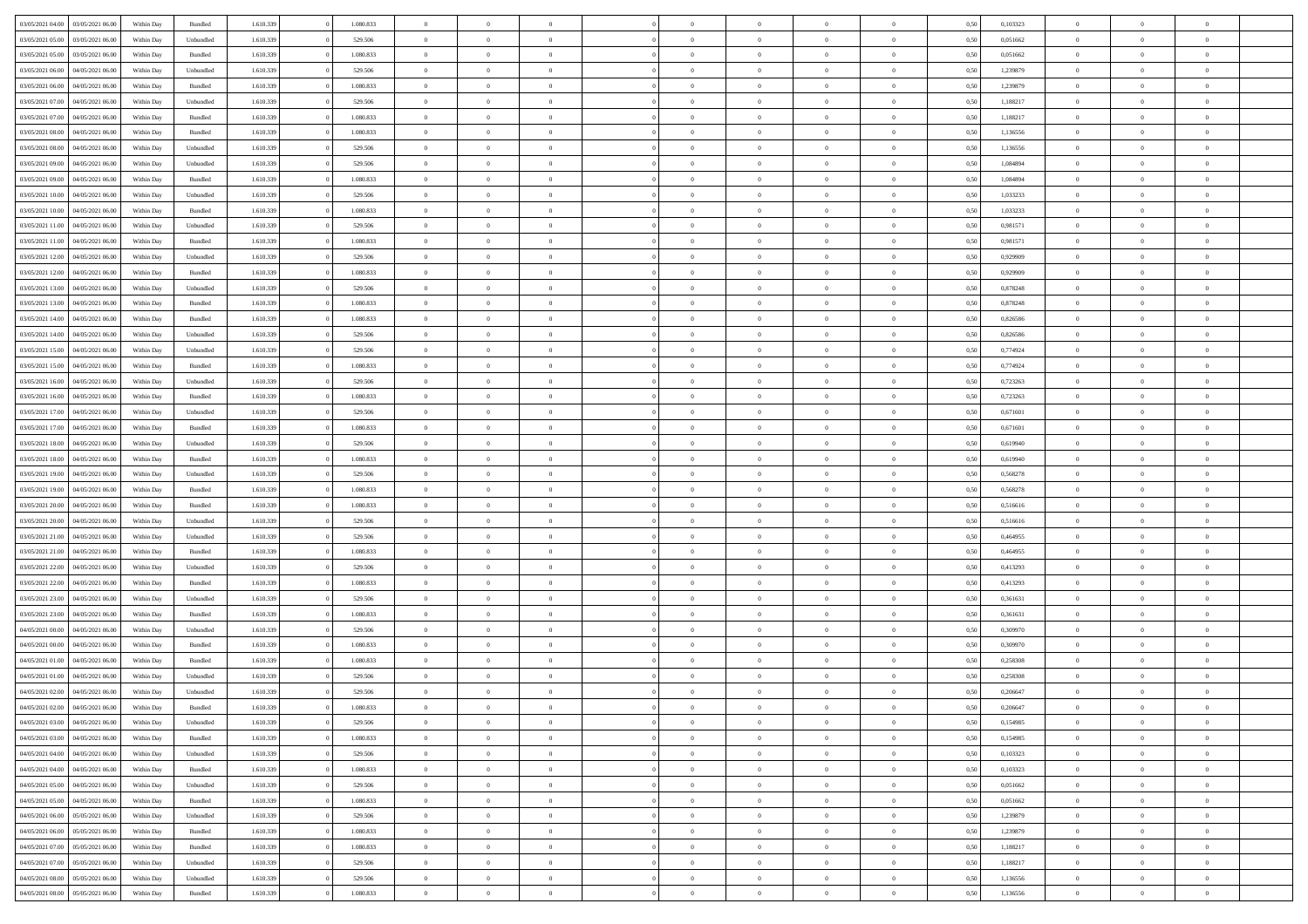| 03/05/2021 04:00<br>03/05/2021 06:00 | Within Day | Bundled            | 1.610.339 | 1.080.833 | $\overline{0}$ | $\Omega$       |                | $\Omega$       | $\Omega$       | $\theta$       | $\theta$       | 0,50 | 0,103323 | $\theta$       | $\theta$       | $\theta$       |  |
|--------------------------------------|------------|--------------------|-----------|-----------|----------------|----------------|----------------|----------------|----------------|----------------|----------------|------|----------|----------------|----------------|----------------|--|
|                                      |            |                    |           |           |                |                |                |                |                |                |                |      |          |                |                |                |  |
| 03/05/2021 05:00<br>03/05/2021 06:00 | Within Day | Unbundled          | 1.610.339 | 529.506   | $\overline{0}$ | $\theta$       | $\overline{0}$ | $\overline{0}$ | $\bf{0}$       | $\overline{0}$ | $\bf{0}$       | 0,50 | 0,051662 | $\theta$       | $\overline{0}$ | $\overline{0}$ |  |
| 03/05/2021 05:00<br>03/05/2021 06:00 | Within Day | Bundled            | 1.610.339 | 1.080.833 | $\overline{0}$ | $\overline{0}$ | $\overline{0}$ | $\bf{0}$       | $\bf{0}$       | $\bf{0}$       | $\mathbf{0}$   | 0,50 | 0,051662 | $\overline{0}$ | $\overline{0}$ | $\bf{0}$       |  |
| 03/05/2021 06:00<br>04/05/2021 06:00 | Within Dav | Unbundled          | 1.610.339 | 529.506   | $\overline{0}$ | $\overline{0}$ | $\overline{0}$ | $\overline{0}$ | $\bf{0}$       | $\overline{0}$ | $\overline{0}$ | 0.50 | 1,239879 | $\theta$       | $\overline{0}$ | $\overline{0}$ |  |
|                                      |            |                    |           |           |                |                |                |                |                |                |                |      |          |                |                |                |  |
| 03/05/2021 06:00<br>04/05/2021 06.00 | Within Day | Bundled            | 1.610.339 | 1.080.833 | $\overline{0}$ | $\theta$       | $\overline{0}$ | $\overline{0}$ | $\bf{0}$       | $\overline{0}$ | $\bf{0}$       | 0,50 | 1,239879 | $\,$ 0 $\,$    | $\overline{0}$ | $\overline{0}$ |  |
| 03/05/2021 07:00<br>04/05/2021 06.00 | Within Day | Unbundled          | 1.610.339 | 529.506   | $\overline{0}$ | $\overline{0}$ | $\overline{0}$ | $\bf{0}$       | $\overline{0}$ | $\overline{0}$ | $\mathbf{0}$   | 0,50 | 1,188217 | $\overline{0}$ | $\overline{0}$ | $\bf{0}$       |  |
| 03/05/2021 07:00<br>04/05/2021 06:00 | Within Dav | Bundled            | 1.610.339 | 1.080.833 | $\overline{0}$ | $\overline{0}$ | $\overline{0}$ | $\overline{0}$ | $\overline{0}$ | $\overline{0}$ | $\overline{0}$ | 0.50 | 1,188217 | $\theta$       | $\overline{0}$ | $\overline{0}$ |  |
| 03/05/2021 08:00<br>04/05/2021 06.00 | Within Day | Bundled            | 1.610.339 | 1.080.833 | $\overline{0}$ | $\theta$       | $\overline{0}$ | $\overline{0}$ | $\bf{0}$       | $\overline{0}$ | $\bf{0}$       | 0,50 | 1,136556 | $\theta$       | $\theta$       | $\overline{0}$ |  |
|                                      |            |                    |           |           |                |                |                |                |                |                |                |      |          |                |                |                |  |
| 03/05/2021 08:00<br>04/05/2021 06.00 | Within Day | Unbundled          | 1.610.339 | 529.506   | $\overline{0}$ | $\overline{0}$ | $\overline{0}$ | $\bf{0}$       | $\bf{0}$       | $\bf{0}$       | $\mathbf{0}$   | 0,50 | 1,136556 | $\,0\,$        | $\overline{0}$ | $\overline{0}$ |  |
| 03/05/2021 09:00<br>04/05/2021 06:00 | Within Dav | Unbundled          | 1.610.339 | 529.506   | $\overline{0}$ | $\overline{0}$ | $\overline{0}$ | $\overline{0}$ | $\overline{0}$ | $\overline{0}$ | $\overline{0}$ | 0.50 | 1,084894 | $\theta$       | $\overline{0}$ | $\overline{0}$ |  |
| 03/05/2021 09:00<br>04/05/2021 06.00 | Within Day | Bundled            | 1.610.339 | 1.080.833 | $\overline{0}$ | $\theta$       | $\overline{0}$ | $\overline{0}$ | $\bf{0}$       | $\overline{0}$ | $\bf{0}$       | 0,50 | 1,084894 | $\,$ 0 $\,$    | $\overline{0}$ | $\overline{0}$ |  |
| 03/05/2021 10:00<br>04/05/2021 06.00 | Within Day | Unbundled          | 1.610.339 | 529.506   | $\overline{0}$ | $\overline{0}$ | $\overline{0}$ | $\bf{0}$       | $\overline{0}$ | $\bf{0}$       | $\mathbf{0}$   | 0,50 | 1,033233 | $\overline{0}$ | $\overline{0}$ | $\bf{0}$       |  |
|                                      |            |                    |           |           |                |                |                |                |                |                |                |      |          |                |                |                |  |
| 03/05/2021 10:00<br>04/05/2021 06:00 | Within Day | Bundled            | 1.610.339 | 1.080.833 | $\overline{0}$ | $\overline{0}$ | $\overline{0}$ | $\overline{0}$ | $\overline{0}$ | $\overline{0}$ | $\overline{0}$ | 0.50 | 1,033233 | $\theta$       | $\theta$       | $\overline{0}$ |  |
| 03/05/2021 11:00<br>04/05/2021 06.00 | Within Day | Unbundled          | 1.610.339 | 529.506   | $\overline{0}$ | $\theta$       | $\overline{0}$ | $\overline{0}$ | $\bf{0}$       | $\overline{0}$ | $\bf{0}$       | 0,50 | 0,981571 | $\theta$       | $\overline{0}$ | $\overline{0}$ |  |
| 03/05/2021 11:00<br>04/05/2021 06.00 | Within Day | Bundled            | 1.610.339 | 1.080.833 | $\overline{0}$ | $\overline{0}$ | $\overline{0}$ | $\bf{0}$       | $\overline{0}$ | $\overline{0}$ | $\mathbf{0}$   | 0,50 | 0,981571 | $\overline{0}$ | $\overline{0}$ | $\bf{0}$       |  |
| 03/05/2021 12:00<br>04/05/2021 06:00 | Within Dav | Unbundled          | 1.610.339 | 529.506   | $\overline{0}$ | $\overline{0}$ | $\overline{0}$ | $\overline{0}$ | $\overline{0}$ | $\overline{0}$ | $\overline{0}$ | 0.50 | 0.929909 | $\overline{0}$ | $\overline{0}$ | $\overline{0}$ |  |
|                                      |            |                    |           |           |                |                |                |                |                |                |                |      |          |                |                |                |  |
| 03/05/2021 12:00<br>04/05/2021 06.00 | Within Day | Bundled            | 1.610.339 | 1.080.833 | $\overline{0}$ | $\theta$       | $\overline{0}$ | $\overline{0}$ | $\bf{0}$       | $\overline{0}$ | $\bf{0}$       | 0,50 | 0,929909 | $\theta$       | $\overline{0}$ | $\overline{0}$ |  |
| 03/05/2021 13:00<br>04/05/2021 06.00 | Within Day | Unbundled          | 1.610.339 | 529.506   | $\overline{0}$ | $\overline{0}$ | $\overline{0}$ | $\bf{0}$       | $\overline{0}$ | $\bf{0}$       | $\mathbf{0}$   | 0,50 | 0,878248 | $\bf{0}$       | $\overline{0}$ | $\bf{0}$       |  |
| 03/05/2021 13:00<br>04/05/2021 06:00 | Within Day | Bundled            | 1.610.339 | 1.080.833 | $\overline{0}$ | $\overline{0}$ | $\overline{0}$ | $\overline{0}$ | $\overline{0}$ | $\overline{0}$ | $\overline{0}$ | 0.50 | 0,878248 | $\theta$       | $\overline{0}$ | $\overline{0}$ |  |
| 03/05/2021 14:00<br>04/05/2021 06.00 | Within Day | Bundled            | 1.610.339 | 1.080.833 | $\overline{0}$ | $\theta$       | $\overline{0}$ | $\overline{0}$ | $\bf{0}$       | $\overline{0}$ | $\bf{0}$       | 0,50 | 0,826586 | $\,$ 0 $\,$    | $\overline{0}$ | $\overline{0}$ |  |
|                                      |            |                    |           |           |                |                |                |                |                |                |                |      |          |                |                |                |  |
| 03/05/2021 14:00<br>04/05/2021 06:00 | Within Day | Unbundled          | 1.610.339 | 529.506   | $\overline{0}$ | $\overline{0}$ | $\overline{0}$ | $\bf{0}$       | $\bf{0}$       | $\bf{0}$       | $\mathbf{0}$   | 0,50 | 0,826586 | $\overline{0}$ | $\overline{0}$ | $\bf{0}$       |  |
| 03/05/2021 15:00<br>04/05/2021 06:00 | Within Day | Unbundled          | 1.610.339 | 529.506   | $\overline{0}$ | $\overline{0}$ | $\overline{0}$ | $\overline{0}$ | $\overline{0}$ | $\overline{0}$ | $\overline{0}$ | 0.50 | 0,774924 | $\theta$       | $\overline{0}$ | $\overline{0}$ |  |
| 03/05/2021 15:00<br>04/05/2021 06.00 | Within Day | Bundled            | 1.610.339 | 1.080.833 | $\overline{0}$ | $\theta$       | $\overline{0}$ | $\overline{0}$ | $\bf{0}$       | $\overline{0}$ | $\bf{0}$       | 0,50 | 0,774924 | $\,$ 0 $\,$    | $\overline{0}$ | $\overline{0}$ |  |
| 03/05/2021 16:00<br>04/05/2021 06.00 | Within Day | Unbundled          | 1.610.339 | 529.506   | $\overline{0}$ | $\overline{0}$ | $\overline{0}$ | $\overline{0}$ | $\overline{0}$ | $\overline{0}$ | $\mathbf{0}$   | 0,50 | 0,723263 | $\bf{0}$       | $\overline{0}$ | $\bf{0}$       |  |
|                                      |            |                    |           |           |                |                |                |                |                |                |                |      |          |                |                |                |  |
| 03/05/2021 16:00<br>04/05/2021 06:00 | Within Dav | Bundled            | 1.610.339 | 1.080.833 | $\overline{0}$ | $\overline{0}$ | $\overline{0}$ | $\overline{0}$ | $\overline{0}$ | $\overline{0}$ | $\overline{0}$ | 0.50 | 0,723263 | $\overline{0}$ | $\overline{0}$ | $\overline{0}$ |  |
| 03/05/2021 17:00<br>04/05/2021 06.00 | Within Day | Unbundled          | 1.610.339 | 529.506   | $\overline{0}$ | $\theta$       | $\overline{0}$ | $\overline{0}$ | $\bf{0}$       | $\overline{0}$ | $\bf{0}$       | 0,50 | 0,671601 | $\theta$       | $\overline{0}$ | $\overline{0}$ |  |
| 03/05/2021 17:00<br>04/05/2021 06.00 | Within Day | Bundled            | 1.610.339 | 1.080.833 | $\overline{0}$ | $\overline{0}$ | $\overline{0}$ | $\overline{0}$ | $\bf{0}$       | $\overline{0}$ | $\bf{0}$       | 0,50 | 0,671601 | $\,0\,$        | $\overline{0}$ | $\bf{0}$       |  |
| 03/05/2021 18:00<br>04/05/2021 06:00 | Within Day | Unbundled          | 1.610.339 | 529.506   | $\overline{0}$ | $\overline{0}$ | $\overline{0}$ | $\overline{0}$ | $\overline{0}$ | $\overline{0}$ | $\overline{0}$ | 0.50 | 0.619940 | $\theta$       | $\overline{0}$ | $\overline{0}$ |  |
|                                      |            |                    |           |           | $\overline{0}$ |                |                |                |                |                |                |      |          |                |                |                |  |
| 03/05/2021 18:00<br>04/05/2021 06.00 | Within Day | Bundled            | 1.610.339 | 1.080.833 |                | $\overline{0}$ | $\overline{0}$ | $\overline{0}$ | $\bf{0}$       | $\overline{0}$ | $\bf{0}$       | 0,50 | 0,619940 | $\,$ 0 $\,$    | $\overline{0}$ | $\overline{0}$ |  |
| 03/05/2021 19:00<br>04/05/2021 06:00 | Within Day | Unbundled          | 1.610.339 | 529.506   | $\overline{0}$ | $\overline{0}$ | $\overline{0}$ | $\overline{0}$ | $\overline{0}$ | $\bf{0}$       | $\bf{0}$       | 0,50 | 0,568278 | $\overline{0}$ | $\overline{0}$ | $\bf{0}$       |  |
| 03/05/2021 19:00<br>04/05/2021 06.00 | Within Day | Bundled            | 1.610.339 | 1.080.833 | $\overline{0}$ | $\Omega$       | $\overline{0}$ | $\Omega$       | $\overline{0}$ | $\overline{0}$ | $\overline{0}$ | 0,50 | 0,568278 | $\,0\,$        | $\theta$       | $\theta$       |  |
| 03/05/2021 20:00<br>04/05/2021 06.00 | Within Day | Bundled            | 1.610.339 | 1.080.833 | $\overline{0}$ | $\overline{0}$ | $\overline{0}$ | $\overline{0}$ | $\bf{0}$       | $\overline{0}$ | $\bf{0}$       | 0,50 | 0,516616 | $\,$ 0 $\,$    | $\overline{0}$ | $\overline{0}$ |  |
| 03/05/2021 20:00<br>04/05/2021 06:00 | Within Day | Unbundled          | 1.610.339 | 529.506   | $\overline{0}$ | $\overline{0}$ | $\overline{0}$ | $\bf{0}$       | $\overline{0}$ | $\overline{0}$ | $\mathbf{0}$   | 0,50 | 0,516616 | $\overline{0}$ | $\overline{0}$ | $\bf{0}$       |  |
|                                      |            |                    |           |           |                |                |                |                |                |                |                |      |          |                |                |                |  |
| 03/05/2021 21:00<br>04/05/2021 06:00 | Within Day | Unbundled          | 1.610.339 | 529.506   | $\overline{0}$ | $\Omega$       | $\Omega$       | $\Omega$       | $\overline{0}$ | $\overline{0}$ | $\overline{0}$ | 0.50 | 0.464955 | $\,0\,$        | $\theta$       | $\theta$       |  |
| 03/05/2021 21:00<br>04/05/2021 06.00 | Within Day | Bundled            | 1.610.339 | 1.080.833 | $\overline{0}$ | $\theta$       | $\overline{0}$ | $\overline{0}$ | $\bf{0}$       | $\overline{0}$ | $\bf{0}$       | 0,50 | 0,464955 | $\,$ 0 $\,$    | $\overline{0}$ | $\overline{0}$ |  |
| 03/05/2021 22.00<br>04/05/2021 06.00 | Within Day | Unbundled          | 1.610.339 | 529.506   | $\overline{0}$ | $\overline{0}$ | $\overline{0}$ | $\bf{0}$       | $\bf{0}$       | $\bf{0}$       | $\mathbf{0}$   | 0,50 | 0,413293 | $\bf{0}$       | $\overline{0}$ | $\bf{0}$       |  |
| 03/05/2021 22.00<br>04/05/2021 06:00 | Within Day | Bundled            | 1.610.339 | 1.080.833 | $\overline{0}$ | $\Omega$       | $\overline{0}$ | $\Omega$       | $\overline{0}$ | $\overline{0}$ | $\overline{0}$ | 0.50 | 0,413293 | $\,$ 0 $\,$    | $\theta$       | $\theta$       |  |
|                                      |            |                    |           |           |                |                |                |                |                |                |                |      |          |                |                |                |  |
| 03/05/2021 23:00<br>04/05/2021 06.00 | Within Day | Unbundled          | 1.610.339 | 529.506   | $\overline{0}$ | $\,$ 0         | $\overline{0}$ | $\overline{0}$ | $\,$ 0         | $\overline{0}$ | $\bf{0}$       | 0,50 | 0,361631 | $\,$ 0 $\,$    | $\overline{0}$ | $\overline{0}$ |  |
| 03/05/2021 23.00<br>04/05/2021 06.00 | Within Day | Bundled            | 1.610.339 | 1.080.833 | $\overline{0}$ | $\overline{0}$ | $\overline{0}$ | $\bf{0}$       | $\bf{0}$       | $\overline{0}$ | $\mathbf{0}$   | 0,50 | 0,361631 | $\overline{0}$ | $\overline{0}$ | $\bf{0}$       |  |
| 04/05/2021 00:00<br>04/05/2021 06.00 | Within Day | Unbundled          | 1.610.339 | 529.506   | $\overline{0}$ | $\Omega$       | $\overline{0}$ | $\Omega$       | $\overline{0}$ | $\overline{0}$ | $\overline{0}$ | 0,50 | 0,309970 | $\,0\,$        | $\theta$       | $\theta$       |  |
| 04/05/2021 00:00<br>04/05/2021 06.00 | Within Day | Bundled            | 1.610.339 | 1.080.833 | $\overline{0}$ | $\overline{0}$ | $\overline{0}$ | $\overline{0}$ | $\,$ 0         | $\overline{0}$ | $\bf{0}$       | 0,50 | 0,309970 | $\,$ 0 $\,$    | $\overline{0}$ | $\overline{0}$ |  |
|                                      |            |                    |           |           |                |                |                |                |                |                |                |      |          |                |                |                |  |
| 04/05/2021 01.00<br>04/05/2021 06.00 | Within Day | Bundled            | 1.610.339 | 1.080.833 | $\overline{0}$ | $\overline{0}$ | $\overline{0}$ | $\bf{0}$       | $\overline{0}$ | $\overline{0}$ | $\mathbf{0}$   | 0,50 | 0,258308 | $\bf{0}$       | $\overline{0}$ | $\bf{0}$       |  |
| 04/05/2021 01:00<br>04/05/2021 06:00 | Within Day | Unbundled          | 1.610.339 | 529.506   | $\overline{0}$ | $\Omega$       | $\Omega$       | $\Omega$       | $\Omega$       | $\Omega$       | $\overline{0}$ | 0.50 | 0,258308 | $\theta$       | $\theta$       | $\theta$       |  |
| 04/05/2021 02:00<br>04/05/2021 06:00 | Within Day | Unbundled          | 1.610.339 | 529.506   | $\overline{0}$ | $\overline{0}$ | $\overline{0}$ | $\bf{0}$       | $\,$ 0         | $\bf{0}$       | $\bf{0}$       | 0,50 | 0,206647 | $\,0\,$        | $\,$ 0 $\,$    | $\overline{0}$ |  |
| 04/05/2021 02:00 04/05/2021 06:00    | Within Day | $\mathbf B$ undled | 1.610.339 | 1.080.833 | $\bf{0}$       | $\bf{0}$       |                |                | $\bf{0}$       |                |                | 0,50 | 0,206647 | $\bf{0}$       | $\overline{0}$ |                |  |
| 04/05/2021 03:00<br>04/05/2021 06:00 |            |                    | 1.610.339 |           | $\overline{0}$ | $\overline{0}$ |                | $\Omega$       | $\overline{0}$ | $\overline{0}$ |                | 0.50 |          | $\theta$       | $\theta$       | $\theta$       |  |
|                                      | Within Day | Unbundled          |           | 529.506   |                |                | $\overline{0}$ |                |                |                | $\overline{0}$ |      | 0,154985 |                |                |                |  |
| 04/05/2021 03:00<br>04/05/2021 06:00 | Within Day | Bundled            | 1.610.339 | 1.080.833 | $\overline{0}$ | $\,$ 0         | $\overline{0}$ | $\bf{0}$       | $\,$ 0 $\,$    | $\overline{0}$ | $\,$ 0 $\,$    | 0,50 | 0,154985 | $\,$ 0 $\,$    | $\,$ 0 $\,$    | $\,$ 0         |  |
| 04/05/2021 04:00<br>04/05/2021 06:00 | Within Day | Unbundled          | 1.610.339 | 529.506   | $\overline{0}$ | $\overline{0}$ | $\overline{0}$ | $\overline{0}$ | $\overline{0}$ | $\overline{0}$ | $\mathbf{0}$   | 0,50 | 0,103323 | $\overline{0}$ | $\bf{0}$       | $\overline{0}$ |  |
| 04/05/2021 04:00<br>04/05/2021 06:00 | Within Day | $\mathbf B$ undled | 1.610.339 | 1.080.833 | $\overline{0}$ | $\overline{0}$ | $\overline{0}$ | $\Omega$       | $\overline{0}$ | $\overline{0}$ | $\overline{0}$ | 0,50 | 0,103323 | $\overline{0}$ | $\theta$       | $\overline{0}$ |  |
| 04/05/2021 05:00<br>04/05/2021 06:00 | Within Day |                    | 1.610.339 | 529.506   | $\overline{0}$ | $\,$ 0         | $\overline{0}$ | $\overline{0}$ | $\,$ 0 $\,$    | $\overline{0}$ |                |      | 0,051662 | $\,$ 0 $\,$    | $\overline{0}$ | $\overline{0}$ |  |
|                                      |            | Unbundled          |           |           |                |                |                |                |                |                | $\mathbf{0}$   | 0,50 |          |                |                |                |  |
| 04/05/2021 05:00<br>04/05/2021 06:00 | Within Day | Bundled            | 1.610.339 | 1.080.833 | $\overline{0}$ | $\overline{0}$ | $\overline{0}$ | $\overline{0}$ | $\overline{0}$ | $\overline{0}$ | $\mathbf{0}$   | 0,50 | 0,051662 | $\overline{0}$ | $\overline{0}$ | $\bf{0}$       |  |
| 04/05/2021 06:00<br>05/05/2021 06:00 | Within Day | Unbundled          | 1.610.339 | 529.506   | $\overline{0}$ | $\overline{0}$ | $\overline{0}$ | $\overline{0}$ | $\overline{0}$ | $\overline{0}$ | $\bf{0}$       | 0.50 | 1,239879 | $\overline{0}$ | $\theta$       | $\overline{0}$ |  |
| 04/05/2021 06:00<br>05/05/2021 06:00 | Within Day | Bundled            | 1.610.339 | 1.080.833 | $\overline{0}$ | $\,$ 0         | $\overline{0}$ | $\bf{0}$       | $\bf{0}$       | $\bf{0}$       | $\bf{0}$       | 0,50 | 1,239879 | $\,$ 0 $\,$    | $\overline{0}$ | $\overline{0}$ |  |
| 04/05/2021 07:00<br>05/05/2021 06:00 | Within Day | Bundled            | 1.610.339 | 1.080.833 | $\overline{0}$ | $\bf{0}$       | $\overline{0}$ | $\overline{0}$ | $\overline{0}$ | $\overline{0}$ | $\mathbf{0}$   | 0,50 | 1,188217 | $\overline{0}$ | $\overline{0}$ | $\bf{0}$       |  |
|                                      |            |                    |           |           |                |                |                |                |                |                |                |      |          |                |                |                |  |
| 04/05/2021 07:00<br>05/05/2021 06:00 | Within Day | Unbundled          | 1.610.339 | 529.506   | $\overline{0}$ | $\overline{0}$ | $\overline{0}$ | $\Omega$       | $\overline{0}$ | $\overline{0}$ | $\overline{0}$ | 0.50 | 1,188217 | $\overline{0}$ | $\overline{0}$ | $\overline{0}$ |  |
| 04/05/2021 08:00<br>05/05/2021 06:00 | Within Day | Unbundled          | 1.610.339 | 529.506   | $\overline{0}$ | $\bf{0}$       | $\overline{0}$ | $\overline{0}$ | $\bf{0}$       | $\overline{0}$ | $\mathbf{0}$   | 0,50 | 1,136556 | $\,$ 0 $\,$    | $\,$ 0 $\,$    | $\bf{0}$       |  |
| 04/05/2021 08:00<br>05/05/2021 06:00 | Within Day | Bundled            | 1.610.339 | 1.080.833 | $\overline{0}$ | $\bf{0}$       | $\overline{0}$ | $\overline{0}$ | $\bf{0}$       | $\overline{0}$ | $\bf{0}$       | 0,50 | 1,136556 | $\overline{0}$ | $\overline{0}$ | $\bf{0}$       |  |
|                                      |            |                    |           |           |                |                |                |                |                |                |                |      |          |                |                |                |  |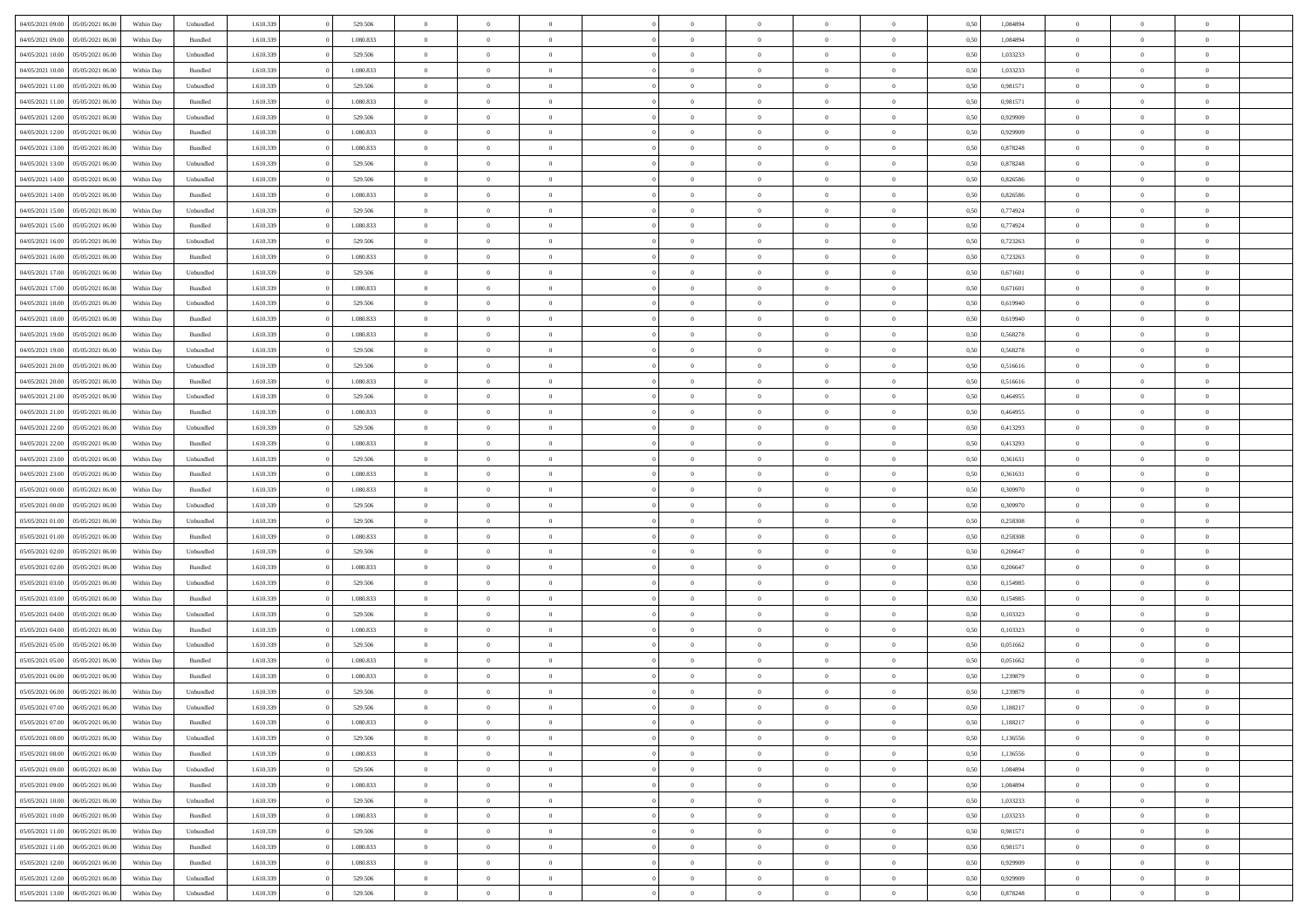|                                   |                  |            |           |           |           | $\overline{0}$ | $\Omega$       |                |                | $\Omega$       | $\theta$       | $\theta$       |      |          | $\theta$       |                | $\theta$       |  |
|-----------------------------------|------------------|------------|-----------|-----------|-----------|----------------|----------------|----------------|----------------|----------------|----------------|----------------|------|----------|----------------|----------------|----------------|--|
| 04/05/2021 09:00                  | 05/05/2021 06:00 | Within Dav | Unbundled | 1.610.339 | 529.506   |                |                |                | $\Omega$       |                |                |                | 0,50 | 1,084894 |                | $\theta$       |                |  |
| 04/05/2021 09:00                  | 05/05/2021 06:00 | Within Day | Bundled   | 1.610.339 | 1.080.833 | $\overline{0}$ | $\theta$       | $\overline{0}$ | $\overline{0}$ | $\bf{0}$       | $\overline{0}$ | $\bf{0}$       | 0,50 | 1,084894 | $\theta$       | $\theta$       | $\overline{0}$ |  |
| 04/05/2021 10:00                  | 05/05/2021 06:00 | Within Day | Unbundled | 1.610.339 | 529.506   | $\overline{0}$ | $\overline{0}$ | $\overline{0}$ | $\overline{0}$ | $\bf{0}$       | $\overline{0}$ | $\bf{0}$       | 0,50 | 1,033233 | $\bf{0}$       | $\overline{0}$ | $\overline{0}$ |  |
| 04/05/2021 10:00                  | 05/05/2021 06:00 | Within Dav | Bundled   | 1.610.339 | 1.080.833 | $\overline{0}$ | $\overline{0}$ | $\overline{0}$ | $\overline{0}$ | $\bf{0}$       | $\overline{0}$ | $\overline{0}$ | 0.50 | 1,033233 | $\theta$       | $\theta$       | $\overline{0}$ |  |
|                                   |                  |            |           |           |           |                |                |                |                |                |                |                |      |          |                |                |                |  |
| 04/05/2021 11:00                  | 05/05/2021 06:00 | Within Day | Unbundled | 1.610.339 | 529.506   | $\overline{0}$ | $\theta$       | $\overline{0}$ | $\overline{0}$ | $\bf{0}$       | $\overline{0}$ | $\bf{0}$       | 0,50 | 0,981571 | $\theta$       | $\overline{0}$ | $\overline{0}$ |  |
| 04/05/2021 11:00                  | 05/05/2021 06:00 | Within Day | Bundled   | 1.610.339 | 1.080.833 | $\overline{0}$ | $\overline{0}$ | $\overline{0}$ | $\overline{0}$ | $\overline{0}$ | $\overline{0}$ | $\mathbf{0}$   | 0,50 | 0,981571 | $\overline{0}$ | $\overline{0}$ | $\bf{0}$       |  |
| 04/05/2021 12:00                  | 05/05/2021 06:00 | Within Dav | Unbundled | 1.610.339 | 529.506   | $\overline{0}$ | $\overline{0}$ | $\overline{0}$ | $\overline{0}$ | $\overline{0}$ | $\overline{0}$ | $\overline{0}$ | 0.50 | 0.929909 | $\theta$       | $\overline{0}$ | $\overline{0}$ |  |
| 04/05/2021 12:00                  | 05/05/2021 06:00 | Within Day | Bundled   | 1.610.339 | 1.080.833 | $\overline{0}$ | $\theta$       | $\overline{0}$ | $\overline{0}$ | $\bf{0}$       | $\overline{0}$ | $\bf{0}$       | 0,50 | 0,929909 | $\theta$       | $\theta$       | $\overline{0}$ |  |
|                                   |                  |            |           |           |           |                |                |                |                |                |                |                |      |          |                |                |                |  |
| 04/05/2021 13:00                  | 05/05/2021 06:00 | Within Day | Bundled   | 1.610.339 | 1.080.833 | $\overline{0}$ | $\overline{0}$ | $\overline{0}$ | $\bf{0}$       | $\bf{0}$       | $\bf{0}$       | $\bf{0}$       | 0,50 | 0,878248 | $\,0\,$        | $\overline{0}$ | $\overline{0}$ |  |
| 04/05/2021 13:00                  | 05/05/2021 06:00 | Within Dav | Unbundled | 1.610.339 | 529.506   | $\overline{0}$ | $\overline{0}$ | $\overline{0}$ | $\overline{0}$ | $\overline{0}$ | $\overline{0}$ | $\overline{0}$ | 0.50 | 0,878248 | $\theta$       | $\overline{0}$ | $\overline{0}$ |  |
| 04/05/2021 14:00                  | 05/05/2021 06:00 | Within Day | Unbundled | 1.610.339 | 529.506   | $\overline{0}$ | $\theta$       | $\overline{0}$ | $\overline{0}$ | $\bf{0}$       | $\overline{0}$ | $\bf{0}$       | 0,50 | 0,826586 | $\,$ 0 $\,$    | $\overline{0}$ | $\overline{0}$ |  |
| 04/05/2021 14:00                  | 05/05/2021 06:00 | Within Day | Bundled   | 1.610.339 | 1.080.833 | $\overline{0}$ | $\overline{0}$ | $\overline{0}$ | $\bf{0}$       | $\bf{0}$       | $\bf{0}$       | $\mathbf{0}$   | 0,50 | 0,826586 | $\overline{0}$ | $\overline{0}$ | $\overline{0}$ |  |
| 04/05/2021 15:00                  | 05/05/2021 06:00 | Within Dav | Unbundled | 1.610.339 | 529.506   | $\overline{0}$ | $\overline{0}$ | $\overline{0}$ | $\overline{0}$ | $\bf{0}$       | $\overline{0}$ | $\overline{0}$ | 0.50 | 0.774924 | $\theta$       | $\theta$       | $\overline{0}$ |  |
|                                   |                  |            |           |           |           | $\overline{0}$ | $\theta$       |                |                |                |                |                |      |          | $\theta$       |                |                |  |
| 04/05/2021 15:00                  | 05/05/2021 06:00 | Within Day | Bundled   | 1.610.339 | 1.080.833 |                |                | $\overline{0}$ | $\overline{0}$ | $\bf{0}$       | $\overline{0}$ | $\bf{0}$       | 0,50 | 0,774924 |                | $\theta$       | $\overline{0}$ |  |
| 04/05/2021 16:00                  | 05/05/2021 06:00 | Within Day | Unbundled | 1.610.339 | 529.506   | $\overline{0}$ | $\overline{0}$ | $\overline{0}$ | $\bf{0}$       | $\overline{0}$ | $\overline{0}$ | $\mathbf{0}$   | 0,50 | 0,723263 | $\overline{0}$ | $\overline{0}$ | $\bf{0}$       |  |
| 04/05/2021 16:00                  | 05/05/2021 06:00 | Within Dav | Bundled   | 1.610.339 | 1.080.833 | $\overline{0}$ | $\overline{0}$ | $\overline{0}$ | $\overline{0}$ | $\overline{0}$ | $\overline{0}$ | $\overline{0}$ | 0.50 | 0,723263 | $\theta$       | $\overline{0}$ | $\overline{0}$ |  |
| 04/05/2021 17:00                  | 05/05/2021 06:00 | Within Day | Unbundled | 1.610.339 | 529.506   | $\overline{0}$ | $\theta$       | $\overline{0}$ | $\overline{0}$ | $\bf{0}$       | $\overline{0}$ | $\bf{0}$       | 0,50 | 0,671601 | $\theta$       | $\theta$       | $\overline{0}$ |  |
| 04/05/2021 17.00                  | 05/05/2021 06:00 | Within Day | Bundled   | 1.610.339 | 1.080.833 | $\overline{0}$ | $\overline{0}$ | $\overline{0}$ | $\bf{0}$       | $\bf{0}$       | $\bf{0}$       | $\bf{0}$       | 0,50 | 0,671601 | $\,0\,$        | $\overline{0}$ | $\overline{0}$ |  |
|                                   |                  |            |           |           |           |                |                |                |                |                |                |                |      |          |                |                |                |  |
| 04/05/2021 18:00                  | 05/05/2021 06:00 | Within Dav | Unbundled | 1.610.339 | 529.506   | $\overline{0}$ | $\overline{0}$ | $\overline{0}$ | $\overline{0}$ | $\overline{0}$ | $\overline{0}$ | $\overline{0}$ | 0.50 | 0,619940 | $\theta$       | $\overline{0}$ | $\overline{0}$ |  |
| 04/05/2021 18:00                  | 05/05/2021 06:00 | Within Day | Bundled   | 1.610.339 | 1.080.833 | $\overline{0}$ | $\theta$       | $\overline{0}$ | $\overline{0}$ | $\bf{0}$       | $\overline{0}$ | $\bf{0}$       | 0,50 | 0,619940 | $\,$ 0 $\,$    | $\theta$       | $\overline{0}$ |  |
| 04/05/2021 19:00                  | 05/05/2021 06:00 | Within Day | Bundled   | 1.610.339 | 1.080.833 | $\overline{0}$ | $\overline{0}$ | $\overline{0}$ | $\bf{0}$       | $\bf{0}$       | $\bf{0}$       | $\bf{0}$       | 0,50 | 0,568278 | $\bf{0}$       | $\overline{0}$ | $\overline{0}$ |  |
| 04/05/2021 19:00                  | 05/05/2021 06:00 | Within Day | Unbundled | 1.610.339 | 529.506   | $\overline{0}$ | $\overline{0}$ | $\overline{0}$ | $\overline{0}$ | $\bf{0}$       | $\overline{0}$ | $\overline{0}$ | 0.50 | 0,568278 | $\theta$       | $\overline{0}$ | $\overline{0}$ |  |
| 04/05/2021 20:00                  | 05/05/2021 06:00 | Within Day | Unbundled | 1.610.339 | 529.506   | $\overline{0}$ | $\theta$       | $\overline{0}$ | $\overline{0}$ | $\bf{0}$       | $\overline{0}$ | $\bf{0}$       | 0,50 | 0,516616 | $\,$ 0 $\,$    | $\overline{0}$ | $\overline{0}$ |  |
|                                   |                  |            |           |           |           |                |                |                |                |                |                |                |      |          |                |                |                |  |
| 04/05/2021 20.00                  | 05/05/2021 06:00 | Within Day | Bundled   | 1.610.339 | 1.080.833 | $\overline{0}$ | $\overline{0}$ | $\overline{0}$ | $\bf{0}$       | $\overline{0}$ | $\overline{0}$ | $\mathbf{0}$   | 0,50 | 0,516616 | $\overline{0}$ | $\overline{0}$ | $\bf{0}$       |  |
| 04/05/2021 21:00                  | 05/05/2021 06:00 | Within Dav | Unbundled | 1.610.339 | 529.506   | $\overline{0}$ | $\overline{0}$ | $\overline{0}$ | $\overline{0}$ | $\overline{0}$ | $\overline{0}$ | $\overline{0}$ | 0.50 | 0,464955 | $\theta$       | $\overline{0}$ | $\overline{0}$ |  |
| 04/05/2021 21.00                  | 05/05/2021 06:00 | Within Day | Bundled   | 1.610.339 | 1.080.833 | $\overline{0}$ | $\theta$       | $\overline{0}$ | $\overline{0}$ | $\bf{0}$       | $\overline{0}$ | $\bf{0}$       | 0,50 | 0,464955 | $\theta$       | $\theta$       | $\overline{0}$ |  |
| 04/05/2021 22.00                  | 05/05/2021 06:00 | Within Day | Unbundled | 1.610.339 | 529.506   | $\overline{0}$ | $\overline{0}$ | $\overline{0}$ | $\bf{0}$       | $\bf{0}$       | $\bf{0}$       | $\bf{0}$       | 0,50 | 0,413293 | $\,0\,$        | $\overline{0}$ | $\overline{0}$ |  |
| 04/05/2021 22.00                  | 05/05/2021 06:00 |            | Bundled   | 1.610.339 | 1.080.833 | $\overline{0}$ | $\overline{0}$ | $\overline{0}$ | $\overline{0}$ | $\overline{0}$ | $\overline{0}$ | $\overline{0}$ | 0.50 | 0,413293 | $\theta$       | $\overline{0}$ | $\overline{0}$ |  |
|                                   |                  | Within Day |           |           |           |                |                |                |                |                |                |                |      |          |                |                |                |  |
| 04/05/2021 23:00                  | 05/05/2021 06:00 | Within Day | Unbundled | 1.610.339 | 529.506   | $\overline{0}$ | $\theta$       | $\overline{0}$ | $\overline{0}$ | $\bf{0}$       | $\overline{0}$ | $\bf{0}$       | 0,50 | 0,361631 | $\,$ 0 $\,$    | $\overline{0}$ | $\overline{0}$ |  |
| 04/05/2021 23.00                  | 05/05/2021 06:00 | Within Day | Bundled   | 1.610.339 | 1.080.833 | $\overline{0}$ | $\overline{0}$ | $\overline{0}$ | $\bf{0}$       | $\bf{0}$       | $\bf{0}$       | $\bf{0}$       | 0,50 | 0,361631 | $\bf{0}$       | $\overline{0}$ | $\overline{0}$ |  |
| 05/05/2021 00:00                  | 05/05/2021 06:00 | Within Day | Bundled   | 1.610.339 | 1.080.833 | $\overline{0}$ | $\Omega$       | $\Omega$       | $\Omega$       | $\Omega$       | $\Omega$       | $\overline{0}$ | 0.50 | 0,309970 | $\,0\,$        | $\theta$       | $\theta$       |  |
| 05/05/2021 00:00                  | 05/05/2021 06:00 | Within Day | Unbundled | 1.610.339 | 529.506   | $\overline{0}$ | $\theta$       | $\overline{0}$ | $\overline{0}$ | $\bf{0}$       | $\overline{0}$ | $\bf{0}$       | 0,50 | 0,309970 | $\theta$       | $\theta$       | $\overline{0}$ |  |
|                                   |                  |            |           |           |           |                |                |                |                |                |                |                |      |          |                |                |                |  |
| 05/05/2021 01:00                  | 05/05/2021 06:00 | Within Day | Unbundled | 1.610.339 | 529.506   | $\overline{0}$ | $\overline{0}$ | $\overline{0}$ | $\bf{0}$       | $\bf{0}$       | $\overline{0}$ | $\mathbf{0}$   | 0,50 | 0,258308 | $\bf{0}$       | $\overline{0}$ | $\bf{0}$       |  |
| 05/05/2021 01:00                  | 05/05/2021 06:00 | Within Day | Bundled   | 1.610.339 | 1.080.833 | $\overline{0}$ | $\Omega$       | $\Omega$       | $\Omega$       | $\bf{0}$       | $\overline{0}$ | $\overline{0}$ | 0.50 | 0,258308 | $\,0\,$        | $\theta$       | $\theta$       |  |
| 05/05/2021 02:00                  | 05/05/2021 06:00 | Within Day | Unbundled | 1.610.339 | 529.506   | $\overline{0}$ | $\theta$       | $\overline{0}$ | $\overline{0}$ | $\bf{0}$       | $\overline{0}$ | $\bf{0}$       | 0,50 | 0,206647 | $\,$ 0 $\,$    | $\theta$       | $\overline{0}$ |  |
| 05/05/2021 02.00                  | 05/05/2021 06:00 | Within Day | Bundled   | 1.610.339 | 1.080.833 | $\overline{0}$ | $\overline{0}$ | $\overline{0}$ | $\bf{0}$       | $\bf{0}$       | $\bf{0}$       | $\bf{0}$       | 0,50 | 0,206647 | $\bf{0}$       | $\overline{0}$ | $\overline{0}$ |  |
| 05/05/2021 03:00                  | 05/05/2021 06:00 | Within Day | Unbundled | 1.610.339 | 529.506   | $\overline{0}$ | $\Omega$       | $\Omega$       | $\Omega$       | $\theta$       | $\theta$       | $\overline{0}$ | 0.50 | 0,154985 | $\theta$       | $\theta$       | $\theta$       |  |
|                                   |                  |            |           |           |           |                |                |                |                |                |                |                |      |          |                |                |                |  |
| 05/05/2021 03:00                  | 05/05/2021 06:00 | Within Day | Bundled   | 1.610.339 | 1.080.833 | $\overline{0}$ | $\theta$       | $\overline{0}$ | $\overline{0}$ | $\bf{0}$       | $\overline{0}$ | $\bf{0}$       | 0,50 | 0,154985 | $\,$ 0 $\,$    | $\overline{0}$ | $\overline{0}$ |  |
| 05/05/2021 04:00                  | 05/05/2021 06:00 | Within Day | Unbundled | 1.610.339 | 529.506   | $\overline{0}$ | $\overline{0}$ | $\overline{0}$ | $\overline{0}$ | $\bf{0}$       | $\overline{0}$ | $\bf{0}$       | 0,50 | 0,103323 | $\bf{0}$       | $\overline{0}$ | $\overline{0}$ |  |
| 05/05/2021 04:00                  | 05/05/2021 06:00 | Within Day | Bundled   | 1.610.339 | 1.080.833 | $\overline{0}$ | $\Omega$       | $\overline{0}$ | $\Omega$       | $\Omega$       | $\overline{0}$ | $\overline{0}$ | 0.50 | 0,103323 | $\,0\,$        | $\theta$       | $\theta$       |  |
| 05/05/2021 05:00                  | 05/05/2021 06:00 | Within Day | Unbundled | 1.610.339 | 529.506   | $\overline{0}$ | $\theta$       | $\overline{0}$ | $\overline{0}$ | $\bf{0}$       | $\overline{0}$ | $\bf{0}$       | 0,50 | 0,051662 | $\,$ 0 $\,$    | $\overline{0}$ | $\overline{0}$ |  |
| 05/05/2021 05:00                  | 05/05/2021 06:00 | Within Day | Bundled   | 1.610.339 | 1.080.833 | $\overline{0}$ | $\overline{0}$ | $\overline{0}$ | $\overline{0}$ | $\bf{0}$       | $\overline{0}$ | $\mathbf{0}$   | 0,50 | 0,051662 | $\bf{0}$       | $\overline{0}$ | $\bf{0}$       |  |
|                                   |                  |            |           |           |           |                |                |                |                |                |                |                |      |          |                |                |                |  |
| 05/05/2021 06:00                  | 06/05/2021 06:00 | Within Day | Bundled   | 1.610.339 | 1.080.833 | $\overline{0}$ | $\Omega$       | $\Omega$       | $\Omega$       | $\Omega$       | $\Omega$       | $\overline{0}$ | 0.50 | 1,239879 | $\theta$       | $\theta$       | $\theta$       |  |
| 05/05/2021 06:00                  | 06/05/2021 06:00 | Within Day | Unbundled | 1.610.339 | 529.506   | $\overline{0}$ | $\overline{0}$ | $\overline{0}$ | $\bf{0}$       | $\,$ 0         | $\overline{0}$ | $\bf{0}$       | 0,50 | 1,239879 | $\,0\,$        | $\,$ 0 $\,$    | $\overline{0}$ |  |
| 05/05/2021 07:00 06/05/2021 06:00 |                  | Within Day | Unbundled | 1.610.339 | 529.506   | $\bf{0}$       | $\bf{0}$       |                |                | $\bf{0}$       |                |                | 0,50 | 1,188217 | $\bf{0}$       | $\overline{0}$ |                |  |
| 05/05/2021 07:00                  | 06/05/2021 06:00 | Within Day | Bundled   | 1.610.339 | 1.080.833 | $\overline{0}$ | $\overline{0}$ | $\overline{0}$ | $\Omega$       | $\overline{0}$ | $\overline{0}$ | $\overline{0}$ | 0,50 | 1,188217 | $\theta$       | $\theta$       | $\Omega$       |  |
| 05/05/2021 08:00                  | 06/05/2021 06:00 | Within Day | Unbundled | 1.610.339 | 529.506   | $\overline{0}$ | $\bf{0}$       | $\overline{0}$ | $\bf{0}$       | $\,$ 0 $\,$    | $\overline{0}$ | $\,$ 0 $\,$    | 0,50 | 1,136556 | $\,$ 0 $\,$    | $\,$ 0 $\,$    | $\,$ 0         |  |
|                                   |                  |            |           |           |           |                |                |                |                |                |                |                |      |          |                |                |                |  |
| 05/05/2021 08:00                  | 06/05/2021 06:00 | Within Day | Bundled   | 1.610.339 | 1.080.833 | $\overline{0}$ | $\overline{0}$ | $\overline{0}$ | $\overline{0}$ | $\overline{0}$ | $\overline{0}$ | $\mathbf{0}$   | 0,50 | 1,136556 | $\overline{0}$ | $\bf{0}$       | $\overline{0}$ |  |
| 05/05/2021 09:00                  | 06/05/2021 06:00 | Within Day | Unbundled | 1.610.339 | 529.506   | $\overline{0}$ | $\overline{0}$ | $\overline{0}$ | $\Omega$       | $\overline{0}$ | $\overline{0}$ | $\overline{0}$ | 0,50 | 1,084894 | $\overline{0}$ | $\overline{0}$ | $\overline{0}$ |  |
| 05/05/2021 09:00                  | 06/05/2021 06:00 | Within Day | Bundled   | 1.610.339 | 1.080.833 | $\overline{0}$ | $\,$ 0         | $\overline{0}$ | $\bf{0}$       | $\,$ 0 $\,$    | $\overline{0}$ | $\mathbf{0}$   | 0,50 | 1,084894 | $\,$ 0 $\,$    | $\overline{0}$ | $\overline{0}$ |  |
| 05/05/2021 10:00                  | 06/05/2021 06:00 | Within Day | Unbundled | 1.610.339 | 529.506   | $\overline{0}$ | $\overline{0}$ | $\overline{0}$ | $\overline{0}$ | $\overline{0}$ | $\overline{0}$ | $\mathbf{0}$   | 0,50 | 1,033233 | $\overline{0}$ | $\overline{0}$ | $\bf{0}$       |  |
| 05/05/2021 10:00                  | 06/05/2021 06:00 | Within Day | Bundled   | 1.610.339 | 1.080.833 | $\overline{0}$ | $\overline{0}$ | $\overline{0}$ | $\overline{0}$ | $\overline{0}$ | $\overline{0}$ | $\bf{0}$       | 0.50 | 1,033233 | $\overline{0}$ | $\theta$       | $\overline{0}$ |  |
|                                   |                  |            |           |           |           |                |                |                |                |                |                |                |      |          |                |                |                |  |
| 05/05/2021 11:00                  | 06/05/2021 06:00 | Within Day | Unbundled | 1.610.339 | 529.506   | $\overline{0}$ | $\,$ 0         | $\overline{0}$ | $\bf{0}$       | $\bf{0}$       | $\bf{0}$       | $\bf{0}$       | 0,50 | 0,981571 | $\,$ 0 $\,$    | $\overline{0}$ | $\overline{0}$ |  |
| 05/05/2021 11:00                  | 06/05/2021 06:00 | Within Day | Bundled   | 1.610.339 | 1.080.833 | $\overline{0}$ | $\bf{0}$       | $\overline{0}$ | $\overline{0}$ | $\overline{0}$ | $\overline{0}$ | $\mathbf{0}$   | 0,50 | 0,981571 | $\overline{0}$ | $\overline{0}$ | $\bf{0}$       |  |
| 05/05/2021 12:00                  | 06/05/2021 06:00 | Within Day | Bundled   | 1.610.339 | 1.080.833 | $\overline{0}$ | $\overline{0}$ | $\overline{0}$ | $\Omega$       | $\overline{0}$ | $\overline{0}$ | $\overline{0}$ | 0.50 | 0,929909 | $\overline{0}$ | $\overline{0}$ | $\overline{0}$ |  |
| 05/05/2021 12:00                  | 06/05/2021 06:00 | Within Day | Unbundled | 1.610.339 | 529.506   | $\overline{0}$ | $\bf{0}$       | $\overline{0}$ | $\bf{0}$       | $\bf{0}$       | $\overline{0}$ | $\mathbf{0}$   | 0,50 | 0,929909 | $\,$ 0 $\,$    | $\,$ 0 $\,$    | $\bf{0}$       |  |
|                                   |                  |            |           |           |           |                |                |                |                |                |                |                |      |          |                |                |                |  |
| 05/05/2021 13:00                  | 06/05/2021 06:00 | Within Day | Unbundled | 1.610.339 | 529.506   | $\overline{0}$ | $\overline{0}$ | $\overline{0}$ | $\overline{0}$ | $\overline{0}$ | $\overline{0}$ | $\mathbf{0}$   | 0,50 | 0,878248 | $\overline{0}$ | $\bf{0}$       | $\overline{0}$ |  |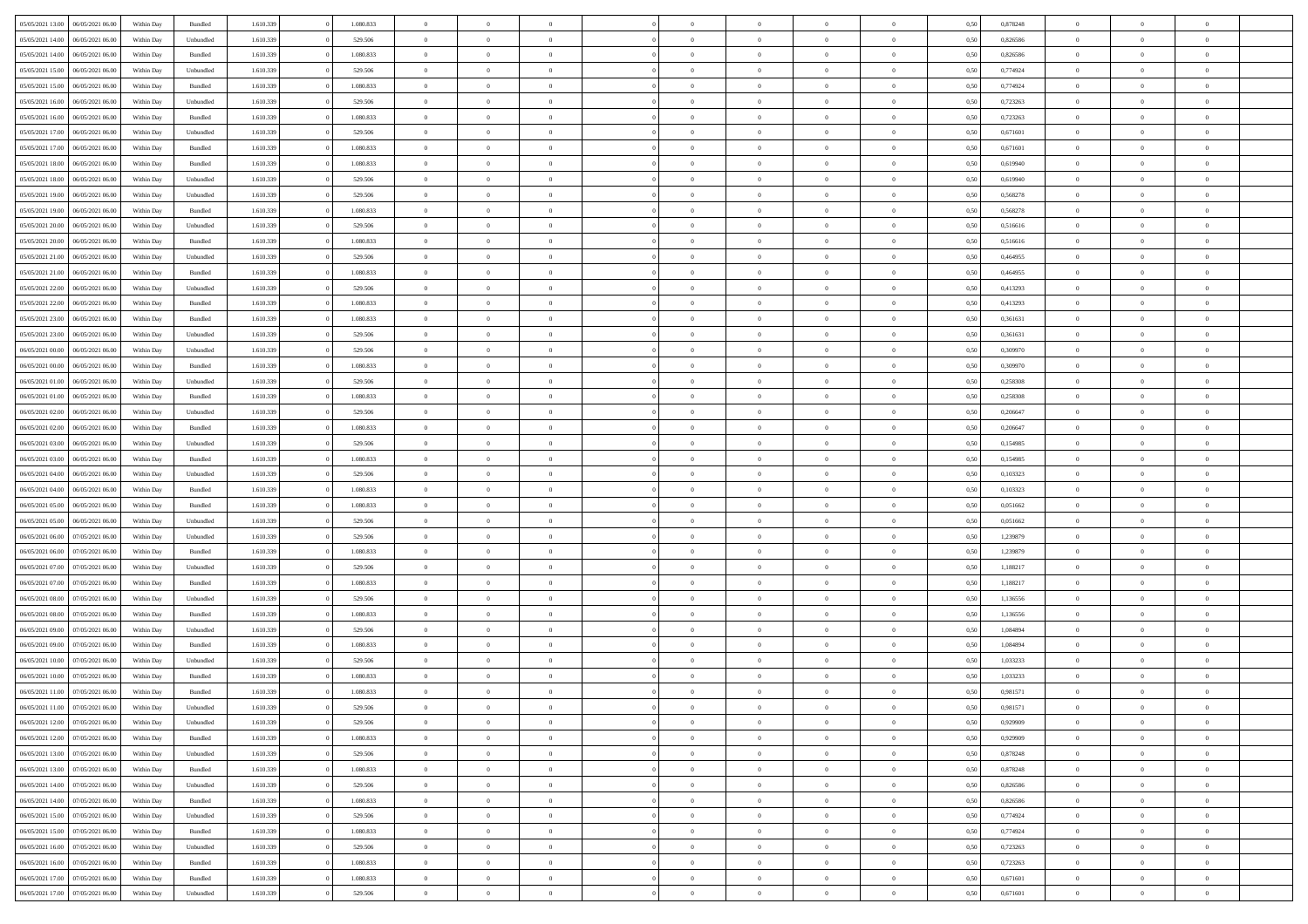| 05/05/2021 13:00                  | 06/05/2021 06:00 | Within Day | Bundled   | 1.610.339 | 1.080.833 | $\overline{0}$ | $\Omega$       |                | $\Omega$       | $\Omega$       | $\theta$       | $\theta$       | 0,50 | 0,878248 | $\theta$       | $\theta$       | $\theta$       |  |
|-----------------------------------|------------------|------------|-----------|-----------|-----------|----------------|----------------|----------------|----------------|----------------|----------------|----------------|------|----------|----------------|----------------|----------------|--|
| 05/05/2021 14:00                  | 06/05/2021 06:00 | Within Day | Unbundled | 1.610.339 | 529.506   | $\overline{0}$ | $\theta$       | $\overline{0}$ | $\overline{0}$ | $\bf{0}$       | $\overline{0}$ | $\bf{0}$       | 0,50 | 0,826586 | $\theta$       | $\overline{0}$ | $\overline{0}$ |  |
| 05/05/2021 14:00                  | 06/05/2021 06:00 | Within Day | Bundled   | 1.610.339 | 1.080.833 | $\overline{0}$ | $\overline{0}$ | $\overline{0}$ | $\overline{0}$ | $\bf{0}$       | $\overline{0}$ | $\mathbf{0}$   | 0,50 | 0,826586 | $\bf{0}$       | $\overline{0}$ | $\bf{0}$       |  |
| 05/05/2021 15:00                  | 06/05/2021 06:00 | Within Day | Unbundled | 1.610.339 | 529.506   | $\overline{0}$ | $\overline{0}$ | $\overline{0}$ | $\overline{0}$ | $\bf{0}$       | $\overline{0}$ | $\overline{0}$ | 0.50 | 0,774924 | $\theta$       | $\theta$       | $\overline{0}$ |  |
| 05/05/2021 15:00                  | 06/05/2021 06:00 | Within Day | Bundled   | 1.610.339 | 1.080.833 | $\overline{0}$ | $\theta$       | $\overline{0}$ | $\overline{0}$ | $\bf{0}$       | $\overline{0}$ | $\bf{0}$       | 0,50 | 0,774924 | $\,$ 0 $\,$    | $\overline{0}$ | $\overline{0}$ |  |
|                                   |                  |            |           |           |           |                |                |                |                |                |                |                |      |          |                |                |                |  |
| 05/05/2021 16:00                  | 06/05/2021 06:00 | Within Day | Unbundled | 1.610.339 | 529.506   | $\overline{0}$ | $\overline{0}$ | $\overline{0}$ | $\overline{0}$ | $\overline{0}$ | $\overline{0}$ | $\mathbf{0}$   | 0,50 | 0,723263 | $\bf{0}$       | $\overline{0}$ | $\bf{0}$       |  |
| 05/05/2021 16:00                  | 06/05/2021 06:00 | Within Dav | Bundled   | 1.610.339 | 1.080.833 | $\overline{0}$ | $\overline{0}$ | $\overline{0}$ | $\overline{0}$ | $\overline{0}$ | $\overline{0}$ | $\overline{0}$ | 0.50 | 0,723263 | $\theta$       | $\overline{0}$ | $\overline{0}$ |  |
| 05/05/2021 17:00                  | 06/05/2021 06:00 | Within Day | Unbundled | 1.610.339 | 529.506   | $\overline{0}$ | $\theta$       | $\overline{0}$ | $\overline{0}$ | $\bf{0}$       | $\overline{0}$ | $\bf{0}$       | 0,50 | 0,671601 | $\theta$       | $\theta$       | $\overline{0}$ |  |
| 05/05/2021 17:00                  | 06/05/2021 06:00 | Within Day | Bundled   | 1.610.339 | 1.080.833 | $\overline{0}$ | $\overline{0}$ | $\overline{0}$ | $\bf{0}$       | $\bf{0}$       | $\bf{0}$       | $\bf{0}$       | 0,50 | 0,671601 | $\,0\,$        | $\overline{0}$ | $\overline{0}$ |  |
| 05/05/2021 18:00                  | 06/05/2021 06:00 | Within Dav | Bundled   | 1.610.339 | 1.080.833 | $\overline{0}$ | $\overline{0}$ | $\overline{0}$ | $\overline{0}$ | $\overline{0}$ | $\overline{0}$ | $\overline{0}$ | 0.50 | 0,619940 | $\theta$       | $\overline{0}$ | $\overline{0}$ |  |
| 05/05/2021 18:00                  | 06/05/2021 06:00 | Within Day | Unbundled | 1.610.339 | 529.506   | $\overline{0}$ | $\theta$       | $\overline{0}$ | $\overline{0}$ | $\bf{0}$       | $\overline{0}$ | $\bf{0}$       | 0,50 | 0,619940 | $\,$ 0 $\,$    | $\overline{0}$ | $\overline{0}$ |  |
| 05/05/2021 19:00                  | 06/05/2021 06:00 | Within Day | Unbundled | 1.610.339 | 529.506   | $\overline{0}$ | $\overline{0}$ | $\overline{0}$ | $\bf{0}$       | $\overline{0}$ | $\bf{0}$       | $\mathbf{0}$   | 0,50 | 0,568278 | $\overline{0}$ | $\overline{0}$ | $\bf{0}$       |  |
|                                   |                  |            |           |           |           |                |                |                |                |                |                |                |      |          |                |                |                |  |
| 05/05/2021 19:00                  | 06/05/2021 06:00 | Within Day | Bundled   | 1.610.339 | 1.080.833 | $\overline{0}$ | $\overline{0}$ | $\overline{0}$ | $\overline{0}$ | $\bf{0}$       | $\overline{0}$ | $\overline{0}$ | 0.50 | 0,568278 | $\theta$       | $\theta$       | $\overline{0}$ |  |
| 05/05/2021 20:00                  | 06/05/2021 06:00 | Within Day | Unbundled | 1.610.339 | 529.506   | $\overline{0}$ | $\theta$       | $\overline{0}$ | $\overline{0}$ | $\bf{0}$       | $\overline{0}$ | $\bf{0}$       | 0,50 | 0,516616 | $\theta$       | $\overline{0}$ | $\overline{0}$ |  |
| 05/05/2021 20.00                  | 06/05/2021 06:00 | Within Day | Bundled   | 1.610.339 | 1.080.833 | $\overline{0}$ | $\overline{0}$ | $\overline{0}$ | $\bf{0}$       | $\overline{0}$ | $\overline{0}$ | $\mathbf{0}$   | 0,50 | 0,516616 | $\overline{0}$ | $\overline{0}$ | $\bf{0}$       |  |
| 05/05/2021 21:00                  | 06/05/2021 06:00 | Within Dav | Unbundled | 1.610.339 | 529.506   | $\overline{0}$ | $\overline{0}$ | $\overline{0}$ | $\overline{0}$ | $\overline{0}$ | $\overline{0}$ | $\overline{0}$ | 0.50 | 0,464955 | $\theta$       | $\overline{0}$ | $\overline{0}$ |  |
| 05/05/2021 21:00                  | 06/05/2021 06:00 | Within Day | Bundled   | 1.610.339 | 1.080.833 | $\overline{0}$ | $\theta$       | $\overline{0}$ | $\overline{0}$ | $\bf{0}$       | $\overline{0}$ | $\bf{0}$       | 0,50 | 0,464955 | $\theta$       | $\overline{0}$ | $\overline{0}$ |  |
| 05/05/2021 22.00                  | 06/05/2021 06:00 | Within Day | Unbundled | 1.610.339 | 529.506   | $\overline{0}$ | $\overline{0}$ | $\overline{0}$ | $\bf{0}$       | $\bf{0}$       | $\bf{0}$       | $\mathbf{0}$   | 0,50 | 0,413293 | $\overline{0}$ | $\overline{0}$ | $\bf{0}$       |  |
| 05/05/2021 22:00                  | 06/05/2021 06:00 | Within Dav | Bundled   | 1.610.339 | 1.080.833 | $\overline{0}$ | $\overline{0}$ | $\overline{0}$ | $\overline{0}$ | $\overline{0}$ | $\overline{0}$ | $\overline{0}$ | 0.50 | 0,413293 | $\theta$       | $\overline{0}$ | $\overline{0}$ |  |
| 05/05/2021 23:00                  | 06/05/2021 06:00 | Within Day | Bundled   | 1.610.339 | 1.080.833 | $\overline{0}$ | $\theta$       | $\overline{0}$ | $\overline{0}$ | $\bf{0}$       | $\overline{0}$ | $\bf{0}$       | 0,50 | 0,361631 | $\,$ 0 $\,$    | $\overline{0}$ | $\overline{0}$ |  |
|                                   |                  |            |           |           |           |                |                |                |                |                |                |                |      |          |                |                |                |  |
| 05/05/2021 23.00                  | 06/05/2021 06:00 | Within Day | Unbundled | 1.610.339 | 529.506   | $\overline{0}$ | $\overline{0}$ | $\overline{0}$ | $\bf{0}$       | $\bf{0}$       | $\bf{0}$       | $\mathbf{0}$   | 0,50 | 0,361631 | $\overline{0}$ | $\overline{0}$ | $\bf{0}$       |  |
| 06/05/2021 00:00                  | 06/05/2021 06:00 | Within Day | Unbundled | 1.610.339 | 529.506   | $\overline{0}$ | $\overline{0}$ | $\overline{0}$ | $\overline{0}$ | $\overline{0}$ | $\overline{0}$ | $\overline{0}$ | 0.50 | 0,309970 | $\theta$       | $\overline{0}$ | $\overline{0}$ |  |
| 06/05/2021 00:00                  | 06/05/2021 06:00 | Within Day | Bundled   | 1.610.339 | 1.080.833 | $\overline{0}$ | $\theta$       | $\overline{0}$ | $\overline{0}$ | $\bf{0}$       | $\overline{0}$ | $\bf{0}$       | 0,50 | 0,309970 | $\,$ 0 $\,$    | $\overline{0}$ | $\overline{0}$ |  |
| 06/05/2021 01:00                  | 06/05/2021 06:00 | Within Day | Unbundled | 1.610.339 | 529.506   | $\overline{0}$ | $\overline{0}$ | $\overline{0}$ | $\bf{0}$       | $\overline{0}$ | $\overline{0}$ | $\mathbf{0}$   | 0,50 | 0,258308 | $\overline{0}$ | $\overline{0}$ | $\bf{0}$       |  |
| 06/05/2021 01:00                  | 06/05/2021 06:00 | Within Dav | Bundled   | 1.610.339 | 1.080.833 | $\overline{0}$ | $\overline{0}$ | $\overline{0}$ | $\overline{0}$ | $\overline{0}$ | $\overline{0}$ | $\overline{0}$ | 0.50 | 0,258308 | $\overline{0}$ | $\overline{0}$ | $\overline{0}$ |  |
| 06/05/2021 02:00                  | 06/05/2021 06:00 | Within Day | Unbundled | 1.610.339 | 529.506   | $\overline{0}$ | $\theta$       | $\overline{0}$ | $\overline{0}$ | $\bf{0}$       | $\overline{0}$ | $\bf{0}$       | 0,50 | 0,206647 | $\theta$       | $\overline{0}$ | $\overline{0}$ |  |
| 06/05/2021 02:00                  | 06/05/2021 06:00 | Within Day | Bundled   | 1.610.339 | 1.080.833 | $\overline{0}$ | $\overline{0}$ | $\overline{0}$ | $\bf{0}$       | $\bf{0}$       | $\bf{0}$       | $\bf{0}$       | 0,50 | 0,206647 | $\,0\,$        | $\overline{0}$ | $\overline{0}$ |  |
| 06/05/2021 03:00                  | 06/05/2021 06:00 | Within Day | Unbundled | 1.610.339 | 529.506   | $\overline{0}$ | $\overline{0}$ | $\overline{0}$ | $\overline{0}$ | $\overline{0}$ | $\overline{0}$ | $\overline{0}$ | 0.50 | 0,154985 | $\theta$       | $\overline{0}$ | $\overline{0}$ |  |
|                                   |                  |            |           |           |           |                |                |                |                |                |                |                |      |          |                |                |                |  |
| 06/05/2021 03:00                  | 06/05/2021 06:00 | Within Day | Bundled   | 1.610.339 | 1.080.833 | $\overline{0}$ | $\overline{0}$ | $\overline{0}$ | $\overline{0}$ | $\bf{0}$       | $\overline{0}$ | $\bf{0}$       | 0,50 | 0,154985 | $\,$ 0 $\,$    | $\overline{0}$ | $\overline{0}$ |  |
| 06/05/2021 04:00                  | 06/05/2021 06:00 | Within Day | Unbundled | 1.610.339 | 529.506   | $\overline{0}$ | $\overline{0}$ | $\overline{0}$ | $\bf{0}$       | $\overline{0}$ | $\bf{0}$       | $\bf{0}$       | 0,50 | 0,103323 | $\bf{0}$       | $\overline{0}$ | $\bf{0}$       |  |
| 06/05/2021 04:00                  | 06/05/2021 06:00 | Within Day | Bundled   | 1.610.339 | 1.080.833 | $\overline{0}$ | $\Omega$       | $\overline{0}$ | $\Omega$       | $\Omega$       | $\overline{0}$ | $\overline{0}$ | 0,50 | 0,103323 | $\,0\,$        | $\theta$       | $\theta$       |  |
| 06/05/2021 05:00                  | 06/05/2021 06:00 | Within Day | Bundled   | 1.610.339 | 1.080.833 | $\overline{0}$ | $\overline{0}$ | $\overline{0}$ | $\overline{0}$ | $\bf{0}$       | $\overline{0}$ | $\bf{0}$       | 0,50 | 0,051662 | $\,$ 0 $\,$    | $\overline{0}$ | $\overline{0}$ |  |
| 06/05/2021 05:00                  | 06/05/2021 06:00 | Within Day | Unbundled | 1.610.339 | 529.506   | $\overline{0}$ | $\overline{0}$ | $\overline{0}$ | $\bf{0}$       | $\overline{0}$ | $\overline{0}$ | $\mathbf{0}$   | 0,50 | 0,051662 | $\bf{0}$       | $\overline{0}$ | $\bf{0}$       |  |
| 06/05/2021 06:00                  | 07/05/2021 06:00 | Within Day | Unbundled | 1.610.339 | 529.506   | $\overline{0}$ | $\Omega$       | $\Omega$       | $\Omega$       | $\overline{0}$ | $\overline{0}$ | $\overline{0}$ | 0.50 | 1,239879 | $\,0\,$        | $\theta$       | $\theta$       |  |
| 06/05/2021 06:00                  | 07/05/2021 06:00 | Within Day | Bundled   | 1.610.339 | 1.080.833 | $\overline{0}$ | $\theta$       | $\overline{0}$ | $\overline{0}$ | $\bf{0}$       | $\overline{0}$ | $\bf{0}$       | 0,50 | 1,239879 | $\,$ 0 $\,$    | $\overline{0}$ | $\overline{0}$ |  |
| 06/05/2021 07:00                  | 07/05/2021 06:00 | Within Day | Unbundled | 1.610.339 | 529.506   | $\overline{0}$ | $\overline{0}$ | $\overline{0}$ | $\bf{0}$       | $\bf{0}$       | $\bf{0}$       | $\mathbf{0}$   | 0,50 | 1,188217 | $\bf{0}$       | $\overline{0}$ | $\bf{0}$       |  |
| 06/05/2021 07:00                  | 07/05/2021 06:00 |            | Bundled   | 1.610.339 | 1.080.833 | $\overline{0}$ | $\Omega$       | $\overline{0}$ | $\Omega$       | $\overline{0}$ | $\overline{0}$ | $\overline{0}$ | 0.50 | 1,188217 | $\,$ 0 $\,$    | $\theta$       | $\theta$       |  |
|                                   |                  | Within Day |           |           |           |                |                |                |                |                |                |                |      |          |                |                |                |  |
| 06/05/2021 08:00                  | 07/05/2021 06:00 | Within Day | Unbundled | 1.610.339 | 529.506   | $\overline{0}$ | $\overline{0}$ | $\overline{0}$ | $\overline{0}$ | $\bf{0}$       | $\overline{0}$ | $\bf{0}$       | 0,50 | 1,136556 | $\,$ 0 $\,$    | $\overline{0}$ | $\overline{0}$ |  |
| 06/05/2021 08:00                  | 07/05/2021 06:00 | Within Day | Bundled   | 1.610.339 | 1.080.833 | $\overline{0}$ | $\overline{0}$ | $\overline{0}$ | $\bf{0}$       | $\bf{0}$       | $\bf{0}$       | $\mathbf{0}$   | 0,50 | 1,136556 | $\overline{0}$ | $\overline{0}$ | $\bf{0}$       |  |
| 06/05/2021 09:00                  | 07/05/2021 06:00 | Within Day | Unbundled | 1.610.339 | 529.506   | $\overline{0}$ | $\Omega$       | $\overline{0}$ | $\Omega$       | $\overline{0}$ | $\overline{0}$ | $\overline{0}$ | 0,50 | 1,084894 | $\,0\,$        | $\theta$       | $\theta$       |  |
| 06/05/2021 09:00                  | 07/05/2021 06:00 | Within Day | Bundled   | 1.610.339 | 1.080.833 | $\overline{0}$ | $\overline{0}$ | $\overline{0}$ | $\overline{0}$ | $\,$ 0         | $\overline{0}$ | $\bf{0}$       | 0,50 | 1,084894 | $\,$ 0 $\,$    | $\overline{0}$ | $\overline{0}$ |  |
| 06/05/2021 10:00                  | 07/05/2021 06:00 | Within Day | Unbundled | 1.610.339 | 529.506   | $\overline{0}$ | $\overline{0}$ | $\overline{0}$ | $\bf{0}$       | $\bf{0}$       | $\overline{0}$ | $\mathbf{0}$   | 0,50 | 1,033233 | $\overline{0}$ | $\overline{0}$ | $\bf{0}$       |  |
| 06/05/2021 10:00                  | 07/05/2021 06:00 | Within Day | Bundled   | 1.610.339 | 1.080.833 | $\overline{0}$ | $\Omega$       | $\Omega$       | $\Omega$       | $\Omega$       | $\Omega$       | $\overline{0}$ | 0.50 | 1.033233 | $\theta$       | $\theta$       | $\theta$       |  |
| 06/05/2021 11:00                  | 07/05/2021 06:00 | Within Day | Bundled   | 1.610.339 | 1.080.833 | $\overline{0}$ | $\overline{0}$ | $\overline{0}$ | $\bf{0}$       | $\,$ 0         | $\bf{0}$       | $\bf{0}$       | 0,50 | 0,981571 | $\,0\,$        | $\,$ 0 $\,$    | $\overline{0}$ |  |
| 06/05/2021 11:00 07/05/2021 06:00 |                  | Within Day | Unbundled | 1.610.339 | 529.506   | $\bf{0}$       | $\bf{0}$       |                |                | $\bf{0}$       |                |                | 0,50 | 0,981571 | $\bf{0}$       | $\overline{0}$ |                |  |
|                                   |                  |            |           |           |           |                |                |                | $\Omega$       |                |                |                |      |          | $\theta$       |                | $\theta$       |  |
| 06/05/2021 12:00                  | 07/05/2021 06:00 | Within Day | Unbundled | 1.610.339 | 529.506   | $\overline{0}$ | $\overline{0}$ | $\overline{0}$ |                | $\overline{0}$ | $\overline{0}$ | $\overline{0}$ | 0.50 | 0,929909 |                | $\theta$       |                |  |
| 06/05/2021 12:00                  | 07/05/2021 06:00 | Within Day | Bundled   | 1.610.339 | 1.080.833 | $\overline{0}$ | $\,$ 0         | $\overline{0}$ | $\bf{0}$       | $\,$ 0 $\,$    | $\overline{0}$ | $\mathbf{0}$   | 0,50 | 0,929909 | $\,$ 0 $\,$    | $\,$ 0 $\,$    | $\,$ 0         |  |
| 06/05/2021 13:00                  | 07/05/2021 06:00 | Within Day | Unbundled | 1.610.339 | 529.506   | $\overline{0}$ | $\overline{0}$ | $\overline{0}$ | $\overline{0}$ | $\overline{0}$ | $\overline{0}$ | $\mathbf{0}$   | 0,50 | 0,878248 | $\overline{0}$ | $\bf{0}$       | $\overline{0}$ |  |
| 06/05/2021 13:00                  | 07/05/2021 06:00 | Within Day | Bundled   | 1.610.339 | 1.080.833 | $\overline{0}$ | $\overline{0}$ | $\overline{0}$ | $\Omega$       | $\overline{0}$ | $\overline{0}$ | $\overline{0}$ | 0,50 | 0,878248 | $\overline{0}$ | $\theta$       | $\overline{0}$ |  |
| 06/05/2021 14:00                  | 07/05/2021 06:00 | Within Day | Unbundled | 1.610.339 | 529.506   | $\overline{0}$ | $\,$ 0         | $\overline{0}$ | $\overline{0}$ | $\,$ 0 $\,$    | $\overline{0}$ | $\mathbf{0}$   | 0,50 | 0,826586 | $\,$ 0 $\,$    | $\overline{0}$ | $\overline{0}$ |  |
| 06/05/2021 14:00                  | 07/05/2021 06:00 | Within Day | Bundled   | 1.610.339 | 1.080.833 | $\overline{0}$ | $\overline{0}$ | $\overline{0}$ | $\overline{0}$ | $\overline{0}$ | $\overline{0}$ | $\mathbf{0}$   | 0,50 | 0,826586 | $\overline{0}$ | $\overline{0}$ | $\bf{0}$       |  |
| 06/05/2021 15:00                  | 07/05/2021 06:00 | Within Day | Unbundled | 1.610.339 | 529.506   | $\overline{0}$ | $\overline{0}$ | $\overline{0}$ | $\overline{0}$ | $\overline{0}$ | $\overline{0}$ | $\bf{0}$       | 0.50 | 0,774924 | $\overline{0}$ | $\theta$       | $\overline{0}$ |  |
| 06/05/2021 15:00                  | 07/05/2021 06:00 | Within Day | Bundled   | 1.610.339 | 1.080.833 | $\overline{0}$ | $\,$ 0         | $\overline{0}$ | $\bf{0}$       | $\bf{0}$       | $\bf{0}$       | $\bf{0}$       | 0,50 | 0,774924 | $\,$ 0 $\,$    | $\overline{0}$ | $\overline{0}$ |  |
|                                   |                  |            |           |           |           |                |                |                |                |                |                |                |      |          |                |                |                |  |
| 06/05/2021 16:00                  | 07/05/2021 06:00 | Within Day | Unbundled | 1.610.339 | 529.506   | $\overline{0}$ | $\bf{0}$       | $\overline{0}$ | $\overline{0}$ | $\overline{0}$ | $\overline{0}$ | $\mathbf{0}$   | 0,50 | 0,723263 | $\overline{0}$ | $\overline{0}$ | $\bf{0}$       |  |
| 06/05/2021 16:00                  | 07/05/2021 06:00 | Within Day | Bundled   | 1.610.339 | 1.080.833 | $\overline{0}$ | $\overline{0}$ | $\overline{0}$ | $\Omega$       | $\overline{0}$ | $\overline{0}$ | $\overline{0}$ | 0.50 | 0,723263 | $\overline{0}$ | $\overline{0}$ | $\overline{0}$ |  |
| 06/05/2021 17:00                  | 07/05/2021 06:00 | Within Day | Bundled   | 1.610.339 | 1.080.833 | $\overline{0}$ | $\bf{0}$       | $\overline{0}$ | $\overline{0}$ | $\bf{0}$       | $\bf{0}$       | $\bf{0}$       | 0,50 | 0,671601 | $\,$ 0 $\,$    | $\,$ 0 $\,$    | $\bf{0}$       |  |
| 06/05/2021 17:00                  | 07/05/2021 06:00 | Within Day | Unbundled | 1.610.339 | 529.506   | $\overline{0}$ | $\bf{0}$       | $\overline{0}$ | $\bf{0}$       | $\bf{0}$       | $\bf{0}$       | $\bf{0}$       | 0,50 | 0,671601 | $\overline{0}$ | $\overline{0}$ | $\bf{0}$       |  |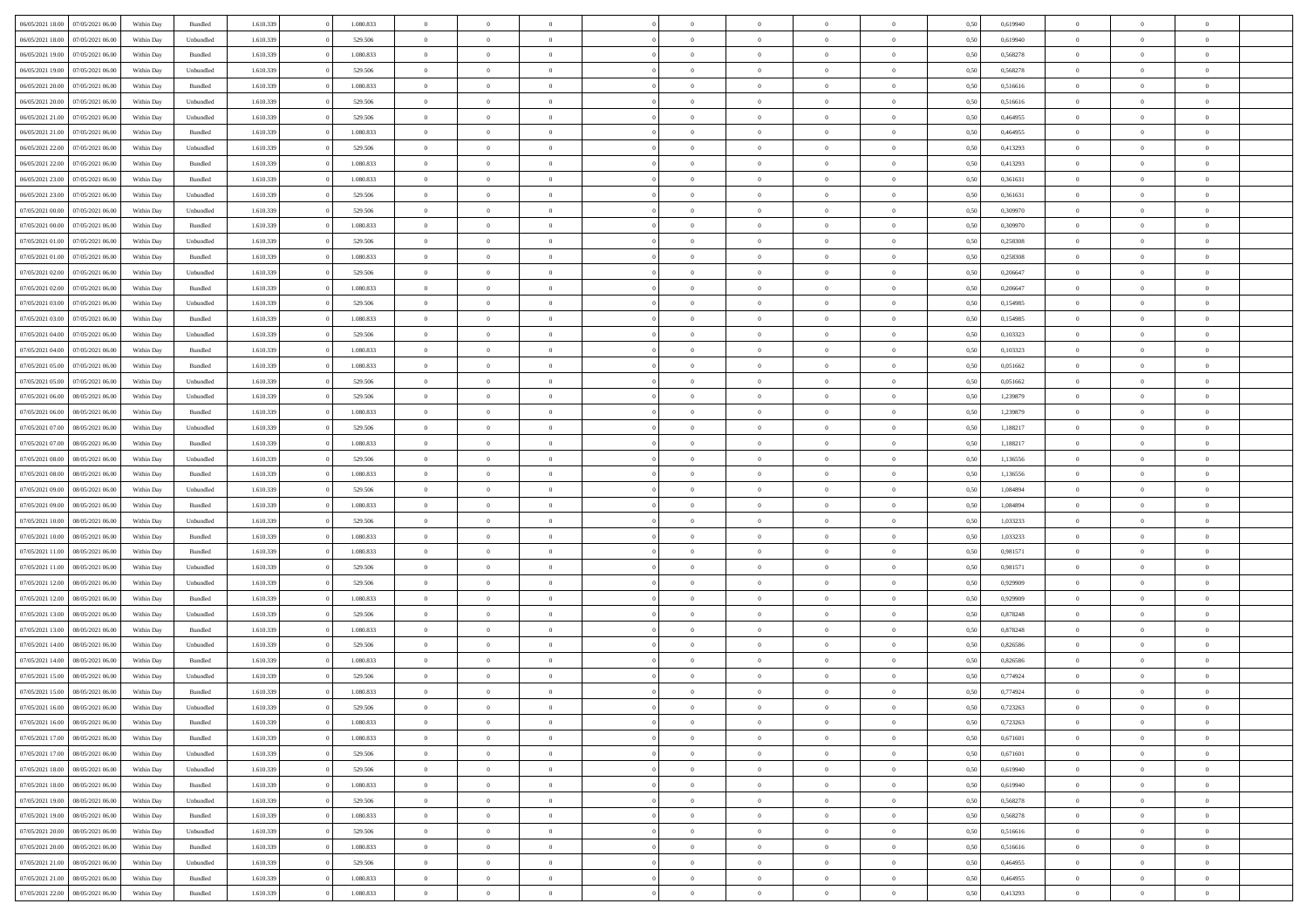| 06/05/2021 18:00                  | 07/05/2021 06:00 | Within Day | Bundled   | 1.610.339 | 1.080.833 | $\overline{0}$ | $\Omega$       |                | $\Omega$       | $\Omega$       | $\theta$       | $\theta$       | 0,50 | 0,619940 | $\theta$       | $\theta$       | $\theta$       |  |
|-----------------------------------|------------------|------------|-----------|-----------|-----------|----------------|----------------|----------------|----------------|----------------|----------------|----------------|------|----------|----------------|----------------|----------------|--|
|                                   |                  |            |           |           |           |                |                |                |                |                |                |                |      |          |                |                |                |  |
| 06/05/2021 18:00                  | 07/05/2021 06:00 | Within Day | Unbundled | 1.610.339 | 529.506   | $\overline{0}$ | $\theta$       | $\overline{0}$ | $\overline{0}$ | $\bf{0}$       | $\overline{0}$ | $\bf{0}$       | 0,50 | 0,619940 | $\theta$       | $\overline{0}$ | $\overline{0}$ |  |
| 06/05/2021 19:00                  | 07/05/2021 06:00 | Within Day | Bundled   | 1.610.339 | 1.080.833 | $\overline{0}$ | $\overline{0}$ | $\overline{0}$ | $\bf{0}$       | $\bf{0}$       | $\bf{0}$       | $\mathbf{0}$   | 0,50 | 0,568278 | $\bf{0}$       | $\overline{0}$ | $\overline{0}$ |  |
| 06/05/2021 19:00                  | 07/05/2021 06:00 | Within Dav | Unbundled | 1.610.339 | 529.506   | $\overline{0}$ | $\overline{0}$ | $\overline{0}$ | $\overline{0}$ | $\bf{0}$       | $\overline{0}$ | $\overline{0}$ | 0.50 | 0,568278 | $\theta$       | $\overline{0}$ | $\overline{0}$ |  |
| 06/05/2021 20:00                  | 07/05/2021 06.00 | Within Day | Bundled   | 1.610.339 | 1.080.833 | $\overline{0}$ | $\theta$       | $\overline{0}$ | $\overline{0}$ | $\bf{0}$       | $\overline{0}$ | $\bf{0}$       | 0,50 | 0,516616 | $\,$ 0 $\,$    | $\overline{0}$ | $\overline{0}$ |  |
| 06/05/2021 20:00                  | 07/05/2021 06:00 | Within Day | Unbundled | 1.610.339 | 529.506   | $\overline{0}$ | $\overline{0}$ | $\overline{0}$ | $\bf{0}$       | $\overline{0}$ | $\overline{0}$ | $\mathbf{0}$   | 0,50 | 0,516616 | $\bf{0}$       | $\overline{0}$ | $\bf{0}$       |  |
|                                   |                  |            |           |           |           |                | $\overline{0}$ |                |                | $\overline{0}$ |                |                |      |          | $\theta$       | $\overline{0}$ | $\overline{0}$ |  |
| 06/05/2021 21:00                  | 07/05/2021 06:00 | Within Dav | Unbundled | 1.610.339 | 529.506   | $\overline{0}$ |                | $\overline{0}$ | $\overline{0}$ |                | $\overline{0}$ | $\overline{0}$ | 0.50 | 0,464955 |                |                |                |  |
| 06/05/2021 21:00                  | 07/05/2021 06:00 | Within Day | Bundled   | 1.610.339 | 1.080.833 | $\overline{0}$ | $\theta$       | $\overline{0}$ | $\overline{0}$ | $\bf{0}$       | $\overline{0}$ | $\bf{0}$       | 0,50 | 0,464955 | $\theta$       | $\theta$       | $\overline{0}$ |  |
| 06/05/2021 22.00                  | 07/05/2021 06:00 | Within Day | Unbundled | 1.610.339 | 529.506   | $\overline{0}$ | $\overline{0}$ | $\overline{0}$ | $\bf{0}$       | $\bf{0}$       | $\bf{0}$       | $\mathbf{0}$   | 0,50 | 0,413293 | $\,0\,$        | $\overline{0}$ | $\overline{0}$ |  |
| 06/05/2021 22:00                  | 07/05/2021 06:00 | Within Dav | Bundled   | 1.610.339 | 1.080.833 | $\overline{0}$ | $\overline{0}$ | $\overline{0}$ | $\overline{0}$ | $\overline{0}$ | $\overline{0}$ | $\overline{0}$ | 0.50 | 0,413293 | $\theta$       | $\overline{0}$ | $\overline{0}$ |  |
| 06/05/2021 23:00                  | 07/05/2021 06:00 | Within Day | Bundled   | 1.610.339 | 1.080.833 | $\overline{0}$ | $\theta$       | $\overline{0}$ | $\overline{0}$ | $\bf{0}$       | $\overline{0}$ | $\bf{0}$       | 0,50 | 0,361631 | $\,$ 0 $\,$    | $\overline{0}$ | $\overline{0}$ |  |
| 06/05/2021 23.00                  | 07/05/2021 06:00 | Within Day | Unbundled | 1.610.339 | 529.506   | $\overline{0}$ | $\overline{0}$ | $\overline{0}$ | $\bf{0}$       | $\overline{0}$ | $\bf{0}$       | $\mathbf{0}$   | 0,50 | 0,361631 | $\overline{0}$ | $\overline{0}$ | $\bf{0}$       |  |
| 07/05/2021 00:00                  | 07/05/2021 06:00 | Within Day | Unbundled | 1.610.339 | 529.506   | $\overline{0}$ | $\overline{0}$ | $\overline{0}$ | $\overline{0}$ | $\overline{0}$ | $\overline{0}$ | $\overline{0}$ | 0.50 | 0,309970 | $\theta$       | $\theta$       | $\overline{0}$ |  |
| 07/05/2021 00:00                  | 07/05/2021 06.00 |            |           | 1.610.339 | 1.080.833 | $\overline{0}$ | $\theta$       | $\overline{0}$ | $\overline{0}$ | $\bf{0}$       | $\overline{0}$ |                |      | 0,309970 | $\theta$       | $\overline{0}$ | $\overline{0}$ |  |
|                                   |                  | Within Day | Bundled   |           |           |                |                |                |                |                |                | $\bf{0}$       | 0,50 |          |                |                |                |  |
| 07/05/2021 01:00                  | 07/05/2021 06:00 | Within Day | Unbundled | 1.610.339 | 529.506   | $\overline{0}$ | $\overline{0}$ | $\overline{0}$ | $\bf{0}$       | $\overline{0}$ | $\overline{0}$ | $\mathbf{0}$   | 0,50 | 0,258308 | $\overline{0}$ | $\overline{0}$ | $\bf{0}$       |  |
| 07/05/2021 01:00                  | 07/05/2021 06:00 | Within Dav | Bundled   | 1.610.339 | 1.080.833 | $\overline{0}$ | $\overline{0}$ | $\overline{0}$ | $\overline{0}$ | $\overline{0}$ | $\overline{0}$ | $\overline{0}$ | 0.50 | 0,258308 | $\overline{0}$ | $\overline{0}$ | $\overline{0}$ |  |
| 07/05/2021 02:00                  | 07/05/2021 06:00 | Within Day | Unbundled | 1.610.339 | 529.506   | $\overline{0}$ | $\theta$       | $\overline{0}$ | $\overline{0}$ | $\bf{0}$       | $\overline{0}$ | $\bf{0}$       | 0,50 | 0,206647 | $\theta$       | $\overline{0}$ | $\overline{0}$ |  |
| 07/05/2021 02.00                  | 07/05/2021 06:00 | Within Day | Bundled   | 1.610.339 | 1.080.833 | $\overline{0}$ | $\overline{0}$ | $\overline{0}$ | $\bf{0}$       | $\overline{0}$ | $\bf{0}$       | $\mathbf{0}$   | 0,50 | 0,206647 | $\bf{0}$       | $\overline{0}$ | $\bf{0}$       |  |
| 07/05/2021 03:00                  | 07/05/2021 06:00 | Within Dav | Unbundled | 1.610.339 | 529.506   | $\overline{0}$ | $\overline{0}$ | $\overline{0}$ | $\overline{0}$ | $\overline{0}$ | $\overline{0}$ | $\overline{0}$ | 0.50 | 0,154985 | $\theta$       | $\overline{0}$ | $\overline{0}$ |  |
| 07/05/2021 03:00                  | 07/05/2021 06:00 | Within Day | Bundled   | 1.610.339 | 1.080.833 | $\overline{0}$ | $\theta$       | $\overline{0}$ | $\overline{0}$ | $\bf{0}$       | $\overline{0}$ | $\bf{0}$       | 0,50 | 0,154985 | $\,$ 0 $\,$    | $\overline{0}$ | $\overline{0}$ |  |
| 07/05/2021 04:00                  | 07/05/2021 06:00 | Within Day | Unbundled | 1.610.339 | 529.506   | $\overline{0}$ | $\overline{0}$ | $\overline{0}$ | $\bf{0}$       | $\bf{0}$       | $\bf{0}$       | $\mathbf{0}$   | 0,50 | 0,103323 | $\overline{0}$ | $\overline{0}$ | $\bf{0}$       |  |
| 07/05/2021 04:00                  | 07/05/2021 06:00 | Within Day | Bundled   | 1.610.339 | 1.080.833 | $\overline{0}$ | $\overline{0}$ | $\overline{0}$ | $\overline{0}$ | $\overline{0}$ | $\overline{0}$ | $\overline{0}$ | 0.50 | 0,103323 | $\theta$       | $\overline{0}$ | $\overline{0}$ |  |
|                                   |                  |            |           |           |           |                |                |                |                |                |                |                |      |          |                |                |                |  |
| 07/05/2021 05:00                  | 07/05/2021 06:00 | Within Day | Bundled   | 1.610.339 | 1.080.833 | $\overline{0}$ | $\theta$       | $\overline{0}$ | $\overline{0}$ | $\bf{0}$       | $\overline{0}$ | $\bf{0}$       | 0,50 | 0,051662 | $\,$ 0 $\,$    | $\overline{0}$ | $\overline{0}$ |  |
| 07/05/2021 05:00                  | 07/05/2021 06:00 | Within Day | Unbundled | 1.610.339 | 529.506   | $\overline{0}$ | $\overline{0}$ | $\overline{0}$ | $\bf{0}$       | $\overline{0}$ | $\overline{0}$ | $\mathbf{0}$   | 0,50 | 0,051662 | $\overline{0}$ | $\overline{0}$ | $\bf{0}$       |  |
| 07/05/2021 06:00                  | 08/05/2021 06:00 | Within Dav | Unbundled | 1.610.339 | 529.506   | $\overline{0}$ | $\overline{0}$ | $\overline{0}$ | $\overline{0}$ | $\overline{0}$ | $\overline{0}$ | $\overline{0}$ | 0.50 | 1,239879 | $\overline{0}$ | $\overline{0}$ | $\overline{0}$ |  |
| 07/05/2021 06:00                  | 08/05/2021 06:00 | Within Day | Bundled   | 1.610.339 | 1.080.833 | $\overline{0}$ | $\theta$       | $\overline{0}$ | $\overline{0}$ | $\bf{0}$       | $\overline{0}$ | $\bf{0}$       | 0,50 | 1,239879 | $\,$ 0 $\,$    | $\overline{0}$ | $\overline{0}$ |  |
| 07/05/2021 07:00                  | 08/05/2021 06:00 | Within Day | Unbundled | 1.610.339 | 529.506   | $\overline{0}$ | $\overline{0}$ | $\overline{0}$ | $\bf{0}$       | $\bf{0}$       | $\bf{0}$       | $\bf{0}$       | 0,50 | 1,188217 | $\,0\,$        | $\overline{0}$ | $\overline{0}$ |  |
| 07/05/2021 07:00                  | 08/05/2021 06:00 | Within Day | Bundled   | 1.610.339 | 1.080.833 | $\overline{0}$ | $\overline{0}$ | $\overline{0}$ | $\overline{0}$ | $\overline{0}$ | $\overline{0}$ | $\overline{0}$ | 0.50 | 1,188217 | $\theta$       | $\overline{0}$ | $\overline{0}$ |  |
| 07/05/2021 08:00                  | 08/05/2021 06:00 | Within Day | Unbundled | 1.610.339 | 529.506   | $\overline{0}$ | $\overline{0}$ | $\overline{0}$ | $\overline{0}$ | $\bf{0}$       | $\overline{0}$ | $\bf{0}$       | 0,50 | 1,136556 | $\,$ 0 $\,$    | $\overline{0}$ | $\overline{0}$ |  |
|                                   |                  |            |           |           |           |                |                |                |                |                |                |                |      |          |                |                |                |  |
| 07/05/2021 08:00                  | 08/05/2021 06:00 | Within Day | Bundled   | 1.610.339 | 1.080.833 | $\overline{0}$ | $\overline{0}$ | $\overline{0}$ | $\overline{0}$ | $\overline{0}$ | $\overline{0}$ | $\mathbf{0}$   | 0,50 | 1,136556 | $\overline{0}$ | $\overline{0}$ | $\bf{0}$       |  |
| 07/05/2021 09:00                  | 08/05/2021 06:00 | Within Day | Unbundled | 1.610.339 | 529.506   | $\overline{0}$ | $\Omega$       | $\overline{0}$ | $\Omega$       | $\Omega$       | $\overline{0}$ | $\overline{0}$ | 0,50 | 1.084894 | $\,0\,$        | $\theta$       | $\theta$       |  |
| 07/05/2021 09:00                  | 08/05/2021 06:00 | Within Day | Bundled   | 1.610.339 | 1.080.833 | $\overline{0}$ | $\theta$       | $\overline{0}$ | $\overline{0}$ | $\bf{0}$       | $\overline{0}$ | $\bf{0}$       | 0,50 | 1,084894 | $\,$ 0 $\,$    | $\overline{0}$ | $\overline{0}$ |  |
| 07/05/2021 10:00                  | 08/05/2021 06:00 | Within Day | Unbundled | 1.610.339 | 529.506   | $\overline{0}$ | $\overline{0}$ | $\overline{0}$ | $\overline{0}$ | $\overline{0}$ | $\overline{0}$ | $\mathbf{0}$   | 0,50 | 1,033233 | $\overline{0}$ | $\overline{0}$ | $\bf{0}$       |  |
| 07/05/2021 10:00                  | 08/05/2021 06:00 | Within Day | Bundled   | 1.610.339 | 1.080.833 | $\overline{0}$ | $\Omega$       | $\Omega$       | $\Omega$       | $\overline{0}$ | $\overline{0}$ | $\overline{0}$ | 0.50 | 1,033233 | $\,0\,$        | $\theta$       | $\theta$       |  |
| 07/05/2021 11:00                  | 08/05/2021 06:00 | Within Day | Bundled   | 1.610.339 | 1.080.833 | $\overline{0}$ | $\theta$       | $\overline{0}$ | $\overline{0}$ | $\bf{0}$       | $\overline{0}$ | $\bf{0}$       | 0,50 | 0,981571 | $\,$ 0 $\,$    | $\overline{0}$ | $\overline{0}$ |  |
| 07/05/2021 11:00                  | 08/05/2021 06:00 | Within Day | Unbundled | 1.610.339 | 529.506   | $\overline{0}$ | $\overline{0}$ | $\overline{0}$ | $\overline{0}$ | $\bf{0}$       | $\overline{0}$ | $\mathbf{0}$   | 0,50 | 0,981571 | $\bf{0}$       | $\overline{0}$ | $\bf{0}$       |  |
| 07/05/2021 12:00                  | 08/05/2021 06:00 | Within Day | Unbundled | 1.610.339 | 529.506   | $\overline{0}$ | $\Omega$       | $\overline{0}$ | $\Omega$       | $\overline{0}$ | $\overline{0}$ | $\overline{0}$ | 0.50 | 0,929909 | $\,$ 0 $\,$    | $\theta$       | $\theta$       |  |
|                                   |                  |            |           |           |           | $\overline{0}$ |                |                |                |                |                |                |      |          |                |                |                |  |
| 07/05/2021 12:00                  | 08/05/2021 06:00 | Within Day | Bundled   | 1.610.339 | 1.080.833 |                | $\overline{0}$ | $\overline{0}$ | $\overline{0}$ | $\,$ 0         | $\overline{0}$ | $\bf{0}$       | 0,50 | 0,929909 | $\,$ 0 $\,$    | $\overline{0}$ | $\overline{0}$ |  |
| 07/05/2021 13:00                  | 08/05/2021 06:00 | Within Day | Unbundled | 1.610.339 | 529.506   | $\overline{0}$ | $\overline{0}$ | $\overline{0}$ | $\overline{0}$ | $\bf{0}$       | $\overline{0}$ | $\mathbf{0}$   | 0,50 | 0,878248 | $\overline{0}$ | $\overline{0}$ | $\bf{0}$       |  |
| 07/05/2021 13:00                  | 08/05/2021 06:00 | Within Day | Bundled   | 1.610.339 | 1.080.833 | $\overline{0}$ | $\Omega$       | $\overline{0}$ | $\Omega$       | $\overline{0}$ | $\overline{0}$ | $\overline{0}$ | 0,50 | 0,878248 | $\,0\,$        | $\theta$       | $\theta$       |  |
| 07/05/2021 14:00                  | 08/05/2021 06:00 | Within Day | Unbundled | 1.610.339 | 529.506   | $\overline{0}$ | $\overline{0}$ | $\overline{0}$ | $\overline{0}$ | $\,$ 0         | $\overline{0}$ | $\bf{0}$       | 0,50 | 0,826586 | $\,$ 0 $\,$    | $\overline{0}$ | $\overline{0}$ |  |
| 07/05/2021 14:00                  | 08/05/2021 06:00 | Within Day | Bundled   | 1.610.339 | 1.080.833 | $\overline{0}$ | $\overline{0}$ | $\overline{0}$ | $\overline{0}$ | $\bf{0}$       | $\overline{0}$ | $\mathbf{0}$   | 0,50 | 0,826586 | $\overline{0}$ | $\overline{0}$ | $\bf{0}$       |  |
| 07/05/2021 15:00                  | 08/05/2021 06:00 | Within Day | Unbundled | 1.610.339 | 529.506   | $\overline{0}$ | $\Omega$       | $\Omega$       | $\Omega$       | $\Omega$       | $\Omega$       | $\overline{0}$ | 0.50 | 0,774924 | $\theta$       | $\theta$       | $\theta$       |  |
| 07/05/2021 15:00                  | 08/05/2021 06:00 | Within Day | Bundled   | 1.610.339 | 1.080.833 | $\overline{0}$ | $\overline{0}$ | $\overline{0}$ | $\bf{0}$       | $\,$ 0         | $\overline{0}$ | $\bf{0}$       | 0,50 | 0,774924 | $\,0\,$        | $\,0\,$        | $\overline{0}$ |  |
| 07/05/2021 16:00 08/05/2021 06:00 |                  | Within Day | Unbundled | 1.610.339 | 529.506   | $\bf{0}$       | $\bf{0}$       |                |                | $\bf{0}$       |                |                | 0,50 | 0,723263 | $\bf{0}$       | $\overline{0}$ |                |  |
| 07/05/2021 16:00                  | 08/05/2021 06:00 | Within Day | Bundled   | 1.610.339 | 1.080.833 | $\overline{0}$ | $\overline{0}$ | $\overline{0}$ | $\Omega$       | $\overline{0}$ | $\overline{0}$ | $\overline{0}$ | 0,50 | 0,723263 | $\theta$       | $\theta$       | $\theta$       |  |
|                                   |                  |            |           |           |           |                |                |                |                |                |                |                |      |          |                |                |                |  |
| 07/05/2021 17:00                  | 08/05/2021 06:00 | Within Day | Bundled   | 1.610.339 | 1.080.833 | $\overline{0}$ | $\,$ 0         | $\overline{0}$ | $\overline{0}$ | $\,$ 0 $\,$    | $\overline{0}$ | $\,$ 0 $\,$    | 0,50 | 0,671601 | $\,$ 0 $\,$    | $\,$ 0 $\,$    | $\,$ 0         |  |
| 07/05/2021 17:00                  | 08/05/2021 06:00 | Within Day | Unbundled | 1.610.339 | 529.506   | $\overline{0}$ | $\overline{0}$ | $\overline{0}$ | $\overline{0}$ | $\overline{0}$ | $\overline{0}$ | $\mathbf{0}$   | 0,50 | 0,671601 | $\overline{0}$ | $\bf{0}$       | $\overline{0}$ |  |
| 07/05/2021 18:00                  | 08/05/2021 06:00 | Within Day | Unbundled | 1.610.339 | 529.506   | $\overline{0}$ | $\overline{0}$ | $\overline{0}$ | $\Omega$       | $\overline{0}$ | $\overline{0}$ | $\overline{0}$ | 0,50 | 0,619940 | $\overline{0}$ | $\theta$       | $\overline{0}$ |  |
| 07/05/2021 18:00                  | 08/05/2021 06:00 | Within Day | Bundled   | 1.610.339 | 1.080.833 | $\overline{0}$ | $\,$ 0         | $\overline{0}$ | $\bf{0}$       | $\,$ 0 $\,$    | $\overline{0}$ | $\mathbf{0}$   | 0,50 | 0,619940 | $\,$ 0 $\,$    | $\overline{0}$ | $\overline{0}$ |  |
| 07/05/2021 19:00                  | 08/05/2021 06:00 | Within Day | Unbundled | 1.610.339 | 529.506   | $\overline{0}$ | $\overline{0}$ | $\overline{0}$ | $\overline{0}$ | $\overline{0}$ | $\overline{0}$ | $\mathbf{0}$   | 0,50 | 0,568278 | $\overline{0}$ | $\overline{0}$ | $\bf{0}$       |  |
| 07/05/2021 19:00                  | 08/05/2021 06:00 | Within Day | Bundled   | 1.610.339 | 1.080.833 | $\overline{0}$ | $\overline{0}$ | $\overline{0}$ | $\overline{0}$ | $\overline{0}$ | $\overline{0}$ | $\bf{0}$       | 0.50 | 0,568278 | $\overline{0}$ | $\theta$       | $\overline{0}$ |  |
| 07/05/2021 20:00                  | 08/05/2021 06:00 | Within Day | Unbundled | 1.610.339 | 529.506   | $\overline{0}$ | $\,$ 0         | $\overline{0}$ | $\bf{0}$       | $\bf{0}$       | $\bf{0}$       | $\bf{0}$       | 0,50 | 0,516616 | $\,$ 0 $\,$    | $\overline{0}$ | $\overline{0}$ |  |
| 07/05/2021 20:00                  | 08/05/2021 06:00 | Within Day | Bundled   | 1.610.339 | 1.080.833 | $\overline{0}$ | $\bf{0}$       | $\overline{0}$ | $\overline{0}$ | $\overline{0}$ | $\overline{0}$ | $\mathbf{0}$   | 0,50 | 0,516616 | $\overline{0}$ | $\overline{0}$ | $\bf{0}$       |  |
|                                   |                  |            |           |           |           |                |                |                |                |                |                |                |      |          |                |                |                |  |
| 07/05/2021 21:00                  | 08/05/2021 06:00 | Within Day | Unbundled | 1.610.339 | 529.506   | $\overline{0}$ | $\overline{0}$ | $\overline{0}$ | $\Omega$       | $\overline{0}$ | $\overline{0}$ | $\overline{0}$ | 0.50 | 0.464955 | $\overline{0}$ | $\overline{0}$ | $\overline{0}$ |  |
| 07/05/2021 21:00                  | 08/05/2021 06:00 | Within Day | Bundled   | 1.610.339 | 1.080.833 | $\overline{0}$ | $\bf{0}$       | $\overline{0}$ | $\bf{0}$       | $\bf{0}$       | $\bf{0}$       | $\mathbf{0}$   | 0,50 | 0,464955 | $\,$ 0 $\,$    | $\,$ 0 $\,$    | $\bf{0}$       |  |
| 07/05/2021 22.00                  | 08/05/2021 06:00 | Within Day | Bundled   | 1.610.339 | 1.080.833 | $\overline{0}$ | $\overline{0}$ | $\overline{0}$ | $\overline{0}$ | $\overline{0}$ | $\bf{0}$       | $\mathbf{0}$   | 0,50 | 0,413293 | $\overline{0}$ | $\bf{0}$       | $\overline{0}$ |  |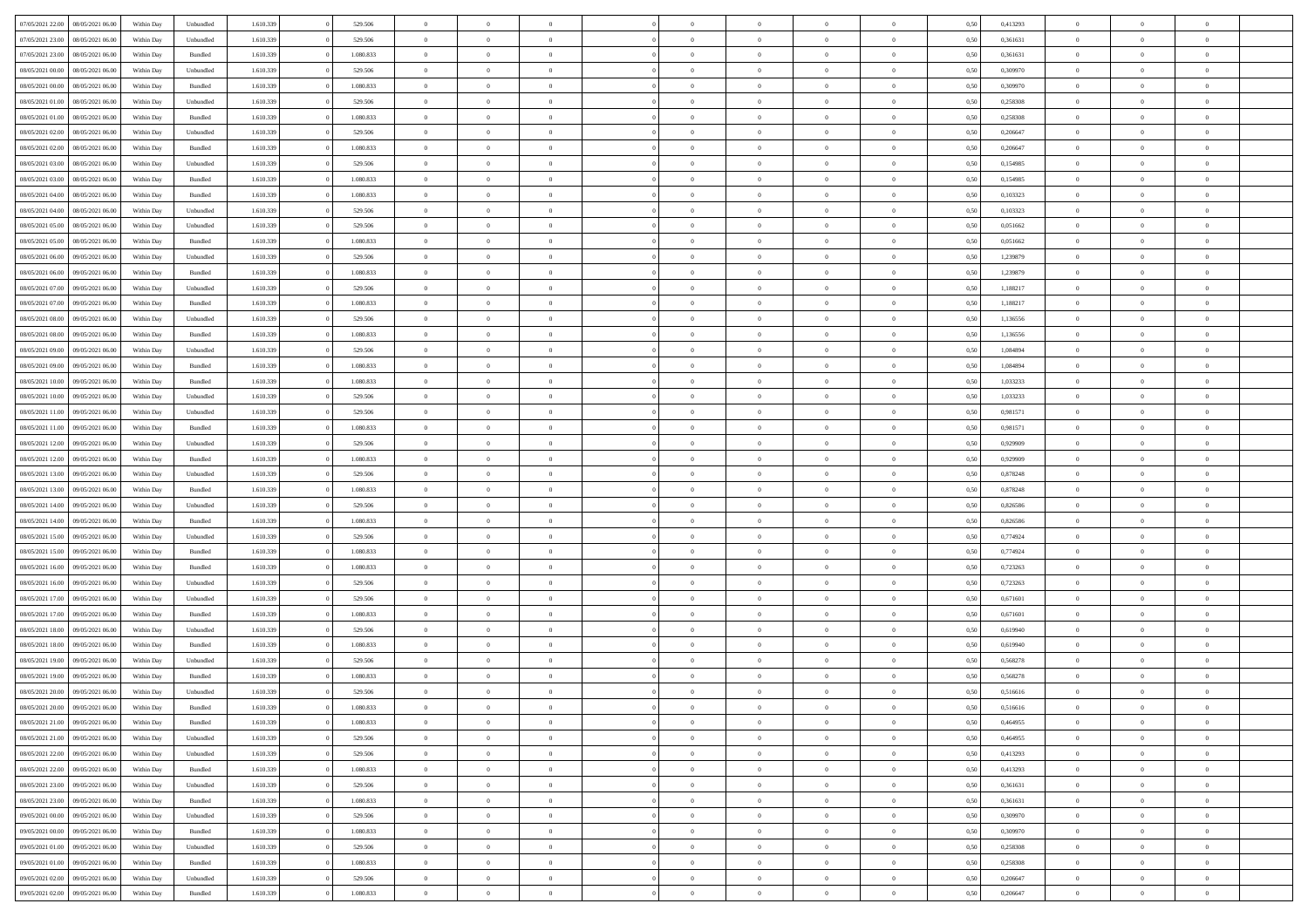| 07/05/2021 22:00 | 08/05/2021 06:00 | Within Day | Unbundled          | 1.610.339 | 529.506   | $\overline{0}$ | $\Omega$       |                | $\Omega$       | $\Omega$       | $\theta$       | $\theta$       | 0.50 | 0,413293 | $\theta$       | $\theta$       | $\theta$       |  |
|------------------|------------------|------------|--------------------|-----------|-----------|----------------|----------------|----------------|----------------|----------------|----------------|----------------|------|----------|----------------|----------------|----------------|--|
| 07/05/2021 23:00 | 08/05/2021 06:00 | Within Day | Unbundled          | 1.610.339 | 529.506   | $\overline{0}$ | $\theta$       | $\overline{0}$ | $\overline{0}$ | $\bf{0}$       | $\overline{0}$ | $\bf{0}$       | 0,50 | 0,361631 | $\theta$       | $\theta$       | $\overline{0}$ |  |
| 07/05/2021 23.00 | 08/05/2021 06:00 | Within Day | Bundled            | 1.610.339 | 1.080.833 | $\overline{0}$ | $\overline{0}$ | $\overline{0}$ | $\bf{0}$       | $\bf{0}$       | $\bf{0}$       | $\bf{0}$       | 0,50 | 0,361631 | $\overline{0}$ | $\overline{0}$ | $\overline{0}$ |  |
|                  |                  |            |                    |           |           |                |                |                |                |                |                |                |      |          |                |                |                |  |
| 08/05/2021 00:00 | 08/05/2021 06:00 | Within Dav | Unbundled          | 1.610.339 | 529.506   | $\overline{0}$ | $\overline{0}$ | $\overline{0}$ | $\overline{0}$ | $\bf{0}$       | $\overline{0}$ | $\overline{0}$ | 0.50 | 0,309970 | $\theta$       | $\theta$       | $\overline{0}$ |  |
| 08/05/2021 00:00 | 08/05/2021 06:00 | Within Day | Bundled            | 1.610.339 | 1.080.833 | $\overline{0}$ | $\theta$       | $\overline{0}$ | $\overline{0}$ | $\bf{0}$       | $\overline{0}$ | $\bf{0}$       | 0,50 | 0,309970 | $\theta$       | $\overline{0}$ | $\overline{0}$ |  |
| 08/05/2021 01:00 | 08/05/2021 06:00 | Within Day | Unbundled          | 1.610.339 | 529.506   | $\overline{0}$ | $\bf{0}$       | $\overline{0}$ | $\bf{0}$       | $\overline{0}$ | $\overline{0}$ | $\mathbf{0}$   | 0,50 | 0,258308 | $\overline{0}$ | $\overline{0}$ | $\bf{0}$       |  |
| 08/05/2021 01:00 | 08/05/2021 06:00 | Within Dav | Bundled            | 1.610.339 | 1.080.833 | $\overline{0}$ | $\overline{0}$ | $\overline{0}$ | $\overline{0}$ | $\overline{0}$ | $\overline{0}$ | $\overline{0}$ | 0.50 | 0,258308 | $\theta$       | $\overline{0}$ | $\overline{0}$ |  |
|                  |                  |            |                    |           |           |                |                |                |                |                |                |                |      |          |                |                |                |  |
| 08/05/2021 02:00 | 08/05/2021 06:00 | Within Day | Unbundled          | 1.610.339 | 529.506   | $\overline{0}$ | $\theta$       | $\overline{0}$ | $\overline{0}$ | $\bf{0}$       | $\overline{0}$ | $\bf{0}$       | 0,50 | 0,206647 | $\theta$       | $\theta$       | $\overline{0}$ |  |
| 08/05/2021 02:00 | 08/05/2021 06:00 | Within Day | Bundled            | 1.610.339 | 1.080.833 | $\overline{0}$ | $\overline{0}$ | $\overline{0}$ | $\bf{0}$       | $\bf{0}$       | $\overline{0}$ | $\bf{0}$       | 0,50 | 0,206647 | $\,0\,$        | $\overline{0}$ | $\overline{0}$ |  |
| 08/05/2021 03:00 | 08/05/2021 06:00 | Within Dav | Unbundled          | 1.610.339 | 529.506   | $\overline{0}$ | $\overline{0}$ | $\overline{0}$ | $\overline{0}$ | $\overline{0}$ | $\overline{0}$ | $\overline{0}$ | 0.50 | 0,154985 | $\theta$       | $\overline{0}$ | $\overline{0}$ |  |
|                  |                  |            |                    |           |           |                |                |                |                |                |                |                |      |          |                |                |                |  |
| 08/05/2021 03:00 | 08/05/2021 06:00 | Within Day | Bundled            | 1.610.339 | 1.080.833 | $\overline{0}$ | $\theta$       | $\overline{0}$ | $\overline{0}$ | $\bf{0}$       | $\overline{0}$ | $\bf{0}$       | 0,50 | 0,154985 | $\,$ 0 $\,$    | $\overline{0}$ | $\overline{0}$ |  |
| 08/05/2021 04:00 | 08/05/2021 06:00 | Within Day | Bundled            | 1.610.339 | 1.080.833 | $\overline{0}$ | $\overline{0}$ | $\overline{0}$ | $\overline{0}$ | $\bf{0}$       | $\overline{0}$ | $\mathbf{0}$   | 0,50 | 0,103323 | $\bf{0}$       | $\overline{0}$ | $\overline{0}$ |  |
| 08/05/2021 04:00 | 08/05/2021 06:00 | Within Day | Unbundled          | 1.610.339 | 529.506   | $\overline{0}$ | $\overline{0}$ | $\overline{0}$ | $\overline{0}$ | $\bf{0}$       | $\overline{0}$ | $\overline{0}$ | 0.50 | 0,103323 | $\theta$       | $\theta$       | $\overline{0}$ |  |
| 08/05/2021 05:00 | 08/05/2021 06:00 | Within Day | Unbundled          | 1.610.339 | 529.506   | $\overline{0}$ | $\theta$       | $\overline{0}$ | $\overline{0}$ | $\bf{0}$       | $\overline{0}$ | $\bf{0}$       | 0,50 | 0,051662 | $\theta$       | $\overline{0}$ | $\overline{0}$ |  |
|                  |                  |            |                    |           |           |                |                |                |                |                |                |                |      |          |                |                |                |  |
| 08/05/2021 05:00 | 08/05/2021 06:00 | Within Day | Bundled            | 1.610.339 | 1.080.833 | $\overline{0}$ | $\overline{0}$ | $\overline{0}$ | $\overline{0}$ | $\overline{0}$ | $\overline{0}$ | $\mathbf{0}$   | 0,50 | 0,051662 | $\bf{0}$       | $\overline{0}$ | $\bf{0}$       |  |
| 08/05/2021 06:00 | 09/05/2021 06:00 | Within Dav | Unbundled          | 1.610.339 | 529.506   | $\overline{0}$ | $\overline{0}$ | $\overline{0}$ | $\overline{0}$ | $\overline{0}$ | $\overline{0}$ | $\overline{0}$ | 0.50 | 1,239879 | $\theta$       | $\overline{0}$ | $\overline{0}$ |  |
| 08/05/2021 06:00 | 09/05/2021 06:00 | Within Day | Bundled            | 1.610.339 | 1.080.833 | $\overline{0}$ | $\theta$       | $\overline{0}$ | $\overline{0}$ | $\bf{0}$       | $\overline{0}$ | $\bf{0}$       | 0,50 | 1,239879 | $\,$ 0 $\,$    | $\theta$       | $\overline{0}$ |  |
|                  |                  |            |                    |           |           |                |                |                |                |                |                |                |      |          |                |                |                |  |
| 08/05/2021 07:00 | 09/05/2021 06:00 | Within Day | Unbundled          | 1.610.339 | 529.506   | $\overline{0}$ | $\overline{0}$ | $\overline{0}$ | $\overline{0}$ | $\bf{0}$       | $\overline{0}$ | $\mathbf{0}$   | 0,50 | 1,188217 | $\,0\,$        | $\overline{0}$ | $\overline{0}$ |  |
| 08/05/2021 07:00 | 09/05/2021 06:00 | Within Day | Bundled            | 1.610.339 | 1.080.833 | $\overline{0}$ | $\overline{0}$ | $\overline{0}$ | $\overline{0}$ | $\overline{0}$ | $\overline{0}$ | $\overline{0}$ | 0.50 | 1,188217 | $\theta$       | $\overline{0}$ | $\overline{0}$ |  |
| 08/05/2021 08:00 | 09/05/2021 06:00 | Within Day | Unbundled          | 1.610.339 | 529.506   | $\overline{0}$ | $\theta$       | $\overline{0}$ | $\overline{0}$ | $\bf{0}$       | $\overline{0}$ | $\bf{0}$       | 0,50 | 1,136556 | $\,$ 0 $\,$    | $\theta$       | $\overline{0}$ |  |
| 08/05/2021 08:00 | 09/05/2021 06:00 | Within Day | Bundled            | 1.610.339 | 1.080.833 | $\overline{0}$ | $\overline{0}$ | $\overline{0}$ | $\overline{0}$ | $\bf{0}$       | $\overline{0}$ | $\bf{0}$       | 0,50 | 1,136556 | $\bf{0}$       | $\overline{0}$ | $\overline{0}$ |  |
|                  |                  |            |                    |           |           |                |                |                |                |                |                |                |      |          |                |                |                |  |
| 08/05/2021 09:00 | 09/05/2021 06:00 | Within Day | Unbundled          | 1.610.339 | 529.506   | $\overline{0}$ | $\overline{0}$ | $\overline{0}$ | $\overline{0}$ | $\overline{0}$ | $\overline{0}$ | $\overline{0}$ | 0.50 | 1.084894 | $\theta$       | $\overline{0}$ | $\overline{0}$ |  |
| 08/05/2021 09:00 | 09/05/2021 06:00 | Within Day | Bundled            | 1.610.339 | 1.080.833 | $\overline{0}$ | $\theta$       | $\overline{0}$ | $\overline{0}$ | $\bf{0}$       | $\overline{0}$ | $\bf{0}$       | 0,50 | 1,084894 | $\,$ 0 $\,$    | $\overline{0}$ | $\overline{0}$ |  |
| 08/05/2021 10:00 | 09/05/2021 06:00 | Within Day | Bundled            | 1.610.339 | 1.080.833 | $\overline{0}$ | $\overline{0}$ | $\overline{0}$ | $\overline{0}$ | $\overline{0}$ | $\overline{0}$ | $\mathbf{0}$   | 0,50 | 1,033233 | $\overline{0}$ | $\overline{0}$ | $\bf{0}$       |  |
| 08/05/2021 10:00 | 09/05/2021 06:00 | Within Dav | Unbundled          | 1.610.339 | 529.506   | $\overline{0}$ | $\overline{0}$ | $\overline{0}$ | $\overline{0}$ | $\overline{0}$ | $\overline{0}$ | $\overline{0}$ | 0.50 | 1,033233 | $\theta$       | $\overline{0}$ | $\overline{0}$ |  |
|                  |                  |            |                    |           |           |                |                |                |                |                |                |                |      |          |                |                |                |  |
| 08/05/2021 11:00 | 09/05/2021 06:00 | Within Day | Unbundled          | 1.610.339 | 529.506   | $\overline{0}$ | $\theta$       | $\overline{0}$ | $\overline{0}$ | $\bf{0}$       | $\overline{0}$ | $\bf{0}$       | 0,50 | 0,981571 | $\theta$       | $\theta$       | $\overline{0}$ |  |
| 08/05/2021 11:00 | 09/05/2021 06:00 | Within Day | Bundled            | 1.610.339 | 1.080.833 | $\overline{0}$ | $\overline{0}$ | $\overline{0}$ | $\overline{0}$ | $\bf{0}$       | $\overline{0}$ | $\bf{0}$       | 0,50 | 0,981571 | $\,0\,$        | $\overline{0}$ | $\overline{0}$ |  |
| 08/05/2021 12:00 | 09/05/2021 06:00 | Within Day | Unbundled          | 1.610.339 | 529.506   | $\overline{0}$ | $\overline{0}$ | $\overline{0}$ | $\overline{0}$ | $\overline{0}$ | $\overline{0}$ | $\overline{0}$ | 0.50 | 0.929909 | $\theta$       | $\overline{0}$ | $\overline{0}$ |  |
| 08/05/2021 12:00 | 09/05/2021 06:00 |            | Bundled            | 1.610.339 | 1.080.833 | $\overline{0}$ | $\theta$       | $\overline{0}$ | $\overline{0}$ | $\bf{0}$       | $\overline{0}$ |                |      | 0,929909 | $\,$ 0 $\,$    | $\overline{0}$ | $\overline{0}$ |  |
|                  |                  | Within Day |                    |           |           |                |                |                |                |                |                | $\bf{0}$       | 0,50 |          |                |                |                |  |
| 08/05/2021 13:00 | 09/05/2021 06:00 | Within Day | Unbundled          | 1.610.339 | 529.506   | $\overline{0}$ | $\overline{0}$ | $\overline{0}$ | $\overline{0}$ | $\bf{0}$       | $\overline{0}$ | $\bf{0}$       | 0,50 | 0,878248 | $\overline{0}$ | $\overline{0}$ | $\overline{0}$ |  |
| 08/05/2021 13:00 | 09/05/2021 06:00 | Within Day | Bundled            | 1.610.339 | 1.080.833 | $\overline{0}$ | $\Omega$       | $\overline{0}$ | $\Omega$       | $\Omega$       | $\overline{0}$ | $\overline{0}$ | 0,50 | 0,878248 | $\,0\,$        | $\theta$       | $\theta$       |  |
| 08/05/2021 14:00 | 09/05/2021 06:00 | Within Day | Unbundled          | 1.610.339 | 529.506   | $\overline{0}$ | $\theta$       | $\overline{0}$ | $\overline{0}$ | $\bf{0}$       | $\overline{0}$ | $\bf{0}$       | 0,50 | 0,826586 | $\,$ 0 $\,$    | $\overline{0}$ | $\overline{0}$ |  |
|                  |                  |            |                    |           |           |                |                |                |                |                |                |                |      |          |                |                |                |  |
| 08/05/2021 14:00 | 09/05/2021 06:00 | Within Day | Bundled            | 1.610.339 | 1.080.833 | $\overline{0}$ | $\overline{0}$ | $\overline{0}$ | $\overline{0}$ | $\bf{0}$       | $\overline{0}$ | $\mathbf{0}$   | 0,50 | 0,826586 | $\overline{0}$ | $\overline{0}$ | $\bf{0}$       |  |
| 08/05/2021 15:00 | 09/05/2021 06:00 | Within Day | Unbundled          | 1.610.339 | 529.506   | $\overline{0}$ | $\Omega$       | $\Omega$       | $\Omega$       | $\overline{0}$ | $\overline{0}$ | $\overline{0}$ | 0.50 | 0,774924 | $\,0\,$        | $\theta$       | $\theta$       |  |
| 08/05/2021 15:00 | 09/05/2021 06:00 | Within Day | Bundled            | 1.610.339 | 1.080.833 | $\overline{0}$ | $\theta$       | $\overline{0}$ | $\overline{0}$ | $\bf{0}$       | $\overline{0}$ | $\bf{0}$       | 0,50 | 0,774924 | $\,$ 0 $\,$    | $\theta$       | $\overline{0}$ |  |
| 08/05/2021 16:00 | 09/05/2021 06:00 | Within Day | Bundled            | 1.610.339 | 1.080.833 | $\overline{0}$ | $\overline{0}$ | $\overline{0}$ | $\bf{0}$       | $\bf{0}$       | $\bf{0}$       | $\bf{0}$       | 0,50 | 0,723263 | $\bf{0}$       | $\overline{0}$ | $\overline{0}$ |  |
|                  |                  |            |                    |           |           |                |                |                |                |                |                |                |      |          |                |                |                |  |
| 08/05/2021 16:00 | 09/05/2021 06:00 | Within Day | Unbundled          | 1.610.339 | 529.506   | $\overline{0}$ | $\Omega$       | $\overline{0}$ | $\Omega$       | $\theta$       | $\overline{0}$ | $\overline{0}$ | 0.50 | 0,723263 | $\theta$       | $\theta$       | $\theta$       |  |
| 08/05/2021 17:00 | 09/05/2021 06:00 | Within Day | Unbundled          | 1.610.339 | 529.506   | $\overline{0}$ | $\theta$       | $\overline{0}$ | $\overline{0}$ | $\bf{0}$       | $\overline{0}$ | $\bf{0}$       | 0,50 | 0,671601 | $\,$ 0 $\,$    | $\overline{0}$ | $\overline{0}$ |  |
| 08/05/2021 17:00 | 09/05/2021 06:00 | Within Day | Bundled            | 1.610.339 | 1.080.833 | $\overline{0}$ | $\overline{0}$ | $\overline{0}$ | $\bf{0}$       | $\bf{0}$       | $\bf{0}$       | $\bf{0}$       | 0,50 | 0,671601 | $\bf{0}$       | $\overline{0}$ | $\overline{0}$ |  |
| 08/05/2021 18:00 | 09/05/2021 06:00 | Within Day | Unbundled          | 1.610.339 | 529.506   | $\overline{0}$ | $\Omega$       | $\overline{0}$ | $\Omega$       | $\overline{0}$ | $\overline{0}$ | $\overline{0}$ | 0,50 | 0,619940 | $\,0\,$        | $\theta$       | $\theta$       |  |
|                  |                  |            |                    |           |           |                |                |                |                |                |                |                |      |          |                |                |                |  |
| 08/05/2021 18:00 | 09/05/2021 06:00 | Within Day | Bundled            | 1.610.339 | 1.080.833 | $\overline{0}$ | $\theta$       | $\overline{0}$ | $\overline{0}$ | $\,$ 0         | $\overline{0}$ | $\bf{0}$       | 0,50 | 0,619940 | $\,$ 0 $\,$    | $\overline{0}$ | $\overline{0}$ |  |
| 08/05/2021 19:00 | 09/05/2021 06:00 | Within Day | Unbundled          | 1.610.339 | 529.506   | $\overline{0}$ | $\overline{0}$ | $\overline{0}$ | $\bf{0}$       | $\bf{0}$       | $\bf{0}$       | $\mathbf{0}$   | 0,50 | 0,568278 | $\bf{0}$       | $\overline{0}$ | $\bf{0}$       |  |
| 08/05/2021 19:00 | 09/05/2021 06:00 | Within Day | Bundled            | 1.610.339 | 1.080.833 | $\overline{0}$ | $\Omega$       | $\Omega$       | $\Omega$       | $\Omega$       | $\Omega$       | $\overline{0}$ | 0.50 | 0.568278 | $\theta$       | $\theta$       | $\theta$       |  |
| 08/05/2021 20:00 | 09/05/2021 06:00 | Within Day | Unbundled          | 1.610.339 | 529.506   | $\overline{0}$ | $\overline{0}$ | $\overline{0}$ | $\bf{0}$       | $\,$ 0         | $\bf{0}$       | $\bf{0}$       | 0,50 | 0,516616 | $\,0\,$        | $\,$ 0 $\,$    | $\overline{0}$ |  |
|                  |                  |            |                    |           |           |                |                |                |                |                |                |                |      |          |                |                |                |  |
| 08/05/2021 20:00 | 09/05/2021 06:00 | Within Day | $\mathbf B$ undled | 1.610.339 | 1.080.833 | $\bf{0}$       | $\bf{0}$       |                |                | $\bf{0}$       |                |                | 0,50 | 0,516616 | $\bf{0}$       | $\overline{0}$ |                |  |
| 08/05/2021 21:00 | 09/05/2021 06:00 | Within Day | Bundled            | 1.610.339 | 1.080.833 | $\overline{0}$ | $\overline{0}$ | $\overline{0}$ | $\Omega$       | $\overline{0}$ | $\overline{0}$ | $\overline{0}$ | 0.50 | 0.464955 | $\theta$       | $\theta$       | $\theta$       |  |
| 08/05/2021 21:00 | 09/05/2021 06:00 | Within Day | Unbundled          | 1.610.339 | 529.506   | $\overline{0}$ | $\,$ 0         | $\overline{0}$ | $\overline{0}$ | $\,$ 0 $\,$    | $\overline{0}$ | $\,$ 0 $\,$    | 0,50 | 0,464955 | $\,$ 0 $\,$    | $\,$ 0 $\,$    | $\,$ 0         |  |
| 08/05/2021 22.00 | 09/05/2021 06:00 | Within Day | Unbundled          | 1.610.339 | 529.506   | $\overline{0}$ | $\overline{0}$ | $\overline{0}$ | $\overline{0}$ | $\overline{0}$ | $\overline{0}$ | $\mathbf{0}$   | 0,50 | 0,413293 | $\overline{0}$ | $\bf{0}$       | $\bf{0}$       |  |
|                  |                  |            |                    |           |           |                |                |                |                |                |                |                |      |          |                |                |                |  |
| 08/05/2021 22:00 | 09/05/2021 06:00 | Within Day | Bundled            | 1.610.339 | 1.080.833 | $\overline{0}$ | $\overline{0}$ | $\overline{0}$ | $\Omega$       | $\overline{0}$ | $\overline{0}$ | $\overline{0}$ | 0,50 | 0,413293 | $\overline{0}$ | $\theta$       | $\overline{0}$ |  |
| 08/05/2021 23:00 | 09/05/2021 06:00 | Within Day | Unbundled          | 1.610.339 | 529.506   | $\overline{0}$ | $\,$ 0         | $\overline{0}$ | $\overline{0}$ | $\,$ 0 $\,$    | $\overline{0}$ | $\mathbf{0}$   | 0,50 | 0,361631 | $\,$ 0 $\,$    | $\overline{0}$ | $\overline{0}$ |  |
| 08/05/2021 23:00 | 09/05/2021 06:00 | Within Day | Bundled            | 1.610.339 | 1.080.833 | $\overline{0}$ | $\overline{0}$ | $\overline{0}$ | $\overline{0}$ | $\overline{0}$ | $\overline{0}$ | $\mathbf{0}$   | 0,50 | 0,361631 | $\overline{0}$ | $\overline{0}$ | $\bf{0}$       |  |
|                  |                  |            |                    |           |           |                |                |                |                |                |                |                |      |          |                |                |                |  |
| 09/05/2021 00:00 | 09/05/2021 06:00 | Within Day | Unbundled          | 1.610.339 | 529.506   | $\overline{0}$ | $\overline{0}$ | $\overline{0}$ | $\overline{0}$ | $\overline{0}$ | $\overline{0}$ | $\bf{0}$       | 0.50 | 0,309970 | $\overline{0}$ | $\theta$       | $\overline{0}$ |  |
| 09/05/2021 00:00 | 09/05/2021 06:00 | Within Day | Bundled            | 1.610.339 | 1.080.833 | $\overline{0}$ | $\,$ 0         | $\overline{0}$ | $\overline{0}$ | $\bf{0}$       | $\overline{0}$ | $\bf{0}$       | 0,50 | 0,309970 | $\,$ 0 $\,$    | $\overline{0}$ | $\overline{0}$ |  |
| 09/05/2021 01:00 | 09/05/2021 06:00 | Within Day | Unbundled          | 1.610.339 | 529.506   | $\overline{0}$ | $\bf{0}$       | $\overline{0}$ | $\overline{0}$ | $\overline{0}$ | $\overline{0}$ | $\mathbf{0}$   | 0,50 | 0,258308 | $\overline{0}$ | $\overline{0}$ | $\bf{0}$       |  |
| 09/05/2021 01:00 | 09/05/2021 06:00 | Within Day | Bundled            | 1.610.339 | 1.080.833 | $\overline{0}$ | $\overline{0}$ | $\overline{0}$ | $\Omega$       | $\overline{0}$ | $\overline{0}$ | $\overline{0}$ | 0.50 | 0,258308 | $\overline{0}$ | $\overline{0}$ | $\overline{0}$ |  |
|                  |                  |            |                    |           |           |                |                |                |                |                |                |                |      |          |                |                |                |  |
| 09/05/2021 02:00 | 09/05/2021 06:00 | Within Day | Unbundled          | 1.610.339 | 529.506   | $\overline{0}$ | $\bf{0}$       | $\overline{0}$ | $\overline{0}$ | $\bf{0}$       | $\overline{0}$ | $\bf{0}$       | 0,50 | 0,206647 | $\,$ 0 $\,$    | $\,$ 0 $\,$    | $\bf{0}$       |  |
| 09/05/2021 02:00 | 09/05/2021 06:00 | Within Day | Bundled            | 1.610.339 | 1.080.833 | $\overline{0}$ | $\bf{0}$       | $\overline{0}$ | $\overline{0}$ | $\bf{0}$       | $\overline{0}$ | $\bf{0}$       | 0,50 | 0,206647 | $\overline{0}$ | $\overline{0}$ | $\bf{0}$       |  |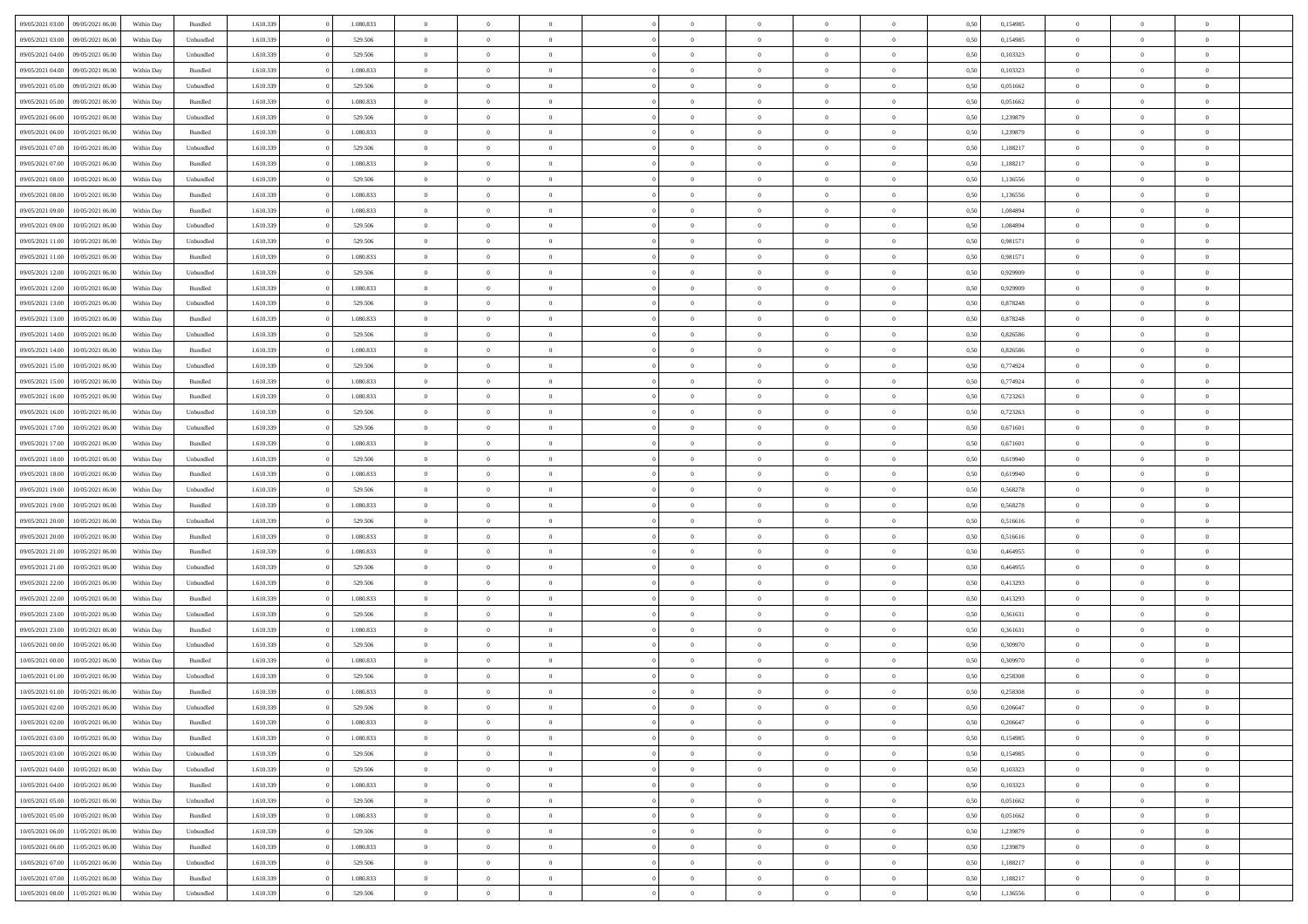| 09/05/2021 03:00 | 09/05/2021 06:00 | Within Day | Bundled   | 1.610.339 | 1.080.833 | $\overline{0}$ | $\Omega$       |                | $\Omega$       | $\Omega$       | $\theta$       | $\theta$       | 0,50 | 0,154985 | $\theta$       | $\theta$       | $\theta$       |  |
|------------------|------------------|------------|-----------|-----------|-----------|----------------|----------------|----------------|----------------|----------------|----------------|----------------|------|----------|----------------|----------------|----------------|--|
|                  |                  |            |           |           |           |                |                |                |                |                |                |                |      |          |                |                |                |  |
| 09/05/2021 03:00 | 09/05/2021 06:00 | Within Day | Unbundled | 1.610.339 | 529.506   | $\overline{0}$ | $\theta$       | $\overline{0}$ | $\overline{0}$ | $\bf{0}$       | $\overline{0}$ | $\bf{0}$       | 0,50 | 0,154985 | $\theta$       | $\theta$       | $\overline{0}$ |  |
| 09/05/2021 04:00 | 09/05/2021 06:00 | Within Day | Unbundled | 1.610.339 | 529.506   | $\overline{0}$ | $\bf{0}$       | $\overline{0}$ | $\overline{0}$ | $\bf{0}$       | $\overline{0}$ | $\bf{0}$       | 0,50 | 0,103323 | $\overline{0}$ | $\overline{0}$ | $\overline{0}$ |  |
| 09/05/2021 04:00 | 09/05/2021 06:00 | Within Dav | Bundled   | 1.610.339 | 1.080.833 | $\overline{0}$ | $\overline{0}$ | $\overline{0}$ | $\overline{0}$ | $\bf{0}$       | $\overline{0}$ | $\overline{0}$ | 0.50 | 0,103323 | $\theta$       | $\theta$       | $\overline{0}$ |  |
| 09/05/2021 05:00 | 09/05/2021 06:00 | Within Day | Unbundled | 1.610.339 | 529.506   | $\overline{0}$ | $\theta$       | $\overline{0}$ | $\overline{0}$ | $\bf{0}$       | $\overline{0}$ | $\bf{0}$       | 0,50 | 0,051662 | $\theta$       | $\overline{0}$ | $\overline{0}$ |  |
| 09/05/2021 05:00 | 09/05/2021 06:00 | Within Day | Bundled   | 1.610.339 | 1.080.833 | $\overline{0}$ | $\overline{0}$ | $\overline{0}$ | $\bf{0}$       | $\overline{0}$ | $\overline{0}$ | $\mathbf{0}$   | 0,50 | 0,051662 | $\overline{0}$ | $\overline{0}$ | $\bf{0}$       |  |
|                  |                  |            |           |           |           |                |                |                |                | $\overline{0}$ |                |                |      |          | $\theta$       | $\overline{0}$ | $\overline{0}$ |  |
| 09/05/2021 06:00 | 10/05/2021 06:00 | Within Dav | Unbundled | 1.610.339 | 529.506   | $\overline{0}$ | $\overline{0}$ | $\overline{0}$ | $\overline{0}$ |                | $\overline{0}$ | $\overline{0}$ | 0.50 | 1,239879 |                |                |                |  |
| 09/05/2021 06:00 | 10/05/2021 06:00 | Within Day | Bundled   | 1.610.339 | 1.080.833 | $\overline{0}$ | $\theta$       | $\overline{0}$ | $\overline{0}$ | $\bf{0}$       | $\overline{0}$ | $\bf{0}$       | 0,50 | 1,239879 | $\theta$       | $\theta$       | $\overline{0}$ |  |
| 09/05/2021 07:00 | 10/05/2021 06:00 | Within Day | Unbundled | 1.610.339 | 529.506   | $\overline{0}$ | $\overline{0}$ | $\overline{0}$ | $\bf{0}$       | $\bf{0}$       | $\bf{0}$       | $\bf{0}$       | 0,50 | 1,188217 | $\,0\,$        | $\overline{0}$ | $\overline{0}$ |  |
| 09/05/2021 07:00 | 10/05/2021 06:00 | Within Dav | Bundled   | 1.610.339 | 1.080.833 | $\overline{0}$ | $\overline{0}$ | $\overline{0}$ | $\overline{0}$ | $\overline{0}$ | $\overline{0}$ | $\overline{0}$ | 0.50 | 1,188217 | $\theta$       | $\overline{0}$ | $\overline{0}$ |  |
| 09/05/2021 08:00 | 10/05/2021 06:00 | Within Day | Unbundled | 1.610.339 | 529.506   | $\overline{0}$ | $\theta$       | $\overline{0}$ | $\overline{0}$ | $\bf{0}$       | $\overline{0}$ | $\bf{0}$       | 0,50 | 1,136556 | $\,$ 0 $\,$    | $\overline{0}$ | $\overline{0}$ |  |
| 09/05/2021 08:00 | 10/05/2021 06:00 | Within Day | Bundled   | 1.610.339 | 1.080.833 | $\overline{0}$ | $\overline{0}$ | $\overline{0}$ | $\bf{0}$       | $\bf{0}$       | $\bf{0}$       | $\bf{0}$       | 0,50 | 1,136556 | $\overline{0}$ | $\overline{0}$ | $\overline{0}$ |  |
| 09/05/2021 09:00 | 10/05/2021 06:00 | Within Day | Bundled   | 1.610.339 | 1.080.833 | $\overline{0}$ | $\overline{0}$ | $\overline{0}$ | $\overline{0}$ | $\bf{0}$       | $\overline{0}$ | $\overline{0}$ | 0.50 | 1.084894 | $\theta$       | $\theta$       | $\overline{0}$ |  |
| 09/05/2021 09:00 | 10/05/2021 06:00 | Within Day | Unbundled | 1.610.339 | 529.506   | $\overline{0}$ | $\theta$       | $\overline{0}$ | $\overline{0}$ | $\bf{0}$       | $\overline{0}$ | $\bf{0}$       | 0,50 | 1,084894 | $\theta$       | $\overline{0}$ | $\overline{0}$ |  |
|                  |                  |            |           |           |           |                |                |                |                |                |                |                |      |          |                |                |                |  |
| 09/05/2021 11:00 | 10/05/2021 06:00 | Within Day | Unbundled | 1.610.339 | 529.506   | $\overline{0}$ | $\overline{0}$ | $\overline{0}$ | $\bf{0}$       | $\overline{0}$ | $\overline{0}$ | $\mathbf{0}$   | 0,50 | 0,981571 | $\overline{0}$ | $\overline{0}$ | $\bf{0}$       |  |
| 09/05/2021 11:00 | 10/05/2021 06:00 | Within Dav | Bundled   | 1.610.339 | 1.080.833 | $\overline{0}$ | $\overline{0}$ | $\overline{0}$ | $\overline{0}$ | $\overline{0}$ | $\overline{0}$ | $\overline{0}$ | 0.50 | 0.981571 | $\theta$       | $\overline{0}$ | $\overline{0}$ |  |
| 09/05/2021 12:00 | 10/05/2021 06:00 | Within Day | Unbundled | 1.610.339 | 529.506   | $\overline{0}$ | $\theta$       | $\overline{0}$ | $\overline{0}$ | $\bf{0}$       | $\overline{0}$ | $\bf{0}$       | 0,50 | 0,929909 | $\theta$       | $\theta$       | $\overline{0}$ |  |
| 09/05/2021 12:00 | 10/05/2021 06:00 | Within Day | Bundled   | 1.610.339 | 1.080.833 | $\overline{0}$ | $\overline{0}$ | $\overline{0}$ | $\bf{0}$       | $\bf{0}$       | $\bf{0}$       | $\bf{0}$       | 0,50 | 0,929909 | $\,0\,$        | $\overline{0}$ | $\overline{0}$ |  |
| 09/05/2021 13:00 | 10/05/2021 06:00 | Within Dav | Unbundled | 1.610.339 | 529.506   | $\overline{0}$ | $\overline{0}$ | $\overline{0}$ | $\overline{0}$ | $\overline{0}$ | $\overline{0}$ | $\overline{0}$ | 0.50 | 0,878248 | $\theta$       | $\overline{0}$ | $\overline{0}$ |  |
| 09/05/2021 13:00 | 10/05/2021 06:00 | Within Day | Bundled   | 1.610.339 | 1.080.833 | $\overline{0}$ | $\theta$       | $\overline{0}$ | $\overline{0}$ | $\bf{0}$       | $\overline{0}$ | $\bf{0}$       | 0,50 | 0,878248 | $\,$ 0 $\,$    | $\theta$       | $\overline{0}$ |  |
| 09/05/2021 14:00 | 10/05/2021 06:00 | Within Day | Unbundled | 1.610.339 | 529.506   | $\overline{0}$ | $\overline{0}$ | $\overline{0}$ | $\bf{0}$       | $\bf{0}$       | $\bf{0}$       | $\bf{0}$       | 0,50 | 0,826586 | $\bf{0}$       | $\overline{0}$ | $\overline{0}$ |  |
| 09/05/2021 14:00 | 10/05/2021 06:00 | Within Day | Bundled   | 1.610.339 | 1.080.833 | $\overline{0}$ | $\overline{0}$ | $\overline{0}$ | $\overline{0}$ | $\bf{0}$       | $\overline{0}$ | $\overline{0}$ | 0.50 | 0.826586 | $\theta$       | $\overline{0}$ | $\overline{0}$ |  |
| 09/05/2021 15:00 | 10/05/2021 06:00 | Within Day | Unbundled | 1.610.339 | 529.506   | $\overline{0}$ | $\theta$       | $\overline{0}$ | $\overline{0}$ | $\bf{0}$       | $\overline{0}$ | $\bf{0}$       | 0,50 | 0,774924 | $\,$ 0 $\,$    | $\overline{0}$ | $\overline{0}$ |  |
|                  |                  |            |           |           |           |                |                |                |                |                |                |                |      |          |                |                |                |  |
| 09/05/2021 15:00 | 10/05/2021 06:00 | Within Day | Bundled   | 1.610.339 | 1.080.833 | $\overline{0}$ | $\overline{0}$ | $\overline{0}$ | $\overline{0}$ | $\overline{0}$ | $\overline{0}$ | $\mathbf{0}$   | 0,50 | 0,774924 | $\bf{0}$       | $\overline{0}$ | $\bf{0}$       |  |
| 09/05/2021 16:00 | 10/05/2021 06:00 | Within Dav | Bundled   | 1.610.339 | 1.080.833 | $\overline{0}$ | $\overline{0}$ | $\overline{0}$ | $\overline{0}$ | $\overline{0}$ | $\overline{0}$ | $\overline{0}$ | 0.50 | 0,723263 | $\theta$       | $\overline{0}$ | $\overline{0}$ |  |
| 09/05/2021 16:00 | 10/05/2021 06:00 | Within Day | Unbundled | 1.610.339 | 529.506   | $\overline{0}$ | $\theta$       | $\overline{0}$ | $\overline{0}$ | $\bf{0}$       | $\overline{0}$ | $\bf{0}$       | 0,50 | 0,723263 | $\theta$       | $\theta$       | $\overline{0}$ |  |
| 09/05/2021 17:00 | 10/05/2021 06:00 | Within Day | Unbundled | 1.610.339 | 529.506   | $\overline{0}$ | $\overline{0}$ | $\overline{0}$ | $\overline{0}$ | $\bf{0}$       | $\overline{0}$ | $\bf{0}$       | 0,50 | 0,671601 | $\,0\,$        | $\overline{0}$ | $\overline{0}$ |  |
| 09/05/2021 17:00 | 10/05/2021 06:00 | Within Day | Bundled   | 1.610.339 | 1.080.833 | $\overline{0}$ | $\overline{0}$ | $\overline{0}$ | $\overline{0}$ | $\overline{0}$ | $\overline{0}$ | $\overline{0}$ | 0.50 | 0,671601 | $\theta$       | $\overline{0}$ | $\overline{0}$ |  |
| 09/05/2021 18:00 | 10/05/2021 06:00 | Within Day | Unbundled | 1.610.339 | 529.506   | $\overline{0}$ | $\theta$       | $\overline{0}$ | $\overline{0}$ | $\bf{0}$       | $\overline{0}$ | $\bf{0}$       | 0,50 | 0,619940 | $\,$ 0 $\,$    | $\overline{0}$ | $\overline{0}$ |  |
| 09/05/2021 18:00 | 10/05/2021 06:00 | Within Day | Bundled   | 1.610.339 | 1.080.833 | $\overline{0}$ | $\overline{0}$ | $\overline{0}$ | $\overline{0}$ | $\bf{0}$       | $\overline{0}$ | $\bf{0}$       | 0,50 | 0,619940 | $\bf{0}$       | $\overline{0}$ | $\overline{0}$ |  |
| 09/05/2021 19:00 | 10/05/2021 06:00 | Within Day | Unbundled | 1.610.339 | 529.506   | $\overline{0}$ | $\Omega$       | $\Omega$       | $\Omega$       | $\Omega$       | $\Omega$       | $\overline{0}$ | 0,50 | 0,568278 | $\,0\,$        | $\theta$       | $\theta$       |  |
| 09/05/2021 19:00 | 10/05/2021 06:00 |            |           | 1.610.339 | 1.080.833 | $\overline{0}$ | $\theta$       | $\overline{0}$ | $\overline{0}$ | $\bf{0}$       | $\overline{0}$ |                |      | 0,568278 | $\,$ 0 $\,$    | $\theta$       | $\overline{0}$ |  |
|                  |                  | Within Day | Bundled   |           |           |                |                |                |                |                |                | $\bf{0}$       | 0,50 |          |                |                |                |  |
| 09/05/2021 20.00 | 10/05/2021 06:00 | Within Day | Unbundled | 1.610.339 | 529.506   | $\overline{0}$ | $\overline{0}$ | $\overline{0}$ | $\overline{0}$ | $\bf{0}$       | $\overline{0}$ | $\mathbf{0}$   | 0,50 | 0,516616 | $\bf{0}$       | $\overline{0}$ | $\bf{0}$       |  |
| 09/05/2021 20:00 | 10/05/2021 06:00 | Within Day | Bundled   | 1.610.339 | 1.080.833 | $\overline{0}$ | $\Omega$       | $\Omega$       | $\Omega$       | $\bf{0}$       | $\overline{0}$ | $\overline{0}$ | 0.50 | 0,516616 | $\,0\,$        | $\theta$       | $\theta$       |  |
| 09/05/2021 21:00 | 10/05/2021 06:00 | Within Day | Bundled   | 1.610.339 | 1.080.833 | $\overline{0}$ | $\theta$       | $\overline{0}$ | $\overline{0}$ | $\bf{0}$       | $\overline{0}$ | $\bf{0}$       | 0,50 | 0,464955 | $\,$ 0 $\,$    | $\theta$       | $\overline{0}$ |  |
| 09/05/2021 21.00 | 10/05/2021 06:00 | Within Day | Unbundled | 1.610.339 | 529.506   | $\overline{0}$ | $\overline{0}$ | $\overline{0}$ | $\overline{0}$ | $\bf{0}$       | $\overline{0}$ | $\bf{0}$       | 0,50 | 0,464955 | $\bf{0}$       | $\overline{0}$ | $\overline{0}$ |  |
| 09/05/2021 22.00 | 10/05/2021 06:00 | Within Day | Unbundled | 1.610.339 | 529.506   | $\overline{0}$ | $\Omega$       | $\Omega$       | $\Omega$       | $\theta$       | $\theta$       | $\overline{0}$ | 0.50 | 0,413293 | $\theta$       | $\theta$       | $\theta$       |  |
| 09/05/2021 22:00 | 10/05/2021 06:00 | Within Day | Bundled   | 1.610.339 | 1.080.833 | $\overline{0}$ | $\theta$       | $\overline{0}$ | $\overline{0}$ | $\bf{0}$       | $\overline{0}$ | $\bf{0}$       | 0,50 | 0,413293 | $\,$ 0 $\,$    | $\overline{0}$ | $\overline{0}$ |  |
| 09/05/2021 23.00 | 10/05/2021 06:00 | Within Day | Unbundled | 1.610.339 | 529.506   | $\overline{0}$ | $\overline{0}$ | $\overline{0}$ | $\overline{0}$ | $\bf{0}$       | $\overline{0}$ | $\bf{0}$       | 0,50 | 0,361631 | $\bf{0}$       | $\overline{0}$ | $\overline{0}$ |  |
| 09/05/2021 23:00 | 10/05/2021 06:00 | Within Day | Bundled   | 1.610.339 | 1.080.833 | $\overline{0}$ | $\Omega$       | $\overline{0}$ | $\Omega$       | $\Omega$       | $\overline{0}$ | $\overline{0}$ | 0.50 | 0,361631 | $\,0\,$        | $\theta$       | $\theta$       |  |
|                  |                  |            |           |           |           |                | $\theta$       |                |                |                |                |                |      |          |                |                |                |  |
| 10/05/2021 00:00 | 10/05/2021 06:00 | Within Day | Unbundled | 1.610.339 | 529.506   | $\overline{0}$ |                | $\overline{0}$ | $\overline{0}$ | $\bf{0}$       | $\overline{0}$ | $\bf{0}$       | 0,50 | 0,309970 | $\,$ 0 $\,$    | $\overline{0}$ | $\overline{0}$ |  |
| 10/05/2021 00:00 | 10/05/2021 06:00 | Within Day | Bundled   | 1.610.339 | 1.080.833 | $\overline{0}$ | $\overline{0}$ | $\overline{0}$ | $\overline{0}$ | $\bf{0}$       | $\overline{0}$ | $\mathbf{0}$   | 0,50 | 0,309970 | $\bf{0}$       | $\overline{0}$ | $\bf{0}$       |  |
| 10/05/2021 01:00 | 10/05/2021 06:00 | Within Day | Unbundled | 1.610.339 | 529.506   | $\overline{0}$ | $\Omega$       | $\Omega$       | $\Omega$       | $\Omega$       | $\Omega$       | $\overline{0}$ | 0.50 | 0.258308 | $\theta$       | $\theta$       | $\theta$       |  |
| 10/05/2021 01:00 | 10/05/2021 06:00 | Within Day | Bundled   | 1.610.339 | 1.080.833 | $\overline{0}$ | $\overline{0}$ | $\overline{0}$ | $\bf{0}$       | $\,$ 0         | $\overline{0}$ | $\bf{0}$       | 0,50 | 0,258308 | $\,0\,$        | $\overline{0}$ | $\overline{0}$ |  |
| 10/05/2021 02:00 | 10/05/2021 06:00 | Within Day | Unbundled | 1.610.339 | 529.506   | $\bf{0}$       | $\bf{0}$       |                |                | $\bf{0}$       |                |                | 0,50 | 0,206647 | $\bf{0}$       | $\overline{0}$ |                |  |
| 10/05/2021 02:00 | 10/05/2021 06:00 | Within Day | Bundled   | 1.610.339 | 1.080.833 | $\overline{0}$ | $\overline{0}$ | $\overline{0}$ | $\Omega$       | $\overline{0}$ | $\overline{0}$ | $\overline{0}$ | 0.50 | 0.206647 | $\theta$       | $\theta$       | $\Omega$       |  |
| 10/05/2021 03:00 | 10/05/2021 06:00 | Within Day | Bundled   | 1.610.339 | 1.080.833 | $\overline{0}$ | $\,$ 0         | $\overline{0}$ | $\overline{0}$ | $\,$ 0 $\,$    | $\overline{0}$ | $\,$ 0 $\,$    | 0,50 | 0,154985 | $\,$ 0 $\,$    | $\,$ 0 $\,$    | $\,$ 0         |  |
| 10/05/2021 03:00 | 10/05/2021 06:00 | Within Day | Unbundled | 1.610.339 | 529.506   | $\overline{0}$ | $\overline{0}$ | $\overline{0}$ | $\overline{0}$ | $\overline{0}$ | $\overline{0}$ | $\mathbf{0}$   | 0,50 | 0,154985 | $\overline{0}$ | $\bf{0}$       | $\overline{0}$ |  |
| 10/05/2021 04:00 | 10/05/2021 06:00 | Within Day | Unbundled | 1.610.339 | 529.506   | $\overline{0}$ | $\overline{0}$ | $\overline{0}$ | $\Omega$       | $\overline{0}$ | $\overline{0}$ | $\overline{0}$ | 0,50 | 0,103323 | $\overline{0}$ | $\theta$       | $\overline{0}$ |  |
| 10/05/2021 04:00 | 10/05/2021 06:00 | Within Day | Bundled   | 1.610.339 | 1.080.833 | $\overline{0}$ | $\,$ 0         | $\overline{0}$ | $\bf{0}$       | $\,$ 0 $\,$    | $\overline{0}$ | $\mathbf{0}$   | 0,50 | 0,103323 | $\,$ 0 $\,$    | $\overline{0}$ | $\overline{0}$ |  |
|                  |                  |            |           |           |           |                |                |                |                |                |                |                |      |          |                |                |                |  |
| 10/05/2021 05:00 | 10/05/2021 06:00 | Within Day | Unbundled | 1.610.339 | 529.506   | $\overline{0}$ | $\overline{0}$ | $\overline{0}$ | $\overline{0}$ | $\overline{0}$ | $\overline{0}$ | $\mathbf{0}$   | 0,50 | 0,051662 | $\overline{0}$ | $\overline{0}$ | $\bf{0}$       |  |
| 10/05/2021 05:00 | 10/05/2021 06:00 | Within Day | Bundled   | 1.610.339 | 1.080.833 | $\overline{0}$ | $\overline{0}$ | $\overline{0}$ | $\overline{0}$ | $\overline{0}$ | $\overline{0}$ | $\bf{0}$       | 0.50 | 0.051662 | $\overline{0}$ | $\theta$       | $\overline{0}$ |  |
| 10/05/2021 06:00 | 11/05/2021 06:00 | Within Day | Unbundled | 1.610.339 | 529.506   | $\overline{0}$ | $\,$ 0         | $\overline{0}$ | $\bf{0}$       | $\bf{0}$       | $\bf{0}$       | $\bf{0}$       | 0,50 | 1,239879 | $\,$ 0 $\,$    | $\overline{0}$ | $\overline{0}$ |  |
| 10/05/2021 06:00 | 11/05/2021 06:00 | Within Day | Bundled   | 1.610.339 | 1.080.833 | $\overline{0}$ | $\bf{0}$       | $\overline{0}$ | $\overline{0}$ | $\overline{0}$ | $\overline{0}$ | $\mathbf{0}$   | 0,50 | 1,239879 | $\overline{0}$ | $\overline{0}$ | $\bf{0}$       |  |
| 10/05/2021 07:00 | 11/05/2021 06:00 | Within Day | Unbundled | 1.610.339 | 529.506   | $\overline{0}$ | $\overline{0}$ | $\overline{0}$ | $\Omega$       | $\overline{0}$ | $\overline{0}$ | $\overline{0}$ | 0.50 | 1,188217 | $\overline{0}$ | $\overline{0}$ | $\overline{0}$ |  |
| 10/05/2021 07:00 | 11/05/2021 06:00 | Within Day | Bundled   | 1.610.339 | 1.080.833 | $\overline{0}$ | $\bf{0}$       | $\overline{0}$ | $\bf{0}$       | $\bf{0}$       | $\bf{0}$       | $\mathbf{0}$   | 0,50 | 1,188217 | $\,$ 0 $\,$    | $\,$ 0 $\,$    | $\bf{0}$       |  |
| 10/05/2021 08:00 | 11/05/2021 06:00 | Within Day | Unbundled | 1.610.339 | 529.506   | $\overline{0}$ | $\overline{0}$ | $\overline{0}$ | $\overline{0}$ | $\overline{0}$ | $\bf{0}$       | $\mathbf{0}$   | 0,50 | 1,136556 | $\overline{0}$ | $\bf{0}$       | $\overline{0}$ |  |
|                  |                  |            |           |           |           |                |                |                |                |                |                |                |      |          |                |                |                |  |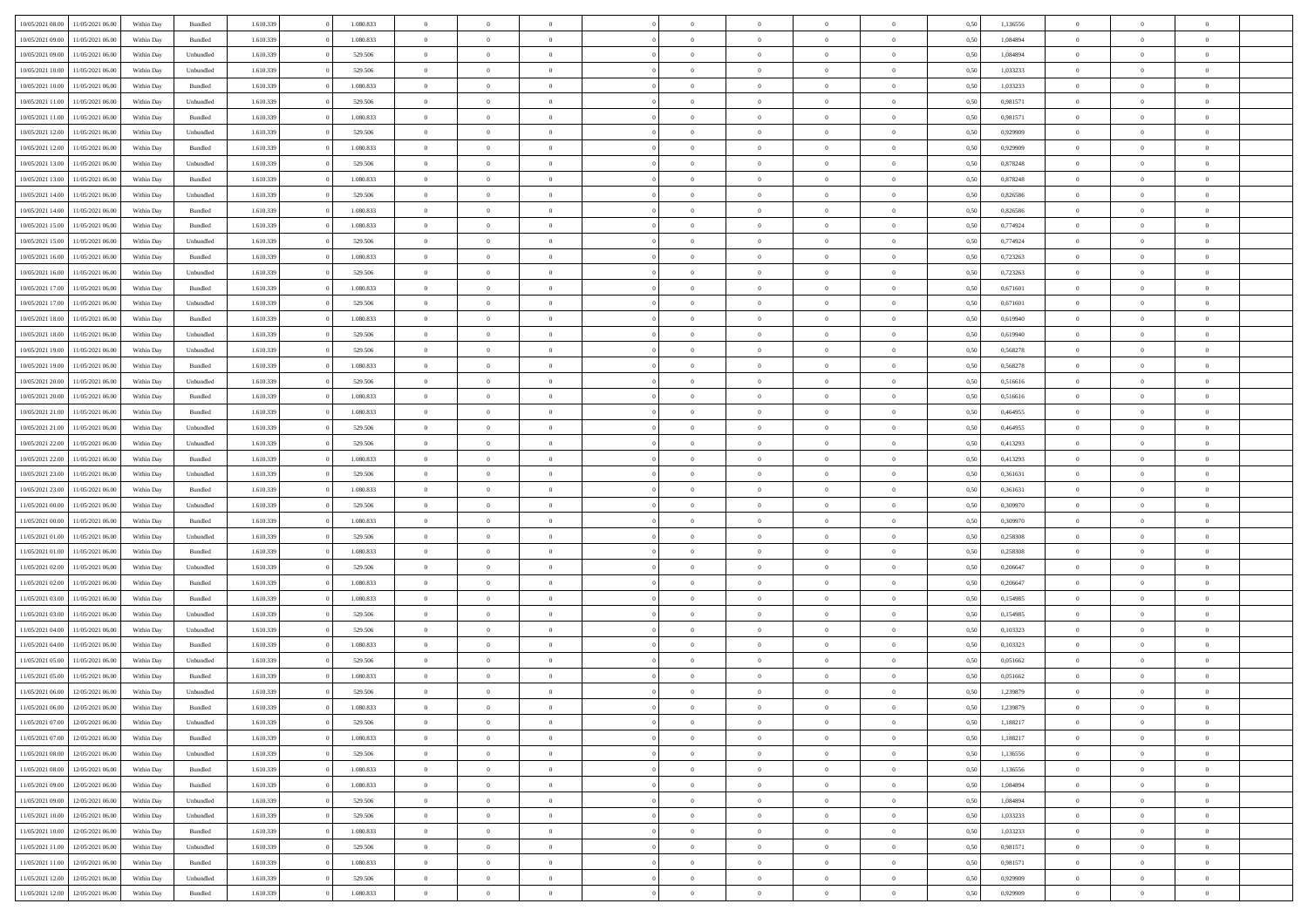| 10/05/2021 08:00                  | 11/05/2021 06:00 | Within Day | Bundled            | 1.610.339 | 1.080.833 | $\overline{0}$ | $\Omega$       |                | $\Omega$       | $\Omega$       | $\theta$       | $\theta$       | 0,50 | 1,136556 | $\theta$       | $\theta$       | $\theta$       |  |
|-----------------------------------|------------------|------------|--------------------|-----------|-----------|----------------|----------------|----------------|----------------|----------------|----------------|----------------|------|----------|----------------|----------------|----------------|--|
|                                   |                  |            |                    |           |           |                |                |                |                |                |                |                |      |          |                |                |                |  |
| 10/05/2021 09:00                  | 11/05/2021 06:00 | Within Day | Bundled            | 1.610.339 | 1.080.833 | $\overline{0}$ | $\theta$       | $\overline{0}$ | $\overline{0}$ | $\bf{0}$       | $\overline{0}$ | $\bf{0}$       | 0,50 | 1,084894 | $\theta$       | $\theta$       | $\overline{0}$ |  |
| 10/05/2021 09:00                  | 11/05/2021 06:00 | Within Day | Unbundled          | 1.610.339 | 529.506   | $\overline{0}$ | $\overline{0}$ | $\overline{0}$ | $\bf{0}$       | $\bf{0}$       | $\bf{0}$       | $\mathbf{0}$   | 0,50 | 1,084894 | $\bf{0}$       | $\overline{0}$ | $\overline{0}$ |  |
| 10/05/2021 10:00                  | 11/05/2021 06:00 | Within Dav | Unbundled          | 1.610.339 | 529.506   | $\overline{0}$ | $\overline{0}$ | $\overline{0}$ | $\overline{0}$ | $\bf{0}$       | $\overline{0}$ | $\overline{0}$ | 0.50 | 1,033233 | $\theta$       | $\theta$       | $\overline{0}$ |  |
| 10/05/2021 10:00                  | 11/05/2021 06:00 | Within Day | Bundled            | 1.610.339 | 1.080.833 | $\overline{0}$ | $\theta$       | $\overline{0}$ | $\overline{0}$ | $\bf{0}$       | $\overline{0}$ | $\bf{0}$       | 0,50 | 1,033233 | $\theta$       | $\overline{0}$ | $\overline{0}$ |  |
| 10/05/2021 11:00                  | 11/05/2021 06:00 | Within Day | Unbundled          | 1.610.339 | 529.506   | $\overline{0}$ | $\bf{0}$       | $\overline{0}$ | $\bf{0}$       | $\overline{0}$ | $\overline{0}$ | $\mathbf{0}$   | 0,50 | 0,981571 | $\bf{0}$       | $\overline{0}$ | $\bf{0}$       |  |
|                                   |                  |            |                    |           |           |                |                |                |                | $\overline{0}$ |                |                |      |          | $\theta$       | $\overline{0}$ | $\overline{0}$ |  |
| 10/05/2021 11:00                  | 11/05/2021 06:00 | Within Dav | Bundled            | 1.610.339 | 1.080.833 | $\overline{0}$ | $\overline{0}$ | $\overline{0}$ | $\overline{0}$ |                | $\overline{0}$ | $\overline{0}$ | 0.50 | 0.981571 |                |                |                |  |
| 10/05/2021 12:00                  | 11/05/2021 06:00 | Within Day | Unbundled          | 1.610.339 | 529.506   | $\overline{0}$ | $\theta$       | $\overline{0}$ | $\overline{0}$ | $\bf{0}$       | $\overline{0}$ | $\bf{0}$       | 0,50 | 0,929909 | $\theta$       | $\theta$       | $\overline{0}$ |  |
| 10/05/2021 12:00                  | 11/05/2021 06:00 | Within Day | Bundled            | 1.610.339 | 1.080.833 | $\overline{0}$ | $\overline{0}$ | $\overline{0}$ | $\bf{0}$       | $\bf{0}$       | $\bf{0}$       | $\bf{0}$       | 0,50 | 0,929909 | $\,0\,$        | $\overline{0}$ | $\overline{0}$ |  |
| 10/05/2021 13:00                  | 11/05/2021 06:00 | Within Dav | Unbundled          | 1.610.339 | 529.506   | $\overline{0}$ | $\overline{0}$ | $\overline{0}$ | $\overline{0}$ | $\overline{0}$ | $\overline{0}$ | $\overline{0}$ | 0.50 | 0,878248 | $\theta$       | $\overline{0}$ | $\overline{0}$ |  |
| 10/05/2021 13:00                  | 11/05/2021 06:00 | Within Day | Bundled            | 1.610.339 | 1.080.833 | $\overline{0}$ | $\theta$       | $\overline{0}$ | $\overline{0}$ | $\bf{0}$       | $\overline{0}$ | $\bf{0}$       | 0,50 | 0,878248 | $\,$ 0 $\,$    | $\overline{0}$ | $\overline{0}$ |  |
| 10/05/2021 14:00                  | 11/05/2021 06:00 | Within Day | Unbundled          | 1.610.339 | 529.506   | $\overline{0}$ | $\overline{0}$ | $\overline{0}$ | $\bf{0}$       | $\bf{0}$       | $\bf{0}$       | $\mathbf{0}$   | 0,50 | 0,826586 | $\bf{0}$       | $\overline{0}$ | $\bf{0}$       |  |
| 10/05/2021 14:00                  | 11/05/2021 06:00 | Within Dav | Bundled            | 1.610.339 | 1.080.833 | $\overline{0}$ | $\overline{0}$ | $\overline{0}$ | $\overline{0}$ | $\bf{0}$       | $\overline{0}$ | $\overline{0}$ | 0.50 | 0.826586 | $\theta$       | $\theta$       | $\overline{0}$ |  |
| 10/05/2021 15:00                  | 11/05/2021 06:00 |            |                    | 1.610.339 | 1.080.833 | $\overline{0}$ | $\theta$       | $\overline{0}$ | $\overline{0}$ | $\bf{0}$       | $\overline{0}$ |                |      | 0,774924 | $\theta$       | $\theta$       | $\overline{0}$ |  |
|                                   |                  | Within Day | Bundled            |           |           |                |                |                |                |                |                | $\bf{0}$       | 0,50 |          |                |                |                |  |
| 10/05/2021 15:00                  | 11/05/2021 06:00 | Within Day | Unbundled          | 1.610.339 | 529.506   | $\overline{0}$ | $\overline{0}$ | $\overline{0}$ | $\bf{0}$       | $\overline{0}$ | $\overline{0}$ | $\mathbf{0}$   | 0,50 | 0,774924 | $\bf{0}$       | $\overline{0}$ | $\bf{0}$       |  |
| 10/05/2021 16:00                  | 11/05/2021 06:00 | Within Dav | Bundled            | 1.610.339 | 1.080.833 | $\overline{0}$ | $\overline{0}$ | $\overline{0}$ | $\overline{0}$ | $\overline{0}$ | $\overline{0}$ | $\overline{0}$ | 0.50 | 0,723263 | $\theta$       | $\overline{0}$ | $\overline{0}$ |  |
| 10/05/2021 16:00                  | 11/05/2021 06:00 | Within Day | Unbundled          | 1.610.339 | 529.506   | $\overline{0}$ | $\theta$       | $\overline{0}$ | $\overline{0}$ | $\bf{0}$       | $\overline{0}$ | $\bf{0}$       | 0,50 | 0,723263 | $\,$ 0 $\,$    | $\theta$       | $\overline{0}$ |  |
| 10/05/2021 17:00                  | 11/05/2021 06:00 | Within Day | Bundled            | 1.610.339 | 1.080.833 | $\overline{0}$ | $\overline{0}$ | $\overline{0}$ | $\bf{0}$       | $\bf{0}$       | $\bf{0}$       | $\mathbf{0}$   | 0,50 | 0,671601 | $\,0\,$        | $\overline{0}$ | $\overline{0}$ |  |
| 10/05/2021 17:00                  | 11/05/2021 06:00 | Within Day | Unbundled          | 1.610.339 | 529.506   | $\overline{0}$ | $\overline{0}$ | $\overline{0}$ | $\overline{0}$ | $\overline{0}$ | $\overline{0}$ | $\overline{0}$ | 0.50 | 0,671601 | $\theta$       | $\overline{0}$ | $\overline{0}$ |  |
| 10/05/2021 18:00                  | 11/05/2021 06:00 | Within Day | Bundled            | 1.610.339 | 1.080.833 | $\overline{0}$ | $\theta$       | $\overline{0}$ | $\overline{0}$ | $\bf{0}$       | $\overline{0}$ | $\bf{0}$       | 0,50 | 0,619940 | $\,$ 0 $\,$    | $\theta$       | $\overline{0}$ |  |
| 10/05/2021 18:00                  | 11/05/2021 06:00 | Within Day | Unbundled          | 1.610.339 | 529.506   | $\overline{0}$ | $\overline{0}$ | $\overline{0}$ | $\bf{0}$       | $\bf{0}$       | $\bf{0}$       | $\bf{0}$       | 0,50 | 0,619940 | $\bf{0}$       | $\overline{0}$ | $\overline{0}$ |  |
| 10/05/2021 19:00                  | 11/05/2021 06:00 | Within Day | Unbundled          | 1.610.339 | 529.506   | $\overline{0}$ | $\overline{0}$ | $\overline{0}$ | $\overline{0}$ | $\bf{0}$       | $\overline{0}$ | $\overline{0}$ | 0.50 | 0,568278 | $\theta$       | $\overline{0}$ | $\overline{0}$ |  |
|                                   |                  |            |                    |           |           |                |                |                |                |                |                |                |      |          |                |                |                |  |
| 10/05/2021 19:00                  | 11/05/2021 06:00 | Within Day | Bundled            | 1.610.339 | 1.080.833 | $\overline{0}$ | $\theta$       | $\overline{0}$ | $\overline{0}$ | $\bf{0}$       | $\overline{0}$ | $\bf{0}$       | 0,50 | 0,568278 | $\,$ 0 $\,$    | $\overline{0}$ | $\overline{0}$ |  |
| 10/05/2021 20:00                  | 11/05/2021 06:00 | Within Day | Unbundled          | 1.610.339 | 529.506   | $\overline{0}$ | $\bf{0}$       | $\overline{0}$ | $\bf{0}$       | $\overline{0}$ | $\overline{0}$ | $\mathbf{0}$   | 0,50 | 0,516616 | $\bf{0}$       | $\overline{0}$ | $\bf{0}$       |  |
| 10/05/2021 20:00                  | 11/05/2021 06:00 | Within Dav | Bundled            | 1.610.339 | 1.080.833 | $\overline{0}$ | $\overline{0}$ | $\overline{0}$ | $\overline{0}$ | $\overline{0}$ | $\overline{0}$ | $\overline{0}$ | 0.50 | 0.516616 | $\overline{0}$ | $\overline{0}$ | $\overline{0}$ |  |
| 10/05/2021 21:00                  | 11/05/2021 06:00 | Within Day | Bundled            | 1.610.339 | 1.080.833 | $\overline{0}$ | $\theta$       | $\overline{0}$ | $\overline{0}$ | $\bf{0}$       | $\overline{0}$ | $\bf{0}$       | 0,50 | 0,464955 | $\theta$       | $\theta$       | $\overline{0}$ |  |
| 10/05/2021 21:00                  | 11/05/2021 06:00 | Within Day | Unbundled          | 1.610.339 | 529.506   | $\overline{0}$ | $\overline{0}$ | $\overline{0}$ | $\bf{0}$       | $\bf{0}$       | $\bf{0}$       | $\bf{0}$       | 0,50 | 0,464955 | $\,0\,$        | $\overline{0}$ | $\overline{0}$ |  |
| 10/05/2021 22:00                  | 11/05/2021 06:00 | Within Day | Unbundled          | 1.610.339 | 529.506   | $\overline{0}$ | $\overline{0}$ | $\overline{0}$ | $\overline{0}$ | $\overline{0}$ | $\overline{0}$ | $\overline{0}$ | 0.50 | 0,413293 | $\theta$       | $\overline{0}$ | $\overline{0}$ |  |
| 10/05/2021 22:00                  | 11/05/2021 06:00 | Within Day | Bundled            | 1.610.339 | 1.080.833 | $\overline{0}$ | $\theta$       | $\overline{0}$ | $\overline{0}$ | $\bf{0}$       | $\overline{0}$ | $\bf{0}$       | 0,50 | 0,413293 | $\,$ 0 $\,$    | $\overline{0}$ | $\overline{0}$ |  |
|                                   |                  |            |                    |           |           |                |                |                |                |                |                |                |      |          |                |                |                |  |
| 10/05/2021 23:00                  | 11/05/2021 06:00 | Within Day | Unbundled          | 1.610.339 | 529.506   | $\overline{0}$ | $\overline{0}$ | $\overline{0}$ | $\bf{0}$       | $\bf{0}$       | $\bf{0}$       | $\bf{0}$       | 0,50 | 0,361631 | $\bf{0}$       | $\overline{0}$ | $\bf{0}$       |  |
| 10/05/2021 23:00                  | 11/05/2021 06.00 | Within Day | Bundled            | 1.610.339 | 1.080.833 | $\overline{0}$ | $\Omega$       | $\overline{0}$ | $\Omega$       | $\Omega$       | $\overline{0}$ | $\overline{0}$ | 0,50 | 0,361631 | $\,0\,$        | $\theta$       | $\theta$       |  |
| 11/05/2021 00:00                  | 11/05/2021 06:00 | Within Day | Unbundled          | 1.610.339 | 529.506   | $\overline{0}$ | $\theta$       | $\overline{0}$ | $\overline{0}$ | $\bf{0}$       | $\overline{0}$ | $\bf{0}$       | 0,50 | 0,309970 | $\theta$       | $\overline{0}$ | $\overline{0}$ |  |
| 11/05/2021 00:00                  | 11/05/2021 06:00 | Within Day | Bundled            | 1.610.339 | 1.080.833 | $\overline{0}$ | $\overline{0}$ | $\overline{0}$ | $\bf{0}$       | $\bf{0}$       | $\overline{0}$ | $\mathbf{0}$   | 0,50 | 0,309970 | $\bf{0}$       | $\overline{0}$ | $\bf{0}$       |  |
| 11/05/2021 01:00                  | 11/05/2021 06:00 | Within Day | Unbundled          | 1.610.339 | 529.506   | $\overline{0}$ | $\Omega$       | $\Omega$       | $\Omega$       | $\overline{0}$ | $\overline{0}$ | $\overline{0}$ | 0.50 | 0,258308 | $\,0\,$        | $\theta$       | $\theta$       |  |
| 11/05/2021 01:00                  | 11/05/2021 06:00 | Within Day | Bundled            | 1.610.339 | 1.080.833 | $\overline{0}$ | $\theta$       | $\overline{0}$ | $\overline{0}$ | $\bf{0}$       | $\overline{0}$ | $\bf{0}$       | 0,50 | 0,258308 | $\,$ 0 $\,$    | $\theta$       | $\overline{0}$ |  |
| 11/05/2021 02:00                  | 11/05/2021 06:00 | Within Day | Unbundled          | 1.610.339 | 529.506   | $\overline{0}$ | $\overline{0}$ | $\overline{0}$ | $\bf{0}$       | $\bf{0}$       | $\bf{0}$       | $\bf{0}$       | 0,50 | 0,206647 | $\bf{0}$       | $\overline{0}$ | $\overline{0}$ |  |
| 11/05/2021 02:00                  | 11/05/2021 06:00 | Within Day | Bundled            | 1.610.339 | 1.080.833 | $\overline{0}$ | $\Omega$       | $\Omega$       | $\Omega$       | $\theta$       | $\overline{0}$ | $\overline{0}$ | 0.50 | 0.206647 | $\theta$       | $\theta$       | $\theta$       |  |
| 11/05/2021 03:00                  | 11/05/2021 06:00 | Within Day | Bundled            | 1.610.339 | 1.080.833 | $\overline{0}$ | $\theta$       | $\overline{0}$ | $\overline{0}$ | $\bf{0}$       | $\overline{0}$ | $\bf{0}$       | 0,50 | 0,154985 | $\,$ 0 $\,$    | $\overline{0}$ | $\overline{0}$ |  |
|                                   |                  |            |                    |           |           |                |                |                |                |                |                |                |      |          |                |                |                |  |
| 11/05/2021 03:00                  | 11/05/2021 06:00 | Within Day | Unbundled          | 1.610.339 | 529.506   | $\overline{0}$ | $\overline{0}$ | $\overline{0}$ | $\bf{0}$       | $\bf{0}$       | $\bf{0}$       | $\mathbf{0}$   | 0,50 | 0,154985 | $\overline{0}$ | $\overline{0}$ | $\overline{0}$ |  |
| 11/05/2021 04:00                  | 11/05/2021 06.00 | Within Day | Unbundled          | 1.610.339 | 529.506   | $\overline{0}$ | $\Omega$       | $\overline{0}$ | $\Omega$       | $\overline{0}$ | $\overline{0}$ | $\overline{0}$ | 0.50 | 0,103323 | $\,0\,$        | $\theta$       | $\theta$       |  |
| 11/05/2021 04:00                  | 11/05/2021 06:00 | Within Day | Bundled            | 1.610.339 | 1.080.833 | $\overline{0}$ | $\theta$       | $\overline{0}$ | $\overline{0}$ | $\bf{0}$       | $\overline{0}$ | $\bf{0}$       | 0,50 | 0,103323 | $\,$ 0 $\,$    | $\overline{0}$ | $\overline{0}$ |  |
| 11/05/2021 05:00                  | 11/05/2021 06:00 | Within Day | Unbundled          | 1.610.339 | 529.506   | $\overline{0}$ | $\overline{0}$ | $\overline{0}$ | $\bf{0}$       | $\bf{0}$       | $\bf{0}$       | $\mathbf{0}$   | 0,50 | 0,051662 | $\overline{0}$ | $\overline{0}$ | $\bf{0}$       |  |
| 11/05/2021 05:00                  | 11/05/2021 06.00 | Within Day | Bundled            | 1.610.339 | 1.080.833 | $\overline{0}$ | $\Omega$       | $\Omega$       | $\Omega$       | $\Omega$       | $\Omega$       | $\overline{0}$ | 0.50 | 0.051662 | $\theta$       | $\theta$       | $\theta$       |  |
| 11/05/2021 06:00                  | 12/05/2021 06:00 | Within Day | Unbundled          | 1.610.339 | 529.506   | $\overline{0}$ | $\overline{0}$ | $\overline{0}$ | $\bf{0}$       | $\,$ 0         | $\bf{0}$       | $\bf{0}$       | 0,50 | 1,239879 | $\,0\,$        | $\overline{0}$ | $\overline{0}$ |  |
| 11/05/2021 06:00                  | 12/05/2021 06:00 | Within Day | $\mathbf B$ undled | 1.610.339 | 1.080.833 | $\bf{0}$       | $\bf{0}$       |                |                | $\bf{0}$       |                |                | 0,50 | 1,239879 | $\bf{0}$       | $\overline{0}$ |                |  |
| 11/05/2021 07:00                  | 12/05/2021 06:00 | Within Day | Unbundled          | 1.610.339 | 529.506   | $\overline{0}$ | $\overline{0}$ | $\overline{0}$ | $\Omega$       | $\overline{0}$ | $\overline{0}$ | $\overline{0}$ | 0,50 | 1,188217 | $\theta$       | $\theta$       | $\Omega$       |  |
| 11/05/2021 07:00                  | 12/05/2021 06:00 | Within Day | Bundled            | 1.610.339 | 1.080.833 | $\overline{0}$ | $\,$ 0         | $\overline{0}$ | $\bf{0}$       | $\,$ 0 $\,$    | $\overline{0}$ | $\,$ 0 $\,$    | 0,50 | 1,188217 | $\,$ 0 $\,$    | $\,$ 0 $\,$    | $\,$ 0         |  |
|                                   |                  |            |                    |           |           |                |                |                |                |                |                |                |      |          |                |                |                |  |
| 11/05/2021 08:00                  | 12/05/2021 06:00 | Within Day | Unbundled          | 1.610.339 | 529.506   | $\overline{0}$ | $\overline{0}$ | $\overline{0}$ | $\overline{0}$ | $\overline{0}$ | $\overline{0}$ | $\mathbf{0}$   | 0,50 | 1,136556 | $\overline{0}$ | $\bf{0}$       | $\overline{0}$ |  |
| 11/05/2021 08:00                  | 12/05/2021 06:00 | Within Day | $\mathbf B$ undled | 1.610.339 | 1.080.833 | $\overline{0}$ | $\overline{0}$ | $\overline{0}$ | $\Omega$       | $\overline{0}$ | $\overline{0}$ | $\overline{0}$ | 0,50 | 1,136556 | $\overline{0}$ | $\theta$       | $\overline{0}$ |  |
| 11/05/2021 09:00                  | 12/05/2021 06:00 | Within Day | Bundled            | 1.610.339 | 1.080.833 | $\overline{0}$ | $\,$ 0         | $\overline{0}$ | $\overline{0}$ | $\,$ 0 $\,$    | $\overline{0}$ | $\mathbf{0}$   | 0,50 | 1,084894 | $\,$ 0 $\,$    | $\overline{0}$ | $\overline{0}$ |  |
| 11/05/2021 09:00                  | 12/05/2021 06:00 | Within Day | Unbundled          | 1.610.339 | 529.506   | $\overline{0}$ | $\overline{0}$ | $\overline{0}$ | $\overline{0}$ | $\overline{0}$ | $\overline{0}$ | $\mathbf{0}$   | 0,50 | 1,084894 | $\overline{0}$ | $\overline{0}$ | $\bf{0}$       |  |
| 11/05/2021 10:00                  | 12/05/2021 06:00 | Within Day | Unbundled          | 1.610.339 | 529.506   | $\overline{0}$ | $\overline{0}$ | $\overline{0}$ | $\overline{0}$ | $\overline{0}$ | $\overline{0}$ | $\bf{0}$       | 0.50 | 1,033233 | $\overline{0}$ | $\theta$       | $\overline{0}$ |  |
| 11/05/2021 10:00                  | 12/05/2021 06:00 | Within Day | Bundled            | 1.610.339 | 1.080.833 | $\overline{0}$ | $\,$ 0         | $\overline{0}$ | $\bf{0}$       | $\bf{0}$       | $\bf{0}$       | $\bf{0}$       | 0,50 | 1,033233 | $\,$ 0 $\,$    | $\overline{0}$ | $\overline{0}$ |  |
| 11/05/2021 11:00                  | 12/05/2021 06:00 | Within Day | Unbundled          | 1.610.339 | 529.506   | $\overline{0}$ | $\bf{0}$       | $\overline{0}$ | $\overline{0}$ | $\overline{0}$ | $\overline{0}$ | $\mathbf{0}$   | 0,50 | 0,981571 | $\overline{0}$ | $\overline{0}$ | $\bf{0}$       |  |
| 11/05/2021 11:00                  | 12/05/2021 06:00 | Within Day | Bundled            | 1.610.339 | 1.080.833 | $\overline{0}$ | $\overline{0}$ | $\overline{0}$ | $\Omega$       | $\overline{0}$ | $\overline{0}$ | $\overline{0}$ | 0.50 | 0,981571 | $\overline{0}$ | $\overline{0}$ | $\overline{0}$ |  |
|                                   |                  |            |                    |           |           |                |                |                |                |                |                |                |      |          |                |                |                |  |
| 11/05/2021 12:00                  | 12/05/2021 06:00 | Within Day | Unbundled          | 1.610.339 | 529.506   | $\overline{0}$ | $\bf{0}$       | $\overline{0}$ | $\bf{0}$       | $\bf{0}$       | $\bf{0}$       | $\mathbf{0}$   | 0,50 | 0,929909 | $\,$ 0 $\,$    | $\,$ 0 $\,$    | $\bf{0}$       |  |
| 11/05/2021 12:00 12/05/2021 06:00 |                  | Within Day | Bundled            | 1.610.339 | 1.080.833 | $\overline{0}$ | $\overline{0}$ | $\overline{0}$ | $\overline{0}$ | $\overline{0}$ | $\bf{0}$       | $\mathbf{0}$   | 0,50 | 0,929909 | $\overline{0}$ | $\bf{0}$       | $\overline{0}$ |  |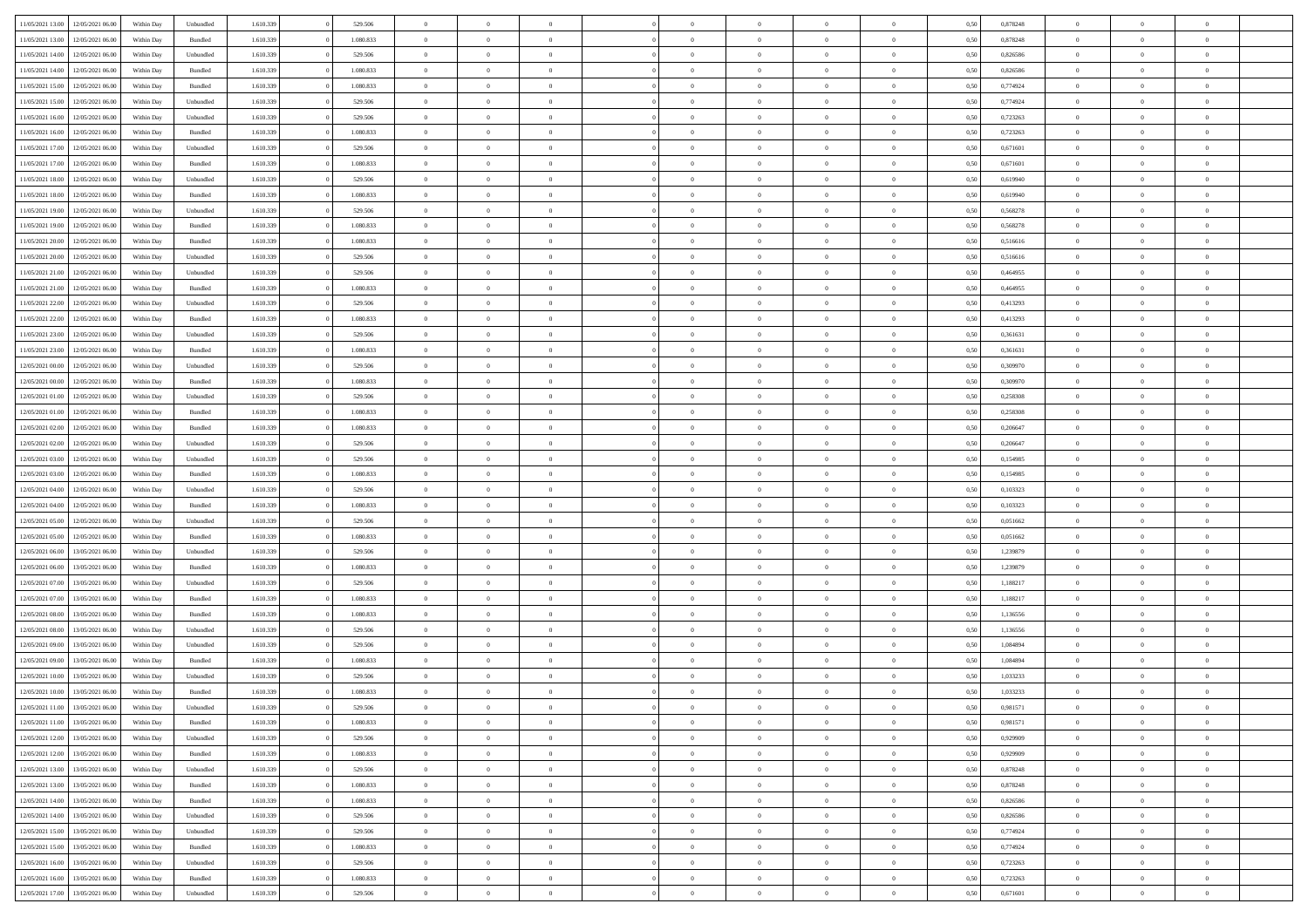| 11/05/2021 13:00                  | 12/05/2021 06:00 | Within Dav | Unbundled | 1.610.339 | 529.506   | $\overline{0}$ | $\theta$       |                | $\Omega$       | $\Omega$       | $\theta$       | $\theta$       | 0,50 | 0,878248 | $\theta$       | $\theta$       | $\theta$       |  |
|-----------------------------------|------------------|------------|-----------|-----------|-----------|----------------|----------------|----------------|----------------|----------------|----------------|----------------|------|----------|----------------|----------------|----------------|--|
| 11/05/2021 13:00                  | 12/05/2021 06:00 | Within Day | Bundled   | 1.610.339 | 1.080.833 | $\overline{0}$ | $\theta$       | $\overline{0}$ | $\overline{0}$ | $\bf{0}$       | $\overline{0}$ | $\bf{0}$       | 0,50 | 0,878248 | $\theta$       | $\overline{0}$ | $\overline{0}$ |  |
| 11/05/2021 14:00                  | 12/05/2021 06:00 | Within Day | Unbundled | 1.610.339 | 529.506   | $\overline{0}$ | $\overline{0}$ | $\overline{0}$ | $\bf{0}$       | $\bf{0}$       | $\bf{0}$       | $\bf{0}$       | 0,50 | 0,826586 | $\bf{0}$       | $\overline{0}$ | $\overline{0}$ |  |
| 11/05/2021 14:00                  | 12/05/2021 06:00 | Within Dav | Bundled   | 1.610.339 | 1.080.833 | $\overline{0}$ | $\overline{0}$ | $\overline{0}$ | $\overline{0}$ | $\bf{0}$       | $\overline{0}$ | $\overline{0}$ | 0.50 | 0.826586 | $\theta$       | $\theta$       | $\overline{0}$ |  |
| 11/05/2021 15:00                  | 12/05/2021 06:00 | Within Day | Bundled   | 1.610.339 | 1.080.833 | $\overline{0}$ | $\theta$       | $\overline{0}$ | $\overline{0}$ | $\bf{0}$       | $\overline{0}$ | $\bf{0}$       | 0,50 | 0,774924 | $\theta$       | $\overline{0}$ | $\overline{0}$ |  |
|                                   |                  |            |           |           |           |                |                |                |                |                |                |                |      |          |                |                |                |  |
| 11/05/2021 15:00                  | 12/05/2021 06:00 | Within Day | Unbundled | 1.610.339 | 529.506   | $\overline{0}$ | $\bf{0}$       | $\overline{0}$ | $\bf{0}$       | $\overline{0}$ | $\overline{0}$ | $\mathbf{0}$   | 0,50 | 0,774924 | $\bf{0}$       | $\overline{0}$ | $\bf{0}$       |  |
| 11/05/2021 16:00                  | 12/05/2021 06:00 | Within Dav | Unbundled | 1.610.339 | 529.506   | $\overline{0}$ | $\overline{0}$ | $\overline{0}$ | $\overline{0}$ | $\overline{0}$ | $\overline{0}$ | $\overline{0}$ | 0.50 | 0,723263 | $\theta$       | $\overline{0}$ | $\overline{0}$ |  |
| 11/05/2021 16:00                  | 12/05/2021 06:00 | Within Day | Bundled   | 1.610.339 | 1.080.833 | $\overline{0}$ | $\theta$       | $\overline{0}$ | $\overline{0}$ | $\bf{0}$       | $\overline{0}$ | $\bf{0}$       | 0,50 | 0,723263 | $\theta$       | $\theta$       | $\overline{0}$ |  |
| 11/05/2021 17:00                  | 12/05/2021 06:00 | Within Day | Unbundled | 1.610.339 | 529.506   | $\overline{0}$ | $\overline{0}$ | $\overline{0}$ | $\bf{0}$       | $\bf{0}$       | $\bf{0}$       | $\bf{0}$       | 0,50 | 0,671601 | $\,0\,$        | $\overline{0}$ | $\overline{0}$ |  |
| 11/05/2021 17:00                  | 12/05/2021 06:00 | Within Dav | Bundled   | 1.610.339 | 1.080.833 | $\overline{0}$ | $\overline{0}$ | $\overline{0}$ | $\overline{0}$ | $\overline{0}$ | $\overline{0}$ | $\overline{0}$ | 0.50 | 0,671601 | $\theta$       | $\overline{0}$ | $\overline{0}$ |  |
| 11/05/2021 18:00                  | 12/05/2021 06:00 | Within Day | Unbundled | 1.610.339 | 529.506   | $\overline{0}$ | $\theta$       | $\overline{0}$ | $\overline{0}$ | $\bf{0}$       | $\overline{0}$ | $\bf{0}$       | 0,50 | 0,619940 | $\,$ 0 $\,$    | $\overline{0}$ | $\overline{0}$ |  |
| 11/05/2021 18:00                  | 12/05/2021 06:00 | Within Day | Bundled   | 1.610.339 | 1.080.833 | $\overline{0}$ | $\overline{0}$ | $\overline{0}$ | $\bf{0}$       | $\bf{0}$       | $\bf{0}$       | $\mathbf{0}$   | 0,50 | 0,619940 | $\bf{0}$       | $\overline{0}$ | $\overline{0}$ |  |
|                                   |                  |            |           |           |           |                |                |                |                |                |                |                |      |          |                |                |                |  |
| 11/05/2021 19:00                  | 12/05/2021 06:00 | Within Day | Unbundled | 1.610.339 | 529.506   | $\overline{0}$ | $\overline{0}$ | $\overline{0}$ | $\overline{0}$ | $\bf{0}$       | $\overline{0}$ | $\overline{0}$ | 0.50 | 0,568278 | $\theta$       | $\theta$       | $\overline{0}$ |  |
| 11/05/2021 19:00                  | 12/05/2021 06:00 | Within Day | Bundled   | 1.610.339 | 1.080.833 | $\overline{0}$ | $\theta$       | $\overline{0}$ | $\overline{0}$ | $\bf{0}$       | $\overline{0}$ | $\bf{0}$       | 0,50 | 0,568278 | $\theta$       | $\overline{0}$ | $\overline{0}$ |  |
| 11/05/2021 20:00                  | 12/05/2021 06:00 | Within Day | Bundled   | 1.610.339 | 1.080.833 | $\overline{0}$ | $\overline{0}$ | $\overline{0}$ | $\bf{0}$       | $\overline{0}$ | $\overline{0}$ | $\mathbf{0}$   | 0,50 | 0,516616 | $\bf{0}$       | $\overline{0}$ | $\bf{0}$       |  |
| 11/05/2021 20:00                  | 12/05/2021 06:00 | Within Dav | Unbundled | 1.610.339 | 529.506   | $\overline{0}$ | $\overline{0}$ | $\overline{0}$ | $\overline{0}$ | $\overline{0}$ | $\overline{0}$ | $\overline{0}$ | 0.50 | 0,516616 | $\theta$       | $\overline{0}$ | $\overline{0}$ |  |
| 11/05/2021 21:00                  | 12/05/2021 06:00 | Within Day | Unbundled | 1.610.339 | 529.506   | $\overline{0}$ | $\theta$       | $\overline{0}$ | $\overline{0}$ | $\bf{0}$       | $\overline{0}$ | $\bf{0}$       | 0,50 | 0,464955 | $\theta$       | $\theta$       | $\overline{0}$ |  |
| 11/05/2021 21.00                  | 12/05/2021 06:00 | Within Day | Bundled   | 1.610.339 | 1.080.833 | $\overline{0}$ | $\overline{0}$ | $\overline{0}$ | $\bf{0}$       | $\bf{0}$       | $\bf{0}$       | $\mathbf{0}$   | 0,50 | 0,464955 | $\,0\,$        | $\overline{0}$ | $\overline{0}$ |  |
| 11/05/2021 22:00                  | 12/05/2021 06:00 | Within Day | Unbundled | 1.610.339 | 529.506   | $\overline{0}$ | $\overline{0}$ | $\overline{0}$ | $\overline{0}$ | $\overline{0}$ | $\overline{0}$ | $\overline{0}$ | 0.50 | 0,413293 | $\theta$       | $\overline{0}$ | $\overline{0}$ |  |
|                                   |                  |            |           |           |           | $\overline{0}$ | $\theta$       | $\overline{0}$ |                | $\bf{0}$       | $\overline{0}$ |                |      |          |                | $\theta$       | $\overline{0}$ |  |
| 11/05/2021 22:00                  | 12/05/2021 06:00 | Within Day | Bundled   | 1.610.339 | 1.080.833 |                |                |                | $\overline{0}$ |                |                | $\bf{0}$       | 0,50 | 0,413293 | $\,$ 0 $\,$    |                |                |  |
| 11/05/2021 23:00                  | 12/05/2021 06:00 | Within Day | Unbundled | 1.610.339 | 529.506   | $\overline{0}$ | $\overline{0}$ | $\overline{0}$ | $\bf{0}$       | $\bf{0}$       | $\bf{0}$       | $\bf{0}$       | 0,50 | 0,361631 | $\bf{0}$       | $\overline{0}$ | $\overline{0}$ |  |
| 11/05/2021 23:00                  | 12/05/2021 06:00 | Within Day | Bundled   | 1.610.339 | 1.080.833 | $\overline{0}$ | $\overline{0}$ | $\overline{0}$ | $\overline{0}$ | $\bf{0}$       | $\overline{0}$ | $\overline{0}$ | 0.50 | 0.361631 | $\theta$       | $\overline{0}$ | $\overline{0}$ |  |
| 12/05/2021 00:00                  | 12/05/2021 06:00 | Within Day | Unbundled | 1.610.339 | 529.506   | $\overline{0}$ | $\theta$       | $\overline{0}$ | $\overline{0}$ | $\bf{0}$       | $\overline{0}$ | $\bf{0}$       | 0,50 | 0,309970 | $\,$ 0 $\,$    | $\overline{0}$ | $\overline{0}$ |  |
| 12/05/2021 00:00                  | 12/05/2021 06:00 | Within Day | Bundled   | 1.610.339 | 1.080.833 | $\overline{0}$ | $\bf{0}$       | $\overline{0}$ | $\bf{0}$       | $\overline{0}$ | $\overline{0}$ | $\mathbf{0}$   | 0,50 | 0,309970 | $\overline{0}$ | $\overline{0}$ | $\bf{0}$       |  |
| 12/05/2021 01:00                  | 12/05/2021 06:00 | Within Dav | Unbundled | 1.610.339 | 529.506   | $\overline{0}$ | $\overline{0}$ | $\overline{0}$ | $\overline{0}$ | $\overline{0}$ | $\overline{0}$ | $\overline{0}$ | 0.50 | 0,258308 | $\overline{0}$ | $\overline{0}$ | $\overline{0}$ |  |
| 12/05/2021 01:00                  | 12/05/2021 06:00 | Within Day | Bundled   | 1.610.339 | 1.080.833 | $\overline{0}$ | $\theta$       | $\overline{0}$ | $\overline{0}$ | $\bf{0}$       | $\overline{0}$ | $\bf{0}$       | 0,50 | 0,258308 | $\theta$       | $\theta$       | $\overline{0}$ |  |
| 12/05/2021 02:00                  | 12/05/2021 06:00 | Within Day | Bundled   | 1.610.339 | 1.080.833 | $\overline{0}$ | $\overline{0}$ | $\overline{0}$ | $\overline{0}$ | $\bf{0}$       | $\overline{0}$ | $\bf{0}$       | 0,50 | 0,206647 | $\,0\,$        | $\overline{0}$ | $\overline{0}$ |  |
|                                   |                  |            |           |           |           |                | $\overline{0}$ |                |                | $\overline{0}$ |                |                |      |          | $\theta$       | $\overline{0}$ | $\overline{0}$ |  |
| 12/05/2021 02:00                  | 12/05/2021 06:00 | Within Day | Unbundled | 1.610.339 | 529.506   | $\overline{0}$ |                | $\overline{0}$ | $\overline{0}$ |                | $\overline{0}$ | $\overline{0}$ | 0.50 | 0.206647 |                |                |                |  |
| 12/05/2021 03:00                  | 12/05/2021 06:00 | Within Day | Unbundled | 1.610.339 | 529.506   | $\overline{0}$ | $\theta$       | $\overline{0}$ | $\overline{0}$ | $\bf{0}$       | $\overline{0}$ | $\bf{0}$       | 0,50 | 0,154985 | $\,$ 0 $\,$    | $\overline{0}$ | $\overline{0}$ |  |
| 12/05/2021 03:00                  | 12/05/2021 06:00 | Within Day | Bundled   | 1.610.339 | 1.080.833 | $\overline{0}$ | $\overline{0}$ | $\overline{0}$ | $\overline{0}$ | $\bf{0}$       | $\overline{0}$ | $\bf{0}$       | 0,50 | 0,154985 | $\bf{0}$       | $\overline{0}$ | $\overline{0}$ |  |
| 12/05/2021 04:00                  | 12/05/2021 06:00 | Within Day | Unbundled | 1.610.339 | 529.506   | $\overline{0}$ | $\Omega$       | $\overline{0}$ | $\Omega$       | $\Omega$       | $\overline{0}$ | $\overline{0}$ | 0,50 | 0,103323 | $\,0\,$        | $\theta$       | $\theta$       |  |
| 12/05/2021 04:00                  | 12/05/2021 06:00 | Within Day | Bundled   | 1.610.339 | 1.080.833 | $\overline{0}$ | $\theta$       | $\overline{0}$ | $\overline{0}$ | $\bf{0}$       | $\overline{0}$ | $\bf{0}$       | 0,50 | 0,103323 | $\theta$       | $\overline{0}$ | $\overline{0}$ |  |
| 12/05/2021 05:00                  | 12/05/2021 06:00 | Within Day | Unbundled | 1.610.339 | 529.506   | $\overline{0}$ | $\overline{0}$ | $\overline{0}$ | $\overline{0}$ | $\bf{0}$       | $\overline{0}$ | $\mathbf{0}$   | 0,50 | 0,051662 | $\bf{0}$       | $\overline{0}$ | $\bf{0}$       |  |
| 12/05/2021 05:00                  | 12/05/2021 06:00 | Within Day | Bundled   | 1.610.339 | 1.080.833 | $\overline{0}$ | $\Omega$       | $\Omega$       | $\Omega$       | $\bf{0}$       | $\overline{0}$ | $\overline{0}$ | 0.50 | 0.051662 | $\,0\,$        | $\theta$       | $\theta$       |  |
| 12/05/2021 06:00                  | 13/05/2021 06:00 | Within Day | Unbundled | 1.610.339 | 529.506   | $\overline{0}$ | $\theta$       | $\overline{0}$ | $\overline{0}$ | $\bf{0}$       | $\overline{0}$ | $\bf{0}$       | 0,50 | 1,239879 | $\,$ 0 $\,$    | $\theta$       | $\overline{0}$ |  |
|                                   |                  |            |           |           |           |                | $\overline{0}$ |                |                | $\bf{0}$       |                |                |      |          | $\bf{0}$       | $\overline{0}$ | $\overline{0}$ |  |
| 12/05/2021 06:00                  | 13/05/2021 06:00 | Within Day | Bundled   | 1.610.339 | 1.080.833 | $\overline{0}$ |                | $\overline{0}$ | $\overline{0}$ |                | $\overline{0}$ | $\bf{0}$       | 0,50 | 1,239879 |                |                |                |  |
| 12/05/2021 07:00                  | 13/05/2021 06:00 | Within Day | Unbundled | 1.610.339 | 529.506   | $\overline{0}$ | $\Omega$       | $\overline{0}$ | $\Omega$       | $\theta$       | $\overline{0}$ | $\overline{0}$ | 0.50 | 1,188217 | $\,$ 0 $\,$    | $\theta$       | $\theta$       |  |
| 12/05/2021 07:00                  | 13/05/2021 06:00 | Within Day | Bundled   | 1.610.339 | 1.080.833 | $\overline{0}$ | $\theta$       | $\overline{0}$ | $\overline{0}$ | $\bf{0}$       | $\overline{0}$ | $\bf{0}$       | 0,50 | 1,188217 | $\,$ 0 $\,$    | $\overline{0}$ | $\overline{0}$ |  |
| 12/05/2021 08:00                  | 13/05/2021 06:00 | Within Day | Bundled   | 1.610.339 | 1.080.833 | $\overline{0}$ | $\overline{0}$ | $\overline{0}$ | $\overline{0}$ | $\bf{0}$       | $\overline{0}$ | $\mathbf{0}$   | 0,50 | 1,136556 | $\bf{0}$       | $\overline{0}$ | $\overline{0}$ |  |
| 12/05/2021 08:00                  | 13/05/2021 06:00 | Within Day | Unbundled | 1.610.339 | 529.506   | $\overline{0}$ | $\Omega$       | $\overline{0}$ | $\Omega$       | $\overline{0}$ | $\overline{0}$ | $\overline{0}$ | 0.50 | 1,136556 | $\,0\,$        | $\theta$       | $\theta$       |  |
| 12/05/2021 09:00                  | 13/05/2021 06:00 | Within Day | Unbundled | 1.610.339 | 529.506   | $\overline{0}$ | $\theta$       | $\overline{0}$ | $\overline{0}$ | $\,$ 0         | $\overline{0}$ | $\bf{0}$       | 0,50 | 1,084894 | $\,$ 0 $\,$    | $\overline{0}$ | $\overline{0}$ |  |
| 12/05/2021 09:00                  | 13/05/2021 06:00 | Within Day | Bundled   | 1.610.339 | 1.080.833 | $\overline{0}$ | $\overline{0}$ | $\overline{0}$ | $\overline{0}$ | $\bf{0}$       | $\overline{0}$ | $\mathbf{0}$   | 0,50 | 1,084894 | $\bf{0}$       | $\overline{0}$ | $\bf{0}$       |  |
| 12/05/2021 10:00                  | 13/05/2021 06:00 | Within Day | Unbundled | 1.610.339 | 529.506   | $\overline{0}$ | $\Omega$       | $\Omega$       | $\Omega$       | $\Omega$       | $\Omega$       | $\overline{0}$ | 0.50 | 1.033233 | $\theta$       | $\theta$       | $\theta$       |  |
| 12/05/2021 10:00                  | 13/05/2021 06:00 | Within Day | Bundled   | 1.610.339 | 1.080.833 | $\overline{0}$ | $\overline{0}$ | $\overline{0}$ | $\bf{0}$       | $\,$ 0         | $\overline{0}$ | $\bf{0}$       | 0,50 | 1,033233 | $\,0\,$        | $\overline{0}$ | $\overline{0}$ |  |
| 12/05/2021 11:00                  | 13/05/2021 06:00 | Within Day | Unbundled | 1.610.339 |           |                |                |                |                |                |                |                |      |          |                |                |                |  |
|                                   |                  |            |           |           | 529.506   | $\bf{0}$       | $\bf{0}$       |                |                | $\bf{0}$       |                |                | 0,50 | 0,981571 | $\bf{0}$       | $\overline{0}$ |                |  |
| 12/05/2021 11:00                  | 13/05/2021 06:00 | Within Day | Bundled   | 1.610.339 | 1.080.833 | $\overline{0}$ | $\overline{0}$ | $\overline{0}$ | $\Omega$       | $\overline{0}$ | $\overline{0}$ | $\overline{0}$ | 0.50 | 0.981571 | $\theta$       | $\theta$       | $\theta$       |  |
| 12/05/2021 12:00                  | 13/05/2021 06:00 | Within Day | Unbundled | 1.610.339 | 529.506   | $\overline{0}$ | $\,$ 0         | $\overline{0}$ | $\overline{0}$ | $\,$ 0 $\,$    | $\overline{0}$ | $\,$ 0 $\,$    | 0,50 | 0,929909 | $\,$ 0 $\,$    | $\,$ 0 $\,$    | $\,$ 0         |  |
| 12/05/2021 12:00                  | 13/05/2021 06:00 | Within Day | Bundled   | 1.610.339 | 1.080.833 | $\overline{0}$ | $\overline{0}$ | $\overline{0}$ | $\overline{0}$ | $\overline{0}$ | $\overline{0}$ | $\mathbf{0}$   | 0,50 | 0,929909 | $\overline{0}$ | $\bf{0}$       | $\bf{0}$       |  |
| 12/05/2021 13:00                  | 13/05/2021 06:00 | Within Day | Unbundled | 1.610.339 | 529.506   | $\overline{0}$ | $\overline{0}$ | $\overline{0}$ | $\Omega$       | $\overline{0}$ | $\overline{0}$ | $\overline{0}$ | 0,50 | 0,878248 | $\overline{0}$ | $\theta$       | $\overline{0}$ |  |
| 12/05/2021 13:00                  | 13/05/2021 06:00 | Within Day | Bundled   | 1.610.339 | 1.080.833 | $\overline{0}$ | $\,$ 0         | $\overline{0}$ | $\overline{0}$ | $\,$ 0 $\,$    | $\overline{0}$ | $\mathbf{0}$   | 0,50 | 0,878248 | $\,$ 0 $\,$    | $\overline{0}$ | $\overline{0}$ |  |
| 12/05/2021 14:00                  | 13/05/2021 06:00 | Within Day | Bundled   | 1.610.339 | 1.080.833 | $\overline{0}$ | $\overline{0}$ | $\overline{0}$ | $\overline{0}$ | $\overline{0}$ | $\overline{0}$ | $\mathbf{0}$   | 0,50 | 0,826586 | $\overline{0}$ | $\overline{0}$ | $\bf{0}$       |  |
| 12/05/2021 14:00                  | 13/05/2021 06:00 | Within Day | Unbundled | 1.610.339 | 529.506   | $\overline{0}$ | $\overline{0}$ | $\overline{0}$ | $\overline{0}$ | $\overline{0}$ | $\overline{0}$ | $\bf{0}$       | 0.50 | 0,826586 | $\overline{0}$ | $\theta$       | $\overline{0}$ |  |
|                                   |                  |            |           |           |           |                |                |                |                |                |                |                |      |          |                |                |                |  |
| 12/05/2021 15:00                  | 13/05/2021 06:00 | Within Day | Unbundled | 1.610.339 | 529.506   | $\overline{0}$ | $\,$ 0         | $\overline{0}$ | $\overline{0}$ | $\bf{0}$       | $\overline{0}$ | $\bf{0}$       | 0,50 | 0,774924 | $\,$ 0 $\,$    | $\overline{0}$ | $\overline{0}$ |  |
| 12/05/2021 15:00                  | 13/05/2021 06:00 | Within Day | Bundled   | 1.610.339 | 1.080.833 | $\overline{0}$ | $\bf{0}$       | $\overline{0}$ | $\overline{0}$ | $\overline{0}$ | $\overline{0}$ | $\mathbf{0}$   | 0,50 | 0,774924 | $\overline{0}$ | $\overline{0}$ | $\bf{0}$       |  |
| 12/05/2021 16:00                  | 13/05/2021 06:00 | Within Day | Unbundled | 1.610.339 | 529.506   | $\overline{0}$ | $\overline{0}$ | $\overline{0}$ | $\Omega$       | $\overline{0}$ | $\overline{0}$ | $\overline{0}$ | 0.50 | 0,723263 | $\overline{0}$ | $\overline{0}$ | $\overline{0}$ |  |
| 12/05/2021 16:00                  | 13/05/2021 06:00 | Within Day | Bundled   | 1.610.339 | 1.080.833 | $\overline{0}$ | $\bf{0}$       | $\overline{0}$ | $\overline{0}$ | $\bf{0}$       | $\bf{0}$       | $\mathbf{0}$   | 0,50 | 0,723263 | $\,$ 0 $\,$    | $\,$ 0 $\,$    | $\bf{0}$       |  |
| 12/05/2021 17:00 13/05/2021 06:00 |                  | Within Day | Unbundled | 1.610.339 | 529.506   | $\overline{0}$ | $\bf{0}$       | $\overline{0}$ | $\bf{0}$       | $\bf{0}$       | $\bf{0}$       | $\bf{0}$       | 0,50 | 0,671601 | $\overline{0}$ | $\overline{0}$ | $\bf{0}$       |  |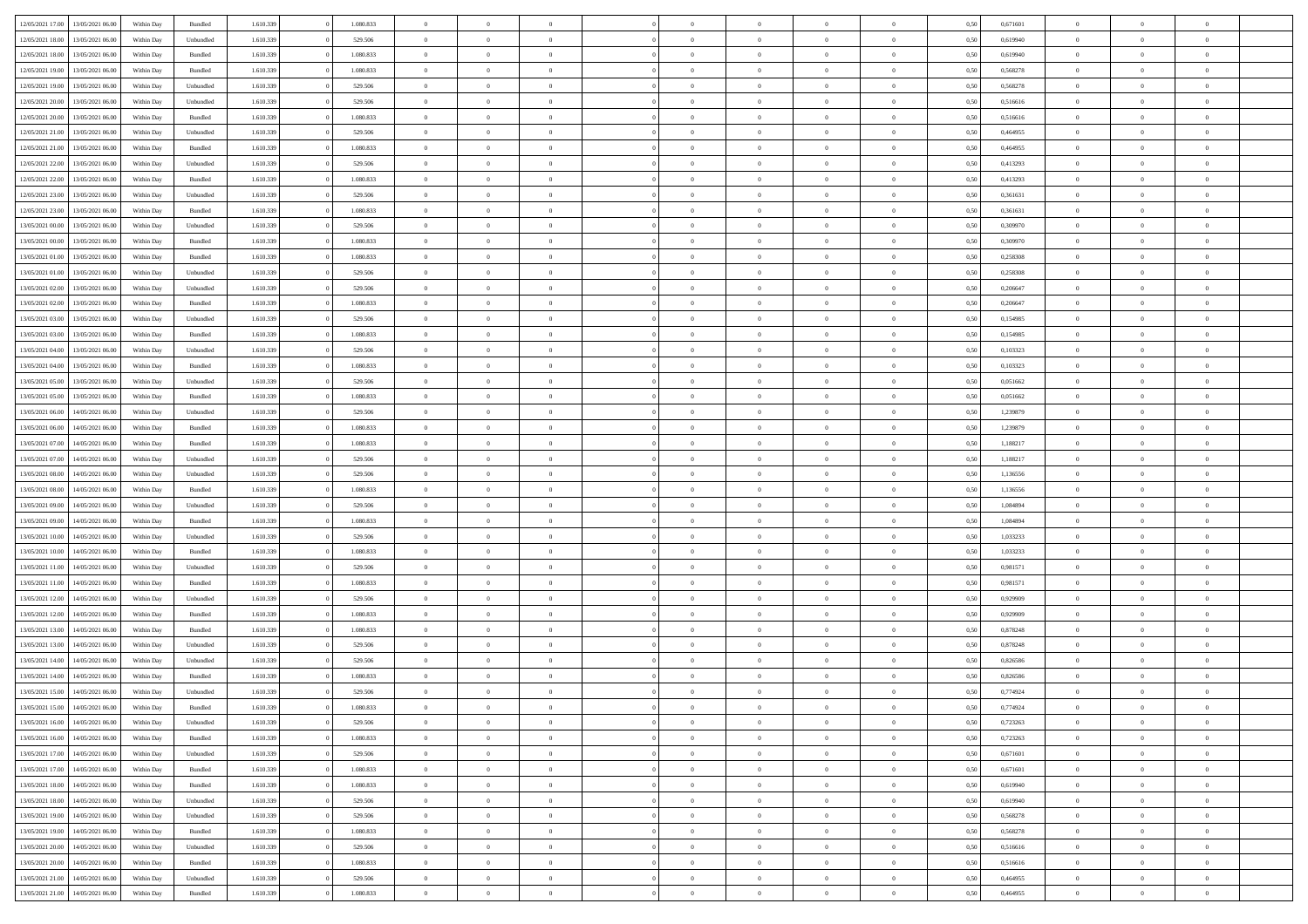| 12/05/2021 17:00 | 13/05/2021 06:00 | Within Day | Bundled            | 1.610.339 | 1.080.833 | $\overline{0}$ | $\Omega$       |                | $\Omega$       | $\Omega$       | $\theta$       | $\theta$       | 0,50 | 0,671601 | $\theta$       | $\theta$       | $\theta$       |  |
|------------------|------------------|------------|--------------------|-----------|-----------|----------------|----------------|----------------|----------------|----------------|----------------|----------------|------|----------|----------------|----------------|----------------|--|
|                  |                  |            |                    |           |           |                |                |                |                |                |                |                |      |          |                |                |                |  |
| 12/05/2021 18:00 | 13/05/2021 06:00 | Within Day | Unbundled          | 1.610.339 | 529.506   | $\overline{0}$ | $\theta$       | $\overline{0}$ | $\overline{0}$ | $\bf{0}$       | $\overline{0}$ | $\bf{0}$       | 0,50 | 0,619940 | $\theta$       | $\overline{0}$ | $\overline{0}$ |  |
| 12/05/2021 18:00 | 13/05/2021 06:00 | Within Day | Bundled            | 1.610.339 | 1.080.833 | $\overline{0}$ | $\overline{0}$ | $\overline{0}$ | $\bf{0}$       | $\bf{0}$       | $\bf{0}$       | $\mathbf{0}$   | 0,50 | 0,619940 | $\bf{0}$       | $\overline{0}$ | $\bf{0}$       |  |
| 12/05/2021 19:00 | 13/05/2021 06:00 | Within Dav | Bundled            | 1.610.339 | 1.080.833 | $\overline{0}$ | $\overline{0}$ | $\overline{0}$ | $\overline{0}$ | $\bf{0}$       | $\overline{0}$ | $\overline{0}$ | 0.50 | 0,568278 | $\theta$       | $\overline{0}$ | $\overline{0}$ |  |
| 12/05/2021 19:00 | 13/05/2021 06:00 | Within Day | Unbundled          | 1.610.339 | 529.506   | $\overline{0}$ | $\theta$       | $\overline{0}$ | $\overline{0}$ | $\bf{0}$       | $\overline{0}$ | $\bf{0}$       | 0,50 | 0,568278 | $\,$ 0 $\,$    | $\overline{0}$ | $\overline{0}$ |  |
| 12/05/2021 20:00 | 13/05/2021 06:00 | Within Day | Unbundled          | 1.610.339 | 529.506   | $\overline{0}$ | $\overline{0}$ | $\overline{0}$ | $\bf{0}$       | $\overline{0}$ | $\overline{0}$ | $\mathbf{0}$   | 0,50 | 0,516616 | $\bf{0}$       | $\overline{0}$ | $\bf{0}$       |  |
|                  |                  |            |                    |           |           |                | $\overline{0}$ |                |                | $\overline{0}$ |                |                |      |          | $\theta$       | $\overline{0}$ | $\overline{0}$ |  |
| 12/05/2021 20:00 | 13/05/2021 06:00 | Within Dav | Bundled            | 1.610.339 | 1.080.833 | $\overline{0}$ |                | $\overline{0}$ | $\overline{0}$ |                | $\overline{0}$ | $\overline{0}$ | 0.50 | 0,516616 |                |                |                |  |
| 12/05/2021 21:00 | 13/05/2021 06:00 | Within Day | Unbundled          | 1.610.339 | 529.506   | $\overline{0}$ | $\theta$       | $\overline{0}$ | $\overline{0}$ | $\bf{0}$       | $\overline{0}$ | $\bf{0}$       | 0,50 | 0,464955 | $\theta$       | $\theta$       | $\overline{0}$ |  |
| 12/05/2021 21:00 | 13/05/2021 06:00 | Within Day | Bundled            | 1.610.339 | 1.080.833 | $\overline{0}$ | $\overline{0}$ | $\overline{0}$ | $\bf{0}$       | $\bf{0}$       | $\bf{0}$       | $\mathbf{0}$   | 0,50 | 0,464955 | $\,0\,$        | $\overline{0}$ | $\overline{0}$ |  |
| 12/05/2021 22:00 | 13/05/2021 06:00 | Within Dav | Unbundled          | 1.610.339 | 529.506   | $\overline{0}$ | $\overline{0}$ | $\overline{0}$ | $\overline{0}$ | $\overline{0}$ | $\overline{0}$ | $\overline{0}$ | 0.50 | 0,413293 | $\theta$       | $\overline{0}$ | $\overline{0}$ |  |
| 12/05/2021 22:00 | 13/05/2021 06:00 | Within Day | Bundled            | 1.610.339 | 1.080.833 | $\overline{0}$ | $\theta$       | $\overline{0}$ | $\overline{0}$ | $\bf{0}$       | $\overline{0}$ | $\bf{0}$       | 0,50 | 0,413293 | $\,$ 0 $\,$    | $\overline{0}$ | $\overline{0}$ |  |
| 12/05/2021 23:00 | 13/05/2021 06:00 | Within Day | Unbundled          | 1.610.339 | 529.506   | $\overline{0}$ | $\overline{0}$ | $\overline{0}$ | $\bf{0}$       | $\overline{0}$ | $\bf{0}$       | $\mathbf{0}$   | 0,50 | 0,361631 | $\bf{0}$       | $\overline{0}$ | $\bf{0}$       |  |
| 12/05/2021 23:00 | 13/05/2021 06:00 | Within Day | Bundled            | 1.610.339 | 1.080.833 | $\overline{0}$ | $\overline{0}$ | $\overline{0}$ | $\overline{0}$ | $\bf{0}$       | $\overline{0}$ | $\overline{0}$ | 0.50 | 0.361631 | $\theta$       | $\theta$       | $\overline{0}$ |  |
|                  |                  |            |                    |           |           | $\overline{0}$ | $\theta$       | $\overline{0}$ | $\overline{0}$ | $\bf{0}$       | $\overline{0}$ |                |      |          | $\theta$       | $\overline{0}$ | $\overline{0}$ |  |
| 13/05/2021 00:00 | 13/05/2021 06:00 | Within Day | Unbundled          | 1.610.339 | 529.506   |                |                |                |                |                |                | $\bf{0}$       | 0,50 | 0,309970 |                |                |                |  |
| 13/05/2021 00:00 | 13/05/2021 06:00 | Within Day | Bundled            | 1.610.339 | 1.080.833 | $\overline{0}$ | $\overline{0}$ | $\overline{0}$ | $\bf{0}$       | $\overline{0}$ | $\overline{0}$ | $\mathbf{0}$   | 0,50 | 0,309970 | $\bf{0}$       | $\overline{0}$ | $\bf{0}$       |  |
| 13/05/2021 01:00 | 13/05/2021 06:00 | Within Dav | Bundled            | 1.610.339 | 1.080.833 | $\overline{0}$ | $\overline{0}$ | $\overline{0}$ | $\overline{0}$ | $\overline{0}$ | $\overline{0}$ | $\overline{0}$ | 0.50 | 0,258308 | $\theta$       | $\overline{0}$ | $\overline{0}$ |  |
| 13/05/2021 01:00 | 13/05/2021 06:00 | Within Day | Unbundled          | 1.610.339 | 529.506   | $\overline{0}$ | $\theta$       | $\overline{0}$ | $\overline{0}$ | $\bf{0}$       | $\overline{0}$ | $\bf{0}$       | 0,50 | 0,258308 | $\,$ 0 $\,$    | $\theta$       | $\overline{0}$ |  |
| 13/05/2021 02:00 | 13/05/2021 06:00 | Within Day | Unbundled          | 1.610.339 | 529.506   | $\overline{0}$ | $\overline{0}$ | $\overline{0}$ | $\overline{0}$ | $\bf{0}$       | $\overline{0}$ | $\mathbf{0}$   | 0,50 | 0,206647 | $\bf{0}$       | $\overline{0}$ | $\bf{0}$       |  |
| 13/05/2021 02:00 | 13/05/2021 06:00 | Within Day | Bundled            | 1.610.339 | 1.080.833 | $\overline{0}$ | $\overline{0}$ | $\overline{0}$ | $\overline{0}$ | $\overline{0}$ | $\overline{0}$ | $\overline{0}$ | 0.50 | 0.206647 | $\theta$       | $\overline{0}$ | $\overline{0}$ |  |
| 13/05/2021 03:00 | 13/05/2021 06:00 | Within Day | Unbundled          | 1.610.339 | 529.506   | $\overline{0}$ | $\theta$       | $\overline{0}$ | $\overline{0}$ | $\bf{0}$       | $\overline{0}$ | $\bf{0}$       | 0,50 | 0,154985 | $\,$ 0 $\,$    | $\overline{0}$ | $\overline{0}$ |  |
|                  |                  |            |                    |           |           |                |                |                |                |                |                |                |      |          |                |                |                |  |
| 13/05/2021 03:00 | 13/05/2021 06:00 | Within Day | Bundled            | 1.610.339 | 1.080.833 | $\overline{0}$ | $\overline{0}$ | $\overline{0}$ | $\overline{0}$ | $\bf{0}$       | $\overline{0}$ | $\mathbf{0}$   | 0,50 | 0,154985 | $\overline{0}$ | $\overline{0}$ | $\bf{0}$       |  |
| 13/05/2021 04:00 | 13/05/2021 06:00 | Within Day | Unbundled          | 1.610.339 | 529.506   | $\overline{0}$ | $\overline{0}$ | $\overline{0}$ | $\overline{0}$ | $\overline{0}$ | $\overline{0}$ | $\overline{0}$ | 0.50 | 0,103323 | $\theta$       | $\overline{0}$ | $\overline{0}$ |  |
| 13/05/2021 04:00 | 13/05/2021 06:00 | Within Day | Bundled            | 1.610.339 | 1.080.833 | $\overline{0}$ | $\theta$       | $\overline{0}$ | $\overline{0}$ | $\bf{0}$       | $\overline{0}$ | $\bf{0}$       | 0,50 | 0,103323 | $\,$ 0 $\,$    | $\overline{0}$ | $\overline{0}$ |  |
| 13/05/2021 05:00 | 13/05/2021 06:00 | Within Day | Unbundled          | 1.610.339 | 529.506   | $\overline{0}$ | $\overline{0}$ | $\overline{0}$ | $\overline{0}$ | $\overline{0}$ | $\overline{0}$ | $\mathbf{0}$   | 0,50 | 0,051662 | $\overline{0}$ | $\overline{0}$ | $\bf{0}$       |  |
| 13/05/2021 05:00 | 13/05/2021 06:00 | Within Dav | Bundled            | 1.610.339 | 1.080.833 | $\overline{0}$ | $\overline{0}$ | $\overline{0}$ | $\overline{0}$ | $\overline{0}$ | $\overline{0}$ | $\overline{0}$ | 0.50 | 0,051662 | $\overline{0}$ | $\overline{0}$ | $\overline{0}$ |  |
| 13/05/2021 06:00 | 14/05/2021 06:00 | Within Day | Unbundled          | 1.610.339 | 529.506   | $\overline{0}$ | $\theta$       | $\overline{0}$ | $\overline{0}$ | $\bf{0}$       | $\overline{0}$ | $\bf{0}$       | 0,50 | 1,239879 | $\,$ 0 $\,$    | $\overline{0}$ | $\overline{0}$ |  |
| 13/05/2021 06:00 | 14/05/2021 06:00 | Within Day | Bundled            | 1.610.339 | 1.080.833 | $\overline{0}$ | $\overline{0}$ | $\overline{0}$ | $\overline{0}$ | $\bf{0}$       | $\overline{0}$ | $\bf{0}$       | 0,50 | 1,239879 | $\,0\,$        | $\overline{0}$ | $\overline{0}$ |  |
| 13/05/2021 07:00 | 14/05/2021 06:00 |            | Bundled            | 1.610.339 | 1.080.833 | $\overline{0}$ | $\overline{0}$ | $\overline{0}$ | $\overline{0}$ | $\overline{0}$ | $\overline{0}$ | $\overline{0}$ | 0.50 | 1,188217 | $\theta$       | $\overline{0}$ | $\overline{0}$ |  |
|                  |                  | Within Day |                    |           |           |                |                |                |                |                |                |                |      |          |                |                |                |  |
| 13/05/2021 07:00 | 14/05/2021 06:00 | Within Day | Unbundled          | 1.610.339 | 529.506   | $\overline{0}$ | $\overline{0}$ | $\overline{0}$ | $\overline{0}$ | $\bf{0}$       | $\overline{0}$ | $\bf{0}$       | 0,50 | 1,188217 | $\,$ 0 $\,$    | $\overline{0}$ | $\overline{0}$ |  |
| 13/05/2021 08:00 | 14/05/2021 06:00 | Within Day | Unbundled          | 1.610.339 | 529.506   | $\overline{0}$ | $\overline{0}$ | $\overline{0}$ | $\overline{0}$ | $\overline{0}$ | $\overline{0}$ | $\mathbf{0}$   | 0,50 | 1,136556 | $\overline{0}$ | $\overline{0}$ | $\bf{0}$       |  |
| 13/05/2021 08:00 | 14/05/2021 06:00 | Within Day | Bundled            | 1.610.339 | 1.080.833 | $\overline{0}$ | $\Omega$       | $\overline{0}$ | $\Omega$       | $\Omega$       | $\overline{0}$ | $\overline{0}$ | 0,50 | 1,136556 | $\,0\,$        | $\theta$       | $\theta$       |  |
| 13/05/2021 09:00 | 14/05/2021 06:00 | Within Day | Unbundled          | 1.610.339 | 529.506   | $\overline{0}$ | $\overline{0}$ | $\overline{0}$ | $\overline{0}$ | $\bf{0}$       | $\overline{0}$ | $\bf{0}$       | 0,50 | 1,084894 | $\,$ 0 $\,$    | $\overline{0}$ | $\overline{0}$ |  |
| 13/05/2021 09:00 | 14/05/2021 06:00 | Within Day | Bundled            | 1.610.339 | 1.080.833 | $\overline{0}$ | $\overline{0}$ | $\overline{0}$ | $\overline{0}$ | $\overline{0}$ | $\overline{0}$ | $\mathbf{0}$   | 0,50 | 1,084894 | $\bf{0}$       | $\overline{0}$ | $\bf{0}$       |  |
| 13/05/2021 10:00 | 14/05/2021 06:00 | Within Day | Unbundled          | 1.610.339 | 529.506   | $\overline{0}$ | $\Omega$       | $\Omega$       | $\Omega$       | $\overline{0}$ | $\overline{0}$ | $\overline{0}$ | 0.50 | 1,033233 | $\,0\,$        | $\theta$       | $\theta$       |  |
| 13/05/2021 10:00 | 14/05/2021 06:00 | Within Day | Bundled            | 1.610.339 | 1.080.833 | $\overline{0}$ | $\theta$       | $\overline{0}$ | $\overline{0}$ | $\bf{0}$       | $\overline{0}$ | $\bf{0}$       | 0,50 | 1,033233 | $\,$ 0 $\,$    | $\overline{0}$ | $\overline{0}$ |  |
|                  |                  |            |                    |           |           |                |                |                |                |                |                |                |      |          |                |                |                |  |
| 13/05/2021 11:00 | 14/05/2021 06:00 | Within Day | Unbundled          | 1.610.339 | 529.506   | $\overline{0}$ | $\overline{0}$ | $\overline{0}$ | $\bf{0}$       | $\bf{0}$       | $\bf{0}$       | $\mathbf{0}$   | 0,50 | 0,981571 | $\bf{0}$       | $\overline{0}$ | $\bf{0}$       |  |
| 13/05/2021 11:00 | 14/05/2021 06:00 | Within Day | Bundled            | 1.610.339 | 1.080.833 | $\overline{0}$ | $\Omega$       | $\overline{0}$ | $\Omega$       | $\overline{0}$ | $\overline{0}$ | $\overline{0}$ | 0.50 | 0.981571 | $\,$ 0 $\,$    | $\theta$       | $\theta$       |  |
| 13/05/2021 12:00 | 14/05/2021 06:00 | Within Day | Unbundled          | 1.610.339 | 529.506   | $\overline{0}$ | $\overline{0}$ | $\overline{0}$ | $\overline{0}$ | $\,$ 0         | $\overline{0}$ | $\bf{0}$       | 0,50 | 0,929909 | $\,$ 0 $\,$    | $\overline{0}$ | $\overline{0}$ |  |
| 13/05/2021 12:00 | 14/05/2021 06:00 | Within Day | Bundled            | 1.610.339 | 1.080.833 | $\overline{0}$ | $\overline{0}$ | $\overline{0}$ | $\bf{0}$       | $\bf{0}$       | $\bf{0}$       | $\mathbf{0}$   | 0,50 | 0,929909 | $\bf{0}$       | $\overline{0}$ | $\bf{0}$       |  |
| 13/05/2021 13:00 | 14/05/2021 06:00 | Within Day | Bundled            | 1.610.339 | 1.080.833 | $\overline{0}$ | $\Omega$       | $\overline{0}$ | $\Omega$       | $\overline{0}$ | $\overline{0}$ | $\overline{0}$ | 0,50 | 0,878248 | $\,0\,$        | $\theta$       | $\theta$       |  |
| 13/05/2021 13:00 | 14/05/2021 06:00 | Within Day | Unbundled          | 1.610.339 | 529.506   | $\overline{0}$ | $\overline{0}$ | $\overline{0}$ | $\overline{0}$ | $\,$ 0         | $\overline{0}$ | $\bf{0}$       | 0,50 | 0,878248 | $\,$ 0 $\,$    | $\overline{0}$ | $\overline{0}$ |  |
| 13/05/2021 14:00 | 14/05/2021 06:00 | Within Day | Unbundled          | 1.610.339 | 529.506   | $\overline{0}$ | $\overline{0}$ | $\overline{0}$ | $\overline{0}$ | $\bf{0}$       | $\overline{0}$ | $\mathbf{0}$   | 0,50 | 0,826586 | $\bf{0}$       | $\overline{0}$ | $\bf{0}$       |  |
| 13/05/2021 14:00 | 14/05/2021 06:00 |            | Bundled            | 1.610.339 | 1.080.833 | $\overline{0}$ | $\Omega$       | $\Omega$       | $\Omega$       | $\Omega$       | $\Omega$       | $\overline{0}$ | 0.50 | 0,826586 | $\theta$       | $\theta$       | $\theta$       |  |
|                  |                  | Within Day |                    |           |           |                |                |                |                |                |                |                |      |          |                |                |                |  |
| 13/05/2021 15:00 | 14/05/2021 06:00 | Within Day | Unbundled          | 1.610.339 | 529.506   | $\overline{0}$ | $\overline{0}$ | $\overline{0}$ | $\bf{0}$       | $\,$ 0         | $\overline{0}$ | $\bf{0}$       | 0,50 | 0,774924 | $\,0\,$        | $\,$ 0 $\,$    | $\overline{0}$ |  |
| 13/05/2021 15:00 | 14/05/2021 06:00 | Within Day | $\mathbf B$ undled | 1.610.339 | 1.080.833 | $\bf{0}$       | $\bf{0}$       |                |                | $\bf{0}$       |                |                | 0,50 | 0,774924 | $\bf{0}$       | $\overline{0}$ |                |  |
| 13/05/2021 16:00 | 14/05/2021 06:00 | Within Day | Unbundled          | 1.610.339 | 529.506   | $\overline{0}$ | $\overline{0}$ | $\overline{0}$ | $\Omega$       | $\overline{0}$ | $\overline{0}$ | $\overline{0}$ | 0,50 | 0,723263 | $\theta$       | $\theta$       | $\theta$       |  |
| 13/05/2021 16:00 | 14/05/2021 06:00 | Within Day | Bundled            | 1.610.339 | 1.080.833 | $\overline{0}$ | $\,$ 0         | $\overline{0}$ | $\overline{0}$ | $\,$ 0 $\,$    | $\overline{0}$ | $\,$ 0 $\,$    | 0,50 | 0,723263 | $\,$ 0 $\,$    | $\,$ 0 $\,$    | $\,$ 0         |  |
| 13/05/2021 17:00 | 14/05/2021 06:00 | Within Day | Unbundled          | 1.610.339 | 529.506   | $\overline{0}$ | $\overline{0}$ | $\overline{0}$ | $\overline{0}$ | $\overline{0}$ | $\overline{0}$ | $\mathbf{0}$   | 0,50 | 0,671601 | $\overline{0}$ | $\bf{0}$       | $\bf{0}$       |  |
| 13/05/2021 17:00 | 14/05/2021 06:00 | Within Day | $\mathbf B$ undled | 1.610.339 | 1.080.833 | $\overline{0}$ | $\overline{0}$ | $\overline{0}$ | $\Omega$       | $\overline{0}$ | $\overline{0}$ | $\overline{0}$ | 0,50 | 0,671601 | $\overline{0}$ | $\theta$       | $\overline{0}$ |  |
| 13/05/2021 18:00 | 14/05/2021 06:00 | Within Day | Bundled            | 1.610.339 | 1.080.833 | $\overline{0}$ | $\,$ 0         | $\overline{0}$ | $\overline{0}$ | $\,$ 0 $\,$    | $\overline{0}$ | $\mathbf{0}$   | 0,50 | 0,619940 | $\,$ 0 $\,$    | $\overline{0}$ | $\overline{0}$ |  |
|                  |                  |            |                    |           |           |                |                |                |                |                |                |                |      |          |                |                |                |  |
| 13/05/2021 18:00 | 14/05/2021 06:00 | Within Day | Unbundled          | 1.610.339 | 529.506   | $\overline{0}$ | $\overline{0}$ | $\overline{0}$ | $\overline{0}$ | $\overline{0}$ | $\overline{0}$ | $\mathbf{0}$   | 0,50 | 0,619940 | $\overline{0}$ | $\overline{0}$ | $\bf{0}$       |  |
| 13/05/2021 19:00 | 14/05/2021 06:00 | Within Day | Unbundled          | 1.610.339 | 529.506   | $\overline{0}$ | $\overline{0}$ | $\overline{0}$ | $\overline{0}$ | $\overline{0}$ | $\overline{0}$ | $\bf{0}$       | 0.50 | 0,568278 | $\overline{0}$ | $\theta$       | $\overline{0}$ |  |
| 13/05/2021 19:00 | 14/05/2021 06:00 | Within Day | Bundled            | 1.610.339 | 1.080.833 | $\overline{0}$ | $\,$ 0         | $\overline{0}$ | $\bf{0}$       | $\bf{0}$       | $\bf{0}$       | $\bf{0}$       | 0,50 | 0,568278 | $\,$ 0 $\,$    | $\overline{0}$ | $\overline{0}$ |  |
| 13/05/2021 20:00 | 14/05/2021 06:00 | Within Day | Unbundled          | 1.610.339 | 529.506   | $\overline{0}$ | $\bf{0}$       | $\overline{0}$ | $\overline{0}$ | $\overline{0}$ | $\overline{0}$ | $\mathbf{0}$   | 0,50 | 0,516616 | $\overline{0}$ | $\overline{0}$ | $\bf{0}$       |  |
| 13/05/2021 20:00 | 14/05/2021 06:00 | Within Day | Bundled            | 1.610.339 | 1.080.833 | $\overline{0}$ | $\overline{0}$ | $\overline{0}$ | $\Omega$       | $\overline{0}$ | $\overline{0}$ | $\bf{0}$       | 0.50 | 0,516616 | $\overline{0}$ | $\overline{0}$ | $\overline{0}$ |  |
| 13/05/2021 21:00 | 14/05/2021 06:00 | Within Day | Unbundled          | 1.610.339 | 529.506   | $\overline{0}$ | $\bf{0}$       | $\overline{0}$ | $\bf{0}$       | $\bf{0}$       | $\bf{0}$       | $\mathbf{0}$   | 0,50 | 0,464955 | $\,$ 0 $\,$    | $\,$ 0 $\,$    | $\bf{0}$       |  |
| 13/05/2021 21:00 | 14/05/2021 06:00 | Within Day | Bundled            | 1.610.339 | 1.080.833 | $\overline{0}$ | $\overline{0}$ | $\overline{0}$ | $\overline{0}$ | $\overline{0}$ | $\bf{0}$       | $\mathbf{0}$   | 0,50 | 0,464955 | $\overline{0}$ | $\bf{0}$       | $\overline{0}$ |  |
|                  |                  |            |                    |           |           |                |                |                |                |                |                |                |      |          |                |                |                |  |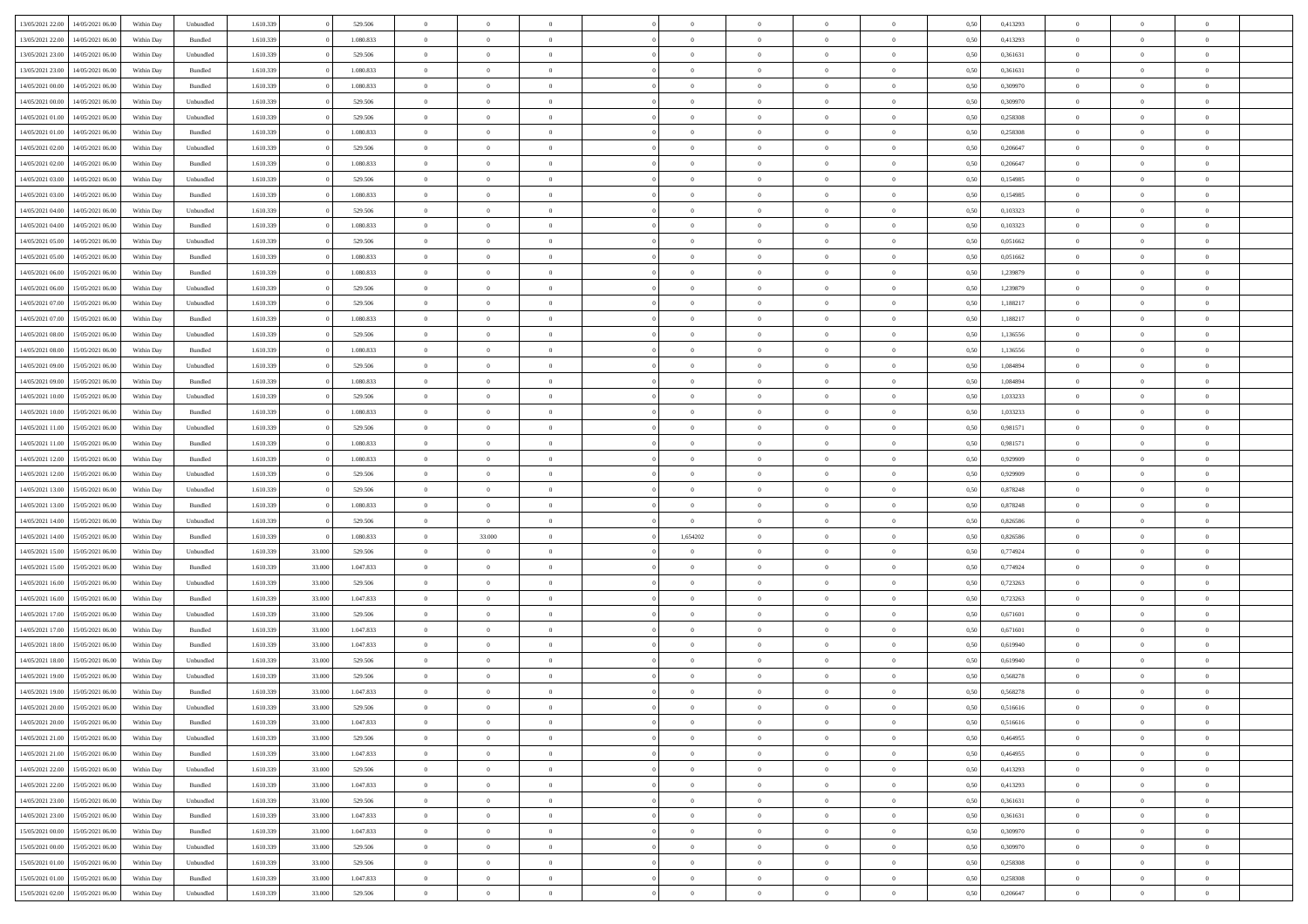| 13/05/2021 22:00 | 14/05/2021 06:00                  | Within Dav | Unbundled | 1.610.339 |        | 529.506   | $\overline{0}$ | $\Omega$       |                | $\Omega$       | $\Omega$       | $\theta$       | $\theta$       | 0.50 | 0,413293 | $\theta$       | $\theta$       | $\theta$       |  |
|------------------|-----------------------------------|------------|-----------|-----------|--------|-----------|----------------|----------------|----------------|----------------|----------------|----------------|----------------|------|----------|----------------|----------------|----------------|--|
|                  |                                   |            |           |           |        |           |                |                |                |                |                |                |                |      |          |                |                |                |  |
| 13/05/2021 22:00 | 14/05/2021 06:00                  | Within Day | Bundled   | 1.610.339 |        | 1.080.833 | $\overline{0}$ | $\theta$       | $\overline{0}$ | $\overline{0}$ | $\bf{0}$       | $\overline{0}$ | $\bf{0}$       | 0,50 | 0,413293 | $\theta$       | $\theta$       | $\overline{0}$ |  |
| 13/05/2021 23:00 | 14/05/2021 06:00                  | Within Day | Unbundled | 1.610.339 |        | 529.506   | $\overline{0}$ | $\overline{0}$ | $\overline{0}$ | $\bf{0}$       | $\bf{0}$       | $\bf{0}$       | $\bf{0}$       | 0,50 | 0,361631 | $\bf{0}$       | $\overline{0}$ | $\overline{0}$ |  |
| 13/05/2021 23:00 | 14/05/2021 06:00                  | Within Dav | Bundled   | 1.610.339 |        | 1.080.833 | $\overline{0}$ | $\overline{0}$ | $\overline{0}$ | $\overline{0}$ | $\bf{0}$       | $\overline{0}$ | $\overline{0}$ | 0.50 | 0.361631 | $\theta$       | $\theta$       | $\overline{0}$ |  |
|                  |                                   |            |           |           |        |           |                |                |                |                |                |                |                |      |          |                |                |                |  |
| 14/05/2021 00:00 | 14/05/2021 06:00                  | Within Day | Bundled   | 1.610.339 |        | 1.080.833 | $\overline{0}$ | $\theta$       | $\overline{0}$ | $\overline{0}$ | $\bf{0}$       | $\overline{0}$ | $\bf{0}$       | 0,50 | 0,309970 | $\theta$       | $\theta$       | $\overline{0}$ |  |
| 14/05/2021 00:00 | 14/05/2021 06:00                  | Within Day | Unbundled | 1.610.339 |        | 529.506   | $\overline{0}$ | $\bf{0}$       | $\overline{0}$ | $\bf{0}$       | $\overline{0}$ | $\overline{0}$ | $\mathbf{0}$   | 0,50 | 0,309970 | $\bf{0}$       | $\overline{0}$ | $\bf{0}$       |  |
| 14/05/2021 01:00 | 14/05/2021 06:00                  | Within Dav | Unbundled | 1.610.339 |        | 529.506   | $\overline{0}$ | $\overline{0}$ | $\overline{0}$ | $\overline{0}$ | $\overline{0}$ | $\overline{0}$ | $\overline{0}$ | 0.50 | 0,258308 | $\theta$       | $\overline{0}$ | $\overline{0}$ |  |
| 14/05/2021 01:00 | 14/05/2021 06:00                  | Within Day | Bundled   | 1.610.339 |        | 1.080.833 | $\overline{0}$ | $\theta$       | $\overline{0}$ | $\overline{0}$ | $\bf{0}$       | $\overline{0}$ | $\bf{0}$       | 0,50 | 0,258308 | $\theta$       | $\theta$       | $\overline{0}$ |  |
|                  |                                   |            |           |           |        |           |                |                |                |                |                |                |                |      |          |                |                |                |  |
| 14/05/2021 02:00 | 14/05/2021 06:00                  | Within Day | Unbundled | 1.610.339 |        | 529.506   | $\overline{0}$ | $\overline{0}$ | $\overline{0}$ | $\bf{0}$       | $\bf{0}$       | $\bf{0}$       | $\bf{0}$       | 0,50 | 0,206647 | $\,0\,$        | $\overline{0}$ | $\overline{0}$ |  |
| 14/05/2021 02:00 | 14/05/2021 06:00                  | Within Dav | Bundled   | 1.610.339 |        | 1.080.833 | $\overline{0}$ | $\overline{0}$ | $\overline{0}$ | $\overline{0}$ | $\overline{0}$ | $\overline{0}$ | $\overline{0}$ | 0.50 | 0.206647 | $\theta$       | $\overline{0}$ | $\overline{0}$ |  |
| 14/05/2021 03:00 | 14/05/2021 06:00                  | Within Day | Unbundled | 1.610.339 |        | 529.506   | $\overline{0}$ | $\theta$       | $\overline{0}$ | $\overline{0}$ | $\bf{0}$       | $\overline{0}$ | $\bf{0}$       | 0,50 | 0,154985 | $\,$ 0 $\,$    | $\theta$       | $\overline{0}$ |  |
| 14/05/2021 03:00 | 14/05/2021 06:00                  | Within Day | Bundled   | 1.610.339 |        | 1.080.833 | $\overline{0}$ | $\overline{0}$ | $\overline{0}$ | $\bf{0}$       | $\bf{0}$       | $\bf{0}$       | $\mathbf{0}$   | 0,50 | 0,154985 | $\bf{0}$       | $\overline{0}$ | $\overline{0}$ |  |
| 14/05/2021 04:00 | 14/05/2021 06:00                  | Within Day | Unbundled | 1.610.339 |        | 529.506   | $\overline{0}$ | $\overline{0}$ | $\overline{0}$ | $\overline{0}$ | $\bf{0}$       | $\overline{0}$ | $\overline{0}$ | 0.50 | 0,103323 | $\theta$       | $\theta$       | $\overline{0}$ |  |
|                  |                                   |            |           |           |        |           | $\overline{0}$ | $\theta$       | $\overline{0}$ |                | $\bf{0}$       | $\overline{0}$ |                |      |          | $\theta$       | $\overline{0}$ | $\overline{0}$ |  |
| 14/05/2021 04:00 | 14/05/2021 06:00                  | Within Day | Bundled   | 1.610.339 |        | 1.080.833 |                |                |                | $\overline{0}$ |                |                | $\bf{0}$       | 0,50 | 0,103323 |                |                |                |  |
| 14/05/2021 05:00 | 14/05/2021 06:00                  | Within Day | Unbundled | 1.610.339 |        | 529.506   | $\overline{0}$ | $\bf{0}$       | $\overline{0}$ | $\bf{0}$       | $\overline{0}$ | $\overline{0}$ | $\mathbf{0}$   | 0,50 | 0,051662 | $\bf{0}$       | $\overline{0}$ | $\bf{0}$       |  |
| 14/05/2021 05:00 | 14/05/2021 06:00                  | Within Dav | Bundled   | 1.610.339 |        | 1.080.833 | $\overline{0}$ | $\overline{0}$ | $\overline{0}$ | $\overline{0}$ | $\overline{0}$ | $\overline{0}$ | $\overline{0}$ | 0.50 | 0,051662 | $\theta$       | $\overline{0}$ | $\overline{0}$ |  |
| 14/05/2021 06:00 | 15/05/2021 06:00                  | Within Day | Bundled   | 1.610.339 |        | 1.080.833 | $\overline{0}$ | $\theta$       | $\overline{0}$ | $\overline{0}$ | $\bf{0}$       | $\overline{0}$ | $\bf{0}$       | 0,50 | 1,239879 | $\,$ 0 $\,$    | $\theta$       | $\overline{0}$ |  |
| 14/05/2021 06:00 | 15/05/2021 06:00                  | Within Day | Unbundled | 1.610.339 |        | 529.506   | $\overline{0}$ | $\overline{0}$ | $\overline{0}$ | $\bf{0}$       | $\bf{0}$       | $\bf{0}$       | $\mathbf{0}$   | 0,50 | 1,239879 | $\,0\,$        | $\overline{0}$ | $\overline{0}$ |  |
|                  |                                   |            |           |           |        |           |                |                |                |                |                |                |                |      |          |                |                |                |  |
| 14/05/2021 07:00 | 15/05/2021 06:00                  | Within Day | Unbundled | 1.610.339 |        | 529.506   | $\overline{0}$ | $\overline{0}$ | $\overline{0}$ | $\overline{0}$ | $\overline{0}$ | $\overline{0}$ | $\overline{0}$ | 0.50 | 1,188217 | $\theta$       | $\overline{0}$ | $\overline{0}$ |  |
| 14/05/2021 07:00 | 15/05/2021 06:00                  | Within Day | Bundled   | 1.610.339 |        | 1.080.833 | $\overline{0}$ | $\theta$       | $\overline{0}$ | $\overline{0}$ | $\bf{0}$       | $\overline{0}$ | $\bf{0}$       | 0,50 | 1,188217 | $\,$ 0 $\,$    | $\theta$       | $\overline{0}$ |  |
| 14/05/2021 08:00 | 15/05/2021 06:00                  | Within Day | Unbundled | 1.610.339 |        | 529.506   | $\overline{0}$ | $\overline{0}$ | $\overline{0}$ | $\bf{0}$       | $\bf{0}$       | $\bf{0}$       | $\bf{0}$       | 0,50 | 1,136556 | $\,0\,$        | $\overline{0}$ | $\overline{0}$ |  |
| 14/05/2021 08:00 | 15/05/2021 06:00                  | Within Day | Bundled   | 1.610.339 |        | 1.080.833 | $\overline{0}$ | $\overline{0}$ | $\overline{0}$ | $\overline{0}$ | $\bf{0}$       | $\overline{0}$ | $\overline{0}$ | 0.50 | 1,136556 | $\theta$       | $\theta$       | $\overline{0}$ |  |
| 14/05/2021 09:00 | 15/05/2021 06:00                  | Within Day | Unbundled | 1.610.339 |        | 529.506   | $\overline{0}$ | $\theta$       | $\overline{0}$ | $\overline{0}$ | $\bf{0}$       | $\overline{0}$ | $\bf{0}$       | 0,50 | 1,084894 | $\,$ 0 $\,$    | $\overline{0}$ | $\overline{0}$ |  |
|                  |                                   |            |           |           |        |           |                |                |                |                |                |                |                |      |          |                |                |                |  |
| 14/05/2021 09:00 | 15/05/2021 06:00                  | Within Day | Bundled   | 1.610.339 |        | 1.080.833 | $\overline{0}$ | $\bf{0}$       | $\overline{0}$ | $\bf{0}$       | $\overline{0}$ | $\overline{0}$ | $\mathbf{0}$   | 0,50 | 1,084894 | $\bf{0}$       | $\overline{0}$ | $\bf{0}$       |  |
| 14/05/2021 10:00 | 15/05/2021 06:00                  | Within Dav | Unbundled | 1.610.339 |        | 529.506   | $\overline{0}$ | $\overline{0}$ | $\overline{0}$ | $\overline{0}$ | $\overline{0}$ | $\overline{0}$ | $\overline{0}$ | 0.50 | 1,033233 | $\theta$       | $\overline{0}$ | $\overline{0}$ |  |
| 14/05/2021 10:00 | 15/05/2021 06:00                  | Within Day | Bundled   | 1.610.339 |        | 1.080.833 | $\overline{0}$ | $\theta$       | $\overline{0}$ | $\overline{0}$ | $\bf{0}$       | $\overline{0}$ | $\bf{0}$       | 0,50 | 1,033233 | $\theta$       | $\theta$       | $\overline{0}$ |  |
| 14/05/2021 11:00 | 15/05/2021 06:00                  | Within Day | Unbundled | 1.610.339 |        | 529.506   | $\overline{0}$ | $\overline{0}$ | $\overline{0}$ | $\bf{0}$       | $\bf{0}$       | $\bf{0}$       | $\bf{0}$       | 0,50 | 0,981571 | $\,0\,$        | $\overline{0}$ | $\overline{0}$ |  |
|                  | 15/05/2021 06:00                  |            | Bundled   | 1.610.339 |        | 1.080.833 | $\overline{0}$ | $\overline{0}$ | $\overline{0}$ | $\overline{0}$ | $\overline{0}$ | $\overline{0}$ | $\overline{0}$ | 0.50 | 0.981571 | $\theta$       | $\overline{0}$ | $\overline{0}$ |  |
| 14/05/2021 11:00 |                                   | Within Day |           |           |        |           |                |                |                |                |                |                |                |      |          |                |                |                |  |
| 14/05/2021 12:00 | 15/05/2021 06:00                  | Within Day | Bundled   | 1.610.339 |        | 1.080.833 | $\overline{0}$ | $\theta$       | $\overline{0}$ | $\overline{0}$ | $\bf{0}$       | $\overline{0}$ | $\bf{0}$       | 0,50 | 0,929909 | $\,$ 0 $\,$    | $\overline{0}$ | $\overline{0}$ |  |
| 14/05/2021 12:00 | 15/05/2021 06:00                  | Within Day | Unbundled | 1.610.339 |        | 529.506   | $\overline{0}$ | $\overline{0}$ | $\overline{0}$ | $\bf{0}$       | $\bf{0}$       | $\bf{0}$       | $\bf{0}$       | 0,50 | 0,929909 | $\bf{0}$       | $\overline{0}$ | $\overline{0}$ |  |
| 14/05/2021 13:00 | 15/05/2021 06:00                  | Within Day | Unbundled | 1.610.339 |        | 529.506   | $\overline{0}$ | $\Omega$       | $\Omega$       | $\Omega$       | $\Omega$       | $\overline{0}$ | $\overline{0}$ | 0,50 | 0,878248 | $\,0\,$        | $\theta$       | $\theta$       |  |
| 14/05/2021 13:00 | 15/05/2021 06:00                  | Within Day | Bundled   | 1.610.339 |        | 1.080.833 | $\overline{0}$ | $\theta$       | $\overline{0}$ | $\overline{0}$ | $\bf{0}$       | $\overline{0}$ | $\bf{0}$       | 0,50 | 0,878248 | $\theta$       | $\theta$       | $\overline{0}$ |  |
|                  |                                   |            |           |           |        |           |                |                |                |                |                |                |                |      |          |                |                |                |  |
| 14/05/2021 14:00 | 15/05/2021 06:00                  | Within Day | Unbundled | 1.610.339 |        | 529.506   | $\overline{0}$ | $\overline{0}$ | $\overline{0}$ | $\bf{0}$       | $\bf{0}$       | $\overline{0}$ | $\mathbf{0}$   | 0,50 | 0,826586 | $\bf{0}$       | $\overline{0}$ | $\bf{0}$       |  |
| 14/05/2021 14:00 | 15/05/2021 06:00                  | Within Day | Bundled   | 1.610.339 |        | 1.080.833 | $\overline{0}$ | 33.000         | $\Omega$       | 1,654202       | $\overline{0}$ | $\overline{0}$ | $\overline{0}$ | 0.50 | 0,826586 | $\,0\,$        | $\theta$       | $\theta$       |  |
| 14/05/2021 15:00 | 15/05/2021 06:00                  | Within Day | Unbundled | 1.610.339 | 33.000 | 529.506   | $\overline{0}$ | $\theta$       | $\overline{0}$ | $\overline{0}$ | $\,$ 0         | $\overline{0}$ | $\bf{0}$       | 0,50 | 0,774924 | $\,$ 0 $\,$    | $\theta$       | $\overline{0}$ |  |
| 14/05/2021 15:00 | 15/05/2021 06:00                  | Within Day | Bundled   | 1.610.339 | 33.000 | 1.047.833 | $\overline{0}$ | $\overline{0}$ | $\overline{0}$ | $\bf{0}$       | $\bf{0}$       | $\bf{0}$       | $\bf{0}$       | 0,50 | 0,774924 | $\,0\,$        | $\overline{0}$ | $\overline{0}$ |  |
| 14/05/2021 16:00 | 15/05/2021 06:00                  |            | Unbundled | 1.610.339 | 33.000 | 529.506   | $\overline{0}$ | $\Omega$       | $\Omega$       | $\Omega$       | $\overline{0}$ | $\overline{0}$ | $\overline{0}$ | 0.50 | 0,723263 | $\,0\,$        | $\theta$       | $\theta$       |  |
|                  |                                   | Within Day |           |           |        |           |                |                |                |                |                |                |                |      |          |                |                |                |  |
| 14/05/2021 16:00 | 15/05/2021 06:00                  | Within Day | Bundled   | 1.610.339 | 33.000 | 1.047.833 | $\overline{0}$ | $\theta$       | $\overline{0}$ | $\overline{0}$ | $\bf{0}$       | $\overline{0}$ | $\bf{0}$       | 0,50 | 0,723263 | $\,$ 0 $\,$    | $\overline{0}$ | $\overline{0}$ |  |
| 14/05/2021 17:00 | 15/05/2021 06:00                  | Within Day | Unbundled | 1.610.339 | 33.000 | 529.506   | $\overline{0}$ | $\overline{0}$ | $\overline{0}$ | $\bf{0}$       | $\bf{0}$       | $\bf{0}$       | $\bf{0}$       | 0,50 | 0,671601 | $\bf{0}$       | $\overline{0}$ | $\overline{0}$ |  |
| 14/05/2021 17:00 | 15/05/2021 06:00                  | Within Day | Bundled   | 1.610.339 | 33.000 | 1.047.833 | $\overline{0}$ | $\Omega$       | $\overline{0}$ | $\Omega$       | $\overline{0}$ | $\overline{0}$ | $\overline{0}$ | 0.50 | 0,671601 | $\,0\,$        | $\theta$       | $\theta$       |  |
| 14/05/2021 18:00 | 15/05/2021 06:00                  | Within Day | Bundled   | 1.610.339 | 33.000 | 1.047.833 | $\overline{0}$ | $\theta$       | $\overline{0}$ | $\overline{0}$ | $\,$ 0         | $\overline{0}$ | $\bf{0}$       | 0,50 | 0,619940 | $\,$ 0 $\,$    | $\overline{0}$ | $\overline{0}$ |  |
| 14/05/2021 18:00 | 15/05/2021 06:00                  | Within Day | Unbundled | 1.610.339 | 33.000 | 529.506   | $\overline{0}$ | $\overline{0}$ | $\overline{0}$ | $\bf{0}$       | $\bf{0}$       | $\bf{0}$       | $\mathbf{0}$   | 0,50 | 0,619940 | $\bf{0}$       | $\overline{0}$ | $\bf{0}$       |  |
|                  |                                   |            |           |           |        |           |                |                |                |                |                |                |                |      |          |                |                |                |  |
| 14/05/2021 19:00 | 15/05/2021 06:00                  | Within Day | Unbundled | 1.610.339 | 33.000 | 529.506   | $\overline{0}$ | $\Omega$       | $\Omega$       | $\Omega$       | $\Omega$       | $\Omega$       | $\overline{0}$ | 0.50 | 0.568278 | $\theta$       | $\theta$       | $\theta$       |  |
| 14/05/2021 19:00 | 15/05/2021 06:00                  | Within Day | Bundled   | 1.610.339 | 33.000 | 1.047.833 | $\overline{0}$ | $\overline{0}$ | $\overline{0}$ | $\bf{0}$       | $\,$ 0         | $\bf{0}$       | $\bf{0}$       | 0,50 | 0,568278 | $\,0\,$        | $\overline{0}$ | $\overline{0}$ |  |
| 14/05/2021 20:00 | 15/05/2021 06:00                  | Within Day | Unbundled | 1.610.339 | 33.000 | 529.506   | $\bf{0}$       | $\bf{0}$       |                |                |                |                |                | 0,50 | 0,516616 | $\bf{0}$       | $\overline{0}$ |                |  |
| 14/05/2021 20:00 | 15/05/2021 06:00                  | Within Day | Bundled   | 1.610.339 | 33.000 | 1.047.833 | $\overline{0}$ | $\overline{0}$ | $\overline{0}$ | $\Omega$       | $\overline{0}$ | $\overline{0}$ | $\overline{0}$ | 0.50 | 0,516616 | $\theta$       | $\theta$       | $\Omega$       |  |
| 14/05/2021 21:00 | 15/05/2021 06:00                  | Within Day | Unbundled | 1.610.339 | 33.000 | 529.506   | $\overline{0}$ | $\bf{0}$       | $\overline{0}$ | $\bf{0}$       | $\,$ 0 $\,$    | $\overline{0}$ | $\,$ 0 $\,$    | 0,50 | 0,464955 | $\,$ 0 $\,$    | $\,$ 0 $\,$    | $\,$ 0         |  |
|                  |                                   |            |           |           |        |           |                |                |                |                |                |                |                |      |          |                |                |                |  |
| 14/05/2021 21.00 | 15/05/2021 06:00                  | Within Day | Bundled   | 1.610.339 | 33.000 | 1.047.833 | $\overline{0}$ | $\overline{0}$ | $\overline{0}$ | $\overline{0}$ | $\overline{0}$ | $\overline{0}$ | $\mathbf{0}$   | 0,50 | 0,464955 | $\overline{0}$ | $\bf{0}$       | $\overline{0}$ |  |
| 14/05/2021 22:00 | 15/05/2021 06:00                  | Within Day | Unbundled | 1.610.339 | 33.000 | 529.506   | $\overline{0}$ | $\overline{0}$ | $\overline{0}$ | $\Omega$       | $\overline{0}$ | $\overline{0}$ | $\overline{0}$ | 0,50 | 0,413293 | $\overline{0}$ | $\theta$       | $\overline{0}$ |  |
| 14/05/2021 22.00 | 15/05/2021 06:00                  | Within Day | Bundled   | 1.610.339 | 33.000 | 1.047.833 | $\overline{0}$ | $\,$ 0         | $\overline{0}$ | $\bf{0}$       | $\,$ 0 $\,$    | $\overline{0}$ | $\mathbf{0}$   | 0,50 | 0,413293 | $\,$ 0 $\,$    | $\overline{0}$ | $\,$ 0         |  |
| 14/05/2021 23:00 | 15/05/2021 06:00                  | Within Day | Unbundled | 1.610.339 | 33.000 | 529.506   | $\overline{0}$ | $\overline{0}$ | $\overline{0}$ | $\overline{0}$ | $\overline{0}$ | $\overline{0}$ | $\mathbf{0}$   | 0,50 | 0,361631 | $\overline{0}$ | $\overline{0}$ | $\overline{0}$ |  |
|                  |                                   |            |           |           |        |           | $\overline{0}$ | $\overline{0}$ | $\overline{0}$ | $\overline{0}$ | $\overline{0}$ | $\overline{0}$ |                | 0.50 |          | $\overline{0}$ | $\theta$       | $\overline{0}$ |  |
| 14/05/2021 23:00 | 15/05/2021 06:00                  | Within Day | Bundled   | 1.610.339 | 33.000 | 1.047.833 |                |                |                |                |                |                | $\bf{0}$       |      | 0,361631 |                |                |                |  |
| 15/05/2021 00:00 | 15/05/2021 06:00                  | Within Day | Bundled   | 1.610.339 | 33.000 | 1.047.833 | $\overline{0}$ | $\,$ 0         | $\overline{0}$ | $\bf{0}$       | $\bf{0}$       | $\bf{0}$       | $\bf{0}$       | 0,50 | 0,309970 | $\,$ 0 $\,$    | $\overline{0}$ | $\overline{0}$ |  |
| 15/05/2021 00:00 | 15/05/2021 06:00                  | Within Day | Unbundled | 1.610.339 | 33.000 | 529.506   | $\overline{0}$ | $\bf{0}$       | $\overline{0}$ | $\overline{0}$ | $\overline{0}$ | $\overline{0}$ | $\mathbf{0}$   | 0,50 | 0,309970 | $\overline{0}$ | $\overline{0}$ | $\bf{0}$       |  |
| 15/05/2021 01:00 | 15/05/2021 06:00                  | Within Day | Unbundled | 1.610.339 | 33.000 | 529.506   | $\overline{0}$ | $\overline{0}$ | $\overline{0}$ | $\Omega$       | $\overline{0}$ | $\overline{0}$ | $\overline{0}$ | 0.50 | 0,258308 | $\overline{0}$ | $\overline{0}$ | $\overline{0}$ |  |
| 15/05/2021 01:00 | 15/05/2021 06:00                  | Within Day | Bundled   | 1.610.339 | 33.000 | 1.047.833 | $\overline{0}$ | $\bf{0}$       | $\overline{0}$ | $\overline{0}$ | $\bf{0}$       | $\bf{0}$       | $\mathbf{0}$   | 0,50 | 0,258308 | $\,$ 0 $\,$    | $\,$ 0 $\,$    | $\bf{0}$       |  |
|                  |                                   |            |           |           |        |           |                |                |                |                |                |                |                |      |          |                |                |                |  |
|                  | 15/05/2021 02:00 15/05/2021 06:00 | Within Day | Unbundled | 1.610.339 | 33.000 | 529.506   | $\overline{0}$ | $\overline{0}$ | $\overline{0}$ | $\overline{0}$ | $\overline{0}$ | $\bf{0}$       | $\mathbf{0}$   | 0,50 | 0,206647 | $\overline{0}$ | $\bf{0}$       | $\overline{0}$ |  |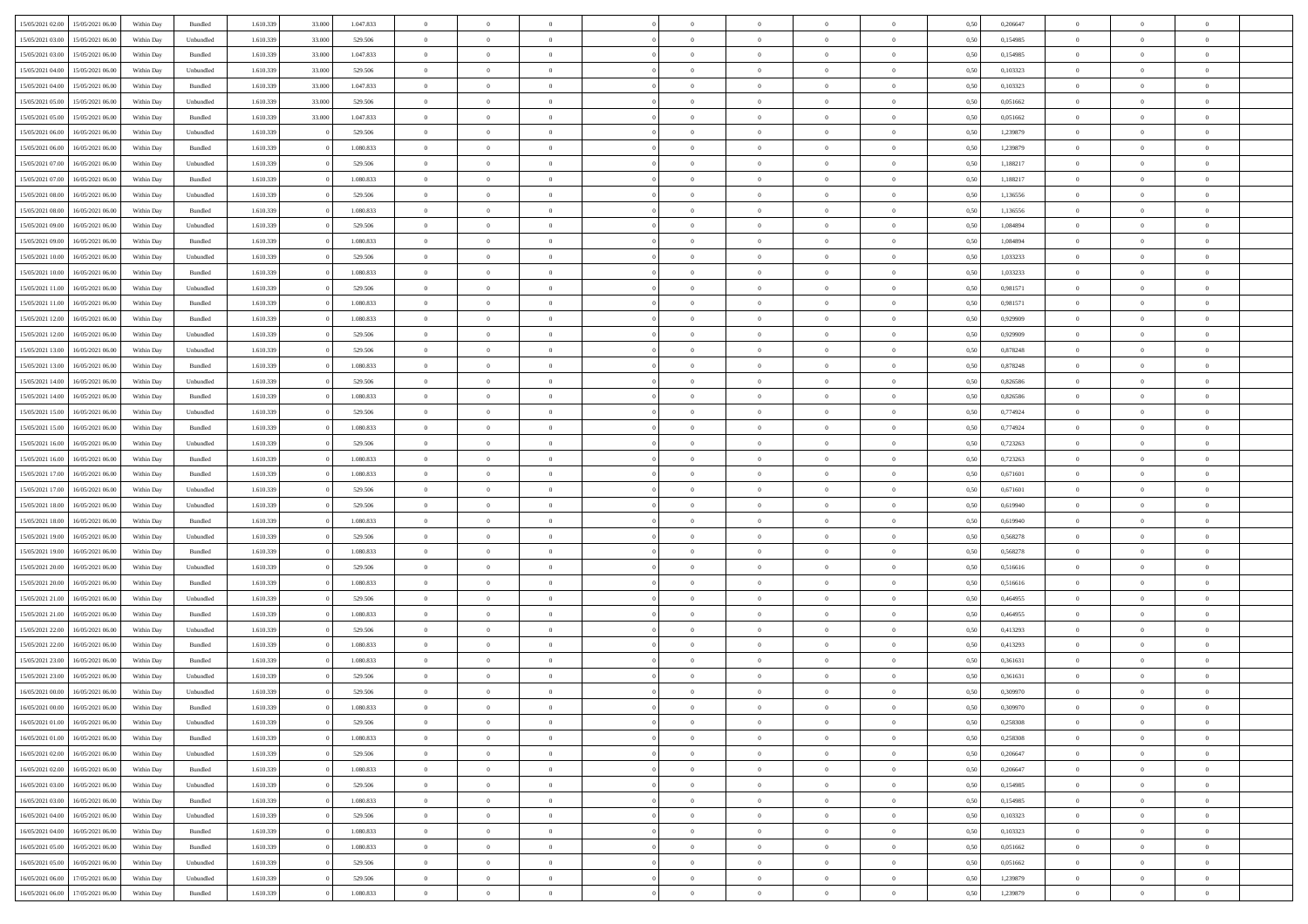| 15/05/2021 02:00 | 15/05/2021 06:00                  | Within Day | Bundled            | 1.610.339 | 33.000 | 1.047.833 | $\overline{0}$ | $\Omega$       |                | $\Omega$       | $\Omega$       | $\theta$       | $\theta$       | 0,50 | 0,206647 | $\theta$       | $\theta$       | $\theta$       |  |
|------------------|-----------------------------------|------------|--------------------|-----------|--------|-----------|----------------|----------------|----------------|----------------|----------------|----------------|----------------|------|----------|----------------|----------------|----------------|--|
|                  |                                   |            |                    |           |        |           |                |                |                |                |                |                |                |      |          |                |                |                |  |
| 15/05/2021 03:00 | 15/05/2021 06:00                  | Within Day | Unbundled          | 1.610.339 | 33.000 | 529.506   | $\overline{0}$ | $\theta$       | $\overline{0}$ | $\overline{0}$ | $\bf{0}$       | $\overline{0}$ | $\bf{0}$       | 0,50 | 0,154985 | $\theta$       | $\theta$       | $\overline{0}$ |  |
| 15/05/2021 03:00 | 15/05/2021 06:00                  | Within Day | Bundled            | 1.610.339 | 33.000 | 1.047.833 | $\overline{0}$ | $\bf{0}$       | $\overline{0}$ | $\bf{0}$       | $\bf{0}$       | $\bf{0}$       | $\mathbf{0}$   | 0,50 | 0,154985 | $\bf{0}$       | $\overline{0}$ | $\overline{0}$ |  |
| 15/05/2021 04:00 | 15/05/2021 06:00                  | Within Day | Unbundled          | 1.610.339 | 33,000 | 529.506   | $\overline{0}$ | $\overline{0}$ | $\overline{0}$ | $\overline{0}$ | $\bf{0}$       | $\overline{0}$ | $\overline{0}$ | 0.50 | 0,103323 | $\theta$       | $\theta$       | $\overline{0}$ |  |
| 15/05/2021 04:00 | 15/05/2021 06:00                  | Within Day | Bundled            | 1.610.339 | 33.000 | 1.047.833 | $\overline{0}$ | $\theta$       | $\overline{0}$ | $\overline{0}$ | $\bf{0}$       | $\overline{0}$ | $\bf{0}$       | 0,50 | 0,103323 | $\theta$       | $\overline{0}$ | $\overline{0}$ |  |
| 15/05/2021 05:00 | 15/05/2021 06:00                  | Within Day | Unbundled          | 1.610.339 | 33.000 | 529.506   | $\overline{0}$ | $\bf{0}$       | $\overline{0}$ | $\bf{0}$       | $\overline{0}$ | $\overline{0}$ | $\mathbf{0}$   | 0,50 | 0,051662 | $\overline{0}$ | $\overline{0}$ | $\bf{0}$       |  |
| 15/05/2021 05:00 | 15/05/2021 06:00                  | Within Dav | Bundled            | 1.610.339 | 33.000 | 1.047.833 | $\overline{0}$ | $\overline{0}$ | $\overline{0}$ | $\overline{0}$ | $\overline{0}$ | $\overline{0}$ | $\overline{0}$ | 0.50 | 0,051662 | $\theta$       | $\overline{0}$ | $\overline{0}$ |  |
|                  |                                   |            |                    |           |        |           |                |                |                |                |                |                |                |      |          |                |                |                |  |
| 15/05/2021 06:00 | 16/05/2021 06:00                  | Within Day | Unbundled          | 1.610.339 |        | 529.506   | $\overline{0}$ | $\theta$       | $\overline{0}$ | $\overline{0}$ | $\bf{0}$       | $\overline{0}$ | $\bf{0}$       | 0,50 | 1,239879 | $\theta$       | $\theta$       | $\overline{0}$ |  |
| 15/05/2021 06:00 | 16/05/2021 06:00                  | Within Day | Bundled            | 1.610.339 |        | 1.080.833 | $\overline{0}$ | $\overline{0}$ | $\overline{0}$ | $\bf{0}$       | $\bf{0}$       | $\bf{0}$       | $\bf{0}$       | 0,50 | 1,239879 | $\,0\,$        | $\overline{0}$ | $\overline{0}$ |  |
| 15/05/2021 07:00 | 16/05/2021 06:00                  | Within Dav | Unbundled          | 1.610.339 |        | 529.506   | $\overline{0}$ | $\overline{0}$ | $\overline{0}$ | $\overline{0}$ | $\overline{0}$ | $\overline{0}$ | $\overline{0}$ | 0.50 | 1,188217 | $\theta$       | $\overline{0}$ | $\overline{0}$ |  |
| 15/05/2021 07:00 | 16/05/2021 06:00                  | Within Day | Bundled            | 1.610.339 |        | 1.080.833 | $\overline{0}$ | $\theta$       | $\overline{0}$ | $\overline{0}$ | $\bf{0}$       | $\overline{0}$ | $\bf{0}$       | 0,50 | 1,188217 | $\,$ 0 $\,$    | $\overline{0}$ | $\overline{0}$ |  |
| 15/05/2021 08:00 | 16/05/2021 06:00                  | Within Day | Unbundled          | 1.610.339 |        | 529.506   | $\overline{0}$ | $\overline{0}$ | $\overline{0}$ | $\bf{0}$       | $\bf{0}$       | $\bf{0}$       | $\mathbf{0}$   | 0,50 | 1,136556 | $\overline{0}$ | $\overline{0}$ | $\bf{0}$       |  |
| 15/05/2021 08:00 | 16/05/2021 06:00                  | Within Day | Bundled            | 1.610.339 |        | 1.080.833 | $\overline{0}$ | $\overline{0}$ | $\overline{0}$ | $\overline{0}$ | $\bf{0}$       | $\overline{0}$ | $\overline{0}$ | 0.50 | 1,136556 | $\theta$       | $\theta$       | $\overline{0}$ |  |
| 15/05/2021 09:00 | 16/05/2021 06:00                  | Within Day | Unbundled          | 1.610.339 |        | 529.506   | $\overline{0}$ | $\theta$       | $\overline{0}$ | $\overline{0}$ | $\bf{0}$       | $\overline{0}$ | $\bf{0}$       | 0,50 | 1,084894 | $\theta$       | $\overline{0}$ | $\overline{0}$ |  |
|                  |                                   |            |                    |           |        |           |                |                |                |                |                |                |                |      |          |                |                |                |  |
| 15/05/2021 09:00 | 16/05/2021 06:00                  | Within Day | Bundled            | 1.610.339 |        | 1.080.833 | $\overline{0}$ | $\overline{0}$ | $\overline{0}$ | $\bf{0}$       | $\overline{0}$ | $\overline{0}$ | $\mathbf{0}$   | 0,50 | 1,084894 | $\bf{0}$       | $\overline{0}$ | $\bf{0}$       |  |
| 15/05/2021 10:00 | 16/05/2021 06:00                  | Within Dav | Unbundled          | 1.610.339 |        | 529.506   | $\overline{0}$ | $\overline{0}$ | $\overline{0}$ | $\overline{0}$ | $\overline{0}$ | $\overline{0}$ | $\overline{0}$ | 0.50 | 1,033233 | $\theta$       | $\overline{0}$ | $\overline{0}$ |  |
| 15/05/2021 10:00 | 16/05/2021 06:00                  | Within Day | Bundled            | 1.610.339 |        | 1.080.833 | $\overline{0}$ | $\theta$       | $\overline{0}$ | $\overline{0}$ | $\bf{0}$       | $\overline{0}$ | $\bf{0}$       | 0,50 | 1,033233 | $\theta$       | $\theta$       | $\overline{0}$ |  |
| 15/05/2021 11:00 | 16/05/2021 06:00                  | Within Day | Unbundled          | 1.610.339 |        | 529.506   | $\overline{0}$ | $\overline{0}$ | $\overline{0}$ | $\bf{0}$       | $\bf{0}$       | $\bf{0}$       | $\mathbf{0}$   | 0,50 | 0,981571 | $\,0\,$        | $\overline{0}$ | $\overline{0}$ |  |
| 15/05/2021 11:00 | 16/05/2021 06:00                  | Within Dav | Bundled            | 1.610.339 |        | 1.080.833 | $\overline{0}$ | $\overline{0}$ | $\overline{0}$ | $\overline{0}$ | $\overline{0}$ | $\overline{0}$ | $\overline{0}$ | 0.50 | 0.981571 | $\theta$       | $\overline{0}$ | $\overline{0}$ |  |
| 15/05/2021 12:00 | 16/05/2021 06:00                  | Within Day | Bundled            | 1.610.339 |        | 1.080.833 | $\overline{0}$ | $\theta$       | $\overline{0}$ | $\overline{0}$ | $\bf{0}$       | $\overline{0}$ | $\bf{0}$       | 0,50 | 0,929909 | $\,$ 0 $\,$    | $\theta$       | $\overline{0}$ |  |
| 15/05/2021 12:00 | 16/05/2021 06:00                  | Within Day | Unbundled          | 1.610.339 |        | 529.506   | $\overline{0}$ | $\overline{0}$ | $\overline{0}$ | $\bf{0}$       | $\bf{0}$       | $\bf{0}$       | $\bf{0}$       | 0,50 | 0,929909 | $\bf{0}$       | $\overline{0}$ | $\overline{0}$ |  |
| 15/05/2021 13:00 | 16/05/2021 06:00                  | Within Day | Unbundled          | 1.610.339 |        | 529.506   | $\overline{0}$ | $\overline{0}$ | $\overline{0}$ | $\overline{0}$ | $\overline{0}$ | $\overline{0}$ | $\overline{0}$ | 0.50 | 0.878248 | $\theta$       | $\overline{0}$ | $\overline{0}$ |  |
|                  |                                   |            |                    |           |        |           |                |                |                |                |                |                |                |      |          |                |                |                |  |
| 15/05/2021 13:00 | 16/05/2021 06:00                  | Within Day | Bundled            | 1.610.339 |        | 1.080.833 | $\overline{0}$ | $\theta$       | $\overline{0}$ | $\overline{0}$ | $\bf{0}$       | $\overline{0}$ | $\bf{0}$       | 0,50 | 0,878248 | $\,$ 0 $\,$    | $\overline{0}$ | $\overline{0}$ |  |
| 15/05/2021 14:00 | 16/05/2021 06:00                  | Within Day | Unbundled          | 1.610.339 |        | 529.506   | $\overline{0}$ | $\bf{0}$       | $\overline{0}$ | $\bf{0}$       | $\overline{0}$ | $\overline{0}$ | $\mathbf{0}$   | 0,50 | 0,826586 | $\bf{0}$       | $\overline{0}$ | $\bf{0}$       |  |
| 15/05/2021 14:00 | 16/05/2021 06:00                  | Within Dav | Bundled            | 1.610.339 |        | 1.080.833 | $\overline{0}$ | $\overline{0}$ | $\overline{0}$ | $\overline{0}$ | $\overline{0}$ | $\overline{0}$ | $\overline{0}$ | 0.50 | 0,826586 | $\overline{0}$ | $\overline{0}$ | $\overline{0}$ |  |
| 15/05/2021 15:00 | 16/05/2021 06:00                  | Within Day | Unbundled          | 1.610.339 |        | 529.506   | $\overline{0}$ | $\theta$       | $\overline{0}$ | $\overline{0}$ | $\bf{0}$       | $\overline{0}$ | $\bf{0}$       | 0,50 | 0,774924 | $\theta$       | $\theta$       | $\overline{0}$ |  |
| 15/05/2021 15:00 | 16/05/2021 06:00                  | Within Day | Bundled            | 1.610.339 |        | 1.080.833 | $\overline{0}$ | $\overline{0}$ | $\overline{0}$ | $\bf{0}$       | $\bf{0}$       | $\bf{0}$       | $\bf{0}$       | 0,50 | 0,774924 | $\,0\,$        | $\overline{0}$ | $\overline{0}$ |  |
| 15/05/2021 16:00 | 16/05/2021 06:00                  | Within Day | Unbundled          | 1.610.339 |        | 529.506   | $\overline{0}$ | $\overline{0}$ | $\overline{0}$ | $\overline{0}$ | $\overline{0}$ | $\overline{0}$ | $\overline{0}$ | 0.50 | 0,723263 | $\theta$       | $\overline{0}$ | $\overline{0}$ |  |
| 15/05/2021 16:00 | 16/05/2021 06:00                  | Within Day | Bundled            | 1.610.339 |        | 1.080.833 | $\overline{0}$ | $\theta$       | $\overline{0}$ | $\overline{0}$ | $\bf{0}$       | $\overline{0}$ | $\bf{0}$       | 0,50 | 0,723263 | $\,$ 0 $\,$    | $\overline{0}$ | $\overline{0}$ |  |
|                  |                                   |            |                    |           |        |           |                |                |                |                |                |                |                |      |          |                |                |                |  |
| 15/05/2021 17:00 | 16/05/2021 06:00                  | Within Day | Bundled            | 1.610.339 |        | 1.080.833 | $\overline{0}$ | $\overline{0}$ | $\overline{0}$ | $\bf{0}$       | $\bf{0}$       | $\bf{0}$       | $\bf{0}$       | 0,50 | 0,671601 | $\overline{0}$ | $\overline{0}$ | $\overline{0}$ |  |
| 15/05/2021 17:00 | 16/05/2021 06:00                  | Within Day | Unbundled          | 1.610.339 |        | 529.506   | $\overline{0}$ | $\Omega$       | $\overline{0}$ | $\Omega$       | $\Omega$       | $\overline{0}$ | $\overline{0}$ | 0,50 | 0,671601 | $\,0\,$        | $\theta$       | $\theta$       |  |
| 15/05/2021 18:00 | 16/05/2021 06:00                  | Within Day | Unbundled          | 1.610.339 |        | 529.506   | $\overline{0}$ | $\theta$       | $\overline{0}$ | $\overline{0}$ | $\bf{0}$       | $\overline{0}$ | $\bf{0}$       | 0,50 | 0,619940 | $\,$ 0 $\,$    | $\overline{0}$ | $\overline{0}$ |  |
| 15/05/2021 18:00 | 16/05/2021 06:00                  | Within Day | Bundled            | 1.610.339 |        | 1.080.833 | $\overline{0}$ | $\overline{0}$ | $\overline{0}$ | $\bf{0}$       | $\bf{0}$       | $\overline{0}$ | $\mathbf{0}$   | 0,50 | 0,619940 | $\overline{0}$ | $\overline{0}$ | $\bf{0}$       |  |
| 15/05/2021 19:00 | 16/05/2021 06:00                  | Within Day | Unbundled          | 1.610.339 |        | 529.506   | $\overline{0}$ | $\Omega$       | $\Omega$       | $\Omega$       | $\overline{0}$ | $\overline{0}$ | $\overline{0}$ | 0.50 | 0.568278 | $\,0\,$        | $\theta$       | $\theta$       |  |
| 15/05/2021 19:00 | 16/05/2021 06:00                  | Within Day | Bundled            | 1.610.339 |        | 1.080.833 | $\overline{0}$ | $\theta$       | $\overline{0}$ | $\overline{0}$ | $\bf{0}$       | $\overline{0}$ | $\bf{0}$       | 0,50 | 0,568278 | $\,$ 0 $\,$    | $\theta$       | $\overline{0}$ |  |
| 15/05/2021 20:00 | 16/05/2021 06:00                  | Within Day | Unbundled          | 1.610.339 |        | 529.506   | $\overline{0}$ | $\overline{0}$ | $\overline{0}$ | $\bf{0}$       | $\bf{0}$       | $\bf{0}$       | $\bf{0}$       | 0,50 | 0,516616 | $\,0\,$        | $\overline{0}$ | $\overline{0}$ |  |
| 15/05/2021 20:00 | 16/05/2021 06:00                  | Within Day | Bundled            | 1.610.339 |        | 1.080.833 | $\overline{0}$ | $\Omega$       | $\overline{0}$ | $\Omega$       | $\theta$       | $\overline{0}$ | $\overline{0}$ | 0.50 | 0,516616 | $\theta$       | $\theta$       | $\theta$       |  |
| 15/05/2021 21:00 | 16/05/2021 06:00                  |            |                    | 1.610.339 |        | 529.506   | $\overline{0}$ | $\theta$       | $\overline{0}$ | $\overline{0}$ | $\bf{0}$       | $\overline{0}$ |                |      | 0,464955 | $\,$ 0 $\,$    | $\overline{0}$ | $\overline{0}$ |  |
|                  |                                   | Within Day | Unbundled          |           |        |           |                |                |                |                |                |                | $\bf{0}$       | 0,50 |          |                |                |                |  |
| 15/05/2021 21.00 | 16/05/2021 06:00                  | Within Day | Bundled            | 1.610.339 |        | 1.080.833 | $\overline{0}$ | $\overline{0}$ | $\overline{0}$ | $\bf{0}$       | $\bf{0}$       | $\bf{0}$       | $\bf{0}$       | 0,50 | 0,464955 | $\overline{0}$ | $\overline{0}$ | $\overline{0}$ |  |
| 15/05/2021 22.00 | 16/05/2021 06:00                  | Within Day | Unbundled          | 1.610.339 |        | 529.506   | $\overline{0}$ | $\Omega$       | $\overline{0}$ | $\Omega$       | $\overline{0}$ | $\overline{0}$ | $\overline{0}$ | 0.50 | 0,413293 | $\,0\,$        | $\theta$       | $\theta$       |  |
| 15/05/2021 22:00 | 16/05/2021 06:00                  | Within Day | Bundled            | 1.610.339 |        | 1.080.833 | $\overline{0}$ | $\theta$       | $\overline{0}$ | $\overline{0}$ | $\bf{0}$       | $\overline{0}$ | $\bf{0}$       | 0,50 | 0,413293 | $\,$ 0 $\,$    | $\overline{0}$ | $\overline{0}$ |  |
| 15/05/2021 23.00 | 16/05/2021 06:00                  | Within Day | Bundled            | 1.610.339 |        | 1.080.833 | $\overline{0}$ | $\overline{0}$ | $\overline{0}$ | $\bf{0}$       | $\bf{0}$       | $\bf{0}$       | $\mathbf{0}$   | 0,50 | 0,361631 | $\overline{0}$ | $\overline{0}$ | $\bf{0}$       |  |
| 15/05/2021 23:00 | 16/05/2021 06:00                  | Within Day | Unbundled          | 1.610.339 |        | 529.506   | $\overline{0}$ | $\Omega$       | $\Omega$       | $\Omega$       | $\Omega$       | $\Omega$       | $\overline{0}$ | 0.50 | 0.361631 | $\theta$       | $\theta$       | $\theta$       |  |
| 16/05/2021 00:00 | 16/05/2021 06:00                  | Within Day | Unbundled          | 1.610.339 |        | 529.506   | $\overline{0}$ | $\overline{0}$ | $\overline{0}$ | $\bf{0}$       | $\,$ 0         | $\bf{0}$       | $\bf{0}$       | 0,50 | 0,309970 | $\,0\,$        | $\overline{0}$ | $\overline{0}$ |  |
| 16/05/2021 00:00 | 16/05/2021 06:00                  | Within Day | $\mathbf B$ undled | 1.610.339 |        | 1.080.833 | $\bf{0}$       | $\bf{0}$       |                |                | $\bf{0}$       |                |                | 0,50 | 0,309970 | $\bf{0}$       | $\overline{0}$ |                |  |
| 16/05/2021 01:00 | 16/05/2021 06:00                  |            |                    | 1.610.339 |        |           | $\overline{0}$ | $\overline{0}$ | $\overline{0}$ | $\Omega$       | $\overline{0}$ | $\overline{0}$ | $\overline{0}$ | 0.50 |          | $\theta$       | $\theta$       | $\theta$       |  |
|                  |                                   | Within Day | Unbundled          |           |        | 529.506   |                |                |                |                |                |                |                |      | 0,258308 |                |                |                |  |
| 16/05/2021 01:00 | 16/05/2021 06:00                  | Within Day | Bundled            | 1.610.339 |        | 1.080.833 | $\overline{0}$ | $\,$ 0         | $\overline{0}$ | $\bf{0}$       | $\,$ 0 $\,$    | $\overline{0}$ | $\,$ 0 $\,$    | 0,50 | 0,258308 | $\,$ 0 $\,$    | $\,$ 0 $\,$    | $\,$ 0         |  |
| 16/05/2021 02:00 | 16/05/2021 06:00                  | Within Day | Unbundled          | 1.610.339 |        | 529.506   | $\overline{0}$ | $\overline{0}$ | $\overline{0}$ | $\overline{0}$ | $\overline{0}$ | $\overline{0}$ | $\mathbf{0}$   | 0,50 | 0,206647 | $\overline{0}$ | $\bf{0}$       | $\bf{0}$       |  |
| 16/05/2021 02:00 | 16/05/2021 06:00                  | Within Day | $\mathbf B$ undled | 1.610.339 |        | 1.080.833 | $\overline{0}$ | $\overline{0}$ | $\overline{0}$ | $\Omega$       | $\overline{0}$ | $\overline{0}$ | $\overline{0}$ | 0,50 | 0,206647 | $\overline{0}$ | $\theta$       | $\overline{0}$ |  |
| 16/05/2021 03:00 | 16/05/2021 06:00                  | Within Day | Unbundled          | 1.610.339 |        | 529.506   | $\overline{0}$ | $\,$ 0         | $\overline{0}$ | $\overline{0}$ | $\,$ 0 $\,$    | $\overline{0}$ | $\mathbf{0}$   | 0,50 | 0,154985 | $\,$ 0 $\,$    | $\overline{0}$ | $\overline{0}$ |  |
| 16/05/2021 03:00 | 16/05/2021 06:00                  | Within Day | Bundled            | 1.610.339 |        | 1.080.833 | $\overline{0}$ | $\overline{0}$ | $\overline{0}$ | $\overline{0}$ | $\overline{0}$ | $\overline{0}$ | $\mathbf{0}$   | 0,50 | 0,154985 | $\overline{0}$ | $\overline{0}$ | $\bf{0}$       |  |
| 16/05/2021 04:00 | 16/05/2021 06:00                  | Within Day | Unbundled          | 1.610.339 |        | 529.506   | $\overline{0}$ | $\overline{0}$ | $\overline{0}$ | $\Omega$       | $\overline{0}$ | $\overline{0}$ | $\bf{0}$       | 0.50 | 0,103323 | $\overline{0}$ | $\theta$       | $\overline{0}$ |  |
| 16/05/2021 04:00 | 16/05/2021 06:00                  | Within Day | Bundled            | 1.610.339 |        | 1.080.833 | $\overline{0}$ | $\,$ 0         | $\overline{0}$ | $\bf{0}$       | $\bf{0}$       | $\bf{0}$       | $\bf{0}$       | 0,50 | 0,103323 | $\,$ 0 $\,$    | $\overline{0}$ | $\overline{0}$ |  |
| 16/05/2021 05:00 | 16/05/2021 06:00                  | Within Day | Bundled            | 1.610.339 |        | 1.080.833 | $\overline{0}$ | $\bf{0}$       | $\overline{0}$ | $\overline{0}$ | $\overline{0}$ | $\overline{0}$ | $\mathbf{0}$   | 0,50 | 0,051662 | $\overline{0}$ | $\overline{0}$ | $\bf{0}$       |  |
|                  |                                   |            |                    |           |        |           |                |                |                |                |                |                |                |      |          |                |                |                |  |
| 16/05/2021 05:00 | 16/05/2021 06:00                  | Within Day | Unbundled          | 1.610.339 |        | 529.506   | $\overline{0}$ | $\overline{0}$ | $\overline{0}$ | $\Omega$       | $\overline{0}$ | $\overline{0}$ | $\overline{0}$ | 0.50 | 0.051662 | $\overline{0}$ | $\overline{0}$ | $\overline{0}$ |  |
| 16/05/2021 06:00 | 17/05/2021 06:00                  | Within Day | Unbundled          | 1.610.339 |        | 529.506   | $\overline{0}$ | $\bf{0}$       | $\overline{0}$ | $\bf{0}$       | $\bf{0}$       | $\bf{0}$       | $\mathbf{0}$   | 0,50 | 1,239879 | $\,$ 0 $\,$    | $\,$ 0 $\,$    | $\bf{0}$       |  |
|                  | 16/05/2021 06:00 17/05/2021 06:00 | Within Day | Bundled            | 1.610.339 |        | 1.080.833 | $\overline{0}$ | $\overline{0}$ | $\overline{0}$ | $\overline{0}$ | $\overline{0}$ | $\bf{0}$       | $\mathbf{0}$   | 0,50 | 1,239879 | $\overline{0}$ | $\bf{0}$       | $\bf{0}$       |  |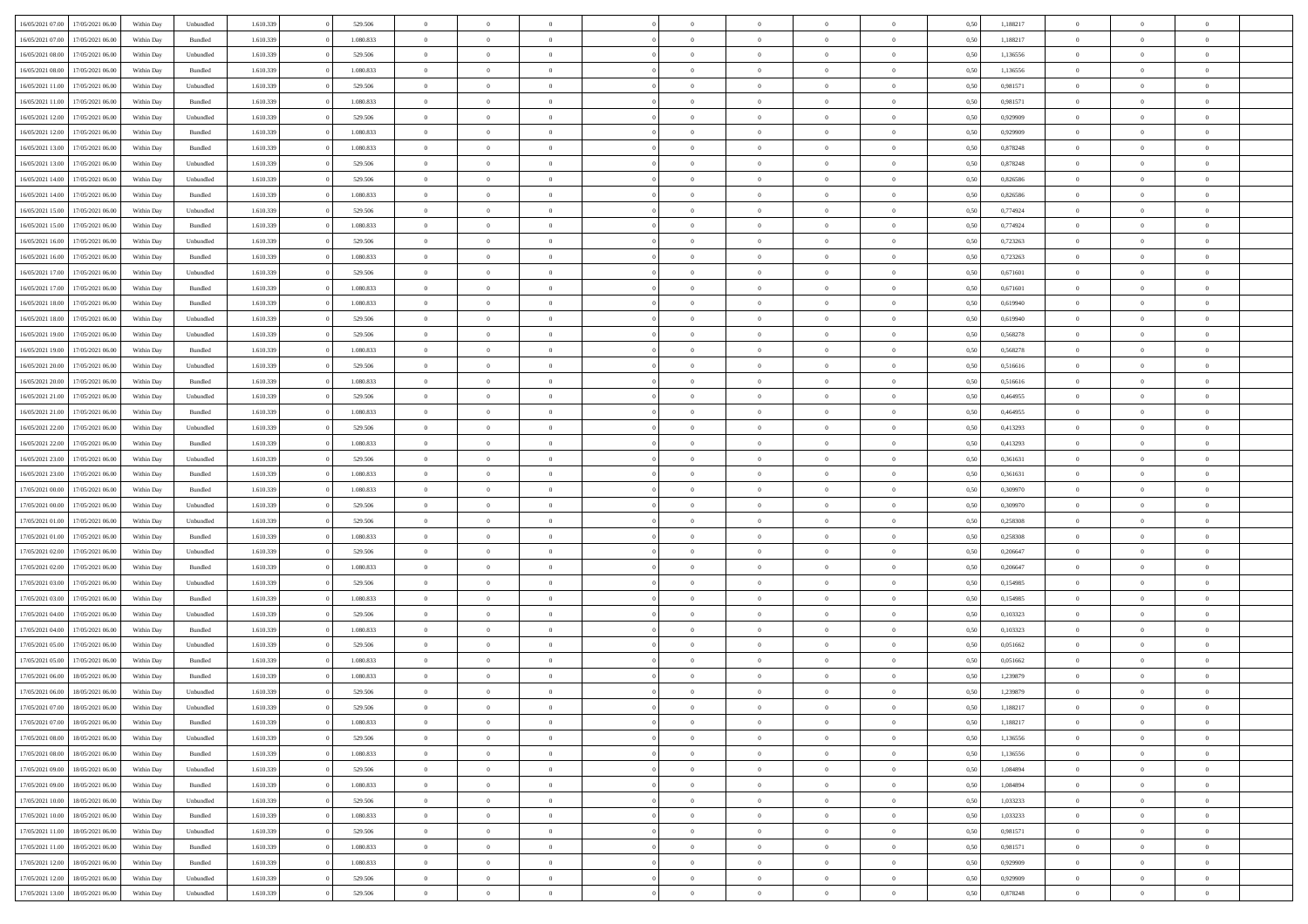| 16/05/2021 07:00 | 17/05/2021 06:00 | Within Day | Unbundled | 1.610.339 | 529.506   | $\overline{0}$ | $\theta$       |                | $\Omega$       | $\Omega$       | $\theta$       | $\theta$       | 0.50 | 1,188217 | $\theta$       | $\theta$       | $\theta$       |  |
|------------------|------------------|------------|-----------|-----------|-----------|----------------|----------------|----------------|----------------|----------------|----------------|----------------|------|----------|----------------|----------------|----------------|--|
|                  |                  |            |           |           |           |                |                |                |                |                |                |                |      |          |                |                |                |  |
| 16/05/2021 07:00 | 17/05/2021 06:00 | Within Day | Bundled   | 1.610.339 | 1.080.833 | $\overline{0}$ | $\theta$       | $\overline{0}$ | $\overline{0}$ | $\bf{0}$       | $\overline{0}$ | $\bf{0}$       | 0,50 | 1,188217 | $\theta$       | $\overline{0}$ | $\overline{0}$ |  |
| 16/05/2021 08:00 | 17/05/2021 06:00 | Within Day | Unbundled | 1.610.339 | 529.506   | $\overline{0}$ | $\overline{0}$ | $\overline{0}$ | $\bf{0}$       | $\bf{0}$       | $\bf{0}$       | $\mathbf{0}$   | 0,50 | 1,136556 | $\bf{0}$       | $\overline{0}$ | $\overline{0}$ |  |
|                  |                  |            |           |           |           |                |                |                |                |                |                |                |      |          | $\theta$       |                |                |  |
| 16/05/2021 08:00 | 17/05/2021 06:00 | Within Dav | Bundled   | 1.610.339 | 1.080.833 | $\overline{0}$ | $\overline{0}$ | $\overline{0}$ | $\overline{0}$ | $\bf{0}$       | $\overline{0}$ | $\overline{0}$ | 0.50 | 1,136556 |                | $\theta$       | $\overline{0}$ |  |
| 16/05/2021 11:00 | 17/05/2021 06:00 | Within Day | Unbundled | 1.610.339 | 529.506   | $\overline{0}$ | $\theta$       | $\overline{0}$ | $\overline{0}$ | $\bf{0}$       | $\overline{0}$ | $\bf{0}$       | 0,50 | 0,981571 | $\theta$       | $\overline{0}$ | $\overline{0}$ |  |
| 16/05/2021 11:00 | 17/05/2021 06:00 | Within Day | Bundled   | 1.610.339 | 1.080.833 | $\overline{0}$ | $\overline{0}$ | $\overline{0}$ | $\bf{0}$       | $\overline{0}$ | $\overline{0}$ | $\mathbf{0}$   | 0,50 | 0,981571 | $\bf{0}$       | $\overline{0}$ | $\bf{0}$       |  |
| 16/05/2021 12:00 | 17/05/2021 06:00 | Within Dav | Unbundled | 1.610.339 | 529.506   | $\overline{0}$ | $\overline{0}$ | $\overline{0}$ | $\overline{0}$ | $\overline{0}$ | $\overline{0}$ | $\overline{0}$ | 0.50 | 0.929909 | $\theta$       | $\overline{0}$ | $\overline{0}$ |  |
|                  |                  |            |           |           |           |                |                |                |                |                |                |                |      |          |                |                |                |  |
| 16/05/2021 12:00 | 17/05/2021 06:00 | Within Day | Bundled   | 1.610.339 | 1.080.833 | $\overline{0}$ | $\theta$       | $\overline{0}$ | $\overline{0}$ | $\bf{0}$       | $\overline{0}$ | $\bf{0}$       | 0,50 | 0,929909 | $\theta$       | $\theta$       | $\overline{0}$ |  |
| 16/05/2021 13:00 | 17/05/2021 06:00 | Within Day | Bundled   | 1.610.339 | 1.080.833 | $\overline{0}$ | $\overline{0}$ | $\overline{0}$ | $\bf{0}$       | $\bf{0}$       | $\bf{0}$       | $\bf{0}$       | 0,50 | 0,878248 | $\,0\,$        | $\overline{0}$ | $\overline{0}$ |  |
| 16/05/2021 13:00 | 17/05/2021 06:00 | Within Dav | Unbundled | 1.610.339 | 529.506   | $\overline{0}$ | $\overline{0}$ | $\overline{0}$ | $\overline{0}$ | $\overline{0}$ | $\overline{0}$ | $\overline{0}$ | 0.50 | 0,878248 | $\theta$       | $\overline{0}$ | $\overline{0}$ |  |
|                  |                  |            |           |           |           |                |                |                |                |                |                |                |      |          |                |                |                |  |
| 16/05/2021 14:00 | 17/05/2021 06:00 | Within Day | Unbundled | 1.610.339 | 529.506   | $\overline{0}$ | $\theta$       | $\overline{0}$ | $\overline{0}$ | $\bf{0}$       | $\overline{0}$ | $\bf{0}$       | 0,50 | 0,826586 | $\,$ 0 $\,$    | $\overline{0}$ | $\overline{0}$ |  |
| 16/05/2021 14:00 | 17/05/2021 06:00 | Within Day | Bundled   | 1.610.339 | 1.080.833 | $\overline{0}$ | $\overline{0}$ | $\overline{0}$ | $\bf{0}$       | $\bf{0}$       | $\bf{0}$       | $\mathbf{0}$   | 0,50 | 0,826586 | $\overline{0}$ | $\overline{0}$ | $\overline{0}$ |  |
| 16/05/2021 15:00 | 17/05/2021 06:00 | Within Day | Unbundled | 1.610.339 | 529.506   | $\overline{0}$ | $\overline{0}$ | $\overline{0}$ | $\overline{0}$ | $\bf{0}$       | $\overline{0}$ | $\overline{0}$ | 0.50 | 0.774924 | $\theta$       | $\theta$       | $\overline{0}$ |  |
|                  |                  |            |           |           |           |                |                |                |                |                |                |                |      |          |                |                |                |  |
| 16/05/2021 15:00 | 17/05/2021 06:00 | Within Day | Bundled   | 1.610.339 | 1.080.833 | $\overline{0}$ | $\theta$       | $\overline{0}$ | $\overline{0}$ | $\bf{0}$       | $\overline{0}$ | $\bf{0}$       | 0,50 | 0,774924 | $\theta$       | $\overline{0}$ | $\overline{0}$ |  |
| 16/05/2021 16:00 | 17/05/2021 06:00 | Within Day | Unbundled | 1.610.339 | 529.506   | $\overline{0}$ | $\overline{0}$ | $\overline{0}$ | $\bf{0}$       | $\overline{0}$ | $\overline{0}$ | $\mathbf{0}$   | 0,50 | 0,723263 | $\overline{0}$ | $\overline{0}$ | $\bf{0}$       |  |
| 16/05/2021 16:00 | 17/05/2021 06:00 | Within Dav | Bundled   | 1.610.339 | 1.080.833 | $\overline{0}$ | $\overline{0}$ | $\overline{0}$ | $\overline{0}$ | $\overline{0}$ | $\overline{0}$ | $\overline{0}$ | 0.50 | 0,723263 | $\theta$       | $\overline{0}$ | $\overline{0}$ |  |
| 16/05/2021 17:00 | 17/05/2021 06:00 | Within Day | Unbundled | 1.610.339 | 529.506   | $\overline{0}$ | $\theta$       | $\overline{0}$ | $\overline{0}$ | $\bf{0}$       | $\overline{0}$ | $\bf{0}$       | 0,50 | 0,671601 | $\theta$       | $\theta$       | $\overline{0}$ |  |
|                  |                  |            |           |           |           |                |                |                |                |                |                |                |      |          |                |                |                |  |
| 16/05/2021 17:00 | 17/05/2021 06:00 | Within Day | Bundled   | 1.610.339 | 1.080.833 | $\overline{0}$ | $\overline{0}$ | $\overline{0}$ | $\bf{0}$       | $\bf{0}$       | $\bf{0}$       | $\bf{0}$       | 0,50 | 0,671601 | $\,0\,$        | $\overline{0}$ | $\overline{0}$ |  |
| 16/05/2021 18:00 | 17/05/2021 06:00 | Within Day | Bundled   | 1.610.339 | 1.080.833 | $\overline{0}$ | $\overline{0}$ | $\overline{0}$ | $\overline{0}$ | $\overline{0}$ | $\overline{0}$ | $\overline{0}$ | 0.50 | 0,619940 | $\theta$       | $\overline{0}$ | $\overline{0}$ |  |
| 16/05/2021 18:00 | 17/05/2021 06:00 | Within Day | Unbundled | 1.610.339 | 529.506   | $\overline{0}$ | $\theta$       | $\overline{0}$ | $\overline{0}$ | $\bf{0}$       | $\overline{0}$ | $\bf{0}$       | 0,50 | 0,619940 | $\,$ 0 $\,$    | $\overline{0}$ | $\overline{0}$ |  |
|                  |                  |            |           |           |           |                |                |                |                |                |                |                |      |          |                |                |                |  |
| 16/05/2021 19:00 | 17/05/2021 06:00 | Within Day | Unbundled | 1.610.339 | 529.506   | $\overline{0}$ | $\overline{0}$ | $\overline{0}$ | $\bf{0}$       | $\bf{0}$       | $\bf{0}$       | $\bf{0}$       | 0,50 | 0,568278 | $\bf{0}$       | $\overline{0}$ | $\overline{0}$ |  |
| 16/05/2021 19:00 | 17/05/2021 06:00 | Within Day | Bundled   | 1.610.339 | 1.080.833 | $\overline{0}$ | $\overline{0}$ | $\overline{0}$ | $\overline{0}$ | $\bf{0}$       | $\overline{0}$ | $\overline{0}$ | 0.50 | 0,568278 | $\theta$       | $\overline{0}$ | $\overline{0}$ |  |
| 16/05/2021 20:00 | 17/05/2021 06:00 | Within Day | Unbundled | 1.610.339 | 529.506   | $\overline{0}$ | $\theta$       | $\overline{0}$ | $\overline{0}$ | $\bf{0}$       | $\overline{0}$ | $\bf{0}$       | 0,50 | 0,516616 | $\,$ 0 $\,$    | $\overline{0}$ | $\overline{0}$ |  |
| 16/05/2021 20:00 | 17/05/2021 06:00 | Within Day | Bundled   | 1.610.339 | 1.080.833 | $\overline{0}$ | $\overline{0}$ | $\overline{0}$ | $\bf{0}$       | $\overline{0}$ | $\overline{0}$ | $\mathbf{0}$   | 0,50 | 0,516616 | $\overline{0}$ | $\overline{0}$ | $\bf{0}$       |  |
|                  |                  |            |           |           |           |                |                |                |                |                |                |                |      |          |                |                |                |  |
| 16/05/2021 21:00 | 17/05/2021 06:00 | Within Dav | Unbundled | 1.610.339 | 529.506   | $\overline{0}$ | $\overline{0}$ | $\overline{0}$ | $\overline{0}$ | $\overline{0}$ | $\overline{0}$ | $\overline{0}$ | 0.50 | 0,464955 | $\theta$       | $\overline{0}$ | $\overline{0}$ |  |
| 16/05/2021 21:00 | 17/05/2021 06:00 | Within Day | Bundled   | 1.610.339 | 1.080.833 | $\overline{0}$ | $\theta$       | $\overline{0}$ | $\overline{0}$ | $\bf{0}$       | $\overline{0}$ | $\bf{0}$       | 0,50 | 0,464955 | $\theta$       | $\theta$       | $\overline{0}$ |  |
| 16/05/2021 22.00 | 17/05/2021 06:00 | Within Day | Unbundled | 1.610.339 | 529.506   | $\overline{0}$ | $\overline{0}$ | $\overline{0}$ | $\bf{0}$       | $\bf{0}$       | $\bf{0}$       | $\bf{0}$       | 0,50 | 0,413293 | $\,0\,$        | $\overline{0}$ | $\overline{0}$ |  |
|                  |                  |            |           |           |           |                | $\overline{0}$ |                |                | $\overline{0}$ |                |                |      |          | $\theta$       | $\overline{0}$ | $\overline{0}$ |  |
| 16/05/2021 22:00 | 17/05/2021 06:00 | Within Day | Bundled   | 1.610.339 | 1.080.833 | $\overline{0}$ |                | $\overline{0}$ | $\overline{0}$ |                | $\overline{0}$ | $\overline{0}$ | 0.50 | 0,413293 |                |                |                |  |
| 16/05/2021 23:00 | 17/05/2021 06:00 | Within Day | Unbundled | 1.610.339 | 529.506   | $\overline{0}$ | $\theta$       | $\overline{0}$ | $\overline{0}$ | $\bf{0}$       | $\overline{0}$ | $\bf{0}$       | 0,50 | 0,361631 | $\,$ 0 $\,$    | $\overline{0}$ | $\overline{0}$ |  |
| 16/05/2021 23:00 | 17/05/2021 06:00 | Within Day | Bundled   | 1.610.339 | 1.080.833 | $\overline{0}$ | $\overline{0}$ | $\overline{0}$ | $\bf{0}$       | $\bf{0}$       | $\bf{0}$       | $\bf{0}$       | 0,50 | 0,361631 | $\overline{0}$ | $\overline{0}$ | $\overline{0}$ |  |
| 17/05/2021 00:00 | 17/05/2021 06:00 |            |           | 1.610.339 | 1.080.833 | $\overline{0}$ | $\Omega$       | $\Omega$       | $\Omega$       | $\Omega$       | $\Omega$       | $\overline{0}$ | 0,50 | 0,309970 | $\,0\,$        | $\theta$       | $\theta$       |  |
|                  |                  | Within Day | Bundled   |           |           |                |                |                |                |                |                |                |      |          |                |                |                |  |
| 17/05/2021 00:00 | 17/05/2021 06:00 | Within Day | Unbundled | 1.610.339 | 529.506   | $\overline{0}$ | $\theta$       | $\overline{0}$ | $\overline{0}$ | $\bf{0}$       | $\overline{0}$ | $\bf{0}$       | 0,50 | 0,309970 | $\theta$       | $\overline{0}$ | $\overline{0}$ |  |
| 17/05/2021 01:00 | 17/05/2021 06:00 | Within Day | Unbundled | 1.610.339 | 529.506   | $\overline{0}$ | $\overline{0}$ | $\overline{0}$ | $\bf{0}$       | $\overline{0}$ | $\overline{0}$ | $\mathbf{0}$   | 0,50 | 0,258308 | $\overline{0}$ | $\overline{0}$ | $\bf{0}$       |  |
| 17/05/2021 01:00 | 17/05/2021 06:00 | Within Day | Bundled   | 1.610.339 | 1.080.833 | $\overline{0}$ | $\Omega$       | $\Omega$       | $\Omega$       | $\bf{0}$       | $\overline{0}$ | $\overline{0}$ | 0.50 | 0,258308 | $\,0\,$        | $\theta$       | $\theta$       |  |
|                  |                  |            |           |           |           |                |                |                |                |                |                |                |      |          |                |                |                |  |
| 17/05/2021 02:00 | 17/05/2021 06:00 | Within Day | Unbundled | 1.610.339 | 529.506   | $\overline{0}$ | $\theta$       | $\overline{0}$ | $\overline{0}$ | $\bf{0}$       | $\overline{0}$ | $\bf{0}$       | 0,50 | 0,206647 | $\,$ 0 $\,$    | $\theta$       | $\overline{0}$ |  |
| 17/05/2021 02:00 | 17/05/2021 06:00 | Within Day | Bundled   | 1.610.339 | 1.080.833 | $\overline{0}$ | $\overline{0}$ | $\overline{0}$ | $\bf{0}$       | $\bf{0}$       | $\bf{0}$       | $\bf{0}$       | 0,50 | 0,206647 | $\bf{0}$       | $\overline{0}$ | $\overline{0}$ |  |
| 17/05/2021 03:00 | 17/05/2021 06:00 | Within Day | Unbundled | 1.610.339 | 529.506   | $\overline{0}$ | $\Omega$       | $\Omega$       | $\Omega$       | $\theta$       | $\theta$       | $\overline{0}$ | 0.50 | 0,154985 | $\theta$       | $\theta$       | $\theta$       |  |
| 17/05/2021 03:00 | 17/05/2021 06:00 | Within Day | Bundled   | 1.610.339 | 1.080.833 | $\overline{0}$ | $\theta$       | $\overline{0}$ | $\overline{0}$ | $\bf{0}$       | $\overline{0}$ | $\bf{0}$       | 0,50 | 0,154985 | $\,$ 0 $\,$    | $\overline{0}$ | $\overline{0}$ |  |
|                  |                  |            |           |           |           |                |                |                |                |                |                |                |      |          |                |                |                |  |
| 17/05/2021 04:00 | 17/05/2021 06:00 | Within Day | Unbundled | 1.610.339 | 529.506   | $\overline{0}$ | $\overline{0}$ | $\overline{0}$ | $\bf{0}$       | $\bf{0}$       | $\bf{0}$       | $\bf{0}$       | 0,50 | 0,103323 | $\overline{0}$ | $\overline{0}$ | $\overline{0}$ |  |
| 17/05/2021 04:00 | 17/05/2021 06:00 | Within Day | Bundled   | 1.610.339 | 1.080.833 | $\overline{0}$ | $\Omega$       | $\overline{0}$ | $\Omega$       | $\Omega$       | $\overline{0}$ | $\overline{0}$ | 0.50 | 0,103323 | $\,0\,$        | $\theta$       | $\theta$       |  |
| 17/05/2021 05:00 | 17/05/2021 06:00 | Within Day | Unbundled | 1.610.339 | 529.506   | $\overline{0}$ | $\theta$       | $\overline{0}$ | $\overline{0}$ | $\bf{0}$       | $\overline{0}$ | $\bf{0}$       | 0,50 | 0,051662 | $\,$ 0 $\,$    | $\overline{0}$ | $\overline{0}$ |  |
| 17/05/2021 05:00 | 17/05/2021 06:00 | Within Day | Bundled   | 1.610.339 | 1.080.833 | $\overline{0}$ | $\overline{0}$ | $\overline{0}$ | $\bf{0}$       | $\bf{0}$       | $\bf{0}$       | $\mathbf{0}$   | 0,50 | 0,051662 | $\overline{0}$ | $\overline{0}$ | $\bf{0}$       |  |
|                  |                  |            |           |           |           |                |                |                |                |                |                |                |      |          |                |                |                |  |
| 17/05/2021 06:00 | 18/05/2021 06:00 | Within Day | Bundled   | 1.610.339 | 1.080.833 | $\overline{0}$ | $\Omega$       | $\Omega$       | $\Omega$       | $\Omega$       | $\Omega$       | $\overline{0}$ | 0.50 | 1,239879 | $\theta$       | $\theta$       | $\theta$       |  |
| 17/05/2021 06:00 | 18/05/2021 06:00 | Within Day | Unbundled | 1.610.339 | 529.506   | $\overline{0}$ | $\overline{0}$ | $\overline{0}$ | $\bf{0}$       | $\,$ 0         | $\bf{0}$       | $\bf{0}$       | 0,50 | 1,239879 | $\,0\,$        | $\overline{0}$ | $\overline{0}$ |  |
| 17/05/2021 07:00 | 18/05/2021 06:00 | Within Day | Unbundled | 1.610.339 | 529.506   | $\bf{0}$       | $\bf{0}$       |                |                | $\bf{0}$       |                |                | 0,50 | 1,188217 | $\bf{0}$       | $\overline{0}$ |                |  |
|                  |                  |            |           |           |           |                |                |                |                |                |                |                |      |          |                |                |                |  |
| 17/05/2021 07:00 | 18/05/2021 06:00 | Within Day | Bundled   | 1.610.339 | 1.080.833 | $\overline{0}$ | $\overline{0}$ | $\overline{0}$ | $\Omega$       | $\overline{0}$ | $\overline{0}$ | $\overline{0}$ | 0,50 | 1,188217 | $\theta$       | $\theta$       | $\theta$       |  |
| 17/05/2021 08:00 | 18/05/2021 06:00 | Within Day | Unbundled | 1.610.339 | 529.506   | $\overline{0}$ | $\,$ 0         | $\overline{0}$ | $\bf{0}$       | $\,$ 0 $\,$    | $\overline{0}$ | $\,$ 0 $\,$    | 0,50 | 1,136556 | $\,$ 0 $\,$    | $\,$ 0 $\,$    | $\,$ 0         |  |
| 17/05/2021 08:00 | 18/05/2021 06:00 | Within Day | Bundled   | 1.610.339 | 1.080.833 | $\overline{0}$ | $\overline{0}$ | $\overline{0}$ | $\overline{0}$ | $\overline{0}$ | $\overline{0}$ | $\mathbf{0}$   | 0,50 | 1,136556 | $\overline{0}$ | $\bf{0}$       | $\overline{0}$ |  |
| 17/05/2021 09:00 | 18/05/2021 06:00 | Within Day | Unbundled | 1.610.339 |           | $\overline{0}$ | $\overline{0}$ | $\overline{0}$ | $\Omega$       | $\overline{0}$ | $\overline{0}$ | $\overline{0}$ | 0,50 | 1,084894 | $\overline{0}$ | $\theta$       | $\overline{0}$ |  |
|                  |                  |            |           |           | 529.506   |                |                |                |                |                |                |                |      |          |                |                |                |  |
| 17/05/2021 09:00 | 18/05/2021 06:00 | Within Day | Bundled   | 1.610.339 | 1.080.833 | $\overline{0}$ | $\,$ 0         | $\overline{0}$ | $\bf{0}$       | $\,$ 0 $\,$    | $\overline{0}$ | $\mathbf{0}$   | 0,50 | 1,084894 | $\,$ 0 $\,$    | $\overline{0}$ | $\overline{0}$ |  |
| 17/05/2021 10:00 | 18/05/2021 06:00 | Within Day | Unbundled | 1.610.339 | 529.506   | $\overline{0}$ | $\overline{0}$ | $\overline{0}$ | $\overline{0}$ | $\overline{0}$ | $\overline{0}$ | $\mathbf{0}$   | 0,50 | 1,033233 | $\overline{0}$ | $\overline{0}$ | $\bf{0}$       |  |
| 17/05/2021 10:00 | 18/05/2021 06:00 | Within Day | Bundled   | 1.610.339 | 1.080.833 | $\overline{0}$ | $\overline{0}$ | $\overline{0}$ | $\overline{0}$ | $\overline{0}$ | $\overline{0}$ | $\bf{0}$       | 0.50 | 1,033233 | $\overline{0}$ | $\theta$       | $\overline{0}$ |  |
|                  |                  |            |           |           |           |                |                |                |                |                |                |                |      |          |                |                |                |  |
| 17/05/2021 11:00 | 18/05/2021 06:00 | Within Day | Unbundled | 1.610.339 | 529.506   | $\overline{0}$ | $\,$ 0         | $\overline{0}$ | $\bf{0}$       | $\bf{0}$       | $\bf{0}$       | $\bf{0}$       | 0,50 | 0,981571 | $\,$ 0 $\,$    | $\overline{0}$ | $\overline{0}$ |  |
| 17/05/2021 11:00 | 18/05/2021 06:00 | Within Day | Bundled   | 1.610.339 | 1.080.833 | $\overline{0}$ | $\bf{0}$       | $\overline{0}$ | $\overline{0}$ | $\overline{0}$ | $\overline{0}$ | $\mathbf{0}$   | 0,50 | 0,981571 | $\overline{0}$ | $\overline{0}$ | $\bf{0}$       |  |
| 17/05/2021 12:00 | 18/05/2021 06:00 | Within Day | Bundled   | 1.610.339 | 1.080.833 | $\overline{0}$ | $\overline{0}$ | $\overline{0}$ | $\Omega$       | $\overline{0}$ | $\overline{0}$ | $\overline{0}$ | 0.50 | 0,929909 | $\overline{0}$ | $\overline{0}$ | $\overline{0}$ |  |
| 17/05/2021 12:00 | 18/05/2021 06:00 | Within Day | Unbundled | 1.610.339 | 529.506   | $\overline{0}$ | $\bf{0}$       | $\overline{0}$ | $\bf{0}$       | $\bf{0}$       | $\bf{0}$       | $\mathbf{0}$   | 0,50 | 0,929909 | $\,$ 0 $\,$    | $\,$ 0 $\,$    | $\bf{0}$       |  |
|                  |                  |            |           |           |           |                |                |                |                |                |                |                |      |          |                |                |                |  |
| 17/05/2021 13:00 | 18/05/2021 06:00 | Within Day | Unbundled | 1.610.339 | 529.506   | $\overline{0}$ | $\overline{0}$ | $\overline{0}$ | $\overline{0}$ | $\overline{0}$ | $\bf{0}$       | $\mathbf{0}$   | 0,50 | 0,878248 | $\overline{0}$ | $\bf{0}$       | $\overline{0}$ |  |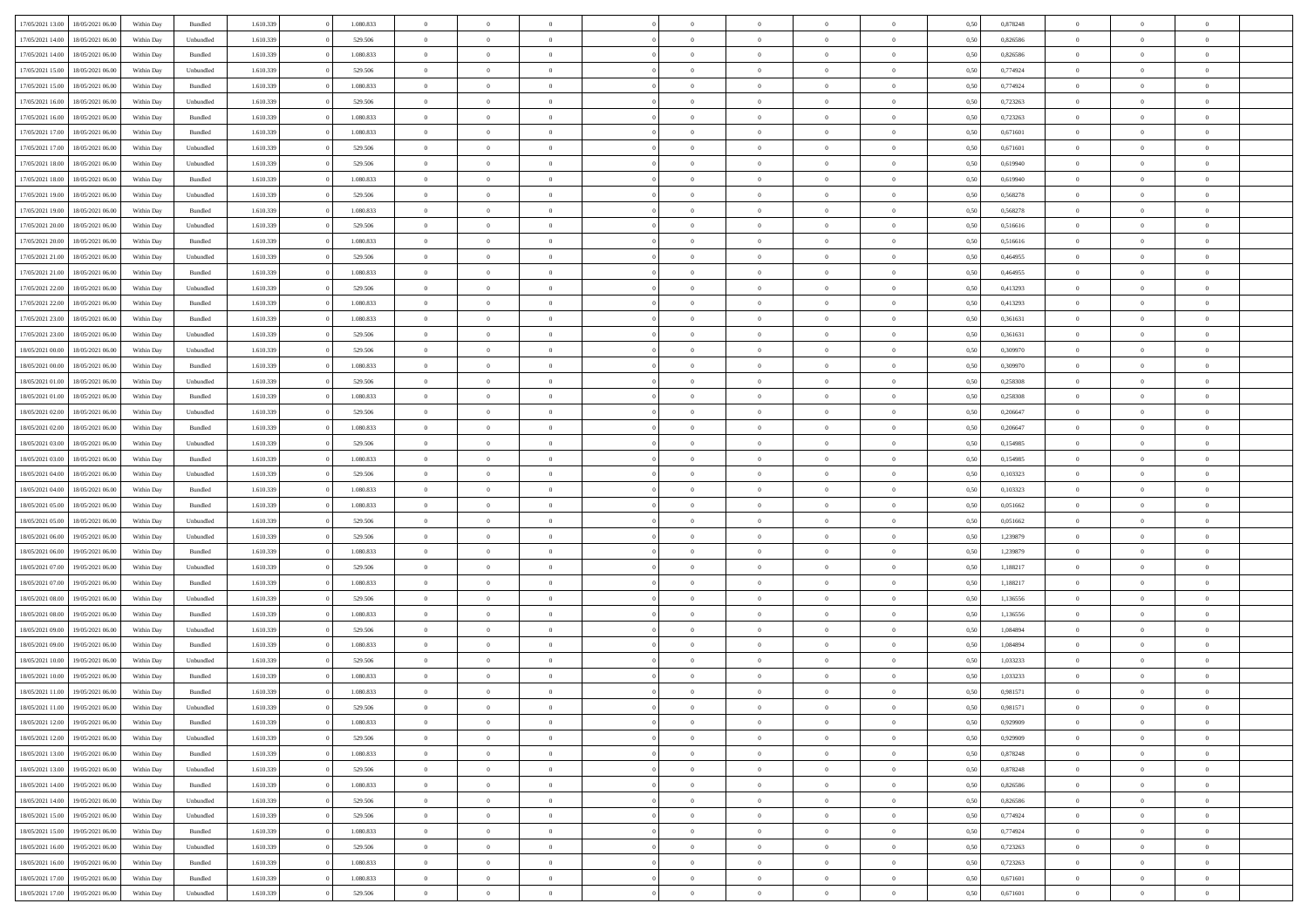| 17/05/2021 13:00 | 18/05/2021 06:00 | Within Day | Bundled   | 1.610.339 | 1.080.833 | $\overline{0}$ | $\Omega$       |                | $\Omega$       | $\Omega$       | $\overline{0}$ | $\theta$       | 0,50 | 0,878248 | $\theta$       | $\theta$       | $\overline{0}$ |  |
|------------------|------------------|------------|-----------|-----------|-----------|----------------|----------------|----------------|----------------|----------------|----------------|----------------|------|----------|----------------|----------------|----------------|--|
|                  |                  |            |           |           |           |                |                |                |                |                |                |                |      |          |                |                |                |  |
| 17/05/2021 14:00 | 18/05/2021 06:00 | Within Day | Unbundled | 1.610.339 | 529.506   | $\overline{0}$ | $\theta$       | $\overline{0}$ | $\overline{0}$ | $\bf{0}$       | $\overline{0}$ | $\bf{0}$       | 0,50 | 0,826586 | $\theta$       | $\overline{0}$ | $\overline{0}$ |  |
| 17/05/2021 14:00 | 18/05/2021 06:00 | Within Day | Bundled   | 1.610.339 | 1.080.833 | $\overline{0}$ | $\overline{0}$ | $\overline{0}$ | $\bf{0}$       | $\bf{0}$       | $\bf{0}$       | $\mathbf{0}$   | 0,50 | 0,826586 | $\overline{0}$ | $\overline{0}$ | $\bf{0}$       |  |
| 17/05/2021 15:00 | 18/05/2021 06:00 | Within Dav | Unbundled | 1.610.339 | 529.506   | $\overline{0}$ | $\overline{0}$ | $\overline{0}$ | $\overline{0}$ | $\bf{0}$       | $\overline{0}$ | $\overline{0}$ | 0.50 | 0,774924 | $\theta$       | $\overline{0}$ | $\overline{0}$ |  |
| 17/05/2021 15:00 | 18/05/2021 06:00 | Within Day | Bundled   | 1.610.339 | 1.080.833 | $\overline{0}$ | $\theta$       | $\overline{0}$ | $\overline{0}$ | $\bf{0}$       | $\overline{0}$ | $\bf{0}$       | 0,50 | 0,774924 | $\,$ 0 $\,$    | $\overline{0}$ | $\overline{0}$ |  |
|                  |                  |            |           |           |           |                |                |                |                |                |                |                |      |          |                |                |                |  |
| 17/05/2021 16:00 | 18/05/2021 06:00 | Within Day | Unbundled | 1.610.339 | 529.506   | $\overline{0}$ | $\overline{0}$ | $\overline{0}$ | $\bf{0}$       | $\overline{0}$ | $\overline{0}$ | $\mathbf{0}$   | 0,50 | 0,723263 | $\overline{0}$ | $\overline{0}$ | $\bf{0}$       |  |
| 17/05/2021 16:00 | 18/05/2021 06:00 | Within Dav | Bundled   | 1.610.339 | 1.080.833 | $\overline{0}$ | $\overline{0}$ | $\overline{0}$ | $\overline{0}$ | $\overline{0}$ | $\overline{0}$ | $\overline{0}$ | 0.50 | 0,723263 | $\theta$       | $\overline{0}$ | $\overline{0}$ |  |
| 17/05/2021 17:00 | 18/05/2021 06:00 | Within Day | Bundled   | 1.610.339 | 1.080.833 | $\overline{0}$ | $\theta$       | $\overline{0}$ | $\overline{0}$ | $\bf{0}$       | $\overline{0}$ | $\bf{0}$       | 0,50 | 0,671601 | $\theta$       | $\theta$       | $\overline{0}$ |  |
| 17/05/2021 17:00 | 18/05/2021 06:00 | Within Day | Unbundled | 1.610.339 | 529.506   | $\overline{0}$ | $\overline{0}$ | $\overline{0}$ | $\bf{0}$       | $\bf{0}$       | $\bf{0}$       | $\bf{0}$       | 0,50 | 0,671601 | $\,0\,$        | $\overline{0}$ | $\overline{0}$ |  |
| 17/05/2021 18:00 | 18/05/2021 06:00 | Within Dav | Unbundled | 1.610.339 | 529.506   | $\overline{0}$ | $\overline{0}$ | $\overline{0}$ | $\overline{0}$ | $\overline{0}$ | $\overline{0}$ | $\overline{0}$ | 0.50 | 0,619940 | $\theta$       | $\overline{0}$ | $\overline{0}$ |  |
| 17/05/2021 18:00 | 18/05/2021 06:00 | Within Day | Bundled   | 1.610.339 | 1.080.833 | $\overline{0}$ | $\theta$       | $\overline{0}$ | $\overline{0}$ | $\bf{0}$       | $\overline{0}$ | $\bf{0}$       | 0,50 | 0,619940 | $\,$ 0 $\,$    | $\overline{0}$ | $\overline{0}$ |  |
| 17/05/2021 19:00 | 18/05/2021 06:00 | Within Day | Unbundled | 1.610.339 | 529.506   | $\overline{0}$ | $\overline{0}$ | $\overline{0}$ | $\bf{0}$       | $\overline{0}$ | $\bf{0}$       | $\mathbf{0}$   | 0,50 | 0,568278 | $\overline{0}$ | $\overline{0}$ | $\bf{0}$       |  |
|                  |                  |            |           |           |           |                |                |                |                |                |                |                |      |          | $\theta$       |                |                |  |
| 17/05/2021 19:00 | 18/05/2021 06:00 | Within Day | Bundled   | 1.610.339 | 1.080.833 | $\overline{0}$ | $\overline{0}$ | $\overline{0}$ | $\overline{0}$ | $\bf{0}$       | $\overline{0}$ | $\overline{0}$ | 0.50 | 0,568278 |                | $\theta$       | $\overline{0}$ |  |
| 17/05/2021 20:00 | 18/05/2021 06:00 | Within Day | Unbundled | 1.610.339 | 529.506   | $\overline{0}$ | $\theta$       | $\overline{0}$ | $\overline{0}$ | $\bf{0}$       | $\overline{0}$ | $\bf{0}$       | 0,50 | 0,516616 | $\theta$       | $\overline{0}$ | $\overline{0}$ |  |
| 17/05/2021 20:00 | 18/05/2021 06:00 | Within Day | Bundled   | 1.610.339 | 1.080.833 | $\overline{0}$ | $\overline{0}$ | $\overline{0}$ | $\bf{0}$       | $\overline{0}$ | $\overline{0}$ | $\mathbf{0}$   | 0,50 | 0,516616 | $\overline{0}$ | $\overline{0}$ | $\bf{0}$       |  |
| 17/05/2021 21:00 | 18/05/2021 06:00 | Within Dav | Unbundled | 1.610.339 | 529.506   | $\overline{0}$ | $\overline{0}$ | $\overline{0}$ | $\overline{0}$ | $\overline{0}$ | $\overline{0}$ | $\overline{0}$ | 0.50 | 0,464955 | $\theta$       | $\overline{0}$ | $\overline{0}$ |  |
| 17/05/2021 21:00 | 18/05/2021 06:00 | Within Day | Bundled   | 1.610.339 | 1.080.833 | $\overline{0}$ | $\theta$       | $\overline{0}$ | $\overline{0}$ | $\bf{0}$       | $\overline{0}$ | $\bf{0}$       | 0,50 | 0,464955 | $\theta$       | $\overline{0}$ | $\overline{0}$ |  |
| 17/05/2021 22.00 | 18/05/2021 06:00 | Within Day | Unbundled | 1.610.339 | 529.506   | $\overline{0}$ | $\overline{0}$ | $\overline{0}$ | $\bf{0}$       | $\bf{0}$       | $\bf{0}$       | $\mathbf{0}$   | 0,50 | 0,413293 | $\bf{0}$       | $\overline{0}$ | $\bf{0}$       |  |
| 17/05/2021 22:00 | 18/05/2021 06:00 | Within Day | Bundled   | 1.610.339 | 1.080.833 | $\overline{0}$ | $\overline{0}$ | $\overline{0}$ | $\overline{0}$ | $\overline{0}$ | $\overline{0}$ | $\overline{0}$ | 0.50 | 0,413293 | $\theta$       | $\overline{0}$ | $\overline{0}$ |  |
| 17/05/2021 23:00 | 18/05/2021 06:00 |            | Bundled   | 1.610.339 | 1.080.833 | $\overline{0}$ | $\theta$       | $\overline{0}$ | $\overline{0}$ | $\bf{0}$       | $\overline{0}$ |                |      | 0,361631 | $\,$ 0 $\,$    | $\overline{0}$ | $\overline{0}$ |  |
|                  |                  | Within Day |           |           |           |                |                |                |                |                |                | $\bf{0}$       | 0,50 |          |                |                |                |  |
| 17/05/2021 23.00 | 18/05/2021 06:00 | Within Day | Unbundled | 1.610.339 | 529.506   | $\overline{0}$ | $\overline{0}$ | $\overline{0}$ | $\bf{0}$       | $\bf{0}$       | $\bf{0}$       | $\bf{0}$       | 0,50 | 0,361631 | $\bf{0}$       | $\overline{0}$ | $\bf{0}$       |  |
| 18/05/2021 00:00 | 18/05/2021 06:00 | Within Day | Unbundled | 1.610.339 | 529.506   | $\overline{0}$ | $\overline{0}$ | $\overline{0}$ | $\overline{0}$ | $\overline{0}$ | $\overline{0}$ | $\overline{0}$ | 0.50 | 0,309970 | $\theta$       | $\overline{0}$ | $\overline{0}$ |  |
| 18/05/2021 00:00 | 18/05/2021 06:00 | Within Day | Bundled   | 1.610.339 | 1.080.833 | $\overline{0}$ | $\theta$       | $\overline{0}$ | $\overline{0}$ | $\bf{0}$       | $\overline{0}$ | $\bf{0}$       | 0,50 | 0,309970 | $\,$ 0 $\,$    | $\overline{0}$ | $\overline{0}$ |  |
| 18/05/2021 01:00 | 18/05/2021 06:00 | Within Day | Unbundled | 1.610.339 | 529.506   | $\overline{0}$ | $\overline{0}$ | $\overline{0}$ | $\overline{0}$ | $\overline{0}$ | $\overline{0}$ | $\mathbf{0}$   | 0,50 | 0,258308 | $\bf{0}$       | $\overline{0}$ | $\bf{0}$       |  |
| 18/05/2021 01:00 | 18/05/2021 06:00 | Within Dav | Bundled   | 1.610.339 | 1.080.833 | $\overline{0}$ | $\overline{0}$ | $\overline{0}$ | $\overline{0}$ | $\overline{0}$ | $\overline{0}$ | $\overline{0}$ | 0.50 | 0,258308 | $\overline{0}$ | $\overline{0}$ | $\overline{0}$ |  |
| 18/05/2021 02:00 | 18/05/2021 06:00 | Within Day | Unbundled | 1.610.339 | 529.506   | $\overline{0}$ | $\theta$       | $\overline{0}$ | $\overline{0}$ | $\bf{0}$       | $\overline{0}$ | $\bf{0}$       | 0,50 | 0,206647 | $\theta$       | $\overline{0}$ | $\overline{0}$ |  |
| 18/05/2021 02:00 | 18/05/2021 06:00 | Within Day | Bundled   | 1.610.339 | 1.080.833 | $\overline{0}$ | $\overline{0}$ | $\overline{0}$ | $\overline{0}$ | $\bf{0}$       | $\overline{0}$ | $\bf{0}$       | 0,50 | 0,206647 | $\,0\,$        | $\overline{0}$ | $\bf{0}$       |  |
|                  |                  |            |           |           |           |                | $\overline{0}$ |                |                | $\overline{0}$ |                |                |      |          | $\theta$       | $\overline{0}$ | $\overline{0}$ |  |
| 18/05/2021 03:00 | 18/05/2021 06:00 | Within Day | Unbundled | 1.610.339 | 529.506   | $\overline{0}$ |                | $\overline{0}$ | $\overline{0}$ |                | $\overline{0}$ | $\overline{0}$ | 0.50 | 0,154985 |                |                |                |  |
| 18/05/2021 03:00 | 18/05/2021 06:00 | Within Day | Bundled   | 1.610.339 | 1.080.833 | $\overline{0}$ | $\overline{0}$ | $\overline{0}$ | $\overline{0}$ | $\bf{0}$       | $\overline{0}$ | $\bf{0}$       | 0,50 | 0,154985 | $\,$ 0 $\,$    | $\overline{0}$ | $\overline{0}$ |  |
| 18/05/2021 04:00 | 18/05/2021 06:00 | Within Day | Unbundled | 1.610.339 | 529.506   | $\overline{0}$ | $\overline{0}$ | $\overline{0}$ | $\bf{0}$       | $\overline{0}$ | $\bf{0}$       | $\bf{0}$       | 0,50 | 0,103323 | $\bf{0}$       | $\overline{0}$ | $\bf{0}$       |  |
| 18/05/2021 04:00 | 18/05/2021 06:00 | Within Day | Bundled   | 1.610.339 | 1.080.833 | $\overline{0}$ | $\Omega$       | $\overline{0}$ | $\Omega$       | $\Omega$       | $\overline{0}$ | $\overline{0}$ | 0,50 | 0,103323 | $\,0\,$        | $\theta$       | $\theta$       |  |
| 18/05/2021 05:00 | 18/05/2021 06:00 | Within Day | Bundled   | 1.610.339 | 1.080.833 | $\overline{0}$ | $\overline{0}$ | $\overline{0}$ | $\overline{0}$ | $\bf{0}$       | $\overline{0}$ | $\bf{0}$       | 0,50 | 0,051662 | $\,$ 0 $\,$    | $\overline{0}$ | $\overline{0}$ |  |
| 18/05/2021 05:00 | 18/05/2021 06:00 | Within Day | Unbundled | 1.610.339 | 529.506   | $\overline{0}$ | $\overline{0}$ | $\overline{0}$ | $\bf{0}$       | $\overline{0}$ | $\overline{0}$ | $\mathbf{0}$   | 0,50 | 0,051662 | $\bf{0}$       | $\overline{0}$ | $\bf{0}$       |  |
| 18/05/2021 06:00 | 19/05/2021 06:00 | Within Day | Unbundled | 1.610.339 | 529.506   | $\overline{0}$ | $\Omega$       | $\Omega$       | $\Omega$       | $\overline{0}$ | $\overline{0}$ | $\overline{0}$ | 0.50 | 1,239879 | $\,0\,$        | $\theta$       | $\theta$       |  |
| 18/05/2021 06:00 | 19/05/2021 06:00 |            |           | 1.610.339 | 1.080.833 | $\overline{0}$ | $\theta$       | $\overline{0}$ | $\overline{0}$ | $\bf{0}$       | $\overline{0}$ |                |      | 1,239879 | $\,$ 0 $\,$    | $\overline{0}$ | $\overline{0}$ |  |
|                  |                  | Within Day | Bundled   |           |           |                |                |                |                |                |                | $\bf{0}$       | 0,50 |          |                |                |                |  |
| 18/05/2021 07:00 | 19/05/2021 06:00 | Within Day | Unbundled | 1.610.339 | 529.506   | $\overline{0}$ | $\overline{0}$ | $\overline{0}$ | $\bf{0}$       | $\bf{0}$       | $\bf{0}$       | $\bf{0}$       | 0,50 | 1,188217 | $\bf{0}$       | $\overline{0}$ | $\bf{0}$       |  |
| 18/05/2021 07:00 | 19/05/2021 06:00 | Within Day | Bundled   | 1.610.339 | 1.080.833 | $\overline{0}$ | $\Omega$       | $\overline{0}$ | $\Omega$       | $\overline{0}$ | $\overline{0}$ | $\overline{0}$ | 0.50 | 1,188217 | $\,$ 0 $\,$    | $\theta$       | $\theta$       |  |
| 18/05/2021 08:00 | 19/05/2021 06:00 | Within Day | Unbundled | 1.610.339 | 529.506   | $\overline{0}$ | $\overline{0}$ | $\overline{0}$ | $\overline{0}$ | $\,$ 0         | $\overline{0}$ | $\bf{0}$       | 0,50 | 1,136556 | $\,$ 0 $\,$    | $\overline{0}$ | $\overline{0}$ |  |
| 18/05/2021 08:00 | 19/05/2021 06:00 | Within Day | Bundled   | 1.610.339 | 1.080.833 | $\overline{0}$ | $\overline{0}$ | $\overline{0}$ | $\bf{0}$       | $\bf{0}$       | $\bf{0}$       | $\mathbf{0}$   | 0,50 | 1,136556 | $\bf{0}$       | $\overline{0}$ | $\bf{0}$       |  |
| 18/05/2021 09:00 | 19/05/2021 06:00 | Within Day | Unbundled | 1.610.339 | 529.506   | $\overline{0}$ | $\Omega$       | $\overline{0}$ | $\Omega$       | $\overline{0}$ | $\overline{0}$ | $\overline{0}$ | 0,50 | 1,084894 | $\,0\,$        | $\theta$       | $\theta$       |  |
| 18/05/2021 09:00 | 19/05/2021 06:00 | Within Day | Bundled   | 1.610.339 | 1.080.833 | $\overline{0}$ | $\overline{0}$ | $\overline{0}$ | $\overline{0}$ | $\,$ 0         | $\overline{0}$ | $\bf{0}$       | 0,50 | 1,084894 | $\,$ 0 $\,$    | $\overline{0}$ | $\overline{0}$ |  |
| 18/05/2021 10:00 | 19/05/2021 06:00 | Within Day | Unbundled | 1.610.339 | 529.506   | $\overline{0}$ | $\overline{0}$ | $\overline{0}$ | $\bf{0}$       | $\bf{0}$       | $\overline{0}$ | $\mathbf{0}$   | 0,50 | 1,033233 | $\overline{0}$ | $\overline{0}$ | $\bf{0}$       |  |
|                  |                  |            |           |           |           |                |                |                |                |                |                |                |      |          |                |                | $\theta$       |  |
| 18/05/2021 10:00 | 19/05/2021 06:00 | Within Day | Bundled   | 1.610.339 | 1.080.833 | $\overline{0}$ | $\Omega$       | $\Omega$       | $\Omega$       | $\Omega$       | $\Omega$       | $\overline{0}$ | 0.50 | 1.033233 | $\theta$       | $\theta$       |                |  |
| 18/05/2021 11:00 | 19/05/2021 06:00 | Within Day | Bundled   | 1.610.339 | 1.080.833 | $\overline{0}$ | $\overline{0}$ | $\overline{0}$ | $\bf{0}$       | $\,$ 0         | $\bf{0}$       | $\bf{0}$       | 0,50 | 0,981571 | $\,0\,$        | $\,0\,$        | $\overline{0}$ |  |
| 18/05/2021 11:00 | 19/05/2021 06:00 | Within Day | Unbundled | 1.610.339 | 529.506   | $\bf{0}$       | $\bf{0}$       |                |                | $\bf{0}$       |                |                | 0,50 | 0,981571 | $\bf{0}$       | $\overline{0}$ |                |  |
| 18/05/2021 12:00 | 19/05/2021 06:00 | Within Day | Bundled   | 1.610.339 | 1.080.833 | $\overline{0}$ | $\overline{0}$ | $\overline{0}$ | $\Omega$       | $\overline{0}$ | $\overline{0}$ | $\overline{0}$ | 0.50 | 0,929909 | $\theta$       | $\theta$       | $\Omega$       |  |
| 18/05/2021 12:00 | 19/05/2021 06:00 | Within Day | Unbundled | 1.610.339 | 529.506   | $\overline{0}$ | $\,$ 0         | $\overline{0}$ | $\bf{0}$       | $\,$ 0 $\,$    | $\overline{0}$ | $\,$ 0 $\,$    | 0,50 | 0,929909 | $\,$ 0 $\,$    | $\,$ 0 $\,$    | $\,$ 0         |  |
| 18/05/2021 13:00 | 19/05/2021 06:00 | Within Day | Bundled   | 1.610.339 | 1.080.833 | $\overline{0}$ | $\overline{0}$ | $\overline{0}$ | $\overline{0}$ | $\overline{0}$ | $\overline{0}$ | $\mathbf{0}$   | 0,50 | 0,878248 | $\overline{0}$ | $\bf{0}$       | $\overline{0}$ |  |
| 18/05/2021 13:00 | 19/05/2021 06:00 | Within Day | Unbundled | 1.610.339 | 529.506   | $\overline{0}$ | $\overline{0}$ | $\overline{0}$ | $\Omega$       | $\overline{0}$ | $\overline{0}$ | $\overline{0}$ | 0,50 | 0,878248 | $\overline{0}$ | $\theta$       | $\overline{0}$ |  |
| 18/05/2021 14:00 | 19/05/2021 06:00 | Within Day | Bundled   | 1.610.339 | 1.080.833 | $\overline{0}$ | $\,$ 0         | $\overline{0}$ | $\overline{0}$ | $\,$ 0 $\,$    | $\overline{0}$ | $\mathbf{0}$   | 0,50 | 0,826586 | $\,$ 0 $\,$    | $\overline{0}$ | $\overline{0}$ |  |
|                  |                  |            |           |           |           |                |                |                |                |                |                |                |      |          |                |                |                |  |
| 18/05/2021 14:00 | 19/05/2021 06:00 | Within Day | Unbundled | 1.610.339 | 529.506   | $\overline{0}$ | $\overline{0}$ | $\overline{0}$ | $\overline{0}$ | $\overline{0}$ | $\overline{0}$ | $\mathbf{0}$   | 0,50 | 0,826586 | $\overline{0}$ | $\overline{0}$ | $\bf{0}$       |  |
| 18/05/2021 15:00 | 19/05/2021 06:00 | Within Day | Unbundled | 1.610.339 | 529.506   | $\overline{0}$ | $\overline{0}$ | $\overline{0}$ | $\overline{0}$ | $\overline{0}$ | $\overline{0}$ | $\bf{0}$       | 0.50 | 0,774924 | $\overline{0}$ | $\theta$       | $\overline{0}$ |  |
| 18/05/2021 15:00 | 19/05/2021 06:00 | Within Day | Bundled   | 1.610.339 | 1.080.833 | $\overline{0}$ | $\,$ 0         | $\overline{0}$ | $\bf{0}$       | $\bf{0}$       | $\bf{0}$       | $\bf{0}$       | 0,50 | 0,774924 | $\,$ 0 $\,$    | $\overline{0}$ | $\overline{0}$ |  |
| 18/05/2021 16:00 | 19/05/2021 06:00 | Within Day | Unbundled | 1.610.339 | 529.506   | $\overline{0}$ | $\bf{0}$       | $\overline{0}$ | $\overline{0}$ | $\overline{0}$ | $\overline{0}$ | $\mathbf{0}$   | 0,50 | 0,723263 | $\overline{0}$ | $\overline{0}$ | $\bf{0}$       |  |
| 18/05/2021 16:00 | 19/05/2021 06:00 | Within Day | Bundled   | 1.610.339 | 1.080.833 | $\overline{0}$ | $\overline{0}$ | $\overline{0}$ | $\Omega$       | $\overline{0}$ | $\overline{0}$ | $\overline{0}$ | 0.50 | 0,723263 | $\overline{0}$ | $\overline{0}$ | $\overline{0}$ |  |
| 18/05/2021 17:00 | 19/05/2021 06:00 | Within Day | Bundled   | 1.610.339 | 1.080.833 | $\overline{0}$ | $\bf{0}$       | $\overline{0}$ | $\bf{0}$       | $\bf{0}$       | $\bf{0}$       | $\mathbf{0}$   | 0,50 | 0,671601 | $\,$ 0 $\,$    | $\,$ 0 $\,$    | $\bf{0}$       |  |
| 18/05/2021 17:00 | 19/05/2021 06:00 | Within Day | Unbundled | 1.610.339 | 529.506   | $\overline{0}$ | $\overline{0}$ | $\overline{0}$ | $\overline{0}$ | $\overline{0}$ | $\bf{0}$       | $\mathbf{0}$   | 0,50 | 0,671601 | $\overline{0}$ | $\bf{0}$       | $\overline{0}$ |  |
|                  |                  |            |           |           |           |                |                |                |                |                |                |                |      |          |                |                |                |  |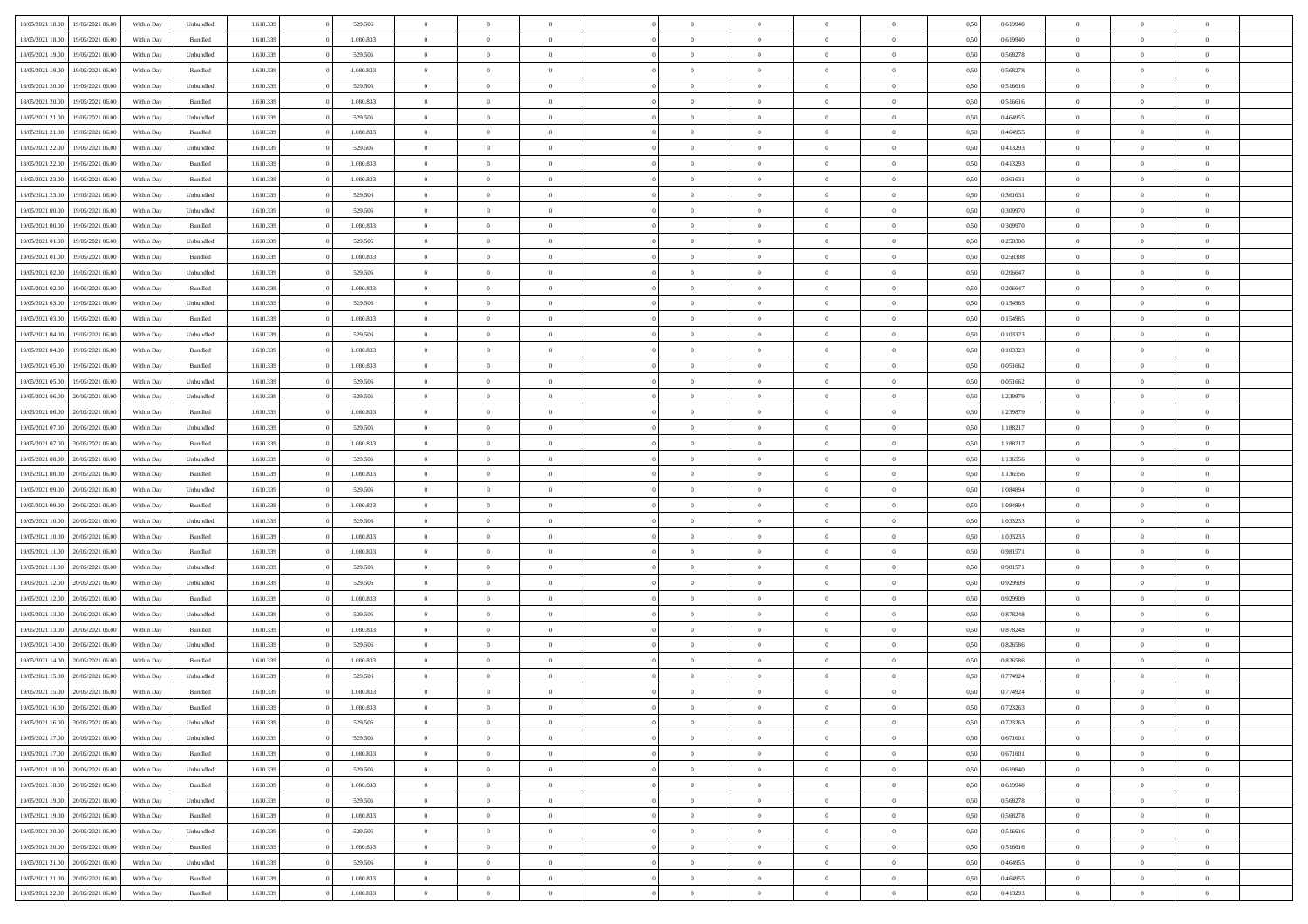| 18/05/2021 18:00 | 19/05/2021 06:00 | Within Dav | Unbundled          | 1.610.339 | 529.506   | $\overline{0}$ | $\Omega$       |                | $\Omega$       | $\Omega$       | $\theta$       | $\theta$       | 0,50 | 0,619940 | $\theta$       | $\theta$       | $\theta$       |  |
|------------------|------------------|------------|--------------------|-----------|-----------|----------------|----------------|----------------|----------------|----------------|----------------|----------------|------|----------|----------------|----------------|----------------|--|
|                  |                  |            |                    |           |           |                |                |                |                |                |                |                |      |          |                |                |                |  |
| 18/05/2021 18:00 | 19/05/2021 06:00 | Within Day | Bundled            | 1.610.339 | 1.080.833 | $\overline{0}$ | $\theta$       | $\overline{0}$ | $\overline{0}$ | $\bf{0}$       | $\overline{0}$ | $\bf{0}$       | 0,50 | 0,619940 | $\theta$       | $\theta$       | $\overline{0}$ |  |
| 18/05/2021 19:00 | 19/05/2021 06:00 | Within Day | Unbundled          | 1.610.339 | 529.506   | $\overline{0}$ | $\overline{0}$ | $\overline{0}$ | $\bf{0}$       | $\bf{0}$       | $\bf{0}$       | $\bf{0}$       | 0,50 | 0,568278 | $\bf{0}$       | $\overline{0}$ | $\overline{0}$ |  |
| 18/05/2021 19:00 | 19/05/2021 06:00 | Within Dav | Bundled            | 1.610.339 | 1.080.833 | $\overline{0}$ | $\overline{0}$ | $\overline{0}$ | $\overline{0}$ | $\bf{0}$       | $\overline{0}$ | $\overline{0}$ | 0.50 | 0,568278 | $\theta$       | $\theta$       | $\overline{0}$ |  |
| 18/05/2021 20:00 | 19/05/2021 06:00 | Within Day | Unbundled          | 1.610.339 | 529.506   | $\overline{0}$ | $\theta$       | $\overline{0}$ | $\overline{0}$ | $\bf{0}$       | $\overline{0}$ | $\bf{0}$       | 0,50 | 0,516616 | $\theta$       | $\overline{0}$ | $\overline{0}$ |  |
| 18/05/2021 20:00 | 19/05/2021 06:00 | Within Day | Bundled            | 1.610.339 | 1.080.833 | $\overline{0}$ | $\bf{0}$       | $\overline{0}$ | $\bf{0}$       | $\overline{0}$ | $\overline{0}$ | $\mathbf{0}$   | 0,50 | 0,516616 | $\bf{0}$       | $\overline{0}$ | $\bf{0}$       |  |
|                  |                  |            |                    |           |           |                |                |                |                | $\overline{0}$ |                |                |      |          | $\theta$       | $\overline{0}$ | $\overline{0}$ |  |
| 18/05/2021 21:00 | 19/05/2021 06:00 | Within Dav | Unbundled          | 1.610.339 | 529.506   | $\overline{0}$ | $\overline{0}$ | $\overline{0}$ | $\overline{0}$ |                | $\overline{0}$ | $\overline{0}$ | 0.50 | 0,464955 |                |                |                |  |
| 18/05/2021 21:00 | 19/05/2021 06:00 | Within Day | Bundled            | 1.610.339 | 1.080.833 | $\overline{0}$ | $\theta$       | $\overline{0}$ | $\overline{0}$ | $\bf{0}$       | $\overline{0}$ | $\bf{0}$       | 0,50 | 0,464955 | $\theta$       | $\theta$       | $\overline{0}$ |  |
| 18/05/2021 22:00 | 19/05/2021 06:00 | Within Day | Unbundled          | 1.610.339 | 529.506   | $\overline{0}$ | $\overline{0}$ | $\overline{0}$ | $\bf{0}$       | $\bf{0}$       | $\bf{0}$       | $\bf{0}$       | 0,50 | 0,413293 | $\,0\,$        | $\overline{0}$ | $\overline{0}$ |  |
| 18/05/2021 22:00 | 19/05/2021 06:00 | Within Dav | Bundled            | 1.610.339 | 1.080.833 | $\overline{0}$ | $\overline{0}$ | $\overline{0}$ | $\overline{0}$ | $\overline{0}$ | $\overline{0}$ | $\overline{0}$ | 0.50 | 0,413293 | $\theta$       | $\overline{0}$ | $\overline{0}$ |  |
| 18/05/2021 23:00 | 19/05/2021 06:00 | Within Day | Bundled            | 1.610.339 | 1.080.833 | $\overline{0}$ | $\theta$       | $\overline{0}$ | $\overline{0}$ | $\bf{0}$       | $\overline{0}$ | $\bf{0}$       | 0,50 | 0,361631 | $\,$ 0 $\,$    | $\overline{0}$ | $\overline{0}$ |  |
| 18/05/2021 23:00 | 19/05/2021 06:00 | Within Day | Unbundled          | 1.610.339 | 529.506   | $\overline{0}$ | $\overline{0}$ | $\overline{0}$ | $\bf{0}$       | $\bf{0}$       | $\bf{0}$       | $\mathbf{0}$   | 0,50 | 0,361631 | $\bf{0}$       | $\overline{0}$ | $\overline{0}$ |  |
| 19/05/2021 00:00 | 19/05/2021 06:00 | Within Day | Unbundled          | 1.610.339 | 529.506   | $\overline{0}$ | $\overline{0}$ | $\overline{0}$ | $\overline{0}$ | $\bf{0}$       | $\overline{0}$ | $\overline{0}$ | 0.50 | 0,309970 | $\theta$       | $\theta$       | $\overline{0}$ |  |
| 19/05/2021 00:00 | 19/05/2021 06:00 |            |                    | 1.610.339 | 1.080.833 | $\overline{0}$ | $\theta$       | $\overline{0}$ | $\overline{0}$ | $\bf{0}$       | $\overline{0}$ |                |      | 0,309970 | $\theta$       | $\theta$       | $\overline{0}$ |  |
|                  |                  | Within Day | Bundled            |           |           |                |                |                |                |                |                | $\bf{0}$       | 0,50 |          |                |                |                |  |
| 19/05/2021 01:00 | 19/05/2021 06:00 | Within Day | Unbundled          | 1.610.339 | 529.506   | $\overline{0}$ | $\overline{0}$ | $\overline{0}$ | $\bf{0}$       | $\overline{0}$ | $\overline{0}$ | $\mathbf{0}$   | 0,50 | 0,258308 | $\bf{0}$       | $\overline{0}$ | $\bf{0}$       |  |
| 19/05/2021 01:00 | 19/05/2021 06:00 | Within Dav | Bundled            | 1.610.339 | 1.080.833 | $\overline{0}$ | $\overline{0}$ | $\overline{0}$ | $\overline{0}$ | $\overline{0}$ | $\overline{0}$ | $\overline{0}$ | 0.50 | 0,258308 | $\theta$       | $\overline{0}$ | $\overline{0}$ |  |
| 19/05/2021 02:00 | 19/05/2021 06:00 | Within Day | Unbundled          | 1.610.339 | 529.506   | $\overline{0}$ | $\theta$       | $\overline{0}$ | $\overline{0}$ | $\bf{0}$       | $\overline{0}$ | $\bf{0}$       | 0,50 | 0,206647 | $\theta$       | $\theta$       | $\overline{0}$ |  |
| 19/05/2021 02:00 | 19/05/2021 06:00 | Within Day | Bundled            | 1.610.339 | 1.080.833 | $\overline{0}$ | $\overline{0}$ | $\overline{0}$ | $\bf{0}$       | $\bf{0}$       | $\bf{0}$       | $\mathbf{0}$   | 0,50 | 0,206647 | $\,0\,$        | $\overline{0}$ | $\overline{0}$ |  |
| 19/05/2021 03:00 | 19/05/2021 06:00 | Within Day | Unbundled          | 1.610.339 | 529.506   | $\overline{0}$ | $\overline{0}$ | $\overline{0}$ | $\overline{0}$ | $\overline{0}$ | $\overline{0}$ | $\overline{0}$ | 0.50 | 0,154985 | $\theta$       | $\overline{0}$ | $\overline{0}$ |  |
| 19/05/2021 03:00 | 19/05/2021 06:00 | Within Day | Bundled            | 1.610.339 | 1.080.833 | $\overline{0}$ | $\theta$       | $\overline{0}$ | $\overline{0}$ | $\bf{0}$       | $\overline{0}$ | $\bf{0}$       | 0,50 | 0,154985 | $\,$ 0 $\,$    | $\theta$       | $\overline{0}$ |  |
| 19/05/2021 04:00 | 19/05/2021 06:00 | Within Day | Unbundled          | 1.610.339 | 529.506   | $\overline{0}$ | $\overline{0}$ | $\overline{0}$ | $\bf{0}$       | $\bf{0}$       | $\bf{0}$       | $\bf{0}$       | 0,50 | 0,103323 | $\bf{0}$       | $\overline{0}$ | $\overline{0}$ |  |
| 19/05/2021 04:00 | 19/05/2021 06:00 | Within Day | Bundled            | 1.610.339 | 1.080.833 | $\overline{0}$ | $\overline{0}$ | $\overline{0}$ | $\overline{0}$ | $\bf{0}$       | $\overline{0}$ | $\overline{0}$ | 0.50 | 0,103323 | $\theta$       | $\overline{0}$ | $\overline{0}$ |  |
|                  |                  |            |                    |           |           |                |                |                |                |                |                |                |      |          |                |                |                |  |
| 19/05/2021 05:00 | 19/05/2021 06:00 | Within Day | Bundled            | 1.610.339 | 1.080.833 | $\overline{0}$ | $\theta$       | $\overline{0}$ | $\overline{0}$ | $\bf{0}$       | $\overline{0}$ | $\bf{0}$       | 0,50 | 0,051662 | $\,$ 0 $\,$    | $\overline{0}$ | $\overline{0}$ |  |
| 19/05/2021 05:00 | 19/05/2021 06:00 | Within Day | Unbundled          | 1.610.339 | 529.506   | $\overline{0}$ | $\bf{0}$       | $\overline{0}$ | $\bf{0}$       | $\overline{0}$ | $\overline{0}$ | $\mathbf{0}$   | 0,50 | 0,051662 | $\overline{0}$ | $\overline{0}$ | $\bf{0}$       |  |
| 19/05/2021 06:00 | 20/05/2021 06:00 | Within Dav | Unbundled          | 1.610.339 | 529.506   | $\overline{0}$ | $\overline{0}$ | $\overline{0}$ | $\overline{0}$ | $\overline{0}$ | $\overline{0}$ | $\overline{0}$ | 0.50 | 1,239879 | $\theta$       | $\overline{0}$ | $\overline{0}$ |  |
| 19/05/2021 06:00 | 20/05/2021 06:00 | Within Day | Bundled            | 1.610.339 | 1.080.833 | $\overline{0}$ | $\theta$       | $\overline{0}$ | $\overline{0}$ | $\bf{0}$       | $\overline{0}$ | $\bf{0}$       | 0,50 | 1,239879 | $\theta$       | $\theta$       | $\overline{0}$ |  |
| 19/05/2021 07:00 | 20/05/2021 06:00 | Within Day | Unbundled          | 1.610.339 | 529.506   | $\overline{0}$ | $\overline{0}$ | $\overline{0}$ | $\bf{0}$       | $\bf{0}$       | $\bf{0}$       | $\bf{0}$       | 0,50 | 1,188217 | $\,0\,$        | $\overline{0}$ | $\overline{0}$ |  |
| 19/05/2021 07:00 | 20/05/2021 06:00 | Within Day | Bundled            | 1.610.339 | 1.080.833 | $\overline{0}$ | $\overline{0}$ | $\overline{0}$ | $\overline{0}$ | $\overline{0}$ | $\overline{0}$ | $\overline{0}$ | 0.50 | 1,188217 | $\theta$       | $\overline{0}$ | $\overline{0}$ |  |
| 19/05/2021 08:00 | 20/05/2021 06:00 |            |                    | 1.610.339 | 529.506   | $\overline{0}$ | $\theta$       | $\overline{0}$ | $\overline{0}$ | $\bf{0}$       | $\overline{0}$ |                |      | 1,136556 | $\,$ 0 $\,$    | $\overline{0}$ | $\overline{0}$ |  |
|                  |                  | Within Day | Unbundled          |           |           |                |                |                |                |                |                | $\bf{0}$       | 0,50 |          |                |                |                |  |
| 19/05/2021 08:00 | 20/05/2021 06:00 | Within Day | Bundled            | 1.610.339 | 1.080.833 | $\overline{0}$ | $\overline{0}$ | $\overline{0}$ | $\bf{0}$       | $\bf{0}$       | $\bf{0}$       | $\bf{0}$       | 0,50 | 1,136556 | $\bf{0}$       | $\overline{0}$ | $\overline{0}$ |  |
| 19/05/2021 09:00 | 20/05/2021 06:00 | Within Day | Unbundled          | 1.610.339 | 529.506   | $\overline{0}$ | $\Omega$       | $\overline{0}$ | $\Omega$       | $\Omega$       | $\overline{0}$ | $\overline{0}$ | 0,50 | 1,084894 | $\,0\,$        | $\theta$       | $\theta$       |  |
| 19/05/2021 09:00 | 20/05/2021 06:00 | Within Day | Bundled            | 1.610.339 | 1.080.833 | $\overline{0}$ | $\theta$       | $\overline{0}$ | $\overline{0}$ | $\bf{0}$       | $\overline{0}$ | $\bf{0}$       | 0,50 | 1,084894 | $\,$ 0 $\,$    | $\theta$       | $\overline{0}$ |  |
| 19/05/2021 10:00 | 20/05/2021 06:00 | Within Day | Unbundled          | 1.610.339 | 529.506   | $\overline{0}$ | $\overline{0}$ | $\overline{0}$ | $\bf{0}$       | $\bf{0}$       | $\overline{0}$ | $\mathbf{0}$   | 0,50 | 1,033233 | $\bf{0}$       | $\overline{0}$ | $\bf{0}$       |  |
| 19/05/2021 10:00 | 20/05/2021 06:00 | Within Day | Bundled            | 1.610.339 | 1.080.833 | $\overline{0}$ | $\Omega$       | $\Omega$       | $\Omega$       | $\bf{0}$       | $\overline{0}$ | $\overline{0}$ | 0.50 | 1,033233 | $\,0\,$        | $\theta$       | $\theta$       |  |
| 19/05/2021 11:00 | 20/05/2021 06:00 | Within Day | Bundled            | 1.610.339 | 1.080.833 | $\overline{0}$ | $\theta$       | $\overline{0}$ | $\overline{0}$ | $\bf{0}$       | $\overline{0}$ | $\bf{0}$       | 0,50 | 0,981571 | $\,$ 0 $\,$    | $\theta$       | $\overline{0}$ |  |
| 19/05/2021 11:00 | 20/05/2021 06:00 | Within Day | Unbundled          | 1.610.339 | 529.506   | $\overline{0}$ | $\overline{0}$ | $\overline{0}$ | $\bf{0}$       | $\bf{0}$       | $\bf{0}$       | $\bf{0}$       | 0,50 | 0,981571 | $\,0\,$        | $\overline{0}$ | $\overline{0}$ |  |
|                  | 20/05/2021 06:00 |            |                    |           |           | $\overline{0}$ | $\Omega$       | $\Omega$       | $\Omega$       | $\theta$       | $\overline{0}$ |                |      |          | $\theta$       | $\theta$       | $\theta$       |  |
| 19/05/2021 12:00 |                  | Within Day | Unbundled          | 1.610.339 | 529.506   |                |                |                |                |                |                | $\overline{0}$ | 0.50 | 0,929909 |                |                |                |  |
| 19/05/2021 12:00 | 20/05/2021 06:00 | Within Day | Bundled            | 1.610.339 | 1.080.833 | $\overline{0}$ | $\theta$       | $\overline{0}$ | $\overline{0}$ | $\bf{0}$       | $\overline{0}$ | $\bf{0}$       | 0,50 | 0,929909 | $\,$ 0 $\,$    | $\overline{0}$ | $\overline{0}$ |  |
| 19/05/2021 13:00 | 20/05/2021 06:00 | Within Day | Unbundled          | 1.610.339 | 529.506   | $\overline{0}$ | $\overline{0}$ | $\overline{0}$ | $\bf{0}$       | $\bf{0}$       | $\bf{0}$       | $\bf{0}$       | 0,50 | 0,878248 | $\bf{0}$       | $\overline{0}$ | $\overline{0}$ |  |
| 19/05/2021 13:00 | 20/05/2021 06:00 | Within Day | Bundled            | 1.610.339 | 1.080.833 | $\overline{0}$ | $\Omega$       | $\overline{0}$ | $\Omega$       | $\overline{0}$ | $\overline{0}$ | $\overline{0}$ | 0.50 | 0,878248 | $\,0\,$        | $\theta$       | $\theta$       |  |
| 19/05/2021 14:00 | 20/05/2021 06:00 | Within Day | Unbundled          | 1.610.339 | 529.506   | $\overline{0}$ | $\theta$       | $\overline{0}$ | $\overline{0}$ | $\bf{0}$       | $\overline{0}$ | $\bf{0}$       | 0,50 | 0,826586 | $\,$ 0 $\,$    | $\overline{0}$ | $\overline{0}$ |  |
| 19/05/2021 14:00 | 20/05/2021 06:00 | Within Day | Bundled            | 1.610.339 | 1.080.833 | $\overline{0}$ | $\overline{0}$ | $\overline{0}$ | $\bf{0}$       | $\bf{0}$       | $\bf{0}$       | $\mathbf{0}$   | 0,50 | 0,826586 | $\bf{0}$       | $\overline{0}$ | $\bf{0}$       |  |
| 19/05/2021 15:00 | 20/05/2021 06:00 | Within Day | Unbundled          | 1.610.339 | 529.506   | $\overline{0}$ | $\Omega$       | $\Omega$       | $\Omega$       | $\Omega$       | $\Omega$       | $\overline{0}$ | 0.50 | 0,774924 | $\theta$       | $\theta$       | $\theta$       |  |
| 19/05/2021 15:00 | 20/05/2021 06:00 | Within Day | Bundled            | 1.610.339 | 1.080.833 | $\overline{0}$ | $\overline{0}$ | $\overline{0}$ | $\bf{0}$       | $\,$ 0         | $\bf{0}$       | $\bf{0}$       | 0,50 | 0,774924 | $\,0\,$        | $\overline{0}$ | $\overline{0}$ |  |
| 19/05/2021 16:00 | 20/05/2021 06:00 | Within Day | $\mathbf B$ undled | 1.610.339 | 1.080.833 | $\bf{0}$       | $\bf{0}$       |                |                | $\bf{0}$       |                |                | 0,50 | 0,723263 | $\bf{0}$       | $\overline{0}$ |                |  |
|                  |                  |            |                    |           |           |                |                |                |                |                |                |                |      |          |                |                |                |  |
| 19/05/2021 16:00 | 20/05/2021 06:00 | Within Day | Unbundled          | 1.610.339 | 529.506   | $\overline{0}$ | $\overline{0}$ | $\overline{0}$ | $\Omega$       | $\overline{0}$ | $\overline{0}$ | $\overline{0}$ | 0,50 | 0,723263 | $\theta$       | $\theta$       | $\Omega$       |  |
| 19/05/2021 17:00 | 20/05/2021 06:00 | Within Day | Unbundled          | 1.610.339 | 529.506   | $\overline{0}$ | $\,$ 0         | $\overline{0}$ | $\bf{0}$       | $\,$ 0 $\,$    | $\overline{0}$ | $\,$ 0 $\,$    | 0,50 | 0,671601 | $\,$ 0 $\,$    | $\,$ 0 $\,$    | $\,$ 0         |  |
| 19/05/2021 17:00 | 20/05/2021 06:00 | Within Day | Bundled            | 1.610.339 | 1.080.833 | $\overline{0}$ | $\overline{0}$ | $\overline{0}$ | $\overline{0}$ | $\overline{0}$ | $\overline{0}$ | $\mathbf{0}$   | 0,50 | 0,671601 | $\overline{0}$ | $\bf{0}$       | $\bf{0}$       |  |
| 19/05/2021 18:00 | 20/05/2021 06:00 | Within Day | Unbundled          | 1.610.339 | 529.506   | $\overline{0}$ | $\overline{0}$ | $\overline{0}$ | $\Omega$       | $\overline{0}$ | $\overline{0}$ | $\overline{0}$ | 0,50 | 0,619940 | $\overline{0}$ | $\theta$       | $\overline{0}$ |  |
| 19/05/2021 18:00 | 20/05/2021 06:00 | Within Day | Bundled            | 1.610.339 | 1.080.833 | $\overline{0}$ | $\,$ 0         | $\overline{0}$ | $\overline{0}$ | $\,$ 0 $\,$    | $\overline{0}$ | $\mathbf{0}$   | 0,50 | 0,619940 | $\,$ 0 $\,$    | $\overline{0}$ | $\overline{0}$ |  |
| 19/05/2021 19:00 | 20/05/2021 06:00 | Within Day | Unbundled          | 1.610.339 | 529.506   | $\overline{0}$ | $\overline{0}$ | $\overline{0}$ | $\overline{0}$ | $\overline{0}$ | $\overline{0}$ | $\mathbf{0}$   | 0,50 | 0,568278 | $\overline{0}$ | $\overline{0}$ | $\bf{0}$       |  |
| 19/05/2021 19:00 | 20/05/2021 06:00 | Within Day | Bundled            | 1.610.339 | 1.080.833 | $\overline{0}$ | $\overline{0}$ | $\overline{0}$ | $\overline{0}$ | $\overline{0}$ | $\overline{0}$ | $\bf{0}$       | 0.50 | 0,568278 | $\overline{0}$ | $\theta$       | $\overline{0}$ |  |
| 19/05/2021 20:00 | 20/05/2021 06:00 | Within Day | Unbundled          | 1.610.339 | 529.506   | $\overline{0}$ | $\,$ 0         | $\overline{0}$ | $\bf{0}$       | $\bf{0}$       | $\bf{0}$       | $\bf{0}$       | 0,50 | 0,516616 | $\,$ 0 $\,$    | $\overline{0}$ | $\overline{0}$ |  |
|                  |                  |            |                    |           |           |                |                |                |                |                |                |                |      |          |                |                |                |  |
| 19/05/2021 20:00 | 20/05/2021 06:00 | Within Day | Bundled            | 1.610.339 | 1.080.833 | $\overline{0}$ | $\bf{0}$       | $\overline{0}$ | $\overline{0}$ | $\overline{0}$ | $\overline{0}$ | $\mathbf{0}$   | 0,50 | 0,516616 | $\overline{0}$ | $\overline{0}$ | $\bf{0}$       |  |
| 19/05/2021 21:00 | 20/05/2021 06:00 | Within Day | Unbundled          | 1.610.339 | 529.506   | $\overline{0}$ | $\overline{0}$ | $\overline{0}$ | $\Omega$       | $\overline{0}$ | $\overline{0}$ | $\overline{0}$ | 0.50 | 0.464955 | $\overline{0}$ | $\overline{0}$ | $\overline{0}$ |  |
| 19/05/2021 21:00 | 20/05/2021 06:00 | Within Day | Bundled            | 1.610.339 | 1.080.833 | $\overline{0}$ | $\bf{0}$       | $\overline{0}$ | $\bf{0}$       | $\bf{0}$       | $\bf{0}$       | $\mathbf{0}$   | 0,50 | 0,464955 | $\,$ 0 $\,$    | $\,$ 0 $\,$    | $\bf{0}$       |  |
| 19/05/2021 22.00 | 20/05/2021 06:00 | Within Day | Bundled            | 1.610.339 | 1.080.833 | $\overline{0}$ | $\overline{0}$ | $\overline{0}$ | $\overline{0}$ | $\overline{0}$ | $\bf{0}$       | $\mathbf{0}$   | 0,50 | 0,413293 | $\overline{0}$ | $\bf{0}$       | $\bf{0}$       |  |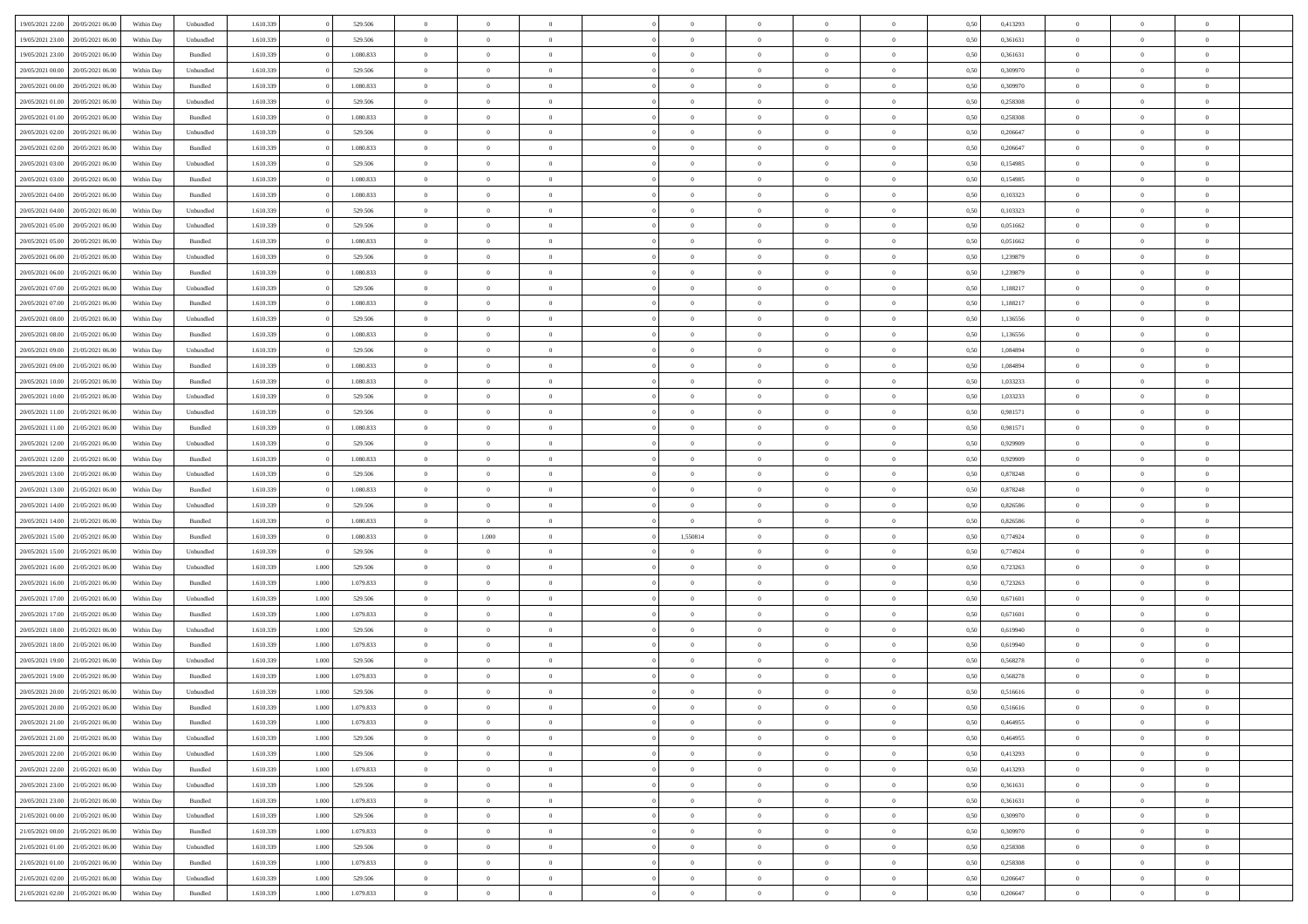| 19/05/2021 22:00                  | 20/05/2021 06:00 | Within Day | Unbundled          | 1.610.339 |       | 529.506   | $\overline{0}$ | $\Omega$       |                | $\Omega$       | $\Omega$       | $\Omega$       | $\theta$       | 0.50 | 0,413293 | $\theta$       | $\theta$       | $\theta$       |  |
|-----------------------------------|------------------|------------|--------------------|-----------|-------|-----------|----------------|----------------|----------------|----------------|----------------|----------------|----------------|------|----------|----------------|----------------|----------------|--|
|                                   |                  |            |                    |           |       |           |                |                |                |                |                |                |                |      |          |                |                |                |  |
| 19/05/2021 23:00                  | 20/05/2021 06:00 | Within Day | Unbundled          | 1.610.339 |       | 529.506   | $\overline{0}$ | $\theta$       | $\overline{0}$ | $\overline{0}$ | $\bf{0}$       | $\overline{0}$ | $\bf{0}$       | 0,50 | 0,361631 | $\theta$       | $\theta$       | $\overline{0}$ |  |
| 19/05/2021 23:00                  | 20/05/2021 06:00 | Within Day | Bundled            | 1.610.339 |       | 1.080.833 | $\overline{0}$ | $\overline{0}$ | $\overline{0}$ | $\bf{0}$       | $\bf{0}$       | $\bf{0}$       | $\bf{0}$       | 0,50 | 0,361631 | $\overline{0}$ | $\overline{0}$ | $\overline{0}$ |  |
| 20/05/2021 00:00                  | 20/05/2021 06:00 | Within Day | Unbundled          | 1.610.339 |       | 529.506   | $\overline{0}$ | $\theta$       | $\overline{0}$ | $\overline{0}$ | $\bf{0}$       | $\overline{0}$ | $\overline{0}$ | 0.50 | 0,309970 | $\theta$       | $\theta$       | $\overline{0}$ |  |
| 20/05/2021 00:00                  | 20/05/2021 06:00 | Within Day | Bundled            | 1.610.339 |       | 1.080.833 | $\overline{0}$ | $\theta$       | $\overline{0}$ | $\overline{0}$ | $\bf{0}$       | $\overline{0}$ | $\bf{0}$       | 0,50 | 0,309970 | $\theta$       | $\theta$       | $\overline{0}$ |  |
| 20/05/2021 01:00                  | 20/05/2021 06:00 | Within Day | Unbundled          | 1.610.339 |       | 529.506   | $\overline{0}$ | $\bf{0}$       | $\overline{0}$ | $\bf{0}$       | $\overline{0}$ | $\overline{0}$ | $\mathbf{0}$   | 0,50 | 0,258308 | $\overline{0}$ | $\overline{0}$ | $\bf{0}$       |  |
| 20/05/2021 01:00                  | 20/05/2021 06:00 | Within Dav | Bundled            | 1.610.339 |       | 1.080.833 | $\overline{0}$ | $\overline{0}$ | $\overline{0}$ | $\overline{0}$ | $\overline{0}$ | $\overline{0}$ | $\overline{0}$ | 0.50 | 0,258308 | $\theta$       | $\overline{0}$ | $\overline{0}$ |  |
|                                   |                  |            |                    |           |       |           |                |                |                |                |                |                |                |      |          |                |                |                |  |
| 20/05/2021 02:00                  | 20/05/2021 06:00 | Within Day | Unbundled          | 1.610.339 |       | 529.506   | $\overline{0}$ | $\theta$       | $\overline{0}$ | $\overline{0}$ | $\bf{0}$       | $\overline{0}$ | $\bf{0}$       | 0,50 | 0,206647 | $\theta$       | $\theta$       | $\overline{0}$ |  |
| 20/05/2021 02:00                  | 20/05/2021 06:00 | Within Day | Bundled            | 1.610.339 |       | 1.080.833 | $\overline{0}$ | $\overline{0}$ | $\overline{0}$ | $\bf{0}$       | $\bf{0}$       | $\bf{0}$       | $\bf{0}$       | 0,50 | 0,206647 | $\,0\,$        | $\overline{0}$ | $\overline{0}$ |  |
| 20/05/2021 03:00                  | 20/05/2021 06:00 | Within Dav | Unbundled          | 1.610.339 |       | 529.506   | $\overline{0}$ | $\overline{0}$ | $\overline{0}$ | $\overline{0}$ | $\overline{0}$ | $\overline{0}$ | $\overline{0}$ | 0.50 | 0,154985 | $\theta$       | $\overline{0}$ | $\overline{0}$ |  |
| 20/05/2021 03:00                  | 20/05/2021 06:00 | Within Day | Bundled            | 1.610.339 |       | 1.080.833 | $\overline{0}$ | $\theta$       | $\overline{0}$ | $\overline{0}$ | $\bf{0}$       | $\overline{0}$ | $\bf{0}$       | 0,50 | 0,154985 | $\,$ 0 $\,$    | $\theta$       | $\overline{0}$ |  |
| 20/05/2021 04:00                  | 20/05/2021 06:00 | Within Day | Bundled            | 1.610.339 |       | 1.080.833 | $\overline{0}$ | $\overline{0}$ | $\overline{0}$ | $\bf{0}$       | $\bf{0}$       | $\bf{0}$       | $\bf{0}$       | 0,50 | 0,103323 | $\bf{0}$       | $\overline{0}$ | $\overline{0}$ |  |
| 20/05/2021 04:00                  | 20/05/2021 06:00 | Within Day | Unbundled          | 1.610.339 |       | 529.506   | $\overline{0}$ | $\overline{0}$ | $\overline{0}$ | $\overline{0}$ | $\bf{0}$       | $\overline{0}$ | $\overline{0}$ | 0.50 | 0,103323 | $\theta$       | $\theta$       | $\overline{0}$ |  |
| 20/05/2021 05:00                  | 20/05/2021 06:00 | Within Day | Unbundled          | 1.610.339 |       | 529.506   | $\overline{0}$ | $\theta$       | $\overline{0}$ | $\overline{0}$ | $\bf{0}$       | $\overline{0}$ | $\bf{0}$       | 0,50 | 0,051662 | $\theta$       | $\overline{0}$ | $\overline{0}$ |  |
|                                   |                  |            |                    |           |       |           |                |                |                |                |                |                |                |      |          |                |                |                |  |
| 20/05/2021 05:00                  | 20/05/2021 06:00 | Within Day | Bundled            | 1.610.339 |       | 1.080.833 | $\overline{0}$ | $\bf{0}$       | $\overline{0}$ | $\bf{0}$       | $\overline{0}$ | $\overline{0}$ | $\mathbf{0}$   | 0,50 | 0,051662 | $\bf{0}$       | $\overline{0}$ | $\bf{0}$       |  |
| 20/05/2021 06:00                  | 21/05/2021 06:00 | Within Dav | Unbundled          | 1.610.339 |       | 529.506   | $\overline{0}$ | $\overline{0}$ | $\overline{0}$ | $\overline{0}$ | $\overline{0}$ | $\overline{0}$ | $\overline{0}$ | 0.50 | 1,239879 | $\theta$       | $\overline{0}$ | $\overline{0}$ |  |
| 20/05/2021 06:00                  | 21/05/2021 06:00 | Within Day | Bundled            | 1.610.339 |       | 1.080.833 | $\overline{0}$ | $\theta$       | $\overline{0}$ | $\overline{0}$ | $\bf{0}$       | $\overline{0}$ | $\bf{0}$       | 0,50 | 1,239879 | $\theta$       | $\theta$       | $\overline{0}$ |  |
| 20/05/2021 07:00                  | 21/05/2021 06:00 | Within Day | Unbundled          | 1.610.339 |       | 529.506   | $\overline{0}$ | $\overline{0}$ | $\overline{0}$ | $\bf{0}$       | $\bf{0}$       | $\bf{0}$       | $\bf{0}$       | 0,50 | 1,188217 | $\,0\,$        | $\overline{0}$ | $\overline{0}$ |  |
| 20/05/2021 07:00                  | 21/05/2021 06:00 | Within Dav | Bundled            | 1.610.339 |       | 1.080.833 | $\overline{0}$ | $\overline{0}$ | $\overline{0}$ | $\overline{0}$ | $\overline{0}$ | $\overline{0}$ | $\overline{0}$ | 0.50 | 1,188217 | $\theta$       | $\overline{0}$ | $\overline{0}$ |  |
| 20/05/2021 08:00                  | 21/05/2021 06:00 | Within Day | Unbundled          | 1.610.339 |       | 529.506   | $\overline{0}$ | $\theta$       | $\overline{0}$ | $\overline{0}$ | $\bf{0}$       | $\overline{0}$ | $\bf{0}$       | 0,50 | 1,136556 | $\,$ 0 $\,$    | $\theta$       | $\overline{0}$ |  |
| 20/05/2021 08:00                  | 21/05/2021 06:00 | Within Day | Bundled            | 1.610.339 |       | 1.080.833 | $\overline{0}$ | $\overline{0}$ | $\overline{0}$ | $\bf{0}$       | $\bf{0}$       | $\bf{0}$       | $\bf{0}$       | 0,50 | 1,136556 | $\,0\,$        | $\overline{0}$ | $\overline{0}$ |  |
|                                   |                  |            |                    |           |       |           |                |                |                |                |                |                |                |      |          | $\theta$       |                |                |  |
| 20/05/2021 09:00                  | 21/05/2021 06:00 | Within Day | Unbundled          | 1.610.339 |       | 529.506   | $\overline{0}$ | $\overline{0}$ | $\overline{0}$ | $\overline{0}$ | $\bf{0}$       | $\overline{0}$ | $\overline{0}$ | 0.50 | 1,084894 |                | $\theta$       | $\overline{0}$ |  |
| 20/05/2021 09:00                  | 21/05/2021 06:00 | Within Day | Bundled            | 1.610.339 |       | 1.080.833 | $\overline{0}$ | $\theta$       | $\overline{0}$ | $\overline{0}$ | $\bf{0}$       | $\overline{0}$ | $\bf{0}$       | 0,50 | 1,084894 | $\theta$       | $\overline{0}$ | $\overline{0}$ |  |
| 20/05/2021 10:00                  | 21/05/2021 06:00 | Within Day | Bundled            | 1.610.339 |       | 1.080.833 | $\overline{0}$ | $\bf{0}$       | $\overline{0}$ | $\bf{0}$       | $\overline{0}$ | $\overline{0}$ | $\mathbf{0}$   | 0,50 | 1,033233 | $\bf{0}$       | $\overline{0}$ | $\bf{0}$       |  |
| 20/05/2021 10:00                  | 21/05/2021 06:00 | Within Dav | Unbundled          | 1.610.339 |       | 529.506   | $\overline{0}$ | $\overline{0}$ | $\overline{0}$ | $\overline{0}$ | $\overline{0}$ | $\overline{0}$ | $\overline{0}$ | 0.50 | 1,033233 | $\theta$       | $\theta$       | $\overline{0}$ |  |
| 20/05/2021 11:00                  | 21/05/2021 06:00 | Within Day | Unbundled          | 1.610.339 |       | 529.506   | $\overline{0}$ | $\theta$       | $\overline{0}$ | $\overline{0}$ | $\bf{0}$       | $\overline{0}$ | $\bf{0}$       | 0,50 | 0,981571 | $\theta$       | $\theta$       | $\overline{0}$ |  |
| 20/05/2021 11:00                  | 21/05/2021 06:00 | Within Day | Bundled            | 1.610.339 |       | 1.080.833 | $\overline{0}$ | $\overline{0}$ | $\overline{0}$ | $\bf{0}$       | $\bf{0}$       | $\bf{0}$       | $\bf{0}$       | 0,50 | 0,981571 | $\,0\,$        | $\overline{0}$ | $\overline{0}$ |  |
| 20/05/2021 12:00                  | 21/05/2021 06:00 | Within Day | Unbundled          | 1.610.339 |       | 529.506   | $\overline{0}$ | $\overline{0}$ | $\overline{0}$ | $\overline{0}$ | $\overline{0}$ | $\overline{0}$ | $\overline{0}$ | 0.50 | 0,929909 | $\theta$       | $\overline{0}$ | $\overline{0}$ |  |
|                                   |                  |            |                    |           |       |           |                |                |                |                |                |                |                |      |          |                |                |                |  |
| 20/05/2021 12:00                  | 21/05/2021 06:00 | Within Day | Bundled            | 1.610.339 |       | 1.080.833 | $\overline{0}$ | $\theta$       | $\overline{0}$ | $\overline{0}$ | $\bf{0}$       | $\overline{0}$ | $\bf{0}$       | 0,50 | 0,929909 | $\,$ 0 $\,$    | $\overline{0}$ | $\overline{0}$ |  |
| 20/05/2021 13:00                  | 21/05/2021 06:00 | Within Day | Unbundled          | 1.610.339 |       | 529.506   | $\overline{0}$ | $\overline{0}$ | $\overline{0}$ | $\bf{0}$       | $\bf{0}$       | $\bf{0}$       | $\bf{0}$       | 0,50 | 0,878248 | $\bf{0}$       | $\overline{0}$ | $\overline{0}$ |  |
| 20/05/2021 13:00                  | 21/05/2021 06:00 | Within Day | Bundled            | 1.610.339 |       | 1.080.833 | $\overline{0}$ | $\Omega$       | $\Omega$       | $\Omega$       | $\Omega$       | $\Omega$       | $\overline{0}$ | 0.50 | 0,878248 | $\,0\,$        | $\theta$       | $\theta$       |  |
| 20/05/2021 14:00                  | 21/05/2021 06:00 | Within Day | Unbundled          | 1.610.339 |       | 529.506   | $\overline{0}$ | $\theta$       | $\overline{0}$ | $\overline{0}$ | $\bf{0}$       | $\overline{0}$ | $\bf{0}$       | 0,50 | 0,826586 | $\theta$       | $\theta$       | $\overline{0}$ |  |
| 20/05/2021 14:00                  | 21/05/2021 06:00 | Within Day | Bundled            | 1.610.339 |       | 1.080.833 | $\overline{0}$ | $\bf{0}$       | $\overline{0}$ | $\bf{0}$       | $\bf{0}$       | $\overline{0}$ | $\mathbf{0}$   | 0,50 | 0,826586 | $\bf{0}$       | $\overline{0}$ | $\bf{0}$       |  |
| 20/05/2021 15:00                  | 21/05/2021 06:00 | Within Day | Bundled            | 1.610.339 |       | 1.080.833 | $\overline{0}$ | 1.000          | $\Omega$       | 1,550814       | $\bf{0}$       | $\overline{0}$ | $\overline{0}$ | 0.50 | 0,774924 | $\,0\,$        | $\theta$       | $\theta$       |  |
| 20/05/2021 15:00                  | 21/05/2021 06:00 | Within Day | Unbundled          | 1.610.339 |       | 529.506   | $\overline{0}$ | $\theta$       | $\overline{0}$ | $\overline{0}$ | $\bf{0}$       | $\overline{0}$ | $\bf{0}$       | 0,50 | 0,774924 | $\,$ 0 $\,$    | $\theta$       | $\overline{0}$ |  |
| 20/05/2021 16:00                  | 21/05/2021 06:00 | Within Day | Unbundled          | 1.610.339 | 1.000 | 529.506   | $\overline{0}$ | $\overline{0}$ | $\overline{0}$ | $\bf{0}$       | $\bf{0}$       | $\bf{0}$       | $\bf{0}$       | 0,50 | 0,723263 | $\,0\,$        | $\overline{0}$ | $\overline{0}$ |  |
|                                   |                  |            |                    |           |       |           |                |                |                |                |                |                |                |      |          |                |                |                |  |
| 20/05/2021 16:00                  | 21/05/2021 06:00 | Within Day | Bundled            | 1.610.339 | 1.000 | 1.079.833 | $\overline{0}$ | $\Omega$       | $\Omega$       | $\Omega$       | $\Omega$       | $\theta$       | $\overline{0}$ | 0.50 | 0,723263 | $\theta$       | $\theta$       | $\theta$       |  |
| 20/05/2021 17:00                  | 21/05/2021 06:00 | Within Day | Unbundled          | 1.610.339 | 1.000 | 529.506   | $\overline{0}$ | $\theta$       | $\overline{0}$ | $\overline{0}$ | $\bf{0}$       | $\overline{0}$ | $\bf{0}$       | 0,50 | 0,671601 | $\,$ 0 $\,$    | $\overline{0}$ | $\overline{0}$ |  |
| 20/05/2021 17:00                  | 21/05/2021 06:00 | Within Day | Bundled            | 1.610.339 | 1.000 | 1.079.833 | $\overline{0}$ | $\overline{0}$ | $\overline{0}$ | $\bf{0}$       | $\bf{0}$       | $\bf{0}$       | $\bf{0}$       | 0,50 | 0,671601 | $\bf{0}$       | $\overline{0}$ | $\overline{0}$ |  |
| 20/05/2021 18:00                  | 21/05/2021 06:00 | Within Day | Unbundled          | 1.610.339 | 1.000 | 529.506   | $\overline{0}$ | $\Omega$       | $\overline{0}$ | $\Omega$       | $\Omega$       | $\overline{0}$ | $\overline{0}$ | 0.50 | 0,619940 | $\,0\,$        | $\theta$       | $\theta$       |  |
| 20/05/2021 18:00                  | 21/05/2021 06:00 | Within Day | Bundled            | 1.610.339 | 1.000 | 1.079.833 | $\overline{0}$ | $\theta$       | $\overline{0}$ | $\overline{0}$ | $\bf{0}$       | $\overline{0}$ | $\bf{0}$       | 0,50 | 0,619940 | $\,$ 0 $\,$    | $\overline{0}$ | $\overline{0}$ |  |
| 20/05/2021 19:00                  | 21/05/2021 06:00 | Within Day | Unbundled          | 1.610.339 | 1.000 | 529.506   | $\overline{0}$ | $\overline{0}$ | $\overline{0}$ | $\overline{0}$ | $\bf{0}$       | $\overline{0}$ | $\mathbf{0}$   | 0,50 | 0,568278 | $\overline{0}$ | $\overline{0}$ | $\bf{0}$       |  |
| 20/05/2021 19:00                  | 21/05/2021 06:00 | Within Day | Bundled            | 1.610.339 | 1.000 | 1.079.833 | $\overline{0}$ | $\Omega$       | $\Omega$       | $\Omega$       | $\Omega$       | $\Omega$       | $\Omega$       | 0.50 | 0.568278 | $\theta$       | $\theta$       | $\theta$       |  |
| 20/05/2021 20:00                  | 21/05/2021 06:00 | Within Day | Unbundled          | 1.610.339 | 1.000 | 529.506   | $\overline{0}$ | $\,$ 0 $\,$    | $\overline{0}$ | $\bf{0}$       | $\,$ 0         | $\overline{0}$ | $\bf{0}$       | 0,50 | 0,516616 | $\,0\,$        | $\overline{0}$ | $\overline{0}$ |  |
| 20/05/2021 20:00                  | 21/05/2021 06:00 | Within Day | $\mathbf B$ undled | 1.610.339 | 1.000 |           |                |                |                |                |                |                |                |      |          |                |                |                |  |
|                                   |                  |            |                    |           |       | 1.079.833 | $\bf{0}$       | $\bf{0}$       |                |                |                |                |                | 0,50 | 0,516616 | $\bf{0}$       | $\overline{0}$ |                |  |
| 20/05/2021 21:00                  | 21/05/2021 06:00 | Within Day | Bundled            | 1.610.339 | 1.000 | 1.079.833 | $\overline{0}$ | $\overline{0}$ | $\overline{0}$ | $\Omega$       | $\overline{0}$ | $\overline{0}$ | $\overline{0}$ | 0.50 | 0.464955 | $\theta$       | $\theta$       | $\theta$       |  |
| 20/05/2021 21:00                  | 21/05/2021 06:00 | Within Day | Unbundled          | 1.610.339 | 1.000 | 529.506   | $\overline{0}$ | $\bf{0}$       | $\overline{0}$ | $\overline{0}$ | $\,$ 0 $\,$    | $\overline{0}$ | $\mathbf{0}$   | 0,50 | 0,464955 | $\,$ 0 $\,$    | $\,$ 0 $\,$    | $\,$ 0         |  |
| 20/05/2021 22:00                  | 21/05/2021 06:00 | Within Day | Unbundled          | 1.610.339 | 1.000 | 529.506   | $\overline{0}$ | $\overline{0}$ | $\overline{0}$ | $\overline{0}$ | $\overline{0}$ | $\overline{0}$ | $\mathbf{0}$   | 0,50 | 0,413293 | $\overline{0}$ | $\bf{0}$       | $\overline{0}$ |  |
| 20/05/2021 22:00                  | 21/05/2021 06:00 | Within Day | Bundled            | 1.610.339 | 1.000 | 1.079.833 | $\overline{0}$ | $\overline{0}$ | $\overline{0}$ | $\Omega$       | $\overline{0}$ | $\overline{0}$ | $\overline{0}$ | 0,50 | 0,413293 | $\overline{0}$ | $\theta$       | $\overline{0}$ |  |
| 20/05/2021 23:00                  | 21/05/2021 06:00 | Within Day | Unbundled          | 1.610.339 | 1.000 | 529.506   | $\overline{0}$ | $\,$ 0         | $\overline{0}$ | $\overline{0}$ | $\,$ 0 $\,$    | $\overline{0}$ | $\mathbf{0}$   | 0,50 | 0,361631 | $\,$ 0 $\,$    | $\overline{0}$ | $\,$ 0         |  |
| 20/05/2021 23:00                  | 21/05/2021 06:00 | Within Day | Bundled            | 1.610.339 | 1.000 | 1.079.833 | $\overline{0}$ | $\overline{0}$ | $\overline{0}$ | $\overline{0}$ | $\overline{0}$ | $\overline{0}$ | $\mathbf{0}$   | 0,50 | 0,361631 | $\overline{0}$ | $\overline{0}$ | $\overline{0}$ |  |
| 21/05/2021 00:00                  | 21/05/2021 06:00 | Within Day | Unbundled          | 1.610.339 | 1.000 | 529.506   | $\overline{0}$ | $\overline{0}$ | $\overline{0}$ | $\overline{0}$ | $\overline{0}$ | $\overline{0}$ | $\overline{0}$ | 0.50 | 0,309970 | $\overline{0}$ | $\theta$       | $\overline{0}$ |  |
|                                   |                  |            |                    |           |       |           |                |                |                |                |                |                |                |      |          |                |                |                |  |
| 21/05/2021 00:00                  | 21/05/2021 06:00 | Within Day | Bundled            | 1.610.339 | 1.000 | 1.079.833 | $\overline{0}$ | $\,$ 0         | $\overline{0}$ | $\overline{0}$ | $\bf{0}$       | $\overline{0}$ | $\bf{0}$       | 0,50 | 0,309970 | $\,$ 0 $\,$    | $\overline{0}$ | $\overline{0}$ |  |
| 21/05/2021 01:00                  | 21/05/2021 06:00 | Within Day | Unbundled          | 1.610.339 | 1.000 | 529.506   | $\overline{0}$ | $\bf{0}$       | $\overline{0}$ | $\overline{0}$ | $\overline{0}$ | $\overline{0}$ | $\mathbf{0}$   | 0,50 | 0,258308 | $\overline{0}$ | $\overline{0}$ | $\bf{0}$       |  |
| 21/05/2021 01:00                  | 21/05/2021 06:00 | Within Day | Bundled            | 1.610.339 | 1.000 | 1.079.833 | $\overline{0}$ | $\overline{0}$ | $\overline{0}$ | $\Omega$       | $\overline{0}$ | $\overline{0}$ | $\overline{0}$ | 0.50 | 0,258308 | $\overline{0}$ | $\overline{0}$ | $\overline{0}$ |  |
| 21/05/2021 02:00                  | 21/05/2021 06:00 | Within Day | Unbundled          | 1.610.339 | 1.000 | 529.506   | $\overline{0}$ | $\bf{0}$       | $\overline{0}$ | $\bf{0}$       | $\bf{0}$       | $\bf{0}$       | $\mathbf{0}$   | 0,50 | 0,206647 | $\,$ 0 $\,$    | $\,$ 0 $\,$    | $\bf{0}$       |  |
| 21/05/2021 02.00 21/05/2021 06.00 |                  | Within Day | Bundled            | 1.610.339 | 1.000 | 1.079.833 | $\overline{0}$ | $\overline{0}$ | $\overline{0}$ | $\overline{0}$ | $\overline{0}$ | $\bf{0}$       | $\mathbf{0}$   | 0,50 | 0,206647 | $\overline{0}$ | $\bf{0}$       | $\overline{0}$ |  |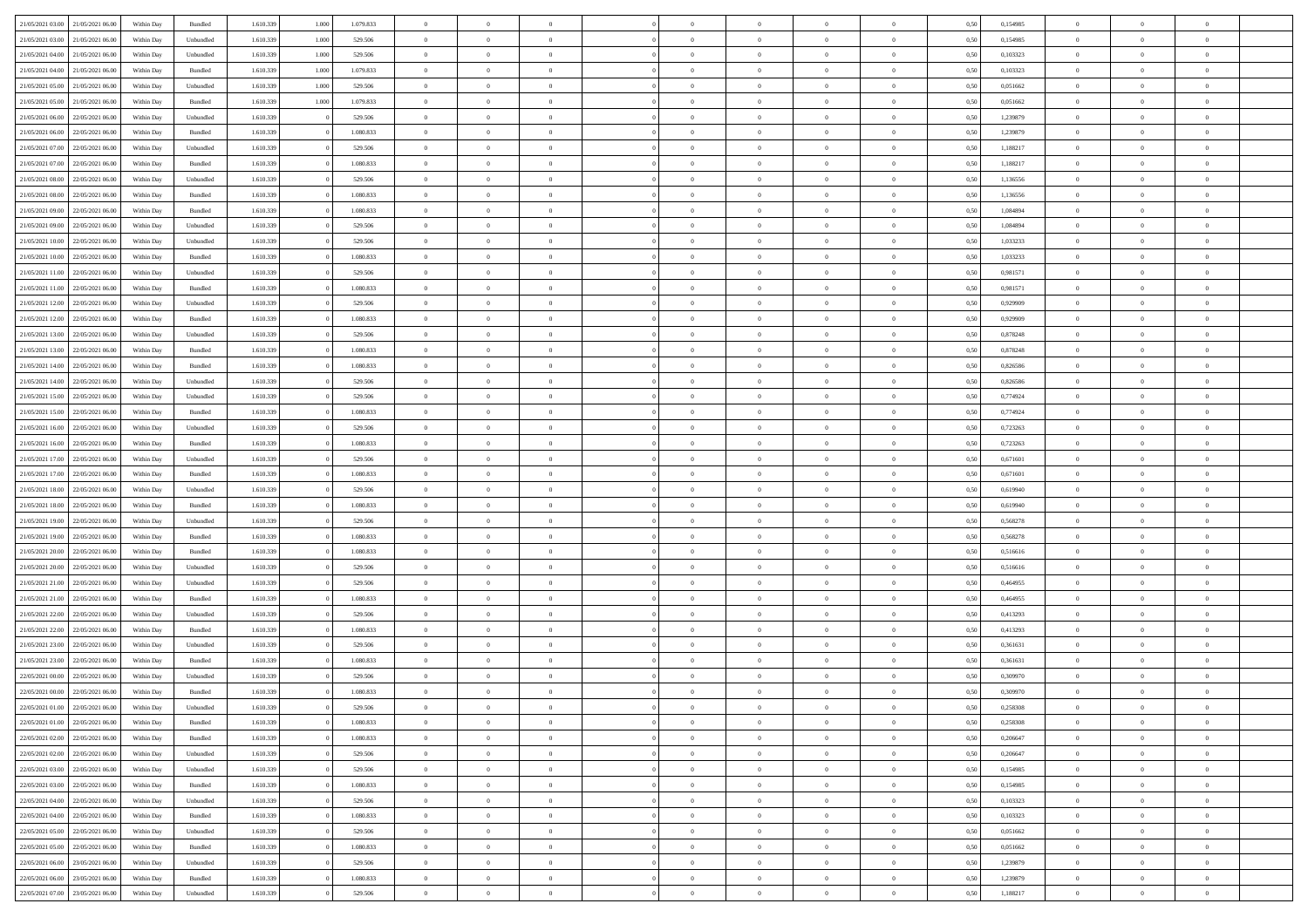| 21/05/2021 03:00                  | 21/05/2021 06:00 | Within Day | Bundled   | 1.610.339 | 1.000 | 1.079.833 | $\overline{0}$ | $\Omega$       |                | $\Omega$       | $\Omega$       | $\Omega$       | $\theta$       | 0,50 | 0,154985 | $\theta$       | $\theta$       | $\theta$       |  |
|-----------------------------------|------------------|------------|-----------|-----------|-------|-----------|----------------|----------------|----------------|----------------|----------------|----------------|----------------|------|----------|----------------|----------------|----------------|--|
|                                   |                  |            |           |           |       |           |                |                |                |                |                |                |                |      |          |                |                |                |  |
| 21/05/2021 03:00                  | 21/05/2021 06:00 | Within Day | Unbundled | 1.610.339 | 1.000 | 529.506   | $\overline{0}$ | $\theta$       | $\overline{0}$ | $\overline{0}$ | $\bf{0}$       | $\overline{0}$ | $\bf{0}$       | 0,50 | 0,154985 | $\theta$       | $\theta$       | $\overline{0}$ |  |
| 21/05/2021 04:00                  | 21/05/2021 06:00 | Within Day | Unbundled | 1.610.339 | 1.000 | 529.506   | $\overline{0}$ | $\overline{0}$ | $\overline{0}$ | $\bf{0}$       | $\bf{0}$       | $\bf{0}$       | $\mathbf{0}$   | 0,50 | 0,103323 | $\bf{0}$       | $\overline{0}$ | $\overline{0}$ |  |
| 21/05/2021 04:00                  | 21/05/2021 06:00 | Within Dav | Bundled   | 1.610.339 | 1.000 | 1.079.833 | $\overline{0}$ | $\overline{0}$ | $\overline{0}$ | $\overline{0}$ | $\bf{0}$       | $\overline{0}$ | $\overline{0}$ | 0.50 | 0,103323 | $\theta$       | $\theta$       | $\overline{0}$ |  |
| 21/05/2021 05:00                  | 21/05/2021 06:00 | Within Day | Unbundled | 1.610.339 | 1.000 | 529.506   | $\overline{0}$ | $\theta$       | $\overline{0}$ | $\overline{0}$ | $\bf{0}$       | $\overline{0}$ | $\bf{0}$       | 0,50 | 0,051662 | $\theta$       | $\overline{0}$ | $\overline{0}$ |  |
| 21/05/2021 05:00                  | 21/05/2021 06:00 | Within Day | Bundled   | 1.610.339 | 1.000 | 1.079.833 | $\overline{0}$ | $\overline{0}$ | $\overline{0}$ | $\bf{0}$       | $\overline{0}$ | $\overline{0}$ | $\mathbf{0}$   | 0,50 | 0,051662 | $\bf{0}$       | $\overline{0}$ | $\bf{0}$       |  |
| 21/05/2021 06:00                  | 22/05/2021 06:00 | Within Dav | Unbundled | 1.610.339 |       | 529.506   | $\overline{0}$ | $\overline{0}$ | $\overline{0}$ | $\overline{0}$ | $\overline{0}$ | $\overline{0}$ | $\overline{0}$ | 0.50 | 1,239879 | $\theta$       | $\overline{0}$ | $\overline{0}$ |  |
| 21/05/2021 06:00                  | 22/05/2021 06:00 | Within Day | Bundled   | 1.610.339 |       | 1.080.833 | $\overline{0}$ | $\theta$       | $\overline{0}$ | $\overline{0}$ | $\bf{0}$       | $\overline{0}$ | $\bf{0}$       | 0,50 | 1,239879 | $\theta$       | $\theta$       | $\overline{0}$ |  |
| 21/05/2021 07:00                  | 22/05/2021 06:00 | Within Day | Unbundled | 1.610.339 |       | 529.506   | $\overline{0}$ | $\overline{0}$ | $\overline{0}$ | $\bf{0}$       | $\bf{0}$       | $\bf{0}$       | $\bf{0}$       | 0,50 | 1,188217 | $\,0\,$        | $\overline{0}$ | $\overline{0}$ |  |
| 21/05/2021 07:00                  | 22/05/2021 06:00 | Within Dav | Bundled   | 1.610.339 |       | 1.080.833 | $\overline{0}$ | $\overline{0}$ | $\overline{0}$ | $\overline{0}$ | $\overline{0}$ | $\overline{0}$ | $\overline{0}$ | 0.50 | 1,188217 | $\theta$       | $\overline{0}$ | $\overline{0}$ |  |
|                                   |                  |            |           |           |       |           |                |                |                |                |                |                |                |      |          |                |                |                |  |
| 21/05/2021 08:00                  | 22/05/2021 06:00 | Within Day | Unbundled | 1.610.339 |       | 529.506   | $\overline{0}$ | $\theta$       | $\overline{0}$ | $\overline{0}$ | $\bf{0}$       | $\overline{0}$ | $\bf{0}$       | 0,50 | 1,136556 | $\,$ 0 $\,$    | $\overline{0}$ | $\overline{0}$ |  |
| 21/05/2021 08:00                  | 22/05/2021 06:00 | Within Day | Bundled   | 1.610.339 |       | 1.080.833 | $\overline{0}$ | $\overline{0}$ | $\overline{0}$ | $\bf{0}$       | $\bf{0}$       | $\bf{0}$       | $\mathbf{0}$   | 0,50 | 1,136556 | $\bf{0}$       | $\overline{0}$ | $\overline{0}$ |  |
| 21/05/2021 09:00                  | 22/05/2021 06:00 | Within Day | Bundled   | 1.610.339 |       | 1.080.833 | $\overline{0}$ | $\overline{0}$ | $\overline{0}$ | $\overline{0}$ | $\bf{0}$       | $\overline{0}$ | $\overline{0}$ | 0.50 | 1.084894 | $\theta$       | $\theta$       | $\overline{0}$ |  |
| 21/05/2021 09:00                  | 22/05/2021 06:00 | Within Day | Unbundled | 1.610.339 |       | 529.506   | $\overline{0}$ | $\theta$       | $\overline{0}$ | $\overline{0}$ | $\bf{0}$       | $\overline{0}$ | $\bf{0}$       | 0,50 | 1,084894 | $\theta$       | $\overline{0}$ | $\overline{0}$ |  |
| 21/05/2021 10:00                  | 22/05/2021 06:00 | Within Day | Unbundled | 1.610.339 |       | 529.506   | $\overline{0}$ | $\overline{0}$ | $\overline{0}$ | $\bf{0}$       | $\overline{0}$ | $\overline{0}$ | $\mathbf{0}$   | 0,50 | 1,033233 | $\bf{0}$       | $\overline{0}$ | $\bf{0}$       |  |
| 21/05/2021 10:00                  | 22/05/2021 06:00 | Within Dav | Bundled   | 1.610.339 |       | 1.080.833 | $\overline{0}$ | $\overline{0}$ | $\overline{0}$ | $\overline{0}$ | $\overline{0}$ | $\overline{0}$ | $\overline{0}$ | 0.50 | 1,033233 | $\theta$       | $\overline{0}$ | $\overline{0}$ |  |
| 21/05/2021 11:00                  | 22/05/2021 06:00 | Within Day | Unbundled | 1.610.339 |       | 529.506   | $\overline{0}$ | $\theta$       | $\overline{0}$ | $\overline{0}$ | $\bf{0}$       | $\overline{0}$ | $\bf{0}$       | 0,50 | 0,981571 | $\theta$       | $\theta$       | $\overline{0}$ |  |
| 21/05/2021 11:00                  | 22/05/2021 06:00 | Within Day | Bundled   | 1.610.339 |       | 1.080.833 | $\overline{0}$ | $\overline{0}$ | $\overline{0}$ | $\bf{0}$       | $\bf{0}$       | $\bf{0}$       | $\mathbf{0}$   | 0,50 | 0,981571 | $\,0\,$        | $\overline{0}$ | $\overline{0}$ |  |
| 21/05/2021 12:00                  | 22/05/2021 06:00 | Within Day | Unbundled | 1.610.339 |       | 529.506   | $\overline{0}$ | $\overline{0}$ | $\overline{0}$ | $\overline{0}$ | $\overline{0}$ | $\overline{0}$ | $\overline{0}$ | 0.50 | 0.929909 | $\theta$       | $\overline{0}$ | $\overline{0}$ |  |
| 21/05/2021 12:00                  | 22/05/2021 06:00 | Within Day | Bundled   | 1.610.339 |       | 1.080.833 | $\overline{0}$ | $\theta$       | $\overline{0}$ | $\overline{0}$ | $\bf{0}$       | $\overline{0}$ | $\bf{0}$       | 0,50 | 0,929909 | $\,$ 0 $\,$    | $\theta$       | $\overline{0}$ |  |
|                                   |                  |            |           |           |       |           |                |                |                |                |                |                |                |      |          |                |                |                |  |
| 21/05/2021 13:00                  | 22/05/2021 06:00 | Within Day | Unbundled | 1.610.339 |       | 529.506   | $\overline{0}$ | $\overline{0}$ | $\overline{0}$ | $\bf{0}$       | $\bf{0}$       | $\bf{0}$       | $\mathbf{0}$   | 0,50 | 0,878248 | $\bf{0}$       | $\overline{0}$ | $\overline{0}$ |  |
| 21/05/2021 13:00                  | 22/05/2021 06:00 | Within Day | Bundled   | 1.610.339 |       | 1.080.833 | $\overline{0}$ | $\overline{0}$ | $\overline{0}$ | $\overline{0}$ | $\bf{0}$       | $\overline{0}$ | $\overline{0}$ | 0.50 | 0.878248 | $\theta$       | $\theta$       | $\overline{0}$ |  |
| 21/05/2021 14:00                  | 22/05/2021 06:00 | Within Day | Bundled   | 1.610.339 |       | 1.080.833 | $\overline{0}$ | $\theta$       | $\overline{0}$ | $\overline{0}$ | $\bf{0}$       | $\overline{0}$ | $\bf{0}$       | 0,50 | 0,826586 | $\theta$       | $\overline{0}$ | $\overline{0}$ |  |
| 21/05/2021 14:00                  | 22/05/2021 06:00 | Within Day | Unbundled | 1.610.339 |       | 529.506   | $\overline{0}$ | $\bf{0}$       | $\overline{0}$ | $\bf{0}$       | $\overline{0}$ | $\overline{0}$ | $\mathbf{0}$   | 0,50 | 0,826586 | $\overline{0}$ | $\overline{0}$ | $\bf{0}$       |  |
| 21/05/2021 15:00                  | 22/05/2021 06:00 | Within Dav | Unbundled | 1.610.339 |       | 529.506   | $\overline{0}$ | $\overline{0}$ | $\overline{0}$ | $\overline{0}$ | $\overline{0}$ | $\overline{0}$ | $\overline{0}$ | 0.50 | 0,774924 | $\theta$       | $\overline{0}$ | $\overline{0}$ |  |
| 21/05/2021 15:00                  | 22/05/2021 06:00 | Within Day | Bundled   | 1.610.339 |       | 1.080.833 | $\overline{0}$ | $\theta$       | $\overline{0}$ | $\overline{0}$ | $\bf{0}$       | $\overline{0}$ | $\bf{0}$       | 0,50 | 0,774924 | $\theta$       | $\theta$       | $\overline{0}$ |  |
| 21/05/2021 16:00                  | 22/05/2021 06:00 | Within Day | Unbundled | 1.610.339 |       | 529.506   | $\overline{0}$ | $\overline{0}$ | $\overline{0}$ | $\bf{0}$       | $\bf{0}$       | $\bf{0}$       | $\bf{0}$       | 0,50 | 0,723263 | $\,0\,$        | $\overline{0}$ | $\overline{0}$ |  |
| 21/05/2021 16:00                  | 22/05/2021 06:00 | Within Day | Bundled   | 1.610.339 |       | 1.080.833 | $\overline{0}$ | $\overline{0}$ | $\overline{0}$ | $\overline{0}$ | $\overline{0}$ | $\overline{0}$ | $\overline{0}$ | 0.50 | 0,723263 | $\theta$       | $\overline{0}$ | $\overline{0}$ |  |
| 21/05/2021 17:00                  | 22/05/2021 06:00 | Within Day | Unbundled | 1.610.339 |       | 529.506   | $\overline{0}$ | $\theta$       | $\overline{0}$ | $\overline{0}$ | $\bf{0}$       | $\overline{0}$ | $\bf{0}$       | 0,50 | 0,671601 | $\,$ 0 $\,$    | $\overline{0}$ | $\overline{0}$ |  |
| 21/05/2021 17:00                  | 22/05/2021 06:00 | Within Day | Bundled   | 1.610.339 |       | 1.080.833 | $\overline{0}$ | $\overline{0}$ | $\overline{0}$ | $\bf{0}$       | $\bf{0}$       | $\bf{0}$       | $\bf{0}$       | 0,50 | 0,671601 | $\bf{0}$       | $\overline{0}$ | $\overline{0}$ |  |
| 21/05/2021 18:00                  | 22/05/2021 06:00 | Within Day | Unbundled | 1.610.339 |       | 529.506   | $\overline{0}$ | $\Omega$       | $\overline{0}$ | $\Omega$       | $\Omega$       | $\overline{0}$ | $\overline{0}$ | 0,50 | 0,619940 | $\,0\,$        | $\theta$       | $\theta$       |  |
| 21/05/2021 18:00                  | 22/05/2021 06:00 | Within Day | Bundled   | 1.610.339 |       | 1.080.833 | $\overline{0}$ | $\theta$       | $\overline{0}$ | $\overline{0}$ | $\bf{0}$       | $\overline{0}$ | $\bf{0}$       | 0,50 | 0,619940 | $\theta$       | $\theta$       | $\overline{0}$ |  |
|                                   |                  |            |           |           |       |           |                |                |                |                |                |                |                |      |          |                |                |                |  |
| 21/05/2021 19:00                  | 22/05/2021 06:00 | Within Day | Unbundled | 1.610.339 |       | 529.506   | $\overline{0}$ | $\overline{0}$ | $\overline{0}$ | $\bf{0}$       | $\bf{0}$       | $\overline{0}$ | $\mathbf{0}$   | 0,50 | 0,568278 | $\bf{0}$       | $\overline{0}$ | $\bf{0}$       |  |
| 21/05/2021 19:00                  | 22/05/2021 06:00 | Within Day | Bundled   | 1.610.339 |       | 1.080.833 | $\overline{0}$ | $\Omega$       | $\Omega$       | $\Omega$       | $\bf{0}$       | $\overline{0}$ | $\overline{0}$ | 0.50 | 0.568278 | $\,0\,$        | $\theta$       | $\theta$       |  |
| 21/05/2021 20:00                  | 22/05/2021 06:00 | Within Day | Bundled   | 1.610.339 |       | 1.080.833 | $\overline{0}$ | $\theta$       | $\overline{0}$ | $\overline{0}$ | $\bf{0}$       | $\overline{0}$ | $\bf{0}$       | 0,50 | 0,516616 | $\,$ 0 $\,$    | $\theta$       | $\overline{0}$ |  |
| 21/05/2021 20:00                  | 22/05/2021 06:00 | Within Day | Unbundled | 1.610.339 |       | 529.506   | $\overline{0}$ | $\overline{0}$ | $\overline{0}$ | $\bf{0}$       | $\bf{0}$       | $\bf{0}$       | $\bf{0}$       | 0,50 | 0,516616 | $\bf{0}$       | $\overline{0}$ | $\overline{0}$ |  |
| 21/05/2021 21:00                  | 22/05/2021 06:00 | Within Day | Unbundled | 1.610.339 |       | 529.506   | $\overline{0}$ | $\Omega$       | $\overline{0}$ | $\Omega$       | $\overline{0}$ | $\overline{0}$ | $\overline{0}$ | 0.50 | 0.464955 | $\theta$       | $\theta$       | $\theta$       |  |
| 21/05/2021 21:00                  | 22/05/2021 06:00 | Within Day | Bundled   | 1.610.339 |       | 1.080.833 | $\overline{0}$ | $\theta$       | $\overline{0}$ | $\overline{0}$ | $\bf{0}$       | $\overline{0}$ | $\bf{0}$       | 0,50 | 0,464955 | $\,$ 0 $\,$    | $\overline{0}$ | $\overline{0}$ |  |
| 21/05/2021 22:00                  | 22/05/2021 06:00 | Within Day | Unbundled | 1.610.339 |       | 529.506   | $\overline{0}$ | $\overline{0}$ | $\overline{0}$ | $\bf{0}$       | $\bf{0}$       | $\bf{0}$       | $\mathbf{0}$   | 0,50 | 0,413293 | $\bf{0}$       | $\overline{0}$ | $\overline{0}$ |  |
| 21/05/2021 22.00                  | 22/05/2021 06:00 | Within Day | Bundled   | 1.610.339 |       | 1.080.833 | $\overline{0}$ | $\Omega$       | $\overline{0}$ | $\Omega$       | $\overline{0}$ | $\overline{0}$ | $\overline{0}$ | 0.50 | 0,413293 | $\,0\,$        | $\theta$       | $\theta$       |  |
| 21/05/2021 23:00                  | 22/05/2021 06:00 | Within Day | Unbundled | 1.610.339 |       | 529.506   | $\overline{0}$ | $\theta$       | $\overline{0}$ | $\overline{0}$ | $\,$ 0         | $\overline{0}$ | $\bf{0}$       | 0,50 | 0,361631 | $\,$ 0 $\,$    | $\overline{0}$ | $\overline{0}$ |  |
| 21/05/2021 23:00                  | 22/05/2021 06:00 | Within Day | Bundled   | 1.610.339 |       | 1.080.833 | $\overline{0}$ | $\overline{0}$ | $\overline{0}$ | $\bf{0}$       | $\bf{0}$       | $\bf{0}$       | $\mathbf{0}$   | 0,50 | 0,361631 | $\bf{0}$       | $\overline{0}$ | $\bf{0}$       |  |
| 22/05/2021 00:00                  | 22/05/2021 06:00 | Within Day | Unbundled | 1.610.339 |       | 529.506   | $\overline{0}$ | $\Omega$       | $\Omega$       | $\Omega$       | $\Omega$       | $\Omega$       | $\overline{0}$ | 0.50 | 0.309970 | $\theta$       | $\theta$       | $\theta$       |  |
| 22/05/2021 00:00                  | 22/05/2021 06:00 | Within Day | Bundled   | 1.610.339 |       | 1.080.833 | $\overline{0}$ | $\overline{0}$ | $\overline{0}$ | $\bf{0}$       | $\,$ 0         | $\bf{0}$       | $\bf{0}$       | 0,50 | 0,309970 | $\,0\,$        | $\overline{0}$ | $\overline{0}$ |  |
|                                   |                  |            |           |           |       |           |                |                |                |                |                |                |                |      |          |                |                |                |  |
| 22/05/2021 01:00                  | 22/05/2021 06:00 | Within Day | Unbundled | 1.610.339 |       | 529.506   | $\bf{0}$       | $\bf{0}$       |                |                | $\bf{0}$       |                |                | 0,50 | 0,258308 | $\bf{0}$       | $\overline{0}$ |                |  |
| 22/05/2021 01:00                  | 22/05/2021 06:00 | Within Day | Bundled   | 1.610.339 |       | 1.080.833 | $\overline{0}$ | $\overline{0}$ | $\overline{0}$ | $\Omega$       | $\overline{0}$ | $\overline{0}$ | $\overline{0}$ | 0.50 | 0,258308 | $\theta$       | $\theta$       | $\theta$       |  |
| 22/05/2021 02:00                  | 22/05/2021 06:00 | Within Day | Bundled   | 1.610.339 |       | 1.080.833 | $\overline{0}$ | $\,$ 0         | $\overline{0}$ | $\bf{0}$       | $\,$ 0 $\,$    | $\overline{0}$ | $\mathbf{0}$   | 0,50 | 0,206647 | $\,$ 0 $\,$    | $\,$ 0 $\,$    | $\,$ 0         |  |
| 22/05/2021 02:00                  | 22/05/2021 06:00 | Within Day | Unbundled | 1.610.339 |       | 529.506   | $\overline{0}$ | $\overline{0}$ | $\overline{0}$ | $\overline{0}$ | $\overline{0}$ | $\overline{0}$ | $\mathbf{0}$   | 0,50 | 0,206647 | $\overline{0}$ | $\bf{0}$       | $\bf{0}$       |  |
| 22/05/2021 03:00                  | 22/05/2021 06:00 | Within Day | Unbundled | 1.610.339 |       | 529.506   | $\overline{0}$ | $\overline{0}$ | $\overline{0}$ | $\Omega$       | $\overline{0}$ | $\overline{0}$ | $\overline{0}$ | 0,50 | 0,154985 | $\overline{0}$ | $\theta$       | $\overline{0}$ |  |
| 22/05/2021 03:00                  | 22/05/2021 06:00 | Within Day | Bundled   | 1.610.339 |       | 1.080.833 | $\overline{0}$ | $\,$ 0         | $\overline{0}$ | $\overline{0}$ | $\,$ 0 $\,$    | $\overline{0}$ | $\mathbf{0}$   | 0,50 | 0,154985 | $\,$ 0 $\,$    | $\overline{0}$ | $\overline{0}$ |  |
| 22/05/2021 04:00                  | 22/05/2021 06:00 | Within Day | Unbundled | 1.610.339 |       | 529.506   | $\overline{0}$ | $\overline{0}$ | $\overline{0}$ | $\overline{0}$ | $\overline{0}$ | $\overline{0}$ | $\mathbf{0}$   | 0,50 | 0,103323 | $\overline{0}$ | $\overline{0}$ | $\bf{0}$       |  |
| 22/05/2021 04:00                  | 22/05/2021 06:00 | Within Day | Bundled   | 1.610.339 |       | 1.080.833 | $\overline{0}$ | $\overline{0}$ | $\overline{0}$ | $\Omega$       | $\overline{0}$ | $\overline{0}$ | $\bf{0}$       | 0.50 | 0,103323 | $\overline{0}$ | $\theta$       | $\overline{0}$ |  |
| 22/05/2021 05:00                  | 22/05/2021 06:00 | Within Day | Unbundled | 1.610.339 |       | 529.506   | $\overline{0}$ | $\,$ 0         | $\overline{0}$ | $\bf{0}$       | $\bf{0}$       | $\bf{0}$       | $\bf{0}$       | 0,50 | 0,051662 | $\,$ 0 $\,$    | $\overline{0}$ | $\overline{0}$ |  |
| 22/05/2021 05:00                  | 22/05/2021 06:00 | Within Day | Bundled   | 1.610.339 |       | 1.080.833 | $\overline{0}$ | $\bf{0}$       | $\overline{0}$ | $\overline{0}$ | $\overline{0}$ | $\overline{0}$ | $\mathbf{0}$   | 0,50 | 0,051662 | $\overline{0}$ | $\overline{0}$ | $\bf{0}$       |  |
| 22/05/2021 06:00                  | 23/05/2021 06:00 | Within Day | Unbundled | 1.610.339 |       | 529.506   | $\overline{0}$ | $\overline{0}$ | $\overline{0}$ | $\Omega$       | $\overline{0}$ | $\overline{0}$ | $\overline{0}$ | 0.50 | 1,239879 | $\overline{0}$ | $\overline{0}$ | $\overline{0}$ |  |
| 22/05/2021 06:00                  | 23/05/2021 06:00 | Within Day | Bundled   | 1.610.339 |       | 1.080.833 | $\overline{0}$ | $\bf{0}$       | $\overline{0}$ | $\bf{0}$       | $\bf{0}$       | $\bf{0}$       | $\mathbf{0}$   | 0,50 | 1,239879 | $\,$ 0 $\,$    | $\,$ 0 $\,$    | $\bf{0}$       |  |
|                                   |                  |            |           |           |       |           |                |                |                |                |                |                |                |      |          |                |                |                |  |
| 22/05/2021 07:00 23/05/2021 06:00 |                  | Within Day | Unbundled | 1.610.339 |       | 529.506   | $\overline{0}$ | $\overline{0}$ | $\overline{0}$ | $\overline{0}$ | $\overline{0}$ | $\bf{0}$       | $\mathbf{0}$   | 0,50 | 1,188217 | $\overline{0}$ | $\bf{0}$       | $\bf{0}$       |  |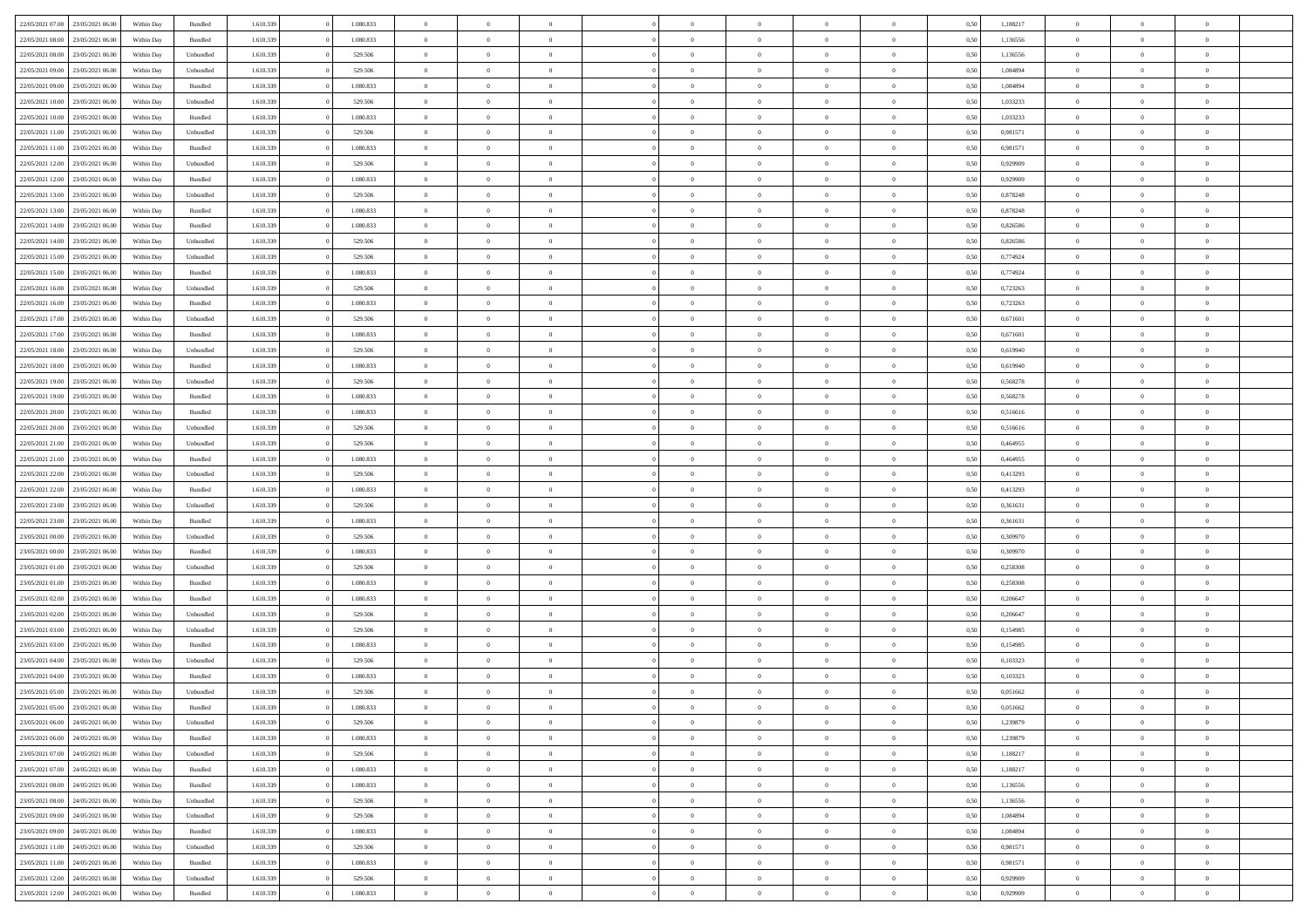| 22/05/2021 07:00                  | 23/05/2021 06:00 | Within Day | Bundled            | 1.610.339 | 1.080.833 | $\overline{0}$ | $\Omega$       |                | $\Omega$       | $\Omega$       | $\theta$       | $\theta$       | 0,50 | 1,188217 | $\theta$       | $\theta$       | $\theta$       |  |
|-----------------------------------|------------------|------------|--------------------|-----------|-----------|----------------|----------------|----------------|----------------|----------------|----------------|----------------|------|----------|----------------|----------------|----------------|--|
| 22/05/2021 08:00                  | 23/05/2021 06:00 | Within Day | Bundled            | 1.610.339 | 1.080.833 | $\overline{0}$ | $\theta$       | $\overline{0}$ | $\overline{0}$ | $\bf{0}$       | $\overline{0}$ | $\bf{0}$       | 0,50 | 1,136556 | $\theta$       | $\theta$       | $\overline{0}$ |  |
| 22/05/2021 08:00                  | 23/05/2021 06:00 | Within Day | Unbundled          | 1.610.339 | 529.506   | $\overline{0}$ | $\overline{0}$ | $\overline{0}$ | $\bf{0}$       | $\bf{0}$       | $\bf{0}$       | $\mathbf{0}$   | 0,50 | 1,136556 | $\bf{0}$       | $\overline{0}$ | $\overline{0}$ |  |
| 22/05/2021 09:00                  | 23/05/2021 06:00 | Within Dav | Unbundled          | 1.610.339 | 529.506   | $\overline{0}$ | $\overline{0}$ | $\overline{0}$ | $\overline{0}$ | $\bf{0}$       | $\overline{0}$ | $\overline{0}$ | 0.50 | 1.084894 | $\theta$       | $\theta$       | $\overline{0}$ |  |
| 22/05/2021 09:00                  | 23/05/2021 06:00 | Within Day | Bundled            | 1.610.339 | 1.080.833 | $\overline{0}$ | $\theta$       | $\overline{0}$ | $\overline{0}$ | $\bf{0}$       | $\overline{0}$ | $\bf{0}$       | 0,50 | 1,084894 | $\theta$       | $\overline{0}$ | $\overline{0}$ |  |
|                                   |                  |            |                    |           |           |                |                |                |                |                |                |                |      |          |                |                |                |  |
| 22/05/2021 10:00                  | 23/05/2021 06:00 | Within Day | Unbundled          | 1.610.339 | 529.506   | $\overline{0}$ | $\bf{0}$       | $\overline{0}$ | $\bf{0}$       | $\overline{0}$ | $\overline{0}$ | $\mathbf{0}$   | 0,50 | 1,033233 | $\bf{0}$       | $\overline{0}$ | $\bf{0}$       |  |
| 22/05/2021 10:00                  | 23/05/2021 06:00 | Within Dav | Bundled            | 1.610.339 | 1.080.833 | $\overline{0}$ | $\overline{0}$ | $\overline{0}$ | $\overline{0}$ | $\overline{0}$ | $\overline{0}$ | $\overline{0}$ | 0.50 | 1,033233 | $\theta$       | $\overline{0}$ | $\overline{0}$ |  |
| 22/05/2021 11:00                  | 23/05/2021 06:00 | Within Day | Unbundled          | 1.610.339 | 529.506   | $\overline{0}$ | $\theta$       | $\overline{0}$ | $\overline{0}$ | $\bf{0}$       | $\overline{0}$ | $\bf{0}$       | 0,50 | 0,981571 | $\theta$       | $\theta$       | $\overline{0}$ |  |
| 22/05/2021 11:00                  | 23/05/2021 06:00 | Within Day | Bundled            | 1.610.339 | 1.080.833 | $\overline{0}$ | $\overline{0}$ | $\overline{0}$ | $\bf{0}$       | $\bf{0}$       | $\bf{0}$       | $\bf{0}$       | 0,50 | 0,981571 | $\,0\,$        | $\overline{0}$ | $\overline{0}$ |  |
| 22/05/2021 12:00                  | 23/05/2021 06:00 | Within Dav | Unbundled          | 1.610.339 | 529.506   | $\overline{0}$ | $\overline{0}$ | $\overline{0}$ | $\overline{0}$ | $\overline{0}$ | $\overline{0}$ | $\overline{0}$ | 0.50 | 0.929909 | $\theta$       | $\overline{0}$ | $\overline{0}$ |  |
| 22/05/2021 12:00                  | 23/05/2021 06:00 | Within Day | Bundled            | 1.610.339 | 1.080.833 | $\overline{0}$ | $\theta$       | $\overline{0}$ | $\overline{0}$ | $\bf{0}$       | $\overline{0}$ | $\bf{0}$       | 0,50 | 0,929909 | $\theta$       | $\overline{0}$ | $\overline{0}$ |  |
| 22/05/2021 13:00                  | 23/05/2021 06:00 | Within Day | Unbundled          | 1.610.339 | 529.506   | $\overline{0}$ | $\overline{0}$ | $\overline{0}$ | $\overline{0}$ | $\bf{0}$       | $\overline{0}$ | $\mathbf{0}$   | 0,50 | 0,878248 | $\overline{0}$ | $\overline{0}$ | $\bf{0}$       |  |
|                                   |                  |            |                    |           |           |                |                |                |                |                |                |                |      |          |                |                |                |  |
| 22/05/2021 13:00                  | 23/05/2021 06:00 | Within Day | Bundled            | 1.610.339 | 1.080.833 | $\overline{0}$ | $\overline{0}$ | $\overline{0}$ | $\overline{0}$ | $\bf{0}$       | $\overline{0}$ | $\overline{0}$ | 0.50 | 0.878248 | $\theta$       | $\theta$       | $\overline{0}$ |  |
| 22/05/2021 14:00                  | 23/05/2021 06:00 | Within Day | Bundled            | 1.610.339 | 1.080.833 | $\overline{0}$ | $\theta$       | $\overline{0}$ | $\overline{0}$ | $\bf{0}$       | $\overline{0}$ | $\bf{0}$       | 0,50 | 0,826586 | $\theta$       | $\theta$       | $\overline{0}$ |  |
| 22/05/2021 14:00                  | 23/05/2021 06:00 | Within Day | Unbundled          | 1.610.339 | 529.506   | $\overline{0}$ | $\overline{0}$ | $\overline{0}$ | $\overline{0}$ | $\overline{0}$ | $\overline{0}$ | $\mathbf{0}$   | 0,50 | 0,826586 | $\overline{0}$ | $\overline{0}$ | $\bf{0}$       |  |
| 22/05/2021 15:00                  | 23/05/2021 06:00 | Within Dav | Unbundled          | 1.610.339 | 529.506   | $\overline{0}$ | $\overline{0}$ | $\overline{0}$ | $\overline{0}$ | $\overline{0}$ | $\overline{0}$ | $\overline{0}$ | 0.50 | 0,774924 | $\theta$       | $\overline{0}$ | $\overline{0}$ |  |
| 22/05/2021 15:00                  | 23/05/2021 06:00 | Within Day | Bundled            | 1.610.339 | 1.080.833 | $\overline{0}$ | $\theta$       | $\overline{0}$ | $\overline{0}$ | $\bf{0}$       | $\overline{0}$ | $\bf{0}$       | 0,50 | 0,774924 | $\theta$       | $\theta$       | $\overline{0}$ |  |
| 22/05/2021 16:00                  | 23/05/2021 06:00 | Within Day | Unbundled          | 1.610.339 | 529.506   | $\overline{0}$ | $\overline{0}$ | $\overline{0}$ | $\overline{0}$ | $\bf{0}$       | $\overline{0}$ | $\mathbf{0}$   | 0,50 | 0,723263 | $\bf{0}$       | $\overline{0}$ | $\overline{0}$ |  |
| 22/05/2021 16:00                  | 23/05/2021 06:00 | Within Day | Bundled            | 1.610.339 | 1.080.833 | $\overline{0}$ | $\overline{0}$ | $\overline{0}$ | $\overline{0}$ | $\overline{0}$ | $\overline{0}$ | $\overline{0}$ | 0.50 | 0,723263 | $\theta$       | $\overline{0}$ | $\overline{0}$ |  |
| 22/05/2021 17:00                  | 23/05/2021 06:00 | Within Day | Unbundled          | 1.610.339 | 529.506   | $\overline{0}$ | $\theta$       | $\overline{0}$ | $\overline{0}$ | $\bf{0}$       | $\overline{0}$ | $\bf{0}$       | 0,50 | 0,671601 | $\,$ 0 $\,$    | $\theta$       | $\overline{0}$ |  |
|                                   |                  |            |                    |           |           |                |                |                |                |                |                |                |      |          |                |                |                |  |
| 22/05/2021 17:00                  | 23/05/2021 06:00 | Within Day | Bundled            | 1.610.339 | 1.080.833 | $\overline{0}$ | $\overline{0}$ | $\overline{0}$ | $\overline{0}$ | $\bf{0}$       | $\overline{0}$ | $\bf{0}$       | 0,50 | 0,671601 | $\bf{0}$       | $\overline{0}$ | $\overline{0}$ |  |
| 22/05/2021 18:00                  | 23/05/2021 06:00 | Within Day | Unbundled          | 1.610.339 | 529.506   | $\overline{0}$ | $\overline{0}$ | $\overline{0}$ | $\overline{0}$ | $\bf{0}$       | $\overline{0}$ | $\overline{0}$ | 0.50 | 0.619940 | $\theta$       | $\overline{0}$ | $\overline{0}$ |  |
| 22/05/2021 18:00                  | 23/05/2021 06:00 | Within Day | Bundled            | 1.610.339 | 1.080.833 | $\overline{0}$ | $\theta$       | $\overline{0}$ | $\overline{0}$ | $\bf{0}$       | $\overline{0}$ | $\bf{0}$       | 0,50 | 0,619940 | $\,$ 0 $\,$    | $\overline{0}$ | $\overline{0}$ |  |
| 22/05/2021 19:00                  | 23/05/2021 06:00 | Within Day | Unbundled          | 1.610.339 | 529.506   | $\overline{0}$ | $\bf{0}$       | $\overline{0}$ | $\overline{0}$ | $\overline{0}$ | $\overline{0}$ | $\mathbf{0}$   | 0,50 | 0,568278 | $\overline{0}$ | $\overline{0}$ | $\bf{0}$       |  |
| 22/05/2021 19:00                  | 23/05/2021 06:00 | Within Dav | Bundled            | 1.610.339 | 1.080.833 | $\overline{0}$ | $\overline{0}$ | $\overline{0}$ | $\overline{0}$ | $\overline{0}$ | $\overline{0}$ | $\overline{0}$ | 0.50 | 0,568278 | $\theta$       | $\overline{0}$ | $\overline{0}$ |  |
| 22/05/2021 20:00                  | 23/05/2021 06:00 | Within Day | Bundled            | 1.610.339 | 1.080.833 | $\overline{0}$ | $\theta$       | $\overline{0}$ | $\overline{0}$ | $\bf{0}$       | $\overline{0}$ | $\bf{0}$       | 0,50 | 0,516616 | $\theta$       | $\theta$       | $\overline{0}$ |  |
| 22/05/2021 20:00                  | 23/05/2021 06:00 | Within Day | Unbundled          | 1.610.339 | 529.506   | $\overline{0}$ | $\overline{0}$ | $\overline{0}$ | $\overline{0}$ | $\bf{0}$       | $\overline{0}$ | $\bf{0}$       | 0,50 | 0,516616 | $\,0\,$        | $\overline{0}$ | $\overline{0}$ |  |
| 22/05/2021 21:00                  | 23/05/2021 06:00 | Within Day | Unbundled          | 1.610.339 | 529.506   | $\overline{0}$ | $\overline{0}$ | $\overline{0}$ | $\overline{0}$ | $\overline{0}$ | $\overline{0}$ | $\overline{0}$ | 0.50 | 0.464955 | $\theta$       | $\overline{0}$ | $\overline{0}$ |  |
|                                   |                  |            |                    |           |           |                |                |                |                |                |                |                |      |          |                |                |                |  |
| 22/05/2021 21:00                  | 23/05/2021 06:00 | Within Day | Bundled            | 1.610.339 | 1.080.833 | $\overline{0}$ | $\theta$       | $\overline{0}$ | $\overline{0}$ | $\bf{0}$       | $\overline{0}$ | $\bf{0}$       | 0,50 | 0,464955 | $\,$ 0 $\,$    | $\overline{0}$ | $\overline{0}$ |  |
| 22/05/2021 22:00                  | 23/05/2021 06:00 | Within Day | Unbundled          | 1.610.339 | 529.506   | $\overline{0}$ | $\overline{0}$ | $\overline{0}$ | $\bf{0}$       | $\bf{0}$       | $\bf{0}$       | $\bf{0}$       | 0,50 | 0,413293 | $\bf{0}$       | $\overline{0}$ | $\overline{0}$ |  |
| 22/05/2021 22:00                  | 23/05/2021 06:00 | Within Day | Bundled            | 1.610.339 | 1.080.833 | $\overline{0}$ | $\Omega$       | $\overline{0}$ | $\Omega$       | $\Omega$       | $\overline{0}$ | $\overline{0}$ | 0.50 | 0,413293 | $\,0\,$        | $\theta$       | $\theta$       |  |
| 22/05/2021 23:00                  | 23/05/2021 06:00 | Within Day | Unbundled          | 1.610.339 | 529.506   | $\overline{0}$ | $\theta$       | $\overline{0}$ | $\overline{0}$ | $\bf{0}$       | $\overline{0}$ | $\bf{0}$       | 0,50 | 0,361631 | $\,$ 0 $\,$    | $\overline{0}$ | $\overline{0}$ |  |
| 22/05/2021 23:00                  | 23/05/2021 06:00 | Within Day | Bundled            | 1.610.339 | 1.080.833 | $\overline{0}$ | $\overline{0}$ | $\overline{0}$ | $\bf{0}$       | $\bf{0}$       | $\overline{0}$ | $\mathbf{0}$   | 0,50 | 0,361631 | $\bf{0}$       | $\overline{0}$ | $\bf{0}$       |  |
| 23/05/2021 00:00                  | 23/05/2021 06:00 | Within Day | Unbundled          | 1.610.339 | 529.506   | $\overline{0}$ | $\Omega$       | $\Omega$       | $\Omega$       | $\bf{0}$       | $\overline{0}$ | $\overline{0}$ | 0.50 | 0,309970 | $\,0\,$        | $\theta$       | $\theta$       |  |
| 23/05/2021 00:00                  | 23/05/2021 06:00 | Within Day | Bundled            | 1.610.339 | 1.080.833 | $\overline{0}$ | $\theta$       | $\overline{0}$ | $\overline{0}$ | $\bf{0}$       | $\overline{0}$ | $\bf{0}$       | 0,50 | 0,309970 | $\,$ 0 $\,$    | $\theta$       | $\overline{0}$ |  |
| 23/05/2021 01:00                  | 23/05/2021 06:00 | Within Day | Unbundled          | 1.610.339 | 529.506   | $\overline{0}$ | $\overline{0}$ | $\overline{0}$ | $\bf{0}$       | $\bf{0}$       | $\bf{0}$       | $\bf{0}$       | 0,50 | 0,258308 | $\,0\,$        | $\overline{0}$ | $\overline{0}$ |  |
|                                   |                  |            |                    |           |           |                | $\Omega$       |                |                | $\theta$       |                |                |      |          |                |                | $\theta$       |  |
| 23/05/2021 01:00                  | 23/05/2021 06:00 | Within Day | Bundled            | 1.610.339 | 1.080.833 | $\overline{0}$ |                | $\overline{0}$ | $\Omega$       |                | $\overline{0}$ | $\overline{0}$ | 0.50 | 0,258308 | $\,0\,$        | $\theta$       |                |  |
| 23/05/2021 02:00                  | 23/05/2021 06:00 | Within Day | Bundled            | 1.610.339 | 1.080.833 | $\overline{0}$ | $\theta$       | $\overline{0}$ | $\overline{0}$ | $\bf{0}$       | $\overline{0}$ | $\bf{0}$       | 0,50 | 0,206647 | $\,$ 0 $\,$    | $\overline{0}$ | $\overline{0}$ |  |
| 23/05/2021 02:00                  | 23/05/2021 06:00 | Within Day | Unbundled          | 1.610.339 | 529.506   | $\overline{0}$ | $\overline{0}$ | $\overline{0}$ | $\bf{0}$       | $\bf{0}$       | $\bf{0}$       | $\bf{0}$       | 0,50 | 0,206647 | $\bf{0}$       | $\overline{0}$ | $\overline{0}$ |  |
| 23/05/2021 03:00                  | 23/05/2021 06:00 | Within Day | Unbundled          | 1.610.339 | 529.506   | $\overline{0}$ | $\Omega$       | $\overline{0}$ | $\Omega$       | $\overline{0}$ | $\overline{0}$ | $\overline{0}$ | 0.50 | 0,154985 | $\,0\,$        | $\theta$       | $\theta$       |  |
| 23/05/2021 03:00                  | 23/05/2021 06:00 | Within Day | Bundled            | 1.610.339 | 1.080.833 | $\overline{0}$ | $\theta$       | $\overline{0}$ | $\overline{0}$ | $\bf{0}$       | $\overline{0}$ | $\bf{0}$       | 0,50 | 0,154985 | $\,$ 0 $\,$    | $\overline{0}$ | $\overline{0}$ |  |
| 23/05/2021 04:00                  | 23/05/2021 06:00 | Within Day | Unbundled          | 1.610.339 | 529.506   | $\overline{0}$ | $\overline{0}$ | $\overline{0}$ | $\bf{0}$       | $\bf{0}$       | $\bf{0}$       | $\mathbf{0}$   | 0,50 | 0,103323 | $\overline{0}$ | $\overline{0}$ | $\bf{0}$       |  |
| 23/05/2021 04:00                  | 23/05/2021 06:00 | Within Day | Bundled            | 1.610.339 | 1.080.833 | $\overline{0}$ | $\Omega$       | $\Omega$       | $\Omega$       | $\Omega$       | $\Omega$       | $\overline{0}$ | 0.50 | 0.103323 | $\theta$       | $\theta$       | $\theta$       |  |
| 23/05/2021 05:00                  | 23/05/2021 06:00 | Within Day | Unbundled          | 1.610.339 | 529.506   | $\overline{0}$ | $\overline{0}$ | $\overline{0}$ | $\bf{0}$       | $\,$ 0         | $\bf{0}$       | $\bf{0}$       | 0,50 | 0,051662 | $\,0\,$        | $\overline{0}$ | $\overline{0}$ |  |
| 23/05/2021 05:00 23/05/2021 06:00 |                  | Within Day | $\mathbf B$ undled | 1.610.339 | 1.080.833 | $\bf{0}$       | $\bf{0}$       |                |                |                |                |                | 0,50 | 0,051662 | $\bf{0}$       | $\overline{0}$ |                |  |
|                                   |                  |            |                    |           |           |                |                |                |                |                |                |                |      |          |                |                |                |  |
| 23/05/2021 06:00                  | 24/05/2021 06:00 | Within Day | Unbundled          | 1.610.339 | 529.506   | $\overline{0}$ | $\overline{0}$ | $\overline{0}$ | $\Omega$       | $\overline{0}$ | $\overline{0}$ | $\overline{0}$ | 0.50 | 1,239879 | $\theta$       | $\theta$       | $\theta$       |  |
| 23/05/2021 06:00                  | 24/05/2021 06.00 | Within Day | Bundled            | 1.610.339 | 1.080.833 | $\overline{0}$ | $\,$ 0         | $\overline{0}$ | $\bf{0}$       | $\,$ 0 $\,$    | $\overline{0}$ | $\,$ 0 $\,$    | 0,50 | 1,239879 | $\,$ 0 $\,$    | $\,$ 0 $\,$    | $\,$ 0         |  |
| 23/05/2021 07:00                  | 24/05/2021 06:00 | Within Day | Unbundled          | 1.610.339 | 529.506   | $\overline{0}$ | $\overline{0}$ | $\overline{0}$ | $\overline{0}$ | $\overline{0}$ | $\overline{0}$ | $\mathbf{0}$   | 0,50 | 1,188217 | $\overline{0}$ | $\bf{0}$       | $\bf{0}$       |  |
| 23/05/2021 07:00                  | 24/05/2021 06:00 | Within Day | $\mathbf B$ undled | 1.610.339 | 1.080.833 | $\overline{0}$ | $\overline{0}$ | $\overline{0}$ | $\Omega$       | $\overline{0}$ | $\overline{0}$ | $\overline{0}$ | 0,50 | 1,188217 | $\overline{0}$ | $\theta$       | $\overline{0}$ |  |
| 23/05/2021 08:00                  | 24/05/2021 06.00 | Within Day | Bundled            | 1.610.339 | 1.080.833 | $\overline{0}$ | $\,$ 0         | $\overline{0}$ | $\overline{0}$ | $\,$ 0 $\,$    | $\overline{0}$ | $\mathbf{0}$   | 0,50 | 1,136556 | $\,$ 0 $\,$    | $\overline{0}$ | $\overline{0}$ |  |
| 23/05/2021 08:00                  | 24/05/2021 06:00 | Within Day | Unbundled          | 1.610.339 | 529.506   | $\overline{0}$ | $\overline{0}$ | $\overline{0}$ | $\overline{0}$ | $\overline{0}$ | $\overline{0}$ | $\mathbf{0}$   | 0,50 | 1,136556 | $\overline{0}$ | $\overline{0}$ | $\bf{0}$       |  |
| 23/05/2021 09:00                  | 24/05/2021 06:00 | Within Day | Unbundled          | 1.610.339 | 529.506   | $\overline{0}$ | $\overline{0}$ | $\overline{0}$ | $\Omega$       | $\overline{0}$ | $\overline{0}$ | $\bf{0}$       | 0.50 | 1,084894 | $\overline{0}$ | $\theta$       | $\overline{0}$ |  |
| 23/05/2021 09:00                  | 24/05/2021 06.00 |            | Bundled            | 1.610.339 | 1.080.833 | $\overline{0}$ | $\,$ 0         |                |                | $\bf{0}$       |                |                |      | 1,084894 | $\,$ 0 $\,$    | $\overline{0}$ | $\overline{0}$ |  |
|                                   |                  | Within Day |                    |           |           |                |                | $\overline{0}$ | $\overline{0}$ |                | $\overline{0}$ | $\bf{0}$       | 0,50 |          |                |                |                |  |
| 23/05/2021 11:00                  | 24/05/2021 06:00 | Within Day | Unbundled          | 1.610.339 | 529.506   | $\overline{0}$ | $\bf{0}$       | $\overline{0}$ | $\overline{0}$ | $\overline{0}$ | $\overline{0}$ | $\mathbf{0}$   | 0,50 | 0,981571 | $\overline{0}$ | $\overline{0}$ | $\bf{0}$       |  |
| 23/05/2021 11:00                  | 24/05/2021 06:00 | Within Day | Bundled            | 1.610.339 | 1.080.833 | $\overline{0}$ | $\overline{0}$ | $\overline{0}$ | $\Omega$       | $\overline{0}$ | $\overline{0}$ | $\overline{0}$ | 0.50 | 0,981571 | $\overline{0}$ | $\overline{0}$ | $\overline{0}$ |  |
| 23/05/2021 12:00                  | 24/05/2021 06.00 | Within Day | Unbundled          | 1.610.339 | 529.506   | $\overline{0}$ | $\bf{0}$       | $\overline{0}$ | $\overline{0}$ | $\bf{0}$       | $\overline{0}$ | $\mathbf{0}$   | 0,50 | 0,929909 | $\,$ 0 $\,$    | $\,$ 0 $\,$    | $\bf{0}$       |  |
| 23/05/2021 12:00 24/05/2021 06:00 |                  | Within Day | Bundled            | 1.610.339 | 1.080.833 | $\overline{0}$ | $\bf{0}$       | $\overline{0}$ | $\overline{0}$ | $\bf{0}$       | $\overline{0}$ | $\bf{0}$       | 0,50 | 0,929909 | $\overline{0}$ | $\overline{0}$ | $\bf{0}$       |  |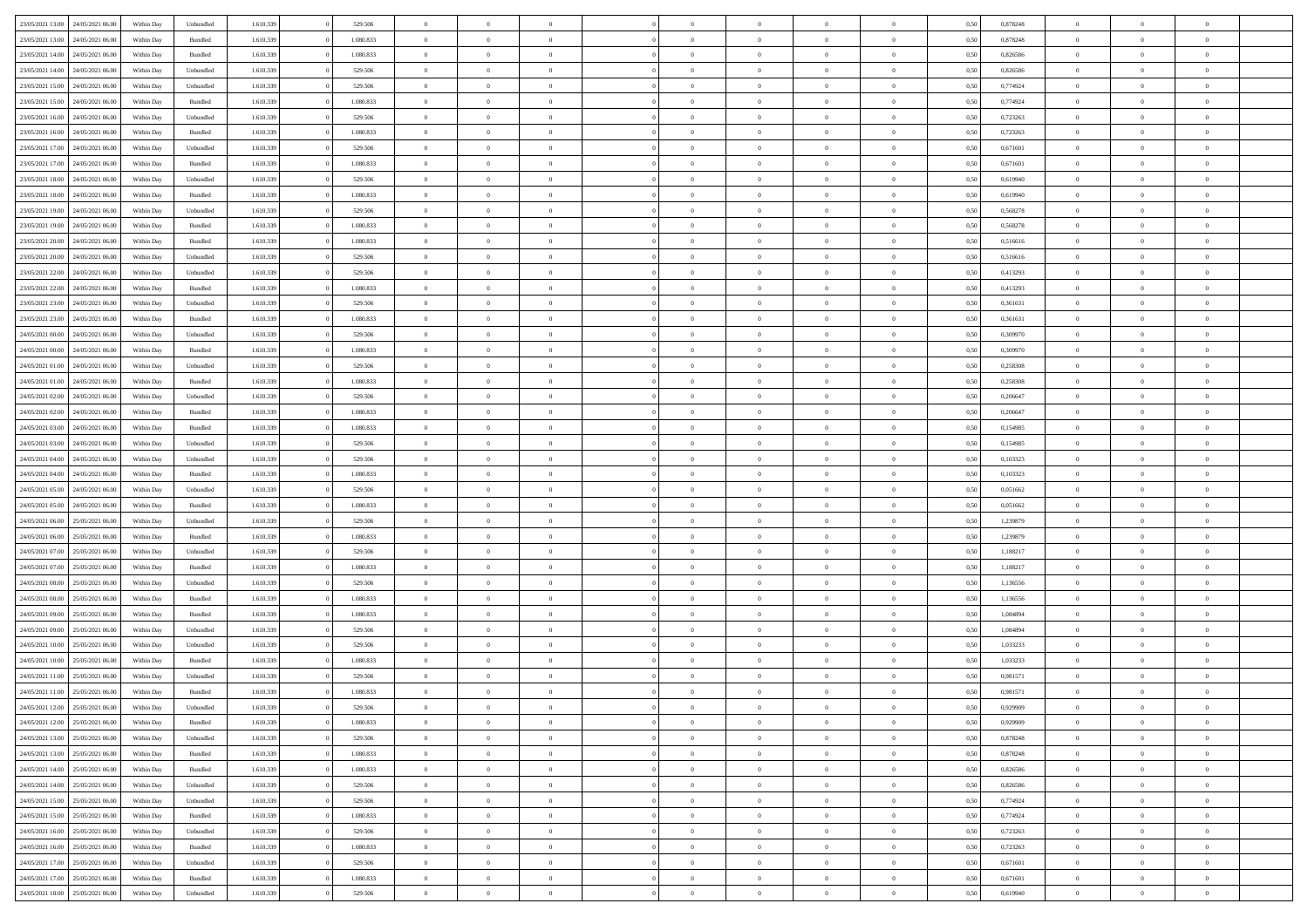| 23/05/2021 13:00<br>24/05/2021 06:00 | Within Day | Unbundled          | 1.610.339 | 529.506   | $\overline{0}$ | $\overline{0}$ | $\Omega$       | $\Omega$       | $\Omega$       |                | $\overline{0}$ | 0,50 | 0,878248 | $\mathbf{0}$   | $\Omega$       | $\Omega$       |  |
|--------------------------------------|------------|--------------------|-----------|-----------|----------------|----------------|----------------|----------------|----------------|----------------|----------------|------|----------|----------------|----------------|----------------|--|
| 23/05/2021 13:00<br>24/05/2021 06:00 | Within Day | $\mathbf B$ undled | 1.610.339 | 1.080.833 | $\bf{0}$       | $\overline{0}$ | $\overline{0}$ | $\theta$       | $\overline{0}$ | $\overline{0}$ | $\,$ 0         | 0,50 | 0,878248 | $\mathbf{0}$   | $\theta$       | $\bf{0}$       |  |
| 23/05/2021 14:00<br>24/05/2021 06:00 | Within Day | Bundled            | 1.610.339 | 1.080.833 | $\overline{0}$ | $\overline{0}$ | $\overline{0}$ | $\bf{0}$       | $\bf{0}$       | $\overline{0}$ | $\mathbf{0}$   | 0,50 | 0,826586 | $\bf{0}$       | $\bf{0}$       | $\bf{0}$       |  |
|                                      |            |                    |           |           |                |                |                |                |                |                |                |      |          | $\mathbf{0}$   |                |                |  |
| 23/05/2021 14:00<br>24/05/2021 06:00 | Within Day | Unbundled          | 1.610.339 | 529,506   | $\overline{0}$ | $\overline{0}$ | $\overline{0}$ | $\overline{0}$ | $\overline{0}$ | $\overline{0}$ | $\overline{0}$ | 0.50 | 0.826586 |                | $\overline{0}$ | $\bf{0}$       |  |
| 23/05/2021 15:00<br>24/05/2021 06:00 | Within Day | Unbundled          | 1.610.339 | 529.506   | $\bf{0}$       | $\overline{0}$ | $\overline{0}$ | $\theta$       | $\overline{0}$ | $\overline{0}$ | $\bf{0}$       | 0,50 | 0,774924 | $\theta$       | $\theta$       | $\overline{0}$ |  |
| 23/05/2021 15:00<br>24/05/2021 06.00 | Within Day | Bundled            | 1.610.339 | 1.080.833 | $\overline{0}$ | $\overline{0}$ | $\overline{0}$ | $\bf{0}$       | $\overline{0}$ | $\overline{0}$ | $\overline{0}$ | 0,50 | 0,774924 | $\overline{0}$ | $\overline{0}$ | $\overline{0}$ |  |
| 23/05/2021 16:00<br>24/05/2021 06:00 | Within Day | Unbundled          | 1.610.339 | 529.506   | $\overline{0}$ | $\overline{0}$ | $\overline{0}$ | $\overline{0}$ | $\overline{0}$ | $\overline{0}$ | $\mathbf{0}$   | 0.50 | 0,723263 | $\mathbf{0}$   | $\overline{0}$ | $\overline{0}$ |  |
|                                      |            |                    |           |           |                |                |                |                |                |                |                |      |          |                |                |                |  |
| 23/05/2021 16:00<br>24/05/2021 06:00 | Within Day | Bundled            | 1.610.339 | 1.080.833 | $\bf{0}$       | $\overline{0}$ | $\overline{0}$ | $\theta$       | $\overline{0}$ | $\overline{0}$ | $\bf{0}$       | 0,50 | 0,723263 | $\theta$       | $\theta$       | $\bf{0}$       |  |
| 23/05/2021 17:00<br>24/05/2021 06.00 | Within Day | Unbundled          | 1.610.339 | 529.506   | $\overline{0}$ | $\overline{0}$ | $\overline{0}$ | $\bf{0}$       | $\bf{0}$       | $\overline{0}$ | $\mathbf{0}$   | 0,50 | 0,671601 | $\bf{0}$       | $\bf{0}$       | $\bf{0}$       |  |
| 23/05/2021 17:00<br>24/05/2021 06:00 | Within Day | Bundled            | 1.610.339 | 1.080.833 | $\overline{0}$ | $\overline{0}$ | $\overline{0}$ | $\overline{0}$ | $\overline{0}$ | $\overline{0}$ | $\overline{0}$ | 0.50 | 0,671601 | $\overline{0}$ | $\overline{0}$ | $\overline{0}$ |  |
| 23/05/2021 18:00<br>24/05/2021 06:00 |            | Unbundled          | 1.610.339 | 529.506   |                | $\overline{0}$ | $\overline{0}$ | $\overline{0}$ | $\overline{0}$ | $\overline{0}$ | $\,$ 0         |      | 0,619940 | $\theta$       | $\theta$       | $\bf{0}$       |  |
|                                      | Within Day |                    |           |           | $\bf{0}$       |                |                |                |                |                |                | 0,50 |          |                |                |                |  |
| 23/05/2021 18:00<br>24/05/2021 06.00 | Within Day | Bundled            | 1.610.339 | 1.080.833 | $\overline{0}$ | $\overline{0}$ | $\overline{0}$ | $\bf{0}$       | $\bf{0}$       | $\overline{0}$ | $\mathbf{0}$   | 0,50 | 0,619940 | $\bf{0}$       | $\bf{0}$       | $\bf{0}$       |  |
| 23/05/2021 19:00<br>24/05/2021 06:00 | Within Day | Unbundled          | 1.610.339 | 529,506   | $\overline{0}$ | $\overline{0}$ | $\overline{0}$ | $\overline{0}$ | $\overline{0}$ | $\overline{0}$ | $\overline{0}$ | 0.50 | 0,568278 | $\mathbf{0}$   | $\overline{0}$ | $\bf{0}$       |  |
| 23/05/2021 19:00<br>24/05/2021 06:00 | Within Day | Bundled            | 1.610.339 | 1.080.833 | $\bf{0}$       | $\overline{0}$ | $\overline{0}$ | $\theta$       | $\overline{0}$ | $\overline{0}$ | $\,$ 0         | 0,50 | 0,568278 | $\theta$       | $\theta$       | $\overline{0}$ |  |
|                                      |            |                    |           |           |                |                |                |                |                |                |                |      |          |                |                |                |  |
| 23/05/2021 20:00<br>24/05/2021 06.00 | Within Day | Bundled            | 1.610.339 | 1.080.833 | $\overline{0}$ | $\overline{0}$ | $\overline{0}$ | $\bf{0}$       | $\overline{0}$ | $\overline{0}$ | $\overline{0}$ | 0,50 | 0,516616 | $\overline{0}$ | $\bf{0}$       | $\overline{0}$ |  |
| 23/05/2021 20:00<br>24/05/2021 06:00 | Within Day | Unbundled          | 1.610.339 | 529,506   | $\overline{0}$ | $\overline{0}$ | $\overline{0}$ | $\overline{0}$ | $\overline{0}$ | $\overline{0}$ | $\mathbf{0}$   | 0.50 | 0.516616 | $\overline{0}$ | $\overline{0}$ | $\overline{0}$ |  |
| 23/05/2021 22:00<br>24/05/2021 06:00 | Within Day | Unbundled          | 1.610.339 | 529.506   | $\bf{0}$       | $\overline{0}$ | $\overline{0}$ | $\overline{0}$ | $\overline{0}$ | $\overline{0}$ | $\bf{0}$       | 0,50 | 0,413293 | $\theta$       | $\theta$       | $\bf{0}$       |  |
| 23/05/2021 22:00<br>24/05/2021 06.00 | Within Day | Bundled            | 1.610.339 | 1.080.833 | $\overline{0}$ | $\overline{0}$ | $\bf{0}$       | $\bf{0}$       | $\bf{0}$       | $\overline{0}$ | $\mathbf{0}$   | 0,50 | 0,413293 | $\bf{0}$       | $\bf{0}$       | $\bf{0}$       |  |
|                                      |            |                    |           |           |                |                |                |                |                |                |                |      |          |                |                |                |  |
| 23/05/2021 23:00<br>24/05/2021 06:00 | Within Day | Unbundled          | 1.610.339 | 529.506   | $\overline{0}$ | $\overline{0}$ | $\overline{0}$ | $\overline{0}$ | $\overline{0}$ | $\overline{0}$ | $\overline{0}$ | 0.50 | 0,361631 | $\overline{0}$ | $\overline{0}$ | $\overline{0}$ |  |
| 23/05/2021 23:00<br>24/05/2021 06:00 | Within Day | Bundled            | 1.610.339 | 1.080.833 | $\bf{0}$       | $\overline{0}$ | $\overline{0}$ | $\overline{0}$ | $\overline{0}$ | $\overline{0}$ | $\,$ 0         | 0,50 | 0,361631 | $\theta$       | $\theta$       | $\bf{0}$       |  |
| 24/05/2021 00:00<br>24/05/2021 06.00 | Within Day | Unbundled          | 1.610.339 | 529.506   | $\overline{0}$ | $\overline{0}$ | $\overline{0}$ | $\bf{0}$       | $\bf{0}$       | $\overline{0}$ | $\mathbf{0}$   | 0,50 | 0,309970 | $\bf{0}$       | $\bf{0}$       | $\bf{0}$       |  |
| 24/05/2021 00:00<br>24/05/2021 06:00 | Within Day | Bundled            | 1.610.339 | 1.080.833 | $\overline{0}$ | $\overline{0}$ | $\overline{0}$ | $\overline{0}$ | $\overline{0}$ | $\overline{0}$ | $\overline{0}$ | 0.50 | 0.309970 | $\overline{0}$ | $\overline{0}$ | $\bf{0}$       |  |
|                                      |            |                    |           |           |                |                |                |                |                |                |                |      |          |                |                |                |  |
| 24/05/2021 01:00<br>24/05/2021 06:00 | Within Day | Unbundled          | 1.610.339 | 529.506   | $\bf{0}$       | $\overline{0}$ | $\overline{0}$ | $\overline{0}$ | $\overline{0}$ | $\overline{0}$ | $\,$ 0         | 0,50 | 0,258308 | $\mathbf{0}$   | $\theta$       | $\bf{0}$       |  |
| 24/05/2021 01:00<br>24/05/2021 06.00 | Within Day | Bundled            | 1.610.339 | 1.080.833 | $\overline{0}$ | $\overline{0}$ | $\overline{0}$ | $\bf{0}$       | $\overline{0}$ | $\overline{0}$ | $\overline{0}$ | 0,50 | 0,258308 | $\overline{0}$ | $\overline{0}$ | $\overline{0}$ |  |
| 24/05/2021 02:00<br>24/05/2021 06:00 | Within Day | Unbundled          | 1.610.339 | 529.506   | $\overline{0}$ | $\overline{0}$ | $\overline{0}$ | $\overline{0}$ | $\overline{0}$ | $\overline{0}$ | $\overline{0}$ | 0.50 | 0.206647 | $\overline{0}$ | $\overline{0}$ | $\overline{0}$ |  |
| 24/05/2021 02:00<br>24/05/2021 06:00 | Within Day | Bundled            | 1.610.339 | 1.080.833 | $\bf{0}$       | $\overline{0}$ | $\bf{0}$       | $\overline{0}$ | $\overline{0}$ | $\overline{0}$ | $\bf{0}$       | 0,50 | 0,206647 | $\theta$       | $\theta$       | $\bf{0}$       |  |
|                                      |            |                    |           |           |                |                |                |                |                |                |                |      |          |                |                |                |  |
| 24/05/2021 03:00<br>24/05/2021 06.00 | Within Day | Bundled            | 1.610.339 | 1.080.833 | $\overline{0}$ | $\overline{0}$ | $\bf{0}$       | $\bf{0}$       | $\bf{0}$       | $\overline{0}$ | $\mathbf{0}$   | 0,50 | 0,154985 | $\bf{0}$       | $\bf{0}$       | $\bf{0}$       |  |
| 24/05/2021 03:00<br>24/05/2021 06:00 | Within Day | Unbundled          | 1.610.339 | 529,506   | $\overline{0}$ | $\overline{0}$ | $\overline{0}$ | $\overline{0}$ | $\overline{0}$ | $\overline{0}$ | $\overline{0}$ | 0.50 | 0,154985 | $\overline{0}$ | $\overline{0}$ | $\bf{0}$       |  |
| 24/05/2021 04:00<br>24/05/2021 06:00 | Within Day | Unbundled          | 1.610.339 | 529.506   | $\bf{0}$       | $\overline{0}$ | $\overline{0}$ | $\overline{0}$ | $\overline{0}$ | $\overline{0}$ | $\,$ 0         | 0,50 | 0,103323 | $\theta$       | $\theta$       | $\bf{0}$       |  |
| 24/05/2021 04:00<br>24/05/2021 06.00 | Within Day | Bundled            | 1.610.339 | 1.080.833 | $\overline{0}$ | $\overline{0}$ | $\overline{0}$ | $\bf{0}$       | $\bf{0}$       | $\overline{0}$ | $\mathbf{0}$   | 0,50 | 0,103323 | $\bf{0}$       | $\bf{0}$       | $\bf{0}$       |  |
|                                      |            |                    |           |           |                |                |                |                |                |                |                |      |          |                |                |                |  |
| 24/05/2021 05:00<br>24/05/2021 06.00 | Within Day | Unbundled          | 1.610.339 | 529.506   | $\overline{0}$ | $\overline{0}$ | $\overline{0}$ | $\overline{0}$ | $\overline{0}$ | $\Omega$       | $\overline{0}$ | 0.50 | 0,051662 | $\bf{0}$       | $\Omega$       | $\Omega$       |  |
| 24/05/2021 05:00<br>24/05/2021 06:00 | Within Day | Bundled            | 1.610.339 | 1.080.833 | $\bf{0}$       | $\overline{0}$ | $\overline{0}$ | $\theta$       | $\overline{0}$ | $\overline{0}$ | $\,$ 0         | 0,50 | 0,051662 | $\theta$       | $\theta$       | $\bf{0}$       |  |
| 24/05/2021 06:00<br>25/05/2021 06:00 | Within Day | Unbundled          | 1.610.339 | 529.506   | $\overline{0}$ | $\overline{0}$ | $\overline{0}$ | $\bf{0}$       | $\overline{0}$ | $\overline{0}$ | $\overline{0}$ | 0,50 | 1,239879 | $\overline{0}$ | $\bf{0}$       | $\overline{0}$ |  |
| 24/05/2021 06:00<br>25/05/2021 06.00 | Within Day | Bundled            | 1.610.339 | 1.080.833 | $\overline{0}$ | $\overline{0}$ | $\overline{0}$ | $\overline{0}$ | $\overline{0}$ | $\Omega$       | $\overline{0}$ | 0.50 | 1,239879 | $\overline{0}$ | $\Omega$       | $\Omega$       |  |
|                                      |            |                    |           |           |                |                |                |                |                |                |                |      |          |                |                |                |  |
| 24/05/2021 07:00<br>25/05/2021 06:00 | Within Day | Unbundled          | 1.610.339 | 529.506   | $\bf{0}$       | $\overline{0}$ | $\bf{0}$       | $\overline{0}$ | $\overline{0}$ | $\overline{0}$ | $\bf{0}$       | 0,50 | 1,188217 | $\theta$       | $\theta$       | $\bf{0}$       |  |
| 24/05/2021 07:00<br>25/05/2021 06.00 | Within Day | Bundled            | 1.610.339 | 1.080.833 | $\overline{0}$ | $\overline{0}$ | $\bf{0}$       | $\bf{0}$       | $\bf{0}$       | $\overline{0}$ | $\mathbf{0}$   | 0,50 | 1,188217 | $\bf{0}$       | $\bf{0}$       | $\bf{0}$       |  |
| 24/05/2021 08:00<br>25/05/2021 06.00 | Within Day | Unbundled          | 1.610.339 | 529.506   | $\overline{0}$ | $\overline{0}$ | $\Omega$       | $\overline{0}$ | $\overline{0}$ | $\Omega$       | $\theta$       | 0.50 | 1,136556 | $\overline{0}$ | $\Omega$       | $\Omega$       |  |
| 24/05/2021 08:00<br>25/05/2021 06:00 | Within Day | Bundled            | 1.610.339 | 1.080.833 | $\bf{0}$       | $\overline{0}$ | $\bf{0}$       | $\overline{0}$ | $\overline{0}$ | $\overline{0}$ | $\,$ 0         | 0,50 | 1,136556 | $\theta$       | $\theta$       | $\bf{0}$       |  |
|                                      |            |                    |           |           |                |                |                |                |                |                |                |      |          |                |                |                |  |
| 24/05/2021 09:00<br>25/05/2021 06:00 | Within Day | Bundled            | 1.610.339 | 1.080.833 | $\overline{0}$ | $\overline{0}$ | $\overline{0}$ | $\bf{0}$       | $\bf{0}$       | $\overline{0}$ | $\mathbf{0}$   | 0,50 | 1,084894 | $\overline{0}$ | $\bf{0}$       | $\bf{0}$       |  |
| 24/05/2021 09:00<br>25/05/2021 06.00 | Within Day | Unbundled          | 1.610.339 | 529.506   | $\overline{0}$ | $\overline{0}$ | $\overline{0}$ | $\overline{0}$ | $\bf{0}$       | $\Omega$       | $\overline{0}$ | 0.50 | 1,084894 | $\bf{0}$       | $\Omega$       | $\Omega$       |  |
| 24/05/2021 10:00<br>25/05/2021 06:00 | Within Day | Unbundled          | 1.610.339 | 529.506   | $\bf{0}$       | $\overline{0}$ | $\bf{0}$       | $\overline{0}$ | $\overline{0}$ | $\overline{0}$ | $\,$ 0         | 0,50 | 1,033233 | $\,$ 0 $\,$    | $\theta$       | $\bf{0}$       |  |
| 24/05/2021 10:00<br>25/05/2021 06.00 | Within Day | Bundled            | 1.610.339 | 1.080.833 | $\overline{0}$ | $\overline{0}$ | $\overline{0}$ | $\bf{0}$       | $\overline{0}$ | $\overline{0}$ | $\overline{0}$ | 0,50 | 1,033233 | $\overline{0}$ | $\bf{0}$       | $\bf{0}$       |  |
|                                      |            |                    |           |           |                |                |                |                |                |                |                |      |          |                |                |                |  |
| 24/05/2021 11:00<br>25/05/2021 06.00 | Within Day | Unbundled          | 1.610.339 | 529.506   | $\overline{0}$ | $\Omega$       | $\Omega$       | $\Omega$       | $\overline{0}$ | $\Omega$       | $\overline{0}$ | 0.50 | 0.981571 | $\overline{0}$ | $\Omega$       | $\Omega$       |  |
| 24/05/2021 11:00<br>25/05/2021 06:00 | Within Day | Bundled            | 1.610.339 | 1.080.833 | $\bf{0}$       | $\overline{0}$ | $\bf{0}$       | $\bf{0}$       | $\bf{0}$       | $\overline{0}$ | $\,$ 0         | 0,50 | 0,981571 | $\bf{0}$       | $\,$ 0         | $\,$ 0         |  |
| 24/05/2021 12:00 25/05/2021 06:00    | Within Day | Unbundled          | 1.610.339 | 529.506   |                | $\bf{0}$       |                | $\bf{0}$       |                |                |                | 0,50 | 0,929909 | $\bf{0}$       | $\bf{0}$       |                |  |
| 24/05/2021 12:00 25/05/2021 06:00    | Within Day | Bundled            | 1.610.339 | 1.080.833 | $\overline{0}$ | $\overline{0}$ | $\theta$       | $\overline{0}$ | $\overline{0}$ | $\overline{0}$ | $\mathbf{0}$   | 0.50 | 0.929909 | $\overline{0}$ | $\theta$       | $\theta$       |  |
|                                      |            |                    |           |           |                |                |                |                |                |                |                |      |          |                |                |                |  |
| 24/05/2021 13:00<br>25/05/2021 06:00 | Within Day | Unbundled          | 1.610.339 | 529.506   | $\overline{0}$ | $\overline{0}$ | $\overline{0}$ | $\bf{0}$       | $\overline{0}$ | $\overline{0}$ | $\mathbf{0}$   | 0,50 | 0,878248 | $\,$ 0 $\,$    | $\overline{0}$ | $\,$ 0 $\,$    |  |
| 24/05/2021 13:00 25/05/2021 06:00    | Within Day | Bundled            | 1.610.339 | 1.080.833 | $\overline{0}$ | $\overline{0}$ | $\overline{0}$ | $\bf{0}$       | $\overline{0}$ | $\overline{0}$ | $\overline{0}$ | 0,50 | 0,878248 | $\overline{0}$ | $\overline{0}$ | $\overline{0}$ |  |
| 24/05/2021 14:00<br>25/05/2021 06:00 | Within Day | Bundled            | 1.610.339 | 1.080.833 | $\overline{0}$ | $\overline{0}$ | $\overline{0}$ | $\overline{0}$ | $\bf{0}$       | $\overline{0}$ | $\overline{0}$ | 0,50 | 0,826586 | $\overline{0}$ | $\overline{0}$ | $\overline{0}$ |  |
| 24/05/2021 14:00<br>25/05/2021 06:00 | Within Day | Unbundled          | 1.610.339 | 529.506   | $\overline{0}$ | $\overline{0}$ | $\overline{0}$ | $\overline{0}$ | $\overline{0}$ | $\overline{0}$ | $\,$ 0 $\,$    | 0,50 | 0,826586 | $\,$ 0 $\,$    | $\theta$       | $\bf{0}$       |  |
|                                      |            |                    |           |           |                |                |                |                |                |                |                |      |          |                |                |                |  |
| 24/05/2021 15:00 25/05/2021 06:00    | Within Day | Unbundled          | 1.610.339 | 529.506   | $\overline{0}$ | $\overline{0}$ | $\overline{0}$ | $\bf{0}$       | $\overline{0}$ | $\overline{0}$ | $\overline{0}$ | 0,50 | 0,774924 | $\overline{0}$ | $\overline{0}$ | $\overline{0}$ |  |
| 24/05/2021 15:00<br>25/05/2021 06:00 | Within Day | Bundled            | 1.610.339 | 1.080.833 | $\overline{0}$ | $\overline{0}$ | $\overline{0}$ | $\overline{0}$ | $\overline{0}$ | $\overline{0}$ | $\overline{0}$ | 0.50 | 0,774924 | $\overline{0}$ | $\overline{0}$ | $\overline{0}$ |  |
| 24/05/2021 16:00<br>25/05/2021 06:00 | Within Day | Unbundled          | 1.610.339 | 529.506   | $\bf{0}$       | $\overline{0}$ | $\overline{0}$ | $\bf{0}$       | $\bf{0}$       | $\overline{0}$ | $\,$ 0 $\,$    | 0,50 | 0,723263 | $\,$ 0 $\,$    | $\theta$       | $\,$ 0         |  |
| 25/05/2021 06:00<br>24/05/2021 16:00 | Within Day | Bundled            | 1.610.339 | 1.080.833 | $\overline{0}$ | $\overline{0}$ | $\overline{0}$ | $\bf{0}$       | $\overline{0}$ | $\overline{0}$ | $\overline{0}$ | 0,50 | 0,723263 | $\bf{0}$       | $\bf{0}$       | $\overline{0}$ |  |
|                                      |            |                    |           |           |                |                |                |                |                |                |                |      |          |                |                |                |  |
| 25/05/2021 06:00<br>24/05/2021 17:00 | Within Day | Unbundled          | 1.610.339 | 529.506   | $\overline{0}$ | $\overline{0}$ | $\overline{0}$ | $\overline{0}$ | $\overline{0}$ | $\overline{0}$ | $\overline{0}$ | 0.50 | 0,671601 | $\overline{0}$ | $\overline{0}$ | $\overline{0}$ |  |
| 24/05/2021 17:00<br>25/05/2021 06:00 | Within Day | Bundled            | 1.610.339 | 1.080.833 | $\overline{0}$ | $\overline{0}$ | $\overline{0}$ | $\bf{0}$       | $\bf{0}$       | $\bf{0}$       | $\,$ 0 $\,$    | 0,50 | 0,671601 | $\,$ 0 $\,$    | $\,0\,$        | $\,$ 0         |  |
| 24/05/2021 18:00 25/05/2021 06:00    | Within Day | Unbundled          | 1.610.339 | 529.506   | $\overline{0}$ | $\overline{0}$ | $\overline{0}$ | $\bf{0}$       | $\bf{0}$       | $\overline{0}$ | $\bf{0}$       | 0,50 | 0,619940 | $\bf{0}$       | $\bf{0}$       | $\overline{0}$ |  |
|                                      |            |                    |           |           |                |                |                |                |                |                |                |      |          |                |                |                |  |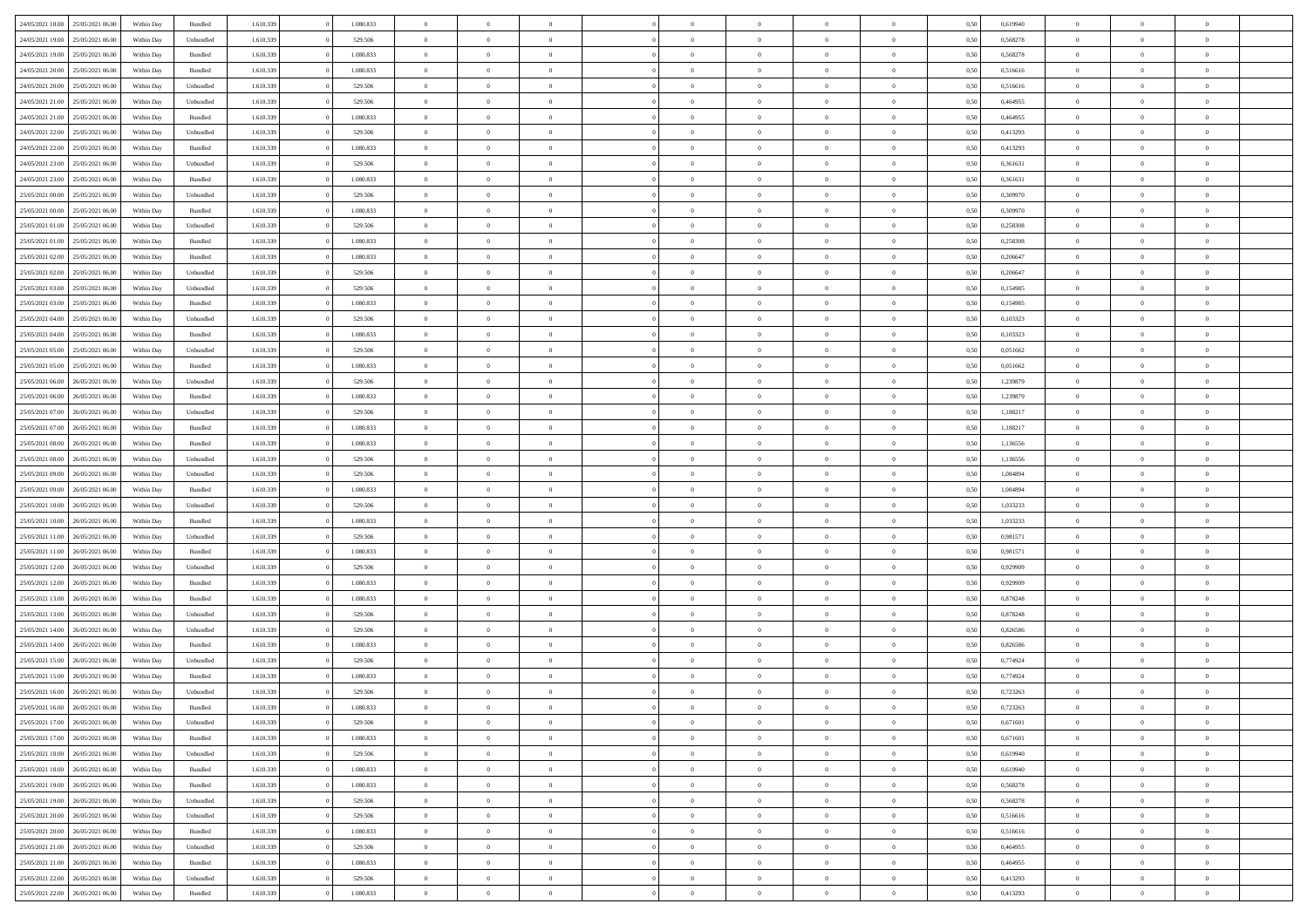| 24/05/2021 18:00 25/05/2021 06:00    | Within Day | Bundled   | 1.610.339 | 1.080.833 | $\overline{0}$ | $\overline{0}$ | $\Omega$       | $\Omega$       | $\theta$       | $\Omega$       | $\overline{0}$ | 0,50 | 0,619940 | $\theta$       | $\theta$       | $\theta$       |  |
|--------------------------------------|------------|-----------|-----------|-----------|----------------|----------------|----------------|----------------|----------------|----------------|----------------|------|----------|----------------|----------------|----------------|--|
| 24/05/2021 19:00<br>25/05/2021 06:00 | Within Day | Unbundled | 1.610.339 | 529.506   | $\overline{0}$ | $\overline{0}$ | $\overline{0}$ | $\overline{0}$ | $\theta$       | $\overline{0}$ | $\bf{0}$       | 0,50 | 0,568278 | $\theta$       | $\theta$       | $\overline{0}$ |  |
| 24/05/2021 19:00<br>25/05/2021 06:00 | Within Day | Bundled   | 1.610.339 | 1.080.833 | $\overline{0}$ | $\bf{0}$       | $\overline{0}$ | $\overline{0}$ | $\overline{0}$ | $\overline{0}$ | $\bf{0}$       | 0,50 | 0,568278 | $\bf{0}$       | $\overline{0}$ | $\overline{0}$ |  |
| 24/05/2021 20:00<br>25/05/2021 06:00 | Within Day | Bundled   | 1.610.339 | 1.080.833 | $\overline{0}$ | $\overline{0}$ | $\overline{0}$ | $\overline{0}$ | $\theta$       | $\overline{0}$ | $\overline{0}$ | 0.50 | 0.516616 | $\theta$       | $\theta$       | $\overline{0}$ |  |
| 24/05/2021 20:00<br>25/05/2021 06:00 | Within Day | Unbundled | 1.610.339 | 529.506   | $\overline{0}$ | $\overline{0}$ | $\overline{0}$ | $\overline{0}$ | $\theta$       | $\overline{0}$ | $\bf{0}$       | 0,50 | 0,516616 | $\theta$       | $\theta$       | $\overline{0}$ |  |
| 24/05/2021 21:00<br>25/05/2021 06:00 | Within Day | Unbundled | 1.610.339 | 529.506   | $\overline{0}$ | $\bf{0}$       | $\overline{0}$ | $\overline{0}$ | $\overline{0}$ | $\overline{0}$ | $\bf{0}$       | 0,50 | 0,464955 | $\overline{0}$ | $\overline{0}$ | $\bf{0}$       |  |
| 24/05/2021 21:00<br>25/05/2021 06:00 | Within Day | Bundled   | 1.610.339 | 1.080.833 | $\overline{0}$ | $\overline{0}$ | $\overline{0}$ | $\overline{0}$ | $\overline{0}$ | $\overline{0}$ | $\overline{0}$ | 0.5( | 0,464955 | $\theta$       | $\theta$       | $\overline{0}$ |  |
|                                      |            |           |           |           |                |                |                |                |                |                |                |      |          |                |                |                |  |
| 24/05/2021 22:00<br>25/05/2021 06:00 | Within Day | Unbundled | 1.610.339 | 529.506   | $\overline{0}$ | $\theta$       | $\overline{0}$ | $\overline{0}$ | $\theta$       | $\overline{0}$ | $\bf{0}$       | 0,50 | 0,413293 | $\theta$       | $\theta$       | $\overline{0}$ |  |
| 24/05/2021 22:00<br>25/05/2021 06.00 | Within Day | Bundled   | 1.610.339 | 1.080.833 | $\overline{0}$ | $\bf{0}$       | $\overline{0}$ | $\overline{0}$ | $\overline{0}$ | $\overline{0}$ | $\bf{0}$       | 0,50 | 0,413293 | $\bf{0}$       | $\bf{0}$       | $\overline{0}$ |  |
| 24/05/2021 23:00<br>25/05/2021 06:00 | Within Day | Unbundled | 1.610.339 | 529.506   | $\overline{0}$ | $\overline{0}$ | $\overline{0}$ | $\overline{0}$ | $\overline{0}$ | $\overline{0}$ | $\overline{0}$ | 0.50 | 0,361631 | $\theta$       | $\theta$       | $\overline{0}$ |  |
| 24/05/2021 23:00<br>25/05/2021 06:00 | Within Day | Bundled   | 1.610.339 | 1.080.833 | $\bf{0}$       | $\overline{0}$ | $\overline{0}$ | $\overline{0}$ | $\theta$       | $\overline{0}$ | $\bf{0}$       | 0,50 | 0,361631 | $\theta$       | $\theta$       | $\overline{0}$ |  |
| 25/05/2021 00:00<br>25/05/2021 06:00 | Within Day | Unbundled | 1.610.339 | 529.506   | $\overline{0}$ | $\bf{0}$       | $\overline{0}$ | $\overline{0}$ | $\bf{0}$       | $\overline{0}$ | $\bf{0}$       | 0,50 | 0,309970 | $\bf{0}$       | $\overline{0}$ | $\overline{0}$ |  |
| 25/05/2021 00:00<br>25/05/2021 06:00 | Within Day | Bundled   | 1.610.339 | 1.080.833 | $\overline{0}$ | $\overline{0}$ | $\overline{0}$ | $\overline{0}$ | $\overline{0}$ | $\overline{0}$ | $\overline{0}$ | 0.5( | 0,309970 | $\theta$       | $\theta$       | $\overline{0}$ |  |
| 25/05/2021 01:00<br>25/05/2021 06:00 | Within Day | Unbundled | 1.610.339 | 529.506   | $\overline{0}$ | $\overline{0}$ | $\overline{0}$ | $\overline{0}$ | $\theta$       | $\overline{0}$ | $\,$ 0 $\,$    | 0,50 | 0,258308 | $\theta$       | $\theta$       | $\overline{0}$ |  |
| 25/05/2021 01:00<br>25/05/2021 06:00 | Within Day | Bundled   | 1.610.339 | 1.080.833 | $\overline{0}$ | $\bf{0}$       | $\overline{0}$ | $\overline{0}$ | $\overline{0}$ | $\overline{0}$ | $\bf{0}$       | 0,50 | 0,258308 | $\bf{0}$       | $\overline{0}$ | $\bf{0}$       |  |
| 25/05/2021 02:00<br>25/05/2021 06:00 | Within Day | Bundled   | 1.610.339 | 1.080.833 | $\overline{0}$ | $\overline{0}$ | $\overline{0}$ | $\overline{0}$ | $\overline{0}$ | $\overline{0}$ | $\overline{0}$ | 0.5( | 0.206647 | $\theta$       | $\theta$       | $\overline{0}$ |  |
| 25/05/2021 02:00<br>25/05/2021 06:00 | Within Day | Unbundled | 1.610.339 | 529.506   | $\overline{0}$ | $\overline{0}$ | $\overline{0}$ | $\overline{0}$ | $\theta$       | $\overline{0}$ | $\bf{0}$       | 0,50 | 0,206647 | $\theta$       | $\theta$       | $\overline{0}$ |  |
| 25/05/2021 03:00<br>25/05/2021 06:00 | Within Day | Unbundled | 1.610.339 | 529.506   | $\overline{0}$ | $\bf{0}$       | $\overline{0}$ | $\overline{0}$ | $\overline{0}$ | $\overline{0}$ | $\bf{0}$       | 0,50 | 0,154985 | $\bf{0}$       | $\overline{0}$ | $\overline{0}$ |  |
| 25/05/2021 03:00<br>25/05/2021 06:00 | Within Day | Bundled   | 1.610.339 | 1.080.833 | $\overline{0}$ | $\overline{0}$ | $\overline{0}$ | $\overline{0}$ | $\overline{0}$ | $\overline{0}$ | $\overline{0}$ | 0.50 | 0,154985 | $\theta$       | $\theta$       | $\overline{0}$ |  |
| 25/05/2021 04:00<br>25/05/2021 06:00 | Within Day | Unbundled | 1.610.339 | 529.506   | $\bf{0}$       | $\overline{0}$ | $\overline{0}$ | $\overline{0}$ | $\theta$       | $\overline{0}$ | $\bf{0}$       | 0,50 | 0,103323 | $\theta$       | $\theta$       | $\overline{0}$ |  |
| 25/05/2021 04:00<br>25/05/2021 06:00 | Within Day | Bundled   | 1.610.339 | 1.080.833 | $\overline{0}$ | $\bf{0}$       | $\overline{0}$ | $\overline{0}$ | $\overline{0}$ | $\overline{0}$ | $\bf{0}$       | 0,50 | 0,103323 | $\bf{0}$       | $\overline{0}$ | $\overline{0}$ |  |
| 25/05/2021 05:00<br>25/05/2021 06:00 | Within Day | Unbundled | 1.610.339 | 529,506   | $\overline{0}$ | $\overline{0}$ | $\overline{0}$ | $\overline{0}$ | $\overline{0}$ | $\overline{0}$ | $\overline{0}$ | 0.50 | 0.051662 | $\theta$       | $\theta$       | $\overline{0}$ |  |
| 25/05/2021 05:00<br>25/05/2021 06:00 | Within Day | Bundled   | 1.610.339 | 1.080.833 | $\overline{0}$ | $\overline{0}$ | $\overline{0}$ | $\overline{0}$ | $\theta$       | $\overline{0}$ | $\bf{0}$       | 0,50 | 0,051662 | $\theta$       | $\theta$       | $\overline{0}$ |  |
| 25/05/2021 06:00<br>26/05/2021 06.00 | Within Day | Unbundled | 1.610.339 | 529.506   | $\overline{0}$ | $\bf{0}$       | $\overline{0}$ | $\overline{0}$ | $\overline{0}$ | $\overline{0}$ | $\bf{0}$       | 0,50 | 1,239879 | $\overline{0}$ | $\overline{0}$ | $\bf{0}$       |  |
| 25/05/2021 06:00<br>26/05/2021 06:00 | Within Day | Bundled   | 1.610.339 | 1.080.833 | $\overline{0}$ | $\overline{0}$ | $\overline{0}$ | $\overline{0}$ | $\overline{0}$ | $\overline{0}$ | $\overline{0}$ | 0.5( | 1,239879 | $\overline{0}$ | $\theta$       | $\overline{0}$ |  |
| 25/05/2021 07:00<br>26/05/2021 06:00 |            |           | 1.610.339 | 529.506   | $\overline{0}$ | $\overline{0}$ | $\overline{0}$ | $\overline{0}$ | $\theta$       | $\overline{0}$ |                |      | 1,188217 | $\theta$       | $\theta$       | $\overline{0}$ |  |
|                                      | Within Day | Unbundled |           |           |                |                |                |                |                |                | $\bf{0}$       | 0,50 |          |                |                |                |  |
| 25/05/2021 07:00<br>26/05/2021 06.00 | Within Day | Bundled   | 1.610.339 | 1.080.833 | $\overline{0}$ | $\bf{0}$       | $\overline{0}$ | $\overline{0}$ | $\overline{0}$ | $\overline{0}$ | $\bf{0}$       | 0,50 | 1,188217 | $\bf{0}$       | $\bf{0}$       | $\overline{0}$ |  |
| 25/05/2021 08:00<br>26/05/2021 06:00 | Within Day | Bundled   | 1.610.339 | 1.080.833 | $\overline{0}$ | $\overline{0}$ | $\overline{0}$ | $\overline{0}$ | $\overline{0}$ | $\overline{0}$ | $\overline{0}$ | 0.5( | 1,136556 | $\theta$       | $\theta$       | $\overline{0}$ |  |
| 25/05/2021 08:00<br>26/05/2021 06:00 | Within Day | Unbundled | 1.610.339 | 529.506   | $\bf{0}$       | $\overline{0}$ | $\overline{0}$ | $\overline{0}$ | $\theta$       | $\overline{0}$ | $\bf{0}$       | 0,50 | 1,136556 | $\,$ 0 $\,$    | $\theta$       | $\overline{0}$ |  |
| 25/05/2021 09:00<br>26/05/2021 06:00 | Within Day | Unbundled | 1.610.339 | 529.506   | $\overline{0}$ | $\bf{0}$       | $\overline{0}$ | $\overline{0}$ | $\bf{0}$       | $\overline{0}$ | $\bf{0}$       | 0,50 | 1,084894 | $\bf{0}$       | $\overline{0}$ | $\overline{0}$ |  |
| 25/05/2021 09:00<br>26/05/2021 06.00 | Within Day | Bundled   | 1.610.339 | 1.080.833 | $\overline{0}$ | $\overline{0}$ | $\Omega$       | $\Omega$       | $\Omega$       | $\theta$       | $\overline{0}$ | 0.50 | 1.084894 | $\,$ 0 $\,$    | $\Omega$       | $\theta$       |  |
| 25/05/2021 10:00<br>26/05/2021 06:00 | Within Day | Unbundled | 1.610.339 | 529.506   | $\bf{0}$       | $\overline{0}$ | $\overline{0}$ | $\overline{0}$ | $\theta$       | $\overline{0}$ | $\bf{0}$       | 0,50 | 1,033233 | $\theta$       | $\theta$       | $\overline{0}$ |  |
| 25/05/2021 10:00<br>26/05/2021 06:00 | Within Day | Bundled   | 1.610.339 | 1.080.833 | $\overline{0}$ | $\bf{0}$       | $\overline{0}$ | $\overline{0}$ | $\overline{0}$ | $\overline{0}$ | $\bf{0}$       | 0,50 | 1,033233 | $\overline{0}$ | $\overline{0}$ | $\bf{0}$       |  |
| 25/05/2021 11:00<br>26/05/2021 06.00 | Within Day | Unbundled | 1.610.339 | 529.506   | $\overline{0}$ | $\overline{0}$ | $\Omega$       | $\Omega$       | $\overline{0}$ | $\Omega$       | $\overline{0}$ | 0.50 | 0.981571 | $\bf{0}$       | $\overline{0}$ | $\theta$       |  |
| 25/05/2021 11:00<br>26/05/2021 06:00 | Within Day | Bundled   | 1.610.339 | 1.080.833 | $\bf{0}$       | $\overline{0}$ | $\overline{0}$ | $\overline{0}$ | $\theta$       | $\overline{0}$ | $\bf{0}$       | 0,50 | 0,981571 | $\theta$       | $\theta$       | $\overline{0}$ |  |
| 25/05/2021 12:00<br>26/05/2021 06.00 | Within Day | Unbundled | 1.610.339 | 529.506   | $\overline{0}$ | $\bf{0}$       | $\overline{0}$ | $\overline{0}$ | $\overline{0}$ | $\bf{0}$       | $\bf{0}$       | 0,50 | 0,929909 | $\bf{0}$       | $\overline{0}$ | $\overline{0}$ |  |
| 25/05/2021 12:00<br>26/05/2021 06:00 | Within Day | Bundled   | 1.610.339 | 1.080.833 | $\overline{0}$ | $\theta$       | $\Omega$       | $\Omega$       | $\Omega$       | $\Omega$       | $\overline{0}$ | 0.50 | 0,929909 | $\overline{0}$ | $\Omega$       | $\theta$       |  |
| 25/05/2021 13:00<br>26/05/2021 06:00 | Within Day | Bundled   | 1.610.339 | 1.080.833 | $\bf{0}$       | $\overline{0}$ | $\overline{0}$ | $\overline{0}$ | $\theta$       | $\overline{0}$ | $\bf{0}$       | 0,50 | 0,878248 | $\,$ 0 $\,$    | $\theta$       | $\overline{0}$ |  |
| 25/05/2021 13:00<br>26/05/2021 06:00 | Within Day | Unbundled | 1.610.339 | 529.506   | $\overline{0}$ | $\bf{0}$       | $\overline{0}$ | $\overline{0}$ | $\overline{0}$ | $\overline{0}$ | $\bf{0}$       | 0,50 | 0,878248 | $\bf{0}$       | $\overline{0}$ | $\overline{0}$ |  |
| 25/05/2021 14:00<br>26/05/2021 06.00 | Within Day | Unbundled | 1.610.339 | 529.506   | $\overline{0}$ | $\overline{0}$ | $\Omega$       | $\Omega$       | $\theta$       | $\Omega$       | $\overline{0}$ | 0.50 | 0,826586 | $\bf{0}$       | $\overline{0}$ | $\theta$       |  |
| 25/05/2021 14:00<br>26/05/2021 06:00 | Within Day | Bundled   | 1.610.339 | 1.080.833 | $\bf{0}$       | $\overline{0}$ | $\overline{0}$ | $\overline{0}$ | $\theta$       | $\overline{0}$ | $\bf{0}$       | 0,50 | 0,826586 | $\theta$       | $\theta$       | $\overline{0}$ |  |
| 25/05/2021 15:00<br>26/05/2021 06.00 | Within Day | Unbundled | 1.610.339 | 529.506   | $\overline{0}$ | $\bf{0}$       | $\overline{0}$ | $\overline{0}$ | $\bf{0}$       | $\overline{0}$ | $\bf{0}$       | 0,50 | 0,774924 | $\overline{0}$ | $\overline{0}$ | $\bf{0}$       |  |
| 25/05/2021 15:00<br>26/05/2021 06.00 | Within Day | Bundled   | 1.610.339 | 1.080.833 | $\overline{0}$ | $\Omega$       | $\Omega$       | $\Omega$       | $\Omega$       | $\theta$       | $\overline{0}$ | 0.50 | 0,774924 | $\theta$       | $\Omega$       | $\theta$       |  |
| 25/05/2021 16:00<br>26/05/2021 06:00 | Within Day | Unbundled | 1.610.339 | 529.506   | $\bf{0}$       | $\bf{0}$       | $\overline{0}$ | $\overline{0}$ | $\overline{0}$ | $\overline{0}$ | $\bf{0}$       | 0,50 | 0,723263 | $\bf{0}$       | $\bf{0}$       | $\overline{0}$ |  |
| 25/05/2021 16:00 26/05/2021 06:00    | Within Day | Bundled   | 1.610.339 | 1.080.833 | $\bf{0}$       |                |                |                |                |                |                | 0,50 | 0,723263 | $\bf{0}$       | $\bf{0}$       |                |  |
| 25/05/2021 17:00 26/05/2021 06:00    | Within Day | Unbundled | 1.610.339 | 529.506   | $\Omega$       | $\overline{0}$ | $\Omega$       | $\theta$       | $\overline{0}$ | $\theta$       | $\overline{0}$ | 0.50 | 0.671601 | $\theta$       | $\theta$       | $\theta$       |  |
| 25/05/2021 17:00<br>26/05/2021 06:00 | Within Day | Bundled   | 1.610.339 | 1.080.833 | $\overline{0}$ | $\overline{0}$ | $\overline{0}$ | $\overline{0}$ | $\,$ 0 $\,$    | $\overline{0}$ | $\,$ 0 $\,$    | 0,50 | 0,671601 | $\,$ 0 $\,$    | $\,$ 0 $\,$    | $\,$ 0         |  |
| 25/05/2021 18:00<br>26/05/2021 06:00 | Within Day | Unbundled | 1.610.339 | 529.506   | $\overline{0}$ | $\overline{0}$ | $\overline{0}$ | $\overline{0}$ | $\overline{0}$ | $\overline{0}$ | $\bf{0}$       | 0,50 | 0,619940 | $\overline{0}$ | $\bf{0}$       | $\overline{0}$ |  |
| 25/05/2021 18:00<br>26/05/2021 06:00 | Within Day | Bundled   | 1.610.339 | 1.080.833 | $\overline{0}$ | $\bf{0}$       | $\overline{0}$ | $\overline{0}$ | $\overline{0}$ | $\overline{0}$ | $\bf{0}$       | 0,50 | 0,619940 | $\bf{0}$       | $\theta$       | $\overline{0}$ |  |
| 25/05/2021 19:00<br>26/05/2021 06:00 | Within Day | Bundled   | 1.610.339 | 1.080.833 | $\overline{0}$ | $\overline{0}$ | $\overline{0}$ | $\overline{0}$ | $\overline{0}$ | $\overline{0}$ | $\bf{0}$       | 0,50 | 0,568278 | $\,$ 0 $\,$    | $\,$ 0 $\,$    | $\overline{0}$ |  |
| 26/05/2021 06:00<br>25/05/2021 19:00 | Within Day | Unbundled | 1.610.339 | 529.506   | $\overline{0}$ | $\overline{0}$ | $\overline{0}$ | $\overline{0}$ | $\mathbf{0}$   | $\overline{0}$ | $\bf{0}$       | 0,50 | 0,568278 | $\overline{0}$ | $\overline{0}$ | $\overline{0}$ |  |
|                                      |            | Unbundled | 1.610.339 |           | $\overline{0}$ | $\bf{0}$       | $\overline{0}$ | $\overline{0}$ | $\overline{0}$ | $\overline{0}$ |                | 0.50 |          | $\overline{0}$ | $\theta$       | $\overline{0}$ |  |
| 25/05/2021 20:00<br>26/05/2021 06:00 | Within Day |           |           | 529.506   |                |                |                |                |                |                | $\bf{0}$       |      | 0,516616 |                |                |                |  |
| 25/05/2021 20:00<br>26/05/2021 06:00 | Within Day | Bundled   | 1.610.339 | 1.080.833 | $\overline{0}$ | $\overline{0}$ | $\overline{0}$ | $\overline{0}$ | $\overline{0}$ | $\overline{0}$ | $\bf{0}$       | 0,50 | 0,516616 | $\,$ 0 $\,$    | $\,$ 0 $\,$    | $\overline{0}$ |  |
| 25/05/2021 21:00<br>26/05/2021 06:00 | Within Day | Unbundled | 1.610.339 | 529.506   | $\overline{0}$ | $\bf{0}$       | $\overline{0}$ | $\overline{0}$ | $\overline{0}$ | $\overline{0}$ | $\bf{0}$       | 0,50 | 0,464955 | $\overline{0}$ | $\overline{0}$ | $\bf{0}$       |  |
| 25/05/2021 21:00<br>26/05/2021 06:00 | Within Day | Bundled   | 1.610.339 | 1.080.833 | $\overline{0}$ | $\overline{0}$ | $\overline{0}$ | $\overline{0}$ | $\overline{0}$ | $\overline{0}$ | $\bf{0}$       | 0.50 | 0.464955 | $\overline{0}$ | $\theta$       | $\overline{0}$ |  |
| 25/05/2021 22:00<br>26/05/2021 06:00 | Within Day | Unbundled | 1.610.339 | 529.506   | $\overline{0}$ | $\,$ 0         | $\overline{0}$ | $\overline{0}$ | $\bf{0}$       | $\overline{0}$ | $\bf{0}$       | 0,50 | 0,413293 | $\,$ 0 $\,$    | $\,$ 0 $\,$    | $\bf{0}$       |  |
| 25/05/2021 22:00 26/05/2021 06:00    | Within Day | Bundled   | 1.610.339 | 1.080.833 | $\overline{0}$ | $\bf{0}$       | $\overline{0}$ | $\overline{0}$ | $\overline{0}$ | $\overline{0}$ | $\bf{0}$       | 0,50 | 0,413293 | $\overline{0}$ | $\bf{0}$       | $\overline{0}$ |  |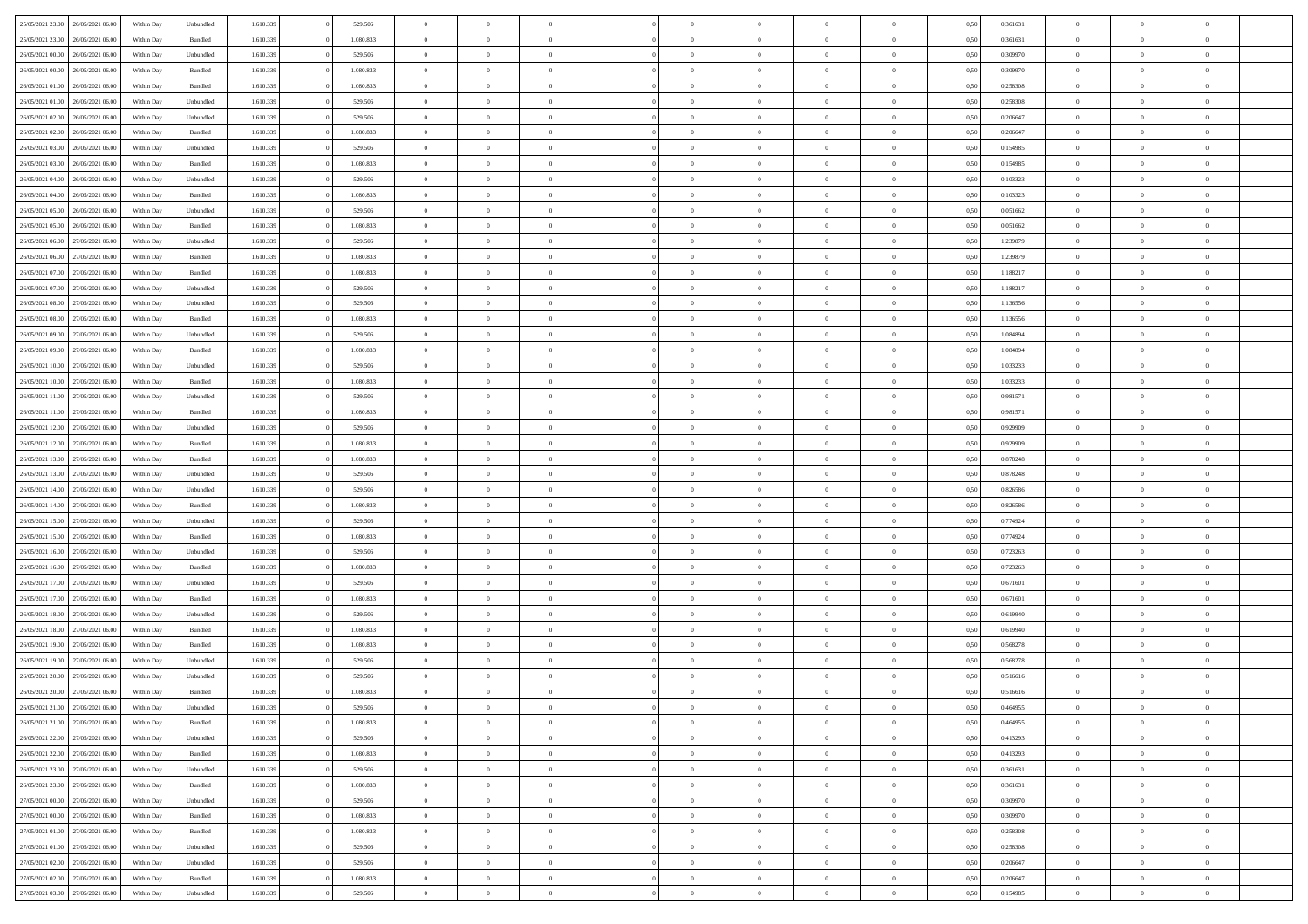| 25/05/2021 23:00                  | 26/05/2021 06:00 | Within Dav | Unbundled | 1.610.339 | 529.506   | $\overline{0}$ | $\Omega$       |                | $\Omega$       | $\Omega$       | $\Omega$       | $\theta$       | 0,50 | 0,361631 | $\theta$       | $\theta$       | $\theta$       |  |
|-----------------------------------|------------------|------------|-----------|-----------|-----------|----------------|----------------|----------------|----------------|----------------|----------------|----------------|------|----------|----------------|----------------|----------------|--|
| 25/05/2021 23:00                  | 26/05/2021 06:00 | Within Day | Bundled   | 1.610.339 | 1.080.833 | $\overline{0}$ | $\theta$       | $\overline{0}$ | $\overline{0}$ | $\bf{0}$       | $\overline{0}$ | $\bf{0}$       | 0,50 | 0,361631 | $\theta$       | $\theta$       | $\overline{0}$ |  |
| 26/05/2021 00:00                  | 26/05/2021 06:00 | Within Day | Unbundled | 1.610.339 | 529.506   | $\overline{0}$ | $\overline{0}$ | $\overline{0}$ | $\overline{0}$ | $\bf{0}$       | $\overline{0}$ | $\mathbf{0}$   | 0,50 | 0,309970 | $\overline{0}$ | $\overline{0}$ | $\overline{0}$ |  |
| 26/05/2021 00:00                  | 26/05/2021 06:00 | Within Dav | Bundled   | 1.610.339 | 1.080.833 | $\overline{0}$ | $\overline{0}$ | $\overline{0}$ | $\overline{0}$ | $\bf{0}$       | $\overline{0}$ | $\overline{0}$ | 0.50 | 0,309970 | $\theta$       | $\theta$       | $\overline{0}$ |  |
| 26/05/2021 01:00                  | 26/05/2021 06:00 |            |           | 1.610.339 | 1.080.833 | $\overline{0}$ | $\theta$       | $\overline{0}$ | $\overline{0}$ | $\bf{0}$       | $\overline{0}$ |                |      | 0,258308 | $\theta$       | $\theta$       | $\overline{0}$ |  |
|                                   |                  | Within Day | Bundled   |           |           |                |                |                |                |                |                | $\bf{0}$       | 0,50 |          |                |                |                |  |
| 26/05/2021 01:00                  | 26/05/2021 06:00 | Within Day | Unbundled | 1.610.339 | 529.506   | $\overline{0}$ | $\bf{0}$       | $\overline{0}$ | $\overline{0}$ | $\overline{0}$ | $\overline{0}$ | $\mathbf{0}$   | 0,50 | 0,258308 | $\overline{0}$ | $\overline{0}$ | $\bf{0}$       |  |
| 26/05/2021 02:00                  | 26/05/2021 06:00 | Within Dav | Unbundled | 1.610.339 | 529.506   | $\overline{0}$ | $\overline{0}$ | $\overline{0}$ | $\overline{0}$ | $\overline{0}$ | $\overline{0}$ | $\overline{0}$ | 0.50 | 0.206647 | $\theta$       | $\overline{0}$ | $\overline{0}$ |  |
| 26/05/2021 02:00                  | 26/05/2021 06:00 | Within Day | Bundled   | 1.610.339 | 1.080.833 | $\overline{0}$ | $\theta$       | $\overline{0}$ | $\overline{0}$ | $\bf{0}$       | $\overline{0}$ | $\bf{0}$       | 0,50 | 0,206647 | $\theta$       | $\theta$       | $\overline{0}$ |  |
| 26/05/2021 03:00                  | 26/05/2021 06:00 | Within Day | Unbundled | 1.610.339 | 529.506   | $\overline{0}$ | $\overline{0}$ | $\overline{0}$ | $\bf{0}$       | $\bf{0}$       | $\bf{0}$       | $\bf{0}$       | 0,50 | 0,154985 | $\,0\,$        | $\overline{0}$ | $\overline{0}$ |  |
| 26/05/2021 03:00                  | 26/05/2021 06:00 | Within Dav | Bundled   | 1.610.339 | 1.080.833 | $\overline{0}$ | $\overline{0}$ | $\overline{0}$ | $\overline{0}$ | $\overline{0}$ | $\overline{0}$ | $\overline{0}$ | 0.50 | 0,154985 | $\theta$       | $\overline{0}$ | $\overline{0}$ |  |
|                                   |                  |            |           |           |           |                |                |                |                |                |                |                |      |          |                |                |                |  |
| 26/05/2021 04:00                  | 26/05/2021 06:00 | Within Day | Unbundled | 1.610.339 | 529.506   | $\overline{0}$ | $\theta$       | $\overline{0}$ | $\overline{0}$ | $\bf{0}$       | $\overline{0}$ | $\bf{0}$       | 0,50 | 0,103323 | $\,$ 0 $\,$    | $\overline{0}$ | $\overline{0}$ |  |
| 26/05/2021 04:00                  | 26/05/2021 06:00 | Within Day | Bundled   | 1.610.339 | 1.080.833 | $\overline{0}$ | $\overline{0}$ | $\overline{0}$ | $\bf{0}$       | $\bf{0}$       | $\bf{0}$       | $\mathbf{0}$   | 0,50 | 0,103323 | $\overline{0}$ | $\overline{0}$ | $\overline{0}$ |  |
| 26/05/2021 05:00                  | 26/05/2021 06:00 | Within Day | Unbundled | 1.610.339 | 529.506   | $\overline{0}$ | $\overline{0}$ | $\overline{0}$ | $\overline{0}$ | $\bf{0}$       | $\overline{0}$ | $\overline{0}$ | 0.50 | 0.051662 | $\theta$       | $\theta$       | $\overline{0}$ |  |
| 26/05/2021 05:00                  | 26/05/2021 06:00 | Within Day | Bundled   | 1.610.339 | 1.080.833 | $\overline{0}$ | $\theta$       | $\overline{0}$ | $\overline{0}$ | $\bf{0}$       | $\overline{0}$ | $\bf{0}$       | 0,50 | 0,051662 | $\theta$       | $\theta$       | $\overline{0}$ |  |
| 26/05/2021 06:00                  | 27/05/2021 06:00 | Within Day | Unbundled | 1.610.339 | 529.506   | $\overline{0}$ | $\overline{0}$ | $\overline{0}$ | $\bf{0}$       | $\overline{0}$ | $\overline{0}$ | $\mathbf{0}$   | 0,50 | 1,239879 | $\overline{0}$ | $\overline{0}$ | $\bf{0}$       |  |
| 26/05/2021 06:00                  | 27/05/2021 06:00 | Within Dav | Bundled   | 1.610.339 | 1.080.833 | $\overline{0}$ | $\overline{0}$ | $\overline{0}$ |                | $\overline{0}$ | $\overline{0}$ | $\overline{0}$ | 0.50 | 1,239879 | $\theta$       | $\overline{0}$ | $\overline{0}$ |  |
|                                   |                  |            |           |           |           |                |                |                | $\overline{0}$ |                |                |                |      |          |                |                |                |  |
| 26/05/2021 07:00                  | 27/05/2021 06:00 | Within Day | Bundled   | 1.610.339 | 1.080.833 | $\overline{0}$ | $\theta$       | $\overline{0}$ | $\overline{0}$ | $\bf{0}$       | $\overline{0}$ | $\bf{0}$       | 0,50 | 1,188217 | $\theta$       | $\theta$       | $\overline{0}$ |  |
| 26/05/2021 07:00                  | 27/05/2021 06:00 | Within Day | Unbundled | 1.610.339 | 529.506   | $\overline{0}$ | $\overline{0}$ | $\overline{0}$ | $\bf{0}$       | $\bf{0}$       | $\bf{0}$       | $\mathbf{0}$   | 0,50 | 1,188217 | $\,0\,$        | $\overline{0}$ | $\overline{0}$ |  |
| 26/05/2021 08:00                  | 27/05/2021 06:00 | Within Day | Unbundled | 1.610.339 | 529.506   | $\overline{0}$ | $\overline{0}$ | $\overline{0}$ | $\overline{0}$ | $\overline{0}$ | $\overline{0}$ | $\overline{0}$ | 0.50 | 1,136556 | $\theta$       | $\overline{0}$ | $\overline{0}$ |  |
| 26/05/2021 08:00                  | 27/05/2021 06:00 | Within Day | Bundled   | 1.610.339 | 1.080.833 | $\overline{0}$ | $\theta$       | $\overline{0}$ | $\overline{0}$ | $\bf{0}$       | $\overline{0}$ | $\bf{0}$       | 0,50 | 1,136556 | $\,$ 0 $\,$    | $\theta$       | $\overline{0}$ |  |
| 26/05/2021 09:00                  | 27/05/2021 06:00 | Within Day | Unbundled | 1.610.339 | 529.506   | $\overline{0}$ | $\overline{0}$ | $\overline{0}$ | $\bf{0}$       | $\bf{0}$       | $\bf{0}$       | $\bf{0}$       | 0,50 | 1,084894 | $\bf{0}$       | $\overline{0}$ | $\overline{0}$ |  |
| 26/05/2021 09:00                  | 27/05/2021 06:00 | Within Day | Bundled   | 1.610.339 | 1.080.833 | $\overline{0}$ | $\overline{0}$ | $\overline{0}$ | $\overline{0}$ | $\bf{0}$       | $\overline{0}$ | $\overline{0}$ | 0.50 | 1.084894 | $\theta$       | $\theta$       | $\overline{0}$ |  |
|                                   |                  |            |           |           |           |                |                |                |                |                |                |                |      |          |                |                |                |  |
| 26/05/2021 10:00                  | 27/05/2021 06:00 | Within Day | Unbundled | 1.610.339 | 529.506   | $\overline{0}$ | $\theta$       | $\overline{0}$ | $\overline{0}$ | $\bf{0}$       | $\overline{0}$ | $\bf{0}$       | 0,50 | 1,033233 | $\,$ 0 $\,$    | $\overline{0}$ | $\overline{0}$ |  |
| 26/05/2021 10:00                  | 27/05/2021 06:00 | Within Day | Bundled   | 1.610.339 | 1.080.833 | $\overline{0}$ | $\bf{0}$       | $\overline{0}$ | $\bf{0}$       | $\overline{0}$ | $\overline{0}$ | $\mathbf{0}$   | 0,50 | 1,033233 | $\overline{0}$ | $\overline{0}$ | $\bf{0}$       |  |
| 26/05/2021 11:00                  | 27/05/2021 06:00 | Within Dav | Unbundled | 1.610.339 | 529.506   | $\overline{0}$ | $\overline{0}$ | $\overline{0}$ | $\overline{0}$ | $\overline{0}$ | $\overline{0}$ | $\overline{0}$ | 0.50 | 0.981571 | $\theta$       | $\overline{0}$ | $\overline{0}$ |  |
| 26/05/2021 11:00                  | 27/05/2021 06:00 | Within Day | Bundled   | 1.610.339 | 1.080.833 | $\overline{0}$ | $\theta$       | $\overline{0}$ | $\overline{0}$ | $\bf{0}$       | $\overline{0}$ | $\bf{0}$       | 0,50 | 0,981571 | $\theta$       | $\theta$       | $\overline{0}$ |  |
| 26/05/2021 12:00                  | 27/05/2021 06:00 | Within Day | Unbundled | 1.610.339 | 529.506   | $\overline{0}$ | $\overline{0}$ | $\overline{0}$ | $\bf{0}$       | $\bf{0}$       | $\bf{0}$       | $\bf{0}$       | 0,50 | 0,929909 | $\,0\,$        | $\overline{0}$ | $\overline{0}$ |  |
| 26/05/2021 12:00                  | 27/05/2021 06:00 | Within Day | Bundled   | 1.610.339 | 1.080.833 | $\overline{0}$ | $\overline{0}$ | $\overline{0}$ | $\overline{0}$ | $\overline{0}$ | $\overline{0}$ | $\overline{0}$ | 0.50 | 0.929909 | $\theta$       | $\overline{0}$ | $\overline{0}$ |  |
|                                   |                  |            |           |           |           |                |                |                |                |                |                |                |      |          |                |                |                |  |
| 26/05/2021 13:00                  | 27/05/2021 06:00 | Within Day | Bundled   | 1.610.339 | 1.080.833 | $\overline{0}$ | $\theta$       | $\overline{0}$ | $\overline{0}$ | $\bf{0}$       | $\overline{0}$ | $\bf{0}$       | 0,50 | 0,878248 | $\,$ 0 $\,$    | $\overline{0}$ | $\overline{0}$ |  |
| 26/05/2021 13:00                  | 27/05/2021 06:00 | Within Day | Unbundled | 1.610.339 | 529.506   | $\overline{0}$ | $\overline{0}$ | $\overline{0}$ | $\bf{0}$       | $\bf{0}$       | $\bf{0}$       | $\bf{0}$       | 0,50 | 0,878248 | $\overline{0}$ | $\overline{0}$ | $\overline{0}$ |  |
| 26/05/2021 14:00                  | 27/05/2021 06:00 | Within Day | Unbundled | 1.610.339 | 529.506   | $\overline{0}$ | $\Omega$       | $\overline{0}$ | $\Omega$       | $\Omega$       | $\overline{0}$ | $\overline{0}$ | 0.50 | 0,826586 | $\,0\,$        | $\theta$       | $\theta$       |  |
| 26/05/2021 14:00                  | 27/05/2021 06:00 | Within Day | Bundled   | 1.610.339 | 1.080.833 | $\overline{0}$ | $\theta$       | $\overline{0}$ | $\overline{0}$ | $\bf{0}$       | $\overline{0}$ | $\bf{0}$       | 0,50 | 0,826586 | $\theta$       | $\theta$       | $\overline{0}$ |  |
| 26/05/2021 15:00                  | 27/05/2021 06:00 | Within Day | Unbundled | 1.610.339 | 529.506   | $\overline{0}$ | $\overline{0}$ | $\overline{0}$ | $\bf{0}$       | $\bf{0}$       | $\overline{0}$ | $\mathbf{0}$   | 0,50 | 0,774924 | $\overline{0}$ | $\overline{0}$ | $\bf{0}$       |  |
| 26/05/2021 15:00                  | 27/05/2021 06:00 | Within Day | Bundled   | 1.610.339 | 1.080.833 | $\overline{0}$ | $\Omega$       | $\Omega$       | $\Omega$       | $\bf{0}$       | $\overline{0}$ | $\overline{0}$ | 0.50 | 0,774924 | $\,0\,$        | $\theta$       | $\theta$       |  |
|                                   |                  |            |           |           |           |                |                |                |                |                |                |                |      |          |                |                |                |  |
| 26/05/2021 16:00                  | 27/05/2021 06:00 | Within Day | Unbundled | 1.610.339 | 529.506   | $\overline{0}$ | $\theta$       | $\overline{0}$ | $\overline{0}$ | $\bf{0}$       | $\overline{0}$ | $\bf{0}$       | 0,50 | 0,723263 | $\,$ 0 $\,$    | $\theta$       | $\overline{0}$ |  |
| 26/05/2021 16:00                  | 27/05/2021 06:00 | Within Day | Bundled   | 1.610.339 | 1.080.833 | $\overline{0}$ | $\overline{0}$ | $\overline{0}$ | $\bf{0}$       | $\bf{0}$       | $\bf{0}$       | $\bf{0}$       | 0,50 | 0,723263 | $\bf{0}$       | $\overline{0}$ | $\overline{0}$ |  |
| 26/05/2021 17:00                  | 27/05/2021 06:00 | Within Day | Unbundled | 1.610.339 | 529.506   | $\overline{0}$ | $\Omega$       | $\overline{0}$ | $\Omega$       | $\theta$       | $\overline{0}$ | $\overline{0}$ | 0.50 | 0.671601 | $\theta$       | $\theta$       | $\theta$       |  |
| 26/05/2021 17:00                  | 27/05/2021 06:00 | Within Day | Bundled   | 1.610.339 | 1.080.833 | $\overline{0}$ | $\theta$       | $\overline{0}$ | $\overline{0}$ | $\bf{0}$       | $\overline{0}$ | $\bf{0}$       | 0,50 | 0,671601 | $\,$ 0 $\,$    | $\overline{0}$ | $\overline{0}$ |  |
| 26/05/2021 18:00                  | 27/05/2021 06:00 | Within Day | Unbundled | 1.610.339 | 529.506   | $\overline{0}$ | $\overline{0}$ | $\overline{0}$ | $\bf{0}$       | $\bf{0}$       | $\bf{0}$       | $\bf{0}$       | 0,50 | 0,619940 | $\overline{0}$ | $\overline{0}$ | $\overline{0}$ |  |
| 26/05/2021 18:00                  | 27/05/2021 06:00 | Within Day | Bundled   | 1.610.339 | 1.080.833 | $\overline{0}$ | $\Omega$       | $\overline{0}$ | $\Omega$       | $\Omega$       | $\overline{0}$ | $\overline{0}$ | 0.50 | 0,619940 | $\,0\,$        | $\theta$       | $\theta$       |  |
|                                   |                  |            |           |           |           | $\overline{0}$ | $\theta$       | $\overline{0}$ | $\overline{0}$ | $\bf{0}$       | $\overline{0}$ |                |      |          | $\,$ 0 $\,$    | $\overline{0}$ | $\overline{0}$ |  |
| 26/05/2021 19:00                  | 27/05/2021 06:00 | Within Day | Bundled   | 1.610.339 | 1.080.833 |                |                |                |                |                |                | $\bf{0}$       | 0,50 | 0,568278 |                |                |                |  |
| 26/05/2021 19:00                  | 27/05/2021 06:00 | Within Day | Unbundled | 1.610.339 | 529.506   | $\overline{0}$ | $\overline{0}$ | $\overline{0}$ | $\bf{0}$       | $\bf{0}$       | $\bf{0}$       | $\mathbf{0}$   | 0,50 | 0,568278 | $\overline{0}$ | $\overline{0}$ | $\bf{0}$       |  |
| 26/05/2021 20:00                  | 27/05/2021 06:00 | Within Day | Unbundled | 1.610.339 | 529.506   | $\overline{0}$ | $\Omega$       | $\Omega$       | $\Omega$       | $\Omega$       | $\Omega$       | $\overline{0}$ | 0.50 | 0,516616 | $\theta$       | $\theta$       | $\theta$       |  |
| 26/05/2021 20:00                  | 27/05/2021 06:00 | Within Day | Bundled   | 1.610.339 | 1.080.833 | $\overline{0}$ | $\overline{0}$ | $\overline{0}$ | $\bf{0}$       | $\,$ 0         | $\bf{0}$       | $\bf{0}$       | 0,50 | 0,516616 | $\,0\,$        | $\overline{0}$ | $\overline{0}$ |  |
| 26/05/2021 21:00                  | 27/05/2021 06:00 | Within Day | Unbundled | 1.610.339 | 529.506   | $\bf{0}$       | $\bf{0}$       |                |                |                |                |                | 0,50 | 0,464955 | $\bf{0}$       | $\overline{0}$ |                |  |
| 26/05/2021 21:00                  | 27/05/2021 06:00 | Within Day | Bundled   | 1.610.339 | 1.080.833 | $\overline{0}$ | $\overline{0}$ | $\overline{0}$ | $\Omega$       | $\overline{0}$ | $\overline{0}$ | $\overline{0}$ | 0.50 | 0.464955 | $\theta$       | $\theta$       | $\theta$       |  |
| 26/05/2021 22.00                  | 27/05/2021 06:00 | Within Day | Unbundled | 1.610.339 | 529.506   | $\overline{0}$ | $\,$ 0         | $\overline{0}$ | $\bf{0}$       | $\,$ 0 $\,$    | $\overline{0}$ | $\,$ 0 $\,$    | 0,50 | 0,413293 | $\,$ 0 $\,$    | $\,$ 0 $\,$    | $\,$ 0         |  |
|                                   |                  |            |           |           |           |                |                |                |                |                |                |                |      |          |                |                |                |  |
| 26/05/2021 22.00                  | 27/05/2021 06:00 | Within Day | Bundled   | 1.610.339 | 1.080.833 | $\overline{0}$ | $\overline{0}$ | $\overline{0}$ | $\overline{0}$ | $\overline{0}$ | $\overline{0}$ | $\mathbf{0}$   | 0,50 | 0,413293 | $\overline{0}$ | $\bf{0}$       | $\bf{0}$       |  |
| 26/05/2021 23.00                  | 27/05/2021 06:00 | Within Day | Unbundled | 1.610.339 | 529.506   | $\overline{0}$ | $\overline{0}$ | $\overline{0}$ | $\Omega$       | $\overline{0}$ | $\overline{0}$ | $\overline{0}$ | 0,50 | 0,361631 | $\overline{0}$ | $\theta$       | $\overline{0}$ |  |
| 26/05/2021 23:00                  | 27/05/2021 06:00 | Within Day | Bundled   | 1.610.339 | 1.080.833 | $\overline{0}$ | $\,$ 0         | $\overline{0}$ | $\overline{0}$ | $\,$ 0 $\,$    | $\overline{0}$ | $\mathbf{0}$   | 0,50 | 0,361631 | $\,$ 0 $\,$    | $\overline{0}$ | $\overline{0}$ |  |
| 27/05/2021 00:00                  | 27/05/2021 06:00 | Within Day | Unbundled | 1.610.339 | 529.506   | $\overline{0}$ | $\overline{0}$ | $\overline{0}$ | $\overline{0}$ | $\overline{0}$ | $\overline{0}$ | $\mathbf{0}$   | 0,50 | 0,309970 | $\overline{0}$ | $\overline{0}$ | $\bf{0}$       |  |
| 27/05/2021 00:00                  | 27/05/2021 06:00 | Within Day | Bundled   | 1.610.339 | 1.080.833 | $\overline{0}$ | $\overline{0}$ | $\overline{0}$ | $\Omega$       | $\overline{0}$ | $\overline{0}$ | $\bf{0}$       | 0.50 | 0,309970 | $\overline{0}$ | $\theta$       | $\overline{0}$ |  |
| 27/05/2021 01:00                  | 27/05/2021 06:00 | Within Day | Bundled   | 1.610.339 | 1.080.833 | $\overline{0}$ | $\,$ 0         | $\overline{0}$ | $\bf{0}$       | $\bf{0}$       | $\bf{0}$       | $\bf{0}$       | 0,50 | 0,258308 | $\,$ 0 $\,$    | $\overline{0}$ | $\overline{0}$ |  |
|                                   |                  |            |           |           |           |                |                |                |                |                |                |                |      |          |                |                |                |  |
| 27/05/2021 01:00                  | 27/05/2021 06:00 | Within Day | Unbundled | 1.610.339 | 529.506   | $\overline{0}$ | $\bf{0}$       | $\overline{0}$ | $\overline{0}$ | $\overline{0}$ | $\overline{0}$ | $\mathbf{0}$   | 0,50 | 0,258308 | $\overline{0}$ | $\overline{0}$ | $\bf{0}$       |  |
| 27/05/2021 02:00                  | 27/05/2021 06:00 | Within Day | Unbundled | 1.610.339 | 529.506   | $\overline{0}$ | $\overline{0}$ | $\overline{0}$ | $\Omega$       | $\overline{0}$ | $\overline{0}$ | $\overline{0}$ | 0.50 | 0,206647 | $\overline{0}$ | $\overline{0}$ | $\overline{0}$ |  |
| 27/05/2021 02:00                  | 27/05/2021 06:00 | Within Day | Bundled   | 1.610.339 | 1.080.833 | $\overline{0}$ | $\bf{0}$       | $\overline{0}$ | $\overline{0}$ | $\bf{0}$       | $\bf{0}$       | $\mathbf{0}$   | 0,50 | 0,206647 | $\,$ 0 $\,$    | $\,$ 0 $\,$    | $\bf{0}$       |  |
| 27/05/2021 03:00 27/05/2021 06:00 |                  | Within Day | Unbundled | 1.610.339 | 529.506   | $\overline{0}$ | $\bf{0}$       | $\overline{0}$ | $\bf{0}$       | $\bf{0}$       | $\bf{0}$       | $\bf{0}$       | 0,50 | 0,154985 | $\overline{0}$ | $\overline{0}$ | $\bf{0}$       |  |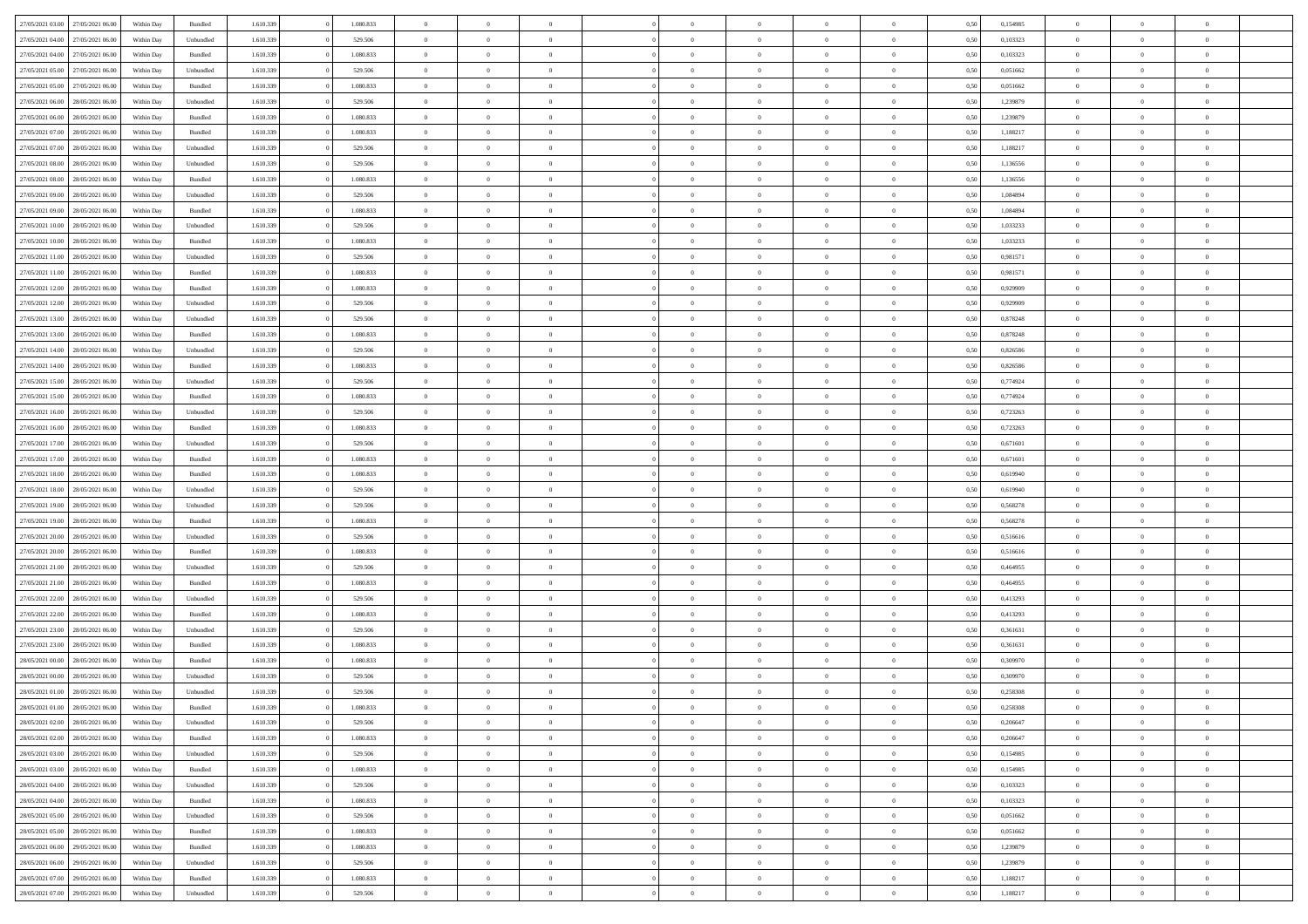| 27/05/2021 03:00 | 27/05/2021 06:00 | Within Day | Bundled            | 1.610.339 | 1.080.833 | $\overline{0}$ | $\Omega$       |                | $\Omega$       | $\Omega$       | $\theta$       | $\theta$       | 0,50 | 0,154985 | $\theta$       | $\theta$       | $\theta$       |  |
|------------------|------------------|------------|--------------------|-----------|-----------|----------------|----------------|----------------|----------------|----------------|----------------|----------------|------|----------|----------------|----------------|----------------|--|
|                  |                  |            |                    |           |           |                |                |                |                |                |                |                |      |          |                |                |                |  |
| 27/05/2021 04:00 | 27/05/2021 06:00 | Within Day | Unbundled          | 1.610.339 | 529.506   | $\overline{0}$ | $\theta$       | $\overline{0}$ | $\overline{0}$ | $\bf{0}$       | $\overline{0}$ | $\bf{0}$       | 0,50 | 0,103323 | $\theta$       | $\theta$       | $\overline{0}$ |  |
| 27/05/2021 04:00 | 27/05/2021 06:00 | Within Day | Bundled            | 1.610.339 | 1.080.833 | $\overline{0}$ | $\overline{0}$ | $\overline{0}$ | $\bf{0}$       | $\bf{0}$       | $\bf{0}$       | $\bf{0}$       | 0,50 | 0,103323 | $\bf{0}$       | $\overline{0}$ | $\overline{0}$ |  |
| 27/05/2021 05:00 | 27/05/2021 06:00 | Within Dav | Unbundled          | 1.610.339 | 529.506   | $\overline{0}$ | $\overline{0}$ | $\overline{0}$ | $\overline{0}$ | $\bf{0}$       | $\overline{0}$ | $\overline{0}$ | 0.50 | 0.051662 | $\theta$       | $\theta$       | $\overline{0}$ |  |
| 27/05/2021 05:00 | 27/05/2021 06:00 | Within Day | Bundled            | 1.610.339 | 1.080.833 | $\overline{0}$ | $\theta$       | $\overline{0}$ | $\overline{0}$ | $\bf{0}$       | $\overline{0}$ | $\bf{0}$       | 0,50 | 0,051662 | $\theta$       | $\overline{0}$ | $\overline{0}$ |  |
| 27/05/2021 06:00 | 28/05/2021 06:00 | Within Day | Unbundled          | 1.610.339 | 529.506   | $\overline{0}$ | $\bf{0}$       | $\overline{0}$ | $\bf{0}$       | $\overline{0}$ | $\overline{0}$ | $\mathbf{0}$   | 0,50 | 1,239879 | $\bf{0}$       | $\overline{0}$ | $\bf{0}$       |  |
|                  |                  |            |                    |           |           |                |                |                |                |                |                |                |      |          |                |                |                |  |
| 27/05/2021 06:00 | 28/05/2021 06:00 | Within Dav | Bundled            | 1.610.339 | 1.080.833 | $\overline{0}$ | $\overline{0}$ | $\overline{0}$ | $\overline{0}$ | $\overline{0}$ | $\overline{0}$ | $\overline{0}$ | 0.50 | 1,239879 | $\theta$       | $\overline{0}$ | $\overline{0}$ |  |
| 27/05/2021 07:00 | 28/05/2021 06:00 | Within Day | Bundled            | 1.610.339 | 1.080.833 | $\overline{0}$ | $\theta$       | $\overline{0}$ | $\overline{0}$ | $\bf{0}$       | $\overline{0}$ | $\bf{0}$       | 0,50 | 1,188217 | $\theta$       | $\theta$       | $\overline{0}$ |  |
| 27/05/2021 07:00 | 28/05/2021 06:00 | Within Day | Unbundled          | 1.610.339 | 529.506   | $\overline{0}$ | $\overline{0}$ | $\overline{0}$ | $\bf{0}$       | $\bf{0}$       | $\bf{0}$       | $\bf{0}$       | 0,50 | 1,188217 | $\,0\,$        | $\overline{0}$ | $\overline{0}$ |  |
| 27/05/2021 08:00 | 28/05/2021 06:00 | Within Dav | Unbundled          | 1.610.339 | 529.506   | $\overline{0}$ | $\overline{0}$ | $\overline{0}$ | $\overline{0}$ | $\overline{0}$ | $\overline{0}$ | $\overline{0}$ | 0.50 | 1,136556 | $\theta$       | $\overline{0}$ | $\overline{0}$ |  |
| 27/05/2021 08:00 | 28/05/2021 06:00 | Within Day | Bundled            | 1.610.339 | 1.080.833 | $\overline{0}$ | $\theta$       | $\overline{0}$ | $\overline{0}$ | $\bf{0}$       | $\overline{0}$ | $\bf{0}$       | 0,50 | 1,136556 | $\,$ 0 $\,$    | $\overline{0}$ | $\overline{0}$ |  |
| 27/05/2021 09:00 | 28/05/2021 06:00 | Within Day | Unbundled          | 1.610.339 | 529.506   | $\overline{0}$ | $\overline{0}$ | $\overline{0}$ | $\bf{0}$       | $\bf{0}$       | $\bf{0}$       | $\mathbf{0}$   | 0,50 | 1,084894 | $\bf{0}$       | $\overline{0}$ | $\overline{0}$ |  |
| 27/05/2021 09:00 | 28/05/2021 06:00 | Within Day | Bundled            | 1.610.339 | 1.080.833 | $\overline{0}$ | $\overline{0}$ | $\overline{0}$ | $\overline{0}$ | $\bf{0}$       | $\overline{0}$ | $\overline{0}$ | 0.50 | 1.084894 | $\theta$       | $\theta$       | $\overline{0}$ |  |
|                  |                  |            |                    |           |           |                |                |                |                |                |                |                |      |          |                |                |                |  |
| 27/05/2021 10:00 | 28/05/2021 06:00 | Within Day | Unbundled          | 1.610.339 | 529.506   | $\overline{0}$ | $\theta$       | $\overline{0}$ | $\overline{0}$ | $\bf{0}$       | $\overline{0}$ | $\bf{0}$       | 0,50 | 1,033233 | $\theta$       | $\overline{0}$ | $\overline{0}$ |  |
| 27/05/2021 10:00 | 28/05/2021 06:00 | Within Day | Bundled            | 1.610.339 | 1.080.833 | $\overline{0}$ | $\overline{0}$ | $\overline{0}$ | $\bf{0}$       | $\overline{0}$ | $\overline{0}$ | $\mathbf{0}$   | 0,50 | 1,033233 | $\bf{0}$       | $\overline{0}$ | $\bf{0}$       |  |
| 27/05/2021 11:00 | 28/05/2021 06:00 | Within Dav | Unbundled          | 1.610.339 | 529.506   | $\overline{0}$ | $\overline{0}$ | $\overline{0}$ | $\overline{0}$ | $\overline{0}$ | $\overline{0}$ | $\overline{0}$ | 0.50 | 0.981571 | $\theta$       | $\overline{0}$ | $\overline{0}$ |  |
| 27/05/2021 11:00 | 28/05/2021 06:00 | Within Day | Bundled            | 1.610.339 | 1.080.833 | $\overline{0}$ | $\theta$       | $\overline{0}$ | $\overline{0}$ | $\bf{0}$       | $\overline{0}$ | $\bf{0}$       | 0,50 | 0,981571 | $\theta$       | $\theta$       | $\overline{0}$ |  |
| 27/05/2021 12:00 | 28/05/2021 06:00 | Within Day | Bundled            | 1.610.339 | 1.080.833 | $\overline{0}$ | $\overline{0}$ | $\overline{0}$ | $\bf{0}$       | $\bf{0}$       | $\bf{0}$       | $\mathbf{0}$   | 0,50 | 0,929909 | $\,0\,$        | $\overline{0}$ | $\overline{0}$ |  |
| 27/05/2021 12:00 | 28/05/2021 06:00 | Within Day | Unbundled          | 1.610.339 | 529.506   | $\overline{0}$ | $\overline{0}$ | $\overline{0}$ | $\overline{0}$ | $\overline{0}$ | $\overline{0}$ | $\overline{0}$ | 0.50 | 0.929909 | $\theta$       | $\overline{0}$ | $\overline{0}$ |  |
| 27/05/2021 13:00 | 28/05/2021 06:00 |            |                    | 1.610.339 | 529.506   | $\overline{0}$ | $\theta$       | $\overline{0}$ | $\overline{0}$ | $\bf{0}$       | $\overline{0}$ |                |      | 0,878248 | $\,$ 0 $\,$    | $\theta$       | $\overline{0}$ |  |
|                  |                  | Within Day | Unbundled          |           |           |                |                |                |                |                |                | $\bf{0}$       | 0,50 |          |                |                |                |  |
| 27/05/2021 13:00 | 28/05/2021 06:00 | Within Day | Bundled            | 1.610.339 | 1.080.833 | $\overline{0}$ | $\overline{0}$ | $\overline{0}$ | $\bf{0}$       | $\bf{0}$       | $\bf{0}$       | $\bf{0}$       | 0,50 | 0,878248 | $\bf{0}$       | $\overline{0}$ | $\overline{0}$ |  |
| 27/05/2021 14:00 | 28/05/2021 06:00 | Within Day | Unbundled          | 1.610.339 | 529.506   | $\overline{0}$ | $\overline{0}$ | $\overline{0}$ | $\overline{0}$ | $\bf{0}$       | $\overline{0}$ | $\overline{0}$ | 0.50 | 0.826586 | $\theta$       | $\overline{0}$ | $\overline{0}$ |  |
| 27/05/2021 14:00 | 28/05/2021 06:00 | Within Day | Bundled            | 1.610.339 | 1.080.833 | $\overline{0}$ | $\theta$       | $\overline{0}$ | $\overline{0}$ | $\bf{0}$       | $\overline{0}$ | $\bf{0}$       | 0,50 | 0,826586 | $\,$ 0 $\,$    | $\overline{0}$ | $\overline{0}$ |  |
| 27/05/2021 15:00 | 28/05/2021 06:00 | Within Day | Unbundled          | 1.610.339 | 529.506   | $\overline{0}$ | $\bf{0}$       | $\overline{0}$ | $\bf{0}$       | $\overline{0}$ | $\overline{0}$ | $\mathbf{0}$   | 0,50 | 0,774924 | $\bf{0}$       | $\overline{0}$ | $\bf{0}$       |  |
| 27/05/2021 15:00 | 28/05/2021 06:00 | Within Dav | Bundled            | 1.610.339 | 1.080.833 | $\overline{0}$ | $\overline{0}$ | $\overline{0}$ | $\overline{0}$ | $\overline{0}$ | $\overline{0}$ | $\overline{0}$ | 0.50 | 0,774924 | $\theta$       | $\overline{0}$ | $\overline{0}$ |  |
| 27/05/2021 16:00 | 28/05/2021 06:00 | Within Day | Unbundled          | 1.610.339 | 529.506   | $\overline{0}$ | $\theta$       | $\overline{0}$ | $\overline{0}$ | $\bf{0}$       | $\overline{0}$ | $\bf{0}$       | 0,50 | 0,723263 | $\theta$       | $\theta$       | $\overline{0}$ |  |
|                  |                  |            |                    |           |           |                |                |                |                |                |                |                |      |          |                |                |                |  |
| 27/05/2021 16:00 | 28/05/2021 06:00 | Within Day | Bundled            | 1.610.339 | 1.080.833 | $\overline{0}$ | $\overline{0}$ | $\overline{0}$ | $\bf{0}$       | $\bf{0}$       | $\bf{0}$       | $\bf{0}$       | 0,50 | 0,723263 | $\,0\,$        | $\overline{0}$ | $\overline{0}$ |  |
| 27/05/2021 17:00 | 28/05/2021 06:00 | Within Day | Unbundled          | 1.610.339 | 529.506   | $\overline{0}$ | $\overline{0}$ | $\overline{0}$ | $\overline{0}$ | $\overline{0}$ | $\overline{0}$ | $\overline{0}$ | 0.50 | 0,671601 | $\theta$       | $\overline{0}$ | $\overline{0}$ |  |
| 27/05/2021 17:00 | 28/05/2021 06:00 | Within Day | Bundled            | 1.610.339 | 1.080.833 | $\overline{0}$ | $\theta$       | $\overline{0}$ | $\overline{0}$ | $\bf{0}$       | $\overline{0}$ | $\bf{0}$       | 0,50 | 0,671601 | $\,$ 0 $\,$    | $\overline{0}$ | $\overline{0}$ |  |
| 27/05/2021 18:00 | 28/05/2021 06:00 | Within Day | Bundled            | 1.610.339 | 1.080.833 | $\overline{0}$ | $\overline{0}$ | $\overline{0}$ | $\bf{0}$       | $\bf{0}$       | $\bf{0}$       | $\bf{0}$       | 0,50 | 0,619940 | $\bf{0}$       | $\overline{0}$ | $\overline{0}$ |  |
| 27/05/2021 18:00 | 28/05/2021 06:00 | Within Day | Unbundled          | 1.610.339 | 529.506   | $\overline{0}$ | $\Omega$       | $\overline{0}$ | $\Omega$       | $\Omega$       | $\Omega$       | $\overline{0}$ | 0,50 | 0,619940 | $\,0\,$        | $\theta$       | $\theta$       |  |
| 27/05/2021 19:00 | 28/05/2021 06:00 | Within Day | Unbundled          | 1.610.339 | 529.506   | $\overline{0}$ | $\theta$       | $\overline{0}$ | $\overline{0}$ | $\bf{0}$       | $\overline{0}$ | $\bf{0}$       | 0,50 | 0,568278 | $\,$ 0 $\,$    | $\theta$       | $\overline{0}$ |  |
| 27/05/2021 19:00 | 28/05/2021 06:00 | Within Day | Bundled            | 1.610.339 | 1.080.833 | $\overline{0}$ | $\overline{0}$ | $\overline{0}$ | $\bf{0}$       | $\bf{0}$       | $\overline{0}$ | $\mathbf{0}$   | 0,50 | 0,568278 | $\overline{0}$ | $\overline{0}$ | $\bf{0}$       |  |
|                  |                  |            |                    |           |           |                |                |                |                |                |                |                |      |          |                |                |                |  |
| 27/05/2021 20:00 | 28/05/2021 06:00 | Within Day | Unbundled          | 1.610.339 | 529.506   | $\overline{0}$ | $\Omega$       | $\Omega$       | $\Omega$       | $\bf{0}$       | $\overline{0}$ | $\overline{0}$ | 0.50 | 0,516616 | $\,0\,$        | $\theta$       | $\theta$       |  |
| 27/05/2021 20:00 | 28/05/2021 06:00 | Within Day | Bundled            | 1.610.339 | 1.080.833 | $\overline{0}$ | $\theta$       | $\overline{0}$ | $\overline{0}$ | $\bf{0}$       | $\overline{0}$ | $\bf{0}$       | 0,50 | 0,516616 | $\,$ 0 $\,$    | $\theta$       | $\overline{0}$ |  |
| 27/05/2021 21:00 | 28/05/2021 06:00 | Within Day | Unbundled          | 1.610.339 | 529.506   | $\overline{0}$ | $\overline{0}$ | $\overline{0}$ | $\bf{0}$       | $\bf{0}$       | $\bf{0}$       | $\bf{0}$       | 0,50 | 0,464955 | $\bf{0}$       | $\overline{0}$ | $\overline{0}$ |  |
| 27/05/2021 21:00 | 28/05/2021 06:00 | Within Day | Bundled            | 1.610.339 | 1.080.833 | $\overline{0}$ | $\Omega$       | $\Omega$       | $\Omega$       | $\theta$       | $\theta$       | $\overline{0}$ | 0.50 | 0.464955 | $\theta$       | $\theta$       | $\theta$       |  |
| 27/05/2021 22:00 | 28/05/2021 06:00 | Within Day | Unbundled          | 1.610.339 | 529.506   | $\overline{0}$ | $\theta$       | $\overline{0}$ | $\overline{0}$ | $\bf{0}$       | $\overline{0}$ | $\bf{0}$       | 0,50 | 0,413293 | $\,$ 0 $\,$    | $\overline{0}$ | $\overline{0}$ |  |
| 27/05/2021 22.00 | 28/05/2021 06:00 | Within Day | Bundled            | 1.610.339 | 1.080.833 | $\overline{0}$ | $\overline{0}$ | $\overline{0}$ | $\bf{0}$       | $\bf{0}$       | $\bf{0}$       | $\bf{0}$       | 0,50 | 0,413293 | $\overline{0}$ | $\overline{0}$ | $\overline{0}$ |  |
| 27/05/2021 23:00 | 28/05/2021 06:00 | Within Day | Unbundled          | 1.610.339 | 529.506   | $\overline{0}$ | $\Omega$       | $\overline{0}$ | $\Omega$       | $\Omega$       | $\overline{0}$ | $\overline{0}$ | 0.50 | 0,361631 | $\,0\,$        | $\theta$       | $\theta$       |  |
|                  |                  |            |                    |           |           | $\overline{0}$ | $\theta$       | $\overline{0}$ | $\overline{0}$ | $\bf{0}$       | $\overline{0}$ |                |      |          | $\,$ 0 $\,$    | $\overline{0}$ | $\overline{0}$ |  |
| 27/05/2021 23:00 | 28/05/2021 06:00 | Within Day | Bundled            | 1.610.339 | 1.080.833 |                |                |                |                |                |                | $\bf{0}$       | 0,50 | 0,361631 |                |                |                |  |
| 28/05/2021 00:00 | 28/05/2021 06:00 | Within Day | Bundled            | 1.610.339 | 1.080.833 | $\overline{0}$ | $\overline{0}$ | $\overline{0}$ | $\bf{0}$       | $\bf{0}$       | $\bf{0}$       | $\mathbf{0}$   | 0,50 | 0,309970 | $\overline{0}$ | $\overline{0}$ | $\bf{0}$       |  |
| 28/05/2021 00:00 | 28/05/2021 06:00 | Within Day | Unbundled          | 1.610.339 | 529.506   | $\overline{0}$ | $\Omega$       | $\Omega$       | $\Omega$       | $\Omega$       | $\Omega$       | $\overline{0}$ | 0.50 | 0.309970 | $\theta$       | $\theta$       | $\theta$       |  |
| 28/05/2021 01:00 | 28/05/2021 06:00 | Within Day | Unbundled          | 1.610.339 | 529.506   | $\overline{0}$ | $\overline{0}$ | $\overline{0}$ | $\bf{0}$       | $\,$ 0         | $\bf{0}$       | $\bf{0}$       | 0,50 | 0,258308 | $\,0\,$        | $\overline{0}$ | $\overline{0}$ |  |
| 28/05/2021 01:00 | 28/05/2021 06:00 | Within Day | $\mathbf B$ undled | 1.610.339 | 1.080.833 | $\bf{0}$       | $\bf{0}$       |                |                | $\bf{0}$       |                |                | 0,50 | 0,258308 | $\bf{0}$       | $\overline{0}$ |                |  |
| 28/05/2021 02:00 | 28/05/2021 06:00 | Within Day | Unbundled          | 1.610.339 | 529.506   | $\overline{0}$ | $\overline{0}$ | $\overline{0}$ | $\Omega$       | $\overline{0}$ | $\overline{0}$ | $\overline{0}$ | 0.50 | 0.206647 | $\theta$       | $\theta$       | $\theta$       |  |
| 28/05/2021 02:00 | 28/05/2021 06:00 | Within Day | Bundled            | 1.610.339 | 1.080.833 | $\overline{0}$ | $\,$ 0         | $\overline{0}$ | $\bf{0}$       | $\,$ 0 $\,$    | $\overline{0}$ | $\mathbf{0}$   | 0,50 | 0,206647 | $\,$ 0 $\,$    | $\,$ 0 $\,$    | $\,$ 0         |  |
|                  |                  |            |                    |           |           |                |                |                |                |                |                |                |      |          |                |                |                |  |
| 28/05/2021 03:00 | 28/05/2021 06:00 | Within Day | Unbundled          | 1.610.339 | 529.506   | $\overline{0}$ | $\overline{0}$ | $\overline{0}$ | $\overline{0}$ | $\overline{0}$ | $\overline{0}$ | $\mathbf{0}$   | 0,50 | 0,154985 | $\overline{0}$ | $\bf{0}$       | $\bf{0}$       |  |
| 28/05/2021 03:00 | 28/05/2021 06:00 | Within Day | Bundled            | 1.610.339 | 1.080.833 | $\overline{0}$ | $\overline{0}$ | $\overline{0}$ | $\Omega$       | $\overline{0}$ | $\overline{0}$ | $\overline{0}$ | 0,50 | 0,154985 | $\overline{0}$ | $\theta$       | $\overline{0}$ |  |
| 28/05/2021 04:00 | 28/05/2021 06:00 | Within Day | Unbundled          | 1.610.339 | 529.506   | $\overline{0}$ | $\,$ 0         | $\overline{0}$ | $\overline{0}$ | $\,$ 0 $\,$    | $\overline{0}$ | $\mathbf{0}$   | 0,50 | 0,103323 | $\,$ 0 $\,$    | $\overline{0}$ | $\overline{0}$ |  |
| 28/05/2021 04:00 | 28/05/2021 06:00 | Within Day | Bundled            | 1.610.339 | 1.080.833 | $\overline{0}$ | $\overline{0}$ | $\overline{0}$ | $\overline{0}$ | $\overline{0}$ | $\overline{0}$ | $\mathbf{0}$   | 0,50 | 0,103323 | $\overline{0}$ | $\overline{0}$ | $\bf{0}$       |  |
| 28/05/2021 05:00 | 28/05/2021 06:00 | Within Day | Unbundled          | 1.610.339 | 529.506   | $\overline{0}$ | $\overline{0}$ | $\overline{0}$ | $\Omega$       | $\overline{0}$ | $\overline{0}$ | $\bf{0}$       | 0.50 | 0.051662 | $\overline{0}$ | $\theta$       | $\overline{0}$ |  |
| 28/05/2021 05:00 | 28/05/2021 06:00 | Within Day | Bundled            | 1.610.339 | 1.080.833 | $\overline{0}$ | $\,$ 0         | $\overline{0}$ | $\bf{0}$       | $\bf{0}$       | $\bf{0}$       | $\bf{0}$       | 0,50 | 0,051662 | $\,$ 0 $\,$    | $\overline{0}$ | $\overline{0}$ |  |
| 28/05/2021 06:00 | 29/05/2021 06:00 | Within Day | Bundled            | 1.610.339 | 1.080.833 | $\overline{0}$ | $\bf{0}$       | $\overline{0}$ | $\overline{0}$ | $\overline{0}$ | $\overline{0}$ | $\mathbf{0}$   | 0,50 | 1,239879 | $\overline{0}$ | $\overline{0}$ | $\bf{0}$       |  |
|                  |                  |            |                    |           |           |                |                |                |                |                |                |                |      |          |                |                |                |  |
| 28/05/2021 06:00 | 29/05/2021 06:00 | Within Day | Unbundled          | 1.610.339 | 529.506   | $\overline{0}$ | $\overline{0}$ | $\overline{0}$ | $\Omega$       | $\overline{0}$ | $\overline{0}$ | $\overline{0}$ | 0.50 | 1,239879 | $\overline{0}$ | $\overline{0}$ | $\overline{0}$ |  |
| 28/05/2021 07:00 | 29/05/2021 06:00 | Within Day | Bundled            | 1.610.339 | 1.080.833 | $\overline{0}$ | $\bf{0}$       | $\overline{0}$ | $\bf{0}$       | $\bf{0}$       | $\bf{0}$       | $\mathbf{0}$   | 0,50 | 1,188217 | $\,$ 0 $\,$    | $\,$ 0 $\,$    | $\bf{0}$       |  |
| 28/05/2021 07:00 | 29/05/2021 06:00 | Within Day | Unbundled          | 1.610.339 | 529.506   | $\overline{0}$ | $\overline{0}$ | $\overline{0}$ | $\overline{0}$ | $\overline{0}$ | $\bf{0}$       | $\mathbf{0}$   | 0,50 | 1,188217 | $\overline{0}$ | $\bf{0}$       | $\overline{0}$ |  |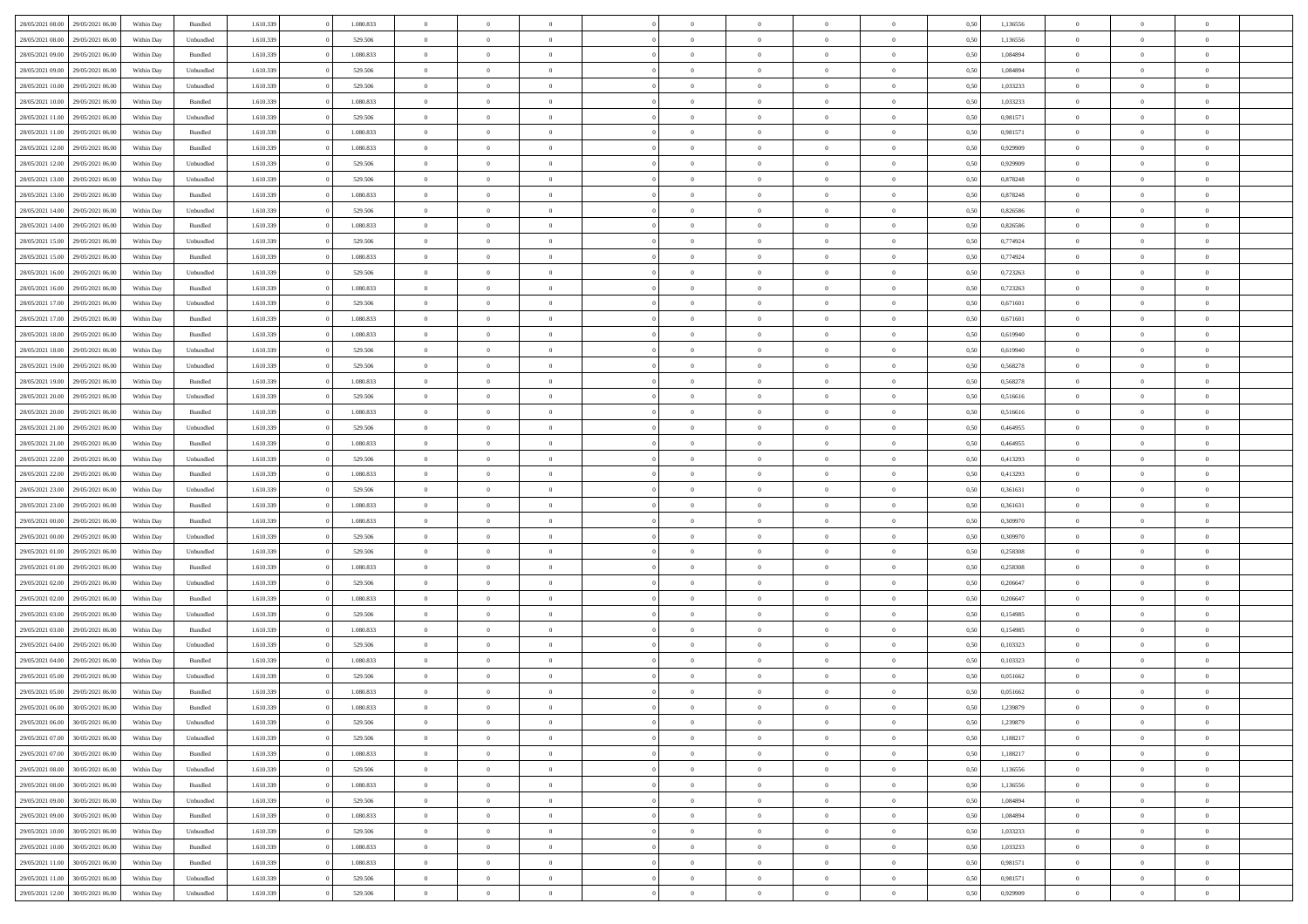| 28/05/2021 08:00 | 29/05/2021 06:00 | Within Day | Bundled            | 1.610.339 | 1.080.833 | $\overline{0}$ | $\Omega$       |                | $\Omega$       | $\Omega$       | $\Omega$       | $\theta$       | 0,50 | 1,136556 | $\theta$       | $\theta$       | $\theta$       |  |
|------------------|------------------|------------|--------------------|-----------|-----------|----------------|----------------|----------------|----------------|----------------|----------------|----------------|------|----------|----------------|----------------|----------------|--|
|                  |                  |            |                    |           |           |                |                |                |                |                |                |                |      |          |                |                |                |  |
| 28/05/2021 08:00 | 29/05/2021 06:00 | Within Day | Unbundled          | 1.610.339 | 529.506   | $\overline{0}$ | $\theta$       | $\overline{0}$ | $\overline{0}$ | $\bf{0}$       | $\overline{0}$ | $\bf{0}$       | 0,50 | 1,136556 | $\theta$       | $\theta$       | $\overline{0}$ |  |
| 28/05/2021 09:00 | 29/05/2021 06:00 | Within Day | Bundled            | 1.610.339 | 1.080.833 | $\overline{0}$ | $\overline{0}$ | $\overline{0}$ | $\bf{0}$       | $\bf{0}$       | $\bf{0}$       | $\bf{0}$       | 0,50 | 1,084894 | $\bf{0}$       | $\overline{0}$ | $\overline{0}$ |  |
| 28/05/2021 09:00 | 29/05/2021 06:00 | Within Day | Unbundled          | 1.610.339 | 529.506   | $\overline{0}$ | $\overline{0}$ | $\overline{0}$ | $\overline{0}$ | $\bf{0}$       | $\overline{0}$ | $\overline{0}$ | 0.50 | 1.084894 | $\theta$       | $\theta$       | $\overline{0}$ |  |
| 28/05/2021 10:00 | 29/05/2021 06:00 | Within Day | Unbundled          | 1.610.339 | 529.506   | $\overline{0}$ | $\theta$       | $\overline{0}$ | $\overline{0}$ | $\bf{0}$       | $\overline{0}$ | $\bf{0}$       | 0,50 | 1,033233 | $\theta$       | $\overline{0}$ | $\overline{0}$ |  |
| 28/05/2021 10:00 | 29/05/2021 06:00 | Within Day | Bundled            | 1.610.339 | 1.080.833 | $\overline{0}$ | $\overline{0}$ | $\overline{0}$ | $\bf{0}$       | $\overline{0}$ | $\overline{0}$ | $\mathbf{0}$   | 0,50 | 1,033233 | $\bf{0}$       | $\overline{0}$ | $\bf{0}$       |  |
| 28/05/2021 11:00 | 29/05/2021 06:00 | Within Dav | Unbundled          | 1.610.339 | 529.506   | $\overline{0}$ | $\overline{0}$ | $\overline{0}$ | $\overline{0}$ | $\overline{0}$ | $\overline{0}$ | $\overline{0}$ | 0.50 | 0.981571 | $\theta$       | $\overline{0}$ | $\overline{0}$ |  |
|                  |                  |            |                    |           |           |                |                |                |                |                |                |                |      |          |                |                |                |  |
| 28/05/2021 11:00 | 29/05/2021 06:00 | Within Day | Bundled            | 1.610.339 | 1.080.833 | $\overline{0}$ | $\theta$       | $\overline{0}$ | $\overline{0}$ | $\bf{0}$       | $\overline{0}$ | $\bf{0}$       | 0,50 | 0,981571 | $\theta$       | $\theta$       | $\overline{0}$ |  |
| 28/05/2021 12:00 | 29/05/2021 06:00 | Within Day | Bundled            | 1.610.339 | 1.080.833 | $\overline{0}$ | $\overline{0}$ | $\overline{0}$ | $\bf{0}$       | $\bf{0}$       | $\bf{0}$       | $\bf{0}$       | 0,50 | 0,929909 | $\,0\,$        | $\overline{0}$ | $\overline{0}$ |  |
| 28/05/2021 12:00 | 29/05/2021 06:00 | Within Dav | Unbundled          | 1.610.339 | 529.506   | $\overline{0}$ | $\overline{0}$ | $\overline{0}$ | $\overline{0}$ | $\overline{0}$ | $\overline{0}$ | $\overline{0}$ | 0.50 | 0.929909 | $\theta$       | $\overline{0}$ | $\overline{0}$ |  |
| 28/05/2021 13:00 | 29/05/2021 06:00 | Within Day | Unbundled          | 1.610.339 | 529.506   | $\overline{0}$ | $\theta$       | $\overline{0}$ | $\overline{0}$ | $\bf{0}$       | $\overline{0}$ | $\bf{0}$       | 0,50 | 0,878248 | $\,$ 0 $\,$    | $\overline{0}$ | $\overline{0}$ |  |
| 28/05/2021 13:00 | 29/05/2021 06:00 | Within Day | Bundled            | 1.610.339 | 1.080.833 | $\overline{0}$ | $\overline{0}$ | $\overline{0}$ | $\bf{0}$       | $\bf{0}$       | $\bf{0}$       | $\mathbf{0}$   | 0,50 | 0,878248 | $\overline{0}$ | $\overline{0}$ | $\overline{0}$ |  |
| 28/05/2021 14:00 | 29/05/2021 06:00 | Within Day | Unbundled          | 1.610.339 | 529.506   | $\overline{0}$ | $\overline{0}$ | $\overline{0}$ | $\overline{0}$ | $\bf{0}$       | $\overline{0}$ | $\overline{0}$ | 0.50 | 0.826586 | $\theta$       | $\theta$       | $\overline{0}$ |  |
| 28/05/2021 14:00 | 29/05/2021 06:00 | Within Day | Bundled            | 1.610.339 | 1.080.833 | $\overline{0}$ | $\theta$       | $\overline{0}$ | $\overline{0}$ | $\bf{0}$       | $\overline{0}$ | $\bf{0}$       | 0,50 | 0,826586 | $\theta$       | $\theta$       | $\overline{0}$ |  |
|                  |                  |            |                    |           |           |                |                |                |                |                |                |                |      |          |                |                |                |  |
| 28/05/2021 15:00 | 29/05/2021 06:00 | Within Day | Unbundled          | 1.610.339 | 529.506   | $\overline{0}$ | $\overline{0}$ | $\overline{0}$ | $\bf{0}$       | $\overline{0}$ | $\overline{0}$ | $\mathbf{0}$   | 0,50 | 0,774924 | $\overline{0}$ | $\overline{0}$ | $\bf{0}$       |  |
| 28/05/2021 15:00 | 29/05/2021 06:00 | Within Dav | Bundled            | 1.610.339 | 1.080.833 | $\overline{0}$ | $\overline{0}$ | $\overline{0}$ | $\overline{0}$ | $\overline{0}$ | $\overline{0}$ | $\overline{0}$ | 0.50 | 0,774924 | $\theta$       | $\overline{0}$ | $\overline{0}$ |  |
| 28/05/2021 16:00 | 29/05/2021 06:00 | Within Day | Unbundled          | 1.610.339 | 529.506   | $\overline{0}$ | $\theta$       | $\overline{0}$ | $\overline{0}$ | $\bf{0}$       | $\overline{0}$ | $\bf{0}$       | 0,50 | 0,723263 | $\,$ 0 $\,$    | $\theta$       | $\overline{0}$ |  |
| 28/05/2021 16:00 | 29/05/2021 06:00 | Within Day | Bundled            | 1.610.339 | 1.080.833 | $\overline{0}$ | $\overline{0}$ | $\overline{0}$ | $\bf{0}$       | $\bf{0}$       | $\bf{0}$       | $\mathbf{0}$   | 0,50 | 0,723263 | $\bf{0}$       | $\overline{0}$ | $\overline{0}$ |  |
| 28/05/2021 17:00 | 29/05/2021 06:00 | Within Day | Unbundled          | 1.610.339 | 529.506   | $\overline{0}$ | $\overline{0}$ | $\overline{0}$ | $\overline{0}$ | $\overline{0}$ | $\overline{0}$ | $\overline{0}$ | 0.50 | 0,671601 | $\theta$       | $\overline{0}$ | $\overline{0}$ |  |
| 28/05/2021 17:00 | 29/05/2021 06:00 | Within Day | Bundled            | 1.610.339 | 1.080.833 | $\overline{0}$ | $\theta$       | $\overline{0}$ | $\overline{0}$ | $\bf{0}$       | $\overline{0}$ | $\bf{0}$       | 0,50 | 0,671601 | $\,$ 0 $\,$    | $\theta$       | $\overline{0}$ |  |
| 28/05/2021 18:00 | 29/05/2021 06:00 | Within Day | Bundled            | 1.610.339 | 1.080.833 | $\overline{0}$ | $\overline{0}$ | $\overline{0}$ | $\bf{0}$       | $\bf{0}$       | $\bf{0}$       | $\bf{0}$       | 0,50 | 0,619940 | $\bf{0}$       | $\overline{0}$ | $\overline{0}$ |  |
| 28/05/2021 18:00 | 29/05/2021 06:00 | Within Day | Unbundled          | 1.610.339 | 529.506   | $\overline{0}$ | $\overline{0}$ | $\overline{0}$ | $\overline{0}$ | $\bf{0}$       | $\overline{0}$ | $\overline{0}$ | 0.50 | 0.619940 | $\theta$       | $\overline{0}$ | $\overline{0}$ |  |
|                  |                  |            |                    |           |           |                |                |                |                |                |                |                |      |          |                |                |                |  |
| 28/05/2021 19:00 | 29/05/2021 06:00 | Within Day | Unbundled          | 1.610.339 | 529.506   | $\overline{0}$ | $\theta$       | $\overline{0}$ | $\overline{0}$ | $\bf{0}$       | $\overline{0}$ | $\bf{0}$       | 0,50 | 0,568278 | $\,$ 0 $\,$    | $\overline{0}$ | $\overline{0}$ |  |
| 28/05/2021 19:00 | 29/05/2021 06:00 | Within Day | Bundled            | 1.610.339 | 1.080.833 | $\overline{0}$ | $\overline{0}$ | $\overline{0}$ | $\bf{0}$       | $\overline{0}$ | $\overline{0}$ | $\mathbf{0}$   | 0,50 | 0,568278 | $\overline{0}$ | $\overline{0}$ | $\bf{0}$       |  |
| 28/05/2021 20:00 | 29/05/2021 06:00 | Within Dav | Unbundled          | 1.610.339 | 529.506   | $\overline{0}$ | $\overline{0}$ | $\overline{0}$ | $\overline{0}$ | $\overline{0}$ | $\overline{0}$ | $\overline{0}$ | 0.50 | 0.516616 | $\theta$       | $\overline{0}$ | $\overline{0}$ |  |
| 28/05/2021 20:00 | 29/05/2021 06:00 | Within Day | Bundled            | 1.610.339 | 1.080.833 | $\overline{0}$ | $\theta$       | $\overline{0}$ | $\overline{0}$ | $\bf{0}$       | $\overline{0}$ | $\bf{0}$       | 0,50 | 0,516616 | $\theta$       | $\theta$       | $\overline{0}$ |  |
| 28/05/2021 21:00 | 29/05/2021 06:00 | Within Day | Unbundled          | 1.610.339 | 529.506   | $\overline{0}$ | $\overline{0}$ | $\overline{0}$ | $\bf{0}$       | $\bf{0}$       | $\bf{0}$       | $\bf{0}$       | 0,50 | 0,464955 | $\,0\,$        | $\overline{0}$ | $\overline{0}$ |  |
| 28/05/2021 21:00 | 29/05/2021 06:00 | Within Day | Bundled            | 1.610.339 | 1.080.833 | $\overline{0}$ | $\overline{0}$ | $\overline{0}$ | $\overline{0}$ | $\overline{0}$ | $\overline{0}$ | $\overline{0}$ | 0.50 | 0.464955 | $\theta$       | $\overline{0}$ | $\overline{0}$ |  |
| 28/05/2021 22:00 | 29/05/2021 06:00 | Within Day | Unbundled          | 1.610.339 | 529.506   | $\overline{0}$ | $\theta$       | $\overline{0}$ | $\overline{0}$ | $\bf{0}$       | $\overline{0}$ | $\bf{0}$       | 0,50 | 0,413293 | $\,$ 0 $\,$    | $\overline{0}$ | $\overline{0}$ |  |
|                  |                  |            |                    |           |           |                |                |                |                |                |                |                |      |          |                |                |                |  |
| 28/05/2021 22:00 | 29/05/2021 06:00 | Within Day | Bundled            | 1.610.339 | 1.080.833 | $\overline{0}$ | $\overline{0}$ | $\overline{0}$ | $\bf{0}$       | $\bf{0}$       | $\bf{0}$       | $\bf{0}$       | 0,50 | 0,413293 | $\bf{0}$       | $\overline{0}$ | $\overline{0}$ |  |
| 28/05/2021 23:00 | 29/05/2021 06:00 | Within Day | Unbundled          | 1.610.339 | 529.506   | $\overline{0}$ | $\Omega$       | $\overline{0}$ | $\Omega$       | $\Omega$       | $\overline{0}$ | $\overline{0}$ | 0.50 | 0,361631 | $\,0\,$        | $\theta$       | $\theta$       |  |
| 28/05/2021 23:00 | 29/05/2021 06:00 | Within Day | Bundled            | 1.610.339 | 1.080.833 | $\overline{0}$ | $\theta$       | $\overline{0}$ | $\overline{0}$ | $\bf{0}$       | $\overline{0}$ | $\bf{0}$       | 0,50 | 0,361631 | $\theta$       | $\theta$       | $\overline{0}$ |  |
| 29/05/2021 00:00 | 29/05/2021 06:00 | Within Day | Bundled            | 1.610.339 | 1.080.833 | $\overline{0}$ | $\overline{0}$ | $\overline{0}$ | $\bf{0}$       | $\bf{0}$       | $\overline{0}$ | $\mathbf{0}$   | 0,50 | 0,309970 | $\bf{0}$       | $\overline{0}$ | $\bf{0}$       |  |
| 29/05/2021 00:00 | 29/05/2021 06:00 | Within Day | Unbundled          | 1.610.339 | 529.506   | $\overline{0}$ | $\Omega$       | $\Omega$       | $\Omega$       | $\bf{0}$       | $\overline{0}$ | $\overline{0}$ | 0.50 | 0,309970 | $\,0\,$        | $\theta$       | $\theta$       |  |
| 29/05/2021 01:00 | 29/05/2021 06:00 | Within Day | Unbundled          | 1.610.339 | 529.506   | $\overline{0}$ | $\theta$       | $\overline{0}$ | $\overline{0}$ | $\bf{0}$       | $\overline{0}$ | $\bf{0}$       | 0,50 | 0,258308 | $\,$ 0 $\,$    | $\theta$       | $\overline{0}$ |  |
| 29/05/2021 01:00 | 29/05/2021 06:00 | Within Day | Bundled            | 1.610.339 | 1.080.833 | $\overline{0}$ | $\overline{0}$ | $\overline{0}$ | $\bf{0}$       | $\bf{0}$       | $\bf{0}$       | $\bf{0}$       | 0,50 | 0,258308 | $\bf{0}$       | $\overline{0}$ | $\overline{0}$ |  |
| 29/05/2021 02:00 | 29/05/2021 06:00 | Within Day | Unbundled          | 1.610.339 | 529.506   | $\overline{0}$ | $\Omega$       | $\Omega$       | $\Omega$       | $\theta$       | $\overline{0}$ | $\overline{0}$ | 0.50 | 0.206647 | $\theta$       | $\theta$       | $\theta$       |  |
| 29/05/2021 02:00 | 29/05/2021 06:00 |            | Bundled            | 1.610.339 | 1.080.833 | $\overline{0}$ | $\theta$       | $\overline{0}$ | $\overline{0}$ | $\bf{0}$       | $\overline{0}$ |                |      | 0,206647 | $\,$ 0 $\,$    | $\overline{0}$ | $\overline{0}$ |  |
|                  |                  | Within Day |                    |           |           |                |                |                |                |                |                | $\bf{0}$       | 0,50 |          |                |                |                |  |
| 29/05/2021 03:00 | 29/05/2021 06:00 | Within Day | Unbundled          | 1.610.339 | 529.506   | $\overline{0}$ | $\overline{0}$ | $\overline{0}$ | $\bf{0}$       | $\bf{0}$       | $\bf{0}$       | $\bf{0}$       | 0,50 | 0,154985 | $\bf{0}$       | $\overline{0}$ | $\overline{0}$ |  |
| 29/05/2021 03:00 | 29/05/2021 06:00 | Within Day | Bundled            | 1.610.339 | 1.080.833 | $\overline{0}$ | $\Omega$       | $\overline{0}$ | $\Omega$       | $\overline{0}$ | $\overline{0}$ | $\overline{0}$ | 0.50 | 0,154985 | $\,0\,$        | $\theta$       | $\theta$       |  |
| 29/05/2021 04:00 | 29/05/2021 06:00 | Within Day | Unbundled          | 1.610.339 | 529.506   | $\overline{0}$ | $\theta$       | $\overline{0}$ | $\overline{0}$ | $\,$ 0         | $\overline{0}$ | $\bf{0}$       | 0,50 | 0,103323 | $\,$ 0 $\,$    | $\overline{0}$ | $\overline{0}$ |  |
| 29/05/2021 04:00 | 29/05/2021 06:00 | Within Day | Bundled            | 1.610.339 | 1.080.833 | $\overline{0}$ | $\overline{0}$ | $\overline{0}$ | $\bf{0}$       | $\bf{0}$       | $\bf{0}$       | $\mathbf{0}$   | 0,50 | 0,103323 | $\bf{0}$       | $\overline{0}$ | $\bf{0}$       |  |
| 29/05/2021 05:00 | 29/05/2021 06:00 | Within Day | Unbundled          | 1.610.339 | 529.506   | $\overline{0}$ | $\Omega$       | $\Omega$       | $\Omega$       | $\Omega$       | $\Omega$       | $\overline{0}$ | 0.50 | 0.051662 | $\theta$       | $\theta$       | $\theta$       |  |
| 29/05/2021 05:00 | 29/05/2021 06:00 | Within Day | Bundled            | 1.610.339 | 1.080.833 | $\overline{0}$ | $\overline{0}$ | $\overline{0}$ | $\bf{0}$       | $\,$ 0         | $\bf{0}$       | $\bf{0}$       | 0,50 | 0,051662 | $\,0\,$        | $\overline{0}$ | $\overline{0}$ |  |
| 29/05/2021 06:00 | 30/05/2021 06:00 | Within Day | $\mathbf B$ undled | 1.610.339 | 1.080.833 | $\bf{0}$       | $\bf{0}$       |                |                | $\bf{0}$       |                |                | 0,50 | 1,239879 | $\bf{0}$       | $\overline{0}$ |                |  |
| 29/05/2021 06:00 | 30/05/2021 06:00 | Within Day | Unbundled          | 1.610.339 | 529.506   | $\overline{0}$ | $\overline{0}$ | $\overline{0}$ | $\Omega$       | $\overline{0}$ | $\overline{0}$ | $\overline{0}$ | 0,50 | 1,239879 | $\theta$       | $\theta$       | $\theta$       |  |
|                  |                  |            |                    |           |           |                |                |                |                |                |                |                |      |          |                |                |                |  |
| 29/05/2021 07:00 | 30/05/2021 06:00 | Within Day | Unbundled          | 1.610.339 | 529.506   | $\overline{0}$ | $\,$ 0         | $\overline{0}$ | $\bf{0}$       | $\,$ 0 $\,$    | $\overline{0}$ | $\,$ 0 $\,$    | 0,50 | 1,188217 | $\,$ 0 $\,$    | $\,$ 0 $\,$    | $\,$ 0         |  |
| 29/05/2021 07:00 | 30/05/2021 06:00 | Within Day | Bundled            | 1.610.339 | 1.080.833 | $\overline{0}$ | $\overline{0}$ | $\overline{0}$ | $\overline{0}$ | $\overline{0}$ | $\overline{0}$ | $\mathbf{0}$   | 0,50 | 1,188217 | $\overline{0}$ | $\bf{0}$       | $\bf{0}$       |  |
| 29/05/2021 08:00 | 30/05/2021 06:00 | Within Day | Unbundled          | 1.610.339 | 529.506   | $\overline{0}$ | $\overline{0}$ | $\overline{0}$ | $\Omega$       | $\overline{0}$ | $\overline{0}$ | $\overline{0}$ | 0,50 | 1,136556 | $\overline{0}$ | $\theta$       | $\overline{0}$ |  |
| 29/05/2021 08:00 | 30/05/2021 06:00 | Within Day | Bundled            | 1.610.339 | 1.080.833 | $\overline{0}$ | $\,$ 0         | $\overline{0}$ | $\overline{0}$ | $\,$ 0 $\,$    | $\overline{0}$ | $\mathbf{0}$   | 0,50 | 1,136556 | $\,$ 0 $\,$    | $\overline{0}$ | $\overline{0}$ |  |
| 29/05/2021 09:00 | 30/05/2021 06:00 | Within Day | Unbundled          | 1.610.339 | 529.506   | $\overline{0}$ | $\overline{0}$ | $\overline{0}$ | $\overline{0}$ | $\overline{0}$ | $\overline{0}$ | $\mathbf{0}$   | 0,50 | 1,084894 | $\overline{0}$ | $\overline{0}$ | $\bf{0}$       |  |
| 29/05/2021 09:00 | 30/05/2021 06:00 | Within Day | Bundled            | 1.610.339 | 1.080.833 | $\overline{0}$ | $\overline{0}$ | $\overline{0}$ | $\overline{0}$ | $\overline{0}$ | $\overline{0}$ | $\bf{0}$       | 0.50 | 1,084894 | $\overline{0}$ | $\theta$       | $\overline{0}$ |  |
| 29/05/2021 10:00 | 30/05/2021 06:00 | Within Day | Unbundled          | 1.610.339 | 529.506   | $\overline{0}$ | $\,$ 0         | $\overline{0}$ | $\bf{0}$       | $\bf{0}$       | $\bf{0}$       | $\bf{0}$       | 0,50 | 1,033233 | $\,$ 0 $\,$    | $\overline{0}$ | $\overline{0}$ |  |
| 29/05/2021 10:00 | 30/05/2021 06:00 | Within Day | Bundled            | 1.610.339 | 1.080.833 | $\overline{0}$ | $\bf{0}$       | $\overline{0}$ | $\overline{0}$ | $\overline{0}$ | $\overline{0}$ | $\mathbf{0}$   | 0,50 | 1,033233 | $\overline{0}$ | $\overline{0}$ | $\bf{0}$       |  |
|                  |                  |            |                    |           |           |                |                |                |                |                |                |                |      |          |                |                |                |  |
| 29/05/2021 11:00 | 30/05/2021 06:00 | Within Day | Bundled            | 1.610.339 | 1.080.833 | $\overline{0}$ | $\overline{0}$ | $\overline{0}$ | $\Omega$       | $\overline{0}$ | $\overline{0}$ | $\overline{0}$ | 0.50 | 0,981571 | $\overline{0}$ | $\overline{0}$ | $\overline{0}$ |  |
| 29/05/2021 11:00 | 30/05/2021 06:00 | Within Day | Unbundled          | 1.610.339 | 529.506   | $\overline{0}$ | $\bf{0}$       | $\overline{0}$ | $\bf{0}$       | $\bf{0}$       | $\bf{0}$       | $\mathbf{0}$   | 0,50 | 0,981571 | $\,$ 0 $\,$    | $\,$ 0 $\,$    | $\bf{0}$       |  |
| 29/05/2021 12:00 | 30/05/2021 06:00 | Within Day | Unbundled          | 1.610.339 | 529.506   | $\overline{0}$ | $\overline{0}$ | $\overline{0}$ | $\overline{0}$ | $\overline{0}$ | $\bf{0}$       | $\mathbf{0}$   | 0,50 | 0,929909 | $\overline{0}$ | $\bf{0}$       | $\bf{0}$       |  |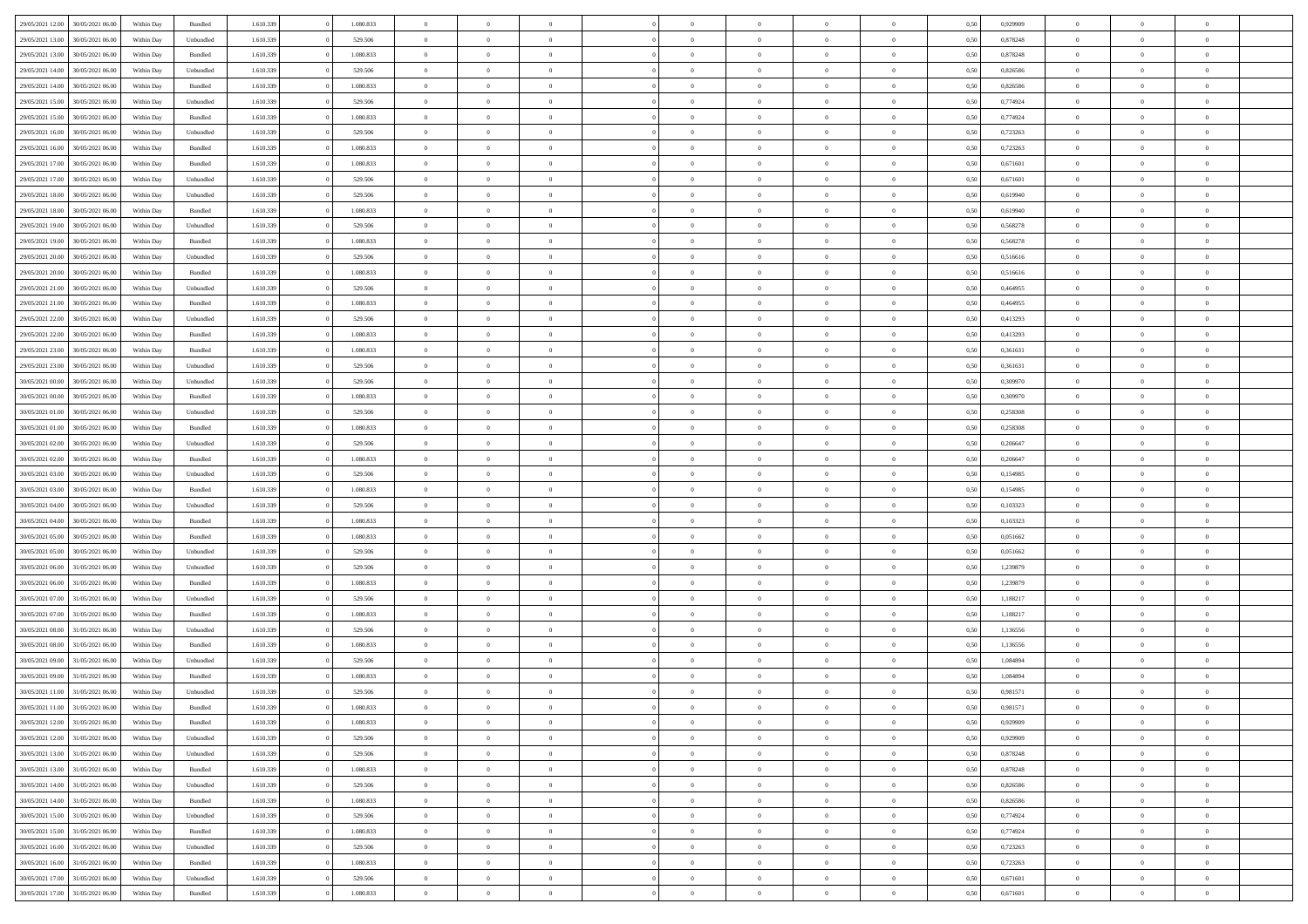| 29/05/2021 12:00<br>30/05/2021 06:00<br>Within Day<br>1.610.339<br>1.080.833<br>0,50<br>0,929909<br>$\mathbf{0}$<br>Bundled<br>$\overline{0}$<br>$\overline{0}$<br>$\Omega$<br>$\overline{0}$<br>$\Omega$<br>$\Omega$<br>29/05/2021 13:00<br>30/05/2021 06:00<br>Unbundled<br>1.610.339<br>529.506<br>$\,$ 0<br>0,878248<br>$\mathbf{0}$<br>Within Day<br>$\bf{0}$<br>$\overline{0}$<br>$\overline{0}$<br>$\theta$<br>$\overline{0}$<br>$\overline{0}$<br>0,50<br>29/05/2021 13:00<br>30/05/2021 06:00<br>Within Day<br>Bundled<br>1.610.339<br>1.080.833<br>$\overline{0}$<br>$\overline{0}$<br>$\overline{0}$<br>$\bf{0}$<br>$\bf{0}$<br>$\overline{0}$<br>$\mathbf{0}$<br>0,50<br>0,878248<br>$\bf{0}$<br>29/05/2021 14:00<br>1.610.339<br>$\overline{0}$<br>$\mathbf{0}$<br>30/05/2021 06:00<br>Within Day<br>Unbundled<br>529,506<br>$\overline{0}$<br>$\overline{0}$<br>$\overline{0}$<br>$\overline{0}$<br>0.50<br>0.826586<br>$\overline{0}$<br>$\Omega$<br>29/05/2021 14:00<br>30/05/2021 06:00<br>1.610.339<br>1.080.833<br>0,826586<br>$\mathbf{0}$<br>Within Day<br>Bundled<br>$\bf{0}$<br>$\overline{0}$<br>$\overline{0}$<br>$\theta$<br>$\overline{0}$<br>$\overline{0}$<br>$\bf{0}$<br>0,50<br>29/05/2021 15:00<br>30/05/2021 06:00<br>Within Day<br>Unbundled<br>1.610.339<br>529.506<br>$\overline{0}$<br>$\overline{0}$<br>$\overline{0}$<br>$\bf{0}$<br>$\overline{0}$<br>$\overline{0}$<br>$\overline{0}$<br>0,50<br>0,774924<br>$\overline{0}$<br>29/05/2021 15:00<br>1.610.339<br>1.080.833<br>$\overline{0}$<br>$\mathbf{0}$<br>0,774924<br>$\mathbf{0}$<br>30/05/2021 06:00<br>Within Day<br>Bundled<br>$\overline{0}$<br>$\overline{0}$<br>$\overline{0}$<br>$\overline{0}$<br>$\overline{0}$<br>0.50<br>29/05/2021 16:00<br>30/05/2021 06:00<br>1.610.339<br>529.506<br>0,723263<br>Within Day<br>Unbundled<br>$\bf{0}$<br>$\overline{0}$<br>$\overline{0}$<br>$\theta$<br>$\overline{0}$<br>$\overline{0}$<br>$\bf{0}$<br>0,50<br>$\theta$<br>29/05/2021 16:00<br>30/05/2021 06:00<br>Within Day<br>Bundled<br>1.610.339<br>1.080.833<br>$\overline{0}$<br>$\overline{0}$<br>$\bf{0}$<br>$\bf{0}$<br>$\bf{0}$<br>$\overline{0}$<br>$\bf{0}$<br>0,50<br>0,723263<br>$\bf{0}$<br>29/05/2021 17:00<br>30/05/2021 06:00<br>1.610.339<br>1.080.833<br>$\overline{0}$<br>$\overline{0}$<br>$\overline{0}$<br>$\overline{0}$<br>$\overline{0}$<br>0.50<br>0,671601<br>$\overline{0}$<br>Within Day<br>Bundled<br>$\overline{0}$<br>$\overline{0}$<br>29/05/2021 17:00<br>30/05/2021 06:00<br>Unbundled<br>1.610.339<br>529.506<br>$\,$ 0<br>0,671601<br>$\mathbf{0}$<br>Within Day<br>$\bf{0}$<br>$\overline{0}$<br>$\overline{0}$<br>$\overline{0}$<br>$\overline{0}$<br>$\overline{0}$<br>0,50<br>29/05/2021 18:00<br>30/05/2021 06:00<br>Within Day<br>Unbundled<br>1.610.339<br>529.506<br>$\overline{0}$<br>$\overline{0}$<br>$\overline{0}$<br>$\bf{0}$<br>$\bf{0}$<br>$\overline{0}$<br>$\mathbf{0}$<br>0,50<br>0,619940<br>$\bf{0}$<br>29/05/2021 18:00<br>1.610.339<br>1.080.833<br>$\overline{0}$<br>$\mathbf{0}$<br>30/05/2021 06:00<br>Within Day<br>Bundled<br>$\overline{0}$<br>$\overline{0}$<br>$\overline{0}$<br>$\overline{0}$<br>0.50<br>0.619940<br>$\overline{0}$<br>$\overline{0}$<br>29/05/2021 19:00<br>30/05/2021 06:00<br>1.610.339<br>529.506<br>$\,$ 0<br>0,568278<br>Within Day<br>Unbundled<br>$\bf{0}$<br>$\overline{0}$<br>$\theta$<br>$\theta$<br>$\overline{0}$<br>$\overline{0}$<br>0,50<br>$\theta$<br>29/05/2021 19:00<br>30/05/2021 06:00<br>Within Day<br>Bundled<br>1.610.339<br>1.080.833<br>$\overline{0}$<br>$\overline{0}$<br>$\overline{0}$<br>$\bf{0}$<br>$\overline{0}$<br>$\overline{0}$<br>$\overline{0}$<br>0,50<br>0,568278<br>$\overline{0}$<br>29/05/2021 20:00<br>30/05/2021 06:00<br>1.610.339<br>529.506<br>$\overline{0}$<br>$\overline{0}$<br>$\overline{0}$<br>Within Day<br>Unbundled<br>$\overline{0}$<br>$\overline{0}$<br>$\overline{0}$<br>$\overline{0}$<br>$\overline{0}$<br>0.50<br>0.516616<br>29/05/2021 20:00<br>30/05/2021 06:00<br>1.610.339<br>1.080.833<br>0,516616<br>Within Day<br>Bundled<br>$\bf{0}$<br>$\overline{0}$<br>$\overline{0}$<br>$\overline{0}$<br>$\overline{0}$<br>$\overline{0}$<br>$\bf{0}$<br>0,50<br>$\theta$<br>29/05/2021 21:00<br>30/05/2021 06:00<br>Within Day<br>Unbundled<br>1.610.339<br>529.506<br>$\overline{0}$<br>$\overline{0}$<br>$\bf{0}$<br>$\bf{0}$<br>$\bf{0}$<br>$\overline{0}$<br>$\bf{0}$<br>0,50<br>0,464955<br>$\bf{0}$<br>29/05/2021 21:00<br>30/05/2021 06:00<br>1.610.339<br>1.080.833<br>$\overline{0}$<br>$\overline{0}$<br>$\overline{0}$<br>$\overline{0}$<br>$\mathbf{0}$<br>Within Day<br>Bundled<br>$\overline{0}$<br>$\overline{0}$<br>$\overline{0}$<br>0.50<br>0.464955<br>29/05/2021 22:00<br>30/05/2021 06:00<br>Unbundled<br>1.610.339<br>529.506<br>$\,$ 0<br>0,413293<br>Within Day<br>$\bf{0}$<br>$\overline{0}$<br>$\overline{0}$<br>$\overline{0}$<br>$\overline{0}$<br>$\overline{0}$<br>0,50<br>$\theta$<br>29/05/2021 22:00<br>30/05/2021 06:00<br>Within Day<br>Bundled<br>1.610.339<br>1.080.833<br>$\overline{0}$<br>$\overline{0}$<br>$\overline{0}$<br>$\bf{0}$<br>$\bf{0}$<br>$\overline{0}$<br>$\mathbf{0}$<br>0,50<br>0,413293<br>$\bf{0}$<br>29/05/2021 23:00<br>1.610.339<br>1.080.833<br>$\overline{0}$<br>$\overline{0}$<br>30/05/2021 06:00<br>Within Day<br>Bundled<br>$\overline{0}$<br>$\overline{0}$<br>$\overline{0}$<br>$\overline{0}$<br>0.50<br>0.361631<br>$\overline{0}$<br>$\overline{0}$<br>29/05/2021 23:00<br>30/05/2021 06:00<br>Unbundled<br>1.610.339<br>529.506<br>$\,$ 0<br>0,361631<br>$\mathbf{0}$<br>Within Day<br>$\bf{0}$<br>$\overline{0}$<br>$\overline{0}$<br>$\overline{0}$<br>$\overline{0}$<br>$\overline{0}$<br>0,50<br>30/05/2021 00:00<br>30/05/2021 06:00<br>Within Day<br>Unbundled<br>1.610.339<br>529.506<br>$\overline{0}$<br>$\overline{0}$<br>$\overline{0}$<br>$\bf{0}$<br>$\overline{0}$<br>$\overline{0}$<br>$\overline{0}$<br>0,50<br>0,309970<br>$\overline{0}$ | $\Omega$<br>$\Omega$<br>$\theta$<br>$\bf{0}$<br>$\bf{0}$<br>$\bf{0}$<br>$\overline{0}$<br>$\bf{0}$<br>$\theta$<br>$\overline{0}$<br>$\bf{0}$<br>$\overline{0}$<br>$\overline{0}$<br>$\bf{0}$<br>$\theta$<br>$\bf{0}$<br>$\bf{0}$<br>$\bf{0}$<br>$\overline{0}$<br>$\overline{0}$<br>$\theta$<br>$\bf{0}$<br>$\bf{0}$<br>$\bf{0}$<br>$\overline{0}$<br>$\bf{0}$<br>$\theta$<br>$\overline{0}$<br>$\bf{0}$<br>$\overline{0}$<br>$\overline{0}$<br>$\overline{0}$<br>$\theta$<br>$\bf{0}$<br>$\bf{0}$<br>$\bf{0}$<br>$\overline{0}$<br>$\overline{0}$<br>$\theta$<br>$\bf{0}$ |
|----------------------------------------------------------------------------------------------------------------------------------------------------------------------------------------------------------------------------------------------------------------------------------------------------------------------------------------------------------------------------------------------------------------------------------------------------------------------------------------------------------------------------------------------------------------------------------------------------------------------------------------------------------------------------------------------------------------------------------------------------------------------------------------------------------------------------------------------------------------------------------------------------------------------------------------------------------------------------------------------------------------------------------------------------------------------------------------------------------------------------------------------------------------------------------------------------------------------------------------------------------------------------------------------------------------------------------------------------------------------------------------------------------------------------------------------------------------------------------------------------------------------------------------------------------------------------------------------------------------------------------------------------------------------------------------------------------------------------------------------------------------------------------------------------------------------------------------------------------------------------------------------------------------------------------------------------------------------------------------------------------------------------------------------------------------------------------------------------------------------------------------------------------------------------------------------------------------------------------------------------------------------------------------------------------------------------------------------------------------------------------------------------------------------------------------------------------------------------------------------------------------------------------------------------------------------------------------------------------------------------------------------------------------------------------------------------------------------------------------------------------------------------------------------------------------------------------------------------------------------------------------------------------------------------------------------------------------------------------------------------------------------------------------------------------------------------------------------------------------------------------------------------------------------------------------------------------------------------------------------------------------------------------------------------------------------------------------------------------------------------------------------------------------------------------------------------------------------------------------------------------------------------------------------------------------------------------------------------------------------------------------------------------------------------------------------------------------------------------------------------------------------------------------------------------------------------------------------------------------------------------------------------------------------------------------------------------------------------------------------------------------------------------------------------------------------------------------------------------------------------------------------------------------------------------------------------------------------------------------------------------------------------------------------------------------------------------------------------------------------------------------------------------------------------------------------------------------------------------------------------------------------------------------------------------------------------------------------------------------------------------------------------------------------------------------------------------------------------------------------------------------------------------------------------------------------------------------------------------------------------------------------------------------------------------------------------------------------------------------------------------------------------------------------------------------------------------------------------------------------------------------------------------------------------------------------------------------------------------------------------------------------------------------------------------------------------------------------------------------------------------------------------------------------------------------------------------------------------------------------------------------------------------------------------------------------------------------------------------------------------------------------------------------------------------------------------------------------------------------------------------------------------------------------------------------------------------------------------------------------------------------------------------------------------------------------------------------------------------------------|----------------------------------------------------------------------------------------------------------------------------------------------------------------------------------------------------------------------------------------------------------------------------------------------------------------------------------------------------------------------------------------------------------------------------------------------------------------------------------------------------------------------------------------------------------------------------|
|                                                                                                                                                                                                                                                                                                                                                                                                                                                                                                                                                                                                                                                                                                                                                                                                                                                                                                                                                                                                                                                                                                                                                                                                                                                                                                                                                                                                                                                                                                                                                                                                                                                                                                                                                                                                                                                                                                                                                                                                                                                                                                                                                                                                                                                                                                                                                                                                                                                                                                                                                                                                                                                                                                                                                                                                                                                                                                                                                                                                                                                                                                                                                                                                                                                                                                                                                                                                                                                                                                                                                                                                                                                                                                                                                                                                                                                                                                                                                                                                                                                                                                                                                                                                                                                                                                                                                                                                                                                                                                                                                                                                                                                                                                                                                                                                                                                                                                                                                                                                                                                                                                                                                                                                                                                                                                                                                                                                                                                                                                                                                                                                                                                                                                                                                                                                                                                                                                                                                                                              |                                                                                                                                                                                                                                                                                                                                                                                                                                                                                                                                                                            |
|                                                                                                                                                                                                                                                                                                                                                                                                                                                                                                                                                                                                                                                                                                                                                                                                                                                                                                                                                                                                                                                                                                                                                                                                                                                                                                                                                                                                                                                                                                                                                                                                                                                                                                                                                                                                                                                                                                                                                                                                                                                                                                                                                                                                                                                                                                                                                                                                                                                                                                                                                                                                                                                                                                                                                                                                                                                                                                                                                                                                                                                                                                                                                                                                                                                                                                                                                                                                                                                                                                                                                                                                                                                                                                                                                                                                                                                                                                                                                                                                                                                                                                                                                                                                                                                                                                                                                                                                                                                                                                                                                                                                                                                                                                                                                                                                                                                                                                                                                                                                                                                                                                                                                                                                                                                                                                                                                                                                                                                                                                                                                                                                                                                                                                                                                                                                                                                                                                                                                                                              |                                                                                                                                                                                                                                                                                                                                                                                                                                                                                                                                                                            |
|                                                                                                                                                                                                                                                                                                                                                                                                                                                                                                                                                                                                                                                                                                                                                                                                                                                                                                                                                                                                                                                                                                                                                                                                                                                                                                                                                                                                                                                                                                                                                                                                                                                                                                                                                                                                                                                                                                                                                                                                                                                                                                                                                                                                                                                                                                                                                                                                                                                                                                                                                                                                                                                                                                                                                                                                                                                                                                                                                                                                                                                                                                                                                                                                                                                                                                                                                                                                                                                                                                                                                                                                                                                                                                                                                                                                                                                                                                                                                                                                                                                                                                                                                                                                                                                                                                                                                                                                                                                                                                                                                                                                                                                                                                                                                                                                                                                                                                                                                                                                                                                                                                                                                                                                                                                                                                                                                                                                                                                                                                                                                                                                                                                                                                                                                                                                                                                                                                                                                                                              |                                                                                                                                                                                                                                                                                                                                                                                                                                                                                                                                                                            |
|                                                                                                                                                                                                                                                                                                                                                                                                                                                                                                                                                                                                                                                                                                                                                                                                                                                                                                                                                                                                                                                                                                                                                                                                                                                                                                                                                                                                                                                                                                                                                                                                                                                                                                                                                                                                                                                                                                                                                                                                                                                                                                                                                                                                                                                                                                                                                                                                                                                                                                                                                                                                                                                                                                                                                                                                                                                                                                                                                                                                                                                                                                                                                                                                                                                                                                                                                                                                                                                                                                                                                                                                                                                                                                                                                                                                                                                                                                                                                                                                                                                                                                                                                                                                                                                                                                                                                                                                                                                                                                                                                                                                                                                                                                                                                                                                                                                                                                                                                                                                                                                                                                                                                                                                                                                                                                                                                                                                                                                                                                                                                                                                                                                                                                                                                                                                                                                                                                                                                                                              |                                                                                                                                                                                                                                                                                                                                                                                                                                                                                                                                                                            |
|                                                                                                                                                                                                                                                                                                                                                                                                                                                                                                                                                                                                                                                                                                                                                                                                                                                                                                                                                                                                                                                                                                                                                                                                                                                                                                                                                                                                                                                                                                                                                                                                                                                                                                                                                                                                                                                                                                                                                                                                                                                                                                                                                                                                                                                                                                                                                                                                                                                                                                                                                                                                                                                                                                                                                                                                                                                                                                                                                                                                                                                                                                                                                                                                                                                                                                                                                                                                                                                                                                                                                                                                                                                                                                                                                                                                                                                                                                                                                                                                                                                                                                                                                                                                                                                                                                                                                                                                                                                                                                                                                                                                                                                                                                                                                                                                                                                                                                                                                                                                                                                                                                                                                                                                                                                                                                                                                                                                                                                                                                                                                                                                                                                                                                                                                                                                                                                                                                                                                                                              |                                                                                                                                                                                                                                                                                                                                                                                                                                                                                                                                                                            |
|                                                                                                                                                                                                                                                                                                                                                                                                                                                                                                                                                                                                                                                                                                                                                                                                                                                                                                                                                                                                                                                                                                                                                                                                                                                                                                                                                                                                                                                                                                                                                                                                                                                                                                                                                                                                                                                                                                                                                                                                                                                                                                                                                                                                                                                                                                                                                                                                                                                                                                                                                                                                                                                                                                                                                                                                                                                                                                                                                                                                                                                                                                                                                                                                                                                                                                                                                                                                                                                                                                                                                                                                                                                                                                                                                                                                                                                                                                                                                                                                                                                                                                                                                                                                                                                                                                                                                                                                                                                                                                                                                                                                                                                                                                                                                                                                                                                                                                                                                                                                                                                                                                                                                                                                                                                                                                                                                                                                                                                                                                                                                                                                                                                                                                                                                                                                                                                                                                                                                                                              |                                                                                                                                                                                                                                                                                                                                                                                                                                                                                                                                                                            |
|                                                                                                                                                                                                                                                                                                                                                                                                                                                                                                                                                                                                                                                                                                                                                                                                                                                                                                                                                                                                                                                                                                                                                                                                                                                                                                                                                                                                                                                                                                                                                                                                                                                                                                                                                                                                                                                                                                                                                                                                                                                                                                                                                                                                                                                                                                                                                                                                                                                                                                                                                                                                                                                                                                                                                                                                                                                                                                                                                                                                                                                                                                                                                                                                                                                                                                                                                                                                                                                                                                                                                                                                                                                                                                                                                                                                                                                                                                                                                                                                                                                                                                                                                                                                                                                                                                                                                                                                                                                                                                                                                                                                                                                                                                                                                                                                                                                                                                                                                                                                                                                                                                                                                                                                                                                                                                                                                                                                                                                                                                                                                                                                                                                                                                                                                                                                                                                                                                                                                                                              |                                                                                                                                                                                                                                                                                                                                                                                                                                                                                                                                                                            |
|                                                                                                                                                                                                                                                                                                                                                                                                                                                                                                                                                                                                                                                                                                                                                                                                                                                                                                                                                                                                                                                                                                                                                                                                                                                                                                                                                                                                                                                                                                                                                                                                                                                                                                                                                                                                                                                                                                                                                                                                                                                                                                                                                                                                                                                                                                                                                                                                                                                                                                                                                                                                                                                                                                                                                                                                                                                                                                                                                                                                                                                                                                                                                                                                                                                                                                                                                                                                                                                                                                                                                                                                                                                                                                                                                                                                                                                                                                                                                                                                                                                                                                                                                                                                                                                                                                                                                                                                                                                                                                                                                                                                                                                                                                                                                                                                                                                                                                                                                                                                                                                                                                                                                                                                                                                                                                                                                                                                                                                                                                                                                                                                                                                                                                                                                                                                                                                                                                                                                                                              |                                                                                                                                                                                                                                                                                                                                                                                                                                                                                                                                                                            |
|                                                                                                                                                                                                                                                                                                                                                                                                                                                                                                                                                                                                                                                                                                                                                                                                                                                                                                                                                                                                                                                                                                                                                                                                                                                                                                                                                                                                                                                                                                                                                                                                                                                                                                                                                                                                                                                                                                                                                                                                                                                                                                                                                                                                                                                                                                                                                                                                                                                                                                                                                                                                                                                                                                                                                                                                                                                                                                                                                                                                                                                                                                                                                                                                                                                                                                                                                                                                                                                                                                                                                                                                                                                                                                                                                                                                                                                                                                                                                                                                                                                                                                                                                                                                                                                                                                                                                                                                                                                                                                                                                                                                                                                                                                                                                                                                                                                                                                                                                                                                                                                                                                                                                                                                                                                                                                                                                                                                                                                                                                                                                                                                                                                                                                                                                                                                                                                                                                                                                                                              |                                                                                                                                                                                                                                                                                                                                                                                                                                                                                                                                                                            |
|                                                                                                                                                                                                                                                                                                                                                                                                                                                                                                                                                                                                                                                                                                                                                                                                                                                                                                                                                                                                                                                                                                                                                                                                                                                                                                                                                                                                                                                                                                                                                                                                                                                                                                                                                                                                                                                                                                                                                                                                                                                                                                                                                                                                                                                                                                                                                                                                                                                                                                                                                                                                                                                                                                                                                                                                                                                                                                                                                                                                                                                                                                                                                                                                                                                                                                                                                                                                                                                                                                                                                                                                                                                                                                                                                                                                                                                                                                                                                                                                                                                                                                                                                                                                                                                                                                                                                                                                                                                                                                                                                                                                                                                                                                                                                                                                                                                                                                                                                                                                                                                                                                                                                                                                                                                                                                                                                                                                                                                                                                                                                                                                                                                                                                                                                                                                                                                                                                                                                                                              |                                                                                                                                                                                                                                                                                                                                                                                                                                                                                                                                                                            |
|                                                                                                                                                                                                                                                                                                                                                                                                                                                                                                                                                                                                                                                                                                                                                                                                                                                                                                                                                                                                                                                                                                                                                                                                                                                                                                                                                                                                                                                                                                                                                                                                                                                                                                                                                                                                                                                                                                                                                                                                                                                                                                                                                                                                                                                                                                                                                                                                                                                                                                                                                                                                                                                                                                                                                                                                                                                                                                                                                                                                                                                                                                                                                                                                                                                                                                                                                                                                                                                                                                                                                                                                                                                                                                                                                                                                                                                                                                                                                                                                                                                                                                                                                                                                                                                                                                                                                                                                                                                                                                                                                                                                                                                                                                                                                                                                                                                                                                                                                                                                                                                                                                                                                                                                                                                                                                                                                                                                                                                                                                                                                                                                                                                                                                                                                                                                                                                                                                                                                                                              |                                                                                                                                                                                                                                                                                                                                                                                                                                                                                                                                                                            |
|                                                                                                                                                                                                                                                                                                                                                                                                                                                                                                                                                                                                                                                                                                                                                                                                                                                                                                                                                                                                                                                                                                                                                                                                                                                                                                                                                                                                                                                                                                                                                                                                                                                                                                                                                                                                                                                                                                                                                                                                                                                                                                                                                                                                                                                                                                                                                                                                                                                                                                                                                                                                                                                                                                                                                                                                                                                                                                                                                                                                                                                                                                                                                                                                                                                                                                                                                                                                                                                                                                                                                                                                                                                                                                                                                                                                                                                                                                                                                                                                                                                                                                                                                                                                                                                                                                                                                                                                                                                                                                                                                                                                                                                                                                                                                                                                                                                                                                                                                                                                                                                                                                                                                                                                                                                                                                                                                                                                                                                                                                                                                                                                                                                                                                                                                                                                                                                                                                                                                                                              |                                                                                                                                                                                                                                                                                                                                                                                                                                                                                                                                                                            |
|                                                                                                                                                                                                                                                                                                                                                                                                                                                                                                                                                                                                                                                                                                                                                                                                                                                                                                                                                                                                                                                                                                                                                                                                                                                                                                                                                                                                                                                                                                                                                                                                                                                                                                                                                                                                                                                                                                                                                                                                                                                                                                                                                                                                                                                                                                                                                                                                                                                                                                                                                                                                                                                                                                                                                                                                                                                                                                                                                                                                                                                                                                                                                                                                                                                                                                                                                                                                                                                                                                                                                                                                                                                                                                                                                                                                                                                                                                                                                                                                                                                                                                                                                                                                                                                                                                                                                                                                                                                                                                                                                                                                                                                                                                                                                                                                                                                                                                                                                                                                                                                                                                                                                                                                                                                                                                                                                                                                                                                                                                                                                                                                                                                                                                                                                                                                                                                                                                                                                                                              |                                                                                                                                                                                                                                                                                                                                                                                                                                                                                                                                                                            |
|                                                                                                                                                                                                                                                                                                                                                                                                                                                                                                                                                                                                                                                                                                                                                                                                                                                                                                                                                                                                                                                                                                                                                                                                                                                                                                                                                                                                                                                                                                                                                                                                                                                                                                                                                                                                                                                                                                                                                                                                                                                                                                                                                                                                                                                                                                                                                                                                                                                                                                                                                                                                                                                                                                                                                                                                                                                                                                                                                                                                                                                                                                                                                                                                                                                                                                                                                                                                                                                                                                                                                                                                                                                                                                                                                                                                                                                                                                                                                                                                                                                                                                                                                                                                                                                                                                                                                                                                                                                                                                                                                                                                                                                                                                                                                                                                                                                                                                                                                                                                                                                                                                                                                                                                                                                                                                                                                                                                                                                                                                                                                                                                                                                                                                                                                                                                                                                                                                                                                                                              |                                                                                                                                                                                                                                                                                                                                                                                                                                                                                                                                                                            |
|                                                                                                                                                                                                                                                                                                                                                                                                                                                                                                                                                                                                                                                                                                                                                                                                                                                                                                                                                                                                                                                                                                                                                                                                                                                                                                                                                                                                                                                                                                                                                                                                                                                                                                                                                                                                                                                                                                                                                                                                                                                                                                                                                                                                                                                                                                                                                                                                                                                                                                                                                                                                                                                                                                                                                                                                                                                                                                                                                                                                                                                                                                                                                                                                                                                                                                                                                                                                                                                                                                                                                                                                                                                                                                                                                                                                                                                                                                                                                                                                                                                                                                                                                                                                                                                                                                                                                                                                                                                                                                                                                                                                                                                                                                                                                                                                                                                                                                                                                                                                                                                                                                                                                                                                                                                                                                                                                                                                                                                                                                                                                                                                                                                                                                                                                                                                                                                                                                                                                                                              |                                                                                                                                                                                                                                                                                                                                                                                                                                                                                                                                                                            |
|                                                                                                                                                                                                                                                                                                                                                                                                                                                                                                                                                                                                                                                                                                                                                                                                                                                                                                                                                                                                                                                                                                                                                                                                                                                                                                                                                                                                                                                                                                                                                                                                                                                                                                                                                                                                                                                                                                                                                                                                                                                                                                                                                                                                                                                                                                                                                                                                                                                                                                                                                                                                                                                                                                                                                                                                                                                                                                                                                                                                                                                                                                                                                                                                                                                                                                                                                                                                                                                                                                                                                                                                                                                                                                                                                                                                                                                                                                                                                                                                                                                                                                                                                                                                                                                                                                                                                                                                                                                                                                                                                                                                                                                                                                                                                                                                                                                                                                                                                                                                                                                                                                                                                                                                                                                                                                                                                                                                                                                                                                                                                                                                                                                                                                                                                                                                                                                                                                                                                                                              |                                                                                                                                                                                                                                                                                                                                                                                                                                                                                                                                                                            |
|                                                                                                                                                                                                                                                                                                                                                                                                                                                                                                                                                                                                                                                                                                                                                                                                                                                                                                                                                                                                                                                                                                                                                                                                                                                                                                                                                                                                                                                                                                                                                                                                                                                                                                                                                                                                                                                                                                                                                                                                                                                                                                                                                                                                                                                                                                                                                                                                                                                                                                                                                                                                                                                                                                                                                                                                                                                                                                                                                                                                                                                                                                                                                                                                                                                                                                                                                                                                                                                                                                                                                                                                                                                                                                                                                                                                                                                                                                                                                                                                                                                                                                                                                                                                                                                                                                                                                                                                                                                                                                                                                                                                                                                                                                                                                                                                                                                                                                                                                                                                                                                                                                                                                                                                                                                                                                                                                                                                                                                                                                                                                                                                                                                                                                                                                                                                                                                                                                                                                                                              |                                                                                                                                                                                                                                                                                                                                                                                                                                                                                                                                                                            |
|                                                                                                                                                                                                                                                                                                                                                                                                                                                                                                                                                                                                                                                                                                                                                                                                                                                                                                                                                                                                                                                                                                                                                                                                                                                                                                                                                                                                                                                                                                                                                                                                                                                                                                                                                                                                                                                                                                                                                                                                                                                                                                                                                                                                                                                                                                                                                                                                                                                                                                                                                                                                                                                                                                                                                                                                                                                                                                                                                                                                                                                                                                                                                                                                                                                                                                                                                                                                                                                                                                                                                                                                                                                                                                                                                                                                                                                                                                                                                                                                                                                                                                                                                                                                                                                                                                                                                                                                                                                                                                                                                                                                                                                                                                                                                                                                                                                                                                                                                                                                                                                                                                                                                                                                                                                                                                                                                                                                                                                                                                                                                                                                                                                                                                                                                                                                                                                                                                                                                                                              |                                                                                                                                                                                                                                                                                                                                                                                                                                                                                                                                                                            |
|                                                                                                                                                                                                                                                                                                                                                                                                                                                                                                                                                                                                                                                                                                                                                                                                                                                                                                                                                                                                                                                                                                                                                                                                                                                                                                                                                                                                                                                                                                                                                                                                                                                                                                                                                                                                                                                                                                                                                                                                                                                                                                                                                                                                                                                                                                                                                                                                                                                                                                                                                                                                                                                                                                                                                                                                                                                                                                                                                                                                                                                                                                                                                                                                                                                                                                                                                                                                                                                                                                                                                                                                                                                                                                                                                                                                                                                                                                                                                                                                                                                                                                                                                                                                                                                                                                                                                                                                                                                                                                                                                                                                                                                                                                                                                                                                                                                                                                                                                                                                                                                                                                                                                                                                                                                                                                                                                                                                                                                                                                                                                                                                                                                                                                                                                                                                                                                                                                                                                                                              |                                                                                                                                                                                                                                                                                                                                                                                                                                                                                                                                                                            |
|                                                                                                                                                                                                                                                                                                                                                                                                                                                                                                                                                                                                                                                                                                                                                                                                                                                                                                                                                                                                                                                                                                                                                                                                                                                                                                                                                                                                                                                                                                                                                                                                                                                                                                                                                                                                                                                                                                                                                                                                                                                                                                                                                                                                                                                                                                                                                                                                                                                                                                                                                                                                                                                                                                                                                                                                                                                                                                                                                                                                                                                                                                                                                                                                                                                                                                                                                                                                                                                                                                                                                                                                                                                                                                                                                                                                                                                                                                                                                                                                                                                                                                                                                                                                                                                                                                                                                                                                                                                                                                                                                                                                                                                                                                                                                                                                                                                                                                                                                                                                                                                                                                                                                                                                                                                                                                                                                                                                                                                                                                                                                                                                                                                                                                                                                                                                                                                                                                                                                                                              |                                                                                                                                                                                                                                                                                                                                                                                                                                                                                                                                                                            |
|                                                                                                                                                                                                                                                                                                                                                                                                                                                                                                                                                                                                                                                                                                                                                                                                                                                                                                                                                                                                                                                                                                                                                                                                                                                                                                                                                                                                                                                                                                                                                                                                                                                                                                                                                                                                                                                                                                                                                                                                                                                                                                                                                                                                                                                                                                                                                                                                                                                                                                                                                                                                                                                                                                                                                                                                                                                                                                                                                                                                                                                                                                                                                                                                                                                                                                                                                                                                                                                                                                                                                                                                                                                                                                                                                                                                                                                                                                                                                                                                                                                                                                                                                                                                                                                                                                                                                                                                                                                                                                                                                                                                                                                                                                                                                                                                                                                                                                                                                                                                                                                                                                                                                                                                                                                                                                                                                                                                                                                                                                                                                                                                                                                                                                                                                                                                                                                                                                                                                                                              |                                                                                                                                                                                                                                                                                                                                                                                                                                                                                                                                                                            |
|                                                                                                                                                                                                                                                                                                                                                                                                                                                                                                                                                                                                                                                                                                                                                                                                                                                                                                                                                                                                                                                                                                                                                                                                                                                                                                                                                                                                                                                                                                                                                                                                                                                                                                                                                                                                                                                                                                                                                                                                                                                                                                                                                                                                                                                                                                                                                                                                                                                                                                                                                                                                                                                                                                                                                                                                                                                                                                                                                                                                                                                                                                                                                                                                                                                                                                                                                                                                                                                                                                                                                                                                                                                                                                                                                                                                                                                                                                                                                                                                                                                                                                                                                                                                                                                                                                                                                                                                                                                                                                                                                                                                                                                                                                                                                                                                                                                                                                                                                                                                                                                                                                                                                                                                                                                                                                                                                                                                                                                                                                                                                                                                                                                                                                                                                                                                                                                                                                                                                                                              |                                                                                                                                                                                                                                                                                                                                                                                                                                                                                                                                                                            |
|                                                                                                                                                                                                                                                                                                                                                                                                                                                                                                                                                                                                                                                                                                                                                                                                                                                                                                                                                                                                                                                                                                                                                                                                                                                                                                                                                                                                                                                                                                                                                                                                                                                                                                                                                                                                                                                                                                                                                                                                                                                                                                                                                                                                                                                                                                                                                                                                                                                                                                                                                                                                                                                                                                                                                                                                                                                                                                                                                                                                                                                                                                                                                                                                                                                                                                                                                                                                                                                                                                                                                                                                                                                                                                                                                                                                                                                                                                                                                                                                                                                                                                                                                                                                                                                                                                                                                                                                                                                                                                                                                                                                                                                                                                                                                                                                                                                                                                                                                                                                                                                                                                                                                                                                                                                                                                                                                                                                                                                                                                                                                                                                                                                                                                                                                                                                                                                                                                                                                                                              |                                                                                                                                                                                                                                                                                                                                                                                                                                                                                                                                                                            |
|                                                                                                                                                                                                                                                                                                                                                                                                                                                                                                                                                                                                                                                                                                                                                                                                                                                                                                                                                                                                                                                                                                                                                                                                                                                                                                                                                                                                                                                                                                                                                                                                                                                                                                                                                                                                                                                                                                                                                                                                                                                                                                                                                                                                                                                                                                                                                                                                                                                                                                                                                                                                                                                                                                                                                                                                                                                                                                                                                                                                                                                                                                                                                                                                                                                                                                                                                                                                                                                                                                                                                                                                                                                                                                                                                                                                                                                                                                                                                                                                                                                                                                                                                                                                                                                                                                                                                                                                                                                                                                                                                                                                                                                                                                                                                                                                                                                                                                                                                                                                                                                                                                                                                                                                                                                                                                                                                                                                                                                                                                                                                                                                                                                                                                                                                                                                                                                                                                                                                                                              |                                                                                                                                                                                                                                                                                                                                                                                                                                                                                                                                                                            |
|                                                                                                                                                                                                                                                                                                                                                                                                                                                                                                                                                                                                                                                                                                                                                                                                                                                                                                                                                                                                                                                                                                                                                                                                                                                                                                                                                                                                                                                                                                                                                                                                                                                                                                                                                                                                                                                                                                                                                                                                                                                                                                                                                                                                                                                                                                                                                                                                                                                                                                                                                                                                                                                                                                                                                                                                                                                                                                                                                                                                                                                                                                                                                                                                                                                                                                                                                                                                                                                                                                                                                                                                                                                                                                                                                                                                                                                                                                                                                                                                                                                                                                                                                                                                                                                                                                                                                                                                                                                                                                                                                                                                                                                                                                                                                                                                                                                                                                                                                                                                                                                                                                                                                                                                                                                                                                                                                                                                                                                                                                                                                                                                                                                                                                                                                                                                                                                                                                                                                                                              |                                                                                                                                                                                                                                                                                                                                                                                                                                                                                                                                                                            |
|                                                                                                                                                                                                                                                                                                                                                                                                                                                                                                                                                                                                                                                                                                                                                                                                                                                                                                                                                                                                                                                                                                                                                                                                                                                                                                                                                                                                                                                                                                                                                                                                                                                                                                                                                                                                                                                                                                                                                                                                                                                                                                                                                                                                                                                                                                                                                                                                                                                                                                                                                                                                                                                                                                                                                                                                                                                                                                                                                                                                                                                                                                                                                                                                                                                                                                                                                                                                                                                                                                                                                                                                                                                                                                                                                                                                                                                                                                                                                                                                                                                                                                                                                                                                                                                                                                                                                                                                                                                                                                                                                                                                                                                                                                                                                                                                                                                                                                                                                                                                                                                                                                                                                                                                                                                                                                                                                                                                                                                                                                                                                                                                                                                                                                                                                                                                                                                                                                                                                                                              | $\bf{0}$<br>$\bf{0}$                                                                                                                                                                                                                                                                                                                                                                                                                                                                                                                                                       |
|                                                                                                                                                                                                                                                                                                                                                                                                                                                                                                                                                                                                                                                                                                                                                                                                                                                                                                                                                                                                                                                                                                                                                                                                                                                                                                                                                                                                                                                                                                                                                                                                                                                                                                                                                                                                                                                                                                                                                                                                                                                                                                                                                                                                                                                                                                                                                                                                                                                                                                                                                                                                                                                                                                                                                                                                                                                                                                                                                                                                                                                                                                                                                                                                                                                                                                                                                                                                                                                                                                                                                                                                                                                                                                                                                                                                                                                                                                                                                                                                                                                                                                                                                                                                                                                                                                                                                                                                                                                                                                                                                                                                                                                                                                                                                                                                                                                                                                                                                                                                                                                                                                                                                                                                                                                                                                                                                                                                                                                                                                                                                                                                                                                                                                                                                                                                                                                                                                                                                                                              | $\overline{0}$<br>$\bf{0}$                                                                                                                                                                                                                                                                                                                                                                                                                                                                                                                                                 |
|                                                                                                                                                                                                                                                                                                                                                                                                                                                                                                                                                                                                                                                                                                                                                                                                                                                                                                                                                                                                                                                                                                                                                                                                                                                                                                                                                                                                                                                                                                                                                                                                                                                                                                                                                                                                                                                                                                                                                                                                                                                                                                                                                                                                                                                                                                                                                                                                                                                                                                                                                                                                                                                                                                                                                                                                                                                                                                                                                                                                                                                                                                                                                                                                                                                                                                                                                                                                                                                                                                                                                                                                                                                                                                                                                                                                                                                                                                                                                                                                                                                                                                                                                                                                                                                                                                                                                                                                                                                                                                                                                                                                                                                                                                                                                                                                                                                                                                                                                                                                                                                                                                                                                                                                                                                                                                                                                                                                                                                                                                                                                                                                                                                                                                                                                                                                                                                                                                                                                                                              |                                                                                                                                                                                                                                                                                                                                                                                                                                                                                                                                                                            |
|                                                                                                                                                                                                                                                                                                                                                                                                                                                                                                                                                                                                                                                                                                                                                                                                                                                                                                                                                                                                                                                                                                                                                                                                                                                                                                                                                                                                                                                                                                                                                                                                                                                                                                                                                                                                                                                                                                                                                                                                                                                                                                                                                                                                                                                                                                                                                                                                                                                                                                                                                                                                                                                                                                                                                                                                                                                                                                                                                                                                                                                                                                                                                                                                                                                                                                                                                                                                                                                                                                                                                                                                                                                                                                                                                                                                                                                                                                                                                                                                                                                                                                                                                                                                                                                                                                                                                                                                                                                                                                                                                                                                                                                                                                                                                                                                                                                                                                                                                                                                                                                                                                                                                                                                                                                                                                                                                                                                                                                                                                                                                                                                                                                                                                                                                                                                                                                                                                                                                                                              | $\theta$<br>$\bf{0}$                                                                                                                                                                                                                                                                                                                                                                                                                                                                                                                                                       |
|                                                                                                                                                                                                                                                                                                                                                                                                                                                                                                                                                                                                                                                                                                                                                                                                                                                                                                                                                                                                                                                                                                                                                                                                                                                                                                                                                                                                                                                                                                                                                                                                                                                                                                                                                                                                                                                                                                                                                                                                                                                                                                                                                                                                                                                                                                                                                                                                                                                                                                                                                                                                                                                                                                                                                                                                                                                                                                                                                                                                                                                                                                                                                                                                                                                                                                                                                                                                                                                                                                                                                                                                                                                                                                                                                                                                                                                                                                                                                                                                                                                                                                                                                                                                                                                                                                                                                                                                                                                                                                                                                                                                                                                                                                                                                                                                                                                                                                                                                                                                                                                                                                                                                                                                                                                                                                                                                                                                                                                                                                                                                                                                                                                                                                                                                                                                                                                                                                                                                                                              | $\bf{0}$<br>$\overline{0}$                                                                                                                                                                                                                                                                                                                                                                                                                                                                                                                                                 |
| 30/05/2021 00:00<br>30/05/2021 06:00<br>1.610.339<br>1.080.833<br>$\overline{0}$<br>$\overline{0}$<br>0,309970<br>$\overline{0}$<br>Within Day<br>Bundled<br>$\overline{0}$<br>$\overline{0}$<br>$\overline{0}$<br>$\overline{0}$<br>0.50<br>$\overline{0}$                                                                                                                                                                                                                                                                                                                                                                                                                                                                                                                                                                                                                                                                                                                                                                                                                                                                                                                                                                                                                                                                                                                                                                                                                                                                                                                                                                                                                                                                                                                                                                                                                                                                                                                                                                                                                                                                                                                                                                                                                                                                                                                                                                                                                                                                                                                                                                                                                                                                                                                                                                                                                                                                                                                                                                                                                                                                                                                                                                                                                                                                                                                                                                                                                                                                                                                                                                                                                                                                                                                                                                                                                                                                                                                                                                                                                                                                                                                                                                                                                                                                                                                                                                                                                                                                                                                                                                                                                                                                                                                                                                                                                                                                                                                                                                                                                                                                                                                                                                                                                                                                                                                                                                                                                                                                                                                                                                                                                                                                                                                                                                                                                                                                                                                                  | $\overline{0}$<br>$\overline{0}$                                                                                                                                                                                                                                                                                                                                                                                                                                                                                                                                           |
| 30/05/2021 01:00<br>30/05/2021 06:00<br>1.610.339<br>529.506<br>0,258308<br>Within Day<br>Unbundled<br>$\bf{0}$<br>$\overline{0}$<br>$\bf{0}$<br>$\overline{0}$<br>$\overline{0}$<br>$\overline{0}$<br>$\bf{0}$<br>0,50<br>$\theta$                                                                                                                                                                                                                                                                                                                                                                                                                                                                                                                                                                                                                                                                                                                                                                                                                                                                                                                                                                                                                                                                                                                                                                                                                                                                                                                                                                                                                                                                                                                                                                                                                                                                                                                                                                                                                                                                                                                                                                                                                                                                                                                                                                                                                                                                                                                                                                                                                                                                                                                                                                                                                                                                                                                                                                                                                                                                                                                                                                                                                                                                                                                                                                                                                                                                                                                                                                                                                                                                                                                                                                                                                                                                                                                                                                                                                                                                                                                                                                                                                                                                                                                                                                                                                                                                                                                                                                                                                                                                                                                                                                                                                                                                                                                                                                                                                                                                                                                                                                                                                                                                                                                                                                                                                                                                                                                                                                                                                                                                                                                                                                                                                                                                                                                                                          | $\theta$<br>$\bf{0}$                                                                                                                                                                                                                                                                                                                                                                                                                                                                                                                                                       |
|                                                                                                                                                                                                                                                                                                                                                                                                                                                                                                                                                                                                                                                                                                                                                                                                                                                                                                                                                                                                                                                                                                                                                                                                                                                                                                                                                                                                                                                                                                                                                                                                                                                                                                                                                                                                                                                                                                                                                                                                                                                                                                                                                                                                                                                                                                                                                                                                                                                                                                                                                                                                                                                                                                                                                                                                                                                                                                                                                                                                                                                                                                                                                                                                                                                                                                                                                                                                                                                                                                                                                                                                                                                                                                                                                                                                                                                                                                                                                                                                                                                                                                                                                                                                                                                                                                                                                                                                                                                                                                                                                                                                                                                                                                                                                                                                                                                                                                                                                                                                                                                                                                                                                                                                                                                                                                                                                                                                                                                                                                                                                                                                                                                                                                                                                                                                                                                                                                                                                                                              |                                                                                                                                                                                                                                                                                                                                                                                                                                                                                                                                                                            |
| 30/05/2021 01:00<br>30/05/2021 06:00<br>Within Day<br>Bundled<br>1.610.339<br>1.080.833<br>$\overline{0}$<br>$\overline{0}$<br>$\bf{0}$<br>$\bf{0}$<br>$\bf{0}$<br>$\overline{0}$<br>$\bf{0}$<br>0,50<br>0,258308<br>$\bf{0}$                                                                                                                                                                                                                                                                                                                                                                                                                                                                                                                                                                                                                                                                                                                                                                                                                                                                                                                                                                                                                                                                                                                                                                                                                                                                                                                                                                                                                                                                                                                                                                                                                                                                                                                                                                                                                                                                                                                                                                                                                                                                                                                                                                                                                                                                                                                                                                                                                                                                                                                                                                                                                                                                                                                                                                                                                                                                                                                                                                                                                                                                                                                                                                                                                                                                                                                                                                                                                                                                                                                                                                                                                                                                                                                                                                                                                                                                                                                                                                                                                                                                                                                                                                                                                                                                                                                                                                                                                                                                                                                                                                                                                                                                                                                                                                                                                                                                                                                                                                                                                                                                                                                                                                                                                                                                                                                                                                                                                                                                                                                                                                                                                                                                                                                                                                | $\bf{0}$<br>$\bf{0}$                                                                                                                                                                                                                                                                                                                                                                                                                                                                                                                                                       |
| 30/05/2021 02:00<br>30/05/2021 06:00<br>1.610.339<br>529.506<br>$\overline{0}$<br>$\overline{0}$<br>$\overline{0}$<br>$\overline{0}$<br>Within Day<br>Unbundled<br>$\overline{0}$<br>$\overline{0}$<br>$\overline{0}$<br>$\overline{0}$<br>0.50<br>0.206647                                                                                                                                                                                                                                                                                                                                                                                                                                                                                                                                                                                                                                                                                                                                                                                                                                                                                                                                                                                                                                                                                                                                                                                                                                                                                                                                                                                                                                                                                                                                                                                                                                                                                                                                                                                                                                                                                                                                                                                                                                                                                                                                                                                                                                                                                                                                                                                                                                                                                                                                                                                                                                                                                                                                                                                                                                                                                                                                                                                                                                                                                                                                                                                                                                                                                                                                                                                                                                                                                                                                                                                                                                                                                                                                                                                                                                                                                                                                                                                                                                                                                                                                                                                                                                                                                                                                                                                                                                                                                                                                                                                                                                                                                                                                                                                                                                                                                                                                                                                                                                                                                                                                                                                                                                                                                                                                                                                                                                                                                                                                                                                                                                                                                                                                  | $\overline{0}$<br>$\bf{0}$                                                                                                                                                                                                                                                                                                                                                                                                                                                                                                                                                 |
| 30/05/2021 02:00<br>30/05/2021 06:00<br>Bundled<br>1.610.339<br>1.080.833<br>$\,$ 0<br>0,206647<br>Within Day<br>$\bf{0}$<br>$\overline{0}$<br>$\overline{0}$<br>$\overline{0}$<br>$\overline{0}$<br>$\overline{0}$<br>0,50<br>$\theta$                                                                                                                                                                                                                                                                                                                                                                                                                                                                                                                                                                                                                                                                                                                                                                                                                                                                                                                                                                                                                                                                                                                                                                                                                                                                                                                                                                                                                                                                                                                                                                                                                                                                                                                                                                                                                                                                                                                                                                                                                                                                                                                                                                                                                                                                                                                                                                                                                                                                                                                                                                                                                                                                                                                                                                                                                                                                                                                                                                                                                                                                                                                                                                                                                                                                                                                                                                                                                                                                                                                                                                                                                                                                                                                                                                                                                                                                                                                                                                                                                                                                                                                                                                                                                                                                                                                                                                                                                                                                                                                                                                                                                                                                                                                                                                                                                                                                                                                                                                                                                                                                                                                                                                                                                                                                                                                                                                                                                                                                                                                                                                                                                                                                                                                                                      | $\theta$<br>$\bf{0}$                                                                                                                                                                                                                                                                                                                                                                                                                                                                                                                                                       |
| 30/05/2021 03:00<br>30/05/2021 06:00<br>Within Day<br>Unbundled<br>1.610.339<br>529.506<br>$\overline{0}$<br>$\overline{0}$<br>$\overline{0}$<br>$\bf{0}$<br>$\bf{0}$<br>$\overline{0}$<br>$\mathbf{0}$<br>0,50<br>0,154985<br>$\overline{0}$                                                                                                                                                                                                                                                                                                                                                                                                                                                                                                                                                                                                                                                                                                                                                                                                                                                                                                                                                                                                                                                                                                                                                                                                                                                                                                                                                                                                                                                                                                                                                                                                                                                                                                                                                                                                                                                                                                                                                                                                                                                                                                                                                                                                                                                                                                                                                                                                                                                                                                                                                                                                                                                                                                                                                                                                                                                                                                                                                                                                                                                                                                                                                                                                                                                                                                                                                                                                                                                                                                                                                                                                                                                                                                                                                                                                                                                                                                                                                                                                                                                                                                                                                                                                                                                                                                                                                                                                                                                                                                                                                                                                                                                                                                                                                                                                                                                                                                                                                                                                                                                                                                                                                                                                                                                                                                                                                                                                                                                                                                                                                                                                                                                                                                                                                | $\bf{0}$<br>$\bf{0}$                                                                                                                                                                                                                                                                                                                                                                                                                                                                                                                                                       |
|                                                                                                                                                                                                                                                                                                                                                                                                                                                                                                                                                                                                                                                                                                                                                                                                                                                                                                                                                                                                                                                                                                                                                                                                                                                                                                                                                                                                                                                                                                                                                                                                                                                                                                                                                                                                                                                                                                                                                                                                                                                                                                                                                                                                                                                                                                                                                                                                                                                                                                                                                                                                                                                                                                                                                                                                                                                                                                                                                                                                                                                                                                                                                                                                                                                                                                                                                                                                                                                                                                                                                                                                                                                                                                                                                                                                                                                                                                                                                                                                                                                                                                                                                                                                                                                                                                                                                                                                                                                                                                                                                                                                                                                                                                                                                                                                                                                                                                                                                                                                                                                                                                                                                                                                                                                                                                                                                                                                                                                                                                                                                                                                                                                                                                                                                                                                                                                                                                                                                                                              |                                                                                                                                                                                                                                                                                                                                                                                                                                                                                                                                                                            |
| 30/05/2021 03:00<br>30/05/2021 06:00<br>1.610.339<br>1.080.833<br>$\overline{0}$<br>$\overline{0}$<br>$\bf{0}$<br>Within Day<br>Bundled<br>$\overline{0}$<br>$\overline{0}$<br>$\overline{0}$<br>$\overline{0}$<br>$\Omega$<br>0.50<br>0,154985                                                                                                                                                                                                                                                                                                                                                                                                                                                                                                                                                                                                                                                                                                                                                                                                                                                                                                                                                                                                                                                                                                                                                                                                                                                                                                                                                                                                                                                                                                                                                                                                                                                                                                                                                                                                                                                                                                                                                                                                                                                                                                                                                                                                                                                                                                                                                                                                                                                                                                                                                                                                                                                                                                                                                                                                                                                                                                                                                                                                                                                                                                                                                                                                                                                                                                                                                                                                                                                                                                                                                                                                                                                                                                                                                                                                                                                                                                                                                                                                                                                                                                                                                                                                                                                                                                                                                                                                                                                                                                                                                                                                                                                                                                                                                                                                                                                                                                                                                                                                                                                                                                                                                                                                                                                                                                                                                                                                                                                                                                                                                                                                                                                                                                                                              | $\Omega$<br>$\Omega$                                                                                                                                                                                                                                                                                                                                                                                                                                                                                                                                                       |
| 30/05/2021 04:00<br>30/05/2021 06:00<br>1.610.339<br>529.506<br>$\,$ 0<br>0,103323<br>Within Day<br>Unbundled<br>$\bf{0}$<br>$\overline{0}$<br>$\overline{0}$<br>$\theta$<br>$\overline{0}$<br>$\overline{0}$<br>0,50<br>$\theta$                                                                                                                                                                                                                                                                                                                                                                                                                                                                                                                                                                                                                                                                                                                                                                                                                                                                                                                                                                                                                                                                                                                                                                                                                                                                                                                                                                                                                                                                                                                                                                                                                                                                                                                                                                                                                                                                                                                                                                                                                                                                                                                                                                                                                                                                                                                                                                                                                                                                                                                                                                                                                                                                                                                                                                                                                                                                                                                                                                                                                                                                                                                                                                                                                                                                                                                                                                                                                                                                                                                                                                                                                                                                                                                                                                                                                                                                                                                                                                                                                                                                                                                                                                                                                                                                                                                                                                                                                                                                                                                                                                                                                                                                                                                                                                                                                                                                                                                                                                                                                                                                                                                                                                                                                                                                                                                                                                                                                                                                                                                                                                                                                                                                                                                                                            | $\theta$<br>$\bf{0}$                                                                                                                                                                                                                                                                                                                                                                                                                                                                                                                                                       |
| 30/05/2021 04:00<br>30/05/2021 06:00<br>Within Day<br>Bundled<br>1.610.339<br>1.080.833<br>$\overline{0}$<br>$\overline{0}$<br>$\overline{0}$<br>$\bf{0}$<br>$\overline{0}$<br>$\overline{0}$<br>$\overline{0}$<br>0,50<br>0,103323<br>$\overline{0}$                                                                                                                                                                                                                                                                                                                                                                                                                                                                                                                                                                                                                                                                                                                                                                                                                                                                                                                                                                                                                                                                                                                                                                                                                                                                                                                                                                                                                                                                                                                                                                                                                                                                                                                                                                                                                                                                                                                                                                                                                                                                                                                                                                                                                                                                                                                                                                                                                                                                                                                                                                                                                                                                                                                                                                                                                                                                                                                                                                                                                                                                                                                                                                                                                                                                                                                                                                                                                                                                                                                                                                                                                                                                                                                                                                                                                                                                                                                                                                                                                                                                                                                                                                                                                                                                                                                                                                                                                                                                                                                                                                                                                                                                                                                                                                                                                                                                                                                                                                                                                                                                                                                                                                                                                                                                                                                                                                                                                                                                                                                                                                                                                                                                                                                                        | $\bf{0}$<br>$\overline{0}$                                                                                                                                                                                                                                                                                                                                                                                                                                                                                                                                                 |
| 30/05/2021 05:00<br>30/05/2021 06:00<br>1.610.339<br>1.080.833<br>$\overline{0}$<br>$\overline{0}$<br>$\overline{0}$<br>0.50<br>$\overline{0}$<br>Within Day<br>Bundled<br>$\overline{0}$<br>$\Omega$<br>$\overline{0}$<br>$\Omega$<br>0.051662                                                                                                                                                                                                                                                                                                                                                                                                                                                                                                                                                                                                                                                                                                                                                                                                                                                                                                                                                                                                                                                                                                                                                                                                                                                                                                                                                                                                                                                                                                                                                                                                                                                                                                                                                                                                                                                                                                                                                                                                                                                                                                                                                                                                                                                                                                                                                                                                                                                                                                                                                                                                                                                                                                                                                                                                                                                                                                                                                                                                                                                                                                                                                                                                                                                                                                                                                                                                                                                                                                                                                                                                                                                                                                                                                                                                                                                                                                                                                                                                                                                                                                                                                                                                                                                                                                                                                                                                                                                                                                                                                                                                                                                                                                                                                                                                                                                                                                                                                                                                                                                                                                                                                                                                                                                                                                                                                                                                                                                                                                                                                                                                                                                                                                                                              | $\Omega$<br>$\Omega$                                                                                                                                                                                                                                                                                                                                                                                                                                                                                                                                                       |
|                                                                                                                                                                                                                                                                                                                                                                                                                                                                                                                                                                                                                                                                                                                                                                                                                                                                                                                                                                                                                                                                                                                                                                                                                                                                                                                                                                                                                                                                                                                                                                                                                                                                                                                                                                                                                                                                                                                                                                                                                                                                                                                                                                                                                                                                                                                                                                                                                                                                                                                                                                                                                                                                                                                                                                                                                                                                                                                                                                                                                                                                                                                                                                                                                                                                                                                                                                                                                                                                                                                                                                                                                                                                                                                                                                                                                                                                                                                                                                                                                                                                                                                                                                                                                                                                                                                                                                                                                                                                                                                                                                                                                                                                                                                                                                                                                                                                                                                                                                                                                                                                                                                                                                                                                                                                                                                                                                                                                                                                                                                                                                                                                                                                                                                                                                                                                                                                                                                                                                                              |                                                                                                                                                                                                                                                                                                                                                                                                                                                                                                                                                                            |
| 30/05/2021 05:00<br>30/05/2021 06:00<br>1.610.339<br>529.506<br>0,051662<br>Within Day<br>Unbundled<br>$\bf{0}$<br>$\overline{0}$<br>$\bf{0}$<br>$\overline{0}$<br>$\overline{0}$<br>$\overline{0}$<br>$\bf{0}$<br>0,50<br>$\theta$                                                                                                                                                                                                                                                                                                                                                                                                                                                                                                                                                                                                                                                                                                                                                                                                                                                                                                                                                                                                                                                                                                                                                                                                                                                                                                                                                                                                                                                                                                                                                                                                                                                                                                                                                                                                                                                                                                                                                                                                                                                                                                                                                                                                                                                                                                                                                                                                                                                                                                                                                                                                                                                                                                                                                                                                                                                                                                                                                                                                                                                                                                                                                                                                                                                                                                                                                                                                                                                                                                                                                                                                                                                                                                                                                                                                                                                                                                                                                                                                                                                                                                                                                                                                                                                                                                                                                                                                                                                                                                                                                                                                                                                                                                                                                                                                                                                                                                                                                                                                                                                                                                                                                                                                                                                                                                                                                                                                                                                                                                                                                                                                                                                                                                                                                          | $\theta$<br>$\bf{0}$                                                                                                                                                                                                                                                                                                                                                                                                                                                                                                                                                       |
| 30/05/2021 06:00<br>31/05/2021 06.00<br>Within Day<br>Unbundled<br>1.610.339<br>529.506<br>$\overline{0}$<br>$\overline{0}$<br>$\bf{0}$<br>$\bf{0}$<br>$\bf{0}$<br>$\overline{0}$<br>$\bf{0}$<br>0,50<br>1,239879<br>$\bf{0}$                                                                                                                                                                                                                                                                                                                                                                                                                                                                                                                                                                                                                                                                                                                                                                                                                                                                                                                                                                                                                                                                                                                                                                                                                                                                                                                                                                                                                                                                                                                                                                                                                                                                                                                                                                                                                                                                                                                                                                                                                                                                                                                                                                                                                                                                                                                                                                                                                                                                                                                                                                                                                                                                                                                                                                                                                                                                                                                                                                                                                                                                                                                                                                                                                                                                                                                                                                                                                                                                                                                                                                                                                                                                                                                                                                                                                                                                                                                                                                                                                                                                                                                                                                                                                                                                                                                                                                                                                                                                                                                                                                                                                                                                                                                                                                                                                                                                                                                                                                                                                                                                                                                                                                                                                                                                                                                                                                                                                                                                                                                                                                                                                                                                                                                                                                | $\bf{0}$<br>$\bf{0}$                                                                                                                                                                                                                                                                                                                                                                                                                                                                                                                                                       |
| 30/05/2021 06:00<br>31/05/2021 06.00<br>1.610.339<br>1.080.833<br>$\overline{0}$<br>$\Omega$<br>$\overline{0}$<br>$\theta$<br>0.50<br>1,239879<br>$\overline{0}$<br>Within Day<br>Bundled<br>$\Omega$<br>$\overline{0}$<br>$\Omega$                                                                                                                                                                                                                                                                                                                                                                                                                                                                                                                                                                                                                                                                                                                                                                                                                                                                                                                                                                                                                                                                                                                                                                                                                                                                                                                                                                                                                                                                                                                                                                                                                                                                                                                                                                                                                                                                                                                                                                                                                                                                                                                                                                                                                                                                                                                                                                                                                                                                                                                                                                                                                                                                                                                                                                                                                                                                                                                                                                                                                                                                                                                                                                                                                                                                                                                                                                                                                                                                                                                                                                                                                                                                                                                                                                                                                                                                                                                                                                                                                                                                                                                                                                                                                                                                                                                                                                                                                                                                                                                                                                                                                                                                                                                                                                                                                                                                                                                                                                                                                                                                                                                                                                                                                                                                                                                                                                                                                                                                                                                                                                                                                                                                                                                                                          | $\Omega$<br>$\Omega$                                                                                                                                                                                                                                                                                                                                                                                                                                                                                                                                                       |
| 30/05/2021 07:00<br>31/05/2021 06:00<br>Unbundled<br>1.610.339<br>529.506<br>$\,$ 0<br>1,188217<br>Within Day<br>$\bf{0}$<br>$\overline{0}$<br>$\bf{0}$<br>$\overline{0}$<br>$\overline{0}$<br>$\overline{0}$<br>0,50<br>$\theta$                                                                                                                                                                                                                                                                                                                                                                                                                                                                                                                                                                                                                                                                                                                                                                                                                                                                                                                                                                                                                                                                                                                                                                                                                                                                                                                                                                                                                                                                                                                                                                                                                                                                                                                                                                                                                                                                                                                                                                                                                                                                                                                                                                                                                                                                                                                                                                                                                                                                                                                                                                                                                                                                                                                                                                                                                                                                                                                                                                                                                                                                                                                                                                                                                                                                                                                                                                                                                                                                                                                                                                                                                                                                                                                                                                                                                                                                                                                                                                                                                                                                                                                                                                                                                                                                                                                                                                                                                                                                                                                                                                                                                                                                                                                                                                                                                                                                                                                                                                                                                                                                                                                                                                                                                                                                                                                                                                                                                                                                                                                                                                                                                                                                                                                                                            | $\theta$<br>$\bf{0}$                                                                                                                                                                                                                                                                                                                                                                                                                                                                                                                                                       |
|                                                                                                                                                                                                                                                                                                                                                                                                                                                                                                                                                                                                                                                                                                                                                                                                                                                                                                                                                                                                                                                                                                                                                                                                                                                                                                                                                                                                                                                                                                                                                                                                                                                                                                                                                                                                                                                                                                                                                                                                                                                                                                                                                                                                                                                                                                                                                                                                                                                                                                                                                                                                                                                                                                                                                                                                                                                                                                                                                                                                                                                                                                                                                                                                                                                                                                                                                                                                                                                                                                                                                                                                                                                                                                                                                                                                                                                                                                                                                                                                                                                                                                                                                                                                                                                                                                                                                                                                                                                                                                                                                                                                                                                                                                                                                                                                                                                                                                                                                                                                                                                                                                                                                                                                                                                                                                                                                                                                                                                                                                                                                                                                                                                                                                                                                                                                                                                                                                                                                                                              |                                                                                                                                                                                                                                                                                                                                                                                                                                                                                                                                                                            |
| 30/05/2021 07:00<br>31/05/2021 06.00<br>Within Day<br>Bundled<br>1.610.339<br>1.080.833<br>$\overline{0}$<br>$\overline{0}$<br>$\overline{0}$<br>$\bf{0}$<br>$\bf{0}$<br>$\overline{0}$<br>$\mathbf{0}$<br>0,50<br>1,188217<br>$\overline{0}$                                                                                                                                                                                                                                                                                                                                                                                                                                                                                                                                                                                                                                                                                                                                                                                                                                                                                                                                                                                                                                                                                                                                                                                                                                                                                                                                                                                                                                                                                                                                                                                                                                                                                                                                                                                                                                                                                                                                                                                                                                                                                                                                                                                                                                                                                                                                                                                                                                                                                                                                                                                                                                                                                                                                                                                                                                                                                                                                                                                                                                                                                                                                                                                                                                                                                                                                                                                                                                                                                                                                                                                                                                                                                                                                                                                                                                                                                                                                                                                                                                                                                                                                                                                                                                                                                                                                                                                                                                                                                                                                                                                                                                                                                                                                                                                                                                                                                                                                                                                                                                                                                                                                                                                                                                                                                                                                                                                                                                                                                                                                                                                                                                                                                                                                                | $\bf{0}$<br>$\bf{0}$                                                                                                                                                                                                                                                                                                                                                                                                                                                                                                                                                       |
| 30/05/2021 08:00<br>31/05/2021 06:00<br>Unbundled<br>1.610.339<br>529.506<br>$\overline{0}$<br>1,136556<br>$\overline{0}$<br>Within Day<br>$\overline{0}$<br>$\overline{0}$<br>$\overline{0}$<br>$\overline{0}$<br>$\overline{0}$<br>$\Omega$<br>0,50                                                                                                                                                                                                                                                                                                                                                                                                                                                                                                                                                                                                                                                                                                                                                                                                                                                                                                                                                                                                                                                                                                                                                                                                                                                                                                                                                                                                                                                                                                                                                                                                                                                                                                                                                                                                                                                                                                                                                                                                                                                                                                                                                                                                                                                                                                                                                                                                                                                                                                                                                                                                                                                                                                                                                                                                                                                                                                                                                                                                                                                                                                                                                                                                                                                                                                                                                                                                                                                                                                                                                                                                                                                                                                                                                                                                                                                                                                                                                                                                                                                                                                                                                                                                                                                                                                                                                                                                                                                                                                                                                                                                                                                                                                                                                                                                                                                                                                                                                                                                                                                                                                                                                                                                                                                                                                                                                                                                                                                                                                                                                                                                                                                                                                                                        | $\Omega$<br>$\Omega$                                                                                                                                                                                                                                                                                                                                                                                                                                                                                                                                                       |
| 30/05/2021 08:00<br>31/05/2021 06:00<br>1.610.339<br>1.080.833<br>$\,$ 0<br>1,136556<br>$\,$ 0 $\,$<br>Within Day<br>Bundled<br>$\bf{0}$<br>$\overline{0}$<br>$\bf{0}$<br>$\overline{0}$<br>$\overline{0}$<br>$\overline{0}$<br>0,50                                                                                                                                                                                                                                                                                                                                                                                                                                                                                                                                                                                                                                                                                                                                                                                                                                                                                                                                                                                                                                                                                                                                                                                                                                                                                                                                                                                                                                                                                                                                                                                                                                                                                                                                                                                                                                                                                                                                                                                                                                                                                                                                                                                                                                                                                                                                                                                                                                                                                                                                                                                                                                                                                                                                                                                                                                                                                                                                                                                                                                                                                                                                                                                                                                                                                                                                                                                                                                                                                                                                                                                                                                                                                                                                                                                                                                                                                                                                                                                                                                                                                                                                                                                                                                                                                                                                                                                                                                                                                                                                                                                                                                                                                                                                                                                                                                                                                                                                                                                                                                                                                                                                                                                                                                                                                                                                                                                                                                                                                                                                                                                                                                                                                                                                                         | $\theta$<br>$\bf{0}$                                                                                                                                                                                                                                                                                                                                                                                                                                                                                                                                                       |
| 30/05/2021 09:00<br>31/05/2021 06.00<br>Within Day<br>Unbundled<br>1.610.339<br>529.506<br>$\overline{0}$<br>$\overline{0}$<br>$\bf{0}$<br>$\bf{0}$<br>$\overline{0}$<br>$\overline{0}$<br>$\overline{0}$<br>0,50<br>1,084894<br>$\overline{0}$                                                                                                                                                                                                                                                                                                                                                                                                                                                                                                                                                                                                                                                                                                                                                                                                                                                                                                                                                                                                                                                                                                                                                                                                                                                                                                                                                                                                                                                                                                                                                                                                                                                                                                                                                                                                                                                                                                                                                                                                                                                                                                                                                                                                                                                                                                                                                                                                                                                                                                                                                                                                                                                                                                                                                                                                                                                                                                                                                                                                                                                                                                                                                                                                                                                                                                                                                                                                                                                                                                                                                                                                                                                                                                                                                                                                                                                                                                                                                                                                                                                                                                                                                                                                                                                                                                                                                                                                                                                                                                                                                                                                                                                                                                                                                                                                                                                                                                                                                                                                                                                                                                                                                                                                                                                                                                                                                                                                                                                                                                                                                                                                                                                                                                                                              | $\bf{0}$<br>$\bf{0}$                                                                                                                                                                                                                                                                                                                                                                                                                                                                                                                                                       |
| $\overline{0}$<br>$\overline{0}$<br>$\overline{0}$<br>$\Omega$<br>$\Omega$<br>$\Omega$<br>$\Omega$<br>$\Omega$<br>0.50<br>1.084894                                                                                                                                                                                                                                                                                                                                                                                                                                                                                                                                                                                                                                                                                                                                                                                                                                                                                                                                                                                                                                                                                                                                                                                                                                                                                                                                                                                                                                                                                                                                                                                                                                                                                                                                                                                                                                                                                                                                                                                                                                                                                                                                                                                                                                                                                                                                                                                                                                                                                                                                                                                                                                                                                                                                                                                                                                                                                                                                                                                                                                                                                                                                                                                                                                                                                                                                                                                                                                                                                                                                                                                                                                                                                                                                                                                                                                                                                                                                                                                                                                                                                                                                                                                                                                                                                                                                                                                                                                                                                                                                                                                                                                                                                                                                                                                                                                                                                                                                                                                                                                                                                                                                                                                                                                                                                                                                                                                                                                                                                                                                                                                                                                                                                                                                                                                                                                                           | $\Omega$<br>$\Omega$                                                                                                                                                                                                                                                                                                                                                                                                                                                                                                                                                       |
| 30/05/2021 09:00<br>31/05/2021 06.00<br>1.610.339<br>1.080.833<br>Within Day<br>Bundled                                                                                                                                                                                                                                                                                                                                                                                                                                                                                                                                                                                                                                                                                                                                                                                                                                                                                                                                                                                                                                                                                                                                                                                                                                                                                                                                                                                                                                                                                                                                                                                                                                                                                                                                                                                                                                                                                                                                                                                                                                                                                                                                                                                                                                                                                                                                                                                                                                                                                                                                                                                                                                                                                                                                                                                                                                                                                                                                                                                                                                                                                                                                                                                                                                                                                                                                                                                                                                                                                                                                                                                                                                                                                                                                                                                                                                                                                                                                                                                                                                                                                                                                                                                                                                                                                                                                                                                                                                                                                                                                                                                                                                                                                                                                                                                                                                                                                                                                                                                                                                                                                                                                                                                                                                                                                                                                                                                                                                                                                                                                                                                                                                                                                                                                                                                                                                                                                                      |                                                                                                                                                                                                                                                                                                                                                                                                                                                                                                                                                                            |
| 30/05/2021 11:00<br>31/05/2021 06:00<br>1.610.339<br>529.506<br>$\,$ 0<br>0,981571<br>Within Day<br>Unbundled<br>$\bf{0}$<br>$\overline{0}$<br>$\bf{0}$<br>$\bf{0}$<br>$\bf{0}$<br>$\overline{0}$<br>0,50<br>$\bf{0}$                                                                                                                                                                                                                                                                                                                                                                                                                                                                                                                                                                                                                                                                                                                                                                                                                                                                                                                                                                                                                                                                                                                                                                                                                                                                                                                                                                                                                                                                                                                                                                                                                                                                                                                                                                                                                                                                                                                                                                                                                                                                                                                                                                                                                                                                                                                                                                                                                                                                                                                                                                                                                                                                                                                                                                                                                                                                                                                                                                                                                                                                                                                                                                                                                                                                                                                                                                                                                                                                                                                                                                                                                                                                                                                                                                                                                                                                                                                                                                                                                                                                                                                                                                                                                                                                                                                                                                                                                                                                                                                                                                                                                                                                                                                                                                                                                                                                                                                                                                                                                                                                                                                                                                                                                                                                                                                                                                                                                                                                                                                                                                                                                                                                                                                                                                        | $\,$ 0<br>$\,$ 0                                                                                                                                                                                                                                                                                                                                                                                                                                                                                                                                                           |
| 30/05/2021 11:00 31/05/2021 06:00<br>Within Day<br>Bundled<br>1.610.339<br>1.080.833<br>0,50<br>0,981571<br>$\bf{0}$<br>$\bf{0}$<br>$\bf{0}$<br>$\bf{0}$                                                                                                                                                                                                                                                                                                                                                                                                                                                                                                                                                                                                                                                                                                                                                                                                                                                                                                                                                                                                                                                                                                                                                                                                                                                                                                                                                                                                                                                                                                                                                                                                                                                                                                                                                                                                                                                                                                                                                                                                                                                                                                                                                                                                                                                                                                                                                                                                                                                                                                                                                                                                                                                                                                                                                                                                                                                                                                                                                                                                                                                                                                                                                                                                                                                                                                                                                                                                                                                                                                                                                                                                                                                                                                                                                                                                                                                                                                                                                                                                                                                                                                                                                                                                                                                                                                                                                                                                                                                                                                                                                                                                                                                                                                                                                                                                                                                                                                                                                                                                                                                                                                                                                                                                                                                                                                                                                                                                                                                                                                                                                                                                                                                                                                                                                                                                                                     | $\bf{0}$                                                                                                                                                                                                                                                                                                                                                                                                                                                                                                                                                                   |
| 30/05/2021 12:00 31/05/2021 06:00<br>1.610.339<br>1.080.833<br>$\overline{0}$<br>$\overline{0}$<br>$\mathbf{0}$<br>$\overline{0}$<br>$\overline{0}$<br>$\theta$<br>$\overline{0}$<br>$\overline{0}$                                                                                                                                                                                                                                                                                                                                                                                                                                                                                                                                                                                                                                                                                                                                                                                                                                                                                                                                                                                                                                                                                                                                                                                                                                                                                                                                                                                                                                                                                                                                                                                                                                                                                                                                                                                                                                                                                                                                                                                                                                                                                                                                                                                                                                                                                                                                                                                                                                                                                                                                                                                                                                                                                                                                                                                                                                                                                                                                                                                                                                                                                                                                                                                                                                                                                                                                                                                                                                                                                                                                                                                                                                                                                                                                                                                                                                                                                                                                                                                                                                                                                                                                                                                                                                                                                                                                                                                                                                                                                                                                                                                                                                                                                                                                                                                                                                                                                                                                                                                                                                                                                                                                                                                                                                                                                                                                                                                                                                                                                                                                                                                                                                                                                                                                                                                          | $\theta$<br>$\theta$                                                                                                                                                                                                                                                                                                                                                                                                                                                                                                                                                       |
| Within Day<br>Bundled<br>0,50<br>0,929909                                                                                                                                                                                                                                                                                                                                                                                                                                                                                                                                                                                                                                                                                                                                                                                                                                                                                                                                                                                                                                                                                                                                                                                                                                                                                                                                                                                                                                                                                                                                                                                                                                                                                                                                                                                                                                                                                                                                                                                                                                                                                                                                                                                                                                                                                                                                                                                                                                                                                                                                                                                                                                                                                                                                                                                                                                                                                                                                                                                                                                                                                                                                                                                                                                                                                                                                                                                                                                                                                                                                                                                                                                                                                                                                                                                                                                                                                                                                                                                                                                                                                                                                                                                                                                                                                                                                                                                                                                                                                                                                                                                                                                                                                                                                                                                                                                                                                                                                                                                                                                                                                                                                                                                                                                                                                                                                                                                                                                                                                                                                                                                                                                                                                                                                                                                                                                                                                                                                                    | $\overline{0}$<br>$\,$ 0 $\,$                                                                                                                                                                                                                                                                                                                                                                                                                                                                                                                                              |
|                                                                                                                                                                                                                                                                                                                                                                                                                                                                                                                                                                                                                                                                                                                                                                                                                                                                                                                                                                                                                                                                                                                                                                                                                                                                                                                                                                                                                                                                                                                                                                                                                                                                                                                                                                                                                                                                                                                                                                                                                                                                                                                                                                                                                                                                                                                                                                                                                                                                                                                                                                                                                                                                                                                                                                                                                                                                                                                                                                                                                                                                                                                                                                                                                                                                                                                                                                                                                                                                                                                                                                                                                                                                                                                                                                                                                                                                                                                                                                                                                                                                                                                                                                                                                                                                                                                                                                                                                                                                                                                                                                                                                                                                                                                                                                                                                                                                                                                                                                                                                                                                                                                                                                                                                                                                                                                                                                                                                                                                                                                                                                                                                                                                                                                                                                                                                                                                                                                                                                                              |                                                                                                                                                                                                                                                                                                                                                                                                                                                                                                                                                                            |
| 30/05/2021 12:00<br>31/05/2021 06:00<br>Within Day<br>Unbundled<br>1.610.339<br>529.506<br>$\overline{0}$<br>$\overline{0}$<br>$\overline{0}$<br>$\bf{0}$<br>$\overline{0}$<br>$\overline{0}$<br>$\mathbf{0}$<br>0,50<br>0,929909<br>$\,$ 0 $\,$                                                                                                                                                                                                                                                                                                                                                                                                                                                                                                                                                                                                                                                                                                                                                                                                                                                                                                                                                                                                                                                                                                                                                                                                                                                                                                                                                                                                                                                                                                                                                                                                                                                                                                                                                                                                                                                                                                                                                                                                                                                                                                                                                                                                                                                                                                                                                                                                                                                                                                                                                                                                                                                                                                                                                                                                                                                                                                                                                                                                                                                                                                                                                                                                                                                                                                                                                                                                                                                                                                                                                                                                                                                                                                                                                                                                                                                                                                                                                                                                                                                                                                                                                                                                                                                                                                                                                                                                                                                                                                                                                                                                                                                                                                                                                                                                                                                                                                                                                                                                                                                                                                                                                                                                                                                                                                                                                                                                                                                                                                                                                                                                                                                                                                                                             |                                                                                                                                                                                                                                                                                                                                                                                                                                                                                                                                                                            |
| 31/05/2021 06:00<br>30/05/2021 13:00<br>Within Day<br>Unbundled<br>1.610.339<br>529.506<br>$\overline{0}$<br>$\overline{0}$<br>$\overline{0}$<br>$\bf{0}$<br>$\overline{0}$<br>$\overline{0}$<br>$\overline{0}$<br>0,50<br>0,878248<br>$\overline{0}$                                                                                                                                                                                                                                                                                                                                                                                                                                                                                                                                                                                                                                                                                                                                                                                                                                                                                                                                                                                                                                                                                                                                                                                                                                                                                                                                                                                                                                                                                                                                                                                                                                                                                                                                                                                                                                                                                                                                                                                                                                                                                                                                                                                                                                                                                                                                                                                                                                                                                                                                                                                                                                                                                                                                                                                                                                                                                                                                                                                                                                                                                                                                                                                                                                                                                                                                                                                                                                                                                                                                                                                                                                                                                                                                                                                                                                                                                                                                                                                                                                                                                                                                                                                                                                                                                                                                                                                                                                                                                                                                                                                                                                                                                                                                                                                                                                                                                                                                                                                                                                                                                                                                                                                                                                                                                                                                                                                                                                                                                                                                                                                                                                                                                                                                        | $\overline{0}$<br>$\overline{0}$                                                                                                                                                                                                                                                                                                                                                                                                                                                                                                                                           |
| 30/05/2021 13:00<br>31/05/2021 06:00<br>1.610.339<br>1.080.833<br>$\overline{0}$<br>Within Day<br>Bundled<br>$\overline{0}$<br>$\overline{0}$<br>$\overline{0}$<br>$\overline{0}$<br>$\bf{0}$<br>$\overline{0}$<br>0,50<br>0,878248<br>$\overline{0}$                                                                                                                                                                                                                                                                                                                                                                                                                                                                                                                                                                                                                                                                                                                                                                                                                                                                                                                                                                                                                                                                                                                                                                                                                                                                                                                                                                                                                                                                                                                                                                                                                                                                                                                                                                                                                                                                                                                                                                                                                                                                                                                                                                                                                                                                                                                                                                                                                                                                                                                                                                                                                                                                                                                                                                                                                                                                                                                                                                                                                                                                                                                                                                                                                                                                                                                                                                                                                                                                                                                                                                                                                                                                                                                                                                                                                                                                                                                                                                                                                                                                                                                                                                                                                                                                                                                                                                                                                                                                                                                                                                                                                                                                                                                                                                                                                                                                                                                                                                                                                                                                                                                                                                                                                                                                                                                                                                                                                                                                                                                                                                                                                                                                                                                                        | $\overline{0}$<br>$\overline{0}$                                                                                                                                                                                                                                                                                                                                                                                                                                                                                                                                           |
| 30/05/2021 14:00<br>31/05/2021 06:00<br>Within Day<br>Unbundled<br>1.610.339<br>529.506<br>$\overline{0}$<br>$\overline{0}$<br>$\overline{0}$<br>$\overline{0}$<br>$\mathbf{0}$<br>0,50<br>0,826586<br>$\,$ 0 $\,$<br>$\overline{0}$<br>$\overline{0}$                                                                                                                                                                                                                                                                                                                                                                                                                                                                                                                                                                                                                                                                                                                                                                                                                                                                                                                                                                                                                                                                                                                                                                                                                                                                                                                                                                                                                                                                                                                                                                                                                                                                                                                                                                                                                                                                                                                                                                                                                                                                                                                                                                                                                                                                                                                                                                                                                                                                                                                                                                                                                                                                                                                                                                                                                                                                                                                                                                                                                                                                                                                                                                                                                                                                                                                                                                                                                                                                                                                                                                                                                                                                                                                                                                                                                                                                                                                                                                                                                                                                                                                                                                                                                                                                                                                                                                                                                                                                                                                                                                                                                                                                                                                                                                                                                                                                                                                                                                                                                                                                                                                                                                                                                                                                                                                                                                                                                                                                                                                                                                                                                                                                                                                                       | $\theta$<br>$\bf{0}$                                                                                                                                                                                                                                                                                                                                                                                                                                                                                                                                                       |
|                                                                                                                                                                                                                                                                                                                                                                                                                                                                                                                                                                                                                                                                                                                                                                                                                                                                                                                                                                                                                                                                                                                                                                                                                                                                                                                                                                                                                                                                                                                                                                                                                                                                                                                                                                                                                                                                                                                                                                                                                                                                                                                                                                                                                                                                                                                                                                                                                                                                                                                                                                                                                                                                                                                                                                                                                                                                                                                                                                                                                                                                                                                                                                                                                                                                                                                                                                                                                                                                                                                                                                                                                                                                                                                                                                                                                                                                                                                                                                                                                                                                                                                                                                                                                                                                                                                                                                                                                                                                                                                                                                                                                                                                                                                                                                                                                                                                                                                                                                                                                                                                                                                                                                                                                                                                                                                                                                                                                                                                                                                                                                                                                                                                                                                                                                                                                                                                                                                                                                                              |                                                                                                                                                                                                                                                                                                                                                                                                                                                                                                                                                                            |
| 30/05/2021 14:00<br>31/05/2021 06:00<br>Within Day<br>Bundled<br>1.610.339<br>1.080.833<br>$\overline{0}$<br>$\overline{0}$<br>$\overline{0}$<br>$\bf{0}$<br>$\overline{0}$<br>$\overline{0}$<br>$\overline{0}$<br>0,50<br>0,826586<br>$\overline{0}$                                                                                                                                                                                                                                                                                                                                                                                                                                                                                                                                                                                                                                                                                                                                                                                                                                                                                                                                                                                                                                                                                                                                                                                                                                                                                                                                                                                                                                                                                                                                                                                                                                                                                                                                                                                                                                                                                                                                                                                                                                                                                                                                                                                                                                                                                                                                                                                                                                                                                                                                                                                                                                                                                                                                                                                                                                                                                                                                                                                                                                                                                                                                                                                                                                                                                                                                                                                                                                                                                                                                                                                                                                                                                                                                                                                                                                                                                                                                                                                                                                                                                                                                                                                                                                                                                                                                                                                                                                                                                                                                                                                                                                                                                                                                                                                                                                                                                                                                                                                                                                                                                                                                                                                                                                                                                                                                                                                                                                                                                                                                                                                                                                                                                                                                        | $\overline{0}$<br>$\overline{0}$                                                                                                                                                                                                                                                                                                                                                                                                                                                                                                                                           |
| 1.610.339<br>$\overline{0}$<br>$\overline{0}$<br>30/05/2021 15:00<br>31/05/2021 06:00<br>Within Day<br>Unbundled<br>529.506<br>$\overline{0}$<br>$\overline{0}$<br>$\overline{0}$<br>$\overline{0}$<br>$\overline{0}$<br>0.50<br>0,774924<br>$\overline{0}$                                                                                                                                                                                                                                                                                                                                                                                                                                                                                                                                                                                                                                                                                                                                                                                                                                                                                                                                                                                                                                                                                                                                                                                                                                                                                                                                                                                                                                                                                                                                                                                                                                                                                                                                                                                                                                                                                                                                                                                                                                                                                                                                                                                                                                                                                                                                                                                                                                                                                                                                                                                                                                                                                                                                                                                                                                                                                                                                                                                                                                                                                                                                                                                                                                                                                                                                                                                                                                                                                                                                                                                                                                                                                                                                                                                                                                                                                                                                                                                                                                                                                                                                                                                                                                                                                                                                                                                                                                                                                                                                                                                                                                                                                                                                                                                                                                                                                                                                                                                                                                                                                                                                                                                                                                                                                                                                                                                                                                                                                                                                                                                                                                                                                                                                  | $\overline{0}$<br>$\overline{0}$                                                                                                                                                                                                                                                                                                                                                                                                                                                                                                                                           |
| 30/05/2021 15:00<br>31/05/2021 06:00<br>Within Day<br>Bundled<br>1.610.339<br>1.080.833<br>$\overline{0}$<br>$\overline{0}$<br>$\,$ 0 $\,$<br>0,774924<br>$\,$ 0 $\,$<br>$\overline{0}$<br>$\bf{0}$<br>$\bf{0}$<br>$\overline{0}$<br>0,50                                                                                                                                                                                                                                                                                                                                                                                                                                                                                                                                                                                                                                                                                                                                                                                                                                                                                                                                                                                                                                                                                                                                                                                                                                                                                                                                                                                                                                                                                                                                                                                                                                                                                                                                                                                                                                                                                                                                                                                                                                                                                                                                                                                                                                                                                                                                                                                                                                                                                                                                                                                                                                                                                                                                                                                                                                                                                                                                                                                                                                                                                                                                                                                                                                                                                                                                                                                                                                                                                                                                                                                                                                                                                                                                                                                                                                                                                                                                                                                                                                                                                                                                                                                                                                                                                                                                                                                                                                                                                                                                                                                                                                                                                                                                                                                                                                                                                                                                                                                                                                                                                                                                                                                                                                                                                                                                                                                                                                                                                                                                                                                                                                                                                                                                                    | $\theta$<br>$\,$ 0                                                                                                                                                                                                                                                                                                                                                                                                                                                                                                                                                         |
|                                                                                                                                                                                                                                                                                                                                                                                                                                                                                                                                                                                                                                                                                                                                                                                                                                                                                                                                                                                                                                                                                                                                                                                                                                                                                                                                                                                                                                                                                                                                                                                                                                                                                                                                                                                                                                                                                                                                                                                                                                                                                                                                                                                                                                                                                                                                                                                                                                                                                                                                                                                                                                                                                                                                                                                                                                                                                                                                                                                                                                                                                                                                                                                                                                                                                                                                                                                                                                                                                                                                                                                                                                                                                                                                                                                                                                                                                                                                                                                                                                                                                                                                                                                                                                                                                                                                                                                                                                                                                                                                                                                                                                                                                                                                                                                                                                                                                                                                                                                                                                                                                                                                                                                                                                                                                                                                                                                                                                                                                                                                                                                                                                                                                                                                                                                                                                                                                                                                                                                              |                                                                                                                                                                                                                                                                                                                                                                                                                                                                                                                                                                            |
| 31/05/2021 06:00<br>30/05/2021 16:00<br>Within Day<br>Unbundled<br>1.610.339<br>529.506<br>$\overline{0}$<br>$\overline{0}$<br>$\overline{0}$<br>$\bf{0}$<br>$\overline{0}$<br>$\overline{0}$<br>$\overline{0}$<br>0,50<br>0,723263<br>$\bf{0}$                                                                                                                                                                                                                                                                                                                                                                                                                                                                                                                                                                                                                                                                                                                                                                                                                                                                                                                                                                                                                                                                                                                                                                                                                                                                                                                                                                                                                                                                                                                                                                                                                                                                                                                                                                                                                                                                                                                                                                                                                                                                                                                                                                                                                                                                                                                                                                                                                                                                                                                                                                                                                                                                                                                                                                                                                                                                                                                                                                                                                                                                                                                                                                                                                                                                                                                                                                                                                                                                                                                                                                                                                                                                                                                                                                                                                                                                                                                                                                                                                                                                                                                                                                                                                                                                                                                                                                                                                                                                                                                                                                                                                                                                                                                                                                                                                                                                                                                                                                                                                                                                                                                                                                                                                                                                                                                                                                                                                                                                                                                                                                                                                                                                                                                                              | $\bf{0}$<br>$\overline{0}$                                                                                                                                                                                                                                                                                                                                                                                                                                                                                                                                                 |
| 31/05/2021 06:00<br>1.610.339<br>$\overline{0}$<br>30/05/2021 16:00<br>Within Day<br>Bundled<br>1.080.833<br>$\overline{0}$<br>$\overline{0}$<br>$\overline{0}$<br>$\overline{0}$<br>$\overline{0}$<br>$\overline{0}$<br>0,50<br>0,723263<br>$\overline{0}$                                                                                                                                                                                                                                                                                                                                                                                                                                                                                                                                                                                                                                                                                                                                                                                                                                                                                                                                                                                                                                                                                                                                                                                                                                                                                                                                                                                                                                                                                                                                                                                                                                                                                                                                                                                                                                                                                                                                                                                                                                                                                                                                                                                                                                                                                                                                                                                                                                                                                                                                                                                                                                                                                                                                                                                                                                                                                                                                                                                                                                                                                                                                                                                                                                                                                                                                                                                                                                                                                                                                                                                                                                                                                                                                                                                                                                                                                                                                                                                                                                                                                                                                                                                                                                                                                                                                                                                                                                                                                                                                                                                                                                                                                                                                                                                                                                                                                                                                                                                                                                                                                                                                                                                                                                                                                                                                                                                                                                                                                                                                                                                                                                                                                                                                  | $\overline{0}$<br>$\overline{0}$                                                                                                                                                                                                                                                                                                                                                                                                                                                                                                                                           |
| 30/05/2021 17:00<br>31/05/2021 06:00<br>Unbundled<br>1.610.339<br>529.506<br>$\overline{0}$<br>$\overline{0}$<br>$\,$ 0 $\,$<br>0,671601<br>$\,$ 0 $\,$<br>Within Day<br>$\overline{0}$<br>$\bf{0}$<br>$\bf{0}$<br>$\overline{0}$<br>0,50                                                                                                                                                                                                                                                                                                                                                                                                                                                                                                                                                                                                                                                                                                                                                                                                                                                                                                                                                                                                                                                                                                                                                                                                                                                                                                                                                                                                                                                                                                                                                                                                                                                                                                                                                                                                                                                                                                                                                                                                                                                                                                                                                                                                                                                                                                                                                                                                                                                                                                                                                                                                                                                                                                                                                                                                                                                                                                                                                                                                                                                                                                                                                                                                                                                                                                                                                                                                                                                                                                                                                                                                                                                                                                                                                                                                                                                                                                                                                                                                                                                                                                                                                                                                                                                                                                                                                                                                                                                                                                                                                                                                                                                                                                                                                                                                                                                                                                                                                                                                                                                                                                                                                                                                                                                                                                                                                                                                                                                                                                                                                                                                                                                                                                                                                    | $\,0\,$<br>$\,$ 0                                                                                                                                                                                                                                                                                                                                                                                                                                                                                                                                                          |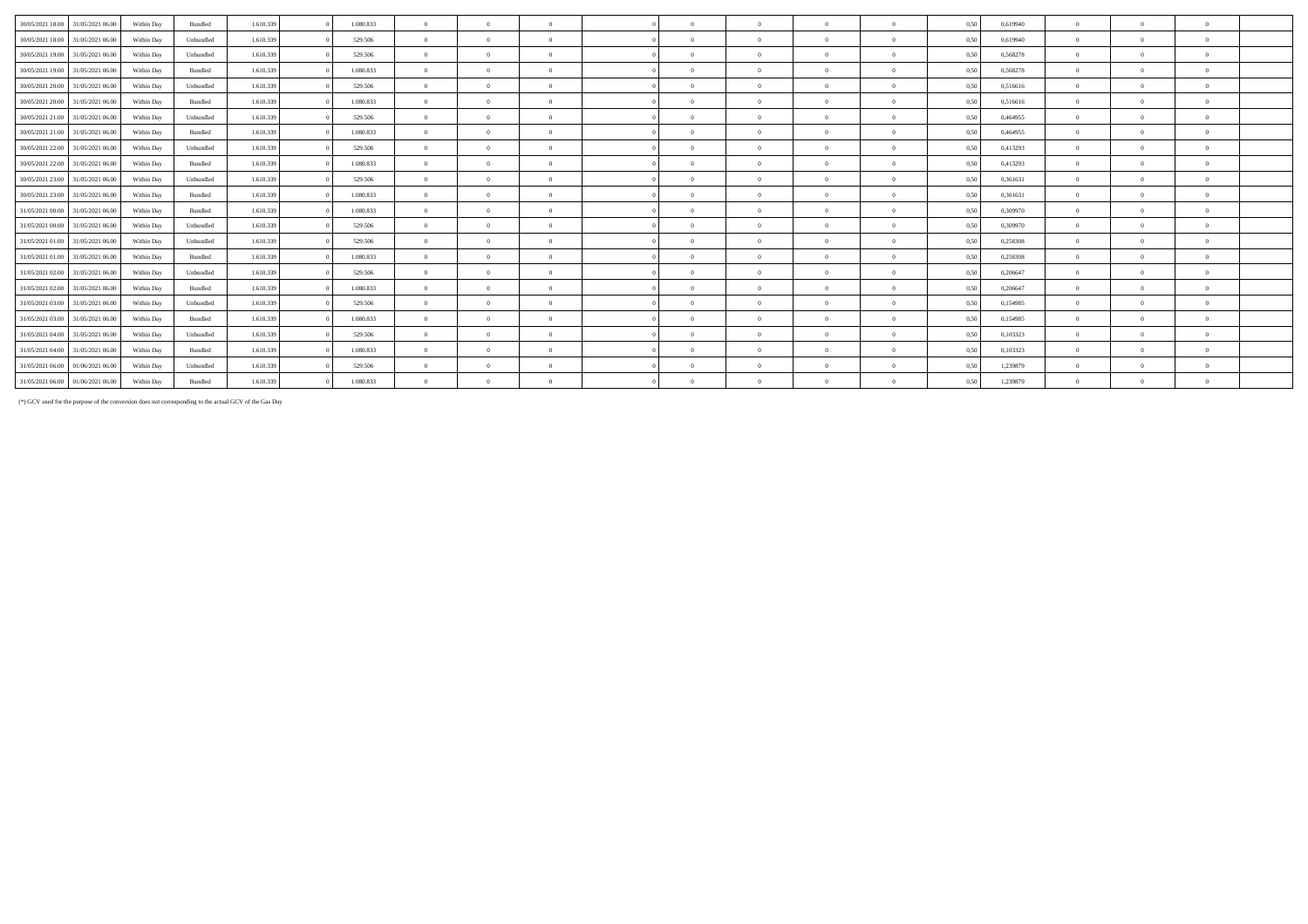| 30/05/2021 18:00                  | 31/05/2021 06:00 | Within Day | Bundled   | 1.610.339 | 1.080.833 | $\theta$       | $\overline{0}$ | $\Omega$       | $\Omega$ |          | $\Omega$ | $\theta$     | 0.50 | 0.619940 | $\Omega$ | $\Omega$ | $\theta$ |  |
|-----------------------------------|------------------|------------|-----------|-----------|-----------|----------------|----------------|----------------|----------|----------|----------|--------------|------|----------|----------|----------|----------|--|
| 30/05/2021 18:00                  | 31/05/2021 06:00 | Within Day | Unbundled | 1.610.339 | 529.506   | $\Omega$       | $\theta$       | $\Omega$       | $\Omega$ |          | $\Omega$ | $\theta$     | 0,50 | 0,619940 |          |          | $\theta$ |  |
| 30/05/2021 19:00                  | 31/05/2021 06:00 | Within Day | Unbundled | 1.610.339 | 529.506   | $\Omega$       | $\Omega$       | $\Omega$       | $\Omega$ |          | $\Omega$ | $\Omega$     | 0,50 | 0,568278 | $\Omega$ |          | $\theta$ |  |
| 30/05/2021 19:00                  | 31/05/2021 06:00 | Within Day | Bundled   | 1.610.339 | 1.080.833 | $\Omega$       | $\Omega$       | $\Omega$       | $\Omega$ |          | $\Omega$ | $\Omega$     | 0,50 | 0,568278 |          |          | $\Omega$ |  |
| 30/05/2021 20:00                  | 31/05/2021 06:00 | Within Day | Unbundled | 1.610.339 | 529.506   | $\overline{0}$ | $\Omega$       | $\overline{0}$ | $\Omega$ | $\Omega$ | $\Omega$ | $\Omega$     | 0,50 | 0,516616 | $\Omega$ |          | $\theta$ |  |
| 30/05/2021 20:00                  | 31/05/2021 06:00 | Within Day | Bundled   | 1.610.339 | 1.080.833 | $\Omega$       | $\Omega$       | $\Omega$       | $\Omega$ |          | $\Omega$ | $\Omega$     | 0,50 | 0,516616 |          |          | $\Omega$ |  |
| 30/05/2021 21:00                  | 31/05/2021 06:00 | Within Day | Unbundled | 1.610.339 | 529.506   | $\Omega$       | $\Omega$       | $\Omega$       | $\Omega$ |          | $\Omega$ | $\Omega$     | 0,50 | 0,464955 |          |          | $\Omega$ |  |
| 30/05/2021 21:00                  | 31/05/2021 06:00 | Within Day | Bundled   | 1.610.339 | 1.080.833 | $\Omega$       | $\Omega$       | $\Omega$       | $\Omega$ |          | $\Omega$ | $\Omega$     | 0.50 | 0,464955 |          |          | $\Omega$ |  |
| 30/05/2021 22.00                  | 31/05/2021 06:00 | Within Day | Unbundled | 1.610.339 | 529.506   | $\Omega$       | $\Omega$       | $\overline{0}$ | $\Omega$ | $\theta$ | $\Omega$ | $\Omega$     | 0.50 | 0,413293 | $\Omega$ |          | $\theta$ |  |
| 30/05/2021 22:00                  | 31/05/2021 06:00 | Within Day | Bundled   | 1.610.339 | 1.080.833 | $\Omega$       | $\Omega$       | $\Omega$       | $\Omega$ | $\Omega$ | $\Omega$ | $\Omega$     | 0.50 | 0.413293 | $\Omega$ |          | $\theta$ |  |
| 30/05/2021 23:00 31/05/2021 06:00 |                  | Within Day | Unbundled | 1.610.339 | 529.506   | $\Omega$       | $\Omega$       | $\Omega$       | $\Omega$ |          | $\Omega$ | $\Omega$     | 0,50 | 0,361631 | $\Omega$ |          | $\Omega$ |  |
| 30/05/2021 23:00                  | 31/05/2021 06:00 | Within Day | Bundled   | 1.610.339 | 1.080.833 | $\Omega$       | $\Omega$       | $\Omega$       | $\Omega$ |          | $\Omega$ | $\Omega$     | 0,50 | 0,361631 |          |          | $\Omega$ |  |
| 31/05/2021 00:00 31/05/2021 06:00 |                  | Within Day | Bundled   | 1.610.339 | 1.080.833 | $\Omega$       | $\Omega$       | $\Omega$       | $\Omega$ |          | $\Omega$ | $\Omega$     | 0.50 | 0,309970 |          |          | $\Omega$ |  |
| 31/05/2021 00:00                  | 31/05/2021 06:00 | Within Day | Unbundled | 1.610.339 | 529.506   | $\theta$       | $\Omega$       | $\Omega$       | $\Omega$ |          | $\Omega$ | $\theta$     | 0,50 | 0,309970 | $\Omega$ |          | $\theta$ |  |
| 31/05/2021 01:00                  | 31/05/2021 06:00 | Within Day | Unbundled | 1.610.339 | 529.506   | $\Omega$       | $\Omega$       | $\Omega$       | $\Omega$ |          | $\Omega$ | $\Omega$     | 0.50 | 0.258308 | $\Omega$ |          | $\Omega$ |  |
| 31/05/2021 01:00                  | 31/05/2021 06:00 | Within Day | Bundled   | 1.610.339 | 1.080.833 | $\theta$       | $\Omega$       | $\Omega$       | $\Omega$ |          | $\Omega$ | $\mathbf{0}$ | 0,50 | 0,258308 | $\Omega$ | $\Omega$ | $\theta$ |  |
| 31/05/2021 02:00                  | 31/05/2021 06:00 | Within Day | Unbundled | 1.610.339 | 529.506   | $\theta$       | $\Omega$       | $\Omega$       | $\Omega$ |          | $\Omega$ | $\theta$     | 0.50 | 0.206647 | $\Omega$ |          | $\Omega$ |  |
| 31/05/2021 02:00                  | 31/05/2021 06:00 | Within Day | Bundled   | 1.610.339 | 1.080.833 | $\theta$       | $\Omega$       | $\Omega$       | $\Omega$ |          | $\Omega$ | $\Omega$     | 0.50 | 0.206647 | $\Omega$ |          | $\theta$ |  |
| 31/05/2021 03:00                  | 31/05/2021 06:00 | Within Day | Unbundled | 1.610.339 | 529.506   | $\theta$       | $\Omega$       | $\Omega$       | $\Omega$ |          | $\Omega$ | $\Omega$     | 0,50 | 0,154985 | $\Omega$ |          | $\Omega$ |  |
| 31/05/2021 03:00                  | 31/05/2021 06:00 | Within Day | Bundled   | 1.610.339 | 1.080.833 | $\theta$       | $\Omega$       | $\Omega$       | $\Omega$ |          | $\Omega$ | $\Omega$     | 0,50 | 0,154985 | $\Omega$ |          | $\theta$ |  |
| 31/05/2021 04:00                  | 31/05/2021 06:00 | Within Day | Unbundled | 1.610.339 | 529.506   | $\Omega$       | $\Omega$       | $\Omega$       | $\Omega$ |          | $\Omega$ | $\Omega$     | 0,50 | 0,103323 |          |          | $\Omega$ |  |
| 31/05/2021 04:00                  | 31/05/2021 06:00 | Within Day | Bundled   | 1.610.339 | 1.080.833 | $\Omega$       | $\theta$       | $\Omega$       | $\Omega$ |          | $\Omega$ | $\Omega$     | 0,50 | 0,103323 | $\Omega$ |          | $\theta$ |  |
| 31/05/2021 06:00                  | 01/06/2021 06:00 | Within Day | Unbundled | 1.610.339 | 529.506   | $\Omega$       | $\Omega$       | $\Omega$       | $\Omega$ |          | $\Omega$ | $\Omega$     | 0.50 | 1,239879 |          |          | $\Omega$ |  |
| 31/05/2021 06:00                  | 01/06/2021 06:00 | Within Day | Bundled   | 1.610.339 | 1.080.833 | $\Omega$       | $\Omega$       | $\Omega$       | $\Omega$ |          | $\Omega$ | $\Omega$     | 0.50 | 1,239879 |          |          | $\Omega$ |  |

(\*) GCV used for the purpose of the conversion does not corresponding to the actual GCV of the Gas Day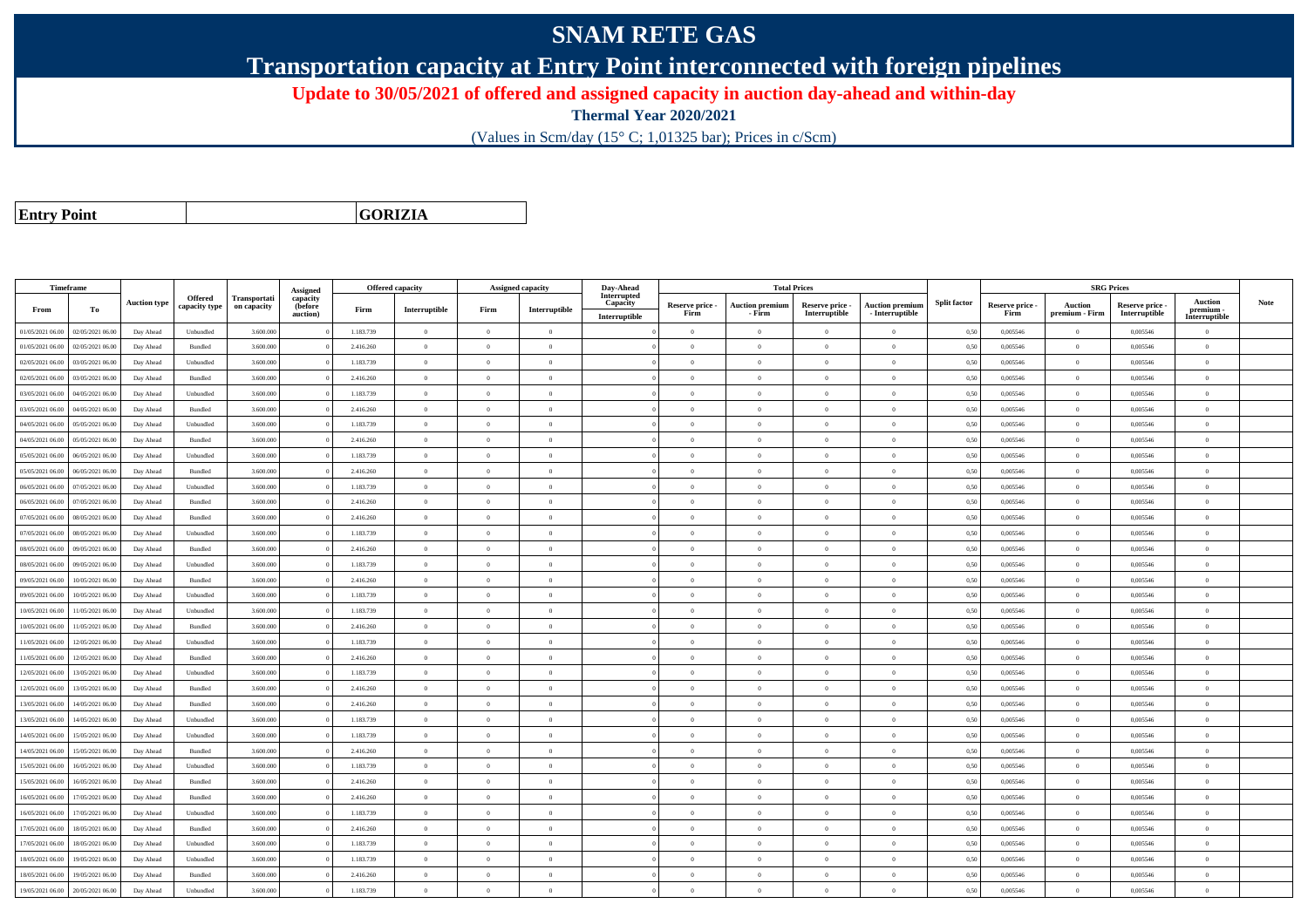## **SNAM RETE GAS**

**Transportation capacity at Entry Point interconnected with foreign pipelines**

**Update to 30/05/2021 of offered and assigned capacity in auction day-ahead and within-day**

**Thermal Year 2020/2021**

(Values in Scm/day (15° C; 1,01325 bar); Prices in c/Scm)

**Entry Point**

**GORIZIA**

|                  | Timeframe        |                     |               |              |                      | <b>Offered capacity</b> |                |                | Assigned capacity | Day-Ahead               |                         | <b>Total Prices</b>              |                                  |                                             |                     |                         | <b>SRG Prices</b>                |                                |                          |             |
|------------------|------------------|---------------------|---------------|--------------|----------------------|-------------------------|----------------|----------------|-------------------|-------------------------|-------------------------|----------------------------------|----------------------------------|---------------------------------------------|---------------------|-------------------------|----------------------------------|--------------------------------|--------------------------|-------------|
|                  |                  | <b>Auction type</b> | Offered       | Transportati | Assigned<br>capacity |                         |                |                |                   | Interrupted<br>Capacity |                         |                                  |                                  |                                             | <b>Split factor</b> |                         |                                  |                                | <b>Auction</b>           | <b>Note</b> |
| From             | To               |                     | capacity type | on capacity  | (before<br>auction)  | Firm                    | Interruptible  | Firm           | Interruptible     | Interruptible           | Reserve price -<br>Firm | <b>Auction premium</b><br>- Firm | Reserve price -<br>Interruptible | <b>Auction premiun</b><br>$-$ Interruptible |                     | Reserve price -<br>Firm | <b>Auction</b><br>premium - Firm | Reserve price<br>Interruptible | premium<br>Interruptible |             |
| 01/05/2021 06:00 | 02/05/2021 06:00 | Day Ahead           | Unbundled     | 3.600.000    |                      | 1.183.739               | $\overline{0}$ | $\overline{0}$ | $\overline{0}$    |                         | $\overline{0}$          | $\theta$                         | $\overline{0}$                   | $\mathbf{0}$                                | 0,50                | 0,005546                | $\overline{0}$                   | 0,005546                       | $\bf{0}$                 |             |
| 01/05/2021 06:00 | 02/05/2021 06:00 | Day Ahead           | Bundled       | 3.600.000    |                      | 2.416.260               | $\overline{0}$ | $\overline{0}$ | $\overline{0}$    |                         | $\Omega$                | $\theta$                         | $\overline{0}$                   | $\Omega$                                    | 0,50                | 0,005546                | $\overline{0}$                   | 0,005546                       | $\overline{0}$           |             |
| 02/05/2021 06:00 | 03/05/2021 06:00 | Day Ahead           | Unbundled     | 3.600.000    |                      | 1.183.739               | $\overline{0}$ | $\Omega$       | $\Omega$          |                         | $\Omega$                |                                  | $\Omega$                         | $\theta$                                    | 0,50                | 0,005546                | $\overline{0}$                   | 0,005546                       | $\theta$                 |             |
| 02/05/2021 06:00 | 03/05/2021 06:00 | Day Ahead           | Bundled       | 3.600,000    |                      | 2.416.260               | $\overline{0}$ | $\overline{0}$ | $\overline{0}$    |                         | $\Omega$                | $\theta$                         | $\theta$                         | $\theta$                                    | 0,50                | 0.005546                | $\overline{0}$                   | 0.005546                       | $\theta$                 |             |
| 03/05/2021 06:00 | 04/05/2021 06:00 | Day Ahead           | Unbundled     | 3.600.000    |                      | 1.183.739               | $\overline{0}$ | $\overline{0}$ | $\overline{0}$    |                         | $\overline{0}$          | $\theta$                         | $\overline{0}$                   | $\mathbf{0}$                                | 0,50                | 0,005546                | $\overline{0}$                   | 0,005546                       | $\Omega$                 |             |
| 03/05/2021 06:00 | 04/05/2021 06:00 | Day Ahead           | Bundled       | 3.600,000    |                      | 2.416.260               | $\overline{0}$ | $\theta$       | $\Omega$          |                         | $\Omega$                | $\theta$                         | $\theta$                         | $\theta$                                    | 0.50                | 0.005546                | $\overline{0}$                   | 0.005546                       | $\theta$                 |             |
| 04/05/2021 06:00 | 05/05/2021 06:00 | Day Ahead           | Unbundled     | 3.600,000    |                      | 1.183.739               | $\overline{0}$ | $\Omega$       | $\Omega$          |                         | $\Omega$                | $\theta$                         | $\theta$                         | $\theta$                                    | 0.50                | 0.005546                | $\overline{0}$                   | 0.005546                       | $\Omega$                 |             |
| 04/05/2021 06:00 | 05/05/2021 06:00 | Day Ahead           | Bundled       | 3.600.000    |                      | 2.416.260               | $\overline{0}$ | $\overline{0}$ | $\overline{0}$    |                         | $\overline{0}$          | $\theta$                         | $\overline{0}$                   | $\mathbf{0}$                                | 0,50                | 0,005546                | $\overline{0}$                   | 0.005546                       | $\bf{0}$                 |             |
| 05/05/2021 06:00 | 06/05/2021 06:00 | Day Ahead           | Unbundled     | 3.600,000    |                      | 1.183.739               | $\overline{0}$ | $\theta$       | $\Omega$          |                         | $\Omega$                | $\theta$                         | $\overline{0}$                   | $\Omega$                                    | 0.50                | 0.005546                | $\overline{0}$                   | 0.005546                       | $\Omega$                 |             |
| 05/05/2021 06:00 | 06/05/2021 06:00 | Day Ahead           | Bundled       | 3.600.000    |                      | 2.416.260               | $\overline{0}$ | $\theta$       | $\theta$          |                         | $\theta$                |                                  | $\overline{0}$                   | $\theta$                                    | 0,50                | 0,005546                | $\theta$                         | 0,005546                       | $\bf{0}$                 |             |
| 06/05/2021 06:00 | 07/05/2021 06:00 | Day Ahead           | Unbundled     | 3.600.000    |                      | 1.183.739               | $\overline{0}$ | $\overline{0}$ | $\overline{0}$    |                         | $\overline{0}$          | $\theta$                         | $\overline{0}$                   | $\overline{0}$                              | 0,50                | 0,005546                | $\overline{0}$                   | 0,005546                       | $\Omega$                 |             |
| 06/05/2021 06:00 | 07/05/2021 06:00 | Day Ahead           | Bundled       | 3.600.000    |                      | 2.416.260               | $\overline{0}$ | $\overline{0}$ | $\overline{0}$    |                         | $\overline{0}$          | $\theta$                         | $\overline{0}$                   | $\overline{0}$                              | 0,50                | 0,005546                | $\overline{0}$                   | 0,005546                       | $\Omega$                 |             |
| 07/05/2021 06:00 | 08/05/2021 06:00 | Day Ahead           | Bundled       | 3.600.000    |                      | 2.416.260               | $\overline{0}$ | $\overline{0}$ | $\Omega$          |                         | $\Omega$                |                                  | $\overline{0}$                   | $\mathbf{0}$                                | 0,50                | 0,005546                | $\overline{0}$                   | 0,005546                       | $\Omega$                 |             |
| 07/05/2021 06:00 | 08/05/2021 06:00 | Day Ahead           | Unbundled     | 3.600,000    |                      | 1.183.739               | $\overline{0}$ | $\Omega$       | $\Omega$          |                         | $\Omega$                | $\theta$                         | $\theta$                         | $\theta$                                    | 0.50                | 0.005546                | $\overline{0}$                   | 0.005546                       | $\theta$                 |             |
| 08/05/2021 06:00 | 09/05/2021 06:00 | Day Ahead           | Bundled       | 3.600.000    |                      | 2.416.260               | $\overline{0}$ | $\theta$       | $\Omega$          |                         | $\Omega$                | $\theta$                         | $\overline{0}$                   | $\Omega$                                    | 0,50                | 0,005546                | $\overline{0}$                   | 0,005546                       | $\Omega$                 |             |
| 08/05/2021 06:00 | 09/05/2021 06:00 | Day Ahead           | Unbundled     | 3.600,000    |                      | 1.183.739               | $\overline{0}$ | $\theta$       | $\Omega$          |                         | $\Omega$                |                                  | $\theta$                         | $\theta$                                    | 0.50                | 0.005546                | $\Omega$                         | 0.005546                       | $\theta$                 |             |
| 09/05/2021 06:00 | 10/05/2021 06:00 | Day Ahead           | Bundled       | 3.600,000    |                      | 2.416.260               | $\overline{0}$ | $\overline{0}$ | $\overline{0}$    |                         | $\overline{0}$          | $\theta$                         | $\overline{0}$                   | $\overline{0}$                              | 0,50                | 0,005546                | $\overline{0}$                   | 0.005546                       | $\bf{0}$                 |             |
| 09/05/2021 06:00 | 10/05/2021 06:00 | Day Ahead           | Unbundled     | 3.600.000    |                      | 1.183.739               | $\overline{0}$ | $\overline{0}$ | $\overline{0}$    |                         | $\overline{0}$          | $\bf{0}$                         | $\overline{0}$                   | $\mathbf{0}$                                | 0,50                | 0,005546                | $\overline{0}$                   | 0,005546                       | $\bf{0}$                 |             |
| 10/05/2021 06:00 | 11/05/2021 06:00 | Day Ahead           | Unbundled     | 3.600,000    |                      | 1.183.739               | $\overline{0}$ | $\theta$       | $\theta$          |                         | $\Omega$                | $\theta$                         | $\overline{0}$                   | $\Omega$                                    | 0.50                | 0.005546                | $\overline{0}$                   | 0.005546                       | $\Omega$                 |             |
| 10/05/2021 06:00 | 11/05/2021 06:00 | Day Ahead           | Bundled       | 3.600.000    |                      | 2.416.260               | $\overline{0}$ | $\overline{0}$ | $\overline{0}$    |                         | $\Omega$                | $\theta$                         | $\Omega$                         | $\theta$                                    | 0.50                | 0,005546                | $\overline{0}$                   | 0,005546                       | $\Omega$                 |             |
| 11/05/2021 06:00 | 12/05/2021 06:00 | Day Ahead           | Unbundled     | 3.600.000    |                      | 1.183.739               | $\overline{0}$ | $\Omega$       | $\Omega$          |                         | $\Omega$                |                                  | $\overline{0}$                   | $\theta$                                    | 0,50                | 0,005546                | $\overline{0}$                   | 0,005546                       | $\theta$                 |             |
| 11/05/2021 06:00 | 12/05/2021 06:00 | Day Ahead           | Bundled       | 3.600.000    |                      | 2.416.260               | $\overline{0}$ | $\Omega$       | $\Omega$          |                         | $\Omega$                | $\sqrt{2}$                       | $\Omega$                         | $\Omega$                                    | 0.50                | 0.005546                | $\overline{0}$                   | 0,005546                       | $\Omega$                 |             |
| 12/05/2021 06:00 | 13/05/2021 06.0  | Day Ahead           | Unbundled     | 3.600.000    |                      | 1.183.739               | $\overline{0}$ | $\overline{0}$ | $\overline{0}$    |                         | $\Omega$                | $\theta$                         | $\overline{0}$                   | $\theta$                                    | 0,50                | 0,005546                | $\theta$                         | 0,005546                       | $\Omega$                 |             |
| 12/05/2021 06:00 | 13/05/2021 06:00 | Day Ahead           | Bundled       | 3.600,000    |                      | 2.416.260               | $\overline{0}$ | $\Omega$       | $\Omega$          |                         | $\Omega$                | $\theta$                         | $\theta$                         | $\theta$                                    | 0,50                | 0.005546                | $\overline{0}$                   | 0.005546                       | $\theta$                 |             |
| 13/05/2021 06:00 | 14/05/2021 06:00 | Day Ahead           | Bundled       | 3.600.000    |                      | 2.416.260               | $\overline{0}$ | $\overline{0}$ | $\overline{0}$    |                         | $\Omega$                | $\theta$                         | $\overline{0}$                   | $\overline{0}$                              | 0,50                | 0,005546                | $\overline{0}$                   | 0.005546                       | $\Omega$                 |             |
| 13/05/2021 06:00 | 14/05/2021 06.00 | Day Ahead           | Unbundled     | 3.600.000    |                      | 1.183.739               | $\overline{0}$ | $\overline{0}$ | $\overline{0}$    |                         | $\overline{0}$          |                                  | $\overline{0}$                   | $\overline{0}$                              | 0,50                | 0,005546                | $\overline{0}$                   | 0,005546                       | $\bf{0}$                 |             |
| 14/05/2021 06:00 | 15/05/2021 06:00 | Day Ahead           | Unbundled     | 3.600.000    |                      | 1.183.739               | $\overline{0}$ | $\overline{0}$ | $\overline{0}$    |                         | $\overline{0}$          | $\theta$                         | $\overline{0}$                   | $\overline{0}$                              | 0,50                | 0,005546                | $\overline{0}$                   | 0,005546                       | $\bf{0}$                 |             |
| 14/05/2021 06:00 | 15/05/2021 06:00 | Day Ahead           | Bundled       | 3.600.000    |                      | 2.416.260               | $\overline{0}$ | $\overline{0}$ | $\overline{0}$    |                         | $\theta$                | $\theta$                         | $\overline{0}$                   | $\mathbf{0}$                                | 0,50                | 0,005546                | $\overline{0}$                   | 0,005546                       | $\bf{0}$                 |             |
| 15/05/2021 06:00 | 16/05/2021 06:00 | Day Ahead           | Unbundled     | 3.600.000    |                      | 1.183.739               | $\theta$       | $\Omega$       | $\Omega$          |                         | $\Omega$                |                                  | $\theta$                         | $\theta$                                    | 0,50                | 0,005546                | $\overline{0}$                   | 0,005546                       | $\theta$                 |             |
| 15/05/2021 06:00 | 16/05/2021 06:00 | Day Ahead           | Bundled       | 3.600.000    |                      | 2.416.260               | $\overline{0}$ | $\Omega$       | $\Omega$          |                         | $\Omega$                | $\theta$                         | $\theta$                         | $\theta$                                    | 0,50                | 0,005546                | $\overline{0}$                   | 0,005546                       | $\theta$                 |             |
| 16/05/2021 06:00 | 17/05/2021 06:00 | Day Ahead           | Bundled       | 3.600.000    |                      | 2.416.260               | $\overline{0}$ | $\theta$       | $\Omega$          |                         | $\Omega$                | $\theta$                         | $\overline{0}$                   | $\theta$                                    | 0,50                | 0,005546                | $\overline{0}$                   | 0,005546                       | $\Omega$                 |             |
| 16/05/2021 06:00 | 17/05/2021 06:00 | Day Ahead           | Unbundled     | 3.600,000    |                      | 1.183.739               | $\overline{0}$ | $\Omega$       | $\Omega$          |                         | $\Omega$                | $\theta$                         | $\theta$                         | $\theta$                                    | 0.50                | 0.005546                | $\overline{0}$                   | 0.005546                       | $\theta$                 |             |
| 17/05/2021 06:00 | 18/05/2021 06:00 | Day Ahead           | Bundled       | 3.600.000    |                      | 2.416.260               | $\overline{0}$ | $\overline{0}$ | $\theta$          |                         | $\Omega$                | $\theta$                         | $\overline{0}$                   | $\theta$                                    | 0.50                | 0,005546                | $\overline{0}$                   | 0,005546                       | $\Omega$                 |             |
| 17/05/2021 06:00 | 18/05/2021 06:00 | Day Ahead           | Unbundled     | 3.600,000    |                      | 1.183.739               | $\overline{0}$ | $\overline{0}$ | $\overline{0}$    |                         | $\overline{0}$          | $\theta$                         | $\overline{0}$                   | $\mathbf{0}$                                | 0.50                | 0.005546                | $\overline{0}$                   | 0.005546                       | $\bf{0}$                 |             |
| 18/05/2021 06:00 | 19/05/2021 06:00 | Day Ahead           | Unbundled     | 3.600.000    |                      | 1.183.739               | $\overline{0}$ | $\theta$       | $\theta$          |                         | $\Omega$                | $\theta$                         | $\Omega$                         | $\Omega$                                    | 0,50                | 0.005546                | $\overline{0}$                   | 0,005546                       | $\Omega$                 |             |
| 18/05/2021 06:00 | 19/05/2021 06.0  | Day Ahead           | Bundled       | 3.600.000    |                      | 2.416.260               | $\overline{0}$ | $\theta$       | $\theta$          |                         | $\Omega$                |                                  | $\theta$                         | $\theta$                                    | 0,50                | 0,005546                | $\overline{0}$                   | 0,005546                       | $\bf{0}$                 |             |
| 19/05/2021 06:00 | 20/05/2021 06:00 | Day Ahead           | Unbundled     | 3.600,000    |                      | 1.183.739               | $\theta$       | $\theta$       | $\Omega$          |                         | $\Omega$                |                                  | $\Omega$                         | $\Omega$                                    | 0,50                | 0.005546                | $\Omega$                         | 0.005546                       | $\theta$                 |             |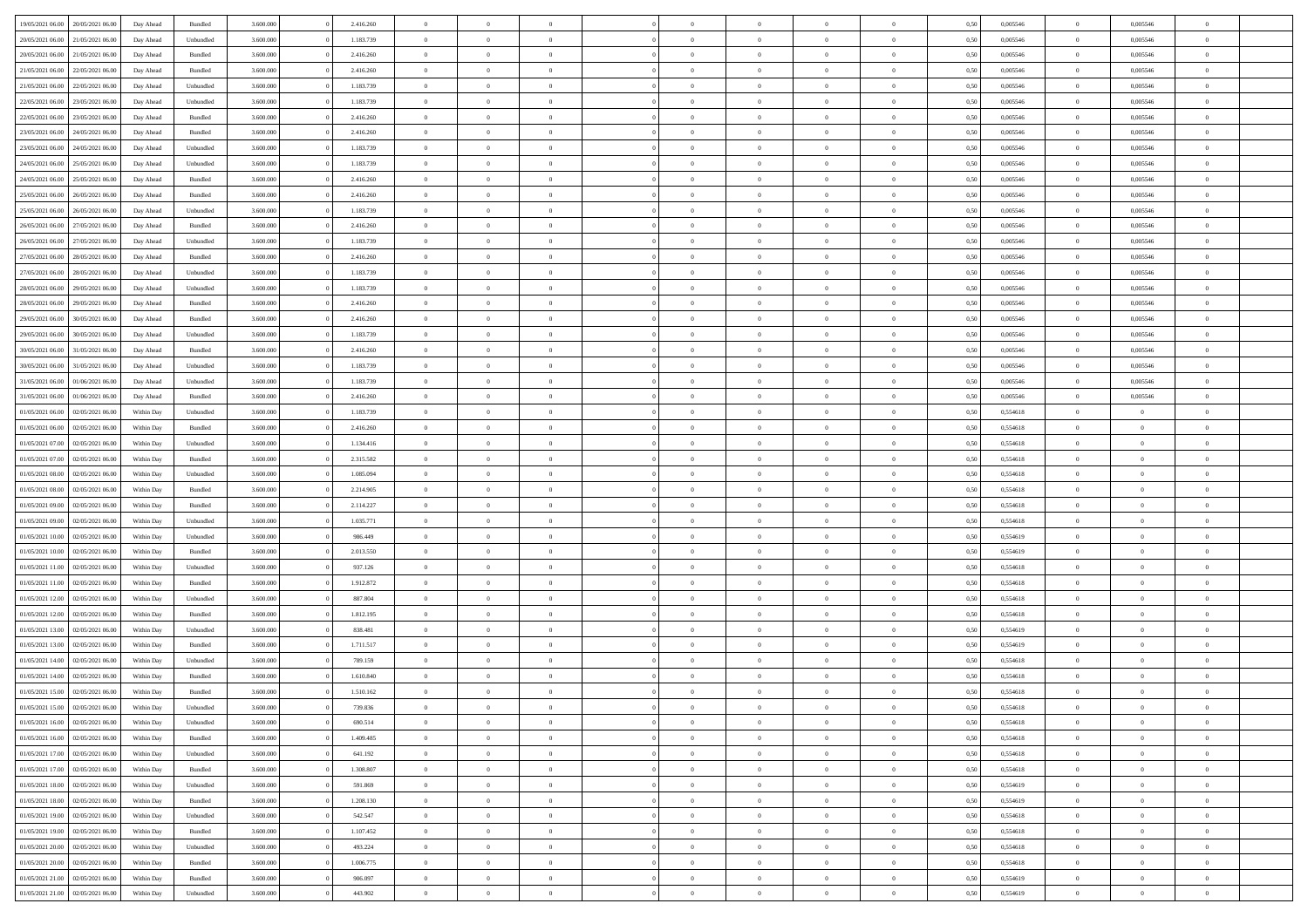| 19/05/2021 06:00 | 20/05/2021 06:00 | Day Ahead  | Bundled            | 3.600.000 | 2.416.260 | $\overline{0}$ | $\Omega$       |                |                | $\theta$       | $\Omega$       | $\Omega$       | 0,50 | 0,005546 | $\mathbf{0}$   | 0,005546       | $\Omega$       |  |
|------------------|------------------|------------|--------------------|-----------|-----------|----------------|----------------|----------------|----------------|----------------|----------------|----------------|------|----------|----------------|----------------|----------------|--|
| 20/05/2021 06:00 | 21/05/2021 06:00 | Day Ahead  | Unbundled          | 3.600.000 | 1.183.739 | $\overline{0}$ | $\overline{0}$ | $\overline{0}$ |                | $\overline{0}$ | $\overline{0}$ | $\theta$       | 0,50 | 0,005546 | $\bf{0}$       | 0,005546       | $\bf{0}$       |  |
| 20/05/2021 06:00 | 21/05/2021 06:00 | Day Ahead  | Bundled            | 3.600.000 | 2.416.260 | $\overline{0}$ | $\bf{0}$       | $\overline{0}$ | $\overline{0}$ | $\bf{0}$       | $\overline{0}$ | $\bf{0}$       | 0,50 | 0,005546 | $\bf{0}$       | 0,005546       | $\bf{0}$       |  |
| 21/05/2021 06:00 | 22/05/2021 06:00 | Day Ahead  | Bundled            | 3.600,000 | 2.416.260 | $\overline{0}$ | $\overline{0}$ | $\overline{0}$ | $^{\circ}$     | $\overline{0}$ | $\overline{0}$ | $\bf{0}$       | 0.50 | 0.005546 | $\mathbf{0}$   | 0.005546       | $\overline{0}$ |  |
| 21/05/2021 06:00 | 22/05/2021 06:00 | Day Ahead  | Unbundled          | 3.600.000 | 1.183.739 | $\overline{0}$ | $\overline{0}$ | $\overline{0}$ |                | $\overline{0}$ | $\overline{0}$ | $\theta$       | 0,50 | 0,005546 | $\bf{0}$       | 0,005546       | $\overline{0}$ |  |
|                  |                  |            |                    |           |           |                |                |                |                |                |                |                |      |          |                |                |                |  |
| 22/05/2021 06:00 | 23/05/2021 06:00 | Day Ahead  | Unbundled          | 3.600.000 | 1.183.739 | $\overline{0}$ | $\bf{0}$       | $\overline{0}$ | $\overline{0}$ | $\bf{0}$       | $\overline{0}$ | $\bf{0}$       | 0,50 | 0,005546 | $\overline{0}$ | 0,005546       | $\bf{0}$       |  |
| 22/05/2021 06:00 | 23/05/2021 06:00 | Day Ahead  | Bundled            | 3.600.000 | 2.416.260 | $\overline{0}$ | $\overline{0}$ | $\overline{0}$ | $\Omega$       | $\overline{0}$ | $\overline{0}$ | $\bf{0}$       | 0,50 | 0,005546 | $\overline{0}$ | 0.005546       | $\overline{0}$ |  |
| 23/05/2021 06:00 | 24/05/2021 06.00 | Day Ahead  | Bundled            | 3.600.000 | 2.416.260 | $\overline{0}$ | $\overline{0}$ | $\overline{0}$ |                | $\overline{0}$ | $\overline{0}$ | $\theta$       | 0,50 | 0,005546 | $\bf{0}$       | 0,005546       | $\overline{0}$ |  |
| 23/05/2021 06:00 | 24/05/2021 06:00 | Day Ahead  | Unbundled          | 3.600.000 | 1.183.739 | $\overline{0}$ | $\overline{0}$ | $\overline{0}$ | $\overline{0}$ | $\bf{0}$       | $\overline{0}$ | $\bf{0}$       | 0,50 | 0,005546 | $\bf{0}$       | 0,005546       | $\bf{0}$       |  |
| 24/05/2021 06:00 | 25/05/2021 06:00 | Day Ahead  | Unbundled          | 3.600,000 | 1.183.739 | $\overline{0}$ | $\overline{0}$ | $\overline{0}$ | $\Omega$       | $\overline{0}$ | $\overline{0}$ | $\bf{0}$       | 0.50 | 0,005546 | $\overline{0}$ | 0.005546       | $\overline{0}$ |  |
| 24/05/2021 06:00 | 25/05/2021 06:00 | Day Ahead  | Bundled            | 3.600.000 | 2.416.260 | $\overline{0}$ | $\overline{0}$ | $\overline{0}$ | $\overline{0}$ | $\overline{0}$ | $\overline{0}$ | $\theta$       | 0,50 | 0,005546 | $\,$ 0 $\,$    | 0,005546       | $\overline{0}$ |  |
| 25/05/2021 06:00 | 26/05/2021 06:00 |            | Bundled            | 3.600.000 | 2.416.260 | $\overline{0}$ | $\bf{0}$       | $\overline{0}$ | $\overline{0}$ | $\bf{0}$       | $\overline{0}$ | $\bf{0}$       | 0,50 | 0,005546 | $\bf{0}$       | 0,005546       | $\bf{0}$       |  |
|                  |                  | Day Ahead  |                    |           |           |                |                |                |                |                |                |                |      |          |                |                |                |  |
| 25/05/2021 06:00 | 26/05/2021 06:00 | Day Ahead  | Unbundled          | 3.600.000 | 1.183.739 | $\overline{0}$ | $\overline{0}$ | $\overline{0}$ | $^{\circ}$     | $\overline{0}$ | $\overline{0}$ | $\bf{0}$       | 0.50 | 0.005546 | $\mathbf{0}$   | 0.005546       | $\overline{0}$ |  |
| 26/05/2021 06:00 | 27/05/2021 06:00 | Day Ahead  | Bundled            | 3.600.000 | 2.416.260 | $\overline{0}$ | $\overline{0}$ | $\overline{0}$ |                | $\overline{0}$ | $\overline{0}$ | $\theta$       | 0,50 | 0,005546 | $\bf{0}$       | 0,005546       | $\overline{0}$ |  |
| 26/05/2021 06:00 | 27/05/2021 06:00 | Day Ahead  | Unbundled          | 3.600.000 | 1.183.739 | $\overline{0}$ | $\bf{0}$       | $\overline{0}$ | $\overline{0}$ | $\bf{0}$       | $\overline{0}$ | $\bf{0}$       | 0,50 | 0,005546 | $\overline{0}$ | 0,005546       | $\bf{0}$       |  |
| 27/05/2021 06:00 | 28/05/2021 06:00 | Day Ahead  | Bundled            | 3.600,000 | 2.416.260 | $\overline{0}$ | $\overline{0}$ | $\overline{0}$ | $\Omega$       | $\overline{0}$ | $\overline{0}$ | $\bf{0}$       | 0,50 | 0,005546 | $\overline{0}$ | 0.005546       | $\overline{0}$ |  |
| 27/05/2021 06:00 | 28/05/2021 06:00 | Day Ahead  | Unbundled          | 3.600.000 | 1.183.739 | $\overline{0}$ | $\overline{0}$ | $\overline{0}$ |                | $\overline{0}$ | $\overline{0}$ | $\theta$       | 0,50 | 0,005546 | $\bf{0}$       | 0,005546       | $\overline{0}$ |  |
| 28/05/2021 06:00 | 29/05/2021 06:00 | Day Ahead  | Unbundled          | 3.600.000 | 1.183.739 | $\overline{0}$ | $\overline{0}$ | $\overline{0}$ | $\overline{0}$ | $\bf{0}$       | $\overline{0}$ | $\bf{0}$       | 0,50 | 0,005546 | $\bf{0}$       | 0.005546       | $\bf{0}$       |  |
| 28/05/2021 06:00 | 29/05/2021 06:00 | Day Ahead  | Bundled            | 3.600.000 | 2.416.260 | $\overline{0}$ | $\overline{0}$ | $\overline{0}$ | $\Omega$       | $\overline{0}$ | $\overline{0}$ | $\bf{0}$       | 0.50 | 0,005546 | $\mathbf{0}$   | 0.005546       | $\overline{0}$ |  |
|                  |                  |            |                    |           |           |                |                |                |                |                |                |                |      |          |                |                |                |  |
| 29/05/2021 06:00 | 30/05/2021 06:00 | Day Ahead  | Bundled            | 3.600.000 | 2.416.260 | $\overline{0}$ | $\overline{0}$ | $\overline{0}$ | $\overline{0}$ | $\overline{0}$ | $\overline{0}$ | $\theta$       | 0,50 | 0,005546 | $\,$ 0 $\,$    | 0,005546       | $\overline{0}$ |  |
| 29/05/2021 06:00 | 30/05/2021 06.00 | Day Ahead  | Unbundled          | 3.600.000 | 1.183.739 | $\overline{0}$ | $\bf{0}$       | $\overline{0}$ | $\overline{0}$ | $\bf{0}$       | $\overline{0}$ | $\bf{0}$       | 0,50 | 0,005546 | $\bf{0}$       | 0,005546       | $\bf{0}$       |  |
| 30/05/2021 06:00 | 31/05/2021 06:00 | Day Ahead  | Bundled            | 3.600,000 | 2.416.260 | $\overline{0}$ | $\overline{0}$ | $\overline{0}$ | $^{\circ}$     | $\overline{0}$ | $\overline{0}$ | $\bf{0}$       | 0.50 | 0.005546 | $\mathbf{0}$   | 0.005546       | $\overline{0}$ |  |
| 30/05/2021 06:00 | 31/05/2021 06:00 | Day Ahead  | Unbundled          | 3.600.000 | 1.183.739 | $\overline{0}$ | $\overline{0}$ | $\overline{0}$ |                | $\overline{0}$ | $\overline{0}$ | $\theta$       | 0,50 | 0,005546 | $\bf{0}$       | 0,005546       | $\overline{0}$ |  |
| 31/05/2021 06:00 | 01/06/2021 06:00 | Day Ahead  | Unbundled          | 3.600.000 | 1.183.739 | $\overline{0}$ | $\bf{0}$       | $\overline{0}$ | $\overline{0}$ | $\bf{0}$       | $\overline{0}$ | $\bf{0}$       | 0,50 | 0,005546 | $\overline{0}$ | 0.005546       | $\bf{0}$       |  |
| 31/05/2021 06:00 | 01/06/2021 06:00 | Day Ahead  | Bundled            | 3.600.000 | 2.416.260 | $\overline{0}$ | $\overline{0}$ | $\overline{0}$ | $^{\circ}$     | $\overline{0}$ | $\overline{0}$ | $\bf{0}$       | 0.50 | 0,005546 | $\mathbf{0}$   | 0,005546       | $\overline{0}$ |  |
| 01/05/2021 06:00 | 02/05/2021 06:00 |            |                    | 3.600.000 | 1.183.739 | $\overline{0}$ | $\overline{0}$ | $\overline{0}$ |                | $\overline{0}$ | $\overline{0}$ | $\theta$       |      | 0,554618 | $\bf{0}$       | $\overline{0}$ | $\bf{0}$       |  |
|                  |                  | Within Day | Unbundled          |           |           |                |                |                |                |                |                |                | 0,50 |          |                |                |                |  |
| 01/05/2021 06:00 | 02/05/2021 06:00 | Within Day | Bundled            | 3.600.000 | 2.416.260 | $\overline{0}$ | $\overline{0}$ | $\overline{0}$ | $\overline{0}$ | $\,$ 0 $\,$    | $\overline{0}$ | $\bf{0}$       | 0,50 | 0,554618 | $\bf{0}$       | $\overline{0}$ | $\bf{0}$       |  |
| 01/05/2021 07:00 | 02/05/2021 06:00 | Within Dav | Unbundled          | 3.600,000 | 1.134.416 | $\overline{0}$ | $\overline{0}$ | $\overline{0}$ | $\Omega$       | $\overline{0}$ | $\overline{0}$ | $\bf{0}$       | 0.50 | 0.554618 | $\mathbf{0}$   | $\overline{0}$ | $\overline{0}$ |  |
| 01/05/2021 07:00 | 02/05/2021 06:00 | Within Day | Bundled            | 3.600.000 | 2.315.582 | $\overline{0}$ | $\overline{0}$ | $\overline{0}$ | $\overline{0}$ | $\overline{0}$ | $\overline{0}$ | $\theta$       | 0,50 | 0,554618 | $\bf{0}$       | $\overline{0}$ | $\overline{0}$ |  |
| 01/05/2021 08:00 | 02/05/2021 06:00 | Within Day | Unbundled          | 3.600.000 | 1.085.094 | $\overline{0}$ | $\bf{0}$       | $\overline{0}$ | $\overline{0}$ | $\bf{0}$       | $\overline{0}$ | $\bf{0}$       | 0,50 | 0,554618 | $\bf{0}$       | $\bf{0}$       | $\bf{0}$       |  |
| 01/05/2021 08:00 | 02/05/2021 06:00 | Within Day | Bundled            | 3.600.000 | 2.214.905 | $\overline{0}$ | $\Omega$       | $\Omega$       | $\sqrt{2}$     | $\theta$       | $\overline{0}$ | $\theta$       | 0.50 | 0,554618 | $\,0\,$        | $\Omega$       | $\Omega$       |  |
| 01/05/2021 09:00 | 02/05/2021 06:00 | Within Day | Bundled            | 3.600.000 | 2.114.227 | $\overline{0}$ | $\overline{0}$ | $\overline{0}$ |                | $\overline{0}$ | $\overline{0}$ | $\theta$       | 0,50 | 0,554618 | $\bf{0}$       | $\overline{0}$ | $\overline{0}$ |  |
| 01/05/2021 09:00 | 02/05/2021 06:00 | Within Day | Unbundled          | 3.600.000 | 1.035.771 | $\overline{0}$ | $\bf{0}$       | $\overline{0}$ | $\overline{0}$ | $\bf{0}$       | $\overline{0}$ | $\bf{0}$       | 0,50 | 0,554618 | $\bf{0}$       | $\bf{0}$       | $\bf{0}$       |  |
|                  |                  |            |                    |           |           |                |                |                |                |                |                |                |      |          |                |                |                |  |
| 01/05/2021 10:00 | 02/05/2021 06:00 | Within Day | Unbundled          | 3.600,000 | 986,449   | $\overline{0}$ | $\Omega$       | $\Omega$       | $\Omega$       | $\theta$       | $\overline{0}$ | $\mathbf{0}$   | 0.50 | 0.554619 | $\mathbf{0}$   | $\overline{0}$ | $\theta$       |  |
| 01/05/2021 10:00 | 02/05/2021 06:00 | Within Day | Bundled            | 3.600.000 | 2.013.550 | $\overline{0}$ | $\overline{0}$ | $\overline{0}$ | $\overline{0}$ | $\overline{0}$ | $\overline{0}$ | $\theta$       | 0,50 | 0,554619 | $\bf{0}$       | $\overline{0}$ | $\bf{0}$       |  |
| 01/05/2021 11:00 | 02/05/2021 06:00 | Within Day | Unbundled          | 3.600.000 | 937.126   | $\overline{0}$ | $\bf{0}$       | $\overline{0}$ | $\overline{0}$ | $\bf{0}$       | $\overline{0}$ | $\bf{0}$       | 0,50 | 0,554618 | $\bf{0}$       | $\overline{0}$ | $\bf{0}$       |  |
| 01/05/2021 11:00 | 02/05/2021 06:00 | Within Day | Bundled            | 3.600,000 | 1.912.872 | $\overline{0}$ | $\Omega$       | $\Omega$       | $\Omega$       | $\theta$       | $\overline{0}$ | $\mathbf{0}$   | 0.50 | 0.554618 | $\mathbf{0}$   | $\Omega$       | $\theta$       |  |
| 01/05/2021 12:00 | 02/05/2021 06:00 | Within Day | Unbundled          | 3.600.000 | 887.804   | $\overline{0}$ | $\overline{0}$ | $\overline{0}$ | $\overline{0}$ | $\overline{0}$ | $\overline{0}$ | $\theta$       | 0,50 | 0,554618 | $\,0\,$        | $\overline{0}$ | $\bf{0}$       |  |
| 01/05/2021 12:00 | 02/05/2021 06:00 | Within Day | Bundled            | 3.600.000 | 1.812.195 | $\overline{0}$ | $\bf{0}$       | $\overline{0}$ | $\overline{0}$ | $\bf{0}$       | $\overline{0}$ | $\bf{0}$       | 0,50 | 0,554618 | $\bf{0}$       | $\bf{0}$       | $\bf{0}$       |  |
| 01/05/2021 13:00 | 02/05/2021 06:00 | Within Day | Unbundled          | 3.600,000 | 838,481   | $\overline{0}$ | $\Omega$       | $\Omega$       | $\sqrt{2}$     | $\Omega$       | $\overline{0}$ | $\theta$       | 0.50 | 0,554619 | $\bf{0}$       | $\overline{0}$ | $\Omega$       |  |
|                  |                  |            |                    |           |           | $\overline{0}$ | $\overline{0}$ | $\overline{0}$ |                | $\overline{0}$ | $\overline{0}$ | $\overline{0}$ |      |          | $\,0\,$        |                | $\overline{0}$ |  |
| 01/05/2021 13:00 | 02/05/2021 06:00 | Within Day | Bundled            | 3.600.000 | 1.711.517 |                |                |                | $\overline{0}$ |                |                |                | 0,50 | 0,554619 |                | $\overline{0}$ |                |  |
| 01/05/2021 14:00 | 02/05/2021 06:00 | Within Day | Unbundled          | 3.600.000 | 789.159   | $\overline{0}$ | $\bf{0}$       | $\overline{0}$ | $\overline{0}$ | $\bf{0}$       | $\overline{0}$ | $\bf{0}$       | 0,50 | 0,554618 | $\mathbf{0}$   | $\bf{0}$       | $\bf{0}$       |  |
| 01/05/2021 14:00 | 02/05/2021 06:00 | Within Day | Bundled            | 3.600,000 | 1.610.840 | $\Omega$       | $\Omega$       | $\Omega$       | $\sqrt{2}$     | $\Omega$       | $\overline{0}$ | $\theta$       | 0.50 | 0.554618 | $\overline{0}$ | $\Omega$       | $\theta$       |  |
| 01/05/2021 15:00 | 02/05/2021 06:00 | Within Day | Bundled            | 3.600.000 | 1.510.162 | $\overline{0}$ | $\bf{0}$       | $\overline{0}$ | $\overline{0}$ | $\bf{0}$       | $\overline{0}$ | $\bf{0}$       | 0,50 | 0,554618 | $\bf{0}$       | $\bf{0}$       | $\bf{0}$       |  |
| 01/05/2021 15:00 | 02/05/2021 06:00 | Within Day | Unbundled          | 3.600.000 | 739.836   | $\bf{0}$       | $\theta$       |                |                |                |                |                | 0,50 | 0,554618 | $\bf{0}$       |                |                |  |
| 01/05/2021 16:00 | 02/05/2021 06:00 | Within Day | Unbundled          | 3.600,000 | 690.514   | $\overline{0}$ | $\overline{0}$ | $\overline{0}$ | $\Omega$       | $\overline{0}$ | $\overline{0}$ | $\theta$       | 0.50 | 0.554618 | $\overline{0}$ | $\overline{0}$ | $\overline{0}$ |  |
| 01/05/2021 16:00 | 02/05/2021 06:00 | Within Day | Bundled            | 3.600.000 | 1.409.485 | $\overline{0}$ | $\,$ 0 $\,$    | $\overline{0}$ | $\overline{0}$ | $\,$ 0         | $\overline{0}$ | $\bf{0}$       | 0,50 | 0,554618 | $\bf{0}$       | $\,$ 0 $\,$    | $\bf{0}$       |  |
| 01/05/2021 17:00 | 02/05/2021 06:00 | Within Day | Unbundled          | 3.600.000 | 641.192   | $\overline{0}$ | $\overline{0}$ | $\overline{0}$ | $\overline{0}$ | $\overline{0}$ | $\overline{0}$ | $\bf{0}$       | 0,50 | 0,554618 | $\overline{0}$ | $\overline{0}$ | $\bf{0}$       |  |
|                  |                  |            |                    |           |           |                |                |                |                |                |                |                |      |          |                |                |                |  |
| 01/05/2021 17:00 | 02/05/2021 06:00 | Within Day | $\mathbf B$ undled | 3.600.000 | 1.308.807 | $\overline{0}$ | $\overline{0}$ | $\overline{0}$ | $\Omega$       | $\overline{0}$ | $\overline{0}$ | $\mathbf{0}$   | 0.50 | 0,554618 | $\,$ 0 $\,$    | $\bf{0}$       | $\bf{0}$       |  |
| 01/05/2021 18:00 | 02/05/2021 06:00 | Within Day | Unbundled          | 3.600.000 | 591.869   | $\overline{0}$ | $\,$ 0 $\,$    | $\overline{0}$ | $\overline{0}$ | $\,$ 0         | $\overline{0}$ | $\bf{0}$       | 0,50 | 0,554619 | $\bf{0}$       | $\overline{0}$ | $\bf{0}$       |  |
| 01/05/2021 18:00 | 02/05/2021 06:00 | Within Day | Bundled            | 3.600.000 | 1.208.130 | $\overline{0}$ | $\overline{0}$ | $\overline{0}$ | $\overline{0}$ | $\overline{0}$ | $\overline{0}$ | $\bf{0}$       | 0,50 | 0,554619 | $\overline{0}$ | $\overline{0}$ | $\bf{0}$       |  |
| 01/05/2021 19:00 | 02/05/2021 06:00 | Within Day | Unbundled          | 3.600,000 | 542.547   | $\overline{0}$ | $\overline{0}$ | $\overline{0}$ | $\Omega$       | $\overline{0}$ | $\overline{0}$ | $\mathbf{0}$   | 0.50 | 0,554618 | $\overline{0}$ | $\bf{0}$       | $\overline{0}$ |  |
| 01/05/2021 19:00 | 02/05/2021 06:00 | Within Day | Bundled            | 3.600.000 | 1.107.452 | $\overline{0}$ | $\,$ 0 $\,$    | $\overline{0}$ | $\overline{0}$ | $\bf{0}$       | $\overline{0}$ | $\bf{0}$       | 0,50 | 0,554618 | $\,$ 0 $\,$    | $\bf{0}$       | $\bf{0}$       |  |
| 01/05/2021 20:00 | 02/05/2021 06:00 | Within Day | Unbundled          | 3.600.000 | 493.224   | $\overline{0}$ | $\overline{0}$ | $\overline{0}$ | $\overline{0}$ | $\bf{0}$       | $\overline{0}$ | $\bf{0}$       | 0,50 | 0,554618 | $\overline{0}$ | $\bf{0}$       | $\bf{0}$       |  |
| 01/05/2021 20:00 | 02/05/2021 06:00 | Within Day | Bundled            | 3.600,000 | 1.006.775 | $\overline{0}$ | $\overline{0}$ | $\overline{0}$ | $\Omega$       | $\overline{0}$ | $\overline{0}$ | $\mathbf{0}$   | 0.50 | 0,554618 | $\bf{0}$       | $\overline{0}$ | $\overline{0}$ |  |
|                  |                  |            |                    |           |           |                |                |                |                |                |                |                |      |          |                |                |                |  |
| 01/05/2021 21:00 | 02/05/2021 06:00 | Within Day | Bundled            | 3.600.000 | 906.097   | $\overline{0}$ | $\,$ 0 $\,$    | $\overline{0}$ | $\overline{0}$ | $\,$ 0 $\,$    | $\overline{0}$ | $\bf{0}$       | 0,50 | 0,554619 | $\,$ 0 $\,$    | $\,$ 0 $\,$    | $\bf{0}$       |  |
| 01/05/2021 21:00 | 02/05/2021 06:00 | Within Day | Unbundled          | 3.600.000 | 443.902   | $\overline{0}$ | $\overline{0}$ | $\overline{0}$ | $\overline{0}$ | $\bf{0}$       | $\overline{0}$ | $\bf{0}$       | 0,50 | 0,554619 | $\overline{0}$ | $\overline{0}$ | $\bf{0}$       |  |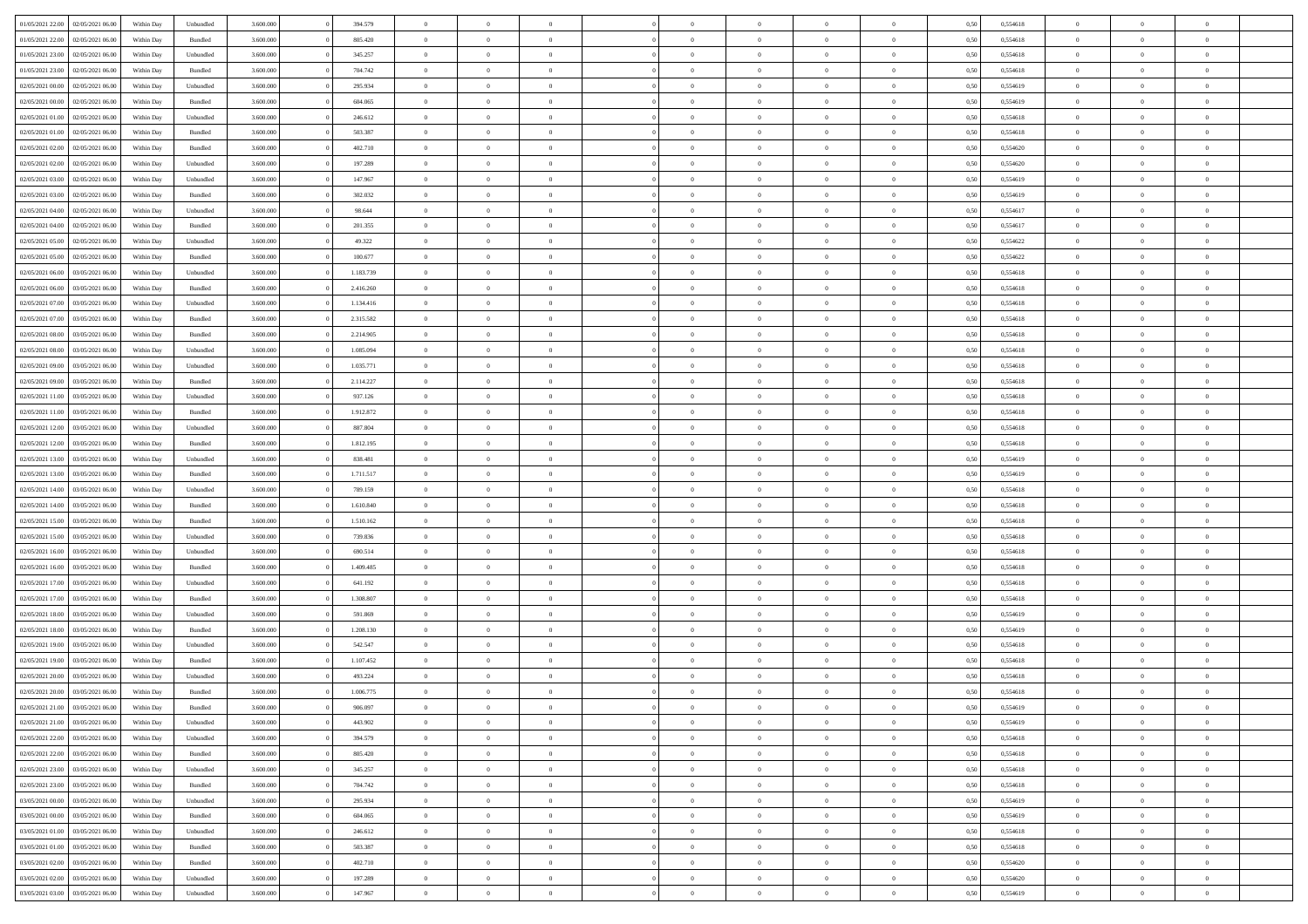| 01/05/2021 22:00 | 02/05/2021 06:00 | Within Day | Unbundled          | 3.600.000 | 394.579   | $\overline{0}$ | $\Omega$       |                | $\Omega$       | $\Omega$       | $\theta$       | $\theta$       | 0,50 | 0,554618 | $\theta$       | $\theta$       | $\theta$       |  |
|------------------|------------------|------------|--------------------|-----------|-----------|----------------|----------------|----------------|----------------|----------------|----------------|----------------|------|----------|----------------|----------------|----------------|--|
| 01/05/2021 22.00 | 02/05/2021 06:00 | Within Day | Bundled            | 3.600.000 | 805.420   | $\overline{0}$ | $\theta$       | $\overline{0}$ | $\overline{0}$ | $\bf{0}$       | $\overline{0}$ | $\bf{0}$       | 0,50 | 0,554618 | $\theta$       | $\theta$       | $\overline{0}$ |  |
| 01/05/2021 23.00 | 02/05/2021 06:00 | Within Day | Unbundled          | 3.600.000 | 345.257   | $\overline{0}$ | $\bf{0}$       | $\overline{0}$ | $\bf{0}$       | $\bf{0}$       | $\bf{0}$       | $\mathbf{0}$   | 0,50 | 0,554618 | $\overline{0}$ | $\overline{0}$ | $\overline{0}$ |  |
| 01/05/2021 23:00 | 02/05/2021 06:00 | Within Dav | Bundled            | 3.600,000 | 704.742   | $\overline{0}$ | $\overline{0}$ | $\overline{0}$ | $\overline{0}$ | $\bf{0}$       | $\overline{0}$ | $\overline{0}$ | 0.50 | 0.554618 | $\theta$       | $\theta$       | $\overline{0}$ |  |
| 02/05/2021 00:00 | 02/05/2021 06:00 | Within Day | Unbundled          | 3.600.000 | 295.934   | $\overline{0}$ | $\theta$       | $\overline{0}$ | $\overline{0}$ | $\bf{0}$       | $\overline{0}$ | $\bf{0}$       | 0,50 | 0,554619 | $\theta$       | $\overline{0}$ | $\overline{0}$ |  |
|                  |                  |            |                    |           |           |                |                |                |                |                |                |                |      |          |                |                |                |  |
| 02/05/2021 00:00 | 02/05/2021 06:00 | Within Day | Bundled            | 3.600.000 | 604.065   | $\overline{0}$ | $\bf{0}$       | $\overline{0}$ | $\bf{0}$       | $\overline{0}$ | $\overline{0}$ | $\mathbf{0}$   | 0,50 | 0,554619 | $\overline{0}$ | $\overline{0}$ | $\bf{0}$       |  |
| 02/05/2021 01:00 | 02/05/2021 06:00 | Within Dav | Unbundled          | 3.600.000 | 246.612   | $\overline{0}$ | $\overline{0}$ | $\overline{0}$ | $\overline{0}$ | $\overline{0}$ | $\overline{0}$ | $\overline{0}$ | 0.50 | 0,554618 | $\theta$       | $\overline{0}$ | $\overline{0}$ |  |
| 02/05/2021 01:00 | 02/05/2021 06:00 | Within Day | Bundled            | 3.600.000 | 503.387   | $\overline{0}$ | $\theta$       | $\overline{0}$ | $\overline{0}$ | $\bf{0}$       | $\overline{0}$ | $\bf{0}$       | 0,50 | 0,554618 | $\theta$       | $\theta$       | $\overline{0}$ |  |
| 02/05/2021 02:00 | 02/05/2021 06:00 | Within Day | Bundled            | 3.600.000 | 402.710   | $\overline{0}$ | $\overline{0}$ | $\overline{0}$ | $\bf{0}$       | $\bf{0}$       | $\bf{0}$       | $\bf{0}$       | 0,50 | 0,554620 | $\,0\,$        | $\overline{0}$ | $\overline{0}$ |  |
| 02/05/2021 02:00 | 02/05/2021 06:00 | Within Dav | Unbundled          | 3.600.000 | 197.289   | $\overline{0}$ | $\overline{0}$ | $\overline{0}$ | $\overline{0}$ | $\overline{0}$ | $\overline{0}$ | $\overline{0}$ | 0.50 | 0,554620 | $\theta$       | $\overline{0}$ | $\overline{0}$ |  |
| 02/05/2021 03:00 | 02/05/2021 06:00 | Within Day | Unbundled          | 3.600.000 | 147.967   | $\overline{0}$ | $\theta$       | $\overline{0}$ | $\overline{0}$ | $\bf{0}$       | $\overline{0}$ | $\bf{0}$       | 0,50 | 0,554619 | $\,$ 0 $\,$    | $\overline{0}$ | $\overline{0}$ |  |
| 02/05/2021 03:00 | 02/05/2021 06:00 | Within Day | Bundled            | 3.600.000 | 302.032   | $\overline{0}$ | $\overline{0}$ | $\overline{0}$ | $\bf{0}$       | $\bf{0}$       | $\bf{0}$       | $\bf{0}$       | 0,50 | 0,554619 | $\overline{0}$ | $\overline{0}$ | $\overline{0}$ |  |
|                  |                  |            |                    |           |           |                |                |                |                |                |                |                |      |          |                |                |                |  |
| 02/05/2021 04:00 | 02/05/2021 06:00 | Within Day | Unbundled          | 3.600.000 | 98.644    | $\overline{0}$ | $\overline{0}$ | $\overline{0}$ | $\overline{0}$ | $\bf{0}$       | $\overline{0}$ | $\overline{0}$ | 0.50 | 0.554617 | $\theta$       | $\theta$       | $\overline{0}$ |  |
| 02/05/2021 04:00 | 02/05/2021 06.00 | Within Day | Bundled            | 3.600.000 | 201.355   | $\overline{0}$ | $\theta$       | $\overline{0}$ | $\overline{0}$ | $\bf{0}$       | $\overline{0}$ | $\bf{0}$       | 0,50 | 0,554617 | $\theta$       | $\overline{0}$ | $\overline{0}$ |  |
| 02/05/2021 05:00 | 02/05/2021 06:00 | Within Day | Unbundled          | 3.600.000 | 49.322    | $\overline{0}$ | $\overline{0}$ | $\overline{0}$ | $\bf{0}$       | $\overline{0}$ | $\overline{0}$ | $\mathbf{0}$   | 0,50 | 0,554622 | $\overline{0}$ | $\overline{0}$ | $\bf{0}$       |  |
| 02/05/2021 05:00 | 02/05/2021 06:00 | Within Dav | Bundled            | 3.600.000 | 100.677   | $\overline{0}$ | $\overline{0}$ | $\overline{0}$ | $\overline{0}$ | $\overline{0}$ | $\overline{0}$ | $\overline{0}$ | 0.50 | 0,554622 | $\theta$       | $\overline{0}$ | $\overline{0}$ |  |
| 02/05/2021 06:00 | 03/05/2021 06:00 | Within Day | Unbundled          | 3.600.000 | 1.183.739 | $\overline{0}$ | $\theta$       | $\overline{0}$ | $\overline{0}$ | $\bf{0}$       | $\overline{0}$ | $\bf{0}$       | 0,50 | 0,554618 | $\theta$       | $\theta$       | $\overline{0}$ |  |
| 02/05/2021 06:00 | 03/05/2021 06:00 | Within Day | Bundled            | 3.600.000 | 2.416.260 | $\overline{0}$ | $\overline{0}$ | $\overline{0}$ | $\bf{0}$       | $\bf{0}$       | $\bf{0}$       | $\bf{0}$       | 0,50 | 0,554618 | $\,0\,$        | $\overline{0}$ | $\overline{0}$ |  |
| 02/05/2021 07:00 | 03/05/2021 06:00 | Within Dav | Unbundled          | 3.600.000 | 1.134.416 | $\overline{0}$ | $\overline{0}$ | $\overline{0}$ | $\overline{0}$ | $\overline{0}$ | $\overline{0}$ | $\overline{0}$ | 0.50 | 0.554618 | $\theta$       | $\overline{0}$ | $\overline{0}$ |  |
|                  |                  |            |                    |           |           | $\overline{0}$ | $\theta$       | $\overline{0}$ |                | $\bf{0}$       | $\overline{0}$ |                |      |          |                |                | $\overline{0}$ |  |
| 02/05/2021 07:00 | 03/05/2021 06:00 | Within Day | Bundled            | 3.600.000 | 2.315.582 |                |                |                | $\overline{0}$ |                |                | $\bf{0}$       | 0,50 | 0,554618 | $\,$ 0 $\,$    | $\overline{0}$ |                |  |
| 02/05/2021 08:00 | 03/05/2021 06:00 | Within Day | Bundled            | 3.600.000 | 2.214.905 | $\overline{0}$ | $\overline{0}$ | $\overline{0}$ | $\bf{0}$       | $\bf{0}$       | $\bf{0}$       | $\bf{0}$       | 0,50 | 0,554618 | $\bf{0}$       | $\overline{0}$ | $\overline{0}$ |  |
| 02/05/2021 08:00 | 03/05/2021 06:00 | Within Day | Unbundled          | 3.600,000 | 1.085.094 | $\overline{0}$ | $\overline{0}$ | $\overline{0}$ | $\overline{0}$ | $\bf{0}$       | $\overline{0}$ | $\overline{0}$ | 0.50 | 0.554618 | $\theta$       | $\theta$       | $\overline{0}$ |  |
| 02/05/2021 09:00 | 03/05/2021 06:00 | Within Day | Unbundled          | 3.600.000 | 1.035.771 | $\overline{0}$ | $\theta$       | $\overline{0}$ | $\overline{0}$ | $\bf{0}$       | $\overline{0}$ | $\bf{0}$       | 0,50 | 0,554618 | $\,$ 0 $\,$    | $\overline{0}$ | $\overline{0}$ |  |
| 02/05/2021 09:00 | 03/05/2021 06:00 | Within Day | Bundled            | 3.600.000 | 2.114.227 | $\overline{0}$ | $\bf{0}$       | $\overline{0}$ | $\bf{0}$       | $\overline{0}$ | $\overline{0}$ | $\mathbf{0}$   | 0,50 | 0,554618 | $\overline{0}$ | $\overline{0}$ | $\bf{0}$       |  |
| 02/05/2021 11:00 | 03/05/2021 06:00 | Within Dav | Unbundled          | 3.600.000 | 937.126   | $\overline{0}$ | $\overline{0}$ | $\overline{0}$ | $\overline{0}$ | $\overline{0}$ | $\overline{0}$ | $\overline{0}$ | 0.50 | 0.554618 | $\theta$       | $\overline{0}$ | $\overline{0}$ |  |
| 02/05/2021 11:00 | 03/05/2021 06:00 | Within Day | Bundled            | 3.600.000 | 1.912.872 | $\overline{0}$ | $\theta$       | $\overline{0}$ | $\overline{0}$ | $\bf{0}$       | $\overline{0}$ | $\bf{0}$       | 0,50 | 0,554618 | $\theta$       | $\theta$       | $\overline{0}$ |  |
|                  |                  |            |                    |           |           |                |                |                |                |                |                |                |      |          |                |                |                |  |
| 02/05/2021 12:00 | 03/05/2021 06:00 | Within Day | Unbundled          | 3.600.000 | 887.804   | $\overline{0}$ | $\overline{0}$ | $\overline{0}$ | $\bf{0}$       | $\bf{0}$       | $\bf{0}$       | $\bf{0}$       | 0,50 | 0,554618 | $\,0\,$        | $\overline{0}$ | $\overline{0}$ |  |
| 02/05/2021 12:00 | 03/05/2021 06:00 | Within Day | Bundled            | 3.600.000 | 1.812.195 | $\overline{0}$ | $\overline{0}$ | $\overline{0}$ | $\overline{0}$ | $\overline{0}$ | $\overline{0}$ | $\overline{0}$ | 0.50 | 0,554618 | $\theta$       | $\overline{0}$ | $\overline{0}$ |  |
| 02/05/2021 13:00 | 03/05/2021 06:00 | Within Day | Unbundled          | 3.600.000 | 838.481   | $\overline{0}$ | $\theta$       | $\overline{0}$ | $\overline{0}$ | $\bf{0}$       | $\overline{0}$ | $\bf{0}$       | 0,50 | 0,554619 | $\,$ 0 $\,$    | $\overline{0}$ | $\overline{0}$ |  |
| 02/05/2021 13:00 | 03/05/2021 06:00 | Within Day | Bundled            | 3.600.000 | 1.711.517 | $\overline{0}$ | $\overline{0}$ | $\overline{0}$ | $\bf{0}$       | $\bf{0}$       | $\bf{0}$       | $\bf{0}$       | 0,50 | 0,554619 | $\overline{0}$ | $\overline{0}$ | $\overline{0}$ |  |
| 02/05/2021 14:00 | 03/05/2021 06:00 | Within Day | Unbundled          | 3.600.000 | 789.159   | $\overline{0}$ | $\Omega$       | $\Omega$       | $\Omega$       | $\Omega$       | $\Omega$       | $\overline{0}$ | 0,50 | 0,554618 | $\,0\,$        | $\theta$       | $\theta$       |  |
| 02/05/2021 14:00 | 03/05/2021 06:00 | Within Day | Bundled            | 3.600.000 | 1.610.840 | $\overline{0}$ | $\theta$       | $\overline{0}$ | $\overline{0}$ | $\bf{0}$       | $\overline{0}$ | $\bf{0}$       | 0,50 | 0,554618 | $\theta$       | $\overline{0}$ | $\overline{0}$ |  |
| 02/05/2021 15:00 | 03/05/2021 06:00 | Within Day | Bundled            | 3.600.000 | 1.510.162 | $\overline{0}$ | $\overline{0}$ | $\overline{0}$ | $\bf{0}$       | $\bf{0}$       | $\overline{0}$ | $\mathbf{0}$   | 0,50 | 0,554618 | $\overline{0}$ | $\overline{0}$ | $\bf{0}$       |  |
| 02/05/2021 15:00 | 03/05/2021 06:00 |            | Unbundled          | 3.600,000 | 739,836   | $\overline{0}$ | $\Omega$       | $\Omega$       | $\Omega$       | $\bf{0}$       | $\overline{0}$ | $\overline{0}$ | 0.50 | 0.554618 | $\theta$       | $\theta$       | $\theta$       |  |
|                  |                  | Within Day |                    |           |           |                |                |                |                |                |                |                |      |          |                |                |                |  |
| 02/05/2021 16:00 | 03/05/2021 06:00 | Within Day | Unbundled          | 3.600.000 | 690.514   | $\overline{0}$ | $\theta$       | $\overline{0}$ | $\overline{0}$ | $\bf{0}$       | $\overline{0}$ | $\bf{0}$       | 0,50 | 0,554618 | $\theta$       | $\theta$       | $\overline{0}$ |  |
| 02/05/2021 16:00 | 03/05/2021 06:00 | Within Day | Bundled            | 3.600.000 | 1.409.485 | $\overline{0}$ | $\overline{0}$ | $\overline{0}$ | $\bf{0}$       | $\bf{0}$       | $\bf{0}$       | $\bf{0}$       | 0,50 | 0,554618 | $\,0\,$        | $\overline{0}$ | $\overline{0}$ |  |
| 02/05/2021 17:00 | 03/05/2021 06:00 | Within Day | Unbundled          | 3.600,000 | 641.192   | $\overline{0}$ | $\Omega$       | $\Omega$       | $\Omega$       | $\theta$       | $\theta$       | $\overline{0}$ | 0.50 | 0.554618 | $\theta$       | $\theta$       | $\theta$       |  |
| 02/05/2021 17:00 | 03/05/2021 06:00 | Within Day | Bundled            | 3.600.000 | 1.308.807 | $\overline{0}$ | $\theta$       | $\overline{0}$ | $\overline{0}$ | $\bf{0}$       | $\overline{0}$ | $\bf{0}$       | 0,50 | 0,554618 | $\,$ 0 $\,$    | $\overline{0}$ | $\overline{0}$ |  |
| 02/05/2021 18:00 | 03/05/2021 06:00 | Within Day | Unbundled          | 3.600.000 | 591.869   | $\overline{0}$ | $\overline{0}$ | $\overline{0}$ | $\bf{0}$       | $\bf{0}$       | $\bf{0}$       | $\bf{0}$       | 0,50 | 0,554619 | $\bf{0}$       | $\overline{0}$ | $\overline{0}$ |  |
| 02/05/2021 18:00 | 03/05/2021 06:00 | Within Day | Bundled            | 3.600.000 | 1.208.130 | $\overline{0}$ | $\Omega$       | $\overline{0}$ | $\Omega$       | $\Omega$       | $\overline{0}$ | $\overline{0}$ | 0.50 | 0,554619 | $\,0\,$        | $\theta$       | $\theta$       |  |
| 02/05/2021 19:00 | 03/05/2021 06:00 | Within Day | Unbundled          | 3.600.000 | 542.547   | $\overline{0}$ | $\theta$       | $\overline{0}$ | $\overline{0}$ | $\bf{0}$       | $\overline{0}$ | $\bf{0}$       | 0,50 | 0,554618 | $\,$ 0 $\,$    | $\overline{0}$ | $\overline{0}$ |  |
| 02/05/2021 19:00 | 03/05/2021 06:00 | Within Day | Bundled            | 3.600.000 | 1.107.452 | $\overline{0}$ | $\overline{0}$ | $\overline{0}$ | $\bf{0}$       | $\bf{0}$       | $\bf{0}$       | $\mathbf{0}$   | 0,50 | 0,554618 | $\overline{0}$ | $\overline{0}$ | $\bf{0}$       |  |
|                  |                  |            |                    |           |           |                |                |                |                |                |                |                |      |          |                |                |                |  |
| 02/05/2021 20:00 | 03/05/2021 06:00 | Within Day | Unbundled          | 3.600,000 | 493.224   | $\overline{0}$ | $\Omega$       | $\Omega$       | $\Omega$       | $\Omega$       | $\Omega$       | $\overline{0}$ | 0.50 | 0.554618 | $\theta$       | $\theta$       | $\theta$       |  |
| 02/05/2021 20:00 | 03/05/2021 06:00 | Within Day | Bundled            | 3.600.000 | 1.006.775 | $\overline{0}$ | $\overline{0}$ | $\overline{0}$ | $\bf{0}$       | $\,$ 0         | $\bf{0}$       | $\bf{0}$       | 0,50 | 0,554618 | $\,0\,$        | $\overline{0}$ | $\overline{0}$ |  |
| 02/05/2021 21:00 | 03/05/2021 06:00 | Within Day | $\mathbf B$ undled | 3.600.000 | 906.097   | $\bf{0}$       | $\bf{0}$       |                |                |                |                |                | 0,50 | 0,554619 | $\bf{0}$       | $\overline{0}$ |                |  |
| 02/05/2021 21:00 | 03/05/2021 06:00 | Within Day | Unbundled          | 3.600,000 | 443.902   | $\overline{0}$ | $\overline{0}$ | $\overline{0}$ | $\Omega$       | $\overline{0}$ | $\overline{0}$ | $\overline{0}$ | 0.50 | 0.554619 | $\theta$       | $\theta$       | $\theta$       |  |
| 02/05/2021 22:00 | 03/05/2021 06:00 | Within Day | Unbundled          | 3.600.000 | 394.579   | $\overline{0}$ | $\bf{0}$       | $\overline{0}$ | $\bf{0}$       | $\,$ 0 $\,$    | $\overline{0}$ | $\,$ 0 $\,$    | 0,50 | 0,554618 | $\,$ 0 $\,$    | $\,$ 0 $\,$    | $\,$ 0         |  |
| 02/05/2021 22.00 | 03/05/2021 06:00 | Within Day | Bundled            | 3.600.000 | 805.420   | $\overline{0}$ | $\overline{0}$ | $\overline{0}$ | $\overline{0}$ | $\overline{0}$ | $\overline{0}$ | $\mathbf{0}$   | 0,50 | 0,554618 | $\overline{0}$ | $\overline{0}$ | $\overline{0}$ |  |
| 02/05/2021 23:00 | 03/05/2021 06:00 | Within Day | Unbundled          | 3.600.000 | 345.257   | $\overline{0}$ | $\overline{0}$ | $\overline{0}$ | $\Omega$       | $\overline{0}$ | $\overline{0}$ | $\overline{0}$ | 0,50 | 0,554618 | $\overline{0}$ | $\theta$       | $\overline{0}$ |  |
| 02/05/2021 23:00 | 03/05/2021 06:00 | Within Day | Bundled            | 3.600.000 | 704.742   | $\overline{0}$ | $\,$ 0         | $\overline{0}$ |                | $\,$ 0 $\,$    | $\overline{0}$ |                |      | 0,554618 | $\,$ 0 $\,$    | $\overline{0}$ | $\,$ 0         |  |
|                  |                  |            |                    |           |           |                |                |                | $\bf{0}$       |                |                | $\mathbf{0}$   | 0,50 |          |                |                |                |  |
| 03/05/2021 00:00 | 03/05/2021 06:00 | Within Day | Unbundled          | 3.600.000 | 295.934   | $\overline{0}$ | $\overline{0}$ | $\overline{0}$ | $\overline{0}$ | $\overline{0}$ | $\overline{0}$ | $\mathbf{0}$   | 0,50 | 0,554619 | $\overline{0}$ | $\overline{0}$ | $\overline{0}$ |  |
| 03/05/2021 00:00 | 03/05/2021 06:00 | Within Day | Bundled            | 3.600,000 | 604.065   | $\overline{0}$ | $\overline{0}$ | $\overline{0}$ | $\overline{0}$ | $\overline{0}$ | $\overline{0}$ | $\overline{0}$ | 0.50 | 0,554619 | $\overline{0}$ | $\theta$       | $\overline{0}$ |  |
| 03/05/2021 01:00 | 03/05/2021 06:00 | Within Day | Unbundled          | 3.600.000 | 246.612   | $\overline{0}$ | $\,$ 0         | $\overline{0}$ | $\bf{0}$       | $\bf{0}$       | $\bf{0}$       | $\bf{0}$       | 0,50 | 0,554618 | $\,$ 0 $\,$    | $\overline{0}$ | $\overline{0}$ |  |
| 03/05/2021 01:00 | 03/05/2021 06:00 | Within Day | Bundled            | 3.600.000 | 503.387   | $\overline{0}$ | $\bf{0}$       | $\overline{0}$ | $\overline{0}$ | $\overline{0}$ | $\overline{0}$ | $\mathbf{0}$   | 0,50 | 0,554618 | $\overline{0}$ | $\overline{0}$ | $\bf{0}$       |  |
| 03/05/2021 02:00 | 03/05/2021 06:00 | Within Day | Bundled            | 3.600,000 | 402.710   | $\overline{0}$ | $\overline{0}$ | $\overline{0}$ | $\Omega$       | $\overline{0}$ | $\overline{0}$ | $\overline{0}$ | 0.50 | 0,554620 | $\overline{0}$ | $\overline{0}$ | $\overline{0}$ |  |
| 03/05/2021 02:00 | 03/05/2021 06:00 | Within Day | Unbundled          | 3.600.000 | 197.289   | $\overline{0}$ | $\bf{0}$       | $\overline{0}$ | $\overline{0}$ | $\bf{0}$       | $\bf{0}$       | $\mathbf{0}$   | 0,50 | 0,554620 | $\,$ 0 $\,$    | $\,$ 0 $\,$    | $\bf{0}$       |  |
|                  |                  |            |                    |           |           |                |                |                |                |                |                |                |      |          |                |                |                |  |
| 03/05/2021 03:00 | 03/05/2021 06:00 | Within Day | Unbundled          | 3.600.000 | 147.967   | $\overline{0}$ | $\bf{0}$       | $\overline{0}$ | $\overline{0}$ | $\bf{0}$       | $\bf{0}$       | $\bf{0}$       | 0,50 | 0,554619 | $\overline{0}$ | $\overline{0}$ | $\bf{0}$       |  |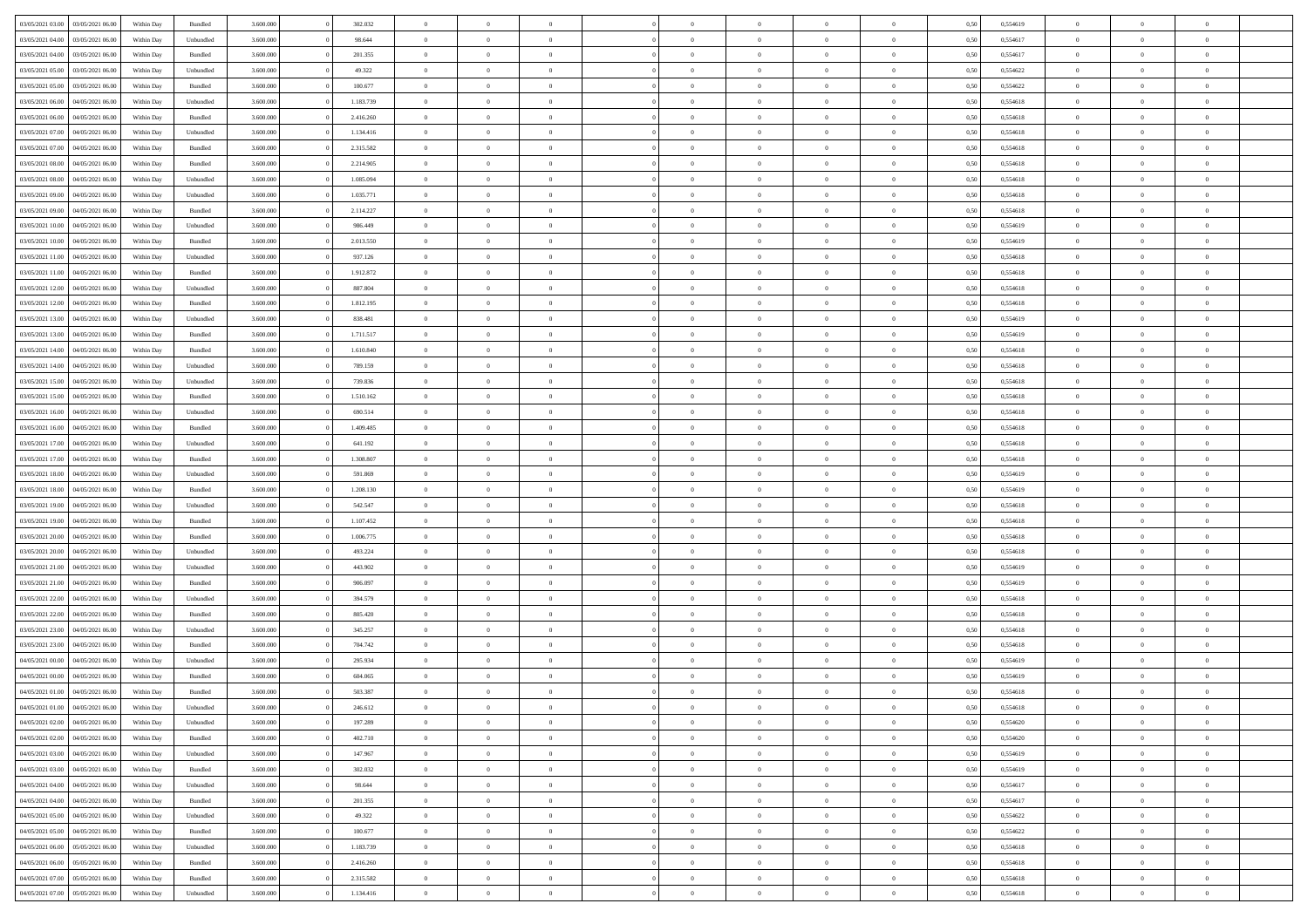|                                   |                  |            |                    |           |           | $\overline{0}$ | $\Omega$       |                |                | $\Omega$       | $\theta$       | $\theta$       |      |          | $\theta$       |                | $\theta$       |  |
|-----------------------------------|------------------|------------|--------------------|-----------|-----------|----------------|----------------|----------------|----------------|----------------|----------------|----------------|------|----------|----------------|----------------|----------------|--|
| 03/05/2021 03:00                  | 03/05/2021 06:00 | Within Day | Bundled            | 3.600.000 | 302.032   |                |                |                | $\Omega$       |                |                |                | 0,50 | 0,554619 |                | $\theta$       |                |  |
| 03/05/2021 04:00                  | 03/05/2021 06.00 | Within Day | Unbundled          | 3.600.000 | 98.644    | $\overline{0}$ | $\theta$       | $\overline{0}$ | $\overline{0}$ | $\bf{0}$       | $\overline{0}$ | $\bf{0}$       | 0,50 | 0,554617 | $\theta$       | $\theta$       | $\overline{0}$ |  |
| 03/05/2021 04:00                  | 03/05/2021 06:00 | Within Day | Bundled            | 3.600.000 | 201.355   | $\overline{0}$ | $\overline{0}$ | $\overline{0}$ | $\bf{0}$       | $\bf{0}$       | $\bf{0}$       | $\bf{0}$       | 0,50 | 0,554617 | $\overline{0}$ | $\overline{0}$ | $\overline{0}$ |  |
| 03/05/2021 05:00                  | 03/05/2021 06:00 | Within Dav | Unbundled          | 3.600.000 | 49.322    | $\overline{0}$ | $\overline{0}$ | $\overline{0}$ | $\overline{0}$ | $\bf{0}$       | $\overline{0}$ | $\overline{0}$ | 0.50 | 0.554622 | $\theta$       | $\theta$       | $\overline{0}$ |  |
| 03/05/2021 05:00                  | 03/05/2021 06.00 | Within Day | Bundled            | 3.600.000 | 100.677   | $\overline{0}$ | $\theta$       | $\overline{0}$ | $\overline{0}$ | $\bf{0}$       | $\overline{0}$ | $\bf{0}$       | 0,50 | 0,554622 | $\theta$       | $\theta$       | $\overline{0}$ |  |
|                                   |                  |            |                    |           |           |                |                |                |                |                |                |                |      |          |                |                |                |  |
| 03/05/2021 06:00                  | 04/05/2021 06.00 | Within Day | Unbundled          | 3.600.000 | 1.183.739 | $\overline{0}$ | $\bf{0}$       | $\overline{0}$ | $\bf{0}$       | $\overline{0}$ | $\overline{0}$ | $\mathbf{0}$   | 0,50 | 0,554618 | $\overline{0}$ | $\overline{0}$ | $\bf{0}$       |  |
| 03/05/2021 06:00                  | 04/05/2021 06:00 | Within Dav | Bundled            | 3.600.000 | 2.416.260 | $\overline{0}$ | $\overline{0}$ | $\overline{0}$ | $\overline{0}$ | $\overline{0}$ | $\overline{0}$ | $\overline{0}$ | 0.50 | 0,554618 | $\theta$       | $\overline{0}$ | $\overline{0}$ |  |
| 03/05/2021 07:00                  | 04/05/2021 06.00 | Within Day | Unbundled          | 3.600.000 | 1.134.416 | $\overline{0}$ | $\theta$       | $\overline{0}$ | $\overline{0}$ | $\bf{0}$       | $\overline{0}$ | $\bf{0}$       | 0,50 | 0,554618 | $\theta$       | $\theta$       | $\overline{0}$ |  |
| 03/05/2021 07:00                  | 04/05/2021 06.00 | Within Day | Bundled            | 3.600.000 | 2.315.582 | $\overline{0}$ | $\overline{0}$ | $\overline{0}$ | $\bf{0}$       | $\bf{0}$       | $\bf{0}$       | $\bf{0}$       | 0,50 | 0,554618 | $\,0\,$        | $\overline{0}$ | $\overline{0}$ |  |
| 03/05/2021 08:00                  | 04/05/2021 06:00 | Within Dav | Bundled            | 3.600.000 | 2.214.905 | $\overline{0}$ | $\overline{0}$ | $\overline{0}$ | $\overline{0}$ | $\overline{0}$ | $\overline{0}$ | $\overline{0}$ | 0.50 | 0.554618 | $\theta$       | $\overline{0}$ | $\overline{0}$ |  |
| 03/05/2021 08:00                  | 04/05/2021 06.00 | Within Day | Unbundled          | 3.600.000 | 1.085.094 | $\overline{0}$ | $\theta$       | $\overline{0}$ | $\overline{0}$ | $\bf{0}$       | $\overline{0}$ | $\bf{0}$       | 0,50 | 0,554618 | $\,$ 0 $\,$    | $\overline{0}$ | $\overline{0}$ |  |
| 03/05/2021 09:00                  | 04/05/2021 06.00 | Within Day | Unbundled          | 3.600.000 | 1.035.771 | $\overline{0}$ | $\overline{0}$ | $\overline{0}$ | $\bf{0}$       | $\bf{0}$       | $\bf{0}$       | $\bf{0}$       | 0,50 | 0,554618 | $\overline{0}$ | $\overline{0}$ | $\overline{0}$ |  |
|                                   |                  |            |                    |           |           |                |                |                |                |                |                |                |      |          |                |                |                |  |
| 03/05/2021 09:00                  | 04/05/2021 06:00 | Within Day | Bundled            | 3.600.000 | 2.114.227 | $\overline{0}$ | $\overline{0}$ | $\overline{0}$ | $\overline{0}$ | $\bf{0}$       | $\overline{0}$ | $\overline{0}$ | 0.50 | 0.554618 | $\theta$       | $\theta$       | $\overline{0}$ |  |
| 03/05/2021 10:00                  | 04/05/2021 06.00 | Within Day | Unbundled          | 3.600.000 | 986.449   | $\overline{0}$ | $\theta$       | $\overline{0}$ | $\overline{0}$ | $\bf{0}$       | $\overline{0}$ | $\bf{0}$       | 0,50 | 0,554619 | $\theta$       | $\overline{0}$ | $\overline{0}$ |  |
| 03/05/2021 10:00                  | 04/05/2021 06.00 | Within Day | Bundled            | 3.600.000 | 2.013.550 | $\overline{0}$ | $\overline{0}$ | $\overline{0}$ | $\bf{0}$       | $\overline{0}$ | $\overline{0}$ | $\mathbf{0}$   | 0,50 | 0,554619 | $\overline{0}$ | $\overline{0}$ | $\bf{0}$       |  |
| 03/05/2021 11:00                  | 04/05/2021 06:00 | Within Dav | Unbundled          | 3.600.000 | 937.126   | $\overline{0}$ | $\overline{0}$ | $\overline{0}$ | $\overline{0}$ | $\overline{0}$ | $\overline{0}$ | $\overline{0}$ | 0.50 | 0.554618 | $\theta$       | $\overline{0}$ | $\overline{0}$ |  |
| 03/05/2021 11:00                  | 04/05/2021 06.00 | Within Day | Bundled            | 3.600.000 | 1.912.872 | $\overline{0}$ | $\theta$       | $\overline{0}$ | $\overline{0}$ | $\bf{0}$       | $\overline{0}$ | $\bf{0}$       | 0,50 | 0,554618 | $\theta$       | $\theta$       | $\overline{0}$ |  |
| 03/05/2021 12:00                  | 04/05/2021 06.00 | Within Day | Unbundled          | 3.600.000 | 887.804   | $\overline{0}$ | $\overline{0}$ | $\overline{0}$ | $\bf{0}$       | $\bf{0}$       | $\bf{0}$       | $\bf{0}$       | 0,50 | 0,554618 | $\,0\,$        | $\overline{0}$ | $\overline{0}$ |  |
| 03/05/2021 12:00                  | 04/05/2021 06:00 | Within Day | Bundled            | 3.600.000 | 1.812.195 | $\overline{0}$ | $\overline{0}$ | $\overline{0}$ | $\overline{0}$ | $\overline{0}$ | $\overline{0}$ | $\overline{0}$ | 0.50 | 0.554618 | $\theta$       | $\overline{0}$ | $\overline{0}$ |  |
|                                   |                  |            |                    |           |           |                |                |                |                |                |                |                |      |          |                |                |                |  |
| 03/05/2021 13:00                  | 04/05/2021 06.00 | Within Day | Unbundled          | 3.600.000 | 838.481   | $\overline{0}$ | $\theta$       | $\overline{0}$ | $\overline{0}$ | $\bf{0}$       | $\overline{0}$ | $\bf{0}$       | 0,50 | 0,554619 | $\,$ 0 $\,$    | $\theta$       | $\overline{0}$ |  |
| 03/05/2021 13:00                  | 04/05/2021 06.00 | Within Day | Bundled            | 3.600.000 | 1.711.517 | $\overline{0}$ | $\overline{0}$ | $\overline{0}$ | $\bf{0}$       | $\bf{0}$       | $\bf{0}$       | $\bf{0}$       | 0,50 | 0,554619 | $\bf{0}$       | $\overline{0}$ | $\overline{0}$ |  |
| 03/05/2021 14:00                  | 04/05/2021 06:00 | Within Day | Bundled            | 3.600.000 | 1.610.840 | $\overline{0}$ | $\overline{0}$ | $\overline{0}$ | $\overline{0}$ | $\bf{0}$       | $\overline{0}$ | $\overline{0}$ | 0.50 | 0.554618 | $\theta$       | $\overline{0}$ | $\overline{0}$ |  |
| 03/05/2021 14:00                  | 04/05/2021 06.00 | Within Day | Unbundled          | 3.600.000 | 789.159   | $\overline{0}$ | $\theta$       | $\overline{0}$ | $\overline{0}$ | $\bf{0}$       | $\overline{0}$ | $\bf{0}$       | 0,50 | 0,554618 | $\,$ 0 $\,$    | $\overline{0}$ | $\overline{0}$ |  |
| 03/05/2021 15:00                  | 04/05/2021 06.00 | Within Day | Unbundled          | 3.600.000 | 739.836   | $\overline{0}$ | $\bf{0}$       | $\overline{0}$ | $\bf{0}$       | $\overline{0}$ | $\overline{0}$ | $\mathbf{0}$   | 0,50 | 0,554618 | $\overline{0}$ | $\overline{0}$ | $\bf{0}$       |  |
| 03/05/2021 15:00                  | 04/05/2021 06:00 | Within Dav | Bundled            | 3.600.000 | 1.510.162 | $\overline{0}$ | $\overline{0}$ | $\overline{0}$ | $\overline{0}$ | $\overline{0}$ | $\overline{0}$ | $\overline{0}$ | 0.50 | 0.554618 | $\theta$       | $\overline{0}$ | $\overline{0}$ |  |
| 03/05/2021 16:00                  | 04/05/2021 06.00 |            |                    | 3.600.000 | 690.514   | $\overline{0}$ | $\theta$       | $\overline{0}$ | $\overline{0}$ | $\bf{0}$       | $\overline{0}$ |                |      | 0,554618 | $\theta$       | $\theta$       | $\overline{0}$ |  |
|                                   |                  | Within Day | Unbundled          |           |           |                |                |                |                |                |                | $\bf{0}$       | 0,50 |          |                |                |                |  |
| 03/05/2021 16:00                  | 04/05/2021 06.00 | Within Day | Bundled            | 3.600.000 | 1.409.485 | $\overline{0}$ | $\overline{0}$ | $\overline{0}$ | $\bf{0}$       | $\bf{0}$       | $\bf{0}$       | $\bf{0}$       | 0,50 | 0,554618 | $\,0\,$        | $\overline{0}$ | $\overline{0}$ |  |
| 03/05/2021 17:00                  | 04/05/2021 06:00 | Within Day | Unbundled          | 3.600.000 | 641.192   | $\overline{0}$ | $\overline{0}$ | $\overline{0}$ | $\overline{0}$ | $\overline{0}$ | $\overline{0}$ | $\overline{0}$ | 0.50 | 0.554618 | $\theta$       | $\overline{0}$ | $\overline{0}$ |  |
| 03/05/2021 17:00                  | 04/05/2021 06.00 | Within Day | Bundled            | 3.600.000 | 1.308.807 | $\overline{0}$ | $\theta$       | $\overline{0}$ | $\overline{0}$ | $\bf{0}$       | $\overline{0}$ | $\bf{0}$       | 0,50 | 0,554618 | $\,$ 0 $\,$    | $\overline{0}$ | $\overline{0}$ |  |
| 03/05/2021 18:00                  | 04/05/2021 06.00 | Within Day | Unbundled          | 3.600.000 | 591.869   | $\overline{0}$ | $\overline{0}$ | $\overline{0}$ | $\bf{0}$       | $\bf{0}$       | $\bf{0}$       | $\bf{0}$       | 0,50 | 0,554619 | $\bf{0}$       | $\overline{0}$ | $\overline{0}$ |  |
| 03/05/2021 18:00                  | 04/05/2021 06.00 | Within Day | Bundled            | 3.600.000 | 1.208.130 | $\overline{0}$ | $\Omega$       | $\Omega$       | $\Omega$       | $\Omega$       | $\Omega$       | $\overline{0}$ | 0,50 | 0,554619 | $\,0\,$        | $\theta$       | $\theta$       |  |
| 03/05/2021 19:00                  | 04/05/2021 06.00 | Within Day | Unbundled          | 3.600.000 | 542.547   | $\overline{0}$ | $\theta$       | $\overline{0}$ | $\overline{0}$ | $\bf{0}$       | $\overline{0}$ | $\bf{0}$       | 0,50 | 0,554618 | $\theta$       | $\theta$       | $\overline{0}$ |  |
|                                   |                  |            |                    |           |           |                |                |                |                |                |                |                |      |          |                |                |                |  |
| 03/05/2021 19:00                  | 04/05/2021 06:00 | Within Day | Bundled            | 3.600.000 | 1.107.452 | $\overline{0}$ | $\overline{0}$ | $\overline{0}$ | $\bf{0}$       | $\bf{0}$       | $\overline{0}$ | $\mathbf{0}$   | 0,50 | 0,554618 | $\bf{0}$       | $\overline{0}$ | $\bf{0}$       |  |
| 03/05/2021 20:00                  | 04/05/2021 06:00 | Within Day | Bundled            | 3.600,000 | 1.006.775 | $\overline{0}$ | $\Omega$       | $\Omega$       | $\Omega$       | $\bf{0}$       | $\overline{0}$ | $\overline{0}$ | 0.50 | 0.554618 | $\theta$       | $\theta$       | $\theta$       |  |
| 03/05/2021 20:00                  | 04/05/2021 06.00 | Within Day | Unbundled          | 3.600.000 | 493.224   | $\overline{0}$ | $\theta$       | $\overline{0}$ | $\overline{0}$ | $\bf{0}$       | $\overline{0}$ | $\bf{0}$       | 0,50 | 0,554618 | $\,$ 0 $\,$    | $\theta$       | $\overline{0}$ |  |
| 03/05/2021 21.00                  | 04/05/2021 06.00 | Within Day | Unbundled          | 3.600.000 | 443.902   | $\overline{0}$ | $\overline{0}$ | $\overline{0}$ | $\bf{0}$       | $\bf{0}$       | $\bf{0}$       | $\bf{0}$       | 0,50 | 0,554619 | $\,0\,$        | $\overline{0}$ | $\overline{0}$ |  |
| 03/05/2021 21:00                  | 04/05/2021 06:00 | Within Day | Bundled            | 3.600,000 | 906,097   | $\overline{0}$ | $\Omega$       | $\Omega$       | $\Omega$       | $\theta$       | $\theta$       | $\overline{0}$ | 0.50 | 0.554619 | $\theta$       | $\theta$       | $\theta$       |  |
| 03/05/2021 22:00                  | 04/05/2021 06.00 | Within Day | Unbundled          | 3.600.000 | 394.579   | $\overline{0}$ | $\theta$       | $\overline{0}$ | $\overline{0}$ | $\bf{0}$       | $\overline{0}$ | $\bf{0}$       | 0,50 | 0,554618 | $\,$ 0 $\,$    | $\overline{0}$ | $\overline{0}$ |  |
| 03/05/2021 22.00                  | 04/05/2021 06.00 | Within Day | Bundled            | 3.600.000 | 805.420   | $\overline{0}$ | $\overline{0}$ | $\overline{0}$ | $\bf{0}$       | $\bf{0}$       | $\bf{0}$       | $\bf{0}$       | 0,50 | 0,554618 | $\bf{0}$       | $\overline{0}$ | $\overline{0}$ |  |
| 03/05/2021 23:00                  | 04/05/2021 06.00 |            | Unbundled          | 3.600.000 | 345.257   | $\overline{0}$ | $\Omega$       | $\overline{0}$ | $\Omega$       | $\Omega$       | $\overline{0}$ | $\overline{0}$ | 0,50 | 0,554618 | $\,0\,$        | $\theta$       | $\theta$       |  |
|                                   |                  | Within Day |                    |           |           |                |                |                |                |                |                |                |      |          |                |                |                |  |
| 03/05/2021 23:00                  | 04/05/2021 06.00 | Within Day | Bundled            | 3.600.000 | 704.742   | $\overline{0}$ | $\theta$       | $\overline{0}$ | $\overline{0}$ | $\bf{0}$       | $\overline{0}$ | $\bf{0}$       | 0,50 | 0,554618 | $\,$ 0 $\,$    | $\overline{0}$ | $\overline{0}$ |  |
| 04/05/2021 00:00                  | 04/05/2021 06.00 | Within Day | Unbundled          | 3.600.000 | 295.934   | $\overline{0}$ | $\overline{0}$ | $\overline{0}$ | $\bf{0}$       | $\bf{0}$       | $\bf{0}$       | $\mathbf{0}$   | 0,50 | 0,554619 | $\overline{0}$ | $\overline{0}$ | $\bf{0}$       |  |
| 04/05/2021 00:00                  | 04/05/2021 06:00 | Within Day | Bundled            | 3.600,000 | 604,065   | $\overline{0}$ | $\Omega$       | $\Omega$       | $\Omega$       | $\Omega$       | $\Omega$       | $\overline{0}$ | 0.50 | 0.554619 | $\theta$       | $\theta$       | $\theta$       |  |
| 04/05/2021 01:00                  | 04/05/2021 06:00 | Within Day | Bundled            | 3.600.000 | 503.387   | $\overline{0}$ | $\overline{0}$ | $\overline{0}$ | $\bf{0}$       | $\,$ 0         | $\bf{0}$       | $\bf{0}$       | 0,50 | 0,554618 | $\,0\,$        | $\overline{0}$ | $\overline{0}$ |  |
| 04/05/2021 01:00 04/05/2021 06:00 |                  | Within Day | Unbundled          | 3.600.000 | 246.612   | $\bf{0}$       | $\bf{0}$       |                |                |                |                |                | 0,50 | 0,554618 | $\bf{0}$       | $\overline{0}$ |                |  |
| 04/05/2021 02.00                  | 04/05/2021 06:00 | Within Day | Unbundled          | 3.600,000 | 197.289   | $\overline{0}$ | $\overline{0}$ | $\overline{0}$ | $\Omega$       | $\overline{0}$ | $\overline{0}$ | $\overline{0}$ | 0.50 | 0.554620 | $\theta$       | $\theta$       | $\theta$       |  |
| 04/05/2021 02:00                  | 04/05/2021 06:00 | Within Day | Bundled            | 3.600.000 | 402.710   | $\overline{0}$ | $\bf{0}$       | $\overline{0}$ | $\bf{0}$       | $\,$ 0 $\,$    | $\overline{0}$ | $\,$ 0 $\,$    | 0,50 | 0,554620 | $\,$ 0 $\,$    | $\,$ 0 $\,$    | $\,$ 0         |  |
|                                   |                  |            |                    |           |           |                |                |                |                |                |                |                |      |          |                |                |                |  |
| 04/05/2021 03:00                  | 04/05/2021 06:00 | Within Day | Unbundled          | 3.600.000 | 147.967   | $\overline{0}$ | $\overline{0}$ | $\overline{0}$ | $\overline{0}$ | $\overline{0}$ | $\overline{0}$ | $\mathbf{0}$   | 0,50 | 0,554619 | $\overline{0}$ | $\bf{0}$       | $\overline{0}$ |  |
| 04/05/2021 03:00                  | 04/05/2021 06:00 | Within Day | $\mathbf B$ undled | 3.600.000 | 302.032   | $\overline{0}$ | $\overline{0}$ | $\overline{0}$ | $\Omega$       | $\overline{0}$ | $\overline{0}$ | $\overline{0}$ | 0,50 | 0,554619 | $\overline{0}$ | $\theta$       | $\overline{0}$ |  |
| 04/05/2021 04:00                  | 04/05/2021 06:00 | Within Day | Unbundled          | 3.600.000 | 98.644    | $\overline{0}$ | $\,$ 0         | $\overline{0}$ | $\bf{0}$       | $\,$ 0 $\,$    | $\overline{0}$ | $\mathbf{0}$   | 0,50 | 0,554617 | $\,$ 0 $\,$    | $\overline{0}$ | $\,$ 0         |  |
| 04/05/2021 04:00                  | 04/05/2021 06:00 | Within Day | Bundled            | 3.600.000 | 201.355   | $\overline{0}$ | $\overline{0}$ | $\overline{0}$ | $\overline{0}$ | $\overline{0}$ | $\overline{0}$ | $\mathbf{0}$   | 0,50 | 0,554617 | $\overline{0}$ | $\overline{0}$ | $\overline{0}$ |  |
| 04/05/2021 05:00                  | 04/05/2021 06:00 | Within Day | Unbundled          | 3.600,000 | 49.322    | $\overline{0}$ | $\overline{0}$ | $\overline{0}$ | $\overline{0}$ | $\overline{0}$ | $\overline{0}$ | $\bf{0}$       | 0.50 | 0,554622 | $\overline{0}$ | $\theta$       | $\overline{0}$ |  |
| 04/05/2021 05:00                  | 04/05/2021 06:00 | Within Day | Bundled            | 3.600.000 | 100.677   | $\overline{0}$ | $\,$ 0         | $\overline{0}$ | $\bf{0}$       | $\bf{0}$       | $\bf{0}$       | $\bf{0}$       | 0,50 | 0,554622 | $\,$ 0 $\,$    | $\overline{0}$ | $\overline{0}$ |  |
| 04/05/2021 06.00                  | 05/05/2021 06:00 | Within Day | Unbundled          | 3.600.000 | 1.183.739 | $\overline{0}$ | $\bf{0}$       | $\overline{0}$ | $\overline{0}$ | $\overline{0}$ | $\overline{0}$ | $\mathbf{0}$   | 0,50 | 0,554618 | $\overline{0}$ | $\overline{0}$ | $\bf{0}$       |  |
|                                   |                  |            |                    |           |           |                |                |                |                |                |                |                |      |          |                |                |                |  |
| 04/05/2021 06:00                  | 05/05/2021 06:00 | Within Day | Bundled            | 3.600,000 | 2.416.260 | $\overline{0}$ | $\overline{0}$ | $\overline{0}$ | $\Omega$       | $\overline{0}$ | $\overline{0}$ | $\overline{0}$ | 0.50 | 0,554618 | $\overline{0}$ | $\overline{0}$ | $\overline{0}$ |  |
| 04/05/2021 07:00                  | 05/05/2021 06:00 | Within Day | Bundled            | 3.600.000 | 2.315.582 | $\overline{0}$ | $\bf{0}$       | $\overline{0}$ | $\overline{0}$ | $\bf{0}$       | $\bf{0}$       | $\mathbf{0}$   | 0,50 | 0,554618 | $\,$ 0 $\,$    | $\,$ 0 $\,$    | $\bf{0}$       |  |
| 04/05/2021 07:00                  | 05/05/2021 06:00 | Within Day | Unbundled          | 3.600.000 | 1.134.416 | $\overline{0}$ | $\bf{0}$       | $\overline{0}$ | $\overline{0}$ | $\bf{0}$       | $\bf{0}$       | $\bf{0}$       | 0,50 | 0,554618 | $\overline{0}$ | $\overline{0}$ | $\bf{0}$       |  |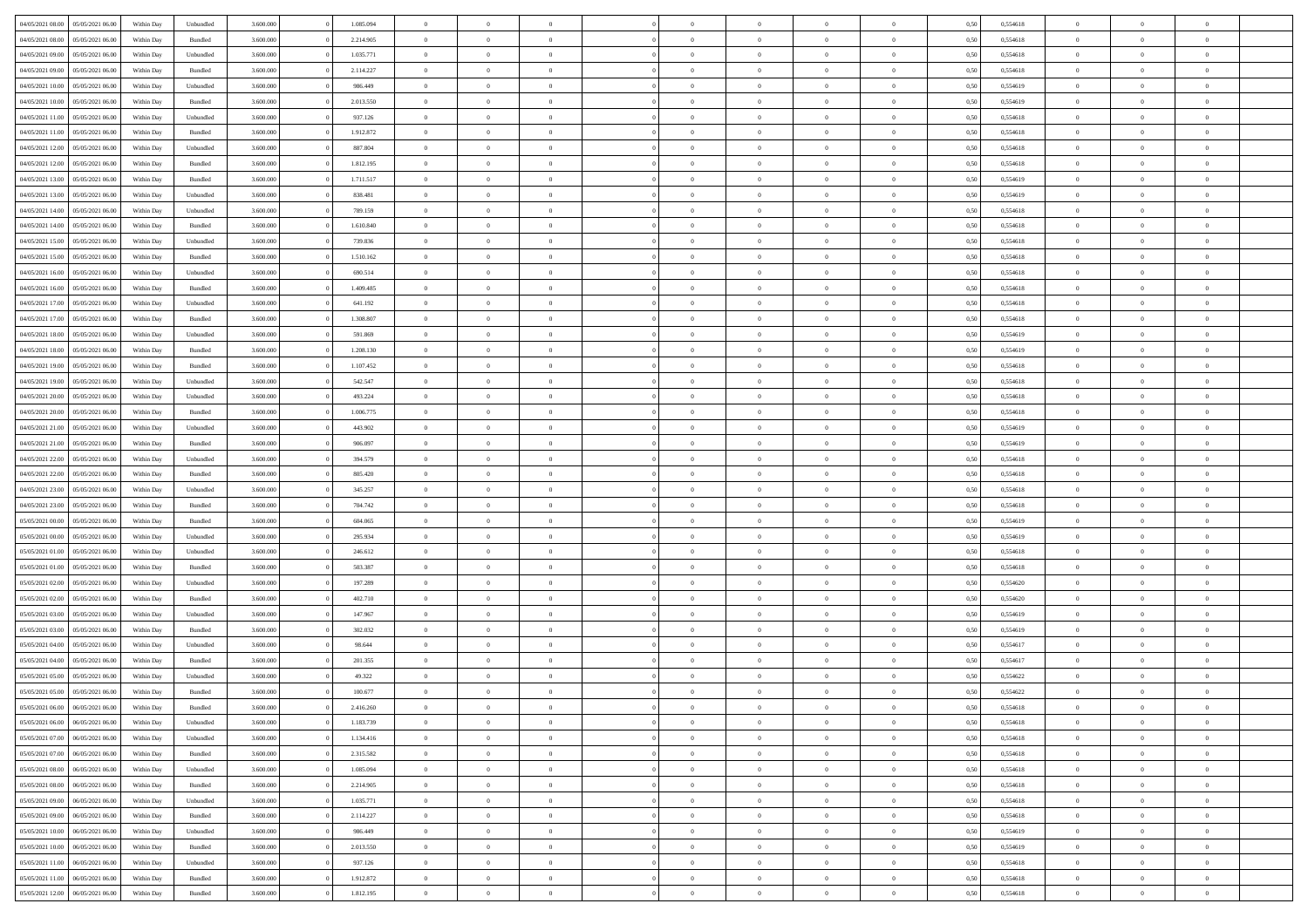| 04/05/2021 08:00                  | 05/05/2021 06:00 | Within Day | Unbundled          | 3.600.000 | 1.085.094 | $\overline{0}$ | $\Omega$       |                | $\Omega$       | $\Omega$       | $\theta$       | $\theta$       | 0,50 | 0,554618 | $\theta$       | $\theta$       | $\theta$       |  |
|-----------------------------------|------------------|------------|--------------------|-----------|-----------|----------------|----------------|----------------|----------------|----------------|----------------|----------------|------|----------|----------------|----------------|----------------|--|
| 04/05/2021 08:00                  | 05/05/2021 06:00 | Within Day | Bundled            | 3.600.000 | 2.214.905 | $\overline{0}$ | $\theta$       | $\overline{0}$ | $\overline{0}$ | $\bf{0}$       | $\overline{0}$ | $\bf{0}$       | 0,50 | 0,554618 | $\theta$       | $\theta$       | $\overline{0}$ |  |
| 04/05/2021 09:00                  | 05/05/2021 06:00 | Within Day | Unbundled          | 3.600.000 | 1.035.771 | $\overline{0}$ | $\bf{0}$       | $\overline{0}$ | $\bf{0}$       | $\bf{0}$       | $\bf{0}$       | $\bf{0}$       | 0,50 | 0,554618 | $\overline{0}$ | $\overline{0}$ | $\overline{0}$ |  |
| 04/05/2021 09:00                  | 05/05/2021 06:00 | Within Dav | Bundled            | 3.600,000 | 2.114.227 | $\overline{0}$ | $\overline{0}$ | $\overline{0}$ | $\overline{0}$ | $\bf{0}$       | $\overline{0}$ | $\overline{0}$ | 0.50 | 0.554618 | $\theta$       | $\theta$       | $\overline{0}$ |  |
| 04/05/2021 10:00                  | 05/05/2021 06:00 | Within Day | Unbundled          | 3.600.000 | 986.449   | $\overline{0}$ | $\theta$       | $\overline{0}$ | $\overline{0}$ | $\bf{0}$       | $\overline{0}$ | $\bf{0}$       | 0,50 | 0,554619 | $\theta$       | $\overline{0}$ | $\overline{0}$ |  |
|                                   |                  |            |                    |           |           |                |                |                |                |                |                |                |      |          |                |                |                |  |
| 04/05/2021 10:00                  | 05/05/2021 06:00 | Within Day | Bundled            | 3.600.000 | 2.013.550 | $\overline{0}$ | $\overline{0}$ | $\overline{0}$ | $\bf{0}$       | $\overline{0}$ | $\overline{0}$ | $\mathbf{0}$   | 0,50 | 0,554619 | $\overline{0}$ | $\overline{0}$ | $\bf{0}$       |  |
| 04/05/2021 11:00                  | 05/05/2021 06:00 | Within Dav | Unbundled          | 3.600.000 | 937.126   | $\overline{0}$ | $\overline{0}$ | $\overline{0}$ | $\overline{0}$ | $\overline{0}$ | $\overline{0}$ | $\overline{0}$ | 0.50 | 0,554618 | $\theta$       | $\overline{0}$ | $\overline{0}$ |  |
| 04/05/2021 11:00                  | 05/05/2021 06:00 | Within Day | Bundled            | 3.600.000 | 1.912.872 | $\overline{0}$ | $\theta$       | $\overline{0}$ | $\overline{0}$ | $\bf{0}$       | $\overline{0}$ | $\bf{0}$       | 0,50 | 0,554618 | $\theta$       | $\theta$       | $\overline{0}$ |  |
| 04/05/2021 12:00                  | 05/05/2021 06:00 | Within Day | Unbundled          | 3.600.000 | 887.804   | $\overline{0}$ | $\overline{0}$ | $\overline{0}$ | $\bf{0}$       | $\bf{0}$       | $\bf{0}$       | $\bf{0}$       | 0,50 | 0,554618 | $\,0\,$        | $\overline{0}$ | $\overline{0}$ |  |
| 04/05/2021 12:00                  | 05/05/2021 06:00 | Within Dav | Bundled            | 3.600.000 | 1.812.195 | $\overline{0}$ | $\overline{0}$ | $\overline{0}$ | $\overline{0}$ | $\overline{0}$ | $\overline{0}$ | $\overline{0}$ | 0.50 | 0.554618 | $\theta$       | $\overline{0}$ | $\overline{0}$ |  |
| 04/05/2021 13:00                  | 05/05/2021 06:00 | Within Day | Bundled            | 3.600.000 | 1.711.517 | $\overline{0}$ | $\theta$       | $\overline{0}$ | $\overline{0}$ | $\bf{0}$       | $\overline{0}$ | $\bf{0}$       | 0,50 | 0,554619 | $\,$ 0 $\,$    | $\overline{0}$ | $\overline{0}$ |  |
| 04/05/2021 13:00                  | 05/05/2021 06:00 | Within Day | Unbundled          | 3.600.000 | 838.481   | $\overline{0}$ | $\overline{0}$ | $\overline{0}$ | $\bf{0}$       | $\bf{0}$       | $\bf{0}$       | $\mathbf{0}$   | 0,50 | 0,554619 | $\overline{0}$ | $\overline{0}$ | $\bf{0}$       |  |
|                                   |                  |            |                    |           |           |                |                |                |                |                |                |                |      |          |                |                |                |  |
| 04/05/2021 14:00                  | 05/05/2021 06:00 | Within Dav | Unbundled          | 3.600.000 | 789.159   | $\overline{0}$ | $\overline{0}$ | $\overline{0}$ | $\overline{0}$ | $\bf{0}$       | $\overline{0}$ | $\overline{0}$ | 0.50 | 0.554618 | $\theta$       | $\theta$       | $\overline{0}$ |  |
| 04/05/2021 14:00                  | 05/05/2021 06:00 | Within Day | Bundled            | 3.600.000 | 1.610.840 | $\overline{0}$ | $\theta$       | $\overline{0}$ | $\overline{0}$ | $\bf{0}$       | $\overline{0}$ | $\bf{0}$       | 0,50 | 0,554618 | $\theta$       | $\overline{0}$ | $\overline{0}$ |  |
| 04/05/2021 15:00                  | 05/05/2021 06:00 | Within Day | Unbundled          | 3.600.000 | 739.836   | $\overline{0}$ | $\overline{0}$ | $\overline{0}$ | $\bf{0}$       | $\overline{0}$ | $\overline{0}$ | $\mathbf{0}$   | 0,50 | 0,554618 | $\overline{0}$ | $\overline{0}$ | $\bf{0}$       |  |
| 04/05/2021 15:00                  | 05/05/2021 06:00 | Within Dav | Bundled            | 3.600.000 | 1.510.162 | $\overline{0}$ | $\overline{0}$ | $\overline{0}$ | $\overline{0}$ | $\overline{0}$ | $\overline{0}$ | $\overline{0}$ | 0.50 | 0.554618 | $\theta$       | $\overline{0}$ | $\overline{0}$ |  |
| 04/05/2021 16:00                  | 05/05/2021 06:00 | Within Day | Unbundled          | 3.600.000 | 690.514   | $\overline{0}$ | $\theta$       | $\overline{0}$ | $\overline{0}$ | $\bf{0}$       | $\overline{0}$ | $\bf{0}$       | 0,50 | 0,554618 | $\theta$       | $\theta$       | $\overline{0}$ |  |
| 04/05/2021 16:00                  | 05/05/2021 06:00 | Within Day | Bundled            | 3.600.000 | 1.409.485 | $\overline{0}$ | $\overline{0}$ | $\overline{0}$ | $\bf{0}$       | $\bf{0}$       | $\bf{0}$       | $\mathbf{0}$   | 0,50 | 0,554618 | $\bf{0}$       | $\overline{0}$ | $\overline{0}$ |  |
| 04/05/2021 17:00                  | 05/05/2021 06:00 | Within Dav | Unbundled          | 3.600.000 | 641.192   | $\overline{0}$ | $\overline{0}$ | $\overline{0}$ | $\overline{0}$ | $\overline{0}$ | $\overline{0}$ | $\overline{0}$ | 0.50 | 0,554618 | $\theta$       | $\overline{0}$ | $\overline{0}$ |  |
|                                   |                  |            |                    |           |           |                |                |                |                |                |                |                |      |          |                |                |                |  |
| 04/05/2021 17:00                  | 05/05/2021 06:00 | Within Day | Bundled            | 3.600.000 | 1.308.807 | $\overline{0}$ | $\theta$       | $\overline{0}$ | $\overline{0}$ | $\bf{0}$       | $\overline{0}$ | $\bf{0}$       | 0,50 | 0,554618 | $\,$ 0 $\,$    | $\overline{0}$ | $\overline{0}$ |  |
| 04/05/2021 18:00                  | 05/05/2021 06:00 | Within Day | Unbundled          | 3.600.000 | 591.869   | $\overline{0}$ | $\overline{0}$ | $\overline{0}$ | $\bf{0}$       | $\bf{0}$       | $\bf{0}$       | $\bf{0}$       | 0,50 | 0,554619 | $\overline{0}$ | $\overline{0}$ | $\bf{0}$       |  |
| 04/05/2021 18:00                  | 05/05/2021 06:00 | Within Day | Bundled            | 3.600,000 | 1.208.130 | $\overline{0}$ | $\overline{0}$ | $\overline{0}$ | $\overline{0}$ | $\bf{0}$       | $\overline{0}$ | $\overline{0}$ | 0.50 | 0.554619 | $\theta$       | $\overline{0}$ | $\overline{0}$ |  |
| 04/05/2021 19:00                  | 05/05/2021 06:00 | Within Day | Bundled            | 3.600.000 | 1.107.452 | $\overline{0}$ | $\theta$       | $\overline{0}$ | $\overline{0}$ | $\bf{0}$       | $\overline{0}$ | $\bf{0}$       | 0,50 | 0,554618 | $\,$ 0 $\,$    | $\overline{0}$ | $\overline{0}$ |  |
| 04/05/2021 19:00                  | 05/05/2021 06:00 | Within Day | Unbundled          | 3.600.000 | 542.547   | $\overline{0}$ | $\overline{0}$ | $\overline{0}$ | $\bf{0}$       | $\overline{0}$ | $\overline{0}$ | $\mathbf{0}$   | 0,50 | 0,554618 | $\overline{0}$ | $\overline{0}$ | $\bf{0}$       |  |
| 04/05/2021 20:00                  | 05/05/2021 06:00 | Within Dav | Unbundled          | 3.600.000 | 493.224   | $\overline{0}$ | $\overline{0}$ | $\overline{0}$ | $\overline{0}$ | $\overline{0}$ | $\overline{0}$ | $\overline{0}$ | 0.50 | 0.554618 | $\overline{0}$ | $\overline{0}$ | $\overline{0}$ |  |
| 04/05/2021 20:00                  | 05/05/2021 06:00 | Within Day | Bundled            | 3.600.000 | 1.006.775 | $\overline{0}$ | $\theta$       | $\overline{0}$ | $\overline{0}$ | $\bf{0}$       | $\overline{0}$ | $\bf{0}$       | 0,50 | 0,554618 | $\theta$       | $\theta$       | $\overline{0}$ |  |
|                                   |                  |            |                    |           |           |                |                |                |                |                |                |                |      |          |                |                |                |  |
| 04/05/2021 21:00                  | 05/05/2021 06:00 | Within Day | Unbundled          | 3.600.000 | 443.902   | $\overline{0}$ | $\overline{0}$ | $\overline{0}$ | $\bf{0}$       | $\bf{0}$       | $\bf{0}$       | $\bf{0}$       | 0,50 | 0,554619 | $\,0\,$        | $\overline{0}$ | $\overline{0}$ |  |
| 04/05/2021 21.00                  | 05/05/2021 06:00 | Within Day | Bundled            | 3.600.000 | 906.097   | $\overline{0}$ | $\overline{0}$ | $\overline{0}$ | $\overline{0}$ | $\overline{0}$ | $\overline{0}$ | $\overline{0}$ | 0.50 | 0.554619 | $\theta$       | $\overline{0}$ | $\overline{0}$ |  |
| 04/05/2021 22.00                  | 05/05/2021 06:00 | Within Day | Unbundled          | 3.600.000 | 394.579   | $\overline{0}$ | $\theta$       | $\overline{0}$ | $\overline{0}$ | $\bf{0}$       | $\overline{0}$ | $\bf{0}$       | 0,50 | 0,554618 | $\,$ 0 $\,$    | $\overline{0}$ | $\overline{0}$ |  |
| 04/05/2021 22.00                  | 05/05/2021 06:00 | Within Day | Bundled            | 3.600.000 | 805.420   | $\overline{0}$ | $\overline{0}$ | $\overline{0}$ | $\bf{0}$       | $\bf{0}$       | $\bf{0}$       | $\bf{0}$       | 0,50 | 0,554618 | $\bf{0}$       | $\overline{0}$ | $\bf{0}$       |  |
| 04/05/2021 23:00                  | 05/05/2021 06:00 | Within Day | Unbundled          | 3.600.000 | 345.257   | $\overline{0}$ | $\Omega$       | $\Omega$       | $\Omega$       | $\Omega$       | $\Omega$       | $\overline{0}$ | 0,50 | 0,554618 | $\,0\,$        | $\theta$       | $\theta$       |  |
| 04/05/2021 23:00                  | 05/05/2021 06:00 | Within Day | Bundled            | 3.600.000 | 704.742   | $\overline{0}$ | $\theta$       | $\overline{0}$ | $\overline{0}$ | $\bf{0}$       | $\overline{0}$ | $\bf{0}$       | 0,50 | 0,554618 | $\theta$       | $\overline{0}$ | $\overline{0}$ |  |
| 05/05/2021 00:00                  | 05/05/2021 06:00 | Within Day | Bundled            | 3.600.000 | 604.065   | $\overline{0}$ | $\overline{0}$ | $\overline{0}$ | $\bf{0}$       | $\bf{0}$       | $\overline{0}$ | $\mathbf{0}$   | 0,50 | 0,554619 | $\bf{0}$       | $\overline{0}$ | $\bf{0}$       |  |
|                                   |                  |            |                    |           |           |                |                |                |                |                |                |                |      |          |                |                |                |  |
| 05/05/2021 00:00                  | 05/05/2021 06:00 | Within Day | Unbundled          | 3.600,000 | 295.934   | $\overline{0}$ | $\Omega$       | $\Omega$       | $\Omega$       | $\bf{0}$       | $\overline{0}$ | $\overline{0}$ | 0.50 | 0.554619 | $\theta$       | $\theta$       | $\theta$       |  |
| 05/05/2021 01:00                  | 05/05/2021 06:00 | Within Day | Unbundled          | 3.600.000 | 246.612   | $\overline{0}$ | $\theta$       | $\overline{0}$ | $\overline{0}$ | $\bf{0}$       | $\overline{0}$ | $\bf{0}$       | 0,50 | 0,554618 | $\,$ 0 $\,$    | $\theta$       | $\overline{0}$ |  |
| 05/05/2021 01:00                  | 05/05/2021 06:00 | Within Day | Bundled            | 3.600.000 | 503.387   | $\overline{0}$ | $\overline{0}$ | $\overline{0}$ | $\bf{0}$       | $\bf{0}$       | $\bf{0}$       | $\bf{0}$       | 0,50 | 0,554618 | $\bf{0}$       | $\overline{0}$ | $\overline{0}$ |  |
| 05/05/2021 02:00                  | 05/05/2021 06:00 | Within Day | Unbundled          | 3.600,000 | 197.289   | $\overline{0}$ | $\Omega$       | $\overline{0}$ | $\Omega$       | $\theta$       | $\theta$       | $\overline{0}$ | 0.50 | 0.554620 | $\theta$       | $\theta$       | $\theta$       |  |
| 05/05/2021 02:00                  | 05/05/2021 06:00 | Within Day | Bundled            | 3.600.000 | 402.710   | $\overline{0}$ | $\theta$       | $\overline{0}$ | $\overline{0}$ | $\bf{0}$       | $\overline{0}$ | $\bf{0}$       | 0,50 | 0,554620 | $\,$ 0 $\,$    | $\overline{0}$ | $\overline{0}$ |  |
| 05/05/2021 03:00                  | 05/05/2021 06:00 | Within Day | Unbundled          | 3.600.000 | 147.967   | $\overline{0}$ | $\bf{0}$       | $\overline{0}$ | $\bf{0}$       | $\bf{0}$       | $\bf{0}$       | $\bf{0}$       | 0,50 | 0,554619 | $\bf{0}$       | $\overline{0}$ | $\bf{0}$       |  |
| 05/05/2021 03:00                  | 05/05/2021 06:00 | Within Day | Bundled            | 3.600.000 | 302.032   | $\overline{0}$ | $\Omega$       | $\overline{0}$ | $\Omega$       | $\Omega$       | $\overline{0}$ | $\overline{0}$ | 0,50 | 0,554619 | $\,0\,$        | $\theta$       | $\theta$       |  |
| 05/05/2021 04:00                  | 05/05/2021 06:00 | Within Day | Unbundled          | 3.600.000 | 98.644    | $\overline{0}$ | $\theta$       | $\overline{0}$ | $\overline{0}$ | $\bf{0}$       | $\overline{0}$ | $\bf{0}$       | 0,50 | 0,554617 | $\,$ 0 $\,$    | $\overline{0}$ | $\overline{0}$ |  |
|                                   |                  |            |                    |           |           |                |                |                |                |                |                |                |      |          |                |                |                |  |
| 05/05/2021 04:00                  | 05/05/2021 06:00 | Within Day | Bundled            | 3.600.000 | 201.355   | $\overline{0}$ | $\overline{0}$ | $\overline{0}$ | $\bf{0}$       | $\bf{0}$       | $\bf{0}$       | $\mathbf{0}$   | 0,50 | 0,554617 | $\bf{0}$       | $\overline{0}$ | $\bf{0}$       |  |
| 05/05/2021 05:00                  | 05/05/2021 06:00 | Within Day | Unbundled          | 3.600,000 | 49.322    | $\overline{0}$ | $\Omega$       | $\Omega$       | $\Omega$       | $\Omega$       | $\Omega$       | $\overline{0}$ | 0.50 | 0.554622 | $\theta$       | $\theta$       | $\theta$       |  |
| 05/05/2021 05:00                  | 05/05/2021 06:00 | Within Day | Bundled            | 3.600.000 | 100.677   | $\overline{0}$ | $\overline{0}$ | $\overline{0}$ | $\bf{0}$       | $\,$ 0         | $\bf{0}$       | $\bf{0}$       | 0,50 | 0,554622 | $\,0\,$        | $\overline{0}$ | $\overline{0}$ |  |
| 05/05/2021 06:00 06/05/2021 06:00 |                  | Within Day | $\mathbf B$ undled | 3.600.000 | 2.416.260 | $\bf{0}$       | $\bf{0}$       |                |                |                |                |                | 0,50 | 0,554618 | $\bf{0}$       | $\overline{0}$ |                |  |
| 05/05/2021 06:00                  | 06/05/2021 06:00 | Within Day | Unbundled          | 3.600,000 | 1.183.739 | $\overline{0}$ | $\overline{0}$ | $\overline{0}$ | $\Omega$       | $\overline{0}$ | $\overline{0}$ | $\overline{0}$ | 0.50 | 0.554618 | $\theta$       | $\theta$       | $\theta$       |  |
| 05/05/2021 07:00                  | 06/05/2021 06:00 | Within Day | Unbundled          | 3.600.000 | 1.134.416 | $\overline{0}$ | $\,$ 0         | $\overline{0}$ | $\bf{0}$       | $\,$ 0 $\,$    | $\overline{0}$ | $\mathbf{0}$   | 0,50 | 0,554618 | $\,$ 0 $\,$    | $\,$ 0 $\,$    | $\,$ 0         |  |
| 05/05/2021 07:00                  | 06/05/2021 06:00 | Within Day | Bundled            | 3.600.000 | 2.315.582 | $\overline{0}$ | $\overline{0}$ | $\overline{0}$ | $\overline{0}$ | $\overline{0}$ | $\overline{0}$ | $\mathbf{0}$   | 0,50 | 0,554618 | $\overline{0}$ | $\bf{0}$       | $\bf{0}$       |  |
|                                   |                  |            |                    |           |           |                |                |                |                |                |                |                |      |          |                |                |                |  |
| 05/05/2021 08:00                  | 06/05/2021 06:00 | Within Day | Unbundled          | 3.600.000 | 1.085.094 | $\overline{0}$ | $\overline{0}$ | $\overline{0}$ | $\Omega$       | $\overline{0}$ | $\overline{0}$ | $\overline{0}$ | 0,50 | 0,554618 | $\overline{0}$ | $\theta$       | $\overline{0}$ |  |
| 05/05/2021 08:00                  | 06/05/2021 06:00 | Within Day | Bundled            | 3.600.000 | 2.214.905 | $\overline{0}$ | $\,$ 0         | $\overline{0}$ | $\overline{0}$ | $\,$ 0 $\,$    | $\overline{0}$ | $\mathbf{0}$   | 0,50 | 0,554618 | $\,$ 0 $\,$    | $\overline{0}$ | $\overline{0}$ |  |
| 05/05/2021 09:00                  | 06/05/2021 06:00 | Within Day | Unbundled          | 3.600.000 | 1.035.771 | $\overline{0}$ | $\overline{0}$ | $\overline{0}$ | $\overline{0}$ | $\overline{0}$ | $\overline{0}$ | $\mathbf{0}$   | 0,50 | 0,554618 | $\overline{0}$ | $\overline{0}$ | $\bf{0}$       |  |
| 05/05/2021 09:00                  | 06/05/2021 06:00 | Within Day | Bundled            | 3.600,000 | 2.114.227 | $\overline{0}$ | $\overline{0}$ | $\overline{0}$ | $\Omega$       | $\overline{0}$ | $\overline{0}$ | $\bf{0}$       | 0.50 | 0,554618 | $\overline{0}$ | $\theta$       | $\overline{0}$ |  |
| 05/05/2021 10:00                  | 06/05/2021 06:00 | Within Day | Unbundled          | 3.600.000 | 986.449   | $\overline{0}$ | $\,$ 0         | $\overline{0}$ | $\bf{0}$       | $\bf{0}$       | $\bf{0}$       | $\bf{0}$       | 0,50 | 0,554619 | $\,$ 0 $\,$    | $\overline{0}$ | $\overline{0}$ |  |
| 05/05/2021 10:00                  | 06/05/2021 06:00 | Within Day | Bundled            | 3.600.000 | 2.013.550 | $\overline{0}$ | $\bf{0}$       | $\overline{0}$ | $\overline{0}$ | $\overline{0}$ | $\overline{0}$ | $\mathbf{0}$   | 0,50 | 0,554619 | $\overline{0}$ | $\overline{0}$ | $\bf{0}$       |  |
| 05/05/2021 11:00                  | 06/05/2021 06:00 | Within Day | Unbundled          | 3.600,000 | 937.126   | $\overline{0}$ | $\overline{0}$ | $\overline{0}$ | $\Omega$       | $\overline{0}$ | $\overline{0}$ | $\overline{0}$ | 0.50 | 0,554618 | $\overline{0}$ | $\overline{0}$ | $\overline{0}$ |  |
|                                   |                  |            |                    |           |           |                |                |                |                |                |                |                |      |          |                |                |                |  |
| 05/05/2021 11:00                  | 06/05/2021 06:00 | Within Day | Bundled            | 3.600.000 | 1.912.872 | $\overline{0}$ | $\bf{0}$       | $\overline{0}$ | $\overline{0}$ | $\bf{0}$       | $\bf{0}$       | $\bf{0}$       | 0,50 | 0,554618 | $\,$ 0 $\,$    | $\,$ 0 $\,$    | $\bf{0}$       |  |
| 05/05/2021 12:00                  | 06/05/2021 06:00 | Within Day | Bundled            | 3.600.000 | 1.812.195 | $\overline{0}$ | $\bf{0}$       | $\overline{0}$ | $\bf{0}$       | $\bf{0}$       | $\bf{0}$       | $\bf{0}$       | 0,50 | 0,554618 | $\overline{0}$ | $\overline{0}$ | $\bf{0}$       |  |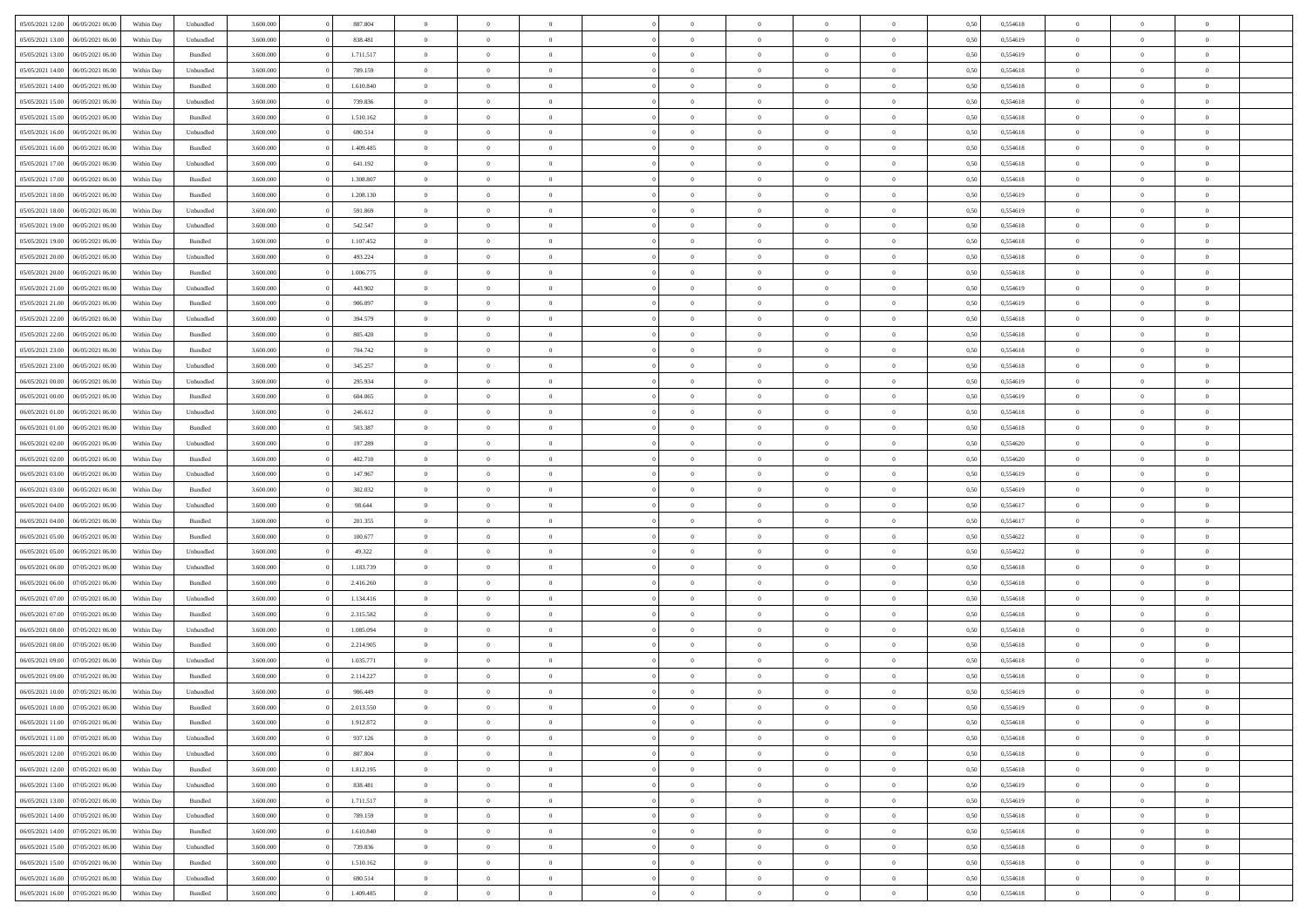| 05/05/2021 12:00 | 06/05/2021 06:00 | Within Day | Unbundled          | 3.600.000 | 887.804   | $\overline{0}$ | $\Omega$       |                | $\Omega$       | $\Omega$       | $\theta$       | $\theta$       | 0,50 | 0,554618 | $\theta$       | $\theta$       | $\theta$       |  |
|------------------|------------------|------------|--------------------|-----------|-----------|----------------|----------------|----------------|----------------|----------------|----------------|----------------|------|----------|----------------|----------------|----------------|--|
| 05/05/2021 13:00 | 06/05/2021 06:00 | Within Day | Unbundled          | 3.600.000 | 838.481   | $\overline{0}$ | $\theta$       | $\overline{0}$ | $\overline{0}$ | $\bf{0}$       | $\overline{0}$ | $\bf{0}$       | 0,50 | 0,554619 | $\theta$       | $\theta$       | $\overline{0}$ |  |
| 05/05/2021 13:00 | 06/05/2021 06:00 | Within Day | Bundled            | 3.600.000 | 1.711.517 | $\overline{0}$ | $\overline{0}$ | $\overline{0}$ | $\bf{0}$       | $\bf{0}$       | $\bf{0}$       | $\bf{0}$       | 0,50 | 0,554619 | $\overline{0}$ | $\overline{0}$ | $\overline{0}$ |  |
| 05/05/2021 14:00 | 06/05/2021 06:00 | Within Day | Unbundled          | 3.600.000 | 789.159   | $\overline{0}$ | $\overline{0}$ | $\overline{0}$ | $\overline{0}$ | $\bf{0}$       | $\overline{0}$ | $\overline{0}$ | 0.50 | 0.554618 | $\theta$       | $\theta$       | $\overline{0}$ |  |
|                  |                  |            |                    |           |           |                |                |                |                |                |                |                |      |          |                |                |                |  |
| 05/05/2021 14:00 | 06/05/2021 06:00 | Within Day | Bundled            | 3.600.000 | 1.610.840 | $\overline{0}$ | $\theta$       | $\overline{0}$ | $\overline{0}$ | $\bf{0}$       | $\overline{0}$ | $\bf{0}$       | 0,50 | 0,554618 | $\theta$       | $\overline{0}$ | $\overline{0}$ |  |
| 05/05/2021 15:00 | 06/05/2021 06:00 | Within Day | Unbundled          | 3.600.000 | 739.836   | $\overline{0}$ | $\bf{0}$       | $\overline{0}$ | $\bf{0}$       | $\overline{0}$ | $\overline{0}$ | $\mathbf{0}$   | 0,50 | 0,554618 | $\overline{0}$ | $\overline{0}$ | $\bf{0}$       |  |
| 05/05/2021 15:00 | 06/05/2021 06:00 | Within Dav | Bundled            | 3.600.000 | 1.510.162 | $\overline{0}$ | $\overline{0}$ | $\overline{0}$ | $\overline{0}$ | $\overline{0}$ | $\overline{0}$ | $\overline{0}$ | 0.50 | 0,554618 | $\theta$       | $\overline{0}$ | $\overline{0}$ |  |
| 05/05/2021 16:00 | 06/05/2021 06:00 | Within Day | Unbundled          | 3.600.000 | 690.514   | $\overline{0}$ | $\theta$       | $\overline{0}$ | $\overline{0}$ | $\bf{0}$       | $\overline{0}$ | $\bf{0}$       | 0,50 | 0,554618 | $\theta$       | $\theta$       | $\overline{0}$ |  |
|                  |                  |            |                    |           |           |                |                |                |                |                |                |                |      |          |                |                |                |  |
| 05/05/2021 16:00 | 06/05/2021 06:00 | Within Day | Bundled            | 3.600.000 | 1.409.485 | $\overline{0}$ | $\overline{0}$ | $\overline{0}$ | $\bf{0}$       | $\bf{0}$       | $\bf{0}$       | $\bf{0}$       | 0,50 | 0,554618 | $\,0\,$        | $\overline{0}$ | $\overline{0}$ |  |
| 05/05/2021 17:00 | 06/05/2021 06:00 | Within Dav | Unbundled          | 3.600.000 | 641.192   | $\overline{0}$ | $\overline{0}$ | $\overline{0}$ | $\overline{0}$ | $\overline{0}$ | $\overline{0}$ | $\overline{0}$ | 0.50 | 0.554618 | $\theta$       | $\overline{0}$ | $\overline{0}$ |  |
| 05/05/2021 17:00 | 06/05/2021 06:00 | Within Day | Bundled            | 3.600.000 | 1.308.807 | $\overline{0}$ | $\theta$       | $\overline{0}$ | $\overline{0}$ | $\bf{0}$       | $\overline{0}$ | $\bf{0}$       | 0,50 | 0,554618 | $\,$ 0 $\,$    | $\overline{0}$ | $\overline{0}$ |  |
| 05/05/2021 18:00 | 06/05/2021 06:00 | Within Day | Bundled            | 3.600.000 | 1.208.130 | $\overline{0}$ | $\overline{0}$ | $\overline{0}$ | $\bf{0}$       | $\bf{0}$       | $\bf{0}$       | $\mathbf{0}$   | 0,50 | 0,554619 | $\bf{0}$       | $\overline{0}$ | $\overline{0}$ |  |
|                  |                  |            |                    |           |           |                |                |                |                |                |                |                |      |          | $\theta$       |                |                |  |
| 05/05/2021 18:00 | 06/05/2021 06:00 | Within Day | Unbundled          | 3.600.000 | 591.869   | $\overline{0}$ | $\overline{0}$ | $\overline{0}$ | $\overline{0}$ | $\bf{0}$       | $\overline{0}$ | $\overline{0}$ | 0.50 | 0.554619 |                | $\theta$       | $\overline{0}$ |  |
| 05/05/2021 19:00 | 06/05/2021 06:00 | Within Day | Unbundled          | 3.600.000 | 542.547   | $\overline{0}$ | $\theta$       | $\overline{0}$ | $\overline{0}$ | $\bf{0}$       | $\overline{0}$ | $\bf{0}$       | 0,50 | 0,554618 | $\theta$       | $\overline{0}$ | $\overline{0}$ |  |
| 05/05/2021 19:00 | 06/05/2021 06:00 | Within Day | Bundled            | 3.600.000 | 1.107.452 | $\overline{0}$ | $\overline{0}$ | $\overline{0}$ | $\bf{0}$       | $\overline{0}$ | $\overline{0}$ | $\mathbf{0}$   | 0,50 | 0,554618 | $\bf{0}$       | $\overline{0}$ | $\bf{0}$       |  |
| 05/05/2021 20:00 | 06/05/2021 06:00 | Within Dav | Unbundled          | 3.600.000 | 493.224   | $\overline{0}$ | $\overline{0}$ | $\overline{0}$ | $\overline{0}$ | $\overline{0}$ | $\overline{0}$ | $\overline{0}$ | 0.50 | 0.554618 | $\theta$       | $\overline{0}$ | $\overline{0}$ |  |
| 05/05/2021 20:00 | 06/05/2021 06:00 | Within Day | Bundled            | 3.600.000 | 1.006.775 | $\overline{0}$ | $\theta$       | $\overline{0}$ | $\overline{0}$ | $\bf{0}$       | $\overline{0}$ | $\bf{0}$       | 0,50 | 0,554618 | $\theta$       | $\theta$       | $\overline{0}$ |  |
|                  |                  |            |                    |           |           |                |                |                |                |                |                |                |      |          |                |                |                |  |
| 05/05/2021 21.00 | 06/05/2021 06:00 | Within Day | Unbundled          | 3.600.000 | 443.902   | $\overline{0}$ | $\overline{0}$ | $\overline{0}$ | $\bf{0}$       | $\bf{0}$       | $\bf{0}$       | $\mathbf{0}$   | 0,50 | 0,554619 | $\,0\,$        | $\overline{0}$ | $\overline{0}$ |  |
| 05/05/2021 21:00 | 06/05/2021 06:00 | Within Day | Bundled            | 3.600.000 | 906,097   | $\overline{0}$ | $\overline{0}$ | $\overline{0}$ | $\overline{0}$ | $\overline{0}$ | $\overline{0}$ | $\overline{0}$ | 0.50 | 0.554619 | $\theta$       | $\overline{0}$ | $\overline{0}$ |  |
| 05/05/2021 22:00 | 06/05/2021 06:00 | Within Day | Unbundled          | 3.600.000 | 394.579   | $\overline{0}$ | $\theta$       | $\overline{0}$ | $\overline{0}$ | $\bf{0}$       | $\overline{0}$ | $\bf{0}$       | 0,50 | 0,554618 | $\,$ 0 $\,$    | $\overline{0}$ | $\overline{0}$ |  |
| 05/05/2021 22.00 | 06/05/2021 06:00 | Within Day | Bundled            | 3.600.000 | 805.420   | $\overline{0}$ | $\overline{0}$ | $\overline{0}$ | $\bf{0}$       | $\bf{0}$       | $\bf{0}$       | $\bf{0}$       | 0,50 | 0,554618 | $\bf{0}$       | $\overline{0}$ | $\overline{0}$ |  |
|                  |                  |            |                    |           |           |                |                |                |                |                |                |                |      |          |                |                |                |  |
| 05/05/2021 23:00 | 06/05/2021 06:00 | Within Day | Bundled            | 3.600,000 | 704.742   | $\overline{0}$ | $\overline{0}$ | $\overline{0}$ | $\overline{0}$ | $\bf{0}$       | $\overline{0}$ | $\overline{0}$ | 0.50 | 0.554618 | $\theta$       | $\overline{0}$ | $\overline{0}$ |  |
| 05/05/2021 23:00 | 06/05/2021 06:00 | Within Day | Unbundled          | 3.600.000 | 345.257   | $\overline{0}$ | $\theta$       | $\overline{0}$ | $\overline{0}$ | $\bf{0}$       | $\overline{0}$ | $\bf{0}$       | 0,50 | 0,554618 | $\,$ 0 $\,$    | $\overline{0}$ | $\overline{0}$ |  |
| 06/05/2021 00:00 | 06/05/2021 06:00 | Within Day | Unbundled          | 3.600.000 | 295.934   | $\overline{0}$ | $\bf{0}$       | $\overline{0}$ | $\bf{0}$       | $\overline{0}$ | $\overline{0}$ | $\mathbf{0}$   | 0,50 | 0,554619 | $\overline{0}$ | $\overline{0}$ | $\bf{0}$       |  |
| 06/05/2021 00:00 | 06/05/2021 06:00 | Within Dav | Bundled            | 3.600.000 | 604.065   | $\overline{0}$ | $\overline{0}$ | $\overline{0}$ | $\overline{0}$ | $\overline{0}$ | $\overline{0}$ | $\overline{0}$ | 0.50 | 0,554619 | $\theta$       | $\overline{0}$ | $\overline{0}$ |  |
|                  |                  |            |                    |           |           |                |                |                |                |                |                |                |      |          |                |                |                |  |
| 06/05/2021 01:00 | 06/05/2021 06:00 | Within Day | Unbundled          | 3.600.000 | 246.612   | $\overline{0}$ | $\theta$       | $\overline{0}$ | $\overline{0}$ | $\bf{0}$       | $\overline{0}$ | $\bf{0}$       | 0,50 | 0,554618 | $\theta$       | $\theta$       | $\overline{0}$ |  |
| 06/05/2021 01:00 | 06/05/2021 06:00 | Within Day | Bundled            | 3.600.000 | 503.387   | $\overline{0}$ | $\overline{0}$ | $\overline{0}$ | $\bf{0}$       | $\bf{0}$       | $\bf{0}$       | $\bf{0}$       | 0,50 | 0,554618 | $\,0\,$        | $\overline{0}$ | $\overline{0}$ |  |
| 06/05/2021 02:00 | 06/05/2021 06:00 | Within Day | Unbundled          | 3.600.000 | 197.289   | $\overline{0}$ | $\overline{0}$ | $\overline{0}$ | $\overline{0}$ | $\overline{0}$ | $\overline{0}$ | $\overline{0}$ | 0.50 | 0,554620 | $\theta$       | $\overline{0}$ | $\overline{0}$ |  |
| 06/05/2021 02:00 | 06/05/2021 06:00 | Within Day | Bundled            | 3.600.000 | 402.710   | $\overline{0}$ | $\theta$       | $\overline{0}$ | $\overline{0}$ | $\bf{0}$       | $\overline{0}$ | $\bf{0}$       | 0,50 | 0,554620 | $\,$ 0 $\,$    | $\overline{0}$ | $\overline{0}$ |  |
|                  |                  |            |                    |           |           |                | $\overline{0}$ |                |                | $\bf{0}$       |                |                |      |          |                | $\overline{0}$ | $\overline{0}$ |  |
| 06/05/2021 03:00 | 06/05/2021 06:00 | Within Day | Unbundled          | 3.600.000 | 147.967   | $\overline{0}$ |                | $\overline{0}$ | $\bf{0}$       |                | $\bf{0}$       | $\bf{0}$       | 0,50 | 0,554619 | $\overline{0}$ |                |                |  |
| 06/05/2021 03:00 | 06/05/2021 06:00 | Within Day | Bundled            | 3.600.000 | 302.032   | $\overline{0}$ | $\Omega$       | $\overline{0}$ | $\Omega$       | $\Omega$       | $\Omega$       | $\overline{0}$ | 0,50 | 0,554619 | $\,0\,$        | $\theta$       | $\theta$       |  |
| 06/05/2021 04:00 | 06/05/2021 06:00 | Within Day | Unbundled          | 3.600.000 | 98.644    | $\overline{0}$ | $\theta$       | $\overline{0}$ | $\overline{0}$ | $\bf{0}$       | $\overline{0}$ | $\bf{0}$       | 0,50 | 0,554617 | $\theta$       | $\theta$       | $\overline{0}$ |  |
| 06/05/2021 04:00 | 06/05/2021 06:00 | Within Day | Bundled            | 3.600.000 | 201.355   | $\overline{0}$ | $\overline{0}$ | $\overline{0}$ | $\bf{0}$       | $\bf{0}$       | $\overline{0}$ | $\mathbf{0}$   | 0,50 | 0,554617 | $\overline{0}$ | $\overline{0}$ | $\bf{0}$       |  |
| 06/05/2021 05:00 | 06/05/2021 06:00 | Within Day | Bundled            | 3.600,000 | 100,677   | $\overline{0}$ | $\Omega$       | $\Omega$       | $\Omega$       | $\bf{0}$       | $\overline{0}$ | $\overline{0}$ | 0.50 | 0,554622 | $\theta$       | $\theta$       | $\theta$       |  |
|                  |                  |            |                    |           |           |                |                |                |                |                |                |                |      |          |                |                |                |  |
| 06/05/2021 05:00 | 06/05/2021 06:00 | Within Day | Unbundled          | 3.600.000 | 49.322    | $\overline{0}$ | $\theta$       | $\overline{0}$ | $\overline{0}$ | $\bf{0}$       | $\overline{0}$ | $\bf{0}$       | 0,50 | 0,554622 | $\,$ 0 $\,$    | $\theta$       | $\overline{0}$ |  |
| 06/05/2021 06:00 | 07/05/2021 06:00 | Within Day | Unbundled          | 3.600.000 | 1.183.739 | $\overline{0}$ | $\overline{0}$ | $\overline{0}$ | $\bf{0}$       | $\bf{0}$       | $\bf{0}$       | $\bf{0}$       | 0,50 | 0,554618 | $\,0\,$        | $\overline{0}$ | $\overline{0}$ |  |
| 06/05/2021 06:00 | 07/05/2021 06:00 | Within Day | Bundled            | 3.600,000 | 2.416.260 | $\overline{0}$ | $\Omega$       | $\overline{0}$ | $\Omega$       | $\theta$       | $\theta$       | $\overline{0}$ | 0.50 | 0.554618 | $\theta$       | $\theta$       | $\theta$       |  |
| 06/05/2021 07:00 | 07/05/2021 06:00 | Within Day | Unbundled          | 3.600.000 | 1.134.416 | $\overline{0}$ | $\theta$       | $\overline{0}$ | $\overline{0}$ | $\bf{0}$       | $\overline{0}$ | $\bf{0}$       | 0,50 | 0,554618 | $\,$ 0 $\,$    | $\overline{0}$ | $\overline{0}$ |  |
|                  |                  |            |                    |           |           |                | $\overline{0}$ |                |                | $\bf{0}$       |                |                |      |          |                | $\overline{0}$ | $\overline{0}$ |  |
| 06/05/2021 07:00 | 07/05/2021 06:00 | Within Day | Bundled            | 3.600.000 | 2.315.582 | $\overline{0}$ |                | $\overline{0}$ | $\bf{0}$       |                | $\bf{0}$       | $\bf{0}$       | 0,50 | 0,554618 | $\overline{0}$ |                |                |  |
| 06/05/2021 08:00 | 07/05/2021 06:00 | Within Day | Unbundled          | 3.600.000 | 1.085.094 | $\overline{0}$ | $\Omega$       | $\overline{0}$ | $\Omega$       | $\overline{0}$ | $\overline{0}$ | $\overline{0}$ | 0,50 | 0,554618 | $\,0\,$        | $\theta$       | $\theta$       |  |
| 06/05/2021 08:00 | 07/05/2021 06:00 | Within Day | Bundled            | 3.600.000 | 2.214.905 | $\overline{0}$ | $\theta$       | $\overline{0}$ | $\overline{0}$ | $\bf{0}$       | $\overline{0}$ | $\bf{0}$       | 0,50 | 0,554618 | $\,$ 0 $\,$    | $\overline{0}$ | $\overline{0}$ |  |
| 06/05/2021 09:00 | 07/05/2021 06:00 | Within Day | Unbundled          | 3.600.000 | 1.035.771 | $\overline{0}$ | $\overline{0}$ | $\overline{0}$ | $\bf{0}$       | $\bf{0}$       | $\bf{0}$       | $\mathbf{0}$   | 0,50 | 0,554618 | $\overline{0}$ | $\overline{0}$ | $\bf{0}$       |  |
| 06/05/2021 09:00 | 07/05/2021 06:00 | Within Day | Bundled            | 3.600,000 | 2.114.227 | $\overline{0}$ | $\Omega$       | $\Omega$       | $\Omega$       | $\Omega$       | $\Omega$       | $\overline{0}$ | 0.50 | 0.554618 | $\theta$       | $\theta$       | $\theta$       |  |
|                  |                  |            |                    |           |           |                |                |                |                |                |                |                |      |          |                |                |                |  |
| 06/05/2021 10:00 | 07/05/2021 06:00 | Within Day | Unbundled          | 3.600.000 | 986.449   | $\overline{0}$ | $\overline{0}$ | $\overline{0}$ | $\bf{0}$       | $\,$ 0         | $\bf{0}$       | $\bf{0}$       | 0,50 | 0,554619 | $\,0\,$        | $\overline{0}$ | $\overline{0}$ |  |
| 06/05/2021 10:00 | 07/05/2021 06:00 | Within Day | $\mathbf B$ undled | 3.600.000 | 2.013.550 | $\bf{0}$       | $\bf{0}$       |                |                |                |                |                | 0,50 | 0,554619 | $\bf{0}$       | $\overline{0}$ |                |  |
| 06/05/2021 11:00 | 07/05/2021 06:00 | Within Day | Bundled            | 3.600,000 | 1.912.872 | $\overline{0}$ | $\overline{0}$ | $\overline{0}$ | $\Omega$       | $\overline{0}$ | $\overline{0}$ | $\overline{0}$ | 0.50 | 0.554618 | $\theta$       | $\theta$       | $\theta$       |  |
| 06/05/2021 11:00 | 07/05/2021 06:00 | Within Day | Unbundled          | 3.600.000 | 937.126   | $\overline{0}$ | $\,$ 0         | $\overline{0}$ | $\bf{0}$       | $\,$ 0 $\,$    | $\overline{0}$ | $\,$ 0 $\,$    | 0,50 | 0,554618 | $\,$ 0 $\,$    | $\,$ 0 $\,$    | $\,$ 0         |  |
|                  |                  |            |                    |           |           |                |                |                |                |                |                |                |      |          |                |                |                |  |
| 06/05/2021 12:00 | 07/05/2021 06:00 | Within Day | Unbundled          | 3.600.000 | 887.804   | $\overline{0}$ | $\overline{0}$ | $\overline{0}$ | $\overline{0}$ | $\overline{0}$ | $\overline{0}$ | $\mathbf{0}$   | 0,50 | 0,554618 | $\overline{0}$ | $\bf{0}$       | $\overline{0}$ |  |
| 06/05/2021 12:00 | 07/05/2021 06:00 | Within Day | Bundled            | 3.600.000 | 1.812.195 | $\overline{0}$ | $\overline{0}$ | $\overline{0}$ | $\Omega$       | $\overline{0}$ | $\overline{0}$ | $\overline{0}$ | 0,50 | 0,554618 | $\overline{0}$ | $\theta$       | $\overline{0}$ |  |
| 06/05/2021 13:00 | 07/05/2021 06:00 | Within Day | Unbundled          | 3.600.000 | 838.481   | $\overline{0}$ | $\,$ 0         | $\overline{0}$ | $\overline{0}$ | $\,$ 0 $\,$    | $\overline{0}$ | $\mathbf{0}$   | 0,50 | 0,554619 | $\,$ 0 $\,$    | $\overline{0}$ | $\overline{0}$ |  |
| 06/05/2021 13:00 | 07/05/2021 06:00 | Within Day | Bundled            | 3.600.000 | 1.711.517 | $\overline{0}$ | $\overline{0}$ | $\overline{0}$ | $\overline{0}$ | $\overline{0}$ | $\overline{0}$ | $\mathbf{0}$   | 0,50 | 0,554619 | $\overline{0}$ | $\overline{0}$ | $\bf{0}$       |  |
|                  | 07/05/2021 06:00 |            |                    | 3.600,000 |           | $\overline{0}$ | $\overline{0}$ | $\overline{0}$ | $\Omega$       | $\overline{0}$ | $\overline{0}$ |                | 0.50 |          | $\overline{0}$ | $\theta$       | $\overline{0}$ |  |
| 06/05/2021 14:00 |                  | Within Day | Unbundled          |           | 789.159   |                |                |                |                |                |                | $\bf{0}$       |      | 0,554618 |                |                |                |  |
| 06/05/2021 14:00 | 07/05/2021 06:00 | Within Day | Bundled            | 3.600.000 | 1.610.840 | $\overline{0}$ | $\,$ 0         | $\overline{0}$ | $\bf{0}$       | $\bf{0}$       | $\bf{0}$       | $\bf{0}$       | 0,50 | 0,554618 | $\,$ 0 $\,$    | $\overline{0}$ | $\overline{0}$ |  |
| 06/05/2021 15:00 | 07/05/2021 06:00 | Within Day | Unbundled          | 3.600.000 | 739.836   | $\overline{0}$ | $\bf{0}$       | $\overline{0}$ | $\overline{0}$ | $\overline{0}$ | $\overline{0}$ | $\mathbf{0}$   | 0,50 | 0,554618 | $\overline{0}$ | $\overline{0}$ | $\bf{0}$       |  |
| 06/05/2021 15:00 | 07/05/2021 06:00 | Within Day | Bundled            | 3.600,000 | 1.510.162 | $\overline{0}$ | $\overline{0}$ | $\overline{0}$ | $\Omega$       | $\overline{0}$ | $\overline{0}$ | $\overline{0}$ | 0.50 | 0,554618 | $\overline{0}$ | $\overline{0}$ | $\overline{0}$ |  |
| 06/05/2021 16:00 | 07/05/2021 06:00 | Within Day | Unbundled          | 3.600.000 | 690.514   | $\overline{0}$ | $\bf{0}$       | $\overline{0}$ | $\overline{0}$ | $\bf{0}$       | $\bf{0}$       | $\bf{0}$       | 0,50 | 0,554618 | $\,$ 0 $\,$    | $\,$ 0 $\,$    | $\bf{0}$       |  |
|                  |                  |            |                    |           |           |                |                |                |                |                |                |                |      |          |                |                |                |  |
| 06/05/2021 16:00 | 07/05/2021 06:00 | Within Day | Bundled            | 3.600.000 | 1.409.485 | $\overline{0}$ | $\bf{0}$       | $\overline{0}$ | $\bf{0}$       | $\bf{0}$       | $\bf{0}$       | $\bf{0}$       | 0,50 | 0,554618 | $\overline{0}$ | $\overline{0}$ | $\bf{0}$       |  |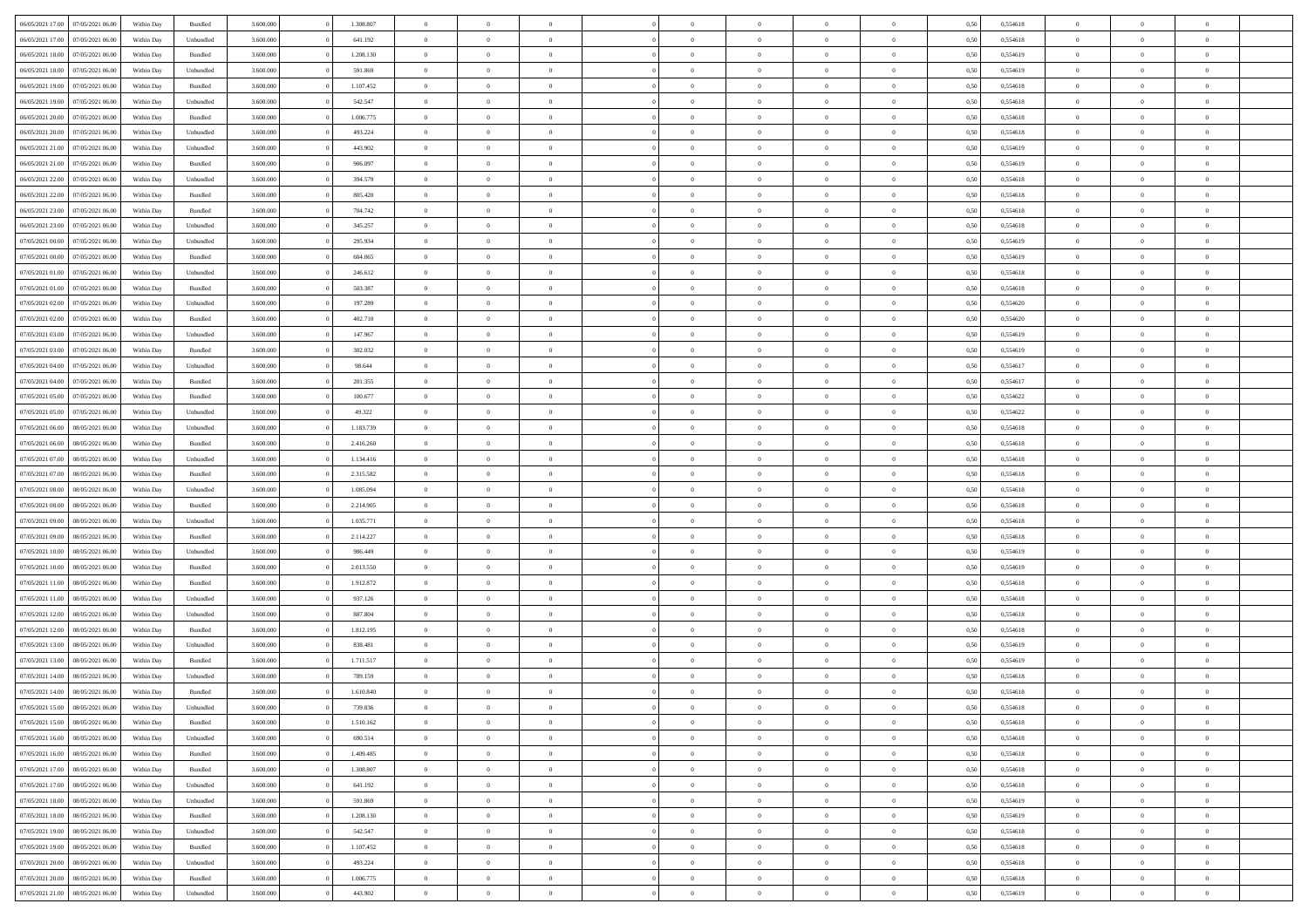| 06/05/2021 17:00 07/05/2021 06:00                                            | Within Day | Bundled              | 3.600.000              | 1.308.807            | $\overline{0}$                   | $\overline{0}$ | $\Omega$                         | $\Omega$                         | $\theta$                         | $\Omega$                         | $\overline{0}$             | 0,50         | 0,554618             | $\theta$                   | $\theta$       | $\theta$       |  |
|------------------------------------------------------------------------------|------------|----------------------|------------------------|----------------------|----------------------------------|----------------|----------------------------------|----------------------------------|----------------------------------|----------------------------------|----------------------------|--------------|----------------------|----------------------------|----------------|----------------|--|
| 06/05/2021 17:00<br>07/05/2021 06:00                                         | Within Day | Unbundled            | 3.600.000              | 641.192              | $\overline{0}$                   | $\overline{0}$ | $\overline{0}$                   | $\overline{0}$                   | $\theta$                         | $\overline{0}$                   | $\bf{0}$                   | 0,50         | 0,554618             | $\theta$                   | $\theta$       | $\overline{0}$ |  |
| 06/05/2021 18:00<br>07/05/2021 06:00                                         | Within Day | Bundled              | 3.600.000              | 1.208.130            | $\overline{0}$                   | $\bf{0}$       | $\overline{0}$                   | $\overline{0}$                   | $\overline{0}$                   | $\overline{0}$                   | $\bf{0}$                   | 0,50         | 0,554619             | $\bf{0}$                   | $\overline{0}$ | $\overline{0}$ |  |
| 06/05/2021 18:00<br>07/05/2021 06:00                                         | Within Day | Unbundled            | 3.600.000              | 591.869              | $\overline{0}$                   | $\overline{0}$ | $\overline{0}$                   | $\overline{0}$                   | $\theta$                         | $\overline{0}$                   | $\overline{0}$             | 0.50         | 0.554619             | $\theta$                   | $\theta$       | $\overline{0}$ |  |
| 06/05/2021 19:00<br>07/05/2021 06:00                                         | Within Day | Bundled              | 3.600.000              | 1.107.452            | $\overline{0}$                   | $\overline{0}$ | $\overline{0}$                   | $\overline{0}$                   | $\theta$                         | $\overline{0}$                   | $\bf{0}$                   | 0,50         | 0,554618             | $\theta$                   | $\theta$       | $\overline{0}$ |  |
|                                                                              |            |                      |                        |                      |                                  | $\bf{0}$       |                                  |                                  |                                  |                                  |                            |              |                      |                            | $\overline{0}$ | $\bf{0}$       |  |
| 06/05/2021 19:00<br>07/05/2021 06:00<br>06/05/2021 20:00<br>07/05/2021 06:00 | Within Day | Unbundled<br>Bundled | 3.600.000<br>3.600.000 | 542.547<br>1.006.775 | $\overline{0}$<br>$\overline{0}$ | $\overline{0}$ | $\overline{0}$<br>$\overline{0}$ | $\overline{0}$<br>$\overline{0}$ | $\overline{0}$<br>$\overline{0}$ | $\overline{0}$<br>$\overline{0}$ | $\bf{0}$<br>$\overline{0}$ | 0,50<br>0.5( | 0,554618<br>0.554618 | $\overline{0}$<br>$\theta$ | $\theta$       | $\overline{0}$ |  |
|                                                                              | Within Day |                      |                        |                      |                                  |                |                                  |                                  |                                  |                                  |                            |              |                      |                            |                |                |  |
| 06/05/2021 20:00<br>07/05/2021 06:00                                         | Within Day | Unbundled            | 3.600.000              | 493.224              | $\overline{0}$                   | $\theta$       | $\overline{0}$                   | $\overline{0}$                   | $\theta$                         | $\overline{0}$                   | $\bf{0}$                   | 0,50         | 0,554618             | $\theta$                   | $\theta$       | $\overline{0}$ |  |
| 06/05/2021 21:00<br>07/05/2021 06:00                                         | Within Day | Unbundled            | 3.600.000              | 443.902              | $\overline{0}$                   | $\bf{0}$       | $\overline{0}$                   | $\overline{0}$                   | $\overline{0}$                   | $\overline{0}$                   | $\bf{0}$                   | 0,50         | 0,554619             | $\bf{0}$                   | $\bf{0}$       | $\overline{0}$ |  |
| 06/05/2021 21:00<br>07/05/2021 06:00                                         | Within Day | Bundled              | 3.600.000              | 906.097              | $\overline{0}$                   | $\overline{0}$ | $\overline{0}$                   | $\overline{0}$                   | $\overline{0}$                   | $\overline{0}$                   | $\overline{0}$             | 0.50         | 0.554619             | $\theta$                   | $\theta$       | $\overline{0}$ |  |
| 06/05/2021 22:00<br>07/05/2021 06:00                                         | Within Day | Unbundled            | 3.600.000              | 394.579              | $\bf{0}$                         | $\overline{0}$ | $\overline{0}$                   | $\overline{0}$                   | $\theta$                         | $\overline{0}$                   | $\bf{0}$                   | 0,50         | 0,554618             | $\theta$                   | $\theta$       | $\overline{0}$ |  |
| 06/05/2021 22:00<br>07/05/2021 06:00                                         | Within Day | Bundled              | 3.600.000              | 805.420              | $\overline{0}$                   | $\bf{0}$       | $\overline{0}$                   | $\overline{0}$                   | $\bf{0}$                         | $\overline{0}$                   | $\bf{0}$                   | 0,50         | 0,554618             | $\bf{0}$                   | $\overline{0}$ | $\overline{0}$ |  |
| 06/05/2021 23:00<br>07/05/2021 06:00                                         | Within Day | Bundled              | 3.600.000              | 704.742              | $\overline{0}$                   | $\overline{0}$ | $\overline{0}$                   | $\overline{0}$                   | $\overline{0}$                   | $\overline{0}$                   | $\overline{0}$             | 0.5(         | 0.554618             | $\theta$                   | $\theta$       | $\overline{0}$ |  |
| 06/05/2021 23:00<br>07/05/2021 06:00                                         | Within Day | Unbundled            | 3.600.000              | 345.257              | $\overline{0}$                   | $\overline{0}$ | $\overline{0}$                   | $\overline{0}$                   | $\theta$                         | $\overline{0}$                   | $\,$ 0 $\,$                | 0,50         | 0,554618             | $\theta$                   | $\theta$       | $\overline{0}$ |  |
| 07/05/2021 00:00<br>07/05/2021 06:00                                         | Within Day | Unbundled            | 3.600.000              | 295.934              | $\overline{0}$                   | $\bf{0}$       | $\overline{0}$                   | $\overline{0}$                   | $\overline{0}$                   | $\overline{0}$                   | $\bf{0}$                   | 0,50         | 0,554619             | $\bf{0}$                   | $\overline{0}$ | $\bf{0}$       |  |
| 07/05/2021 00:00<br>07/05/2021 06:00                                         | Within Day | Bundled              | 3.600.000              | 604.065              | $\overline{0}$                   | $\overline{0}$ | $\overline{0}$                   | $\overline{0}$                   | $\overline{0}$                   | $\overline{0}$                   | $\overline{0}$             | 0.50         | 0.554619             | $\theta$                   | $\theta$       | $\overline{0}$ |  |
| 07/05/2021 01:00<br>07/05/2021 06:00                                         | Within Day | Unbundled            | 3.600.000              | 246.612              | $\overline{0}$                   | $\overline{0}$ | $\overline{0}$                   | $\overline{0}$                   | $\theta$                         | $\overline{0}$                   | $\bf{0}$                   | 0,50         | 0,554618             | $\theta$                   | $\theta$       | $\overline{0}$ |  |
| 07/05/2021 01:00<br>07/05/2021 06:00                                         | Within Day | Bundled              | 3.600.000              | 503.387              | $\overline{0}$                   | $\bf{0}$       | $\overline{0}$                   | $\overline{0}$                   | $\overline{0}$                   | $\overline{0}$                   | $\bf{0}$                   | 0,50         | 0,554618             | $\bf{0}$                   | $\overline{0}$ | $\overline{0}$ |  |
| 07/05/2021 02:00<br>07/05/2021 06:00                                         | Within Day | Unbundled            | 3.600.000              | 197.289              | $\overline{0}$                   | $\overline{0}$ | $\overline{0}$                   | $\overline{0}$                   | $\overline{0}$                   | $\overline{0}$                   | $\overline{0}$             | 0.50         | 0,554620             | $\theta$                   | $\theta$       | $\overline{0}$ |  |
| 07/05/2021 02:00<br>07/05/2021 06:00                                         | Within Day | Bundled              | 3.600.000              | 402.710              | $\bf{0}$                         | $\overline{0}$ | $\overline{0}$                   | $\overline{0}$                   | $\theta$                         | $\overline{0}$                   | $\bf{0}$                   | 0,50         | 0,554620             | $\theta$                   | $\theta$       | $\overline{0}$ |  |
|                                                                              |            |                      |                        |                      |                                  |                |                                  |                                  |                                  |                                  |                            |              |                      |                            |                |                |  |
| 07/05/2021 03:00<br>07/05/2021 06:00                                         | Within Day | Unbundled            | 3.600.000              | 147.967              | $\overline{0}$                   | $\bf{0}$       | $\overline{0}$                   | $\overline{0}$                   | $\overline{0}$                   | $\overline{0}$                   | $\bf{0}$                   | 0,50         | 0,554619             | $\bf{0}$                   | $\overline{0}$ | $\overline{0}$ |  |
| 07/05/2021 03:00<br>07/05/2021 06:00                                         | Within Day | Bundled              | 3.600.000              | 302.032              | $\overline{0}$                   | $\overline{0}$ | $\overline{0}$                   | $\overline{0}$                   | $\overline{0}$                   | $\overline{0}$                   | $\overline{0}$             | 0.50         | 0.554619             | $\theta$                   | $\theta$       | $\overline{0}$ |  |
| 07/05/2021 04:00<br>07/05/2021 06:00                                         | Within Day | Unbundled            | 3.600.000              | 98.644               | $\overline{0}$                   | $\overline{0}$ | $\overline{0}$                   | $\overline{0}$                   | $\theta$                         | $\overline{0}$                   | $\bf{0}$                   | 0,50         | 0,554617             | $\theta$                   | $\theta$       | $\overline{0}$ |  |
| 07/05/2021 04:00<br>07/05/2021 06:00                                         | Within Day | Bundled              | 3.600.000              | 201.355              | $\overline{0}$                   | $\bf{0}$       | $\overline{0}$                   | $\overline{0}$                   | $\overline{0}$                   | $\overline{0}$                   | $\bf{0}$                   | 0,50         | 0,554617             | $\overline{0}$             | $\overline{0}$ | $\bf{0}$       |  |
| 07/05/2021 05:00<br>07/05/2021 06:00                                         | Within Day | Bundled              | 3.600.000              | 100.677              | $\overline{0}$                   | $\overline{0}$ | $\overline{0}$                   | $\overline{0}$                   | $\overline{0}$                   | $\overline{0}$                   | $\overline{0}$             | 0.5(         | 0,554622             | $\theta$                   | $\theta$       | $\overline{0}$ |  |
| 07/05/2021 05:00<br>07/05/2021 06:00                                         | Within Day | Unbundled            | 3.600.000              | 49.322               | $\bf{0}$                         | $\overline{0}$ | $\overline{0}$                   | $\overline{0}$                   | $\theta$                         | $\overline{0}$                   | $\bf{0}$                   | 0,50         | 0,554622             | $\theta$                   | $\theta$       | $\overline{0}$ |  |
| 07/05/2021 06:00<br>08/05/2021 06:00                                         | Within Day | Unbundled            | 3.600.000              | 1.183.739            | $\overline{0}$                   | $\bf{0}$       | $\overline{0}$                   | $\overline{0}$                   | $\overline{0}$                   | $\overline{0}$                   | $\bf{0}$                   | 0,50         | 0,554618             | $\bf{0}$                   | $\bf{0}$       | $\overline{0}$ |  |
| 07/05/2021 06:00<br>08/05/2021 06:00                                         | Within Day | Bundled              | 3.600.000              | 2.416.260            | $\overline{0}$                   | $\overline{0}$ | $\overline{0}$                   | $\overline{0}$                   | $\overline{0}$                   | $\overline{0}$                   | $\overline{0}$             | 0.50         | 0.554618             | $\theta$                   | $\theta$       | $\overline{0}$ |  |
| 07/05/2021 07:00<br>08/05/2021 06:00                                         | Within Day | Unbundled            | 3.600.000              | 1.134.416            | $\bf{0}$                         | $\overline{0}$ | $\overline{0}$                   | $\overline{0}$                   | $\theta$                         | $\overline{0}$                   | $\bf{0}$                   | 0,50         | 0,554618             | $\theta$                   | $\theta$       | $\overline{0}$ |  |
| 07/05/2021 07:00<br>08/05/2021 06:00                                         | Within Day | Bundled              | 3.600.000              | 2.315.582            | $\overline{0}$                   | $\bf{0}$       | $\overline{0}$                   | $\overline{0}$                   | $\bf{0}$                         | $\overline{0}$                   | $\bf{0}$                   | 0,50         | 0,554618             | $\bf{0}$                   | $\overline{0}$ | $\overline{0}$ |  |
| 07/05/2021 08:00<br>08/05/2021 06:00                                         | Within Day | Unbundled            | 3.600.000              | 1.085.094            | $\overline{0}$                   | $\overline{0}$ | $\Omega$                         | $\Omega$                         | $\Omega$                         | $\theta$                         | $\overline{0}$             | 0,50         | 0,554618             | $\,$ 0 $\,$                | $\Omega$       | $\theta$       |  |
| 07/05/2021 08:00<br>08/05/2021 06:00                                         | Within Day | Bundled              | 3.600.000              | 2.214.905            | $\bf{0}$                         | $\overline{0}$ | $\overline{0}$                   | $\overline{0}$                   | $\theta$                         | $\overline{0}$                   | $\bf{0}$                   | 0,50         | 0,554618             | $\theta$                   | $\theta$       | $\overline{0}$ |  |
| 07/05/2021 09:00<br>08/05/2021 06:00                                         | Within Day | Unbundled            | 3.600.000              | 1.035.771            | $\overline{0}$                   | $\bf{0}$       | $\overline{0}$                   | $\overline{0}$                   | $\overline{0}$                   | $\overline{0}$                   | $\bf{0}$                   | 0,50         | 0,554618             | $\bf{0}$                   | $\overline{0}$ | $\bf{0}$       |  |
| 07/05/2021 09:00<br>08/05/2021 06:00                                         | Within Day | Bundled              | 3,600,000              | 2.114.227            | $\overline{0}$                   | $\overline{0}$ | $\Omega$                         | $\Omega$                         | $\overline{0}$                   | $\Omega$                         | $\overline{0}$             | 0.50         | 0.554618             | $\overline{0}$             | $\theta$       | $\theta$       |  |
| 07/05/2021 10:00<br>08/05/2021 06:00                                         | Within Day | Unbundled            | 3.600.000              | 986.449              | $\bf{0}$                         | $\overline{0}$ | $\overline{0}$                   | $\overline{0}$                   | $\theta$                         | $\overline{0}$                   | $\bf{0}$                   | 0,50         | 0,554619             | $\theta$                   | $\theta$       | $\overline{0}$ |  |
| 07/05/2021 10:00<br>08/05/2021 06:00                                         | Within Day | Bundled              | 3.600.000              | 2.013.550            | $\overline{0}$                   | $\bf{0}$       | $\overline{0}$                   | $\overline{0}$                   | $\overline{0}$                   | $\bf{0}$                         | $\bf{0}$                   | 0,50         | 0,554619             | $\bf{0}$                   | $\overline{0}$ | $\overline{0}$ |  |
|                                                                              |            |                      |                        |                      |                                  | $\theta$       |                                  |                                  | $\Omega$                         |                                  |                            |              |                      |                            | $\Omega$       | $\theta$       |  |
| 07/05/2021 11:00<br>08/05/2021 06:00                                         | Within Day | Bundled              | 3,600,000              | 1.912.872            | $\overline{0}$                   |                | $\Omega$                         | $\Omega$                         |                                  | $\Omega$                         | $\overline{0}$             | 0.50         | 0.554618             | $\theta$                   |                |                |  |
| 07/05/2021 11:00<br>08/05/2021 06:00                                         | Within Day | Unbundled            | 3.600.000              | 937.126              | $\bf{0}$                         | $\overline{0}$ | $\overline{0}$                   | $\overline{0}$                   | $\theta$                         | $\overline{0}$                   | $\bf{0}$                   | 0,50         | 0,554618             | $\theta$                   | $\theta$       | $\overline{0}$ |  |
| 07/05/2021 12:00<br>08/05/2021 06:00                                         | Within Day | Unbundled            | 3.600.000              | 887.804              | $\overline{0}$                   | $\bf{0}$       | $\overline{0}$                   | $\overline{0}$                   | $\overline{0}$                   | $\overline{0}$                   | $\bf{0}$                   | 0,50         | 0,554618             | $\bf{0}$                   | $\overline{0}$ | $\overline{0}$ |  |
| 07/05/2021 12:00<br>08/05/2021 06:00                                         | Within Day | Bundled              | 3.600.000              | 1.812.195            | $\overline{0}$                   | $\overline{0}$ | $\Omega$                         | $\Omega$                         | $\theta$                         | $\Omega$                         | $\overline{0}$             | 0.50         | 0,554618             | $\,$ 0 $\,$                | $\overline{0}$ | $\theta$       |  |
| 07/05/2021 13:00<br>08/05/2021 06:00                                         | Within Day | Unbundled            | 3.600.000              | 838.481              | $\bf{0}$                         | $\overline{0}$ | $\overline{0}$                   | $\overline{0}$                   | $\theta$                         | $\overline{0}$                   | $\bf{0}$                   | 0,50         | 0,554619             | $\theta$                   | $\theta$       | $\overline{0}$ |  |
| 07/05/2021 13:00<br>08/05/2021 06:00                                         | Within Day | Bundled              | 3.600.000              | 1.711.517            | $\overline{0}$                   | $\bf{0}$       | $\overline{0}$                   | $\overline{0}$                   | $\bf{0}$                         | $\overline{0}$                   | $\bf{0}$                   | 0,50         | 0,554619             | $\overline{0}$             | $\overline{0}$ | $\bf{0}$       |  |
| 07/05/2021 14:00<br>08/05/2021 06:00                                         | Within Day | Unbundled            | 3,600,000              | 789.159              | $\overline{0}$                   | $\Omega$       | $\Omega$                         | $\Omega$                         | $\Omega$                         | $\theta$                         | $\overline{0}$             | 0.50         | 0.554618             | $\theta$                   | $\Omega$       | $\theta$       |  |
| 07/05/2021 14:00 08/05/2021 06:00                                            | Within Day | Bundled              | 3.600.000              | 1.610.840            | $\bf{0}$                         | $\bf{0}$       | $\overline{0}$                   | $\overline{0}$                   | $\bf{0}$                         | $\overline{0}$                   | $\bf{0}$                   | 0,50         | 0,554618             | $\bf{0}$                   | $\bf{0}$       | $\overline{0}$ |  |
| 07/05/2021 15:00 08/05/2021 06:00                                            | Within Day | Unbundled            | 3.600.000              | 739.836              |                                  | $\bf{0}$       |                                  |                                  |                                  |                                  |                            | 0,50         | 0,554618             | $\bf{0}$                   | $\bf{0}$       |                |  |
| 07/05/2021 15:00 08/05/2021 06:00                                            | Within Day | Bundled              | 3.600.000              | 1.510.162            | $\Omega$                         | $\overline{0}$ | $\Omega$                         | $\theta$                         | $\overline{0}$                   | $\theta$                         | $\overline{0}$             | 0.50         | 0.554618             | $\theta$                   | $\theta$       | $\theta$       |  |
| 07/05/2021 16:00<br>08/05/2021 06:00                                         | Within Day | Unbundled            | 3.600.000              | 690.514              | $\overline{0}$                   | $\overline{0}$ | $\overline{0}$                   | $\overline{0}$                   | $\,$ 0 $\,$                      | $\overline{0}$                   | $\,$ 0 $\,$                | 0,50         | 0,554618             | $\,$ 0 $\,$                | $\,$ 0 $\,$    | $\,$ 0         |  |
| 07/05/2021 16:00<br>08/05/2021 06:00                                         | Within Day | Bundled              | 3.600.000              | 1.409.485            | $\overline{0}$                   | $\overline{0}$ | $\overline{0}$                   | $\overline{0}$                   | $\overline{0}$                   | $\overline{0}$                   | $\bf{0}$                   | 0,50         | 0,554618             | $\overline{0}$             | $\bf{0}$       | $\overline{0}$ |  |
| 07/05/2021 17:00<br>08/05/2021 06:00                                         | Within Day | Bundled              | 3.600.000              | 1.308.807            | $\overline{0}$                   | $\bf{0}$       | $\overline{0}$                   | $\overline{0}$                   | $\overline{0}$                   | $\overline{0}$                   | $\bf{0}$                   | 0,50         | 0,554618             | $\bf{0}$                   | $\theta$       | $\overline{0}$ |  |
| 07/05/2021 17:00<br>08/05/2021 06:00                                         | Within Day | Unbundled            | 3.600.000              | 641.192              | $\overline{0}$                   | $\overline{0}$ | $\overline{0}$                   | $\overline{0}$                   | $\overline{0}$                   | $\overline{0}$                   | $\bf{0}$                   | 0,50         | 0,554618             | $\,$ 0 $\,$                | $\,$ 0 $\,$    | $\overline{0}$ |  |
| 07/05/2021 18:00<br>08/05/2021 06:00                                         | Within Day | Unbundled            | 3.600.000              | 591.869              | $\overline{0}$                   | $\overline{0}$ | $\overline{0}$                   | $\overline{0}$                   | $\bf{0}$                         | $\overline{0}$                   | $\bf{0}$                   | 0,50         | 0,554619             | $\overline{0}$             | $\overline{0}$ | $\overline{0}$ |  |
| 07/05/2021 18:00<br>08/05/2021 06:00                                         | Within Day | Bundled              | 3.600.000              | 1.208.130            | $\overline{0}$                   | $\bf{0}$       | $\overline{0}$                   | $\overline{0}$                   | $\overline{0}$                   | $\overline{0}$                   | $\bf{0}$                   | 0.50         | 0.554619             | $\overline{0}$             | $\theta$       | $\overline{0}$ |  |
| 07/05/2021 19:00<br>08/05/2021 06:00                                         |            | Unbundled            | 3.600.000              | 542.547              | $\overline{0}$                   | $\overline{0}$ |                                  |                                  | $\overline{0}$                   | $\overline{0}$                   |                            |              | 0,554618             | $\,$ 0 $\,$                | $\,$ 0 $\,$    | $\overline{0}$ |  |
|                                                                              | Within Day |                      |                        |                      |                                  |                | $\overline{0}$                   | $\overline{0}$                   |                                  |                                  | $\bf{0}$                   | 0,50         |                      |                            |                |                |  |
| 08/05/2021 06:00<br>07/05/2021 19:00                                         | Within Day | Bundled              | 3.600.000              | 1.107.452            | $\overline{0}$                   | $\bf{0}$       | $\overline{0}$                   | $\overline{0}$                   | $\overline{0}$                   | $\overline{0}$                   | $\bf{0}$                   | 0,50         | 0,554618             | $\overline{0}$             | $\overline{0}$ | $\bf{0}$       |  |
| 07/05/2021 20:00<br>08/05/2021 06:00                                         | Within Day | Unbundled            | 3.600.000              | 493.224              | $\overline{0}$                   | $\overline{0}$ | $\overline{0}$                   | $\overline{0}$                   | $\overline{0}$                   | $\overline{0}$                   | $\bf{0}$                   | 0.50         | 0,554618             | $\overline{0}$             | $\overline{0}$ | $\overline{0}$ |  |
| 07/05/2021 20:00<br>08/05/2021 06:00                                         | Within Day | Bundled              | 3.600.000              | 1.006.775            | $\overline{0}$                   | $\,$ 0         | $\overline{0}$                   | $\overline{0}$                   | $\overline{0}$                   | $\bf{0}$                         | $\bf{0}$                   | 0,50         | 0,554618             | $\,$ 0 $\,$                | $\,$ 0 $\,$    | $\bf{0}$       |  |
| 07/05/2021 21:00 08/05/2021 06:00                                            | Within Day | Unbundled            | 3.600.000              | 443.902              | $\overline{0}$                   | $\bf{0}$       | $\overline{0}$                   | $\overline{0}$                   | $\overline{0}$                   | $\overline{0}$                   | $\bf{0}$                   | 0,50         | 0,554619             | $\overline{0}$             | $\overline{0}$ | $\bf{0}$       |  |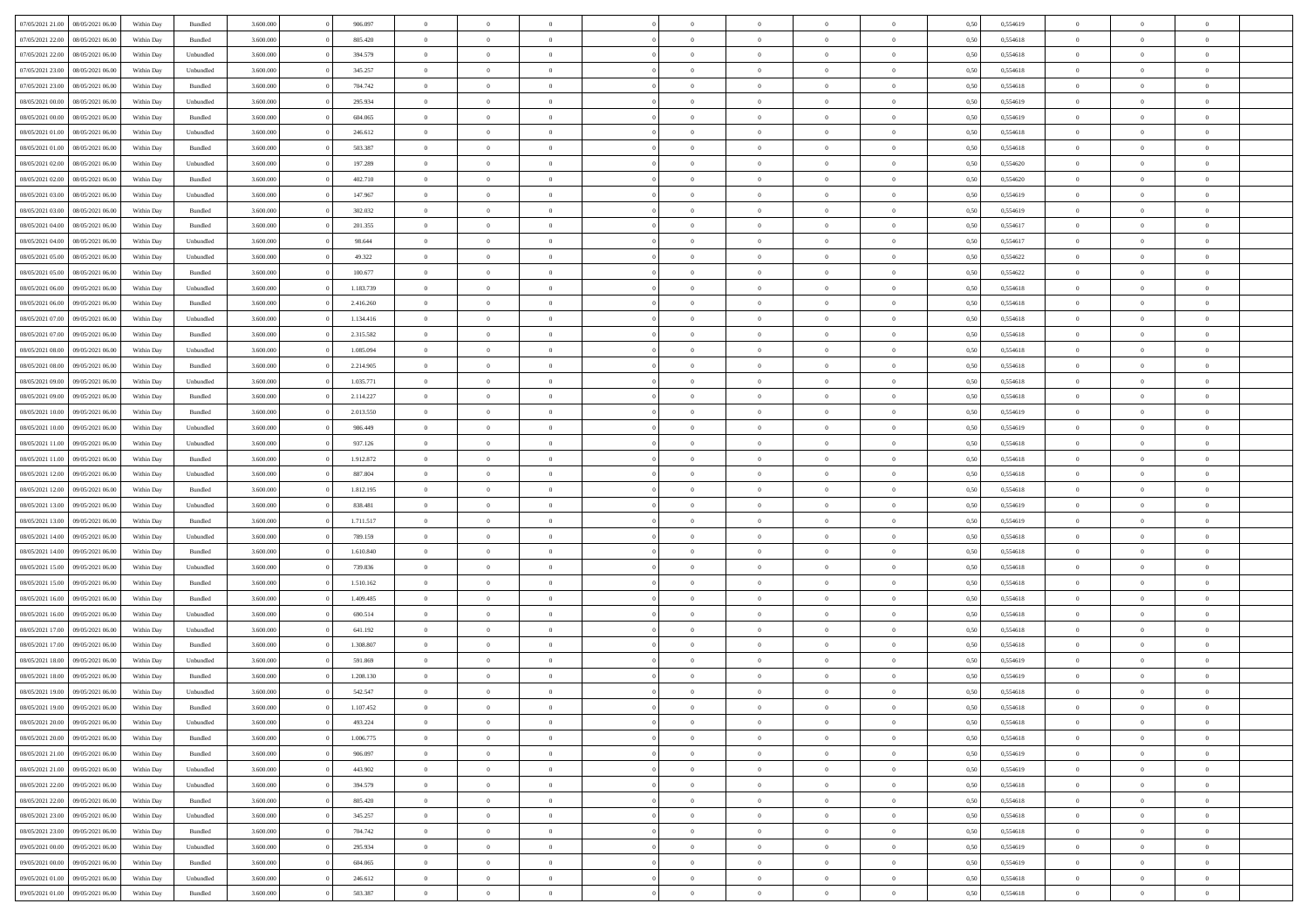| 07/05/2021 21:00 | 08/05/2021 06:00 | Within Day | Bundled            | 3.600.000 | 906.097   | $\overline{0}$ | $\Omega$       |                | $\Omega$       | $\Omega$       | $\theta$       | $\theta$       | 0,50 | 0,554619 | $\theta$       | $\theta$       | $\theta$       |  |
|------------------|------------------|------------|--------------------|-----------|-----------|----------------|----------------|----------------|----------------|----------------|----------------|----------------|------|----------|----------------|----------------|----------------|--|
| 07/05/2021 22.00 | 08/05/2021 06:00 | Within Day | Bundled            | 3.600.000 | 805.420   | $\overline{0}$ | $\theta$       | $\overline{0}$ | $\overline{0}$ | $\bf{0}$       | $\overline{0}$ | $\bf{0}$       | 0,50 | 0,554618 | $\theta$       | $\theta$       | $\overline{0}$ |  |
| 07/05/2021 22.00 | 08/05/2021 06:00 | Within Day | Unbundled          | 3.600.000 | 394.579   | $\overline{0}$ | $\overline{0}$ | $\overline{0}$ | $\bf{0}$       | $\bf{0}$       | $\bf{0}$       | $\bf{0}$       | 0,50 | 0,554618 | $\overline{0}$ | $\overline{0}$ | $\overline{0}$ |  |
| 07/05/2021 23:00 | 08/05/2021 06:00 | Within Dav | Unbundled          | 3.600,000 | 345.257   | $\overline{0}$ | $\overline{0}$ | $\overline{0}$ | $\overline{0}$ | $\bf{0}$       | $\overline{0}$ | $\overline{0}$ | 0.50 | 0.554618 | $\theta$       | $\theta$       | $\overline{0}$ |  |
| 07/05/2021 23:00 | 08/05/2021 06:00 | Within Day | Bundled            | 3.600.000 | 704.742   | $\overline{0}$ | $\theta$       | $\overline{0}$ | $\overline{0}$ | $\bf{0}$       | $\overline{0}$ | $\bf{0}$       | 0,50 | 0,554618 | $\theta$       | $\overline{0}$ | $\overline{0}$ |  |
|                  |                  |            |                    |           |           |                |                |                |                |                |                |                |      |          |                |                |                |  |
| 08/05/2021 00:00 | 08/05/2021 06:00 | Within Day | Unbundled          | 3.600.000 | 295.934   | $\overline{0}$ | $\bf{0}$       | $\overline{0}$ | $\bf{0}$       | $\overline{0}$ | $\overline{0}$ | $\mathbf{0}$   | 0,50 | 0,554619 | $\overline{0}$ | $\overline{0}$ | $\bf{0}$       |  |
| 08/05/2021 00:00 | 08/05/2021 06:00 | Within Dav | Bundled            | 3.600.000 | 604.065   | $\overline{0}$ | $\overline{0}$ | $\overline{0}$ | $\overline{0}$ | $\overline{0}$ | $\overline{0}$ | $\overline{0}$ | 0.50 | 0,554619 | $\theta$       | $\overline{0}$ | $\overline{0}$ |  |
| 08/05/2021 01:00 | 08/05/2021 06:00 | Within Day | Unbundled          | 3.600.000 | 246.612   | $\overline{0}$ | $\theta$       | $\overline{0}$ | $\overline{0}$ | $\bf{0}$       | $\overline{0}$ | $\bf{0}$       | 0,50 | 0,554618 | $\theta$       | $\theta$       | $\overline{0}$ |  |
| 08/05/2021 01:00 | 08/05/2021 06:00 | Within Day | Bundled            | 3.600.000 | 503.387   | $\overline{0}$ | $\overline{0}$ | $\overline{0}$ | $\bf{0}$       | $\bf{0}$       | $\bf{0}$       | $\bf{0}$       | 0,50 | 0,554618 | $\,0\,$        | $\overline{0}$ | $\overline{0}$ |  |
| 08/05/2021 02:00 | 08/05/2021 06:00 | Within Dav | Unbundled          | 3.600.000 | 197.289   | $\overline{0}$ | $\overline{0}$ | $\overline{0}$ | $\overline{0}$ | $\overline{0}$ | $\overline{0}$ | $\overline{0}$ | 0.50 | 0,554620 | $\theta$       | $\overline{0}$ | $\overline{0}$ |  |
|                  |                  |            |                    |           |           |                |                |                |                |                |                |                |      |          |                |                |                |  |
| 08/05/2021 02:00 | 08/05/2021 06:00 | Within Day | Bundled            | 3.600.000 | 402.710   | $\overline{0}$ | $\theta$       | $\overline{0}$ | $\overline{0}$ | $\bf{0}$       | $\overline{0}$ | $\bf{0}$       | 0,50 | 0,554620 | $\,$ 0 $\,$    | $\overline{0}$ | $\overline{0}$ |  |
| 08/05/2021 03:00 | 08/05/2021 06:00 | Within Day | Unbundled          | 3.600.000 | 147.967   | $\overline{0}$ | $\overline{0}$ | $\overline{0}$ | $\bf{0}$       | $\bf{0}$       | $\bf{0}$       | $\mathbf{0}$   | 0,50 | 0,554619 | $\overline{0}$ | $\overline{0}$ | $\overline{0}$ |  |
| 08/05/2021 03:00 | 08/05/2021 06:00 | Within Day | Bundled            | 3.600.000 | 302.032   | $\overline{0}$ | $\overline{0}$ | $\overline{0}$ | $\overline{0}$ | $\bf{0}$       | $\overline{0}$ | $\overline{0}$ | 0.50 | 0.554619 | $\theta$       | $\theta$       | $\overline{0}$ |  |
| 08/05/2021 04:00 | 08/05/2021 06:00 | Within Day | Bundled            | 3.600.000 | 201.355   | $\overline{0}$ | $\theta$       | $\overline{0}$ | $\overline{0}$ | $\bf{0}$       | $\overline{0}$ | $\bf{0}$       | 0,50 | 0,554617 | $\theta$       | $\overline{0}$ | $\overline{0}$ |  |
| 08/05/2021 04:00 | 08/05/2021 06:00 | Within Day | Unbundled          | 3.600.000 | 98.644    | $\overline{0}$ | $\overline{0}$ | $\overline{0}$ | $\bf{0}$       | $\overline{0}$ | $\overline{0}$ | $\mathbf{0}$   | 0,50 | 0,554617 | $\overline{0}$ | $\overline{0}$ | $\bf{0}$       |  |
| 08/05/2021 05:00 | 08/05/2021 06:00 | Within Dav | Unbundled          | 3.600.000 | 49.322    | $\overline{0}$ | $\overline{0}$ | $\overline{0}$ |                | $\overline{0}$ | $\overline{0}$ | $\overline{0}$ | 0.50 | 0,554622 | $\theta$       | $\overline{0}$ | $\overline{0}$ |  |
|                  |                  |            |                    |           |           |                |                |                | $\overline{0}$ |                |                |                |      |          |                |                |                |  |
| 08/05/2021 05:00 | 08/05/2021 06:00 | Within Day | Bundled            | 3.600.000 | 100.677   | $\overline{0}$ | $\theta$       | $\overline{0}$ | $\overline{0}$ | $\bf{0}$       | $\overline{0}$ | $\bf{0}$       | 0,50 | 0,554622 | $\theta$       | $\theta$       | $\overline{0}$ |  |
| 08/05/2021 06:00 | 09/05/2021 06:00 | Within Day | Unbundled          | 3.600.000 | 1.183.739 | $\overline{0}$ | $\overline{0}$ | $\overline{0}$ | $\bf{0}$       | $\bf{0}$       | $\bf{0}$       | $\mathbf{0}$   | 0,50 | 0,554618 | $\,0\,$        | $\overline{0}$ | $\overline{0}$ |  |
| 08/05/2021 06:00 | 09/05/2021 06:00 | Within Day | Bundled            | 3.600.000 | 2.416.260 | $\overline{0}$ | $\overline{0}$ | $\overline{0}$ | $\overline{0}$ | $\overline{0}$ | $\overline{0}$ | $\overline{0}$ | 0.50 | 0.554618 | $\theta$       | $\overline{0}$ | $\overline{0}$ |  |
| 08/05/2021 07:00 | 09/05/2021 06:00 | Within Day | Unbundled          | 3.600.000 | 1.134.416 | $\overline{0}$ | $\theta$       | $\overline{0}$ | $\overline{0}$ | $\bf{0}$       | $\overline{0}$ | $\bf{0}$       | 0,50 | 0,554618 | $\,$ 0 $\,$    | $\overline{0}$ | $\overline{0}$ |  |
| 08/05/2021 07:00 | 09/05/2021 06:00 | Within Day | Bundled            | 3.600.000 | 2.315.582 | $\overline{0}$ | $\overline{0}$ | $\overline{0}$ | $\bf{0}$       | $\bf{0}$       | $\bf{0}$       | $\bf{0}$       | 0,50 | 0,554618 | $\bf{0}$       | $\overline{0}$ | $\overline{0}$ |  |
| 08/05/2021 08:00 | 09/05/2021 06:00 | Within Day | Unbundled          | 3.600,000 | 1.085.094 | $\overline{0}$ | $\overline{0}$ | $\overline{0}$ | $\overline{0}$ | $\bf{0}$       | $\overline{0}$ | $\overline{0}$ | 0.50 | 0.554618 | $\theta$       | $\overline{0}$ | $\overline{0}$ |  |
|                  |                  |            |                    |           |           |                |                |                |                |                |                |                |      |          |                |                |                |  |
| 08/05/2021 08:00 | 09/05/2021 06:00 | Within Day | Bundled            | 3.600.000 | 2.214.905 | $\overline{0}$ | $\theta$       | $\overline{0}$ | $\overline{0}$ | $\bf{0}$       | $\overline{0}$ | $\bf{0}$       | 0,50 | 0,554618 | $\,$ 0 $\,$    | $\overline{0}$ | $\overline{0}$ |  |
| 08/05/2021 09:00 | 09/05/2021 06:00 | Within Day | Unbundled          | 3.600.000 | 1.035.771 | $\overline{0}$ | $\bf{0}$       | $\overline{0}$ | $\bf{0}$       | $\overline{0}$ | $\overline{0}$ | $\mathbf{0}$   | 0,50 | 0,554618 | $\overline{0}$ | $\overline{0}$ | $\bf{0}$       |  |
| 08/05/2021 09:00 | 09/05/2021 06:00 | Within Dav | Bundled            | 3.600.000 | 2.114.227 | $\overline{0}$ | $\overline{0}$ | $\overline{0}$ | $\overline{0}$ | $\overline{0}$ | $\overline{0}$ | $\overline{0}$ | 0.50 | 0.554618 | $\theta$       | $\overline{0}$ | $\overline{0}$ |  |
| 08/05/2021 10:00 | 09/05/2021 06:00 | Within Day | Bundled            | 3.600.000 | 2.013.550 | $\overline{0}$ | $\theta$       | $\overline{0}$ | $\overline{0}$ | $\bf{0}$       | $\overline{0}$ | $\bf{0}$       | 0,50 | 0,554619 | $\theta$       | $\theta$       | $\overline{0}$ |  |
| 08/05/2021 10:00 | 09/05/2021 06:00 | Within Day | Unbundled          | 3.600.000 | 986.449   | $\overline{0}$ | $\overline{0}$ | $\overline{0}$ | $\bf{0}$       | $\bf{0}$       | $\bf{0}$       | $\bf{0}$       | 0,50 | 0,554619 | $\,0\,$        | $\overline{0}$ | $\overline{0}$ |  |
| 08/05/2021 11:00 | 09/05/2021 06:00 |            | Unbundled          | 3.600.000 | 937.126   | $\overline{0}$ | $\overline{0}$ | $\overline{0}$ | $\overline{0}$ | $\overline{0}$ | $\overline{0}$ | $\overline{0}$ | 0.50 | 0.554618 | $\theta$       | $\overline{0}$ | $\overline{0}$ |  |
|                  |                  | Within Day |                    |           |           |                |                |                |                |                |                |                |      |          |                |                |                |  |
| 08/05/2021 11:00 | 09/05/2021 06:00 | Within Day | Bundled            | 3.600.000 | 1.912.872 | $\overline{0}$ | $\theta$       | $\overline{0}$ | $\overline{0}$ | $\bf{0}$       | $\overline{0}$ | $\bf{0}$       | 0,50 | 0,554618 | $\,$ 0 $\,$    | $\overline{0}$ | $\overline{0}$ |  |
| 08/05/2021 12:00 | 09/05/2021 06:00 | Within Day | Unbundled          | 3.600.000 | 887.804   | $\overline{0}$ | $\overline{0}$ | $\overline{0}$ | $\bf{0}$       | $\bf{0}$       | $\bf{0}$       | $\bf{0}$       | 0,50 | 0,554618 | $\overline{0}$ | $\overline{0}$ | $\overline{0}$ |  |
| 08/05/2021 12:00 | 09/05/2021 06:00 | Within Day | Bundled            | 3.600.000 | 1.812.195 | $\overline{0}$ | $\Omega$       | $\overline{0}$ | $\Omega$       | $\Omega$       | $\overline{0}$ | $\overline{0}$ | 0,50 | 0,554618 | $\,0\,$        | $\theta$       | $\theta$       |  |
| 08/05/2021 13:00 | 09/05/2021 06:00 | Within Day | Unbundled          | 3.600.000 | 838.481   | $\overline{0}$ | $\theta$       | $\overline{0}$ | $\overline{0}$ | $\bf{0}$       | $\overline{0}$ | $\bf{0}$       | 0,50 | 0,554619 | $\,$ 0 $\,$    | $\theta$       | $\overline{0}$ |  |
| 08/05/2021 13:00 | 09/05/2021 06:00 | Within Day | Bundled            | 3.600.000 | 1.711.517 | $\overline{0}$ | $\overline{0}$ | $\overline{0}$ | $\bf{0}$       | $\bf{0}$       | $\overline{0}$ | $\mathbf{0}$   | 0,50 | 0,554619 | $\bf{0}$       | $\overline{0}$ | $\bf{0}$       |  |
| 08/05/2021 14:00 | 09/05/2021 06:00 |            | Unbundled          | 3.600,000 | 789.159   | $\overline{0}$ | $\Omega$       | $\Omega$       | $\Omega$       | $\bf{0}$       | $\overline{0}$ | $\overline{0}$ | 0.50 | 0.554618 | $\theta$       | $\theta$       | $\theta$       |  |
|                  |                  | Within Day |                    |           |           |                |                |                |                |                |                |                |      |          |                |                |                |  |
| 08/05/2021 14:00 | 09/05/2021 06:00 | Within Day | Bundled            | 3.600.000 | 1.610.840 | $\overline{0}$ | $\theta$       | $\overline{0}$ | $\overline{0}$ | $\bf{0}$       | $\overline{0}$ | $\bf{0}$       | 0,50 | 0,554618 | $\,$ 0 $\,$    | $\theta$       | $\overline{0}$ |  |
| 08/05/2021 15:00 | 09/05/2021 06:00 | Within Day | Unbundled          | 3.600.000 | 739.836   | $\overline{0}$ | $\overline{0}$ | $\overline{0}$ | $\bf{0}$       | $\bf{0}$       | $\bf{0}$       | $\bf{0}$       | 0,50 | 0,554618 | $\,0\,$        | $\overline{0}$ | $\overline{0}$ |  |
| 08/05/2021 15:00 | 09/05/2021 06:00 | Within Day | Bundled            | 3.600,000 | 1.510.162 | $\overline{0}$ | $\Omega$       | $\overline{0}$ | $\Omega$       | $\theta$       | $\overline{0}$ | $\overline{0}$ | 0.50 | 0.554618 | $\theta$       | $\theta$       | $\theta$       |  |
| 08/05/2021 16:00 | 09/05/2021 06:00 | Within Day | Bundled            | 3.600.000 | 1.409.485 | $\overline{0}$ | $\theta$       | $\overline{0}$ | $\overline{0}$ | $\bf{0}$       | $\overline{0}$ | $\bf{0}$       | 0,50 | 0,554618 | $\,$ 0 $\,$    | $\overline{0}$ | $\overline{0}$ |  |
| 08/05/2021 16:00 | 09/05/2021 06:00 | Within Day | Unbundled          | 3.600.000 | 690.514   | $\overline{0}$ | $\overline{0}$ | $\overline{0}$ | $\bf{0}$       | $\bf{0}$       | $\bf{0}$       | $\bf{0}$       | 0,50 | 0,554618 | $\bf{0}$       | $\overline{0}$ | $\overline{0}$ |  |
| 08/05/2021 17:00 | 09/05/2021 06:00 | Within Day | Unbundled          | 3.600.000 | 641.192   | $\overline{0}$ | $\Omega$       | $\overline{0}$ | $\Omega$       | $\overline{0}$ | $\overline{0}$ | $\overline{0}$ | 0,50 | 0,554618 | $\,0\,$        | $\theta$       | $\theta$       |  |
|                  |                  |            |                    |           |           |                |                |                |                |                |                |                |      |          |                |                |                |  |
| 08/05/2021 17:00 | 09/05/2021 06:00 | Within Day | Bundled            | 3.600.000 | 1.308.807 | $\overline{0}$ | $\theta$       | $\overline{0}$ | $\overline{0}$ | $\,$ 0         | $\overline{0}$ | $\bf{0}$       | 0,50 | 0,554618 | $\,$ 0 $\,$    | $\overline{0}$ | $\overline{0}$ |  |
| 08/05/2021 18:00 | 09/05/2021 06:00 | Within Day | Unbundled          | 3.600.000 | 591.869   | $\overline{0}$ | $\overline{0}$ | $\overline{0}$ | $\overline{0}$ | $\bf{0}$       | $\overline{0}$ | $\mathbf{0}$   | 0,50 | 0,554619 | $\bf{0}$       | $\overline{0}$ | $\bf{0}$       |  |
| 08/05/2021 18:00 | 09/05/2021 06:00 | Within Day | Bundled            | 3.600,000 | 1.208.130 | $\overline{0}$ | $\Omega$       | $\Omega$       | $\Omega$       | $\Omega$       | $\Omega$       | $\overline{0}$ | 0.50 | 0.554619 | $\theta$       | $\theta$       | $\theta$       |  |
| 08/05/2021 19:00 | 09/05/2021 06:00 | Within Day | Unbundled          | 3.600.000 | 542.547   | $\overline{0}$ | $\overline{0}$ | $\overline{0}$ | $\bf{0}$       | $\,$ 0         | $\overline{0}$ | $\bf{0}$       | 0,50 | 0,554618 | $\,0\,$        | $\overline{0}$ | $\overline{0}$ |  |
| 08/05/2021 19:00 | 09/05/2021 06:00 | Within Day | $\mathbf B$ undled | 3.600.000 | 1.107.452 | $\bf{0}$       | $\bf{0}$       |                |                | $\bf{0}$       |                |                | 0,50 | 0,554618 | $\bf{0}$       | $\overline{0}$ |                |  |
| 08/05/2021 20:00 | 09/05/2021 06:00 | Within Day | Unbundled          | 3.600,000 | 493.224   | $\overline{0}$ | $\overline{0}$ | $\overline{0}$ | $\Omega$       | $\overline{0}$ | $\overline{0}$ | $\overline{0}$ | 0.50 | 0.554618 | $\theta$       | $\theta$       | $\theta$       |  |
| 08/05/2021 20:00 | 09/05/2021 06:00 | Within Day | Bundled            | 3.600.000 | 1.006.775 | $\overline{0}$ | $\bf{0}$       | $\overline{0}$ | $\overline{0}$ | $\,$ 0 $\,$    | $\overline{0}$ | $\,$ 0 $\,$    | 0,50 | 0,554618 | $\,$ 0 $\,$    | $\,$ 0 $\,$    | $\,$ 0         |  |
|                  |                  |            |                    |           |           |                |                |                |                |                |                |                |      |          |                |                |                |  |
| 08/05/2021 21:00 | 09/05/2021 06:00 | Within Day | Bundled            | 3.600.000 | 906.097   | $\overline{0}$ | $\overline{0}$ | $\overline{0}$ | $\overline{0}$ | $\overline{0}$ | $\overline{0}$ | $\mathbf{0}$   | 0,50 | 0,554619 | $\overline{0}$ | $\overline{0}$ | $\overline{0}$ |  |
| 08/05/2021 21:00 | 09/05/2021 06:00 | Within Day | Unbundled          | 3.600.000 | 443.902   | $\overline{0}$ | $\overline{0}$ | $\overline{0}$ | $\Omega$       | $\overline{0}$ | $\overline{0}$ | $\overline{0}$ | 0,50 | 0,554619 | $\overline{0}$ | $\theta$       | $\overline{0}$ |  |
| 08/05/2021 22:00 | 09/05/2021 06:00 | Within Day | Unbundled          | 3.600.000 | 394.579   | $\overline{0}$ | $\,$ 0         | $\overline{0}$ | $\bf{0}$       | $\,$ 0 $\,$    | $\overline{0}$ | $\mathbf{0}$   | 0,50 | 0,554618 | $\,$ 0 $\,$    | $\overline{0}$ | $\,$ 0         |  |
| 08/05/2021 22.00 | 09/05/2021 06:00 | Within Day | Bundled            | 3.600.000 | 805.420   | $\overline{0}$ | $\overline{0}$ | $\overline{0}$ | $\overline{0}$ | $\overline{0}$ | $\overline{0}$ | $\mathbf{0}$   | 0,50 | 0,554618 | $\overline{0}$ | $\overline{0}$ | $\overline{0}$ |  |
| 08/05/2021 23:00 | 09/05/2021 06:00 | Within Day | Unbundled          | 3.600,000 | 345.257   | $\overline{0}$ | $\overline{0}$ | $\overline{0}$ | $\overline{0}$ | $\overline{0}$ | $\overline{0}$ | $\overline{0}$ | 0.50 | 0,554618 | $\overline{0}$ | $\theta$       | $\overline{0}$ |  |
| 08/05/2021 23:00 | 09/05/2021 06:00 | Within Day | Bundled            | 3.600.000 | 704.742   | $\overline{0}$ | $\,$ 0         | $\overline{0}$ | $\bf{0}$       | $\bf{0}$       | $\bf{0}$       | $\bf{0}$       | 0,50 | 0,554618 | $\,$ 0 $\,$    | $\overline{0}$ | $\overline{0}$ |  |
|                  |                  |            |                    |           |           |                |                |                |                |                |                |                |      |          |                |                |                |  |
| 09/05/2021 00:00 | 09/05/2021 06:00 | Within Day | Unbundled          | 3.600.000 | 295.934   | $\overline{0}$ | $\bf{0}$       | $\overline{0}$ | $\overline{0}$ | $\overline{0}$ | $\overline{0}$ | $\mathbf{0}$   | 0,50 | 0,554619 | $\overline{0}$ | $\overline{0}$ | $\bf{0}$       |  |
| 09/05/2021 00:00 | 09/05/2021 06:00 | Within Day | Bundled            | 3.600,000 | 604.065   | $\overline{0}$ | $\overline{0}$ | $\overline{0}$ | $\Omega$       | $\overline{0}$ | $\overline{0}$ | $\overline{0}$ | 0.50 | 0,554619 | $\overline{0}$ | $\overline{0}$ | $\overline{0}$ |  |
| 09/05/2021 01:00 | 09/05/2021 06:00 | Within Day | Unbundled          | 3.600.000 | 246.612   | $\overline{0}$ | $\bf{0}$       | $\overline{0}$ | $\overline{0}$ | $\bf{0}$       | $\bf{0}$       | $\mathbf{0}$   | 0,50 | 0,554618 | $\,$ 0 $\,$    | $\,$ 0 $\,$    | $\bf{0}$       |  |
| 09/05/2021 01:00 | 09/05/2021 06:00 | Within Day | Bundled            | 3.600.000 | 503.387   | $\overline{0}$ | $\bf{0}$       | $\overline{0}$ | $\overline{0}$ | $\bf{0}$       | $\bf{0}$       | $\bf{0}$       | 0,50 | 0,554618 | $\overline{0}$ | $\overline{0}$ | $\bf{0}$       |  |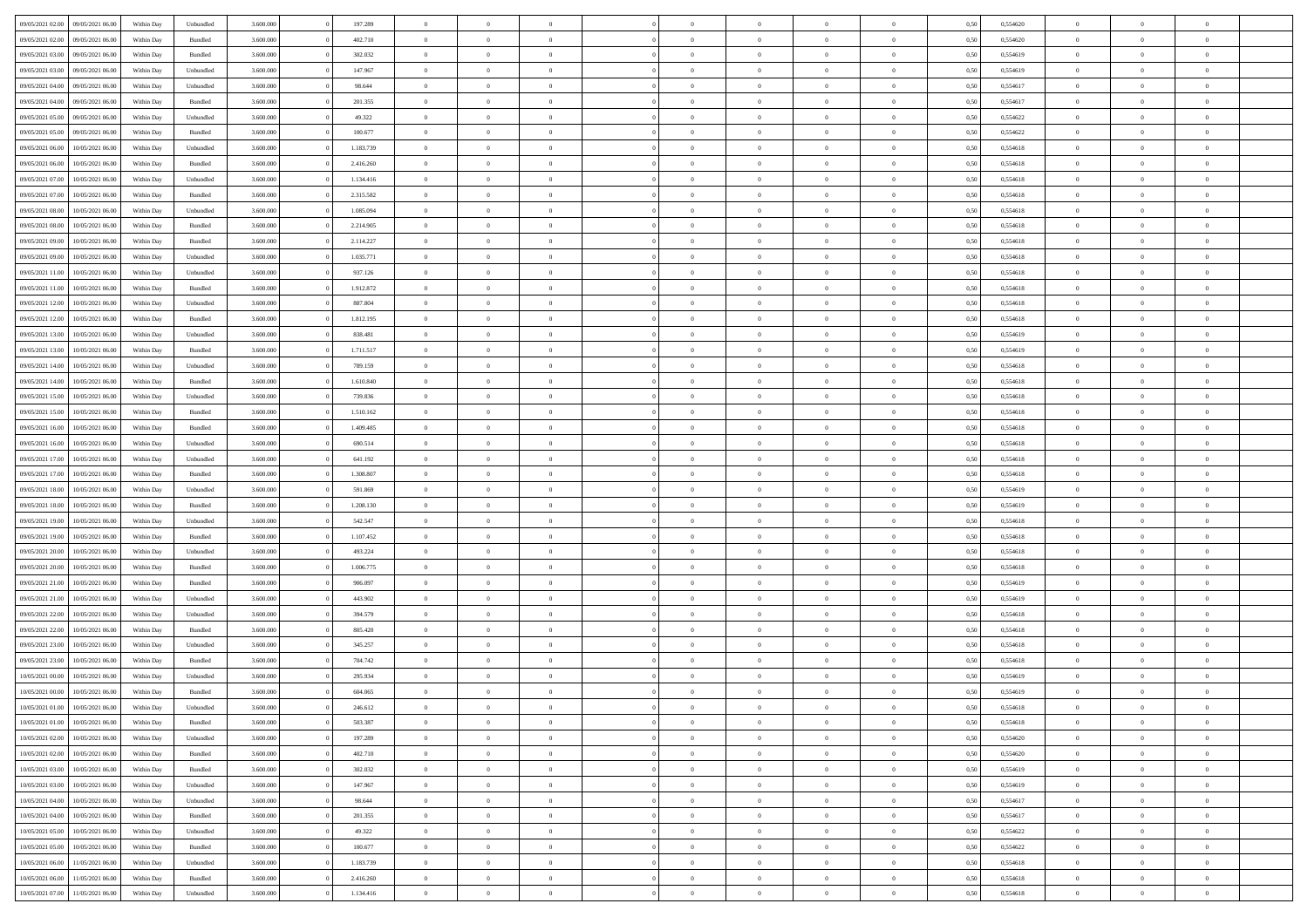|                  |                  |            |                    |           |           | $\overline{0}$ | $\Omega$       |                |                | $\Omega$       | $\theta$       | $\theta$       |      |          | $\theta$       |                | $\theta$       |  |
|------------------|------------------|------------|--------------------|-----------|-----------|----------------|----------------|----------------|----------------|----------------|----------------|----------------|------|----------|----------------|----------------|----------------|--|
| 09/05/2021 02:00 | 09/05/2021 06:00 | Within Day | Unbundled          | 3.600.000 | 197.289   |                |                |                | $\Omega$       |                |                |                | 0,50 | 0,554620 |                | $\theta$       |                |  |
| 09/05/2021 02.00 | 09/05/2021 06:00 | Within Day | Bundled            | 3.600.000 | 402.710   | $\overline{0}$ | $\theta$       | $\overline{0}$ | $\overline{0}$ | $\bf{0}$       | $\overline{0}$ | $\bf{0}$       | 0,50 | 0,554620 | $\theta$       | $\theta$       | $\overline{0}$ |  |
| 09/05/2021 03:00 | 09/05/2021 06:00 | Within Day | Bundled            | 3.600.000 | 302.032   | $\overline{0}$ | $\overline{0}$ | $\overline{0}$ | $\bf{0}$       | $\bf{0}$       | $\bf{0}$       | $\bf{0}$       | 0,50 | 0,554619 | $\overline{0}$ | $\overline{0}$ | $\overline{0}$ |  |
| 09/05/2021 03:00 | 09/05/2021 06:00 | Within Day | Unbundled          | 3.600,000 | 147.967   | $\overline{0}$ | $\overline{0}$ | $\overline{0}$ | $\overline{0}$ | $\bf{0}$       | $\overline{0}$ | $\overline{0}$ | 0.50 | 0.554619 | $\theta$       | $\theta$       | $\overline{0}$ |  |
| 09/05/2021 04:00 | 09/05/2021 06:00 | Within Day | Unbundled          | 3.600.000 | 98.644    | $\overline{0}$ | $\theta$       | $\overline{0}$ | $\overline{0}$ | $\bf{0}$       | $\overline{0}$ | $\bf{0}$       | 0,50 | 0,554617 | $\theta$       | $\overline{0}$ | $\overline{0}$ |  |
|                  |                  |            |                    |           |           |                |                |                |                |                |                |                |      |          |                |                |                |  |
| 09/05/2021 04:00 | 09/05/2021 06:00 | Within Day | Bundled            | 3.600.000 | 201.355   | $\overline{0}$ | $\bf{0}$       | $\overline{0}$ | $\bf{0}$       | $\overline{0}$ | $\overline{0}$ | $\mathbf{0}$   | 0,50 | 0,554617 | $\overline{0}$ | $\overline{0}$ | $\bf{0}$       |  |
| 09/05/2021 05:00 | 09/05/2021 06:00 | Within Dav | Unbundled          | 3.600.000 | 49.322    | $\overline{0}$ | $\overline{0}$ | $\overline{0}$ | $\overline{0}$ | $\overline{0}$ | $\overline{0}$ | $\overline{0}$ | 0.50 | 0,554622 | $\theta$       | $\overline{0}$ | $\overline{0}$ |  |
| 09/05/2021 05:00 | 09/05/2021 06:00 | Within Day | Bundled            | 3.600.000 | 100.677   | $\overline{0}$ | $\theta$       | $\overline{0}$ | $\overline{0}$ | $\bf{0}$       | $\overline{0}$ | $\bf{0}$       | 0,50 | 0,554622 | $\theta$       | $\theta$       | $\overline{0}$ |  |
| 09/05/2021 06:00 | 10/05/2021 06:00 | Within Day | Unbundled          | 3.600.000 | 1.183.739 | $\overline{0}$ | $\overline{0}$ | $\overline{0}$ | $\bf{0}$       | $\bf{0}$       | $\bf{0}$       | $\bf{0}$       | 0,50 | 0,554618 | $\,0\,$        | $\overline{0}$ | $\overline{0}$ |  |
|                  |                  |            |                    |           |           |                | $\overline{0}$ |                |                | $\overline{0}$ |                |                |      |          | $\theta$       | $\overline{0}$ | $\overline{0}$ |  |
| 09/05/2021 06:00 | 10/05/2021 06:00 | Within Dav | Bundled            | 3.600.000 | 2.416.260 | $\overline{0}$ |                | $\overline{0}$ | $\overline{0}$ |                | $\overline{0}$ | $\overline{0}$ | 0.50 | 0.554618 |                |                |                |  |
| 09/05/2021 07:00 | 10/05/2021 06:00 | Within Day | Unbundled          | 3.600.000 | 1.134.416 | $\overline{0}$ | $\theta$       | $\overline{0}$ | $\overline{0}$ | $\bf{0}$       | $\overline{0}$ | $\bf{0}$       | 0,50 | 0,554618 | $\,$ 0 $\,$    | $\overline{0}$ | $\overline{0}$ |  |
| 09/05/2021 07:00 | 10/05/2021 06:00 | Within Day | Bundled            | 3.600.000 | 2.315.582 | $\overline{0}$ | $\overline{0}$ | $\overline{0}$ | $\bf{0}$       | $\bf{0}$       | $\bf{0}$       | $\bf{0}$       | 0,50 | 0,554618 | $\overline{0}$ | $\overline{0}$ | $\overline{0}$ |  |
| 09/05/2021 08:00 | 10/05/2021 06:00 | Within Day | Unbundled          | 3.600.000 | 1.085.094 | $\overline{0}$ | $\overline{0}$ | $\overline{0}$ | $\overline{0}$ | $\bf{0}$       | $\overline{0}$ | $\overline{0}$ | 0.50 | 0.554618 | $\theta$       | $\theta$       | $\overline{0}$ |  |
| 09/05/2021 08:00 | 10/05/2021 06:00 | Within Day | Bundled            | 3.600.000 | 2.214.905 | $\overline{0}$ | $\theta$       | $\overline{0}$ | $\overline{0}$ | $\bf{0}$       | $\overline{0}$ | $\bf{0}$       | 0,50 | 0,554618 | $\theta$       | $\overline{0}$ | $\overline{0}$ |  |
|                  |                  |            |                    |           |           |                |                |                |                |                |                |                |      |          |                |                |                |  |
| 09/05/2021 09:00 | 10/05/2021 06:00 | Within Day | Bundled            | 3.600.000 | 2.114.227 | $\overline{0}$ | $\overline{0}$ | $\overline{0}$ | $\bf{0}$       | $\overline{0}$ | $\overline{0}$ | $\mathbf{0}$   | 0,50 | 0,554618 | $\overline{0}$ | $\overline{0}$ | $\bf{0}$       |  |
| 09/05/2021 09:00 | 10/05/2021 06:00 | Within Dav | Unbundled          | 3.600.000 | 1.035.771 | $\overline{0}$ | $\overline{0}$ | $\overline{0}$ | $\overline{0}$ | $\overline{0}$ | $\overline{0}$ | $\overline{0}$ | 0.50 | 0.554618 | $\theta$       | $\overline{0}$ | $\overline{0}$ |  |
| 09/05/2021 11:00 | 10/05/2021 06:00 | Within Day | Unbundled          | 3.600.000 | 937.126   | $\overline{0}$ | $\theta$       | $\overline{0}$ | $\overline{0}$ | $\bf{0}$       | $\overline{0}$ | $\bf{0}$       | 0,50 | 0,554618 | $\theta$       | $\theta$       | $\overline{0}$ |  |
| 09/05/2021 11:00 | 10/05/2021 06:00 | Within Day | Bundled            | 3.600.000 | 1.912.872 | $\overline{0}$ | $\overline{0}$ | $\overline{0}$ | $\bf{0}$       | $\bf{0}$       | $\bf{0}$       | $\bf{0}$       | 0,50 | 0,554618 | $\,0\,$        | $\overline{0}$ | $\overline{0}$ |  |
| 09/05/2021 12:00 | 10/05/2021 06:00 | Within Day | Unbundled          | 3.600.000 | 887.804   | $\overline{0}$ | $\overline{0}$ | $\overline{0}$ | $\overline{0}$ | $\overline{0}$ | $\overline{0}$ | $\overline{0}$ | 0.50 | 0.554618 | $\theta$       | $\overline{0}$ | $\overline{0}$ |  |
| 09/05/2021 12:00 | 10/05/2021 06:00 | Within Day | Bundled            | 3.600.000 | 1.812.195 | $\overline{0}$ | $\theta$       | $\overline{0}$ | $\overline{0}$ | $\bf{0}$       | $\overline{0}$ | $\bf{0}$       | 0,50 | 0,554618 | $\,$ 0 $\,$    | $\overline{0}$ | $\overline{0}$ |  |
|                  |                  |            |                    |           |           |                |                |                |                |                |                |                |      |          |                |                |                |  |
| 09/05/2021 13:00 | 10/05/2021 06:00 | Within Day | Unbundled          | 3.600.000 | 838.481   | $\overline{0}$ | $\overline{0}$ | $\overline{0}$ | $\bf{0}$       | $\bf{0}$       | $\bf{0}$       | $\bf{0}$       | 0,50 | 0,554619 | $\bf{0}$       | $\overline{0}$ | $\overline{0}$ |  |
| 09/05/2021 13:00 | 10/05/2021 06:00 | Within Day | Bundled            | 3.600,000 | 1.711.517 | $\overline{0}$ | $\overline{0}$ | $\overline{0}$ | $\overline{0}$ | $\bf{0}$       | $\overline{0}$ | $\overline{0}$ | 0.50 | 0.554619 | $\theta$       | $\overline{0}$ | $\overline{0}$ |  |
| 09/05/2021 14:00 | 10/05/2021 06:00 | Within Day | Unbundled          | 3.600.000 | 789.159   | $\overline{0}$ | $\theta$       | $\overline{0}$ | $\overline{0}$ | $\bf{0}$       | $\overline{0}$ | $\bf{0}$       | 0,50 | 0,554618 | $\,$ 0 $\,$    | $\overline{0}$ | $\overline{0}$ |  |
| 09/05/2021 14:00 | 10/05/2021 06:00 | Within Day | Bundled            | 3.600.000 | 1.610.840 | $\overline{0}$ | $\bf{0}$       | $\overline{0}$ | $\bf{0}$       | $\overline{0}$ | $\overline{0}$ | $\mathbf{0}$   | 0,50 | 0,554618 | $\overline{0}$ | $\overline{0}$ | $\bf{0}$       |  |
| 09/05/2021 15:00 | 10/05/2021 06:00 | Within Dav | Unbundled          | 3.600.000 | 739.836   | $\overline{0}$ | $\overline{0}$ | $\overline{0}$ | $\overline{0}$ | $\overline{0}$ | $\overline{0}$ | $\overline{0}$ | 0.50 | 0.554618 | $\theta$       | $\overline{0}$ | $\overline{0}$ |  |
|                  |                  |            |                    |           |           |                |                |                |                |                |                |                |      |          |                |                |                |  |
| 09/05/2021 15:00 | 10/05/2021 06:00 | Within Day | Bundled            | 3.600.000 | 1.510.162 | $\overline{0}$ | $\theta$       | $\overline{0}$ | $\overline{0}$ | $\bf{0}$       | $\overline{0}$ | $\bf{0}$       | 0,50 | 0,554618 | $\theta$       | $\theta$       | $\overline{0}$ |  |
| 09/05/2021 16:00 | 10/05/2021 06:00 | Within Day | Bundled            | 3.600.000 | 1.409.485 | $\overline{0}$ | $\overline{0}$ | $\overline{0}$ | $\bf{0}$       | $\bf{0}$       | $\bf{0}$       | $\bf{0}$       | 0,50 | 0,554618 | $\,0\,$        | $\overline{0}$ | $\overline{0}$ |  |
| 09/05/2021 16:00 | 10/05/2021 06:00 | Within Day | Unbundled          | 3.600.000 | 690.514   | $\overline{0}$ | $\overline{0}$ | $\overline{0}$ | $\overline{0}$ | $\overline{0}$ | $\overline{0}$ | $\overline{0}$ | 0.50 | 0.554618 | $\theta$       | $\overline{0}$ | $\overline{0}$ |  |
| 09/05/2021 17:00 | 10/05/2021 06:00 | Within Day | Unbundled          | 3.600.000 | 641.192   | $\overline{0}$ | $\theta$       | $\overline{0}$ | $\overline{0}$ | $\bf{0}$       | $\overline{0}$ | $\bf{0}$       | 0,50 | 0,554618 | $\,$ 0 $\,$    | $\overline{0}$ | $\overline{0}$ |  |
| 09/05/2021 17:00 | 10/05/2021 06:00 | Within Day | Bundled            | 3.600.000 | 1.308.807 | $\overline{0}$ | $\overline{0}$ | $\overline{0}$ | $\bf{0}$       | $\bf{0}$       | $\bf{0}$       | $\bf{0}$       | 0,50 | 0,554618 | $\overline{0}$ | $\overline{0}$ | $\overline{0}$ |  |
|                  |                  |            |                    |           |           | $\overline{0}$ | $\Omega$       | $\Omega$       | $\Omega$       | $\Omega$       | $\Omega$       | $\overline{0}$ |      |          | $\,0\,$        | $\theta$       | $\theta$       |  |
| 09/05/2021 18:00 | 10/05/2021 06:00 | Within Day | Unbundled          | 3.600.000 | 591.869   |                |                |                |                |                |                |                | 0,50 | 0,554619 |                |                |                |  |
| 09/05/2021 18:00 | 10/05/2021 06:00 | Within Day | Bundled            | 3.600.000 | 1.208.130 | $\overline{0}$ | $\theta$       | $\overline{0}$ | $\overline{0}$ | $\bf{0}$       | $\overline{0}$ | $\bf{0}$       | 0,50 | 0,554619 | $\theta$       | $\overline{0}$ | $\overline{0}$ |  |
| 09/05/2021 19:00 | 10/05/2021 06:00 | Within Day | Unbundled          | 3.600.000 | 542.547   | $\overline{0}$ | $\overline{0}$ | $\overline{0}$ | $\bf{0}$       | $\bf{0}$       | $\overline{0}$ | $\mathbf{0}$   | 0,50 | 0,554618 | $\overline{0}$ | $\overline{0}$ | $\bf{0}$       |  |
| 09/05/2021 19:00 | 10/05/2021 06:00 | Within Day | Bundled            | 3.600,000 | 1.107.452 | $\overline{0}$ | $\Omega$       | $\Omega$       | $\Omega$       | $\bf{0}$       | $\overline{0}$ | $\overline{0}$ | 0.50 | 0.554618 | $\theta$       | $\theta$       | $\theta$       |  |
| 09/05/2021 20:00 | 10/05/2021 06:00 | Within Day | Unbundled          | 3.600.000 | 493.224   | $\overline{0}$ | $\theta$       | $\overline{0}$ | $\overline{0}$ | $\bf{0}$       | $\overline{0}$ | $\bf{0}$       | 0,50 | 0,554618 | $\,$ 0 $\,$    | $\theta$       | $\overline{0}$ |  |
| 09/05/2021 20:00 | 10/05/2021 06:00 | Within Day | Bundled            | 3.600.000 | 1.006.775 | $\overline{0}$ | $\overline{0}$ | $\overline{0}$ | $\bf{0}$       | $\bf{0}$       | $\bf{0}$       | $\bf{0}$       | 0,50 | 0,554618 | $\,0\,$        | $\overline{0}$ | $\overline{0}$ |  |
|                  |                  |            |                    |           |           |                |                |                |                |                |                |                |      |          |                |                |                |  |
| 09/05/2021 21:00 | 10/05/2021 06:00 | Within Day | Bundled            | 3.600,000 | 906,097   | $\overline{0}$ | $\Omega$       | $\Omega$       | $\Omega$       | $\theta$       | $\theta$       | $\overline{0}$ | 0.50 | 0.554619 | $\theta$       | $\theta$       | $\theta$       |  |
| 09/05/2021 21:00 | 10/05/2021 06:00 | Within Day | Unbundled          | 3.600.000 | 443.902   | $\overline{0}$ | $\theta$       | $\overline{0}$ | $\overline{0}$ | $\bf{0}$       | $\overline{0}$ | $\bf{0}$       | 0,50 | 0,554619 | $\,$ 0 $\,$    | $\overline{0}$ | $\overline{0}$ |  |
| 09/05/2021 22.00 | 10/05/2021 06:00 | Within Day | Unbundled          | 3.600.000 | 394.579   | $\overline{0}$ | $\overline{0}$ | $\overline{0}$ | $\bf{0}$       | $\bf{0}$       | $\bf{0}$       | $\bf{0}$       | 0,50 | 0,554618 | $\bf{0}$       | $\overline{0}$ | $\overline{0}$ |  |
| 09/05/2021 22.00 | 10/05/2021 06:00 | Within Day | Bundled            | 3.600.000 | 805.420   | $\overline{0}$ | $\Omega$       | $\overline{0}$ | $\Omega$       | $\overline{0}$ | $\overline{0}$ | $\overline{0}$ | 0,50 | 0,554618 | $\,0\,$        | $\theta$       | $\theta$       |  |
| 09/05/2021 23:00 | 10/05/2021 06:00 | Within Day | Unbundled          | 3.600.000 | 345.257   | $\overline{0}$ | $\theta$       | $\overline{0}$ | $\overline{0}$ | $\bf{0}$       | $\overline{0}$ | $\bf{0}$       | 0,50 | 0,554618 | $\,$ 0 $\,$    | $\overline{0}$ | $\overline{0}$ |  |
|                  |                  |            |                    |           |           |                |                |                |                |                |                |                |      |          |                |                |                |  |
| 09/05/2021 23.00 | 10/05/2021 06:00 | Within Day | Bundled            | 3.600.000 | 704.742   | $\overline{0}$ | $\overline{0}$ | $\overline{0}$ | $\bf{0}$       | $\bf{0}$       | $\bf{0}$       | $\mathbf{0}$   | 0,50 | 0,554618 | $\bf{0}$       | $\overline{0}$ | $\bf{0}$       |  |
| 10/05/2021 00:00 | 10/05/2021 06:00 | Within Day | Unbundled          | 3.600,000 | 295.934   | $\overline{0}$ | $\Omega$       | $\Omega$       | $\Omega$       | $\Omega$       | $\Omega$       | $\overline{0}$ | 0.50 | 0.554619 | $\theta$       | $\theta$       | $\theta$       |  |
| 10/05/2021 00:00 | 10/05/2021 06:00 | Within Day | Bundled            | 3.600.000 | 604.065   | $\overline{0}$ | $\overline{0}$ | $\overline{0}$ | $\bf{0}$       | $\,$ 0         | $\bf{0}$       | $\bf{0}$       | 0,50 | 0,554619 | $\,0\,$        | $\overline{0}$ | $\overline{0}$ |  |
| 10/05/2021 01:00 | 10/05/2021 06:00 | Within Day | Unbundled          | 3.600.000 | 246.612   | $\bf{0}$       | $\bf{0}$       |                |                |                |                |                | 0,50 | 0,554618 | $\bf{0}$       | $\overline{0}$ |                |  |
| 10/05/2021 01:00 | 10/05/2021 06:00 | Within Day | Bundled            | 3.600,000 | 503,387   | $\overline{0}$ | $\overline{0}$ | $\overline{0}$ | $\Omega$       | $\overline{0}$ | $\overline{0}$ | $\overline{0}$ | 0.50 | 0.554618 | $\theta$       | $\theta$       | $\theta$       |  |
| 10/05/2021 02:00 | 10/05/2021 06:00 | Within Day | Unbundled          | 3.600.000 | 197.289   | $\overline{0}$ | $\bf{0}$       | $\overline{0}$ | $\bf{0}$       | $\,$ 0 $\,$    | $\overline{0}$ | $\,$ 0 $\,$    | 0,50 | 0,554620 | $\,$ 0 $\,$    | $\,$ 0 $\,$    | $\,$ 0         |  |
|                  |                  |            |                    |           |           |                |                |                |                |                |                |                |      |          |                |                |                |  |
| 10/05/2021 02:00 | 10/05/2021 06:00 | Within Day | Bundled            | 3.600.000 | 402.710   | $\overline{0}$ | $\overline{0}$ | $\overline{0}$ | $\overline{0}$ | $\overline{0}$ | $\overline{0}$ | $\mathbf{0}$   | 0,50 | 0,554620 | $\overline{0}$ | $\bf{0}$       | $\overline{0}$ |  |
| 10/05/2021 03:00 | 10/05/2021 06:00 | Within Day | $\mathbf B$ undled | 3.600.000 | 302.032   | $\overline{0}$ | $\overline{0}$ | $\overline{0}$ | $\Omega$       | $\overline{0}$ | $\overline{0}$ | $\overline{0}$ | 0,50 | 0,554619 | $\overline{0}$ | $\theta$       | $\overline{0}$ |  |
| 10/05/2021 03:00 | 10/05/2021 06:00 | Within Day | Unbundled          | 3.600.000 | 147.967   | $\overline{0}$ | $\,$ 0         | $\overline{0}$ | $\bf{0}$       | $\,$ 0 $\,$    | $\overline{0}$ | $\mathbf{0}$   | 0,50 | 0,554619 | $\,$ 0 $\,$    | $\overline{0}$ | $\,$ 0         |  |
| 10/05/2021 04:00 | 10/05/2021 06:00 | Within Day | Unbundled          | 3.600.000 | 98.644    | $\overline{0}$ | $\overline{0}$ | $\overline{0}$ | $\overline{0}$ | $\overline{0}$ | $\overline{0}$ | $\mathbf{0}$   | 0,50 | 0,554617 | $\overline{0}$ | $\overline{0}$ | $\bf{0}$       |  |
| 10/05/2021 04:00 | 10/05/2021 06:00 | Within Day | Bundled            | 3.600,000 | 201.355   | $\overline{0}$ | $\overline{0}$ | $\overline{0}$ | $\overline{0}$ | $\overline{0}$ | $\overline{0}$ | $\bf{0}$       | 0.50 | 0,554617 | $\overline{0}$ | $\theta$       | $\overline{0}$ |  |
| 10/05/2021 05:00 | 10/05/2021 06:00 | Within Day | Unbundled          | 3.600.000 | 49.322    | $\overline{0}$ | $\,$ 0         | $\overline{0}$ | $\bf{0}$       | $\bf{0}$       | $\bf{0}$       | $\bf{0}$       | 0,50 | 0,554622 | $\,$ 0 $\,$    | $\overline{0}$ | $\overline{0}$ |  |
|                  |                  |            |                    |           |           |                |                |                |                |                |                |                |      |          |                |                |                |  |
| 10/05/2021 05:00 | 10/05/2021 06:00 | Within Day | Bundled            | 3.600.000 | 100.677   | $\overline{0}$ | $\bf{0}$       | $\overline{0}$ | $\overline{0}$ | $\overline{0}$ | $\overline{0}$ | $\mathbf{0}$   | 0,50 | 0,554622 | $\overline{0}$ | $\overline{0}$ | $\bf{0}$       |  |
| 10/05/2021 06:00 | 11/05/2021 06:00 | Within Day | Unbundled          | 3.600,000 | 1.183.739 | $\overline{0}$ | $\overline{0}$ | $\overline{0}$ | $\Omega$       | $\overline{0}$ | $\overline{0}$ | $\overline{0}$ | 0.50 | 0,554618 | $\overline{0}$ | $\overline{0}$ | $\overline{0}$ |  |
| 10/05/2021 06:00 | 11/05/2021 06:00 | Within Day | Bundled            | 3.600.000 | 2.416.260 | $\overline{0}$ | $\bf{0}$       | $\overline{0}$ | $\overline{0}$ | $\bf{0}$       | $\bf{0}$       | $\mathbf{0}$   | 0,50 | 0,554618 | $\,$ 0 $\,$    | $\,$ 0 $\,$    | $\bf{0}$       |  |
| 10/05/2021 07:00 | 11/05/2021 06:00 | Within Day | Unbundled          | 3.600.000 | 1.134.416 | $\overline{0}$ | $\bf{0}$       | $\overline{0}$ | $\overline{0}$ | $\bf{0}$       | $\bf{0}$       | $\bf{0}$       | 0,50 | 0,554618 | $\overline{0}$ | $\overline{0}$ | $\bf{0}$       |  |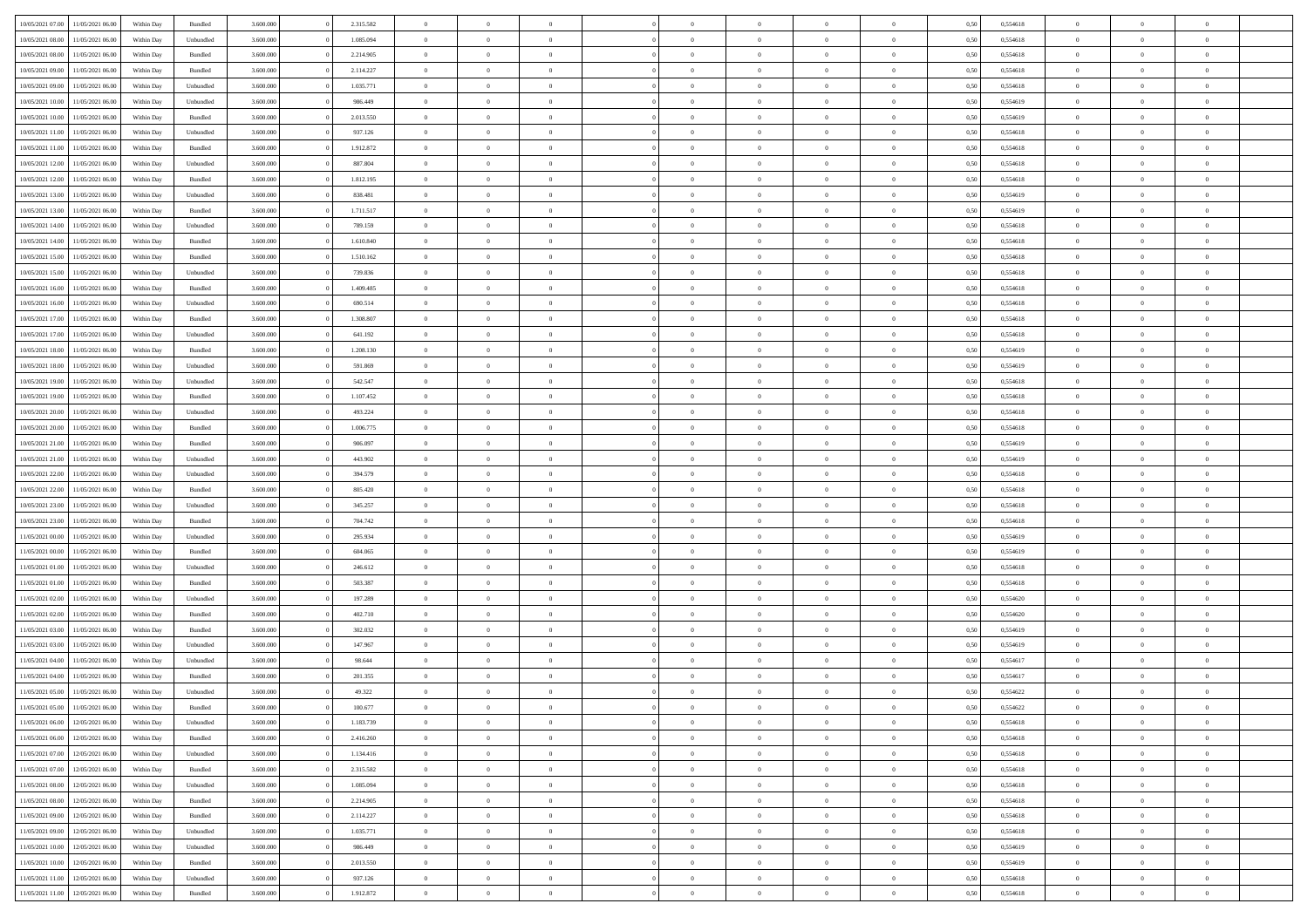| 10/05/2021 07:00 | 11/05/2021 06:00 | Within Day | Bundled            | 3.600.000 | 2.315.582 | $\overline{0}$ | $\Omega$       |                | $\Omega$       | $\Omega$       | $\theta$       | $\theta$       | 0,50 | 0,554618 | $\theta$       | $\theta$       | $\theta$       |  |
|------------------|------------------|------------|--------------------|-----------|-----------|----------------|----------------|----------------|----------------|----------------|----------------|----------------|------|----------|----------------|----------------|----------------|--|
| 10/05/2021 08:00 | 11/05/2021 06:00 | Within Day | Unbundled          | 3.600.000 | 1.085.094 | $\overline{0}$ | $\theta$       | $\overline{0}$ | $\overline{0}$ | $\bf{0}$       | $\overline{0}$ | $\bf{0}$       | 0,50 | 0,554618 | $\theta$       | $\theta$       | $\overline{0}$ |  |
| 10/05/2021 08:00 | 11/05/2021 06:00 | Within Day | Bundled            | 3.600.000 | 2.214.905 | $\overline{0}$ | $\overline{0}$ | $\overline{0}$ | $\bf{0}$       | $\bf{0}$       | $\bf{0}$       | $\bf{0}$       | 0,50 | 0,554618 | $\overline{0}$ | $\overline{0}$ | $\overline{0}$ |  |
| 10/05/2021 09:00 | 11/05/2021 06:00 | Within Dav | Bundled            | 3.600,000 | 2.114.227 | $\overline{0}$ | $\overline{0}$ | $\overline{0}$ | $\overline{0}$ | $\bf{0}$       | $\overline{0}$ | $\overline{0}$ | 0.50 | 0.554618 | $\theta$       | $\theta$       | $\overline{0}$ |  |
| 10/05/2021 09:00 | 11/05/2021 06:00 | Within Day | Unbundled          | 3.600.000 | 1.035.771 | $\overline{0}$ | $\theta$       | $\overline{0}$ | $\overline{0}$ | $\bf{0}$       | $\overline{0}$ | $\bf{0}$       | 0,50 | 0,554618 | $\theta$       | $\overline{0}$ | $\overline{0}$ |  |
|                  |                  |            |                    |           |           |                |                |                |                |                |                |                |      |          |                |                |                |  |
| 10/05/2021 10:00 | 11/05/2021 06:00 | Within Day | Unbundled          | 3.600.000 | 986.449   | $\overline{0}$ | $\bf{0}$       | $\overline{0}$ | $\bf{0}$       | $\overline{0}$ | $\overline{0}$ | $\mathbf{0}$   | 0,50 | 0,554619 | $\overline{0}$ | $\overline{0}$ | $\bf{0}$       |  |
| 10/05/2021 10:00 | 11/05/2021 06:00 | Within Dav | Bundled            | 3.600.000 | 2.013.550 | $\overline{0}$ | $\overline{0}$ | $\overline{0}$ | $\overline{0}$ | $\overline{0}$ | $\overline{0}$ | $\overline{0}$ | 0.50 | 0,554619 | $\theta$       | $\overline{0}$ | $\overline{0}$ |  |
| 10/05/2021 11:00 | 11/05/2021 06:00 | Within Day | Unbundled          | 3.600.000 | 937.126   | $\overline{0}$ | $\theta$       | $\overline{0}$ | $\overline{0}$ | $\bf{0}$       | $\overline{0}$ | $\bf{0}$       | 0,50 | 0,554618 | $\theta$       | $\theta$       | $\overline{0}$ |  |
| 10/05/2021 11:00 | 11/05/2021 06:00 | Within Day | Bundled            | 3.600.000 | 1.912.872 | $\overline{0}$ | $\overline{0}$ | $\overline{0}$ | $\bf{0}$       | $\bf{0}$       | $\bf{0}$       | $\bf{0}$       | 0,50 | 0,554618 | $\,0\,$        | $\overline{0}$ | $\overline{0}$ |  |
| 10/05/2021 12:00 | 11/05/2021 06:00 | Within Dav | Unbundled          | 3.600.000 | 887.804   | $\overline{0}$ | $\overline{0}$ | $\overline{0}$ | $\overline{0}$ | $\overline{0}$ | $\overline{0}$ | $\overline{0}$ | 0.50 | 0.554618 | $\theta$       | $\overline{0}$ | $\overline{0}$ |  |
| 10/05/2021 12:00 | 11/05/2021 06:00 | Within Day | Bundled            | 3.600.000 | 1.812.195 | $\overline{0}$ | $\theta$       | $\overline{0}$ | $\overline{0}$ | $\bf{0}$       | $\overline{0}$ | $\bf{0}$       | 0,50 | 0,554618 | $\,$ 0 $\,$    | $\overline{0}$ | $\overline{0}$ |  |
| 10/05/2021 13:00 | 11/05/2021 06:00 | Within Day | Unbundled          | 3.600.000 | 838.481   | $\overline{0}$ | $\overline{0}$ | $\overline{0}$ | $\bf{0}$       | $\bf{0}$       | $\bf{0}$       | $\bf{0}$       | 0,50 | 0,554619 | $\overline{0}$ | $\overline{0}$ | $\overline{0}$ |  |
|                  |                  |            |                    |           |           |                |                |                |                |                |                |                |      |          |                |                |                |  |
| 10/05/2021 13:00 | 11/05/2021 06:00 | Within Dav | Bundled            | 3.600.000 | 1.711.517 | $\overline{0}$ | $\overline{0}$ | $\overline{0}$ | $\overline{0}$ | $\bf{0}$       | $\overline{0}$ | $\overline{0}$ | 0.50 | 0.554619 | $\theta$       | $\theta$       | $\overline{0}$ |  |
| 10/05/2021 14:00 | 11/05/2021 06:00 | Within Day | Unbundled          | 3.600.000 | 789.159   | $\overline{0}$ | $\theta$       | $\overline{0}$ | $\overline{0}$ | $\bf{0}$       | $\overline{0}$ | $\bf{0}$       | 0,50 | 0,554618 | $\theta$       | $\overline{0}$ | $\overline{0}$ |  |
| 10/05/2021 14:00 | 11/05/2021 06:00 | Within Day | Bundled            | 3.600.000 | 1.610.840 | $\overline{0}$ | $\overline{0}$ | $\overline{0}$ | $\bf{0}$       | $\overline{0}$ | $\overline{0}$ | $\mathbf{0}$   | 0,50 | 0,554618 | $\overline{0}$ | $\overline{0}$ | $\bf{0}$       |  |
| 10/05/2021 15:00 | 11/05/2021 06:00 | Within Dav | Bundled            | 3.600.000 | 1.510.162 | $\overline{0}$ | $\overline{0}$ | $\overline{0}$ | $\overline{0}$ | $\overline{0}$ | $\overline{0}$ | $\overline{0}$ | 0.50 | 0.554618 | $\theta$       | $\overline{0}$ | $\overline{0}$ |  |
| 10/05/2021 15:00 | 11/05/2021 06:00 | Within Day | Unbundled          | 3.600.000 | 739.836   | $\overline{0}$ | $\theta$       | $\overline{0}$ | $\overline{0}$ | $\bf{0}$       | $\overline{0}$ | $\bf{0}$       | 0,50 | 0,554618 | $\theta$       | $\theta$       | $\overline{0}$ |  |
| 10/05/2021 16:00 | 11/05/2021 06:00 | Within Day | Bundled            | 3.600.000 | 1.409.485 | $\overline{0}$ | $\overline{0}$ | $\overline{0}$ | $\bf{0}$       | $\bf{0}$       | $\bf{0}$       | $\bf{0}$       | 0,50 | 0,554618 | $\,0\,$        | $\overline{0}$ | $\overline{0}$ |  |
| 10/05/2021 16:00 | 11/05/2021 06:00 | Within Dav | Unbundled          | 3.600.000 | 690.514   | $\overline{0}$ | $\overline{0}$ | $\overline{0}$ | $\overline{0}$ | $\overline{0}$ | $\overline{0}$ | $\overline{0}$ | 0.50 | 0,554618 | $\theta$       | $\overline{0}$ | $\overline{0}$ |  |
|                  |                  |            |                    |           |           |                |                |                |                |                |                |                |      |          |                |                |                |  |
| 10/05/2021 17:00 | 11/05/2021 06:00 | Within Day | Bundled            | 3.600.000 | 1.308.807 | $\overline{0}$ | $\theta$       | $\overline{0}$ | $\overline{0}$ | $\bf{0}$       | $\overline{0}$ | $\bf{0}$       | 0,50 | 0,554618 | $\,$ 0 $\,$    | $\theta$       | $\overline{0}$ |  |
| 10/05/2021 17:00 | 11/05/2021 06:00 | Within Day | Unbundled          | 3.600.000 | 641.192   | $\overline{0}$ | $\overline{0}$ | $\overline{0}$ | $\overline{0}$ | $\bf{0}$       | $\overline{0}$ | $\bf{0}$       | 0,50 | 0,554618 | $\bf{0}$       | $\overline{0}$ | $\overline{0}$ |  |
| 10/05/2021 18:00 | 11/05/2021 06:00 | Within Day | Bundled            | 3.600,000 | 1.208.130 | $\overline{0}$ | $\overline{0}$ | $\overline{0}$ | $\overline{0}$ | $\bf{0}$       | $\overline{0}$ | $\overline{0}$ | 0.50 | 0.554619 | $\theta$       | $\overline{0}$ | $\overline{0}$ |  |
| 10/05/2021 18:00 | 11/05/2021 06:00 | Within Day | Unbundled          | 3.600.000 | 591.869   | $\overline{0}$ | $\theta$       | $\overline{0}$ | $\overline{0}$ | $\bf{0}$       | $\overline{0}$ | $\bf{0}$       | 0,50 | 0,554619 | $\,$ 0 $\,$    | $\overline{0}$ | $\overline{0}$ |  |
| 10/05/2021 19:00 | 11/05/2021 06:00 | Within Day | Unbundled          | 3.600.000 | 542.547   | $\overline{0}$ | $\bf{0}$       | $\overline{0}$ | $\overline{0}$ | $\overline{0}$ | $\overline{0}$ | $\mathbf{0}$   | 0,50 | 0,554618 | $\overline{0}$ | $\overline{0}$ | $\bf{0}$       |  |
| 10/05/2021 19:00 | 11/05/2021 06:00 | Within Dav | Bundled            | 3.600.000 | 1.107.452 | $\overline{0}$ | $\overline{0}$ | $\overline{0}$ | $\overline{0}$ | $\overline{0}$ | $\overline{0}$ | $\overline{0}$ | 0.50 | 0.554618 | $\theta$       | $\overline{0}$ | $\overline{0}$ |  |
| 10/05/2021 20:00 | 11/05/2021 06:00 | Within Day | Unbundled          | 3.600.000 | 493.224   | $\overline{0}$ | $\theta$       | $\overline{0}$ | $\overline{0}$ | $\bf{0}$       | $\overline{0}$ | $\bf{0}$       | 0,50 | 0,554618 | $\theta$       | $\theta$       | $\overline{0}$ |  |
|                  |                  |            |                    |           |           |                |                |                |                |                |                |                |      |          |                |                |                |  |
| 10/05/2021 20:00 | 11/05/2021 06:00 | Within Day | Bundled            | 3.600.000 | 1.006.775 | $\overline{0}$ | $\overline{0}$ | $\overline{0}$ | $\overline{0}$ | $\bf{0}$       | $\overline{0}$ | $\bf{0}$       | 0,50 | 0,554618 | $\,0\,$        | $\overline{0}$ | $\overline{0}$ |  |
| 10/05/2021 21:00 | 11/05/2021 06:00 | Within Day | Bundled            | 3.600.000 | 906.097   | $\overline{0}$ | $\overline{0}$ | $\overline{0}$ | $\overline{0}$ | $\overline{0}$ | $\overline{0}$ | $\overline{0}$ | 0.50 | 0.554619 | $\theta$       | $\overline{0}$ | $\overline{0}$ |  |
| 10/05/2021 21:00 | 11/05/2021 06:00 | Within Day | Unbundled          | 3.600.000 | 443.902   | $\overline{0}$ | $\theta$       | $\overline{0}$ | $\overline{0}$ | $\bf{0}$       | $\overline{0}$ | $\bf{0}$       | 0,50 | 0,554619 | $\,$ 0 $\,$    | $\overline{0}$ | $\overline{0}$ |  |
| 10/05/2021 22:00 | 11/05/2021 06:00 | Within Day | Unbundled          | 3.600.000 | 394.579   | $\overline{0}$ | $\overline{0}$ | $\overline{0}$ | $\overline{0}$ | $\bf{0}$       | $\overline{0}$ | $\bf{0}$       | 0,50 | 0,554618 | $\overline{0}$ | $\overline{0}$ | $\overline{0}$ |  |
| 10/05/2021 22:00 | 11/05/2021 06.00 | Within Day | Bundled            | 3.600.000 | 805.420   | $\overline{0}$ | $\Omega$       | $\Omega$       | $\Omega$       | $\Omega$       | $\Omega$       | $\overline{0}$ | 0,50 | 0,554618 | $\,0\,$        | $\theta$       | $\theta$       |  |
| 10/05/2021 23:00 | 11/05/2021 06:00 | Within Day | Unbundled          | 3.600.000 | 345.257   | $\overline{0}$ | $\theta$       | $\overline{0}$ | $\overline{0}$ | $\bf{0}$       | $\overline{0}$ | $\bf{0}$       | 0,50 | 0,554618 | $\theta$       | $\overline{0}$ | $\overline{0}$ |  |
| 10/05/2021 23:00 | 11/05/2021 06:00 | Within Day | Bundled            | 3.600.000 | 704.742   | $\overline{0}$ | $\overline{0}$ | $\overline{0}$ | $\overline{0}$ | $\bf{0}$       | $\overline{0}$ | $\mathbf{0}$   | 0,50 | 0,554618 | $\overline{0}$ | $\overline{0}$ | $\bf{0}$       |  |
|                  |                  |            |                    |           |           |                |                |                |                |                |                |                |      |          |                |                |                |  |
| 11/05/2021 00:00 | 11/05/2021 06:00 | Within Day | Unbundled          | 3.600,000 | 295.934   | $\overline{0}$ | $\Omega$       | $\Omega$       | $\Omega$       | $\bf{0}$       | $\overline{0}$ | $\overline{0}$ | 0.50 | 0.554619 | $\theta$       | $\theta$       | $\theta$       |  |
| 11/05/2021 00:00 | 11/05/2021 06:00 | Within Day | Bundled            | 3.600.000 | 604.065   | $\overline{0}$ | $\theta$       | $\overline{0}$ | $\overline{0}$ | $\bf{0}$       | $\overline{0}$ | $\bf{0}$       | 0,50 | 0,554619 | $\,$ 0 $\,$    | $\theta$       | $\overline{0}$ |  |
| 11/05/2021 01:00 | 11/05/2021 06:00 | Within Day | Unbundled          | 3.600.000 | 246.612   | $\overline{0}$ | $\overline{0}$ | $\overline{0}$ | $\overline{0}$ | $\bf{0}$       | $\overline{0}$ | $\bf{0}$       | 0,50 | 0,554618 | $\bf{0}$       | $\overline{0}$ | $\overline{0}$ |  |
| 11/05/2021 01:00 | 11/05/2021 06:00 | Within Day | Bundled            | 3.600,000 | 503,387   | $\overline{0}$ | $\Omega$       | $\Omega$       | $\Omega$       | $\theta$       | $\theta$       | $\overline{0}$ | 0.50 | 0.554618 | $\theta$       | $\theta$       | $\theta$       |  |
| 11/05/2021 02:00 | 11/05/2021 06:00 | Within Day | Unbundled          | 3.600.000 | 197.289   | $\overline{0}$ | $\theta$       | $\overline{0}$ | $\overline{0}$ | $\bf{0}$       | $\overline{0}$ | $\bf{0}$       | 0,50 | 0,554620 | $\,$ 0 $\,$    | $\overline{0}$ | $\overline{0}$ |  |
| 11/05/2021 02:00 | 11/05/2021 06:00 | Within Day | Bundled            | 3.600.000 | 402.710   | $\overline{0}$ | $\overline{0}$ | $\overline{0}$ | $\bf{0}$       | $\bf{0}$       | $\bf{0}$       | $\bf{0}$       | 0,50 | 0,554620 | $\overline{0}$ | $\overline{0}$ | $\overline{0}$ |  |
| 11/05/2021 03:00 | 11/05/2021 06.00 | Within Day | Bundled            | 3.600.000 | 302.032   | $\overline{0}$ | $\Omega$       | $\overline{0}$ | $\Omega$       | $\Omega$       | $\overline{0}$ | $\overline{0}$ | 0,50 | 0,554619 | $\,0\,$        | $\theta$       | $\theta$       |  |
| 11/05/2021 03:00 | 11/05/2021 06:00 | Within Day | Unbundled          | 3.600.000 | 147.967   | $\overline{0}$ | $\theta$       | $\overline{0}$ | $\overline{0}$ | $\bf{0}$       | $\overline{0}$ | $\bf{0}$       | 0,50 | 0,554619 | $\,$ 0 $\,$    | $\overline{0}$ | $\overline{0}$ |  |
|                  |                  |            |                    |           |           |                |                |                |                |                |                |                |      |          |                |                |                |  |
| 11/05/2021 04:00 | 11/05/2021 06:00 | Within Day | Unbundled          | 3.600.000 | 98.644    | $\overline{0}$ | $\overline{0}$ | $\overline{0}$ | $\bf{0}$       | $\bf{0}$       | $\bf{0}$       | $\mathbf{0}$   | 0,50 | 0,554617 | $\overline{0}$ | $\overline{0}$ | $\bf{0}$       |  |
| 11/05/2021 04:00 | 11/05/2021 06.00 | Within Day | Bundled            | 3.600,000 | 201.355   | $\overline{0}$ | $\Omega$       | $\Omega$       | $\Omega$       | $\Omega$       | $\Omega$       | $\overline{0}$ | 0.50 | 0.554617 | $\theta$       | $\theta$       | $\theta$       |  |
| 11/05/2021 05:00 | 11/05/2021 06:00 | Within Day | Unbundled          | 3.600.000 | 49.322    | $\overline{0}$ | $\overline{0}$ | $\overline{0}$ | $\bf{0}$       | $\,$ 0         | $\bf{0}$       | $\bf{0}$       | 0,50 | 0,554622 | $\,0\,$        | $\,$ 0 $\,$    | $\overline{0}$ |  |
| 11/05/2021 05:00 | 11/05/2021 06:00 | Within Day | $\mathbf B$ undled | 3.600.000 | 100.677   | $\bf{0}$       | $\bf{0}$       |                |                | $\bf{0}$       |                |                | 0,50 | 0,554622 | $\bf{0}$       | $\overline{0}$ |                |  |
| 11/05/2021 06:00 | 12/05/2021 06:00 | Within Day | Unbundled          | 3.600,000 | 1.183.739 | $\overline{0}$ | $\overline{0}$ | $\overline{0}$ | $\Omega$       | $\overline{0}$ | $\overline{0}$ | $\overline{0}$ | 0.50 | 0.554618 | $\theta$       | $\theta$       | $\theta$       |  |
| 11/05/2021 06:00 | 12/05/2021 06:00 | Within Day | Bundled            | 3.600.000 | 2.416.260 | $\overline{0}$ | $\,$ 0         | $\overline{0}$ | $\bf{0}$       | $\,$ 0 $\,$    | $\overline{0}$ | $\mathbf{0}$   | 0,50 | 0,554618 | $\,$ 0 $\,$    | $\,$ 0 $\,$    | $\,$ 0         |  |
| 11/05/2021 07:00 | 12/05/2021 06:00 | Within Day | Unbundled          | 3.600.000 | 1.134.416 | $\overline{0}$ | $\overline{0}$ | $\overline{0}$ | $\overline{0}$ | $\overline{0}$ | $\overline{0}$ | $\mathbf{0}$   | 0,50 | 0,554618 | $\overline{0}$ | $\bf{0}$       | $\bf{0}$       |  |
|                  |                  |            |                    |           |           |                |                |                |                |                |                |                |      |          |                |                |                |  |
| 11/05/2021 07:00 | 12/05/2021 06:00 | Within Day | Bundled            | 3.600.000 | 2.315.582 | $\overline{0}$ | $\overline{0}$ | $\overline{0}$ | $\Omega$       | $\overline{0}$ | $\overline{0}$ | $\bf{0}$       | 0,50 | 0,554618 | $\overline{0}$ | $\theta$       | $\overline{0}$ |  |
| 11/05/2021 08:00 | 12/05/2021 06:00 | Within Day | Unbundled          | 3.600.000 | 1.085.094 | $\overline{0}$ | $\,$ 0         | $\overline{0}$ | $\overline{0}$ | $\overline{0}$ | $\overline{0}$ | $\bf{0}$       | 0,50 | 0,554618 | $\,$ 0 $\,$    | $\overline{0}$ | $\overline{0}$ |  |
| 11/05/2021 08:00 | 12/05/2021 06:00 | Within Day | Bundled            | 3.600.000 | 2.214.905 | $\overline{0}$ | $\overline{0}$ | $\overline{0}$ | $\overline{0}$ | $\overline{0}$ | $\overline{0}$ | $\mathbf{0}$   | 0,50 | 0,554618 | $\overline{0}$ | $\bf{0}$       | $\bf{0}$       |  |
| 11/05/2021 09:00 | 12/05/2021 06:00 | Within Day | Bundled            | 3.600,000 | 2.114.227 | $\overline{0}$ | $\overline{0}$ | $\overline{0}$ | $\Omega$       | $\overline{0}$ | $\overline{0}$ | $\bf{0}$       | 0.50 | 0,554618 | $\overline{0}$ | $\theta$       | $\overline{0}$ |  |
| 11/05/2021 09:00 | 12/05/2021 06:00 | Within Day | Unbundled          | 3.600.000 | 1.035.771 | $\overline{0}$ | $\,$ 0         | $\overline{0}$ | $\bf{0}$       | $\bf{0}$       | $\bf{0}$       | $\bf{0}$       | 0,50 | 0,554618 | $\,$ 0 $\,$    | $\overline{0}$ | $\overline{0}$ |  |
| 11/05/2021 10:00 | 12/05/2021 06:00 | Within Day | Unbundled          | 3.600.000 | 986.449   | $\overline{0}$ | $\bf{0}$       | $\overline{0}$ | $\overline{0}$ | $\overline{0}$ | $\overline{0}$ | $\mathbf{0}$   | 0,50 | 0,554619 | $\overline{0}$ | $\overline{0}$ | $\bf{0}$       |  |
| 11/05/2021 10:00 | 12/05/2021 06:00 | Within Day | Bundled            | 3.600,000 | 2.013.550 | $\overline{0}$ | $\overline{0}$ | $\overline{0}$ | $\Omega$       | $\overline{0}$ | $\overline{0}$ | $\bf{0}$       | 0.50 | 0,554619 | $\overline{0}$ | $\theta$       | $\overline{0}$ |  |
|                  |                  |            |                    |           |           |                |                |                |                |                |                |                |      |          |                |                |                |  |
| 11/05/2021 11:00 | 12/05/2021 06:00 | Within Day | Unbundled          | 3.600.000 | 937.126   | $\overline{0}$ | $\,$ 0 $\,$    | $\overline{0}$ | $\overline{0}$ | $\bf{0}$       | $\bf{0}$       | $\bf{0}$       | 0,50 | 0,554618 | $\,$ 0 $\,$    | $\,$ 0 $\,$    | $\bf{0}$       |  |
| 11/05/2021 11:00 | 12/05/2021 06:00 | Within Day | Bundled            | 3.600.000 | 1.912.872 | $\overline{0}$ | $\bf{0}$       | $\overline{0}$ | $\bf{0}$       | $\bf{0}$       | $\bf{0}$       | $\bf{0}$       | 0,50 | 0,554618 | $\overline{0}$ | $\overline{0}$ | $\bf{0}$       |  |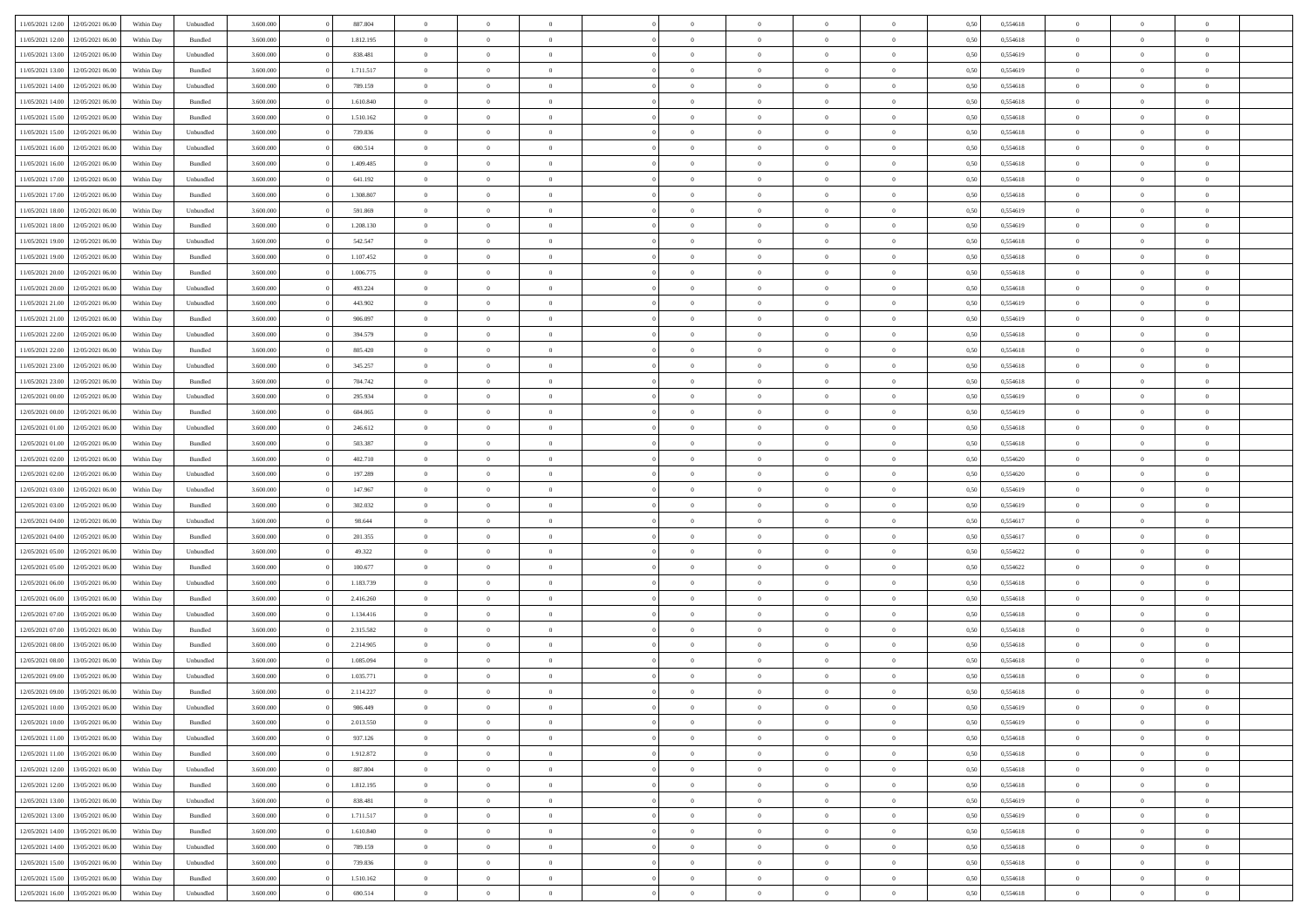| 11/05/2021 12:00 | 12/05/2021 06:00                  | Within Day | Unbundled | 3.600.000 | 887.804   | $\overline{0}$ | $\Omega$       |                | $\Omega$       | $\Omega$       | $\theta$       | $\theta$       | 0,50 | 0,554618 | $\theta$       | $\theta$       | $\theta$       |  |
|------------------|-----------------------------------|------------|-----------|-----------|-----------|----------------|----------------|----------------|----------------|----------------|----------------|----------------|------|----------|----------------|----------------|----------------|--|
|                  |                                   |            |           |           |           |                |                |                |                |                |                |                |      |          |                |                |                |  |
| 11/05/2021 12:00 | 12/05/2021 06:00                  | Within Day | Bundled   | 3.600.000 | 1.812.195 | $\overline{0}$ | $\theta$       | $\overline{0}$ | $\overline{0}$ | $\bf{0}$       | $\overline{0}$ | $\bf{0}$       | 0,50 | 0,554618 | $\theta$       | $\theta$       | $\overline{0}$ |  |
| 11/05/2021 13:00 | 12/05/2021 06:00                  | Within Day | Unbundled | 3.600.000 | 838.481   | $\overline{0}$ | $\overline{0}$ | $\overline{0}$ | $\overline{0}$ | $\bf{0}$       | $\overline{0}$ | $\bf{0}$       | 0,50 | 0,554619 | $\overline{0}$ | $\overline{0}$ | $\overline{0}$ |  |
| 11/05/2021 13:00 | 12/05/2021 06:00                  | Within Dav | Bundled   | 3.600,000 | 1.711.517 | $\overline{0}$ | $\overline{0}$ | $\overline{0}$ | $\overline{0}$ | $\bf{0}$       | $\overline{0}$ | $\overline{0}$ | 0.50 | 0.554619 | $\theta$       | $\theta$       | $\overline{0}$ |  |
|                  |                                   |            |           |           |           |                |                |                |                |                |                |                |      |          |                |                |                |  |
| 11/05/2021 14:00 | 12/05/2021 06:00                  | Within Day | Unbundled | 3.600.000 | 789.159   | $\overline{0}$ | $\theta$       | $\overline{0}$ | $\overline{0}$ | $\bf{0}$       | $\overline{0}$ | $\bf{0}$       | 0,50 | 0,554618 | $\theta$       | $\overline{0}$ | $\overline{0}$ |  |
| 11/05/2021 14:00 | 12/05/2021 06:00                  | Within Day | Bundled   | 3.600.000 | 1.610.840 | $\overline{0}$ | $\bf{0}$       | $\overline{0}$ | $\overline{0}$ | $\overline{0}$ | $\overline{0}$ | $\mathbf{0}$   | 0,50 | 0,554618 | $\overline{0}$ | $\overline{0}$ | $\bf{0}$       |  |
| 11/05/2021 15:00 | 12/05/2021 06:00                  | Within Dav | Bundled   | 3.600.000 | 1.510.162 | $\overline{0}$ | $\overline{0}$ | $\overline{0}$ | $\overline{0}$ | $\overline{0}$ | $\overline{0}$ | $\overline{0}$ | 0.50 | 0,554618 | $\theta$       | $\overline{0}$ | $\overline{0}$ |  |
| 11/05/2021 15:00 | 12/05/2021 06:00                  | Within Day | Unbundled | 3.600.000 | 739.836   | $\overline{0}$ | $\theta$       | $\overline{0}$ | $\overline{0}$ | $\bf{0}$       | $\overline{0}$ | $\bf{0}$       | 0,50 | 0,554618 | $\theta$       | $\theta$       | $\overline{0}$ |  |
| 11/05/2021 16:00 | 12/05/2021 06:00                  | Within Day | Unbundled | 3.600.000 | 690.514   | $\overline{0}$ | $\overline{0}$ | $\overline{0}$ | $\overline{0}$ | $\bf{0}$       | $\overline{0}$ | $\bf{0}$       | 0,50 | 0,554618 | $\,0\,$        | $\overline{0}$ | $\overline{0}$ |  |
|                  |                                   |            |           |           |           |                |                |                |                |                |                |                |      |          |                |                |                |  |
| 11/05/2021 16:00 | 12/05/2021 06:00                  | Within Dav | Bundled   | 3.600.000 | 1.409.485 | $\overline{0}$ | $\overline{0}$ | $\overline{0}$ | $\overline{0}$ | $\overline{0}$ | $\overline{0}$ | $\overline{0}$ | 0.50 | 0.554618 | $\theta$       | $\overline{0}$ | $\overline{0}$ |  |
| 11/05/2021 17:00 | 12/05/2021 06:00                  | Within Day | Unbundled | 3.600.000 | 641.192   | $\overline{0}$ | $\theta$       | $\overline{0}$ | $\overline{0}$ | $\bf{0}$       | $\overline{0}$ | $\bf{0}$       | 0,50 | 0,554618 | $\,$ 0 $\,$    | $\overline{0}$ | $\overline{0}$ |  |
| 11/05/2021 17:00 | 12/05/2021 06:00                  | Within Day | Bundled   | 3.600.000 | 1.308.807 | $\overline{0}$ | $\overline{0}$ | $\overline{0}$ | $\overline{0}$ | $\bf{0}$       | $\overline{0}$ | $\bf{0}$       | 0,50 | 0,554618 | $\overline{0}$ | $\overline{0}$ | $\overline{0}$ |  |
| 11/05/2021 18:00 | 12/05/2021 06:00                  | Within Day | Unbundled | 3.600.000 | 591.869   | $\overline{0}$ | $\overline{0}$ | $\overline{0}$ | $\overline{0}$ | $\bf{0}$       | $\overline{0}$ | $\overline{0}$ | 0.50 | 0.554619 | $\theta$       | $\theta$       | $\overline{0}$ |  |
| 11/05/2021 18:00 | 12/05/2021 06:00                  | Within Day | Bundled   | 3.600.000 | 1.208.130 | $\overline{0}$ | $\theta$       | $\overline{0}$ | $\overline{0}$ | $\bf{0}$       | $\overline{0}$ | $\bf{0}$       | 0,50 | 0,554619 | $\theta$       | $\overline{0}$ | $\overline{0}$ |  |
|                  |                                   |            |           |           |           |                |                |                |                |                |                |                |      |          |                |                |                |  |
| 11/05/2021 19:00 | 12/05/2021 06:00                  | Within Day | Unbundled | 3.600.000 | 542.547   | $\overline{0}$ | $\overline{0}$ | $\overline{0}$ | $\overline{0}$ | $\overline{0}$ | $\overline{0}$ | $\mathbf{0}$   | 0,50 | 0,554618 | $\overline{0}$ | $\overline{0}$ | $\bf{0}$       |  |
| 11/05/2021 19:00 | 12/05/2021 06:00                  | Within Dav | Bundled   | 3.600.000 | 1.107.452 | $\overline{0}$ | $\overline{0}$ | $\overline{0}$ | $\overline{0}$ | $\overline{0}$ | $\overline{0}$ | $\overline{0}$ | 0.50 | 0.554618 | $\theta$       | $\overline{0}$ | $\overline{0}$ |  |
| 11/05/2021 20:00 | 12/05/2021 06:00                  | Within Day | Bundled   | 3.600.000 | 1.006.775 | $\overline{0}$ | $\theta$       | $\overline{0}$ | $\overline{0}$ | $\bf{0}$       | $\overline{0}$ | $\bf{0}$       | 0,50 | 0,554618 | $\theta$       | $\theta$       | $\overline{0}$ |  |
| 11/05/2021 20:00 | 12/05/2021 06:00                  | Within Day | Unbundled | 3.600.000 | 493.224   | $\overline{0}$ | $\overline{0}$ | $\overline{0}$ | $\overline{0}$ | $\bf{0}$       | $\overline{0}$ | $\bf{0}$       | 0,50 | 0,554618 | $\,0\,$        | $\overline{0}$ | $\overline{0}$ |  |
| 11/05/2021 21:00 | 12/05/2021 06:00                  | Within Day | Unbundled | 3.600.000 | 443.902   | $\overline{0}$ | $\overline{0}$ | $\overline{0}$ | $\overline{0}$ | $\overline{0}$ | $\overline{0}$ | $\overline{0}$ | 0.50 | 0,554619 | $\theta$       | $\overline{0}$ | $\overline{0}$ |  |
|                  |                                   |            |           |           |           |                |                |                |                |                |                |                |      |          |                |                |                |  |
| 11/05/2021 21:00 | 12/05/2021 06:00                  | Within Day | Bundled   | 3.600.000 | 906.097   | $\overline{0}$ | $\theta$       | $\overline{0}$ | $\overline{0}$ | $\bf{0}$       | $\overline{0}$ | $\bf{0}$       | 0,50 | 0,554619 | $\,$ 0 $\,$    | $\theta$       | $\overline{0}$ |  |
| 11/05/2021 22.00 | 12/05/2021 06:00                  | Within Day | Unbundled | 3.600.000 | 394.579   | $\overline{0}$ | $\overline{0}$ | $\overline{0}$ | $\bf{0}$       | $\bf{0}$       | $\bf{0}$       | $\bf{0}$       | 0,50 | 0,554618 | $\bf{0}$       | $\overline{0}$ | $\overline{0}$ |  |
| 11/05/2021 22:00 | 12/05/2021 06:00                  | Within Day | Bundled   | 3.600,000 | 805.420   | $\overline{0}$ | $\overline{0}$ | $\overline{0}$ | $\overline{0}$ | $\bf{0}$       | $\overline{0}$ | $\overline{0}$ | 0.50 | 0.554618 | $\theta$       | $\overline{0}$ | $\overline{0}$ |  |
| 11/05/2021 23:00 | 12/05/2021 06:00                  | Within Day | Unbundled | 3.600.000 | 345.257   | $\overline{0}$ | $\theta$       | $\overline{0}$ | $\overline{0}$ | $\bf{0}$       | $\overline{0}$ | $\bf{0}$       | 0,50 | 0,554618 | $\,$ 0 $\,$    | $\overline{0}$ | $\overline{0}$ |  |
|                  |                                   |            |           |           |           |                |                |                |                |                |                |                |      |          |                |                |                |  |
| 11/05/2021 23:00 | 12/05/2021 06:00                  | Within Day | Bundled   | 3.600.000 | 704.742   | $\overline{0}$ | $\bf{0}$       | $\overline{0}$ | $\bf{0}$       | $\overline{0}$ | $\overline{0}$ | $\mathbf{0}$   | 0,50 | 0,554618 | $\overline{0}$ | $\overline{0}$ | $\bf{0}$       |  |
| 12/05/2021 00:00 | 12/05/2021 06:00                  | Within Dav | Unbundled | 3.600.000 | 295.934   | $\overline{0}$ | $\overline{0}$ | $\overline{0}$ | $\overline{0}$ | $\overline{0}$ | $\overline{0}$ | $\overline{0}$ | 0.50 | 0,554619 | $\theta$       | $\overline{0}$ | $\overline{0}$ |  |
| 12/05/2021 00:00 | 12/05/2021 06:00                  | Within Day | Bundled   | 3.600.000 | 604.065   | $\overline{0}$ | $\theta$       | $\overline{0}$ | $\overline{0}$ | $\bf{0}$       | $\overline{0}$ | $\bf{0}$       | 0,50 | 0,554619 | $\theta$       | $\theta$       | $\overline{0}$ |  |
| 12/05/2021 01:00 | 12/05/2021 06:00                  | Within Day | Unbundled | 3.600.000 | 246.612   | $\overline{0}$ | $\overline{0}$ | $\overline{0}$ | $\bf{0}$       | $\bf{0}$       | $\bf{0}$       | $\bf{0}$       | 0,50 | 0,554618 | $\,0\,$        | $\overline{0}$ | $\overline{0}$ |  |
| 12/05/2021 01:00 | 12/05/2021 06:00                  | Within Day | Bundled   | 3.600.000 | 503.387   | $\overline{0}$ | $\overline{0}$ | $\overline{0}$ | $\overline{0}$ | $\overline{0}$ | $\overline{0}$ | $\overline{0}$ | 0.50 | 0.554618 | $\theta$       | $\overline{0}$ | $\overline{0}$ |  |
|                  |                                   |            |           |           |           | $\overline{0}$ |                |                |                |                |                |                |      |          |                |                |                |  |
| 12/05/2021 02:00 | 12/05/2021 06:00                  | Within Day | Bundled   | 3.600.000 | 402.710   |                | $\theta$       | $\overline{0}$ | $\overline{0}$ | $\bf{0}$       | $\overline{0}$ | $\bf{0}$       | 0,50 | 0,554620 | $\,$ 0 $\,$    | $\overline{0}$ | $\overline{0}$ |  |
| 12/05/2021 02:00 | 12/05/2021 06:00                  | Within Day | Unbundled | 3.600.000 | 197.289   | $\overline{0}$ | $\overline{0}$ | $\overline{0}$ | $\bf{0}$       | $\bf{0}$       | $\bf{0}$       | $\bf{0}$       | 0,50 | 0,554620 | $\overline{0}$ | $\overline{0}$ | $\overline{0}$ |  |
| 12/05/2021 03:00 | 12/05/2021 06:00                  | Within Day | Unbundled | 3.600.000 | 147.967   | $\overline{0}$ | $\Omega$       | $\Omega$       | $\Omega$       | $\Omega$       | $\Omega$       | $\overline{0}$ | 0,50 | 0,554619 | $\,0\,$        | $\theta$       | $\theta$       |  |
| 12/05/2021 03:00 | 12/05/2021 06:00                  | Within Day | Bundled   | 3.600.000 | 302.032   | $\overline{0}$ | $\theta$       | $\overline{0}$ | $\overline{0}$ | $\bf{0}$       | $\overline{0}$ | $\bf{0}$       | 0,50 | 0,554619 | $\theta$       | $\overline{0}$ | $\overline{0}$ |  |
| 12/05/2021 04:00 | 12/05/2021 06:00                  | Within Day | Unbundled | 3.600.000 | 98.644    | $\overline{0}$ | $\overline{0}$ | $\overline{0}$ | $\bf{0}$       | $\bf{0}$       | $\overline{0}$ | $\mathbf{0}$   | 0,50 | 0,554617 | $\overline{0}$ | $\overline{0}$ | $\bf{0}$       |  |
|                  |                                   |            |           |           |           |                | $\Omega$       |                |                |                |                |                |      |          |                |                | $\theta$       |  |
| 12/05/2021 04:00 | 12/05/2021 06:00                  | Within Day | Bundled   | 3.600,000 | 201.355   | $\overline{0}$ |                | $\Omega$       | $\Omega$       | $\bf{0}$       | $\overline{0}$ | $\overline{0}$ | 0.50 | 0.554617 | $\theta$       | $\theta$       |                |  |
| 12/05/2021 05:00 | 12/05/2021 06:00                  | Within Day | Unbundled | 3.600.000 | 49.322    | $\overline{0}$ | $\theta$       | $\overline{0}$ | $\overline{0}$ | $\bf{0}$       | $\overline{0}$ | $\bf{0}$       | 0,50 | 0,554622 | $\,$ 0 $\,$    | $\theta$       | $\overline{0}$ |  |
| 12/05/2021 05:00 | 12/05/2021 06:00                  | Within Day | Bundled   | 3.600.000 | 100.677   | $\overline{0}$ | $\overline{0}$ | $\overline{0}$ | $\bf{0}$       | $\bf{0}$       | $\bf{0}$       | $\bf{0}$       | 0,50 | 0,554622 | $\bf{0}$       | $\overline{0}$ | $\overline{0}$ |  |
| 12/05/2021 06:00 | 13/05/2021 06:00                  | Within Day | Unbundled | 3.600,000 | 1.183.739 | $\overline{0}$ | $\Omega$       | $\Omega$       | $\Omega$       | $\theta$       | $\theta$       | $\overline{0}$ | 0.50 | 0.554618 | $\theta$       | $\theta$       | $\theta$       |  |
| 12/05/2021 06:00 | 13/05/2021 06:00                  | Within Day | Bundled   | 3.600.000 | 2.416.260 | $\overline{0}$ | $\theta$       | $\overline{0}$ | $\overline{0}$ | $\bf{0}$       | $\overline{0}$ | $\bf{0}$       | 0,50 | 0,554618 | $\,$ 0 $\,$    | $\overline{0}$ | $\overline{0}$ |  |
|                  |                                   |            |           |           |           |                |                |                |                |                |                |                |      |          |                |                |                |  |
| 12/05/2021 07:00 | 13/05/2021 06:00                  | Within Day | Unbundled | 3.600.000 | 1.134.416 | $\overline{0}$ | $\overline{0}$ | $\overline{0}$ | $\bf{0}$       | $\bf{0}$       | $\bf{0}$       | $\bf{0}$       | 0,50 | 0,554618 | $\overline{0}$ | $\overline{0}$ | $\overline{0}$ |  |
| 12/05/2021 07:00 | 13/05/2021 06:00                  | Within Day | Bundled   | 3.600.000 | 2.315.582 | $\overline{0}$ | $\Omega$       | $\overline{0}$ | $\Omega$       | $\Omega$       | $\overline{0}$ | $\overline{0}$ | 0,50 | 0,554618 | $\,0\,$        | $\theta$       | $\theta$       |  |
| 12/05/2021 08:00 | 13/05/2021 06:00                  | Within Day | Bundled   | 3.600.000 | 2.214.905 | $\overline{0}$ | $\theta$       | $\overline{0}$ | $\overline{0}$ | $\bf{0}$       | $\overline{0}$ | $\bf{0}$       | 0,50 | 0,554618 | $\,$ 0 $\,$    | $\overline{0}$ | $\overline{0}$ |  |
| 12/05/2021 08:00 | 13/05/2021 06:00                  | Within Day | Unbundled | 3.600.000 | 1.085.094 | $\overline{0}$ | $\overline{0}$ | $\overline{0}$ | $\overline{0}$ | $\bf{0}$       | $\overline{0}$ | $\mathbf{0}$   | 0,50 | 0,554618 | $\overline{0}$ | $\overline{0}$ | $\bf{0}$       |  |
| 12/05/2021 09:00 | 13/05/2021 06:00                  | Within Day | Unbundled | 3.600,000 | 1.035.771 | $\overline{0}$ | $\Omega$       | $\Omega$       | $\Omega$       | $\Omega$       | $\Omega$       | $\overline{0}$ | 0.50 | 0.554618 | $\theta$       | $\theta$       | $\theta$       |  |
| 12/05/2021 09:00 | 13/05/2021 06:00                  | Within Day | Bundled   | 3.600.000 | 2.114.227 | $\overline{0}$ | $\overline{0}$ | $\overline{0}$ | $\bf{0}$       | $\,$ 0         | $\overline{0}$ | $\bf{0}$       | 0,50 | 0,554618 | $\,0\,$        | $\overline{0}$ | $\overline{0}$ |  |
|                  |                                   |            |           |           |           |                |                |                |                |                |                |                |      |          |                |                |                |  |
| 12/05/2021 10:00 | 13/05/2021 06:00                  | Within Day | Unbundled | 3.600.000 | 986.449   | $\bf{0}$       | $\bf{0}$       |                |                | $\bf{0}$       |                |                | 0,50 | 0,554619 | $\bf{0}$       | $\overline{0}$ |                |  |
| 12/05/2021 10:00 | 13/05/2021 06:00                  | Within Day | Bundled   | 3.600.000 | 2.013.550 | $\overline{0}$ | $\overline{0}$ | $\overline{0}$ | $\Omega$       | $\overline{0}$ | $\overline{0}$ | $\overline{0}$ | 0.50 | 0.554619 | $\theta$       | $\theta$       | $\theta$       |  |
| 12/05/2021 11:00 | 13/05/2021 06:00                  | Within Day | Unbundled | 3.600.000 | 937.126   | $\overline{0}$ | $\,$ 0         | $\overline{0}$ | $\overline{0}$ | $\,$ 0 $\,$    | $\overline{0}$ | $\,$ 0 $\,$    | 0,50 | 0,554618 | $\,$ 0 $\,$    | $\,$ 0 $\,$    | $\,$ 0         |  |
| 12/05/2021 11:00 | 13/05/2021 06:00                  | Within Day | Bundled   | 3.600.000 | 1.912.872 | $\overline{0}$ | $\overline{0}$ | $\overline{0}$ | $\overline{0}$ | $\overline{0}$ | $\overline{0}$ | $\mathbf{0}$   | 0,50 | 0,554618 | $\overline{0}$ | $\bf{0}$       | $\overline{0}$ |  |
|                  |                                   |            |           |           | 887.804   |                | $\overline{0}$ | $\overline{0}$ | $\Omega$       | $\overline{0}$ | $\overline{0}$ |                |      |          | $\overline{0}$ | $\theta$       | $\overline{0}$ |  |
| 12/05/2021 12:00 | 13/05/2021 06:00                  | Within Day | Unbundled | 3.600.000 |           | $\overline{0}$ |                |                |                |                |                | $\overline{0}$ | 0,50 | 0,554618 |                |                |                |  |
| 12/05/2021 12:00 | 13/05/2021 06:00                  | Within Day | Bundled   | 3.600.000 | 1.812.195 | $\overline{0}$ | $\,$ 0         | $\overline{0}$ | $\overline{0}$ | $\,$ 0 $\,$    | $\overline{0}$ | $\mathbf{0}$   | 0,50 | 0,554618 | $\,$ 0 $\,$    | $\overline{0}$ | $\overline{0}$ |  |
| 12/05/2021 13:00 | 13/05/2021 06:00                  | Within Day | Unbundled | 3.600.000 | 838.481   | $\overline{0}$ | $\overline{0}$ | $\overline{0}$ | $\overline{0}$ | $\overline{0}$ | $\overline{0}$ | $\mathbf{0}$   | 0,50 | 0,554619 | $\overline{0}$ | $\overline{0}$ | $\bf{0}$       |  |
| 12/05/2021 13:00 | 13/05/2021 06:00                  | Within Day | Bundled   | 3.600.000 | 1.711.517 | $\overline{0}$ | $\overline{0}$ | $\overline{0}$ | $\Omega$       | $\overline{0}$ | $\overline{0}$ | $\bf{0}$       | 0.50 | 0,554619 | $\overline{0}$ | $\theta$       | $\overline{0}$ |  |
| 12/05/2021 14:00 | 13/05/2021 06:00                  | Within Day | Bundled   | 3.600.000 | 1.610.840 | $\overline{0}$ | $\,$ 0         | $\overline{0}$ | $\overline{0}$ | $\bf{0}$       | $\overline{0}$ | $\bf{0}$       | 0,50 | 0,554618 | $\,$ 0 $\,$    | $\overline{0}$ | $\overline{0}$ |  |
|                  |                                   |            |           |           |           |                | $\bf{0}$       |                |                |                |                |                |      |          |                | $\overline{0}$ |                |  |
| 12/05/2021 14:00 | 13/05/2021 06:00                  | Within Day | Unbundled | 3.600.000 | 789.159   | $\overline{0}$ |                | $\overline{0}$ | $\overline{0}$ | $\overline{0}$ | $\overline{0}$ | $\mathbf{0}$   | 0,50 | 0,554618 | $\overline{0}$ |                | $\bf{0}$       |  |
| 12/05/2021 15:00 | 13/05/2021 06:00                  | Within Day | Unbundled | 3.600,000 | 739.836   | $\overline{0}$ | $\overline{0}$ | $\overline{0}$ | $\Omega$       | $\overline{0}$ | $\overline{0}$ | $\overline{0}$ | 0.50 | 0,554618 | $\overline{0}$ | $\overline{0}$ | $\overline{0}$ |  |
| 12/05/2021 15:00 | 13/05/2021 06:00                  | Within Day | Bundled   | 3.600.000 | 1.510.162 | $\overline{0}$ | $\bf{0}$       | $\overline{0}$ | $\bf{0}$       | $\bf{0}$       | $\overline{0}$ | $\mathbf{0}$   | 0,50 | 0,554618 | $\,$ 0 $\,$    | $\,$ 0 $\,$    | $\bf{0}$       |  |
|                  | 12/05/2021 16:00 13/05/2021 06:00 | Within Day | Unbundled | 3.600.000 | 690.514   | $\overline{0}$ | $\overline{0}$ | $\overline{0}$ | $\overline{0}$ | $\overline{0}$ | $\overline{0}$ | $\mathbf{0}$   | 0,50 | 0,554618 | $\overline{0}$ | $\bf{0}$       | $\overline{0}$ |  |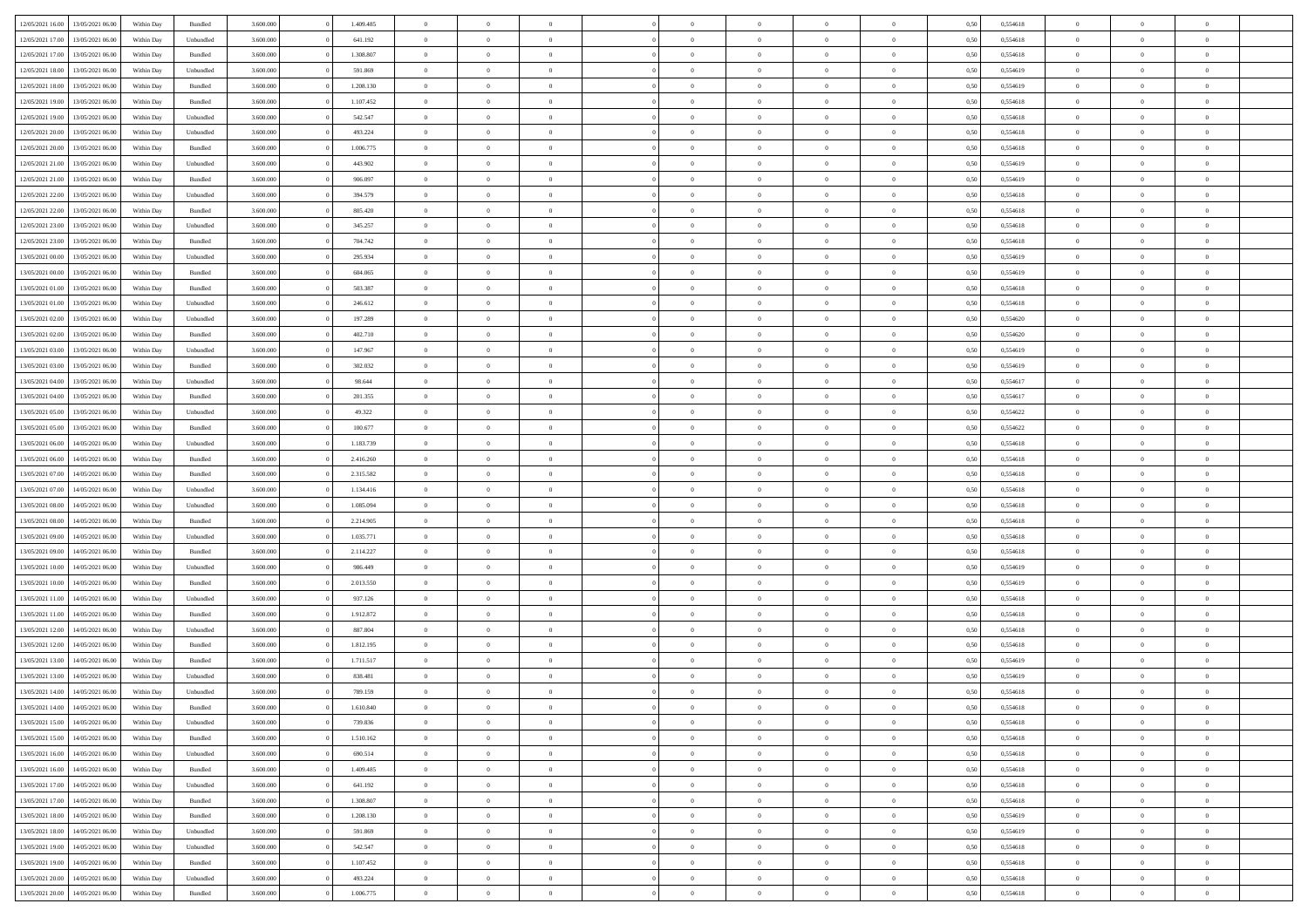|                  |                  |            |                    |           |           | $\overline{0}$ | $\Omega$       |                |                | $\Omega$       | $\Omega$       | $\theta$       |      |          | $\theta$       |                | $\theta$       |  |
|------------------|------------------|------------|--------------------|-----------|-----------|----------------|----------------|----------------|----------------|----------------|----------------|----------------|------|----------|----------------|----------------|----------------|--|
| 12/05/2021 16:00 | 13/05/2021 06:00 | Within Day | Bundled            | 3.600.000 | 1.409.485 |                |                |                | $\Omega$       |                |                |                | 0,50 | 0,554618 |                | $\theta$       |                |  |
| 12/05/2021 17:00 | 13/05/2021 06:00 | Within Day | Unbundled          | 3.600.000 | 641.192   | $\overline{0}$ | $\theta$       | $\overline{0}$ | $\overline{0}$ | $\bf{0}$       | $\overline{0}$ | $\bf{0}$       | 0,50 | 0,554618 | $\theta$       | $\theta$       | $\overline{0}$ |  |
| 12/05/2021 17:00 | 13/05/2021 06:00 | Within Day | Bundled            | 3.600.000 | 1.308.807 | $\overline{0}$ | $\overline{0}$ | $\overline{0}$ | $\overline{0}$ | $\bf{0}$       | $\overline{0}$ | $\bf{0}$       | 0,50 | 0,554618 | $\overline{0}$ | $\overline{0}$ | $\overline{0}$ |  |
| 12/05/2021 18:00 | 13/05/2021 06:00 | Within Dav | Unbundled          | 3.600,000 | 591.869   | $\overline{0}$ | $\overline{0}$ | $\overline{0}$ | $\overline{0}$ | $\bf{0}$       | $\overline{0}$ | $\overline{0}$ | 0.50 | 0.554619 | $\theta$       | $\theta$       | $\overline{0}$ |  |
| 12/05/2021 18:00 | 13/05/2021 06:00 | Within Day | Bundled            | 3.600.000 | 1.208.130 | $\overline{0}$ | $\theta$       | $\overline{0}$ | $\overline{0}$ | $\bf{0}$       | $\overline{0}$ | $\bf{0}$       | 0,50 | 0,554619 | $\theta$       | $\theta$       | $\overline{0}$ |  |
|                  |                  |            |                    |           |           |                |                |                |                |                |                |                |      |          |                |                |                |  |
| 12/05/2021 19:00 | 13/05/2021 06:00 | Within Day | Bundled            | 3.600.000 | 1.107.452 | $\overline{0}$ | $\bf{0}$       | $\overline{0}$ | $\bf{0}$       | $\overline{0}$ | $\overline{0}$ | $\mathbf{0}$   | 0,50 | 0,554618 | $\bf{0}$       | $\overline{0}$ | $\bf{0}$       |  |
| 12/05/2021 19:00 | 13/05/2021 06:00 | Within Dav | Unbundled          | 3.600.000 | 542.547   | $\overline{0}$ | $\overline{0}$ | $\overline{0}$ | $\overline{0}$ | $\overline{0}$ | $\overline{0}$ | $\overline{0}$ | 0.50 | 0,554618 | $\theta$       | $\overline{0}$ | $\overline{0}$ |  |
| 12/05/2021 20:00 | 13/05/2021 06:00 | Within Day | Unbundled          | 3.600.000 | 493.224   | $\overline{0}$ | $\theta$       | $\overline{0}$ | $\overline{0}$ | $\bf{0}$       | $\overline{0}$ | $\bf{0}$       | 0,50 | 0,554618 | $\theta$       | $\theta$       | $\overline{0}$ |  |
| 12/05/2021 20:00 | 13/05/2021 06:00 | Within Day | Bundled            | 3.600.000 | 1.006.775 | $\overline{0}$ | $\overline{0}$ | $\overline{0}$ | $\bf{0}$       | $\bf{0}$       | $\bf{0}$       | $\bf{0}$       | 0,50 | 0,554618 | $\,0\,$        | $\overline{0}$ | $\overline{0}$ |  |
| 12/05/2021 21:00 | 13/05/2021 06:00 | Within Dav | Unbundled          | 3.600.000 | 443.902   | $\overline{0}$ | $\overline{0}$ | $\overline{0}$ | $\overline{0}$ | $\overline{0}$ | $\overline{0}$ | $\overline{0}$ | 0.50 | 0.554619 | $\theta$       | $\overline{0}$ | $\overline{0}$ |  |
| 12/05/2021 21:00 | 13/05/2021 06:00 | Within Day | Bundled            | 3.600.000 | 906.097   | $\overline{0}$ | $\theta$       | $\overline{0}$ | $\overline{0}$ | $\bf{0}$       | $\overline{0}$ | $\bf{0}$       | 0,50 | 0,554619 | $\,$ 0 $\,$    | $\overline{0}$ | $\overline{0}$ |  |
| 12/05/2021 22:00 | 13/05/2021 06:00 | Within Day | Unbundled          | 3.600.000 | 394.579   | $\overline{0}$ | $\overline{0}$ | $\overline{0}$ | $\bf{0}$       | $\bf{0}$       | $\bf{0}$       | $\mathbf{0}$   | 0,50 | 0,554618 | $\bf{0}$       | $\overline{0}$ | $\bf{0}$       |  |
|                  |                  |            |                    |           |           |                |                |                |                |                |                |                |      |          | $\theta$       |                |                |  |
| 12/05/2021 22:00 | 13/05/2021 06:00 | Within Day | Bundled            | 3.600.000 | 805.420   | $\overline{0}$ | $\overline{0}$ | $\overline{0}$ | $\overline{0}$ | $\bf{0}$       | $\overline{0}$ | $\overline{0}$ | 0.50 | 0.554618 |                | $\theta$       | $\overline{0}$ |  |
| 12/05/2021 23:00 | 13/05/2021 06:00 | Within Day | Unbundled          | 3.600.000 | 345.257   | $\overline{0}$ | $\theta$       | $\overline{0}$ | $\overline{0}$ | $\bf{0}$       | $\overline{0}$ | $\bf{0}$       | 0,50 | 0,554618 | $\theta$       | $\theta$       | $\overline{0}$ |  |
| 12/05/2021 23:00 | 13/05/2021 06:00 | Within Day | Bundled            | 3.600.000 | 704.742   | $\overline{0}$ | $\overline{0}$ | $\overline{0}$ | $\bf{0}$       | $\overline{0}$ | $\overline{0}$ | $\mathbf{0}$   | 0,50 | 0,554618 | $\bf{0}$       | $\overline{0}$ | $\bf{0}$       |  |
| 13/05/2021 00:00 | 13/05/2021 06:00 | Within Dav | Unbundled          | 3.600.000 | 295.934   | $\overline{0}$ | $\overline{0}$ | $\overline{0}$ | $\overline{0}$ | $\overline{0}$ | $\overline{0}$ | $\overline{0}$ | 0.50 | 0.554619 | $\theta$       | $\overline{0}$ | $\overline{0}$ |  |
| 13/05/2021 00:00 | 13/05/2021 06:00 | Within Day | Bundled            | 3.600.000 | 604.065   | $\overline{0}$ | $\theta$       | $\overline{0}$ | $\overline{0}$ | $\bf{0}$       | $\overline{0}$ | $\bf{0}$       | 0,50 | 0,554619 | $\theta$       | $\theta$       | $\overline{0}$ |  |
| 13/05/2021 01:00 | 13/05/2021 06:00 | Within Day | Bundled            | 3.600.000 | 503.387   | $\overline{0}$ | $\overline{0}$ | $\overline{0}$ | $\bf{0}$       | $\bf{0}$       | $\bf{0}$       | $\mathbf{0}$   | 0,50 | 0,554618 | $\,0\,$        | $\overline{0}$ | $\overline{0}$ |  |
| 13/05/2021 01:00 | 13/05/2021 06:00 | Within Day | Unbundled          | 3.600.000 | 246.612   | $\overline{0}$ | $\overline{0}$ | $\overline{0}$ | $\overline{0}$ | $\overline{0}$ | $\overline{0}$ | $\overline{0}$ | 0.50 | 0.554618 | $\theta$       | $\overline{0}$ | $\overline{0}$ |  |
|                  |                  |            |                    |           |           |                |                |                |                |                |                |                |      |          |                |                |                |  |
| 13/05/2021 02:00 | 13/05/2021 06:00 | Within Day | Unbundled          | 3.600.000 | 197.289   | $\overline{0}$ | $\theta$       | $\overline{0}$ | $\overline{0}$ | $\bf{0}$       | $\overline{0}$ | $\bf{0}$       | 0,50 | 0,554620 | $\,$ 0 $\,$    | $\theta$       | $\overline{0}$ |  |
| 13/05/2021 02:00 | 13/05/2021 06:00 | Within Day | Bundled            | 3.600.000 | 402.710   | $\overline{0}$ | $\overline{0}$ | $\overline{0}$ | $\bf{0}$       | $\bf{0}$       | $\bf{0}$       | $\bf{0}$       | 0,50 | 0,554620 | $\bf{0}$       | $\overline{0}$ | $\overline{0}$ |  |
| 13/05/2021 03:00 | 13/05/2021 06:00 | Within Day | Unbundled          | 3.600.000 | 147.967   | $\overline{0}$ | $\overline{0}$ | $\overline{0}$ | $\overline{0}$ | $\bf{0}$       | $\overline{0}$ | $\overline{0}$ | 0.50 | 0.554619 | $\theta$       | $\theta$       | $\overline{0}$ |  |
| 13/05/2021 03:00 | 13/05/2021 06:00 | Within Day | Bundled            | 3.600.000 | 302.032   | $\overline{0}$ | $\theta$       | $\overline{0}$ | $\overline{0}$ | $\bf{0}$       | $\overline{0}$ | $\bf{0}$       | 0,50 | 0,554619 | $\,$ 0 $\,$    | $\overline{0}$ | $\overline{0}$ |  |
| 13/05/2021 04:00 | 13/05/2021 06:00 | Within Day | Unbundled          | 3.600.000 | 98.644    | $\overline{0}$ | $\bf{0}$       | $\overline{0}$ | $\bf{0}$       | $\overline{0}$ | $\overline{0}$ | $\mathbf{0}$   | 0,50 | 0,554617 | $\bf{0}$       | $\overline{0}$ | $\bf{0}$       |  |
| 13/05/2021 04:00 | 13/05/2021 06:00 | Within Dav | Bundled            | 3.600.000 | 201.355   | $\overline{0}$ | $\overline{0}$ | $\overline{0}$ | $\overline{0}$ | $\overline{0}$ | $\overline{0}$ | $\overline{0}$ | 0.50 | 0,554617 | $\theta$       | $\overline{0}$ | $\overline{0}$ |  |
| 13/05/2021 05:00 | 13/05/2021 06:00 | Within Day | Unbundled          | 3.600.000 | 49.322    | $\overline{0}$ | $\theta$       | $\overline{0}$ | $\overline{0}$ | $\bf{0}$       | $\overline{0}$ | $\bf{0}$       | 0,50 | 0,554622 | $\theta$       | $\theta$       | $\overline{0}$ |  |
|                  |                  |            |                    |           |           |                |                |                |                |                |                |                |      |          |                |                |                |  |
| 13/05/2021 05:00 | 13/05/2021 06:00 | Within Day | Bundled            | 3.600.000 | 100.677   | $\overline{0}$ | $\overline{0}$ | $\overline{0}$ | $\overline{0}$ | $\bf{0}$       | $\overline{0}$ | $\bf{0}$       | 0,50 | 0,554622 | $\,0\,$        | $\overline{0}$ | $\overline{0}$ |  |
| 13/05/2021 06:00 | 14/05/2021 06:00 | Within Day | Unbundled          | 3.600.000 | 1.183.739 | $\overline{0}$ | $\overline{0}$ | $\overline{0}$ | $\overline{0}$ | $\overline{0}$ | $\overline{0}$ | $\overline{0}$ | 0.50 | 0.554618 | $\theta$       | $\overline{0}$ | $\overline{0}$ |  |
| 13/05/2021 06:00 | 14/05/2021 06:00 | Within Day | Bundled            | 3.600.000 | 2.416.260 | $\overline{0}$ | $\theta$       | $\overline{0}$ | $\overline{0}$ | $\bf{0}$       | $\overline{0}$ | $\bf{0}$       | 0,50 | 0,554618 | $\,$ 0 $\,$    | $\overline{0}$ | $\overline{0}$ |  |
| 13/05/2021 07:00 | 14/05/2021 06:00 | Within Day | Bundled            | 3.600.000 | 2.315.582 | $\overline{0}$ | $\overline{0}$ | $\overline{0}$ | $\overline{0}$ | $\bf{0}$       | $\overline{0}$ | $\bf{0}$       | 0,50 | 0,554618 | $\bf{0}$       | $\overline{0}$ | $\overline{0}$ |  |
| 13/05/2021 07:00 | 14/05/2021 06:00 | Within Day | Unbundled          | 3.600.000 | 1.134.416 | $\overline{0}$ | $\Omega$       | $\Omega$       | $\Omega$       | $\Omega$       | $\overline{0}$ | $\overline{0}$ | 0,50 | 0,554618 | $\,0\,$        | $\theta$       | $\theta$       |  |
| 13/05/2021 08:00 | 14/05/2021 06:00 | Within Day | Unbundled          | 3.600.000 | 1.085.094 | $\overline{0}$ | $\theta$       | $\overline{0}$ | $\overline{0}$ | $\bf{0}$       | $\overline{0}$ | $\bf{0}$       | 0,50 | 0,554618 | $\theta$       | $\theta$       | $\overline{0}$ |  |
|                  |                  |            |                    |           |           |                |                |                |                |                |                |                |      |          |                |                |                |  |
| 13/05/2021 08:00 | 14/05/2021 06:00 | Within Day | Bundled            | 3.600.000 | 2.214.905 | $\overline{0}$ | $\overline{0}$ | $\overline{0}$ | $\bf{0}$       | $\bf{0}$       | $\overline{0}$ | $\mathbf{0}$   | 0,50 | 0,554618 | $\bf{0}$       | $\overline{0}$ | $\bf{0}$       |  |
| 13/05/2021 09:00 | 14/05/2021 06:00 | Within Day | Unbundled          | 3.600,000 | 1.035.771 | $\overline{0}$ | $\Omega$       | $\Omega$       | $\Omega$       | $\bf{0}$       | $\overline{0}$ | $\overline{0}$ | 0.50 | 0.554618 | $\theta$       | $\theta$       | $\theta$       |  |
| 13/05/2021 09:00 | 14/05/2021 06:00 | Within Day | Bundled            | 3.600.000 | 2.114.227 | $\overline{0}$ | $\theta$       | $\overline{0}$ | $\overline{0}$ | $\bf{0}$       | $\overline{0}$ | $\bf{0}$       | 0,50 | 0,554618 | $\,$ 0 $\,$    | $\theta$       | $\overline{0}$ |  |
| 13/05/2021 10:00 | 14/05/2021 06:00 | Within Day | Unbundled          | 3.600.000 | 986.449   | $\overline{0}$ | $\overline{0}$ | $\overline{0}$ | $\bf{0}$       | $\bf{0}$       | $\bf{0}$       | $\bf{0}$       | 0,50 | 0,554619 | $\,0\,$        | $\overline{0}$ | $\overline{0}$ |  |
| 13/05/2021 10:00 | 14/05/2021 06:00 | Within Day | Bundled            | 3.600,000 | 2.013.550 | $\overline{0}$ | $\Omega$       | $\Omega$       | $\Omega$       | $\theta$       | $\overline{0}$ | $\overline{0}$ | 0.50 | 0.554619 | $\theta$       | $\theta$       | $\theta$       |  |
| 13/05/2021 11:00 | 14/05/2021 06:00 | Within Day | Unbundled          | 3.600.000 | 937.126   | $\overline{0}$ | $\theta$       | $\overline{0}$ | $\overline{0}$ | $\bf{0}$       | $\overline{0}$ | $\bf{0}$       | 0,50 | 0,554618 | $\,$ 0 $\,$    | $\overline{0}$ | $\overline{0}$ |  |
| 13/05/2021 11:00 | 14/05/2021 06:00 | Within Day | Bundled            | 3.600.000 | 1.912.872 | $\overline{0}$ | $\overline{0}$ | $\overline{0}$ | $\bf{0}$       | $\bf{0}$       | $\bf{0}$       | $\bf{0}$       | 0,50 | 0,554618 | $\bf{0}$       | $\overline{0}$ | $\overline{0}$ |  |
| 13/05/2021 12:00 | 14/05/2021 06:00 |            | Unbundled          | 3.600.000 | 887.804   | $\overline{0}$ | $\Omega$       | $\overline{0}$ | $\Omega$       | $\overline{0}$ | $\overline{0}$ | $\overline{0}$ | 0,50 | 0,554618 | $\,0\,$        | $\theta$       | $\theta$       |  |
|                  |                  | Within Day |                    |           |           |                |                |                |                |                |                |                |      |          |                |                |                |  |
| 13/05/2021 12:00 | 14/05/2021 06:00 | Within Day | Bundled            | 3.600.000 | 1.812.195 | $\overline{0}$ | $\theta$       | $\overline{0}$ | $\overline{0}$ | $\bf{0}$       | $\overline{0}$ | $\bf{0}$       | 0,50 | 0,554618 | $\,$ 0 $\,$    | $\overline{0}$ | $\overline{0}$ |  |
| 13/05/2021 13:00 | 14/05/2021 06:00 | Within Day | Bundled            | 3.600.000 | 1.711.517 | $\overline{0}$ | $\overline{0}$ | $\overline{0}$ | $\bf{0}$       | $\bf{0}$       | $\bf{0}$       | $\mathbf{0}$   | 0,50 | 0,554619 | $\bf{0}$       | $\overline{0}$ | $\bf{0}$       |  |
| 13/05/2021 13:00 | 14/05/2021 06:00 | Within Day | Unbundled          | 3.600,000 | 838,481   | $\overline{0}$ | $\Omega$       | $\Omega$       | $\Omega$       | $\Omega$       | $\Omega$       | $\overline{0}$ | 0.50 | 0.554619 | $\theta$       | $\theta$       | $\theta$       |  |
| 13/05/2021 14:00 | 14/05/2021 06:00 | Within Day | Unbundled          | 3.600.000 | 789.159   | $\overline{0}$ | $\overline{0}$ | $\overline{0}$ | $\bf{0}$       | $\,$ 0         | $\bf{0}$       | $\bf{0}$       | 0,50 | 0,554618 | $\,0\,$        | $\overline{0}$ | $\overline{0}$ |  |
| 13/05/2021 14:00 | 14/05/2021 06:00 | Within Day | Bundled            | 3.600.000 | 1.610.840 | $\bf{0}$       | $\bf{0}$       |                |                |                |                |                | 0,50 | 0,554618 | $\bf{0}$       | $\overline{0}$ |                |  |
| 13/05/2021 15:00 | 14/05/2021 06:00 | Within Day | Unbundled          | 3.600,000 | 739.836   | $\overline{0}$ | $\overline{0}$ | $\overline{0}$ | $\Omega$       | $\overline{0}$ | $\overline{0}$ | $\overline{0}$ | 0.50 | 0.554618 | $\theta$       | $\theta$       | $\theta$       |  |
| 13/05/2021 15:00 | 14/05/2021 06:00 | Within Day | Bundled            | 3.600.000 | 1.510.162 | $\overline{0}$ | $\,$ 0         | $\overline{0}$ | $\bf{0}$       | $\,$ 0 $\,$    | $\overline{0}$ | $\,$ 0 $\,$    | 0,50 | 0,554618 | $\,$ 0 $\,$    | $\,$ 0 $\,$    | $\,$ 0         |  |
|                  |                  |            |                    |           |           |                |                |                |                |                |                |                |      |          |                |                |                |  |
| 13/05/2021 16:00 | 14/05/2021 06:00 | Within Day | Unbundled          | 3.600.000 | 690.514   | $\overline{0}$ | $\overline{0}$ | $\overline{0}$ | $\overline{0}$ | $\overline{0}$ | $\overline{0}$ | $\mathbf{0}$   | 0,50 | 0,554618 | $\overline{0}$ | $\bf{0}$       | $\overline{0}$ |  |
| 13/05/2021 16:00 | 14/05/2021 06:00 | Within Day | $\mathbf B$ undled | 3.600.000 | 1.409.485 | $\overline{0}$ | $\overline{0}$ | $\overline{0}$ | $\Omega$       | $\overline{0}$ | $\overline{0}$ | $\overline{0}$ | 0,50 | 0,554618 | $\overline{0}$ | $\theta$       | $\overline{0}$ |  |
| 13/05/2021 17:00 | 14/05/2021 06:00 | Within Day | Unbundled          | 3.600.000 | 641.192   | $\overline{0}$ | $\,$ 0         | $\overline{0}$ | $\overline{0}$ | $\,$ 0 $\,$    | $\overline{0}$ | $\mathbf{0}$   | 0,50 | 0,554618 | $\,$ 0 $\,$    | $\overline{0}$ | $\overline{0}$ |  |
| 13/05/2021 17:00 | 14/05/2021 06:00 | Within Day | Bundled            | 3.600.000 | 1.308.807 | $\overline{0}$ | $\overline{0}$ | $\overline{0}$ | $\overline{0}$ | $\overline{0}$ | $\overline{0}$ | $\mathbf{0}$   | 0,50 | 0,554618 | $\overline{0}$ | $\overline{0}$ | $\bf{0}$       |  |
| 13/05/2021 18:00 | 14/05/2021 06:00 | Within Day | Bundled            | 3.600,000 | 1.208.130 | $\overline{0}$ | $\overline{0}$ | $\overline{0}$ | $\overline{0}$ | $\overline{0}$ | $\overline{0}$ | $\bf{0}$       | 0.50 | 0,554619 | $\overline{0}$ | $\theta$       | $\overline{0}$ |  |
| 13/05/2021 18:00 | 14/05/2021 06:00 | Within Day | Unbundled          | 3.600.000 | 591.869   | $\overline{0}$ | $\,$ 0         | $\overline{0}$ | $\bf{0}$       | $\bf{0}$       | $\bf{0}$       | $\bf{0}$       | 0,50 | 0,554619 | $\,$ 0 $\,$    | $\overline{0}$ | $\overline{0}$ |  |
| 13/05/2021 19:00 | 14/05/2021 06:00 | Within Day | Unbundled          | 3.600.000 | 542.547   | $\overline{0}$ | $\bf{0}$       | $\overline{0}$ | $\overline{0}$ | $\overline{0}$ | $\overline{0}$ | $\mathbf{0}$   | 0,50 | 0,554618 | $\overline{0}$ | $\overline{0}$ | $\bf{0}$       |  |
|                  |                  |            |                    |           |           |                |                |                |                |                |                |                |      |          |                |                |                |  |
| 13/05/2021 19:00 | 14/05/2021 06:00 | Within Day | Bundled            | 3.600,000 | 1.107.452 | $\overline{0}$ | $\overline{0}$ | $\overline{0}$ | $\Omega$       | $\overline{0}$ | $\overline{0}$ | $\overline{0}$ | 0.50 | 0,554618 | $\overline{0}$ | $\overline{0}$ | $\overline{0}$ |  |
| 13/05/2021 20:00 | 14/05/2021 06:00 | Within Day | Unbundled          | 3.600.000 | 493.224   | $\overline{0}$ | $\bf{0}$       | $\overline{0}$ | $\overline{0}$ | $\bf{0}$       | $\bf{0}$       | $\bf{0}$       | 0,50 | 0,554618 | $\,$ 0 $\,$    | $\,$ 0 $\,$    | $\bf{0}$       |  |
| 13/05/2021 20:00 | 14/05/2021 06:00 | Within Day | Bundled            | 3.600.000 | 1.006.775 | $\overline{0}$ | $\bf{0}$       | $\overline{0}$ | $\bf{0}$       | $\bf{0}$       | $\bf{0}$       | $\bf{0}$       | 0,50 | 0,554618 | $\overline{0}$ | $\overline{0}$ | $\bf{0}$       |  |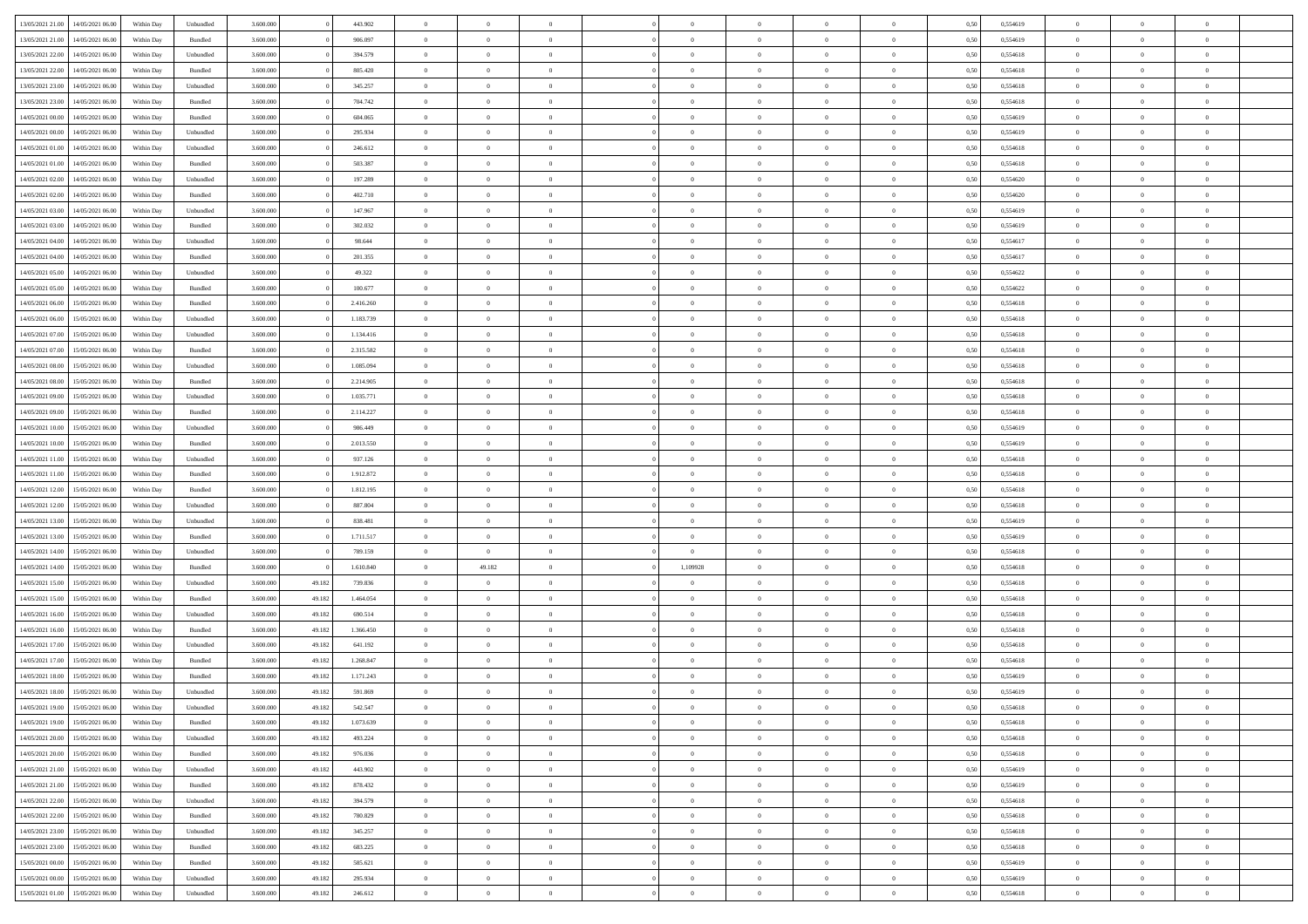| 13/05/2021 21:00                  | 14/05/2021 06:00 | Within Dav | Unbundled | 3.600.000 |        | 443.902   | $\overline{0}$ | $\Omega$       |                | $\Omega$       | $\Omega$       | $\Omega$       | $\theta$       | 0,50 | 0,554619 | $\theta$       | $\theta$       | $\theta$       |  |
|-----------------------------------|------------------|------------|-----------|-----------|--------|-----------|----------------|----------------|----------------|----------------|----------------|----------------|----------------|------|----------|----------------|----------------|----------------|--|
|                                   |                  |            |           |           |        |           |                |                |                |                |                |                |                |      |          |                |                |                |  |
| 13/05/2021 21:00                  | 14/05/2021 06:00 | Within Day | Bundled   | 3.600.000 |        | 906.097   | $\overline{0}$ | $\theta$       | $\overline{0}$ | $\overline{0}$ | $\bf{0}$       | $\overline{0}$ | $\bf{0}$       | 0,50 | 0,554619 | $\theta$       | $\theta$       | $\overline{0}$ |  |
| 13/05/2021 22:00                  | 14/05/2021 06:00 | Within Day | Unbundled | 3.600.000 |        | 394.579   | $\overline{0}$ | $\overline{0}$ | $\overline{0}$ | $\bf{0}$       | $\bf{0}$       | $\bf{0}$       | $\bf{0}$       | 0,50 | 0,554618 | $\bf{0}$       | $\overline{0}$ | $\overline{0}$ |  |
| 13/05/2021 22:00                  | 14/05/2021 06:00 | Within Dav | Bundled   | 3.600,000 |        | 805.420   | $\overline{0}$ | $\overline{0}$ | $\overline{0}$ | $\overline{0}$ | $\bf{0}$       | $\overline{0}$ | $\overline{0}$ | 0.50 | 0.554618 | $\theta$       | $\theta$       | $\overline{0}$ |  |
|                                   |                  |            |           |           |        |           |                |                |                |                |                |                |                |      |          |                |                |                |  |
| 13/05/2021 23:00                  | 14/05/2021 06:00 | Within Day | Unbundled | 3.600.000 |        | 345.257   | $\overline{0}$ | $\theta$       | $\overline{0}$ | $\overline{0}$ | $\bf{0}$       | $\overline{0}$ | $\bf{0}$       | 0,50 | 0,554618 | $\theta$       | $\theta$       | $\overline{0}$ |  |
| 13/05/2021 23:00                  | 14/05/2021 06:00 | Within Day | Bundled   | 3.600.000 |        | 704.742   | $\overline{0}$ | $\bf{0}$       | $\overline{0}$ | $\bf{0}$       | $\overline{0}$ | $\overline{0}$ | $\mathbf{0}$   | 0,50 | 0,554618 | $\bf{0}$       | $\overline{0}$ | $\bf{0}$       |  |
| 14/05/2021 00:00                  | 14/05/2021 06:00 | Within Dav | Bundled   | 3.600.000 |        | 604.065   | $\overline{0}$ | $\overline{0}$ | $\overline{0}$ | $\overline{0}$ | $\overline{0}$ | $\overline{0}$ | $\overline{0}$ | 0.50 | 0,554619 | $\theta$       | $\overline{0}$ | $\overline{0}$ |  |
| 14/05/2021 00:00                  | 14/05/2021 06:00 | Within Day | Unbundled | 3.600.000 |        | 295.934   | $\overline{0}$ | $\theta$       | $\overline{0}$ | $\overline{0}$ | $\bf{0}$       | $\overline{0}$ | $\bf{0}$       | 0,50 | 0,554619 | $\theta$       | $\theta$       | $\overline{0}$ |  |
|                                   |                  |            |           |           |        |           |                | $\overline{0}$ |                |                | $\bf{0}$       |                |                |      |          | $\,0\,$        | $\overline{0}$ | $\overline{0}$ |  |
| 14/05/2021 01:00                  | 14/05/2021 06:00 | Within Day | Unbundled | 3.600.000 |        | 246.612   | $\overline{0}$ |                | $\overline{0}$ | $\overline{0}$ |                | $\overline{0}$ | $\bf{0}$       | 0,50 | 0,554618 |                |                |                |  |
| 14/05/2021 01:00                  | 14/05/2021 06:00 | Within Dav | Bundled   | 3.600.000 |        | 503.387   | $\overline{0}$ | $\overline{0}$ | $\overline{0}$ | $\overline{0}$ | $\overline{0}$ | $\overline{0}$ | $\overline{0}$ | 0.50 | 0.554618 | $\theta$       | $\overline{0}$ | $\overline{0}$ |  |
| 14/05/2021 02:00                  | 14/05/2021 06:00 | Within Day | Unbundled | 3.600.000 |        | 197.289   | $\overline{0}$ | $\theta$       | $\overline{0}$ | $\overline{0}$ | $\bf{0}$       | $\overline{0}$ | $\bf{0}$       | 0,50 | 0,554620 | $\,$ 0 $\,$    | $\overline{0}$ | $\overline{0}$ |  |
| 14/05/2021 02:00                  | 14/05/2021 06:00 | Within Day | Bundled   | 3.600.000 |        | 402.710   | $\overline{0}$ | $\overline{0}$ | $\overline{0}$ | $\overline{0}$ | $\bf{0}$       | $\overline{0}$ | $\bf{0}$       | 0,50 | 0,554620 | $\bf{0}$       | $\overline{0}$ | $\overline{0}$ |  |
| 14/05/2021 03:00                  | 14/05/2021 06:00 | Within Day | Unbundled | 3.600.000 |        | 147.967   | $\overline{0}$ | $\overline{0}$ | $\overline{0}$ | $\overline{0}$ | $\bf{0}$       | $\overline{0}$ | $\overline{0}$ | 0.50 | 0.554619 | $\theta$       | $\theta$       | $\overline{0}$ |  |
|                                   |                  |            |           |           |        |           | $\overline{0}$ | $\theta$       |                |                | $\bf{0}$       |                |                |      |          | $\theta$       | $\overline{0}$ |                |  |
| 14/05/2021 03:00                  | 14/05/2021 06:00 | Within Day | Bundled   | 3.600.000 |        | 302.032   |                |                | $\overline{0}$ | $\overline{0}$ |                | $\overline{0}$ | $\bf{0}$       | 0,50 | 0,554619 |                |                | $\overline{0}$ |  |
| 14/05/2021 04:00                  | 14/05/2021 06:00 | Within Day | Unbundled | 3.600.000 |        | 98.644    | $\overline{0}$ | $\overline{0}$ | $\overline{0}$ | $\overline{0}$ | $\overline{0}$ | $\overline{0}$ | $\mathbf{0}$   | 0,50 | 0,554617 | $\bf{0}$       | $\overline{0}$ | $\bf{0}$       |  |
| 14/05/2021 04:00                  | 14/05/2021 06:00 | Within Dav | Bundled   | 3.600.000 |        | 201.355   | $\overline{0}$ | $\overline{0}$ | $\overline{0}$ | $\overline{0}$ | $\overline{0}$ | $\overline{0}$ | $\overline{0}$ | 0.50 | 0,554617 | $\theta$       | $\overline{0}$ | $\overline{0}$ |  |
| 14/05/2021 05:00                  | 14/05/2021 06:00 | Within Day | Unbundled | 3.600.000 |        | 49.322    | $\overline{0}$ | $\theta$       | $\overline{0}$ | $\overline{0}$ | $\bf{0}$       | $\overline{0}$ | $\bf{0}$       | 0,50 | 0,554622 | $\theta$       | $\theta$       | $\overline{0}$ |  |
| 14/05/2021 05:00                  | 14/05/2021 06:00 | Within Day | Bundled   | 3.600.000 |        | 100.677   | $\overline{0}$ | $\overline{0}$ | $\overline{0}$ | $\overline{0}$ | $\bf{0}$       | $\overline{0}$ | $\bf{0}$       | 0,50 | 0,554622 | $\,0\,$        | $\overline{0}$ | $\overline{0}$ |  |
|                                   |                  |            |           |           |        |           |                |                |                |                |                |                |                |      |          |                |                |                |  |
| 14/05/2021 06:00                  | 15/05/2021 06:00 | Within Day | Bundled   | 3.600.000 |        | 2.416.260 | $\overline{0}$ | $\overline{0}$ | $\overline{0}$ | $\overline{0}$ | $\overline{0}$ | $\overline{0}$ | $\overline{0}$ | 0.50 | 0.554618 | $\theta$       | $\overline{0}$ | $\overline{0}$ |  |
| 14/05/2021 06:00                  | 15/05/2021 06:00 | Within Day | Unbundled | 3.600.000 |        | 1.183.739 | $\overline{0}$ | $\theta$       | $\overline{0}$ | $\overline{0}$ | $\bf{0}$       | $\overline{0}$ | $\bf{0}$       | 0,50 | 0,554618 | $\,$ 0 $\,$    | $\overline{0}$ | $\overline{0}$ |  |
| 14/05/2021 07:00                  | 15/05/2021 06:00 | Within Day | Unbundled | 3.600.000 |        | 1.134.416 | $\overline{0}$ | $\overline{0}$ | $\overline{0}$ | $\overline{0}$ | $\bf{0}$       | $\overline{0}$ | $\bf{0}$       | 0,50 | 0,554618 | $\bf{0}$       | $\overline{0}$ | $\overline{0}$ |  |
| 14/05/2021 07:00                  | 15/05/2021 06:00 | Within Day | Bundled   | 3.600,000 |        | 2.315.582 | $\overline{0}$ | $\overline{0}$ | $\overline{0}$ | $\overline{0}$ | $\bf{0}$       | $\overline{0}$ | $\overline{0}$ | 0.50 | 0.554618 | $\theta$       | $\theta$       | $\overline{0}$ |  |
|                                   |                  |            |           |           |        |           |                | $\theta$       |                |                |                |                |                |      |          | $\theta$       | $\overline{0}$ |                |  |
| 14/05/2021 08:00                  | 15/05/2021 06:00 | Within Day | Unbundled | 3.600.000 |        | 1.085.094 | $\overline{0}$ |                | $\overline{0}$ | $\overline{0}$ | $\bf{0}$       | $\overline{0}$ | $\bf{0}$       | 0,50 | 0,554618 |                |                | $\overline{0}$ |  |
| 14/05/2021 08:00                  | 15/05/2021 06:00 | Within Day | Bundled   | 3.600.000 |        | 2.214.905 | $\overline{0}$ | $\bf{0}$       | $\overline{0}$ | $\overline{0}$ | $\overline{0}$ | $\overline{0}$ | $\mathbf{0}$   | 0,50 | 0,554618 | $\bf{0}$       | $\overline{0}$ | $\bf{0}$       |  |
| 14/05/2021 09:00                  | 15/05/2021 06:00 | Within Dav | Unbundled | 3.600.000 |        | 1.035.771 | $\overline{0}$ | $\overline{0}$ | $\overline{0}$ | $\overline{0}$ | $\overline{0}$ | $\overline{0}$ | $\overline{0}$ | 0.50 | 0.554618 | $\theta$       | $\overline{0}$ | $\overline{0}$ |  |
| 14/05/2021 09:00                  | 15/05/2021 06:00 | Within Day | Bundled   | 3.600.000 |        | 2.114.227 | $\overline{0}$ | $\theta$       | $\overline{0}$ | $\overline{0}$ | $\bf{0}$       | $\overline{0}$ | $\bf{0}$       | 0,50 | 0,554618 | $\theta$       | $\theta$       | $\overline{0}$ |  |
| 14/05/2021 10:00                  | 15/05/2021 06:00 | Within Day | Unbundled | 3.600.000 |        | 986.449   | $\overline{0}$ | $\overline{0}$ | $\overline{0}$ | $\overline{0}$ | $\bf{0}$       | $\overline{0}$ | $\bf{0}$       | 0,50 | 0,554619 | $\,0\,$        | $\overline{0}$ | $\overline{0}$ |  |
|                                   |                  |            |           |           |        |           |                |                |                |                |                |                |                |      |          |                |                |                |  |
| 14/05/2021 10:00                  | 15/05/2021 06:00 | Within Day | Bundled   | 3.600.000 |        | 2.013.550 | $\overline{0}$ | $\overline{0}$ | $\overline{0}$ | $\overline{0}$ | $\overline{0}$ | $\overline{0}$ | $\overline{0}$ | 0.50 | 0.554619 | $\theta$       | $\overline{0}$ | $\overline{0}$ |  |
| 14/05/2021 11:00                  | 15/05/2021 06:00 | Within Day | Unbundled | 3.600.000 |        | 937.126   | $\overline{0}$ | $\theta$       | $\overline{0}$ | $\overline{0}$ | $\bf{0}$       | $\overline{0}$ | $\bf{0}$       | 0,50 | 0,554618 | $\,$ 0 $\,$    | $\overline{0}$ | $\overline{0}$ |  |
| 14/05/2021 11:00                  | 15/05/2021 06:00 | Within Day | Bundled   | 3.600.000 |        | 1.912.872 | $\overline{0}$ | $\overline{0}$ | $\overline{0}$ | $\bf{0}$       | $\bf{0}$       | $\bf{0}$       | $\bf{0}$       | 0,50 | 0,554618 | $\overline{0}$ | $\overline{0}$ | $\overline{0}$ |  |
| 14/05/2021 12:00                  | 15/05/2021 06:00 | Within Day | Bundled   | 3.600.000 |        | 1.812.195 | $\overline{0}$ | $\Omega$       | $\overline{0}$ | $\Omega$       | $\Omega$       | $\overline{0}$ | $\overline{0}$ | 0,50 | 0,554618 | $\,0\,$        | $\theta$       | $\theta$       |  |
| 14/05/2021 12:00                  | 15/05/2021 06:00 | Within Day | Unbundled | 3.600.000 |        | 887.804   | $\overline{0}$ | $\theta$       | $\overline{0}$ | $\overline{0}$ | $\bf{0}$       | $\overline{0}$ | $\bf{0}$       | 0,50 | 0,554618 | $\theta$       | $\theta$       | $\overline{0}$ |  |
|                                   |                  |            |           |           |        |           |                |                |                |                |                |                |                |      |          |                |                |                |  |
| 14/05/2021 13:00                  | 15/05/2021 06:00 | Within Day | Unbundled | 3.600.000 |        | 838.481   | $\overline{0}$ | $\overline{0}$ | $\overline{0}$ | $\bf{0}$       | $\bf{0}$       | $\overline{0}$ | $\mathbf{0}$   | 0,50 | 0,554619 | $\overline{0}$ | $\overline{0}$ | $\bf{0}$       |  |
| 14/05/2021 13:00                  | 15/05/2021 06:00 | Within Day | Bundled   | 3.600,000 |        | 1.711.517 | $\overline{0}$ | $\Omega$       | $\Omega$       | $\Omega$       | $\bf{0}$       | $\overline{0}$ | $\overline{0}$ | 0.50 | 0.554619 | $\theta$       | $\theta$       | $\theta$       |  |
| 14/05/2021 14:00                  | 15/05/2021 06:00 | Within Day | Unbundled | 3.600.000 |        | 789.159   | $\overline{0}$ | $\overline{0}$ | $\overline{0}$ | $\overline{0}$ | $\bf{0}$       | $\overline{0}$ | $\bf{0}$       | 0,50 | 0,554618 | $\,$ 0 $\,$    | $\theta$       | $\overline{0}$ |  |
| 14/05/2021 14:00                  | 15/05/2021 06:00 | Within Day | Bundled   | 3.600.000 |        | 1.610.840 | $\overline{0}$ | 49.182         | $\overline{0}$ | 1,109928       | $\bf{0}$       | $\bf{0}$       | $\bf{0}$       | 0,50 | 0,554618 | $\,0\,$        | $\overline{0}$ | $\overline{0}$ |  |
|                                   |                  |            |           |           |        |           |                |                |                |                |                |                |                |      |          |                |                |                |  |
| 14/05/2021 15:00                  | 15/05/2021 06:00 | Within Day | Unbundled | 3.600.000 | 49.182 | 739.836   | $\overline{0}$ | $\Omega$       | $\Omega$       | $\Omega$       | $\Omega$       | $\overline{0}$ | $\overline{0}$ | 0.50 | 0.554618 | $\theta$       | $\theta$       | $\theta$       |  |
| 14/05/2021 15:00                  | 15/05/2021 06:00 | Within Day | Bundled   | 3.600.000 | 49.182 | 1.464.054 | $\overline{0}$ | $\theta$       | $\overline{0}$ | $\overline{0}$ | $\bf{0}$       | $\overline{0}$ | $\bf{0}$       | 0,50 | 0,554618 | $\,$ 0 $\,$    | $\overline{0}$ | $\overline{0}$ |  |
| 14/05/2021 16:00                  | 15/05/2021 06:00 | Within Day | Unbundled | 3.600.000 | 49.182 | 690.514   | $\overline{0}$ | $\overline{0}$ | $\overline{0}$ | $\bf{0}$       | $\bf{0}$       | $\bf{0}$       | $\bf{0}$       | 0,50 | 0,554618 | $\bf{0}$       | $\overline{0}$ | $\overline{0}$ |  |
| 14/05/2021 16:00                  | 15/05/2021 06:00 | Within Day | Bundled   | 3.600.000 | 49.182 | 1.366.450 | $\overline{0}$ | $\Omega$       | $\overline{0}$ | $\Omega$       | $\overline{0}$ | $\overline{0}$ | $\overline{0}$ | 0,50 | 0,554618 | $\,0\,$        | $\theta$       | $\theta$       |  |
| 14/05/2021 17:00                  | 15/05/2021 06:00 | Within Day | Unbundled | 3.600.000 | 49.182 | 641.192   | $\overline{0}$ | $\theta$       | $\overline{0}$ | $\overline{0}$ | $\,$ 0         | $\overline{0}$ | $\bf{0}$       | 0,50 | 0,554618 | $\,$ 0 $\,$    | $\overline{0}$ | $\overline{0}$ |  |
|                                   |                  |            |           |           |        |           |                |                |                |                |                |                |                |      |          |                |                |                |  |
| 14/05/2021 17:00                  | 15/05/2021 06:00 | Within Day | Bundled   | 3.600.000 | 49.182 | 1.268.847 | $\overline{0}$ | $\overline{0}$ | $\overline{0}$ | $\overline{0}$ | $\bf{0}$       | $\overline{0}$ | $\mathbf{0}$   | 0,50 | 0,554618 | $\bf{0}$       | $\overline{0}$ | $\bf{0}$       |  |
| 14/05/2021 18:00                  | 15/05/2021 06:00 | Within Day | Bundled   | 3.600,000 | 49.182 | 1.171.243 | $\overline{0}$ | $\Omega$       | $\Omega$       | $\Omega$       | $\Omega$       | $\Omega$       | $\overline{0}$ | 0.50 | 0.554619 | $\theta$       | $\theta$       | $\theta$       |  |
| 14/05/2021 18:00                  | 15/05/2021 06:00 | Within Day | Unbundled | 3.600.000 | 49.182 | 591.869   | $\overline{0}$ | $\overline{0}$ | $\overline{0}$ | $\bf{0}$       | $\,$ 0         | $\overline{0}$ | $\bf{0}$       | 0,50 | 0,554619 | $\,0\,$        | $\overline{0}$ | $\overline{0}$ |  |
| 14/05/2021 19:00                  | 15/05/2021 06:00 | Within Day | Unbundled | 3.600.000 | 49.182 | 542.547   | $\bf{0}$       | $\bf{0}$       |                |                |                |                |                | 0,50 | 0,554618 | $\bf{0}$       | $\overline{0}$ |                |  |
| 14/05/2021 19:00                  | 15/05/2021 06:00 | Within Day | Bundled   | 3.600,000 | 49.182 | 1.073.639 | $\overline{0}$ | $\overline{0}$ | $\overline{0}$ | $\Omega$       | $\overline{0}$ | $\overline{0}$ | $\overline{0}$ | 0.50 | 0.554618 | $\theta$       | $\theta$       | $\Omega$       |  |
|                                   |                  |            |           |           |        |           |                |                |                |                |                |                |                |      |          |                |                |                |  |
| 14/05/2021 20:00                  | 15/05/2021 06:00 | Within Day | Unbundled | 3.600.000 | 49.182 | 493.224   | $\overline{0}$ | $\bf{0}$       | $\overline{0}$ | $\overline{0}$ | $\,$ 0 $\,$    | $\overline{0}$ | $\mathbf{0}$   | 0,50 | 0,554618 | $\,$ 0 $\,$    | $\,$ 0 $\,$    | $\,$ 0         |  |
| 14/05/2021 20:00                  | 15/05/2021 06:00 | Within Day | Bundled   | 3.600.000 | 49.182 | 976.036   | $\overline{0}$ | $\overline{0}$ | $\overline{0}$ | $\overline{0}$ | $\overline{0}$ | $\overline{0}$ | $\mathbf{0}$   | 0,50 | 0,554618 | $\overline{0}$ | $\overline{0}$ | $\overline{0}$ |  |
| 14/05/2021 21:00                  | 15/05/2021 06:00 | Within Day | Unbundled | 3.600.000 | 49.182 | 443.902   | $\overline{0}$ | $\overline{0}$ | $\overline{0}$ | $\Omega$       | $\overline{0}$ | $\overline{0}$ | $\overline{0}$ | 0,50 | 0,554619 | $\overline{0}$ | $\theta$       | $\overline{0}$ |  |
| 14/05/2021 21:00                  | 15/05/2021 06:00 | Within Day | Bundled   | 3.600.000 | 49.182 | 878.432   | $\overline{0}$ | $\,$ 0         | $\overline{0}$ | $\bf{0}$       | $\,$ 0 $\,$    | $\overline{0}$ | $\mathbf{0}$   | 0,50 | 0,554619 | $\,$ 0 $\,$    | $\overline{0}$ | $\,$ 0         |  |
|                                   |                  |            |           |           |        |           |                |                |                |                |                |                |                |      |          |                |                |                |  |
| 14/05/2021 22.00                  | 15/05/2021 06:00 | Within Day | Unbundled | 3.600.000 | 49.182 | 394.579   | $\overline{0}$ | $\overline{0}$ | $\overline{0}$ | $\overline{0}$ | $\overline{0}$ | $\overline{0}$ | $\mathbf{0}$   | 0,50 | 0,554618 | $\overline{0}$ | $\overline{0}$ | $\overline{0}$ |  |
| 14/05/2021 22:00                  | 15/05/2021 06:00 | Within Day | Bundled   | 3.600.000 | 49.182 | 780.829   | $\overline{0}$ | $\overline{0}$ | $\overline{0}$ | $\overline{0}$ | $\overline{0}$ | $\overline{0}$ | $\overline{0}$ | 0.50 | 0,554618 | $\overline{0}$ | $\theta$       | $\overline{0}$ |  |
| 14/05/2021 23:00                  | 15/05/2021 06:00 | Within Day | Unbundled | 3.600.000 | 49.182 | 345.257   | $\overline{0}$ | $\,$ 0         | $\overline{0}$ | $\bf{0}$       | $\bf{0}$       | $\bf{0}$       | $\bf{0}$       | 0,50 | 0,554618 | $\,$ 0 $\,$    | $\overline{0}$ | $\overline{0}$ |  |
| 14/05/2021 23:00                  | 15/05/2021 06:00 | Within Day | Bundled   | 3.600.000 | 49.182 | 683.225   | $\overline{0}$ | $\bf{0}$       | $\overline{0}$ | $\overline{0}$ | $\overline{0}$ | $\overline{0}$ | $\mathbf{0}$   | 0,50 | 0,554618 | $\overline{0}$ | $\overline{0}$ | $\bf{0}$       |  |
| 15/05/2021 00:00                  | 15/05/2021 06:00 | Within Day | Bundled   | 3.600,000 | 49.182 | 585.621   | $\overline{0}$ | $\overline{0}$ | $\overline{0}$ | $\Omega$       | $\overline{0}$ | $\overline{0}$ | $\overline{0}$ | 0.50 | 0,554619 | $\overline{0}$ | $\overline{0}$ | $\overline{0}$ |  |
|                                   |                  |            |           |           |        |           |                |                |                |                |                |                |                |      |          |                |                |                |  |
| 15/05/2021 00:00                  | 15/05/2021 06:00 | Within Day | Unbundled | 3.600.000 | 49.182 | 295.934   | $\overline{0}$ | $\bf{0}$       | $\overline{0}$ | $\bf{0}$       | $\bf{0}$       | $\bf{0}$       | $\mathbf{0}$   | 0,50 | 0,554619 | $\,$ 0 $\,$    | $\,$ 0 $\,$    | $\bf{0}$       |  |
| 15/05/2021 01.00 15/05/2021 06.00 |                  | Within Day | Unbundled | 3.600.000 | 49.182 | 246.612   | $\overline{0}$ | $\overline{0}$ | $\overline{0}$ | $\overline{0}$ | $\overline{0}$ | $\bf{0}$       | $\mathbf{0}$   | 0,50 | 0,554618 | $\overline{0}$ | $\bf{0}$       | $\overline{0}$ |  |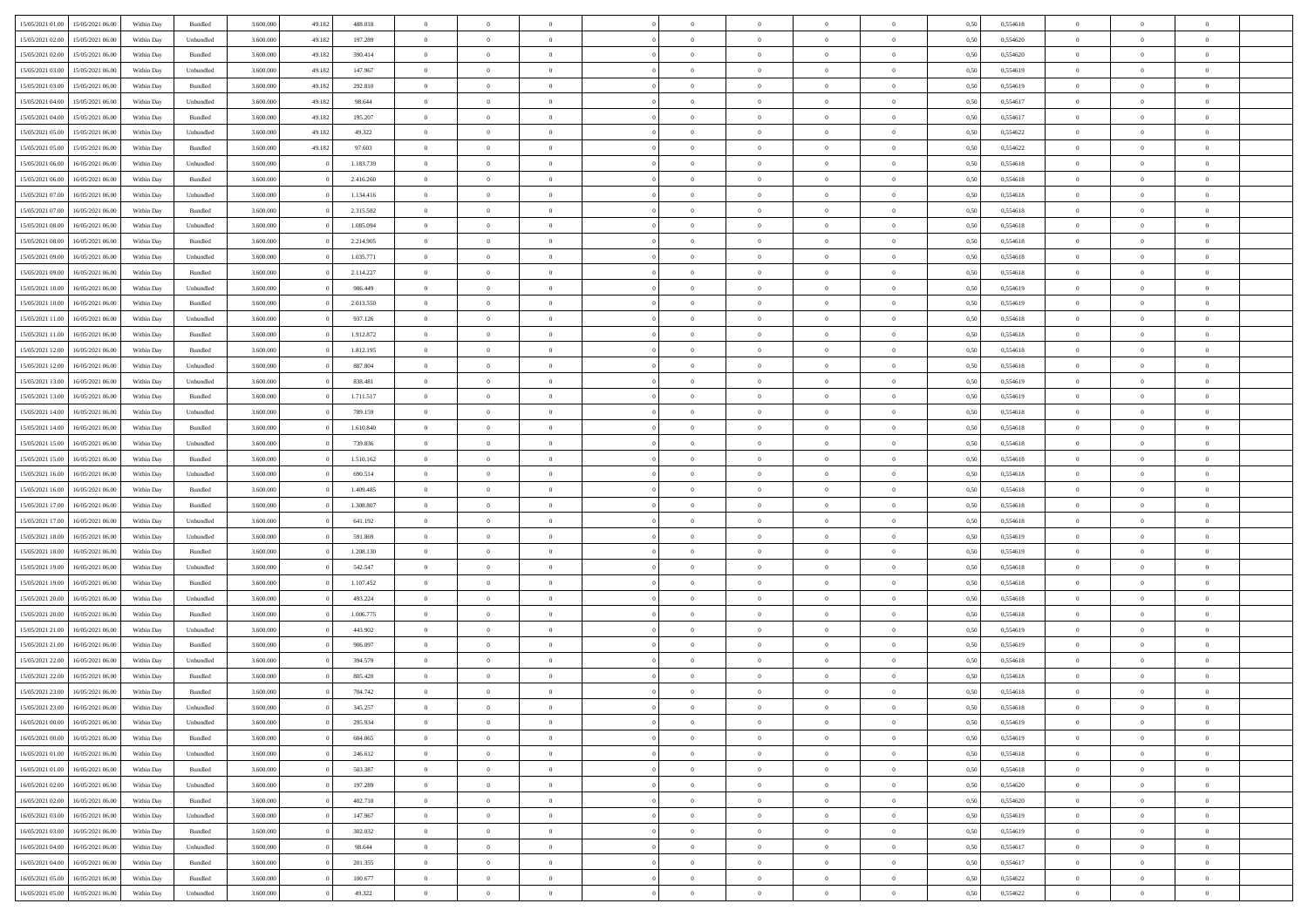| 15/05/2021 01:00 15/05/2021 06:00            | Within Day | Bundled           | 3.600.000 | 49.182 | 488.018   | $\overline{0}$ | $\overline{0}$ |                | $\overline{0}$ | $\theta$       |                | $\theta$       | 0,50 | 0,554618 | $\theta$       | $\theta$       | $\overline{0}$ |  |
|----------------------------------------------|------------|-------------------|-----------|--------|-----------|----------------|----------------|----------------|----------------|----------------|----------------|----------------|------|----------|----------------|----------------|----------------|--|
|                                              |            |                   |           |        |           |                |                |                |                |                |                |                |      |          |                |                |                |  |
| 15/05/2021 02:00<br>15/05/2021 06:00         | Within Day | Unbundled         | 3.600.00  | 49.182 | 197.289   | $\bf{0}$       | $\bf{0}$       | $\bf{0}$       | $\bf{0}$       | $\overline{0}$ | $\overline{0}$ | $\bf{0}$       | 0,50 | 0,554620 | $\,$ 0 $\,$    | $\bf{0}$       | $\overline{0}$ |  |
| 15/05/2021 02:00<br>15/05/2021 06:00         | Within Day | Bundled           | 3,600,000 | 49.182 | 390.414   | $\overline{0}$ | $\bf{0}$       | $\overline{0}$ | $\bf{0}$       | $\bf{0}$       | $\overline{0}$ | $\bf{0}$       | 0,50 | 0,554620 | $\bf{0}$       | $\overline{0}$ | $\overline{0}$ |  |
| 15/05/2021 03:00<br>15/05/2021 06:00         | Within Day | Unbundled         | 3.600.000 | 49.182 | 147.967   | $\overline{0}$ | $\overline{0}$ | $\overline{0}$ | $\overline{0}$ | $\theta$       | $\overline{0}$ | $\bf{0}$       | 0,50 | 0,554619 | $\theta$       | $\theta$       | $\overline{0}$ |  |
| 15/05/2021 03:00<br>15/05/2021 06:00         | Within Day | Bundled           | 3.600.00  | 49.182 | 292.810   | $\bf{0}$       | $\overline{0}$ | $\bf{0}$       | $\overline{0}$ | $\theta$       | $\overline{0}$ | $\bf{0}$       | 0,50 | 0,554619 | $\,$ 0 $\,$    | $\bf{0}$       | $\overline{0}$ |  |
| 15/05/2021 04:00<br>15/05/2021 06:00         | Within Day | Unbundled         | 3,600,000 | 49.182 | 98.644    | $\overline{0}$ | $\overline{0}$ | $\overline{0}$ | $\overline{0}$ | $\overline{0}$ | $\theta$       | $\bf{0}$       | 0.50 | 0.554617 | $\bf{0}$       | $\theta$       | $\overline{0}$ |  |
|                                              |            |                   |           |        |           |                |                | $\overline{0}$ | $\overline{0}$ | $\overline{0}$ | $\overline{0}$ |                |      |          |                | $\theta$       |                |  |
| 15/05/2021 04:00<br>15/05/2021 06:00         | Within Day | Bundled           | 3.600.000 | 49.182 | 195.207   | $\bf{0}$       | $\bf{0}$       |                |                |                |                | $\bf{0}$       | 0,50 | 0,554617 | $\,$ 0 $\,$    |                | $\overline{0}$ |  |
| 15/05/2021 05:00<br>15/05/2021 06:00         | Within Day | Unbundled         | 3.600.000 | 49.182 | 49.322    | $\bf{0}$       | $\bf{0}$       | $\bf{0}$       | $\overline{0}$ | $\overline{0}$ | $\overline{0}$ | $\bf{0}$       | 0,50 | 0,554622 | $\,$ 0 $\,$    | $\bf{0}$       | $\overline{0}$ |  |
| 15/05/2021 05:00<br>15/05/2021 06:00         | Within Day | Bundled           | 3,600,000 | 49.182 | 97.603    | $\overline{0}$ | $\bf{0}$       | $\overline{0}$ | $\bf{0}$       | $\overline{0}$ | $\overline{0}$ | $\bf{0}$       | 0.50 | 0.554622 | $\bf{0}$       | $\overline{0}$ | $\overline{0}$ |  |
| 15/05/2021 06:00<br>16/05/2021 06:00         | Within Day | Unbundled         | 3.600.000 |        | 1.183.739 | $\bf{0}$       | $\bf{0}$       | $\overline{0}$ | $\overline{0}$ | $\overline{0}$ | $\overline{0}$ | $\bf{0}$       | 0,50 | 0,554618 | $\,$ 0 $\,$    | $\bf{0}$       | $\overline{0}$ |  |
| 15/05/2021 06:00<br>16/05/2021 06:00         | Within Day | Bundled           | 3.600.00  |        | 2.416.260 | $\bf{0}$       | $\overline{0}$ | $\bf{0}$       | $\bf{0}$       | $\bf{0}$       | $\overline{0}$ | $\bf{0}$       | 0,50 | 0,554618 | $\,$ 0 $\,$    | $\bf{0}$       | $\overline{0}$ |  |
| 15/05/2021 07:00<br>16/05/2021 06:00         | Within Day | Unbundled         | 3,600,000 |        | 1.134.416 | $\overline{0}$ | $\bf{0}$       | $\overline{0}$ | $\overline{0}$ | $\bf{0}$       | $\overline{0}$ | $\bf{0}$       | 0.50 | 0.554618 | $\bf{0}$       | $\overline{0}$ | $\bf{0}$       |  |
| 15/05/2021 07:00<br>16/05/2021 06:00         | Within Day | Bundled           | 3.600.000 |        | 2.315.582 | $\overline{0}$ | $\overline{0}$ | $\overline{0}$ | $\theta$       | $\theta$       | $\overline{0}$ | $\bf{0}$       | 0,50 | 0,554618 | $\,$ 0 $\,$    | $\theta$       | $\overline{0}$ |  |
| 16/05/2021 06:00                             | Within Day | Unbundled         | 3.600.000 |        | 1.085.094 | $\bf{0}$       | $\overline{0}$ | $\bf{0}$       | $\overline{0}$ | $\theta$       | $\overline{0}$ | $\bf{0}$       | 0,50 | 0,554618 | $\,$ 0 $\,$    | $\bf{0}$       | $\overline{0}$ |  |
| 15/05/2021 08:00                             |            |                   |           |        |           |                |                |                |                |                |                |                |      |          |                |                |                |  |
| 15/05/2021 08:00<br>16/05/2021 06:00         | Within Day | Bundled           | 3,600,000 |        | 2.214.905 | $\overline{0}$ | $\overline{0}$ | $\overline{0}$ | $\bf{0}$       | $\overline{0}$ | $\theta$       | $\bf{0}$       | 0.50 | 0.554618 | $\theta$       | $\theta$       | $\overline{0}$ |  |
| 15/05/2021 09:00<br>16/05/2021 06:00         | Within Day | Unbundled         | 3.600.000 |        | 1.035.771 | $\bf{0}$       | $\bf{0}$       | $\overline{0}$ | $\overline{0}$ | $\overline{0}$ | $\overline{0}$ | $\bf{0}$       | 0,50 | 0,554618 | $\,$ 0 $\,$    | $\theta$       | $\overline{0}$ |  |
| 15/05/2021 09:00<br>16/05/2021 06:00         | Within Day | Bundled           | 3.600.000 |        | 2.114.227 | $\bf{0}$       | $\overline{0}$ | $\bf{0}$       | $\overline{0}$ | $\bf{0}$       | $\overline{0}$ | $\bf{0}$       | 0,50 | 0,554618 | $\,$ 0 $\,$    | $\bf{0}$       | $\overline{0}$ |  |
| 15/05/2021 10:00<br>16/05/2021 06:00         | Within Day | Unbundled         | 3,600,000 |        | 986.449   | $\overline{0}$ | $\bf{0}$       | $\overline{0}$ | $\bf{0}$       | $\bf{0}$       | $\overline{0}$ | $\bf{0}$       | 0.50 | 0.554619 | $\bf{0}$       | $\overline{0}$ | $\overline{0}$ |  |
| 15/05/2021 10:00<br>16/05/2021 06:00         | Within Day | Bundled           | 3.600.000 |        | 2.013.550 | $\bf{0}$       | $\bf{0}$       | $\overline{0}$ | $\overline{0}$ | $\overline{0}$ | $\overline{0}$ | $\bf{0}$       | 0,50 | 0,554619 | $\,$ 0 $\,$    | $\bf{0}$       | $\overline{0}$ |  |
| 15/05/2021 11:00<br>16/05/2021 06:00         | Within Day | Unbundled         | 3.600.00  |        | 937.126   | $\bf{0}$       | $\bf{0}$       | $\bf{0}$       | $\bf{0}$       | $\overline{0}$ | $\overline{0}$ | $\bf{0}$       | 0,50 | 0,554618 | $\,$ 0 $\,$    | $\bf{0}$       | $\overline{0}$ |  |
| 15/05/2021 11:00<br>16/05/2021 06:00         | Within Day | Bundled           | 3,600,000 |        | 1.912.872 | $\overline{0}$ | $\bf{0}$       | $\overline{0}$ | $\overline{0}$ | $\bf{0}$       | $\overline{0}$ | $\bf{0}$       | 0.50 | 0.554618 | $\bf{0}$       | $\overline{0}$ | $\bf{0}$       |  |
| 15/05/2021 12:00<br>16/05/2021 06:00         | Within Day | Bundled           | 3.600.000 |        | 1.812.195 | $\overline{0}$ | $\overline{0}$ | $\overline{0}$ | $\overline{0}$ | $\theta$       | $\overline{0}$ | $\bf{0}$       | 0,50 | 0,554618 | $\,$ 0 $\,$    | $\theta$       | $\overline{0}$ |  |
|                                              |            |                   |           |        |           |                |                |                |                |                |                |                |      |          |                |                |                |  |
| 15/05/2021 12:00<br>16/05/2021 06:00         | Within Day | Unbundled         | 3.600.000 |        | 887.804   | $\bf{0}$       | $\overline{0}$ | $\bf{0}$       | $\bf{0}$       | $\overline{0}$ | $\overline{0}$ | $\bf{0}$       | 0,50 | 0,554618 | $\,$ 0 $\,$    | $\bf{0}$       | $\overline{0}$ |  |
| 15/05/2021 13:00<br>16/05/2021 06:00         | Within Day | Unbundled         | 3,600,000 |        | 838.481   | $\overline{0}$ | $\overline{0}$ | $\overline{0}$ | $\overline{0}$ | $\overline{0}$ | $\theta$       | $\bf{0}$       | 0.50 | 0.554619 | $\bf{0}$       | $\theta$       | $\overline{0}$ |  |
| 15/05/2021 13:00<br>16/05/2021 06:00         | Within Day | Bundled           | 3.600.000 |        | 1.711.517 | $\bf{0}$       | $\overline{0}$ | $\overline{0}$ | $\overline{0}$ | $\overline{0}$ | $\overline{0}$ | $\bf{0}$       | 0,50 | 0,554619 | $\,$ 0 $\,$    | $\theta$       | $\overline{0}$ |  |
| 15/05/2021 14:00<br>16/05/2021 06:00         | Within Day | Unbundled         | 3.600.000 |        | 789.159   | $\bf{0}$       | $\overline{0}$ | $\bf{0}$       | $\overline{0}$ | $\bf{0}$       | $\overline{0}$ | $\bf{0}$       | 0,50 | 0,554618 | $\,$ 0 $\,$    | $\bf{0}$       | $\overline{0}$ |  |
| 15/05/2021 14:00<br>16/05/2021 06:00         | Within Day | Bundled           | 3,600,000 |        | 1.610.840 | $\overline{0}$ | $\bf{0}$       | $\overline{0}$ | $\bf{0}$       | $\overline{0}$ | $\overline{0}$ | $\bf{0}$       | 0.50 | 0.554618 | $\bf{0}$       | $\overline{0}$ | $\overline{0}$ |  |
| 15/05/2021 15:00<br>16/05/2021 06:00         | Within Day | Unbundled         | 3.600.000 |        | 739.836   | $\bf{0}$       | $\bf{0}$       | $\overline{0}$ | $\overline{0}$ | $\overline{0}$ | $\overline{0}$ | $\bf{0}$       | 0,50 | 0,554618 | $\,$ 0 $\,$    | $\bf{0}$       | $\overline{0}$ |  |
| 15/05/2021 15:00<br>16/05/2021 06:00         | Within Day | Bundled           | 3.600.00  |        | 1.510.162 | $\bf{0}$       | $\bf{0}$       | $\bf{0}$       | $\bf{0}$       | $\overline{0}$ | $\overline{0}$ | $\bf{0}$       | 0,50 | 0,554618 | $\,$ 0 $\,$    | $\bf{0}$       | $\overline{0}$ |  |
| 15/05/2021 16:00<br>16/05/2021 06:00         | Within Day | Unbundled         | 3,600,000 |        | 690.514   | $\overline{0}$ | $\bf{0}$       | $\overline{0}$ | $\bf{0}$       | $\bf{0}$       | $\overline{0}$ | $\bf{0}$       | 0.50 | 0.554618 | $\bf{0}$       | $\overline{0}$ | $\bf{0}$       |  |
|                                              |            |                   |           |        |           |                |                |                |                |                |                |                |      |          |                |                |                |  |
| 15/05/2021 16:00<br>16/05/2021 06:00         | Within Day | Bundled           | 3.600.000 |        | 1.409.485 | $\overline{0}$ | $\overline{0}$ | $\overline{0}$ | $\overline{0}$ | $\overline{0}$ | $\overline{0}$ | $\bf{0}$       | 0.50 | 0.554618 | $\theta$       | $\theta$       | $\overline{0}$ |  |
| 15/05/2021 17:00<br>16/05/2021 06:00         | Within Day | Bundled           | 3.600.000 |        | 1.308.807 | $\bf{0}$       | $\overline{0}$ | $\bf{0}$       | $\bf{0}$       | $\,$ 0 $\,$    | $\overline{0}$ | $\bf{0}$       | 0,50 | 0,554618 | $\,$ 0 $\,$    | $\bf{0}$       | $\overline{0}$ |  |
| 15/05/2021 17:00<br>16/05/2021 06:00         | Within Day | Unbundled         | 3,600,000 |        | 641.192   | $\overline{0}$ | $\overline{0}$ | $\overline{0}$ | $\bf{0}$       | $\overline{0}$ | $\Omega$       | $\bf{0}$       | 0.50 | 0.554618 | $\,$ 0 $\,$    | $\theta$       | $\overline{0}$ |  |
| 15/05/2021 18:00<br>16/05/2021 06:00         | Within Day | Unbundled         | 3.600.000 |        | 591.869   | $\overline{0}$ | $\overline{0}$ | $\overline{0}$ | $\overline{0}$ | $\overline{0}$ | $\overline{0}$ | $\overline{0}$ | 0.50 | 0,554619 | $\theta$       | $\theta$       | $\overline{0}$ |  |
| 15/05/2021 18:00<br>16/05/2021 06:00         | Within Day | Bundled           | 3.600.000 |        | 1.208.130 | $\bf{0}$       | $\bf{0}$       | $\bf{0}$       | $\bf{0}$       | $\overline{0}$ | $\overline{0}$ | $\bf{0}$       | 0,50 | 0,554619 | $\,$ 0 $\,$    | $\bf{0}$       | $\overline{0}$ |  |
| 15/05/2021 19:00<br>16/05/2021 06:00         | Within Day | Unbundled         | 3,600,000 |        | 542,547   | $\overline{0}$ | $\bf{0}$       | $\overline{0}$ | $\bf{0}$       | $\overline{0}$ | $\overline{0}$ | $\bf{0}$       | 0.50 | 0.554618 | $\bf{0}$       | $\overline{0}$ | $\overline{0}$ |  |
| 15/05/2021 19:00<br>16/05/2021 06:00         | Within Day | Bundled           | 3.600.000 |        | 1.107.452 | $\overline{0}$ | $\overline{0}$ | $\overline{0}$ | $\overline{0}$ | $\overline{0}$ | $\overline{0}$ | $\overline{0}$ | 0.50 | 0.554618 | $\theta$       | $\theta$       | $\overline{0}$ |  |
| 15/05/2021 20:00<br>16/05/2021 06:00         | Within Day | Unbundled         | 3.600.000 |        | 493.224   | $\bf{0}$       | $\bf{0}$       | $\bf{0}$       | $\bf{0}$       | $\overline{0}$ | $\overline{0}$ | $\bf{0}$       | 0,50 | 0,554618 | $\,$ 0 $\,$    | $\bf{0}$       | $\overline{0}$ |  |
|                                              |            | Bundled           | 3,600,000 |        | 1.006.775 |                |                |                |                |                | $\overline{0}$ |                | 0.50 | 0.554618 |                | $\overline{0}$ |                |  |
| 15/05/2021 20:00<br>16/05/2021 06:00         | Within Day |                   |           |        |           | $\overline{0}$ | $\bf{0}$       | $\overline{0}$ | $\overline{0}$ | $\bf{0}$       |                | $\bf{0}$       |      |          | $\bf{0}$       |                | $\bf{0}$       |  |
| 15/05/2021 21:00<br>16/05/2021 06:00         | Within Day | Unbundled         | 3.600.000 |        | 443.902   | $\overline{0}$ | $\overline{0}$ | $\overline{0}$ | $\overline{0}$ | $\overline{0}$ | $\overline{0}$ | $\bf{0}$       | 0.50 | 0.554619 | $\theta$       | $\theta$       | $\overline{0}$ |  |
| 15/05/2021 21:00<br>16/05/2021 06:00         | Within Day | Bundled           | 3.600.000 |        | 906.097   | $\bf{0}$       | $\bf{0}$       | $\bf{0}$       | $\bf{0}$       | $\overline{0}$ | $\overline{0}$ | $\bf{0}$       | 0,50 | 0,554619 | $\,$ 0 $\,$    | $\bf{0}$       | $\overline{0}$ |  |
| 15/05/2021 22:00<br>16/05/2021 06:00         | Within Day | Unbundled         | 3,600,000 |        | 394.579   | $\overline{0}$ | $\overline{0}$ | $\overline{0}$ | $\overline{0}$ | $\overline{0}$ | $\Omega$       | $\bf{0}$       | 0.50 | 0.554618 | $\bf{0}$       | $\theta$       | $\overline{0}$ |  |
| 15/05/2021 22:00<br>16/05/2021 06:00         | Within Dav | Bundled           | 3.600.000 |        | 805.420   | $\overline{0}$ | $\overline{0}$ | $\overline{0}$ | $\overline{0}$ | $\theta$       | $\overline{0}$ | $\overline{0}$ | 0.50 | 0,554618 | $\theta$       | $\theta$       | $\overline{0}$ |  |
| 15/05/2021 23:00<br>16/05/2021 06:00         | Within Day | Bundled           | 3.600.000 |        | 704.742   | $\bf{0}$       | $\bf{0}$       | $\bf{0}$       | $\bf{0}$       | $\bf{0}$       | $\overline{0}$ | $\bf{0}$       | 0,50 | 0,554618 | $\,$ 0 $\,$    | $\bf{0}$       | $\overline{0}$ |  |
| $15/05/2021\ 23.00 \qquad 16/05/2021\ 06.00$ | Within Day | ${\sf Unbundred}$ | 3.600.000 |        | 345.257   | $\overline{0}$ | $\Omega$       |                | $\Omega$       | $\Omega$       |                |                | 0,50 | 0,554618 | $\bf{0}$       | $\bf{0}$       |                |  |
| 16/05/2021 00:00 16/05/2021 06:00            | Within Day | Unbundled         | 3.600.000 |        | 295.934   | $\overline{0}$ | $\overline{0}$ | $\overline{0}$ | $\overline{0}$ | $\overline{0}$ | $\overline{0}$ | $\bf{0}$       | 0,50 | 0,554619 | $\theta$       | $\overline{0}$ | $\overline{0}$ |  |
| 16/05/2021 00:00<br>16/05/2021 06:00         | Within Day | Bundled           | 3.600.000 |        | 604.065   | $\overline{0}$ | $\bf{0}$       | $\overline{0}$ | $\overline{0}$ | $\bf{0}$       | $\overline{0}$ | $\bf{0}$       | 0,50 | 0,554619 | $\bf{0}$       | $\overline{0}$ | $\bf{0}$       |  |
|                                              |            |                   |           |        |           |                |                |                |                |                |                |                |      |          |                |                |                |  |
| 16/05/2021 01:00 16/05/2021 06:00            | Within Day | Unbundled         | 3.600.000 |        | 246.612   | $\overline{0}$ | $\overline{0}$ | $\overline{0}$ | $\overline{0}$ | $\mathbf{0}$   | $\overline{0}$ | $\,$ 0 $\,$    | 0.50 | 0.554618 | $\overline{0}$ | $\overline{0}$ | $\bf{0}$       |  |
| 16/05/2021 01:00 16/05/2021 06:00            | Within Day | Bundled           | 3.600.000 |        | 503.387   | $\overline{0}$ | $\overline{0}$ | $\overline{0}$ | $\overline{0}$ | $\overline{0}$ | $\overline{0}$ | $\bf{0}$       | 0,50 | 0,554618 | $\overline{0}$ | $\theta$       | $\overline{0}$ |  |
| 16/05/2021 02:00<br>16/05/2021 06:00         | Within Day | Unbundled         | 3.600.000 |        | 197.289   | $\overline{0}$ | $\bf{0}$       | $\overline{0}$ | $\overline{0}$ | $\bf{0}$       | $\overline{0}$ | $\bf{0}$       | 0,50 | 0,554620 | $\bf{0}$       | $\overline{0}$ | $\overline{0}$ |  |
| 16/05/2021 02:00<br>16/05/2021 06:00         | Within Day | Bundled           | 3.600.000 |        | 402.710   | $\overline{0}$ | $\bf{0}$       | $\overline{0}$ | $\overline{0}$ | $\bf{0}$       | $\overline{0}$ | $\bf{0}$       | 0.50 | 0.554620 | $\,$ 0 $\,$    | $\overline{0}$ | $\,$ 0         |  |
| 16/05/2021 03:00<br>16/05/2021 06:00         | Within Day | Unbundled         | 3.600.000 |        | 147.967   | $\overline{0}$ | $\overline{0}$ | $\overline{0}$ | $\overline{0}$ | $\overline{0}$ | $\overline{0}$ | $\bf{0}$       | 0,50 | 0,554619 | $\overline{0}$ | $\theta$       | $\overline{0}$ |  |
| 16/05/2021 03:00<br>16/05/2021 06:00         | Within Day | Bundled           | 3.600.000 |        | 302.032   | $\overline{0}$ | $\overline{0}$ | $\overline{0}$ | $\overline{0}$ | $\overline{0}$ | $\overline{0}$ | $\bf{0}$       | 0,50 | 0,554619 | $\bf{0}$       | $\overline{0}$ | $\,$ 0         |  |
| 16/05/2021 04:00<br>16/05/2021 06:00         | Within Day | Unbundled         | 3.600.000 |        | 98.644    | $\overline{0}$ | $\overline{0}$ | $\overline{0}$ | $\overline{0}$ | $\overline{0}$ | $\overline{0}$ | $\bf{0}$       | 0.50 | 0.554617 | $\mathbf{0}$   | $\bf{0}$       | $\,$ 0         |  |
| 16/05/2021 04:00<br>16/05/2021 06:00         | Within Dav | Bundled           | 3.600.000 |        | 201.355   | $\overline{0}$ | $\overline{0}$ | $\overline{0}$ | $\overline{0}$ | $\overline{0}$ | $\overline{0}$ | $\bf{0}$       | 0,50 | 0,554617 | $\overline{0}$ | $\overline{0}$ | $\overline{0}$ |  |
|                                              |            |                   |           |        |           |                |                |                |                |                |                |                |      |          |                |                |                |  |
| 16/05/2021 05:00<br>16/05/2021 06:00         | Within Day | Bundled           | 3.600.000 |        | 100.677   | $\overline{0}$ | $\bf{0}$       | $\overline{0}$ | $\overline{0}$ | $\overline{0}$ | $\overline{0}$ | $\bf{0}$       | 0,50 | 0,554622 | $\bf{0}$       | $\overline{0}$ | $\bf{0}$       |  |
| 16/05/2021 05:00 16/05/2021 06:00            | Within Day | ${\sf Unbundred}$ | 3.600.000 |        | 49.322    | $\,$ 0 $\,$    | $\bf{0}$       | $\overline{0}$ | $\overline{0}$ | $\,$ 0 $\,$    | $\,$ 0 $\,$    | $\,$ 0 $\,$    | 0,50 | 0,554622 | $\mathbf{0}^-$ | $\,$ 0 $\,$    | $\,$ 0 $\,$    |  |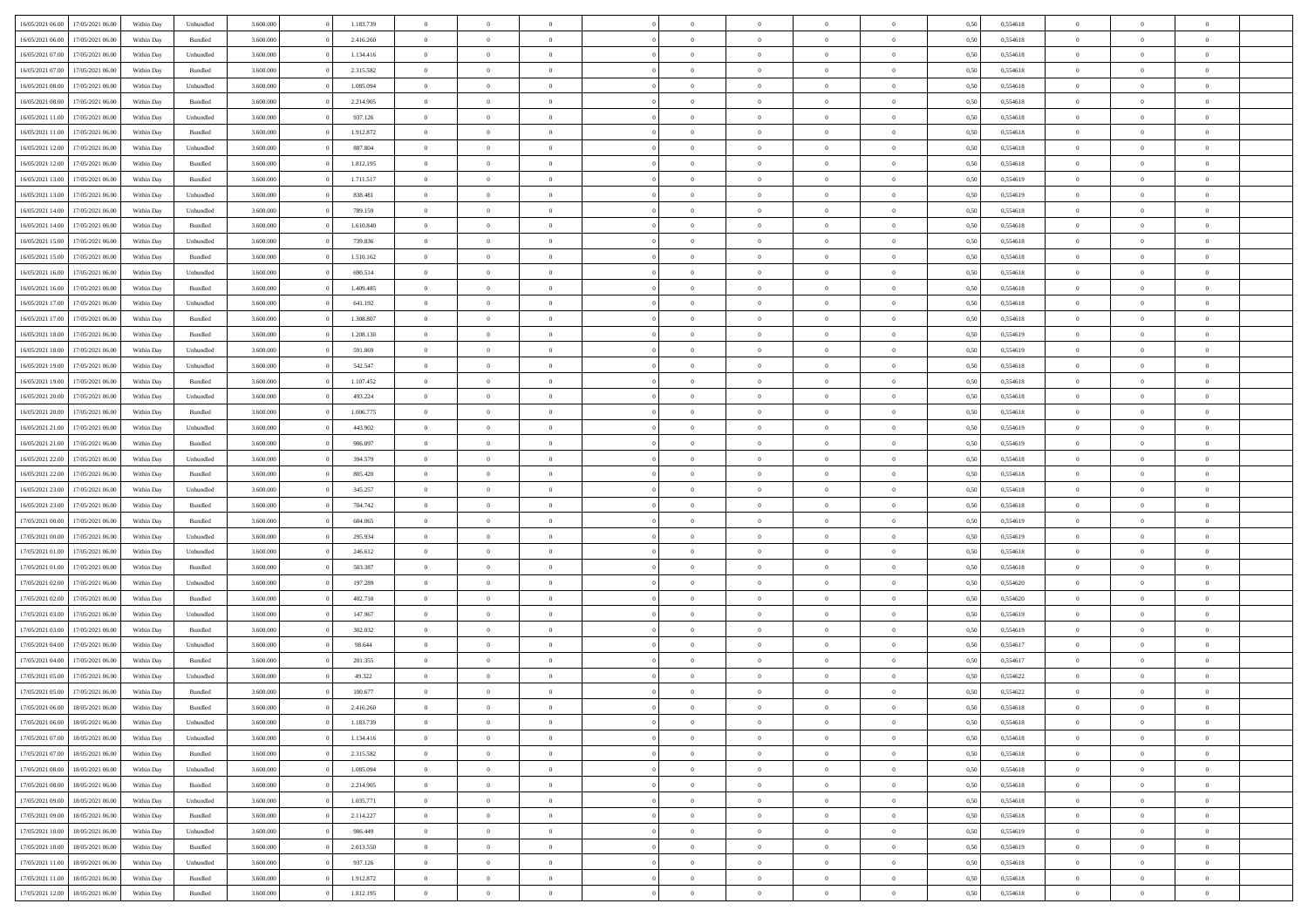| 16/05/2021 06:00 | 17/05/2021 06:00 | Within Day | Unbundled          | 3.600.000 | 1.183.739 | $\overline{0}$ | $\Omega$       |                | $\Omega$       | $\Omega$       | $\theta$       | $\theta$       | 0,50 | 0,554618 | $\theta$       | $\theta$       | $\theta$       |  |
|------------------|------------------|------------|--------------------|-----------|-----------|----------------|----------------|----------------|----------------|----------------|----------------|----------------|------|----------|----------------|----------------|----------------|--|
|                  |                  |            |                    |           |           |                |                |                |                |                |                |                |      |          |                |                |                |  |
| 16/05/2021 06:00 | 17/05/2021 06:00 | Within Day | Bundled            | 3.600.000 | 2.416.260 | $\overline{0}$ | $\theta$       | $\overline{0}$ | $\overline{0}$ | $\bf{0}$       | $\overline{0}$ | $\bf{0}$       | 0,50 | 0,554618 | $\theta$       | $\theta$       | $\overline{0}$ |  |
| 16/05/2021 07:00 | 17/05/2021 06:00 | Within Day | Unbundled          | 3.600.000 | 1.134.416 | $\overline{0}$ | $\overline{0}$ | $\overline{0}$ | $\bf{0}$       | $\bf{0}$       | $\bf{0}$       | $\bf{0}$       | 0,50 | 0,554618 | $\overline{0}$ | $\overline{0}$ | $\overline{0}$ |  |
|                  |                  |            |                    |           |           |                |                |                |                |                |                |                |      |          |                |                |                |  |
| 16/05/2021 07:00 | 17/05/2021 06:00 | Within Dav | Bundled            | 3.600,000 | 2.315.582 | $\overline{0}$ | $\overline{0}$ | $\overline{0}$ | $\overline{0}$ | $\bf{0}$       | $\overline{0}$ | $\overline{0}$ | 0.50 | 0.554618 | $\theta$       | $\theta$       | $\overline{0}$ |  |
| 16/05/2021 08:00 | 17/05/2021 06:00 | Within Day | Unbundled          | 3.600.000 | 1.085.094 | $\overline{0}$ | $\theta$       | $\overline{0}$ | $\overline{0}$ | $\bf{0}$       | $\overline{0}$ | $\bf{0}$       | 0,50 | 0,554618 | $\theta$       | $\overline{0}$ | $\overline{0}$ |  |
| 16/05/2021 08:00 | 17/05/2021 06:00 | Within Day | Bundled            | 3.600.000 | 2.214.905 | $\overline{0}$ | $\bf{0}$       | $\overline{0}$ | $\bf{0}$       | $\overline{0}$ | $\overline{0}$ | $\mathbf{0}$   | 0,50 | 0,554618 | $\bf{0}$       | $\overline{0}$ | $\bf{0}$       |  |
| 16/05/2021 11:00 | 17/05/2021 06:00 | Within Dav | Unbundled          | 3.600.000 | 937.126   | $\overline{0}$ | $\overline{0}$ | $\overline{0}$ | $\overline{0}$ | $\overline{0}$ | $\overline{0}$ | $\overline{0}$ | 0.50 | 0,554618 | $\theta$       | $\overline{0}$ | $\overline{0}$ |  |
|                  |                  |            |                    |           |           |                |                |                |                |                |                |                |      |          |                |                |                |  |
| 16/05/2021 11:00 | 17/05/2021 06:00 | Within Day | Bundled            | 3.600.000 | 1.912.872 | $\overline{0}$ | $\theta$       | $\overline{0}$ | $\overline{0}$ | $\bf{0}$       | $\overline{0}$ | $\bf{0}$       | 0,50 | 0,554618 | $\theta$       | $\theta$       | $\overline{0}$ |  |
| 16/05/2021 12:00 | 17/05/2021 06:00 | Within Day | Unbundled          | 3.600.000 | 887.804   | $\overline{0}$ | $\overline{0}$ | $\overline{0}$ | $\bf{0}$       | $\bf{0}$       | $\bf{0}$       | $\bf{0}$       | 0,50 | 0,554618 | $\,0\,$        | $\overline{0}$ | $\overline{0}$ |  |
| 16/05/2021 12:00 | 17/05/2021 06:00 | Within Dav | Bundled            | 3.600.000 | 1.812.195 | $\overline{0}$ | $\overline{0}$ | $\overline{0}$ | $\overline{0}$ | $\overline{0}$ | $\overline{0}$ | $\overline{0}$ | 0.50 | 0.554618 | $\theta$       | $\overline{0}$ | $\overline{0}$ |  |
|                  |                  |            |                    |           |           |                |                |                |                |                |                |                |      |          |                |                |                |  |
| 16/05/2021 13:00 | 17/05/2021 06:00 | Within Day | Bundled            | 3.600.000 | 1.711.517 | $\overline{0}$ | $\theta$       | $\overline{0}$ | $\overline{0}$ | $\bf{0}$       | $\overline{0}$ | $\bf{0}$       | 0,50 | 0,554619 | $\,$ 0 $\,$    | $\overline{0}$ | $\overline{0}$ |  |
| 16/05/2021 13:00 | 17/05/2021 06:00 | Within Day | Unbundled          | 3.600.000 | 838.481   | $\overline{0}$ | $\overline{0}$ | $\overline{0}$ | $\bf{0}$       | $\bf{0}$       | $\bf{0}$       | $\mathbf{0}$   | 0,50 | 0,554619 | $\bf{0}$       | $\overline{0}$ | $\bf{0}$       |  |
| 16/05/2021 14:00 | 17/05/2021 06:00 | Within Day | Unbundled          | 3.600.000 | 789.159   | $\overline{0}$ | $\overline{0}$ | $\overline{0}$ | $\overline{0}$ | $\bf{0}$       | $\overline{0}$ | $\overline{0}$ | 0.50 | 0.554618 | $\theta$       | $\theta$       | $\overline{0}$ |  |
| 16/05/2021 14:00 | 17/05/2021 06:00 | Within Day | Bundled            | 3.600.000 | 1.610.840 | $\overline{0}$ | $\theta$       | $\overline{0}$ | $\overline{0}$ | $\bf{0}$       | $\overline{0}$ | $\bf{0}$       | 0,50 | 0,554618 | $\theta$       | $\overline{0}$ | $\overline{0}$ |  |
|                  |                  |            |                    |           |           |                |                |                |                |                |                |                |      |          |                |                |                |  |
| 16/05/2021 15:00 | 17/05/2021 06:00 | Within Day | Unbundled          | 3.600.000 | 739.836   | $\overline{0}$ | $\overline{0}$ | $\overline{0}$ | $\bf{0}$       | $\overline{0}$ | $\overline{0}$ | $\mathbf{0}$   | 0,50 | 0,554618 | $\bf{0}$       | $\overline{0}$ | $\bf{0}$       |  |
| 16/05/2021 15:00 | 17/05/2021 06:00 | Within Dav | Bundled            | 3.600.000 | 1.510.162 | $\overline{0}$ | $\overline{0}$ | $\overline{0}$ | $\overline{0}$ | $\overline{0}$ | $\overline{0}$ | $\overline{0}$ | 0.50 | 0.554618 | $\theta$       | $\overline{0}$ | $\overline{0}$ |  |
| 16/05/2021 16:00 | 17/05/2021 06:00 | Within Day | Unbundled          | 3.600.000 | 690.514   | $\overline{0}$ | $\theta$       | $\overline{0}$ | $\overline{0}$ | $\bf{0}$       | $\overline{0}$ | $\bf{0}$       | 0,50 | 0,554618 | $\theta$       | $\theta$       | $\overline{0}$ |  |
|                  |                  |            |                    |           |           |                |                |                |                |                |                |                |      |          |                |                |                |  |
| 16/05/2021 16:00 | 17/05/2021 06:00 | Within Day | Bundled            | 3.600.000 | 1.409.485 | $\overline{0}$ | $\overline{0}$ | $\overline{0}$ | $\bf{0}$       | $\bf{0}$       | $\bf{0}$       | $\mathbf{0}$   | 0,50 | 0,554618 | $\,0\,$        | $\overline{0}$ | $\overline{0}$ |  |
| 16/05/2021 17:00 | 17/05/2021 06:00 | Within Day | Unbundled          | 3.600.000 | 641.192   | $\overline{0}$ | $\overline{0}$ | $\overline{0}$ | $\overline{0}$ | $\overline{0}$ | $\overline{0}$ | $\overline{0}$ | 0.50 | 0,554618 | $\theta$       | $\overline{0}$ | $\overline{0}$ |  |
| 16/05/2021 17:00 | 17/05/2021 06:00 | Within Day | Bundled            | 3.600.000 | 1.308.807 | $\overline{0}$ | $\theta$       | $\overline{0}$ | $\overline{0}$ | $\bf{0}$       | $\overline{0}$ | $\bf{0}$       | 0,50 | 0,554618 | $\,$ 0 $\,$    | $\theta$       | $\overline{0}$ |  |
| 16/05/2021 18:00 | 17/05/2021 06:00 | Within Day | Bundled            | 3.600.000 | 1.208.130 | $\overline{0}$ | $\overline{0}$ | $\overline{0}$ | $\overline{0}$ | $\bf{0}$       | $\overline{0}$ | $\bf{0}$       | 0,50 | 0,554619 | $\bf{0}$       | $\overline{0}$ | $\overline{0}$ |  |
|                  |                  |            |                    |           |           |                |                |                |                |                |                |                |      |          |                |                |                |  |
| 16/05/2021 18:00 | 17/05/2021 06:00 | Within Day | Unbundled          | 3.600,000 | 591.869   | $\overline{0}$ | $\overline{0}$ | $\overline{0}$ | $\overline{0}$ | $\bf{0}$       | $\overline{0}$ | $\overline{0}$ | 0.50 | 0.554619 | $\theta$       | $\overline{0}$ | $\overline{0}$ |  |
| 16/05/2021 19:00 | 17/05/2021 06:00 | Within Day | Unbundled          | 3.600.000 | 542.547   | $\overline{0}$ | $\theta$       | $\overline{0}$ | $\overline{0}$ | $\bf{0}$       | $\overline{0}$ | $\bf{0}$       | 0,50 | 0,554618 | $\,$ 0 $\,$    | $\overline{0}$ | $\overline{0}$ |  |
| 16/05/2021 19:00 | 17/05/2021 06:00 | Within Day | Bundled            | 3.600.000 | 1.107.452 | $\overline{0}$ | $\bf{0}$       | $\overline{0}$ | $\overline{0}$ | $\overline{0}$ | $\overline{0}$ | $\mathbf{0}$   | 0,50 | 0,554618 | $\bf{0}$       | $\overline{0}$ | $\bf{0}$       |  |
| 16/05/2021 20:00 | 17/05/2021 06:00 | Within Dav | Unbundled          | 3.600.000 | 493.224   | $\overline{0}$ | $\overline{0}$ | $\overline{0}$ | $\overline{0}$ | $\overline{0}$ | $\overline{0}$ | $\overline{0}$ | 0.50 | 0.554618 | $\theta$       | $\overline{0}$ | $\overline{0}$ |  |
|                  |                  |            |                    |           |           |                |                |                |                |                |                |                |      |          |                |                |                |  |
| 16/05/2021 20:00 | 17/05/2021 06:00 | Within Day | Bundled            | 3.600.000 | 1.006.775 | $\overline{0}$ | $\theta$       | $\overline{0}$ | $\overline{0}$ | $\bf{0}$       | $\overline{0}$ | $\bf{0}$       | 0,50 | 0,554618 | $\theta$       | $\theta$       | $\overline{0}$ |  |
| 16/05/2021 21.00 | 17/05/2021 06:00 | Within Day | Unbundled          | 3.600.000 | 443.902   | $\overline{0}$ | $\overline{0}$ | $\overline{0}$ | $\overline{0}$ | $\bf{0}$       | $\overline{0}$ | $\bf{0}$       | 0,50 | 0,554619 | $\,0\,$        | $\overline{0}$ | $\overline{0}$ |  |
| 16/05/2021 21:00 | 17/05/2021 06:00 | Within Day | Bundled            | 3.600.000 | 906.097   | $\overline{0}$ | $\overline{0}$ | $\overline{0}$ | $\overline{0}$ | $\overline{0}$ | $\overline{0}$ | $\overline{0}$ | 0.50 | 0.554619 | $\theta$       | $\overline{0}$ | $\overline{0}$ |  |
| 16/05/2021 22:00 | 17/05/2021 06:00 | Within Day | Unbundled          | 3.600.000 | 394.579   | $\overline{0}$ | $\theta$       | $\overline{0}$ | $\overline{0}$ | $\bf{0}$       | $\overline{0}$ | $\bf{0}$       | 0,50 | 0,554618 | $\,$ 0 $\,$    | $\overline{0}$ | $\overline{0}$ |  |
|                  |                  |            |                    |           |           |                |                |                |                |                |                |                |      |          |                |                |                |  |
| 16/05/2021 22:00 | 17/05/2021 06:00 | Within Day | Bundled            | 3.600.000 | 805.420   | $\overline{0}$ | $\overline{0}$ | $\overline{0}$ | $\bf{0}$       | $\bf{0}$       | $\bf{0}$       | $\bf{0}$       | 0,50 | 0,554618 | $\overline{0}$ | $\overline{0}$ | $\overline{0}$ |  |
| 16/05/2021 23:00 | 17/05/2021 06:00 | Within Day | Unbundled          | 3.600.000 | 345.257   | $\overline{0}$ | $\Omega$       | $\Omega$       | $\Omega$       | $\Omega$       | $\Omega$       | $\overline{0}$ | 0,50 | 0,554618 | $\,0\,$        | $\theta$       | $\theta$       |  |
| 16/05/2021 23:00 | 17/05/2021 06:00 | Within Day | Bundled            | 3.600.000 | 704.742   | $\overline{0}$ | $\theta$       | $\overline{0}$ | $\overline{0}$ | $\bf{0}$       | $\overline{0}$ | $\bf{0}$       | 0,50 | 0,554618 | $\theta$       | $\overline{0}$ | $\overline{0}$ |  |
| 17/05/2021 00:00 | 17/05/2021 06:00 | Within Day | Bundled            | 3.600.000 | 604.065   | $\overline{0}$ | $\overline{0}$ | $\overline{0}$ | $\bf{0}$       | $\bf{0}$       | $\overline{0}$ | $\mathbf{0}$   | 0,50 | 0,554619 | $\overline{0}$ | $\overline{0}$ | $\bf{0}$       |  |
|                  |                  |            |                    |           |           |                |                |                |                |                |                |                |      |          |                |                |                |  |
| 17/05/2021 00:00 | 17/05/2021 06:00 | Within Day | Unbundled          | 3.600,000 | 295.934   | $\overline{0}$ | $\Omega$       | $\Omega$       | $\Omega$       | $\bf{0}$       | $\overline{0}$ | $\overline{0}$ | 0.50 | 0.554619 | $\theta$       | $\theta$       | $\theta$       |  |
| 17/05/2021 01:00 | 17/05/2021 06:00 | Within Day | Unbundled          | 3.600.000 | 246.612   | $\overline{0}$ | $\theta$       | $\overline{0}$ | $\overline{0}$ | $\bf{0}$       | $\overline{0}$ | $\bf{0}$       | 0,50 | 0,554618 | $\,$ 0 $\,$    | $\theta$       | $\overline{0}$ |  |
| 17/05/2021 01:00 | 17/05/2021 06:00 | Within Day | Bundled            | 3.600.000 | 503.387   | $\overline{0}$ | $\overline{0}$ | $\overline{0}$ | $\bf{0}$       | $\bf{0}$       | $\bf{0}$       | $\bf{0}$       | 0,50 | 0,554618 | $\bf{0}$       | $\overline{0}$ | $\overline{0}$ |  |
|                  | 17/05/2021 06:00 |            |                    | 3.600,000 |           | $\overline{0}$ | $\Omega$       | $\Omega$       | $\Omega$       | $\theta$       | $\theta$       |                |      | 0.554620 | $\theta$       | $\theta$       | $\theta$       |  |
| 17/05/2021 02:00 |                  | Within Day | Unbundled          |           | 197.289   |                |                |                |                |                |                | $\overline{0}$ | 0.50 |          |                |                |                |  |
| 17/05/2021 02:00 | 17/05/2021 06:00 | Within Day | Bundled            | 3.600.000 | 402.710   | $\overline{0}$ | $\theta$       | $\overline{0}$ | $\overline{0}$ | $\bf{0}$       | $\overline{0}$ | $\bf{0}$       | 0,50 | 0,554620 | $\,$ 0 $\,$    | $\overline{0}$ | $\overline{0}$ |  |
| 17/05/2021 03:00 | 17/05/2021 06:00 | Within Day | Unbundled          | 3.600.000 | 147.967   | $\overline{0}$ | $\overline{0}$ | $\overline{0}$ | $\overline{0}$ | $\bf{0}$       | $\overline{0}$ | $\bf{0}$       | 0,50 | 0,554619 | $\overline{0}$ | $\overline{0}$ | $\overline{0}$ |  |
| 17/05/2021 03:00 | 17/05/2021 06:00 | Within Day | Bundled            | 3.600.000 | 302.032   | $\overline{0}$ | $\Omega$       | $\overline{0}$ | $\Omega$       | $\Omega$       | $\overline{0}$ | $\overline{0}$ | 0,50 | 0,554619 | $\,0\,$        | $\theta$       | $\theta$       |  |
|                  |                  |            |                    |           |           | $\overline{0}$ | $\theta$       | $\overline{0}$ | $\overline{0}$ | $\bf{0}$       | $\overline{0}$ |                |      |          | $\,$ 0 $\,$    | $\overline{0}$ | $\overline{0}$ |  |
| 17/05/2021 04:00 | 17/05/2021 06:00 | Within Day | Unbundled          | 3.600.000 | 98.644    |                |                |                |                |                |                | $\bf{0}$       | 0,50 | 0,554617 |                |                |                |  |
| 17/05/2021 04:00 | 17/05/2021 06:00 | Within Day | Bundled            | 3.600.000 | 201.355   | $\overline{0}$ | $\overline{0}$ | $\overline{0}$ | $\overline{0}$ | $\bf{0}$       | $\overline{0}$ | $\mathbf{0}$   | 0,50 | 0,554617 | $\overline{0}$ | $\overline{0}$ | $\bf{0}$       |  |
| 17/05/2021 05:00 | 17/05/2021 06:00 | Within Day | Unbundled          | 3.600,000 | 49.322    | $\overline{0}$ | $\Omega$       | $\Omega$       | $\Omega$       | $\Omega$       | $\Omega$       | $\overline{0}$ | 0.50 | 0.554622 | $\theta$       | $\theta$       | $\theta$       |  |
| 17/05/2021 05:00 | 17/05/2021 06:00 | Within Day | Bundled            | 3.600.000 | 100.677   | $\overline{0}$ | $\overline{0}$ | $\overline{0}$ | $\bf{0}$       | $\,$ 0         | $\overline{0}$ | $\bf{0}$       | 0,50 | 0,554622 | $\,0\,$        | $\overline{0}$ | $\overline{0}$ |  |
| 17/05/2021 06:00 | 18/05/2021 06:00 | Within Day | $\mathbf B$ undled | 3.600.000 |           |                |                |                |                |                |                |                |      |          |                |                |                |  |
|                  |                  |            |                    |           | 2.416.260 | $\bf{0}$       | $\bf{0}$       |                |                |                |                |                | 0,50 | 0,554618 | $\bf{0}$       | $\overline{0}$ |                |  |
| 17/05/2021 06:00 | 18/05/2021 06:00 | Within Day | Unbundled          | 3.600.000 | 1.183.739 | $\overline{0}$ | $\overline{0}$ | $\overline{0}$ | $\Omega$       | $\overline{0}$ | $\overline{0}$ | $\overline{0}$ | 0.50 | 0.554618 | $\theta$       | $\theta$       | $\theta$       |  |
| 17/05/2021 07:00 | 18/05/2021 06:00 | Within Day | Unbundled          | 3.600.000 | 1.134.416 | $\overline{0}$ | $\,$ 0         | $\overline{0}$ | $\overline{0}$ | $\,$ 0 $\,$    | $\overline{0}$ | $\mathbf{0}$   | 0,50 | 0,554618 | $\,$ 0 $\,$    | $\,$ 0 $\,$    | $\,$ 0         |  |
| 17/05/2021 07:00 | 18/05/2021 06:00 | Within Day | Bundled            | 3.600.000 | 2.315.582 | $\overline{0}$ | $\overline{0}$ | $\overline{0}$ | $\overline{0}$ | $\overline{0}$ | $\overline{0}$ | $\mathbf{0}$   | 0,50 | 0,554618 | $\overline{0}$ | $\bf{0}$       | $\bf{0}$       |  |
|                  |                  |            |                    |           |           |                |                |                |                |                |                |                |      |          |                |                |                |  |
| 17/05/2021 08:00 | 18/05/2021 06:00 | Within Day | Unbundled          | 3.600.000 | 1.085.094 | $\overline{0}$ | $\overline{0}$ | $\overline{0}$ | $\Omega$       | $\overline{0}$ | $\overline{0}$ | $\overline{0}$ | 0,50 | 0,554618 | $\overline{0}$ | $\theta$       | $\overline{0}$ |  |
| 17/05/2021 08:00 | 18/05/2021 06:00 | Within Day | Bundled            | 3.600.000 | 2.214.905 | $\overline{0}$ | $\,$ 0         | $\overline{0}$ | $\overline{0}$ | $\,$ 0 $\,$    | $\overline{0}$ | $\mathbf{0}$   | 0,50 | 0,554618 | $\,$ 0 $\,$    | $\overline{0}$ | $\overline{0}$ |  |
| 17/05/2021 09:00 | 18/05/2021 06:00 | Within Day | Unbundled          | 3.600.000 | 1.035.771 | $\overline{0}$ | $\overline{0}$ | $\overline{0}$ | $\overline{0}$ | $\overline{0}$ | $\overline{0}$ | $\mathbf{0}$   | 0,50 | 0,554618 | $\overline{0}$ | $\overline{0}$ | $\bf{0}$       |  |
|                  | 18/05/2021 06:00 |            |                    | 3.600,000 |           |                | $\overline{0}$ | $\overline{0}$ | $\Omega$       | $\overline{0}$ | $\overline{0}$ |                | 0.50 |          |                | $\theta$       | $\overline{0}$ |  |
| 17/05/2021 09:00 |                  | Within Day | Bundled            |           | 2.114.227 | $\overline{0}$ |                |                |                |                |                | $\bf{0}$       |      | 0,554618 | $\overline{0}$ |                |                |  |
| 17/05/2021 10:00 | 18/05/2021 06:00 | Within Day | Unbundled          | 3.600.000 | 986.449   | $\overline{0}$ | $\,$ 0         | $\overline{0}$ | $\overline{0}$ | $\bf{0}$       | $\overline{0}$ | $\bf{0}$       | 0,50 | 0,554619 | $\,$ 0 $\,$    | $\overline{0}$ | $\overline{0}$ |  |
| 17/05/2021 10:00 | 18/05/2021 06:00 | Within Day | Bundled            | 3.600.000 | 2.013.550 | $\overline{0}$ | $\bf{0}$       | $\overline{0}$ | $\overline{0}$ | $\overline{0}$ | $\overline{0}$ | $\mathbf{0}$   | 0,50 | 0,554619 | $\overline{0}$ | $\overline{0}$ | $\bf{0}$       |  |
| 17/05/2021 11:00 | 18/05/2021 06:00 | Within Day | Unbundled          | 3.600,000 | 937.126   | $\overline{0}$ | $\overline{0}$ | $\overline{0}$ | $\Omega$       | $\overline{0}$ | $\overline{0}$ | $\bf{0}$       | 0.50 | 0,554618 | $\overline{0}$ | $\overline{0}$ | $\overline{0}$ |  |
|                  |                  |            |                    |           |           |                |                |                |                |                |                |                |      |          |                |                |                |  |
| 17/05/2021 11:00 | 18/05/2021 06:00 | Within Day | Bundled            | 3.600.000 | 1.912.872 | $\overline{0}$ | $\bf{0}$       | $\overline{0}$ | $\overline{0}$ | $\bf{0}$       | $\overline{0}$ | $\mathbf{0}$   | 0,50 | 0,554618 | $\,$ 0 $\,$    | $\,$ 0 $\,$    | $\bf{0}$       |  |
| 17/05/2021 12:00 | 18/05/2021 06:00 | Within Day | Bundled            | 3.600.000 | 1.812.195 | $\overline{0}$ | $\overline{0}$ | $\overline{0}$ | $\overline{0}$ | $\bf{0}$       | $\overline{0}$ | $\mathbf{0}$   | 0,50 | 0,554618 | $\overline{0}$ | $\bf{0}$       | $\bf{0}$       |  |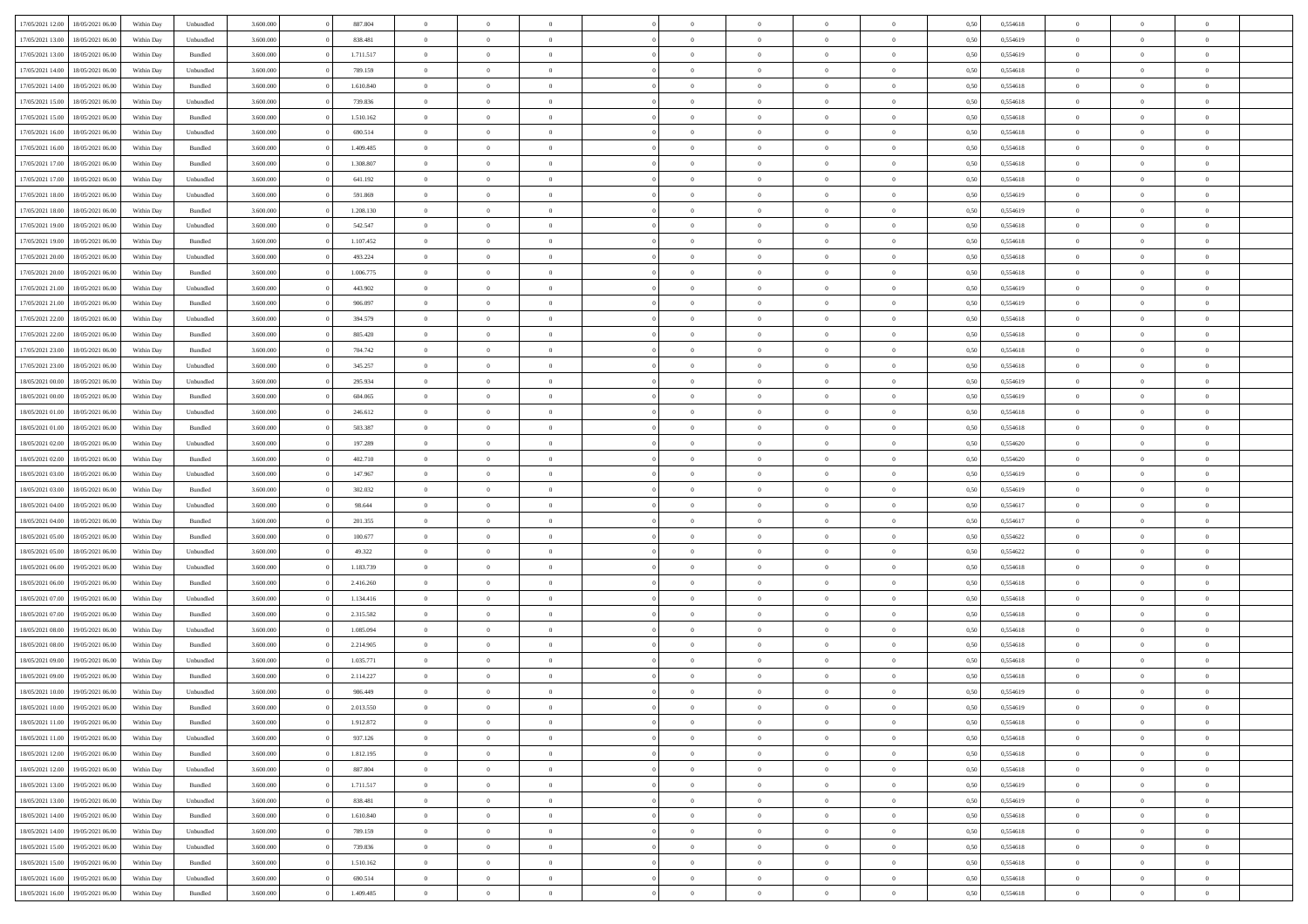| 17/05/2021 12:00 | 18/05/2021 06:00 | Within Day | Unbundled          | 3.600.000 | 887.804   | $\overline{0}$ | $\Omega$       |                | $\Omega$       | $\Omega$       | $\theta$       | $\theta$       | 0,50 | 0,554618 | $\theta$       | $\theta$       | $\theta$       |  |
|------------------|------------------|------------|--------------------|-----------|-----------|----------------|----------------|----------------|----------------|----------------|----------------|----------------|------|----------|----------------|----------------|----------------|--|
|                  |                  |            |                    |           |           |                |                |                |                |                |                |                |      |          |                |                |                |  |
| 17/05/2021 13:00 | 18/05/2021 06:00 | Within Day | Unbundled          | 3.600.000 | 838.481   | $\overline{0}$ | $\theta$       | $\overline{0}$ | $\overline{0}$ | $\bf{0}$       | $\overline{0}$ | $\bf{0}$       | 0,50 | 0,554619 | $\theta$       | $\theta$       | $\overline{0}$ |  |
| 17/05/2021 13:00 | 18/05/2021 06:00 | Within Day | Bundled            | 3.600.000 | 1.711.517 | $\overline{0}$ | $\overline{0}$ | $\overline{0}$ | $\overline{0}$ | $\bf{0}$       | $\overline{0}$ | $\bf{0}$       | 0,50 | 0,554619 | $\bf{0}$       | $\overline{0}$ | $\overline{0}$ |  |
| 17/05/2021 14:00 | 18/05/2021 06:00 | Within Dav | Unbundled          | 3.600.000 | 789.159   | $\overline{0}$ | $\overline{0}$ | $\overline{0}$ | $\overline{0}$ | $\bf{0}$       | $\overline{0}$ | $\overline{0}$ | 0.50 | 0.554618 | $\theta$       | $\theta$       | $\overline{0}$ |  |
|                  |                  |            |                    |           |           |                |                |                |                |                |                |                |      |          |                |                |                |  |
| 17/05/2021 14:00 | 18/05/2021 06:00 | Within Day | Bundled            | 3.600.000 | 1.610.840 | $\overline{0}$ | $\theta$       | $\overline{0}$ | $\overline{0}$ | $\bf{0}$       | $\overline{0}$ | $\bf{0}$       | 0,50 | 0,554618 | $\theta$       | $\overline{0}$ | $\overline{0}$ |  |
| 17/05/2021 15:00 | 18/05/2021 06:00 | Within Day | Unbundled          | 3.600.000 | 739.836   | $\overline{0}$ | $\bf{0}$       | $\overline{0}$ | $\overline{0}$ | $\overline{0}$ | $\overline{0}$ | $\mathbf{0}$   | 0,50 | 0,554618 | $\bf{0}$       | $\overline{0}$ | $\bf{0}$       |  |
| 17/05/2021 15:00 | 18/05/2021 06:00 | Within Dav | Bundled            | 3.600.000 | 1.510.162 | $\overline{0}$ | $\overline{0}$ | $\overline{0}$ | $\overline{0}$ | $\overline{0}$ | $\overline{0}$ | $\overline{0}$ | 0.50 | 0,554618 | $\theta$       | $\overline{0}$ | $\overline{0}$ |  |
| 17/05/2021 16:00 | 18/05/2021 06:00 | Within Day | Unbundled          | 3.600.000 | 690.514   | $\overline{0}$ | $\theta$       | $\overline{0}$ | $\overline{0}$ | $\bf{0}$       | $\overline{0}$ | $\bf{0}$       | 0,50 | 0,554618 | $\theta$       | $\theta$       | $\overline{0}$ |  |
|                  | 18/05/2021 06:00 | Within Day | Bundled            | 3.600.000 | 1.409.485 | $\overline{0}$ | $\overline{0}$ | $\overline{0}$ | $\bf{0}$       | $\bf{0}$       | $\bf{0}$       | $\bf{0}$       | 0,50 | 0,554618 | $\,0\,$        | $\overline{0}$ | $\overline{0}$ |  |
| 17/05/2021 16:00 |                  |            |                    |           |           |                |                |                |                |                |                |                |      |          |                |                |                |  |
| 17/05/2021 17:00 | 18/05/2021 06:00 | Within Dav | Bundled            | 3.600.000 | 1.308.807 | $\overline{0}$ | $\overline{0}$ | $\overline{0}$ | $\overline{0}$ | $\overline{0}$ | $\overline{0}$ | $\overline{0}$ | 0.50 | 0.554618 | $\theta$       | $\overline{0}$ | $\overline{0}$ |  |
| 17/05/2021 17:00 | 18/05/2021 06:00 | Within Day | Unbundled          | 3.600.000 | 641.192   | $\overline{0}$ | $\theta$       | $\overline{0}$ | $\overline{0}$ | $\bf{0}$       | $\overline{0}$ | $\bf{0}$       | 0,50 | 0,554618 | $\,$ 0 $\,$    | $\overline{0}$ | $\overline{0}$ |  |
| 17/05/2021 18:00 | 18/05/2021 06:00 | Within Day | Unbundled          | 3.600.000 | 591.869   | $\overline{0}$ | $\overline{0}$ | $\overline{0}$ | $\bf{0}$       | $\bf{0}$       | $\bf{0}$       | $\bf{0}$       | 0,50 | 0,554619 | $\overline{0}$ | $\overline{0}$ | $\overline{0}$ |  |
| 17/05/2021 18:00 | 18/05/2021 06:00 | Within Day | Bundled            | 3.600.000 | 1.208.130 | $\overline{0}$ | $\overline{0}$ | $\overline{0}$ | $\overline{0}$ | $\bf{0}$       | $\overline{0}$ | $\overline{0}$ | 0.50 | 0.554619 | $\theta$       | $\theta$       | $\overline{0}$ |  |
|                  |                  |            |                    |           |           | $\overline{0}$ | $\theta$       | $\overline{0}$ |                | $\bf{0}$       | $\overline{0}$ |                |      |          | $\theta$       | $\overline{0}$ | $\overline{0}$ |  |
| 17/05/2021 19:00 | 18/05/2021 06:00 | Within Day | Unbundled          | 3.600.000 | 542.547   |                |                |                | $\overline{0}$ |                |                | $\bf{0}$       | 0,50 | 0,554618 |                |                |                |  |
| 17/05/2021 19:00 | 18/05/2021 06:00 | Within Day | Bundled            | 3.600.000 | 1.107.452 | $\overline{0}$ | $\overline{0}$ | $\overline{0}$ | $\bf{0}$       | $\overline{0}$ | $\overline{0}$ | $\mathbf{0}$   | 0,50 | 0,554618 | $\overline{0}$ | $\overline{0}$ | $\bf{0}$       |  |
| 17/05/2021 20:00 | 18/05/2021 06:00 | Within Dav | Unbundled          | 3.600.000 | 493.224   | $\overline{0}$ | $\overline{0}$ | $\overline{0}$ | $\overline{0}$ | $\overline{0}$ | $\overline{0}$ | $\overline{0}$ | 0.50 | 0.554618 | $\theta$       | $\overline{0}$ | $\overline{0}$ |  |
| 17/05/2021 20:00 | 18/05/2021 06:00 | Within Day | Bundled            | 3.600.000 | 1.006.775 | $\overline{0}$ | $\theta$       | $\overline{0}$ | $\overline{0}$ | $\bf{0}$       | $\overline{0}$ | $\bf{0}$       | 0,50 | 0,554618 | $\theta$       | $\theta$       | $\overline{0}$ |  |
| 17/05/2021 21:00 | 18/05/2021 06:00 | Within Day | Unbundled          | 3.600.000 | 443.902   | $\overline{0}$ | $\overline{0}$ | $\overline{0}$ | $\bf{0}$       | $\bf{0}$       | $\bf{0}$       | $\bf{0}$       | 0,50 | 0,554619 | $\,0\,$        | $\overline{0}$ | $\overline{0}$ |  |
|                  |                  |            |                    |           |           |                |                |                |                |                |                |                |      |          |                |                |                |  |
| 17/05/2021 21:00 | 18/05/2021 06:00 | Within Day | Bundled            | 3.600.000 | 906,097   | $\overline{0}$ | $\overline{0}$ | $\overline{0}$ | $\overline{0}$ | $\overline{0}$ | $\overline{0}$ | $\overline{0}$ | 0.50 | 0,554619 | $\theta$       | $\overline{0}$ | $\overline{0}$ |  |
| 17/05/2021 22:00 | 18/05/2021 06:00 | Within Day | Unbundled          | 3.600.000 | 394.579   | $\overline{0}$ | $\theta$       | $\overline{0}$ | $\overline{0}$ | $\bf{0}$       | $\overline{0}$ | $\bf{0}$       | 0,50 | 0,554618 | $\,$ 0 $\,$    | $\theta$       | $\overline{0}$ |  |
| 17/05/2021 22.00 | 18/05/2021 06:00 | Within Day | Bundled            | 3.600.000 | 805.420   | $\overline{0}$ | $\overline{0}$ | $\overline{0}$ | $\overline{0}$ | $\bf{0}$       | $\overline{0}$ | $\bf{0}$       | 0,50 | 0,554618 | $\bf{0}$       | $\overline{0}$ | $\overline{0}$ |  |
| 17/05/2021 23:00 | 18/05/2021 06:00 | Within Day | Bundled            | 3.600.000 | 704.742   | $\overline{0}$ | $\overline{0}$ | $\overline{0}$ | $\overline{0}$ | $\bf{0}$       | $\overline{0}$ | $\overline{0}$ | 0.50 | 0.554618 | $\theta$       | $\overline{0}$ | $\overline{0}$ |  |
| 17/05/2021 23:00 | 18/05/2021 06:00 |            |                    | 3.600.000 | 345.257   | $\overline{0}$ | $\theta$       | $\overline{0}$ | $\overline{0}$ | $\bf{0}$       | $\overline{0}$ |                |      | 0,554618 | $\,$ 0 $\,$    | $\overline{0}$ | $\overline{0}$ |  |
|                  |                  | Within Day | Unbundled          |           |           |                |                |                |                |                |                | $\bf{0}$       | 0,50 |          |                |                |                |  |
| 18/05/2021 00:00 | 18/05/2021 06:00 | Within Day | Unbundled          | 3.600.000 | 295.934   | $\overline{0}$ | $\bf{0}$       | $\overline{0}$ | $\overline{0}$ | $\overline{0}$ | $\overline{0}$ | $\mathbf{0}$   | 0,50 | 0,554619 | $\bf{0}$       | $\overline{0}$ | $\bf{0}$       |  |
| 18/05/2021 00:00 | 18/05/2021 06:00 | Within Dav | Bundled            | 3.600.000 | 604.065   | $\overline{0}$ | $\overline{0}$ | $\overline{0}$ | $\overline{0}$ | $\overline{0}$ | $\overline{0}$ | $\overline{0}$ | 0.50 | 0,554619 | $\theta$       | $\overline{0}$ | $\overline{0}$ |  |
| 18/05/2021 01:00 | 18/05/2021 06:00 | Within Day | Unbundled          | 3.600.000 | 246.612   | $\overline{0}$ | $\theta$       | $\overline{0}$ | $\overline{0}$ | $\bf{0}$       | $\overline{0}$ | $\bf{0}$       | 0,50 | 0,554618 | $\theta$       | $\theta$       | $\overline{0}$ |  |
| 18/05/2021 01:00 | 18/05/2021 06:00 | Within Day | Bundled            | 3.600.000 | 503.387   | $\overline{0}$ | $\overline{0}$ | $\overline{0}$ | $\overline{0}$ | $\bf{0}$       | $\overline{0}$ | $\bf{0}$       | 0,50 | 0,554618 | $\,0\,$        | $\overline{0}$ | $\overline{0}$ |  |
|                  | 18/05/2021 06:00 |            | Unbundled          | 3.600.000 | 197.289   | $\overline{0}$ | $\overline{0}$ | $\overline{0}$ | $\overline{0}$ | $\overline{0}$ | $\overline{0}$ | $\overline{0}$ | 0.50 | 0,554620 | $\theta$       | $\overline{0}$ | $\overline{0}$ |  |
| 18/05/2021 02:00 |                  | Within Day |                    |           |           |                |                |                |                |                |                |                |      |          |                |                |                |  |
| 18/05/2021 02:00 | 18/05/2021 06:00 | Within Day | Bundled            | 3.600.000 | 402.710   | $\overline{0}$ | $\theta$       | $\overline{0}$ | $\overline{0}$ | $\bf{0}$       | $\overline{0}$ | $\bf{0}$       | 0,50 | 0,554620 | $\,$ 0 $\,$    | $\overline{0}$ | $\overline{0}$ |  |
| 18/05/2021 03:00 | 18/05/2021 06:00 | Within Day | Unbundled          | 3.600.000 | 147.967   | $\overline{0}$ | $\overline{0}$ | $\overline{0}$ | $\overline{0}$ | $\bf{0}$       | $\overline{0}$ | $\bf{0}$       | 0,50 | 0,554619 | $\bf{0}$       | $\overline{0}$ | $\overline{0}$ |  |
| 18/05/2021 03:00 | 18/05/2021 06:00 | Within Day | Bundled            | 3.600.000 | 302.032   | $\overline{0}$ | $\Omega$       | $\Omega$       | $\Omega$       | $\Omega$       | $\Omega$       | $\overline{0}$ | 0,50 | 0,554619 | $\,0\,$        | $\theta$       | $\theta$       |  |
| 18/05/2021 04:00 | 18/05/2021 06:00 | Within Day | Unbundled          | 3.600.000 | 98.644    | $\overline{0}$ | $\theta$       | $\overline{0}$ | $\overline{0}$ | $\bf{0}$       | $\overline{0}$ | $\bf{0}$       | 0,50 | 0,554617 | $\,$ 0 $\,$    | $\overline{0}$ | $\overline{0}$ |  |
|                  |                  |            |                    |           |           |                |                |                |                |                |                |                |      |          |                |                |                |  |
| 18/05/2021 04:00 | 18/05/2021 06:00 | Within Day | Bundled            | 3.600.000 | 201.355   | $\overline{0}$ | $\overline{0}$ | $\overline{0}$ | $\overline{0}$ | $\bf{0}$       | $\overline{0}$ | $\mathbf{0}$   | 0,50 | 0,554617 | $\bf{0}$       | $\overline{0}$ | $\bf{0}$       |  |
| 18/05/2021 05:00 | 18/05/2021 06:00 | Within Day | Bundled            | 3.600,000 | 100,677   | $\overline{0}$ | $\Omega$       | $\Omega$       | $\Omega$       | $\bf{0}$       | $\overline{0}$ | $\overline{0}$ | 0.50 | 0.554622 | $\theta$       | $\theta$       | $\theta$       |  |
| 18/05/2021 05:00 | 18/05/2021 06:00 | Within Day | Unbundled          | 3.600.000 | 49.322    | $\overline{0}$ | $\theta$       | $\overline{0}$ | $\overline{0}$ | $\bf{0}$       | $\overline{0}$ | $\bf{0}$       | 0,50 | 0,554622 | $\,$ 0 $\,$    | $\theta$       | $\overline{0}$ |  |
| 18/05/2021 06:00 | 19/05/2021 06:00 | Within Day | Unbundled          | 3.600.000 | 1.183.739 | $\overline{0}$ | $\overline{0}$ | $\overline{0}$ | $\overline{0}$ | $\bf{0}$       | $\overline{0}$ | $\bf{0}$       | 0,50 | 0,554618 | $\,0\,$        | $\overline{0}$ | $\overline{0}$ |  |
| 18/05/2021 06:00 | 19/05/2021 06:00 | Within Day | Bundled            | 3.600,000 | 2.416.260 | $\overline{0}$ | $\Omega$       | $\Omega$       | $\Omega$       | $\theta$       | $\theta$       | $\overline{0}$ | 0.50 | 0.554618 | $\theta$       | $\theta$       | $\theta$       |  |
|                  |                  |            |                    |           |           |                |                |                |                |                |                |                |      |          |                |                |                |  |
| 18/05/2021 07:00 | 19/05/2021 06:00 | Within Day | Unbundled          | 3.600.000 | 1.134.416 | $\overline{0}$ | $\theta$       | $\overline{0}$ | $\overline{0}$ | $\bf{0}$       | $\overline{0}$ | $\bf{0}$       | 0,50 | 0,554618 | $\,$ 0 $\,$    | $\overline{0}$ | $\overline{0}$ |  |
| 18/05/2021 07:00 | 19/05/2021 06:00 | Within Day | Bundled            | 3.600.000 | 2.315.582 | $\overline{0}$ | $\overline{0}$ | $\overline{0}$ | $\overline{0}$ | $\bf{0}$       | $\overline{0}$ | $\bf{0}$       | 0,50 | 0,554618 | $\bf{0}$       | $\overline{0}$ | $\overline{0}$ |  |
| 18/05/2021 08:00 | 19/05/2021 06:00 | Within Day | Unbundled          | 3.600.000 | 1.085.094 | $\overline{0}$ | $\Omega$       | $\overline{0}$ | $\Omega$       | $\Omega$       | $\overline{0}$ | $\overline{0}$ | 0,50 | 0,554618 | $\,0\,$        | $\theta$       | $\theta$       |  |
| 18/05/2021 08:00 | 19/05/2021 06:00 | Within Day | Bundled            | 3.600.000 | 2.214.905 | $\overline{0}$ | $\theta$       | $\overline{0}$ | $\overline{0}$ | $\bf{0}$       | $\overline{0}$ | $\bf{0}$       | 0,50 | 0,554618 | $\,$ 0 $\,$    | $\overline{0}$ | $\overline{0}$ |  |
| 18/05/2021 09:00 | 19/05/2021 06:00 | Within Day | Unbundled          | 3.600.000 | 1.035.771 | $\overline{0}$ | $\overline{0}$ | $\overline{0}$ | $\overline{0}$ | $\bf{0}$       | $\overline{0}$ | $\mathbf{0}$   | 0,50 | 0,554618 | $\bf{0}$       | $\overline{0}$ | $\bf{0}$       |  |
|                  |                  |            |                    |           |           |                |                |                |                |                |                |                |      |          |                |                |                |  |
| 18/05/2021 09:00 | 19/05/2021 06:00 | Within Day | Bundled            | 3.600,000 | 2.114.227 | $\overline{0}$ | $\Omega$       | $\Omega$       | $\Omega$       | $\Omega$       | $\Omega$       | $\overline{0}$ | 0.50 | 0.554618 | $\theta$       | $\theta$       | $\theta$       |  |
| 18/05/2021 10:00 | 19/05/2021 06:00 | Within Day | Unbundled          | 3.600.000 | 986.449   | $\overline{0}$ | $\overline{0}$ | $\overline{0}$ | $\bf{0}$       | $\,$ 0         | $\overline{0}$ | $\bf{0}$       | 0,50 | 0,554619 | $\,0\,$        | $\overline{0}$ | $\overline{0}$ |  |
| 18/05/2021 10:00 | 19/05/2021 06:00 | Within Day | $\mathbf B$ undled | 3.600.000 | 2.013.550 | $\bf{0}$       | $\bf{0}$       |                |                |                |                |                | 0,50 | 0,554619 | $\bf{0}$       | $\overline{0}$ |                |  |
| 18/05/2021 11:00 | 19/05/2021 06:00 | Within Day | Bundled            | 3.600.000 | 1.912.872 | $\overline{0}$ | $\overline{0}$ | $\overline{0}$ | $\Omega$       | $\overline{0}$ | $\overline{0}$ | $\overline{0}$ | 0.50 | 0.554618 | $\theta$       | $\theta$       | $\theta$       |  |
| 18/05/2021 11:00 | 19/05/2021 06:00 | Within Day | Unbundled          | 3.600.000 | 937.126   | $\overline{0}$ | $\,$ 0         | $\overline{0}$ | $\overline{0}$ | $\,$ 0 $\,$    | $\overline{0}$ | $\,$ 0 $\,$    | 0,50 | 0,554618 | $\,$ 0 $\,$    | $\,$ 0 $\,$    | $\,$ 0         |  |
|                  |                  |            |                    |           |           |                |                |                |                |                |                |                |      |          |                |                |                |  |
| 18/05/2021 12:00 | 19/05/2021 06:00 | Within Day | Bundled            | 3.600.000 | 1.812.195 | $\overline{0}$ | $\overline{0}$ | $\overline{0}$ | $\overline{0}$ | $\overline{0}$ | $\overline{0}$ | $\mathbf{0}$   | 0,50 | 0,554618 | $\overline{0}$ | $\bf{0}$       | $\overline{0}$ |  |
| 18/05/2021 12:00 | 19/05/2021 06:00 | Within Day | Unbundled          | 3.600.000 | 887.804   | $\overline{0}$ | $\overline{0}$ | $\overline{0}$ | $\Omega$       | $\overline{0}$ | $\overline{0}$ | $\overline{0}$ | 0,50 | 0,554618 | $\overline{0}$ | $\theta$       | $\overline{0}$ |  |
| 18/05/2021 13:00 | 19/05/2021 06:00 | Within Day | Bundled            | 3.600.000 | 1.711.517 | $\overline{0}$ | $\,$ 0         | $\overline{0}$ | $\overline{0}$ | $\,$ 0 $\,$    | $\overline{0}$ | $\mathbf{0}$   | 0,50 | 0,554619 | $\,$ 0 $\,$    | $\overline{0}$ | $\overline{0}$ |  |
| 18/05/2021 13:00 | 19/05/2021 06:00 | Within Day | Unbundled          | 3.600.000 | 838.481   | $\overline{0}$ | $\overline{0}$ | $\overline{0}$ | $\overline{0}$ | $\overline{0}$ | $\overline{0}$ | $\mathbf{0}$   | 0,50 | 0,554619 | $\overline{0}$ | $\overline{0}$ | $\overline{0}$ |  |
| 18/05/2021 14:00 | 19/05/2021 06:00 |            | Bundled            | 3.600,000 | 1.610.840 | $\overline{0}$ | $\overline{0}$ | $\overline{0}$ | $\Omega$       | $\overline{0}$ | $\overline{0}$ | $\bf{0}$       | 0.50 | 0,554618 | $\overline{0}$ | $\theta$       | $\overline{0}$ |  |
|                  |                  | Within Day |                    |           |           |                |                |                |                |                |                |                |      |          |                |                |                |  |
| 18/05/2021 14:00 | 19/05/2021 06:00 | Within Day | Unbundled          | 3.600.000 | 789.159   | $\overline{0}$ | $\,$ 0         | $\overline{0}$ | $\overline{0}$ | $\bf{0}$       | $\overline{0}$ | $\bf{0}$       | 0,50 | 0,554618 | $\,$ 0 $\,$    | $\overline{0}$ | $\overline{0}$ |  |
| 18/05/2021 15:00 | 19/05/2021 06:00 | Within Day | Unbundled          | 3.600.000 | 739.836   | $\overline{0}$ | $\bf{0}$       | $\overline{0}$ | $\overline{0}$ | $\overline{0}$ | $\overline{0}$ | $\mathbf{0}$   | 0,50 | 0,554618 | $\overline{0}$ | $\overline{0}$ | $\bf{0}$       |  |
| 18/05/2021 15:00 | 19/05/2021 06:00 | Within Day | Bundled            | 3.600,000 | 1.510.162 | $\overline{0}$ | $\overline{0}$ | $\overline{0}$ | $\Omega$       | $\overline{0}$ | $\overline{0}$ | $\bf{0}$       | 0.50 | 0,554618 | $\overline{0}$ | $\overline{0}$ | $\overline{0}$ |  |
| 18/05/2021 16:00 | 19/05/2021 06:00 | Within Day | Unbundled          | 3.600.000 | 690.514   | $\overline{0}$ | $\bf{0}$       | $\overline{0}$ | $\bf{0}$       | $\bf{0}$       | $\bf{0}$       | $\mathbf{0}$   | 0,50 | 0,554618 | $\,$ 0 $\,$    | $\,$ 0 $\,$    | $\bf{0}$       |  |
|                  |                  |            |                    |           |           |                |                |                |                |                |                |                |      |          |                |                |                |  |
| 18/05/2021 16:00 | 19/05/2021 06:00 | Within Day | Bundled            | 3.600.000 | 1.409.485 | $\overline{0}$ | $\overline{0}$ | $\overline{0}$ | $\overline{0}$ | $\overline{0}$ | $\bf{0}$       | $\mathbf{0}$   | 0,50 | 0,554618 | $\overline{0}$ | $\bf{0}$       | $\overline{0}$ |  |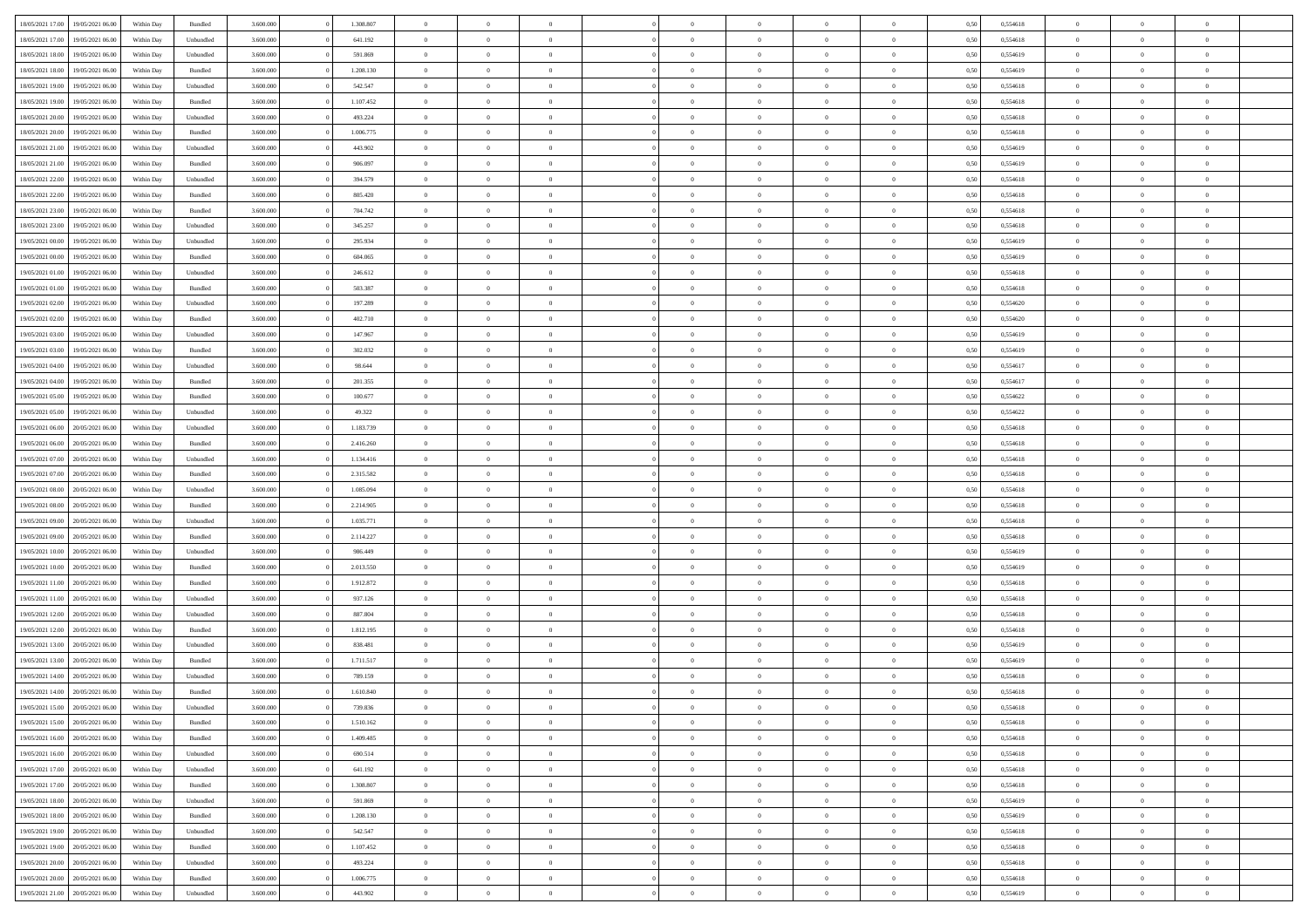| 18/05/2021 17:00 | 19/05/2021 06:00 | Within Day | Bundled   | 3.600.000 | 1.308.807 | $\overline{0}$ | $\Omega$       |                | $\Omega$       | $\Omega$       | $\theta$       | $\theta$       | 0,50 | 0,554618 | $\theta$       | $\theta$       | $\theta$       |  |
|------------------|------------------|------------|-----------|-----------|-----------|----------------|----------------|----------------|----------------|----------------|----------------|----------------|------|----------|----------------|----------------|----------------|--|
|                  |                  |            |           |           |           |                |                |                |                |                |                |                |      |          |                |                |                |  |
| 18/05/2021 17:00 | 19/05/2021 06:00 | Within Day | Unbundled | 3.600.000 | 641.192   | $\overline{0}$ | $\theta$       | $\overline{0}$ | $\overline{0}$ | $\bf{0}$       | $\overline{0}$ | $\bf{0}$       | 0,50 | 0,554618 | $\theta$       | $\theta$       | $\overline{0}$ |  |
| 18/05/2021 18:00 | 19/05/2021 06:00 | Within Day | Unbundled | 3.600.000 | 591.869   | $\overline{0}$ | $\bf{0}$       | $\overline{0}$ | $\bf{0}$       | $\bf{0}$       | $\bf{0}$       | $\bf{0}$       | 0,50 | 0,554619 | $\overline{0}$ | $\overline{0}$ | $\overline{0}$ |  |
| 18/05/2021 18:00 | 19/05/2021 06:00 | Within Dav | Bundled   | 3.600,000 | 1.208.130 | $\overline{0}$ | $\overline{0}$ | $\overline{0}$ | $\overline{0}$ | $\bf{0}$       | $\overline{0}$ | $\overline{0}$ | 0.50 | 0.554619 | $\theta$       | $\theta$       | $\overline{0}$ |  |
| 18/05/2021 19:00 | 19/05/2021 06:00 | Within Day | Unbundled | 3.600.000 | 542.547   | $\overline{0}$ | $\theta$       | $\overline{0}$ | $\overline{0}$ | $\bf{0}$       | $\overline{0}$ | $\bf{0}$       | 0,50 | 0,554618 | $\theta$       | $\overline{0}$ | $\overline{0}$ |  |
| 18/05/2021 19:00 | 19/05/2021 06:00 | Within Day | Bundled   | 3.600.000 | 1.107.452 | $\overline{0}$ | $\overline{0}$ | $\overline{0}$ | $\bf{0}$       | $\overline{0}$ | $\overline{0}$ | $\mathbf{0}$   | 0,50 | 0,554618 | $\overline{0}$ | $\overline{0}$ | $\bf{0}$       |  |
|                  |                  |            |           |           |           |                |                |                |                | $\overline{0}$ |                |                |      |          | $\theta$       | $\overline{0}$ | $\overline{0}$ |  |
| 18/05/2021 20:00 | 19/05/2021 06:00 | Within Dav | Unbundled | 3.600.000 | 493.224   | $\overline{0}$ | $\overline{0}$ | $\overline{0}$ | $\overline{0}$ |                | $\overline{0}$ | $\overline{0}$ | 0.50 | 0,554618 |                |                |                |  |
| 18/05/2021 20:00 | 19/05/2021 06:00 | Within Day | Bundled   | 3.600.000 | 1.006.775 | $\overline{0}$ | $\theta$       | $\overline{0}$ | $\overline{0}$ | $\bf{0}$       | $\overline{0}$ | $\bf{0}$       | 0,50 | 0,554618 | $\theta$       | $\theta$       | $\overline{0}$ |  |
| 18/05/2021 21:00 | 19/05/2021 06:00 | Within Day | Unbundled | 3.600.000 | 443.902   | $\overline{0}$ | $\overline{0}$ | $\overline{0}$ | $\bf{0}$       | $\bf{0}$       | $\bf{0}$       | $\bf{0}$       | 0,50 | 0,554619 | $\,0\,$        | $\overline{0}$ | $\overline{0}$ |  |
| 18/05/2021 21:00 | 19/05/2021 06:00 | Within Dav | Bundled   | 3.600.000 | 906.097   | $\overline{0}$ | $\overline{0}$ | $\overline{0}$ | $\overline{0}$ | $\overline{0}$ | $\overline{0}$ | $\overline{0}$ | 0.50 | 0.554619 | $\theta$       | $\overline{0}$ | $\overline{0}$ |  |
| 18/05/2021 22:00 | 19/05/2021 06:00 | Within Day | Unbundled | 3.600.000 | 394.579   | $\overline{0}$ | $\theta$       | $\overline{0}$ | $\overline{0}$ | $\bf{0}$       | $\overline{0}$ | $\bf{0}$       | 0,50 | 0,554618 | $\,$ 0 $\,$    | $\overline{0}$ | $\overline{0}$ |  |
| 18/05/2021 22:00 | 19/05/2021 06:00 | Within Day | Bundled   | 3.600.000 | 805.420   | $\overline{0}$ | $\overline{0}$ | $\overline{0}$ | $\bf{0}$       | $\bf{0}$       | $\bf{0}$       | $\mathbf{0}$   | 0,50 | 0,554618 | $\overline{0}$ | $\overline{0}$ | $\overline{0}$ |  |
| 18/05/2021 23:00 | 19/05/2021 06:00 | Within Day | Bundled   | 3.600.000 | 704.742   | $\overline{0}$ | $\overline{0}$ | $\overline{0}$ | $\overline{0}$ | $\bf{0}$       | $\overline{0}$ | $\overline{0}$ | 0.50 | 0.554618 | $\theta$       | $\theta$       | $\overline{0}$ |  |
|                  |                  |            |           |           |           | $\overline{0}$ | $\theta$       | $\overline{0}$ | $\overline{0}$ | $\bf{0}$       | $\overline{0}$ |                |      |          | $\theta$       | $\overline{0}$ | $\overline{0}$ |  |
| 18/05/2021 23:00 | 19/05/2021 06:00 | Within Day | Unbundled | 3.600.000 | 345.257   |                |                |                |                |                |                | $\bf{0}$       | 0,50 | 0,554618 |                |                |                |  |
| 19/05/2021 00:00 | 19/05/2021 06:00 | Within Day | Unbundled | 3.600.000 | 295.934   | $\overline{0}$ | $\overline{0}$ | $\overline{0}$ | $\bf{0}$       | $\overline{0}$ | $\overline{0}$ | $\mathbf{0}$   | 0,50 | 0,554619 | $\overline{0}$ | $\overline{0}$ | $\bf{0}$       |  |
| 19/05/2021 00:00 | 19/05/2021 06:00 | Within Dav | Bundled   | 3.600.000 | 604.065   | $\overline{0}$ | $\overline{0}$ | $\overline{0}$ | $\overline{0}$ | $\overline{0}$ | $\overline{0}$ | $\overline{0}$ | 0.50 | 0.554619 | $\theta$       | $\overline{0}$ | $\overline{0}$ |  |
| 19/05/2021 01:00 | 19/05/2021 06:00 | Within Day | Unbundled | 3.600.000 | 246.612   | $\overline{0}$ | $\theta$       | $\overline{0}$ | $\overline{0}$ | $\bf{0}$       | $\overline{0}$ | $\bf{0}$       | 0,50 | 0,554618 | $\theta$       | $\theta$       | $\overline{0}$ |  |
| 19/05/2021 01:00 | 19/05/2021 06:00 | Within Day | Bundled   | 3.600.000 | 503.387   | $\overline{0}$ | $\overline{0}$ | $\overline{0}$ | $\bf{0}$       | $\bf{0}$       | $\bf{0}$       | $\mathbf{0}$   | 0,50 | 0,554618 | $\,0\,$        | $\overline{0}$ | $\overline{0}$ |  |
| 19/05/2021 02:00 | 19/05/2021 06:00 | Within Day | Unbundled | 3.600.000 | 197.289   | $\overline{0}$ | $\overline{0}$ | $\overline{0}$ | $\overline{0}$ | $\overline{0}$ | $\overline{0}$ | $\overline{0}$ | 0.50 | 0,554620 | $\theta$       | $\overline{0}$ | $\overline{0}$ |  |
| 19/05/2021 02:00 | 19/05/2021 06:00 | Within Day | Bundled   | 3.600.000 | 402.710   | $\overline{0}$ | $\theta$       | $\overline{0}$ | $\overline{0}$ | $\bf{0}$       | $\overline{0}$ | $\bf{0}$       | 0,50 | 0,554620 | $\,$ 0 $\,$    | $\theta$       | $\overline{0}$ |  |
|                  |                  |            |           |           |           |                |                |                |                |                |                |                |      |          |                |                |                |  |
| 19/05/2021 03:00 | 19/05/2021 06:00 | Within Day | Unbundled | 3.600.000 | 147.967   | $\overline{0}$ | $\overline{0}$ | $\overline{0}$ | $\bf{0}$       | $\bf{0}$       | $\bf{0}$       | $\bf{0}$       | 0,50 | 0,554619 | $\bf{0}$       | $\overline{0}$ | $\overline{0}$ |  |
| 19/05/2021 03:00 | 19/05/2021 06:00 | Within Day | Bundled   | 3.600,000 | 302.032   | $\overline{0}$ | $\overline{0}$ | $\overline{0}$ | $\overline{0}$ | $\bf{0}$       | $\overline{0}$ | $\overline{0}$ | 0.50 | 0.554619 | $\theta$       | $\overline{0}$ | $\overline{0}$ |  |
| 19/05/2021 04:00 | 19/05/2021 06:00 | Within Day | Unbundled | 3.600.000 | 98.644    | $\overline{0}$ | $\theta$       | $\overline{0}$ | $\overline{0}$ | $\bf{0}$       | $\overline{0}$ | $\bf{0}$       | 0,50 | 0,554617 | $\,$ 0 $\,$    | $\overline{0}$ | $\overline{0}$ |  |
| 19/05/2021 04:00 | 19/05/2021 06:00 | Within Day | Bundled   | 3.600.000 | 201.355   | $\overline{0}$ | $\overline{0}$ | $\overline{0}$ | $\bf{0}$       | $\overline{0}$ | $\overline{0}$ | $\mathbf{0}$   | 0,50 | 0,554617 | $\overline{0}$ | $\overline{0}$ | $\bf{0}$       |  |
| 19/05/2021 05:00 | 19/05/2021 06:00 | Within Dav | Bundled   | 3.600.000 | 100.677   | $\overline{0}$ | $\overline{0}$ | $\overline{0}$ | $\overline{0}$ | $\overline{0}$ | $\overline{0}$ | $\overline{0}$ | 0.50 | 0,554622 | $\theta$       | $\overline{0}$ | $\overline{0}$ |  |
| 19/05/2021 05:00 | 19/05/2021 06:00 | Within Day | Unbundled | 3.600.000 | 49.322    | $\overline{0}$ | $\theta$       | $\overline{0}$ | $\overline{0}$ | $\bf{0}$       | $\overline{0}$ | $\bf{0}$       | 0,50 | 0,554622 | $\theta$       | $\theta$       | $\overline{0}$ |  |
| 19/05/2021 06:00 | 20/05/2021 06:00 | Within Day | Unbundled | 3.600.000 | 1.183.739 | $\overline{0}$ | $\overline{0}$ | $\overline{0}$ | $\bf{0}$       | $\bf{0}$       | $\bf{0}$       | $\bf{0}$       | 0,50 | 0,554618 | $\,0\,$        | $\overline{0}$ | $\overline{0}$ |  |
| 19/05/2021 06:00 | 20/05/2021 06:00 |            | Bundled   | 3.600.000 | 2.416.260 | $\overline{0}$ | $\overline{0}$ | $\overline{0}$ | $\overline{0}$ | $\overline{0}$ | $\overline{0}$ | $\overline{0}$ | 0.50 | 0.554618 | $\theta$       | $\overline{0}$ | $\overline{0}$ |  |
|                  |                  | Within Day |           |           |           |                |                |                |                |                |                |                |      |          |                |                |                |  |
| 19/05/2021 07:00 | 20/05/2021 06:00 | Within Day | Unbundled | 3.600.000 | 1.134.416 | $\overline{0}$ | $\theta$       | $\overline{0}$ | $\overline{0}$ | $\bf{0}$       | $\overline{0}$ | $\bf{0}$       | 0,50 | 0,554618 | $\,$ 0 $\,$    | $\overline{0}$ | $\overline{0}$ |  |
| 19/05/2021 07:00 | 20/05/2021 06:00 | Within Day | Bundled   | 3.600.000 | 2.315.582 | $\overline{0}$ | $\overline{0}$ | $\overline{0}$ | $\bf{0}$       | $\bf{0}$       | $\bf{0}$       | $\bf{0}$       | 0,50 | 0,554618 | $\overline{0}$ | $\overline{0}$ | $\overline{0}$ |  |
| 19/05/2021 08:00 | 20/05/2021 06:00 | Within Day | Unbundled | 3.600.000 | 1.085.094 | $\overline{0}$ | $\Omega$       | $\Omega$       | $\Omega$       | $\Omega$       | $\Omega$       | $\overline{0}$ | 0,50 | 0,554618 | $\,0\,$        | $\theta$       | $\theta$       |  |
| 19/05/2021 08:00 | 20/05/2021 06:00 | Within Day | Bundled   | 3.600.000 | 2.214.905 | $\overline{0}$ | $\theta$       | $\overline{0}$ | $\overline{0}$ | $\bf{0}$       | $\overline{0}$ | $\bf{0}$       | 0,50 | 0,554618 | $\,$ 0 $\,$    | $\overline{0}$ | $\overline{0}$ |  |
| 19/05/2021 09:00 | 20/05/2021 06:00 | Within Day | Unbundled | 3.600.000 | 1.035.771 | $\overline{0}$ | $\overline{0}$ | $\overline{0}$ | $\bf{0}$       | $\bf{0}$       | $\overline{0}$ | $\mathbf{0}$   | 0,50 | 0,554618 | $\bf{0}$       | $\overline{0}$ | $\bf{0}$       |  |
| 19/05/2021 09:00 | 20/05/2021 06:00 | Within Day | Bundled   | 3.600,000 | 2.114.227 | $\overline{0}$ | $\Omega$       | $\Omega$       | $\Omega$       | $\bf{0}$       | $\overline{0}$ | $\overline{0}$ | 0.50 | 0.554618 | $\theta$       | $\theta$       | $\theta$       |  |
| 19/05/2021 10:00 | 20/05/2021 06:00 | Within Day | Unbundled | 3.600.000 | 986.449   | $\overline{0}$ | $\theta$       | $\overline{0}$ | $\overline{0}$ | $\bf{0}$       | $\overline{0}$ | $\bf{0}$       | 0,50 | 0,554619 | $\,$ 0 $\,$    | $\theta$       | $\overline{0}$ |  |
|                  |                  |            |           |           |           |                |                |                |                |                |                |                |      |          |                |                |                |  |
| 19/05/2021 10:00 | 20/05/2021 06:00 | Within Day | Bundled   | 3.600.000 | 2.013.550 | $\overline{0}$ | $\overline{0}$ | $\overline{0}$ | $\bf{0}$       | $\bf{0}$       | $\bf{0}$       | $\bf{0}$       | 0,50 | 0,554619 | $\bf{0}$       | $\overline{0}$ | $\overline{0}$ |  |
| 19/05/2021 11:00 | 20/05/2021 06:00 | Within Day | Bundled   | 3.600,000 | 1.912.872 | $\overline{0}$ | $\Omega$       | $\Omega$       | $\Omega$       | $\theta$       | $\theta$       | $\overline{0}$ | 0.50 | 0.554618 | $\theta$       | $\theta$       | $\theta$       |  |
| 19/05/2021 11:00 | 20/05/2021 06:00 | Within Day | Unbundled | 3.600.000 | 937.126   | $\overline{0}$ | $\theta$       | $\overline{0}$ | $\overline{0}$ | $\bf{0}$       | $\overline{0}$ | $\bf{0}$       | 0,50 | 0,554618 | $\,$ 0 $\,$    | $\overline{0}$ | $\overline{0}$ |  |
| 19/05/2021 12:00 | 20/05/2021 06:00 | Within Day | Unbundled | 3.600.000 | 887.804   | $\overline{0}$ | $\overline{0}$ | $\overline{0}$ | $\bf{0}$       | $\bf{0}$       | $\bf{0}$       | $\bf{0}$       | 0,50 | 0,554618 | $\bf{0}$       | $\overline{0}$ | $\overline{0}$ |  |
| 19/05/2021 12:00 | 20/05/2021 06:00 | Within Day | Bundled   | 3.600.000 | 1.812.195 | $\overline{0}$ | $\Omega$       | $\overline{0}$ | $\Omega$       | $\Omega$       | $\overline{0}$ | $\overline{0}$ | 0,50 | 0,554618 | $\,0\,$        | $\theta$       | $\theta$       |  |
| 19/05/2021 13:00 | 20/05/2021 06:00 | Within Day | Unbundled | 3.600.000 | 838.481   | $\overline{0}$ | $\theta$       | $\overline{0}$ | $\overline{0}$ | $\bf{0}$       | $\overline{0}$ | $\bf{0}$       | 0,50 | 0,554619 | $\,$ 0 $\,$    | $\overline{0}$ | $\overline{0}$ |  |
| 19/05/2021 13:00 | 20/05/2021 06:00 | Within Day | Bundled   | 3.600.000 | 1.711.517 | $\overline{0}$ | $\overline{0}$ | $\overline{0}$ | $\bf{0}$       | $\bf{0}$       | $\bf{0}$       | $\mathbf{0}$   | 0,50 | 0,554619 | $\bf{0}$       | $\overline{0}$ | $\bf{0}$       |  |
| 19/05/2021 14:00 | 20/05/2021 06:00 |            | Unbundled | 3.600,000 | 789.159   | $\overline{0}$ | $\Omega$       | $\Omega$       | $\Omega$       | $\Omega$       | $\Omega$       | $\overline{0}$ | 0.50 | 0.554618 | $\theta$       | $\theta$       | $\theta$       |  |
|                  |                  | Within Day |           |           |           |                |                |                |                |                |                |                |      |          |                |                |                |  |
| 19/05/2021 14:00 | 20/05/2021 06:00 | Within Day | Bundled   | 3.600.000 | 1.610.840 | $\overline{0}$ | $\overline{0}$ | $\overline{0}$ | $\bf{0}$       | $\,$ 0         | $\bf{0}$       | $\bf{0}$       | 0,50 | 0,554618 | $\,0\,$        | $\overline{0}$ | $\overline{0}$ |  |
| 19/05/2021 15:00 | 20/05/2021 06:00 | Within Day | Unbundled | 3.600.000 | 739.836   | $\bf{0}$       | $\bf{0}$       |                |                |                |                |                | 0,50 | 0,554618 | $\bf{0}$       | $\overline{0}$ |                |  |
| 19/05/2021 15:00 | 20/05/2021 06:00 | Within Day | Bundled   | 3.600,000 | 1.510.162 | $\overline{0}$ | $\overline{0}$ | $\overline{0}$ | $\Omega$       | $\overline{0}$ | $\overline{0}$ | $\overline{0}$ | 0.50 | 0.554618 | $\theta$       | $\theta$       | $\theta$       |  |
| 19/05/2021 16:00 | 20/05/2021 06:00 | Within Day | Bundled   | 3.600.000 | 1.409.485 | $\overline{0}$ | $\bf{0}$       | $\overline{0}$ | $\bf{0}$       | $\,$ 0 $\,$    | $\overline{0}$ | $\,$ 0 $\,$    | 0,50 | 0,554618 | $\,$ 0 $\,$    | $\,$ 0 $\,$    | $\,$ 0         |  |
| 19/05/2021 16:00 | 20/05/2021 06:00 | Within Day | Unbundled | 3.600.000 | 690.514   | $\overline{0}$ | $\overline{0}$ | $\overline{0}$ | $\overline{0}$ | $\overline{0}$ | $\overline{0}$ | $\mathbf{0}$   | 0,50 | 0,554618 | $\overline{0}$ | $\bf{0}$       | $\overline{0}$ |  |
| 19/05/2021 17:00 | 20/05/2021 06:00 | Within Day | Unbundled | 3.600.000 | 641.192   | $\overline{0}$ | $\overline{0}$ | $\overline{0}$ | $\Omega$       | $\overline{0}$ | $\overline{0}$ | $\overline{0}$ | 0,50 | 0,554618 | $\overline{0}$ | $\theta$       | $\overline{0}$ |  |
| 19/05/2021 17:00 | 20/05/2021 06:00 | Within Day | Bundled   | 3.600.000 | 1.308.807 | $\overline{0}$ | $\,$ 0         | $\overline{0}$ | $\bf{0}$       | $\,$ 0 $\,$    | $\overline{0}$ | $\mathbf{0}$   | 0,50 | 0,554618 | $\,$ 0 $\,$    | $\overline{0}$ | $\,$ 0         |  |
|                  |                  |            |           |           |           |                |                |                |                |                |                |                |      |          |                |                |                |  |
| 19/05/2021 18:00 | 20/05/2021 06:00 | Within Day | Unbundled | 3.600.000 | 591.869   | $\overline{0}$ | $\overline{0}$ | $\overline{0}$ | $\overline{0}$ | $\overline{0}$ | $\overline{0}$ | $\mathbf{0}$   | 0,50 | 0,554619 | $\overline{0}$ | $\overline{0}$ | $\bf{0}$       |  |
| 19/05/2021 18:00 | 20/05/2021 06:00 | Within Day | Bundled   | 3.600,000 | 1.208.130 | $\overline{0}$ | $\overline{0}$ | $\overline{0}$ | $\Omega$       | $\overline{0}$ | $\overline{0}$ | $\bf{0}$       | 0.50 | 0,554619 | $\overline{0}$ | $\theta$       | $\overline{0}$ |  |
| 19/05/2021 19:00 | 20/05/2021 06:00 | Within Day | Unbundled | 3.600.000 | 542.547   | $\overline{0}$ | $\,$ 0         | $\overline{0}$ | $\bf{0}$       | $\bf{0}$       | $\bf{0}$       | $\bf{0}$       | 0,50 | 0,554618 | $\,$ 0 $\,$    | $\overline{0}$ | $\overline{0}$ |  |
| 19/05/2021 19:00 | 20/05/2021 06:00 | Within Day | Bundled   | 3.600.000 | 1.107.452 | $\overline{0}$ | $\bf{0}$       | $\overline{0}$ | $\overline{0}$ | $\overline{0}$ | $\overline{0}$ | $\mathbf{0}$   | 0,50 | 0,554618 | $\overline{0}$ | $\overline{0}$ | $\bf{0}$       |  |
| 19/05/2021 20:00 | 20/05/2021 06:00 | Within Day | Unbundled | 3.600,000 | 493.224   | $\overline{0}$ | $\overline{0}$ | $\overline{0}$ | $\Omega$       | $\overline{0}$ | $\overline{0}$ | $\overline{0}$ | 0.50 | 0,554618 | $\overline{0}$ | $\overline{0}$ | $\overline{0}$ |  |
| 19/05/2021 20:00 | 20/05/2021 06:00 | Within Day | Bundled   | 3.600.000 | 1.006.775 | $\overline{0}$ | $\bf{0}$       | $\overline{0}$ | $\bf{0}$       | $\bf{0}$       | $\bf{0}$       | $\mathbf{0}$   | 0,50 | 0,554618 | $\,$ 0 $\,$    | $\,$ 0 $\,$    | $\bf{0}$       |  |
| 19/05/2021 21:00 | 20/05/2021 06:00 | Within Day | Unbundled | 3.600.000 | 443.902   | $\overline{0}$ | $\overline{0}$ | $\overline{0}$ | $\overline{0}$ | $\overline{0}$ | $\bf{0}$       | $\mathbf{0}$   | 0,50 | 0,554619 | $\overline{0}$ | $\bf{0}$       | $\overline{0}$ |  |
|                  |                  |            |           |           |           |                |                |                |                |                |                |                |      |          |                |                |                |  |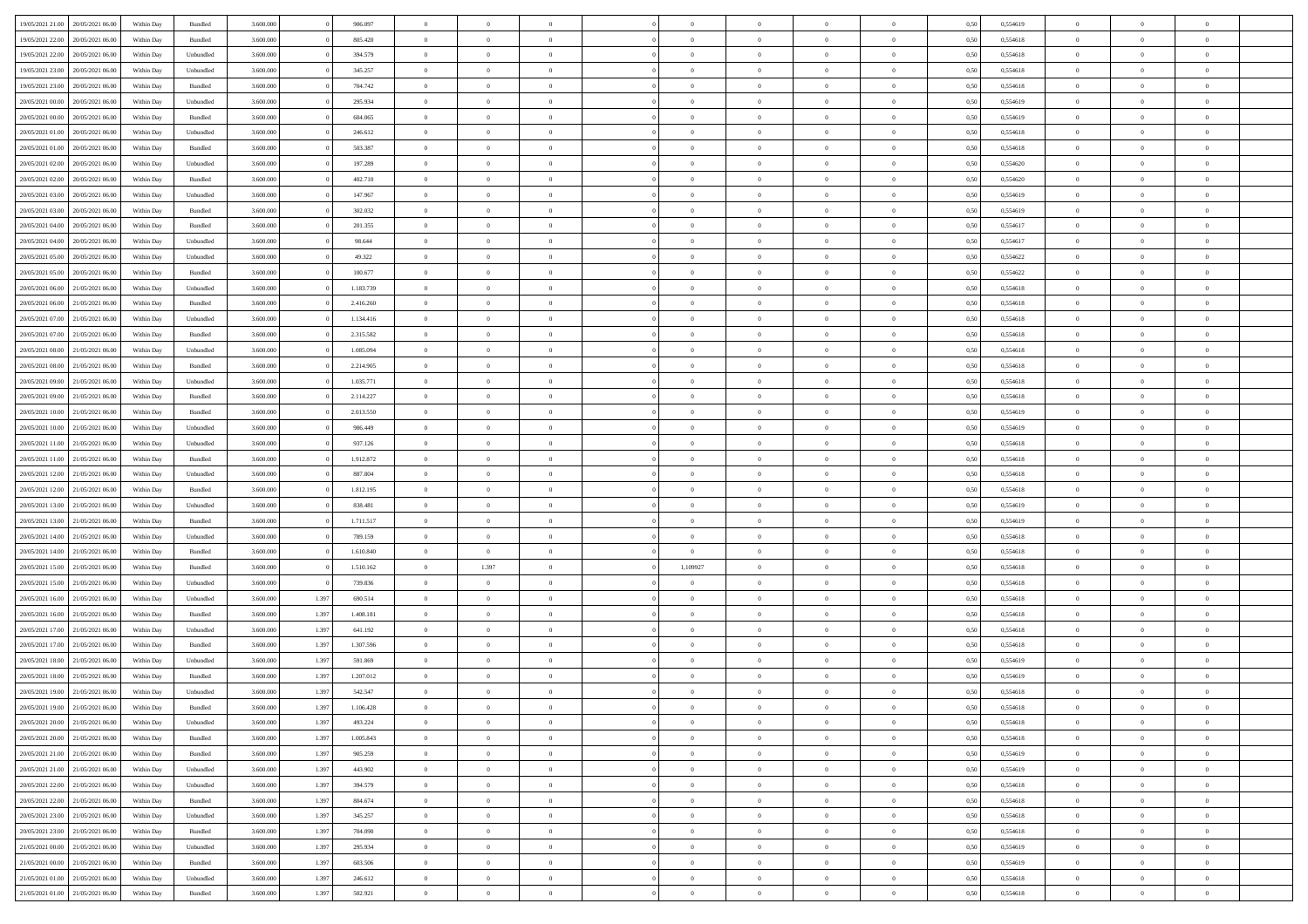|                                   |                  |            |                    |           |       |           | $\Omega$       |                |                |                |                |                |                |      |          |                |                |                |  |
|-----------------------------------|------------------|------------|--------------------|-----------|-------|-----------|----------------|----------------|----------------|----------------|----------------|----------------|----------------|------|----------|----------------|----------------|----------------|--|
| 19/05/2021 21:00                  | 20/05/2021 06:00 | Within Day | Bundled            | 3.600.000 |       | 906.097   |                | $\Omega$       |                | $\Omega$       | $\Omega$       | $\Omega$       | $\theta$       | 0,50 | 0,554619 | $\theta$       | $\theta$       | $\theta$       |  |
| 19/05/2021 22:00                  | 20/05/2021 06:00 | Within Day | Bundled            | 3.600.000 |       | 805.420   | $\overline{0}$ | $\theta$       | $\overline{0}$ | $\overline{0}$ | $\bf{0}$       | $\overline{0}$ | $\bf{0}$       | 0,50 | 0,554618 | $\theta$       | $\theta$       | $\overline{0}$ |  |
| 19/05/2021 22:00                  | 20/05/2021 06:00 | Within Day | Unbundled          | 3.600.000 |       | 394.579   | $\overline{0}$ | $\overline{0}$ | $\overline{0}$ | $\bf{0}$       | $\bf{0}$       | $\bf{0}$       | $\bf{0}$       | 0,50 | 0,554618 | $\overline{0}$ | $\overline{0}$ | $\overline{0}$ |  |
| 19/05/2021 23:00                  | 20/05/2021 06:00 | Within Dav | Unbundled          | 3.600,000 |       | 345.257   | $\overline{0}$ | $\overline{0}$ | $\overline{0}$ | $\overline{0}$ | $\bf{0}$       | $\overline{0}$ | $\overline{0}$ | 0.50 | 0.554618 | $\theta$       | $\theta$       | $\overline{0}$ |  |
| 19/05/2021 23:00                  | 20/05/2021 06:00 | Within Day | Bundled            | 3.600.000 |       | 704.742   | $\overline{0}$ | $\theta$       | $\overline{0}$ | $\overline{0}$ | $\bf{0}$       | $\overline{0}$ | $\bf{0}$       | 0,50 | 0,554618 | $\theta$       | $\theta$       | $\overline{0}$ |  |
|                                   |                  |            |                    |           |       |           |                |                |                |                |                |                |                |      |          |                |                |                |  |
| 20/05/2021 00:00                  | 20/05/2021 06:00 | Within Day | Unbundled          | 3.600.000 |       | 295.934   | $\overline{0}$ | $\bf{0}$       | $\overline{0}$ | $\bf{0}$       | $\overline{0}$ | $\overline{0}$ | $\mathbf{0}$   | 0,50 | 0,554619 | $\overline{0}$ | $\overline{0}$ | $\bf{0}$       |  |
| 20/05/2021 00:00                  | 20/05/2021 06:00 | Within Dav | Bundled            | 3.600.000 |       | 604.065   | $\overline{0}$ | $\overline{0}$ | $\overline{0}$ | $\overline{0}$ | $\overline{0}$ | $\overline{0}$ | $\overline{0}$ | 0.50 | 0,554619 | $\theta$       | $\overline{0}$ | $\overline{0}$ |  |
| 20/05/2021 01:00                  | 20/05/2021 06:00 | Within Day | Unbundled          | 3.600.000 |       | 246.612   | $\overline{0}$ | $\theta$       | $\overline{0}$ | $\overline{0}$ | $\bf{0}$       | $\overline{0}$ | $\bf{0}$       | 0,50 | 0,554618 | $\theta$       | $\theta$       | $\overline{0}$ |  |
| 20/05/2021 01:00                  | 20/05/2021 06:00 | Within Day | Bundled            | 3.600.000 |       | 503.387   | $\overline{0}$ | $\overline{0}$ | $\overline{0}$ | $\bf{0}$       | $\bf{0}$       | $\bf{0}$       | $\bf{0}$       | 0,50 | 0,554618 | $\,0\,$        | $\overline{0}$ | $\overline{0}$ |  |
| 20/05/2021 02:00                  | 20/05/2021 06:00 | Within Dav | Unbundled          | 3.600.000 |       | 197.289   | $\overline{0}$ | $\overline{0}$ | $\overline{0}$ | $\overline{0}$ | $\overline{0}$ | $\overline{0}$ | $\overline{0}$ | 0.50 | 0,554620 | $\theta$       | $\overline{0}$ | $\overline{0}$ |  |
| 20/05/2021 02:00                  | 20/05/2021 06:00 | Within Day | Bundled            | 3.600.000 |       | 402.710   | $\overline{0}$ | $\theta$       | $\overline{0}$ | $\overline{0}$ | $\bf{0}$       | $\overline{0}$ | $\bf{0}$       | 0,50 | 0,554620 | $\theta$       | $\theta$       | $\overline{0}$ |  |
| 20/05/2021 03:00                  | 20/05/2021 06:00 | Within Day | Unbundled          | 3.600.000 |       | 147.967   | $\overline{0}$ | $\overline{0}$ | $\overline{0}$ | $\bf{0}$       | $\bf{0}$       | $\bf{0}$       | $\bf{0}$       | 0,50 | 0,554619 | $\bf{0}$       | $\overline{0}$ | $\overline{0}$ |  |
| 20/05/2021 03:00                  | 20/05/2021 06:00 | Within Dav | Bundled            | 3.600.000 |       | 302.032   | $\overline{0}$ | $\overline{0}$ | $\overline{0}$ | $\overline{0}$ | $\bf{0}$       | $\overline{0}$ | $\overline{0}$ | 0.50 | 0.554619 | $\theta$       | $\theta$       | $\overline{0}$ |  |
|                                   |                  |            |                    |           |       |           |                |                |                |                |                |                |                |      |          |                |                |                |  |
| 20/05/2021 04:00                  | 20/05/2021 06:00 | Within Day | Bundled            | 3.600.000 |       | 201.355   | $\overline{0}$ | $\theta$       | $\overline{0}$ | $\overline{0}$ | $\bf{0}$       | $\overline{0}$ | $\bf{0}$       | 0,50 | 0,554617 | $\theta$       | $\theta$       | $\overline{0}$ |  |
| 20/05/2021 04:00                  | 20/05/2021 06:00 | Within Day | Unbundled          | 3.600.000 |       | 98.644    | $\overline{0}$ | $\overline{0}$ | $\overline{0}$ | $\bf{0}$       | $\overline{0}$ | $\overline{0}$ | $\mathbf{0}$   | 0,50 | 0,554617 | $\bf{0}$       | $\overline{0}$ | $\bf{0}$       |  |
| 20/05/2021 05:00                  | 20/05/2021 06:00 | Within Dav | Unbundled          | 3.600.000 |       | 49.322    | $\overline{0}$ | $\overline{0}$ | $\overline{0}$ | $\overline{0}$ | $\overline{0}$ | $\overline{0}$ | $\overline{0}$ | 0.50 | 0,554622 | $\theta$       | $\overline{0}$ | $\overline{0}$ |  |
| 20/05/2021 05:00                  | 20/05/2021 06:00 | Within Day | Bundled            | 3.600.000 |       | 100.677   | $\overline{0}$ | $\theta$       | $\overline{0}$ | $\overline{0}$ | $\bf{0}$       | $\overline{0}$ | $\bf{0}$       | 0,50 | 0,554622 | $\theta$       | $\theta$       | $\overline{0}$ |  |
| 20/05/2021 06:00                  | 21/05/2021 06:00 | Within Day | Unbundled          | 3.600.000 |       | 1.183.739 | $\overline{0}$ | $\overline{0}$ | $\overline{0}$ | $\bf{0}$       | $\bf{0}$       | $\bf{0}$       | $\bf{0}$       | 0,50 | 0,554618 | $\,0\,$        | $\overline{0}$ | $\overline{0}$ |  |
| 20/05/2021 06:00                  | 21/05/2021 06:00 | Within Dav | Bundled            | 3.600.000 |       | 2.416.260 | $\overline{0}$ | $\overline{0}$ | $\overline{0}$ | $\overline{0}$ | $\overline{0}$ | $\overline{0}$ | $\overline{0}$ | 0.50 | 0.554618 | $\theta$       | $\overline{0}$ | $\overline{0}$ |  |
| 20/05/2021 07:00                  | 21/05/2021 06:00 | Within Day | Unbundled          | 3.600.000 |       | 1.134.416 | $\overline{0}$ | $\theta$       | $\overline{0}$ | $\overline{0}$ | $\bf{0}$       | $\overline{0}$ | $\bf{0}$       | 0,50 | 0,554618 | $\,$ 0 $\,$    | $\theta$       | $\overline{0}$ |  |
|                                   |                  |            |                    |           |       |           |                |                |                |                |                |                |                |      |          |                |                |                |  |
| 20/05/2021 07:00                  | 21/05/2021 06:00 | Within Day | Bundled            | 3.600.000 |       | 2.315.582 | $\overline{0}$ | $\overline{0}$ | $\overline{0}$ | $\bf{0}$       | $\bf{0}$       | $\bf{0}$       | $\bf{0}$       | 0,50 | 0,554618 | $\bf{0}$       | $\overline{0}$ | $\overline{0}$ |  |
| 20/05/2021 08:00                  | 21/05/2021 06:00 | Within Day | Unbundled          | 3.600,000 |       | 1.085.094 | $\overline{0}$ | $\overline{0}$ | $\overline{0}$ | $\overline{0}$ | $\bf{0}$       | $\overline{0}$ | $\overline{0}$ | 0.50 | 0.554618 | $\theta$       | $\theta$       | $\overline{0}$ |  |
| 20/05/2021 08:00                  | 21/05/2021 06:00 | Within Day | Bundled            | 3.600.000 |       | 2.214.905 | $\overline{0}$ | $\theta$       | $\overline{0}$ | $\overline{0}$ | $\bf{0}$       | $\overline{0}$ | $\bf{0}$       | 0,50 | 0,554618 | $\theta$       | $\overline{0}$ | $\overline{0}$ |  |
| 20/05/2021 09:00                  | 21/05/2021 06:00 | Within Day | Unbundled          | 3.600.000 |       | 1.035.771 | $\overline{0}$ | $\bf{0}$       | $\overline{0}$ | $\bf{0}$       | $\overline{0}$ | $\overline{0}$ | $\mathbf{0}$   | 0,50 | 0,554618 | $\bf{0}$       | $\overline{0}$ | $\bf{0}$       |  |
| 20/05/2021 09:00                  | 21/05/2021 06:00 | Within Dav | Bundled            | 3.600.000 |       | 2.114.227 | $\overline{0}$ | $\overline{0}$ | $\overline{0}$ | $\overline{0}$ | $\overline{0}$ | $\overline{0}$ | $\overline{0}$ | 0.50 | 0.554618 | $\theta$       | $\overline{0}$ | $\overline{0}$ |  |
| 20/05/2021 10:00                  | 21/05/2021 06:00 | Within Day | Bundled            | 3.600.000 |       | 2.013.550 | $\overline{0}$ | $\theta$       | $\overline{0}$ | $\overline{0}$ | $\bf{0}$       | $\overline{0}$ | $\bf{0}$       | 0,50 | 0,554619 | $\theta$       | $\theta$       | $\overline{0}$ |  |
| 20/05/2021 10:00                  | 21/05/2021 06:00 | Within Day | Unbundled          | 3.600.000 |       | 986.449   | $\overline{0}$ | $\overline{0}$ | $\overline{0}$ | $\bf{0}$       | $\bf{0}$       | $\bf{0}$       | $\bf{0}$       | 0,50 | 0,554619 | $\,0\,$        | $\overline{0}$ | $\overline{0}$ |  |
|                                   | 21/05/2021 06:00 |            | Unbundled          | 3.600.000 |       | 937.126   | $\overline{0}$ | $\overline{0}$ | $\overline{0}$ | $\overline{0}$ | $\overline{0}$ | $\overline{0}$ | $\overline{0}$ | 0.50 | 0,554618 | $\theta$       | $\overline{0}$ | $\overline{0}$ |  |
| 20/05/2021 11:00                  |                  | Within Day |                    |           |       |           |                |                |                |                |                |                |                |      |          |                |                |                |  |
| 20/05/2021 11:00                  | 21/05/2021 06:00 | Within Day | Bundled            | 3.600.000 |       | 1.912.872 | $\overline{0}$ | $\theta$       | $\overline{0}$ | $\overline{0}$ | $\bf{0}$       | $\overline{0}$ | $\bf{0}$       | 0,50 | 0,554618 | $\,$ 0 $\,$    | $\overline{0}$ | $\overline{0}$ |  |
| 20/05/2021 12:00                  | 21/05/2021 06:00 | Within Day | Unbundled          | 3.600.000 |       | 887.804   | $\overline{0}$ | $\overline{0}$ | $\overline{0}$ | $\bf{0}$       | $\bf{0}$       | $\bf{0}$       | $\bf{0}$       | 0,50 | 0,554618 | $\bf{0}$       | $\overline{0}$ | $\overline{0}$ |  |
| 20/05/2021 12:00                  | 21/05/2021 06:00 | Within Day | Bundled            | 3.600.000 |       | 1.812.195 | $\overline{0}$ | $\Omega$       | $\Omega$       | $\Omega$       | $\Omega$       | $\Omega$       | $\overline{0}$ | 0.50 | 0,554618 | $\,0\,$        | $\theta$       | $\theta$       |  |
| 20/05/2021 13:00                  | 21/05/2021 06:00 | Within Day | Unbundled          | 3.600.000 |       | 838.481   | $\overline{0}$ | $\theta$       | $\overline{0}$ | $\overline{0}$ | $\bf{0}$       | $\overline{0}$ | $\bf{0}$       | 0,50 | 0,554619 | $\theta$       | $\theta$       | $\overline{0}$ |  |
| 20/05/2021 13:00                  | 21/05/2021 06:00 | Within Day | Bundled            | 3.600.000 |       | 1.711.517 | $\overline{0}$ | $\overline{0}$ | $\overline{0}$ | $\bf{0}$       | $\bf{0}$       | $\overline{0}$ | $\mathbf{0}$   | 0,50 | 0,554619 | $\bf{0}$       | $\overline{0}$ | $\bf{0}$       |  |
| 20/05/2021 14:00                  | 21/05/2021 06:00 | Within Day | Unbundled          | 3.600,000 |       | 789.159   | $\overline{0}$ | $\Omega$       | $\Omega$       | $\Omega$       | $\bf{0}$       | $\overline{0}$ | $\overline{0}$ | 0.50 | 0.554618 | $\theta$       | $\theta$       | $\theta$       |  |
| 20/05/2021 14:00                  | 21/05/2021 06:00 | Within Day | Bundled            | 3.600.000 |       | 1.610.840 | $\overline{0}$ | $\overline{0}$ | $\overline{0}$ | $\overline{0}$ | $\bf{0}$       | $\overline{0}$ | $\bf{0}$       | 0,50 | 0,554618 | $\theta$       | $\theta$       | $\overline{0}$ |  |
|                                   |                  |            |                    |           |       |           |                |                |                |                |                |                |                |      |          |                |                |                |  |
| 20/05/2021 15:00                  | 21/05/2021 06:00 | Within Day | Bundled            | 3.600.000 |       | 1.510.162 | $\overline{0}$ | 1.397          | $\overline{0}$ | 1,109927       | $\bf{0}$       | $\bf{0}$       | $\bf{0}$       | 0,50 | 0,554618 | $\,0\,$        | $\overline{0}$ | $\overline{0}$ |  |
| 20/05/2021 15:00                  | 21/05/2021 06:00 | Within Day | Unbundled          | 3.600,000 |       | 739,836   | $\overline{0}$ | $\Omega$       | $\Omega$       | $\Omega$       | $\Omega$       | $\theta$       | $\overline{0}$ | 0.50 | 0.554618 | $\theta$       | $\theta$       | $\theta$       |  |
| 20/05/2021 16:00                  | 21/05/2021 06:00 | Within Day | Unbundled          | 3.600.000 | 1.397 | 690.514   | $\overline{0}$ | $\theta$       | $\overline{0}$ | $\overline{0}$ | $\bf{0}$       | $\overline{0}$ | $\bf{0}$       | 0,50 | 0,554618 | $\,$ 0 $\,$    | $\overline{0}$ | $\overline{0}$ |  |
| 20/05/2021 16:00                  | 21/05/2021 06:00 | Within Day | Bundled            | 3.600.000 | 1.397 | 1.408.181 | $\overline{0}$ | $\overline{0}$ | $\overline{0}$ | $\bf{0}$       | $\bf{0}$       | $\bf{0}$       | $\bf{0}$       | 0,50 | 0,554618 | $\bf{0}$       | $\overline{0}$ | $\overline{0}$ |  |
| 20/05/2021 17:00                  | 21/05/2021 06:00 | Within Day | Unbundled          | 3.600.000 | 1.397 | 641.192   | $\overline{0}$ | $\Omega$       | $\overline{0}$ | $\Omega$       | $\Omega$       | $\overline{0}$ | $\overline{0}$ | 0.50 | 0,554618 | $\,0\,$        | $\theta$       | $\theta$       |  |
| 20/05/2021 17:00                  | 21/05/2021 06:00 | Within Day | Bundled            | 3.600.000 | 1.397 | 1.307.596 | $\overline{0}$ | $\theta$       | $\overline{0}$ | $\overline{0}$ | $\bf{0}$       | $\overline{0}$ | $\bf{0}$       | 0,50 | 0,554618 | $\,$ 0 $\,$    | $\overline{0}$ | $\overline{0}$ |  |
| 20/05/2021 18:00                  | 21/05/2021 06:00 | Within Day | Unbundled          | 3.600.000 | 1.397 | 591.869   | $\overline{0}$ | $\overline{0}$ | $\overline{0}$ | $\bf{0}$       | $\bf{0}$       | $\bf{0}$       | $\mathbf{0}$   | 0,50 | 0,554619 | $\bf{0}$       | $\overline{0}$ | $\bf{0}$       |  |
| 20/05/2021 18:00                  | 21/05/2021 06:00 | Within Day | Bundled            | 3.600,000 | 1.397 | 1.207.012 | $\overline{0}$ | $\Omega$       | $\Omega$       | $\Omega$       | $\Omega$       | $\Omega$       | $\overline{0}$ | 0.50 | 0.554619 | $\theta$       | $\theta$       | $\theta$       |  |
|                                   |                  |            |                    |           |       |           |                |                |                |                |                |                |                |      |          |                |                |                |  |
| 20/05/2021 19:00                  | 21/05/2021 06:00 | Within Day | Unbundled          | 3.600.000 | 1.397 | 542.547   | $\overline{0}$ | $\overline{0}$ | $\overline{0}$ | $\bf{0}$       | $\,$ 0         | $\bf{0}$       | $\bf{0}$       | 0,50 | 0,554618 | $\,0\,$        | $\overline{0}$ | $\overline{0}$ |  |
| 20/05/2021 19:00 21/05/2021 06:00 |                  | Within Day | $\mathbf B$ undled | 3.600.000 | 1.397 | 1.106.428 | $\overline{0}$ | $\bf{0}$       |                |                |                |                |                | 0,50 | 0,554618 | $\bf{0}$       | $\overline{0}$ |                |  |
| 20/05/2021 20:00                  | 21/05/2021 06:00 | Within Day | Unbundled          | 3.600,000 | 1.397 | 493.224   | $\overline{0}$ | $\overline{0}$ | $\overline{0}$ | $\Omega$       | $\overline{0}$ | $\overline{0}$ | $\overline{0}$ | 0.50 | 0.554618 | $\theta$       | $\theta$       | $\theta$       |  |
| 20/05/2021 20:00                  | 21/05/2021 06:00 | Within Day | Bundled            | 3.600.000 | 1.397 | 1.005.843 | $\overline{0}$ | $\bf{0}$       | $\overline{0}$ | $\bf{0}$       | $\,$ 0 $\,$    | $\overline{0}$ | $\mathbf{0}$   | 0,50 | 0,554618 | $\,$ 0 $\,$    | $\,$ 0 $\,$    | $\,$ 0         |  |
| 20/05/2021 21:00                  | 21/05/2021 06:00 | Within Day | Bundled            | 3.600.000 | 1.397 | 905.259   | $\overline{0}$ | $\overline{0}$ | $\overline{0}$ | $\overline{0}$ | $\overline{0}$ | $\overline{0}$ | $\mathbf{0}$   | 0,50 | 0,554619 | $\overline{0}$ | $\bf{0}$       | $\overline{0}$ |  |
| 20/05/2021 21:00                  | 21/05/2021 06:00 | Within Day | Unbundled          | 3.600.000 | 1.397 | 443.902   | $\overline{0}$ | $\overline{0}$ | $\overline{0}$ | $\Omega$       | $\overline{0}$ | $\overline{0}$ | $\overline{0}$ | 0,50 | 0,554619 | $\overline{0}$ | $\theta$       | $\overline{0}$ |  |
| 20/05/2021 22:00                  | 21/05/2021 06:00 | Within Day | Unbundled          | 3.600.000 | 1.397 | 394.579   | $\overline{0}$ | $\,$ 0         | $\overline{0}$ | $\bf{0}$       | $\,$ 0 $\,$    | $\overline{0}$ | $\mathbf{0}$   | 0,50 | 0,554618 | $\,$ 0 $\,$    | $\overline{0}$ | $\,$ 0         |  |
|                                   |                  |            |                    |           |       |           |                |                |                |                |                |                |                |      |          |                |                |                |  |
| 20/05/2021 22:00                  | 21/05/2021 06:00 | Within Day | Bundled            | 3.600.000 | 1.397 | 804.674   | $\overline{0}$ | $\overline{0}$ | $\overline{0}$ | $\overline{0}$ | $\overline{0}$ | $\overline{0}$ | $\mathbf{0}$   | 0,50 | 0,554618 | $\overline{0}$ | $\overline{0}$ | $\overline{0}$ |  |
| 20/05/2021 23:00                  | 21/05/2021 06:00 | Within Day | Unbundled          | 3.600.000 | 1.397 | 345.257   | $\overline{0}$ | $\overline{0}$ | $\overline{0}$ | $\overline{0}$ | $\overline{0}$ | $\overline{0}$ | $\overline{0}$ | 0.50 | 0,554618 | $\overline{0}$ | $\theta$       | $\overline{0}$ |  |
| 20/05/2021 23:00                  | 21/05/2021 06:00 | Within Day | Bundled            | 3.600.000 | 1.397 | 704.090   | $\overline{0}$ | $\,$ 0         | $\overline{0}$ | $\bf{0}$       | $\bf{0}$       | $\bf{0}$       | $\bf{0}$       | 0,50 | 0,554618 | $\,$ 0 $\,$    | $\overline{0}$ | $\overline{0}$ |  |
| 21/05/2021 00:00                  | 21/05/2021 06:00 | Within Day | Unbundled          | 3.600.000 | 1.397 | 295.934   | $\overline{0}$ | $\bf{0}$       | $\overline{0}$ | $\overline{0}$ | $\overline{0}$ | $\overline{0}$ | $\mathbf{0}$   | 0,50 | 0,554619 | $\overline{0}$ | $\overline{0}$ | $\bf{0}$       |  |
| 21/05/2021 00:00                  | 21/05/2021 06:00 | Within Day | Bundled            | 3.600,000 | 1.397 | 603.506   | $\overline{0}$ | $\overline{0}$ | $\overline{0}$ | $\Omega$       | $\overline{0}$ | $\overline{0}$ | $\overline{0}$ | 0.50 | 0,554619 | $\overline{0}$ | $\overline{0}$ | $\overline{0}$ |  |
| 21/05/2021 01:00                  | 21/05/2021 06:00 | Within Day | Unbundled          | 3.600.000 | 1.397 | 246.612   | $\overline{0}$ | $\bf{0}$       | $\overline{0}$ | $\overline{0}$ | $\bf{0}$       | $\bf{0}$       | $\mathbf{0}$   | 0,50 | 0,554618 | $\,$ 0 $\,$    | $\,$ 0 $\,$    | $\bf{0}$       |  |
| 21/05/2021 01:00 21/05/2021 06:00 |                  | Within Day | Bundled            | 3.600.000 | 1.397 | 502.921   | $\overline{0}$ | $\overline{0}$ | $\overline{0}$ | $\overline{0}$ | $\bf{0}$       | $\bf{0}$       | $\bf{0}$       | 0,50 | 0,554618 | $\overline{0}$ | $\overline{0}$ | $\bf{0}$       |  |
|                                   |                  |            |                    |           |       |           |                |                |                |                |                |                |                |      |          |                |                |                |  |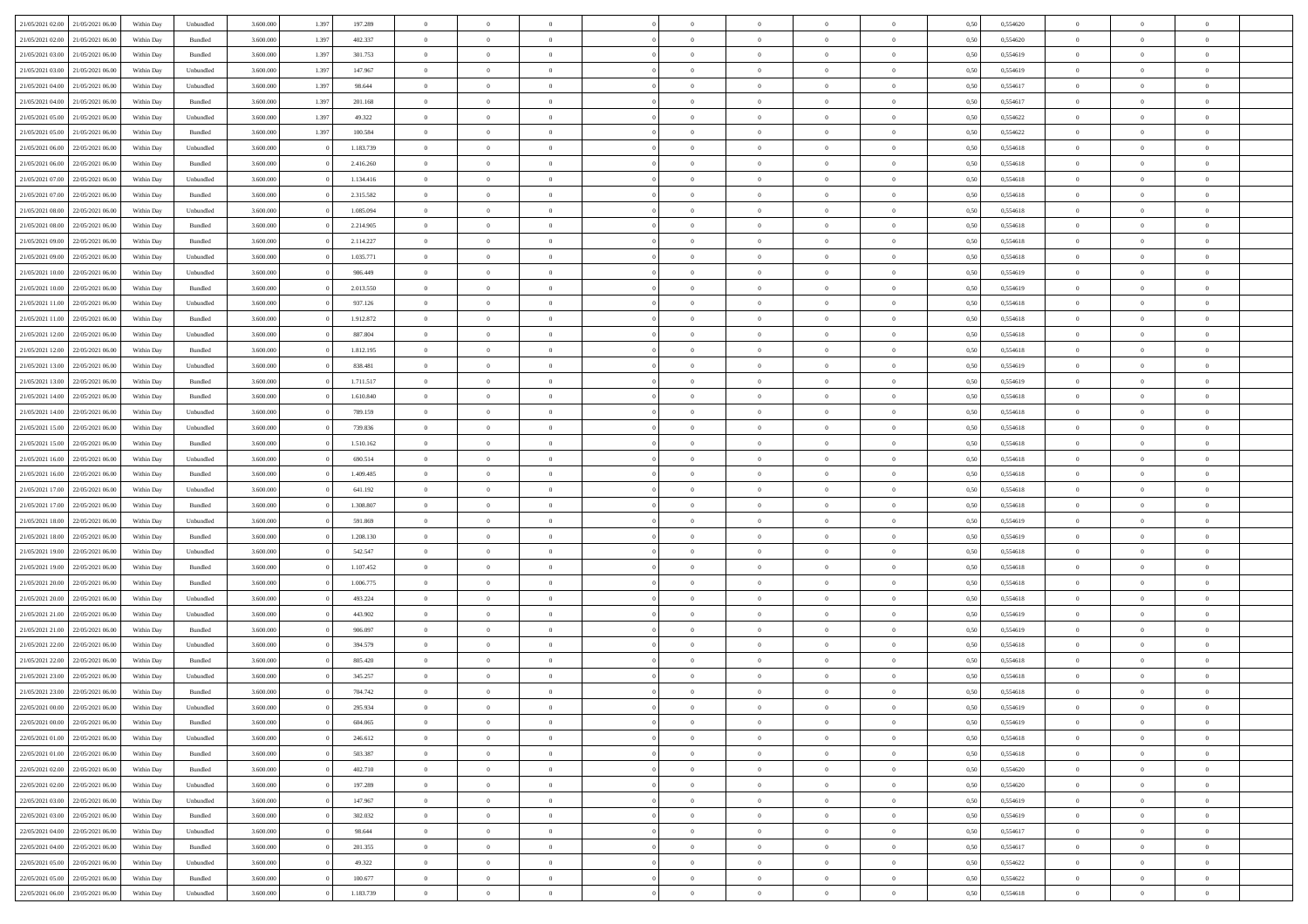| 21/05/2021 02:00                  | 21/05/2021 06:00 | Within Day | Unbundled          | 3.600.000 | 1.397 | 197.289   | $\overline{0}$ | $\Omega$       |                | $\Omega$       | $\Omega$       | $\theta$       | $\theta$       | 0,50 | 0,554620 | $\theta$       | $\theta$       | $\theta$       |  |
|-----------------------------------|------------------|------------|--------------------|-----------|-------|-----------|----------------|----------------|----------------|----------------|----------------|----------------|----------------|------|----------|----------------|----------------|----------------|--|
|                                   |                  |            |                    |           |       |           |                |                |                |                |                |                |                |      |          |                |                |                |  |
| 21/05/2021 02:00                  | 21/05/2021 06:00 | Within Day | Bundled            | 3.600.000 | 1.397 | 402.337   | $\overline{0}$ | $\theta$       | $\overline{0}$ | $\overline{0}$ | $\bf{0}$       | $\overline{0}$ | $\bf{0}$       | 0,50 | 0,554620 | $\theta$       | $\overline{0}$ | $\overline{0}$ |  |
| 21/05/2021 03:00                  | 21/05/2021 06:00 | Within Day | Bundled            | 3.600.000 | 1.397 | 301.753   | $\overline{0}$ | $\overline{0}$ | $\overline{0}$ | $\bf{0}$       | $\bf{0}$       | $\bf{0}$       | $\mathbf{0}$   | 0,50 | 0,554619 | $\bf{0}$       | $\overline{0}$ | $\bf{0}$       |  |
| 21/05/2021 03:00                  | 21/05/2021 06:00 | Within Dav | Unbundled          | 3.600.000 | 1.397 | 147.967   | $\overline{0}$ | $\overline{0}$ | $\overline{0}$ | $\overline{0}$ | $\bf{0}$       | $\overline{0}$ | $\overline{0}$ | 0.50 | 0.554619 | $\theta$       | $\theta$       | $\overline{0}$ |  |
| 21/05/2021 04:00                  | 21/05/2021 06:00 | Within Day | Unbundled          | 3.600.000 | 1.397 | 98.644    | $\overline{0}$ | $\theta$       | $\overline{0}$ | $\overline{0}$ | $\bf{0}$       | $\overline{0}$ | $\bf{0}$       | 0,50 | 0,554617 | $\theta$       | $\overline{0}$ | $\overline{0}$ |  |
| 21/05/2021 04:00                  | 21/05/2021 06:00 | Within Day | Bundled            | 3.600.000 | 1.397 | 201.168   | $\overline{0}$ | $\overline{0}$ | $\overline{0}$ | $\bf{0}$       | $\overline{0}$ | $\overline{0}$ | $\mathbf{0}$   | 0,50 | 0,554617 | $\bf{0}$       | $\overline{0}$ | $\bf{0}$       |  |
| 21/05/2021 05:00                  | 21/05/2021 06:00 | Within Dav | Unbundled          | 3.600.000 | 1.397 | 49.322    | $\overline{0}$ | $\overline{0}$ | $\overline{0}$ |                | $\overline{0}$ | $\overline{0}$ | $\overline{0}$ | 0.50 | 0,554622 | $\theta$       | $\overline{0}$ | $\overline{0}$ |  |
|                                   |                  |            |                    |           |       |           |                |                |                | $\overline{0}$ |                |                |                |      |          |                |                |                |  |
| 21/05/2021 05:00                  | 21/05/2021 06:00 | Within Day | Bundled            | 3.600.000 | 1.397 | 100.584   | $\overline{0}$ | $\theta$       | $\overline{0}$ | $\overline{0}$ | $\bf{0}$       | $\overline{0}$ | $\bf{0}$       | 0,50 | 0,554622 | $\theta$       | $\theta$       | $\overline{0}$ |  |
| 21/05/2021 06:00                  | 22/05/2021 06:00 | Within Day | Unbundled          | 3.600.000 |       | 1.183.739 | $\overline{0}$ | $\overline{0}$ | $\overline{0}$ | $\bf{0}$       | $\bf{0}$       | $\bf{0}$       | $\bf{0}$       | 0,50 | 0,554618 | $\,0\,$        | $\overline{0}$ | $\overline{0}$ |  |
| 21/05/2021 06:00                  | 22/05/2021 06:00 | Within Dav | Bundled            | 3.600.000 |       | 2.416.260 | $\overline{0}$ | $\overline{0}$ | $\overline{0}$ | $\overline{0}$ | $\overline{0}$ | $\overline{0}$ | $\overline{0}$ | 0.50 | 0.554618 | $\theta$       | $\overline{0}$ | $\overline{0}$ |  |
| 21/05/2021 07:00                  | 22/05/2021 06:00 | Within Day | Unbundled          | 3.600.000 |       | 1.134.416 | $\overline{0}$ | $\theta$       | $\overline{0}$ | $\overline{0}$ | $\bf{0}$       | $\overline{0}$ | $\bf{0}$       | 0,50 | 0,554618 | $\,$ 0 $\,$    | $\overline{0}$ | $\overline{0}$ |  |
| 21/05/2021 07:00                  | 22/05/2021 06:00 | Within Day | Bundled            | 3.600.000 |       | 2.315.582 | $\overline{0}$ | $\bf{0}$       | $\overline{0}$ | $\bf{0}$       | $\bf{0}$       | $\bf{0}$       | $\mathbf{0}$   | 0,50 | 0,554618 | $\bf{0}$       | $\overline{0}$ | $\bf{0}$       |  |
| 21/05/2021 08:00                  | 22/05/2021 06:00 | Within Day | Unbundled          | 3.600.000 |       | 1.085.094 | $\overline{0}$ | $\overline{0}$ | $\overline{0}$ | $\overline{0}$ | $\bf{0}$       | $\overline{0}$ | $\overline{0}$ | 0.50 | 0.554618 | $\theta$       | $\theta$       | $\overline{0}$ |  |
|                                   |                  |            |                    |           |       |           |                |                |                |                |                |                |                |      |          |                |                |                |  |
| 21/05/2021 08:00                  | 22/05/2021 06:00 | Within Day | Bundled            | 3.600.000 |       | 2.214.905 | $\overline{0}$ | $\theta$       | $\overline{0}$ | $\overline{0}$ | $\bf{0}$       | $\overline{0}$ | $\bf{0}$       | 0,50 | 0,554618 | $\theta$       | $\overline{0}$ | $\overline{0}$ |  |
| 21/05/2021 09:00                  | 22/05/2021 06:00 | Within Day | Bundled            | 3.600.000 |       | 2.114.227 | $\overline{0}$ | $\overline{0}$ | $\overline{0}$ | $\bf{0}$       | $\overline{0}$ | $\overline{0}$ | $\mathbf{0}$   | 0,50 | 0,554618 | $\bf{0}$       | $\overline{0}$ | $\bf{0}$       |  |
| 21/05/2021 09:00                  | 22/05/2021 06:00 | Within Dav | Unbundled          | 3.600.000 |       | 1.035.771 | $\overline{0}$ | $\overline{0}$ | $\overline{0}$ | $\overline{0}$ | $\overline{0}$ | $\overline{0}$ | $\overline{0}$ | 0.50 | 0.554618 | $\theta$       | $\overline{0}$ | $\overline{0}$ |  |
| 21/05/2021 10:00                  | 22/05/2021 06:00 | Within Day | Unbundled          | 3.600.000 |       | 986.449   | $\overline{0}$ | $\theta$       | $\overline{0}$ | $\overline{0}$ | $\bf{0}$       | $\overline{0}$ | $\bf{0}$       | 0,50 | 0,554619 | $\theta$       | $\theta$       | $\overline{0}$ |  |
| 21/05/2021 10:00                  | 22/05/2021 06:00 | Within Day | Bundled            | 3.600.000 |       | 2.013.550 | $\overline{0}$ | $\overline{0}$ | $\overline{0}$ | $\bf{0}$       | $\bf{0}$       | $\bf{0}$       | $\mathbf{0}$   | 0,50 | 0,554619 | $\bf{0}$       | $\overline{0}$ | $\overline{0}$ |  |
| 21/05/2021 11:00                  | 22/05/2021 06:00 | Within Dav | Unbundled          | 3.600.000 |       | 937.126   | $\overline{0}$ | $\overline{0}$ | $\overline{0}$ | $\overline{0}$ | $\overline{0}$ | $\overline{0}$ | $\overline{0}$ | 0.50 | 0,554618 | $\theta$       | $\overline{0}$ | $\overline{0}$ |  |
|                                   |                  |            |                    |           |       |           | $\overline{0}$ |                |                |                |                |                |                |      |          |                |                |                |  |
| 21/05/2021 11:00                  | 22/05/2021 06:00 | Within Day | Bundled            | 3.600.000 |       | 1.912.872 |                | $\theta$       | $\overline{0}$ | $\overline{0}$ | $\bf{0}$       | $\overline{0}$ | $\bf{0}$       | 0,50 | 0,554618 | $\,$ 0 $\,$    | $\overline{0}$ | $\overline{0}$ |  |
| 21/05/2021 12:00                  | 22/05/2021 06:00 | Within Day | Unbundled          | 3.600.000 |       | 887.804   | $\overline{0}$ | $\overline{0}$ | $\overline{0}$ | $\bf{0}$       | $\bf{0}$       | $\bf{0}$       | $\bf{0}$       | 0,50 | 0,554618 | $\overline{0}$ | $\overline{0}$ | $\bf{0}$       |  |
| 21/05/2021 12:00                  | 22/05/2021 06:00 | Within Day | Bundled            | 3.600.000 |       | 1.812.195 | $\overline{0}$ | $\overline{0}$ | $\overline{0}$ | $\overline{0}$ | $\bf{0}$       | $\overline{0}$ | $\overline{0}$ | 0.50 | 0.554618 | $\theta$       | $\overline{0}$ | $\overline{0}$ |  |
| 21/05/2021 13:00                  | 22/05/2021 06:00 | Within Day | Unbundled          | 3.600.000 |       | 838.481   | $\overline{0}$ | $\theta$       | $\overline{0}$ | $\overline{0}$ | $\bf{0}$       | $\overline{0}$ | $\bf{0}$       | 0,50 | 0,554619 | $\,$ 0 $\,$    | $\overline{0}$ | $\overline{0}$ |  |
| 21/05/2021 13:00                  | 22/05/2021 06:00 | Within Day | Bundled            | 3.600.000 |       | 1.711.517 | $\overline{0}$ | $\overline{0}$ | $\overline{0}$ | $\bf{0}$       | $\overline{0}$ | $\overline{0}$ | $\mathbf{0}$   | 0,50 | 0,554619 | $\overline{0}$ | $\overline{0}$ | $\bf{0}$       |  |
| 21/05/2021 14:00                  | 22/05/2021 06:00 | Within Dav | Bundled            | 3.600.000 |       | 1.610.840 | $\overline{0}$ | $\overline{0}$ | $\overline{0}$ | $\overline{0}$ | $\overline{0}$ | $\overline{0}$ | $\overline{0}$ | 0.50 | 0,554618 | $\theta$       | $\overline{0}$ | $\overline{0}$ |  |
| 21/05/2021 14:00                  | 22/05/2021 06:00 |            |                    | 3.600.000 |       | 789.159   | $\overline{0}$ | $\theta$       | $\overline{0}$ | $\overline{0}$ | $\bf{0}$       | $\overline{0}$ |                |      | 0,554618 | $\theta$       | $\theta$       | $\overline{0}$ |  |
|                                   |                  | Within Day | Unbundled          |           |       |           |                |                |                |                |                |                | $\bf{0}$       | 0,50 |          |                |                |                |  |
| 21/05/2021 15:00                  | 22/05/2021 06:00 | Within Day | Unbundled          | 3.600.000 |       | 739.836   | $\overline{0}$ | $\overline{0}$ | $\overline{0}$ | $\bf{0}$       | $\bf{0}$       | $\bf{0}$       | $\bf{0}$       | 0,50 | 0,554618 | $\,0\,$        | $\overline{0}$ | $\overline{0}$ |  |
| 21/05/2021 15:00                  | 22/05/2021 06:00 | Within Day | Bundled            | 3.600.000 |       | 1.510.162 | $\overline{0}$ | $\overline{0}$ | $\overline{0}$ | $\overline{0}$ | $\overline{0}$ | $\overline{0}$ | $\overline{0}$ | 0.50 | 0.554618 | $\theta$       | $\overline{0}$ | $\overline{0}$ |  |
| 21/05/2021 16:00                  | 22/05/2021 06:00 | Within Day | Unbundled          | 3.600.000 |       | 690.514   | $\overline{0}$ | $\theta$       | $\overline{0}$ | $\overline{0}$ | $\bf{0}$       | $\overline{0}$ | $\bf{0}$       | 0,50 | 0,554618 | $\,$ 0 $\,$    | $\overline{0}$ | $\overline{0}$ |  |
| 21/05/2021 16:00                  | 22/05/2021 06:00 | Within Day | Bundled            | 3.600.000 |       | 1.409.485 | $\overline{0}$ | $\bf{0}$       | $\overline{0}$ | $\bf{0}$       | $\bf{0}$       | $\bf{0}$       | $\bf{0}$       | 0,50 | 0,554618 | $\bf{0}$       | $\overline{0}$ | $\bf{0}$       |  |
| 21/05/2021 17:00                  | 22/05/2021 06:00 | Within Day | Unbundled          | 3.600.000 |       | 641.192   | $\bf{0}$       | $\Omega$       | $\Omega$       | $\Omega$       | $\Omega$       | $\Omega$       | $\overline{0}$ | 0,50 | 0,554618 | $\,0\,$        | $\theta$       | $\theta$       |  |
| 21/05/2021 17:00                  | 22/05/2021 06:00 | Within Day | Bundled            | 3.600.000 |       | 1.308.807 | $\overline{0}$ | $\theta$       | $\overline{0}$ | $\overline{0}$ | $\bf{0}$       | $\overline{0}$ | $\bf{0}$       | 0,50 | 0,554618 | $\,$ 0 $\,$    | $\overline{0}$ | $\overline{0}$ |  |
|                                   |                  |            |                    |           |       |           |                |                |                |                |                |                |                |      |          |                |                |                |  |
| 21/05/2021 18:00                  | 22/05/2021 06:00 | Within Day | Unbundled          | 3.600.000 |       | 591.869   | $\overline{0}$ | $\overline{0}$ | $\overline{0}$ | $\bf{0}$       | $\bf{0}$       | $\overline{0}$ | $\mathbf{0}$   | 0,50 | 0,554619 | $\bf{0}$       | $\overline{0}$ | $\bf{0}$       |  |
| 21/05/2021 18:00                  | 22/05/2021 06:00 | Within Day | Bundled            | 3.600,000 |       | 1.208.130 | $\overline{0}$ | $\Omega$       | $\Omega$       | $\Omega$       | $\bf{0}$       | $\overline{0}$ | $\overline{0}$ | 0.50 | 0.554619 | $\,0\,$        | $\theta$       | $\theta$       |  |
| 21/05/2021 19:00                  | 22/05/2021 06:00 | Within Day | Unbundled          | 3.600.000 |       | 542.547   | $\overline{0}$ | $\theta$       | $\overline{0}$ | $\overline{0}$ | $\bf{0}$       | $\overline{0}$ | $\bf{0}$       | 0,50 | 0,554618 | $\,$ 0 $\,$    | $\overline{0}$ | $\overline{0}$ |  |
| 21/05/2021 19:00                  | 22/05/2021 06:00 | Within Day | Bundled            | 3.600.000 |       | 1.107.452 | $\overline{0}$ | $\overline{0}$ | $\overline{0}$ | $\bf{0}$       | $\bf{0}$       | $\bf{0}$       | $\bf{0}$       | 0,50 | 0,554618 | $\bf{0}$       | $\overline{0}$ | $\bf{0}$       |  |
| 21/05/2021 20:00                  | 22/05/2021 06:00 | Within Day | Bundled            | 3.600,000 |       | 1.006.775 | $\overline{0}$ | $\Omega$       | $\Omega$       | $\Omega$       | $\theta$       | $\overline{0}$ | $\overline{0}$ | 0.50 | 0.554618 | $\,$ 0 $\,$    | $\theta$       | $\theta$       |  |
| 21/05/2021 20:00                  | 22/05/2021 06:00 | Within Day | Unbundled          | 3.600.000 |       | 493.224   | $\overline{0}$ | $\overline{0}$ | $\overline{0}$ | $\overline{0}$ | $\bf{0}$       | $\overline{0}$ | $\bf{0}$       | 0,50 | 0,554618 | $\,$ 0 $\,$    | $\overline{0}$ | $\overline{0}$ |  |
| 21/05/2021 21:00                  | 22/05/2021 06:00 | Within Day | Unbundled          | 3.600.000 |       | 443.902   | $\overline{0}$ | $\bf{0}$       | $\overline{0}$ | $\bf{0}$       | $\bf{0}$       | $\bf{0}$       | $\bf{0}$       | 0,50 | 0,554619 | $\overline{0}$ | $\overline{0}$ | $\bf{0}$       |  |
|                                   |                  |            |                    |           |       |           |                |                |                |                |                |                |                |      |          |                |                |                |  |
| 21/05/2021 21:00                  | 22/05/2021 06:00 | Within Day | Bundled            | 3.600.000 |       | 906,097   | $\overline{0}$ | $\Omega$       | $\overline{0}$ | $\Omega$       | $\overline{0}$ | $\overline{0}$ | $\overline{0}$ | 0,50 | 0,554619 | $\,0\,$        | $\theta$       | $\theta$       |  |
| 21/05/2021 22:00                  | 22/05/2021 06:00 | Within Day | Unbundled          | 3.600.000 |       | 394.579   | $\overline{0}$ | $\overline{0}$ | $\overline{0}$ | $\overline{0}$ | $\bf{0}$       | $\overline{0}$ | $\bf{0}$       | 0,50 | 0,554618 | $\,$ 0 $\,$    | $\overline{0}$ | $\overline{0}$ |  |
| 21/05/2021 22.00                  | 22/05/2021 06:00 | Within Day | Bundled            | 3.600.000 |       | 805.420   | $\overline{0}$ | $\overline{0}$ | $\overline{0}$ | $\bf{0}$       | $\bf{0}$       | $\bf{0}$       | $\mathbf{0}$   | 0,50 | 0,554618 | $\overline{0}$ | $\overline{0}$ | $\bf{0}$       |  |
| 21/05/2021 23:00                  | 22/05/2021 06:00 | Within Day | Unbundled          | 3.600,000 |       | 345.257   | $\overline{0}$ | $\Omega$       | $\Omega$       | $\Omega$       | $\Omega$       | $\Omega$       | $\overline{0}$ | 0.50 | 0.554618 | $\theta$       | $\theta$       | $\theta$       |  |
| 21/05/2021 23:00                  | 22/05/2021 06:00 | Within Day | Bundled            | 3.600.000 |       | 704.742   | $\overline{0}$ | $\overline{0}$ | $\overline{0}$ | $\bf{0}$       | $\,$ 0         | $\bf{0}$       | $\bf{0}$       | 0,50 | 0,554618 | $\,0\,$        | $\,$ 0 $\,$    | $\overline{0}$ |  |
| 22/05/2021 00:00 22/05/2021 06:00 |                  | Within Day | Unbundled          | 3.600.000 |       | 295.934   | $\bf{0}$       | $\bf{0}$       |                |                | $\bf{0}$       |                |                | 0,50 | 0,554619 | $\bf{0}$       | $\overline{0}$ |                |  |
| 22/05/2021 00:00                  | 22/05/2021 06:00 | Within Day | Bundled            | 3.600,000 |       | 604,065   | $\overline{0}$ | $\overline{0}$ | $\overline{0}$ | $\Omega$       | $\overline{0}$ | $\overline{0}$ | $\overline{0}$ | 0.50 | 0.554619 | $\theta$       | $\theta$       | $\theta$       |  |
| 22/05/2021 01:00                  | 22/05/2021 06:00 | Within Day | Unbundled          | 3.600.000 |       | 246.612   | $\overline{0}$ | $\bf{0}$       | $\overline{0}$ | $\bf{0}$       | $\,$ 0 $\,$    | $\overline{0}$ | $\mathbf{0}$   | 0,50 | 0,554618 | $\,$ 0 $\,$    | $\,$ 0 $\,$    | $\,$ 0         |  |
|                                   |                  |            |                    |           |       |           |                |                |                |                |                |                |                |      |          |                |                |                |  |
| 22/05/2021 01:00                  | 22/05/2021 06:00 | Within Day | Bundled            | 3.600.000 |       | 503.387   | $\overline{0}$ | $\overline{0}$ | $\overline{0}$ | $\overline{0}$ | $\overline{0}$ | $\overline{0}$ | $\mathbf{0}$   | 0,50 | 0,554618 | $\overline{0}$ | $\bf{0}$       | $\overline{0}$ |  |
| 22/05/2021 02:00                  | 22/05/2021 06:00 | Within Day | $\mathbf B$ undled | 3.600.000 |       | 402.710   | $\overline{0}$ | $\overline{0}$ | $\overline{0}$ | $\Omega$       | $\overline{0}$ | $\overline{0}$ | $\overline{0}$ | 0,50 | 0,554620 | $\overline{0}$ | $\theta$       | $\overline{0}$ |  |
| 22/05/2021 02:00                  | 22/05/2021 06:00 | Within Day | Unbundled          | 3.600.000 |       | 197.289   | $\overline{0}$ | $\,$ 0         | $\overline{0}$ | $\overline{0}$ | $\,$ 0 $\,$    | $\overline{0}$ | $\mathbf{0}$   | 0,50 | 0,554620 | $\,$ 0 $\,$    | $\overline{0}$ | $\,$ 0         |  |
| 22/05/2021 03:00                  | 22/05/2021 06:00 | Within Day | Unbundled          | 3.600.000 |       | 147.967   | $\overline{0}$ | $\overline{0}$ | $\overline{0}$ | $\overline{0}$ | $\overline{0}$ | $\overline{0}$ | $\mathbf{0}$   | 0,50 | 0,554619 | $\overline{0}$ | $\overline{0}$ | $\overline{0}$ |  |
| 22/05/2021 03:00                  | 22/05/2021 06:00 | Within Day | Bundled            | 3.600,000 |       | 302.032   | $\overline{0}$ | $\overline{0}$ | $\overline{0}$ | $\Omega$       | $\overline{0}$ | $\overline{0}$ | $\overline{0}$ | 0.50 | 0,554619 | $\overline{0}$ | $\theta$       | $\overline{0}$ |  |
| 22/05/2021 04:00                  | 22/05/2021 06:00 | Within Day | Unbundled          | 3.600.000 |       | 98.644    | $\overline{0}$ | $\,$ 0         | $\overline{0}$ | $\bf{0}$       | $\bf{0}$       | $\bf{0}$       | $\bf{0}$       | 0,50 | 0,554617 | $\,$ 0 $\,$    | $\overline{0}$ | $\overline{0}$ |  |
|                                   |                  |            |                    |           |       |           |                |                |                |                |                |                |                |      |          |                |                |                |  |
| 22/05/2021 04:00                  | 22/05/2021 06:00 | Within Day | Bundled            | 3.600.000 |       | 201.355   | $\overline{0}$ | $\bf{0}$       | $\overline{0}$ | $\overline{0}$ | $\overline{0}$ | $\overline{0}$ | $\mathbf{0}$   | 0,50 | 0,554617 | $\overline{0}$ | $\overline{0}$ | $\bf{0}$       |  |
| 22/05/2021 05:00                  | 22/05/2021 06:00 | Within Day | Unbundled          | 3.600,000 |       | 49.322    | $\overline{0}$ | $\overline{0}$ | $\overline{0}$ | $\Omega$       | $\overline{0}$ | $\overline{0}$ | $\overline{0}$ | 0.50 | 0,554622 | $\overline{0}$ | $\overline{0}$ | $\overline{0}$ |  |
| 22/05/2021 05:00                  | 22/05/2021 06:00 | Within Day | Bundled            | 3.600.000 |       | 100.677   | $\overline{0}$ | $\bf{0}$       | $\overline{0}$ | $\overline{0}$ | $\bf{0}$       | $\bf{0}$       | $\mathbf{0}$   | 0,50 | 0,554622 | $\,$ 0 $\,$    | $\,$ 0 $\,$    | $\bf{0}$       |  |
| 22/05/2021 06:00 23/05/2021 06:00 |                  | Within Day | Unbundled          | 3.600.000 |       | 1.183.739 | $\overline{0}$ | $\bf{0}$       | $\overline{0}$ | $\overline{0}$ | $\bf{0}$       | $\bf{0}$       | $\bf{0}$       | 0,50 | 0,554618 | $\overline{0}$ | $\overline{0}$ | $\bf{0}$       |  |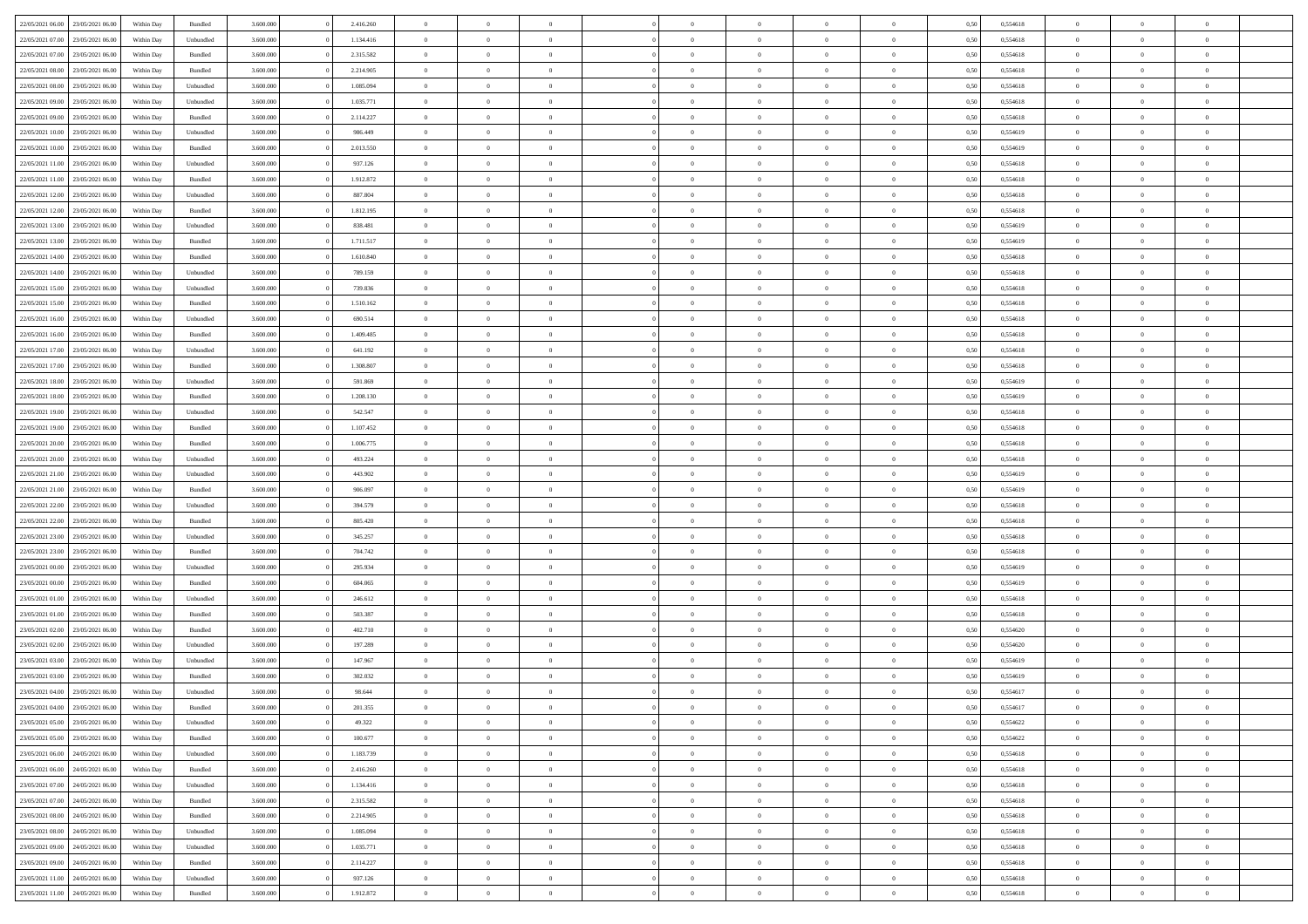|                                   |                  |            |                    |           |           | $\overline{0}$ | $\Omega$       |                |                | $\Omega$       | $\Omega$       | $\theta$       |      |          | $\theta$       | $\theta$       | $\theta$       |  |
|-----------------------------------|------------------|------------|--------------------|-----------|-----------|----------------|----------------|----------------|----------------|----------------|----------------|----------------|------|----------|----------------|----------------|----------------|--|
| 22/05/2021 06:00                  | 23/05/2021 06:00 | Within Day | Bundled            | 3.600.000 | 2.416.260 |                |                |                | $\Omega$       |                |                |                | 0,50 | 0,554618 |                |                |                |  |
| 22/05/2021 07:00                  | 23/05/2021 06:00 | Within Day | Unbundled          | 3.600.000 | 1.134.416 | $\overline{0}$ | $\theta$       | $\overline{0}$ | $\overline{0}$ | $\bf{0}$       | $\overline{0}$ | $\bf{0}$       | 0,50 | 0,554618 | $\theta$       | $\theta$       | $\overline{0}$ |  |
| 22/05/2021 07:00                  | 23/05/2021 06:00 | Within Day | Bundled            | 3.600.000 | 2.315.582 | $\overline{0}$ | $\overline{0}$ | $\overline{0}$ | $\bf{0}$       | $\bf{0}$       | $\bf{0}$       | $\bf{0}$       | 0,50 | 0,554618 | $\bf{0}$       | $\overline{0}$ | $\overline{0}$ |  |
| 22/05/2021 08:00                  | 23/05/2021 06:00 | Within Dav | Bundled            | 3.600,000 | 2.214.905 | $\overline{0}$ | $\overline{0}$ | $\overline{0}$ | $\overline{0}$ | $\bf{0}$       | $\overline{0}$ | $\overline{0}$ | 0.50 | 0.554618 | $\theta$       | $\theta$       | $\overline{0}$ |  |
| 22/05/2021 08:00                  | 23/05/2021 06:00 | Within Day | Unbundled          | 3.600.000 | 1.085.094 | $\overline{0}$ | $\theta$       | $\overline{0}$ | $\overline{0}$ | $\bf{0}$       | $\overline{0}$ | $\bf{0}$       | 0,50 | 0,554618 | $\theta$       | $\theta$       | $\overline{0}$ |  |
|                                   |                  |            |                    |           |           |                |                |                |                |                |                |                |      |          |                |                |                |  |
| 22/05/2021 09:00                  | 23/05/2021 06:00 | Within Day | Unbundled          | 3.600.000 | 1.035.771 | $\overline{0}$ | $\bf{0}$       | $\overline{0}$ | $\bf{0}$       | $\overline{0}$ | $\overline{0}$ | $\mathbf{0}$   | 0,50 | 0,554618 | $\bf{0}$       | $\overline{0}$ | $\bf{0}$       |  |
| 22/05/2021 09:00                  | 23/05/2021 06:00 | Within Dav | Bundled            | 3.600.000 | 2.114.227 | $\overline{0}$ | $\overline{0}$ | $\overline{0}$ | $\overline{0}$ | $\overline{0}$ | $\overline{0}$ | $\overline{0}$ | 0.50 | 0,554618 | $\theta$       | $\theta$       | $\overline{0}$ |  |
| 22/05/2021 10:00                  | 23/05/2021 06:00 | Within Day | Unbundled          | 3.600.000 | 986.449   | $\overline{0}$ | $\theta$       | $\overline{0}$ | $\overline{0}$ | $\bf{0}$       | $\overline{0}$ | $\bf{0}$       | 0,50 | 0,554619 | $\theta$       | $\theta$       | $\overline{0}$ |  |
| 22/05/2021 10:00                  | 23/05/2021 06:00 | Within Day | Bundled            | 3.600.000 | 2.013.550 | $\overline{0}$ | $\overline{0}$ | $\overline{0}$ | $\bf{0}$       | $\bf{0}$       | $\bf{0}$       | $\bf{0}$       | 0,50 | 0,554619 | $\,0\,$        | $\overline{0}$ | $\overline{0}$ |  |
|                                   |                  |            |                    |           |           |                | $\overline{0}$ |                |                | $\overline{0}$ |                |                |      |          | $\theta$       | $\overline{0}$ | $\overline{0}$ |  |
| 22/05/2021 11:00                  | 23/05/2021 06:00 | Within Dav | Unbundled          | 3.600.000 | 937.126   | $\overline{0}$ |                | $\overline{0}$ | $\overline{0}$ |                | $\overline{0}$ | $\overline{0}$ | 0.50 | 0.554618 |                |                |                |  |
| 22/05/2021 11:00                  | 23/05/2021 06:00 | Within Day | Bundled            | 3.600.000 | 1.912.872 | $\overline{0}$ | $\theta$       | $\overline{0}$ | $\overline{0}$ | $\bf{0}$       | $\overline{0}$ | $\bf{0}$       | 0,50 | 0,554618 | $\theta$       | $\overline{0}$ | $\overline{0}$ |  |
| 22/05/2021 12:00                  | 23/05/2021 06:00 | Within Day | Unbundled          | 3.600.000 | 887.804   | $\overline{0}$ | $\overline{0}$ | $\overline{0}$ | $\bf{0}$       | $\bf{0}$       | $\bf{0}$       | $\bf{0}$       | 0,50 | 0,554618 | $\bf{0}$       | $\overline{0}$ | $\overline{0}$ |  |
| 22/05/2021 12:00                  | 23/05/2021 06:00 | Within Day | Bundled            | 3.600.000 | 1.812.195 | $\overline{0}$ | $\overline{0}$ | $\overline{0}$ | $\overline{0}$ | $\bf{0}$       | $\overline{0}$ | $\overline{0}$ | 0.50 | 0.554618 | $\theta$       | $\theta$       | $\overline{0}$ |  |
| 22/05/2021 13:00                  | 23/05/2021 06:00 | Within Day | Unbundled          | 3.600.000 | 838.481   | $\overline{0}$ | $\theta$       | $\overline{0}$ | $\overline{0}$ | $\bf{0}$       | $\overline{0}$ | $\bf{0}$       | 0,50 | 0,554619 | $\theta$       | $\theta$       | $\overline{0}$ |  |
|                                   |                  |            |                    |           |           |                |                |                |                |                |                |                |      |          |                |                |                |  |
| 22/05/2021 13:00                  | 23/05/2021 06:00 | Within Day | Bundled            | 3.600.000 | 1.711.517 | $\overline{0}$ | $\overline{0}$ | $\overline{0}$ | $\bf{0}$       | $\overline{0}$ | $\overline{0}$ | $\mathbf{0}$   | 0,50 | 0,554619 | $\bf{0}$       | $\overline{0}$ | $\bf{0}$       |  |
| 22/05/2021 14:00                  | 23/05/2021 06:00 | Within Dav | Bundled            | 3.600.000 | 1.610.840 | $\overline{0}$ | $\overline{0}$ | $\overline{0}$ | $\overline{0}$ | $\overline{0}$ | $\overline{0}$ | $\overline{0}$ | 0.50 | 0.554618 | $\theta$       | $\overline{0}$ | $\overline{0}$ |  |
| 22/05/2021 14:00                  | 23/05/2021 06:00 | Within Day | Unbundled          | 3.600.000 | 789.159   | $\overline{0}$ | $\theta$       | $\overline{0}$ | $\overline{0}$ | $\bf{0}$       | $\overline{0}$ | $\bf{0}$       | 0,50 | 0,554618 | $\theta$       | $\theta$       | $\overline{0}$ |  |
| 22/05/2021 15:00                  | 23/05/2021 06:00 | Within Day | Unbundled          | 3.600.000 | 739.836   | $\overline{0}$ | $\overline{0}$ | $\overline{0}$ | $\bf{0}$       | $\bf{0}$       | $\bf{0}$       | $\bf{0}$       | 0,50 | 0,554618 | $\,0\,$        | $\overline{0}$ | $\overline{0}$ |  |
| 22/05/2021 15:00                  | 23/05/2021 06:00 | Within Day | Bundled            | 3.600.000 | 1.510.162 | $\overline{0}$ | $\overline{0}$ | $\overline{0}$ | $\overline{0}$ | $\overline{0}$ | $\overline{0}$ | $\overline{0}$ | 0.50 | 0,554618 | $\theta$       | $\overline{0}$ | $\overline{0}$ |  |
| 22/05/2021 16:00                  | 23/05/2021 06:00 | Within Day | Unbundled          | 3.600.000 | 690.514   | $\overline{0}$ | $\theta$       | $\overline{0}$ | $\overline{0}$ | $\bf{0}$       | $\overline{0}$ | $\bf{0}$       | 0,50 | 0,554618 | $\,$ 0 $\,$    | $\theta$       | $\overline{0}$ |  |
|                                   |                  |            |                    |           |           |                |                |                |                |                |                |                |      |          |                |                |                |  |
| 22/05/2021 16:00                  | 23/05/2021 06:00 | Within Day | Bundled            | 3.600.000 | 1.409.485 | $\overline{0}$ | $\overline{0}$ | $\overline{0}$ | $\bf{0}$       | $\bf{0}$       | $\bf{0}$       | $\bf{0}$       | 0,50 | 0,554618 | $\bf{0}$       | $\overline{0}$ | $\overline{0}$ |  |
| 22/05/2021 17:00                  | 23/05/2021 06:00 | Within Day | Unbundled          | 3.600,000 | 641.192   | $\overline{0}$ | $\overline{0}$ | $\overline{0}$ | $\overline{0}$ | $\bf{0}$       | $\overline{0}$ | $\overline{0}$ | 0.50 | 0.554618 | $\theta$       | $\theta$       | $\overline{0}$ |  |
| 22/05/2021 17:00                  | 23/05/2021 06:00 | Within Day | Bundled            | 3.600.000 | 1.308.807 | $\overline{0}$ | $\theta$       | $\overline{0}$ | $\overline{0}$ | $\bf{0}$       | $\overline{0}$ | $\bf{0}$       | 0,50 | 0,554618 | $\theta$       | $\overline{0}$ | $\overline{0}$ |  |
| 22/05/2021 18:00                  | 23/05/2021 06:00 | Within Day | Unbundled          | 3.600.000 | 591.869   | $\overline{0}$ | $\bf{0}$       | $\overline{0}$ | $\bf{0}$       | $\overline{0}$ | $\overline{0}$ | $\mathbf{0}$   | 0,50 | 0,554619 | $\overline{0}$ | $\overline{0}$ | $\bf{0}$       |  |
| 22/05/2021 18:00                  | 23/05/2021 06:00 | Within Dav | Bundled            | 3.600.000 | 1.208.130 | $\overline{0}$ | $\overline{0}$ | $\overline{0}$ | $\overline{0}$ | $\overline{0}$ | $\overline{0}$ | $\overline{0}$ | 0.50 | 0,554619 | $\theta$       | $\theta$       | $\overline{0}$ |  |
|                                   |                  |            |                    |           |           |                |                |                |                |                |                |                |      |          |                |                |                |  |
| 22/05/2021 19:00                  | 23/05/2021 06:00 | Within Day | Unbundled          | 3.600.000 | 542.547   | $\overline{0}$ | $\theta$       | $\overline{0}$ | $\overline{0}$ | $\bf{0}$       | $\overline{0}$ | $\bf{0}$       | 0,50 | 0,554618 | $\theta$       | $\theta$       | $\overline{0}$ |  |
| 22/05/2021 19:00                  | 23/05/2021 06:00 | Within Day | Bundled            | 3.600.000 | 1.107.452 | $\overline{0}$ | $\overline{0}$ | $\overline{0}$ | $\bf{0}$       | $\bf{0}$       | $\bf{0}$       | $\bf{0}$       | 0,50 | 0,554618 | $\,0\,$        | $\overline{0}$ | $\overline{0}$ |  |
| 22/05/2021 20:00                  | 23/05/2021 06:00 | Within Day | Bundled            | 3.600.000 | 1.006.775 | $\overline{0}$ | $\overline{0}$ | $\overline{0}$ | $\overline{0}$ | $\overline{0}$ | $\overline{0}$ | $\overline{0}$ | 0.50 | 0.554618 | $\theta$       | $\overline{0}$ | $\overline{0}$ |  |
| 22/05/2021 20:00                  | 23/05/2021 06:00 | Within Day | Unbundled          | 3.600.000 | 493.224   | $\overline{0}$ | $\theta$       | $\overline{0}$ | $\overline{0}$ | $\bf{0}$       | $\overline{0}$ | $\bf{0}$       | 0,50 | 0,554618 | $\,$ 0 $\,$    | $\overline{0}$ | $\overline{0}$ |  |
| 22/05/2021 21:00                  | 23/05/2021 06:00 | Within Day | Unbundled          | 3.600.000 | 443.902   | $\overline{0}$ | $\overline{0}$ | $\overline{0}$ | $\bf{0}$       | $\bf{0}$       | $\bf{0}$       | $\bf{0}$       | 0,50 | 0,554619 | $\overline{0}$ | $\overline{0}$ | $\overline{0}$ |  |
|                                   |                  |            |                    |           |           |                |                |                |                |                |                |                |      |          |                |                |                |  |
| 22/05/2021 21:00                  | 23/05/2021 06:00 | Within Day | Bundled            | 3.600.000 | 906,097   | $\overline{0}$ | $\Omega$       | $\Omega$       | $\Omega$       | $\Omega$       | $\Omega$       | $\overline{0}$ | 0,50 | 0,554619 | $\,0\,$        | $\theta$       | $\theta$       |  |
| 22/05/2021 22:00                  | 23/05/2021 06:00 | Within Day | Unbundled          | 3.600.000 | 394.579   | $\overline{0}$ | $\theta$       | $\overline{0}$ | $\overline{0}$ | $\bf{0}$       | $\overline{0}$ | $\bf{0}$       | 0,50 | 0,554618 | $\theta$       | $\theta$       | $\overline{0}$ |  |
| 22/05/2021 22:00                  | 23/05/2021 06:00 | Within Day | Bundled            | 3.600.000 | 805.420   | $\overline{0}$ | $\overline{0}$ | $\overline{0}$ | $\bf{0}$       | $\bf{0}$       | $\overline{0}$ | $\mathbf{0}$   | 0,50 | 0,554618 | $\overline{0}$ | $\overline{0}$ | $\bf{0}$       |  |
| 22/05/2021 23:00                  | 23/05/2021 06:00 | Within Day | Unbundled          | 3.600,000 | 345.257   | $\overline{0}$ | $\Omega$       | $\Omega$       | $\Omega$       | $\bf{0}$       | $\overline{0}$ | $\overline{0}$ | 0.50 | 0.554618 | $\theta$       | $\theta$       | $\theta$       |  |
| 22/05/2021 23:00                  | 23/05/2021 06:00 | Within Day | Bundled            | 3.600.000 | 704.742   | $\overline{0}$ | $\theta$       | $\overline{0}$ | $\overline{0}$ | $\bf{0}$       | $\overline{0}$ | $\bf{0}$       | 0,50 | 0,554618 | $\theta$       | $\theta$       | $\overline{0}$ |  |
|                                   | 23/05/2021 06:00 | Within Day | Unbundled          | 3.600.000 | 295.934   | $\overline{0}$ | $\overline{0}$ | $\overline{0}$ | $\bf{0}$       | $\bf{0}$       | $\bf{0}$       | $\bf{0}$       | 0,50 | 0,554619 | $\,0\,$        | $\overline{0}$ | $\overline{0}$ |  |
| 23/05/2021 00:00                  |                  |            |                    |           |           |                |                |                |                |                |                |                |      |          |                |                |                |  |
| 23/05/2021 00:00                  | 23/05/2021 06:00 | Within Day | Bundled            | 3.600,000 | 604,065   | $\overline{0}$ | $\Omega$       | $\Omega$       | $\Omega$       | $\theta$       | $\theta$       | $\overline{0}$ | 0.50 | 0.554619 | $\theta$       | $\theta$       | $\theta$       |  |
| 23/05/2021 01:00                  | 23/05/2021 06:00 | Within Day | Unbundled          | 3.600.000 | 246.612   | $\overline{0}$ | $\theta$       | $\overline{0}$ | $\overline{0}$ | $\bf{0}$       | $\overline{0}$ | $\bf{0}$       | 0,50 | 0,554618 | $\,$ 0 $\,$    | $\overline{0}$ | $\overline{0}$ |  |
| 23/05/2021 01:00                  | 23/05/2021 06:00 | Within Day | Bundled            | 3.600.000 | 503.387   | $\overline{0}$ | $\overline{0}$ | $\overline{0}$ | $\overline{0}$ | $\bf{0}$       | $\overline{0}$ | $\bf{0}$       | 0,50 | 0,554618 | $\overline{0}$ | $\overline{0}$ | $\overline{0}$ |  |
| 23/05/2021 02:00                  | 23/05/2021 06:00 | Within Day | Bundled            | 3.600.000 | 402.710   | $\overline{0}$ | $\Omega$       | $\overline{0}$ | $\Omega$       | $\Omega$       | $\overline{0}$ | $\overline{0}$ | 0,50 | 0,554620 | $\,0\,$        | $\theta$       | $\theta$       |  |
| 23/05/2021 02:00                  | 23/05/2021 06:00 | Within Day | Unbundled          | 3.600.000 | 197.289   | $\overline{0}$ | $\theta$       | $\overline{0}$ | $\overline{0}$ | $\bf{0}$       | $\overline{0}$ | $\bf{0}$       | 0,50 | 0,554620 | $\,$ 0 $\,$    | $\overline{0}$ | $\overline{0}$ |  |
|                                   |                  |            |                    |           |           |                |                |                |                |                |                |                |      |          |                |                |                |  |
| 23/05/2021 03:00                  | 23/05/2021 06:00 | Within Day | Unbundled          | 3.600.000 | 147.967   | $\overline{0}$ | $\overline{0}$ | $\overline{0}$ | $\overline{0}$ | $\bf{0}$       | $\overline{0}$ | $\mathbf{0}$   | 0,50 | 0,554619 | $\overline{0}$ | $\overline{0}$ | $\bf{0}$       |  |
| 23/05/2021 03:00                  | 23/05/2021 06:00 | Within Day | Bundled            | 3.600,000 | 302.032   | $\overline{0}$ | $\Omega$       | $\Omega$       | $\Omega$       | $\Omega$       | $\Omega$       | $\overline{0}$ | 0.50 | 0.554619 | $\theta$       | $\theta$       | $\theta$       |  |
| 23/05/2021 04:00                  | 23/05/2021 06:00 | Within Day | Unbundled          | 3.600.000 | 98.644    | $\overline{0}$ | $\overline{0}$ | $\overline{0}$ | $\bf{0}$       | $\,$ 0         | $\overline{0}$ | $\bf{0}$       | 0,50 | 0,554617 | $\,0\,$        | $\overline{0}$ | $\overline{0}$ |  |
| 23/05/2021 04:00 23/05/2021 06:00 |                  | Within Day | $\mathbf B$ undled | 3.600.000 | 201.355   | $\bf{0}$       | $\bf{0}$       |                |                |                |                |                | 0,50 | 0,554617 | $\bf{0}$       | $\overline{0}$ |                |  |
| 23/05/2021 05:00                  | 23/05/2021 06:00 | Within Day | Unbundled          | 3.600,000 | 49.322    | $\overline{0}$ | $\overline{0}$ | $\overline{0}$ | $\Omega$       | $\overline{0}$ | $\overline{0}$ | $\overline{0}$ | 0.50 | 0.554622 | $\theta$       | $\theta$       | $\theta$       |  |
| 23/05/2021 05:00                  | 23/05/2021 06:00 | Within Day | Bundled            | 3.600.000 | 100.677   | $\overline{0}$ | $\,$ 0         | $\overline{0}$ | $\overline{0}$ | $\,$ 0 $\,$    | $\overline{0}$ | $\mathbf{0}$   | 0,50 | 0,554622 | $\,$ 0 $\,$    | $\,$ 0 $\,$    | $\,$ 0         |  |
|                                   |                  |            |                    |           |           |                |                |                |                |                |                |                |      |          |                |                |                |  |
| 23/05/2021 06:00                  | 24/05/2021 06:00 | Within Day | Unbundled          | 3.600.000 | 1.183.739 | $\overline{0}$ | $\overline{0}$ | $\overline{0}$ | $\overline{0}$ | $\overline{0}$ | $\overline{0}$ | $\mathbf{0}$   | 0,50 | 0,554618 | $\overline{0}$ | $\bf{0}$       | $\bf{0}$       |  |
| 23/05/2021 06:00                  | 24/05/2021 06:00 | Within Day | Bundled            | 3.600.000 | 2.416.260 | $\overline{0}$ | $\overline{0}$ | $\overline{0}$ | $\Omega$       | $\overline{0}$ | $\overline{0}$ | $\bf{0}$       | 0,50 | 0,554618 | $\overline{0}$ | $\theta$       | $\overline{0}$ |  |
| 23/05/2021 07:00                  | 24/05/2021 06.00 | Within Day | Unbundled          | 3.600.000 | 1.134.416 | $\overline{0}$ | $\,$ 0         | $\overline{0}$ | $\overline{0}$ | $\,$ 0 $\,$    | $\overline{0}$ | $\mathbf{0}$   | 0,50 | 0,554618 | $\,$ 0 $\,$    | $\overline{0}$ | $\overline{0}$ |  |
| 23/05/2021 07:00                  | 24/05/2021 06:00 | Within Day | Bundled            | 3.600.000 | 2.315.582 | $\overline{0}$ | $\overline{0}$ | $\overline{0}$ | $\overline{0}$ | $\overline{0}$ | $\overline{0}$ | $\mathbf{0}$   | 0,50 | 0,554618 | $\overline{0}$ | $\overline{0}$ | $\bf{0}$       |  |
| 23/05/2021 08:00                  | 24/05/2021 06:00 | Within Day | Bundled            | 3.600,000 | 2.214.905 | $\overline{0}$ | $\overline{0}$ | $\overline{0}$ | $\Omega$       | $\overline{0}$ | $\overline{0}$ | $\bf{0}$       | 0.50 | 0,554618 | $\overline{0}$ | $\theta$       | $\overline{0}$ |  |
|                                   |                  |            |                    |           |           |                |                |                |                |                |                |                |      |          |                |                |                |  |
| 23/05/2021 08:00                  | 24/05/2021 06:00 | Within Day | Unbundled          | 3.600.000 | 1.085.094 | $\overline{0}$ | $\,$ 0         | $\overline{0}$ | $\overline{0}$ | $\bf{0}$       | $\overline{0}$ | $\bf{0}$       | 0,50 | 0,554618 | $\,$ 0 $\,$    | $\overline{0}$ | $\overline{0}$ |  |
| 23/05/2021 09:00                  | 24/05/2021 06:00 | Within Day | Unbundled          | 3.600.000 | 1.035.771 | $\overline{0}$ | $\bf{0}$       | $\overline{0}$ | $\overline{0}$ | $\overline{0}$ | $\overline{0}$ | $\mathbf{0}$   | 0,50 | 0,554618 | $\overline{0}$ | $\overline{0}$ | $\bf{0}$       |  |
| 23/05/2021 09:00                  | 24/05/2021 06:00 | Within Day | Bundled            | 3.600,000 | 2.114.227 | $\overline{0}$ | $\overline{0}$ | $\overline{0}$ | $\Omega$       | $\overline{0}$ | $\overline{0}$ | $\bf{0}$       | 0.50 | 0,554618 | $\overline{0}$ | $\overline{0}$ | $\overline{0}$ |  |
| 23/05/2021 11:00                  | 24/05/2021 06.00 | Within Day | Unbundled          | 3.600.000 | 937.126   | $\overline{0}$ | $\bf{0}$       | $\overline{0}$ | $\overline{0}$ | $\bf{0}$       | $\overline{0}$ | $\bf{0}$       | 0,50 | 0,554618 | $\,$ 0 $\,$    | $\,$ 0 $\,$    | $\bf{0}$       |  |
| 23/05/2021 11:00 24/05/2021 06:00 |                  | Within Day | Bundled            | 3.600.000 | 1.912.872 | $\overline{0}$ | $\bf{0}$       | $\overline{0}$ | $\bf{0}$       | $\bf{0}$       | $\overline{0}$ | $\bf{0}$       | 0,50 | 0,554618 | $\overline{0}$ | $\overline{0}$ | $\bf{0}$       |  |
|                                   |                  |            |                    |           |           |                |                |                |                |                |                |                |      |          |                |                |                |  |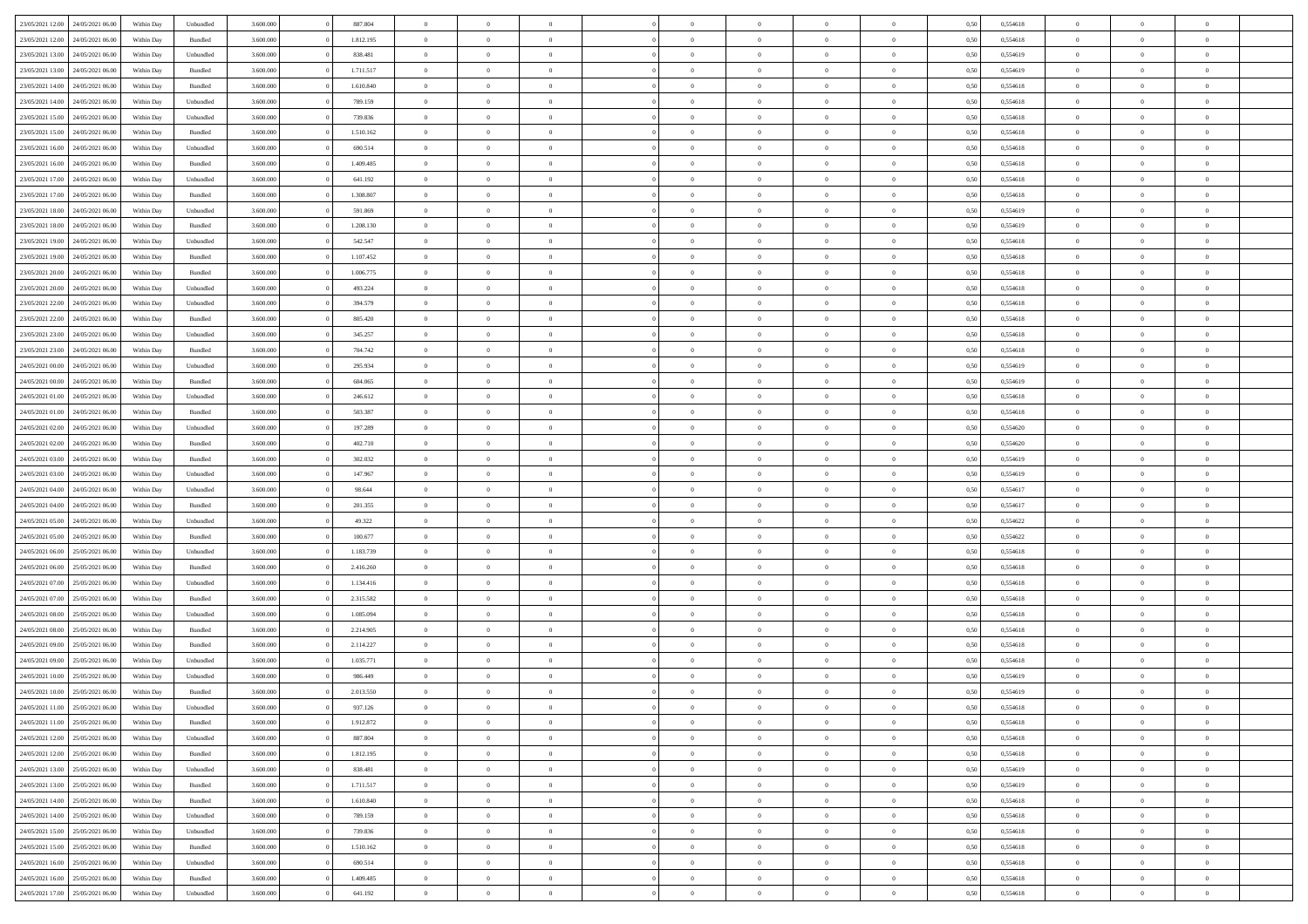| 23/05/2021 12:00                  |                  |            |           |           |           | $\overline{0}$ | $\Omega$       |                |                | $\Omega$       | $\Omega$       | $\theta$       |      |          | $\theta$       |                | $\theta$       |  |
|-----------------------------------|------------------|------------|-----------|-----------|-----------|----------------|----------------|----------------|----------------|----------------|----------------|----------------|------|----------|----------------|----------------|----------------|--|
|                                   | 24/05/2021 06:00 | Within Dav | Unbundled | 3.600.000 | 887.804   |                |                |                | $\Omega$       |                |                |                | 0,50 | 0,554618 |                | $\theta$       |                |  |
| 23/05/2021 12:00                  | 24/05/2021 06.00 | Within Day | Bundled   | 3.600.000 | 1.812.195 | $\overline{0}$ | $\theta$       | $\overline{0}$ | $\overline{0}$ | $\bf{0}$       | $\overline{0}$ | $\bf{0}$       | 0,50 | 0,554618 | $\theta$       | $\theta$       | $\overline{0}$ |  |
| 23/05/2021 13:00                  | 24/05/2021 06:00 | Within Day | Unbundled | 3.600.000 | 838.481   | $\overline{0}$ | $\overline{0}$ | $\overline{0}$ | $\bf{0}$       | $\bf{0}$       | $\bf{0}$       | $\bf{0}$       | 0,50 | 0,554619 | $\overline{0}$ | $\overline{0}$ | $\overline{0}$ |  |
| 23/05/2021 13:00                  | 24/05/2021 06:00 | Within Dav | Bundled   | 3.600,000 | 1.711.517 | $\overline{0}$ | $\overline{0}$ | $\overline{0}$ | $\overline{0}$ | $\bf{0}$       | $\overline{0}$ | $\overline{0}$ | 0.50 | 0.554619 | $\theta$       | $\theta$       | $\overline{0}$ |  |
|                                   |                  |            |           |           |           | $\overline{0}$ | $\theta$       | $\overline{0}$ |                | $\bf{0}$       | $\overline{0}$ |                |      |          | $\theta$       | $\theta$       | $\overline{0}$ |  |
| 23/05/2021 14:00                  | 24/05/2021 06.00 | Within Day | Bundled   | 3.600.000 | 1.610.840 |                |                |                | $\overline{0}$ |                |                | $\bf{0}$       | 0,50 | 0,554618 |                |                |                |  |
| 23/05/2021 14:00                  | 24/05/2021 06:00 | Within Day | Unbundled | 3.600.000 | 789.159   | $\overline{0}$ | $\bf{0}$       | $\overline{0}$ | $\bf{0}$       | $\overline{0}$ | $\overline{0}$ | $\mathbf{0}$   | 0,50 | 0,554618 | $\overline{0}$ | $\overline{0}$ | $\bf{0}$       |  |
| 23/05/2021 15:00                  | 24/05/2021 06.00 | Within Dav | Unbundled | 3.600.000 | 739.836   | $\overline{0}$ | $\overline{0}$ | $\overline{0}$ | $\overline{0}$ | $\overline{0}$ | $\overline{0}$ | $\overline{0}$ | 0.50 | 0,554618 | $\theta$       | $\overline{0}$ | $\overline{0}$ |  |
| 23/05/2021 15:00                  | 24/05/2021 06.00 | Within Day | Bundled   | 3.600.000 | 1.510.162 | $\overline{0}$ | $\theta$       | $\overline{0}$ | $\overline{0}$ | $\bf{0}$       | $\overline{0}$ | $\bf{0}$       | 0,50 | 0,554618 | $\theta$       | $\theta$       | $\overline{0}$ |  |
| 23/05/2021 16:00                  | 24/05/2021 06:00 | Within Day | Unbundled | 3.600.000 | 690.514   | $\overline{0}$ | $\overline{0}$ | $\overline{0}$ | $\bf{0}$       | $\bf{0}$       | $\bf{0}$       | $\bf{0}$       | 0,50 | 0,554618 | $\,0\,$        | $\overline{0}$ | $\overline{0}$ |  |
|                                   |                  |            |           |           |           |                | $\overline{0}$ |                |                | $\overline{0}$ |                |                |      |          | $\theta$       | $\overline{0}$ | $\overline{0}$ |  |
| 23/05/2021 16:00                  | 24/05/2021 06:00 | Within Dav | Bundled   | 3.600.000 | 1.409.485 | $\overline{0}$ |                | $\overline{0}$ | $\overline{0}$ |                | $\overline{0}$ | $\overline{0}$ | 0.50 | 0.554618 |                |                |                |  |
| 23/05/2021 17:00                  | 24/05/2021 06.00 | Within Day | Unbundled | 3.600.000 | 641.192   | $\overline{0}$ | $\theta$       | $\overline{0}$ | $\overline{0}$ | $\bf{0}$       | $\overline{0}$ | $\bf{0}$       | 0,50 | 0,554618 | $\theta$       | $\theta$       | $\overline{0}$ |  |
| 23/05/2021 17:00                  | 24/05/2021 06:00 | Within Day | Bundled   | 3.600.000 | 1.308.807 | $\overline{0}$ | $\overline{0}$ | $\overline{0}$ | $\bf{0}$       | $\bf{0}$       | $\bf{0}$       | $\mathbf{0}$   | 0,50 | 0,554618 | $\overline{0}$ | $\overline{0}$ | $\overline{0}$ |  |
| 23/05/2021 18:00                  | 24/05/2021 06:00 | Within Day | Unbundled | 3.600.000 | 591.869   | $\overline{0}$ | $\overline{0}$ | $\overline{0}$ | $\overline{0}$ | $\bf{0}$       | $\overline{0}$ | $\overline{0}$ | 0.50 | 0.554619 | $\theta$       | $\theta$       | $\overline{0}$ |  |
| 23/05/2021 18:00                  | 24/05/2021 06.00 | Within Day | Bundled   | 3.600.000 | 1.208.130 | $\overline{0}$ | $\theta$       | $\overline{0}$ | $\overline{0}$ | $\bf{0}$       | $\overline{0}$ | $\bf{0}$       | 0,50 | 0,554619 | $\theta$       | $\theta$       | $\overline{0}$ |  |
|                                   |                  |            |           |           |           |                |                |                |                |                |                |                |      |          |                |                |                |  |
| 23/05/2021 19:00                  | 24/05/2021 06:00 | Within Day | Unbundled | 3.600.000 | 542.547   | $\overline{0}$ | $\overline{0}$ | $\overline{0}$ | $\bf{0}$       | $\overline{0}$ | $\overline{0}$ | $\mathbf{0}$   | 0,50 | 0,554618 | $\overline{0}$ | $\overline{0}$ | $\bf{0}$       |  |
| 23/05/2021 19:00                  | 24/05/2021 06:00 | Within Dav | Bundled   | 3.600.000 | 1.107.452 | $\overline{0}$ | $\overline{0}$ | $\overline{0}$ | $\overline{0}$ | $\overline{0}$ | $\overline{0}$ | $\overline{0}$ | 0.50 | 0.554618 | $\theta$       | $\overline{0}$ | $\overline{0}$ |  |
| 23/05/2021 20:00                  | 24/05/2021 06.00 | Within Day | Bundled   | 3.600.000 | 1.006.775 | $\overline{0}$ | $\theta$       | $\overline{0}$ | $\overline{0}$ | $\bf{0}$       | $\overline{0}$ | $\bf{0}$       | 0,50 | 0,554618 | $\theta$       | $\theta$       | $\overline{0}$ |  |
| 23/05/2021 20:00                  | 24/05/2021 06:00 | Within Day | Unbundled | 3.600.000 | 493.224   | $\overline{0}$ | $\overline{0}$ | $\overline{0}$ | $\bf{0}$       | $\bf{0}$       | $\bf{0}$       | $\bf{0}$       | 0,50 | 0,554618 | $\,0\,$        | $\overline{0}$ | $\overline{0}$ |  |
| 23/05/2021 22:00                  | 24/05/2021 06:00 | Within Day | Unbundled | 3.600.000 | 394.579   | $\overline{0}$ | $\overline{0}$ | $\overline{0}$ | $\overline{0}$ | $\overline{0}$ | $\overline{0}$ | $\overline{0}$ | 0.50 | 0.554618 | $\theta$       | $\overline{0}$ | $\overline{0}$ |  |
| 23/05/2021 22:00                  | 24/05/2021 06.00 | Within Day | Bundled   | 3.600.000 | 805.420   | $\overline{0}$ | $\theta$       | $\overline{0}$ | $\overline{0}$ | $\bf{0}$       | $\overline{0}$ | $\bf{0}$       | 0,50 | 0,554618 | $\,$ 0 $\,$    | $\theta$       | $\overline{0}$ |  |
|                                   |                  |            |           |           |           |                |                |                |                |                |                |                |      |          |                |                |                |  |
| 23/05/2021 23:00                  | 24/05/2021 06:00 | Within Day | Unbundled | 3.600.000 | 345.257   | $\overline{0}$ | $\overline{0}$ | $\overline{0}$ | $\bf{0}$       | $\bf{0}$       | $\overline{0}$ | $\bf{0}$       | 0,50 | 0,554618 | $\bf{0}$       | $\overline{0}$ | $\overline{0}$ |  |
| 23/05/2021 23:00                  | 24/05/2021 06:00 | Within Day | Bundled   | 3.600,000 | 704.742   | $\overline{0}$ | $\overline{0}$ | $\overline{0}$ | $\overline{0}$ | $\bf{0}$       | $\overline{0}$ | $\overline{0}$ | 0.50 | 0.554618 | $\theta$       | $\theta$       | $\overline{0}$ |  |
| 24/05/2021 00:00                  | 24/05/2021 06.00 | Within Day | Unbundled | 3.600.000 | 295.934   | $\overline{0}$ | $\theta$       | $\overline{0}$ | $\overline{0}$ | $\bf{0}$       | $\overline{0}$ | $\bf{0}$       | 0,50 | 0,554619 | $\theta$       | $\overline{0}$ | $\overline{0}$ |  |
| 24/05/2021 00:00                  | 24/05/2021 06:00 | Within Day | Bundled   | 3.600.000 | 604.065   | $\overline{0}$ | $\bf{0}$       | $\overline{0}$ | $\overline{0}$ | $\overline{0}$ | $\overline{0}$ | $\mathbf{0}$   | 0,50 | 0,554619 | $\bf{0}$       | $\overline{0}$ | $\bf{0}$       |  |
| 24/05/2021 01:00                  | 24/05/2021 06:00 | Within Dav | Unbundled | 3.600.000 | 246.612   | $\overline{0}$ | $\overline{0}$ | $\overline{0}$ | $\overline{0}$ | $\overline{0}$ | $\overline{0}$ | $\overline{0}$ | 0.50 | 0.554618 | $\theta$       | $\overline{0}$ | $\overline{0}$ |  |
| 24/05/2021 01:00                  | 24/05/2021 06.00 | Within Day | Bundled   | 3.600.000 | 503.387   | $\overline{0}$ | $\theta$       | $\overline{0}$ | $\overline{0}$ | $\bf{0}$       | $\overline{0}$ | $\bf{0}$       | 0,50 | 0,554618 | $\theta$       | $\theta$       | $\overline{0}$ |  |
|                                   | 24/05/2021 06:00 | Within Day | Unbundled | 3.600.000 | 197.289   | $\overline{0}$ | $\overline{0}$ | $\overline{0}$ | $\overline{0}$ | $\bf{0}$       | $\overline{0}$ | $\bf{0}$       | 0,50 | 0,554620 | $\,0\,$        | $\overline{0}$ | $\overline{0}$ |  |
| 24/05/2021 02:00                  |                  |            |           |           |           |                |                |                |                |                |                |                |      |          |                |                |                |  |
| 24/05/2021 02:00                  | 24/05/2021 06:00 | Within Day | Bundled   | 3.600.000 | 402.710   | $\overline{0}$ | $\overline{0}$ | $\overline{0}$ | $\overline{0}$ | $\overline{0}$ | $\overline{0}$ | $\overline{0}$ | 0.50 | 0,554620 | $\theta$       | $\overline{0}$ | $\overline{0}$ |  |
| 24/05/2021 03:00                  | 24/05/2021 06.00 | Within Day | Bundled   | 3.600.000 | 302.032   | $\overline{0}$ | $\theta$       | $\overline{0}$ | $\overline{0}$ | $\bf{0}$       | $\overline{0}$ | $\bf{0}$       | 0,50 | 0,554619 | $\,$ 0 $\,$    | $\overline{0}$ | $\overline{0}$ |  |
| 24/05/2021 03:00                  | 24/05/2021 06:00 | Within Day | Unbundled | 3.600.000 | 147.967   | $\overline{0}$ | $\overline{0}$ | $\overline{0}$ | $\overline{0}$ | $\bf{0}$       | $\overline{0}$ | $\bf{0}$       | 0,50 | 0,554619 | $\bf{0}$       | $\overline{0}$ | $\overline{0}$ |  |
| 24/05/2021 04:00                  | 24/05/2021 06.00 | Within Day | Unbundled | 3.600.000 | 98.644    | $\overline{0}$ | $\Omega$       | $\Omega$       | $\Omega$       | $\Omega$       | $\Omega$       | $\overline{0}$ | 0,50 | 0,554617 | $\,0\,$        | $\theta$       | $\theta$       |  |
| 24/05/2021 04:00                  | 24/05/2021 06.00 | Within Day | Bundled   | 3.600.000 | 201.355   | $\overline{0}$ | $\theta$       | $\overline{0}$ | $\overline{0}$ | $\bf{0}$       | $\overline{0}$ | $\bf{0}$       | 0,50 | 0,554617 | $\theta$       | $\theta$       | $\overline{0}$ |  |
| 24/05/2021 05:00                  | 24/05/2021 06:00 | Within Day | Unbundled | 3.600.000 | 49.322    | $\overline{0}$ | $\overline{0}$ | $\overline{0}$ | $\overline{0}$ | $\bf{0}$       | $\overline{0}$ | $\mathbf{0}$   | 0,50 | 0,554622 | $\bf{0}$       | $\overline{0}$ | $\bf{0}$       |  |
|                                   |                  |            |           |           |           |                |                |                |                |                |                |                |      |          |                |                |                |  |
| 24/05/2021 05:00                  | 24/05/2021 06:00 | Within Day | Bundled   | 3.600,000 | 100,677   | $\overline{0}$ | $\Omega$       | $\Omega$       | $\Omega$       | $\bf{0}$       | $\overline{0}$ | $\overline{0}$ | 0.50 | 0,554622 | $\,0\,$        | $\theta$       | $\theta$       |  |
| 24/05/2021 06:00                  | 25/05/2021 06:00 | Within Day | Unbundled | 3.600.000 | 1.183.739 | $\overline{0}$ | $\theta$       | $\overline{0}$ | $\overline{0}$ | $\bf{0}$       | $\overline{0}$ | $\bf{0}$       | 0,50 | 0,554618 | $\theta$       | $\theta$       | $\overline{0}$ |  |
| 24/05/2021 06:00                  | 25/05/2021 06:00 | Within Day | Bundled   | 3.600.000 | 2.416.260 | $\overline{0}$ | $\overline{0}$ | $\overline{0}$ | $\overline{0}$ | $\bf{0}$       | $\overline{0}$ | $\bf{0}$       | 0,50 | 0,554618 | $\,0\,$        | $\overline{0}$ | $\overline{0}$ |  |
| 24/05/2021 07:00                  | 25/05/2021 06:00 | Within Day | Unbundled | 3.600,000 | 1.134.416 | $\overline{0}$ | $\Omega$       | $\Omega$       | $\Omega$       | $\theta$       | $\theta$       | $\overline{0}$ | 0.50 | 0.554618 | $\theta$       | $\theta$       | $\theta$       |  |
| 24/05/2021 07:00                  | 25/05/2021 06:00 | Within Day | Bundled   | 3.600.000 | 2.315.582 | $\overline{0}$ | $\theta$       | $\overline{0}$ | $\overline{0}$ | $\bf{0}$       | $\overline{0}$ | $\bf{0}$       | 0,50 | 0,554618 | $\,$ 0 $\,$    | $\overline{0}$ | $\overline{0}$ |  |
|                                   |                  |            |           |           |           |                |                |                |                |                |                |                |      |          |                |                |                |  |
| 24/05/2021 08:00                  | 25/05/2021 06:00 | Within Day | Unbundled | 3.600.000 | 1.085.094 | $\overline{0}$ | $\overline{0}$ | $\overline{0}$ | $\overline{0}$ | $\bf{0}$       | $\overline{0}$ | $\bf{0}$       | 0,50 | 0,554618 | $\bf{0}$       | $\overline{0}$ | $\overline{0}$ |  |
| 24/05/2021 08:00                  | 25/05/2021 06:00 | Within Day | Bundled   | 3.600.000 | 2.214.905 | $\overline{0}$ | $\Omega$       | $\overline{0}$ | $\Omega$       | $\Omega$       | $\overline{0}$ | $\overline{0}$ | 0,50 | 0,554618 | $\,0\,$        | $\theta$       | $\theta$       |  |
| 24/05/2021 09:00                  | 25/05/2021 06:00 | Within Day | Bundled   | 3.600.000 | 2.114.227 | $\overline{0}$ | $\theta$       | $\overline{0}$ | $\overline{0}$ | $\bf{0}$       | $\overline{0}$ | $\bf{0}$       | 0,50 | 0,554618 | $\,$ 0 $\,$    | $\overline{0}$ | $\overline{0}$ |  |
| 24/05/2021 09:00                  | 25/05/2021 06:00 | Within Day | Unbundled | 3.600.000 | 1.035.771 | $\overline{0}$ | $\overline{0}$ | $\overline{0}$ | $\overline{0}$ | $\bf{0}$       | $\overline{0}$ | $\mathbf{0}$   | 0,50 | 0,554618 | $\bf{0}$       | $\overline{0}$ | $\bf{0}$       |  |
| 24/05/2021 10:00                  | 25/05/2021 06:00 | Within Day | Unbundled | 3.600,000 | 986.449   | $\overline{0}$ | $\Omega$       | $\Omega$       | $\Omega$       | $\Omega$       | $\Omega$       | $\overline{0}$ | 0.50 | 0.554619 | $\theta$       | $\theta$       | $\theta$       |  |
| 24/05/2021 10:00                  | 25/05/2021 06:00 | Within Day | Bundled   | 3.600.000 | 2.013.550 | $\overline{0}$ | $\overline{0}$ | $\overline{0}$ | $\bf{0}$       | $\,$ 0         | $\overline{0}$ | $\bf{0}$       | 0,50 | 0,554619 | $\,0\,$        | $\overline{0}$ | $\overline{0}$ |  |
| 24/05/2021 11:00                  | 25/05/2021 06:00 | Within Day | Unbundled | 3.600.000 | 937.126   | $\bf{0}$       | $\bf{0}$       |                |                |                |                |                | 0,50 | 0,554618 | $\bf{0}$       | $\overline{0}$ |                |  |
|                                   |                  |            |           |           |           |                |                |                |                |                |                |                |      |          |                |                |                |  |
| 24/05/2021 11:00                  | 25/05/2021 06:00 | Within Day | Bundled   | 3.600,000 | 1.912.872 | $\overline{0}$ | $\overline{0}$ | $\overline{0}$ | $\Omega$       | $\overline{0}$ | $\overline{0}$ | $\overline{0}$ | 0.50 | 0.554618 | $\theta$       | $\theta$       | $\theta$       |  |
| 24/05/2021 12:00                  | 25/05/2021 06:00 | Within Day | Unbundled | 3.600.000 | 887.804   | $\overline{0}$ | $\,$ 0         | $\overline{0}$ | $\overline{0}$ | $\,$ 0 $\,$    | $\overline{0}$ | $\mathbf{0}$   | 0,50 | 0,554618 | $\,$ 0 $\,$    | $\,$ 0 $\,$    | $\,$ 0         |  |
| 24/05/2021 12:00                  | 25/05/2021 06:00 | Within Day | Bundled   | 3.600.000 | 1.812.195 | $\overline{0}$ | $\overline{0}$ | $\overline{0}$ | $\overline{0}$ | $\overline{0}$ | $\overline{0}$ | $\mathbf{0}$   | 0,50 | 0,554618 | $\overline{0}$ | $\bf{0}$       | $\overline{0}$ |  |
| 24/05/2021 13:00                  | 25/05/2021 06:00 | Within Day | Unbundled | 3.600.000 | 838.481   | $\overline{0}$ | $\overline{0}$ | $\overline{0}$ | $\Omega$       | $\overline{0}$ | $\overline{0}$ | $\overline{0}$ | 0,50 | 0,554619 | $\overline{0}$ | $\theta$       | $\overline{0}$ |  |
| 24/05/2021 13:00                  | 25/05/2021 06:00 | Within Day | Bundled   | 3.600.000 | 1.711.517 | $\overline{0}$ | $\,$ 0         | $\overline{0}$ | $\overline{0}$ | $\,$ 0 $\,$    | $\overline{0}$ | $\mathbf{0}$   | 0,50 | 0,554619 | $\,$ 0 $\,$    | $\overline{0}$ | $\overline{0}$ |  |
| 24/05/2021 14:00                  | 25/05/2021 06:00 | Within Day | Bundled   | 3.600.000 | 1.610.840 | $\overline{0}$ | $\overline{0}$ | $\overline{0}$ | $\overline{0}$ | $\overline{0}$ | $\overline{0}$ | $\mathbf{0}$   | 0,50 | 0,554618 | $\overline{0}$ | $\overline{0}$ | $\bf{0}$       |  |
|                                   |                  |            |           |           |           |                |                |                |                |                |                |                |      |          |                |                |                |  |
| 24/05/2021 14:00                  | 25/05/2021 06:00 | Within Day | Unbundled | 3.600,000 | 789.159   | $\overline{0}$ | $\overline{0}$ | $\overline{0}$ | $\Omega$       | $\overline{0}$ | $\overline{0}$ | $\bf{0}$       | 0.50 | 0,554618 | $\overline{0}$ | $\theta$       | $\overline{0}$ |  |
| 24/05/2021 15:00                  | 25/05/2021 06:00 | Within Day | Unbundled | 3.600.000 | 739.836   | $\overline{0}$ | $\,$ 0         | $\overline{0}$ | $\bf{0}$       | $\bf{0}$       | $\bf{0}$       | $\bf{0}$       | 0,50 | 0,554618 | $\,$ 0 $\,$    | $\overline{0}$ | $\overline{0}$ |  |
| 24/05/2021 15:00                  | 25/05/2021 06:00 | Within Day | Bundled   | 3.600.000 | 1.510.162 | $\overline{0}$ | $\bf{0}$       | $\overline{0}$ | $\overline{0}$ | $\overline{0}$ | $\overline{0}$ | $\mathbf{0}$   | 0,50 | 0,554618 | $\overline{0}$ | $\overline{0}$ | $\bf{0}$       |  |
| 24/05/2021 16:00                  | 25/05/2021 06:00 | Within Day | Unbundled | 3.600,000 | 690.514   | $\overline{0}$ | $\overline{0}$ | $\overline{0}$ | $\Omega$       | $\overline{0}$ | $\overline{0}$ | $\overline{0}$ | 0.50 | 0,554618 | $\overline{0}$ | $\overline{0}$ | $\overline{0}$ |  |
| 24/05/2021 16:00                  | 25/05/2021 06:00 | Within Day | Bundled   | 3.600.000 | 1.409.485 | $\overline{0}$ | $\bf{0}$       | $\overline{0}$ | $\bf{0}$       | $\bf{0}$       | $\bf{0}$       | $\mathbf{0}$   | 0,50 | 0,554618 | $\,$ 0 $\,$    | $\,$ 0 $\,$    | $\bf{0}$       |  |
| 24/05/2021 17:00 25/05/2021 06:00 |                  | Within Day | Unbundled | 3.600.000 | 641.192   | $\overline{0}$ | $\overline{0}$ | $\overline{0}$ | $\overline{0}$ | $\overline{0}$ | $\bf{0}$       | $\mathbf{0}$   | 0,50 | 0,554618 | $\overline{0}$ | $\bf{0}$       | $\overline{0}$ |  |
|                                   |                  |            |           |           |           |                |                |                |                |                |                |                |      |          |                |                |                |  |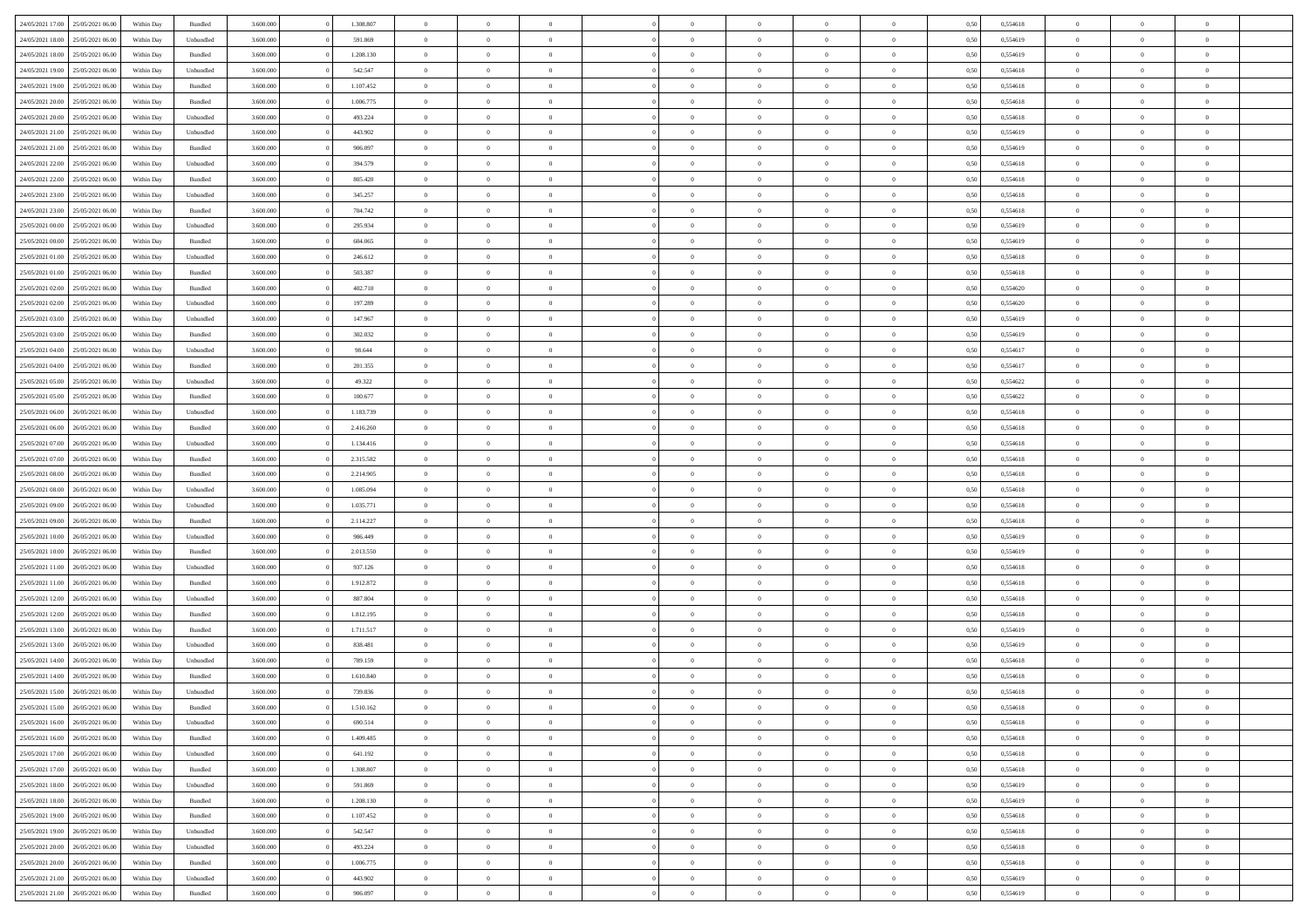|                  |                  |            |                    |           |           | $\overline{0}$ | $\Omega$       |                |                | $\Omega$       | $\Omega$       | $\theta$       |      |          | $\theta$       | $\theta$       | $\theta$       |  |
|------------------|------------------|------------|--------------------|-----------|-----------|----------------|----------------|----------------|----------------|----------------|----------------|----------------|------|----------|----------------|----------------|----------------|--|
| 24/05/2021 17:00 | 25/05/2021 06:00 | Within Day | Bundled            | 3.600.000 | 1.308.807 |                |                |                | $\Omega$       |                |                |                | 0,50 | 0,554618 |                |                |                |  |
| 24/05/2021 18:00 | 25/05/2021 06:00 | Within Day | Unbundled          | 3.600.000 | 591.869   | $\overline{0}$ | $\theta$       | $\overline{0}$ | $\overline{0}$ | $\bf{0}$       | $\overline{0}$ | $\bf{0}$       | 0,50 | 0,554619 | $\theta$       | $\theta$       | $\overline{0}$ |  |
| 24/05/2021 18:00 | 25/05/2021 06:00 | Within Day | Bundled            | 3.600.000 | 1.208.130 | $\overline{0}$ | $\overline{0}$ | $\overline{0}$ | $\bf{0}$       | $\bf{0}$       | $\bf{0}$       | $\bf{0}$       | 0,50 | 0,554619 | $\bf{0}$       | $\overline{0}$ | $\overline{0}$ |  |
| 24/05/2021 19:00 | 25/05/2021 06:00 | Within Dav | Unbundled          | 3.600,000 | 542.547   | $\overline{0}$ | $\overline{0}$ | $\overline{0}$ | $\overline{0}$ | $\bf{0}$       | $\overline{0}$ | $\overline{0}$ | 0.50 | 0.554618 | $\theta$       | $\theta$       | $\overline{0}$ |  |
| 24/05/2021 19:00 | 25/05/2021 06:00 | Within Day | Bundled            | 3.600.000 | 1.107.452 | $\overline{0}$ | $\theta$       | $\overline{0}$ | $\overline{0}$ | $\bf{0}$       | $\overline{0}$ | $\bf{0}$       | 0,50 | 0,554618 | $\theta$       | $\theta$       | $\overline{0}$ |  |
|                  |                  |            |                    |           |           |                |                |                |                |                |                |                |      |          |                |                |                |  |
| 24/05/2021 20:00 | 25/05/2021 06:00 | Within Day | Bundled            | 3.600.000 | 1.006.775 | $\overline{0}$ | $\bf{0}$       | $\overline{0}$ | $\bf{0}$       | $\overline{0}$ | $\overline{0}$ | $\mathbf{0}$   | 0,50 | 0,554618 | $\bf{0}$       | $\overline{0}$ | $\bf{0}$       |  |
| 24/05/2021 20:00 | 25/05/2021 06:00 | Within Dav | Unbundled          | 3.600.000 | 493.224   | $\overline{0}$ | $\overline{0}$ | $\overline{0}$ | $\overline{0}$ | $\overline{0}$ | $\overline{0}$ | $\overline{0}$ | 0.50 | 0,554618 | $\theta$       | $\theta$       | $\overline{0}$ |  |
| 24/05/2021 21:00 | 25/05/2021 06:00 | Within Day | Unbundled          | 3.600.000 | 443.902   | $\overline{0}$ | $\theta$       | $\overline{0}$ | $\overline{0}$ | $\bf{0}$       | $\overline{0}$ | $\bf{0}$       | 0,50 | 0,554619 | $\theta$       | $\theta$       | $\overline{0}$ |  |
| 24/05/2021 21:00 | 25/05/2021 06:00 | Within Day | Bundled            | 3.600.000 | 906.097   | $\overline{0}$ | $\overline{0}$ | $\overline{0}$ | $\bf{0}$       | $\bf{0}$       | $\bf{0}$       | $\bf{0}$       | 0,50 | 0,554619 | $\,0\,$        | $\overline{0}$ | $\overline{0}$ |  |
| 24/05/2021 22.00 | 25/05/2021 06:00 | Within Dav | Unbundled          | 3.600.000 | 394.579   | $\overline{0}$ | $\overline{0}$ | $\overline{0}$ | $\overline{0}$ | $\overline{0}$ | $\overline{0}$ | $\overline{0}$ | 0.50 | 0.554618 | $\theta$       | $\overline{0}$ | $\overline{0}$ |  |
| 24/05/2021 22:00 | 25/05/2021 06:00 | Within Day | Bundled            | 3.600.000 | 805.420   | $\overline{0}$ | $\theta$       | $\overline{0}$ | $\overline{0}$ | $\bf{0}$       | $\overline{0}$ | $\bf{0}$       | 0,50 | 0,554618 | $\theta$       | $\theta$       | $\overline{0}$ |  |
| 24/05/2021 23:00 | 25/05/2021 06:00 | Within Day | Unbundled          | 3.600.000 | 345.257   | $\overline{0}$ | $\overline{0}$ | $\overline{0}$ | $\bf{0}$       | $\bf{0}$       | $\bf{0}$       | $\mathbf{0}$   | 0,50 | 0,554618 | $\bf{0}$       | $\overline{0}$ | $\overline{0}$ |  |
|                  |                  |            |                    |           |           |                |                |                |                |                |                |                |      |          |                |                |                |  |
| 24/05/2021 23:00 | 25/05/2021 06:00 | Within Day | Bundled            | 3.600.000 | 704.742   | $\overline{0}$ | $\overline{0}$ | $\overline{0}$ | $\overline{0}$ | $\bf{0}$       | $\overline{0}$ | $\overline{0}$ | 0.50 | 0.554618 | $\theta$       | $\theta$       | $\overline{0}$ |  |
| 25/05/2021 00:00 | 25/05/2021 06:00 | Within Day | Unbundled          | 3.600.000 | 295.934   | $\overline{0}$ | $\theta$       | $\overline{0}$ | $\overline{0}$ | $\bf{0}$       | $\overline{0}$ | $\bf{0}$       | 0,50 | 0,554619 | $\theta$       | $\theta$       | $\overline{0}$ |  |
| 25/05/2021 00:00 | 25/05/2021 06:00 | Within Day | Bundled            | 3.600.000 | 604.065   | $\overline{0}$ | $\overline{0}$ | $\overline{0}$ | $\bf{0}$       | $\overline{0}$ | $\overline{0}$ | $\mathbf{0}$   | 0,50 | 0,554619 | $\bf{0}$       | $\overline{0}$ | $\bf{0}$       |  |
| 25/05/2021 01:00 | 25/05/2021 06:00 | Within Dav | Unbundled          | 3.600.000 | 246.612   | $\overline{0}$ | $\overline{0}$ | $\overline{0}$ | $\overline{0}$ | $\overline{0}$ | $\overline{0}$ | $\overline{0}$ | 0.50 | 0.554618 | $\theta$       | $\overline{0}$ | $\overline{0}$ |  |
| 25/05/2021 01:00 | 25/05/2021 06:00 | Within Day | Bundled            | 3.600.000 | 503.387   | $\overline{0}$ | $\theta$       | $\overline{0}$ | $\overline{0}$ | $\bf{0}$       | $\overline{0}$ | $\bf{0}$       | 0,50 | 0,554618 | $\theta$       | $\theta$       | $\overline{0}$ |  |
| 25/05/2021 02:00 | 25/05/2021 06:00 | Within Day | Bundled            | 3.600.000 | 402.710   | $\overline{0}$ | $\overline{0}$ | $\overline{0}$ | $\bf{0}$       | $\bf{0}$       | $\overline{0}$ | $\mathbf{0}$   | 0,50 | 0,554620 | $\,0\,$        | $\overline{0}$ | $\overline{0}$ |  |
| 25/05/2021 02:00 | 25/05/2021 06:00 | Within Day | Unbundled          | 3.600.000 | 197.289   | $\overline{0}$ | $\overline{0}$ | $\overline{0}$ | $\overline{0}$ | $\overline{0}$ | $\overline{0}$ | $\overline{0}$ | 0.50 | 0,554620 | $\theta$       | $\overline{0}$ | $\overline{0}$ |  |
|                  |                  |            |                    |           |           |                |                |                |                |                |                |                |      |          |                |                |                |  |
| 25/05/2021 03:00 | 25/05/2021 06:00 | Within Day | Unbundled          | 3.600.000 | 147.967   | $\overline{0}$ | $\theta$       | $\overline{0}$ | $\overline{0}$ | $\bf{0}$       | $\overline{0}$ | $\bf{0}$       | 0,50 | 0,554619 | $\,$ 0 $\,$    | $\theta$       | $\overline{0}$ |  |
| 25/05/2021 03:00 | 25/05/2021 06:00 | Within Day | Bundled            | 3.600.000 | 302.032   | $\overline{0}$ | $\overline{0}$ | $\overline{0}$ | $\overline{0}$ | $\bf{0}$       | $\overline{0}$ | $\bf{0}$       | 0,50 | 0,554619 | $\bf{0}$       | $\overline{0}$ | $\overline{0}$ |  |
| 25/05/2021 04:00 | 25/05/2021 06:00 | Within Day | Unbundled          | 3.600.000 | 98.644    | $\overline{0}$ | $\overline{0}$ | $\overline{0}$ | $\overline{0}$ | $\bf{0}$       | $\overline{0}$ | $\overline{0}$ | 0.50 | 0.554617 | $\theta$       | $\theta$       | $\overline{0}$ |  |
| 25/05/2021 04:00 | 25/05/2021 06:00 | Within Day | Bundled            | 3.600.000 | 201.355   | $\overline{0}$ | $\theta$       | $\overline{0}$ | $\overline{0}$ | $\bf{0}$       | $\overline{0}$ | $\bf{0}$       | 0,50 | 0,554617 | $\,$ 0 $\,$    | $\overline{0}$ | $\overline{0}$ |  |
| 25/05/2021 05:00 | 25/05/2021 06:00 | Within Day | Unbundled          | 3.600.000 | 49.322    | $\overline{0}$ | $\bf{0}$       | $\overline{0}$ | $\overline{0}$ | $\overline{0}$ | $\overline{0}$ | $\mathbf{0}$   | 0,50 | 0,554622 | $\overline{0}$ | $\overline{0}$ | $\bf{0}$       |  |
| 25/05/2021 05:00 | 25/05/2021 06:00 | Within Dav | Bundled            | 3.600.000 | 100.677   | $\overline{0}$ | $\overline{0}$ | $\overline{0}$ | $\overline{0}$ | $\overline{0}$ | $\overline{0}$ | $\overline{0}$ | 0.50 | 0,554622 | $\theta$       | $\theta$       | $\overline{0}$ |  |
| 25/05/2021 06:00 | 26/05/2021 06:00 |            |                    | 3.600.000 | 1.183.739 | $\overline{0}$ | $\theta$       | $\overline{0}$ | $\overline{0}$ | $\bf{0}$       | $\overline{0}$ |                |      | 0,554618 | $\theta$       | $\theta$       | $\overline{0}$ |  |
|                  |                  | Within Day | Unbundled          |           |           |                |                |                |                |                |                | $\bf{0}$       | 0,50 |          |                |                |                |  |
| 25/05/2021 06:00 | 26/05/2021 06:00 | Within Day | Bundled            | 3.600.000 | 2.416.260 | $\overline{0}$ | $\overline{0}$ | $\overline{0}$ | $\overline{0}$ | $\bf{0}$       | $\overline{0}$ | $\bf{0}$       | 0,50 | 0,554618 | $\,0\,$        | $\overline{0}$ | $\overline{0}$ |  |
| 25/05/2021 07:00 | 26/05/2021 06:00 | Within Day | Unbundled          | 3.600.000 | 1.134.416 | $\overline{0}$ | $\overline{0}$ | $\overline{0}$ | $\overline{0}$ | $\overline{0}$ | $\overline{0}$ | $\overline{0}$ | 0.50 | 0.554618 | $\theta$       | $\overline{0}$ | $\overline{0}$ |  |
| 25/05/2021 07:00 | 26/05/2021 06:00 | Within Day | Bundled            | 3.600.000 | 2.315.582 | $\overline{0}$ | $\theta$       | $\overline{0}$ | $\overline{0}$ | $\bf{0}$       | $\overline{0}$ | $\bf{0}$       | 0,50 | 0,554618 | $\,$ 0 $\,$    | $\overline{0}$ | $\overline{0}$ |  |
| 25/05/2021 08:00 | 26/05/2021 06:00 | Within Day | Bundled            | 3.600.000 | 2.214.905 | $\overline{0}$ | $\overline{0}$ | $\overline{0}$ | $\overline{0}$ | $\bf{0}$       | $\overline{0}$ | $\bf{0}$       | 0,50 | 0,554618 | $\overline{0}$ | $\overline{0}$ | $\overline{0}$ |  |
| 25/05/2021 08:00 | 26/05/2021 06:00 | Within Day | Unbundled          | 3.600.000 | 1.085.094 | $\overline{0}$ | $\Omega$       | $\Omega$       | $\Omega$       | $\Omega$       | $\Omega$       | $\overline{0}$ | 0,50 | 0,554618 | $\,0\,$        | $\theta$       | $\theta$       |  |
| 25/05/2021 09:00 | 26/05/2021 06:00 | Within Day | Unbundled          | 3.600.000 | 1.035.771 | $\overline{0}$ | $\theta$       | $\overline{0}$ | $\overline{0}$ | $\bf{0}$       | $\overline{0}$ | $\bf{0}$       | 0,50 | 0,554618 | $\theta$       | $\theta$       | $\overline{0}$ |  |
|                  |                  |            |                    |           |           |                |                |                |                |                |                |                |      |          |                |                |                |  |
| 25/05/2021 09:00 | 26/05/2021 06:00 | Within Day | Bundled            | 3.600.000 | 2.114.227 | $\overline{0}$ | $\overline{0}$ | $\overline{0}$ | $\overline{0}$ | $\bf{0}$       | $\overline{0}$ | $\mathbf{0}$   | 0,50 | 0,554618 | $\overline{0}$ | $\overline{0}$ | $\bf{0}$       |  |
| 25/05/2021 10:00 | 26/05/2021 06:00 | Within Day | Unbundled          | 3.600,000 | 986,449   | $\overline{0}$ | $\Omega$       | $\Omega$       | $\Omega$       | $\bf{0}$       | $\overline{0}$ | $\overline{0}$ | 0.50 | 0.554619 | $\theta$       | $\theta$       | $\theta$       |  |
| 25/05/2021 10:00 | 26/05/2021 06:00 | Within Day | Bundled            | 3.600.000 | 2.013.550 | $\overline{0}$ | $\theta$       | $\overline{0}$ | $\overline{0}$ | $\bf{0}$       | $\overline{0}$ | $\bf{0}$       | 0,50 | 0,554619 | $\,$ 0 $\,$    | $\theta$       | $\overline{0}$ |  |
| 25/05/2021 11:00 | 26/05/2021 06:00 | Within Day | Unbundled          | 3.600.000 | 937.126   | $\overline{0}$ | $\overline{0}$ | $\overline{0}$ | $\bf{0}$       | $\bf{0}$       | $\bf{0}$       | $\bf{0}$       | 0,50 | 0,554618 | $\,0\,$        | $\overline{0}$ | $\overline{0}$ |  |
| 25/05/2021 11:00 | 26/05/2021 06:00 | Within Day | Bundled            | 3.600,000 | 1.912.872 | $\overline{0}$ | $\Omega$       | $\Omega$       | $\Omega$       | $\theta$       | $\theta$       | $\overline{0}$ | 0.50 | 0.554618 | $\theta$       | $\theta$       | $\theta$       |  |
| 25/05/2021 12:00 | 26/05/2021 06:00 | Within Day | Unbundled          | 3.600.000 | 887.804   | $\overline{0}$ | $\theta$       | $\overline{0}$ | $\overline{0}$ | $\bf{0}$       | $\overline{0}$ | $\bf{0}$       | 0,50 | 0,554618 | $\,$ 0 $\,$    | $\overline{0}$ | $\overline{0}$ |  |
| 25/05/2021 12:00 | 26/05/2021 06:00 | Within Day | Bundled            | 3.600.000 | 1.812.195 | $\overline{0}$ | $\overline{0}$ | $\overline{0}$ | $\bf{0}$       | $\bf{0}$       | $\bf{0}$       | $\bf{0}$       | 0,50 | 0,554618 | $\overline{0}$ | $\overline{0}$ | $\overline{0}$ |  |
|                  |                  |            |                    |           |           | $\overline{0}$ | $\Omega$       | $\overline{0}$ | $\Omega$       | $\Omega$       | $\overline{0}$ | $\overline{0}$ |      |          | $\,0\,$        | $\theta$       | $\theta$       |  |
| 25/05/2021 13:00 | 26/05/2021 06:00 | Within Day | Bundled            | 3.600.000 | 1.711.517 |                |                |                |                |                |                |                | 0,50 | 0,554619 |                |                |                |  |
| 25/05/2021 13:00 | 26/05/2021 06:00 | Within Day | Unbundled          | 3.600.000 | 838.481   | $\overline{0}$ | $\theta$       | $\overline{0}$ | $\overline{0}$ | $\bf{0}$       | $\overline{0}$ | $\bf{0}$       | 0,50 | 0,554619 | $\,$ 0 $\,$    | $\overline{0}$ | $\overline{0}$ |  |
| 25/05/2021 14:00 | 26/05/2021 06:00 | Within Day | Unbundled          | 3.600.000 | 789.159   | $\overline{0}$ | $\overline{0}$ | $\overline{0}$ | $\bf{0}$       | $\bf{0}$       | $\bf{0}$       | $\mathbf{0}$   | 0,50 | 0,554618 | $\overline{0}$ | $\overline{0}$ | $\bf{0}$       |  |
| 25/05/2021 14:00 | 26/05/2021 06:00 | Within Day | Bundled            | 3.600,000 | 1.610.840 | $\overline{0}$ | $\Omega$       | $\Omega$       | $\Omega$       | $\Omega$       | $\Omega$       | $\overline{0}$ | 0.50 | 0.554618 | $\theta$       | $\theta$       | $\theta$       |  |
| 25/05/2021 15:00 | 26/05/2021 06:00 | Within Day | Unbundled          | 3.600.000 | 739.836   | $\overline{0}$ | $\overline{0}$ | $\overline{0}$ | $\bf{0}$       | $\,$ 0         | $\bf{0}$       | $\bf{0}$       | 0,50 | 0,554618 | $\,0\,$        | $\overline{0}$ | $\overline{0}$ |  |
| 25/05/2021 15:00 | 26/05/2021 06:00 | Within Day | $\mathbf B$ undled | 3.600.000 | 1.510.162 | $\bf{0}$       | $\bf{0}$       |                |                |                |                |                | 0,50 | 0,554618 | $\bf{0}$       | $\overline{0}$ |                |  |
| 25/05/2021 16:00 | 26/05/2021 06:00 | Within Day | Unbundled          | 3.600,000 | 690.514   | $\overline{0}$ | $\overline{0}$ | $\overline{0}$ | $\Omega$       | $\overline{0}$ | $\overline{0}$ | $\overline{0}$ | 0.50 | 0.554618 | $\theta$       | $\theta$       | $\theta$       |  |
| 25/05/2021 16:00 | 26/05/2021 06:00 | Within Day | Bundled            | 3.600.000 | 1.409.485 | $\overline{0}$ | $\bf{0}$       | $\overline{0}$ | $\bf{0}$       | $\,$ 0 $\,$    | $\overline{0}$ | $\,$ 0 $\,$    | 0,50 | 0,554618 | $\,$ 0 $\,$    | $\,$ 0 $\,$    | $\,$ 0         |  |
|                  |                  |            |                    |           |           |                |                |                |                |                |                |                |      |          |                |                |                |  |
| 25/05/2021 17:00 | 26/05/2021 06:00 | Within Day | Unbundled          | 3.600.000 | 641.192   | $\overline{0}$ | $\overline{0}$ | $\overline{0}$ | $\overline{0}$ | $\overline{0}$ | $\overline{0}$ | $\mathbf{0}$   | 0,50 | 0,554618 | $\overline{0}$ | $\bf{0}$       | $\overline{0}$ |  |
| 25/05/2021 17:00 | 26/05/2021 06:00 | Within Day | Bundled            | 3.600.000 | 1.308.807 | $\overline{0}$ | $\overline{0}$ | $\overline{0}$ | $\Omega$       | $\overline{0}$ | $\overline{0}$ | $\overline{0}$ | 0,50 | 0,554618 | $\overline{0}$ | $\theta$       | $\overline{0}$ |  |
| 25/05/2021 18:00 | 26/05/2021 06:00 | Within Day | Unbundled          | 3.600.000 | 591.869   | $\overline{0}$ | $\,$ 0         | $\overline{0}$ | $\overline{0}$ | $\,$ 0 $\,$    | $\overline{0}$ | $\mathbf{0}$   | 0,50 | 0,554619 | $\,$ 0 $\,$    | $\overline{0}$ | $\overline{0}$ |  |
| 25/05/2021 18:00 | 26/05/2021 06:00 | Within Day | Bundled            | 3.600.000 | 1.208.130 | $\overline{0}$ | $\overline{0}$ | $\overline{0}$ | $\overline{0}$ | $\overline{0}$ | $\overline{0}$ | $\mathbf{0}$   | 0,50 | 0,554619 | $\overline{0}$ | $\overline{0}$ | $\bf{0}$       |  |
| 25/05/2021 19:00 | 26/05/2021 06:00 | Within Day | Bundled            | 3.600,000 | 1.107.452 | $\overline{0}$ | $\overline{0}$ | $\overline{0}$ | $\Omega$       | $\overline{0}$ | $\overline{0}$ | $\bf{0}$       | 0.50 | 0,554618 | $\overline{0}$ | $\theta$       | $\overline{0}$ |  |
| 25/05/2021 19:00 | 26/05/2021 06:00 | Within Day | Unbundled          | 3.600.000 | 542.547   | $\overline{0}$ | $\,$ 0         | $\overline{0}$ | $\bf{0}$       | $\bf{0}$       | $\bf{0}$       | $\bf{0}$       | 0,50 | 0,554618 | $\,$ 0 $\,$    | $\overline{0}$ | $\overline{0}$ |  |
| 25/05/2021 20:00 | 26/05/2021 06:00 | Within Day | Unbundled          | 3.600.000 | 493.224   | $\overline{0}$ | $\bf{0}$       | $\overline{0}$ | $\overline{0}$ | $\overline{0}$ | $\overline{0}$ | $\mathbf{0}$   | 0,50 | 0,554618 | $\overline{0}$ | $\overline{0}$ | $\bf{0}$       |  |
|                  |                  |            |                    |           |           |                |                |                |                |                |                |                |      |          |                |                |                |  |
| 25/05/2021 20:00 | 26/05/2021 06:00 | Within Day | Bundled            | 3.600,000 | 1.006.775 | $\overline{0}$ | $\overline{0}$ | $\overline{0}$ | $\Omega$       | $\overline{0}$ | $\overline{0}$ | $\overline{0}$ | 0.50 | 0,554618 | $\overline{0}$ | $\overline{0}$ | $\overline{0}$ |  |
| 25/05/2021 21:00 | 26/05/2021 06:00 | Within Day | Unbundled          | 3.600.000 | 443.902   | $\overline{0}$ | $\bf{0}$       | $\overline{0}$ | $\overline{0}$ | $\bf{0}$       | $\overline{0}$ | $\mathbf{0}$   | 0,50 | 0,554619 | $\,$ 0 $\,$    | $\,$ 0 $\,$    | $\bf{0}$       |  |
| 25/05/2021 21:00 | 26/05/2021 06:00 | Within Day | Bundled            | 3.600.000 | 906.097   | $\overline{0}$ | $\bf{0}$       | $\overline{0}$ | $\overline{0}$ | $\bf{0}$       | $\overline{0}$ | $\bf{0}$       | 0,50 | 0,554619 | $\overline{0}$ | $\overline{0}$ | $\bf{0}$       |  |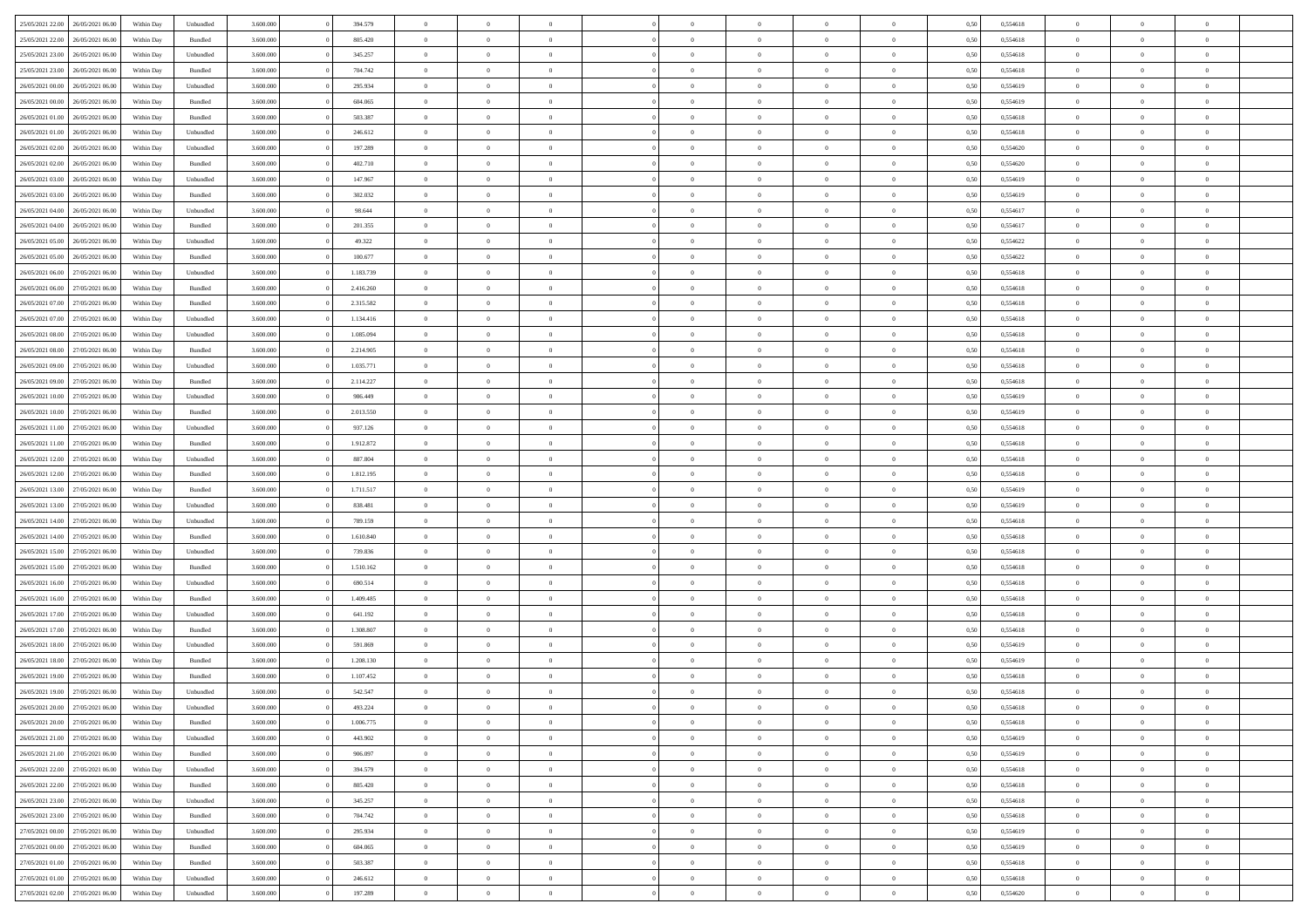| 25/05/2021 22:00                  | 26/05/2021 06:00 | Within Day | Unbundled | 3.600.000 | 394.579   | $\overline{0}$ | $\Omega$       |                | $\Omega$       | $\Omega$       | $\Omega$       | $\theta$       | 0,50 | 0,554618 | $\theta$       | $\theta$       | $\theta$       |  |
|-----------------------------------|------------------|------------|-----------|-----------|-----------|----------------|----------------|----------------|----------------|----------------|----------------|----------------|------|----------|----------------|----------------|----------------|--|
| 25/05/2021 22:00                  | 26/05/2021 06:00 | Within Day | Bundled   | 3.600.000 | 805.420   | $\overline{0}$ | $\theta$       | $\overline{0}$ | $\overline{0}$ | $\bf{0}$       | $\overline{0}$ | $\bf{0}$       | 0,50 | 0,554618 | $\theta$       | $\theta$       | $\overline{0}$ |  |
| 25/05/2021 23:00                  | 26/05/2021 06:00 | Within Day | Unbundled | 3.600.000 | 345.257   | $\overline{0}$ | $\bf{0}$       | $\overline{0}$ | $\overline{0}$ | $\bf{0}$       | $\overline{0}$ | $\bf{0}$       | 0,50 | 0,554618 | $\bf{0}$       | $\overline{0}$ | $\overline{0}$ |  |
| 25/05/2021 23:00                  | 26/05/2021 06:00 | Within Dav | Bundled   | 3.600,000 | 704.742   | $\overline{0}$ | $\overline{0}$ | $\overline{0}$ | $\overline{0}$ | $\bf{0}$       | $\overline{0}$ | $\overline{0}$ | 0.50 | 0.554618 | $\theta$       | $\theta$       | $\overline{0}$ |  |
| 26/05/2021 00:00                  | 26/05/2021 06:00 | Within Day | Unbundled | 3.600.000 | 295.934   | $\overline{0}$ | $\theta$       | $\overline{0}$ | $\overline{0}$ | $\bf{0}$       | $\overline{0}$ | $\bf{0}$       | 0,50 | 0,554619 | $\theta$       | $\theta$       | $\overline{0}$ |  |
|                                   |                  |            |           |           |           |                |                |                |                |                |                |                |      |          |                |                |                |  |
| 26/05/2021 00:00                  | 26/05/2021 06:00 | Within Day | Bundled   | 3.600.000 | 604.065   | $\overline{0}$ | $\bf{0}$       | $\overline{0}$ | $\overline{0}$ | $\overline{0}$ | $\overline{0}$ | $\mathbf{0}$   | 0,50 | 0,554619 | $\bf{0}$       | $\overline{0}$ | $\bf{0}$       |  |
| 26/05/2021 01:00                  | 26/05/2021 06:00 | Within Dav | Bundled   | 3.600.000 | 503.387   | $\overline{0}$ | $\overline{0}$ | $\overline{0}$ | $\overline{0}$ | $\overline{0}$ | $\overline{0}$ | $\overline{0}$ | 0.50 | 0,554618 | $\theta$       | $\overline{0}$ | $\overline{0}$ |  |
| 26/05/2021 01:00                  | 26/05/2021 06:00 | Within Day | Unbundled | 3.600.000 | 246.612   | $\overline{0}$ | $\theta$       | $\overline{0}$ | $\overline{0}$ | $\bf{0}$       | $\overline{0}$ | $\bf{0}$       | 0,50 | 0,554618 | $\theta$       | $\theta$       | $\overline{0}$ |  |
| 26/05/2021 02:00                  | 26/05/2021 06:00 | Within Day | Unbundled | 3.600.000 | 197.289   | $\overline{0}$ | $\overline{0}$ | $\overline{0}$ | $\overline{0}$ | $\bf{0}$       | $\bf{0}$       | $\bf{0}$       | 0,50 | 0,554620 | $\,0\,$        | $\overline{0}$ | $\overline{0}$ |  |
| 26/05/2021 02:00                  | 26/05/2021 06:00 | Within Dav | Bundled   | 3.600.000 | 402.710   | $\overline{0}$ | $\overline{0}$ | $\overline{0}$ | $\overline{0}$ | $\overline{0}$ | $\overline{0}$ | $\overline{0}$ | 0.50 | 0,554620 | $\theta$       | $\overline{0}$ | $\overline{0}$ |  |
| 26/05/2021 03:00                  | 26/05/2021 06:00 | Within Day | Unbundled | 3.600.000 | 147.967   | $\overline{0}$ | $\theta$       | $\overline{0}$ | $\overline{0}$ | $\bf{0}$       | $\overline{0}$ | $\bf{0}$       | 0,50 | 0,554619 | $\theta$       | $\overline{0}$ | $\overline{0}$ |  |
| 26/05/2021 03:00                  | 26/05/2021 06:00 | Within Day | Bundled   | 3.600.000 | 302.032   | $\overline{0}$ | $\overline{0}$ | $\overline{0}$ | $\bf{0}$       | $\bf{0}$       | $\bf{0}$       | $\bf{0}$       | 0,50 | 0,554619 | $\overline{0}$ | $\overline{0}$ | $\overline{0}$ |  |
|                                   |                  |            |           |           |           |                |                |                |                |                |                |                |      |          | $\theta$       |                |                |  |
| 26/05/2021 04:00                  | 26/05/2021 06:00 | Within Day | Unbundled | 3.600.000 | 98.644    | $\overline{0}$ | $\overline{0}$ | $\overline{0}$ | $\overline{0}$ | $\bf{0}$       | $\overline{0}$ | $\overline{0}$ | 0.50 | 0.554617 |                | $\theta$       | $\overline{0}$ |  |
| 26/05/2021 04:00                  | 26/05/2021 06:00 | Within Day | Bundled   | 3.600.000 | 201.355   | $\overline{0}$ | $\theta$       | $\overline{0}$ | $\overline{0}$ | $\bf{0}$       | $\overline{0}$ | $\bf{0}$       | 0,50 | 0,554617 | $\theta$       | $\theta$       | $\overline{0}$ |  |
| 26/05/2021 05:00                  | 26/05/2021 06:00 | Within Day | Unbundled | 3.600.000 | 49.322    | $\overline{0}$ | $\overline{0}$ | $\overline{0}$ | $\bf{0}$       | $\overline{0}$ | $\overline{0}$ | $\mathbf{0}$   | 0,50 | 0,554622 | $\overline{0}$ | $\overline{0}$ | $\bf{0}$       |  |
| 26/05/2021 05:00                  | 26/05/2021 06:00 | Within Dav | Bundled   | 3.600.000 | 100.677   | $\overline{0}$ | $\overline{0}$ | $\overline{0}$ | $\overline{0}$ | $\overline{0}$ | $\overline{0}$ | $\overline{0}$ | 0.50 | 0,554622 | $\theta$       | $\overline{0}$ | $\overline{0}$ |  |
| 26/05/2021 06:00                  | 27/05/2021 06:00 | Within Day | Unbundled | 3.600.000 | 1.183.739 | $\overline{0}$ | $\theta$       | $\overline{0}$ | $\overline{0}$ | $\bf{0}$       | $\overline{0}$ | $\bf{0}$       | 0,50 | 0,554618 | $\theta$       | $\theta$       | $\overline{0}$ |  |
| 26/05/2021 06:00                  | 27/05/2021 06:00 | Within Day | Bundled   | 3.600.000 | 2.416.260 | $\overline{0}$ | $\overline{0}$ | $\overline{0}$ | $\bf{0}$       | $\bf{0}$       | $\bf{0}$       | $\bf{0}$       | 0,50 | 0,554618 | $\,0\,$        | $\overline{0}$ | $\overline{0}$ |  |
| 26/05/2021 07:00                  | 27/05/2021 06:00 | Within Day | Bundled   | 3.600.000 | 2.315.582 | $\overline{0}$ | $\overline{0}$ | $\overline{0}$ | $\overline{0}$ | $\overline{0}$ | $\overline{0}$ | $\overline{0}$ | 0.50 | 0,554618 | $\theta$       | $\overline{0}$ | $\overline{0}$ |  |
|                                   |                  |            |           |           |           |                |                |                |                |                |                |                |      |          |                |                |                |  |
| 26/05/2021 07:00                  | 27/05/2021 06:00 | Within Day | Unbundled | 3.600.000 | 1.134.416 | $\overline{0}$ | $\theta$       | $\overline{0}$ | $\overline{0}$ | $\bf{0}$       | $\overline{0}$ | $\bf{0}$       | 0,50 | 0,554618 | $\,$ 0 $\,$    | $\theta$       | $\overline{0}$ |  |
| 26/05/2021 08:00                  | 27/05/2021 06:00 | Within Day | Unbundled | 3.600.000 | 1.085.094 | $\overline{0}$ | $\overline{0}$ | $\overline{0}$ | $\bf{0}$       | $\bf{0}$       | $\bf{0}$       | $\bf{0}$       | 0,50 | 0,554618 | $\bf{0}$       | $\overline{0}$ | $\overline{0}$ |  |
| 26/05/2021 08:00                  | 27/05/2021 06:00 | Within Day | Bundled   | 3.600,000 | 2.214.905 | $\overline{0}$ | $\overline{0}$ | $\overline{0}$ | $\overline{0}$ | $\bf{0}$       | $\overline{0}$ | $\overline{0}$ | 0.50 | 0.554618 | $\theta$       | $\theta$       | $\overline{0}$ |  |
| 26/05/2021 09:00                  | 27/05/2021 06:00 | Within Day | Unbundled | 3.600.000 | 1.035.771 | $\overline{0}$ | $\theta$       | $\overline{0}$ | $\overline{0}$ | $\bf{0}$       | $\overline{0}$ | $\bf{0}$       | 0,50 | 0,554618 | $\theta$       | $\overline{0}$ | $\overline{0}$ |  |
| 26/05/2021 09:00                  | 27/05/2021 06:00 | Within Day | Bundled   | 3.600.000 | 2.114.227 | $\overline{0}$ | $\bf{0}$       | $\overline{0}$ | $\bf{0}$       | $\overline{0}$ | $\overline{0}$ | $\mathbf{0}$   | 0,50 | 0,554618 | $\overline{0}$ | $\overline{0}$ | $\bf{0}$       |  |
| 26/05/2021 10:00                  | 27/05/2021 06:00 | Within Dav | Unbundled | 3.600.000 | 986,449   | $\overline{0}$ | $\overline{0}$ | $\overline{0}$ | $\overline{0}$ | $\overline{0}$ | $\overline{0}$ | $\overline{0}$ | 0.50 | 0,554619 | $\theta$       | $\overline{0}$ | $\overline{0}$ |  |
| 26/05/2021 10:00                  | 27/05/2021 06:00 |            |           | 3.600.000 | 2.013.550 | $\overline{0}$ | $\theta$       | $\overline{0}$ | $\overline{0}$ | $\bf{0}$       | $\overline{0}$ |                |      | 0,554619 | $\theta$       | $\theta$       | $\overline{0}$ |  |
|                                   |                  | Within Day | Bundled   |           |           |                |                |                |                |                |                | $\bf{0}$       | 0,50 |          |                |                |                |  |
| 26/05/2021 11:00                  | 27/05/2021 06:00 | Within Day | Unbundled | 3.600.000 | 937.126   | $\overline{0}$ | $\overline{0}$ | $\overline{0}$ | $\bf{0}$       | $\bf{0}$       | $\bf{0}$       | $\bf{0}$       | 0,50 | 0,554618 | $\,0\,$        | $\overline{0}$ | $\overline{0}$ |  |
| 26/05/2021 11:00                  | 27/05/2021 06:00 | Within Day | Bundled   | 3.600.000 | 1.912.872 | $\overline{0}$ | $\overline{0}$ | $\overline{0}$ | $\overline{0}$ | $\overline{0}$ | $\overline{0}$ | $\overline{0}$ | 0.50 | 0.554618 | $\theta$       | $\overline{0}$ | $\overline{0}$ |  |
| 26/05/2021 12:00                  | 27/05/2021 06:00 | Within Day | Unbundled | 3.600.000 | 887.804   | $\overline{0}$ | $\theta$       | $\overline{0}$ | $\overline{0}$ | $\bf{0}$       | $\overline{0}$ | $\bf{0}$       | 0,50 | 0,554618 | $\,$ 0 $\,$    | $\overline{0}$ | $\overline{0}$ |  |
| 26/05/2021 12:00                  | 27/05/2021 06:00 | Within Day | Bundled   | 3.600.000 | 1.812.195 | $\overline{0}$ | $\overline{0}$ | $\overline{0}$ | $\bf{0}$       | $\bf{0}$       | $\overline{0}$ | $\bf{0}$       | 0,50 | 0,554618 | $\overline{0}$ | $\overline{0}$ | $\overline{0}$ |  |
| 26/05/2021 13:00                  | 27/05/2021 06:00 | Within Day | Bundled   | 3.600.000 | 1.711.517 | $\overline{0}$ | $\Omega$       | $\Omega$       | $\Omega$       | $\Omega$       | $\Omega$       | $\overline{0}$ | 0,50 | 0,554619 | $\,0\,$        | $\theta$       | $\theta$       |  |
| 26/05/2021 13:00                  | 27/05/2021 06:00 | Within Day | Unbundled | 3.600.000 | 838.481   | $\overline{0}$ | $\theta$       | $\overline{0}$ | $\overline{0}$ | $\bf{0}$       | $\overline{0}$ | $\bf{0}$       | 0,50 | 0,554619 | $\theta$       | $\theta$       | $\overline{0}$ |  |
|                                   |                  |            |           |           |           |                |                |                |                |                |                |                |      |          |                |                |                |  |
| 26/05/2021 14:00                  | 27/05/2021 06:00 | Within Day | Unbundled | 3.600.000 | 789.159   | $\overline{0}$ | $\overline{0}$ | $\overline{0}$ | $\overline{0}$ | $\bf{0}$       | $\overline{0}$ | $\mathbf{0}$   | 0,50 | 0,554618 | $\overline{0}$ | $\overline{0}$ | $\bf{0}$       |  |
| 26/05/2021 14:00                  | 27/05/2021 06:00 | Within Day | Bundled   | 3.600,000 | 1.610.840 | $\overline{0}$ | $\Omega$       | $\Omega$       | $\Omega$       | $\bf{0}$       | $\overline{0}$ | $\overline{0}$ | 0.50 | 0.554618 | $\theta$       | $\theta$       | $\theta$       |  |
| 26/05/2021 15:00                  | 27/05/2021 06:00 | Within Day | Unbundled | 3.600.000 | 739.836   | $\overline{0}$ | $\theta$       | $\overline{0}$ | $\overline{0}$ | $\bf{0}$       | $\overline{0}$ | $\bf{0}$       | 0,50 | 0,554618 | $\theta$       | $\theta$       | $\overline{0}$ |  |
| 26/05/2021 15:00                  | 27/05/2021 06:00 | Within Day | Bundled   | 3.600.000 | 1.510.162 | $\overline{0}$ | $\overline{0}$ | $\overline{0}$ | $\overline{0}$ | $\bf{0}$       | $\overline{0}$ | $\bf{0}$       | 0,50 | 0,554618 | $\,0\,$        | $\overline{0}$ | $\overline{0}$ |  |
| 26/05/2021 16:00                  | 27/05/2021 06:00 | Within Day | Unbundled | 3.600,000 | 690.514   | $\overline{0}$ | $\Omega$       | $\Omega$       | $\Omega$       | $\theta$       | $\theta$       | $\overline{0}$ | 0.50 | 0.554618 | $\theta$       | $\theta$       | $\theta$       |  |
| 26/05/2021 16:00                  | 27/05/2021 06:00 | Within Day | Bundled   | 3.600.000 | 1.409.485 | $\overline{0}$ | $\theta$       | $\overline{0}$ | $\overline{0}$ | $\bf{0}$       | $\overline{0}$ | $\bf{0}$       | 0,50 | 0,554618 | $\,$ 0 $\,$    | $\overline{0}$ | $\overline{0}$ |  |
| 26/05/2021 17:00                  | 27/05/2021 06:00 | Within Day | Unbundled | 3.600.000 | 641.192   | $\overline{0}$ | $\overline{0}$ | $\overline{0}$ | $\overline{0}$ | $\bf{0}$       | $\overline{0}$ | $\bf{0}$       | 0,50 | 0,554618 | $\overline{0}$ | $\overline{0}$ | $\overline{0}$ |  |
|                                   |                  |            |           |           | 1.308.807 | $\overline{0}$ | $\Omega$       | $\overline{0}$ | $\Omega$       | $\Omega$       | $\overline{0}$ | $\overline{0}$ |      |          | $\,0\,$        | $\theta$       | $\theta$       |  |
| 26/05/2021 17:00                  | 27/05/2021 06:00 | Within Day | Bundled   | 3.600.000 |           |                |                |                |                |                |                |                | 0,50 | 0,554618 |                |                |                |  |
| 26/05/2021 18:00                  | 27/05/2021 06:00 | Within Day | Unbundled | 3.600.000 | 591.869   | $\overline{0}$ | $\theta$       | $\overline{0}$ | $\overline{0}$ | $\bf{0}$       | $\overline{0}$ | $\bf{0}$       | 0,50 | 0,554619 | $\,$ 0 $\,$    | $\overline{0}$ | $\overline{0}$ |  |
| 26/05/2021 18:00                  | 27/05/2021 06:00 | Within Day | Bundled   | 3.600.000 | 1.208.130 | $\overline{0}$ | $\overline{0}$ | $\overline{0}$ | $\overline{0}$ | $\bf{0}$       | $\overline{0}$ | $\mathbf{0}$   | 0,50 | 0,554619 | $\overline{0}$ | $\overline{0}$ | $\bf{0}$       |  |
| 26/05/2021 19:00                  | 27/05/2021 06:00 | Within Day | Bundled   | 3.600,000 | 1.107.452 | $\overline{0}$ | $\Omega$       | $\Omega$       | $\Omega$       | $\Omega$       | $\Omega$       | $\overline{0}$ | 0.50 | 0.554618 | $\theta$       | $\theta$       | $\theta$       |  |
| 26/05/2021 19:00                  | 27/05/2021 06:00 | Within Day | Unbundled | 3.600.000 | 542.547   | $\overline{0}$ | $\overline{0}$ | $\overline{0}$ | $\bf{0}$       | $\,$ 0         | $\overline{0}$ | $\bf{0}$       | 0,50 | 0,554618 | $\,0\,$        | $\overline{0}$ | $\overline{0}$ |  |
| 26/05/2021 20:00                  | 27/05/2021 06:00 | Within Day | Unbundled | 3.600.000 | 493.224   | $\bf{0}$       | $\bf{0}$       |                |                |                |                |                | 0,50 | 0,554618 | $\bf{0}$       | $\overline{0}$ |                |  |
| 26/05/2021 20:00                  | 27/05/2021 06:00 | Within Day | Bundled   | 3.600,000 | 1.006.775 | $\overline{0}$ | $\overline{0}$ | $\overline{0}$ | $\Omega$       | $\overline{0}$ | $\overline{0}$ | $\overline{0}$ | 0.50 | 0.554618 | $\theta$       | $\theta$       | $\theta$       |  |
| 26/05/2021 21:00                  | 27/05/2021 06:00 | Within Day | Unbundled | 3.600.000 | 443.902   | $\overline{0}$ | $\bf{0}$       | $\overline{0}$ | $\bf{0}$       | $\,$ 0 $\,$    | $\overline{0}$ | $\,$ 0 $\,$    | 0,50 | 0,554619 | $\,$ 0 $\,$    | $\,$ 0 $\,$    | $\,$ 0         |  |
|                                   |                  |            |           |           |           |                |                |                |                |                |                |                |      |          |                |                |                |  |
| 26/05/2021 21.00                  | 27/05/2021 06:00 | Within Day | Bundled   | 3.600.000 | 906.097   | $\overline{0}$ | $\overline{0}$ | $\overline{0}$ | $\overline{0}$ | $\overline{0}$ | $\overline{0}$ | $\mathbf{0}$   | 0,50 | 0,554619 | $\overline{0}$ | $\bf{0}$       | $\overline{0}$ |  |
| 26/05/2021 22:00                  | 27/05/2021 06:00 | Within Day | Unbundled | 3.600.000 | 394.579   | $\overline{0}$ | $\overline{0}$ | $\overline{0}$ | $\Omega$       | $\overline{0}$ | $\overline{0}$ | $\overline{0}$ | 0,50 | 0,554618 | $\overline{0}$ | $\theta$       | $\overline{0}$ |  |
| 26/05/2021 22.00                  | 27/05/2021 06:00 | Within Day | Bundled   | 3.600.000 | 805.420   | $\overline{0}$ | $\,$ 0         | $\overline{0}$ | $\bf{0}$       | $\,$ 0 $\,$    | $\overline{0}$ | $\mathbf{0}$   | 0,50 | 0,554618 | $\,$ 0 $\,$    | $\overline{0}$ | $\overline{0}$ |  |
| 26/05/2021 23.00                  | 27/05/2021 06:00 | Within Day | Unbundled | 3.600.000 | 345.257   | $\overline{0}$ | $\overline{0}$ | $\overline{0}$ | $\overline{0}$ | $\overline{0}$ | $\overline{0}$ | $\mathbf{0}$   | 0,50 | 0,554618 | $\overline{0}$ | $\overline{0}$ | $\overline{0}$ |  |
| 26/05/2021 23:00                  | 27/05/2021 06:00 | Within Day | Bundled   | 3.600,000 | 704.742   | $\overline{0}$ | $\overline{0}$ | $\overline{0}$ | $\Omega$       | $\overline{0}$ | $\overline{0}$ | $\bf{0}$       | 0.50 | 0,554618 | $\overline{0}$ | $\theta$       | $\overline{0}$ |  |
| 27/05/2021 00:00                  | 27/05/2021 06:00 | Within Day | Unbundled | 3.600.000 | 295.934   | $\overline{0}$ | $\,$ 0         | $\overline{0}$ | $\bf{0}$       | $\bf{0}$       | $\bf{0}$       | $\bf{0}$       | 0,50 | 0,554619 | $\,$ 0 $\,$    | $\overline{0}$ | $\overline{0}$ |  |
| 27/05/2021 00:00                  | 27/05/2021 06:00 | Within Day | Bundled   | 3.600.000 | 604.065   | $\overline{0}$ | $\bf{0}$       | $\overline{0}$ | $\overline{0}$ | $\overline{0}$ | $\overline{0}$ | $\mathbf{0}$   | 0,50 | 0,554619 | $\overline{0}$ | $\overline{0}$ | $\bf{0}$       |  |
|                                   |                  |            |           |           |           |                |                |                |                |                |                |                |      |          |                |                |                |  |
| 27/05/2021 01:00                  | 27/05/2021 06:00 | Within Day | Bundled   | 3.600,000 | 503,387   | $\overline{0}$ | $\overline{0}$ | $\overline{0}$ | $\Omega$       | $\overline{0}$ | $\overline{0}$ | $\overline{0}$ | 0.50 | 0,554618 | $\overline{0}$ | $\overline{0}$ | $\overline{0}$ |  |
| 27/05/2021 01:00                  | 27/05/2021 06:00 | Within Day | Unbundled | 3.600.000 | 246.612   | $\overline{0}$ | $\bf{0}$       | $\overline{0}$ | $\overline{0}$ | $\bf{0}$       | $\bf{0}$       | $\mathbf{0}$   | 0,50 | 0,554618 | $\,$ 0 $\,$    | $\,$ 0 $\,$    | $\bf{0}$       |  |
| 27/05/2021 02.00 27/05/2021 06.00 |                  | Within Day | Unbundled | 3.600.000 | 197.289   | $\overline{0}$ | $\bf{0}$       | $\overline{0}$ | $\overline{0}$ | $\bf{0}$       | $\bf{0}$       | $\bf{0}$       | 0,50 | 0,554620 | $\overline{0}$ | $\overline{0}$ | $\bf{0}$       |  |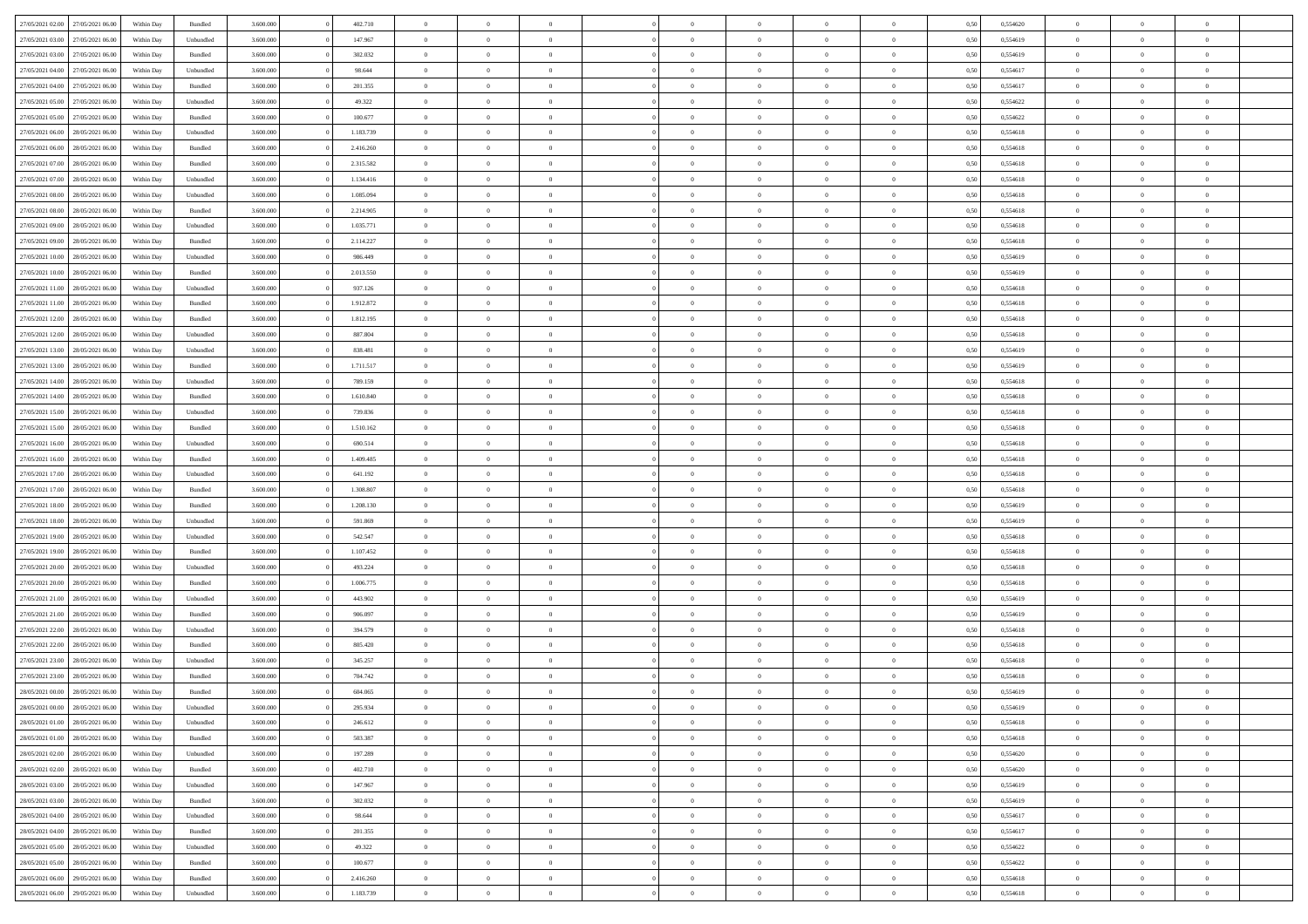| 27/05/2021 02:00 | 27/05/2021 06:00 | Within Day | Bundled   | 3.600.000 | 402.710   | $\overline{0}$ | $\Omega$       |                | $\Omega$       | $\Omega$       | $\theta$       | $\theta$       | 0,50 | 0,554620 | $\theta$       | $\theta$       | $\theta$       |  |
|------------------|------------------|------------|-----------|-----------|-----------|----------------|----------------|----------------|----------------|----------------|----------------|----------------|------|----------|----------------|----------------|----------------|--|
| 27/05/2021 03:00 | 27/05/2021 06:00 | Within Day | Unbundled | 3.600.000 | 147.967   | $\overline{0}$ | $\theta$       | $\overline{0}$ | $\overline{0}$ | $\bf{0}$       | $\overline{0}$ | $\bf{0}$       | 0,50 | 0,554619 | $\theta$       | $\overline{0}$ | $\overline{0}$ |  |
| 27/05/2021 03:00 | 27/05/2021 06:00 | Within Day | Bundled   | 3.600.000 | 302.032   | $\overline{0}$ | $\overline{0}$ | $\overline{0}$ | $\bf{0}$       | $\bf{0}$       | $\bf{0}$       | $\mathbf{0}$   | 0,50 | 0,554619 | $\overline{0}$ | $\overline{0}$ | $\bf{0}$       |  |
| 27/05/2021 04:00 | 27/05/2021 06:00 | Within Dav | Unbundled | 3.600.000 | 98.644    | $\overline{0}$ | $\overline{0}$ | $\overline{0}$ | $\overline{0}$ | $\bf{0}$       | $\overline{0}$ | $\overline{0}$ | 0.50 | 0.554617 | $\theta$       | $\theta$       | $\overline{0}$ |  |
| 27/05/2021 04:00 | 27/05/2021 06:00 | Within Day | Bundled   | 3.600.000 | 201.355   | $\overline{0}$ | $\theta$       | $\overline{0}$ | $\overline{0}$ | $\bf{0}$       | $\overline{0}$ | $\bf{0}$       | 0,50 | 0,554617 | $\theta$       | $\overline{0}$ | $\overline{0}$ |  |
|                  |                  |            |           |           |           |                |                |                |                |                |                |                |      |          |                |                |                |  |
| 27/05/2021 05:00 | 27/05/2021 06:00 | Within Day | Unbundled | 3.600.000 | 49.322    | $\overline{0}$ | $\overline{0}$ | $\overline{0}$ | $\bf{0}$       | $\overline{0}$ | $\overline{0}$ | $\mathbf{0}$   | 0,50 | 0,554622 | $\overline{0}$ | $\overline{0}$ | $\bf{0}$       |  |
| 27/05/2021 05:00 | 27/05/2021 06:00 | Within Dav | Bundled   | 3.600.000 | 100.677   | $\overline{0}$ | $\overline{0}$ | $\overline{0}$ | $\overline{0}$ | $\overline{0}$ | $\overline{0}$ | $\overline{0}$ | 0.50 | 0,554622 | $\theta$       | $\overline{0}$ | $\overline{0}$ |  |
| 27/05/2021 06:00 | 28/05/2021 06:00 | Within Day | Unbundled | 3.600.000 | 1.183.739 | $\overline{0}$ | $\theta$       | $\overline{0}$ | $\overline{0}$ | $\bf{0}$       | $\overline{0}$ | $\bf{0}$       | 0,50 | 0,554618 | $\theta$       | $\theta$       | $\overline{0}$ |  |
| 27/05/2021 06:00 | 28/05/2021 06:00 | Within Day | Bundled   | 3.600.000 | 2.416.260 | $\overline{0}$ | $\overline{0}$ | $\overline{0}$ | $\bf{0}$       | $\bf{0}$       | $\bf{0}$       | $\bf{0}$       | 0,50 | 0,554618 | $\,0\,$        | $\overline{0}$ | $\overline{0}$ |  |
| 27/05/2021 07:00 | 28/05/2021 06:00 | Within Dav | Bundled   | 3.600.000 | 2.315.582 | $\overline{0}$ | $\overline{0}$ | $\overline{0}$ | $\overline{0}$ | $\overline{0}$ | $\overline{0}$ | $\overline{0}$ | 0.50 | 0.554618 | $\theta$       | $\overline{0}$ | $\overline{0}$ |  |
| 27/05/2021 07:00 | 28/05/2021 06:00 | Within Day | Unbundled | 3.600.000 | 1.134.416 | $\overline{0}$ | $\theta$       | $\overline{0}$ | $\overline{0}$ | $\bf{0}$       | $\overline{0}$ | $\bf{0}$       | 0,50 | 0,554618 | $\,$ 0 $\,$    | $\overline{0}$ | $\overline{0}$ |  |
| 27/05/2021 08:00 | 28/05/2021 06:00 | Within Day | Unbundled | 3.600.000 | 1.085.094 | $\overline{0}$ | $\bf{0}$       | $\overline{0}$ | $\bf{0}$       | $\bf{0}$       | $\bf{0}$       | $\mathbf{0}$   | 0,50 | 0,554618 | $\overline{0}$ | $\overline{0}$ | $\bf{0}$       |  |
|                  |                  |            |           |           |           |                |                |                |                |                |                |                |      |          |                |                |                |  |
| 27/05/2021 08:00 | 28/05/2021 06:00 | Within Day | Bundled   | 3.600.000 | 2.214.905 | $\overline{0}$ | $\overline{0}$ | $\overline{0}$ | $\overline{0}$ | $\bf{0}$       | $\overline{0}$ | $\overline{0}$ | 0.50 | 0.554618 | $\theta$       | $\theta$       | $\overline{0}$ |  |
| 27/05/2021 09:00 | 28/05/2021 06:00 | Within Day | Unbundled | 3.600.000 | 1.035.771 | $\overline{0}$ | $\theta$       | $\overline{0}$ | $\overline{0}$ | $\bf{0}$       | $\overline{0}$ | $\bf{0}$       | 0,50 | 0,554618 | $\theta$       | $\overline{0}$ | $\overline{0}$ |  |
| 27/05/2021 09:00 | 28/05/2021 06:00 | Within Day | Bundled   | 3.600.000 | 2.114.227 | $\overline{0}$ | $\overline{0}$ | $\overline{0}$ | $\bf{0}$       | $\overline{0}$ | $\overline{0}$ | $\mathbf{0}$   | 0,50 | 0,554618 | $\overline{0}$ | $\overline{0}$ | $\bf{0}$       |  |
| 27/05/2021 10:00 | 28/05/2021 06:00 | Within Dav | Unbundled | 3.600.000 | 986,449   | $\overline{0}$ | $\overline{0}$ | $\overline{0}$ | $\overline{0}$ | $\overline{0}$ | $\overline{0}$ | $\overline{0}$ | 0.50 | 0.554619 | $\theta$       | $\overline{0}$ | $\overline{0}$ |  |
| 27/05/2021 10:00 | 28/05/2021 06:00 | Within Day | Bundled   | 3.600.000 | 2.013.550 | $\overline{0}$ | $\theta$       | $\overline{0}$ | $\overline{0}$ | $\bf{0}$       | $\overline{0}$ | $\bf{0}$       | 0,50 | 0,554619 | $\theta$       | $\theta$       | $\overline{0}$ |  |
| 27/05/2021 11:00 | 28/05/2021 06:00 | Within Day | Unbundled | 3.600.000 | 937.126   | $\overline{0}$ | $\overline{0}$ | $\overline{0}$ | $\bf{0}$       | $\bf{0}$       | $\bf{0}$       | $\mathbf{0}$   | 0,50 | 0,554618 | $\bf{0}$       | $\overline{0}$ | $\bf{0}$       |  |
| 27/05/2021 11:00 | 28/05/2021 06:00 | Within Dav | Bundled   | 3.600.000 | 1.912.872 | $\overline{0}$ | $\overline{0}$ | $\overline{0}$ | $\overline{0}$ | $\overline{0}$ | $\overline{0}$ | $\overline{0}$ | 0.50 | 0,554618 | $\theta$       | $\overline{0}$ | $\overline{0}$ |  |
|                  |                  |            |           |           |           | $\overline{0}$ | $\theta$       | $\overline{0}$ |                | $\bf{0}$       | $\overline{0}$ |                |      |          |                |                | $\overline{0}$ |  |
| 27/05/2021 12:00 | 28/05/2021 06:00 | Within Day | Bundled   | 3.600.000 | 1.812.195 |                |                |                | $\overline{0}$ |                |                | $\bf{0}$       | 0,50 | 0,554618 | $\,$ 0 $\,$    | $\overline{0}$ |                |  |
| 27/05/2021 12:00 | 28/05/2021 06:00 | Within Day | Unbundled | 3.600.000 | 887.804   | $\overline{0}$ | $\overline{0}$ | $\overline{0}$ | $\bf{0}$       | $\bf{0}$       | $\bf{0}$       | $\bf{0}$       | 0,50 | 0,554618 | $\overline{0}$ | $\overline{0}$ | $\bf{0}$       |  |
| 27/05/2021 13:00 | 28/05/2021 06:00 | Within Day | Unbundled | 3.600,000 | 838.481   | $\overline{0}$ | $\overline{0}$ | $\overline{0}$ | $\overline{0}$ | $\overline{0}$ | $\overline{0}$ | $\overline{0}$ | 0.50 | 0.554619 | $\theta$       | $\overline{0}$ | $\overline{0}$ |  |
| 27/05/2021 13:00 | 28/05/2021 06:00 | Within Day | Bundled   | 3.600.000 | 1.711.517 | $\overline{0}$ | $\theta$       | $\overline{0}$ | $\overline{0}$ | $\bf{0}$       | $\overline{0}$ | $\bf{0}$       | 0,50 | 0,554619 | $\,$ 0 $\,$    | $\overline{0}$ | $\overline{0}$ |  |
| 27/05/2021 14:00 | 28/05/2021 06:00 | Within Day | Unbundled | 3.600.000 | 789.159   | $\overline{0}$ | $\overline{0}$ | $\overline{0}$ | $\bf{0}$       | $\overline{0}$ | $\overline{0}$ | $\mathbf{0}$   | 0,50 | 0,554618 | $\overline{0}$ | $\overline{0}$ | $\bf{0}$       |  |
| 27/05/2021 14:00 | 28/05/2021 06:00 | Within Dav | Bundled   | 3.600.000 | 1.610.840 | $\overline{0}$ | $\overline{0}$ | $\overline{0}$ | $\overline{0}$ | $\overline{0}$ | $\overline{0}$ | $\overline{0}$ | 0.50 | 0,554618 | $\theta$       | $\overline{0}$ | $\overline{0}$ |  |
| 27/05/2021 15:00 | 28/05/2021 06:00 | Within Day | Unbundled | 3.600.000 | 739.836   | $\overline{0}$ | $\theta$       | $\overline{0}$ | $\overline{0}$ | $\bf{0}$       | $\overline{0}$ | $\bf{0}$       | 0,50 | 0,554618 | $\theta$       | $\theta$       | $\overline{0}$ |  |
|                  |                  |            |           |           |           |                |                |                |                |                |                |                |      |          |                |                |                |  |
| 27/05/2021 15:00 | 28/05/2021 06:00 | Within Day | Bundled   | 3.600.000 | 1.510.162 | $\overline{0}$ | $\overline{0}$ | $\overline{0}$ | $\bf{0}$       | $\bf{0}$       | $\bf{0}$       | $\bf{0}$       | 0,50 | 0,554618 | $\,0\,$        | $\overline{0}$ | $\overline{0}$ |  |
| 27/05/2021 16:00 | 28/05/2021 06:00 | Within Day | Unbundled | 3.600.000 | 690.514   | $\overline{0}$ | $\overline{0}$ | $\overline{0}$ | $\overline{0}$ | $\overline{0}$ | $\overline{0}$ | $\overline{0}$ | 0.50 | 0.554618 | $\theta$       | $\overline{0}$ | $\overline{0}$ |  |
| 27/05/2021 16:00 | 28/05/2021 06:00 | Within Day | Bundled   | 3.600.000 | 1.409.485 | $\overline{0}$ | $\theta$       | $\overline{0}$ | $\overline{0}$ | $\bf{0}$       | $\overline{0}$ | $\bf{0}$       | 0,50 | 0,554618 | $\,$ 0 $\,$    | $\overline{0}$ | $\overline{0}$ |  |
| 27/05/2021 17:00 | 28/05/2021 06:00 | Within Day | Unbundled | 3.600.000 | 641.192   | $\overline{0}$ | $\overline{0}$ | $\overline{0}$ | $\bf{0}$       | $\bf{0}$       | $\bf{0}$       | $\bf{0}$       | 0,50 | 0,554618 | $\overline{0}$ | $\overline{0}$ | $\bf{0}$       |  |
| 27/05/2021 17:00 | 28/05/2021 06:00 | Within Day | Bundled   | 3.600.000 | 1.308.807 | $\overline{0}$ | $\Omega$       | $\Omega$       | $\Omega$       | $\Omega$       | $\Omega$       | $\overline{0}$ | 0,50 | 0,554618 | $\,0\,$        | $\theta$       | $\theta$       |  |
| 27/05/2021 18:00 | 28/05/2021 06:00 | Within Day | Bundled   | 3.600.000 | 1.208.130 | $\overline{0}$ | $\theta$       | $\overline{0}$ | $\overline{0}$ | $\bf{0}$       | $\overline{0}$ | $\bf{0}$       | 0,50 | 0,554619 | $\,$ 0 $\,$    | $\overline{0}$ | $\overline{0}$ |  |
| 27/05/2021 18:00 | 28/05/2021 06:00 | Within Day | Unbundled | 3.600.000 | 591.869   | $\overline{0}$ | $\overline{0}$ | $\overline{0}$ | $\bf{0}$       | $\bf{0}$       | $\overline{0}$ | $\mathbf{0}$   | 0,50 | 0,554619 | $\bf{0}$       | $\overline{0}$ | $\bf{0}$       |  |
| 27/05/2021 19:00 | 28/05/2021 06:00 |            | Unbundled | 3.600,000 | 542.547   | $\overline{0}$ | $\Omega$       | $\Omega$       | $\Omega$       | $\bf{0}$       | $\overline{0}$ | $\overline{0}$ | 0.50 | 0.554618 | $\,0\,$        | $\theta$       | $\theta$       |  |
|                  |                  | Within Day |           |           |           |                |                |                |                |                |                |                |      |          |                |                |                |  |
| 27/05/2021 19:00 | 28/05/2021 06:00 | Within Day | Bundled   | 3.600.000 | 1.107.452 | $\overline{0}$ | $\theta$       | $\overline{0}$ | $\overline{0}$ | $\bf{0}$       | $\overline{0}$ | $\bf{0}$       | 0,50 | 0,554618 | $\,$ 0 $\,$    | $\overline{0}$ | $\overline{0}$ |  |
| 27/05/2021 20:00 | 28/05/2021 06:00 | Within Day | Unbundled | 3.600.000 | 493.224   | $\overline{0}$ | $\overline{0}$ | $\overline{0}$ | $\bf{0}$       | $\bf{0}$       | $\bf{0}$       | $\bf{0}$       | 0,50 | 0,554618 | $\bf{0}$       | $\overline{0}$ | $\bf{0}$       |  |
| 27/05/2021 20:00 | 28/05/2021 06:00 | Within Day | Bundled   | 3.600,000 | 1.006.775 | $\overline{0}$ | $\Omega$       | $\Omega$       | $\Omega$       | $\theta$       | $\overline{0}$ | $\overline{0}$ | 0.50 | 0.554618 | $\,$ 0 $\,$    | $\theta$       | $\theta$       |  |
| 27/05/2021 21:00 | 28/05/2021 06:00 | Within Day | Unbundled | 3.600.000 | 443.902   | $\overline{0}$ | $\overline{0}$ | $\overline{0}$ | $\overline{0}$ | $\bf{0}$       | $\overline{0}$ | $\bf{0}$       | 0,50 | 0,554619 | $\,$ 0 $\,$    | $\overline{0}$ | $\overline{0}$ |  |
| 27/05/2021 21:00 | 28/05/2021 06:00 | Within Day | Bundled   | 3.600.000 | 906.097   | $\overline{0}$ | $\bf{0}$       | $\overline{0}$ | $\bf{0}$       | $\bf{0}$       | $\bf{0}$       | $\bf{0}$       | 0,50 | 0,554619 | $\bf{0}$       | $\overline{0}$ | $\bf{0}$       |  |
| 27/05/2021 22:00 | 28/05/2021 06:00 | Within Day | Unbundled | 3.600.000 | 394.579   | $\overline{0}$ | $\Omega$       | $\overline{0}$ | $\Omega$       | $\overline{0}$ | $\overline{0}$ | $\overline{0}$ | 0,50 | 0,554618 | $\,0\,$        | $\theta$       | $\theta$       |  |
| 27/05/2021 22:00 | 28/05/2021 06:00 | Within Day | Bundled   | 3.600.000 | 805.420   | $\overline{0}$ | $\overline{0}$ | $\overline{0}$ | $\overline{0}$ | $\bf{0}$       | $\overline{0}$ | $\bf{0}$       | 0,50 | 0,554618 | $\,$ 0 $\,$    | $\overline{0}$ | $\overline{0}$ |  |
| 27/05/2021 23:00 | 28/05/2021 06:00 | Within Day | Unbundled | 3.600.000 | 345.257   | $\overline{0}$ | $\overline{0}$ | $\overline{0}$ | $\bf{0}$       | $\bf{0}$       | $\bf{0}$       | $\mathbf{0}$   | 0,50 | 0,554618 | $\bf{0}$       | $\overline{0}$ | $\bf{0}$       |  |
|                  |                  |            |           |           |           |                |                |                |                |                |                |                |      |          |                |                |                |  |
| 27/05/2021 23:00 | 28/05/2021 06:00 | Within Day | Bundled   | 3.600,000 | 704.742   | $\overline{0}$ | $\Omega$       | $\Omega$       | $\Omega$       | $\Omega$       | $\Omega$       | $\overline{0}$ | 0.50 | 0.554618 | $\theta$       | $\theta$       | $\theta$       |  |
| 28/05/2021 00:00 | 28/05/2021 06:00 | Within Day | Bundled   | 3.600.000 | 604.065   | $\overline{0}$ | $\overline{0}$ | $\overline{0}$ | $\bf{0}$       | $\,$ 0         | $\bf{0}$       | $\bf{0}$       | 0,50 | 0,554619 | $\,0\,$        | $\,$ 0 $\,$    | $\overline{0}$ |  |
| 28/05/2021 00:00 | 28/05/2021 06:00 | Within Day | Unbundled | 3.600.000 | 295.934   | $\bf{0}$       | $\bf{0}$       |                |                | $\bf{0}$       |                |                | 0,50 | 0,554619 | $\bf{0}$       | $\overline{0}$ |                |  |
| 28/05/2021 01:00 | 28/05/2021 06:00 | Within Day | Unbundled | 3.600,000 | 246.612   | $\overline{0}$ | $\overline{0}$ | $\overline{0}$ | $\Omega$       | $\overline{0}$ | $\overline{0}$ | $\overline{0}$ | 0.50 | 0.554618 | $\theta$       | $\theta$       | $\theta$       |  |
| 28/05/2021 01:00 | 28/05/2021 06:00 | Within Day | Bundled   | 3.600.000 | 503.387   | $\overline{0}$ | $\bf{0}$       | $\overline{0}$ | $\overline{0}$ | $\,$ 0 $\,$    | $\overline{0}$ | $\mathbf{0}$   | 0,50 | 0,554618 | $\,$ 0 $\,$    | $\,$ 0 $\,$    | $\,$ 0         |  |
| 28/05/2021 02:00 | 28/05/2021 06:00 | Within Day | Unbundled | 3.600.000 | 197.289   | $\overline{0}$ | $\overline{0}$ | $\overline{0}$ | $\overline{0}$ | $\overline{0}$ | $\overline{0}$ | $\mathbf{0}$   | 0,50 | 0,554620 | $\overline{0}$ | $\bf{0}$       | $\overline{0}$ |  |
| 28/05/2021 02:00 | 28/05/2021 06:00 | Within Day | Bundled   | 3.600.000 | 402.710   | $\overline{0}$ | $\overline{0}$ | $\overline{0}$ | $\Omega$       | $\overline{0}$ | $\overline{0}$ | $\overline{0}$ | 0,50 | 0,554620 | $\overline{0}$ | $\theta$       | $\overline{0}$ |  |
| 28/05/2021 03:00 | 28/05/2021 06:00 | Within Day | Unbundled | 3.600.000 | 147.967   | $\overline{0}$ | $\,$ 0         | $\overline{0}$ | $\overline{0}$ | $\,$ 0 $\,$    | $\overline{0}$ | $\mathbf{0}$   | 0,50 | 0,554619 | $\,$ 0 $\,$    | $\overline{0}$ | $\overline{0}$ |  |
|                  |                  |            |           |           |           |                |                |                |                |                |                |                |      |          |                |                |                |  |
| 28/05/2021 03:00 | 28/05/2021 06:00 | Within Day | Bundled   | 3.600.000 | 302.032   | $\overline{0}$ | $\overline{0}$ | $\overline{0}$ | $\overline{0}$ | $\overline{0}$ | $\overline{0}$ | $\mathbf{0}$   | 0,50 | 0,554619 | $\overline{0}$ | $\overline{0}$ | $\bf{0}$       |  |
| 28/05/2021 04:00 | 28/05/2021 06:00 | Within Day | Unbundled | 3.600,000 | 98.644    | $\overline{0}$ | $\overline{0}$ | $\overline{0}$ | $\Omega$       | $\overline{0}$ | $\overline{0}$ | $\bf{0}$       | 0.50 | 0,554617 | $\overline{0}$ | $\theta$       | $\overline{0}$ |  |
| 28/05/2021 04:00 | 28/05/2021 06:00 | Within Day | Bundled   | 3.600.000 | 201.355   | $\overline{0}$ | $\,$ 0         | $\overline{0}$ | $\overline{0}$ | $\bf{0}$       | $\overline{0}$ | $\bf{0}$       | 0,50 | 0,554617 | $\,$ 0 $\,$    | $\overline{0}$ | $\overline{0}$ |  |
| 28/05/2021 05:00 | 28/05/2021 06:00 | Within Day | Unbundled | 3.600.000 | 49.322    | $\overline{0}$ | $\bf{0}$       | $\overline{0}$ | $\overline{0}$ | $\overline{0}$ | $\overline{0}$ | $\mathbf{0}$   | 0,50 | 0,554622 | $\overline{0}$ | $\overline{0}$ | $\bf{0}$       |  |
| 28/05/2021 05:00 | 28/05/2021 06:00 | Within Day | Bundled   | 3.600,000 | 100,677   | $\overline{0}$ | $\overline{0}$ | $\overline{0}$ | $\Omega$       | $\overline{0}$ | $\overline{0}$ | $\overline{0}$ | 0.50 | 0,554622 | $\overline{0}$ | $\overline{0}$ | $\overline{0}$ |  |
| 28/05/2021 06:00 | 29/05/2021 06:00 | Within Day | Bundled   | 3.600.000 | 2.416.260 | $\overline{0}$ | $\bf{0}$       | $\overline{0}$ | $\overline{0}$ | $\bf{0}$       | $\overline{0}$ | $\bf{0}$       | 0,50 | 0,554618 | $\,$ 0 $\,$    | $\,$ 0 $\,$    | $\bf{0}$       |  |
|                  |                  |            |           |           |           |                |                |                |                |                |                |                |      |          |                |                |                |  |
| 28/05/2021 06:00 | 29/05/2021 06:00 | Within Day | Unbundled | 3.600.000 | 1.183.739 | $\overline{0}$ | $\bf{0}$       | $\overline{0}$ | $\overline{0}$ | $\bf{0}$       | $\overline{0}$ | $\bf{0}$       | 0,50 | 0,554618 | $\overline{0}$ | $\overline{0}$ | $\bf{0}$       |  |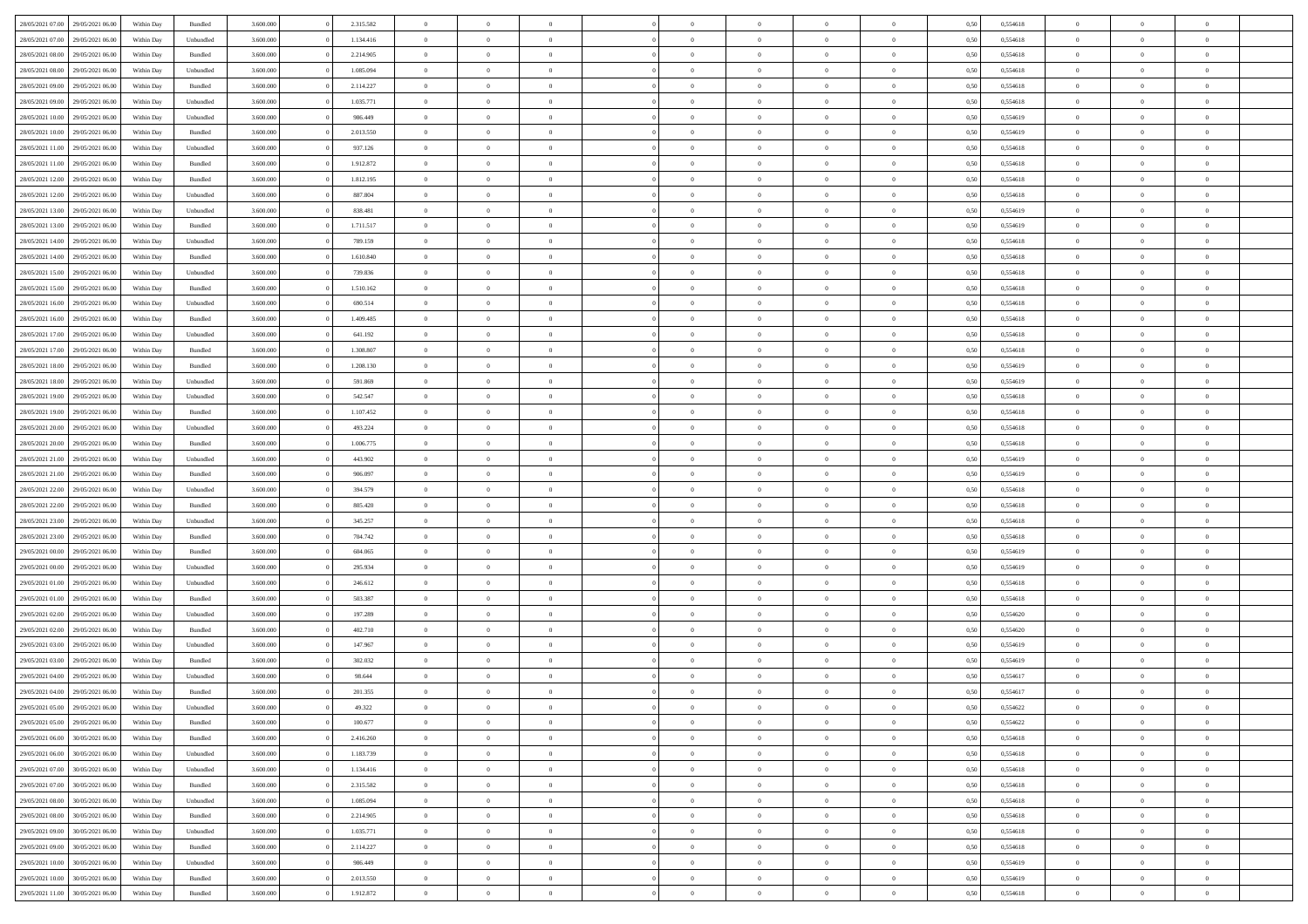| 28/05/2021 07:00 | 29/05/2021 06:00 | Within Day | Bundled   | 3.600.000 | 2.315.582 | $\overline{0}$ | $\Omega$       |                | $\Omega$       | $\Omega$       | $\theta$       | $\theta$       | 0,50 | 0,554618 | $\theta$       | $\theta$       | $\theta$       |  |
|------------------|------------------|------------|-----------|-----------|-----------|----------------|----------------|----------------|----------------|----------------|----------------|----------------|------|----------|----------------|----------------|----------------|--|
| 28/05/2021 07:00 | 29/05/2021 06:00 | Within Day | Unbundled | 3.600.000 | 1.134.416 | $\overline{0}$ | $\theta$       | $\overline{0}$ | $\overline{0}$ | $\bf{0}$       | $\overline{0}$ | $\bf{0}$       | 0,50 | 0,554618 | $\theta$       | $\theta$       | $\overline{0}$ |  |
| 28/05/2021 08:00 | 29/05/2021 06:00 | Within Day | Bundled   | 3.600.000 | 2.214.905 | $\overline{0}$ | $\overline{0}$ | $\overline{0}$ | $\overline{0}$ | $\bf{0}$       | $\overline{0}$ | $\bf{0}$       | 0,50 | 0,554618 | $\overline{0}$ | $\overline{0}$ | $\overline{0}$ |  |
| 28/05/2021 08:00 | 29/05/2021 06:00 | Within Dav | Unbundled | 3.600,000 | 1.085.094 | $\overline{0}$ | $\overline{0}$ | $\overline{0}$ | $\overline{0}$ | $\bf{0}$       | $\overline{0}$ | $\overline{0}$ | 0.50 | 0.554618 | $\theta$       | $\theta$       | $\overline{0}$ |  |
| 28/05/2021 09:00 | 29/05/2021 06:00 | Within Day | Bundled   | 3.600.000 | 2.114.227 | $\overline{0}$ | $\theta$       | $\overline{0}$ | $\overline{0}$ | $\bf{0}$       | $\overline{0}$ | $\bf{0}$       | 0,50 | 0,554618 | $\theta$       | $\overline{0}$ | $\overline{0}$ |  |
|                  |                  |            |           |           |           |                |                |                |                |                |                |                |      |          |                |                |                |  |
| 28/05/2021 09:00 | 29/05/2021 06:00 | Within Day | Unbundled | 3.600.000 | 1.035.771 | $\overline{0}$ | $\bf{0}$       | $\overline{0}$ | $\overline{0}$ | $\overline{0}$ | $\overline{0}$ | $\mathbf{0}$   | 0,50 | 0,554618 | $\bf{0}$       | $\overline{0}$ | $\bf{0}$       |  |
| 28/05/2021 10:00 | 29/05/2021 06:00 | Within Dav | Unbundled | 3.600.000 | 986,449   | $\overline{0}$ | $\overline{0}$ | $\overline{0}$ | $\overline{0}$ | $\overline{0}$ | $\overline{0}$ | $\overline{0}$ | 0.50 | 0,554619 | $\theta$       | $\overline{0}$ | $\overline{0}$ |  |
| 28/05/2021 10:00 | 29/05/2021 06:00 | Within Day | Bundled   | 3.600.000 | 2.013.550 | $\overline{0}$ | $\theta$       | $\overline{0}$ | $\overline{0}$ | $\bf{0}$       | $\overline{0}$ | $\bf{0}$       | 0,50 | 0,554619 | $\theta$       | $\theta$       | $\overline{0}$ |  |
| 28/05/2021 11:00 | 29/05/2021 06:00 | Within Day | Unbundled | 3.600.000 | 937.126   | $\overline{0}$ | $\overline{0}$ | $\overline{0}$ | $\overline{0}$ | $\bf{0}$       | $\overline{0}$ | $\bf{0}$       | 0,50 | 0,554618 | $\,0\,$        | $\overline{0}$ | $\overline{0}$ |  |
| 28/05/2021 11:00 | 29/05/2021 06:00 | Within Dav | Bundled   | 3.600.000 | 1.912.872 | $\overline{0}$ | $\overline{0}$ | $\overline{0}$ | $\overline{0}$ | $\overline{0}$ | $\overline{0}$ | $\overline{0}$ | 0.50 | 0.554618 | $\theta$       | $\overline{0}$ | $\overline{0}$ |  |
| 28/05/2021 12:00 | 29/05/2021 06:00 | Within Day | Bundled   | 3.600.000 | 1.812.195 | $\overline{0}$ | $\theta$       | $\overline{0}$ | $\overline{0}$ | $\bf{0}$       | $\overline{0}$ | $\bf{0}$       | 0,50 | 0,554618 | $\,$ 0 $\,$    | $\overline{0}$ | $\overline{0}$ |  |
|                  |                  |            |           |           |           |                |                |                |                |                |                |                |      |          |                |                |                |  |
| 28/05/2021 12:00 | 29/05/2021 06:00 | Within Day | Unbundled | 3.600.000 | 887.804   | $\overline{0}$ | $\overline{0}$ | $\overline{0}$ | $\overline{0}$ | $\bf{0}$       | $\overline{0}$ | $\bf{0}$       | 0,50 | 0,554618 | $\bf{0}$       | $\overline{0}$ | $\overline{0}$ |  |
| 28/05/2021 13:00 | 29/05/2021 06:00 | Within Day | Unbundled | 3.600.000 | 838.481   | $\overline{0}$ | $\overline{0}$ | $\overline{0}$ | $\overline{0}$ | $\bf{0}$       | $\overline{0}$ | $\overline{0}$ | 0.50 | 0.554619 | $\theta$       | $\theta$       | $\overline{0}$ |  |
| 28/05/2021 13:00 | 29/05/2021 06:00 | Within Day | Bundled   | 3.600.000 | 1.711.517 | $\overline{0}$ | $\theta$       | $\overline{0}$ | $\overline{0}$ | $\bf{0}$       | $\overline{0}$ | $\bf{0}$       | 0,50 | 0,554619 | $\theta$       | $\overline{0}$ | $\overline{0}$ |  |
| 28/05/2021 14:00 | 29/05/2021 06:00 | Within Day | Unbundled | 3.600.000 | 789.159   | $\overline{0}$ | $\overline{0}$ | $\overline{0}$ | $\bf{0}$       | $\overline{0}$ | $\overline{0}$ | $\mathbf{0}$   | 0,50 | 0,554618 | $\overline{0}$ | $\overline{0}$ | $\bf{0}$       |  |
| 28/05/2021 14:00 | 29/05/2021 06:00 | Within Dav | Bundled   | 3.600.000 | 1.610.840 | $\overline{0}$ | $\overline{0}$ | $\overline{0}$ | $\overline{0}$ | $\overline{0}$ | $\overline{0}$ | $\overline{0}$ | 0.50 | 0.554618 | $\theta$       | $\overline{0}$ | $\overline{0}$ |  |
| 28/05/2021 15:00 | 29/05/2021 06:00 | Within Day | Unbundled | 3.600.000 | 739.836   | $\overline{0}$ | $\theta$       | $\overline{0}$ | $\overline{0}$ | $\bf{0}$       | $\overline{0}$ | $\bf{0}$       | 0,50 | 0,554618 | $\theta$       | $\theta$       | $\overline{0}$ |  |
| 28/05/2021 15:00 | 29/05/2021 06:00 | Within Day | Bundled   | 3.600.000 | 1.510.162 | $\overline{0}$ | $\overline{0}$ | $\overline{0}$ | $\bf{0}$       | $\bf{0}$       | $\bf{0}$       | $\bf{0}$       | 0,50 | 0,554618 | $\,0\,$        | $\overline{0}$ | $\overline{0}$ |  |
| 28/05/2021 16:00 | 29/05/2021 06:00 |            | Unbundled | 3.600.000 | 690.514   | $\overline{0}$ | $\overline{0}$ | $\overline{0}$ | $\overline{0}$ | $\overline{0}$ | $\overline{0}$ | $\overline{0}$ | 0.50 | 0,554618 | $\theta$       | $\overline{0}$ | $\overline{0}$ |  |
|                  |                  | Within Day |           |           |           |                |                |                |                |                |                |                |      |          |                |                |                |  |
| 28/05/2021 16:00 | 29/05/2021 06:00 | Within Day | Bundled   | 3.600.000 | 1.409.485 | $\overline{0}$ | $\theta$       | $\overline{0}$ | $\overline{0}$ | $\bf{0}$       | $\overline{0}$ | $\bf{0}$       | 0,50 | 0,554618 | $\,$ 0 $\,$    | $\theta$       | $\overline{0}$ |  |
| 28/05/2021 17:00 | 29/05/2021 06:00 | Within Day | Unbundled | 3.600.000 | 641.192   | $\overline{0}$ | $\overline{0}$ | $\overline{0}$ | $\bf{0}$       | $\bf{0}$       | $\bf{0}$       | $\bf{0}$       | 0,50 | 0,554618 | $\bf{0}$       | $\overline{0}$ | $\overline{0}$ |  |
| 28/05/2021 17:00 | 29/05/2021 06:00 | Within Day | Bundled   | 3.600,000 | 1.308.807 | $\overline{0}$ | $\overline{0}$ | $\overline{0}$ | $\overline{0}$ | $\bf{0}$       | $\overline{0}$ | $\overline{0}$ | 0.50 | 0.554618 | $\theta$       | $\overline{0}$ | $\overline{0}$ |  |
| 28/05/2021 18:00 | 29/05/2021 06:00 | Within Day | Bundled   | 3.600.000 | 1.208.130 | $\overline{0}$ | $\theta$       | $\overline{0}$ | $\overline{0}$ | $\bf{0}$       | $\overline{0}$ | $\bf{0}$       | 0,50 | 0,554619 | $\,$ 0 $\,$    | $\overline{0}$ | $\overline{0}$ |  |
| 28/05/2021 18:00 | 29/05/2021 06:00 | Within Day | Unbundled | 3.600.000 | 591.869   | $\overline{0}$ | $\bf{0}$       | $\overline{0}$ | $\bf{0}$       | $\overline{0}$ | $\overline{0}$ | $\mathbf{0}$   | 0,50 | 0,554619 | $\overline{0}$ | $\overline{0}$ | $\bf{0}$       |  |
| 28/05/2021 19:00 | 29/05/2021 06:00 | Within Dav | Unbundled | 3.600.000 | 542.547   | $\overline{0}$ | $\overline{0}$ | $\overline{0}$ | $\overline{0}$ | $\overline{0}$ | $\overline{0}$ | $\overline{0}$ | 0.50 | 0.554618 | $\theta$       | $\overline{0}$ | $\overline{0}$ |  |
|                  |                  |            |           |           |           | $\overline{0}$ | $\theta$       | $\overline{0}$ |                | $\bf{0}$       | $\overline{0}$ |                |      |          | $\theta$       | $\theta$       | $\overline{0}$ |  |
| 28/05/2021 19:00 | 29/05/2021 06:00 | Within Day | Bundled   | 3.600.000 | 1.107.452 |                |                |                | $\overline{0}$ |                |                | $\bf{0}$       | 0,50 | 0,554618 |                |                |                |  |
| 28/05/2021 20:00 | 29/05/2021 06:00 | Within Day | Unbundled | 3.600.000 | 493.224   | $\overline{0}$ | $\overline{0}$ | $\overline{0}$ | $\bf{0}$       | $\bf{0}$       | $\bf{0}$       | $\bf{0}$       | 0,50 | 0,554618 | $\,0\,$        | $\overline{0}$ | $\overline{0}$ |  |
| 28/05/2021 20:00 | 29/05/2021 06:00 | Within Day | Bundled   | 3.600.000 | 1.006.775 | $\overline{0}$ | $\overline{0}$ | $\overline{0}$ | $\overline{0}$ | $\overline{0}$ | $\overline{0}$ | $\overline{0}$ | 0.50 | 0.554618 | $\theta$       | $\overline{0}$ | $\overline{0}$ |  |
| 28/05/2021 21:00 | 29/05/2021 06:00 | Within Day | Unbundled | 3.600.000 | 443.902   | $\overline{0}$ | $\theta$       | $\overline{0}$ | $\overline{0}$ | $\bf{0}$       | $\overline{0}$ | $\bf{0}$       | 0,50 | 0,554619 | $\,$ 0 $\,$    | $\overline{0}$ | $\overline{0}$ |  |
| 28/05/2021 21.00 | 29/05/2021 06:00 | Within Day | Bundled   | 3.600.000 | 906.097   | $\overline{0}$ | $\overline{0}$ | $\overline{0}$ | $\bf{0}$       | $\bf{0}$       | $\bf{0}$       | $\bf{0}$       | 0,50 | 0,554619 | $\overline{0}$ | $\overline{0}$ | $\overline{0}$ |  |
| 28/05/2021 22:00 | 29/05/2021 06:00 | Within Day | Unbundled | 3.600.000 | 394.579   | $\overline{0}$ | $\Omega$       | $\Omega$       | $\Omega$       | $\Omega$       | $\Omega$       | $\overline{0}$ | 0,50 | 0,554618 | $\,0\,$        | $\Omega$       | $\theta$       |  |
| 28/05/2021 22:00 | 29/05/2021 06:00 | Within Day | Bundled   | 3.600.000 | 805.420   | $\overline{0}$ | $\theta$       | $\overline{0}$ | $\overline{0}$ | $\bf{0}$       | $\overline{0}$ | $\bf{0}$       | 0,50 | 0,554618 | $\theta$       | $\theta$       | $\overline{0}$ |  |
|                  |                  |            |           |           |           |                |                |                |                |                |                |                |      |          |                |                |                |  |
| 28/05/2021 23:00 | 29/05/2021 06:00 | Within Day | Unbundled | 3.600.000 | 345.257   | $\overline{0}$ | $\overline{0}$ | $\overline{0}$ | $\bf{0}$       | $\bf{0}$       | $\overline{0}$ | $\mathbf{0}$   | 0,50 | 0,554618 | $\overline{0}$ | $\overline{0}$ | $\bf{0}$       |  |
| 28/05/2021 23:00 | 29/05/2021 06:00 | Within Day | Bundled   | 3.600,000 | 704.742   | $\overline{0}$ | $\Omega$       | $\Omega$       | $\Omega$       | $\bf{0}$       | $\overline{0}$ | $\overline{0}$ | 0.50 | 0.554618 | $\theta$       | $\theta$       | $\theta$       |  |
| 29/05/2021 00:00 | 29/05/2021 06:00 | Within Day | Bundled   | 3.600.000 | 604.065   | $\overline{0}$ | $\theta$       | $\overline{0}$ | $\overline{0}$ | $\bf{0}$       | $\overline{0}$ | $\bf{0}$       | 0,50 | 0,554619 | $\,$ 0 $\,$    | $\theta$       | $\overline{0}$ |  |
| 29/05/2021 00:00 | 29/05/2021 06:00 | Within Day | Unbundled | 3.600.000 | 295.934   | $\overline{0}$ | $\overline{0}$ | $\overline{0}$ | $\bf{0}$       | $\bf{0}$       | $\bf{0}$       | $\bf{0}$       | 0,50 | 0,554619 | $\bf{0}$       | $\overline{0}$ | $\overline{0}$ |  |
| 29/05/2021 01:00 | 29/05/2021 06:00 | Within Day | Unbundled | 3.600,000 | 246.612   | $\overline{0}$ | $\Omega$       | $\Omega$       | $\Omega$       | $\theta$       | $\theta$       | $\overline{0}$ | 0.50 | 0.554618 | $\theta$       | $\theta$       | $\theta$       |  |
| 29/05/2021 01:00 | 29/05/2021 06:00 | Within Day | Bundled   | 3.600.000 | 503.387   | $\overline{0}$ | $\theta$       | $\overline{0}$ | $\overline{0}$ | $\bf{0}$       | $\overline{0}$ | $\bf{0}$       | 0,50 | 0,554618 | $\,$ 0 $\,$    | $\overline{0}$ | $\overline{0}$ |  |
| 29/05/2021 02:00 | 29/05/2021 06:00 | Within Day | Unbundled | 3.600.000 | 197.289   | $\overline{0}$ | $\overline{0}$ | $\overline{0}$ | $\bf{0}$       | $\bf{0}$       | $\bf{0}$       | $\bf{0}$       | 0,50 | 0,554620 | $\overline{0}$ | $\overline{0}$ | $\overline{0}$ |  |
|                  |                  |            |           |           |           | $\overline{0}$ | $\Omega$       | $\overline{0}$ | $\Omega$       | $\Omega$       | $\overline{0}$ | $\overline{0}$ | 0.50 |          | $\,0\,$        | $\theta$       | $\theta$       |  |
| 29/05/2021 02:00 | 29/05/2021 06:00 | Within Day | Bundled   | 3.600.000 | 402.710   |                |                |                |                |                |                |                |      | 0,554620 |                |                |                |  |
| 29/05/2021 03:00 | 29/05/2021 06:00 | Within Day | Unbundled | 3.600.000 | 147.967   | $\overline{0}$ | $\theta$       | $\overline{0}$ | $\overline{0}$ | $\bf{0}$       | $\overline{0}$ | $\bf{0}$       | 0,50 | 0,554619 | $\,$ 0 $\,$    | $\overline{0}$ | $\overline{0}$ |  |
| 29/05/2021 03:00 | 29/05/2021 06:00 | Within Day | Bundled   | 3.600.000 | 302.032   | $\overline{0}$ | $\overline{0}$ | $\overline{0}$ | $\bf{0}$       | $\bf{0}$       | $\bf{0}$       | $\mathbf{0}$   | 0,50 | 0,554619 | $\overline{0}$ | $\overline{0}$ | $\bf{0}$       |  |
| 29/05/2021 04:00 | 29/05/2021 06:00 | Within Day | Unbundled | 3.600,000 | 98.644    | $\overline{0}$ | $\Omega$       | $\Omega$       | $\Omega$       | $\Omega$       | $\Omega$       | $\overline{0}$ | 0.50 | 0.554617 | $\theta$       | $\Omega$       | $\theta$       |  |
| 29/05/2021 04:00 | 29/05/2021 06:00 | Within Day | Bundled   | 3.600.000 | 201.355   | $\overline{0}$ | $\overline{0}$ | $\overline{0}$ | $\bf{0}$       | $\,$ 0         | $\bf{0}$       | $\bf{0}$       | 0,50 | 0,554617 | $\,0\,$        | $\overline{0}$ | $\overline{0}$ |  |
| 29/05/2021 05:00 | 29/05/2021 06:00 | Within Day | Unbundled | 3.600.000 | 49.322    | $\bf{0}$       | $\bf{0}$       |                |                |                |                |                | 0,50 | 0,554622 | $\bf{0}$       | $\overline{0}$ |                |  |
| 29/05/2021 05:00 | 29/05/2021 06:00 | Within Day | Bundled   | 3.600,000 | 100,677   | $\overline{0}$ | $\overline{0}$ | $\overline{0}$ | $\Omega$       | $\overline{0}$ | $\overline{0}$ | $\overline{0}$ | 0.50 | 0.554622 | $\theta$       | $\theta$       | $\theta$       |  |
| 29/05/2021 06:00 | 30/05/2021 06:00 | Within Day | Bundled   | 3.600.000 | 2.416.260 | $\overline{0}$ | $\,$ 0         | $\overline{0}$ | $\bf{0}$       | $\,$ 0 $\,$    | $\overline{0}$ | $\mathbf{0}$   | 0,50 | 0,554618 | $\,$ 0 $\,$    | $\,$ 0 $\,$    | $\,$ 0         |  |
|                  |                  |            |           |           |           |                |                |                |                |                |                |                |      |          |                |                |                |  |
| 29/05/2021 06:00 | 30/05/2021 06:00 | Within Day | Unbundled | 3.600.000 | 1.183.739 | $\overline{0}$ | $\overline{0}$ | $\overline{0}$ | $\overline{0}$ | $\overline{0}$ | $\overline{0}$ | $\mathbf{0}$   | 0,50 | 0,554618 | $\overline{0}$ | $\bf{0}$       | $\bf{0}$       |  |
| 29/05/2021 07:00 | 30/05/2021 06:00 | Within Day | Unbundled | 3.600.000 | 1.134.416 | $\overline{0}$ | $\overline{0}$ | $\overline{0}$ | $\Omega$       | $\overline{0}$ | $\overline{0}$ | $\bf{0}$       | 0,50 | 0,554618 | $\overline{0}$ | $\theta$       | $\overline{0}$ |  |
| 29/05/2021 07:00 | 30/05/2021 06:00 | Within Day | Bundled   | 3.600.000 | 2.315.582 | $\overline{0}$ | $\,$ 0         | $\overline{0}$ | $\overline{0}$ | $\overline{0}$ | $\overline{0}$ | $\bf{0}$       | 0,50 | 0,554618 | $\,$ 0 $\,$    | $\overline{0}$ | $\overline{0}$ |  |
| 29/05/2021 08:00 | 30/05/2021 06:00 | Within Day | Unbundled | 3.600.000 | 1.085.094 | $\overline{0}$ | $\overline{0}$ | $\overline{0}$ | $\overline{0}$ | $\overline{0}$ | $\overline{0}$ | $\mathbf{0}$   | 0,50 | 0,554618 | $\overline{0}$ | $\bf{0}$       | $\bf{0}$       |  |
| 29/05/2021 08:00 | 30/05/2021 06:00 | Within Day | Bundled   | 3.600,000 | 2.214.905 | $\overline{0}$ | $\overline{0}$ | $\overline{0}$ | $\Omega$       | $\overline{0}$ | $\overline{0}$ | $\bf{0}$       | 0.50 | 0,554618 | $\overline{0}$ | $\theta$       | $\overline{0}$ |  |
| 29/05/2021 09:00 | 30/05/2021 06:00 | Within Day | Unbundled | 3.600.000 | 1.035.771 | $\overline{0}$ | $\,$ 0         | $\overline{0}$ | $\bf{0}$       | $\bf{0}$       | $\bf{0}$       | $\bf{0}$       | 0,50 | 0,554618 | $\,$ 0 $\,$    | $\overline{0}$ | $\overline{0}$ |  |
| 29/05/2021 09:00 | 30/05/2021 06:00 | Within Day | Bundled   | 3.600.000 | 2.114.227 | $\overline{0}$ | $\bf{0}$       | $\overline{0}$ | $\overline{0}$ | $\overline{0}$ | $\overline{0}$ | $\mathbf{0}$   | 0,50 | 0,554618 | $\overline{0}$ | $\overline{0}$ | $\bf{0}$       |  |
|                  |                  |            |           |           |           |                |                |                |                |                |                |                |      |          |                |                |                |  |
| 29/05/2021 10:00 | 30/05/2021 06:00 | Within Day | Unbundled | 3.600,000 | 986.449   | $\overline{0}$ | $\overline{0}$ | $\overline{0}$ | $\Omega$       | $\overline{0}$ | $\overline{0}$ | $\bf{0}$       | 0.50 | 0,554619 | $\overline{0}$ | $\overline{0}$ | $\overline{0}$ |  |
| 29/05/2021 10:00 | 30/05/2021 06:00 | Within Day | Bundled   | 3.600.000 | 2.013.550 | $\overline{0}$ | $\,$ 0 $\,$    | $\overline{0}$ | $\overline{0}$ | $\bf{0}$       | $\bf{0}$       | $\bf{0}$       | 0,50 | 0,554619 | $\,$ 0 $\,$    | $\,$ 0 $\,$    | $\bf{0}$       |  |
| 29/05/2021 11:00 | 30/05/2021 06:00 | Within Day | Bundled   | 3.600.000 | 1.912.872 | $\overline{0}$ | $\bf{0}$       | $\overline{0}$ | $\bf{0}$       | $\bf{0}$       | $\bf{0}$       | $\bf{0}$       | 0,50 | 0,554618 | $\overline{0}$ | $\overline{0}$ | $\bf{0}$       |  |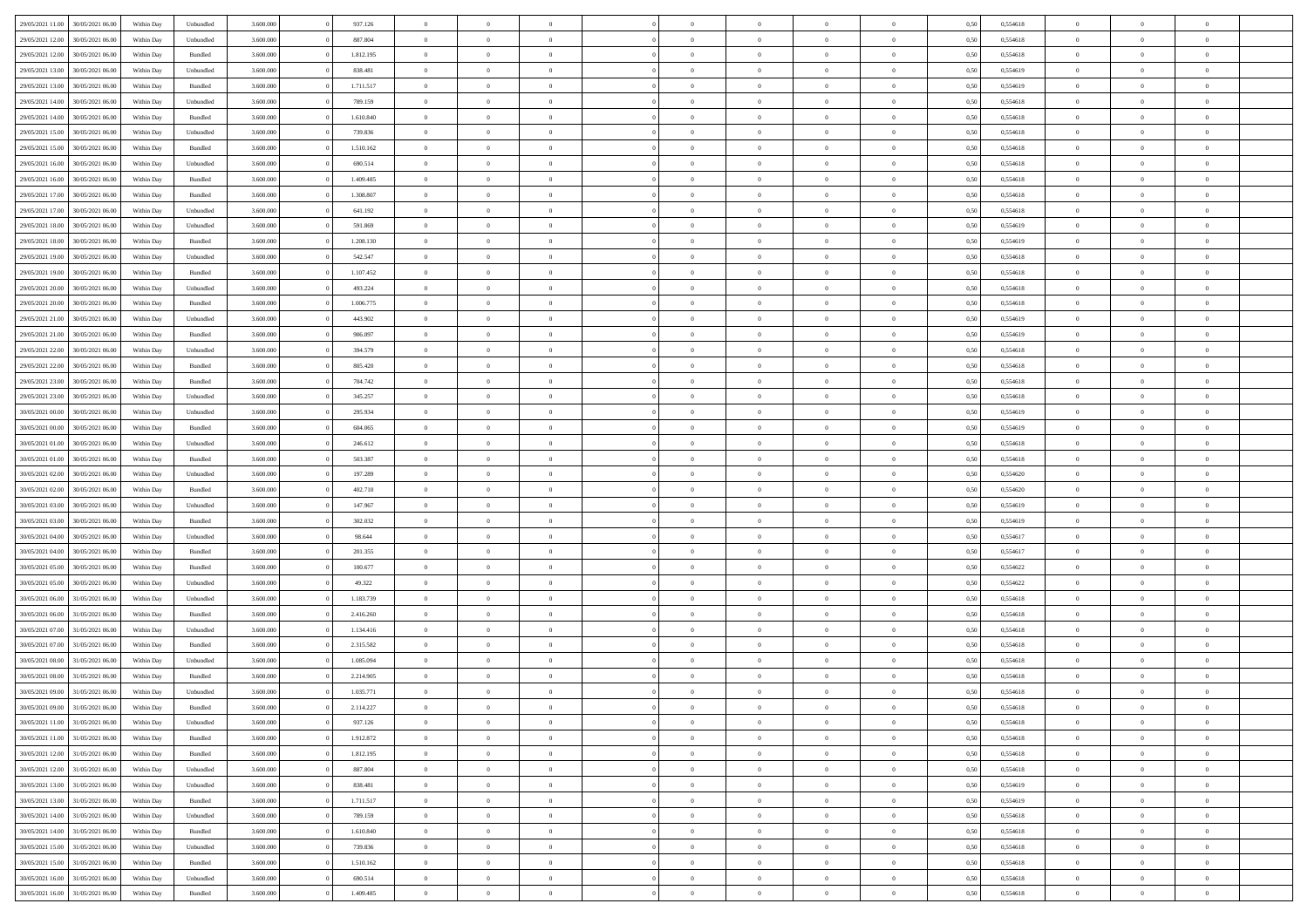| 29/05/2021 11:00 | 30/05/2021 06:00 | Within Day | Unbundled          | 3.600.000 | 937.126   | $\overline{0}$ | $\Omega$       |                | $\Omega$       | $\Omega$       | $\theta$       | $\theta$       | 0,50 | 0,554618 | $\theta$       | $\theta$       | $\theta$       |  |
|------------------|------------------|------------|--------------------|-----------|-----------|----------------|----------------|----------------|----------------|----------------|----------------|----------------|------|----------|----------------|----------------|----------------|--|
|                  |                  |            |                    |           |           |                |                |                |                |                |                |                |      |          |                |                |                |  |
| 29/05/2021 12:00 | 30/05/2021 06:00 | Within Day | Unbundled          | 3.600.000 | 887.804   | $\overline{0}$ | $\theta$       | $\overline{0}$ | $\overline{0}$ | $\bf{0}$       | $\overline{0}$ | $\bf{0}$       | 0,50 | 0,554618 | $\theta$       | $\theta$       | $\overline{0}$ |  |
| 29/05/2021 12:00 | 30/05/2021 06:00 | Within Day | Bundled            | 3.600.000 | 1.812.195 | $\overline{0}$ | $\overline{0}$ | $\overline{0}$ | $\bf{0}$       | $\bf{0}$       | $\bf{0}$       | $\bf{0}$       | 0,50 | 0,554618 | $\overline{0}$ | $\overline{0}$ | $\overline{0}$ |  |
| 29/05/2021 13:00 | 30/05/2021 06:00 | Within Dav | Unbundled          | 3.600.000 | 838.481   | $\overline{0}$ | $\overline{0}$ | $\overline{0}$ | $\overline{0}$ | $\bf{0}$       | $\overline{0}$ | $\overline{0}$ | 0.50 | 0.554619 | $\theta$       | $\theta$       | $\overline{0}$ |  |
| 29/05/2021 13:00 | 30/05/2021 06:00 | Within Day | Bundled            | 3.600.000 | 1.711.517 | $\overline{0}$ | $\theta$       | $\overline{0}$ | $\overline{0}$ | $\bf{0}$       | $\overline{0}$ | $\bf{0}$       | 0,50 | 0,554619 | $\theta$       | $\overline{0}$ | $\overline{0}$ |  |
|                  |                  |            |                    |           |           |                |                |                |                |                |                |                |      |          |                |                |                |  |
| 29/05/2021 14:00 | 30/05/2021 06:00 | Within Day | Unbundled          | 3.600.000 | 789.159   | $\overline{0}$ | $\bf{0}$       | $\overline{0}$ | $\overline{0}$ | $\overline{0}$ | $\overline{0}$ | $\mathbf{0}$   | 0,50 | 0,554618 | $\overline{0}$ | $\overline{0}$ | $\bf{0}$       |  |
| 29/05/2021 14:00 | 30/05/2021 06:00 | Within Dav | Bundled            | 3.600.000 | 1.610.840 | $\overline{0}$ | $\overline{0}$ | $\overline{0}$ | $\overline{0}$ | $\overline{0}$ | $\overline{0}$ | $\overline{0}$ | 0.50 | 0,554618 | $\theta$       | $\overline{0}$ | $\overline{0}$ |  |
| 29/05/2021 15:00 | 30/05/2021 06:00 | Within Day | Unbundled          | 3.600.000 | 739.836   | $\overline{0}$ | $\theta$       | $\overline{0}$ | $\overline{0}$ | $\bf{0}$       | $\overline{0}$ | $\bf{0}$       | 0,50 | 0,554618 | $\theta$       | $\theta$       | $\overline{0}$ |  |
| 29/05/2021 15:00 | 30/05/2021 06:00 | Within Day | Bundled            | 3.600.000 | 1.510.162 | $\overline{0}$ | $\overline{0}$ | $\overline{0}$ | $\overline{0}$ | $\bf{0}$       | $\overline{0}$ | $\bf{0}$       | 0,50 | 0,554618 | $\,0\,$        | $\overline{0}$ | $\overline{0}$ |  |
| 29/05/2021 16:00 | 30/05/2021 06:00 | Within Dav | Unbundled          | 3.600.000 | 690.514   | $\overline{0}$ | $\overline{0}$ | $\overline{0}$ | $\overline{0}$ | $\overline{0}$ | $\overline{0}$ | $\overline{0}$ | 0.50 | 0.554618 | $\theta$       | $\overline{0}$ | $\overline{0}$ |  |
| 29/05/2021 16:00 | 30/05/2021 06:00 | Within Day | Bundled            | 3.600.000 | 1.409.485 | $\overline{0}$ | $\theta$       | $\overline{0}$ | $\overline{0}$ | $\bf{0}$       | $\overline{0}$ | $\bf{0}$       | 0,50 | 0,554618 | $\,$ 0 $\,$    | $\theta$       | $\overline{0}$ |  |
|                  |                  |            |                    |           |           |                |                |                |                |                |                |                |      |          |                |                |                |  |
| 29/05/2021 17:00 | 30/05/2021 06:00 | Within Day | Bundled            | 3.600.000 | 1.308.807 | $\overline{0}$ | $\overline{0}$ | $\overline{0}$ | $\overline{0}$ | $\bf{0}$       | $\overline{0}$ | $\mathbf{0}$   | 0,50 | 0,554618 | $\overline{0}$ | $\overline{0}$ | $\bf{0}$       |  |
| 29/05/2021 17:00 | 30/05/2021 06:00 | Within Day | Unbundled          | 3.600.000 | 641.192   | $\overline{0}$ | $\overline{0}$ | $\overline{0}$ | $\overline{0}$ | $\bf{0}$       | $\overline{0}$ | $\overline{0}$ | 0.50 | 0.554618 | $\theta$       | $\theta$       | $\overline{0}$ |  |
| 29/05/2021 18:00 | 30/05/2021 06:00 | Within Day | Unbundled          | 3.600.000 | 591.869   | $\overline{0}$ | $\theta$       | $\overline{0}$ | $\overline{0}$ | $\bf{0}$       | $\overline{0}$ | $\bf{0}$       | 0,50 | 0,554619 | $\theta$       | $\overline{0}$ | $\overline{0}$ |  |
| 29/05/2021 18:00 | 30/05/2021 06:00 | Within Day | Bundled            | 3.600.000 | 1.208.130 | $\overline{0}$ | $\overline{0}$ | $\overline{0}$ | $\overline{0}$ | $\overline{0}$ | $\overline{0}$ | $\mathbf{0}$   | 0,50 | 0,554619 | $\overline{0}$ | $\overline{0}$ | $\bf{0}$       |  |
| 29/05/2021 19:00 | 30/05/2021 06:00 | Within Dav | Unbundled          | 3.600.000 | 542.547   | $\overline{0}$ | $\overline{0}$ | $\overline{0}$ | $\overline{0}$ | $\overline{0}$ | $\overline{0}$ | $\overline{0}$ | 0.50 | 0.554618 | $\theta$       | $\overline{0}$ | $\overline{0}$ |  |
| 29/05/2021 19:00 | 30/05/2021 06:00 | Within Day | Bundled            | 3.600.000 | 1.107.452 | $\overline{0}$ | $\theta$       | $\overline{0}$ | $\overline{0}$ | $\bf{0}$       | $\overline{0}$ | $\bf{0}$       | 0,50 | 0,554618 | $\theta$       | $\theta$       | $\overline{0}$ |  |
| 29/05/2021 20:00 | 30/05/2021 06:00 | Within Day | Unbundled          | 3.600.000 | 493.224   | $\overline{0}$ | $\overline{0}$ | $\overline{0}$ | $\overline{0}$ | $\bf{0}$       | $\overline{0}$ | $\mathbf{0}$   | 0,50 | 0,554618 | $\,0\,$        | $\overline{0}$ | $\overline{0}$ |  |
|                  | 30/05/2021 06:00 |            | Bundled            | 3.600.000 | 1.006.775 | $\overline{0}$ | $\overline{0}$ | $\overline{0}$ | $\overline{0}$ | $\overline{0}$ | $\overline{0}$ | $\overline{0}$ | 0.50 | 0.554618 | $\theta$       | $\overline{0}$ | $\overline{0}$ |  |
| 29/05/2021 20:00 |                  | Within Day |                    |           |           |                |                |                |                |                |                |                |      |          |                |                |                |  |
| 29/05/2021 21:00 | 30/05/2021 06:00 | Within Day | Unbundled          | 3.600.000 | 443.902   | $\overline{0}$ | $\theta$       | $\overline{0}$ | $\overline{0}$ | $\bf{0}$       | $\overline{0}$ | $\bf{0}$       | 0,50 | 0,554619 | $\,$ 0 $\,$    | $\theta$       | $\overline{0}$ |  |
| 29/05/2021 21.00 | 30/05/2021 06:00 | Within Day | Bundled            | 3.600.000 | 906.097   | $\overline{0}$ | $\overline{0}$ | $\overline{0}$ | $\overline{0}$ | $\bf{0}$       | $\overline{0}$ | $\bf{0}$       | 0,50 | 0,554619 | $\bf{0}$       | $\overline{0}$ | $\overline{0}$ |  |
| 29/05/2021 22.00 | 30/05/2021 06:00 | Within Day | Unbundled          | 3.600,000 | 394,579   | $\overline{0}$ | $\overline{0}$ | $\overline{0}$ | $\overline{0}$ | $\bf{0}$       | $\overline{0}$ | $\overline{0}$ | 0.50 | 0.554618 | $\theta$       | $\overline{0}$ | $\overline{0}$ |  |
| 29/05/2021 22:00 | 30/05/2021 06:00 | Within Day | Bundled            | 3.600.000 | 805.420   | $\overline{0}$ | $\theta$       | $\overline{0}$ | $\overline{0}$ | $\bf{0}$       | $\overline{0}$ | $\bf{0}$       | 0,50 | 0,554618 | $\,$ 0 $\,$    | $\overline{0}$ | $\overline{0}$ |  |
| 29/05/2021 23:00 | 30/05/2021 06:00 | Within Day | Bundled            | 3.600.000 | 704.742   | $\overline{0}$ | $\bf{0}$       | $\overline{0}$ | $\overline{0}$ | $\overline{0}$ | $\overline{0}$ | $\mathbf{0}$   | 0,50 | 0,554618 | $\overline{0}$ | $\overline{0}$ | $\bf{0}$       |  |
| 29/05/2021 23:00 | 30/05/2021 06:00 | Within Dav | Unbundled          | 3.600.000 | 345.257   | $\overline{0}$ | $\overline{0}$ | $\overline{0}$ | $\overline{0}$ | $\overline{0}$ | $\overline{0}$ | $\overline{0}$ | 0.50 | 0.554618 | $\theta$       | $\overline{0}$ | $\overline{0}$ |  |
|                  |                  |            |                    |           |           |                |                |                |                |                |                |                |      |          |                |                |                |  |
| 30/05/2021 00:00 | 30/05/2021 06:00 | Within Day | Unbundled          | 3.600.000 | 295.934   | $\overline{0}$ | $\theta$       | $\overline{0}$ | $\overline{0}$ | $\bf{0}$       | $\overline{0}$ | $\bf{0}$       | 0,50 | 0,554619 | $\theta$       | $\theta$       | $\overline{0}$ |  |
| 30/05/2021 00:00 | 30/05/2021 06:00 | Within Day | Bundled            | 3.600.000 | 604.065   | $\overline{0}$ | $\overline{0}$ | $\overline{0}$ | $\overline{0}$ | $\bf{0}$       | $\overline{0}$ | $\bf{0}$       | 0,50 | 0,554619 | $\,0\,$        | $\overline{0}$ | $\overline{0}$ |  |
| 30/05/2021 01:00 | 30/05/2021 06:00 | Within Day | Unbundled          | 3.600.000 | 246.612   | $\overline{0}$ | $\overline{0}$ | $\overline{0}$ | $\overline{0}$ | $\overline{0}$ | $\overline{0}$ | $\overline{0}$ | 0.50 | 0.554618 | $\theta$       | $\overline{0}$ | $\overline{0}$ |  |
| 30/05/2021 01:00 | 30/05/2021 06:00 | Within Day | Bundled            | 3.600.000 | 503.387   | $\overline{0}$ | $\theta$       | $\overline{0}$ | $\overline{0}$ | $\bf{0}$       | $\overline{0}$ | $\bf{0}$       | 0,50 | 0,554618 | $\,$ 0 $\,$    | $\overline{0}$ | $\overline{0}$ |  |
| 30/05/2021 02:00 | 30/05/2021 06:00 | Within Day | Unbundled          | 3.600.000 | 197.289   | $\overline{0}$ | $\overline{0}$ | $\overline{0}$ | $\overline{0}$ | $\bf{0}$       | $\overline{0}$ | $\bf{0}$       | 0,50 | 0,554620 | $\overline{0}$ | $\overline{0}$ | $\bf{0}$       |  |
| 30/05/2021 02.00 | 30/05/2021 06:00 | Within Day | Bundled            | 3.600.000 | 402.710   | $\overline{0}$ | $\Omega$       | $\Omega$       | $\Omega$       | $\Omega$       | $\Omega$       | $\overline{0}$ | 0,50 | 0,554620 | $\,0\,$        | $\theta$       | $\theta$       |  |
| 30/05/2021 03:00 | 30/05/2021 06:00 | Within Day | Unbundled          | 3.600.000 | 147.967   | $\overline{0}$ | $\theta$       | $\overline{0}$ | $\overline{0}$ | $\bf{0}$       | $\overline{0}$ | $\bf{0}$       | 0,50 | 0,554619 | $\,$ 0 $\,$    | $\theta$       | $\overline{0}$ |  |
|                  |                  |            |                    |           |           |                |                |                |                |                |                |                |      |          |                |                |                |  |
| 30/05/2021 03:00 | 30/05/2021 06:00 | Within Day | Bundled            | 3.600.000 | 302.032   | $\overline{0}$ | $\overline{0}$ | $\overline{0}$ | $\overline{0}$ | $\bf{0}$       | $\overline{0}$ | $\mathbf{0}$   | 0,50 | 0,554619 | $\overline{0}$ | $\overline{0}$ | $\bf{0}$       |  |
| 30/05/2021 04:00 | 30/05/2021 06:00 | Within Day | Unbundled          | 3.600,000 | 98.644    | $\overline{0}$ | $\Omega$       | $\Omega$       | $\Omega$       | $\bf{0}$       | $\overline{0}$ | $\overline{0}$ | 0.50 | 0.554617 | $\theta$       | $\theta$       | $\theta$       |  |
| 30/05/2021 04:00 | 30/05/2021 06:00 | Within Day | Bundled            | 3.600.000 | 201.355   | $\overline{0}$ | $\theta$       | $\overline{0}$ | $\overline{0}$ | $\bf{0}$       | $\overline{0}$ | $\bf{0}$       | 0,50 | 0,554617 | $\,$ 0 $\,$    | $\theta$       | $\overline{0}$ |  |
| 30/05/2021 05:00 | 30/05/2021 06:00 | Within Day | Bundled            | 3.600.000 | 100.677   | $\overline{0}$ | $\overline{0}$ | $\overline{0}$ | $\overline{0}$ | $\bf{0}$       | $\overline{0}$ | $\bf{0}$       | 0,50 | 0,554622 | $\,0\,$        | $\overline{0}$ | $\overline{0}$ |  |
| 30/05/2021 05:00 | 30/05/2021 06:00 | Within Day | Unbundled          | 3.600,000 | 49.322    | $\overline{0}$ | $\Omega$       | $\Omega$       | $\Omega$       | $\theta$       | $\theta$       | $\overline{0}$ | 0.50 | 0,554622 | $\theta$       | $\theta$       | $\theta$       |  |
| 30/05/2021 06:00 | 31/05/2021 06:00 | Within Day | Unbundled          | 3.600.000 | 1.183.739 | $\overline{0}$ | $\theta$       | $\overline{0}$ | $\overline{0}$ | $\bf{0}$       | $\overline{0}$ | $\bf{0}$       | 0,50 | 0,554618 | $\,$ 0 $\,$    | $\overline{0}$ | $\overline{0}$ |  |
|                  |                  |            |                    |           |           |                | $\overline{0}$ |                |                | $\bf{0}$       |                |                |      |          |                | $\overline{0}$ | $\overline{0}$ |  |
| 30/05/2021 06:00 | 31/05/2021 06:00 | Within Day | Bundled            | 3.600.000 | 2.416.260 | $\overline{0}$ |                | $\overline{0}$ | $\overline{0}$ |                | $\overline{0}$ | $\bf{0}$       | 0,50 | 0,554618 | $\overline{0}$ |                |                |  |
| 30/05/2021 07:00 | 31/05/2021 06.00 | Within Day | Unbundled          | 3.600.000 | 1.134.416 | $\overline{0}$ | $\Omega$       | $\overline{0}$ | $\Omega$       | $\Omega$       | $\overline{0}$ | $\overline{0}$ | 0,50 | 0,554618 | $\,0\,$        | $\theta$       | $\theta$       |  |
| 30/05/2021 07:00 | 31/05/2021 06:00 | Within Day | Bundled            | 3.600.000 | 2.315.582 | $\overline{0}$ | $\theta$       | $\overline{0}$ | $\overline{0}$ | $\bf{0}$       | $\overline{0}$ | $\bf{0}$       | 0,50 | 0,554618 | $\,$ 0 $\,$    | $\overline{0}$ | $\overline{0}$ |  |
| 30/05/2021 08:00 | 31/05/2021 06:00 | Within Day | Unbundled          | 3.600.000 | 1.085.094 | $\overline{0}$ | $\overline{0}$ | $\overline{0}$ | $\overline{0}$ | $\bf{0}$       | $\bf{0}$       | $\mathbf{0}$   | 0,50 | 0,554618 | $\overline{0}$ | $\overline{0}$ | $\bf{0}$       |  |
| 30/05/2021 08:00 | 31/05/2021 06.00 | Within Day | Bundled            | 3.600,000 | 2.214.905 | $\overline{0}$ | $\Omega$       | $\Omega$       | $\Omega$       | $\Omega$       | $\Omega$       | $\overline{0}$ | 0.50 | 0.554618 | $\theta$       | $\theta$       | $\theta$       |  |
| 30/05/2021 09:00 | 31/05/2021 06:00 | Within Day | Unbundled          | 3.600.000 | 1.035.771 | $\overline{0}$ | $\overline{0}$ | $\overline{0}$ | $\bf{0}$       | $\,$ 0         | $\bf{0}$       | $\bf{0}$       | 0,50 | 0,554618 | $\,0\,$        | $\overline{0}$ | $\overline{0}$ |  |
| 30/05/2021 09:00 | 31/05/2021 06:00 | Within Day | $\mathbf B$ undled | 3.600.000 | 2.114.227 | $\bf{0}$       | $\bf{0}$       |                |                |                |                |                | 0,50 | 0,554618 | $\bf{0}$       | $\overline{0}$ |                |  |
| 30/05/2021 11:00 | 31/05/2021 06:00 | Within Day | Unbundled          | 3.600,000 | 937.126   | $\overline{0}$ | $\overline{0}$ | $\overline{0}$ | $\Omega$       | $\overline{0}$ | $\overline{0}$ | $\overline{0}$ | 0,50 | 0.554618 | $\theta$       | $\theta$       | $\theta$       |  |
|                  |                  |            |                    |           |           |                |                |                |                |                |                |                |      |          |                |                |                |  |
| 30/05/2021 11:00 | 31/05/2021 06:00 | Within Day | Bundled            | 3.600.000 | 1.912.872 | $\overline{0}$ | $\,$ 0         | $\overline{0}$ | $\bf{0}$       | $\,$ 0 $\,$    | $\overline{0}$ | $\,$ 0 $\,$    | 0,50 | 0,554618 | $\,$ 0 $\,$    | $\,$ 0 $\,$    | $\,$ 0         |  |
| 30/05/2021 12:00 | 31/05/2021 06:00 | Within Day | Bundled            | 3.600.000 | 1.812.195 | $\overline{0}$ | $\overline{0}$ | $\overline{0}$ | $\overline{0}$ | $\overline{0}$ | $\overline{0}$ | $\mathbf{0}$   | 0,50 | 0,554618 | $\overline{0}$ | $\bf{0}$       | $\overline{0}$ |  |
| 30/05/2021 12:00 | 31/05/2021 06:00 | Within Day | Unbundled          | 3.600.000 | 887.804   | $\overline{0}$ | $\overline{0}$ | $\overline{0}$ | $\Omega$       | $\overline{0}$ | $\overline{0}$ | $\overline{0}$ | 0,50 | 0,554618 | $\overline{0}$ | $\theta$       | $\overline{0}$ |  |
| 30/05/2021 13:00 | 31/05/2021 06:00 | Within Day | Unbundled          | 3.600.000 | 838.481   | $\overline{0}$ | $\,$ 0         | $\overline{0}$ | $\overline{0}$ | $\,$ 0 $\,$    | $\overline{0}$ | $\mathbf{0}$   | 0,50 | 0,554619 | $\,$ 0 $\,$    | $\overline{0}$ | $\overline{0}$ |  |
| 30/05/2021 13:00 | 31/05/2021 06:00 | Within Day | Bundled            | 3.600.000 | 1.711.517 | $\overline{0}$ | $\overline{0}$ | $\overline{0}$ | $\overline{0}$ | $\overline{0}$ | $\overline{0}$ | $\mathbf{0}$   | 0,50 | 0,554619 | $\overline{0}$ | $\overline{0}$ | $\overline{0}$ |  |
| 30/05/2021 14:00 | 31/05/2021 06:00 | Within Day | Unbundled          | 3.600,000 | 789.159   | $\overline{0}$ | $\overline{0}$ | $\overline{0}$ | $\overline{0}$ | $\overline{0}$ | $\overline{0}$ | $\bf{0}$       | 0.50 | 0,554618 | $\overline{0}$ | $\theta$       | $\overline{0}$ |  |
| 30/05/2021 14:00 | 31/05/2021 06:00 | Within Day | Bundled            | 3.600.000 | 1.610.840 | $\overline{0}$ | $\,$ 0         | $\overline{0}$ | $\overline{0}$ | $\bf{0}$       | $\overline{0}$ | $\bf{0}$       | 0,50 | 0,554618 | $\,$ 0 $\,$    | $\overline{0}$ | $\overline{0}$ |  |
|                  |                  |            |                    |           |           |                |                |                |                |                |                |                |      |          |                |                |                |  |
| 30/05/2021 15:00 | 31/05/2021 06:00 | Within Day | Unbundled          | 3.600.000 | 739.836   | $\overline{0}$ | $\bf{0}$       | $\overline{0}$ | $\overline{0}$ | $\overline{0}$ | $\overline{0}$ | $\mathbf{0}$   | 0,50 | 0,554618 | $\overline{0}$ | $\overline{0}$ | $\bf{0}$       |  |
| 30/05/2021 15:00 | 31/05/2021 06:00 | Within Day | Bundled            | 3.600,000 | 1.510.162 | $\overline{0}$ | $\overline{0}$ | $\overline{0}$ | $\Omega$       | $\overline{0}$ | $\overline{0}$ | $\overline{0}$ | 0.50 | 0,554618 | $\overline{0}$ | $\overline{0}$ | $\overline{0}$ |  |
| 30/05/2021 16:00 | 31/05/2021 06:00 | Within Day | Unbundled          | 3.600.000 | 690.514   | $\overline{0}$ | $\bf{0}$       | $\overline{0}$ | $\bf{0}$       | $\bf{0}$       | $\overline{0}$ | $\mathbf{0}$   | 0,50 | 0,554618 | $\,$ 0 $\,$    | $\,$ 0 $\,$    | $\bf{0}$       |  |
| 30/05/2021 16:00 | 31/05/2021 06:00 | Within Day | Bundled            | 3.600.000 | 1.409.485 | $\overline{0}$ | $\overline{0}$ | $\overline{0}$ | $\overline{0}$ | $\overline{0}$ | $\overline{0}$ | $\mathbf{0}$   | 0,50 | 0,554618 | $\overline{0}$ | $\bf{0}$       | $\overline{0}$ |  |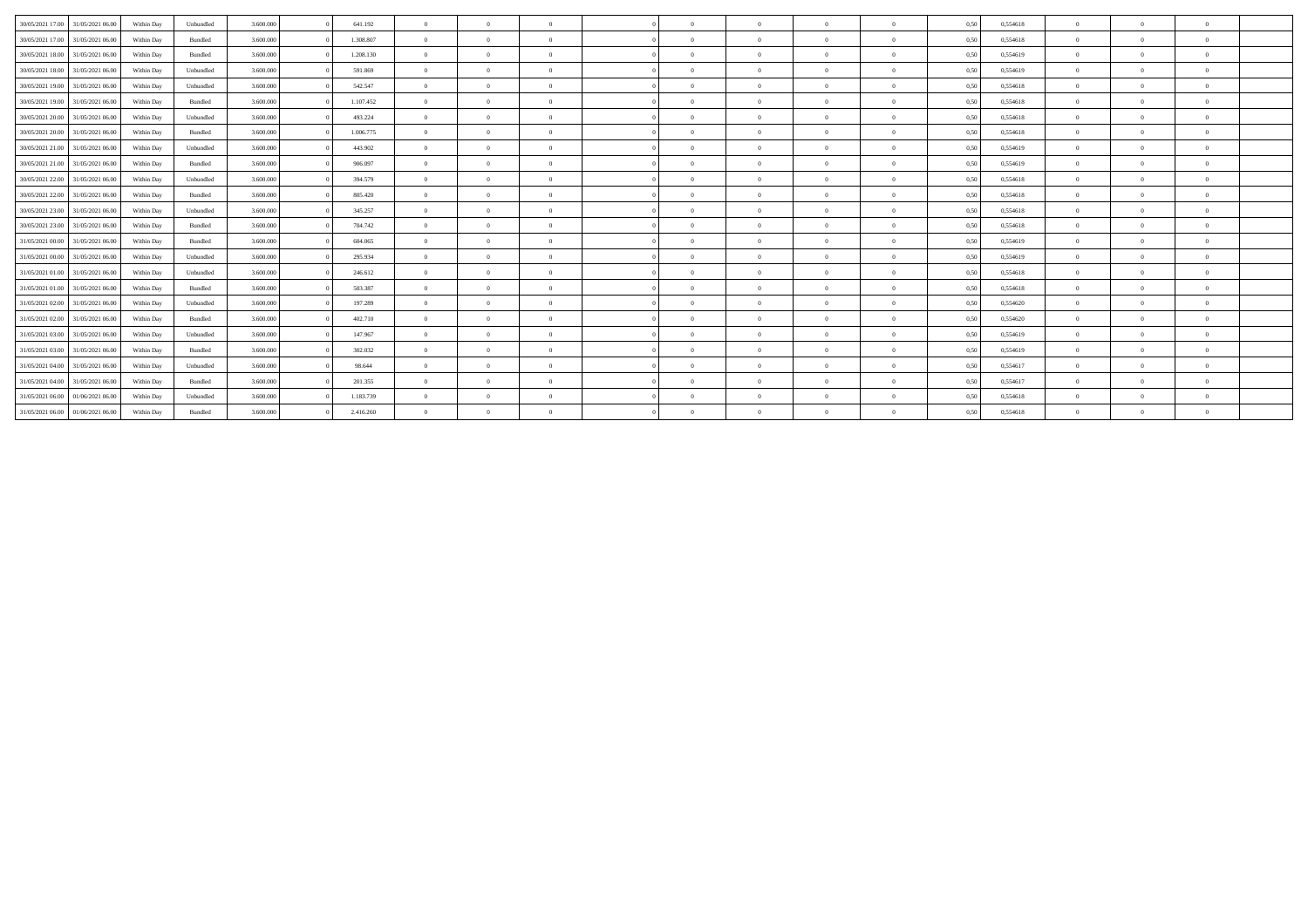| 30/05/2021 17:00 | 31/05/2021 06:00 | Within Day | Unbundled            | 3.600,000 | 641.192   | $\overline{0}$ | $\theta$ | $\overline{0}$ | $\sqrt{2}$ | $\theta$       | $\Omega$       | $\theta$       | 0,50 | 0,554618 | $\overline{0}$ |          |              |  |
|------------------|------------------|------------|----------------------|-----------|-----------|----------------|----------|----------------|------------|----------------|----------------|----------------|------|----------|----------------|----------|--------------|--|
| 30/05/2021 17:00 | 31/05/2021 06:00 | Within Day | Bundled              | 3.600.000 | 1.308.807 | $\Omega$       | $\theta$ | $\Omega$       | $\Omega$   | $\theta$       | $\Omega$       | $\Omega$       | 0,50 | 0,554618 | $\Omega$       |          |              |  |
|                  | 31/05/2021 06:00 |            |                      | 3.600,000 | 1.208.130 | $\overline{0}$ | $\Omega$ | $\Omega$       | $\sqrt{2}$ | $\theta$       | $\Omega$       | $\mathbf{a}$   |      | 0.554619 | $\overline{0}$ |          |              |  |
| 30/05/2021 18:00 |                  | Within Day | Bundled<br>Unbundled | 3.600,000 |           | $\overline{0}$ | $\theta$ | $\overline{0}$ | $\theta$   | $\mathbf{0}$   | $\theta$       | $\overline{0}$ | 0,50 | 0.554619 | $\overline{0}$ | $\Omega$ | $\theta$     |  |
| 30/05/2021 18:00 | 31/05/2021 06:00 | Within Day |                      |           | 591.869   |                |          |                |            |                |                |                | 0,50 |          |                |          |              |  |
| 30/05/2021 19:00 | 31/05/2021 06:00 | Within Day | Unbundled            | 3.600.000 | 542.547   | $\overline{0}$ | $\Omega$ | $\Omega$       | $\Omega$   | $\theta$       | $\Omega$       | $\theta$       | 0,50 | 0.554618 | $\Omega$       |          |              |  |
| 30/05/2021 19:00 | 31/05/2021 06:00 | Within Day | Bundled              | 3.600.000 | 1.107.452 | $\theta$       | $\Omega$ | $\Omega$       | $\Omega$   | $\sqrt{2}$     | $\Omega$       | $\Omega$       | 0,50 | 0,554618 | $\Omega$       |          |              |  |
| 30/05/2021 20:00 | 31/05/2021 06:00 | Within Day | Unbundled            | 3.600.000 | 493.224   | $\Omega$       | $\theta$ | $\overline{0}$ | $\sqrt{2}$ | $\theta$       | $\Omega$       | $\Omega$       | 0,50 | 0,554618 | $\overline{0}$ |          |              |  |
| 30/05/2021 20:00 | 31/05/2021 06:00 | Within Day | Bundled              | 3.600,000 | 1.006.775 | $\Omega$       | $\Omega$ | $\Omega$       |            | $\Omega$       | $\Omega$       |                | 0,50 | 0.554618 | $\Omega$       |          |              |  |
| 30/05/2021 21.00 | 31/05/2021 06:00 | Within Day | Unbundled            | 3.600.000 | 443.902   | $\Omega$       | $\Omega$ | $\Omega$       | $\Omega$   | $\theta$       | $\Omega$       | $\Omega$       | 0,50 | 0.554619 | $\Omega$       |          |              |  |
| 30/05/2021 21.00 | 31/05/2021 06:00 | Within Day | Bundled              | 3.600.000 | 906.097   | $\Omega$       | $\theta$ | $\Omega$       | $\sqrt{2}$ | $\theta$       | $\Omega$       | $\theta$       | 0,50 | 0,554619 | $\overline{0}$ |          | $\theta$     |  |
| 30/05/2021 22.00 | 31/05/2021 06:00 | Within Day | Unbundled            | 3.600,000 | 394.579   | $\theta$       | $\Omega$ | $\Omega$       | $\sqrt{2}$ | $\theta$       | $\Omega$       | $\mathbf{a}$   | 0,50 | 0,554618 | $\Omega$       |          |              |  |
| 30/05/2021 22.00 | 31/05/2021 06:00 | Within Day | Bundled              | 3.600,000 | 805.420   | $\theta$       | $\Omega$ | $\Omega$       | $\sqrt{2}$ | $\theta$       | $\Omega$       | $\mathbf{a}$   | 0.50 | 0.554618 | $\Omega$       |          |              |  |
| 30/05/2021 23:00 | 31/05/2021 06:00 | Within Day | Unbundled            | 3.600.000 | 345.257   | $\Omega$       | $\Omega$ | $\Omega$       | $\sqrt{2}$ | $\theta$       | $\Omega$       | $\Omega$       | 0,50 | 0.554618 | $\Omega$       |          |              |  |
| 30/05/2021 23:00 | 31/05/2021 06:00 | Within Day | Bundled              | 3.600.000 | 704.742   | $\Omega$       | $\Omega$ | $\Omega$       | $\sqrt{2}$ | $\theta$       | $\Omega$       | $\Omega$       | 0,50 | 0,554618 | $\overline{0}$ |          | $\theta$     |  |
| 31/05/2021 00:00 | 31/05/2021 06:00 | Within Day | Bundled              | 3.600,000 | 604.065   | $\theta$       | $\Omega$ | $\Omega$       | $\Omega$   | $\Omega$       | $\Omega$       | $\theta$       | 0,50 | 0.554619 | $\Omega$       |          |              |  |
| 31/05/2021 00:00 | 31/05/2021 06:00 | Within Day | Unbundled            | 3.600,000 | 295.934   | $\overline{0}$ | $\Omega$ | $\Omega$       | $\Omega$   | $\theta$       | $\Omega$       | $\theta$       | 0,50 | 0.554619 | $\Omega$       |          |              |  |
| 31/05/2021 01:00 | 31/05/2021 06:00 | Within Dav | Unbundled            | 3.600.000 | 246.612   | $\Omega$       | $\Omega$ | $\Omega$       | $\Omega$   | $\theta$       | $\Omega$       | $\Omega$       | 0.50 | 0,554618 | $\Omega$       |          |              |  |
| 31/05/2021 01:00 | 31/05/2021 06:00 | Within Day | Bundled              | 3.600,000 | 503,387   | $\overline{0}$ | $\theta$ | $\overline{0}$ | $\sqrt{2}$ | $\bf{0}$       | $\overline{0}$ | $\mathbf{a}$   | 0.50 | 0.554618 | $\overline{0}$ |          | $\theta$     |  |
| 31/05/2021 02:00 | 31/05/2021 06:00 | Within Day | Unbundled            | 3.600,000 | 197.289   | $\overline{0}$ | $\Omega$ | $\Omega$       | $\sqrt{2}$ | $\bf{0}$       | $\Omega$       | $\theta$       | 0,50 | 0,554620 | $\overline{0}$ | $\Omega$ | $\theta$     |  |
| 31/05/2021 02:00 | 31/05/2021 06:00 | Within Day | Bundled              | 3.600,000 | 402.710   | $\theta$       | $\Omega$ | $\Omega$       |            | $\Omega$       | $\Omega$       | $\Omega$       | 0,50 | 0.554620 | $\Omega$       |          |              |  |
| 31/05/2021 03:00 | 31/05/2021 06:00 | Within Day | Unbundled            | 3.600.000 | 147.967   | $\theta$       | $\theta$ | $\Omega$       | $\sqrt{2}$ | $\theta$       | $\Omega$       | $\mathbf{a}$   | 0,50 | 0,554619 | $\Omega$       |          |              |  |
|                  |                  |            |                      |           |           | $\theta$       | $\Omega$ | $\Omega$       | $\Omega$   | $\sqrt{2}$     | $\Omega$       | $\mathbf{a}$   |      |          | $\Omega$       |          |              |  |
| 31/05/2021 03:00 | 31/05/2021 06:00 | Within Day | Bundled              | 3.600.000 | 302.032   |                |          |                |            |                |                |                | 0,50 | 0,554619 |                |          |              |  |
| 31/05/2021 04:00 | 31/05/2021 06:00 | Within Day | Unbundled            | 3.600,000 | 98.644    | $\theta$       | $\theta$ | $\overline{0}$ | $\sqrt{2}$ | $\theta$       | $\Omega$       | $\mathbf{a}$   | 0.50 | 0.554617 | $\overline{0}$ |          | $\mathbf{a}$ |  |
| 31/05/2021 04:00 | 31/05/2021 06:00 | Within Day | Bundled              | 3.600.000 | 201.355   | $\overline{0}$ | $\theta$ | $\overline{0}$ | $\sqrt{2}$ | $\overline{0}$ | $\Omega$       | $\mathbf{0}$   | 0,50 | 0.554617 | $\overline{0}$ |          |              |  |
| 31/05/2021 06:00 | 01/06/2021 06.00 | Within Day | Unbundled            | 3.600.000 | 1.183.739 | $\Omega$       | $\Omega$ | $\Omega$       | $\Omega$   | $\theta$       | $\Omega$       | $\Omega$       | 0,50 | 0.554618 | $\Omega$       |          |              |  |
| 31/05/2021 06:00 | 01/06/2021 06:00 | Within Day | Bundled              | 3.600.000 | 2.416.260 | $\overline{0}$ | $\Omega$ | $\Omega$       | $\Omega$   | $\Omega$       | $\Omega$       |                | 0,50 | 0.554618 | $\overline{0}$ |          |              |  |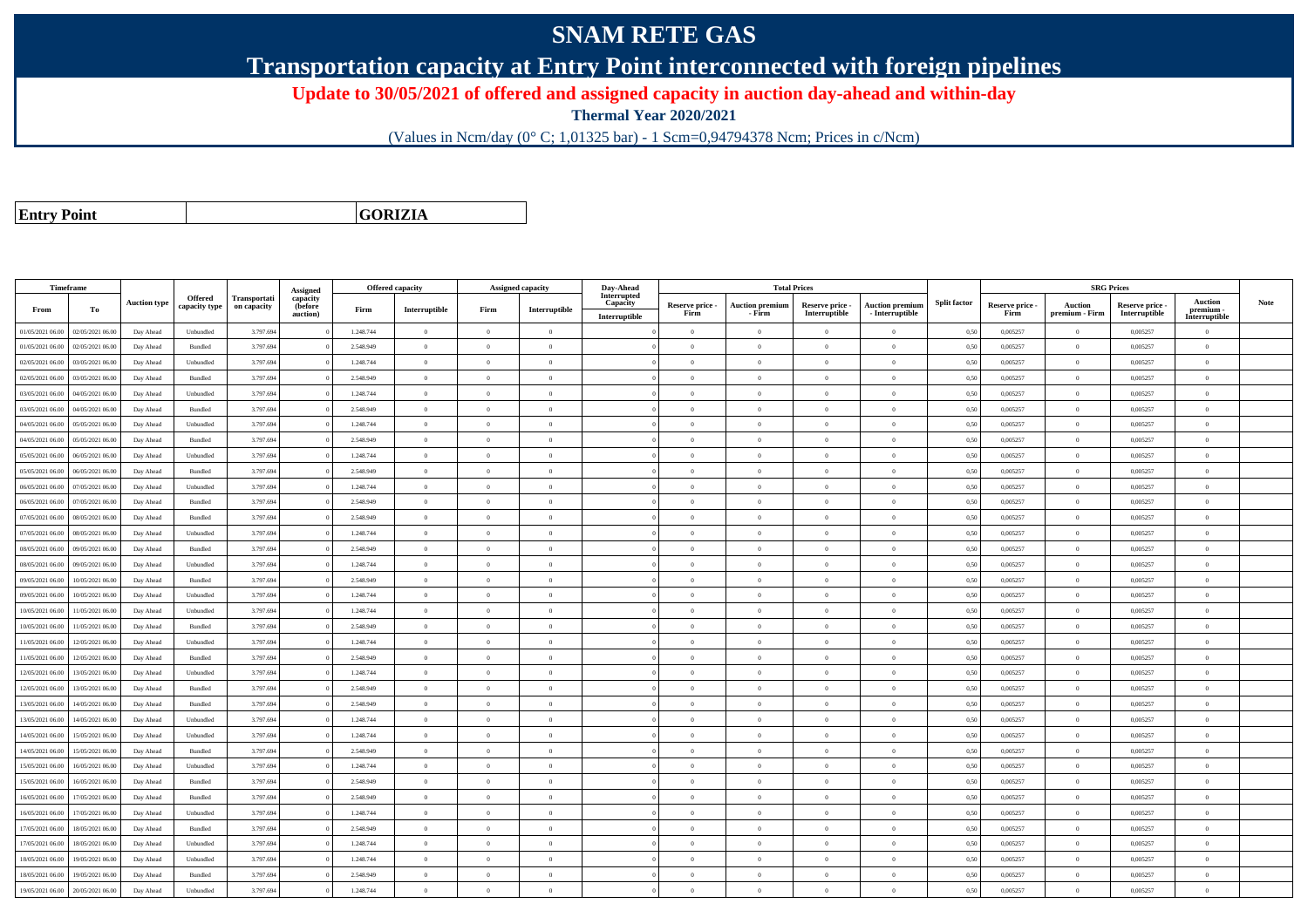## **SNAM RETE GAS**

**Transportation capacity at Entry Point interconnected with foreign pipelines**

**Update to 30/05/2021 of offered and assigned capacity in auction day-ahead and within-day**

**Thermal Year 2020/2021**

(Values in Ncm/day (0° C; 1,01325 bar) - 1 Scm=0,94794378 Ncm; Prices in c/Ncm)

**Entry Point**

**GORIZIA**

|                  | <b>Timeframe</b> |                     |                |              |                      |           | Offered capacity |                | <b>Assigned capacity</b> | Day-Ahead                 |                         | <b>Total Prices</b>              |                                  |                                           |                     |                         | <b>SRG Prices</b>                |                                  |                            |             |
|------------------|------------------|---------------------|----------------|--------------|----------------------|-----------|------------------|----------------|--------------------------|---------------------------|-------------------------|----------------------------------|----------------------------------|-------------------------------------------|---------------------|-------------------------|----------------------------------|----------------------------------|----------------------------|-------------|
|                  |                  | <b>Auction type</b> | Offered        | Transportati | Assigned<br>capacity |           |                  |                |                          | Interrupted               |                         |                                  |                                  |                                           | <b>Split factor</b> |                         |                                  |                                  | <b>Auction</b>             | <b>Note</b> |
| From             | То               |                     | capacity type  | on capacity  | (before<br>auction)  | Firm      | Interruptible    | Firm           | Interruptible            | Capacity<br>Interruptible | Reserve price -<br>Firm | <b>Auction premium</b><br>- Firm | Reserve price -<br>Interruptible | <b>Auction premiun</b><br>- Interruptible |                     | Reserve price -<br>Firm | <b>Auction</b><br>premium - Firm | Reserve price -<br>Interruptible | premium -<br>Interruptible |             |
| 01/05/2021 06:00 | 02/05/2021 06:00 | Day Ahead           | Unbundled      | 3.797.694    |                      | 1.248.744 | $\mathbf{0}$     | $\overline{0}$ | $\overline{0}$           |                           | $\overline{0}$          | $\Omega$                         | $\Omega$                         | $\theta$                                  | 0,50                | 0,005257                | $\Omega$                         | 0,005257                         | $\theta$                   |             |
| 01/05/2021 06:00 | 02/05/2021 06.00 | Day Ahead           | Bundled        | 3.797.694    |                      | 2.548.949 | $\overline{0}$   | $\overline{0}$ | $\overline{0}$           |                           | $\theta$                | $\Omega$                         | $\overline{0}$                   | $\mathbf{0}$                              | 0,50                | 0,005257                | $\overline{0}$                   | 0,005257                         | $\overline{0}$             |             |
| 02/05/2021 06:00 | 03/05/2021 06:00 | Day Ahead           | Unbundled      | 3.797.694    |                      | 1.248.744 | $\overline{0}$   | $\Omega$       | $\theta$                 |                           | $\Omega$                | $\sqrt{2}$                       | $\theta$                         | $\Omega$                                  | 0,50                | 0.005257                | $\theta$                         | 0,005257                         | $\theta$                   |             |
| 02/05/2021 06:00 | 03/05/2021 06:00 | Day Ahead           | Bundled        | 3.797.694    |                      | 2.548.949 | $\overline{0}$   | $\overline{0}$ | $\overline{0}$           |                           | $\Omega$                | $\Omega$                         | $\overline{0}$                   | $\theta$                                  | 0,50                | 0,005257                | $\overline{0}$                   | 0,005257                         | $\theta$                   |             |
| 03/05/2021 06:00 | 04/05/2021 06:00 | Day Ahead           | Unbundled      | 3.797.694    |                      | 1.248.744 | $\overline{0}$   | $\Omega$       | $\overline{0}$           |                           | $\overline{0}$          | $\theta$                         | $\overline{0}$                   | $\theta$                                  | 0,50                | 0,005257                | $\overline{0}$                   | 0,005257                         | $\overline{0}$             |             |
| 03/05/2021 06:00 | 04/05/2021 06:00 | Day Ahead           | Bundled        | 3.797.694    |                      | 2.548.949 | $\overline{0}$   | $\theta$       | $\overline{0}$           |                           | $\overline{0}$          | $\Omega$                         | $\overline{0}$                   | $\overline{0}$                            | 0.50                | 0.005257                | $\overline{0}$                   | 0.005257                         | $\theta$                   |             |
| 04/05/2021 06:00 | 05/05/2021 06.00 | Day Ahead           | Unbundled      | 3.797.694    |                      | 1.248.744 | $\overline{0}$   | $\bf{0}$       | $\overline{0}$           |                           | $\overline{0}$          | $\Omega$                         | $\overline{0}$                   | $\,0\,$                                   | 0,50                | 0,005257                | $\bf{0}$                         | 0,005257                         | $\overline{0}$             |             |
| 04/05/2021 06:00 | 05/05/2021 06:00 | Day Ahead           | Bundled        | 3.797.694    |                      | 2.548.949 | $\overline{0}$   | $\overline{0}$ | $\overline{0}$           |                           | $\theta$                | $\theta$                         | $\overline{0}$                   | $\mathbf{0}$                              | 0,50                | 0,005257                | $\overline{0}$                   | 0,005257                         | $\overline{0}$             |             |
| 05/05/2021 06:00 | 06/05/2021 06:00 | Day Ahead           | Unbundled      | 3.797.694    |                      | 1.248.744 | $\Omega$         | $\Omega$       | $\Omega$                 |                           | $\overline{0}$          | $\Omega$                         | $\overline{0}$                   | $\Omega$                                  | 0,50                | 0,005257                | $\overline{0}$                   | 0,005257                         | $\theta$                   |             |
| 05/05/2021 06:00 | 06/05/2021 06:00 | Day Ahead           | Bundled        | 3.797.69     |                      | 2.548.949 | $\Omega$         | $\Omega$       | $\Omega$                 |                           | $\Omega$                |                                  | $\Omega$                         | $\theta$                                  | 0,50                | 0,005257                | $\mathbf{0}$                     | 0,005257                         | $\theta$                   |             |
| 06/05/2021 06:00 | 07/05/2021 06:00 | Day Ahead           | Unbundled      | 3.797.694    |                      | 1.248.744 | $\overline{0}$   | $\overline{0}$ | $\overline{0}$           |                           | $\Omega$                | $\theta$                         | $\theta$                         | $\theta$                                  | 0,50                | 0,005257                | $\overline{0}$                   | 0,005257                         | $\theta$                   |             |
| 06/05/2021 06:00 | 07/05/2021 06.00 | Day Ahead           | Bundled        | 3.797.694    |                      | 2.548.949 | $\overline{0}$   | $\overline{0}$ | $\overline{0}$           |                           | $\overline{0}$          | $\theta$                         | $\overline{0}$                   | $\mathbf{0}$                              | 0,50                | 0,005257                | $\overline{0}$                   | 0,005257                         | $\overline{0}$             |             |
| 07/05/2021 06:00 | 08/05/2021 06:00 | Day Ahead           | Bundled        | 3.797.694    |                      | 2.548.949 | $\overline{0}$   | $\theta$       | $\overline{0}$           |                           | $\Omega$                |                                  | $\theta$                         | $\theta$                                  | 0.50                | 0.005257                | $\Omega$                         | 0.005257                         | $\theta$                   |             |
| 07/05/2021 06:00 | 08/05/2021 06:00 | Day Ahead           | Unbundled      | 3.797.694    |                      | 1.248.744 | $\overline{0}$   | $\overline{0}$ | $\overline{0}$           |                           | $\overline{0}$          | $\theta$                         | $\overline{0}$                   | $\overline{0}$                            | 0.50                | 0.005257                | $\overline{0}$                   | 0.005257                         | $\overline{0}$             |             |
| 08/05/2021 06:00 | 09/05/2021 06:00 | Day Ahead           | Bundled        | 3.797.694    |                      | 2.548.949 | $\overline{0}$   | $\overline{0}$ | $\overline{0}$           |                           | $\theta$                | $\Omega$                         | $\overline{0}$                   | $\mathbf{0}$                              | 0,50                | 0,005257                | $\overline{0}$                   | 0,005257                         | $\overline{0}$             |             |
| 08/05/2021 06:00 | 09/05/2021 06:00 | Day Ahead           | Unbundled      | 3.797.694    |                      | 1.248.744 | $\Omega$         | $\Omega$       | $\theta$                 |                           | $\Omega$                | $\sqrt{2}$                       | $\Omega$                         | $\Omega$                                  | 0,50                | 0.005257                | $\mathbf{0}$                     | 0,005257                         | $\theta$                   |             |
| 09/05/2021 06:00 | 10/05/2021 06:00 | Day Ahead           | Bundled        | 3.797.694    |                      | 2.548.949 | $\overline{0}$   | $\theta$       | $\overline{0}$           |                           | $\Omega$                | $\Omega$                         | $\Omega$                         | $\theta$                                  | 0,50                | 0,005257                | $\overline{0}$                   | 0,005257                         | $\theta$                   |             |
| 09/05/2021 06:00 | 10/05/2021 06:00 | Day Ahead           | Unbundled      | 3.797.694    |                      | 1.248.744 | $\overline{0}$   | $\Omega$       | $\overline{0}$           |                           | $\overline{0}$          | $\theta$                         | $\overline{0}$                   | $\mathbf{0}$                              | 0,50                | 0,005257                | $\overline{0}$                   | 0,005257                         | $\overline{0}$             |             |
| 10/05/2021 06:00 | 11/05/2021 06.00 | Day Ahead           | Unbundled      | 3.797.694    |                      | 1.248.744 | $\overline{0}$   | $\theta$       | $\overline{0}$           |                           | $\overline{0}$          | $\Omega$                         | $\overline{0}$                   | $\overline{0}$                            | 0,50                | 0.005257                | $\overline{0}$                   | 0.005257                         | $\theta$                   |             |
| 10/05/2021 06:00 | 1/05/2021 06.0   | Day Ahead           | Bundled        | 3.797.69     |                      | 2.548.949 | $\Omega$         | $\overline{0}$ | $\overline{0}$           |                           | $\theta$                | $\Omega$                         | $\overline{0}$                   | $\Omega$                                  | 0,50                | 0,005257                | $\mathbf{0}$                     | 0,005257                         | $\theta$                   |             |
| 11/05/2021 06:00 | 12/05/2021 06:00 | Day Ahead           | Unbundled      | 3.797.694    |                      | 1.248.744 | $\overline{0}$   | $\overline{0}$ | $\overline{0}$           |                           | $\theta$                | $\theta$                         | $\overline{0}$                   | $\mathbf{0}$                              | 0.50                | 0.005257                | $\mathbf{0}$                     | 0.005257                         | $\overline{0}$             |             |
| 11/05/2021 06:00 | 12/05/2021 06:00 | Day Ahead           | Bundled        | 3.797.694    |                      | 2.548.949 | $\overline{0}$   | $\Omega$       | $\Omega$                 |                           | $\overline{0}$          | $\Omega$                         | $\overline{0}$                   | $\Omega$                                  | 0,50                | 0,005257                | $\overline{0}$                   | 0,005257                         | $\theta$                   |             |
| 12/05/2021 06:00 | 13/05/2021 06.0  | Day Ahead           | Unbundled      | 3.797.69     |                      | 1.248.744 | $\overline{0}$   | $\overline{0}$ | $\overline{0}$           |                           | $\overline{0}$          | $\Omega$                         | $\overline{0}$                   | $\mathbf{0}$                              | 0,50                | 0,005257                | $\overline{0}$                   | 0,005257                         | $\overline{0}$             |             |
| 12/05/2021 06:00 | 13/05/2021 06:00 | Day Ahead           | <b>Bundled</b> | 3.797.694    |                      | 2.548.949 | $\overline{0}$   | $\theta$       | $\overline{0}$           |                           | $\Omega$                | $\Omega$                         | $\Omega$                         | $\Omega$                                  | 0,50                | 0,005257                | $\overline{0}$                   | 0,005257                         | $\theta$                   |             |
| 13/05/2021 06:00 | 14/05/2021 06:00 | Day Ahead           | Bundled        | 3.797.694    |                      | 2.548.949 | $\overline{0}$   | $\overline{0}$ | $\overline{0}$           |                           | $\overline{0}$          | $\theta$                         | $\overline{0}$                   | $\overline{0}$                            | 0,50                | 0,005257                | $\overline{0}$                   | 0,005257                         | $\overline{0}$             |             |
| 13/05/2021 06:00 | 14/05/2021 06.0  | Day Ahead           | Unbundled      | 3.797.694    |                      | 1.248.744 | $\theta$         | $\Omega$       | $\Omega$                 |                           | $\Omega$                |                                  | $\Omega$                         | $\Omega$                                  | 0,50                | 0,005257                | $\mathbf{0}$                     | 0,005257                         | $\theta$                   |             |
| 14/05/2021 06:00 | 15/05/2021 06:00 | Day Ahead           | Unbundled      | 3.797.694    |                      | 1.248.744 | $\overline{0}$   | $\theta$       | $\overline{0}$           |                           | $\Omega$                | $\theta$                         | $\theta$                         | $\overline{0}$                            | 0,50                | 0,005257                | $\overline{0}$                   | 0.005257                         | $\theta$                   |             |
| 14/05/2021 06:00 | 15/05/2021 06:00 | Day Ahead           | Bundled        | 3.797.694    |                      | 2.548.949 | $\overline{0}$   | $\overline{0}$ | $\overline{0}$           |                           | $\overline{0}$          | $\theta$                         | $\overline{0}$                   | $\mathbf{0}$                              | 0,50                | 0,005257                | $\overline{0}$                   | 0,005257                         | $\overline{0}$             |             |
| 15/05/2021 06:00 | 16/05/2021 06:00 | Day Ahead           | Unbundled      | 3.797.694    |                      | 1.248.744 | $\Omega$         | $\Omega$       | $\Omega$                 |                           | $\Omega$                |                                  | $\Omega$                         | $\theta$                                  | 0,50                | 0,005257                | $\mathbf{0}$                     | 0,005257                         | $\theta$                   |             |
| 15/05/2021 06:00 | 16/05/2021 06:00 | Day Ahead           | Bundled        | 3.797.694    |                      | 2.548.949 | $\overline{0}$   | $\theta$       | $\theta$                 |                           | $\overline{0}$          | $\Omega$                         | $\overline{0}$                   | $\theta$                                  | 0,50                | 0,005257                | $\overline{0}$                   | 0,005257                         | $\overline{0}$             |             |
| 16/05/2021 06:00 | 17/05/2021 06:00 | Day Ahead           | Bundled        | 3.797.694    |                      | 2.548.949 | $\overline{0}$   | $\Omega$       | $\overline{0}$           |                           | $\overline{0}$          | $\theta$                         | $\overline{0}$                   | $\mathbf{0}$                              | 0,50                | 0,005257                | $\mathbf{0}$                     | 0,005257                         | $\overline{0}$             |             |
| 16/05/2021 06:00 | 17/05/2021 06:00 | Day Ahead           | Unbundled      | 3.797.694    |                      | 1.248.744 | $\overline{0}$   | $\overline{0}$ | $\overline{0}$           |                           | $\overline{0}$          | $\theta$                         | $\theta$                         | $\theta$                                  | 0.50                | 0.005257                | $\overline{0}$                   | 0.005257                         | $\theta$                   |             |
| 17/05/2021 06:00 | 18/05/2021 06.0  | Day Ahead           | Bundled        | 3.797.69     |                      | 2.548.949 | $\Omega$         | $\overline{0}$ | $\overline{0}$           |                           | $\theta$                | $\Omega$                         | $\overline{0}$                   | $\mathbf{0}$                              | 0,50                | 0,005257                | $\mathbf{0}$                     | 0,005257                         | $\overline{0}$             |             |
| 17/05/2021 06:00 | 18/05/2021 06:00 | Day Ahead           | Unbundled      | 3.797.694    |                      | 1.248.744 | $\overline{0}$   | $\theta$       | $\overline{0}$           |                           | $\Omega$                | $\theta$                         | $\Omega$                         | $\theta$                                  | 0,50                | 0.005257                | $\theta$                         | 0.005257                         | $\theta$                   |             |
| 18/05/2021 06:00 | 19/05/2021 06:00 | Day Ahead           | Unbundled      | 3.797.694    |                      | 1.248.744 | $\mathbf{0}$     | $\Omega$       | $\theta$                 |                           | $\theta$                | $\Omega$                         | $\overline{0}$                   | $\Omega$                                  | 0,50                | 0,005257                | $\overline{0}$                   | 0,005257                         | $\theta$                   |             |
| 18/05/2021 06:00 | 19/05/2021 06.0  | Day Ahead           | Bundled        | 3.797.69     |                      | 2.548.949 | $\overline{0}$   | $\overline{0}$ | $\overline{0}$           |                           | $\theta$                |                                  | $\overline{0}$                   | $\theta$                                  | 0,50                | 0,005257                | $\overline{0}$                   | 0,005257                         | $\overline{0}$             |             |
| 19/05/2021 06:00 | 20/05/2021 06:00 | Day Ahead           | Unbundled      | 3.797.694    |                      | 1.248.744 | $\overline{0}$   | $\Omega$       | $\theta$                 |                           | $\Omega$                |                                  | $\Omega$                         | $\theta$                                  | 0,50                | 0,005257                | $\overline{0}$                   | 0,005257                         | $\theta$                   |             |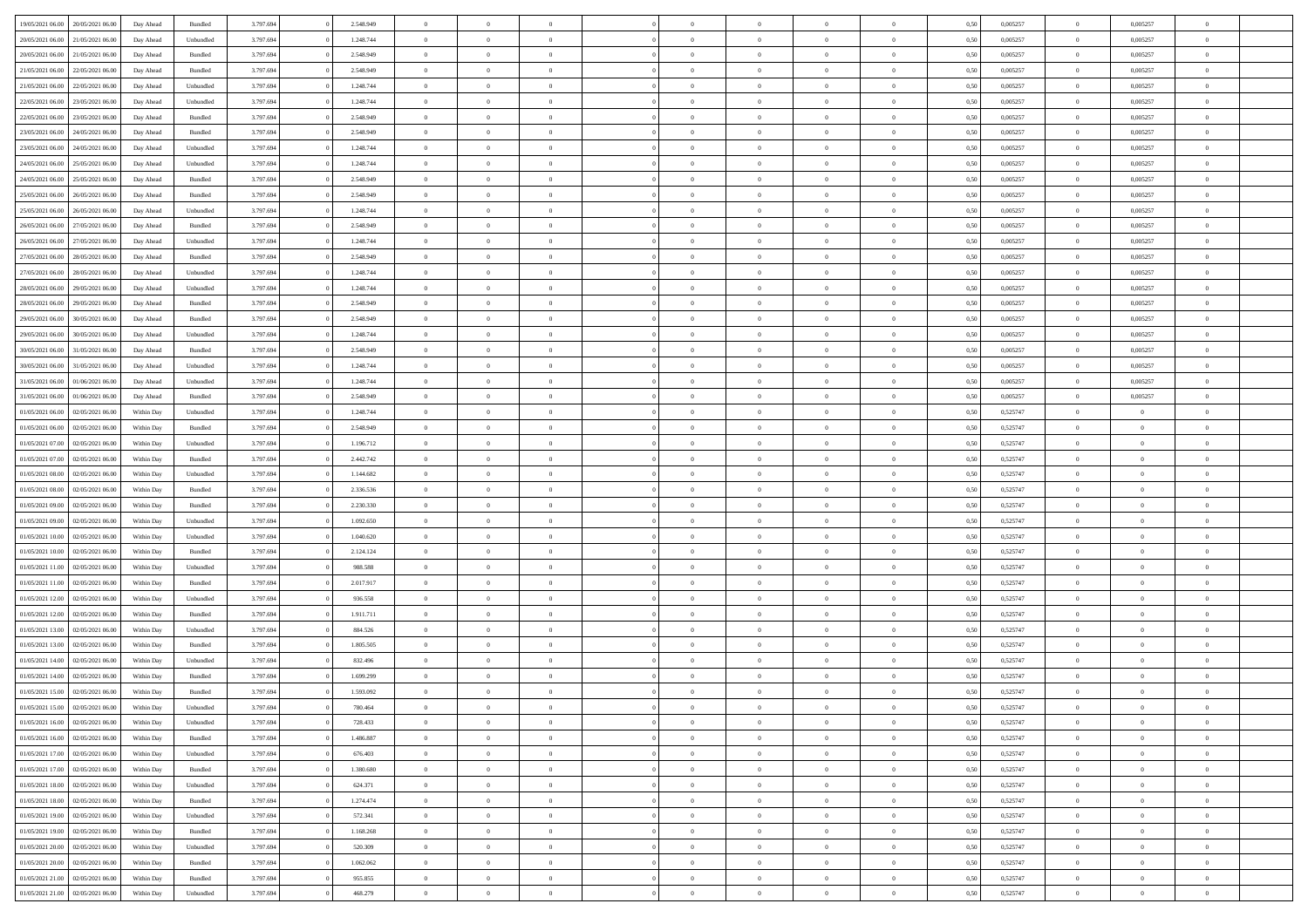| 19/05/2021 06:00 | 20/05/2021 06:00 | Day Ahead  | Bundled            | 3.797.694 | 2.548.949 | $\overline{0}$ | $\Omega$       |                |                | $\theta$       | $\Omega$       | $\Omega$     | 0,50 | 0,005257 | $\mathbf{0}$   | 0,005257       | $\Omega$       |  |
|------------------|------------------|------------|--------------------|-----------|-----------|----------------|----------------|----------------|----------------|----------------|----------------|--------------|------|----------|----------------|----------------|----------------|--|
| 20/05/2021 06:00 | 21/05/2021 06:00 | Day Ahead  | Unbundled          | 3.797.694 | 1.248.744 | $\overline{0}$ | $\overline{0}$ | $\overline{0}$ |                | $\overline{0}$ | $\overline{0}$ | $\theta$     | 0,50 | 0,005257 | $\bf{0}$       | 0,005257       | $\bf{0}$       |  |
| 20/05/2021 06:00 | 21/05/2021 06:00 | Day Ahead  | Bundled            | 3.797.694 | 2.548.949 | $\overline{0}$ | $\bf{0}$       | $\overline{0}$ | $\overline{0}$ | $\,$ 0 $\,$    | $\overline{0}$ | $\bf{0}$     | 0,50 | 0,005257 | $\bf{0}$       | 0,005257       | $\bf{0}$       |  |
| 21/05/2021 06:00 | 22/05/2021 06:00 | Day Ahead  | Bundled            | 3.797.694 | 2.548.949 | $\overline{0}$ | $\overline{0}$ | $\overline{0}$ | $\Omega$       | $\overline{0}$ | $\overline{0}$ | $\bf{0}$     | 0.50 | 0,005257 | $\mathbf{0}$   | 0.005257       | $\overline{0}$ |  |
|                  |                  |            |                    |           |           |                |                |                |                |                |                |              |      |          |                |                |                |  |
| 21/05/2021 06:00 | 22/05/2021 06:00 | Day Ahead  | Unbundled          | 3.797.694 | 1.248.744 | $\overline{0}$ | $\overline{0}$ | $\overline{0}$ |                | $\overline{0}$ | $\overline{0}$ | $\theta$     | 0,50 | 0,005257 | $\bf{0}$       | 0,005257       | $\overline{0}$ |  |
| 22/05/2021 06:00 | 23/05/2021 06:00 | Day Ahead  | Unbundled          | 3.797.694 | 1.248.744 | $\overline{0}$ | $\bf{0}$       | $\overline{0}$ | $\overline{0}$ | $\bf{0}$       | $\overline{0}$ | $\bf{0}$     | 0,50 | 0,005257 | $\bf{0}$       | 0,005257       | $\bf{0}$       |  |
| 22/05/2021 06:00 | 23/05/2021 06:00 | Day Ahead  | Bundled            | 3.797.694 | 2.548.949 | $\overline{0}$ | $\overline{0}$ | $\overline{0}$ | $^{\circ}$     | $\overline{0}$ | $\overline{0}$ | $\bf{0}$     | 0,50 | 0,005257 | $\mathbf{0}$   | 0,005257       | $\overline{0}$ |  |
| 23/05/2021 06:00 | 24/05/2021 06.00 | Day Ahead  | Bundled            | 3.797.694 | 2.548.949 | $\overline{0}$ | $\overline{0}$ | $\overline{0}$ |                | $\overline{0}$ | $\overline{0}$ | $\theta$     | 0,50 | 0,005257 | $\bf{0}$       | 0,005257       | $\overline{0}$ |  |
| 23/05/2021 06:00 | 24/05/2021 06:00 | Day Ahead  | Unbundled          | 3.797.694 | 1.248.744 | $\overline{0}$ | $\overline{0}$ | $\overline{0}$ | $\overline{0}$ | $\,$ 0 $\,$    | $\overline{0}$ | $\bf{0}$     | 0,50 | 0,005257 | $\bf{0}$       | 0,005257       | $\bf{0}$       |  |
| 24/05/2021 06:00 | 25/05/2021 06:00 | Day Ahead  | Unbundled          | 3.797.694 | 1.248.744 | $\overline{0}$ | $\overline{0}$ | $\overline{0}$ | $\Omega$       | $\overline{0}$ | $\overline{0}$ | $\bf{0}$     | 0,50 | 0,005257 | $\mathbf{0}$   | 0,005257       | $\overline{0}$ |  |
|                  |                  |            |                    |           |           |                |                |                |                |                |                |              |      |          |                |                |                |  |
| 24/05/2021 06:00 | 25/05/2021 06:00 | Day Ahead  | Bundled            | 3.797.694 | 2.548.949 | $\overline{0}$ | $\overline{0}$ | $\overline{0}$ | $\overline{0}$ | $\overline{0}$ | $\overline{0}$ | $\theta$     | 0,50 | 0,005257 | $\bf{0}$       | 0,005257       | $\overline{0}$ |  |
| 25/05/2021 06:00 | 26/05/2021 06:00 | Day Ahead  | Bundled            | 3.797.694 | 2.548.949 | $\overline{0}$ | $\bf{0}$       | $\overline{0}$ | $\overline{0}$ | $\bf{0}$       | $\overline{0}$ | $\bf{0}$     | 0,50 | 0,005257 | $\bf{0}$       | 0,005257       | $\bf{0}$       |  |
| 25/05/2021 06:00 | 26/05/2021 06:00 | Day Ahead  | Unbundled          | 3.797.694 | 1.248.744 | $\overline{0}$ | $\overline{0}$ | $\overline{0}$ | $^{\circ}$     | $\overline{0}$ | $\overline{0}$ | $\bf{0}$     | 0.50 | 0.005257 | $\mathbf{0}$   | 0.005257       | $\overline{0}$ |  |
| 26/05/2021 06:00 | 27/05/2021 06:00 | Day Ahead  | Bundled            | 3.797.694 | 2.548.949 | $\overline{0}$ | $\overline{0}$ | $\overline{0}$ |                | $\overline{0}$ | $\overline{0}$ | $\theta$     | 0,50 | 0,005257 | $\bf{0}$       | 0,005257       | $\overline{0}$ |  |
| 26/05/2021 06:00 | 27/05/2021 06:00 | Day Ahead  | Unbundled          | 3.797.694 | 1.248.744 | $\overline{0}$ | $\bf{0}$       | $\overline{0}$ | $\overline{0}$ | $\bf{0}$       | $\overline{0}$ | $\bf{0}$     | 0,50 | 0,005257 | $\bf{0}$       | 0,005257       | $\bf{0}$       |  |
| 27/05/2021 06:00 | 28/05/2021 06:00 | Day Ahead  | Bundled            | 3.797.694 | 2.548.949 | $\overline{0}$ | $\overline{0}$ | $\overline{0}$ | $\Omega$       | $\overline{0}$ | $\overline{0}$ | $\bf{0}$     | 0,50 | 0,005257 | $\overline{0}$ | 0,005257       | $\overline{0}$ |  |
|                  |                  |            |                    |           |           |                |                |                |                |                |                |              |      |          |                |                |                |  |
| 27/05/2021 06:00 | 28/05/2021 06:00 | Day Ahead  | Unbundled          | 3.797.694 | 1.248.744 | $\overline{0}$ | $\overline{0}$ | $\overline{0}$ |                | $\overline{0}$ | $\overline{0}$ | $\theta$     | 0,50 | 0,005257 | $\bf{0}$       | 0,005257       | $\overline{0}$ |  |
| 28/05/2021 06:00 | 29/05/2021 06:00 | Day Ahead  | Unbundled          | 3.797.694 | 1.248.744 | $\overline{0}$ | $\overline{0}$ | $\overline{0}$ | $\overline{0}$ | $\bf{0}$       | $\overline{0}$ | $\bf{0}$     | 0,50 | 0,005257 | $\bf{0}$       | 0,005257       | $\bf{0}$       |  |
| 28/05/2021 06:00 | 29/05/2021 06:00 | Day Ahead  | Bundled            | 3.797.694 | 2.548.949 | $\overline{0}$ | $\overline{0}$ | $\overline{0}$ | $\Omega$       | $\overline{0}$ | $\overline{0}$ | $\bf{0}$     | 0.50 | 0,005257 | $\mathbf{0}$   | 0,005257       | $\overline{0}$ |  |
| 29/05/2021 06:00 | 30/05/2021 06:00 | Day Ahead  | Bundled            | 3.797.694 | 2.548.949 | $\overline{0}$ | $\overline{0}$ | $\overline{0}$ |                | $\overline{0}$ | $\overline{0}$ | $\theta$     | 0,50 | 0,005257 | $\bf{0}$       | 0,005257       | $\overline{0}$ |  |
| 29/05/2021 06:00 | 30/05/2021 06.00 | Day Ahead  | Unbundled          | 3.797.694 | 1.248.744 | $\overline{0}$ | $\overline{0}$ | $\overline{0}$ | $\overline{0}$ | $\overline{0}$ | $\overline{0}$ | $\bf{0}$     | 0,50 | 0,005257 | $\bf{0}$       | 0,005257       | $\bf{0}$       |  |
| 30/05/2021 06:00 | 31/05/2021 06:00 | Day Ahead  | Bundled            | 3.797.694 | 2.548.949 | $\overline{0}$ | $\overline{0}$ | $\overline{0}$ | $^{\circ}$     | $\overline{0}$ | $\overline{0}$ | $\bf{0}$     | 0.50 | 0,005257 | $\mathbf{0}$   | 0.005257       | $\overline{0}$ |  |
|                  |                  |            |                    |           |           | $\overline{0}$ |                |                |                |                |                |              |      |          |                |                |                |  |
| 30/05/2021 06:00 | 31/05/2021 06:00 | Day Ahead  | Unbundled          | 3.797.694 | 1.248.744 |                | $\overline{0}$ | $\overline{0}$ |                | $\overline{0}$ | $\overline{0}$ | $\theta$     | 0,50 | 0,005257 | $\bf{0}$       | 0,005257       | $\overline{0}$ |  |
| 31/05/2021 06:00 | 01/06/2021 06:00 | Day Ahead  | Unbundled          | 3.797.694 | 1.248.744 | $\overline{0}$ | $\bf{0}$       | $\overline{0}$ | $\overline{0}$ | $\bf{0}$       | $\overline{0}$ | $\bf{0}$     | 0,50 | 0,005257 | $\bf{0}$       | 0,005257       | $\bf{0}$       |  |
| 31/05/2021 06:00 | 01/06/2021 06:00 | Day Ahead  | Bundled            | 3.797.694 | 2.548.949 | $\overline{0}$ | $\overline{0}$ | $\overline{0}$ | $^{\circ}$     | $\overline{0}$ | $\overline{0}$ | $\bf{0}$     | 0,50 | 0,005257 | $\mathbf{0}$   | 0,005257       | $\overline{0}$ |  |
| 01/05/2021 06:00 | 02/05/2021 06:00 | Within Day | Unbundled          | 3.797.694 | 1.248.744 | $\overline{0}$ | $\overline{0}$ | $\overline{0}$ |                | $\overline{0}$ | $\overline{0}$ | $\theta$     | 0,50 | 0,525747 | $\bf{0}$       | $\overline{0}$ | $\bf{0}$       |  |
| 01/05/2021 06:00 | 02/05/2021 06:00 | Within Day | Bundled            | 3.797.694 | 2.548.949 | $\overline{0}$ | $\overline{0}$ | $\overline{0}$ | $\overline{0}$ | $\bf{0}$       | $\overline{0}$ | $\bf{0}$     | 0,50 | 0,525747 | $\bf{0}$       | $\overline{0}$ | $\bf{0}$       |  |
| 01/05/2021 07:00 | 02/05/2021 06:00 | Within Dav | Unbundled          | 3.797.694 | 1.196.712 | $\overline{0}$ | $\overline{0}$ | $\overline{0}$ | $\Omega$       | $\overline{0}$ | $\overline{0}$ | $\bf{0}$     | 0.50 | 0,525747 | $\mathbf{0}$   | $\overline{0}$ | $\overline{0}$ |  |
| 01/05/2021 07:00 | 02/05/2021 06:00 | Within Day | Bundled            | 3.797.694 | 2.442.742 | $\overline{0}$ | $\overline{0}$ | $\overline{0}$ | $\overline{0}$ | $\overline{0}$ | $\overline{0}$ | $\theta$     | 0,50 | 0,525747 | $\bf{0}$       | $\overline{0}$ | $\bf{0}$       |  |
|                  |                  |            |                    |           |           |                |                |                |                |                |                |              |      |          |                |                |                |  |
| 01/05/2021 08:00 | 02/05/2021 06:00 | Within Day | Unbundled          | 3.797.694 | 1.144.682 | $\overline{0}$ | $\overline{0}$ | $\overline{0}$ | $\overline{0}$ | $\bf{0}$       | $\overline{0}$ | $\bf{0}$     | 0,50 | 0,525747 | $\bf{0}$       | $\bf{0}$       | $\bf{0}$       |  |
| 01/05/2021 08:00 | 02/05/2021 06:00 | Within Day | Bundled            | 3.797.694 | 2.336.536 | $\overline{0}$ | $\Omega$       | $\Omega$       | $\Omega$       | $\theta$       | $\overline{0}$ | $\theta$     | 0.50 | 0,525747 | $\bf{0}$       | $\Omega$       | $\Omega$       |  |
| 01/05/2021 09:00 | 02/05/2021 06:00 | Within Day | Bundled            | 3.797.694 | 2.230.330 | $\overline{0}$ | $\overline{0}$ | $\overline{0}$ |                | $\overline{0}$ | $\overline{0}$ | $\theta$     | 0,50 | 0,525747 | $\bf{0}$       | $\overline{0}$ | $\overline{0}$ |  |
| 01/05/2021 09:00 | 02/05/2021 06:00 | Within Day | Unbundled          | 3.797.694 | 1.092.650 | $\overline{0}$ | $\bf{0}$       | $\overline{0}$ | $\overline{0}$ | $\bf{0}$       | $\overline{0}$ | $\bf{0}$     | 0,50 | 0,525747 | $\bf{0}$       | $\bf{0}$       | $\bf{0}$       |  |
| 01/05/2021 10:00 | 02/05/2021 06:00 | Within Day | Unbundled          | 3.797.694 | 1.040.620 | $\overline{0}$ | $\Omega$       | $\Omega$       | $\Omega$       | $\theta$       | $\overline{0}$ | $\mathbf{0}$ | 0.50 | 0,525747 | $\mathbf{0}$   | $\Omega$       | $\theta$       |  |
| 01/05/2021 10:00 | 02/05/2021 06:00 | Within Day | Bundled            | 3.797.694 | 2.124.124 | $\overline{0}$ | $\overline{0}$ | $\overline{0}$ | $\overline{0}$ | $\overline{0}$ | $\overline{0}$ | $\theta$     | 0,50 | 0,525747 | $\bf{0}$       | $\overline{0}$ | $\bf{0}$       |  |
|                  |                  |            |                    |           |           |                |                |                |                |                |                |              |      |          |                |                |                |  |
| 01/05/2021 11:00 | 02/05/2021 06:00 | Within Day | Unbundled          | 3.797.694 | 988.588   | $\overline{0}$ | $\overline{0}$ | $\overline{0}$ | $\overline{0}$ | $\bf{0}$       | $\overline{0}$ | $\bf{0}$     | 0,50 | 0,525747 | $\bf{0}$       | $\overline{0}$ | $\bf{0}$       |  |
| 01/05/2021 11:00 | 02/05/2021 06:00 | Within Day | Bundled            | 3.797.694 | 2.017.917 | $\overline{0}$ | $\Omega$       | $\Omega$       | $\Omega$       | $\theta$       | $\overline{0}$ | $\mathbf{0}$ | 0.50 | 0,525747 | $\mathbf{0}$   | $\Omega$       | $\theta$       |  |
| 01/05/2021 12:00 | 02/05/2021 06:00 | Within Day | Unbundled          | 3.797.694 | 936.558   | $\overline{0}$ | $\overline{0}$ | $\overline{0}$ | $\overline{0}$ | $\overline{0}$ | $\overline{0}$ | $\theta$     | 0,50 | 0,525747 | $\bf{0}$       | $\overline{0}$ | $\bf{0}$       |  |
| 01/05/2021 12:00 | 02/05/2021 06:00 | Within Day | Bundled            | 3.797.694 | 1.911.711 | $\overline{0}$ | $\bf{0}$       | $\overline{0}$ | $\overline{0}$ | $\overline{0}$ | $\overline{0}$ | $\bf{0}$     | 0,50 | 0,525747 | $\bf{0}$       | $\bf{0}$       | $\bf{0}$       |  |
| 01/05/2021 13:00 | 02/05/2021 06:00 | Within Day | Unbundled          | 3.797.694 | 884.526   | $\overline{0}$ | $\Omega$       | $\Omega$       | $\Omega$       | $\Omega$       | $\overline{0}$ | $\theta$     | 0.50 | 0,525747 | $\bf{0}$       | $\Omega$       | $\Omega$       |  |
| 01/05/2021 13:00 | 02/05/2021 06:00 | Within Day | Bundled            | 3.797.694 | 1.805.505 | $\overline{0}$ | $\overline{0}$ | $\overline{0}$ | $\overline{0}$ | $\overline{0}$ | $\overline{0}$ | $\theta$     | 0,50 | 0,525747 | $\,0\,$        | $\overline{0}$ | $\overline{0}$ |  |
| 01/05/2021 14:00 | 02/05/2021 06:00 | Within Day | Unbundled          | 3.797.694 | 832.496   | $\overline{0}$ | $\bf{0}$       | $\overline{0}$ | $\overline{0}$ | $\bf{0}$       | $\overline{0}$ | $\bf{0}$     | 0,50 | 0,525747 | $\bf{0}$       | $\bf{0}$       | $\bf{0}$       |  |
|                  |                  |            |                    |           |           | $\Omega$       |                |                |                |                |                |              |      |          |                |                |                |  |
| 01/05/2021 14:00 | 02/05/2021 06:00 | Within Day | Bundled            | 3.797.694 | 1.699.299 |                | $\Omega$       | $\Omega$       | $\sqrt{2}$     | $\Omega$       | $\overline{0}$ | $\theta$     | 0.50 | 0,525747 | $\overline{0}$ | $\Omega$       | $\Omega$       |  |
| 01/05/2021 15:00 | 02/05/2021 06:00 | Within Day | Bundled            | 3.797.694 | 1.593.092 | $\overline{0}$ | $\bf{0}$       | $\overline{0}$ | $\overline{0}$ | $\bf{0}$       | $\overline{0}$ | $\bf{0}$     | 0,50 | 0,525747 | $\bf{0}$       | $\bf{0}$       | $\bf{0}$       |  |
| 01/05/2021 15:00 | 02/05/2021 06:00 | Within Day | Unbundled          | 3.797.694 | 780.464   | $\bf{0}$       |                |                |                |                |                |              | 0,50 | 0,525747 | $\bf{0}$       |                |                |  |
| 01/05/2021 16:00 | 02/05/2021 06:00 | Within Day | Unbundled          | 3.797.694 | 728.433   | $\overline{0}$ | $\overline{0}$ | $\overline{0}$ | $\Omega$       | $\overline{0}$ | $\overline{0}$ | $\mathbf{0}$ | 0.50 | 0,525747 | $\overline{0}$ | $\overline{0}$ | $\overline{0}$ |  |
| 01/05/2021 16:00 | 02/05/2021 06:00 | Within Day | Bundled            | 3.797.694 | 1.486.887 | $\overline{0}$ | $\,$ 0 $\,$    | $\overline{0}$ | $\overline{0}$ | $\,$ 0         | $\overline{0}$ | $\bf{0}$     | 0,50 | 0,525747 | $\bf{0}$       | $\,$ 0 $\,$    | $\bf{0}$       |  |
| 01/05/2021 17:00 | 02/05/2021 06:00 | Within Day | Unbundled          | 3.797.694 | 676.403   | $\overline{0}$ | $\overline{0}$ | $\overline{0}$ | $\overline{0}$ | $\overline{0}$ | $\overline{0}$ | $\bf{0}$     | 0,50 | 0,525747 | $\overline{0}$ | $\overline{0}$ | $\bf{0}$       |  |
| 01/05/2021 17:00 | 02/05/2021 06:00 | Within Day | $\mathbf B$ undled | 3.797.694 | 1.380.680 | $\overline{0}$ | $\overline{0}$ | $\overline{0}$ | $\Omega$       | $\overline{0}$ | $\overline{0}$ | $\mathbf{0}$ | 0,50 | 0,525747 | $\,$ 0 $\,$    | $\bf{0}$       | $\bf{0}$       |  |
|                  |                  |            |                    |           |           |                | $\,$ 0 $\,$    |                | $\overline{0}$ | $\,$ 0         |                |              |      |          |                | $\overline{0}$ |                |  |
| 01/05/2021 18:00 | 02/05/2021 06:00 | Within Day | Unbundled          | 3.797.694 | 624.371   | $\overline{0}$ |                | $\overline{0}$ |                |                | $\overline{0}$ | $\bf{0}$     | 0,50 | 0,525747 | $\bf{0}$       |                | $\bf{0}$       |  |
| 01/05/2021 18:00 | 02/05/2021 06:00 | Within Day | Bundled            | 3.797.694 | 1.274.474 | $\overline{0}$ | $\overline{0}$ | $\overline{0}$ | $\overline{0}$ | $\overline{0}$ | $\overline{0}$ | $\bf{0}$     | 0,50 | 0,525747 | $\overline{0}$ | $\overline{0}$ | $\bf{0}$       |  |
| 01/05/2021 19:00 | 02/05/2021 06:00 | Within Day | Unbundled          | 3.797.694 | 572.341   | $\overline{0}$ | $\overline{0}$ | $\overline{0}$ | $\Omega$       | $\overline{0}$ | $\overline{0}$ | $\mathbf{0}$ | 0.50 | 0,525747 | $\overline{0}$ | $\bf{0}$       | $\overline{0}$ |  |
| 01/05/2021 19:00 | 02/05/2021 06:00 | Within Day | Bundled            | 3.797.694 | 1.168.268 | $\overline{0}$ | $\,$ 0 $\,$    | $\overline{0}$ | $\overline{0}$ | $\bf{0}$       | $\overline{0}$ | $\bf{0}$     | 0,50 | 0,525747 | $\,0\,$        | $\bf{0}$       | $\bf{0}$       |  |
| 01/05/2021 20:00 | 02/05/2021 06:00 | Within Day | Unbundled          | 3.797.694 | 520.309   | $\overline{0}$ | $\overline{0}$ | $\overline{0}$ | $\overline{0}$ | $\bf{0}$       | $\overline{0}$ | $\bf{0}$     | 0,50 | 0,525747 | $\overline{0}$ | $\bf{0}$       | $\bf{0}$       |  |
| 01/05/2021 20:00 | 02/05/2021 06:00 | Within Day | Bundled            | 3.797.694 | 1.062.062 | $\overline{0}$ | $\overline{0}$ | $\overline{0}$ | $\Omega$       | $\overline{0}$ | $\overline{0}$ | $\mathbf{0}$ | 0.50 | 0,525747 | $\bf{0}$       | $\overline{0}$ | $\overline{0}$ |  |
| 01/05/2021 21:00 | 02/05/2021 06:00 | Within Day | Bundled            | 3.797.694 | 955.855   | $\overline{0}$ | $\,$ 0 $\,$    | $\overline{0}$ | $\overline{0}$ | $\,$ 0 $\,$    | $\overline{0}$ | $\bf{0}$     | 0,50 | 0,525747 | $\,$ 0 $\,$    | $\,$ 0 $\,$    | $\bf{0}$       |  |
|                  |                  |            |                    |           |           |                |                |                |                |                |                |              |      |          |                |                |                |  |
| 01/05/2021 21:00 | 02/05/2021 06:00 | Within Day | Unbundled          | 3.797.694 | 468.279   | $\overline{0}$ | $\overline{0}$ | $\overline{0}$ | $\overline{0}$ | $\bf{0}$       | $\overline{0}$ | $\bf{0}$     | 0,50 | 0,525747 | $\overline{0}$ | $\overline{0}$ | $\bf{0}$       |  |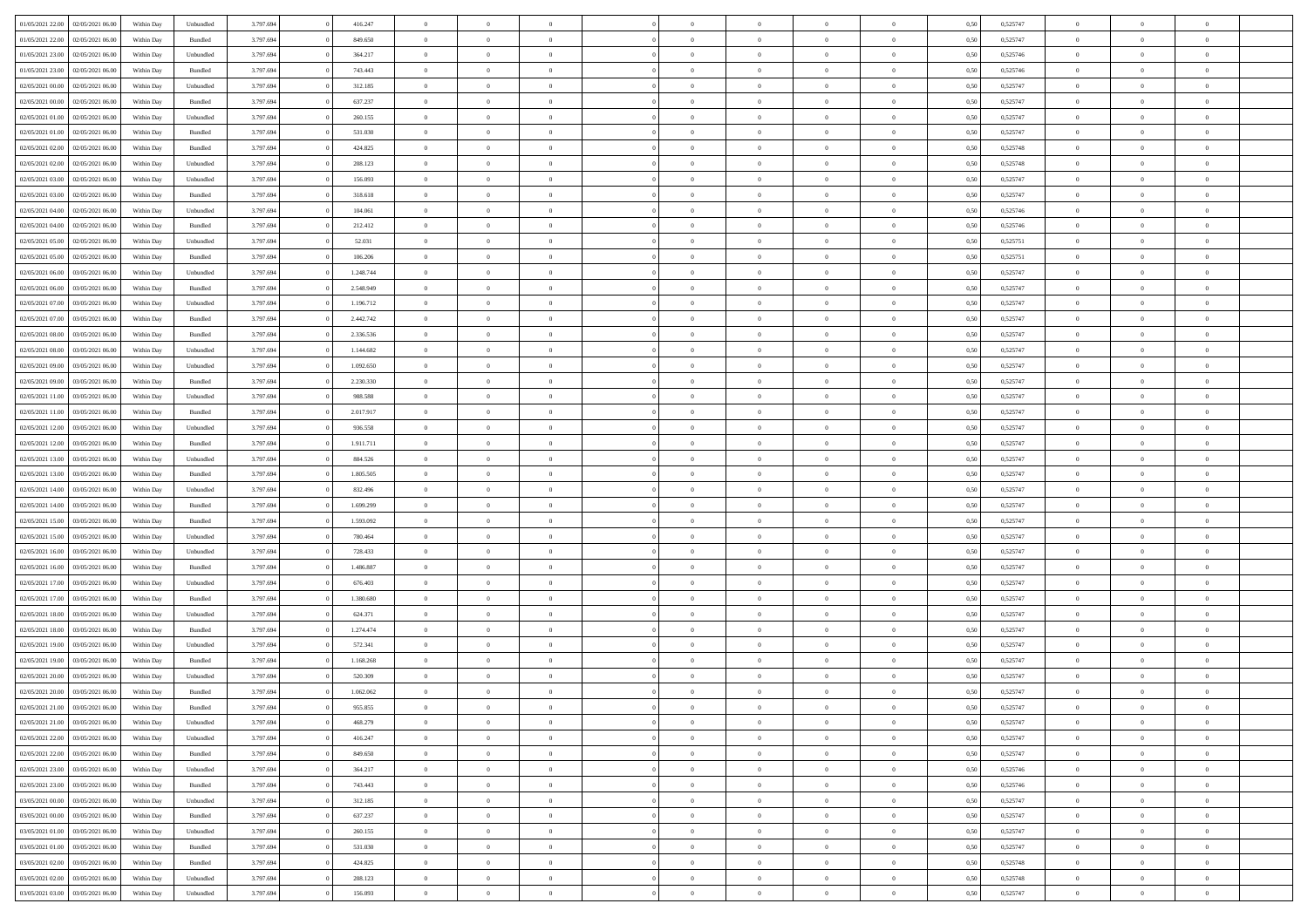| 01/05/2021 22:00 | 02/05/2021 06:00 | Within Day | Unbundled          | 3.797.694 | 416.247   | $\overline{0}$ | $\theta$       |                | $\Omega$       | $\Omega$       | $\theta$       | $\theta$       | 0.50 | 0,525747 | $\theta$       | $\theta$       | $\theta$       |  |
|------------------|------------------|------------|--------------------|-----------|-----------|----------------|----------------|----------------|----------------|----------------|----------------|----------------|------|----------|----------------|----------------|----------------|--|
| 01/05/2021 22.00 | 02/05/2021 06:00 | Within Day | Bundled            | 3.797.694 | 849.650   | $\overline{0}$ | $\theta$       | $\overline{0}$ | $\overline{0}$ | $\bf{0}$       | $\overline{0}$ | $\bf{0}$       | 0,50 | 0,525747 | $\theta$       | $\theta$       | $\overline{0}$ |  |
| 01/05/2021 23.00 | 02/05/2021 06:00 | Within Day | Unbundled          | 3.797.694 | 364.217   | $\overline{0}$ | $\overline{0}$ | $\overline{0}$ | $\bf{0}$       | $\bf{0}$       | $\bf{0}$       | $\bf{0}$       | 0,50 | 0,525746 | $\bf{0}$       | $\overline{0}$ | $\overline{0}$ |  |
|                  |                  |            |                    |           |           |                |                |                |                |                |                |                |      |          | $\theta$       |                |                |  |
| 01/05/2021 23:00 | 02/05/2021 06:00 | Within Day | Bundled            | 3.797.694 | 743,443   | $\overline{0}$ | $\overline{0}$ | $\overline{0}$ | $\overline{0}$ | $\bf{0}$       | $\overline{0}$ | $\overline{0}$ | 0.50 | 0,525746 |                | $\theta$       | $\overline{0}$ |  |
| 02/05/2021 00:00 | 02/05/2021 06:00 | Within Day | Unbundled          | 3.797.694 | 312.185   | $\overline{0}$ | $\theta$       | $\overline{0}$ | $\overline{0}$ | $\bf{0}$       | $\overline{0}$ | $\bf{0}$       | 0,50 | 0,525747 | $\theta$       | $\overline{0}$ | $\overline{0}$ |  |
| 02/05/2021 00:00 | 02/05/2021 06:00 | Within Day | Bundled            | 3.797.694 | 637.237   | $\overline{0}$ | $\bf{0}$       | $\overline{0}$ | $\bf{0}$       | $\overline{0}$ | $\overline{0}$ | $\mathbf{0}$   | 0,50 | 0,525747 | $\bf{0}$       | $\overline{0}$ | $\bf{0}$       |  |
| 02/05/2021 01:00 | 02/05/2021 06:00 | Within Dav | Unbundled          | 3.797.694 | 260.155   | $\overline{0}$ | $\overline{0}$ | $\overline{0}$ |                | $\overline{0}$ | $\overline{0}$ | $\overline{0}$ | 0.50 | 0,525747 | $\theta$       | $\overline{0}$ | $\overline{0}$ |  |
|                  |                  |            |                    |           |           |                |                |                | $\overline{0}$ |                |                |                |      |          |                |                |                |  |
| 02/05/2021 01:00 | 02/05/2021 06:00 | Within Day | Bundled            | 3.797.694 | 531.030   | $\overline{0}$ | $\theta$       | $\overline{0}$ | $\overline{0}$ | $\bf{0}$       | $\overline{0}$ | $\bf{0}$       | 0,50 | 0,525747 | $\theta$       | $\theta$       | $\overline{0}$ |  |
| 02/05/2021 02:00 | 02/05/2021 06:00 | Within Day | Bundled            | 3.797.694 | 424.825   | $\overline{0}$ | $\overline{0}$ | $\overline{0}$ | $\bf{0}$       | $\bf{0}$       | $\bf{0}$       | $\bf{0}$       | 0,50 | 0,525748 | $\,0\,$        | $\overline{0}$ | $\overline{0}$ |  |
| 02/05/2021 02:00 | 02/05/2021 06:00 | Within Dav | Unbundled          | 3.797.694 | 208.123   | $\overline{0}$ | $\overline{0}$ | $\overline{0}$ | $\overline{0}$ | $\overline{0}$ | $\overline{0}$ | $\overline{0}$ | 0.50 | 0,525748 | $\theta$       | $\overline{0}$ | $\overline{0}$ |  |
|                  |                  |            |                    |           |           |                |                |                |                |                |                |                |      |          |                |                |                |  |
| 02/05/2021 03:00 | 02/05/2021 06:00 | Within Day | Unbundled          | 3.797.694 | 156.093   | $\overline{0}$ | $\theta$       | $\overline{0}$ | $\overline{0}$ | $\bf{0}$       | $\overline{0}$ | $\bf{0}$       | 0,50 | 0,525747 | $\,$ 0 $\,$    | $\overline{0}$ | $\overline{0}$ |  |
| 02/05/2021 03:00 | 02/05/2021 06:00 | Within Day | Bundled            | 3.797.694 | 318.618   | $\overline{0}$ | $\overline{0}$ | $\overline{0}$ | $\bf{0}$       | $\bf{0}$       | $\overline{0}$ | $\bf{0}$       | 0,50 | 0,525747 | $\overline{0}$ | $\overline{0}$ | $\overline{0}$ |  |
| 02/05/2021 04:00 | 02/05/2021 06:00 | Within Day | Unbundled          | 3.797.694 | 104.061   | $\overline{0}$ | $\overline{0}$ | $\overline{0}$ | $\overline{0}$ | $\bf{0}$       | $\overline{0}$ | $\overline{0}$ | 0.50 | 0.525746 | $\theta$       | $\theta$       | $\overline{0}$ |  |
|                  |                  |            |                    |           |           |                |                |                |                |                |                |                |      |          |                |                |                |  |
| 02/05/2021 04:00 | 02/05/2021 06.00 | Within Day | Bundled            | 3.797.694 | 212.412   | $\overline{0}$ | $\theta$       | $\overline{0}$ | $\overline{0}$ | $\bf{0}$       | $\overline{0}$ | $\bf{0}$       | 0,50 | 0,525746 | $\theta$       | $\theta$       | $\overline{0}$ |  |
| 02/05/2021 05:00 | 02/05/2021 06:00 | Within Day | Unbundled          | 3.797.694 | 52.031    | $\overline{0}$ | $\bf{0}$       | $\overline{0}$ | $\overline{0}$ | $\overline{0}$ | $\overline{0}$ | $\mathbf{0}$   | 0,50 | 0,525751 | $\overline{0}$ | $\overline{0}$ | $\bf{0}$       |  |
| 02/05/2021 05:00 | 02/05/2021 06:00 | Within Dav | Bundled            | 3.797.694 | 106.206   | $\overline{0}$ | $\overline{0}$ | $\overline{0}$ | $\overline{0}$ | $\overline{0}$ | $\overline{0}$ | $\overline{0}$ | 0.50 | 0,525751 | $\theta$       | $\overline{0}$ | $\overline{0}$ |  |
|                  |                  |            |                    |           |           | $\overline{0}$ | $\theta$       | $\overline{0}$ |                | $\bf{0}$       | $\overline{0}$ |                |      |          | $\theta$       | $\theta$       | $\overline{0}$ |  |
| 02/05/2021 06:00 | 03/05/2021 06:00 | Within Day | Unbundled          | 3.797.694 | 1.248.744 |                |                |                | $\overline{0}$ |                |                | $\bf{0}$       | 0,50 | 0,525747 |                |                |                |  |
| 02/05/2021 06:00 | 03/05/2021 06:00 | Within Day | Bundled            | 3.797.694 | 2.548.949 | $\overline{0}$ | $\overline{0}$ | $\overline{0}$ | $\overline{0}$ | $\bf{0}$       | $\overline{0}$ | $\bf{0}$       | 0,50 | 0,525747 | $\,0\,$        | $\overline{0}$ | $\overline{0}$ |  |
| 02/05/2021 07:00 | 03/05/2021 06:00 | Within Dav | Unbundled          | 3.797.694 | 1.196.712 | $\overline{0}$ | $\overline{0}$ | $\overline{0}$ | $\overline{0}$ | $\overline{0}$ | $\overline{0}$ | $\overline{0}$ | 0.50 | 0,525747 | $\theta$       | $\overline{0}$ | $\overline{0}$ |  |
| 02/05/2021 07:00 | 03/05/2021 06:00 | Within Day | Bundled            | 3.797.694 | 2.442.742 | $\overline{0}$ | $\theta$       | $\overline{0}$ | $\overline{0}$ | $\bf{0}$       | $\overline{0}$ | $\bf{0}$       | 0,50 | 0,525747 | $\theta$       | $\theta$       | $\overline{0}$ |  |
|                  |                  |            |                    |           |           |                |                |                |                |                |                |                |      |          |                |                |                |  |
| 02/05/2021 08:00 | 03/05/2021 06:00 | Within Day | Bundled            | 3.797.694 | 2.336.536 | $\overline{0}$ | $\overline{0}$ | $\overline{0}$ | $\overline{0}$ | $\bf{0}$       | $\overline{0}$ | $\bf{0}$       | 0,50 | 0,525747 | $\,0\,$        | $\overline{0}$ | $\overline{0}$ |  |
| 02/05/2021 08:00 | 03/05/2021 06:00 | Within Day | Unbundled          | 3.797.694 | 1.144.682 | $\overline{0}$ | $\overline{0}$ | $\overline{0}$ | $\overline{0}$ | $\bf{0}$       | $\overline{0}$ | $\overline{0}$ | 0.50 | 0,525747 | $\theta$       | $\overline{0}$ | $\overline{0}$ |  |
| 02/05/2021 09:00 | 03/05/2021 06:00 | Within Day | Unbundled          | 3.797.694 | 1.092.650 | $\overline{0}$ | $\theta$       | $\overline{0}$ | $\overline{0}$ | $\bf{0}$       | $\overline{0}$ | $\bf{0}$       | 0,50 | 0,525747 | $\,$ 0 $\,$    | $\overline{0}$ | $\overline{0}$ |  |
|                  |                  |            |                    |           |           |                |                |                |                |                |                |                |      |          |                |                |                |  |
| 02/05/2021 09:00 | 03/05/2021 06:00 | Within Day | Bundled            | 3.797.694 | 2.230.330 | $\overline{0}$ | $\bf{0}$       | $\overline{0}$ | $\overline{0}$ | $\overline{0}$ | $\overline{0}$ | $\mathbf{0}$   | 0,50 | 0,525747 | $\overline{0}$ | $\overline{0}$ | $\bf{0}$       |  |
| 02/05/2021 11:00 | 03/05/2021 06:00 | Within Dav | Unbundled          | 3.797.694 | 988.588   | $\overline{0}$ | $\overline{0}$ | $\overline{0}$ | $\overline{0}$ | $\overline{0}$ | $\overline{0}$ | $\overline{0}$ | 0.50 | 0,525747 | $\theta$       | $\overline{0}$ | $\overline{0}$ |  |
| 02/05/2021 11:00 | 03/05/2021 06:00 | Within Day | Bundled            | 3.797.694 | 2.017.917 | $\overline{0}$ | $\theta$       | $\overline{0}$ | $\overline{0}$ | $\bf{0}$       | $\overline{0}$ | $\bf{0}$       | 0,50 | 0,525747 | $\theta$       | $\theta$       | $\overline{0}$ |  |
|                  |                  |            |                    |           |           |                |                |                |                |                |                |                |      |          |                |                |                |  |
| 02/05/2021 12:00 | 03/05/2021 06:00 | Within Day | Unbundled          | 3.797.694 | 936.558   | $\overline{0}$ | $\overline{0}$ | $\overline{0}$ | $\overline{0}$ | $\bf{0}$       | $\overline{0}$ | $\bf{0}$       | 0,50 | 0,525747 | $\,0\,$        | $\overline{0}$ | $\overline{0}$ |  |
| 02/05/2021 12:00 | 03/05/2021 06:00 | Within Day | Bundled            | 3.797.694 | 1.911.711 | $\overline{0}$ | $\overline{0}$ | $\overline{0}$ | $\overline{0}$ | $\overline{0}$ | $\overline{0}$ | $\overline{0}$ | 0.50 | 0,525747 | $\theta$       | $\overline{0}$ | $\overline{0}$ |  |
| 02/05/2021 13:00 | 03/05/2021 06:00 | Within Day | Unbundled          | 3.797.694 | 884.526   | $\overline{0}$ | $\theta$       | $\overline{0}$ | $\overline{0}$ | $\bf{0}$       | $\overline{0}$ | $\bf{0}$       | 0,50 | 0,525747 | $\,$ 0 $\,$    | $\overline{0}$ | $\overline{0}$ |  |
| 02/05/2021 13:00 | 03/05/2021 06:00 | Within Day | Bundled            | 3.797.694 | 1.805.505 | $\overline{0}$ | $\overline{0}$ | $\overline{0}$ | $\overline{0}$ | $\bf{0}$       | $\overline{0}$ | $\bf{0}$       | 0,50 | 0,525747 | $\bf{0}$       | $\overline{0}$ | $\overline{0}$ |  |
|                  |                  |            |                    |           |           |                |                |                |                |                |                |                |      |          |                |                |                |  |
| 02/05/2021 14:00 | 03/05/2021 06:00 | Within Day | Unbundled          | 3.797.694 | 832.496   | $\overline{0}$ | $\Omega$       | $\Omega$       | $\Omega$       | $\Omega$       | $\overline{0}$ | $\overline{0}$ | 0,50 | 0,525747 | $\,0\,$        | $\theta$       | $\theta$       |  |
| 02/05/2021 14:00 | 03/05/2021 06:00 | Within Day | Bundled            | 3.797.694 | 1.699.299 | $\overline{0}$ | $\theta$       | $\overline{0}$ | $\overline{0}$ | $\bf{0}$       | $\overline{0}$ | $\bf{0}$       | 0,50 | 0,525747 | $\theta$       | $\theta$       | $\overline{0}$ |  |
| 02/05/2021 15:00 | 03/05/2021 06:00 | Within Day | Bundled            | 3.797.694 | 1.593.092 | $\overline{0}$ | $\overline{0}$ | $\overline{0}$ | $\overline{0}$ | $\bf{0}$       | $\overline{0}$ | $\mathbf{0}$   | 0,50 | 0,525747 | $\bf{0}$       | $\overline{0}$ | $\bf{0}$       |  |
|                  |                  |            |                    |           |           |                |                |                |                |                |                |                |      |          |                |                |                |  |
| 02/05/2021 15:00 | 03/05/2021 06:00 | Within Day | Unbundled          | 3.797.694 | 780,464   | $\overline{0}$ | $\Omega$       | $\Omega$       | $\Omega$       | $\bf{0}$       | $\overline{0}$ | $\overline{0}$ | 0.50 | 0,525747 | $\,0\,$        | $\theta$       | $\theta$       |  |
| 02/05/2021 16:00 | 03/05/2021 06:00 | Within Day | Unbundled          | 3.797.694 | 728.433   | $\overline{0}$ | $\theta$       | $\overline{0}$ | $\overline{0}$ | $\bf{0}$       | $\overline{0}$ | $\bf{0}$       | 0,50 | 0,525747 | $\,$ 0 $\,$    | $\theta$       | $\overline{0}$ |  |
| 02/05/2021 16:00 | 03/05/2021 06:00 | Within Day | Bundled            | 3.797.694 | 1.486.887 | $\overline{0}$ | $\overline{0}$ | $\overline{0}$ | $\overline{0}$ | $\bf{0}$       | $\overline{0}$ | $\bf{0}$       | 0,50 | 0,525747 | $\,0\,$        | $\overline{0}$ | $\overline{0}$ |  |
|                  |                  |            |                    |           |           |                |                |                |                |                |                |                |      |          |                |                |                |  |
| 02/05/2021 17:00 | 03/05/2021 06:00 | Within Day | Unbundled          | 3.797.694 | 676,403   | $\overline{0}$ | $\Omega$       | $\Omega$       | $\Omega$       | $\theta$       | $\overline{0}$ | $\overline{0}$ | 0.50 | 0,525747 | $\theta$       | $\theta$       | $\theta$       |  |
| 02/05/2021 17:00 | 03/05/2021 06:00 | Within Day | Bundled            | 3.797.694 | 1.380.680 | $\overline{0}$ | $\theta$       | $\overline{0}$ | $\overline{0}$ | $\bf{0}$       | $\overline{0}$ | $\bf{0}$       | 0,50 | 0,525747 | $\,$ 0 $\,$    | $\overline{0}$ | $\overline{0}$ |  |
| 02/05/2021 18:00 | 03/05/2021 06:00 | Within Day | Unbundled          | 3.797.694 | 624.371   | $\overline{0}$ | $\overline{0}$ | $\overline{0}$ | $\bf{0}$       | $\bf{0}$       | $\bf{0}$       | $\bf{0}$       | 0,50 | 0,525747 | $\bf{0}$       | $\overline{0}$ | $\overline{0}$ |  |
| 02/05/2021 18:00 | 03/05/2021 06:00 | Within Day | Bundled            | 3.797.694 | 1.274.474 | $\overline{0}$ | $\Omega$       | $\overline{0}$ | $\Omega$       | $\Omega$       | $\overline{0}$ | $\overline{0}$ | 0,50 | 0,525747 | $\,0\,$        | $\theta$       | $\theta$       |  |
|                  |                  |            |                    |           |           |                |                |                |                |                |                |                |      |          |                |                |                |  |
| 02/05/2021 19:00 | 03/05/2021 06:00 | Within Day | Unbundled          | 3.797.694 | 572.341   | $\overline{0}$ | $\theta$       | $\overline{0}$ | $\overline{0}$ | $\bf{0}$       | $\overline{0}$ | $\bf{0}$       | 0,50 | 0,525747 | $\,$ 0 $\,$    | $\overline{0}$ | $\overline{0}$ |  |
| 02/05/2021 19:00 | 03/05/2021 06:00 | Within Day | Bundled            | 3.797.694 | 1.168.268 | $\overline{0}$ | $\overline{0}$ | $\overline{0}$ | $\bf{0}$       | $\bf{0}$       | $\bf{0}$       | $\mathbf{0}$   | 0,50 | 0,525747 | $\overline{0}$ | $\overline{0}$ | $\bf{0}$       |  |
| 02/05/2021 20:00 | 03/05/2021 06:00 | Within Day | Unbundled          | 3.797.694 | 520,309   | $\overline{0}$ | $\Omega$       | $\Omega$       | $\Omega$       | $\Omega$       | $\Omega$       | $\overline{0}$ | 0.50 | 0,525747 | $\theta$       | $\theta$       | $\theta$       |  |
| 02/05/2021 20:00 | 03/05/2021 06:00 | Within Day | Bundled            | 3.797.694 | 1.062.062 | $\overline{0}$ | $\overline{0}$ | $\overline{0}$ | $\bf{0}$       | $\,$ 0         | $\bf{0}$       | $\bf{0}$       | 0,50 | 0,525747 | $\,0\,$        | $\overline{0}$ | $\overline{0}$ |  |
|                  |                  |            |                    |           |           |                |                |                |                |                |                |                |      |          |                |                |                |  |
| 02/05/2021 21:00 | 03/05/2021 06:00 | Within Day | $\mathbf B$ undled | 3.797.694 | 955.855   | $\bf{0}$       | $\bf{0}$       |                |                |                |                |                | 0,50 | 0,525747 | $\bf{0}$       | $\overline{0}$ |                |  |
| 02/05/2021 21:00 | 03/05/2021 06:00 | Within Day | Unbundled          | 3.797.694 | 468,279   | $\overline{0}$ | $\overline{0}$ | $\overline{0}$ | $\Omega$       | $\overline{0}$ | $\overline{0}$ | $\overline{0}$ | 0,50 | 0,525747 | $\theta$       | $\theta$       | $\Omega$       |  |
| 02/05/2021 22:00 | 03/05/2021 06:00 | Within Day | Unbundled          | 3.797.694 | 416.247   | $\overline{0}$ | $\bf{0}$       | $\overline{0}$ | $\bf{0}$       | $\,$ 0 $\,$    | $\overline{0}$ | $\,$ 0 $\,$    | 0,50 | 0,525747 | $\,$ 0 $\,$    | $\,$ 0 $\,$    | $\,$ 0         |  |
|                  |                  |            |                    |           |           |                |                |                |                |                |                |                |      |          |                |                |                |  |
| 02/05/2021 22.00 | 03/05/2021 06:00 | Within Day | Bundled            | 3.797.694 | 849.650   | $\overline{0}$ | $\overline{0}$ | $\overline{0}$ | $\overline{0}$ | $\overline{0}$ | $\overline{0}$ | $\mathbf{0}$   | 0,50 | 0,525747 | $\overline{0}$ | $\bf{0}$       | $\overline{0}$ |  |
| 02/05/2021 23:00 | 03/05/2021 06:00 | Within Day | Unbundled          | 3.797.694 | 364.217   | $\overline{0}$ | $\overline{0}$ | $\overline{0}$ | $\Omega$       | $\overline{0}$ | $\overline{0}$ | $\overline{0}$ | 0,50 | 0,525746 | $\overline{0}$ | $\,$ 0 $\,$    | $\overline{0}$ |  |
| 02/05/2021 23:00 | 03/05/2021 06:00 | Within Day | Bundled            | 3.797.694 | 743.443   | $\overline{0}$ | $\,$ 0         | $\overline{0}$ | $\bf{0}$       | $\,$ 0 $\,$    | $\overline{0}$ | $\mathbf{0}$   | 0,50 | 0,525746 | $\,$ 0 $\,$    | $\overline{0}$ | $\,$ 0         |  |
|                  |                  |            |                    |           |           |                |                |                |                |                |                |                |      |          |                |                |                |  |
| 03/05/2021 00:00 | 03/05/2021 06:00 | Within Day | Unbundled          | 3.797.694 | 312.185   | $\overline{0}$ | $\overline{0}$ | $\overline{0}$ | $\overline{0}$ | $\overline{0}$ | $\overline{0}$ | $\mathbf{0}$   | 0,50 | 0,525747 | $\overline{0}$ | $\overline{0}$ | $\overline{0}$ |  |
| 03/05/2021 00:00 | 03/05/2021 06:00 | Within Day | Bundled            | 3.797.694 | 637.237   | $\overline{0}$ | $\overline{0}$ | $\overline{0}$ | $\overline{0}$ | $\overline{0}$ | $\overline{0}$ | $\overline{0}$ | 0.50 | 0,525747 | $\overline{0}$ | $\theta$       | $\overline{0}$ |  |
| 03/05/2021 01:00 | 03/05/2021 06:00 | Within Day | Unbundled          | 3.797.694 | 260.155   | $\overline{0}$ | $\,$ 0         | $\overline{0}$ | $\bf{0}$       | $\bf{0}$       | $\bf{0}$       | $\bf{0}$       | 0,50 | 0,525747 | $\,$ 0 $\,$    | $\overline{0}$ | $\overline{0}$ |  |
| 03/05/2021 01:00 | 03/05/2021 06:00 | Within Day | Bundled            | 3.797.694 | 531.030   | $\overline{0}$ | $\bf{0}$       | $\overline{0}$ | $\overline{0}$ | $\overline{0}$ | $\overline{0}$ | $\mathbf{0}$   | 0,50 | 0,525747 | $\overline{0}$ | $\overline{0}$ | $\bf{0}$       |  |
|                  |                  |            |                    |           |           |                |                |                |                |                |                |                |      |          |                |                |                |  |
| 03/05/2021 02:00 | 03/05/2021 06:00 | Within Day | Bundled            | 3.797.694 | 424.825   | $\overline{0}$ | $\overline{0}$ | $\overline{0}$ | $\Omega$       | $\overline{0}$ | $\overline{0}$ | $\overline{0}$ | 0.50 | 0,525748 | $\overline{0}$ | $\overline{0}$ | $\overline{0}$ |  |
| 03/05/2021 02:00 | 03/05/2021 06:00 | Within Day | Unbundled          | 3.797.694 | 208.123   | $\overline{0}$ | $\bf{0}$       | $\overline{0}$ | $\bf{0}$       | $\bf{0}$       | $\bf{0}$       | $\mathbf{0}$   | 0,50 | 0,525748 | $\,$ 0 $\,$    | $\,$ 0 $\,$    | $\bf{0}$       |  |
| 03/05/2021 03:00 | 03/05/2021 06:00 | Within Day | Unbundled          | 3.797.694 | 156.093   | $\overline{0}$ | $\overline{0}$ | $\overline{0}$ | $\overline{0}$ | $\overline{0}$ | $\bf{0}$       | $\mathbf{0}$   | 0,50 | 0,525747 | $\overline{0}$ | $\bf{0}$       | $\overline{0}$ |  |
|                  |                  |            |                    |           |           |                |                |                |                |                |                |                |      |          |                |                |                |  |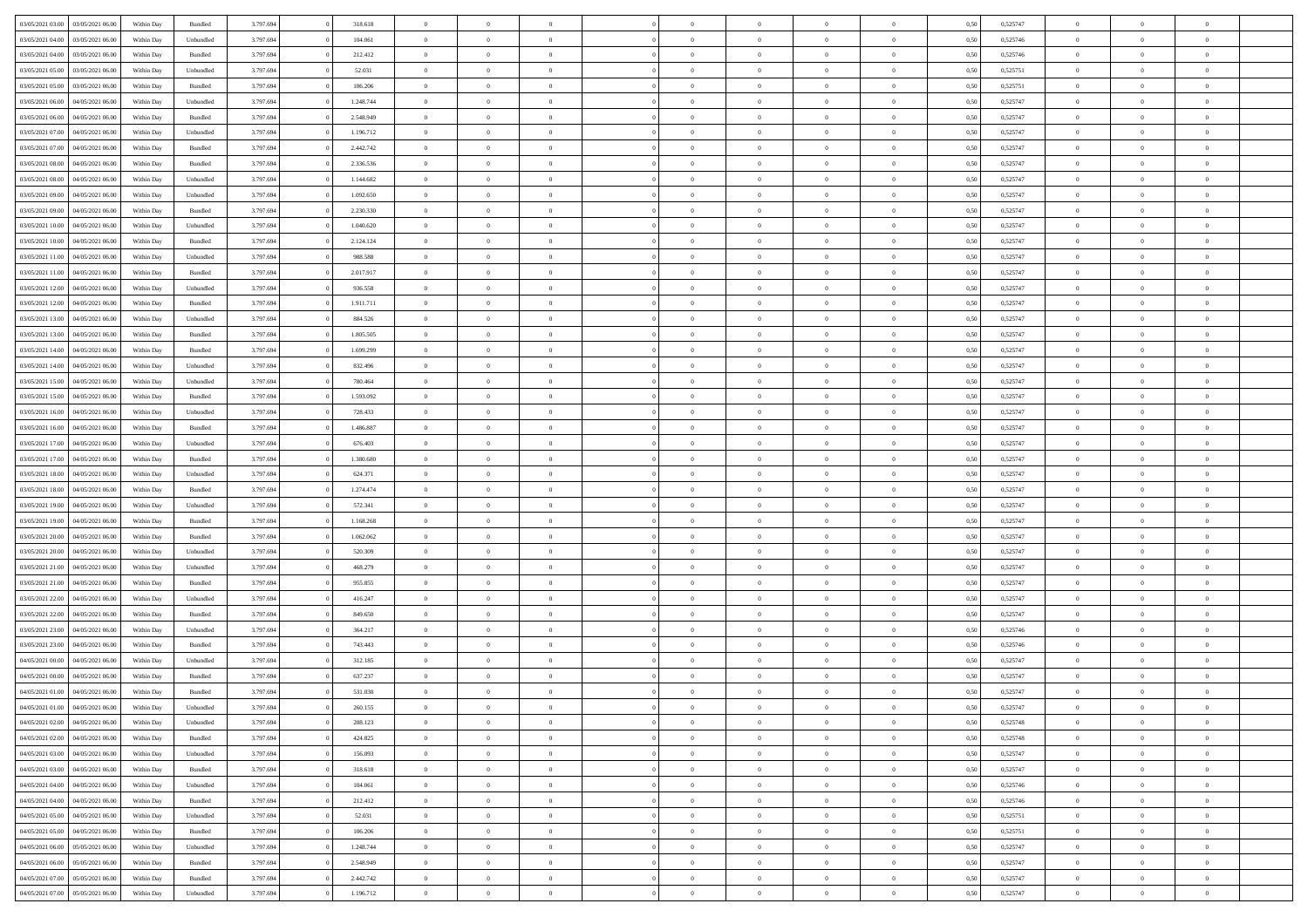| 03/05/2021 03:00                  | 03/05/2021 06:00 | Within Day | Bundled   | 3.797.694 | 318.618   | $\overline{0}$ | $\Omega$       |                | $\Omega$       | $\Omega$       | $\Omega$       | $\theta$       | 0.50 | 0,525747 | $\theta$       | $\theta$       | $\theta$       |  |
|-----------------------------------|------------------|------------|-----------|-----------|-----------|----------------|----------------|----------------|----------------|----------------|----------------|----------------|------|----------|----------------|----------------|----------------|--|
|                                   |                  |            |           |           |           |                |                |                |                |                |                |                |      |          |                |                |                |  |
| 03/05/2021 04:00                  | 03/05/2021 06.00 | Within Day | Unbundled | 3.797.694 | 104.061   | $\overline{0}$ | $\theta$       | $\overline{0}$ | $\overline{0}$ | $\bf{0}$       | $\overline{0}$ | $\bf{0}$       | 0,50 | 0,525746 | $\theta$       | $\theta$       | $\overline{0}$ |  |
| 03/05/2021 04:00                  | 03/05/2021 06:00 | Within Day | Bundled   | 3.797.694 | 212.412   | $\overline{0}$ | $\overline{0}$ | $\overline{0}$ | $\bf{0}$       | $\bf{0}$       | $\bf{0}$       | $\bf{0}$       | 0,50 | 0,525746 | $\overline{0}$ | $\overline{0}$ | $\overline{0}$ |  |
| 03/05/2021 05:00                  | 03/05/2021 06:00 | Within Dav | Unbundled | 3.797.694 | 52.031    | $\overline{0}$ | $\overline{0}$ | $\overline{0}$ | $\overline{0}$ | $\bf{0}$       | $\overline{0}$ | $\overline{0}$ | 0.50 | 0,525751 | $\theta$       | $\theta$       | $\overline{0}$ |  |
| 03/05/2021 05:00                  | 03/05/2021 06.00 | Within Day | Bundled   | 3.797.694 | 106.206   | $\overline{0}$ | $\theta$       | $\overline{0}$ | $\overline{0}$ | $\bf{0}$       | $\overline{0}$ | $\bf{0}$       | 0,50 | 0,525751 | $\theta$       | $\theta$       | $\overline{0}$ |  |
| 03/05/2021 06:00                  | 04/05/2021 06.00 | Within Day | Unbundled | 3.797.694 | 1.248.744 | $\overline{0}$ | $\bf{0}$       | $\overline{0}$ | $\bf{0}$       | $\overline{0}$ | $\overline{0}$ | $\mathbf{0}$   | 0,50 | 0,525747 | $\overline{0}$ | $\overline{0}$ | $\bf{0}$       |  |
|                                   |                  |            |           |           |           |                |                |                |                | $\overline{0}$ |                |                |      |          | $\theta$       | $\overline{0}$ | $\overline{0}$ |  |
| 03/05/2021 06:00                  | 04/05/2021 06:00 | Within Dav | Bundled   | 3.797.694 | 2.548.949 | $\overline{0}$ | $\overline{0}$ | $\overline{0}$ | $\overline{0}$ |                | $\overline{0}$ | $\overline{0}$ | 0.50 | 0,525747 |                |                |                |  |
| 03/05/2021 07:00                  | 04/05/2021 06.00 | Within Day | Unbundled | 3.797.694 | 1.196.712 | $\overline{0}$ | $\theta$       | $\overline{0}$ | $\overline{0}$ | $\bf{0}$       | $\overline{0}$ | $\bf{0}$       | 0,50 | 0,525747 | $\theta$       | $\theta$       | $\overline{0}$ |  |
| 03/05/2021 07:00                  | 04/05/2021 06.00 | Within Day | Bundled   | 3.797.694 | 2.442.742 | $\overline{0}$ | $\overline{0}$ | $\overline{0}$ | $\bf{0}$       | $\bf{0}$       | $\bf{0}$       | $\bf{0}$       | 0,50 | 0,525747 | $\,0\,$        | $\overline{0}$ | $\overline{0}$ |  |
| 03/05/2021 08:00                  | 04/05/2021 06:00 | Within Dav | Bundled   | 3.797.694 | 2.336.536 | $\overline{0}$ | $\overline{0}$ | $\overline{0}$ | $\overline{0}$ | $\overline{0}$ | $\overline{0}$ | $\overline{0}$ | 0.50 | 0,525747 | $\theta$       | $\overline{0}$ | $\overline{0}$ |  |
| 03/05/2021 08:00                  | 04/05/2021 06.00 | Within Day | Unbundled | 3.797.694 | 1.144.682 | $\overline{0}$ | $\theta$       | $\overline{0}$ | $\overline{0}$ | $\bf{0}$       | $\overline{0}$ | $\bf{0}$       | 0,50 | 0,525747 | $\,$ 0 $\,$    | $\overline{0}$ | $\overline{0}$ |  |
| 03/05/2021 09:00                  | 04/05/2021 06.00 | Within Day | Unbundled | 3.797.694 | 1.092.650 | $\overline{0}$ | $\overline{0}$ | $\overline{0}$ | $\bf{0}$       | $\bf{0}$       | $\bf{0}$       | $\bf{0}$       | 0,50 | 0,525747 | $\bf{0}$       | $\overline{0}$ | $\overline{0}$ |  |
| 03/05/2021 09:00                  | 04/05/2021 06:00 | Within Day | Bundled   | 3.797.694 | 2.230.330 | $\overline{0}$ | $\overline{0}$ | $\overline{0}$ | $\overline{0}$ | $\bf{0}$       | $\overline{0}$ | $\overline{0}$ | 0.50 | 0,525747 | $\theta$       | $\theta$       | $\overline{0}$ |  |
| 03/05/2021 10:00                  | 04/05/2021 06.00 |            |           | 3.797.694 | 1.040.620 | $\overline{0}$ | $\theta$       | $\overline{0}$ | $\overline{0}$ | $\bf{0}$       | $\overline{0}$ | $\overline{0}$ |      | 0,525747 | $\theta$       | $\theta$       | $\overline{0}$ |  |
|                                   |                  | Within Day | Unbundled |           |           |                |                |                |                |                |                |                | 0,50 |          |                |                |                |  |
| 03/05/2021 10:00                  | 04/05/2021 06.00 | Within Day | Bundled   | 3.797.694 | 2.124.124 | $\overline{0}$ | $\bf{0}$       | $\overline{0}$ | $\bf{0}$       | $\overline{0}$ | $\overline{0}$ | $\mathbf{0}$   | 0,50 | 0,525747 | $\overline{0}$ | $\overline{0}$ | $\bf{0}$       |  |
| 03/05/2021 11:00                  | 04/05/2021 06:00 | Within Dav | Unbundled | 3.797.694 | 988.588   | $\overline{0}$ | $\overline{0}$ | $\overline{0}$ | $\overline{0}$ | $\overline{0}$ | $\overline{0}$ | $\overline{0}$ | 0.50 | 0,525747 | $\theta$       | $\overline{0}$ | $\overline{0}$ |  |
| 03/05/2021 11:00                  | 04/05/2021 06.00 | Within Day | Bundled   | 3.797.694 | 2.017.917 | $\overline{0}$ | $\theta$       | $\overline{0}$ | $\overline{0}$ | $\bf{0}$       | $\overline{0}$ | $\bf{0}$       | 0,50 | 0,525747 | $\theta$       | $\theta$       | $\overline{0}$ |  |
| 03/05/2021 12:00                  | 04/05/2021 06.00 | Within Day | Unbundled | 3.797.694 | 936.558   | $\overline{0}$ | $\overline{0}$ | $\overline{0}$ | $\overline{0}$ | $\bf{0}$       | $\overline{0}$ | $\bf{0}$       | 0,50 | 0,525747 | $\,0\,$        | $\overline{0}$ | $\overline{0}$ |  |
| 03/05/2021 12:00                  | 04/05/2021 06:00 | Within Day | Bundled   | 3.797.694 | 1.911.711 | $\overline{0}$ | $\overline{0}$ | $\overline{0}$ | $\overline{0}$ | $\overline{0}$ | $\overline{0}$ | $\overline{0}$ | 0.50 | 0,525747 | $\theta$       | $\overline{0}$ | $\overline{0}$ |  |
| 03/05/2021 13:00                  | 04/05/2021 06.00 | Within Day | Unbundled | 3.797.694 | 884.526   | $\overline{0}$ | $\theta$       | $\overline{0}$ | $\overline{0}$ | $\bf{0}$       | $\overline{0}$ | $\bf{0}$       | 0,50 | 0,525747 | $\theta$       | $\theta$       | $\overline{0}$ |  |
| 03/05/2021 13:00                  | 04/05/2021 06.00 | Within Day | Bundled   | 3.797.694 | 1.805.505 | $\overline{0}$ | $\overline{0}$ | $\overline{0}$ | $\overline{0}$ | $\bf{0}$       | $\overline{0}$ | $\bf{0}$       | 0,50 | 0,525747 | $\,0\,$        | $\overline{0}$ | $\overline{0}$ |  |
| 03/05/2021 14:00                  | 04/05/2021 06:00 | Within Day | Bundled   | 3.797.694 | 1.699.299 | $\overline{0}$ | $\overline{0}$ | $\overline{0}$ | $\overline{0}$ | $\bf{0}$       | $\overline{0}$ | $\overline{0}$ | 0.50 | 0,525747 | $\theta$       | $\theta$       | $\overline{0}$ |  |
|                                   |                  |            |           |           |           |                |                |                |                |                |                |                |      |          |                |                |                |  |
| 03/05/2021 14:00                  | 04/05/2021 06.00 | Within Day | Unbundled | 3.797.694 | 832.496   | $\overline{0}$ | $\theta$       | $\overline{0}$ | $\overline{0}$ | $\bf{0}$       | $\overline{0}$ | $\bf{0}$       | 0,50 | 0,525747 | $\,$ 0 $\,$    | $\overline{0}$ | $\overline{0}$ |  |
| 03/05/2021 15:00                  | 04/05/2021 06.00 | Within Day | Unbundled | 3.797.694 | 780.464   | $\overline{0}$ | $\bf{0}$       | $\overline{0}$ | $\overline{0}$ | $\overline{0}$ | $\overline{0}$ | $\mathbf{0}$   | 0,50 | 0,525747 | $\bf{0}$       | $\overline{0}$ | $\bf{0}$       |  |
| 03/05/2021 15:00                  | 04/05/2021 06:00 | Within Dav | Bundled   | 3.797.694 | 1.593.092 | $\overline{0}$ | $\overline{0}$ | $\overline{0}$ | $\overline{0}$ | $\overline{0}$ | $\overline{0}$ | $\overline{0}$ | 0.50 | 0,525747 | $\theta$       | $\overline{0}$ | $\overline{0}$ |  |
| 03/05/2021 16:00                  | 04/05/2021 06.00 | Within Day | Unbundled | 3.797.694 | 728.433   | $\overline{0}$ | $\theta$       | $\overline{0}$ | $\overline{0}$ | $\bf{0}$       | $\overline{0}$ | $\bf{0}$       | 0,50 | 0,525747 | $\theta$       | $\theta$       | $\overline{0}$ |  |
| 03/05/2021 16:00                  | 04/05/2021 06.00 | Within Day | Bundled   | 3.797.694 | 1.486.887 | $\overline{0}$ | $\overline{0}$ | $\overline{0}$ | $\bf{0}$       | $\bf{0}$       | $\bf{0}$       | $\bf{0}$       | 0,50 | 0,525747 | $\,0\,$        | $\overline{0}$ | $\overline{0}$ |  |
| 03/05/2021 17:00                  | 04/05/2021 06:00 | Within Day | Unbundled | 3.797.694 | 676.403   | $\overline{0}$ | $\overline{0}$ | $\overline{0}$ | $\overline{0}$ | $\overline{0}$ | $\overline{0}$ | $\overline{0}$ | 0.50 | 0,525747 | $\theta$       | $\overline{0}$ | $\overline{0}$ |  |
| 03/05/2021 17:00                  | 04/05/2021 06.00 | Within Day | Bundled   | 3.797.694 | 1.380.680 | $\overline{0}$ | $\theta$       | $\overline{0}$ | $\overline{0}$ | $\bf{0}$       | $\overline{0}$ | $\bf{0}$       | 0,50 | 0,525747 | $\,$ 0 $\,$    | $\theta$       | $\overline{0}$ |  |
|                                   |                  |            |           |           |           |                |                |                |                |                |                |                |      |          |                |                |                |  |
| 03/05/2021 18:00                  | 04/05/2021 06.00 | Within Day | Unbundled | 3.797.694 | 624.371   | $\overline{0}$ | $\overline{0}$ | $\overline{0}$ | $\bf{0}$       | $\bf{0}$       | $\bf{0}$       | $\bf{0}$       | 0,50 | 0,525747 | $\bf{0}$       | $\overline{0}$ | $\overline{0}$ |  |
| 03/05/2021 18:00                  | 04/05/2021 06.00 | Within Day | Bundled   | 3.797.694 | 1.274.474 | $\overline{0}$ | $\Omega$       | $\Omega$       | $\Omega$       | $\Omega$       | $\Omega$       | $\overline{0}$ | 0,50 | 0,525747 | $\,0\,$        | $\Omega$       | $\theta$       |  |
| 03/05/2021 19:00                  | 04/05/2021 06.00 | Within Day | Unbundled | 3.797.694 | 572.341   | $\overline{0}$ | $\theta$       | $\overline{0}$ | $\overline{0}$ | $\bf{0}$       | $\overline{0}$ | $\bf{0}$       | 0,50 | 0,525747 | $\theta$       | $\theta$       | $\overline{0}$ |  |
| 03/05/2021 19:00                  | 04/05/2021 06:00 | Within Day | Bundled   | 3.797.694 | 1.168.268 | $\overline{0}$ | $\overline{0}$ | $\overline{0}$ | $\bf{0}$       | $\bf{0}$       | $\overline{0}$ | $\mathbf{0}$   | 0,50 | 0,525747 | $\overline{0}$ | $\overline{0}$ | $\bf{0}$       |  |
| 03/05/2021 20:00                  | 04/05/2021 06:00 | Within Day | Bundled   | 3.797.694 | 1.062.062 | $\overline{0}$ | $\Omega$       | $\Omega$       | $\Omega$       | $\bf{0}$       | $\overline{0}$ | $\overline{0}$ | 0.50 | 0,525747 | $\,0\,$        | $\theta$       | $\theta$       |  |
| 03/05/2021 20:00                  | 04/05/2021 06.00 | Within Day | Unbundled | 3.797.694 | 520.309   | $\overline{0}$ | $\theta$       | $\overline{0}$ | $\overline{0}$ | $\bf{0}$       | $\overline{0}$ | $\bf{0}$       | 0,50 | 0,525747 | $\,$ 0 $\,$    | $\theta$       | $\overline{0}$ |  |
| 03/05/2021 21:00                  | 04/05/2021 06.00 | Within Day | Unbundled | 3.797.694 | 468.279   | $\overline{0}$ | $\overline{0}$ | $\overline{0}$ | $\bf{0}$       | $\bf{0}$       | $\bf{0}$       | $\bf{0}$       | 0,50 | 0,525747 | $\,0\,$        | $\overline{0}$ | $\overline{0}$ |  |
| 03/05/2021 21:00                  | 04/05/2021 06:00 | Within Day | Bundled   | 3.797.694 | 955,855   | $\overline{0}$ | $\Omega$       | $\Omega$       | $\Omega$       | $\Omega$       | $\theta$       | $\overline{0}$ | 0.50 | 0,525747 | $\theta$       | $\theta$       | $\theta$       |  |
| 03/05/2021 22:00                  | 04/05/2021 06.00 |            |           | 3.797.694 | 416.247   | $\overline{0}$ | $\theta$       | $\overline{0}$ | $\overline{0}$ | $\bf{0}$       | $\overline{0}$ |                |      | 0,525747 | $\,$ 0 $\,$    | $\overline{0}$ | $\overline{0}$ |  |
|                                   |                  | Within Day | Unbundled |           |           |                |                |                |                |                |                | $\bf{0}$       | 0,50 |          |                |                |                |  |
| 03/05/2021 22.00                  | 04/05/2021 06.00 | Within Day | Bundled   | 3.797.694 | 849.650   | $\overline{0}$ | $\overline{0}$ | $\overline{0}$ | $\overline{0}$ | $\bf{0}$       | $\overline{0}$ | $\bf{0}$       | 0,50 | 0,525747 | $\bf{0}$       | $\overline{0}$ | $\overline{0}$ |  |
| 03/05/2021 23:00                  | 04/05/2021 06.00 | Within Day | Unbundled | 3.797.694 | 364.217   | $\overline{0}$ | $\Omega$       | $\Omega$       | $\Omega$       | $\Omega$       | $\overline{0}$ | $\overline{0}$ | 0,50 | 0,525746 | $\,0\,$        | $\theta$       | $\theta$       |  |
| 03/05/2021 23:00                  | 04/05/2021 06.00 | Within Day | Bundled   | 3.797.694 | 743.443   | $\overline{0}$ | $\theta$       | $\overline{0}$ | $\overline{0}$ | $\bf{0}$       | $\overline{0}$ | $\bf{0}$       | 0,50 | 0,525746 | $\,$ 0 $\,$    | $\overline{0}$ | $\overline{0}$ |  |
| 04/05/2021 00:00                  | 04/05/2021 06.00 | Within Day | Unbundled | 3.797.694 | 312.185   | $\overline{0}$ | $\overline{0}$ | $\overline{0}$ | $\overline{0}$ | $\bf{0}$       | $\overline{0}$ | $\mathbf{0}$   | 0,50 | 0,525747 | $\overline{0}$ | $\overline{0}$ | $\bf{0}$       |  |
| 04/05/2021 00:00                  | 04/05/2021 06:00 | Within Day | Bundled   | 3.797.694 | 637.237   | $\overline{0}$ | $\Omega$       | $\Omega$       | $\Omega$       | $\Omega$       | $\Omega$       | $\overline{0}$ | 0.50 | 0,525747 | $\theta$       | $\theta$       | $\theta$       |  |
| 04/05/2021 01:00                  | 04/05/2021 06:00 | Within Day | Bundled   | 3.797.694 | 531.030   | $\overline{0}$ | $\overline{0}$ | $\overline{0}$ | $\bf{0}$       | $\,$ 0         | $\overline{0}$ | $\bf{0}$       | 0,50 | 0,525747 | $\,0\,$        | $\overline{0}$ | $\overline{0}$ |  |
| 04/05/2021 01:00 04/05/2021 06:00 |                  | Within Day | Unbundled | 3.797.694 | 260.155   | $\bf{0}$       | $\bf{0}$       |                |                |                |                |                | 0,50 | 0,525747 | $\bf{0}$       | $\overline{0}$ |                |  |
| 04/05/2021 02.00                  | 04/05/2021 06:00 | Within Day | Unbundled | 3.797.694 | 208,123   | $\overline{0}$ | $\overline{0}$ | $\overline{0}$ | $\Omega$       | $\overline{0}$ | $\overline{0}$ | $\overline{0}$ | 0,50 | 0,525748 | $\theta$       | $\theta$       | $\theta$       |  |
|                                   |                  |            |           |           |           |                |                |                |                |                |                |                |      |          |                |                |                |  |
| 04/05/2021 02:00                  | 04/05/2021 06:00 | Within Day | Bundled   | 3.797.694 | 424.825   | $\overline{0}$ | $\,$ 0         | $\overline{0}$ | $\overline{0}$ | $\,$ 0 $\,$    | $\overline{0}$ | $\,$ 0 $\,$    | 0,50 | 0,525748 | $\,$ 0 $\,$    | $\,$ 0 $\,$    | $\,$ 0         |  |
| 04/05/2021 03:00                  | 04/05/2021 06:00 | Within Day | Unbundled | 3.797.694 | 156.093   | $\overline{0}$ | $\overline{0}$ | $\overline{0}$ | $\overline{0}$ | $\overline{0}$ | $\overline{0}$ | $\mathbf{0}$   | 0,50 | 0,525747 | $\overline{0}$ | $\bf{0}$       | $\bf{0}$       |  |
| 04/05/2021 03:00                  | 04/05/2021 06:00 | Within Day | Bundled   | 3.797.694 | 318.618   | $\overline{0}$ | $\overline{0}$ | $\overline{0}$ | $\Omega$       | $\overline{0}$ | $\overline{0}$ | $\overline{0}$ | 0,50 | 0,525747 | $\overline{0}$ | $\theta$       | $\overline{0}$ |  |
| 04/05/2021 04:00                  | 04/05/2021 06:00 | Within Day | Unbundled | 3.797.694 | 104.061   | $\overline{0}$ | $\,$ 0         | $\overline{0}$ | $\overline{0}$ | $\,$ 0 $\,$    | $\overline{0}$ | $\mathbf{0}$   | 0,50 | 0,525746 | $\,$ 0 $\,$    | $\overline{0}$ | $\overline{0}$ |  |
| 04/05/2021 04:00                  | 04/05/2021 06:00 | Within Day | Bundled   | 3.797.694 | 212.412   | $\overline{0}$ | $\overline{0}$ | $\overline{0}$ | $\overline{0}$ | $\overline{0}$ | $\overline{0}$ | $\mathbf{0}$   | 0,50 | 0,525746 | $\overline{0}$ | $\overline{0}$ | $\bf{0}$       |  |
| 04/05/2021 05:00                  | 04/05/2021 06:00 | Within Day | Unbundled | 3.797.694 | 52.031    | $\overline{0}$ | $\overline{0}$ | $\overline{0}$ | $\Omega$       | $\overline{0}$ | $\overline{0}$ | $\bf{0}$       | 0.50 | 0,525751 | $\overline{0}$ | $\theta$       | $\overline{0}$ |  |
| 04/05/2021 05:00                  | 04/05/2021 06:00 | Within Day | Bundled   | 3.797.694 | 106.206   | $\overline{0}$ | $\,$ 0         | $\overline{0}$ | $\overline{0}$ | $\bf{0}$       | $\overline{0}$ | $\bf{0}$       | 0,50 | 0,525751 | $\,$ 0 $\,$    | $\overline{0}$ | $\overline{0}$ |  |
| 04/05/2021 06.00                  | 05/05/2021 06:00 | Within Day | Unbundled | 3.797.694 | 1.248.744 | $\overline{0}$ | $\bf{0}$       | $\overline{0}$ | $\overline{0}$ | $\overline{0}$ | $\overline{0}$ | $\mathbf{0}$   | 0,50 | 0,525747 | $\overline{0}$ | $\overline{0}$ | $\bf{0}$       |  |
|                                   |                  |            |           |           |           |                |                |                |                |                |                |                |      |          |                |                |                |  |
| 04/05/2021 06:00                  | 05/05/2021 06:00 | Within Day | Bundled   | 3.797.694 | 2.548.949 | $\overline{0}$ | $\overline{0}$ | $\overline{0}$ | $\Omega$       | $\overline{0}$ | $\overline{0}$ | $\overline{0}$ | 0.50 | 0,525747 | $\overline{0}$ | $\overline{0}$ | $\overline{0}$ |  |
| 04/05/2021 07:00                  | 05/05/2021 06:00 | Within Day | Bundled   | 3.797.694 | 2.442.742 | $\overline{0}$ | $\bf{0}$       | $\overline{0}$ | $\bf{0}$       | $\bf{0}$       | $\overline{0}$ | $\mathbf{0}$   | 0,50 | 0,525747 | $\,$ 0 $\,$    | $\,$ 0 $\,$    | $\bf{0}$       |  |
| 04/05/2021 07:00                  | 05/05/2021 06:00 | Within Day | Unbundled | 3.797.694 | 1.196.712 | $\overline{0}$ | $\overline{0}$ | $\overline{0}$ | $\overline{0}$ | $\overline{0}$ | $\overline{0}$ | $\mathbf{0}$   | 0,50 | 0,525747 | $\overline{0}$ | $\bf{0}$       | $\bf{0}$       |  |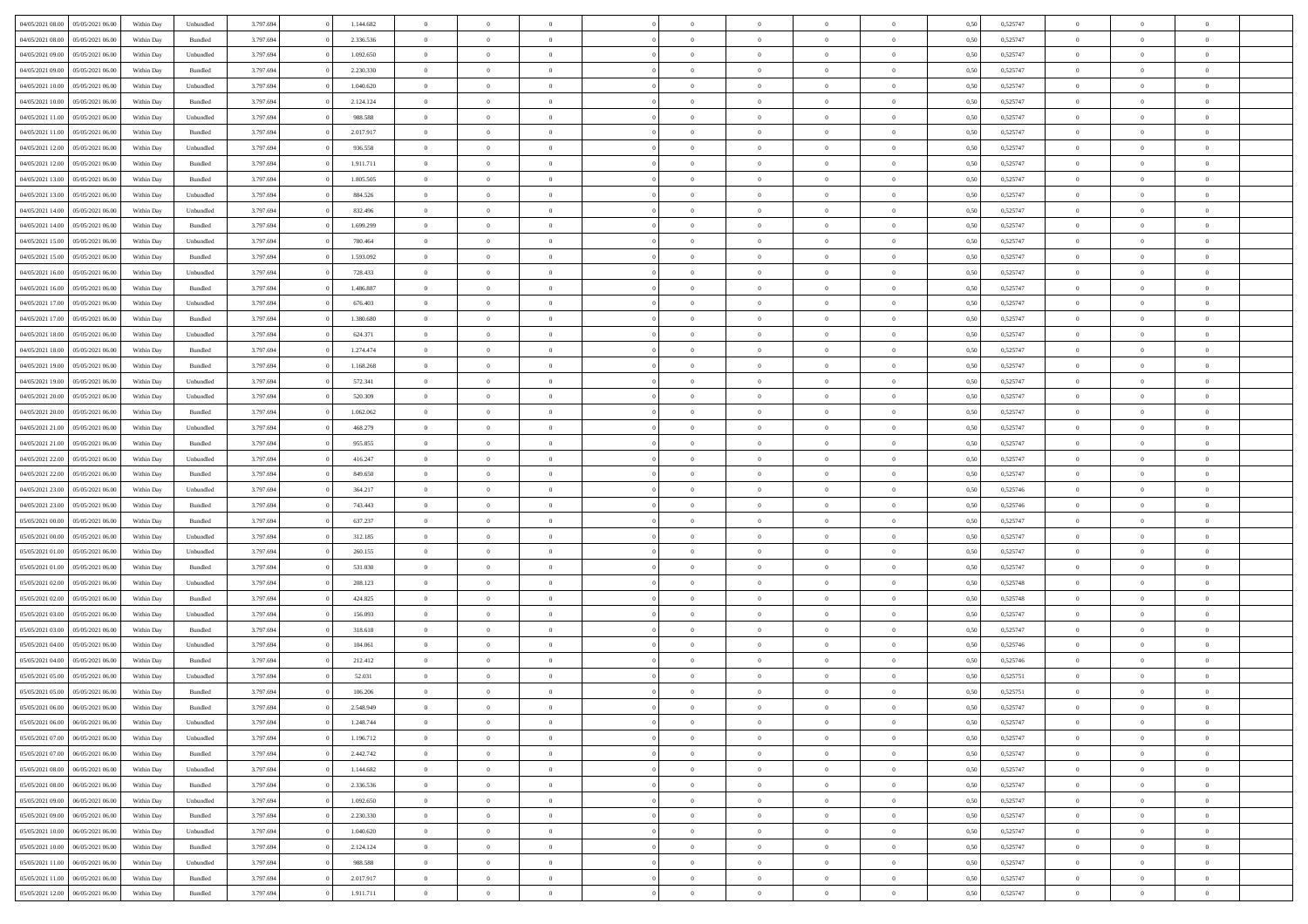| 04/05/2021 08:00                  | 05/05/2021 06:00 | Within Day | Unbundled          | 3.797.694 | 1.144.682 | $\overline{0}$ | $\theta$       |                | $\Omega$       | $\Omega$       | $\overline{0}$ | $\theta$       | 0,50 | 0,525747 | $\theta$       | $\overline{0}$ | $\theta$       |  |
|-----------------------------------|------------------|------------|--------------------|-----------|-----------|----------------|----------------|----------------|----------------|----------------|----------------|----------------|------|----------|----------------|----------------|----------------|--|
|                                   |                  |            |                    |           |           |                |                |                |                |                |                |                |      |          |                |                |                |  |
| 04/05/2021 08:00                  | 05/05/2021 06:00 | Within Day | Bundled            | 3.797.694 | 2.336.536 | $\overline{0}$ | $\overline{0}$ | $\overline{0}$ | $\overline{0}$ | $\bf{0}$       | $\overline{0}$ | $\bf{0}$       | 0,50 | 0,525747 | $\theta$       | $\overline{0}$ | $\overline{0}$ |  |
| 04/05/2021 09:00                  | 05/05/2021 06:00 | Within Day | Unbundled          | 3.797.694 | 1.092.650 | $\overline{0}$ | $\bf{0}$       | $\overline{0}$ | $\bf{0}$       | $\bf{0}$       | $\bf{0}$       | $\mathbf{0}$   | 0,50 | 0,525747 | $\overline{0}$ | $\overline{0}$ | $\overline{0}$ |  |
| 04/05/2021 09:00                  | 05/05/2021 06:00 | Within Dav | Bundled            | 3.797.694 | 2.230.330 | $\overline{0}$ | $\overline{0}$ | $\overline{0}$ | $\overline{0}$ | $\bf{0}$       | $\overline{0}$ | $\overline{0}$ | 0.50 | 0,525747 | $\theta$       | $\theta$       | $\overline{0}$ |  |
| 04/05/2021 10:00                  | 05/05/2021 06:00 | Within Day | Unbundled          | 3.797.694 | 1.040.620 | $\overline{0}$ | $\theta$       | $\overline{0}$ | $\overline{0}$ | $\bf{0}$       | $\overline{0}$ | $\bf{0}$       | 0,50 | 0,525747 | $\theta$       | $\overline{0}$ | $\overline{0}$ |  |
|                                   |                  |            |                    |           |           |                |                |                |                |                |                |                |      |          |                |                |                |  |
| 04/05/2021 10:00                  | 05/05/2021 06:00 | Within Day | Bundled            | 3.797.694 | 2.124.124 | $\overline{0}$ | $\overline{0}$ | $\overline{0}$ | $\bf{0}$       | $\overline{0}$ | $\overline{0}$ | $\mathbf{0}$   | 0,50 | 0,525747 | $\overline{0}$ | $\overline{0}$ | $\bf{0}$       |  |
| 04/05/2021 11:00                  | 05/05/2021 06:00 | Within Dav | Unbundled          | 3.797.694 | 988.588   | $\overline{0}$ | $\overline{0}$ | $\overline{0}$ | $\overline{0}$ | $\overline{0}$ | $\overline{0}$ | $\overline{0}$ | 0.50 | 0,525747 | $\theta$       | $\overline{0}$ | $\overline{0}$ |  |
| 04/05/2021 11:00                  | 05/05/2021 06:00 | Within Day | Bundled            | 3.797.694 | 2.017.917 | $\overline{0}$ | $\theta$       | $\overline{0}$ | $\overline{0}$ | $\bf{0}$       | $\overline{0}$ | $\bf{0}$       | 0,50 | 0,525747 | $\theta$       | $\theta$       | $\overline{0}$ |  |
| 04/05/2021 12:00                  | 05/05/2021 06:00 | Within Day | Unbundled          | 3.797.694 | 936.558   | $\overline{0}$ | $\overline{0}$ | $\overline{0}$ | $\bf{0}$       | $\bf{0}$       | $\bf{0}$       | $\bf{0}$       | 0,50 | 0,525747 | $\,0\,$        | $\overline{0}$ | $\overline{0}$ |  |
| 04/05/2021 12:00                  | 05/05/2021 06:00 | Within Dav | Bundled            | 3.797.694 | 1.911.711 | $\overline{0}$ | $\overline{0}$ | $\overline{0}$ | $\overline{0}$ | $\overline{0}$ | $\overline{0}$ | $\overline{0}$ | 0.50 | 0,525747 | $\theta$       | $\overline{0}$ | $\overline{0}$ |  |
| 04/05/2021 13:00                  | 05/05/2021 06:00 | Within Day | Bundled            | 3.797.694 | 1.805.505 | $\overline{0}$ | $\theta$       | $\overline{0}$ | $\overline{0}$ | $\bf{0}$       | $\overline{0}$ | $\bf{0}$       | 0,50 | 0,525747 | $\,$ 0 $\,$    | $\overline{0}$ | $\overline{0}$ |  |
|                                   |                  |            |                    |           |           |                |                |                |                | $\bf{0}$       |                |                |      |          |                | $\overline{0}$ | $\bf{0}$       |  |
| 04/05/2021 13:00                  | 05/05/2021 06:00 | Within Day | Unbundled          | 3.797.694 | 884.526   | $\overline{0}$ | $\overline{0}$ | $\overline{0}$ | $\overline{0}$ |                | $\overline{0}$ | $\mathbf{0}$   | 0,50 | 0,525747 | $\bf{0}$       |                |                |  |
| 04/05/2021 14:00                  | 05/05/2021 06:00 | Within Dav | Unbundled          | 3.797.694 | 832.496   | $\overline{0}$ | $\overline{0}$ | $\overline{0}$ | $\overline{0}$ | $\bf{0}$       | $\overline{0}$ | $\overline{0}$ | 0.50 | 0,525747 | $\theta$       | $\theta$       | $\overline{0}$ |  |
| 04/05/2021 14:00                  | 05/05/2021 06:00 | Within Day | Bundled            | 3.797.694 | 1.699.299 | $\overline{0}$ | $\theta$       | $\overline{0}$ | $\overline{0}$ | $\bf{0}$       | $\overline{0}$ | $\bf{0}$       | 0,50 | 0,525747 | $\theta$       | $\overline{0}$ | $\overline{0}$ |  |
| 04/05/2021 15:00                  | 05/05/2021 06:00 | Within Day | Unbundled          | 3.797.694 | 780.464   | $\overline{0}$ | $\overline{0}$ | $\overline{0}$ | $\overline{0}$ | $\overline{0}$ | $\overline{0}$ | $\mathbf{0}$   | 0,50 | 0,525747 | $\bf{0}$       | $\overline{0}$ | $\bf{0}$       |  |
| 04/05/2021 15:00                  | 05/05/2021 06:00 | Within Dav | Bundled            | 3.797.694 | 1.593.092 | $\overline{0}$ | $\overline{0}$ | $\overline{0}$ | $\overline{0}$ | $\overline{0}$ | $\overline{0}$ | $\overline{0}$ | 0.50 | 0,525747 | $\theta$       | $\overline{0}$ | $\overline{0}$ |  |
| 04/05/2021 16:00                  | 05/05/2021 06:00 | Within Day | Unbundled          | 3.797.694 | 728.433   | $\overline{0}$ | $\theta$       | $\overline{0}$ | $\overline{0}$ | $\bf{0}$       | $\overline{0}$ | $\bf{0}$       | 0,50 | 0,525747 | $\theta$       | $\theta$       | $\overline{0}$ |  |
| 04/05/2021 16:00                  | 05/05/2021 06:00 | Within Day | Bundled            | 3.797.694 | 1.486.887 | $\overline{0}$ | $\overline{0}$ | $\overline{0}$ | $\overline{0}$ | $\bf{0}$       | $\overline{0}$ | $\bf{0}$       | 0,50 | 0,525747 | $\bf{0}$       | $\overline{0}$ | $\bf{0}$       |  |
| 04/05/2021 17:00                  | 05/05/2021 06:00 | Within Dav | Unbundled          | 3.797.694 | 676.403   | $\overline{0}$ | $\overline{0}$ | $\overline{0}$ | $\overline{0}$ | $\overline{0}$ | $\overline{0}$ | $\overline{0}$ | 0.50 | 0,525747 | $\theta$       | $\overline{0}$ | $\overline{0}$ |  |
|                                   |                  |            |                    |           |           |                |                |                |                |                |                |                |      |          |                |                |                |  |
| 04/05/2021 17:00                  | 05/05/2021 06:00 | Within Day | Bundled            | 3.797.694 | 1.380.680 | $\overline{0}$ | $\theta$       | $\overline{0}$ | $\overline{0}$ | $\bf{0}$       | $\overline{0}$ | $\bf{0}$       | 0,50 | 0,525747 | $\,$ 0 $\,$    | $\overline{0}$ | $\overline{0}$ |  |
| 04/05/2021 18:00                  | 05/05/2021 06:00 | Within Day | Unbundled          | 3.797.694 | 624.371   | $\overline{0}$ | $\overline{0}$ | $\overline{0}$ | $\overline{0}$ | $\bf{0}$       | $\overline{0}$ | $\bf{0}$       | 0,50 | 0,525747 | $\bf{0}$       | $\overline{0}$ | $\bf{0}$       |  |
| 04/05/2021 18:00                  | 05/05/2021 06:00 | Within Dav | Bundled            | 3.797.694 | 1.274.474 | $\overline{0}$ | $\overline{0}$ | $\overline{0}$ | $\overline{0}$ | $\bf{0}$       | $\overline{0}$ | $\overline{0}$ | 0.50 | 0,525747 | $\theta$       | $\overline{0}$ | $\overline{0}$ |  |
| 04/05/2021 19:00                  | 05/05/2021 06:00 | Within Day | Bundled            | 3.797.694 | 1.168.268 | $\overline{0}$ | $\theta$       | $\overline{0}$ | $\overline{0}$ | $\bf{0}$       | $\overline{0}$ | $\bf{0}$       | 0,50 | 0,525747 | $\,$ 0 $\,$    | $\overline{0}$ | $\overline{0}$ |  |
| 04/05/2021 19:00                  | 05/05/2021 06:00 | Within Day | Unbundled          | 3.797.694 | 572.341   | $\overline{0}$ | $\overline{0}$ | $\overline{0}$ | $\overline{0}$ | $\overline{0}$ | $\overline{0}$ | $\mathbf{0}$   | 0,50 | 0,525747 | $\bf{0}$       | $\overline{0}$ | $\bf{0}$       |  |
| 04/05/2021 20:00                  | 05/05/2021 06:00 | Within Dav | Unbundled          | 3.797.694 | 520.309   | $\overline{0}$ | $\overline{0}$ | $\overline{0}$ | $\overline{0}$ | $\overline{0}$ | $\overline{0}$ | $\overline{0}$ | 0.50 | 0,525747 | $\theta$       | $\overline{0}$ | $\overline{0}$ |  |
| 04/05/2021 20:00                  | 05/05/2021 06:00 | Within Day | Bundled            | 3.797.694 | 1.062.062 | $\overline{0}$ | $\theta$       | $\overline{0}$ | $\overline{0}$ | $\bf{0}$       | $\overline{0}$ | $\bf{0}$       | 0,50 | 0,525747 | $\theta$       | $\theta$       | $\overline{0}$ |  |
|                                   |                  |            |                    |           |           |                |                |                |                |                |                |                |      |          |                |                |                |  |
| 04/05/2021 21.00                  | 05/05/2021 06:00 | Within Day | Unbundled          | 3.797.694 | 468.279   | $\overline{0}$ | $\overline{0}$ | $\overline{0}$ | $\overline{0}$ | $\bf{0}$       | $\overline{0}$ | $\bf{0}$       | 0,50 | 0,525747 | $\,0\,$        | $\overline{0}$ | $\overline{0}$ |  |
| 04/05/2021 21.00                  | 05/05/2021 06:00 | Within Day | Bundled            | 3.797.694 | 955.855   | $\overline{0}$ | $\overline{0}$ | $\overline{0}$ | $\overline{0}$ | $\overline{0}$ | $\overline{0}$ | $\overline{0}$ | 0.50 | 0,525747 | $\theta$       | $\overline{0}$ | $\overline{0}$ |  |
| 04/05/2021 22.00                  | 05/05/2021 06:00 | Within Day | Unbundled          | 3.797.694 | 416.247   | $\overline{0}$ | $\theta$       | $\overline{0}$ | $\overline{0}$ | $\bf{0}$       | $\overline{0}$ | $\bf{0}$       | 0,50 | 0,525747 | $\,$ 0 $\,$    | $\overline{0}$ | $\overline{0}$ |  |
| 04/05/2021 22.00                  | 05/05/2021 06:00 | Within Day | Bundled            | 3.797.694 | 849.650   | $\overline{0}$ | $\overline{0}$ | $\overline{0}$ | $\overline{0}$ | $\bf{0}$       | $\overline{0}$ | $\bf{0}$       | 0,50 | 0,525747 | $\bf{0}$       | $\overline{0}$ | $\bf{0}$       |  |
| 04/05/2021 23:00                  | 05/05/2021 06:00 | Within Day | Unbundled          | 3.797.694 | 364.217   | $\overline{0}$ | $\Omega$       | $\Omega$       | $\Omega$       | $\Omega$       | $\Omega$       | $\overline{0}$ | 0,50 | 0,525746 | $\,0\,$        | $\theta$       | $\theta$       |  |
| 04/05/2021 23:00                  | 05/05/2021 06:00 | Within Day | Bundled            | 3.797.694 | 743.443   | $\overline{0}$ | $\theta$       | $\overline{0}$ | $\overline{0}$ | $\bf{0}$       | $\overline{0}$ | $\bf{0}$       | 0,50 | 0,525746 | $\,$ 0 $\,$    | $\overline{0}$ | $\overline{0}$ |  |
| 05/05/2021 00:00                  | 05/05/2021 06:00 | Within Day | Bundled            | 3.797.694 | 637.237   | $\overline{0}$ | $\overline{0}$ | $\overline{0}$ | $\overline{0}$ | $\overline{0}$ | $\overline{0}$ | $\mathbf{0}$   | 0,50 | 0,525747 | $\bf{0}$       | $\overline{0}$ | $\bf{0}$       |  |
|                                   |                  |            |                    |           |           |                |                |                |                |                |                |                |      |          |                |                |                |  |
| 05/05/2021 00:00                  | 05/05/2021 06:00 | Within Day | Unbundled          | 3.797.694 | 312.185   | $\overline{0}$ | $\Omega$       | $\Omega$       | $\Omega$       | $\bf{0}$       | $\overline{0}$ | $\overline{0}$ | 0.50 | 0,525747 | $\,$ 0 $\,$    | $\theta$       | $\theta$       |  |
| 05/05/2021 01:00                  | 05/05/2021 06:00 | Within Day | Unbundled          | 3.797.694 | 260.155   | $\overline{0}$ | $\theta$       | $\overline{0}$ | $\overline{0}$ | $\bf{0}$       | $\overline{0}$ | $\bf{0}$       | 0,50 | 0,525747 | $\,$ 0 $\,$    | $\overline{0}$ | $\overline{0}$ |  |
| 05/05/2021 01:00                  | 05/05/2021 06:00 | Within Day | Bundled            | 3.797.694 | 531.030   | $\overline{0}$ | $\overline{0}$ | $\overline{0}$ | $\overline{0}$ | $\bf{0}$       | $\overline{0}$ | $\bf{0}$       | 0,50 | 0,525747 | $\bf{0}$       | $\overline{0}$ | $\bf{0}$       |  |
| 05/05/2021 02:00                  | 05/05/2021 06:00 | Within Day | Unbundled          | 3.797.694 | 208.123   | $\overline{0}$ | $\Omega$       | $\Omega$       | $\Omega$       | $\theta$       | $\theta$       | $\overline{0}$ | 0.50 | 0,525748 | $\,$ 0 $\,$    | $\theta$       | $\theta$       |  |
| 05/05/2021 02:00                  | 05/05/2021 06:00 | Within Day | Bundled            | 3.797.694 | 424.825   | $\overline{0}$ | $\overline{0}$ | $\overline{0}$ | $\overline{0}$ | $\bf{0}$       | $\overline{0}$ | $\bf{0}$       | 0,50 | 0,525748 | $\,$ 0 $\,$    | $\overline{0}$ | $\overline{0}$ |  |
| 05/05/2021 03:00                  | 05/05/2021 06:00 | Within Day | Unbundled          | 3.797.694 | 156.093   | $\overline{0}$ | $\overline{0}$ | $\overline{0}$ | $\bf{0}$       | $\bf{0}$       | $\bf{0}$       | $\bf{0}$       | 0,50 | 0,525747 | $\overline{0}$ | $\overline{0}$ | $\bf{0}$       |  |
| 05/05/2021 03:00                  | 05/05/2021 06:00 | Within Day | Bundled            | 3.797.694 | 318.618   | $\overline{0}$ | $\Omega$       | $\overline{0}$ | $\Omega$       | $\overline{0}$ | $\overline{0}$ | $\overline{0}$ | 0,50 | 0,525747 | $\,0\,$        | $\theta$       | $\theta$       |  |
| 05/05/2021 04:00                  | 05/05/2021 06:00 | Within Day | Unbundled          | 3.797.694 | 104.061   | $\overline{0}$ | $\overline{0}$ | $\overline{0}$ | $\overline{0}$ | $\bf{0}$       | $\overline{0}$ | $\bf{0}$       | 0,50 | 0,525746 | $\,$ 0 $\,$    | $\overline{0}$ | $\overline{0}$ |  |
|                                   |                  |            |                    |           |           |                |                |                |                |                |                |                |      |          |                |                |                |  |
| 05/05/2021 04:00                  | 05/05/2021 06:00 | Within Day | Bundled            | 3.797.694 | 212.412   | $\overline{0}$ | $\overline{0}$ | $\overline{0}$ | $\bf{0}$       | $\bf{0}$       | $\bf{0}$       | $\mathbf{0}$   | 0,50 | 0,525746 | $\overline{0}$ | $\overline{0}$ | $\bf{0}$       |  |
| 05/05/2021 05:00                  | 05/05/2021 06:00 | Within Day | Unbundled          | 3.797.694 | 52.031    | $\overline{0}$ | $\Omega$       | $\Omega$       | $\Omega$       | $\Omega$       | $\Omega$       | $\overline{0}$ | 0.50 | 0,525751 | $\theta$       | $\theta$       | $\theta$       |  |
| 05/05/2021 05:00                  | 05/05/2021 06:00 | Within Day | Bundled            | 3.797.694 | 106.206   | $\overline{0}$ | $\overline{0}$ | $\overline{0}$ | $\bf{0}$       | $\,$ 0         | $\bf{0}$       | $\bf{0}$       | 0,50 | 0,525751 | $\,0\,$        | $\,$ 0 $\,$    | $\overline{0}$ |  |
| 05/05/2021 06:00 06/05/2021 06:00 |                  | Within Day | $\mathbf B$ undled | 3.797.694 | 2.548.949 | $\bf{0}$       | $\bf{0}$       |                |                |                |                |                | 0,50 | 0,525747 | $\bf{0}$       | $\overline{0}$ |                |  |
| 05/05/2021 06:00                  | 06/05/2021 06:00 | Within Day | Unbundled          | 3.797.694 | 1.248.744 | $\overline{0}$ | $\overline{0}$ | $\overline{0}$ | $\Omega$       | $\overline{0}$ | $\overline{0}$ | $\overline{0}$ | 0,50 | 0,525747 | $\theta$       | $\theta$       | $\theta$       |  |
| 05/05/2021 07:00                  | 06/05/2021 06:00 | Within Day | Unbundled          | 3.797.694 | 1.196.712 | $\overline{0}$ | $\,$ 0         | $\overline{0}$ | $\overline{0}$ | $\,$ 0 $\,$    | $\overline{0}$ | $\mathbf{0}$   | 0,50 | 0,525747 | $\,$ 0 $\,$    | $\,$ 0 $\,$    | $\,$ 0         |  |
| 05/05/2021 07:00                  | 06/05/2021 06:00 | Within Day | Bundled            | 3.797.694 | 2.442.742 | $\overline{0}$ | $\overline{0}$ | $\overline{0}$ | $\overline{0}$ | $\overline{0}$ | $\overline{0}$ | $\mathbf{0}$   | 0,50 | 0,525747 | $\overline{0}$ | $\bf{0}$       | $\bf{0}$       |  |
|                                   |                  |            |                    |           |           |                | $\overline{0}$ |                | $\Omega$       | $\overline{0}$ | $\overline{0}$ |                |      |          |                | $\theta$       | $\overline{0}$ |  |
| 05/05/2021 08:00                  | 06/05/2021 06:00 | Within Day | Unbundled          | 3.797.694 | 1.144.682 | $\overline{0}$ |                | $\overline{0}$ |                |                |                | $\overline{0}$ | 0,50 | 0,525747 | $\overline{0}$ |                |                |  |
| 05/05/2021 08:00                  | 06/05/2021 06:00 | Within Day | Bundled            | 3.797.694 | 2.336.536 | $\overline{0}$ | $\,$ 0         | $\overline{0}$ | $\overline{0}$ | $\overline{0}$ | $\overline{0}$ | $\bf{0}$       | 0,50 | 0,525747 | $\,$ 0 $\,$    | $\overline{0}$ | $\overline{0}$ |  |
| 05/05/2021 09:00                  | 06/05/2021 06:00 | Within Day | Unbundled          | 3.797.694 | 1.092.650 | $\overline{0}$ | $\overline{0}$ | $\overline{0}$ | $\overline{0}$ | $\overline{0}$ | $\overline{0}$ | $\mathbf{0}$   | 0,50 | 0,525747 | $\overline{0}$ | $\overline{0}$ | $\bf{0}$       |  |
| 05/05/2021 09:00                  | 06/05/2021 06:00 | Within Day | Bundled            | 3.797.694 | 2.230.330 | $\overline{0}$ | $\overline{0}$ | $\overline{0}$ | $\Omega$       | $\overline{0}$ | $\overline{0}$ | $\bf{0}$       | 0.50 | 0,525747 | $\overline{0}$ | $\theta$       | $\overline{0}$ |  |
| 05/05/2021 10:00                  | 06/05/2021 06:00 | Within Day | Unbundled          | 3.797.694 | 1.040.620 | $\overline{0}$ | $\,$ 0         | $\overline{0}$ | $\overline{0}$ | $\bf{0}$       | $\bf{0}$       | $\bf{0}$       | 0,50 | 0,525747 | $\,$ 0 $\,$    | $\overline{0}$ | $\overline{0}$ |  |
| 05/05/2021 10:00                  | 06/05/2021 06:00 | Within Day | Bundled            | 3.797.694 | 2.124.124 | $\overline{0}$ | $\bf{0}$       | $\overline{0}$ | $\overline{0}$ | $\overline{0}$ | $\overline{0}$ | $\mathbf{0}$   | 0,50 | 0,525747 | $\overline{0}$ | $\overline{0}$ | $\bf{0}$       |  |
| 05/05/2021 11:00                  | 06/05/2021 06:00 | Within Day | Unbundled          | 3.797.694 | 988,588   | $\overline{0}$ | $\overline{0}$ | $\overline{0}$ | $\Omega$       | $\overline{0}$ | $\overline{0}$ | $\bf{0}$       | 0.50 | 0,525747 | $\overline{0}$ | $\theta$       | $\overline{0}$ |  |
| 05/05/2021 11:00                  | 06/05/2021 06:00 | Within Day | Bundled            | 3.797.694 | 2.017.917 | $\overline{0}$ | $\bf{0}$       | $\overline{0}$ | $\overline{0}$ | $\bf{0}$       | $\bf{0}$       | $\mathbf{0}$   | 0,50 | 0,525747 | $\,$ 0 $\,$    | $\,$ 0 $\,$    | $\bf{0}$       |  |
|                                   |                  |            |                    |           |           |                |                |                |                |                |                |                |      |          |                |                |                |  |
| 05/05/2021 12:00                  | 06/05/2021 06:00 | Within Day | Bundled            | 3.797.694 | 1.911.711 | $\overline{0}$ | $\overline{0}$ | $\overline{0}$ | $\overline{0}$ | $\bf{0}$       | $\bf{0}$       | $\mathbf{0}$   | 0,50 | 0,525747 | $\overline{0}$ | $\bf{0}$       | $\bf{0}$       |  |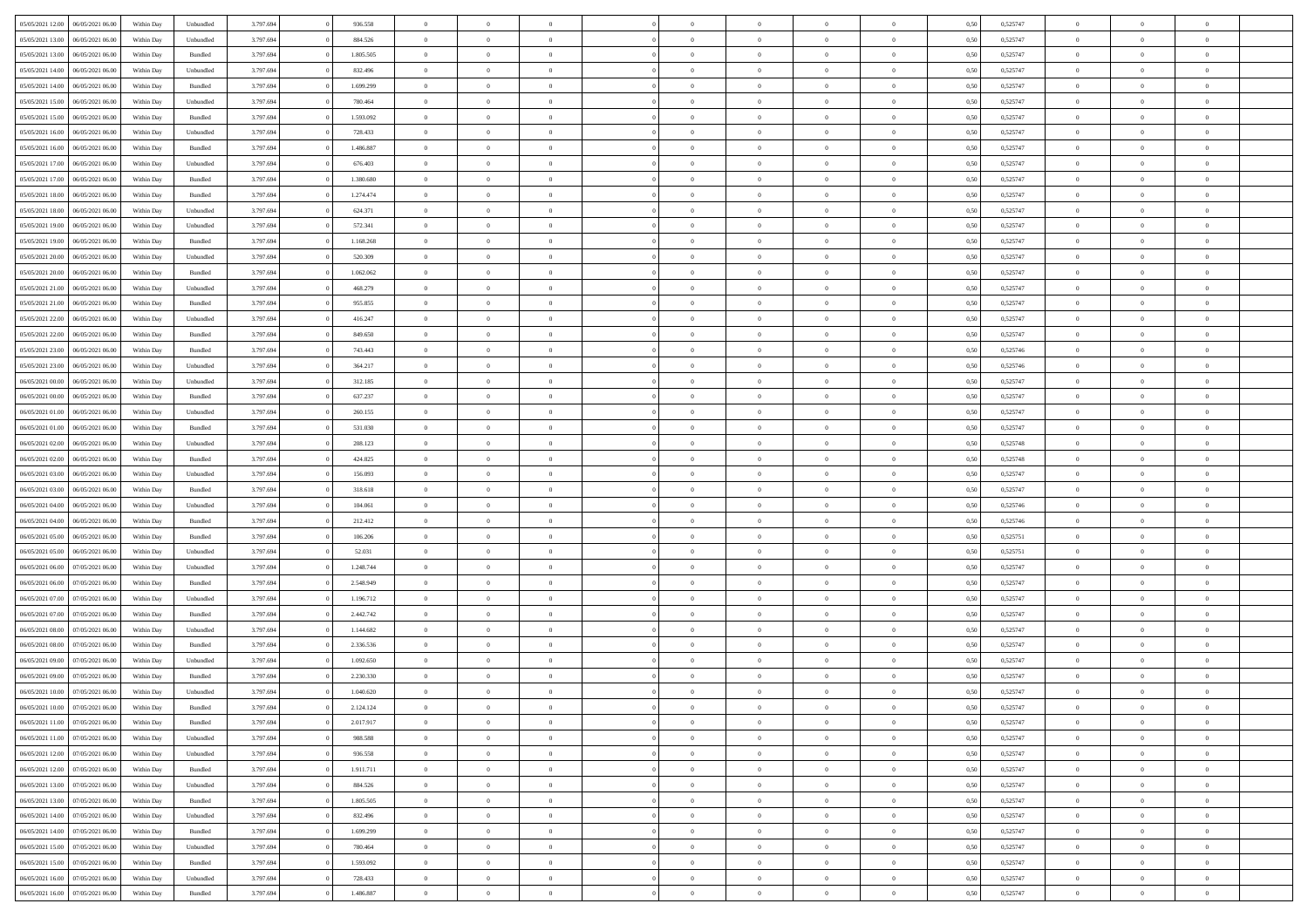| 05/05/2021 12:00 06/05/2021 06:00<br>Within Day<br>3.797.694<br>936.558<br>0,50<br>0,525747<br>$\theta$<br>Unbundled<br>$\overline{0}$<br>$\overline{0}$<br>$\Omega$<br>$\theta$<br>$\Omega$<br>$\overline{0}$<br>$\Omega$<br>05/05/2021 13:00<br>06/05/2021 06:00<br>Unbundled<br>3.797.694<br>884.526<br>$\bf{0}$<br>0,525747<br>$\theta$<br>Within Day<br>$\overline{0}$<br>$\overline{0}$<br>$\overline{0}$<br>$\overline{0}$<br>$\theta$<br>$\overline{0}$<br>0,50<br>05/05/2021 13:00<br>06/05/2021 06:00<br>Within Day<br>Bundled<br>3.797.694<br>1.805.505<br>$\overline{0}$<br>$\bf{0}$<br>$\overline{0}$<br>$\overline{0}$<br>$\overline{0}$<br>$\overline{0}$<br>$\bf{0}$<br>0,50<br>0,525747<br>$\bf{0}$<br>05/05/2021 14:00<br>3.797.694<br>832.496<br>$\overline{0}$<br>0,525747<br>$\theta$<br>06/05/2021 06:00<br>Within Day<br>Unbundled<br>$\overline{0}$<br>$\theta$<br>$\overline{0}$<br>$\overline{0}$<br>0.50<br>$\overline{0}$<br>$\overline{0}$<br>05/05/2021 14:00<br>06/05/2021 06:00<br>Bundled<br>3.797.694<br>1.699.299<br>0,525747<br>$\theta$<br>Within Day<br>$\overline{0}$<br>$\overline{0}$<br>$\overline{0}$<br>$\overline{0}$<br>$\theta$<br>$\overline{0}$<br>$\bf{0}$<br>0,50<br>05/05/2021 15:00<br>06/05/2021 06:00<br>Within Day<br>Unbundled<br>3.797.694<br>780.464<br>$\overline{0}$<br>$\bf{0}$<br>$\overline{0}$<br>$\overline{0}$<br>$\overline{0}$<br>$\overline{0}$<br>$\bf{0}$<br>0,50<br>0,525747<br>$\bf{0}$<br>05/05/2021 15:00<br>3.797.694<br>1.593.092<br>$\overline{0}$<br>0,525747<br>$\theta$<br>06/05/2021 06:00<br>Within Day<br>Bundled<br>$\overline{0}$<br>$\overline{0}$<br>$\overline{0}$<br>$\overline{0}$<br>$\overline{0}$<br>$\overline{0}$<br>0.5(<br>05/05/2021 16:00<br>06/05/2021 06:00<br>3.797.694<br>728.433<br>0,525747<br>Within Day<br>Unbundled<br>$\overline{0}$<br>$\theta$<br>$\overline{0}$<br>$\overline{0}$<br>$\theta$<br>$\overline{0}$<br>$\bf{0}$<br>0,50<br>$\theta$<br>05/05/2021 16:00<br>06/05/2021 06:00<br>Within Day<br>Bundled<br>3.797.694<br>1.486.887<br>$\overline{0}$<br>$\bf{0}$<br>$\overline{0}$<br>$\overline{0}$<br>$\overline{0}$<br>$\overline{0}$<br>$\bf{0}$<br>0,50<br>0,525747<br>$\bf{0}$<br>05/05/2021 17:00<br>06/05/2021 06:00<br>3.797.694<br>676.403<br>$\overline{0}$<br>$\overline{0}$<br>$\overline{0}$<br>$\bf{0}$<br>0,525747<br>$\theta$<br>Within Day<br>Unbundled<br>$\overline{0}$<br>$\overline{0}$<br>$\overline{0}$<br>0.50<br>05/05/2021 17:00<br>06/05/2021 06:00<br>Bundled<br>3.797.694<br>1.380.680<br>0,525747<br>$\theta$<br>Within Day<br>$\overline{0}$<br>$\overline{0}$<br>$\overline{0}$<br>$\overline{0}$<br>$\theta$<br>$\overline{0}$<br>$\bf{0}$<br>0,50<br>05/05/2021 18:00<br>06/05/2021 06:00<br>Within Day<br>Bundled<br>3.797.694<br>1.274.474<br>$\overline{0}$<br>$\bf{0}$<br>$\overline{0}$<br>$\overline{0}$<br>$\bf{0}$<br>$\overline{0}$<br>$\bf{0}$<br>0,50<br>0,525747<br>$\bf{0}$<br>05/05/2021 18:00<br>3.797.694<br>624.371<br>$\overline{0}$<br>0,525747<br>$\theta$<br>06/05/2021 06:00<br>Within Day<br>Unbundled<br>$\overline{0}$<br>$\overline{0}$<br>$\overline{0}$<br>$\overline{0}$<br>0.5(<br>$\overline{0}$<br>$\overline{0}$<br>05/05/2021 19:00<br>06/05/2021 06:00<br>Unbundled<br>3.797.694<br>572.341<br>$\,$ 0 $\,$<br>0,525747<br>$\theta$<br>Within Day<br>$\overline{0}$<br>$\overline{0}$<br>$\overline{0}$<br>$\overline{0}$<br>$\theta$<br>$\overline{0}$<br>0,50 | $\theta$<br>$\theta$<br>$\overline{0}$<br>$\theta$<br>$\theta$<br>$\overline{0}$<br>$\theta$<br>$\theta$<br>$\bf{0}$ | $\theta$<br>$\overline{0}$<br>$\overline{0}$<br>$\overline{0}$<br>$\overline{0}$<br>$\bf{0}$<br>$\overline{0}$ |  |
|----------------------------------------------------------------------------------------------------------------------------------------------------------------------------------------------------------------------------------------------------------------------------------------------------------------------------------------------------------------------------------------------------------------------------------------------------------------------------------------------------------------------------------------------------------------------------------------------------------------------------------------------------------------------------------------------------------------------------------------------------------------------------------------------------------------------------------------------------------------------------------------------------------------------------------------------------------------------------------------------------------------------------------------------------------------------------------------------------------------------------------------------------------------------------------------------------------------------------------------------------------------------------------------------------------------------------------------------------------------------------------------------------------------------------------------------------------------------------------------------------------------------------------------------------------------------------------------------------------------------------------------------------------------------------------------------------------------------------------------------------------------------------------------------------------------------------------------------------------------------------------------------------------------------------------------------------------------------------------------------------------------------------------------------------------------------------------------------------------------------------------------------------------------------------------------------------------------------------------------------------------------------------------------------------------------------------------------------------------------------------------------------------------------------------------------------------------------------------------------------------------------------------------------------------------------------------------------------------------------------------------------------------------------------------------------------------------------------------------------------------------------------------------------------------------------------------------------------------------------------------------------------------------------------------------------------------------------------------------------------------------------------------------------------------------------------------------------------------------------------------------------------------------------------------------------------------------------------------------------------------------------------------------------------------------------------------------------------------------------------------------------------------------------------------------------------------------------|----------------------------------------------------------------------------------------------------------------------|----------------------------------------------------------------------------------------------------------------|--|
|                                                                                                                                                                                                                                                                                                                                                                                                                                                                                                                                                                                                                                                                                                                                                                                                                                                                                                                                                                                                                                                                                                                                                                                                                                                                                                                                                                                                                                                                                                                                                                                                                                                                                                                                                                                                                                                                                                                                                                                                                                                                                                                                                                                                                                                                                                                                                                                                                                                                                                                                                                                                                                                                                                                                                                                                                                                                                                                                                                                                                                                                                                                                                                                                                                                                                                                                                                                                                                                                |                                                                                                                      |                                                                                                                |  |
|                                                                                                                                                                                                                                                                                                                                                                                                                                                                                                                                                                                                                                                                                                                                                                                                                                                                                                                                                                                                                                                                                                                                                                                                                                                                                                                                                                                                                                                                                                                                                                                                                                                                                                                                                                                                                                                                                                                                                                                                                                                                                                                                                                                                                                                                                                                                                                                                                                                                                                                                                                                                                                                                                                                                                                                                                                                                                                                                                                                                                                                                                                                                                                                                                                                                                                                                                                                                                                                                |                                                                                                                      |                                                                                                                |  |
|                                                                                                                                                                                                                                                                                                                                                                                                                                                                                                                                                                                                                                                                                                                                                                                                                                                                                                                                                                                                                                                                                                                                                                                                                                                                                                                                                                                                                                                                                                                                                                                                                                                                                                                                                                                                                                                                                                                                                                                                                                                                                                                                                                                                                                                                                                                                                                                                                                                                                                                                                                                                                                                                                                                                                                                                                                                                                                                                                                                                                                                                                                                                                                                                                                                                                                                                                                                                                                                                |                                                                                                                      |                                                                                                                |  |
|                                                                                                                                                                                                                                                                                                                                                                                                                                                                                                                                                                                                                                                                                                                                                                                                                                                                                                                                                                                                                                                                                                                                                                                                                                                                                                                                                                                                                                                                                                                                                                                                                                                                                                                                                                                                                                                                                                                                                                                                                                                                                                                                                                                                                                                                                                                                                                                                                                                                                                                                                                                                                                                                                                                                                                                                                                                                                                                                                                                                                                                                                                                                                                                                                                                                                                                                                                                                                                                                |                                                                                                                      |                                                                                                                |  |
|                                                                                                                                                                                                                                                                                                                                                                                                                                                                                                                                                                                                                                                                                                                                                                                                                                                                                                                                                                                                                                                                                                                                                                                                                                                                                                                                                                                                                                                                                                                                                                                                                                                                                                                                                                                                                                                                                                                                                                                                                                                                                                                                                                                                                                                                                                                                                                                                                                                                                                                                                                                                                                                                                                                                                                                                                                                                                                                                                                                                                                                                                                                                                                                                                                                                                                                                                                                                                                                                |                                                                                                                      |                                                                                                                |  |
|                                                                                                                                                                                                                                                                                                                                                                                                                                                                                                                                                                                                                                                                                                                                                                                                                                                                                                                                                                                                                                                                                                                                                                                                                                                                                                                                                                                                                                                                                                                                                                                                                                                                                                                                                                                                                                                                                                                                                                                                                                                                                                                                                                                                                                                                                                                                                                                                                                                                                                                                                                                                                                                                                                                                                                                                                                                                                                                                                                                                                                                                                                                                                                                                                                                                                                                                                                                                                                                                |                                                                                                                      |                                                                                                                |  |
|                                                                                                                                                                                                                                                                                                                                                                                                                                                                                                                                                                                                                                                                                                                                                                                                                                                                                                                                                                                                                                                                                                                                                                                                                                                                                                                                                                                                                                                                                                                                                                                                                                                                                                                                                                                                                                                                                                                                                                                                                                                                                                                                                                                                                                                                                                                                                                                                                                                                                                                                                                                                                                                                                                                                                                                                                                                                                                                                                                                                                                                                                                                                                                                                                                                                                                                                                                                                                                                                |                                                                                                                      |                                                                                                                |  |
|                                                                                                                                                                                                                                                                                                                                                                                                                                                                                                                                                                                                                                                                                                                                                                                                                                                                                                                                                                                                                                                                                                                                                                                                                                                                                                                                                                                                                                                                                                                                                                                                                                                                                                                                                                                                                                                                                                                                                                                                                                                                                                                                                                                                                                                                                                                                                                                                                                                                                                                                                                                                                                                                                                                                                                                                                                                                                                                                                                                                                                                                                                                                                                                                                                                                                                                                                                                                                                                                |                                                                                                                      |                                                                                                                |  |
|                                                                                                                                                                                                                                                                                                                                                                                                                                                                                                                                                                                                                                                                                                                                                                                                                                                                                                                                                                                                                                                                                                                                                                                                                                                                                                                                                                                                                                                                                                                                                                                                                                                                                                                                                                                                                                                                                                                                                                                                                                                                                                                                                                                                                                                                                                                                                                                                                                                                                                                                                                                                                                                                                                                                                                                                                                                                                                                                                                                                                                                                                                                                                                                                                                                                                                                                                                                                                                                                |                                                                                                                      | $\overline{0}$                                                                                                 |  |
|                                                                                                                                                                                                                                                                                                                                                                                                                                                                                                                                                                                                                                                                                                                                                                                                                                                                                                                                                                                                                                                                                                                                                                                                                                                                                                                                                                                                                                                                                                                                                                                                                                                                                                                                                                                                                                                                                                                                                                                                                                                                                                                                                                                                                                                                                                                                                                                                                                                                                                                                                                                                                                                                                                                                                                                                                                                                                                                                                                                                                                                                                                                                                                                                                                                                                                                                                                                                                                                                |                                                                                                                      | $\overline{0}$                                                                                                 |  |
|                                                                                                                                                                                                                                                                                                                                                                                                                                                                                                                                                                                                                                                                                                                                                                                                                                                                                                                                                                                                                                                                                                                                                                                                                                                                                                                                                                                                                                                                                                                                                                                                                                                                                                                                                                                                                                                                                                                                                                                                                                                                                                                                                                                                                                                                                                                                                                                                                                                                                                                                                                                                                                                                                                                                                                                                                                                                                                                                                                                                                                                                                                                                                                                                                                                                                                                                                                                                                                                                | $\theta$                                                                                                             | $\overline{0}$                                                                                                 |  |
|                                                                                                                                                                                                                                                                                                                                                                                                                                                                                                                                                                                                                                                                                                                                                                                                                                                                                                                                                                                                                                                                                                                                                                                                                                                                                                                                                                                                                                                                                                                                                                                                                                                                                                                                                                                                                                                                                                                                                                                                                                                                                                                                                                                                                                                                                                                                                                                                                                                                                                                                                                                                                                                                                                                                                                                                                                                                                                                                                                                                                                                                                                                                                                                                                                                                                                                                                                                                                                                                | $\theta$                                                                                                             | $\overline{0}$                                                                                                 |  |
|                                                                                                                                                                                                                                                                                                                                                                                                                                                                                                                                                                                                                                                                                                                                                                                                                                                                                                                                                                                                                                                                                                                                                                                                                                                                                                                                                                                                                                                                                                                                                                                                                                                                                                                                                                                                                                                                                                                                                                                                                                                                                                                                                                                                                                                                                                                                                                                                                                                                                                                                                                                                                                                                                                                                                                                                                                                                                                                                                                                                                                                                                                                                                                                                                                                                                                                                                                                                                                                                | $\overline{0}$                                                                                                       | $\overline{0}$                                                                                                 |  |
|                                                                                                                                                                                                                                                                                                                                                                                                                                                                                                                                                                                                                                                                                                                                                                                                                                                                                                                                                                                                                                                                                                                                                                                                                                                                                                                                                                                                                                                                                                                                                                                                                                                                                                                                                                                                                                                                                                                                                                                                                                                                                                                                                                                                                                                                                                                                                                                                                                                                                                                                                                                                                                                                                                                                                                                                                                                                                                                                                                                                                                                                                                                                                                                                                                                                                                                                                                                                                                                                | $\theta$                                                                                                             | $\overline{0}$                                                                                                 |  |
|                                                                                                                                                                                                                                                                                                                                                                                                                                                                                                                                                                                                                                                                                                                                                                                                                                                                                                                                                                                                                                                                                                                                                                                                                                                                                                                                                                                                                                                                                                                                                                                                                                                                                                                                                                                                                                                                                                                                                                                                                                                                                                                                                                                                                                                                                                                                                                                                                                                                                                                                                                                                                                                                                                                                                                                                                                                                                                                                                                                                                                                                                                                                                                                                                                                                                                                                                                                                                                                                | $\theta$                                                                                                             | $\overline{0}$                                                                                                 |  |
| 05/05/2021 19:00<br>06/05/2021 06:00<br>Within Day<br>Bundled<br>3.797.694<br>1.168.268<br>$\overline{0}$<br>$\bf{0}$<br>$\overline{0}$<br>$\overline{0}$<br>$\overline{0}$<br>$\overline{0}$<br>$\bf{0}$<br>0,50<br>0,525747<br>$\bf{0}$                                                                                                                                                                                                                                                                                                                                                                                                                                                                                                                                                                                                                                                                                                                                                                                                                                                                                                                                                                                                                                                                                                                                                                                                                                                                                                                                                                                                                                                                                                                                                                                                                                                                                                                                                                                                                                                                                                                                                                                                                                                                                                                                                                                                                                                                                                                                                                                                                                                                                                                                                                                                                                                                                                                                                                                                                                                                                                                                                                                                                                                                                                                                                                                                                      | $\overline{0}$                                                                                                       | $\bf{0}$                                                                                                       |  |
| 05/05/2021 20:00<br>06/05/2021 06:00<br>3.797.694<br>520.309<br>$\overline{0}$<br>$\overline{0}$<br>0,525747<br>$\theta$<br>Within Day<br>Unbundled<br>$\overline{0}$<br>$\overline{0}$<br>$\overline{0}$<br>$\overline{0}$<br>$\overline{0}$<br>0.5(                                                                                                                                                                                                                                                                                                                                                                                                                                                                                                                                                                                                                                                                                                                                                                                                                                                                                                                                                                                                                                                                                                                                                                                                                                                                                                                                                                                                                                                                                                                                                                                                                                                                                                                                                                                                                                                                                                                                                                                                                                                                                                                                                                                                                                                                                                                                                                                                                                                                                                                                                                                                                                                                                                                                                                                                                                                                                                                                                                                                                                                                                                                                                                                                          | $\theta$                                                                                                             | $\overline{0}$                                                                                                 |  |
| 05/05/2021 20:00<br>06/05/2021 06:00<br>3.797.694<br>1.062.062<br>0,525747<br>Within Day<br>Bundled<br>$\bf{0}$<br>$\theta$<br>$\overline{0}$<br>$\overline{0}$<br>$\theta$<br>$\overline{0}$<br>$\bf{0}$<br>0,50<br>$\theta$                                                                                                                                                                                                                                                                                                                                                                                                                                                                                                                                                                                                                                                                                                                                                                                                                                                                                                                                                                                                                                                                                                                                                                                                                                                                                                                                                                                                                                                                                                                                                                                                                                                                                                                                                                                                                                                                                                                                                                                                                                                                                                                                                                                                                                                                                                                                                                                                                                                                                                                                                                                                                                                                                                                                                                                                                                                                                                                                                                                                                                                                                                                                                                                                                                  | $\theta$                                                                                                             | $\overline{0}$                                                                                                 |  |
| 05/05/2021 21:00<br>06/05/2021 06:00<br>Within Day<br>Unbundled<br>3.797.694<br>468.279<br>$\overline{0}$<br>$\bf{0}$<br>$\overline{0}$<br>$\overline{0}$<br>$\overline{0}$<br>$\overline{0}$<br>$\bf{0}$<br>0,50<br>0,525747<br>$\bf{0}$                                                                                                                                                                                                                                                                                                                                                                                                                                                                                                                                                                                                                                                                                                                                                                                                                                                                                                                                                                                                                                                                                                                                                                                                                                                                                                                                                                                                                                                                                                                                                                                                                                                                                                                                                                                                                                                                                                                                                                                                                                                                                                                                                                                                                                                                                                                                                                                                                                                                                                                                                                                                                                                                                                                                                                                                                                                                                                                                                                                                                                                                                                                                                                                                                      | $\overline{0}$                                                                                                       | $\overline{0}$                                                                                                 |  |
| 05/05/2021 21:00<br>06/05/2021 06:00<br>3.797.694<br>955.855<br>$\overline{0}$<br>$\overline{0}$<br>$\overline{0}$<br>0,525747<br>$\theta$<br>Within Day<br>Bundled<br>$\overline{0}$<br>$\overline{0}$<br>$\overline{0}$<br>$\overline{0}$<br>0.50                                                                                                                                                                                                                                                                                                                                                                                                                                                                                                                                                                                                                                                                                                                                                                                                                                                                                                                                                                                                                                                                                                                                                                                                                                                                                                                                                                                                                                                                                                                                                                                                                                                                                                                                                                                                                                                                                                                                                                                                                                                                                                                                                                                                                                                                                                                                                                                                                                                                                                                                                                                                                                                                                                                                                                                                                                                                                                                                                                                                                                                                                                                                                                                                            | $\theta$                                                                                                             | $\overline{0}$                                                                                                 |  |
| 05/05/2021 22:00<br>06/05/2021 06:00<br>Unbundled<br>3.797.694<br>416.247<br>0,525747<br>Within Day<br>$\bf{0}$<br>$\overline{0}$<br>$\overline{0}$<br>$\overline{0}$<br>$\theta$<br>$\overline{0}$<br>$\bf{0}$<br>0,50<br>$\theta$                                                                                                                                                                                                                                                                                                                                                                                                                                                                                                                                                                                                                                                                                                                                                                                                                                                                                                                                                                                                                                                                                                                                                                                                                                                                                                                                                                                                                                                                                                                                                                                                                                                                                                                                                                                                                                                                                                                                                                                                                                                                                                                                                                                                                                                                                                                                                                                                                                                                                                                                                                                                                                                                                                                                                                                                                                                                                                                                                                                                                                                                                                                                                                                                                            | $\theta$                                                                                                             | $\overline{0}$                                                                                                 |  |
| 05/05/2021 22.00<br>06/05/2021 06:00<br>Within Day<br>Bundled<br>3.797.694<br>849.650<br>$\overline{0}$<br>$\bf{0}$<br>$\overline{0}$<br>$\overline{0}$<br>$\overline{0}$<br>$\overline{0}$<br>$\bf{0}$<br>0,50<br>0,525747<br>$\bf{0}$                                                                                                                                                                                                                                                                                                                                                                                                                                                                                                                                                                                                                                                                                                                                                                                                                                                                                                                                                                                                                                                                                                                                                                                                                                                                                                                                                                                                                                                                                                                                                                                                                                                                                                                                                                                                                                                                                                                                                                                                                                                                                                                                                                                                                                                                                                                                                                                                                                                                                                                                                                                                                                                                                                                                                                                                                                                                                                                                                                                                                                                                                                                                                                                                                        | $\bf{0}$                                                                                                             | $\overline{0}$                                                                                                 |  |
| 05/05/2021 23:00<br>3.797.694<br>$\overline{0}$<br>0,525746<br>$\theta$<br>06/05/2021 06:00<br>Within Day<br>Bundled<br>743.443<br>$\overline{0}$<br>$\overline{0}$<br>$\overline{0}$<br>$\overline{0}$<br>0.5(<br>$\overline{0}$<br>$\overline{0}$                                                                                                                                                                                                                                                                                                                                                                                                                                                                                                                                                                                                                                                                                                                                                                                                                                                                                                                                                                                                                                                                                                                                                                                                                                                                                                                                                                                                                                                                                                                                                                                                                                                                                                                                                                                                                                                                                                                                                                                                                                                                                                                                                                                                                                                                                                                                                                                                                                                                                                                                                                                                                                                                                                                                                                                                                                                                                                                                                                                                                                                                                                                                                                                                            | $\theta$                                                                                                             | $\overline{0}$                                                                                                 |  |
| 05/05/2021 23:00<br>06/05/2021 06:00<br>Unbundled<br>3.797.694<br>364.217<br>$\bf{0}$<br>0,525746<br>$\theta$<br>$\overline{0}$<br>$\overline{0}$<br>$\overline{0}$<br>$\overline{0}$<br>$\theta$<br>$\overline{0}$                                                                                                                                                                                                                                                                                                                                                                                                                                                                                                                                                                                                                                                                                                                                                                                                                                                                                                                                                                                                                                                                                                                                                                                                                                                                                                                                                                                                                                                                                                                                                                                                                                                                                                                                                                                                                                                                                                                                                                                                                                                                                                                                                                                                                                                                                                                                                                                                                                                                                                                                                                                                                                                                                                                                                                                                                                                                                                                                                                                                                                                                                                                                                                                                                                            | $\theta$                                                                                                             | $\overline{0}$                                                                                                 |  |
| Within Day<br>0,50                                                                                                                                                                                                                                                                                                                                                                                                                                                                                                                                                                                                                                                                                                                                                                                                                                                                                                                                                                                                                                                                                                                                                                                                                                                                                                                                                                                                                                                                                                                                                                                                                                                                                                                                                                                                                                                                                                                                                                                                                                                                                                                                                                                                                                                                                                                                                                                                                                                                                                                                                                                                                                                                                                                                                                                                                                                                                                                                                                                                                                                                                                                                                                                                                                                                                                                                                                                                                                             |                                                                                                                      |                                                                                                                |  |
| 06/05/2021 00:00<br>06/05/2021 06:00<br>Within Day<br>Unbundled<br>3.797.694<br>312.185<br>$\overline{0}$<br>$\bf{0}$<br>$\overline{0}$<br>$\overline{0}$<br>$\overline{0}$<br>$\overline{0}$<br>$\bf{0}$<br>0,50<br>0,525747<br>$\overline{0}$                                                                                                                                                                                                                                                                                                                                                                                                                                                                                                                                                                                                                                                                                                                                                                                                                                                                                                                                                                                                                                                                                                                                                                                                                                                                                                                                                                                                                                                                                                                                                                                                                                                                                                                                                                                                                                                                                                                                                                                                                                                                                                                                                                                                                                                                                                                                                                                                                                                                                                                                                                                                                                                                                                                                                                                                                                                                                                                                                                                                                                                                                                                                                                                                                | $\overline{0}$                                                                                                       | $\bf{0}$                                                                                                       |  |
| 06/05/2021 00:00<br>3.797.694<br>637.237<br>$\overline{0}$<br>0,525747<br>$\theta$<br>06/05/2021 06:00<br>Within Day<br>Bundled<br>$\overline{0}$<br>$\overline{0}$<br>$\overline{0}$<br>$\overline{0}$<br>$\overline{0}$<br>$\overline{0}$<br>0.5(                                                                                                                                                                                                                                                                                                                                                                                                                                                                                                                                                                                                                                                                                                                                                                                                                                                                                                                                                                                                                                                                                                                                                                                                                                                                                                                                                                                                                                                                                                                                                                                                                                                                                                                                                                                                                                                                                                                                                                                                                                                                                                                                                                                                                                                                                                                                                                                                                                                                                                                                                                                                                                                                                                                                                                                                                                                                                                                                                                                                                                                                                                                                                                                                            | $\theta$                                                                                                             | $\overline{0}$                                                                                                 |  |
| 06/05/2021 01:00<br>06/05/2021 06:00<br>3.797.694<br>260.155<br>0,525747<br>Within Day<br>Unbundled<br>$\overline{0}$<br>$\overline{0}$<br>$\overline{0}$<br>$\overline{0}$<br>$\theta$<br>$\overline{0}$<br>$\bf{0}$<br>0,50<br>$\theta$                                                                                                                                                                                                                                                                                                                                                                                                                                                                                                                                                                                                                                                                                                                                                                                                                                                                                                                                                                                                                                                                                                                                                                                                                                                                                                                                                                                                                                                                                                                                                                                                                                                                                                                                                                                                                                                                                                                                                                                                                                                                                                                                                                                                                                                                                                                                                                                                                                                                                                                                                                                                                                                                                                                                                                                                                                                                                                                                                                                                                                                                                                                                                                                                                      | $\theta$                                                                                                             | $\overline{0}$                                                                                                 |  |
| 06/05/2021 01:00<br>06/05/2021 06:00<br>Within Day<br>Bundled<br>3.797.694<br>531.030<br>$\overline{0}$<br>$\bf{0}$<br>$\overline{0}$<br>$\overline{0}$<br>$\overline{0}$<br>$\overline{0}$<br>$\bf{0}$<br>0,50<br>0,525747<br>$\bf{0}$                                                                                                                                                                                                                                                                                                                                                                                                                                                                                                                                                                                                                                                                                                                                                                                                                                                                                                                                                                                                                                                                                                                                                                                                                                                                                                                                                                                                                                                                                                                                                                                                                                                                                                                                                                                                                                                                                                                                                                                                                                                                                                                                                                                                                                                                                                                                                                                                                                                                                                                                                                                                                                                                                                                                                                                                                                                                                                                                                                                                                                                                                                                                                                                                                        | $\bf{0}$                                                                                                             | $\overline{0}$                                                                                                 |  |
| 06/05/2021 02:00<br>06/05/2021 06:00<br>3.797.694<br>$\overline{0}$<br>$\overline{0}$<br>$\overline{0}$<br>0,525748<br>$\theta$<br>Within Day<br>Unbundled<br>208,123<br>$\overline{0}$<br>$\overline{0}$<br>$\overline{0}$<br>$\overline{0}$<br>0.5(                                                                                                                                                                                                                                                                                                                                                                                                                                                                                                                                                                                                                                                                                                                                                                                                                                                                                                                                                                                                                                                                                                                                                                                                                                                                                                                                                                                                                                                                                                                                                                                                                                                                                                                                                                                                                                                                                                                                                                                                                                                                                                                                                                                                                                                                                                                                                                                                                                                                                                                                                                                                                                                                                                                                                                                                                                                                                                                                                                                                                                                                                                                                                                                                          | $\theta$                                                                                                             | $\overline{0}$                                                                                                 |  |
| 06/05/2021 02:00<br>06/05/2021 06:00<br>Bundled<br>3.797.694<br>424.825<br>0,525748<br>Within Day<br>$\bf{0}$<br>$\overline{0}$<br>$\overline{0}$<br>$\overline{0}$<br>$\theta$<br>$\overline{0}$<br>$\bf{0}$<br>0,50<br>$\theta$                                                                                                                                                                                                                                                                                                                                                                                                                                                                                                                                                                                                                                                                                                                                                                                                                                                                                                                                                                                                                                                                                                                                                                                                                                                                                                                                                                                                                                                                                                                                                                                                                                                                                                                                                                                                                                                                                                                                                                                                                                                                                                                                                                                                                                                                                                                                                                                                                                                                                                                                                                                                                                                                                                                                                                                                                                                                                                                                                                                                                                                                                                                                                                                                                              | $\theta$                                                                                                             | $\overline{0}$                                                                                                 |  |
| 06/05/2021 03:00<br>06/05/2021 06:00<br>Within Day<br>Unbundled<br>3.797.694<br>156.093<br>$\overline{0}$<br>$\bf{0}$<br>$\overline{0}$<br>$\overline{0}$<br>$\bf{0}$<br>$\overline{0}$<br>$\bf{0}$<br>0,50<br>0,525747<br>$\bf{0}$                                                                                                                                                                                                                                                                                                                                                                                                                                                                                                                                                                                                                                                                                                                                                                                                                                                                                                                                                                                                                                                                                                                                                                                                                                                                                                                                                                                                                                                                                                                                                                                                                                                                                                                                                                                                                                                                                                                                                                                                                                                                                                                                                                                                                                                                                                                                                                                                                                                                                                                                                                                                                                                                                                                                                                                                                                                                                                                                                                                                                                                                                                                                                                                                                            | $\overline{0}$                                                                                                       | $\overline{0}$                                                                                                 |  |
| 3.797.694<br>06/05/2021 03:00<br>06/05/2021 06.00<br>318.618<br>$\overline{0}$<br>0,525747<br>$\,$ 0 $\,$<br>Within Day<br>Bundled<br>$\overline{0}$<br>$\Omega$<br>$\Omega$<br>$\Omega$<br>$\theta$<br>$\overline{0}$<br>0,50                                                                                                                                                                                                                                                                                                                                                                                                                                                                                                                                                                                                                                                                                                                                                                                                                                                                                                                                                                                                                                                                                                                                                                                                                                                                                                                                                                                                                                                                                                                                                                                                                                                                                                                                                                                                                                                                                                                                                                                                                                                                                                                                                                                                                                                                                                                                                                                                                                                                                                                                                                                                                                                                                                                                                                                                                                                                                                                                                                                                                                                                                                                                                                                                                                 | $\Omega$                                                                                                             | $\theta$                                                                                                       |  |
| 06/05/2021 04:00<br>06/05/2021 06:00<br>3.797.694<br>104.061<br>$\bf{0}$<br>0,525746<br>$\theta$<br>Within Day<br>Unbundled<br>$\overline{0}$<br>$\overline{0}$<br>$\overline{0}$<br>$\overline{0}$<br>$\theta$<br>$\overline{0}$<br>0,50                                                                                                                                                                                                                                                                                                                                                                                                                                                                                                                                                                                                                                                                                                                                                                                                                                                                                                                                                                                                                                                                                                                                                                                                                                                                                                                                                                                                                                                                                                                                                                                                                                                                                                                                                                                                                                                                                                                                                                                                                                                                                                                                                                                                                                                                                                                                                                                                                                                                                                                                                                                                                                                                                                                                                                                                                                                                                                                                                                                                                                                                                                                                                                                                                      | $\theta$                                                                                                             | $\overline{0}$                                                                                                 |  |
| 06/05/2021 04:00<br>06/05/2021 06:00<br>Within Day<br>Bundled<br>3.797.694<br>212.412<br>$\overline{0}$<br>$\bf{0}$<br>$\overline{0}$<br>$\overline{0}$<br>$\bf{0}$<br>$\overline{0}$<br>$\bf{0}$<br>0,50<br>0,525746<br>$\bf{0}$                                                                                                                                                                                                                                                                                                                                                                                                                                                                                                                                                                                                                                                                                                                                                                                                                                                                                                                                                                                                                                                                                                                                                                                                                                                                                                                                                                                                                                                                                                                                                                                                                                                                                                                                                                                                                                                                                                                                                                                                                                                                                                                                                                                                                                                                                                                                                                                                                                                                                                                                                                                                                                                                                                                                                                                                                                                                                                                                                                                                                                                                                                                                                                                                                              | $\overline{0}$                                                                                                       | $\bf{0}$                                                                                                       |  |
| 06/05/2021 05:00<br>06/05/2021 06.00<br>3.797.694<br>106,206<br>$\overline{0}$<br>$\overline{0}$<br>0,525751<br>$\bf{0}$<br>Within Day<br>Bundled<br>$\overline{0}$<br>$\Omega$<br>$\Omega$<br>$\Omega$<br>$\overline{0}$<br>0.50                                                                                                                                                                                                                                                                                                                                                                                                                                                                                                                                                                                                                                                                                                                                                                                                                                                                                                                                                                                                                                                                                                                                                                                                                                                                                                                                                                                                                                                                                                                                                                                                                                                                                                                                                                                                                                                                                                                                                                                                                                                                                                                                                                                                                                                                                                                                                                                                                                                                                                                                                                                                                                                                                                                                                                                                                                                                                                                                                                                                                                                                                                                                                                                                                              | $\Omega$                                                                                                             | $\theta$                                                                                                       |  |
| 06/05/2021 05:00<br>06/05/2021 06:00<br>3.797.694<br>52.031<br>0,525751<br>Within Day<br>Unbundled<br>$\bf{0}$<br>$\overline{0}$<br>$\overline{0}$<br>$\overline{0}$<br>$\theta$<br>$\overline{0}$<br>$\bf{0}$<br>0,50<br>$\theta$                                                                                                                                                                                                                                                                                                                                                                                                                                                                                                                                                                                                                                                                                                                                                                                                                                                                                                                                                                                                                                                                                                                                                                                                                                                                                                                                                                                                                                                                                                                                                                                                                                                                                                                                                                                                                                                                                                                                                                                                                                                                                                                                                                                                                                                                                                                                                                                                                                                                                                                                                                                                                                                                                                                                                                                                                                                                                                                                                                                                                                                                                                                                                                                                                             | $\theta$                                                                                                             | $\overline{0}$                                                                                                 |  |
| 06/05/2021 06:00<br>07/05/2021 06.00<br>Within Day<br>Unbundled<br>3.797.694<br>1.248.744<br>$\overline{0}$<br>$\bf{0}$<br>$\overline{0}$<br>$\overline{0}$<br>$\overline{0}$<br>$\bf{0}$<br>$\bf{0}$<br>0,50<br>0,525747<br>$\bf{0}$                                                                                                                                                                                                                                                                                                                                                                                                                                                                                                                                                                                                                                                                                                                                                                                                                                                                                                                                                                                                                                                                                                                                                                                                                                                                                                                                                                                                                                                                                                                                                                                                                                                                                                                                                                                                                                                                                                                                                                                                                                                                                                                                                                                                                                                                                                                                                                                                                                                                                                                                                                                                                                                                                                                                                                                                                                                                                                                                                                                                                                                                                                                                                                                                                          | $\overline{0}$                                                                                                       | $\overline{0}$                                                                                                 |  |
| 06/05/2021 06:00<br>07/05/2021 06.00<br>3.797.694<br>2.548.949<br>$\overline{0}$<br>$\theta$<br>$\Omega$<br>0,525747<br>$\theta$<br>Within Day<br>Bundled<br>$\Omega$<br>$\Omega$<br>$\Omega$<br>$\overline{0}$<br>0.50                                                                                                                                                                                                                                                                                                                                                                                                                                                                                                                                                                                                                                                                                                                                                                                                                                                                                                                                                                                                                                                                                                                                                                                                                                                                                                                                                                                                                                                                                                                                                                                                                                                                                                                                                                                                                                                                                                                                                                                                                                                                                                                                                                                                                                                                                                                                                                                                                                                                                                                                                                                                                                                                                                                                                                                                                                                                                                                                                                                                                                                                                                                                                                                                                                        | $\Omega$                                                                                                             | $\theta$                                                                                                       |  |
| 06/05/2021 07:00<br>07/05/2021 06:00<br>Unbundled<br>3.797.694<br>1.196.712<br>0,525747<br>Within Day<br>$\bf{0}$<br>$\overline{0}$<br>$\overline{0}$<br>$\overline{0}$<br>$\theta$<br>$\overline{0}$<br>$\bf{0}$<br>0,50<br>$\theta$                                                                                                                                                                                                                                                                                                                                                                                                                                                                                                                                                                                                                                                                                                                                                                                                                                                                                                                                                                                                                                                                                                                                                                                                                                                                                                                                                                                                                                                                                                                                                                                                                                                                                                                                                                                                                                                                                                                                                                                                                                                                                                                                                                                                                                                                                                                                                                                                                                                                                                                                                                                                                                                                                                                                                                                                                                                                                                                                                                                                                                                                                                                                                                                                                          | $\theta$                                                                                                             | $\overline{0}$                                                                                                 |  |
| 06/05/2021 07:00<br>07/05/2021 06:00<br>Within Day<br>Bundled<br>3.797.694<br>2.442.742<br>$\overline{0}$<br>$\bf{0}$<br>$\overline{0}$<br>$\overline{0}$<br>$\overline{0}$<br>$\overline{0}$<br>$\bf{0}$<br>0,50<br>0,525747<br>$\bf{0}$                                                                                                                                                                                                                                                                                                                                                                                                                                                                                                                                                                                                                                                                                                                                                                                                                                                                                                                                                                                                                                                                                                                                                                                                                                                                                                                                                                                                                                                                                                                                                                                                                                                                                                                                                                                                                                                                                                                                                                                                                                                                                                                                                                                                                                                                                                                                                                                                                                                                                                                                                                                                                                                                                                                                                                                                                                                                                                                                                                                                                                                                                                                                                                                                                      | $\overline{0}$                                                                                                       | $\overline{0}$                                                                                                 |  |
| 06/05/2021 08:00<br>07/05/2021 06.00<br>Unbundled<br>3.797.694<br>1.144.682<br>$\overline{0}$<br>0,525747<br>$\,$ 0 $\,$<br>Within Day<br>$\overline{0}$<br>$\Omega$<br>$\Omega$<br>$\theta$<br>$\Omega$<br>$\overline{0}$<br>0,50                                                                                                                                                                                                                                                                                                                                                                                                                                                                                                                                                                                                                                                                                                                                                                                                                                                                                                                                                                                                                                                                                                                                                                                                                                                                                                                                                                                                                                                                                                                                                                                                                                                                                                                                                                                                                                                                                                                                                                                                                                                                                                                                                                                                                                                                                                                                                                                                                                                                                                                                                                                                                                                                                                                                                                                                                                                                                                                                                                                                                                                                                                                                                                                                                             | $\overline{0}$                                                                                                       | $\theta$                                                                                                       |  |
| 06/05/2021 08:00<br>07/05/2021 06:00<br>Bundled<br>3.797.694<br>2.336.536<br>0,525747<br>$\theta$<br>Within Day<br>$\bf{0}$<br>$\overline{0}$<br>$\overline{0}$<br>$\overline{0}$<br>$\theta$<br>$\overline{0}$<br>$\bf{0}$<br>0,50                                                                                                                                                                                                                                                                                                                                                                                                                                                                                                                                                                                                                                                                                                                                                                                                                                                                                                                                                                                                                                                                                                                                                                                                                                                                                                                                                                                                                                                                                                                                                                                                                                                                                                                                                                                                                                                                                                                                                                                                                                                                                                                                                                                                                                                                                                                                                                                                                                                                                                                                                                                                                                                                                                                                                                                                                                                                                                                                                                                                                                                                                                                                                                                                                            | $\theta$                                                                                                             | $\overline{0}$                                                                                                 |  |
| 06/05/2021 09:00<br>07/05/2021 06.00<br>Within Day<br>Unbundled<br>3.797.694<br>1.092.650<br>$\overline{0}$<br>$\bf{0}$<br>$\overline{0}$<br>$\overline{0}$<br>$\overline{0}$<br>$\overline{0}$<br>$\bf{0}$<br>0,50<br>0,525747<br>$\overline{0}$                                                                                                                                                                                                                                                                                                                                                                                                                                                                                                                                                                                                                                                                                                                                                                                                                                                                                                                                                                                                                                                                                                                                                                                                                                                                                                                                                                                                                                                                                                                                                                                                                                                                                                                                                                                                                                                                                                                                                                                                                                                                                                                                                                                                                                                                                                                                                                                                                                                                                                                                                                                                                                                                                                                                                                                                                                                                                                                                                                                                                                                                                                                                                                                                              | $\overline{0}$                                                                                                       | $\bf{0}$                                                                                                       |  |
| 06/05/2021 09:00<br>07/05/2021 06.00<br>3.797.694<br>2.230.330<br>$\overline{0}$<br>0,525747<br>$\theta$<br>Bundled<br>$\Omega$<br>$\Omega$<br>$\Omega$<br>$\Omega$<br>$\theta$<br>$\overline{0}$<br>0.50                                                                                                                                                                                                                                                                                                                                                                                                                                                                                                                                                                                                                                                                                                                                                                                                                                                                                                                                                                                                                                                                                                                                                                                                                                                                                                                                                                                                                                                                                                                                                                                                                                                                                                                                                                                                                                                                                                                                                                                                                                                                                                                                                                                                                                                                                                                                                                                                                                                                                                                                                                                                                                                                                                                                                                                                                                                                                                                                                                                                                                                                                                                                                                                                                                                      | $\Omega$                                                                                                             | $\theta$                                                                                                       |  |
| Within Day<br>06/05/2021 10:00 07/05/2021 06:00<br>Unbundled<br>3.797.694<br>1.040.620<br>0,525747<br>Within Day<br>$\overline{0}$<br>$\bf{0}$<br>$\overline{0}$<br>$\overline{0}$<br>$\bf{0}$<br>$\bf{0}$<br>$\bf{0}$<br>0,50<br>$\bf{0}$                                                                                                                                                                                                                                                                                                                                                                                                                                                                                                                                                                                                                                                                                                                                                                                                                                                                                                                                                                                                                                                                                                                                                                                                                                                                                                                                                                                                                                                                                                                                                                                                                                                                                                                                                                                                                                                                                                                                                                                                                                                                                                                                                                                                                                                                                                                                                                                                                                                                                                                                                                                                                                                                                                                                                                                                                                                                                                                                                                                                                                                                                                                                                                                                                     | $\bf{0}$                                                                                                             | $\overline{0}$                                                                                                 |  |
| 06/05/2021 10:00 07/05/2021 06:00<br>Within Day<br>Bundled<br>3.797.694<br>2.124.124<br>0,50<br>0,525747<br>$\bf{0}$<br>$\bf{0}$                                                                                                                                                                                                                                                                                                                                                                                                                                                                                                                                                                                                                                                                                                                                                                                                                                                                                                                                                                                                                                                                                                                                                                                                                                                                                                                                                                                                                                                                                                                                                                                                                                                                                                                                                                                                                                                                                                                                                                                                                                                                                                                                                                                                                                                                                                                                                                                                                                                                                                                                                                                                                                                                                                                                                                                                                                                                                                                                                                                                                                                                                                                                                                                                                                                                                                                               | $\bf{0}$                                                                                                             |                                                                                                                |  |
| $\theta$<br>$\Omega$<br>$\theta$<br>$\theta$                                                                                                                                                                                                                                                                                                                                                                                                                                                                                                                                                                                                                                                                                                                                                                                                                                                                                                                                                                                                                                                                                                                                                                                                                                                                                                                                                                                                                                                                                                                                                                                                                                                                                                                                                                                                                                                                                                                                                                                                                                                                                                                                                                                                                                                                                                                                                                                                                                                                                                                                                                                                                                                                                                                                                                                                                                                                                                                                                                                                                                                                                                                                                                                                                                                                                                                                                                                                                   | $\theta$                                                                                                             | $\theta$                                                                                                       |  |
| 06/05/2021 11:00 07/05/2021 06:00<br>3.797.694<br>0,525747<br>Within Day<br>Bundled<br>2.017.917<br>$\overline{0}$<br>$\overline{0}$<br>$\overline{0}$<br>0.50<br>$\Omega$                                                                                                                                                                                                                                                                                                                                                                                                                                                                                                                                                                                                                                                                                                                                                                                                                                                                                                                                                                                                                                                                                                                                                                                                                                                                                                                                                                                                                                                                                                                                                                                                                                                                                                                                                                                                                                                                                                                                                                                                                                                                                                                                                                                                                                                                                                                                                                                                                                                                                                                                                                                                                                                                                                                                                                                                                                                                                                                                                                                                                                                                                                                                                                                                                                                                                     |                                                                                                                      |                                                                                                                |  |
| 06/05/2021 11:00<br>07/05/2021 06:00<br>Within Day<br>Unbundled<br>3.797.694<br>988.588<br>$\overline{0}$<br>$\overline{0}$<br>$\,$ 0 $\,$<br>$\overline{0}$<br>$\,$ 0 $\,$<br>0,525747<br>$\,$ 0 $\,$<br>$\overline{0}$<br>$\overline{0}$<br>0,50                                                                                                                                                                                                                                                                                                                                                                                                                                                                                                                                                                                                                                                                                                                                                                                                                                                                                                                                                                                                                                                                                                                                                                                                                                                                                                                                                                                                                                                                                                                                                                                                                                                                                                                                                                                                                                                                                                                                                                                                                                                                                                                                                                                                                                                                                                                                                                                                                                                                                                                                                                                                                                                                                                                                                                                                                                                                                                                                                                                                                                                                                                                                                                                                             | $\,$ 0 $\,$                                                                                                          | $\,$ 0                                                                                                         |  |
| 06/05/2021 12:00 07/05/2021 06:00<br>Within Day<br>Unbundled<br>3.797.694<br>936.558<br>$\overline{0}$<br>$\overline{0}$<br>$\overline{0}$<br>$\overline{0}$<br>$\overline{0}$<br>$\overline{0}$<br>$\bf{0}$<br>0,50<br>0,525747<br>$\overline{0}$                                                                                                                                                                                                                                                                                                                                                                                                                                                                                                                                                                                                                                                                                                                                                                                                                                                                                                                                                                                                                                                                                                                                                                                                                                                                                                                                                                                                                                                                                                                                                                                                                                                                                                                                                                                                                                                                                                                                                                                                                                                                                                                                                                                                                                                                                                                                                                                                                                                                                                                                                                                                                                                                                                                                                                                                                                                                                                                                                                                                                                                                                                                                                                                                             | $\bf{0}$                                                                                                             | $\overline{0}$                                                                                                 |  |
| 07/05/2021 06:00<br>3.797.694<br>0,525747<br>$\bf{0}$<br>06/05/2021 12:00<br>Within Day<br>Bundled<br>1.911.711<br>$\overline{0}$<br>$\bf{0}$<br>$\overline{0}$<br>$\overline{0}$<br>0,50<br>$\overline{0}$<br>$\overline{0}$<br>$\bf{0}$                                                                                                                                                                                                                                                                                                                                                                                                                                                                                                                                                                                                                                                                                                                                                                                                                                                                                                                                                                                                                                                                                                                                                                                                                                                                                                                                                                                                                                                                                                                                                                                                                                                                                                                                                                                                                                                                                                                                                                                                                                                                                                                                                                                                                                                                                                                                                                                                                                                                                                                                                                                                                                                                                                                                                                                                                                                                                                                                                                                                                                                                                                                                                                                                                      | $\theta$                                                                                                             | $\overline{0}$                                                                                                 |  |
| 06/05/2021 13:00<br>07/05/2021 06:00<br>Within Day<br>Unbundled<br>3.797.694<br>884.526<br>$\overline{0}$<br>$\overline{0}$<br>$\overline{0}$<br>$\overline{0}$<br>$\overline{0}$<br>$\bf{0}$<br>0,525747<br>$\,$ 0 $\,$<br>$\overline{0}$<br>0,50                                                                                                                                                                                                                                                                                                                                                                                                                                                                                                                                                                                                                                                                                                                                                                                                                                                                                                                                                                                                                                                                                                                                                                                                                                                                                                                                                                                                                                                                                                                                                                                                                                                                                                                                                                                                                                                                                                                                                                                                                                                                                                                                                                                                                                                                                                                                                                                                                                                                                                                                                                                                                                                                                                                                                                                                                                                                                                                                                                                                                                                                                                                                                                                                             | $\,$ 0 $\,$                                                                                                          | $\overline{0}$                                                                                                 |  |
| 06/05/2021 13:00<br>07/05/2021 06:00<br>Within Day<br>Bundled<br>3.797.694<br>1.805.505<br>$\overline{0}$<br>$\overline{0}$<br>$\overline{0}$<br>$\overline{0}$<br>$\bf{0}$<br>$\overline{0}$<br>$\mathbf{0}$<br>0,50<br>0,525747<br>$\overline{0}$                                                                                                                                                                                                                                                                                                                                                                                                                                                                                                                                                                                                                                                                                                                                                                                                                                                                                                                                                                                                                                                                                                                                                                                                                                                                                                                                                                                                                                                                                                                                                                                                                                                                                                                                                                                                                                                                                                                                                                                                                                                                                                                                                                                                                                                                                                                                                                                                                                                                                                                                                                                                                                                                                                                                                                                                                                                                                                                                                                                                                                                                                                                                                                                                            | $\overline{0}$                                                                                                       | $\overline{0}$                                                                                                 |  |
| 3.797.694<br>$\overline{0}$<br>$\overline{0}$<br>06/05/2021 14:00<br>07/05/2021 06:00<br>Within Day<br>Unbundled<br>832.496<br>$\bf{0}$<br>$\overline{0}$<br>$\overline{0}$<br>$\overline{0}$<br>$\overline{0}$<br>$\bf{0}$<br>0.50<br>0,525747                                                                                                                                                                                                                                                                                                                                                                                                                                                                                                                                                                                                                                                                                                                                                                                                                                                                                                                                                                                                                                                                                                                                                                                                                                                                                                                                                                                                                                                                                                                                                                                                                                                                                                                                                                                                                                                                                                                                                                                                                                                                                                                                                                                                                                                                                                                                                                                                                                                                                                                                                                                                                                                                                                                                                                                                                                                                                                                                                                                                                                                                                                                                                                                                                | $\theta$                                                                                                             | $\overline{0}$                                                                                                 |  |
| 06/05/2021 14:00<br>07/05/2021 06:00<br>Within Day<br>Bundled<br>3.797.694<br>1.699.299<br>$\overline{0}$<br>$\overline{0}$<br>0,525747<br>$\,$ 0 $\,$<br>$\overline{0}$<br>$\overline{0}$<br>$\overline{0}$<br>$\overline{0}$<br>$\bf{0}$<br>0,50                                                                                                                                                                                                                                                                                                                                                                                                                                                                                                                                                                                                                                                                                                                                                                                                                                                                                                                                                                                                                                                                                                                                                                                                                                                                                                                                                                                                                                                                                                                                                                                                                                                                                                                                                                                                                                                                                                                                                                                                                                                                                                                                                                                                                                                                                                                                                                                                                                                                                                                                                                                                                                                                                                                                                                                                                                                                                                                                                                                                                                                                                                                                                                                                             | $\bf{0}$                                                                                                             | $\overline{0}$                                                                                                 |  |
| 07/05/2021 06:00<br>06/05/2021 15:00<br>Within Day<br>Unbundled<br>3.797.694<br>780.464<br>$\overline{0}$<br>$\bf{0}$<br>$\overline{0}$<br>$\overline{0}$<br>$\overline{0}$<br>$\overline{0}$<br>$\bf{0}$<br>0,50<br>0,525747<br>$\overline{0}$                                                                                                                                                                                                                                                                                                                                                                                                                                                                                                                                                                                                                                                                                                                                                                                                                                                                                                                                                                                                                                                                                                                                                                                                                                                                                                                                                                                                                                                                                                                                                                                                                                                                                                                                                                                                                                                                                                                                                                                                                                                                                                                                                                                                                                                                                                                                                                                                                                                                                                                                                                                                                                                                                                                                                                                                                                                                                                                                                                                                                                                                                                                                                                                                                | $\overline{0}$                                                                                                       | $\bf{0}$                                                                                                       |  |
| 3.797.694<br>$\overline{0}$<br>06/05/2021 15:00<br>07/05/2021 06:00<br>Within Day<br>Bundled<br>1.593.092<br>$\overline{0}$<br>$\overline{0}$<br>$\overline{0}$<br>$\overline{0}$<br>$\overline{0}$<br>$\bf{0}$<br>0,525747<br>$\overline{0}$<br>0.50                                                                                                                                                                                                                                                                                                                                                                                                                                                                                                                                                                                                                                                                                                                                                                                                                                                                                                                                                                                                                                                                                                                                                                                                                                                                                                                                                                                                                                                                                                                                                                                                                                                                                                                                                                                                                                                                                                                                                                                                                                                                                                                                                                                                                                                                                                                                                                                                                                                                                                                                                                                                                                                                                                                                                                                                                                                                                                                                                                                                                                                                                                                                                                                                          | $\theta$                                                                                                             | $\overline{0}$                                                                                                 |  |
|                                                                                                                                                                                                                                                                                                                                                                                                                                                                                                                                                                                                                                                                                                                                                                                                                                                                                                                                                                                                                                                                                                                                                                                                                                                                                                                                                                                                                                                                                                                                                                                                                                                                                                                                                                                                                                                                                                                                                                                                                                                                                                                                                                                                                                                                                                                                                                                                                                                                                                                                                                                                                                                                                                                                                                                                                                                                                                                                                                                                                                                                                                                                                                                                                                                                                                                                                                                                                                                                | $\,$ 0 $\,$                                                                                                          | $\bf{0}$                                                                                                       |  |
| 06/05/2021 16:00<br>07/05/2021 06:00<br>Unbundled<br>3.797.694<br>728.433<br>$\overline{0}$<br>$\,$ 0<br>$\bf{0}$<br>0,525747<br>$\,$ 0 $\,$<br>Within Day<br>$\overline{0}$<br>$\overline{0}$<br>$\bf{0}$<br>$\bf{0}$<br>0,50                                                                                                                                                                                                                                                                                                                                                                                                                                                                                                                                                                                                                                                                                                                                                                                                                                                                                                                                                                                                                                                                                                                                                                                                                                                                                                                                                                                                                                                                                                                                                                                                                                                                                                                                                                                                                                                                                                                                                                                                                                                                                                                                                                                                                                                                                                                                                                                                                                                                                                                                                                                                                                                                                                                                                                                                                                                                                                                                                                                                                                                                                                                                                                                                                                 | $\overline{0}$<br>$\bf{0}$                                                                                           | $\overline{0}$                                                                                                 |  |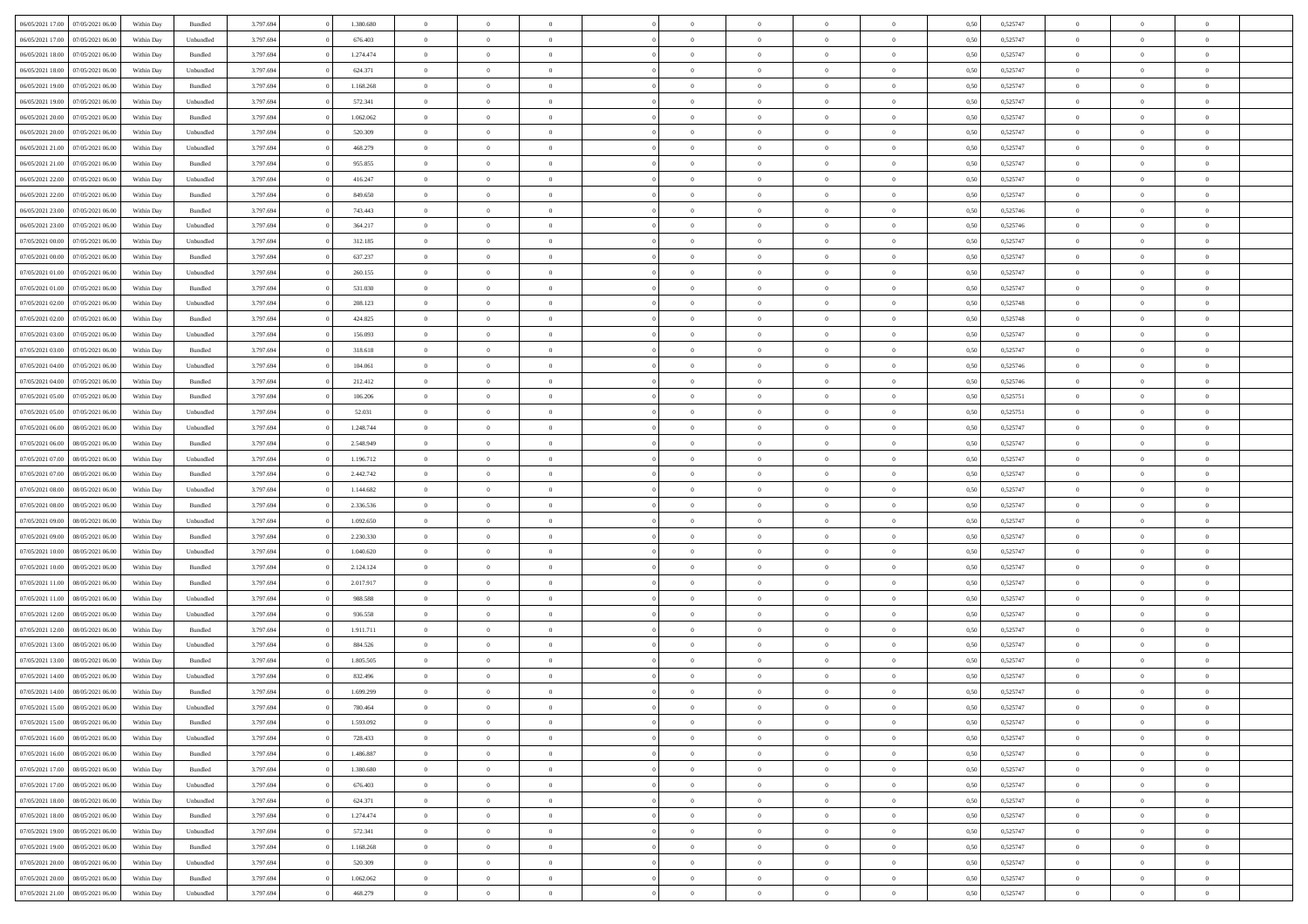| 06/05/2021 17:00 07/05/2021 06:00                                         | Within Day | Bundled   | 3.797.694 | 1.380.680 | $\overline{0}$ | $\overline{0}$                   | $\Omega$       | $\Omega$       | $\theta$             | $\Omega$       | $\overline{0}$ | 0,50 | 0,525747 | $\theta$                | $\theta$                   | $\theta$       |  |
|---------------------------------------------------------------------------|------------|-----------|-----------|-----------|----------------|----------------------------------|----------------|----------------|----------------------|----------------|----------------|------|----------|-------------------------|----------------------------|----------------|--|
| 06/05/2021 17:00<br>07/05/2021 06:00                                      | Within Day | Unbundled | 3.797.694 | 676.403   | $\overline{0}$ | $\overline{0}$                   | $\overline{0}$ | $\overline{0}$ | $\theta$             | $\overline{0}$ | $\bf{0}$       | 0,50 | 0,525747 | $\theta$                | $\theta$                   | $\overline{0}$ |  |
| 06/05/2021 18:00<br>07/05/2021 06:00                                      | Within Day | Bundled   | 3.797.694 | 1.274.474 | $\overline{0}$ | $\bf{0}$                         | $\overline{0}$ | $\overline{0}$ | $\overline{0}$       | $\overline{0}$ | $\bf{0}$       | 0,50 | 0,525747 | $\bf{0}$                | $\overline{0}$             | $\overline{0}$ |  |
| 06/05/2021 18:00<br>07/05/2021 06:00                                      | Within Day | Unbundled | 3.797.694 | 624.371   | $\overline{0}$ | $\overline{0}$                   | $\overline{0}$ | $\overline{0}$ | $\theta$             | $\overline{0}$ | $\overline{0}$ | 0.50 | 0,525747 | $\theta$                | $\theta$                   | $\overline{0}$ |  |
| 06/05/2021 19:00<br>07/05/2021 06:00                                      | Within Day | Bundled   | 3.797.694 | 1.168.268 | $\overline{0}$ | $\overline{0}$                   | $\overline{0}$ | $\overline{0}$ | $\theta$             | $\overline{0}$ | $\bf{0}$       | 0,50 | 0,525747 | $\theta$                | $\theta$                   | $\overline{0}$ |  |
| 06/05/2021 19:00<br>07/05/2021 06:00                                      | Within Day | Unbundled | 3.797.694 | 572.341   | $\overline{0}$ | $\bf{0}$                         | $\overline{0}$ | $\overline{0}$ | $\overline{0}$       | $\overline{0}$ | $\bf{0}$       | 0,50 | 0,525747 | $\overline{0}$          | $\overline{0}$             | $\bf{0}$       |  |
| 06/05/2021 20:00<br>07/05/2021 06:00                                      | Within Day | Bundled   | 3.797.694 | 1.062.062 | $\overline{0}$ | $\overline{0}$                   | $\overline{0}$ | $\overline{0}$ | $\overline{0}$       | $\overline{0}$ | $\overline{0}$ | 0.5( | 0,525747 | $\theta$                | $\theta$                   | $\overline{0}$ |  |
| 06/05/2021 20:00<br>07/05/2021 06:00                                      | Within Day | Unbundled | 3.797.694 | 520.309   | $\overline{0}$ | $\theta$                         | $\overline{0}$ | $\overline{0}$ | $\theta$             | $\overline{0}$ | $\bf{0}$       | 0,50 | 0,525747 | $\theta$                | $\theta$                   | $\overline{0}$ |  |
|                                                                           |            |           |           |           |                |                                  |                |                |                      |                |                |      |          |                         |                            |                |  |
| 06/05/2021 21:00<br>07/05/2021 06:00                                      | Within Day | Unbundled | 3.797.694 | 468.279   | $\overline{0}$ | $\bf{0}$                         | $\overline{0}$ | $\overline{0}$ | $\overline{0}$       | $\overline{0}$ | $\bf{0}$       | 0,50 | 0,525747 | $\bf{0}$                | $\bf{0}$                   | $\overline{0}$ |  |
| 06/05/2021 21:00<br>07/05/2021 06:00                                      | Within Day | Bundled   | 3.797.694 | 955.855   | $\overline{0}$ | $\overline{0}$                   | $\overline{0}$ | $\overline{0}$ | $\overline{0}$       | $\overline{0}$ | $\bf{0}$       | 0.50 | 0,525747 | $\theta$                | $\theta$                   | $\overline{0}$ |  |
| 06/05/2021 22:00<br>07/05/2021 06:00                                      | Within Day | Unbundled | 3.797.694 | 416.247   | $\overline{0}$ | $\overline{0}$                   | $\overline{0}$ | $\overline{0}$ | $\theta$             | $\overline{0}$ | $\bf{0}$       | 0,50 | 0,525747 | $\theta$                | $\theta$                   | $\overline{0}$ |  |
| 06/05/2021 22:00<br>07/05/2021 06:00                                      | Within Day | Bundled   | 3.797.694 | 849.650   | $\overline{0}$ | $\bf{0}$                         | $\overline{0}$ | $\overline{0}$ | $\bf{0}$             | $\overline{0}$ | $\bf{0}$       | 0,50 | 0,525747 | $\bf{0}$                | $\overline{0}$             | $\overline{0}$ |  |
| 06/05/2021 23:00<br>07/05/2021 06:00                                      | Within Day | Bundled   | 3.797.694 | 743.443   | $\overline{0}$ | $\overline{0}$                   | $\overline{0}$ | $\overline{0}$ | $\overline{0}$       | $\overline{0}$ | $\overline{0}$ | 0.5( | 0.525746 | $\theta$                | $\theta$                   | $\overline{0}$ |  |
| 06/05/2021 23:00<br>07/05/2021 06:00                                      | Within Day | Unbundled | 3.797.694 | 364.217   | $\overline{0}$ | $\overline{0}$                   | $\overline{0}$ | $\overline{0}$ | $\theta$             | $\overline{0}$ | $\,$ 0 $\,$    | 0,50 | 0,525746 | $\theta$                | $\theta$                   | $\overline{0}$ |  |
| 07/05/2021 00:00<br>07/05/2021 06:00                                      | Within Day | Unbundled | 3.797.694 | 312.185   | $\overline{0}$ | $\bf{0}$                         | $\overline{0}$ | $\overline{0}$ | $\overline{0}$       | $\overline{0}$ | $\bf{0}$       | 0,50 | 0,525747 | $\bf{0}$                | $\overline{0}$             | $\bf{0}$       |  |
| 07/05/2021 00:00<br>07/05/2021 06:00                                      | Within Day | Bundled   | 3.797.694 | 637.237   | $\overline{0}$ | $\overline{0}$                   | $\overline{0}$ | $\overline{0}$ | $\overline{0}$       | $\overline{0}$ | $\overline{0}$ | 0.5( | 0,525747 | $\theta$                | $\theta$                   | $\overline{0}$ |  |
| 07/05/2021 01:00<br>07/05/2021 06:00                                      | Within Day | Unbundled | 3.797.694 | 260.155   | $\bf{0}$       | $\overline{0}$                   | $\overline{0}$ | $\overline{0}$ | $\theta$             | $\overline{0}$ | $\bf{0}$       | 0,50 | 0,525747 | $\theta$                | $\theta$                   | $\overline{0}$ |  |
| 07/05/2021 01:00<br>07/05/2021 06:00                                      | Within Day | Bundled   | 3.797.694 | 531.030   | $\overline{0}$ | $\bf{0}$                         | $\overline{0}$ | $\overline{0}$ | $\overline{0}$       | $\overline{0}$ | $\bf{0}$       | 0,50 | 0,525747 | $\bf{0}$                | $\overline{0}$             | $\overline{0}$ |  |
| 07/05/2021 02:00<br>07/05/2021 06:00                                      | Within Day | Unbundled | 3.797.694 | 208.123   | $\overline{0}$ | $\overline{0}$                   | $\overline{0}$ | $\overline{0}$ | $\overline{0}$       | $\overline{0}$ | $\overline{0}$ | 0.50 | 0,525748 | $\theta$                | $\theta$                   | $\overline{0}$ |  |
| 07/05/2021 02:00<br>07/05/2021 06:00                                      | Within Day | Bundled   | 3.797.694 | 424.825   | $\bf{0}$       | $\overline{0}$                   | $\overline{0}$ | $\overline{0}$ | $\theta$             | $\overline{0}$ | $\bf{0}$       | 0,50 | 0,525748 | $\theta$                | $\theta$                   | $\overline{0}$ |  |
| 07/05/2021 03:00<br>07/05/2021 06:00                                      | Within Day | Unbundled | 3.797.694 | 156.093   | $\overline{0}$ | $\bf{0}$                         | $\overline{0}$ | $\overline{0}$ | $\overline{0}$       | $\overline{0}$ | $\bf{0}$       | 0,50 | 0,525747 | $\bf{0}$                | $\overline{0}$             | $\overline{0}$ |  |
| 07/05/2021 03:00<br>07/05/2021 06:00                                      | Within Day | Bundled   | 3.797.694 | 318,618   | $\overline{0}$ | $\overline{0}$                   | $\overline{0}$ | $\overline{0}$ | $\overline{0}$       | $\overline{0}$ | $\overline{0}$ | 0.5( | 0,525747 | $\theta$                | $\theta$                   | $\overline{0}$ |  |
| 07/05/2021 04:00<br>07/05/2021 06:00                                      | Within Day | Unbundled | 3.797.694 | 104.061   | $\overline{0}$ | $\overline{0}$                   | $\overline{0}$ | $\overline{0}$ | $\theta$             | $\overline{0}$ | $\bf{0}$       | 0,50 | 0,525746 | $\theta$                | $\theta$                   | $\overline{0}$ |  |
| 07/05/2021 04:00<br>07/05/2021 06:00                                      | Within Day | Bundled   | 3.797.694 | 212.412   | $\overline{0}$ | $\bf{0}$                         | $\overline{0}$ | $\overline{0}$ | $\overline{0}$       | $\overline{0}$ | $\bf{0}$       | 0,50 | 0,525746 | $\overline{0}$          | $\overline{0}$             | $\bf{0}$       |  |
| 07/05/2021 05:00<br>07/05/2021 06:00                                      | Within Day | Bundled   | 3.797.694 | 106.206   | $\overline{0}$ | $\overline{0}$                   | $\overline{0}$ | $\overline{0}$ | $\overline{0}$       | $\overline{0}$ | $\overline{0}$ | 0.5( | 0,525751 | $\theta$                | $\theta$                   | $\overline{0}$ |  |
| 07/05/2021 05:00<br>07/05/2021 06:00                                      | Within Day | Unbundled | 3.797.694 | 52.031    | $\bf{0}$       | $\overline{0}$                   | $\overline{0}$ | $\overline{0}$ | $\theta$             | $\overline{0}$ | $\bf{0}$       | 0,50 | 0,525751 | $\theta$                | $\theta$                   | $\overline{0}$ |  |
| 07/05/2021 06:00<br>08/05/2021 06:00                                      | Within Day | Unbundled | 3.797.694 | 1.248.744 | $\overline{0}$ | $\bf{0}$                         | $\overline{0}$ | $\overline{0}$ | $\overline{0}$       | $\bf{0}$       | $\bf{0}$       | 0,50 | 0,525747 | $\bf{0}$                | $\bf{0}$                   | $\overline{0}$ |  |
| 07/05/2021 06:00<br>08/05/2021 06:00                                      | Within Day | Bundled   | 3.797.694 | 2.548.949 | $\overline{0}$ | $\overline{0}$                   | $\overline{0}$ | $\overline{0}$ | $\overline{0}$       | $\overline{0}$ | $\overline{0}$ | 0.5( | 0,525747 | $\theta$                | $\theta$                   | $\overline{0}$ |  |
| 07/05/2021 07:00<br>08/05/2021 06:00                                      | Within Day | Unbundled | 3.797.694 | 1.196.712 | $\bf{0}$       | $\overline{0}$                   | $\overline{0}$ | $\overline{0}$ | $\theta$             | $\overline{0}$ | $\bf{0}$       | 0,50 | 0,525747 | $\theta$                | $\theta$                   | $\overline{0}$ |  |
| 07/05/2021 07:00<br>08/05/2021 06:00                                      | Within Day | Bundled   | 3.797.694 | 2.442.742 | $\overline{0}$ | $\bf{0}$                         | $\overline{0}$ | $\overline{0}$ | $\bf{0}$             | $\overline{0}$ | $\bf{0}$       | 0,50 | 0,525747 | $\bf{0}$                | $\overline{0}$             | $\overline{0}$ |  |
| 07/05/2021 08:00<br>08/05/2021 06:00                                      | Within Day | Unbundled | 3.797.694 | 1.144.682 | $\overline{0}$ | $\overline{0}$                   | $\Omega$       | $\Omega$       | $\Omega$             | $\theta$       | $\overline{0}$ | 0,50 | 0,525747 | $\,$ 0 $\,$             | $\Omega$                   | $\theta$       |  |
| 07/05/2021 08:00<br>08/05/2021 06:00                                      | Within Day | Bundled   | 3.797.694 | 2.336.536 | $\bf{0}$       | $\overline{0}$                   | $\overline{0}$ | $\overline{0}$ | $\theta$             | $\overline{0}$ | $\bf{0}$       | 0,50 | 0,525747 | $\theta$                | $\theta$                   | $\overline{0}$ |  |
| 07/05/2021 09:00<br>08/05/2021 06:00                                      | Within Day | Unbundled | 3.797.694 | 1.092.650 | $\overline{0}$ | $\bf{0}$                         | $\overline{0}$ | $\overline{0}$ | $\bf{0}$             | $\overline{0}$ | $\bf{0}$       | 0,50 | 0,525747 | $\bf{0}$                | $\overline{0}$             | $\bf{0}$       |  |
| 07/05/2021 09:00<br>08/05/2021 06:00                                      | Within Day | Bundled   | 3.797.694 | 2.230.330 | $\overline{0}$ | $\overline{0}$                   | $\Omega$       | $\Omega$       | $\overline{0}$       | $\Omega$       | $\overline{0}$ | 0.50 | 0,525747 | $\bf{0}$                | $\Omega$                   | $\theta$       |  |
| 07/05/2021 10:00<br>08/05/2021 06:00                                      | Within Day | Unbundled | 3.797.694 | 1.040.620 | $\bf{0}$       | $\overline{0}$                   | $\overline{0}$ | $\overline{0}$ | $\theta$             | $\overline{0}$ | $\bf{0}$       | 0,50 | 0,525747 | $\theta$                | $\theta$                   | $\overline{0}$ |  |
| 07/05/2021 10:00<br>08/05/2021 06:00                                      | Within Day | Bundled   | 3.797.694 | 2.124.124 | $\overline{0}$ | $\bf{0}$                         | $\overline{0}$ | $\overline{0}$ | $\overline{0}$       | $\bf{0}$       | $\bf{0}$       | 0,50 | 0,525747 | $\bf{0}$                | $\overline{0}$             | $\overline{0}$ |  |
| 07/05/2021 11:00<br>08/05/2021 06:00                                      | Within Day | Bundled   | 3.797.694 | 2.017.917 | $\overline{0}$ | $\theta$                         | $\Omega$       | $\Omega$       | $\Omega$             | $\Omega$       | $\overline{0}$ | 0.50 | 0,525747 | $\theta$                | $\Omega$                   | $\theta$       |  |
| 07/05/2021 11:00<br>08/05/2021 06:00                                      | Within Day | Unbundled | 3.797.694 | 988.588   | $\bf{0}$       | $\overline{0}$                   | $\overline{0}$ | $\overline{0}$ | $\theta$             | $\overline{0}$ | $\bf{0}$       | 0,50 | 0,525747 | $\theta$                | $\theta$                   | $\overline{0}$ |  |
| 07/05/2021 12:00<br>08/05/2021 06:00                                      | Within Day | Unbundled | 3.797.694 | 936.558   | $\overline{0}$ | $\bf{0}$                         | $\overline{0}$ | $\overline{0}$ | $\overline{0}$       | $\overline{0}$ | $\bf{0}$       | 0,50 | 0,525747 | $\bf{0}$                | $\overline{0}$             | $\overline{0}$ |  |
|                                                                           |            |           |           |           | $\overline{0}$ |                                  | $\Omega$       | $\Omega$       |                      | $\Omega$       |                |      |          |                         |                            | $\theta$       |  |
| 07/05/2021 12:00<br>08/05/2021 06:00                                      | Within Day | Bundled   | 3.797.694 | 1.911.711 |                | $\overline{0}$<br>$\overline{0}$ | $\overline{0}$ | $\overline{0}$ | $\theta$<br>$\theta$ | $\overline{0}$ | $\overline{0}$ | 0,50 | 0,525747 | $\,$ 0 $\,$<br>$\theta$ | $\overline{0}$<br>$\theta$ | $\overline{0}$ |  |
| 07/05/2021 13:00<br>08/05/2021 06:00                                      | Within Day | Unbundled | 3.797.694 | 884.526   | $\bf{0}$       |                                  |                |                |                      |                | $\bf{0}$       | 0,50 | 0,525747 |                         |                            |                |  |
| 07/05/2021 13:00<br>08/05/2021 06:00                                      | Within Day | Bundled   | 3.797.694 | 1.805.505 | $\overline{0}$ | $\bf{0}$                         | $\overline{0}$ | $\overline{0}$ | $\overline{0}$       | $\overline{0}$ | $\bf{0}$       | 0,50 | 0,525747 | $\bf{0}$                | $\overline{0}$             | $\bf{0}$       |  |
| 07/05/2021 14:00<br>08/05/2021 06:00<br>07/05/2021 14:00 08/05/2021 06:00 | Within Day | Unbundled | 3.797.694 | 832.496   | $\overline{0}$ | $\Omega$                         | $\Omega$       | $\Omega$       | $\Omega$             | $\theta$       | $\overline{0}$ | 0.50 | 0,525747 | $\theta$                | $\Omega$                   | $\theta$       |  |
| 07/05/2021 15:00 08/05/2021 06:00                                         | Within Day | Bundled   | 3.797.694 | 1.699.299 | $\overline{0}$ | $\bf{0}$                         | $\overline{0}$ | $\overline{0}$ | $\bf{0}$             | $\overline{0}$ | $\bf{0}$       | 0,50 | 0,525747 | $\bf{0}$                | $\bf{0}$                   | $\overline{0}$ |  |
|                                                                           | Within Day | Unbundled | 3.797.694 | 780.464   |                |                                  |                |                |                      |                |                | 0,50 | 0,525747 | $\bf{0}$                | $\bf{0}$                   |                |  |
| 07/05/2021 15:00 08/05/2021 06:00                                         | Within Day | Bundled   | 3.797.694 | 1.593.092 | $\Omega$       | $\overline{0}$                   | $\Omega$       | $\theta$       | $\overline{0}$       | $\theta$       | $\overline{0}$ | 0.50 | 0,525747 | $\theta$                | $\theta$                   | $\theta$       |  |
| 07/05/2021 16:00<br>08/05/2021 06:00                                      | Within Day | Unbundled | 3.797.694 | 728.433   | $\overline{0}$ | $\overline{0}$                   | $\overline{0}$ | $\overline{0}$ | $\,$ 0 $\,$          | $\overline{0}$ | $\,$ 0 $\,$    | 0,50 | 0,525747 | $\,$ 0 $\,$             | $\,$ 0 $\,$                | $\,$ 0         |  |
| 07/05/2021 16:00<br>08/05/2021 06:00                                      | Within Day | Bundled   | 3.797.694 | 1.486.887 | $\overline{0}$ | $\overline{0}$                   | $\overline{0}$ | $\overline{0}$ | $\overline{0}$       | $\overline{0}$ | $\bf{0}$       | 0,50 | 0,525747 | $\overline{0}$          | $\bf{0}$                   | $\overline{0}$ |  |
| 07/05/2021 17:00<br>08/05/2021 06:00                                      | Within Day | Bundled   | 3.797.694 | 1.380.680 | $\overline{0}$ | $\bf{0}$                         | $\overline{0}$ | $\overline{0}$ | $\overline{0}$       | $\overline{0}$ | $\bf{0}$       | 0,50 | 0,525747 | $\bf{0}$                | $\theta$                   | $\overline{0}$ |  |
| 07/05/2021 17:00<br>08/05/2021 06:00                                      | Within Day | Unbundled | 3.797.694 | 676.403   | $\overline{0}$ | $\overline{0}$                   | $\overline{0}$ | $\overline{0}$ | $\overline{0}$       | $\overline{0}$ | $\bf{0}$       | 0,50 | 0,525747 | $\,$ 0 $\,$             | $\,$ 0 $\,$                | $\overline{0}$ |  |
| 07/05/2021 18:00<br>08/05/2021 06:00                                      | Within Day | Unbundled | 3.797.694 | 624.371   | $\overline{0}$ | $\overline{0}$                   | $\overline{0}$ | $\overline{0}$ | $\mathbf{0}$         | $\overline{0}$ | $\bf{0}$       | 0,50 | 0,525747 | $\overline{0}$          | $\overline{0}$             | $\overline{0}$ |  |
| 07/05/2021 18:00<br>08/05/2021 06:00                                      | Within Day | Bundled   | 3.797.694 | 1.274.474 | $\overline{0}$ | $\bf{0}$                         | $\overline{0}$ | $\overline{0}$ | $\overline{0}$       | $\overline{0}$ | $\bf{0}$       | 0.50 | 0,525747 | $\overline{0}$          | $\theta$                   | $\overline{0}$ |  |
| 07/05/2021 19:00<br>08/05/2021 06:00                                      | Within Day | Unbundled | 3.797.694 | 572.341   | $\overline{0}$ | $\overline{0}$                   | $\overline{0}$ | $\overline{0}$ | $\overline{0}$       | $\overline{0}$ | $\bf{0}$       | 0,50 | 0,525747 | $\,$ 0 $\,$             | $\bf{0}$                   | $\overline{0}$ |  |
| 08/05/2021 06:00<br>07/05/2021 19:00                                      | Within Day | Bundled   | 3.797.694 | 1.168.268 | $\overline{0}$ | $\bf{0}$                         | $\overline{0}$ | $\overline{0}$ | $\overline{0}$       | $\overline{0}$ | $\bf{0}$       | 0,50 | 0,525747 | $\overline{0}$          | $\overline{0}$             | $\bf{0}$       |  |
| 07/05/2021 20:00<br>08/05/2021 06:00                                      | Within Day | Unbundled | 3.797.694 | 520.309   | $\overline{0}$ | $\overline{0}$                   | $\overline{0}$ | $\overline{0}$ | $\overline{0}$       | $\overline{0}$ | $\bf{0}$       | 0.50 | 0,525747 | $\overline{0}$          | $\overline{0}$             | $\overline{0}$ |  |
| 07/05/2021 20:00<br>08/05/2021 06:00                                      | Within Day | Bundled   | 3.797.694 | 1.062.062 | $\overline{0}$ | $\,$ 0                           | $\overline{0}$ | $\overline{0}$ | $\overline{0}$       | $\bf{0}$       | $\bf{0}$       | 0,50 | 0,525747 | $\,$ 0 $\,$             | $\,$ 0 $\,$                | $\bf{0}$       |  |
| 07/05/2021 21:00 08/05/2021 06:00                                         | Within Day | Unbundled | 3.797.694 | 468.279   | $\overline{0}$ | $\bf{0}$                         | $\overline{0}$ | $\overline{0}$ | $\overline{0}$       | $\overline{0}$ | $\bf{0}$       | 0,50 | 0,525747 | $\overline{0}$          | $\overline{0}$             | $\bf{0}$       |  |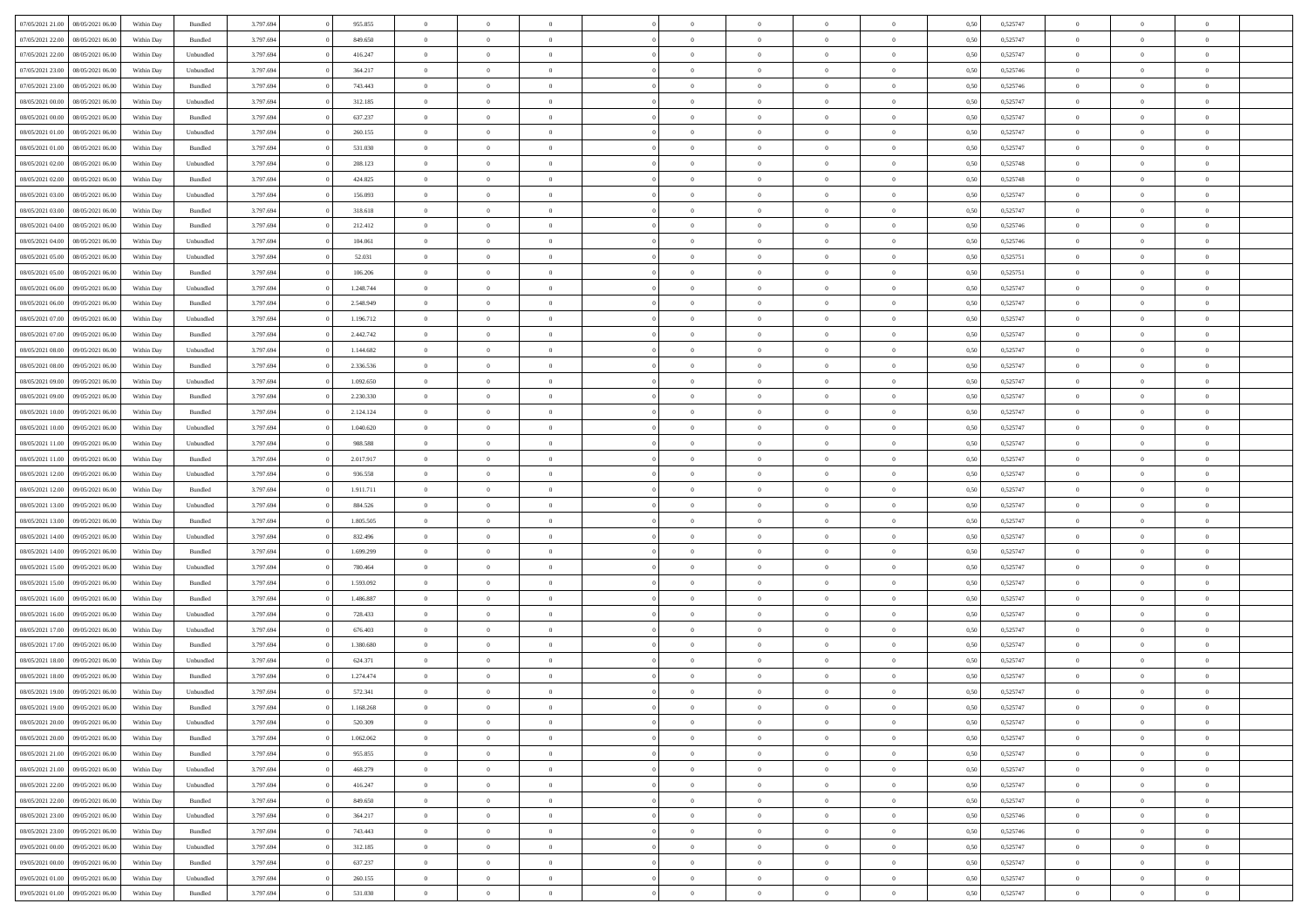| 08/05/2021 06:00<br>07/05/2021 21:00 | Within Day | Bundled            | 3.797.694 | 955.855   | $\overline{0}$ | $\Omega$       | $\Omega$       | $\Omega$       | $\theta$       | $\Omega$       | $\overline{0}$ | 0,50 | 0,525747 | $\theta$       | $\Omega$       | $\theta$       |  |
|--------------------------------------|------------|--------------------|-----------|-----------|----------------|----------------|----------------|----------------|----------------|----------------|----------------|------|----------|----------------|----------------|----------------|--|
| 07/05/2021 22.00<br>08/05/2021 06:00 | Within Day | $\mathbf B$ undled | 3.797.694 | 849.650   | $\overline{0}$ | $\overline{0}$ | $\overline{0}$ | $\theta$       | $\mathbf{0}$   | $\overline{0}$ | $\,$ 0 $\,$    | 0,50 | 0,525747 | $\theta$       | $\theta$       | $\overline{0}$ |  |
| 07/05/2021 22.00<br>08/05/2021 06.00 | Within Day | Unbundled          | 3.797.694 | 416.247   | $\overline{0}$ | $\overline{0}$ | $\overline{0}$ | $\bf{0}$       | $\bf{0}$       | $\overline{0}$ | $\mathbf{0}$   | 0,50 | 0,525747 | $\bf{0}$       | $\overline{0}$ | $\overline{0}$ |  |
| 07/05/2021 23:00<br>08/05/2021 06:00 | Within Dav | Unbundled          | 3.797.694 | 364.217   | $\overline{0}$ | $\overline{0}$ | $\overline{0}$ | $\overline{0}$ | $\overline{0}$ | $\overline{0}$ | $\overline{0}$ | 0.50 | 0,525746 | $\overline{0}$ | $\theta$       | $\overline{0}$ |  |
| 07/05/2021 23.00<br>08/05/2021 06:00 | Within Day | Bundled            | 3.797.694 | 743.443   | $\overline{0}$ | $\overline{0}$ | $\overline{0}$ | $\theta$       | $\overline{0}$ | $\overline{0}$ | $\,$ 0 $\,$    | 0,50 | 0,525746 | $\theta$       | $\theta$       | $\overline{0}$ |  |
| 08/05/2021 00:00<br>08/05/2021 06.00 | Within Day | Unbundled          | 3.797.694 | 312.185   | $\overline{0}$ | $\overline{0}$ | $\overline{0}$ | $\bf{0}$       | $\overline{0}$ | $\overline{0}$ | $\mathbf{0}$   | 0,50 | 0,525747 | $\bf{0}$       | $\overline{0}$ | $\bf{0}$       |  |
| 08/05/2021 00:00<br>08/05/2021 06:00 | Within Day | Bundled            | 3.797.694 | 637.237   | $\overline{0}$ | $\overline{0}$ | $\overline{0}$ | $\overline{0}$ | $\overline{0}$ | $\overline{0}$ | $\mathbf{0}$   | 0.50 | 0,525747 | $\theta$       | $\theta$       | $\overline{0}$ |  |
|                                      |            |                    |           |           |                |                |                |                |                |                |                |      |          |                |                |                |  |
| 08/05/2021 01:00<br>08/05/2021 06:00 | Within Day | Unbundled          | 3.797.694 | 260.155   | $\overline{0}$ | $\overline{0}$ | $\overline{0}$ | $\overline{0}$ | $\overline{0}$ | $\overline{0}$ | $\,$ 0 $\,$    | 0,50 | 0,525747 | $\theta$       | $\theta$       | $\overline{0}$ |  |
| 08/05/2021 01:00<br>08/05/2021 06.00 | Within Day | Bundled            | 3.797.694 | 531.030   | $\overline{0}$ | $\overline{0}$ | $\overline{0}$ | $\bf{0}$       | $\bf{0}$       | $\overline{0}$ | $\mathbf{0}$   | 0,50 | 0,525747 | $\,$ 0 $\,$    | $\bf{0}$       | $\overline{0}$ |  |
| 08/05/2021 02:00<br>08/05/2021 06:00 | Within Day | Unbundled          | 3.797.694 | 208.123   | $\overline{0}$ | $\overline{0}$ | $\overline{0}$ | $\overline{0}$ | $\overline{0}$ | $\overline{0}$ | $\overline{0}$ | 0.50 | 0,525748 | $\overline{0}$ | $\theta$       | $\overline{0}$ |  |
| 08/05/2021 02:00<br>08/05/2021 06:00 | Within Day | $\mathbf B$ undled | 3.797.694 | 424.825   | $\overline{0}$ | $\overline{0}$ | $\overline{0}$ | $\overline{0}$ | $\overline{0}$ | $\overline{0}$ | $\,$ 0 $\,$    | 0,50 | 0,525748 | $\theta$       | $\theta$       | $\overline{0}$ |  |
| 08/05/2021 03:00<br>08/05/2021 06.00 | Within Day | Unbundled          | 3.797.694 | 156.093   | $\overline{0}$ | $\overline{0}$ | $\overline{0}$ | $\bf{0}$       | $\bf{0}$       | $\overline{0}$ | $\mathbf{0}$   | 0,50 | 0,525747 | $\bf{0}$       | $\overline{0}$ | $\overline{0}$ |  |
| 08/05/2021 03:00<br>08/05/2021 06:00 | Within Dav | Bundled            | 3.797.694 | 318.618   | $\overline{0}$ | $\overline{0}$ | $\overline{0}$ | $\overline{0}$ | $\overline{0}$ | $\overline{0}$ | $\overline{0}$ | 0.50 | 0,525747 | $\theta$       | $\theta$       | $\overline{0}$ |  |
| 08/05/2021 04:00<br>08/05/2021 06:00 | Within Day | Bundled            | 3.797.694 | 212.412   | $\overline{0}$ | $\overline{0}$ | $\overline{0}$ | $\theta$       | $\overline{0}$ | $\overline{0}$ | $\,$ 0 $\,$    | 0,50 | 0,525746 | $\theta$       | $\theta$       | $\overline{0}$ |  |
| 08/05/2021 04:00<br>08/05/2021 06.00 | Within Day | Unbundled          | 3.797.694 | 104.061   | $\overline{0}$ | $\overline{0}$ | $\overline{0}$ | $\bf{0}$       | $\overline{0}$ | $\overline{0}$ | $\overline{0}$ | 0,50 | 0,525746 | $\bf{0}$       | $\overline{0}$ | $\overline{0}$ |  |
| 08/05/2021 05:00<br>08/05/2021 06:00 | Within Day | Unbundled          | 3.797.694 | 52.031    | $\overline{0}$ | $\overline{0}$ | $\overline{0}$ | $\overline{0}$ | $\overline{0}$ | $\overline{0}$ | $\overline{0}$ | 0.50 | 0,525751 | $\overline{0}$ | $\overline{0}$ | $\overline{0}$ |  |
| 08/05/2021 05:00<br>08/05/2021 06:00 |            |                    | 3.797.694 | 106.206   | $\overline{0}$ | $\overline{0}$ |                | $\overline{0}$ | $\overline{0}$ | $\overline{0}$ | $\bf{0}$       |      | 0,525751 | $\theta$       | $\theta$       | $\overline{0}$ |  |
|                                      | Within Day | Bundled            |           |           |                |                | $\overline{0}$ |                |                |                |                | 0,50 |          |                |                |                |  |
| 08/05/2021 06:00<br>09/05/2021 06.00 | Within Day | Unbundled          | 3.797.694 | 1.248.744 | $\overline{0}$ | $\overline{0}$ | $\overline{0}$ | $\bf{0}$       | $\bf{0}$       | $\overline{0}$ | $\mathbf{0}$   | 0,50 | 0,525747 | $\bf{0}$       | $\overline{0}$ | $\overline{0}$ |  |
| 08/05/2021 06:00<br>09/05/2021 06:00 | Within Day | Bundled            | 3.797.694 | 2.548.949 | $\overline{0}$ | $\overline{0}$ | $\overline{0}$ | $\overline{0}$ | $\overline{0}$ | $\overline{0}$ | $\overline{0}$ | 0.50 | 0,525747 | $\overline{0}$ | $\theta$       | $\overline{0}$ |  |
| 08/05/2021 07:00<br>09/05/2021 06:00 | Within Day | Unbundled          | 3.797.694 | 1.196.712 | $\overline{0}$ | $\overline{0}$ | $\overline{0}$ | $\overline{0}$ | $\overline{0}$ | $\overline{0}$ | $\,$ 0 $\,$    | 0,50 | 0,525747 | $\theta$       | $\theta$       | $\overline{0}$ |  |
| 08/05/2021 07:00<br>09/05/2021 06.00 | Within Day | Bundled            | 3.797.694 | 2.442.742 | $\overline{0}$ | $\overline{0}$ | $\overline{0}$ | $\bf{0}$       | $\bf{0}$       | $\overline{0}$ | $\mathbf{0}$   | 0,50 | 0,525747 | $\bf{0}$       | $\overline{0}$ | $\overline{0}$ |  |
| 08/05/2021 08:00<br>09/05/2021 06:00 | Within Day | Unbundled          | 3.797.694 | 1.144.682 | $\overline{0}$ | $\overline{0}$ | $\overline{0}$ | $\overline{0}$ | $\overline{0}$ | $\overline{0}$ | $\overline{0}$ | 0.50 | 0,525747 | $\overline{0}$ | $\theta$       | $\overline{0}$ |  |
| 08/05/2021 08:00<br>09/05/2021 06:00 | Within Day | Bundled            | 3.797.694 | 2.336.536 | $\overline{0}$ | $\overline{0}$ | $\overline{0}$ | $\overline{0}$ | $\overline{0}$ | $\overline{0}$ | $\,$ 0 $\,$    | 0,50 | 0,525747 | $\theta$       | $\theta$       | $\overline{0}$ |  |
| 08/05/2021 09:00<br>09/05/2021 06.00 | Within Day | Unbundled          | 3.797.694 | 1.092.650 | $\overline{0}$ | $\overline{0}$ | $\overline{0}$ | $\bf{0}$       | $\overline{0}$ | $\overline{0}$ | $\mathbf{0}$   | 0,50 | 0,525747 | $\bf{0}$       | $\overline{0}$ | $\bf{0}$       |  |
| 08/05/2021 09:00<br>09/05/2021 06:00 | Within Day | Bundled            | 3.797.694 | 2.230.330 | $\overline{0}$ | $\overline{0}$ | $\overline{0}$ | $\overline{0}$ | $\overline{0}$ | $\overline{0}$ | $\mathbf{0}$   | 0.50 | 0,525747 | $\overline{0}$ | $\theta$       | $\overline{0}$ |  |
| 08/05/2021 10:00<br>09/05/2021 06:00 | Within Day | Bundled            | 3.797.694 | 2.124.124 | $\overline{0}$ | $\overline{0}$ | $\overline{0}$ | $\overline{0}$ | $\overline{0}$ | $\overline{0}$ | $\bf{0}$       | 0,50 | 0,525747 | $\theta$       | $\theta$       | $\overline{0}$ |  |
| 08/05/2021 10:00<br>09/05/2021 06.00 | Within Day | Unbundled          | 3.797.694 | 1.040.620 | $\overline{0}$ | $\overline{0}$ | $\overline{0}$ | $\bf{0}$       | $\bf{0}$       | $\overline{0}$ | $\mathbf{0}$   | 0,50 | 0,525747 | $\,$ 0 $\,$    | $\bf{0}$       | $\overline{0}$ |  |
| 08/05/2021 11:00<br>09/05/2021 06:00 | Within Day | Unbundled          | 3.797.694 | 988.588   | $\overline{0}$ | $\overline{0}$ | $\overline{0}$ | $\overline{0}$ | $\overline{0}$ | $\overline{0}$ | $\overline{0}$ | 0.50 | 0,525747 | $\overline{0}$ | $\theta$       | $\overline{0}$ |  |
|                                      |            |                    |           |           |                |                |                |                |                |                |                |      |          | $\theta$       |                |                |  |
| 08/05/2021 11:00<br>09/05/2021 06:00 | Within Day | Bundled            | 3.797.694 | 2.017.917 | $\overline{0}$ | $\overline{0}$ | $\overline{0}$ | $\overline{0}$ | $\overline{0}$ | $\overline{0}$ | $\,$ 0 $\,$    | 0,50 | 0,525747 |                | $\theta$       | $\overline{0}$ |  |
| 08/05/2021 12:00<br>09/05/2021 06.00 | Within Day | Unbundled          | 3.797.694 | 936.558   | $\overline{0}$ | $\overline{0}$ | $\overline{0}$ | $\bf{0}$       | $\bf{0}$       | $\overline{0}$ | $\mathbf{0}$   | 0,50 | 0,525747 | $\bf{0}$       | $\overline{0}$ | $\overline{0}$ |  |
| 08/05/2021 12:00<br>09/05/2021 06.00 | Within Day | Bundled            | 3.797.694 | 1.911.711 | $\overline{0}$ | $\overline{0}$ | $\overline{0}$ | $\overline{0}$ | $\overline{0}$ | $\theta$       | $\overline{0}$ | 0,50 | 0,525747 | $\,$ 0 $\,$    | $\Omega$       | $\theta$       |  |
| 08/05/2021 13:00<br>09/05/2021 06:00 | Within Day | Unbundled          | 3.797.694 | 884.526   | $\overline{0}$ | $\overline{0}$ | $\overline{0}$ | $\theta$       | $\overline{0}$ | $\overline{0}$ | $\,$ 0 $\,$    | 0,50 | 0,525747 | $\theta$       | $\theta$       | $\overline{0}$ |  |
| 08/05/2021 13:00<br>09/05/2021 06:00 | Within Day | Bundled            | 3.797.694 | 1.805.505 | $\overline{0}$ | $\overline{0}$ | $\overline{0}$ | $\bf{0}$       | $\overline{0}$ | $\overline{0}$ | $\overline{0}$ | 0,50 | 0,525747 | $\bf{0}$       | $\overline{0}$ | $\bf{0}$       |  |
| 08/05/2021 14:00<br>09/05/2021 06.00 | Within Day | Unbundled          | 3.797.694 | 832.496   | $\overline{0}$ | $\overline{0}$ | $\overline{0}$ | $\overline{0}$ | $\overline{0}$ | $\theta$       | $\overline{0}$ | 0.50 | 0,525747 | $\overline{0}$ | $\Omega$       | $\theta$       |  |
| 08/05/2021 14:00<br>09/05/2021 06:00 | Within Day | Bundled            | 3.797.694 | 1.699.299 | $\overline{0}$ | $\overline{0}$ | $\overline{0}$ | $\overline{0}$ | $\overline{0}$ | $\overline{0}$ | $\bf{0}$       | 0,50 | 0,525747 | $\theta$       | $\theta$       | $\overline{0}$ |  |
| 08/05/2021 15:00<br>09/05/2021 06.00 | Within Day | Unbundled          | 3.797.694 | 780.464   | $\overline{0}$ | $\overline{0}$ | $\overline{0}$ | $\bf{0}$       | $\bf{0}$       | $\overline{0}$ | $\mathbf{0}$   | 0,50 | 0,525747 | $\bf{0}$       | $\bf{0}$       | $\overline{0}$ |  |
| 08/05/2021 15:00<br>09/05/2021 06:00 | Within Day | Bundled            | 3.797.694 | 1.593.092 | $\overline{0}$ | $\Omega$       | $\overline{0}$ | $\overline{0}$ | $\overline{0}$ | $\Omega$       | $\overline{0}$ | 0.50 | 0,525747 | $\overline{0}$ | $\Omega$       | $\theta$       |  |
| 08/05/2021 16:00<br>09/05/2021 06:00 | Within Day | $\mathbf B$ undled | 3.797.694 | 1.486.887 | $\overline{0}$ | $\overline{0}$ | $\overline{0}$ | $\overline{0}$ | $\overline{0}$ | $\overline{0}$ | $\,$ 0 $\,$    | 0,50 | 0,525747 | $\theta$       | $\theta$       | $\overline{0}$ |  |
| 08/05/2021 16:00<br>09/05/2021 06.00 | Within Day | Unbundled          | 3.797.694 | 728.433   | $\overline{0}$ | $\overline{0}$ | $\overline{0}$ | $\bf{0}$       | $\bf{0}$       | $\overline{0}$ | $\mathbf{0}$   | 0,50 | 0,525747 | $\bf{0}$       | $\overline{0}$ | $\overline{0}$ |  |
|                                      |            |                    |           |           |                | $\overline{0}$ | $\overline{0}$ | $\overline{0}$ | $\overline{0}$ | $\theta$       | $\overline{0}$ |      |          | $\overline{0}$ | $\overline{0}$ | $\theta$       |  |
| 08/05/2021 17:00<br>09/05/2021 06.00 | Within Day | Unbundled          | 3.797.694 | 676.403   | $\overline{0}$ | $\overline{0}$ |                | $\overline{0}$ | $\overline{0}$ | $\overline{0}$ |                | 0,50 | 0,525747 | $\,$ 0 $\,$    | $\theta$       | $\overline{0}$ |  |
| 08/05/2021 17:00<br>09/05/2021 06:00 | Within Day | Bundled            | 3.797.694 | 1.380.680 | $\overline{0}$ |                | $\overline{0}$ |                |                |                | $\,$ 0 $\,$    | 0,50 | 0,525747 |                |                |                |  |
| 08/05/2021 18:00<br>09/05/2021 06.00 | Within Day | Unbundled          | 3.797.694 | 624.371   | $\overline{0}$ | $\overline{0}$ | $\overline{0}$ | $\bf{0}$       | $\bf{0}$       | $\overline{0}$ | $\mathbf{0}$   | 0,50 | 0,525747 | $\bf{0}$       | $\overline{0}$ | $\bf{0}$       |  |
| 08/05/2021 18:00<br>09/05/2021 06.0  | Within Day | Bundled            | 3.797.694 | 1.274.474 | $\overline{0}$ | $\theta$       | $\overline{0}$ | $\Omega$       | $\Omega$       | $\theta$       | $\overline{0}$ | 0.50 | 0,525747 | $\theta$       | $\Omega$       | $\theta$       |  |
| 08/05/2021 19:00<br>09/05/2021 06:00 | Within Day | Unbundled          | 3.797.694 | 572.341   | $\overline{0}$ | $\overline{0}$ | $\overline{0}$ | $\bf{0}$       | $\bf{0}$       | $\overline{0}$ | $\,$ 0 $\,$    | 0,50 | 0,525747 | $\,$ 0 $\,$    | $\bf{0}$       | $\overline{0}$ |  |
| 08/05/2021 19:00 09/05/2021 06:00    | Within Day | Bundled            | 3.797.694 | 1.168.268 | $\bf{0}$       | $\bf{0}$       |                | $\bf{0}$       |                |                |                | 0,50 | 0,525747 | $\bf{0}$       | $\bf{0}$       |                |  |
| 08/05/2021 20:00<br>09/05/2021 06:00 | Within Day | Unbundled          | 3.797.694 | 520.309   | $\overline{0}$ | $\overline{0}$ | $\overline{0}$ | $\overline{0}$ | $\overline{0}$ | $\theta$       | $\overline{0}$ | 0.50 | 0,525747 | $\overline{0}$ | $\theta$       | $\theta$       |  |
| 08/05/2021 20:00<br>09/05/2021 06:00 | Within Day | Bundled            | 3.797.694 | 1.062.062 | $\overline{0}$ | $\overline{0}$ | $\overline{0}$ | $\bf{0}$       | $\overline{0}$ | $\overline{0}$ | $\,$ 0 $\,$    | 0,50 | 0,525747 | $\,$ 0 $\,$    | $\,0\,$        | $\,$ 0         |  |
| 08/05/2021 21.00<br>09/05/2021 06:00 | Within Day | Bundled            | 3.797.694 | 955.855   | $\overline{0}$ | $\overline{0}$ | $\overline{0}$ | $\bf{0}$       | $\overline{0}$ | $\overline{0}$ | $\mathbf{0}$   | 0,50 | 0,525747 | $\overline{0}$ | $\overline{0}$ | $\overline{0}$ |  |
| 09/05/2021 06:00<br>08/05/2021 21:00 | Within Day | Unbundled          | 3.797.694 | 468.279   | $\overline{0}$ | $\overline{0}$ | $\overline{0}$ | $\overline{0}$ | $\overline{0}$ | $\overline{0}$ | $\mathbf{0}$   | 0,50 | 0,525747 | $\bf{0}$       | $\theta$       | $\overline{0}$ |  |
| 08/05/2021 22.00<br>09/05/2021 06:00 | Within Day | Unbundled          | 3.797.694 | 416.247   | $\overline{0}$ | $\overline{0}$ | $\overline{0}$ | $\bf{0}$       | $\overline{0}$ | $\overline{0}$ | $\,$ 0 $\,$    | 0,50 | 0,525747 | $\bf{0}$       | $\,$ 0 $\,$    | $\overline{0}$ |  |
| 08/05/2021 22.00<br>09/05/2021 06:00 | Within Day | Bundled            | 3.797.694 | 849.650   | $\overline{0}$ | $\overline{0}$ | $\overline{0}$ | $\overline{0}$ | $\bf{0}$       | $\overline{0}$ | $\mathbf{0}$   | 0,50 | 0,525747 | $\overline{0}$ | $\overline{0}$ | $\overline{0}$ |  |
|                                      |            |                    |           |           |                |                |                |                |                |                |                |      |          |                |                |                |  |
| 08/05/2021 23:00<br>09/05/2021 06:00 | Within Day | Unbundled          | 3.797.694 | 364.217   | $\overline{0}$ | $\overline{0}$ | $\overline{0}$ | $\overline{0}$ | $\overline{0}$ | $\overline{0}$ | $\mathbf{0}$   | 0.50 | 0,525746 | $\bf{0}$       | $\theta$       | $\overline{0}$ |  |
| 08/05/2021 23.00<br>09/05/2021 06:00 | Within Day | Bundled            | 3.797.694 | 743.443   | $\overline{0}$ | $\overline{0}$ | $\overline{0}$ | $\bf{0}$       | $\bf{0}$       | $\overline{0}$ | $\,$ 0 $\,$    | 0,50 | 0,525746 | $\,$ 0 $\,$    | $\,$ 0 $\,$    | $\overline{0}$ |  |
| 09/05/2021 06:00<br>09/05/2021 00.00 | Within Day | Unbundled          | 3.797.694 | 312.185   | $\overline{0}$ | $\overline{0}$ | $\overline{0}$ | $\bf{0}$       | $\overline{0}$ | $\overline{0}$ | $\mathbf{0}$   | 0,50 | 0,525747 | $\overline{0}$ | $\overline{0}$ | $\bf{0}$       |  |
| 09/05/2021 00:00<br>09/05/2021 06:00 | Within Day | Bundled            | 3.797.694 | 637.237   | $\overline{0}$ | $\overline{0}$ | $\overline{0}$ | $\overline{0}$ | $\overline{0}$ | $\overline{0}$ | $\mathbf{0}$   | 0.50 | 0,525747 | $\bf{0}$       | $\overline{0}$ | $\overline{0}$ |  |
| 09/05/2021 01:00<br>09/05/2021 06:00 | Within Day | Unbundled          | 3.797.694 | 260.155   | $\overline{0}$ | $\overline{0}$ | $\overline{0}$ | $\bf{0}$       | $\bf{0}$       | $\overline{0}$ | $\,$ 0 $\,$    | 0,50 | 0,525747 | $\,$ 0 $\,$    | $\,0\,$        | $\bf{0}$       |  |
| 09/05/2021 01:00 09/05/2021 06:00    | Within Day | Bundled            | 3.797.694 | 531.030   | $\overline{0}$ | $\overline{0}$ | $\overline{0}$ | $\bf{0}$       | $\bf{0}$       | $\overline{0}$ | $\mathbf{0}$   | 0,50 | 0,525747 | $\overline{0}$ | $\overline{0}$ | $\,$ 0         |  |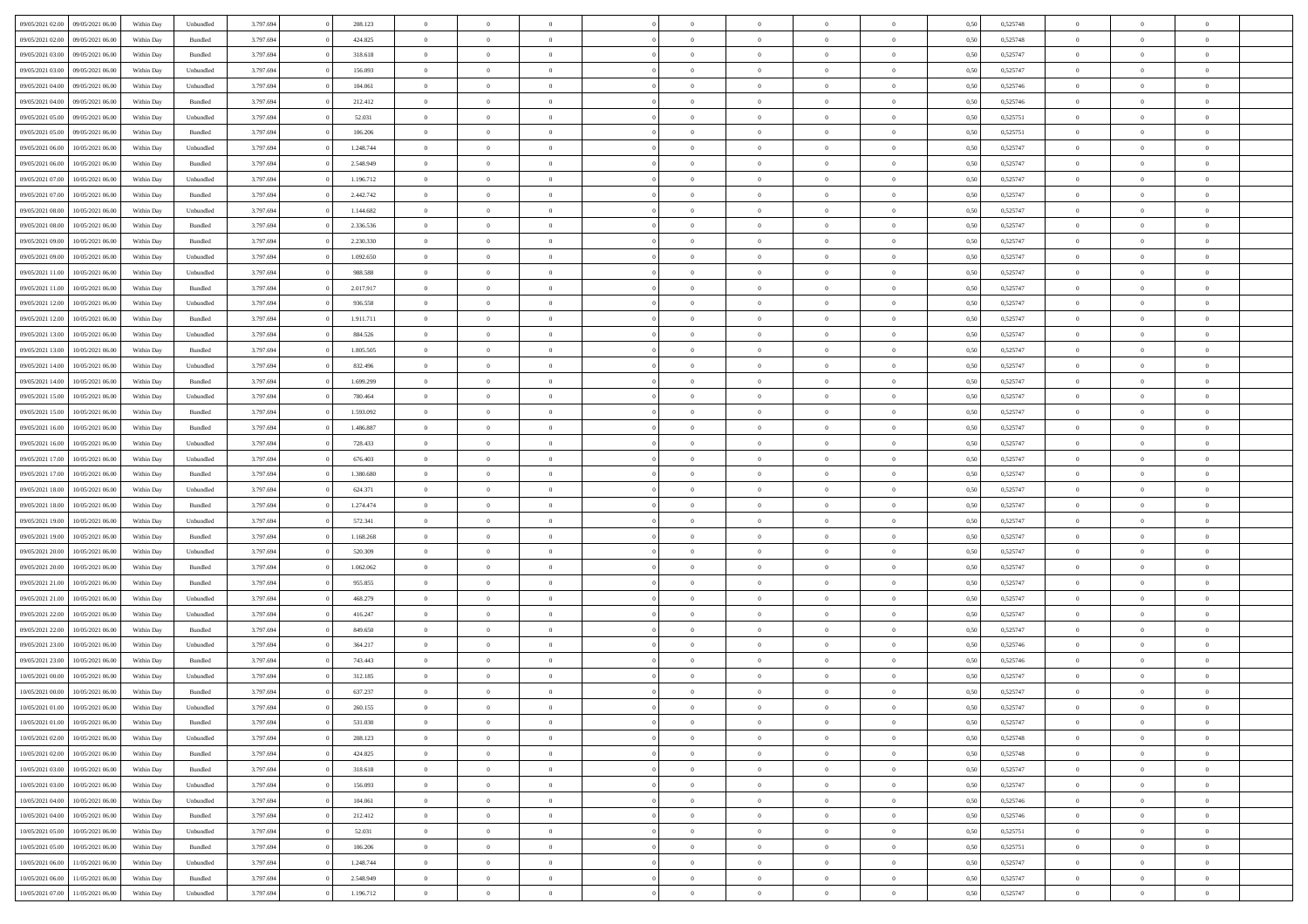| 09/05/2021 02:00 | 09/05/2021 06:00 | Within Day | Unbundled          | 3.797.694 | 208.123   | $\overline{0}$ | $\theta$       |                | $\Omega$       | $\Omega$       | $\theta$       | $\theta$       | 0.50 | 0,525748 | $\theta$       | $\theta$       | $\theta$       |  |
|------------------|------------------|------------|--------------------|-----------|-----------|----------------|----------------|----------------|----------------|----------------|----------------|----------------|------|----------|----------------|----------------|----------------|--|
|                  |                  |            |                    |           |           |                |                |                |                |                |                |                |      |          |                |                |                |  |
| 09/05/2021 02.00 | 09/05/2021 06:00 | Within Day | Bundled            | 3.797.694 | 424.825   | $\overline{0}$ | $\theta$       | $\overline{0}$ | $\overline{0}$ | $\bf{0}$       | $\overline{0}$ | $\bf{0}$       | 0,50 | 0,525748 | $\theta$       | $\theta$       | $\overline{0}$ |  |
| 09/05/2021 03:00 | 09/05/2021 06:00 | Within Day | Bundled            | 3.797.694 | 318.618   | $\overline{0}$ | $\overline{0}$ | $\overline{0}$ | $\overline{0}$ | $\bf{0}$       | $\overline{0}$ | $\bf{0}$       | 0,50 | 0,525747 | $\overline{0}$ | $\overline{0}$ | $\overline{0}$ |  |
| 09/05/2021 03:00 | 09/05/2021 06:00 | Within Dav | Unbundled          | 3.797.694 | 156.093   | $\overline{0}$ | $\overline{0}$ | $\overline{0}$ | $\overline{0}$ | $\bf{0}$       | $\overline{0}$ | $\overline{0}$ | 0.50 | 0,525747 | $\theta$       | $\theta$       | $\overline{0}$ |  |
| 09/05/2021 04:00 | 09/05/2021 06:00 | Within Day | Unbundled          | 3.797.694 | 104.061   | $\overline{0}$ | $\theta$       | $\overline{0}$ | $\overline{0}$ | $\bf{0}$       | $\overline{0}$ | $\bf{0}$       | 0,50 | 0,525746 | $\theta$       | $\overline{0}$ | $\overline{0}$ |  |
| 09/05/2021 04:00 | 09/05/2021 06:00 | Within Day | Bundled            | 3.797.694 | 212.412   | $\overline{0}$ | $\bf{0}$       | $\overline{0}$ | $\overline{0}$ | $\overline{0}$ | $\overline{0}$ | $\mathbf{0}$   | 0,50 | 0,525746 | $\overline{0}$ | $\overline{0}$ | $\bf{0}$       |  |
|                  |                  |            |                    |           |           |                |                |                |                | $\overline{0}$ |                |                |      |          | $\theta$       | $\overline{0}$ | $\overline{0}$ |  |
| 09/05/2021 05:00 | 09/05/2021 06:00 | Within Dav | Unbundled          | 3.797.694 | 52.031    | $\overline{0}$ | $\overline{0}$ | $\overline{0}$ | $\overline{0}$ |                | $\overline{0}$ | $\overline{0}$ | 0.50 | 0,525751 |                |                |                |  |
| 09/05/2021 05:00 | 09/05/2021 06:00 | Within Day | Bundled            | 3.797.694 | 106.206   | $\overline{0}$ | $\theta$       | $\overline{0}$ | $\overline{0}$ | $\bf{0}$       | $\overline{0}$ | $\bf{0}$       | 0,50 | 0,525751 | $\theta$       | $\theta$       | $\overline{0}$ |  |
| 09/05/2021 06:00 | 10/05/2021 06:00 | Within Day | Unbundled          | 3.797.694 | 1.248.744 | $\overline{0}$ | $\overline{0}$ | $\overline{0}$ | $\overline{0}$ | $\bf{0}$       | $\overline{0}$ | $\bf{0}$       | 0,50 | 0,525747 | $\,0\,$        | $\overline{0}$ | $\overline{0}$ |  |
| 09/05/2021 06:00 | 10/05/2021 06:00 | Within Dav | Bundled            | 3.797.694 | 2.548.949 | $\overline{0}$ | $\overline{0}$ | $\overline{0}$ | $\overline{0}$ | $\overline{0}$ | $\overline{0}$ | $\overline{0}$ | 0.50 | 0,525747 | $\theta$       | $\overline{0}$ | $\overline{0}$ |  |
| 09/05/2021 07:00 | 10/05/2021 06:00 | Within Day | Unbundled          | 3.797.694 | 1.196.712 | $\overline{0}$ | $\theta$       | $\overline{0}$ | $\overline{0}$ | $\bf{0}$       | $\overline{0}$ | $\bf{0}$       | 0,50 | 0,525747 | $\,$ 0 $\,$    | $\overline{0}$ | $\overline{0}$ |  |
| 09/05/2021 07:00 | 10/05/2021 06:00 | Within Day | Bundled            | 3.797.694 | 2.442.742 | $\overline{0}$ | $\overline{0}$ | $\overline{0}$ | $\overline{0}$ | $\bf{0}$       | $\overline{0}$ | $\bf{0}$       | 0,50 | 0,525747 | $\bf{0}$       | $\overline{0}$ | $\overline{0}$ |  |
| 09/05/2021 08:00 | 10/05/2021 06:00 | Within Day | Unbundled          | 3.797.694 | 1.144.682 | $\overline{0}$ | $\overline{0}$ | $\overline{0}$ | $\overline{0}$ | $\bf{0}$       | $\overline{0}$ | $\overline{0}$ | 0.50 | 0,525747 | $\theta$       | $\theta$       | $\overline{0}$ |  |
| 09/05/2021 08:00 | 10/05/2021 06:00 |            |                    | 3.797.694 | 2.336.536 | $\overline{0}$ | $\theta$       | $\overline{0}$ | $\overline{0}$ | $\bf{0}$       | $\overline{0}$ | $\overline{0}$ |      | 0,525747 | $\theta$       | $\theta$       | $\overline{0}$ |  |
|                  |                  | Within Day | Bundled            |           |           |                |                |                |                |                |                |                | 0,50 |          |                |                |                |  |
| 09/05/2021 09:00 | 10/05/2021 06:00 | Within Day | Bundled            | 3.797.694 | 2.230.330 | $\overline{0}$ | $\bf{0}$       | $\overline{0}$ | $\overline{0}$ | $\overline{0}$ | $\overline{0}$ | $\mathbf{0}$   | 0,50 | 0,525747 | $\overline{0}$ | $\overline{0}$ | $\bf{0}$       |  |
| 09/05/2021 09:00 | 10/05/2021 06:00 | Within Dav | Unbundled          | 3.797.694 | 1.092.650 | $\overline{0}$ | $\overline{0}$ | $\overline{0}$ | $\overline{0}$ | $\overline{0}$ | $\overline{0}$ | $\overline{0}$ | 0.50 | 0,525747 | $\theta$       | $\overline{0}$ | $\overline{0}$ |  |
| 09/05/2021 11:00 | 10/05/2021 06:00 | Within Day | Unbundled          | 3.797.694 | 988.588   | $\overline{0}$ | $\theta$       | $\overline{0}$ | $\overline{0}$ | $\bf{0}$       | $\overline{0}$ | $\bf{0}$       | 0,50 | 0,525747 | $\theta$       | $\theta$       | $\overline{0}$ |  |
| 09/05/2021 11:00 | 10/05/2021 06:00 | Within Day | Bundled            | 3.797.694 | 2.017.917 | $\overline{0}$ | $\overline{0}$ | $\overline{0}$ | $\overline{0}$ | $\bf{0}$       | $\overline{0}$ | $\bf{0}$       | 0,50 | 0,525747 | $\,0\,$        | $\overline{0}$ | $\overline{0}$ |  |
| 09/05/2021 12:00 | 10/05/2021 06:00 | Within Day | Unbundled          | 3.797.694 | 936.558   | $\overline{0}$ | $\overline{0}$ | $\overline{0}$ | $\overline{0}$ | $\overline{0}$ | $\overline{0}$ | $\overline{0}$ | 0.50 | 0,525747 | $\theta$       | $\overline{0}$ | $\overline{0}$ |  |
| 09/05/2021 12:00 | 10/05/2021 06:00 | Within Day | Bundled            | 3.797.694 | 1.911.711 | $\overline{0}$ | $\theta$       | $\overline{0}$ | $\overline{0}$ | $\bf{0}$       | $\overline{0}$ | $\bf{0}$       | 0,50 | 0,525747 | $\theta$       | $\theta$       | $\overline{0}$ |  |
| 09/05/2021 13:00 | 10/05/2021 06:00 | Within Day | Unbundled          | 3.797.694 | 884.526   | $\overline{0}$ | $\overline{0}$ | $\overline{0}$ | $\bf{0}$       | $\bf{0}$       | $\bf{0}$       | $\bf{0}$       | 0,50 | 0,525747 | $\,0\,$        | $\overline{0}$ | $\overline{0}$ |  |
| 09/05/2021 13:00 | 10/05/2021 06:00 | Within Day | Bundled            | 3.797.694 | 1.805.505 | $\overline{0}$ | $\overline{0}$ | $\overline{0}$ | $\overline{0}$ | $\bf{0}$       | $\overline{0}$ | $\overline{0}$ | 0.50 | 0,525747 | $\theta$       | $\theta$       | $\overline{0}$ |  |
|                  |                  |            |                    |           |           |                |                |                |                |                |                |                |      |          |                |                |                |  |
| 09/05/2021 14:00 | 10/05/2021 06:00 | Within Day | Unbundled          | 3.797.694 | 832.496   | $\overline{0}$ | $\theta$       | $\overline{0}$ | $\overline{0}$ | $\bf{0}$       | $\overline{0}$ | $\bf{0}$       | 0,50 | 0,525747 | $\,$ 0 $\,$    | $\overline{0}$ | $\overline{0}$ |  |
| 09/05/2021 14:00 | 10/05/2021 06:00 | Within Day | Bundled            | 3.797.694 | 1.699.299 | $\overline{0}$ | $\bf{0}$       | $\overline{0}$ | $\bf{0}$       | $\overline{0}$ | $\overline{0}$ | $\mathbf{0}$   | 0,50 | 0,525747 | $\overline{0}$ | $\overline{0}$ | $\bf{0}$       |  |
| 09/05/2021 15:00 | 10/05/2021 06:00 | Within Dav | Unbundled          | 3.797.694 | 780.464   | $\overline{0}$ | $\overline{0}$ | $\overline{0}$ | $\overline{0}$ | $\overline{0}$ | $\overline{0}$ | $\overline{0}$ | 0.50 | 0,525747 | $\theta$       | $\overline{0}$ | $\overline{0}$ |  |
| 09/05/2021 15:00 | 10/05/2021 06:00 | Within Day | Bundled            | 3.797.694 | 1.593.092 | $\overline{0}$ | $\theta$       | $\overline{0}$ | $\overline{0}$ | $\bf{0}$       | $\overline{0}$ | $\bf{0}$       | 0,50 | 0,525747 | $\theta$       | $\theta$       | $\overline{0}$ |  |
| 09/05/2021 16:00 | 10/05/2021 06:00 | Within Day | Bundled            | 3.797.694 | 1.486.887 | $\overline{0}$ | $\overline{0}$ | $\overline{0}$ | $\bf{0}$       | $\bf{0}$       | $\bf{0}$       | $\bf{0}$       | 0,50 | 0,525747 | $\,0\,$        | $\overline{0}$ | $\overline{0}$ |  |
| 09/05/2021 16:00 | 10/05/2021 06:00 | Within Day | Unbundled          | 3.797.694 | 728.433   | $\overline{0}$ | $\overline{0}$ | $\overline{0}$ | $\overline{0}$ | $\overline{0}$ | $\overline{0}$ | $\overline{0}$ | 0.50 | 0,525747 | $\theta$       | $\overline{0}$ | $\overline{0}$ |  |
| 09/05/2021 17:00 | 10/05/2021 06:00 | Within Day | Unbundled          | 3.797.694 | 676.403   | $\overline{0}$ | $\theta$       | $\overline{0}$ | $\overline{0}$ | $\bf{0}$       | $\overline{0}$ | $\bf{0}$       | 0,50 | 0,525747 | $\,$ 0 $\,$    | $\overline{0}$ | $\overline{0}$ |  |
|                  |                  |            |                    |           |           |                |                |                |                |                |                |                |      |          |                |                |                |  |
| 09/05/2021 17:00 | 10/05/2021 06:00 | Within Day | Bundled            | 3.797.694 | 1.380.680 | $\overline{0}$ | $\overline{0}$ | $\overline{0}$ | $\bf{0}$       | $\bf{0}$       | $\bf{0}$       | $\bf{0}$       | 0,50 | 0,525747 | $\bf{0}$       | $\overline{0}$ | $\overline{0}$ |  |
| 09/05/2021 18:00 | 10/05/2021 06:00 | Within Day | Unbundled          | 3.797.694 | 624.371   | $\overline{0}$ | $\Omega$       | $\Omega$       | $\Omega$       | $\Omega$       | $\Omega$       | $\overline{0}$ | 0,50 | 0,525747 | $\,0\,$        | $\theta$       | $\theta$       |  |
| 09/05/2021 18:00 | 10/05/2021 06:00 | Within Day | Bundled            | 3.797.694 | 1.274.474 | $\overline{0}$ | $\theta$       | $\overline{0}$ | $\overline{0}$ | $\bf{0}$       | $\overline{0}$ | $\bf{0}$       | 0,50 | 0,525747 | $\theta$       | $\theta$       | $\overline{0}$ |  |
| 09/05/2021 19:00 | 10/05/2021 06:00 | Within Day | Unbundled          | 3.797.694 | 572.341   | $\overline{0}$ | $\overline{0}$ | $\overline{0}$ | $\bf{0}$       | $\bf{0}$       | $\overline{0}$ | $\mathbf{0}$   | 0,50 | 0,525747 | $\overline{0}$ | $\overline{0}$ | $\bf{0}$       |  |
| 09/05/2021 19:00 | 10/05/2021 06:00 | Within Day | Bundled            | 3.797.694 | 1.168.268 | $\overline{0}$ | $\Omega$       | $\Omega$       | $\Omega$       | $\bf{0}$       | $\overline{0}$ | $\overline{0}$ | 0.50 | 0,525747 | $\,0\,$        | $\theta$       | $\theta$       |  |
| 09/05/2021 20:00 | 10/05/2021 06:00 | Within Day | Unbundled          | 3.797.694 | 520.309   | $\overline{0}$ | $\theta$       | $\overline{0}$ | $\overline{0}$ | $\bf{0}$       | $\overline{0}$ | $\bf{0}$       | 0,50 | 0,525747 | $\,$ 0 $\,$    | $\theta$       | $\overline{0}$ |  |
| 09/05/2021 20.00 | 10/05/2021 06:00 | Within Day | Bundled            | 3.797.694 | 1.062.062 | $\overline{0}$ | $\overline{0}$ | $\overline{0}$ | $\bf{0}$       | $\bf{0}$       | $\bf{0}$       | $\bf{0}$       | 0,50 | 0,525747 | $\,0\,$        | $\overline{0}$ | $\overline{0}$ |  |
| 09/05/2021 21:00 | 10/05/2021 06:00 | Within Day | Bundled            | 3.797.694 | 955,855   | $\overline{0}$ | $\Omega$       | $\Omega$       | $\Omega$       | $\theta$       | $\theta$       | $\overline{0}$ | 0.50 | 0,525747 | $\theta$       | $\theta$       | $\theta$       |  |
|                  |                  |            |                    |           |           | $\overline{0}$ |                |                |                |                |                |                |      |          |                |                |                |  |
| 09/05/2021 21:00 | 10/05/2021 06:00 | Within Day | Unbundled          | 3.797.694 | 468.279   |                | $\theta$       | $\overline{0}$ | $\overline{0}$ | $\bf{0}$       | $\overline{0}$ | $\bf{0}$       | 0,50 | 0,525747 | $\,$ 0 $\,$    | $\overline{0}$ | $\overline{0}$ |  |
| 09/05/2021 22.00 | 10/05/2021 06:00 | Within Day | Unbundled          | 3.797.694 | 416.247   | $\overline{0}$ | $\overline{0}$ | $\overline{0}$ | $\bf{0}$       | $\bf{0}$       | $\bf{0}$       | $\bf{0}$       | 0,50 | 0,525747 | $\bf{0}$       | $\overline{0}$ | $\overline{0}$ |  |
| 09/05/2021 22.00 | 10/05/2021 06:00 | Within Day | Bundled            | 3.797.694 | 849,650   | $\overline{0}$ | $\Omega$       | $\overline{0}$ | $\Omega$       | $\Omega$       | $\overline{0}$ | $\overline{0}$ | 0,50 | 0,525747 | $\,0\,$        | $\theta$       | $\theta$       |  |
| 09/05/2021 23:00 | 10/05/2021 06:00 | Within Day | Unbundled          | 3.797.694 | 364.217   | $\overline{0}$ | $\theta$       | $\overline{0}$ | $\overline{0}$ | $\bf{0}$       | $\overline{0}$ | $\bf{0}$       | 0,50 | 0,525746 | $\,$ 0 $\,$    | $\overline{0}$ | $\overline{0}$ |  |
| 09/05/2021 23.00 | 10/05/2021 06:00 | Within Day | Bundled            | 3.797.694 | 743.443   | $\overline{0}$ | $\overline{0}$ | $\overline{0}$ | $\overline{0}$ | $\bf{0}$       | $\overline{0}$ | $\mathbf{0}$   | 0,50 | 0,525746 | $\bf{0}$       | $\overline{0}$ | $\bf{0}$       |  |
| 10/05/2021 00:00 | 10/05/2021 06:00 | Within Day | Unbundled          | 3.797.694 | 312.185   | $\overline{0}$ | $\Omega$       | $\Omega$       | $\Omega$       | $\Omega$       | $\Omega$       | $\overline{0}$ | 0.50 | 0,525747 | $\theta$       | $\theta$       | $\theta$       |  |
| 10/05/2021 00:00 | 10/05/2021 06:00 | Within Day | Bundled            | 3.797.694 | 637.237   | $\overline{0}$ | $\overline{0}$ | $\overline{0}$ | $\bf{0}$       | $\,$ 0         | $\overline{0}$ | $\bf{0}$       | 0,50 | 0,525747 | $\,0\,$        | $\overline{0}$ | $\overline{0}$ |  |
| 10/05/2021 01:00 | 10/05/2021 06:00 | Within Day | Unbundled          | 3.797.694 | 260.155   | $\bf{0}$       | $\bf{0}$       |                |                |                |                |                | 0,50 | 0,525747 | $\bf{0}$       | $\overline{0}$ |                |  |
| 10/05/2021 01:00 | 10/05/2021 06:00 | Within Day | Bundled            | 3.797.694 | 531.030   | $\overline{0}$ | $\overline{0}$ | $\overline{0}$ | $\Omega$       | $\overline{0}$ | $\overline{0}$ | $\overline{0}$ | 0,50 | 0,525747 | $\theta$       | $\theta$       | $\theta$       |  |
|                  |                  |            |                    |           |           |                | $\bf{0}$       |                |                | $\,$ 0 $\,$    |                |                |      |          | $\,$ 0 $\,$    | $\,$ 0 $\,$    | $\,$ 0         |  |
| 10/05/2021 02:00 | 10/05/2021 06:00 | Within Day | Unbundled          | 3.797.694 | 208.123   | $\overline{0}$ |                | $\overline{0}$ | $\overline{0}$ |                | $\overline{0}$ | $\,$ 0 $\,$    | 0,50 | 0,525748 |                |                |                |  |
| 10/05/2021 02:00 | 10/05/2021 06:00 | Within Day | Bundled            | 3.797.694 | 424.825   | $\overline{0}$ | $\overline{0}$ | $\overline{0}$ | $\overline{0}$ | $\overline{0}$ | $\overline{0}$ | $\mathbf{0}$   | 0,50 | 0,525748 | $\overline{0}$ | $\bf{0}$       | $\overline{0}$ |  |
| 10/05/2021 03:00 | 10/05/2021 06:00 | Within Day | $\mathbf B$ undled | 3.797.694 | 318.618   | $\overline{0}$ | $\overline{0}$ | $\overline{0}$ | $\Omega$       | $\overline{0}$ | $\overline{0}$ | $\overline{0}$ | 0,50 | 0,525747 | $\overline{0}$ | $\theta$       | $\overline{0}$ |  |
| 10/05/2021 03:00 | 10/05/2021 06:00 | Within Day | Unbundled          | 3.797.694 | 156.093   | $\overline{0}$ | $\,$ 0         | $\overline{0}$ | $\overline{0}$ | $\,$ 0 $\,$    | $\overline{0}$ | $\mathbf{0}$   | 0,50 | 0,525747 | $\,$ 0 $\,$    | $\overline{0}$ | $\overline{0}$ |  |
| 10/05/2021 04:00 | 10/05/2021 06:00 | Within Day | Unbundled          | 3.797.694 | 104.061   | $\overline{0}$ | $\overline{0}$ | $\overline{0}$ | $\overline{0}$ | $\overline{0}$ | $\overline{0}$ | $\mathbf{0}$   | 0,50 | 0,525746 | $\overline{0}$ | $\overline{0}$ | $\bf{0}$       |  |
| 10/05/2021 04:00 | 10/05/2021 06:00 | Within Day | Bundled            | 3.797.694 | 212.412   | $\overline{0}$ | $\overline{0}$ | $\overline{0}$ | $\Omega$       | $\overline{0}$ | $\overline{0}$ | $\bf{0}$       | 0.50 | 0,525746 | $\overline{0}$ | $\theta$       | $\overline{0}$ |  |
| 10/05/2021 05:00 | 10/05/2021 06:00 | Within Day | Unbundled          | 3.797.694 | 52.031    | $\overline{0}$ | $\,$ 0         | $\overline{0}$ | $\overline{0}$ | $\bf{0}$       | $\overline{0}$ | $\bf{0}$       | 0,50 | 0,525751 | $\,$ 0 $\,$    | $\overline{0}$ | $\overline{0}$ |  |
| 10/05/2021 05:00 | 10/05/2021 06:00 | Within Day | Bundled            | 3.797.694 | 106.206   | $\overline{0}$ | $\bf{0}$       | $\overline{0}$ | $\overline{0}$ | $\overline{0}$ | $\overline{0}$ | $\mathbf{0}$   | 0,50 | 0,525751 | $\overline{0}$ | $\overline{0}$ | $\bf{0}$       |  |
|                  |                  |            |                    |           |           |                |                |                |                |                |                |                |      |          |                |                |                |  |
| 10/05/2021 06:00 | 11/05/2021 06:00 | Within Day | Unbundled          | 3.797.694 | 1.248.744 | $\overline{0}$ | $\overline{0}$ | $\overline{0}$ | $\Omega$       | $\overline{0}$ | $\overline{0}$ | $\overline{0}$ | 0.50 | 0,525747 | $\overline{0}$ | $\overline{0}$ | $\overline{0}$ |  |
| 10/05/2021 06:00 | 11/05/2021 06:00 | Within Day | Bundled            | 3.797.694 | 2.548.949 | $\overline{0}$ | $\bf{0}$       | $\overline{0}$ | $\bf{0}$       | $\bf{0}$       | $\overline{0}$ | $\mathbf{0}$   | 0,50 | 0,525747 | $\,$ 0 $\,$    | $\,$ 0 $\,$    | $\bf{0}$       |  |
| 10/05/2021 07:00 | 11/05/2021 06:00 | Within Day | Unbundled          | 3.797.694 | 1.196.712 | $\overline{0}$ | $\overline{0}$ | $\overline{0}$ | $\overline{0}$ | $\overline{0}$ | $\overline{0}$ | $\mathbf{0}$   | 0,50 | 0,525747 | $\overline{0}$ | $\bf{0}$       | $\bf{0}$       |  |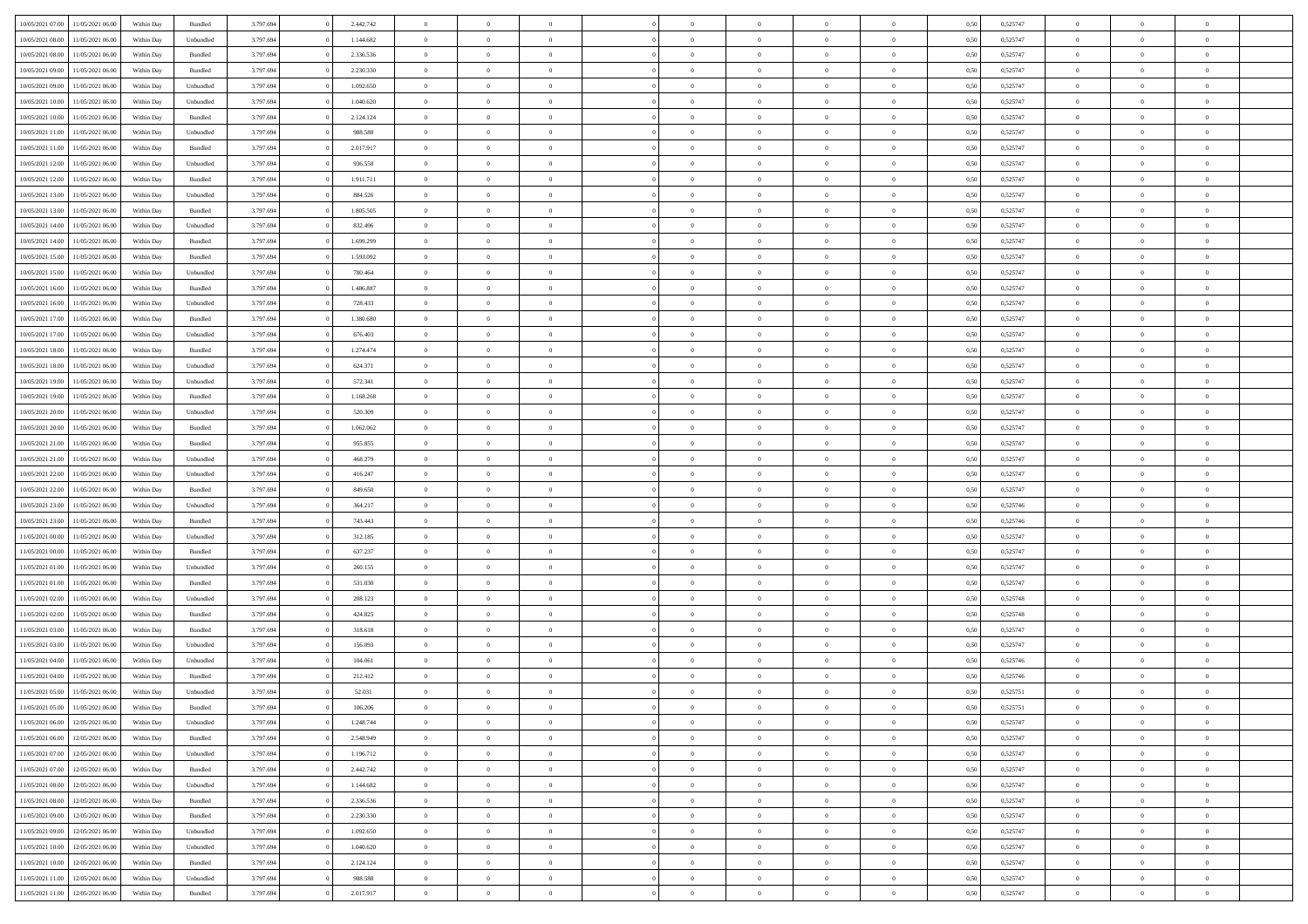| 10/05/2021 07:00<br>11/05/2021 06:00                                      | Within Day | Bundled   | 3.797.694 | 2.442.742 | $\overline{0}$ | $\overline{0}$ | $\Omega$                   | $\overline{0}$ | $\theta$       | $\Omega$       | $\overline{0}$ | 0,50 | 0,525747 | $\theta$       | $\theta$       | $\overline{0}$       |  |
|---------------------------------------------------------------------------|------------|-----------|-----------|-----------|----------------|----------------|----------------------------|----------------|----------------|----------------|----------------|------|----------|----------------|----------------|----------------------|--|
| 10/05/2021 08:00<br>11/05/2021 06:00                                      | Within Day | Unbundled | 3.797.694 | 1.144.682 | $\overline{0}$ | $\theta$       | $\overline{0}$             | $\overline{0}$ | $\theta$       | $\overline{0}$ | $\bf{0}$       | 0,50 | 0,525747 | $\theta$       | $\theta$       | $\overline{0}$       |  |
| 10/05/2021 08:00<br>11/05/2021 06:00                                      | Within Day | Bundled   | 3.797.694 | 2.336.536 | $\overline{0}$ | $\bf{0}$       | $\overline{0}$             | $\overline{0}$ | $\bf{0}$       | $\overline{0}$ | $\bf{0}$       | 0,50 | 0,525747 | $\bf{0}$       | $\overline{0}$ | $\overline{0}$       |  |
| 10/05/2021 09:00<br>11/05/2021 06:00                                      | Within Day | Bundled   | 3.797.694 | 2.230.330 | $\overline{0}$ | $\overline{0}$ | $\overline{0}$             | $\overline{0}$ | $\overline{0}$ | $\overline{0}$ | $\overline{0}$ | 0.50 | 0,525747 | $\theta$       | $\theta$       | $\overline{0}$       |  |
| 10/05/2021 09:00<br>11/05/2021 06:00                                      | Within Day | Unbundled | 3.797.694 | 1.092.650 | $\overline{0}$ | $\theta$       | $\overline{0}$             | $\overline{0}$ | $\theta$       | $\overline{0}$ | $\bf{0}$       | 0,50 | 0,525747 | $\theta$       | $\theta$       | $\overline{0}$       |  |
| 10/05/2021 10:00<br>11/05/2021 06:00                                      | Within Day | Unbundled | 3.797.694 | 1.040.620 | $\overline{0}$ | $\bf{0}$       | $\overline{0}$             | $\overline{0}$ | $\overline{0}$ | $\overline{0}$ | $\bf{0}$       | 0,50 | 0,525747 | $\bf{0}$       | $\overline{0}$ | $\bf{0}$             |  |
| 10/05/2021 10:00<br>11/05/2021 06:00                                      | Within Day | Bundled   | 3.797.694 | 2.124.124 | $\overline{0}$ | $\overline{0}$ | $\overline{0}$             | $\overline{0}$ | $\overline{0}$ | $\overline{0}$ | $\bf{0}$       | 0.5( | 0,525747 | $\theta$       | $\theta$       | $\overline{0}$       |  |
|                                                                           |            |           |           |           |                |                |                            |                |                |                |                |      |          |                |                |                      |  |
| 10/05/2021 11:00<br>11/05/2021 06:00                                      | Within Day | Unbundled | 3.797.694 | 988.588   | $\bf{0}$       | $\overline{0}$ | $\overline{0}$             | $\overline{0}$ | $\theta$       | $\overline{0}$ | $\bf{0}$       | 0,50 | 0,525747 | $\theta$       | $\theta$       | $\overline{0}$       |  |
| 10/05/2021 11:00<br>11/05/2021 06:00                                      | Within Day | Bundled   | 3.797.694 | 2.017.917 | $\overline{0}$ | $\bf{0}$       | $\overline{0}$             | $\overline{0}$ | $\overline{0}$ | $\overline{0}$ | $\bf{0}$       | 0,50 | 0,525747 | $\bf{0}$       | $\overline{0}$ | $\overline{0}$       |  |
| 10/05/2021 12:00<br>11/05/2021 06:00                                      | Within Day | Unbundled | 3.797.694 | 936.558   | $\overline{0}$ | $\overline{0}$ | $\overline{0}$             | $\overline{0}$ | $\overline{0}$ | $\overline{0}$ | $\bf{0}$       | 0.50 | 0,525747 | $\theta$       | $\theta$       | $\overline{0}$       |  |
| 10/05/2021 12:00<br>11/05/2021 06:00                                      | Within Day | Bundled   | 3.797.694 | 1.911.711 | $\bf{0}$       | $\theta$       | $\overline{0}$             | $\overline{0}$ | $\theta$       | $\overline{0}$ | $\bf{0}$       | 0,50 | 0,525747 | $\theta$       | $\theta$       | $\overline{0}$       |  |
| 10/05/2021 13:00<br>11/05/2021 06:00                                      | Within Day | Unbundled | 3.797.694 | 884.526   | $\overline{0}$ | $\bf{0}$       | $\overline{0}$             | $\overline{0}$ | $\bf{0}$       | $\overline{0}$ | $\bf{0}$       | 0,50 | 0,525747 | $\bf{0}$       | $\overline{0}$ | $\bf{0}$             |  |
| 10/05/2021 13:00<br>11/05/2021 06:00                                      | Within Day | Bundled   | 3.797.694 | 1.805.505 | $\overline{0}$ | $\overline{0}$ | $\overline{0}$             | $\overline{0}$ | $\overline{0}$ | $\overline{0}$ | $\overline{0}$ | 0.5( | 0,525747 | $\theta$       | $\theta$       | $\overline{0}$       |  |
| 10/05/2021 14:00<br>11/05/2021 06:00                                      | Within Day | Unbundled | 3.797.694 | 832.496   | $\bf{0}$       | $\theta$       | $\overline{0}$             | $\overline{0}$ | $\theta$       | $\overline{0}$ | $\bf{0}$       | 0,50 | 0,525747 | $\theta$       | $\theta$       | $\overline{0}$       |  |
| 10/05/2021 14:00<br>11/05/2021 06:00                                      | Within Day | Bundled   | 3.797.694 | 1.699.299 | $\overline{0}$ | $\bf{0}$       | $\overline{0}$             | $\overline{0}$ | $\overline{0}$ | $\overline{0}$ | $\bf{0}$       | 0,50 | 0,525747 | $\bf{0}$       | $\overline{0}$ | $\bf{0}$             |  |
| 10/05/2021 15:00<br>11/05/2021 06:00                                      | Within Day | Bundled   | 3.797.694 | 1.593.092 | $\overline{0}$ | $\overline{0}$ | $\overline{0}$             | $\overline{0}$ | $\overline{0}$ | $\overline{0}$ | $\bf{0}$       | 0.5( | 0,525747 | $\overline{0}$ | $\overline{0}$ | $\overline{0}$       |  |
| 10/05/2021 15:00<br>11/05/2021 06:00                                      | Within Day | Unbundled | 3.797.694 | 780.464   | $\bf{0}$       | $\overline{0}$ | $\overline{0}$             | $\overline{0}$ | $\theta$       | $\overline{0}$ | $\bf{0}$       | 0,50 | 0,525747 | $\theta$       | $\theta$       | $\overline{0}$       |  |
| 10/05/2021 16:00<br>11/05/2021 06:00                                      | Within Day | Bundled   | 3.797.694 | 1.486.887 | $\overline{0}$ | $\bf{0}$       | $\overline{0}$             | $\overline{0}$ | $\bf{0}$       | $\overline{0}$ | $\bf{0}$       | 0,50 | 0,525747 | $\bf{0}$       | $\overline{0}$ | $\overline{0}$       |  |
| 10/05/2021 16:00<br>11/05/2021 06:00                                      | Within Day | Unbundled | 3.797.694 | 728.433   | $\overline{0}$ | $\overline{0}$ | $\overline{0}$             | $\overline{0}$ | $\overline{0}$ | $\overline{0}$ | $\bf{0}$       | 0.50 | 0,525747 | $\theta$       | $\theta$       | $\overline{0}$       |  |
| 10/05/2021 17:00<br>11/05/2021 06:00                                      | Within Day | Bundled   | 3.797.694 | 1.380.680 | $\bf{0}$       | $\overline{0}$ | $\overline{0}$             | $\overline{0}$ | $\theta$       | $\overline{0}$ | $\bf{0}$       | 0,50 | 0,525747 | $\theta$       | $\theta$       | $\overline{0}$       |  |
| 10/05/2021 17:00<br>11/05/2021 06:00                                      | Within Day | Unbundled | 3.797.694 | 676.403   | $\overline{0}$ | $\bf{0}$       | $\overline{0}$             | $\overline{0}$ | $\bf{0}$       | $\overline{0}$ | $\bf{0}$       | 0,50 | 0,525747 | $\bf{0}$       | $\overline{0}$ | $\overline{0}$       |  |
| 10/05/2021 18:00<br>11/05/2021 06:00                                      | Within Day | Bundled   | 3.797.694 | 1.274.474 | $\overline{0}$ | $\overline{0}$ | $\overline{0}$             | $\overline{0}$ | $\overline{0}$ | $\overline{0}$ | $\overline{0}$ | 0.5( | 0,525747 | $\theta$       | $\overline{0}$ | $\overline{0}$       |  |
| 10/05/2021 18:00<br>11/05/2021 06:00                                      | Within Day | Unbundled | 3.797.694 | 624.371   | $\bf{0}$       | $\theta$       | $\overline{0}$             | $\overline{0}$ | $\theta$       | $\overline{0}$ | $\bf{0}$       | 0,50 | 0,525747 | $\theta$       | $\theta$       | $\overline{0}$       |  |
| 10/05/2021 19:00<br>11/05/2021 06:00                                      | Within Day | Unbundled | 3.797.694 | 572.341   | $\overline{0}$ | $\bf{0}$       | $\overline{0}$             | $\overline{0}$ | $\overline{0}$ | $\overline{0}$ | $\bf{0}$       | 0,50 | 0,525747 | $\bf{0}$       | $\overline{0}$ | $\bf{0}$             |  |
| 10/05/2021 19:00<br>11/05/2021 06:00                                      | Within Day | Bundled   | 3.797.694 | 1.168.268 | $\overline{0}$ | $\overline{0}$ | $\overline{0}$             | $\overline{0}$ | $\overline{0}$ | $\overline{0}$ | $\bf{0}$       | 0.5( | 0,525747 | $\overline{0}$ | $\theta$       | $\overline{0}$       |  |
| 10/05/2021 20:00<br>11/05/2021 06:00                                      | Within Day | Unbundled | 3.797.694 | 520.309   | $\bf{0}$       | $\overline{0}$ | $\overline{0}$             | $\overline{0}$ | $\theta$       | $\overline{0}$ | $\bf{0}$       | 0,50 | 0,525747 | $\theta$       | $\theta$       | $\overline{0}$       |  |
| 10/05/2021 20:00<br>11/05/2021 06:00                                      | Within Day | Bundled   | 3.797.694 | 1.062.062 | $\overline{0}$ | $\bf{0}$       | $\overline{0}$             | $\overline{0}$ | $\overline{0}$ | $\overline{0}$ | $\bf{0}$       | 0,50 | 0,525747 | $\bf{0}$       | $\overline{0}$ | $\overline{0}$       |  |
| 10/05/2021 21:00<br>11/05/2021 06:00                                      | Within Day | Bundled   | 3.797.694 | 955.855   | $\overline{0}$ | $\overline{0}$ | $\overline{0}$             | $\overline{0}$ | $\overline{0}$ | $\overline{0}$ | $\bf{0}$       | 0.5( | 0,525747 | $\theta$       | $\theta$       | $\overline{0}$       |  |
| 10/05/2021 21:00<br>11/05/2021 06:00                                      | Within Day | Unbundled | 3.797.694 | 468.279   | $\bf{0}$       | $\bf{0}$       | $\overline{0}$             | $\overline{0}$ | $\theta$       | $\overline{0}$ | $\bf{0}$       | 0,50 | 0,525747 | $\,$ 0 $\,$    | $\,$ 0 $\,$    | $\overline{0}$       |  |
| 10/05/2021 22:00<br>11/05/2021 06:00                                      | Within Day | Unbundled | 3.797.694 | 416.247   | $\overline{0}$ | $\bf{0}$       | $\overline{0}$             | $\overline{0}$ | $\bf{0}$       | $\overline{0}$ | $\bf{0}$       | 0,50 | 0,525747 | $\bf{0}$       | $\overline{0}$ | $\bf{0}$             |  |
| 10/05/2021 22:00<br>11/05/2021 06:00                                      | Within Day | Bundled   | 3.797.694 | 849.650   | $\overline{0}$ | $\overline{0}$ | $\Omega$                   | $\Omega$       | $\theta$       | $\Omega$       | $\bf{0}$       | 0,50 | 0,525747 | $\bf{0}$       | $\overline{0}$ | $\theta$             |  |
| 10/05/2021 23:00<br>11/05/2021 06:00                                      | Within Day | Unbundled | 3.797.694 | 364.217   | $\bf{0}$       | $\theta$       | $\overline{0}$             | $\overline{0}$ | $\theta$       | $\overline{0}$ | $\bf{0}$       | 0,50 | 0,525746 | $\theta$       | $\theta$       | $\overline{0}$       |  |
| 10/05/2021 23:00<br>11/05/2021 06:00                                      | Within Day | Bundled   | 3.797.694 | 743.443   | $\overline{0}$ | $\bf{0}$       | $\overline{0}$             | $\overline{0}$ | $\overline{0}$ | $\overline{0}$ | $\bf{0}$       | 0,50 | 0,525746 | $\bf{0}$       | $\overline{0}$ | $\bf{0}$             |  |
| 11/05/2021 00:00<br>11/05/2021 06:00                                      | Within Day | Unbundled | 3.797.694 | 312.185   | $\overline{0}$ | $\overline{0}$ | $\Omega$                   | $\Omega$       | $\overline{0}$ | $\Omega$       | $\overline{0}$ | 0.50 | 0,525747 | $\bf{0}$       | $\theta$       | $\theta$             |  |
| 11/05/2021 00:00<br>11/05/2021 06:00                                      | Within Day | Bundled   | 3.797.694 | 637.237   | $\bf{0}$       | $\overline{0}$ | $\overline{0}$             | $\overline{0}$ | $\theta$       | $\overline{0}$ | $\bf{0}$       | 0,50 | 0,525747 | $\theta$       | $\theta$       | $\overline{0}$       |  |
| 11/05/2021 01:00<br>11/05/2021 06:00                                      | Within Day | Unbundled | 3.797.694 | 260.155   | $\overline{0}$ | $\bf{0}$       | $\overline{0}$             | $\overline{0}$ | $\overline{0}$ | $\overline{0}$ | $\bf{0}$       | 0,50 | 0,525747 | $\bf{0}$       | $\overline{0}$ | $\overline{0}$       |  |
| 11/05/2021 01:00<br>11/05/2021 06:00                                      | Within Day | Bundled   | 3.797.694 | 531.030   | $\overline{0}$ | $\overline{0}$ | $\Omega$                   | $\theta$       | $\overline{0}$ | $\theta$       | $\overline{0}$ | 0.5( | 0,525747 | $\bf{0}$       | $\theta$       | $\theta$             |  |
| 11/05/2021 02:00<br>11/05/2021 06:00                                      | Within Day | Unbundled | 3.797.694 | 208.123   | $\bf{0}$       | $\bf{0}$       | $\overline{0}$             | $\overline{0}$ | $\theta$       | $\overline{0}$ | $\bf{0}$       | 0,50 | 0,525748 | $\,$ 0 $\,$    | $\,$ 0 $\,$    | $\overline{0}$       |  |
| 11/05/2021 02:00<br>11/05/2021 06:00                                      | Within Day | Bundled   | 3.797.694 | 424.825   | $\overline{0}$ | $\bf{0}$       | $\overline{0}$             | $\overline{0}$ | $\bf{0}$       | $\overline{0}$ | $\bf{0}$       | 0,50 | 0,525748 | $\bf{0}$       | $\overline{0}$ | $\bf{0}$             |  |
|                                                                           |            |           |           |           | $\overline{0}$ | $\overline{0}$ | $\overline{0}$             | $\Omega$       | $\overline{0}$ | $\overline{0}$ |                |      |          | $\bf{0}$       | $\overline{0}$ | $\theta$             |  |
| 11/05/2021 03:00<br>11/05/2021 06:00                                      | Within Day | Bundled   | 3.797.694 | 318.618   |                |                |                            |                |                |                | $\bf{0}$       | 0,50 | 0,525747 |                |                |                      |  |
| 11/05/2021 03:00<br>11/05/2021 06:00                                      | Within Day | Unbundled | 3.797.694 | 156.093   | $\bf{0}$       | $\,$ 0         | $\bf{0}$                   | $\overline{0}$ | $\theta$       | $\overline{0}$ | $\bf{0}$       | 0,50 | 0,525747 | $\,$ 0 $\,$    | $\,$ 0 $\,$    | $\overline{0}$       |  |
| 11/05/2021 04:00<br>11/05/2021 06:00                                      | Within Day | Unbundled | 3.797.694 | 104.061   | $\overline{0}$ | $\bf{0}$       | $\overline{0}$             | $\overline{0}$ | $\overline{0}$ | $\overline{0}$ | $\bf{0}$       | 0,50 | 0,525746 | $\overline{0}$ | $\overline{0}$ | $\bf{0}$<br>$\theta$ |  |
| 11/05/2021 04:00<br>11/05/2021 06:00                                      | Within Day | Bundled   | 3.797.694 | 212.412   | $\overline{0}$ | $\overline{0}$ | $\Omega$<br>$\overline{0}$ | $\Omega$       | $\Omega$       | $\theta$       | $\overline{0}$ | 0.50 | 0,525746 | $\theta$       | $\theta$       |                      |  |
| 11/05/2021 05:00<br>11/05/2021 06:00<br>11/05/2021 05:00 11/05/2021 06:00 | Within Day | Unbundled | 3.797.694 | 52.031    | $\bf{0}$       | $\bf{0}$       |                            | $\overline{0}$ | $\overline{0}$ | $\bf{0}$       | $\bf{0}$       | 0,50 | 0,525751 | $\bf{0}$       | $\,$ 0 $\,$    | $\overline{0}$       |  |
|                                                                           | Within Day | Bundled   | 3.797.694 | 106.206   | $\bf{0}$       |                |                            |                |                |                |                | 0,50 | 0,525751 | $\bf{0}$       | $\bf{0}$       |                      |  |
| 11/05/2021 06:00 12/05/2021 06:00                                         | Within Day | Unbundled | 3.797.694 | 1.248.744 | $\Omega$       | $\overline{0}$ | $\Omega$                   | $\theta$       | $\Omega$       | $\theta$       | $\overline{0}$ | 0.50 | 0,525747 | $\theta$       | $\theta$       | $\theta$             |  |
| 11/05/2021 06:00<br>12/05/2021 06:00                                      | Within Day | Bundled   | 3.797.694 | 2.548.949 | $\overline{0}$ | $\,$ 0         | $\overline{0}$             | $\overline{0}$ | $\overline{0}$ | $\overline{0}$ | $\,$ 0 $\,$    | 0,50 | 0,525747 | $\,$ 0 $\,$    | $\,$ 0 $\,$    | $\,$ 0               |  |
| 12/05/2021 06:00<br>11/05/2021 07:00                                      | Within Day | Unbundled | 3.797.694 | 1.196.712 | $\overline{0}$ | $\overline{0}$ | $\overline{0}$             | $\overline{0}$ | $\overline{0}$ | $\overline{0}$ | $\bf{0}$       | 0,50 | 0,525747 | $\overline{0}$ | $\bf{0}$       | $\overline{0}$       |  |
| 11/05/2021 07:00<br>12/05/2021 06:00                                      | Within Day | Bundled   | 3.797.694 | 2.442.742 | $\overline{0}$ | $\bf{0}$       | $\overline{0}$             | $\overline{0}$ | $\overline{0}$ | $\overline{0}$ | $\bf{0}$       | 0,50 | 0,525747 | $\bf{0}$       | $\theta$       | $\overline{0}$       |  |
| 11/05/2021 08:00<br>12/05/2021 06:00                                      | Within Day | Unbundled | 3.797.694 | 1.144.682 | $\overline{0}$ | $\overline{0}$ | $\overline{0}$             | $\overline{0}$ | $\overline{0}$ | $\overline{0}$ | $\bf{0}$       | 0,50 | 0,525747 | $\,$ 0 $\,$    | $\,$ 0 $\,$    | $\overline{0}$       |  |
| 11/05/2021 08:00<br>12/05/2021 06:00                                      | Within Day | Bundled   | 3.797.694 | 2.336.536 | $\overline{0}$ | $\overline{0}$ | $\overline{0}$             | $\overline{0}$ | $\overline{0}$ | $\overline{0}$ | $\bf{0}$       | 0,50 | 0,525747 | $\overline{0}$ | $\overline{0}$ | $\overline{0}$       |  |
| 11/05/2021 09:00<br>12/05/2021 06:00                                      | Within Day | Bundled   | 3.797.694 | 2.230.330 | $\overline{0}$ | $\overline{0}$ | $\overline{0}$             | $\overline{0}$ | $\overline{0}$ | $\overline{0}$ | $\bf{0}$       | 0.50 | 0,525747 | $\overline{0}$ | $\theta$       | $\overline{0}$       |  |
| 11/05/2021 09:00<br>12/05/2021 06:00                                      | Within Day | Unbundled | 3.797.694 | 1.092.650 | $\overline{0}$ | $\,$ 0         | $\overline{0}$             | $\overline{0}$ | $\overline{0}$ | $\overline{0}$ | $\bf{0}$       | 0,50 | 0,525747 | $\,$ 0 $\,$    | $\bf{0}$       | $\overline{0}$       |  |
| 11/05/2021 10:00<br>12/05/2021 06:00                                      | Within Day | Unbundled | 3.797.694 | 1.040.620 | $\overline{0}$ | $\bf{0}$       | $\overline{0}$             | $\overline{0}$ | $\overline{0}$ | $\overline{0}$ | $\bf{0}$       | 0,50 | 0,525747 | $\overline{0}$ | $\overline{0}$ | $\bf{0}$             |  |
| 12/05/2021 06:00<br>11/05/2021 10:00                                      | Within Day | Bundled   | 3.797.694 | 2.124.124 | $\overline{0}$ | $\overline{0}$ | $\overline{0}$             | $\overline{0}$ | $\overline{0}$ | $\overline{0}$ | $\bf{0}$       | 0.50 | 0,525747 | $\overline{0}$ | $\theta$       | $\overline{0}$       |  |
| 11/05/2021 11:00<br>12/05/2021 06:00                                      | Within Day | Unbundled | 3.797.694 | 988.588   | $\overline{0}$ | $\,$ 0         | $\overline{0}$             | $\overline{0}$ | $\overline{0}$ | $\bf{0}$       | $\bf{0}$       | 0,50 | 0,525747 | $\,$ 0 $\,$    | $\,$ 0 $\,$    | $\overline{0}$       |  |
| 11/05/2021 11:00 12/05/2021 06:00                                         | Within Day | Bundled   | 3.797.694 | 2.017.917 | $\overline{0}$ | $\bf{0}$       | $\overline{0}$             | $\overline{0}$ | $\bf{0}$       | $\overline{0}$ | $\bf{0}$       | 0,50 | 0,525747 | $\overline{0}$ | $\bf{0}$       | $\overline{0}$       |  |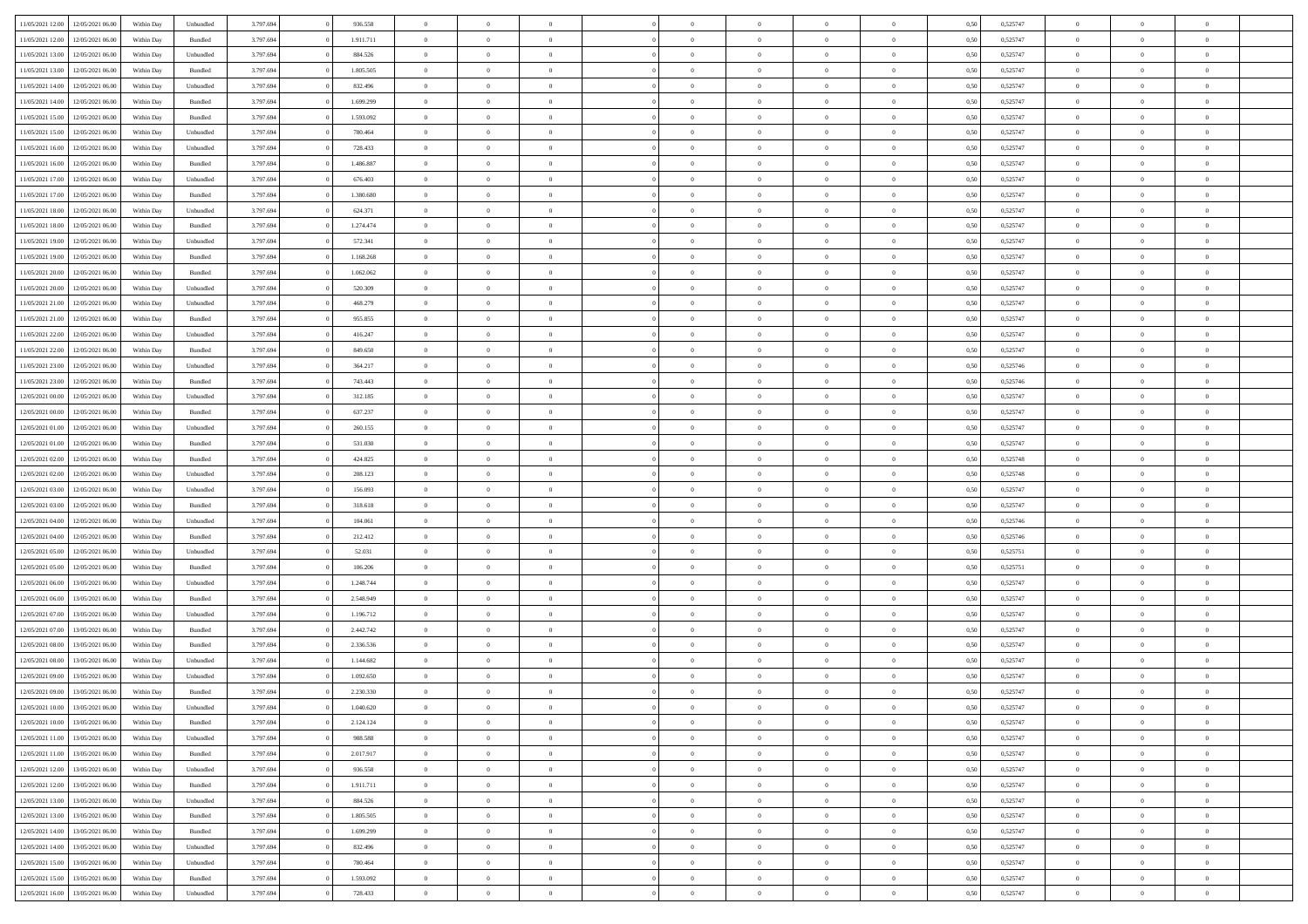| 11/05/2021 12:00                  | 12/05/2021 06:00 | Within Day | Unbundled | 3.797.694 | 936.558   | $\overline{0}$ | $\theta$       |                | $\Omega$       | $\Omega$       | $\overline{0}$ | $\theta$       | 0,50 | 0,525747 | $\theta$       | $\overline{0}$ | $\overline{0}$ |  |
|-----------------------------------|------------------|------------|-----------|-----------|-----------|----------------|----------------|----------------|----------------|----------------|----------------|----------------|------|----------|----------------|----------------|----------------|--|
|                                   |                  |            |           |           |           |                |                |                |                |                |                |                |      |          |                |                |                |  |
| 11/05/2021 12:00                  | 12/05/2021 06:00 | Within Day | Bundled   | 3.797.694 | 1.911.711 | $\overline{0}$ | $\overline{0}$ | $\overline{0}$ | $\overline{0}$ | $\bf{0}$       | $\overline{0}$ | $\,$ 0 $\,$    | 0,50 | 0,525747 | $\theta$       | $\overline{0}$ | $\overline{0}$ |  |
| 11/05/2021 13:00                  | 12/05/2021 06:00 | Within Day | Unbundled | 3.797.694 | 884.526   | $\overline{0}$ | $\bf{0}$       | $\overline{0}$ | $\bf{0}$       | $\bf{0}$       | $\bf{0}$       | $\mathbf{0}$   | 0,50 | 0,525747 | $\overline{0}$ | $\overline{0}$ | $\overline{0}$ |  |
| 11/05/2021 13:00                  | 12/05/2021 06:00 | Within Dav | Bundled   | 3.797.694 | 1.805.505 | $\overline{0}$ | $\overline{0}$ | $\overline{0}$ | $\overline{0}$ | $\bf{0}$       | $\overline{0}$ | $\overline{0}$ | 0.50 | 0,525747 | $\theta$       | $\theta$       | $\overline{0}$ |  |
| 11/05/2021 14:00                  | 12/05/2021 06:00 | Within Day | Unbundled | 3.797.694 | 832.496   | $\overline{0}$ | $\theta$       | $\overline{0}$ | $\overline{0}$ | $\bf{0}$       | $\overline{0}$ | $\bf{0}$       | 0,50 | 0,525747 | $\,$ 0 $\,$    | $\overline{0}$ | $\overline{0}$ |  |
| 11/05/2021 14:00                  | 12/05/2021 06:00 | Within Day | Bundled   | 3.797.694 | 1.699.299 | $\overline{0}$ | $\overline{0}$ | $\overline{0}$ | $\bf{0}$       | $\overline{0}$ | $\overline{0}$ | $\mathbf{0}$   | 0,50 | 0,525747 | $\overline{0}$ | $\overline{0}$ | $\bf{0}$       |  |
|                                   |                  |            |           |           |           |                | $\overline{0}$ |                |                | $\overline{0}$ |                |                |      |          | $\theta$       | $\overline{0}$ | $\overline{0}$ |  |
| 11/05/2021 15:00                  | 12/05/2021 06:00 | Within Dav | Bundled   | 3.797.694 | 1.593.092 | $\overline{0}$ |                | $\overline{0}$ | $\overline{0}$ |                | $\overline{0}$ | $\overline{0}$ | 0.50 | 0,525747 |                |                |                |  |
| 11/05/2021 15:00                  | 12/05/2021 06:00 | Within Day | Unbundled | 3.797.694 | 780.464   | $\overline{0}$ | $\theta$       | $\overline{0}$ | $\overline{0}$ | $\bf{0}$       | $\overline{0}$ | $\bf{0}$       | 0,50 | 0,525747 | $\theta$       | $\theta$       | $\overline{0}$ |  |
| 11/05/2021 16:00                  | 12/05/2021 06:00 | Within Day | Unbundled | 3.797.694 | 728.433   | $\overline{0}$ | $\overline{0}$ | $\overline{0}$ | $\bf{0}$       | $\bf{0}$       | $\bf{0}$       | $\bf{0}$       | 0,50 | 0,525747 | $\,0\,$        | $\overline{0}$ | $\overline{0}$ |  |
| 11/05/2021 16:00                  | 12/05/2021 06:00 | Within Dav | Bundled   | 3.797.694 | 1.486.887 | $\overline{0}$ | $\overline{0}$ | $\overline{0}$ | $\overline{0}$ | $\overline{0}$ | $\overline{0}$ | $\overline{0}$ | 0.50 | 0,525747 | $\theta$       | $\overline{0}$ | $\overline{0}$ |  |
| 11/05/2021 17:00                  | 12/05/2021 06:00 | Within Day | Unbundled | 3.797.694 | 676.403   | $\overline{0}$ | $\theta$       | $\overline{0}$ | $\overline{0}$ | $\bf{0}$       | $\overline{0}$ | $\bf{0}$       | 0,50 | 0,525747 | $\,$ 0 $\,$    | $\overline{0}$ | $\overline{0}$ |  |
| 11/05/2021 17:00                  | 12/05/2021 06:00 | Within Day | Bundled   | 3.797.694 | 1.380.680 | $\overline{0}$ | $\bf{0}$       | $\overline{0}$ | $\bf{0}$       | $\bf{0}$       | $\bf{0}$       | $\mathbf{0}$   | 0,50 | 0,525747 | $\overline{0}$ | $\overline{0}$ | $\bf{0}$       |  |
| 11/05/2021 18:00                  | 12/05/2021 06:00 | Within Day | Unbundled | 3.797.694 | 624.371   | $\overline{0}$ | $\overline{0}$ | $\overline{0}$ | $\overline{0}$ | $\bf{0}$       | $\overline{0}$ | $\overline{0}$ | 0.50 | 0,525747 | $\theta$       | $\theta$       | $\overline{0}$ |  |
| 11/05/2021 18:00                  | 12/05/2021 06:00 |            |           | 3.797.694 | 1.274.474 | $\overline{0}$ | $\theta$       | $\overline{0}$ | $\overline{0}$ | $\bf{0}$       | $\overline{0}$ |                |      | 0,525747 | $\theta$       | $\overline{0}$ | $\overline{0}$ |  |
|                                   |                  | Within Day | Bundled   |           |           |                |                |                |                |                |                | $\bf{0}$       | 0,50 |          |                |                |                |  |
| 11/05/2021 19:00                  | 12/05/2021 06:00 | Within Day | Unbundled | 3.797.694 | 572.341   | $\overline{0}$ | $\overline{0}$ | $\overline{0}$ | $\bf{0}$       | $\overline{0}$ | $\overline{0}$ | $\mathbf{0}$   | 0,50 | 0,525747 | $\overline{0}$ | $\overline{0}$ | $\bf{0}$       |  |
| 11/05/2021 19:00                  | 12/05/2021 06:00 | Within Dav | Bundled   | 3.797.694 | 1.168.268 | $\overline{0}$ | $\overline{0}$ | $\overline{0}$ | $\overline{0}$ | $\overline{0}$ | $\overline{0}$ | $\overline{0}$ | 0.50 | 0,525747 | $\theta$       | $\overline{0}$ | $\overline{0}$ |  |
| 11/05/2021 20:00                  | 12/05/2021 06:00 | Within Day | Bundled   | 3.797.694 | 1.062.062 | $\overline{0}$ | $\theta$       | $\overline{0}$ | $\overline{0}$ | $\bf{0}$       | $\overline{0}$ | $\bf{0}$       | 0,50 | 0,525747 | $\,$ 0 $\,$    | $\theta$       | $\overline{0}$ |  |
| 11/05/2021 20:00                  | 12/05/2021 06:00 | Within Day | Unbundled | 3.797.694 | 520.309   | $\overline{0}$ | $\overline{0}$ | $\overline{0}$ | $\overline{0}$ | $\bf{0}$       | $\overline{0}$ | $\mathbf{0}$   | 0,50 | 0,525747 | $\bf{0}$       | $\overline{0}$ | $\overline{0}$ |  |
| 11/05/2021 21:00                  | 12/05/2021 06:00 | Within Day | Unbundled | 3.797.694 | 468.279   | $\overline{0}$ | $\overline{0}$ | $\overline{0}$ | $\overline{0}$ | $\overline{0}$ | $\overline{0}$ | $\overline{0}$ | 0.50 | 0,525747 | $\theta$       | $\overline{0}$ | $\overline{0}$ |  |
| 11/05/2021 21:00                  | 12/05/2021 06:00 | Within Day | Bundled   | 3.797.694 | 955.855   | $\overline{0}$ | $\theta$       | $\overline{0}$ | $\overline{0}$ | $\bf{0}$       | $\overline{0}$ | $\bf{0}$       | 0,50 | 0,525747 | $\,$ 0 $\,$    | $\overline{0}$ | $\overline{0}$ |  |
|                                   |                  |            |           |           |           |                | $\overline{0}$ |                |                | $\bf{0}$       |                |                |      |          |                | $\overline{0}$ | $\bf{0}$       |  |
| 11/05/2021 22.00                  | 12/05/2021 06:00 | Within Day | Unbundled | 3.797.694 | 416.247   | $\overline{0}$ |                | $\overline{0}$ | $\overline{0}$ |                | $\overline{0}$ | $\mathbf{0}$   | 0,50 | 0,525747 | $\bf{0}$       |                |                |  |
| 11/05/2021 22:00                  | 12/05/2021 06:00 | Within Day | Bundled   | 3.797.694 | 849,650   | $\overline{0}$ | $\overline{0}$ | $\overline{0}$ | $\overline{0}$ | $\overline{0}$ | $\overline{0}$ | $\overline{0}$ | 0.50 | 0,525747 | $\theta$       | $\overline{0}$ | $\overline{0}$ |  |
| 11/05/2021 23:00                  | 12/05/2021 06:00 | Within Day | Unbundled | 3.797.694 | 364.217   | $\overline{0}$ | $\theta$       | $\overline{0}$ | $\overline{0}$ | $\bf{0}$       | $\overline{0}$ | $\bf{0}$       | 0,50 | 0,525746 | $\,$ 0 $\,$    | $\overline{0}$ | $\overline{0}$ |  |
| 11/05/2021 23:00                  | 12/05/2021 06:00 | Within Day | Bundled   | 3.797.694 | 743.443   | $\overline{0}$ | $\overline{0}$ | $\overline{0}$ | $\overline{0}$ | $\overline{0}$ | $\overline{0}$ | $\mathbf{0}$   | 0,50 | 0,525746 | $\overline{0}$ | $\overline{0}$ | $\bf{0}$       |  |
| 12/05/2021 00:00                  | 12/05/2021 06:00 | Within Dav | Unbundled | 3.797.694 | 312.185   | $\overline{0}$ | $\overline{0}$ | $\overline{0}$ | $\overline{0}$ | $\overline{0}$ | $\overline{0}$ | $\overline{0}$ | 0.50 | 0,525747 | $\theta$       | $\overline{0}$ | $\overline{0}$ |  |
| 12/05/2021 00:00                  | 12/05/2021 06:00 | Within Day | Bundled   | 3.797.694 | 637.237   | $\overline{0}$ | $\theta$       | $\overline{0}$ | $\overline{0}$ | $\bf{0}$       | $\overline{0}$ | $\bf{0}$       | 0,50 | 0,525747 | $\theta$       | $\theta$       | $\overline{0}$ |  |
| 12/05/2021 01:00                  | 12/05/2021 06:00 | Within Day | Unbundled | 3.797.694 | 260.155   | $\overline{0}$ | $\overline{0}$ | $\overline{0}$ | $\bf{0}$       | $\bf{0}$       | $\bf{0}$       | $\bf{0}$       | 0,50 | 0,525747 | $\,0\,$        | $\overline{0}$ | $\overline{0}$ |  |
| 12/05/2021 01:00                  | 12/05/2021 06:00 | Within Day | Bundled   | 3.797.694 | 531.030   | $\overline{0}$ | $\overline{0}$ | $\overline{0}$ | $\overline{0}$ | $\overline{0}$ | $\overline{0}$ | $\overline{0}$ | 0.50 | 0,525747 | $\theta$       | $\overline{0}$ | $\overline{0}$ |  |
|                                   |                  |            |           |           |           | $\overline{0}$ | $\theta$       | $\overline{0}$ |                | $\bf{0}$       | $\overline{0}$ |                |      |          | $\,$ 0 $\,$    | $\overline{0}$ | $\overline{0}$ |  |
| 12/05/2021 02:00                  | 12/05/2021 06:00 | Within Day | Bundled   | 3.797.694 | 424.825   |                |                |                | $\overline{0}$ |                |                | $\bf{0}$       | 0,50 | 0,525748 |                |                |                |  |
| 12/05/2021 02:00                  | 12/05/2021 06:00 | Within Day | Unbundled | 3.797.694 | 208.123   | $\overline{0}$ | $\bf{0}$       | $\overline{0}$ | $\bf{0}$       | $\bf{0}$       | $\bf{0}$       | $\bf{0}$       | 0,50 | 0,525748 | $\overline{0}$ | $\overline{0}$ | $\bf{0}$       |  |
| 12/05/2021 03:00                  | 12/05/2021 06:00 | Within Day | Unbundled | 3.797.694 | 156.093   | $\overline{0}$ | $\Omega$       | $\overline{0}$ | $\Omega$       | $\Omega$       | $\overline{0}$ | $\overline{0}$ | 0,50 | 0,525747 | $\,0\,$        | $\theta$       | $\theta$       |  |
| 12/05/2021 03:00                  | 12/05/2021 06:00 | Within Day | Bundled   | 3.797.694 | 318.618   | $\overline{0}$ | $\theta$       | $\overline{0}$ | $\overline{0}$ | $\bf{0}$       | $\overline{0}$ | $\bf{0}$       | 0,50 | 0,525747 | $\,$ 0 $\,$    | $\overline{0}$ | $\overline{0}$ |  |
| 12/05/2021 04:00                  | 12/05/2021 06:00 | Within Day | Unbundled | 3.797.694 | 104.061   | $\overline{0}$ | $\overline{0}$ | $\overline{0}$ | $\bf{0}$       | $\overline{0}$ | $\overline{0}$ | $\mathbf{0}$   | 0,50 | 0,525746 | $\overline{0}$ | $\overline{0}$ | $\bf{0}$       |  |
| 12/05/2021 04:00                  | 12/05/2021 06:00 | Within Day | Bundled   | 3.797.694 | 212.412   | $\overline{0}$ | $\Omega$       | $\Omega$       | $\Omega$       | $\bf{0}$       | $\overline{0}$ | $\overline{0}$ | 0.50 | 0,525746 | $\,0\,$        | $\theta$       | $\theta$       |  |
| 12/05/2021 05:00                  | 12/05/2021 06:00 | Within Day | Unbundled | 3.797.694 | 52.031    | $\overline{0}$ | $\theta$       | $\overline{0}$ | $\overline{0}$ | $\bf{0}$       | $\overline{0}$ | $\bf{0}$       | 0,50 | 0,525751 | $\,$ 0 $\,$    | $\overline{0}$ | $\overline{0}$ |  |
| 12/05/2021 05:00                  | 12/05/2021 06:00 | Within Day | Bundled   | 3.797.694 | 106.206   | $\overline{0}$ | $\overline{0}$ | $\overline{0}$ | $\bf{0}$       | $\bf{0}$       | $\bf{0}$       | $\bf{0}$       | 0,50 | 0,525751 | $\bf{0}$       | $\overline{0}$ | $\bf{0}$       |  |
|                                   | 13/05/2021 06:00 |            |           |           | 1.248.744 | $\overline{0}$ | $\Omega$       |                | $\Omega$       | $\overline{0}$ | $\overline{0}$ |                |      |          | $\,$ 0 $\,$    | $\theta$       | $\theta$       |  |
| 12/05/2021 06:00                  |                  | Within Day | Unbundled | 3.797.694 |           |                |                | $\overline{0}$ |                |                |                | $\overline{0}$ | 0.50 | 0,525747 |                |                |                |  |
| 12/05/2021 06:00                  | 13/05/2021 06:00 | Within Day | Bundled   | 3.797.694 | 2.548.949 | $\overline{0}$ | $\overline{0}$ | $\overline{0}$ | $\overline{0}$ | $\bf{0}$       | $\overline{0}$ | $\bf{0}$       | 0,50 | 0,525747 | $\,$ 0 $\,$    | $\overline{0}$ | $\overline{0}$ |  |
| 12/05/2021 07:00                  | 13/05/2021 06:00 | Within Day | Unbundled | 3.797.694 | 1.196.712 | $\overline{0}$ | $\bf{0}$       | $\overline{0}$ | $\bf{0}$       | $\bf{0}$       | $\bf{0}$       | $\mathbf{0}$   | 0,50 | 0,525747 | $\overline{0}$ | $\overline{0}$ | $\bf{0}$       |  |
| 12/05/2021 07:00                  | 13/05/2021 06:00 | Within Day | Bundled   | 3.797.694 | 2.442.742 | $\overline{0}$ | $\Omega$       | $\overline{0}$ | $\Omega$       | $\overline{0}$ | $\overline{0}$ | $\overline{0}$ | 0,50 | 0,525747 | $\,0\,$        | $\theta$       | $\theta$       |  |
| 12/05/2021 08:00                  | 13/05/2021 06:00 | Within Day | Bundled   | 3.797.694 | 2.336.536 | $\overline{0}$ | $\overline{0}$ | $\overline{0}$ | $\overline{0}$ | $\,$ 0         | $\overline{0}$ | $\bf{0}$       | 0,50 | 0,525747 | $\,$ 0 $\,$    | $\overline{0}$ | $\overline{0}$ |  |
| 12/05/2021 08:00                  | 13/05/2021 06:00 | Within Day | Unbundled | 3.797.694 | 1.144.682 | $\overline{0}$ | $\overline{0}$ | $\overline{0}$ | $\bf{0}$       | $\bf{0}$       | $\bf{0}$       | $\mathbf{0}$   | 0,50 | 0,525747 | $\overline{0}$ | $\overline{0}$ | $\bf{0}$       |  |
| 12/05/2021 09:00                  | 13/05/2021 06:00 | Within Day | Unbundled | 3.797.694 | 1.092.650 | $\overline{0}$ | $\Omega$       | $\Omega$       | $\Omega$       | $\Omega$       | $\Omega$       | $\overline{0}$ | 0.50 | 0,525747 | $\theta$       | $\theta$       | $\theta$       |  |
| 12/05/2021 09:00                  | 13/05/2021 06:00 | Within Day | Bundled   | 3.797.694 | 2.230.330 | $\overline{0}$ | $\overline{0}$ | $\overline{0}$ | $\bf{0}$       | $\,$ 0         | $\bf{0}$       | $\bf{0}$       | 0,50 | 0,525747 | $\,0\,$        | $\,$ 0 $\,$    | $\overline{0}$ |  |
| 12/05/2021 10:00                  | 13/05/2021 06:00 | Within Day | Unbundled | 3.797.694 | 1.040.620 | $\bf{0}$       | $\bf{0}$       |                |                | $\bf{0}$       |                |                | 0,50 | 0,525747 | $\bf{0}$       | $\overline{0}$ |                |  |
|                                   |                  |            |           |           |           |                |                |                |                |                |                |                |      |          |                |                | $\Omega$       |  |
| 12/05/2021 10:00                  | 13/05/2021 06:00 | Within Day | Bundled   | 3.797.694 | 2.124.124 | $\overline{0}$ | $\overline{0}$ | $\overline{0}$ | $\Omega$       | $\overline{0}$ | $\overline{0}$ | $\overline{0}$ | 0,50 | 0,525747 | $\theta$       | $\theta$       |                |  |
| 12/05/2021 11:00                  | 13/05/2021 06:00 | Within Day | Unbundled | 3.797.694 | 988.588   | $\overline{0}$ | $\,$ 0         | $\overline{0}$ | $\bf{0}$       | $\,$ 0 $\,$    | $\overline{0}$ | $\,$ 0 $\,$    | 0,50 | 0,525747 | $\,$ 0 $\,$    | $\,$ 0 $\,$    | $\,$ 0         |  |
| 12/05/2021 11:00                  | 13/05/2021 06:00 | Within Day | Bundled   | 3.797.694 | 2.017.917 | $\overline{0}$ | $\overline{0}$ | $\overline{0}$ | $\overline{0}$ | $\overline{0}$ | $\overline{0}$ | $\mathbf{0}$   | 0,50 | 0,525747 | $\overline{0}$ | $\bf{0}$       | $\overline{0}$ |  |
| 12/05/2021 12:00                  | 13/05/2021 06:00 | Within Day | Unbundled | 3.797.694 | 936.558   | $\overline{0}$ | $\overline{0}$ | $\overline{0}$ | $\Omega$       | $\overline{0}$ | $\overline{0}$ | $\overline{0}$ | 0,50 | 0,525747 | $\overline{0}$ | $\theta$       | $\overline{0}$ |  |
| 12/05/2021 12:00                  | 13/05/2021 06:00 | Within Day | Bundled   | 3.797.694 | 1.911.711 | $\overline{0}$ | $\,$ 0         | $\overline{0}$ | $\overline{0}$ | $\,$ 0 $\,$    | $\overline{0}$ | $\mathbf{0}$   | 0,50 | 0,525747 | $\,$ 0 $\,$    | $\overline{0}$ | $\overline{0}$ |  |
| 12/05/2021 13:00                  | 13/05/2021 06:00 | Within Day | Unbundled | 3.797.694 | 884.526   | $\overline{0}$ | $\overline{0}$ | $\overline{0}$ | $\overline{0}$ | $\overline{0}$ | $\overline{0}$ | $\mathbf{0}$   | 0,50 | 0,525747 | $\overline{0}$ | $\overline{0}$ | $\bf{0}$       |  |
| 12/05/2021 13:00                  | 13/05/2021 06:00 | Within Day | Bundled   | 3.797.694 | 1.805.505 | $\overline{0}$ | $\overline{0}$ | $\overline{0}$ | $\Omega$       | $\overline{0}$ | $\overline{0}$ | $\bf{0}$       | 0.50 | 0,525747 | $\overline{0}$ | $\theta$       | $\overline{0}$ |  |
| 12/05/2021 14:00                  | 13/05/2021 06:00 | Within Day | Bundled   | 3.797.694 | 1.699.299 | $\overline{0}$ | $\,$ 0         | $\overline{0}$ | $\bf{0}$       | $\bf{0}$       | $\bf{0}$       | $\bf{0}$       | 0,50 | 0,525747 | $\,$ 0 $\,$    | $\overline{0}$ | $\overline{0}$ |  |
|                                   |                  |            |           |           |           |                |                |                |                |                |                |                |      |          |                |                |                |  |
| 12/05/2021 14:00                  | 13/05/2021 06:00 | Within Day | Unbundled | 3.797.694 | 832.496   | $\overline{0}$ | $\bf{0}$       | $\overline{0}$ | $\overline{0}$ | $\overline{0}$ | $\overline{0}$ | $\mathbf{0}$   | 0,50 | 0,525747 | $\overline{0}$ | $\overline{0}$ | $\bf{0}$       |  |
| 12/05/2021 15:00                  | 13/05/2021 06:00 | Within Day | Unbundled | 3.797.694 | 780.464   | $\overline{0}$ | $\overline{0}$ | $\overline{0}$ | $\Omega$       | $\overline{0}$ | $\overline{0}$ | $\bf{0}$       | 0.50 | 0,525747 | $\overline{0}$ | $\overline{0}$ | $\overline{0}$ |  |
| 12/05/2021 15:00                  | 13/05/2021 06:00 | Within Day | Bundled   | 3.797.694 | 1.593.092 | $\overline{0}$ | $\bf{0}$       | $\overline{0}$ | $\overline{0}$ | $\bf{0}$       | $\bf{0}$       | $\mathbf{0}$   | 0,50 | 0,525747 | $\,$ 0 $\,$    | $\,$ 0 $\,$    | $\bf{0}$       |  |
| 12/05/2021 16:00 13/05/2021 06:00 |                  | Within Day | Unbundled | 3.797.694 | 728.433   | $\overline{0}$ | $\overline{0}$ | $\overline{0}$ | $\overline{0}$ | $\overline{0}$ | $\bf{0}$       | $\mathbf{0}$   | 0,50 | 0,525747 | $\overline{0}$ | $\bf{0}$       | $\bf{0}$       |  |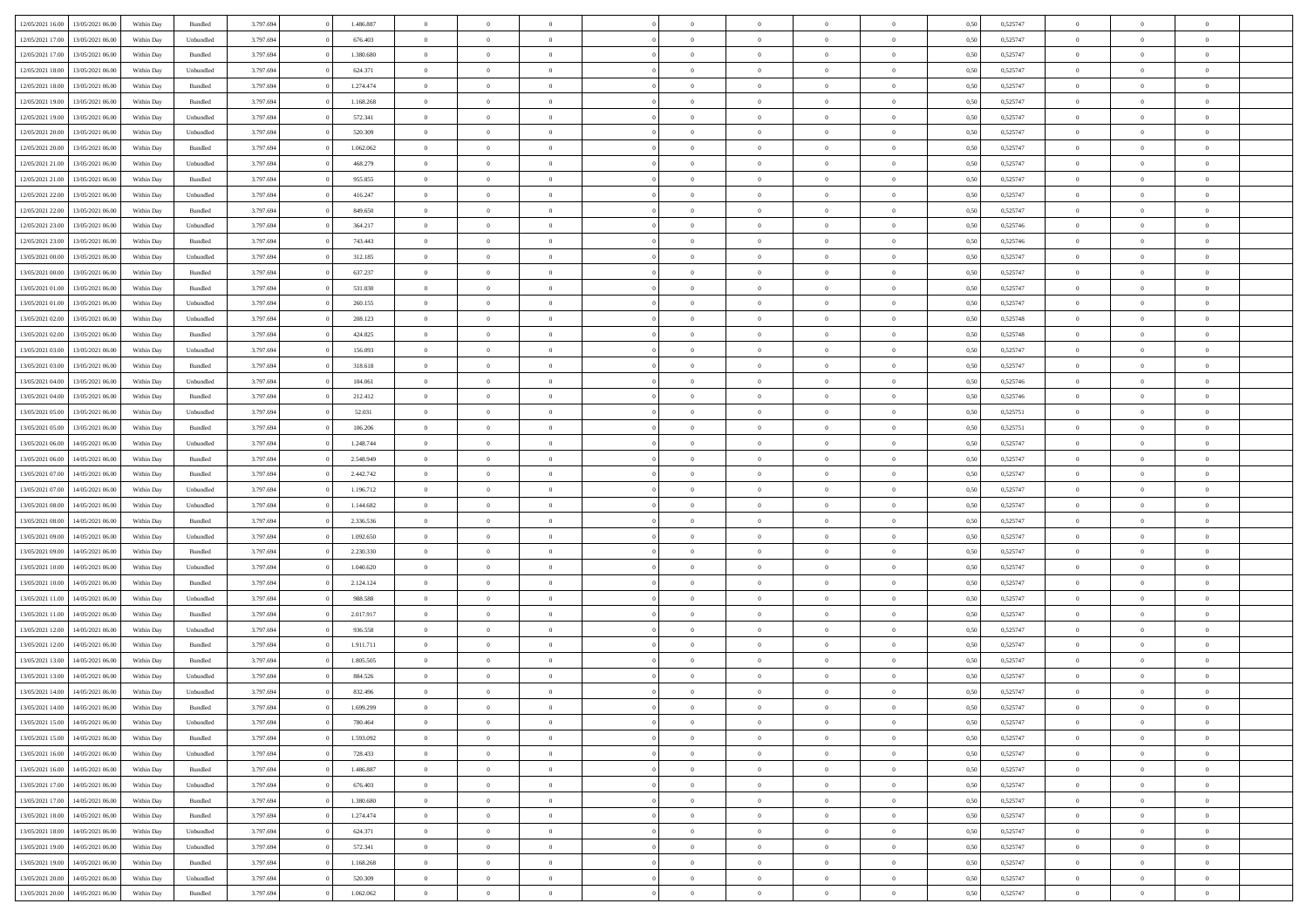| 12/05/2021 16:00 | 13/05/2021 06:00 | Within Day | Bundled            | 3.797.694 | 1.486.887 | $\overline{0}$ | $\Omega$       |                | $\Omega$       | $\Omega$       | $\theta$       | $\theta$       | 0,50 | 0,525747 | $\theta$       | $\theta$       | $\overline{0}$ |  |
|------------------|------------------|------------|--------------------|-----------|-----------|----------------|----------------|----------------|----------------|----------------|----------------|----------------|------|----------|----------------|----------------|----------------|--|
|                  |                  |            |                    |           |           |                |                |                |                |                |                |                |      |          |                |                |                |  |
| 12/05/2021 17:00 | 13/05/2021 06:00 | Within Day | Unbundled          | 3.797.694 | 676.403   | $\overline{0}$ | $\theta$       | $\overline{0}$ | $\overline{0}$ | $\bf{0}$       | $\overline{0}$ | $\bf{0}$       | 0,50 | 0,525747 | $\theta$       | $\overline{0}$ | $\overline{0}$ |  |
| 12/05/2021 17:00 | 13/05/2021 06:00 | Within Day | Bundled            | 3.797.694 | 1.380.680 | $\overline{0}$ | $\bf{0}$       | $\overline{0}$ | $\bf{0}$       | $\bf{0}$       | $\bf{0}$       | $\mathbf{0}$   | 0,50 | 0,525747 | $\bf{0}$       | $\overline{0}$ | $\overline{0}$ |  |
| 12/05/2021 18:00 | 13/05/2021 06:00 | Within Dav | Unbundled          | 3.797.694 | 624.371   | $\overline{0}$ | $\overline{0}$ | $\overline{0}$ | $\overline{0}$ | $\bf{0}$       | $\overline{0}$ | $\overline{0}$ | 0.50 | 0,525747 | $\theta$       | $\theta$       | $\overline{0}$ |  |
| 12/05/2021 18:00 | 13/05/2021 06:00 | Within Day | Bundled            | 3.797.694 | 1.274.474 | $\overline{0}$ | $\theta$       | $\overline{0}$ | $\overline{0}$ | $\bf{0}$       | $\overline{0}$ | $\bf{0}$       | 0,50 | 0,525747 | $\theta$       | $\overline{0}$ | $\overline{0}$ |  |
|                  |                  |            |                    |           |           |                |                |                |                |                |                |                |      |          |                |                |                |  |
| 12/05/2021 19:00 | 13/05/2021 06:00 | Within Day | Bundled            | 3.797.694 | 1.168.268 | $\overline{0}$ | $\overline{0}$ | $\overline{0}$ | $\bf{0}$       | $\overline{0}$ | $\overline{0}$ | $\mathbf{0}$   | 0,50 | 0,525747 | $\bf{0}$       | $\overline{0}$ | $\bf{0}$       |  |
| 12/05/2021 19:00 | 13/05/2021 06:00 | Within Dav | Unbundled          | 3.797.694 | 572.341   | $\overline{0}$ | $\overline{0}$ | $\overline{0}$ | $\overline{0}$ | $\overline{0}$ | $\overline{0}$ | $\overline{0}$ | 0.50 | 0,525747 | $\theta$       | $\overline{0}$ | $\overline{0}$ |  |
| 12/05/2021 20:00 | 13/05/2021 06:00 | Within Day | Unbundled          | 3.797.694 | 520.309   | $\overline{0}$ | $\theta$       | $\overline{0}$ | $\overline{0}$ | $\bf{0}$       | $\overline{0}$ | $\bf{0}$       | 0,50 | 0,525747 | $\theta$       | $\theta$       | $\overline{0}$ |  |
| 12/05/2021 20:00 | 13/05/2021 06:00 | Within Day | Bundled            | 3.797.694 | 1.062.062 | $\overline{0}$ | $\overline{0}$ | $\overline{0}$ | $\bf{0}$       | $\bf{0}$       | $\bf{0}$       | $\bf{0}$       | 0,50 | 0,525747 | $\,0\,$        | $\overline{0}$ | $\overline{0}$ |  |
| 12/05/2021 21:00 | 13/05/2021 06:00 | Within Dav | Unbundled          | 3.797.694 | 468.279   | $\overline{0}$ | $\overline{0}$ | $\overline{0}$ | $\overline{0}$ | $\overline{0}$ | $\overline{0}$ | $\overline{0}$ | 0.50 | 0,525747 | $\theta$       | $\overline{0}$ | $\overline{0}$ |  |
| 12/05/2021 21:00 | 13/05/2021 06:00 | Within Day | Bundled            | 3.797.694 | 955.855   | $\overline{0}$ | $\theta$       | $\overline{0}$ | $\overline{0}$ | $\bf{0}$       | $\overline{0}$ | $\bf{0}$       | 0,50 | 0,525747 | $\,$ 0 $\,$    | $\overline{0}$ | $\overline{0}$ |  |
| 12/05/2021 22:00 | 13/05/2021 06:00 | Within Day | Unbundled          | 3.797.694 | 416.247   | $\overline{0}$ | $\bf{0}$       | $\overline{0}$ | $\bf{0}$       | $\bf{0}$       | $\bf{0}$       | $\mathbf{0}$   | 0,50 | 0,525747 | $\overline{0}$ | $\overline{0}$ | $\bf{0}$       |  |
|                  |                  |            |                    |           |           |                |                |                |                |                |                |                |      |          |                |                |                |  |
| 12/05/2021 22:00 | 13/05/2021 06:00 | Within Day | Bundled            | 3.797.694 | 849,650   | $\overline{0}$ | $\overline{0}$ | $\overline{0}$ | $\overline{0}$ | $\bf{0}$       | $\overline{0}$ | $\overline{0}$ | 0.50 | 0,525747 | $\theta$       | $\theta$       | $\overline{0}$ |  |
| 12/05/2021 23:00 | 13/05/2021 06:00 | Within Day | Unbundled          | 3.797.694 | 364.217   | $\overline{0}$ | $\theta$       | $\overline{0}$ | $\overline{0}$ | $\bf{0}$       | $\overline{0}$ | $\bf{0}$       | 0,50 | 0,525746 | $\theta$       | $\overline{0}$ | $\overline{0}$ |  |
| 12/05/2021 23:00 | 13/05/2021 06:00 | Within Day | Bundled            | 3.797.694 | 743.443   | $\overline{0}$ | $\overline{0}$ | $\overline{0}$ | $\bf{0}$       | $\overline{0}$ | $\overline{0}$ | $\mathbf{0}$   | 0,50 | 0,525746 | $\overline{0}$ | $\overline{0}$ | $\bf{0}$       |  |
| 13/05/2021 00:00 | 13/05/2021 06:00 | Within Dav | Unbundled          | 3.797.694 | 312.185   | $\overline{0}$ | $\overline{0}$ | $\overline{0}$ | $\overline{0}$ | $\overline{0}$ | $\overline{0}$ | $\overline{0}$ | 0.50 | 0,525747 | $\theta$       | $\overline{0}$ | $\overline{0}$ |  |
| 13/05/2021 00:00 | 13/05/2021 06:00 | Within Day | Bundled            | 3.797.694 | 637.237   | $\overline{0}$ | $\theta$       | $\overline{0}$ | $\overline{0}$ | $\bf{0}$       | $\overline{0}$ | $\bf{0}$       | 0,50 | 0,525747 | $\theta$       | $\theta$       | $\overline{0}$ |  |
| 13/05/2021 01:00 | 13/05/2021 06:00 | Within Day | Bundled            | 3.797.694 | 531.030   | $\overline{0}$ | $\overline{0}$ | $\overline{0}$ | $\bf{0}$       | $\bf{0}$       | $\bf{0}$       | $\mathbf{0}$   | 0,50 | 0,525747 | $\,0\,$        | $\overline{0}$ | $\overline{0}$ |  |
| 13/05/2021 01:00 | 13/05/2021 06:00 | Within Day | Unbundled          | 3.797.694 | 260.155   | $\overline{0}$ | $\overline{0}$ | $\overline{0}$ | $\overline{0}$ | $\overline{0}$ | $\overline{0}$ | $\overline{0}$ | 0.50 | 0,525747 | $\theta$       | $\overline{0}$ | $\overline{0}$ |  |
|                  |                  |            |                    |           |           |                |                |                |                |                |                |                |      |          |                |                |                |  |
| 13/05/2021 02:00 | 13/05/2021 06:00 | Within Day | Unbundled          | 3.797.694 | 208.123   | $\overline{0}$ | $\theta$       | $\overline{0}$ | $\overline{0}$ | $\bf{0}$       | $\overline{0}$ | $\bf{0}$       | 0,50 | 0,525748 | $\,$ 0 $\,$    | $\overline{0}$ | $\overline{0}$ |  |
| 13/05/2021 02:00 | 13/05/2021 06:00 | Within Day | Bundled            | 3.797.694 | 424.825   | $\overline{0}$ | $\overline{0}$ | $\overline{0}$ | $\bf{0}$       | $\bf{0}$       | $\bf{0}$       | $\bf{0}$       | 0,50 | 0,525748 | $\bf{0}$       | $\overline{0}$ | $\bf{0}$       |  |
| 13/05/2021 03:00 | 13/05/2021 06:00 | Within Day | Unbundled          | 3.797.694 | 156.093   | $\overline{0}$ | $\overline{0}$ | $\overline{0}$ | $\overline{0}$ | $\bf{0}$       | $\overline{0}$ | $\overline{0}$ | 0.50 | 0,525747 | $\theta$       | $\overline{0}$ | $\overline{0}$ |  |
| 13/05/2021 03:00 | 13/05/2021 06:00 | Within Day | Bundled            | 3.797.694 | 318.618   | $\overline{0}$ | $\theta$       | $\overline{0}$ | $\overline{0}$ | $\bf{0}$       | $\overline{0}$ | $\bf{0}$       | 0,50 | 0,525747 | $\,$ 0 $\,$    | $\overline{0}$ | $\overline{0}$ |  |
| 13/05/2021 04:00 | 13/05/2021 06:00 | Within Day | Unbundled          | 3.797.694 | 104.061   | $\overline{0}$ | $\overline{0}$ | $\overline{0}$ | $\bf{0}$       | $\overline{0}$ | $\overline{0}$ | $\mathbf{0}$   | 0,50 | 0,525746 | $\bf{0}$       | $\overline{0}$ | $\bf{0}$       |  |
| 13/05/2021 04:00 | 13/05/2021 06:00 | Within Dav | Bundled            | 3.797.694 | 212.412   | $\overline{0}$ | $\overline{0}$ | $\overline{0}$ | $\overline{0}$ | $\overline{0}$ | $\overline{0}$ | $\overline{0}$ | 0.50 | 0,525746 | $\theta$       | $\overline{0}$ | $\overline{0}$ |  |
| 13/05/2021 05:00 | 13/05/2021 06:00 |            |                    | 3.797.694 | 52.031    | $\overline{0}$ | $\theta$       | $\overline{0}$ | $\overline{0}$ | $\bf{0}$       | $\overline{0}$ |                |      | 0,525751 | $\theta$       | $\theta$       | $\overline{0}$ |  |
|                  |                  | Within Day | Unbundled          |           |           |                |                |                |                |                |                | $\bf{0}$       | 0,50 |          |                |                |                |  |
| 13/05/2021 05:00 | 13/05/2021 06:00 | Within Day | Bundled            | 3.797.694 | 106.206   | $\overline{0}$ | $\overline{0}$ | $\overline{0}$ | $\bf{0}$       | $\bf{0}$       | $\bf{0}$       | $\bf{0}$       | 0,50 | 0,525751 | $\,0\,$        | $\overline{0}$ | $\overline{0}$ |  |
| 13/05/2021 06:00 | 14/05/2021 06:00 | Within Day | Unbundled          | 3.797.694 | 1.248.744 | $\overline{0}$ | $\overline{0}$ | $\overline{0}$ | $\overline{0}$ | $\overline{0}$ | $\overline{0}$ | $\overline{0}$ | 0.50 | 0,525747 | $\theta$       | $\overline{0}$ | $\overline{0}$ |  |
| 13/05/2021 06:00 | 14/05/2021 06:00 | Within Day | Bundled            | 3.797.694 | 2.548.949 | $\overline{0}$ | $\theta$       | $\overline{0}$ | $\overline{0}$ | $\bf{0}$       | $\overline{0}$ | $\bf{0}$       | 0,50 | 0,525747 | $\,$ 0 $\,$    | $\overline{0}$ | $\overline{0}$ |  |
| 13/05/2021 07:00 | 14/05/2021 06:00 | Within Day | Bundled            | 3.797.694 | 2.442.742 | $\overline{0}$ | $\overline{0}$ | $\overline{0}$ | $\bf{0}$       | $\bf{0}$       | $\bf{0}$       | $\bf{0}$       | 0,50 | 0,525747 | $\bf{0}$       | $\overline{0}$ | $\bf{0}$       |  |
| 13/05/2021 07:00 | 14/05/2021 06:00 | Within Day | Unbundled          | 3.797.694 | 1.196.712 | $\overline{0}$ | $\Omega$       | $\overline{0}$ | $\Omega$       | $\Omega$       | $\overline{0}$ | $\overline{0}$ | 0,50 | 0,525747 | $\,0\,$        | $\theta$       | $\theta$       |  |
| 13/05/2021 08:00 | 14/05/2021 06:00 | Within Day | Unbundled          | 3.797.694 | 1.144.682 | $\overline{0}$ | $\theta$       | $\overline{0}$ | $\overline{0}$ | $\bf{0}$       | $\overline{0}$ | $\bf{0}$       | 0,50 | 0,525747 | $\theta$       | $\overline{0}$ | $\overline{0}$ |  |
|                  |                  |            |                    |           |           |                |                |                |                |                |                |                |      |          |                |                |                |  |
| 13/05/2021 08:00 | 14/05/2021 06:00 | Within Day | Bundled            | 3.797.694 | 2.336.536 | $\overline{0}$ | $\overline{0}$ | $\overline{0}$ | $\bf{0}$       | $\overline{0}$ | $\overline{0}$ | $\mathbf{0}$   | 0,50 | 0,525747 | $\bf{0}$       | $\overline{0}$ | $\bf{0}$       |  |
| 13/05/2021 09:00 | 14/05/2021 06:00 | Within Day | Unbundled          | 3.797.694 | 1.092.650 | $\overline{0}$ | $\Omega$       | $\Omega$       | $\Omega$       | $\bf{0}$       | $\overline{0}$ | $\overline{0}$ | 0.50 | 0,525747 | $\,0\,$        | $\theta$       | $\theta$       |  |
| 13/05/2021 09:00 | 14/05/2021 06:00 | Within Day | Bundled            | 3.797.694 | 2.230.330 | $\overline{0}$ | $\theta$       | $\overline{0}$ | $\overline{0}$ | $\bf{0}$       | $\overline{0}$ | $\bf{0}$       | 0,50 | 0,525747 | $\,$ 0 $\,$    | $\overline{0}$ | $\overline{0}$ |  |
| 13/05/2021 10:00 | 14/05/2021 06:00 | Within Day | Unbundled          | 3.797.694 | 1.040.620 | $\overline{0}$ | $\overline{0}$ | $\overline{0}$ | $\bf{0}$       | $\bf{0}$       | $\bf{0}$       | $\bf{0}$       | 0,50 | 0,525747 | $\bf{0}$       | $\overline{0}$ | $\bf{0}$       |  |
| 13/05/2021 10:00 | 14/05/2021 06:00 | Within Day | Bundled            | 3.797.694 | 2.124.124 | $\overline{0}$ | $\Omega$       | $\Omega$       | $\Omega$       | $\overline{0}$ | $\overline{0}$ | $\overline{0}$ | 0.50 | 0,525747 | $\,$ 0 $\,$    | $\theta$       | $\theta$       |  |
| 13/05/2021 11:00 | 14/05/2021 06:00 | Within Day | Unbundled          | 3.797.694 | 988.588   | $\overline{0}$ | $\theta$       | $\overline{0}$ | $\overline{0}$ | $\bf{0}$       | $\overline{0}$ | $\bf{0}$       | 0,50 | 0,525747 | $\,$ 0 $\,$    | $\overline{0}$ | $\overline{0}$ |  |
| 13/05/2021 11:00 | 14/05/2021 06:00 | Within Day | Bundled            | 3.797.694 | 2.017.917 | $\overline{0}$ | $\bf{0}$       | $\overline{0}$ | $\bf{0}$       | $\bf{0}$       | $\bf{0}$       | $\mathbf{0}$   | 0,50 | 0,525747 | $\bf{0}$       | $\overline{0}$ | $\bf{0}$       |  |
| 13/05/2021 12:00 | 14/05/2021 06:00 |            | Unbundled          | 3.797.694 | 936.558   | $\overline{0}$ | $\Omega$       | $\overline{0}$ | $\Omega$       | $\overline{0}$ | $\overline{0}$ | $\overline{0}$ | 0,50 | 0,525747 | $\,0\,$        | $\theta$       | $\theta$       |  |
|                  |                  | Within Day |                    |           |           |                |                |                |                |                |                |                |      |          |                |                |                |  |
| 13/05/2021 12:00 | 14/05/2021 06:00 | Within Day | Bundled            | 3.797.694 | 1.911.711 | $\overline{0}$ | $\overline{0}$ | $\overline{0}$ | $\overline{0}$ | $\,$ 0         | $\overline{0}$ | $\bf{0}$       | 0,50 | 0,525747 | $\,$ 0 $\,$    | $\overline{0}$ | $\overline{0}$ |  |
| 13/05/2021 13:00 | 14/05/2021 06:00 | Within Day | Bundled            | 3.797.694 | 1.805.505 | $\overline{0}$ | $\overline{0}$ | $\overline{0}$ | $\bf{0}$       | $\bf{0}$       | $\bf{0}$       | $\mathbf{0}$   | 0,50 | 0,525747 | $\bf{0}$       | $\overline{0}$ | $\bf{0}$       |  |
| 13/05/2021 13:00 | 14/05/2021 06:00 | Within Day | Unbundled          | 3.797.694 | 884.526   | $\overline{0}$ | $\Omega$       | $\Omega$       | $\Omega$       | $\Omega$       | $\Omega$       | $\overline{0}$ | 0.50 | 0,525747 | $\theta$       | $\theta$       | $\theta$       |  |
| 13/05/2021 14:00 | 14/05/2021 06:00 | Within Day | Unbundled          | 3.797.694 | 832.496   | $\overline{0}$ | $\overline{0}$ | $\overline{0}$ | $\bf{0}$       | $\,$ 0         | $\overline{0}$ | $\bf{0}$       | 0,50 | 0,525747 | $\,0\,$        | $\,$ 0 $\,$    | $\overline{0}$ |  |
| 13/05/2021 14:00 | 14/05/2021 06:00 | Within Day | $\mathbf B$ undled | 3.797.694 | 1.699.299 | $\bf{0}$       | $\bf{0}$       |                |                |                |                |                | 0,50 | 0,525747 | $\bf{0}$       | $\overline{0}$ |                |  |
| 13/05/2021 15:00 | 14/05/2021 06:00 | Within Day | Unbundled          | 3.797.694 | 780,464   | $\overline{0}$ | $\overline{0}$ | $\overline{0}$ | $\Omega$       | $\overline{0}$ | $\overline{0}$ | $\overline{0}$ | 0.50 | 0,525747 | $\theta$       | $\theta$       | $\Omega$       |  |
| 13/05/2021 15:00 | 14/05/2021 06:00 | Within Day | Bundled            | 3.797.694 | 1.593.092 | $\overline{0}$ | $\,$ 0         | $\overline{0}$ | $\overline{0}$ | $\,$ 0 $\,$    | $\overline{0}$ | $\mathbf{0}$   | 0,50 | 0,525747 | $\,$ 0 $\,$    | $\,$ 0 $\,$    | $\,$ 0         |  |
|                  |                  |            |                    |           |           |                |                |                |                |                |                |                |      |          |                |                |                |  |
| 13/05/2021 16:00 | 14/05/2021 06:00 | Within Day | Unbundled          | 3.797.694 | 728.433   | $\overline{0}$ | $\overline{0}$ | $\overline{0}$ | $\overline{0}$ | $\overline{0}$ | $\overline{0}$ | $\mathbf{0}$   | 0,50 | 0,525747 | $\overline{0}$ | $\bf{0}$       | $\bf{0}$       |  |
| 13/05/2021 16:00 | 14/05/2021 06:00 | Within Day | $\mathbf B$ undled | 3.797.694 | 1.486.887 | $\overline{0}$ | $\overline{0}$ | $\overline{0}$ | $\Omega$       | $\overline{0}$ | $\overline{0}$ | $\overline{0}$ | 0,50 | 0,525747 | $\overline{0}$ | $\theta$       | $\overline{0}$ |  |
| 13/05/2021 17:00 | 14/05/2021 06:00 | Within Day | Unbundled          | 3.797.694 | 676.403   | $\overline{0}$ | $\,$ 0         | $\overline{0}$ | $\overline{0}$ | $\,$ 0 $\,$    | $\overline{0}$ | $\mathbf{0}$   | 0,50 | 0,525747 | $\,$ 0 $\,$    | $\overline{0}$ | $\overline{0}$ |  |
| 13/05/2021 17:00 | 14/05/2021 06:00 | Within Day | Bundled            | 3.797.694 | 1.380.680 | $\overline{0}$ | $\overline{0}$ | $\overline{0}$ | $\overline{0}$ | $\overline{0}$ | $\overline{0}$ | $\mathbf{0}$   | 0,50 | 0,525747 | $\overline{0}$ | $\overline{0}$ | $\bf{0}$       |  |
| 13/05/2021 18:00 | 14/05/2021 06:00 | Within Day | Bundled            | 3.797.694 | 1.274.474 | $\overline{0}$ | $\overline{0}$ | $\overline{0}$ | $\Omega$       | $\overline{0}$ | $\overline{0}$ | $\bf{0}$       | 0.50 | 0,525747 | $\overline{0}$ | $\theta$       | $\overline{0}$ |  |
| 13/05/2021 18:00 | 14/05/2021 06:00 | Within Day | Unbundled          | 3.797.694 | 624.371   | $\overline{0}$ | $\,$ 0         | $\overline{0}$ | $\bf{0}$       | $\bf{0}$       | $\bf{0}$       | $\bf{0}$       | 0,50 | 0,525747 | $\,$ 0 $\,$    | $\overline{0}$ | $\overline{0}$ |  |
| 13/05/2021 19:00 | 14/05/2021 06:00 | Within Day | Unbundled          | 3.797.694 | 572.341   | $\overline{0}$ | $\bf{0}$       | $\overline{0}$ | $\overline{0}$ | $\overline{0}$ | $\overline{0}$ | $\mathbf{0}$   | 0,50 | 0,525747 | $\overline{0}$ | $\overline{0}$ | $\bf{0}$       |  |
|                  |                  |            |                    |           |           |                |                |                |                |                |                |                |      |          |                |                |                |  |
| 13/05/2021 19:00 | 14/05/2021 06:00 | Within Day | Bundled            | 3.797.694 | 1.168.268 | $\overline{0}$ | $\overline{0}$ | $\overline{0}$ | $\Omega$       | $\overline{0}$ | $\overline{0}$ | $\bf{0}$       | 0.50 | 0,525747 | $\overline{0}$ | $\overline{0}$ | $\overline{0}$ |  |
| 13/05/2021 20:00 | 14/05/2021 06:00 | Within Day | Unbundled          | 3.797.694 | 520.309   | $\overline{0}$ | $\bf{0}$       | $\overline{0}$ | $\overline{0}$ | $\bf{0}$       | $\bf{0}$       | $\bf{0}$       | 0,50 | 0,525747 | $\,$ 0 $\,$    | $\,$ 0 $\,$    | $\bf{0}$       |  |
| 13/05/2021 20:00 | 14/05/2021 06:00 | Within Day | Bundled            | 3.797.694 | 1.062.062 | $\overline{0}$ | $\bf{0}$       | $\overline{0}$ | $\bf{0}$       | $\bf{0}$       | $\bf{0}$       | $\bf{0}$       | 0,50 | 0,525747 | $\overline{0}$ | $\overline{0}$ | $\bf{0}$       |  |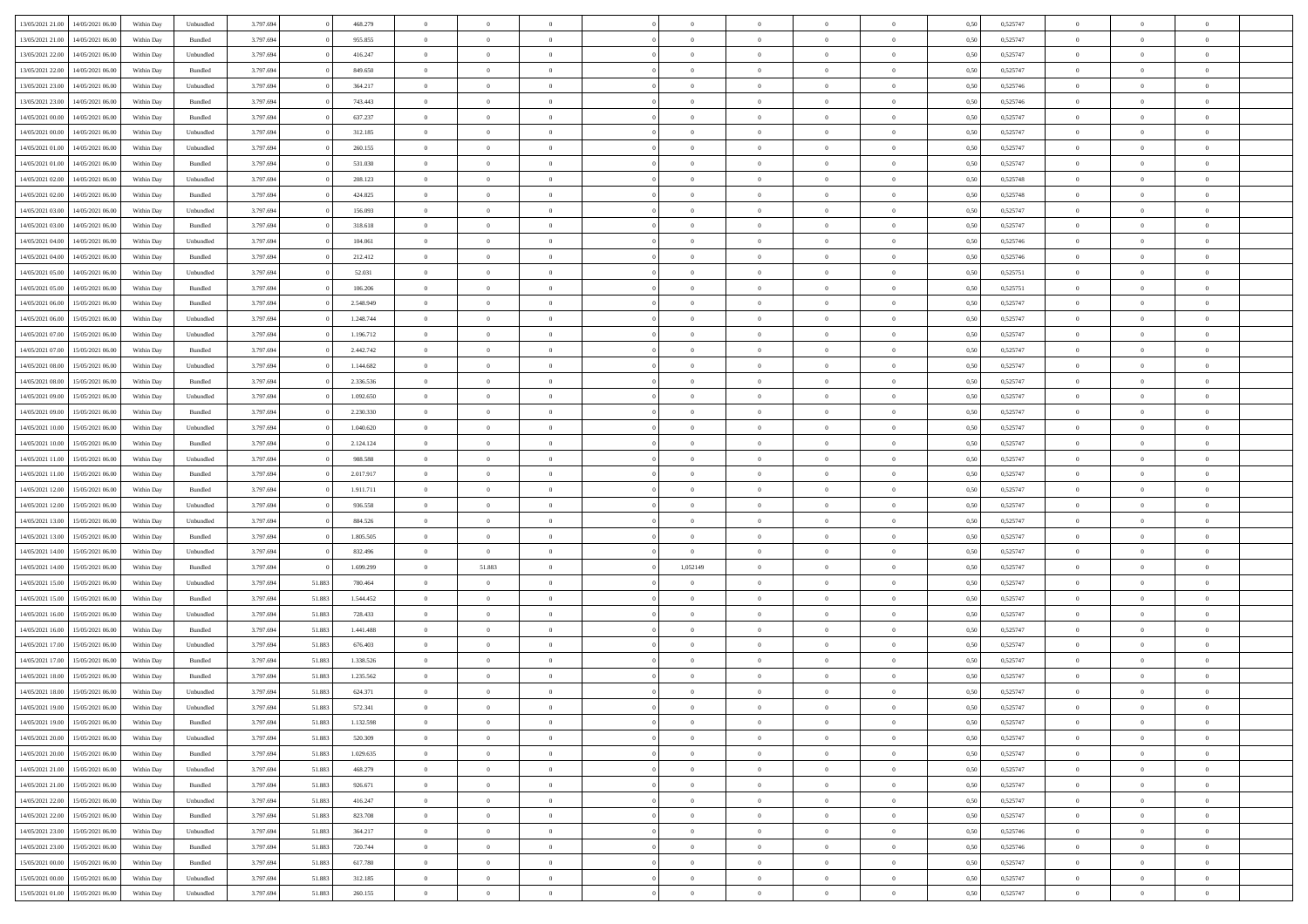| 13/05/2021 21:00 | 14/05/2021 06:00                  | Within Day | Unbundled | 3.797.694 |        | 468.279   | $\overline{0}$ | $\theta$       |                | $\Omega$       | $\Omega$       | $\theta$       | $\theta$       | 0.50 | 0,525747 | $\theta$       | $\overline{0}$ | $\theta$       |  |
|------------------|-----------------------------------|------------|-----------|-----------|--------|-----------|----------------|----------------|----------------|----------------|----------------|----------------|----------------|------|----------|----------------|----------------|----------------|--|
| 13/05/2021 21:00 | 14/05/2021 06:00                  | Within Day | Bundled   | 3.797.694 |        | 955.855   | $\overline{0}$ | $\theta$       | $\overline{0}$ | $\overline{0}$ | $\bf{0}$       | $\overline{0}$ | $\bf{0}$       | 0,50 | 0,525747 | $\theta$       | $\overline{0}$ | $\overline{0}$ |  |
| 13/05/2021 22.00 | 14/05/2021 06:00                  | Within Day | Unbundled | 3.797.694 |        | 416.247   | $\overline{0}$ | $\bf{0}$       | $\overline{0}$ | $\bf{0}$       | $\bf{0}$       | $\bf{0}$       | $\mathbf{0}$   | 0,50 | 0,525747 | $\bf{0}$       | $\overline{0}$ | $\overline{0}$ |  |
|                  |                                   |            |           |           |        |           |                |                |                |                |                |                |                |      |          | $\theta$       |                |                |  |
| 13/05/2021 22:00 | 14/05/2021 06:00                  | Within Dav | Bundled   | 3.797.694 |        | 849,650   | $\overline{0}$ | $\overline{0}$ | $\overline{0}$ | $\overline{0}$ | $\bf{0}$       | $\overline{0}$ | $\overline{0}$ | 0.50 | 0,525747 |                | $\theta$       | $\overline{0}$ |  |
| 13/05/2021 23:00 | 14/05/2021 06:00                  | Within Day | Unbundled | 3.797.694 |        | 364.217   | $\overline{0}$ | $\theta$       | $\overline{0}$ | $\overline{0}$ | $\bf{0}$       | $\overline{0}$ | $\bf{0}$       | 0,50 | 0,525746 | $\theta$       | $\overline{0}$ | $\overline{0}$ |  |
| 13/05/2021 23:00 | 14/05/2021 06:00                  | Within Day | Bundled   | 3.797.694 |        | 743.443   | $\overline{0}$ | $\overline{0}$ | $\overline{0}$ | $\bf{0}$       | $\overline{0}$ | $\overline{0}$ | $\mathbf{0}$   | 0,50 | 0,525746 | $\bf{0}$       | $\overline{0}$ | $\bf{0}$       |  |
| 14/05/2021 00:00 | 14/05/2021 06:00                  | Within Dav | Bundled   | 3.797.694 |        | 637.237   | $\overline{0}$ | $\overline{0}$ | $\overline{0}$ | $\overline{0}$ | $\overline{0}$ | $\overline{0}$ | $\overline{0}$ | 0.50 | 0,525747 | $\theta$       | $\overline{0}$ | $\overline{0}$ |  |
|                  |                                   |            |           |           |        |           |                |                |                |                |                |                |                |      |          |                |                |                |  |
| 14/05/2021 00:00 | 14/05/2021 06:00                  | Within Day | Unbundled | 3.797.694 |        | 312.185   | $\overline{0}$ | $\theta$       | $\overline{0}$ | $\overline{0}$ | $\bf{0}$       | $\overline{0}$ | $\bf{0}$       | 0,50 | 0,525747 | $\theta$       | $\theta$       | $\overline{0}$ |  |
| 14/05/2021 01:00 | 14/05/2021 06:00                  | Within Day | Unbundled | 3.797.694 |        | 260.155   | $\overline{0}$ | $\overline{0}$ | $\overline{0}$ | $\bf{0}$       | $\bf{0}$       | $\bf{0}$       | $\bf{0}$       | 0,50 | 0,525747 | $\,0\,$        | $\overline{0}$ | $\overline{0}$ |  |
| 14/05/2021 01:00 | 14/05/2021 06:00                  | Within Dav | Bundled   | 3.797.694 |        | 531.030   | $\overline{0}$ | $\overline{0}$ | $\overline{0}$ | $\overline{0}$ | $\overline{0}$ | $\overline{0}$ | $\overline{0}$ | 0.50 | 0,525747 | $\theta$       | $\overline{0}$ | $\overline{0}$ |  |
| 14/05/2021 02:00 | 14/05/2021 06:00                  |            |           | 3.797.694 |        | 208.123   | $\overline{0}$ | $\theta$       | $\overline{0}$ | $\overline{0}$ | $\bf{0}$       | $\overline{0}$ |                |      | 0,525748 | $\,$ 0 $\,$    | $\overline{0}$ | $\overline{0}$ |  |
|                  |                                   | Within Day | Unbundled |           |        |           |                |                |                |                |                |                | $\bf{0}$       | 0,50 |          |                |                |                |  |
| 14/05/2021 02:00 | 14/05/2021 06:00                  | Within Day | Bundled   | 3.797.694 |        | 424.825   | $\overline{0}$ | $\bf{0}$       | $\overline{0}$ | $\bf{0}$       | $\bf{0}$       | $\bf{0}$       | $\bf{0}$       | 0,50 | 0,525748 | $\overline{0}$ | $\overline{0}$ | $\bf{0}$       |  |
| 14/05/2021 03:00 | 14/05/2021 06:00                  | Within Day | Unbundled | 3.797.694 |        | 156.093   | $\overline{0}$ | $\overline{0}$ | $\overline{0}$ | $\overline{0}$ | $\bf{0}$       | $\overline{0}$ | $\overline{0}$ | 0.50 | 0,525747 | $\theta$       | $\theta$       | $\overline{0}$ |  |
| 14/05/2021 03:00 | 14/05/2021 06:00                  | Within Day | Bundled   | 3.797.694 |        | 318.618   | $\overline{0}$ | $\theta$       | $\overline{0}$ | $\overline{0}$ | $\bf{0}$       | $\overline{0}$ | $\bf{0}$       | 0,50 | 0,525747 | $\theta$       | $\overline{0}$ | $\overline{0}$ |  |
|                  |                                   |            |           |           |        |           |                |                |                |                |                |                |                |      |          |                |                |                |  |
| 14/05/2021 04:00 | 14/05/2021 06:00                  | Within Day | Unbundled | 3.797.694 |        | 104.061   | $\overline{0}$ | $\overline{0}$ | $\overline{0}$ | $\bf{0}$       | $\overline{0}$ | $\overline{0}$ | $\mathbf{0}$   | 0,50 | 0,525746 | $\overline{0}$ | $\overline{0}$ | $\bf{0}$       |  |
| 14/05/2021 04:00 | 14/05/2021 06:00                  | Within Dav | Bundled   | 3.797.694 |        | 212.412   | $\overline{0}$ | $\overline{0}$ | $\overline{0}$ | $\overline{0}$ | $\overline{0}$ | $\overline{0}$ | $\overline{0}$ | 0.50 | 0,525746 | $\theta$       | $\overline{0}$ | $\overline{0}$ |  |
| 14/05/2021 05:00 | 14/05/2021 06:00                  | Within Day | Unbundled | 3.797.694 |        | 52.031    | $\overline{0}$ | $\theta$       | $\overline{0}$ | $\overline{0}$ | $\bf{0}$       | $\overline{0}$ | $\bf{0}$       | 0,50 | 0,525751 | $\theta$       | $\theta$       | $\overline{0}$ |  |
| 14/05/2021 05:00 | 14/05/2021 06:00                  | Within Day | Bundled   | 3.797.694 |        | 106.206   | $\overline{0}$ | $\overline{0}$ | $\overline{0}$ | $\bf{0}$       | $\bf{0}$       | $\bf{0}$       | $\bf{0}$       | 0,50 | 0,525751 | $\,0\,$        | $\overline{0}$ | $\overline{0}$ |  |
| 14/05/2021 06:00 | 15/05/2021 06:00                  |            | Bundled   | 3.797.694 |        | 2.548.949 | $\overline{0}$ | $\overline{0}$ | $\overline{0}$ | $\overline{0}$ | $\overline{0}$ | $\overline{0}$ | $\overline{0}$ | 0.50 | 0,525747 | $\theta$       | $\overline{0}$ | $\overline{0}$ |  |
|                  |                                   | Within Day |           |           |        |           |                |                |                |                |                |                |                |      |          |                |                |                |  |
| 14/05/2021 06:00 | 15/05/2021 06:00                  | Within Day | Unbundled | 3.797.694 |        | 1.248.744 | $\overline{0}$ | $\theta$       | $\overline{0}$ | $\overline{0}$ | $\bf{0}$       | $\overline{0}$ | $\bf{0}$       | 0,50 | 0,525747 | $\,$ 0 $\,$    | $\overline{0}$ | $\overline{0}$ |  |
| 14/05/2021 07:00 | 15/05/2021 06:00                  | Within Day | Unbundled | 3.797.694 |        | 1.196.712 | $\overline{0}$ | $\overline{0}$ | $\overline{0}$ | $\bf{0}$       | $\bf{0}$       | $\bf{0}$       | $\bf{0}$       | 0,50 | 0,525747 | $\,0\,$        | $\overline{0}$ | $\bf{0}$       |  |
| 14/05/2021 07:00 | 15/05/2021 06:00                  | Within Day | Bundled   | 3.797.694 |        | 2.442.742 | $\overline{0}$ | $\overline{0}$ | $\overline{0}$ | $\overline{0}$ | $\bf{0}$       | $\overline{0}$ | $\overline{0}$ | 0.50 | 0,525747 | $\theta$       | $\overline{0}$ | $\overline{0}$ |  |
|                  |                                   |            |           |           |        |           | $\overline{0}$ | $\theta$       | $\overline{0}$ | $\overline{0}$ | $\bf{0}$       | $\overline{0}$ |                |      |          | $\,$ 0 $\,$    | $\overline{0}$ | $\overline{0}$ |  |
| 14/05/2021 08:00 | 15/05/2021 06:00                  | Within Day | Unbundled | 3.797.694 |        | 1.144.682 |                |                |                |                |                |                | $\bf{0}$       | 0,50 | 0,525747 |                |                |                |  |
| 14/05/2021 08:00 | 15/05/2021 06:00                  | Within Day | Bundled   | 3.797.694 |        | 2.336.536 | $\overline{0}$ | $\overline{0}$ | $\overline{0}$ | $\bf{0}$       | $\overline{0}$ | $\overline{0}$ | $\mathbf{0}$   | 0,50 | 0,525747 | $\overline{0}$ | $\overline{0}$ | $\bf{0}$       |  |
| 14/05/2021 09:00 | 15/05/2021 06:00                  | Within Dav | Unbundled | 3.797.694 |        | 1.092.650 | $\overline{0}$ | $\overline{0}$ | $\overline{0}$ | $\overline{0}$ | $\overline{0}$ | $\overline{0}$ | $\overline{0}$ | 0.50 | 0,525747 | $\theta$       | $\overline{0}$ | $\overline{0}$ |  |
| 14/05/2021 09:00 | 15/05/2021 06:00                  | Within Day | Bundled   | 3.797.694 |        | 2.230.330 | $\overline{0}$ | $\theta$       | $\overline{0}$ | $\overline{0}$ | $\bf{0}$       | $\overline{0}$ | $\bf{0}$       | 0,50 | 0,525747 | $\theta$       | $\theta$       | $\overline{0}$ |  |
|                  |                                   |            |           |           |        |           |                |                |                |                |                |                |                |      |          |                |                |                |  |
| 14/05/2021 10:00 | 15/05/2021 06:00                  | Within Day | Unbundled | 3.797.694 |        | 1.040.620 | $\overline{0}$ | $\overline{0}$ | $\overline{0}$ | $\bf{0}$       | $\bf{0}$       | $\bf{0}$       | $\bf{0}$       | 0,50 | 0,525747 | $\,0\,$        | $\overline{0}$ | $\overline{0}$ |  |
| 14/05/2021 10:00 | 15/05/2021 06:00                  | Within Day | Bundled   | 3.797.694 |        | 2.124.124 | $\overline{0}$ | $\overline{0}$ | $\overline{0}$ | $\overline{0}$ | $\overline{0}$ | $\overline{0}$ | $\overline{0}$ | 0.50 | 0,525747 | $\theta$       | $\overline{0}$ | $\overline{0}$ |  |
| 14/05/2021 11:00 | 15/05/2021 06:00                  | Within Day | Unbundled | 3.797.694 |        | 988.588   | $\overline{0}$ | $\theta$       | $\overline{0}$ | $\overline{0}$ | $\bf{0}$       | $\overline{0}$ | $\bf{0}$       | 0,50 | 0,525747 | $\,$ 0 $\,$    | $\overline{0}$ | $\overline{0}$ |  |
| 14/05/2021 11:00 | 15/05/2021 06:00                  | Within Day | Bundled   | 3.797.694 |        | 2.017.917 | $\overline{0}$ | $\overline{0}$ | $\overline{0}$ | $\bf{0}$       | $\bf{0}$       | $\bf{0}$       | $\bf{0}$       | 0,50 | 0,525747 | $\overline{0}$ | $\overline{0}$ | $\bf{0}$       |  |
|                  |                                   |            |           |           |        |           |                |                |                |                |                |                |                |      |          |                |                |                |  |
| 14/05/2021 12:00 | 15/05/2021 06:00                  | Within Day | Bundled   | 3.797.694 |        | 1.911.711 | $\overline{0}$ | $\Omega$       | $\Omega$       | $\Omega$       | $\Omega$       | $\overline{0}$ | $\overline{0}$ | 0,50 | 0,525747 | $\,0\,$        | $\theta$       | $\theta$       |  |
| 14/05/2021 12:00 | 15/05/2021 06:00                  | Within Day | Unbundled | 3.797.694 |        | 936.558   | $\overline{0}$ | $\theta$       | $\overline{0}$ | $\overline{0}$ | $\bf{0}$       | $\overline{0}$ | $\bf{0}$       | 0,50 | 0,525747 | $\theta$       | $\overline{0}$ | $\overline{0}$ |  |
| 14/05/2021 13:00 | 15/05/2021 06:00                  | Within Day | Unbundled | 3.797.694 |        | 884.526   | $\overline{0}$ | $\overline{0}$ | $\overline{0}$ | $\bf{0}$       | $\bf{0}$       | $\overline{0}$ | $\mathbf{0}$   | 0,50 | 0,525747 | $\overline{0}$ | $\overline{0}$ | $\bf{0}$       |  |
| 14/05/2021 13:00 | 15/05/2021 06:00                  | Within Day | Bundled   | 3.797.694 |        | 1.805.505 | $\overline{0}$ | $\Omega$       | $\Omega$       | $\Omega$       | $\bf{0}$       | $\overline{0}$ | $\overline{0}$ | 0.50 | 0,525747 | $\,0\,$        | $\theta$       | $\theta$       |  |
| 14/05/2021 14:00 | 15/05/2021 06:00                  |            |           | 3.797.694 |        | 832.496   | $\overline{0}$ | $\overline{0}$ | $\overline{0}$ | $\overline{0}$ | $\bf{0}$       | $\overline{0}$ |                |      | 0,525747 | $\,$ 0 $\,$    | $\overline{0}$ | $\overline{0}$ |  |
|                  |                                   | Within Day | Unbundled |           |        |           |                |                |                |                |                |                | $\bf{0}$       | 0,50 |          |                |                |                |  |
| 14/05/2021 14:00 | 15/05/2021 06:00                  | Within Day | Bundled   | 3.797.694 |        | 1.699.299 | $\overline{0}$ | 51.883         | $\overline{0}$ | 1,052149       | $\bf{0}$       | $\bf{0}$       | $\bf{0}$       | 0,50 | 0,525747 | $\,0\,$        | $\overline{0}$ | $\overline{0}$ |  |
| 14/05/2021 15:00 | 15/05/2021 06:00                  | Within Day | Unbundled | 3.797.694 | 51.883 | 780,464   | $\overline{0}$ | $\Omega$       | $\Omega$       | $\Omega$       | $\overline{0}$ | $\overline{0}$ | $\overline{0}$ | 0.50 | 0,525747 | $\,$ 0 $\,$    | $\theta$       | $\theta$       |  |
| 14/05/2021 15:00 | 15/05/2021 06:00                  | Within Day | Bundled   | 3.797.694 | 51.883 | 1.544.452 | $\overline{0}$ | $\theta$       | $\overline{0}$ | $\overline{0}$ | $\bf{0}$       | $\overline{0}$ | $\bf{0}$       | 0,50 | 0,525747 | $\,$ 0 $\,$    | $\overline{0}$ | $\overline{0}$ |  |
|                  |                                   |            |           |           |        |           |                |                |                |                |                |                |                |      |          |                |                |                |  |
| 14/05/2021 16:00 | 15/05/2021 06:00                  | Within Day | Unbundled | 3.797.694 | 51.883 | 728.433   | $\overline{0}$ | $\overline{0}$ | $\overline{0}$ | $\bf{0}$       | $\bf{0}$       | $\bf{0}$       | $\bf{0}$       | 0,50 | 0,525747 | $\overline{0}$ | $\overline{0}$ | $\bf{0}$       |  |
| 14/05/2021 16:00 | 15/05/2021 06:00                  | Within Day | Bundled   | 3.797.694 | 51.883 | 1.441.488 | $\overline{0}$ | $\Omega$       | $\overline{0}$ | $\Omega$       | $\overline{0}$ | $\overline{0}$ | $\overline{0}$ | 0,50 | 0,525747 | $\,0\,$        | $\theta$       | $\theta$       |  |
| 14/05/2021 17:00 | 15/05/2021 06:00                  | Within Day | Unbundled | 3.797.694 | 51.883 | 676.403   | $\overline{0}$ | $\theta$       | $\overline{0}$ | $\overline{0}$ | $\bf{0}$       | $\overline{0}$ | $\bf{0}$       | 0,50 | 0,525747 | $\,$ 0 $\,$    | $\overline{0}$ | $\overline{0}$ |  |
| 14/05/2021 17:00 | 15/05/2021 06:00                  | Within Day | Bundled   | 3.797.694 | 51.883 | 1.338.526 | $\overline{0}$ | $\overline{0}$ | $\overline{0}$ | $\bf{0}$       | $\bf{0}$       | $\bf{0}$       | $\mathbf{0}$   | 0,50 | 0,525747 | $\bf{0}$       | $\overline{0}$ | $\bf{0}$       |  |
| 14/05/2021 18:00 |                                   |            |           |           |        |           | $\overline{0}$ | $\Omega$       | $\Omega$       | $\Omega$       | $\Omega$       | $\Omega$       | $\overline{0}$ | 0.50 |          | $\theta$       | $\theta$       | $\theta$       |  |
|                  | 15/05/2021 06:00                  | Within Day | Bundled   | 3.797.694 | 51.883 | 1.235.562 |                |                |                |                |                |                |                |      | 0,525747 |                |                |                |  |
| 14/05/2021 18:00 | 15/05/2021 06:00                  | Within Day | Unbundled | 3.797.694 | 51.883 | 624.371   | $\overline{0}$ | $\overline{0}$ | $\overline{0}$ | $\bf{0}$       | $\,$ 0         | $\bf{0}$       | $\bf{0}$       | 0,50 | 0,525747 | $\,0\,$        | $\,$ 0 $\,$    | $\overline{0}$ |  |
| 14/05/2021 19:00 | 15/05/2021 06:00                  | Within Day | Unbundled | 3.797.694 | 51.883 | 572.341   | $\bf{0}$       | $\bf{0}$       |                |                |                |                |                | 0,50 | 0,525747 | $\bf{0}$       | $\overline{0}$ |                |  |
| 14/05/2021 19:00 | 15/05/2021 06:00                  | Within Day | Bundled   | 3.797.694 | 51.883 | 1.132.598 | $\overline{0}$ | $\overline{0}$ | $\overline{0}$ | $\Omega$       | $\overline{0}$ | $\overline{0}$ | $\overline{0}$ | 0,50 | 0,525747 | $\theta$       | $\theta$       | $\Omega$       |  |
| 14/05/2021 20:00 | 15/05/2021 06:00                  | Within Day | Unbundled | 3.797.694 | 51.883 | 520.309   | $\overline{0}$ | $\bf{0}$       | $\overline{0}$ | $\bf{0}$       | $\,$ 0 $\,$    | $\overline{0}$ | $\,$ 0 $\,$    | 0,50 | 0,525747 | $\,$ 0 $\,$    | $\,$ 0 $\,$    | $\,$ 0         |  |
|                  |                                   |            |           |           |        |           |                |                |                |                |                |                |                |      |          |                |                |                |  |
| 14/05/2021 20:00 | 15/05/2021 06:00                  | Within Day | Bundled   | 3.797.694 | 51.883 | 1.029.635 | $\overline{0}$ | $\overline{0}$ | $\overline{0}$ | $\overline{0}$ | $\overline{0}$ | $\overline{0}$ | $\mathbf{0}$   | 0,50 | 0,525747 | $\overline{0}$ | $\bf{0}$       | $\overline{0}$ |  |
| 14/05/2021 21:00 | 15/05/2021 06:00                  | Within Day | Unbundled | 3.797.694 | 51.883 | 468.279   | $\overline{0}$ | $\overline{0}$ | $\overline{0}$ | $\Omega$       | $\overline{0}$ | $\overline{0}$ | $\overline{0}$ | 0,50 | 0,525747 | $\overline{0}$ | $\theta$       | $\overline{0}$ |  |
| 14/05/2021 21:00 | 15/05/2021 06:00                  | Within Day | Bundled   | 3.797.694 | 51.883 | 926.671   | $\overline{0}$ | $\,$ 0         | $\overline{0}$ | $\overline{0}$ | $\,$ 0 $\,$    | $\overline{0}$ | $\mathbf{0}$   | 0,50 | 0,525747 | $\,$ 0 $\,$    | $\overline{0}$ | $\,$ 0         |  |
| 14/05/2021 22.00 | 15/05/2021 06:00                  | Within Day | Unbundled | 3.797.694 | 51.883 | 416.247   | $\overline{0}$ | $\overline{0}$ | $\overline{0}$ | $\overline{0}$ | $\overline{0}$ | $\overline{0}$ | $\mathbf{0}$   | 0,50 | 0,525747 | $\overline{0}$ | $\overline{0}$ | $\overline{0}$ |  |
|                  |                                   |            |           |           |        |           |                |                |                |                |                |                |                |      |          |                |                |                |  |
| 14/05/2021 22:00 | 15/05/2021 06:00                  | Within Day | Bundled   | 3.797.694 | 51.883 | 823.708   | $\overline{0}$ | $\overline{0}$ | $\overline{0}$ | $\overline{0}$ | $\overline{0}$ | $\overline{0}$ | $\bf{0}$       | 0.50 | 0,525747 | $\overline{0}$ | $\theta$       | $\overline{0}$ |  |
| 14/05/2021 23:00 | 15/05/2021 06:00                  | Within Day | Unbundled | 3.797.694 | 51.883 | 364.217   | $\overline{0}$ | $\,$ 0         | $\overline{0}$ | $\bf{0}$       | $\bf{0}$       | $\bf{0}$       | $\bf{0}$       | 0,50 | 0,525746 | $\,$ 0 $\,$    | $\overline{0}$ | $\overline{0}$ |  |
| 14/05/2021 23:00 | 15/05/2021 06:00                  | Within Day | Bundled   | 3.797.694 | 51.883 | 720.744   | $\overline{0}$ | $\bf{0}$       | $\overline{0}$ | $\overline{0}$ | $\overline{0}$ | $\overline{0}$ | $\mathbf{0}$   | 0,50 | 0,525746 | $\overline{0}$ | $\overline{0}$ | $\bf{0}$       |  |
|                  |                                   |            |           |           |        |           |                | $\overline{0}$ | $\overline{0}$ | $\Omega$       | $\overline{0}$ | $\overline{0}$ |                |      |          |                | $\overline{0}$ | $\overline{0}$ |  |
| 15/05/2021 00:00 | 15/05/2021 06:00                  | Within Day | Bundled   | 3.797.694 | 51.883 | 617.780   | $\overline{0}$ |                |                |                |                |                | $\overline{0}$ | 0.50 | 0,525747 | $\overline{0}$ |                |                |  |
| 15/05/2021 00:00 | 15/05/2021 06:00                  | Within Day | Unbundled | 3.797.694 | 51.883 | 312.185   | $\overline{0}$ | $\bf{0}$       | $\overline{0}$ | $\overline{0}$ | $\bf{0}$       | $\bf{0}$       | $\mathbf{0}$   | 0,50 | 0,525747 | $\,$ 0 $\,$    | $\,$ 0 $\,$    | $\bf{0}$       |  |
|                  | 15/05/2021 01.00 15/05/2021 06.00 | Within Day | Unbundled | 3.797.694 | 51.883 | 260.155   | $\overline{0}$ | $\overline{0}$ | $\overline{0}$ | $\overline{0}$ | $\overline{0}$ | $\bf{0}$       | $\mathbf{0}$   | 0,50 | 0,525747 | $\overline{0}$ | $\bf{0}$       | $\overline{0}$ |  |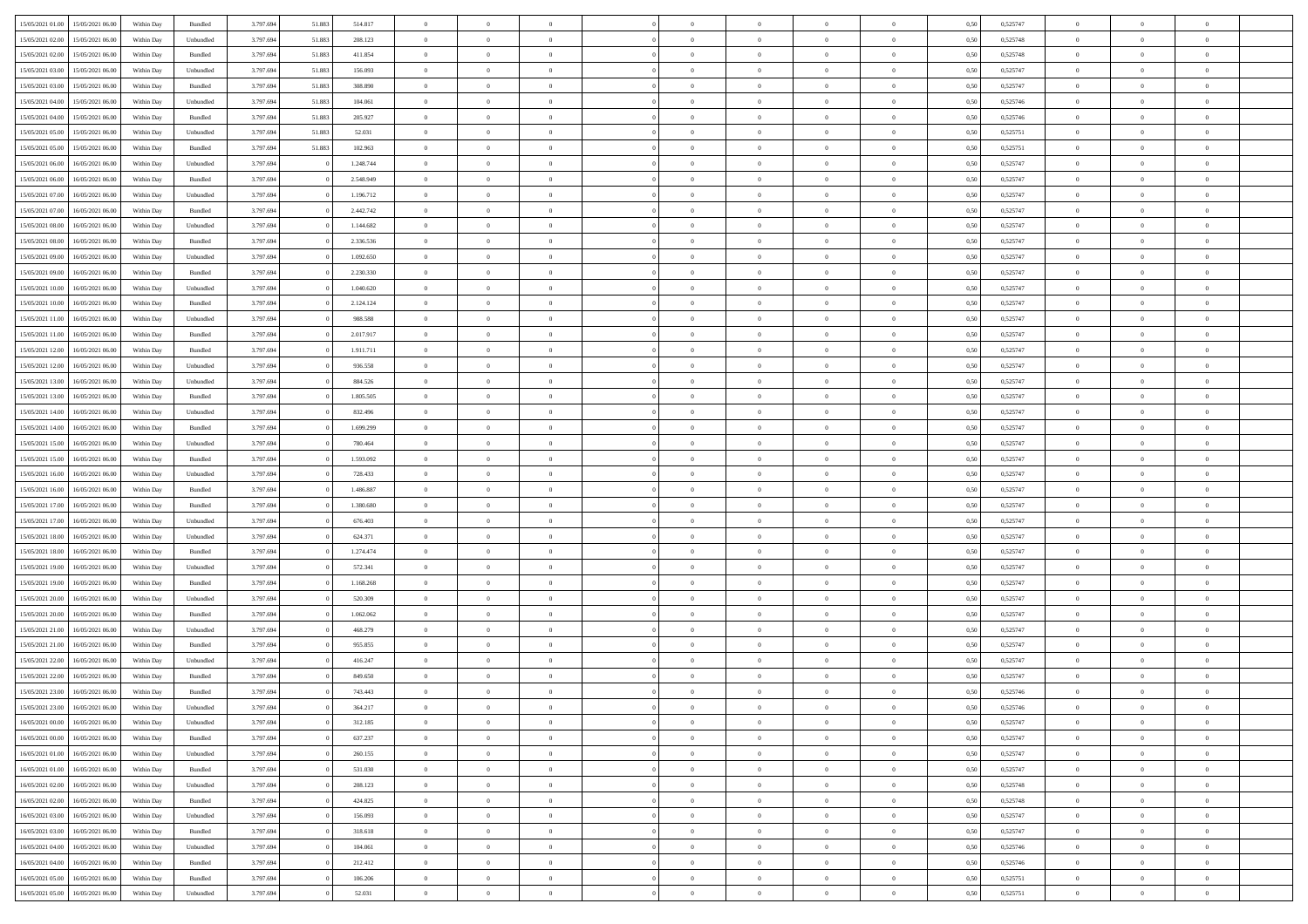| 15/05/2021 01:00 15/05/2021 06:00            | Within Day | Bundled           | 3.797.694 | 51.883 | 514.817   | $\overline{0}$ | $\overline{0}$ |                | $\overline{0}$ | $\theta$       |                | $\theta$       | 0,50 | 0,525747 | $\theta$       | $\theta$       | $\overline{0}$ |  |
|----------------------------------------------|------------|-------------------|-----------|--------|-----------|----------------|----------------|----------------|----------------|----------------|----------------|----------------|------|----------|----------------|----------------|----------------|--|
|                                              |            |                   |           |        |           |                |                |                |                |                |                |                |      |          |                |                |                |  |
| 15/05/2021 02:00<br>15/05/2021 06:00         | Within Day | Unbundled         | 3.797.69  | 51.883 | 208.123   | $\bf{0}$       | $\bf{0}$       | $\bf{0}$       | $\overline{0}$ | $\overline{0}$ | $\overline{0}$ | $\bf{0}$       | 0,50 | 0,525748 | $\,$ 0 $\,$    | $\bf{0}$       | $\overline{0}$ |  |
| 15/05/2021 02:00<br>15/05/2021 06:00         | Within Day | Bundled           | 3.797.694 | 51.883 | 411.854   | $\overline{0}$ | $\bf{0}$       | $\overline{0}$ | $\bf{0}$       | $\bf{0}$       | $\overline{0}$ | $\bf{0}$       | 0.50 | 0,525748 | $\bf{0}$       | $\overline{0}$ | $\overline{0}$ |  |
| 15/05/2021 03:00<br>15/05/2021 06:00         | Within Day | Unbundled         | 3.797.694 | 51.883 | 156.093   | $\overline{0}$ | $\overline{0}$ | $\overline{0}$ | $\overline{0}$ | $\theta$       | $\overline{0}$ | $\bf{0}$       | 0,50 | 0,525747 | $\,$ 0 $\,$    | $\theta$       | $\overline{0}$ |  |
| 15/05/2021 03:00<br>15/05/2021 06:00         | Within Day | Bundled           | 3.797.69  | 51.883 | 308.890   | $\bf{0}$       | $\overline{0}$ | $\bf{0}$       | $\overline{0}$ | $\theta$       | $\overline{0}$ | $\bf{0}$       | 0,50 | 0,525747 | $\,$ 0 $\,$    | $\bf{0}$       | $\overline{0}$ |  |
| 15/05/2021 04:00<br>15/05/2021 06:00         | Within Day | Unbundled         | 3.797.694 | 51.883 | 104.061   | $\overline{0}$ | $\overline{0}$ | $\overline{0}$ | $\overline{0}$ | $\overline{0}$ | $\theta$       | $\bf{0}$       | 0.50 | 0.525746 | $\,$ 0 $\,$    | $\theta$       | $\overline{0}$ |  |
|                                              |            |                   |           |        |           |                | $\overline{0}$ | $\overline{0}$ | $\overline{0}$ | $\overline{0}$ | $\overline{0}$ |                |      |          |                | $\theta$       | $\overline{0}$ |  |
| 15/05/2021 04:00<br>15/05/2021 06:00         | Within Day | Bundled           | 3.797.694 | 51.883 | 205.927   | $\bf{0}$       |                |                |                |                |                | $\bf{0}$       | 0,50 | 0,525746 | $\,$ 0 $\,$    |                |                |  |
| 15/05/2021 05:00<br>15/05/2021 06:00         | Within Day | Unbundled         | 3.797.69  | 51.883 | 52.031    | $\bf{0}$       | $\overline{0}$ | $\bf{0}$       | $\overline{0}$ | $\overline{0}$ | $\overline{0}$ | $\bf{0}$       | 0,50 | 0,525751 | $\,$ 0 $\,$    | $\bf{0}$       | $\overline{0}$ |  |
| 15/05/2021 05:00<br>15/05/2021 06:00         | Within Day | Bundled           | 3.797.694 | 51.883 | 102.963   | $\overline{0}$ | $\bf{0}$       | $\overline{0}$ | $\bf{0}$       | $\overline{0}$ | $\overline{0}$ | $\bf{0}$       | 0.50 | 0,525751 | $\bf{0}$       | $\overline{0}$ | $\overline{0}$ |  |
| 15/05/2021 06:00<br>16/05/2021 06:00         | Within Day | Unbundled         | 3.797.694 |        | 1.248.744 | $\bf{0}$       | $\bf{0}$       | $\overline{0}$ | $\overline{0}$ | $\overline{0}$ | $\overline{0}$ | $\bf{0}$       | 0,50 | 0,525747 | $\,$ 0 $\,$    | $\bf{0}$       | $\overline{0}$ |  |
| 15/05/2021 06:00<br>16/05/2021 06:00         | Within Day | Bundled           | 3.797.694 |        | 2.548.949 | $\bf{0}$       | $\overline{0}$ | $\bf{0}$       | $\bf{0}$       | $\bf{0}$       | $\overline{0}$ | $\bf{0}$       | 0,50 | 0,525747 | $\,$ 0 $\,$    | $\bf{0}$       | $\overline{0}$ |  |
| 15/05/2021 07:00<br>16/05/2021 06:00         | Within Day | Unbundled         | 3.797.694 |        | 1.196.712 | $\overline{0}$ | $\bf{0}$       | $\overline{0}$ | $\overline{0}$ | $\bf{0}$       | $\overline{0}$ | $\bf{0}$       | 0.50 | 0,525747 | $\bf{0}$       | $\overline{0}$ | $\overline{0}$ |  |
| 15/05/2021 07:00<br>16/05/2021 06:00         | Within Day | Bundled           | 3.797.694 |        | 2.442.742 | $\overline{0}$ | $\overline{0}$ | $\overline{0}$ | $\overline{0}$ | $\theta$       | $\overline{0}$ | $\bf{0}$       | 0,50 | 0,525747 | $\,$ 0 $\,$    | $\theta$       | $\overline{0}$ |  |
|                                              |            |                   |           |        |           |                | $\overline{0}$ |                | $\overline{0}$ | $\theta$       | $\overline{0}$ |                |      |          | $\,$ 0 $\,$    | $\bf{0}$       | $\overline{0}$ |  |
| 15/05/2021 08:00<br>16/05/2021 06:00         | Within Day | Unbundled         | 3.797.69  |        | 1.144.682 | $\bf{0}$       |                | $\bf{0}$       |                |                |                | $\bf{0}$       | 0,50 | 0,525747 |                |                |                |  |
| 15/05/2021 08:00<br>16/05/2021 06:00         | Within Day | Bundled           | 3.797.694 |        | 2.336.536 | $\overline{0}$ | $\overline{0}$ | $\overline{0}$ | $\bf{0}$       | $\theta$       | $\Omega$       | $\bf{0}$       | 0.50 | 0.525747 | $\theta$       | $\theta$       | $\overline{0}$ |  |
| 15/05/2021 09:00<br>16/05/2021 06:00         | Within Day | Unbundled         | 3.797.694 |        | 1.092.650 | $\bf{0}$       | $\overline{0}$ | $\overline{0}$ | $\overline{0}$ | $\overline{0}$ | $\overline{0}$ | $\bf{0}$       | 0,50 | 0,525747 | $\,$ 0 $\,$    | $\theta$       | $\overline{0}$ |  |
| 15/05/2021 09:00<br>16/05/2021 06:00         | Within Day | Bundled           | 3.797.694 |        | 2.230.330 | $\bf{0}$       | $\overline{0}$ | $\bf{0}$       | $\overline{0}$ | $\bf{0}$       | $\overline{0}$ | $\bf{0}$       | 0,50 | 0,525747 | $\,$ 0 $\,$    | $\bf{0}$       | $\overline{0}$ |  |
| 15/05/2021 10:00<br>16/05/2021 06:00         | Within Day | Unbundled         | 3.797.694 |        | 1.040.620 | $\overline{0}$ | $\bf{0}$       | $\overline{0}$ | $\bf{0}$       | $\overline{0}$ | $\overline{0}$ | $\bf{0}$       | 0.50 | 0.525747 | $\bf{0}$       | $\overline{0}$ | $\overline{0}$ |  |
| 15/05/2021 10:00<br>16/05/2021 06:00         | Within Day | Bundled           | 3.797.694 |        | 2.124.124 | $\bf{0}$       | $\bf{0}$       | $\overline{0}$ | $\overline{0}$ | $\overline{0}$ | $\overline{0}$ | $\bf{0}$       | 0,50 | 0,525747 | $\,$ 0 $\,$    | $\bf{0}$       | $\overline{0}$ |  |
| 15/05/2021 11:00<br>16/05/2021 06:00         | Within Day | Unbundled         | 3.797.69  |        | 988.588   | $\bf{0}$       | $\bf{0}$       | $\bf{0}$       | $\bf{0}$       | $\overline{0}$ | $\overline{0}$ | $\bf{0}$       | 0,50 | 0,525747 | $\,$ 0 $\,$    | $\bf{0}$       | $\overline{0}$ |  |
| 15/05/2021 11:00<br>16/05/2021 06:00         | Within Day | Bundled           | 3.797.694 |        | 2.017.917 | $\overline{0}$ | $\bf{0}$       | $\overline{0}$ | $\overline{0}$ | $\bf{0}$       | $\overline{0}$ | $\bf{0}$       | 0.50 | 0,525747 | $\bf{0}$       | $\overline{0}$ | $\overline{0}$ |  |
|                                              |            |                   |           |        |           |                |                |                |                |                |                |                |      |          |                |                |                |  |
| 15/05/2021 12:00<br>16/05/2021 06:00         | Within Day | Bundled           | 3.797.694 |        | 1.911.711 | $\overline{0}$ | $\overline{0}$ | $\overline{0}$ | $\overline{0}$ | $\theta$       | $\overline{0}$ | $\bf{0}$       | 0,50 | 0,525747 | $\,$ 0 $\,$    | $\theta$       | $\overline{0}$ |  |
| 15/05/2021 12:00<br>16/05/2021 06:00         | Within Day | Unbundled         | 3.797.69  |        | 936.558   | $\bf{0}$       | $\overline{0}$ | $\bf{0}$       | $\bf{0}$       | $\overline{0}$ | $\overline{0}$ | $\bf{0}$       | 0,50 | 0,525747 | $\,$ 0 $\,$    | $\bf{0}$       | $\overline{0}$ |  |
| 15/05/2021 13:00<br>16/05/2021 06:00         | Within Day | Unbundled         | 3.797.694 |        | 884,526   | $\overline{0}$ | $\overline{0}$ | $\overline{0}$ | $\overline{0}$ | $\overline{0}$ | $\theta$       | $\bf{0}$       | 0.50 | 0.525747 | $\bf{0}$       | $\theta$       | $\overline{0}$ |  |
| 15/05/2021 13:00<br>16/05/2021 06:00         | Within Day | Bundled           | 3.797.694 |        | 1.805.505 | $\bf{0}$       | $\overline{0}$ | $\overline{0}$ | $\overline{0}$ | $\overline{0}$ | $\overline{0}$ | $\bf{0}$       | 0,50 | 0,525747 | $\,$ 0 $\,$    | $\theta$       | $\overline{0}$ |  |
| 15/05/2021 14:00<br>16/05/2021 06:00         | Within Day | Unbundled         | 3.797.694 |        | 832.496   | $\bf{0}$       | $\overline{0}$ | $\bf{0}$       | $\overline{0}$ | $\bf{0}$       | $\overline{0}$ | $\bf{0}$       | 0,50 | 0,525747 | $\,$ 0 $\,$    | $\bf{0}$       | $\overline{0}$ |  |
| 15/05/2021 14:00<br>16/05/2021 06:00         | Within Day | Bundled           | 3.797.694 |        | 1.699.299 | $\overline{0}$ | $\bf{0}$       | $\overline{0}$ | $\bf{0}$       | $\overline{0}$ | $\overline{0}$ | $\bf{0}$       | 0.50 | 0.525747 | $\bf{0}$       | $\overline{0}$ | $\overline{0}$ |  |
| 15/05/2021 15:00<br>16/05/2021 06:00         | Within Day | Unbundled         | 3.797.694 |        | 780.464   | $\bf{0}$       | $\bf{0}$       | $\overline{0}$ | $\overline{0}$ | $\overline{0}$ | $\overline{0}$ | $\bf{0}$       | 0,50 | 0,525747 | $\,$ 0 $\,$    | $\bf{0}$       | $\overline{0}$ |  |
| 15/05/2021 15:00<br>16/05/2021 06:00         | Within Day | Bundled           | 3.797.69  |        | 1.593.092 | $\bf{0}$       | $\bf{0}$       | $\bf{0}$       | $\bf{0}$       | $\overline{0}$ | $\overline{0}$ | $\bf{0}$       | 0,50 | 0,525747 | $\,$ 0 $\,$    | $\bf{0}$       | $\overline{0}$ |  |
|                                              |            |                   |           |        |           |                |                |                |                |                |                |                |      |          |                |                |                |  |
| 15/05/2021 16:00<br>16/05/2021 06:00         | Within Day | Unbundled         | 3.797.694 |        | 728.433   | $\overline{0}$ | $\bf{0}$       | $\overline{0}$ | $\bf{0}$       | $\bf{0}$       | $\overline{0}$ | $\bf{0}$       | 0.50 | 0,525747 | $\bf{0}$       | $\overline{0}$ | $\overline{0}$ |  |
| 15/05/2021 16:00<br>16/05/2021 06:00         | Within Day | Bundled           | 3.797.694 |        | 1.486.887 | $\overline{0}$ | $\overline{0}$ | $\overline{0}$ | $\overline{0}$ | $\overline{0}$ | $\overline{0}$ | $\bf{0}$       | 0.50 | 0,525747 | $\theta$       | $\theta$       | $\overline{0}$ |  |
| 15/05/2021 17:00<br>16/05/2021 06:00         | Within Day | Bundled           | 3.797.694 |        | 1.380.680 | $\bf{0}$       | $\overline{0}$ | $\bf{0}$       | $\bf{0}$       | $\,$ 0 $\,$    | $\overline{0}$ | $\bf{0}$       | 0,50 | 0,525747 | $\,$ 0 $\,$    | $\bf{0}$       | $\overline{0}$ |  |
| 15/05/2021 17:00<br>16/05/2021 06:00         | Within Day | Unbundled         | 3.797.694 |        | 676.403   | $\overline{0}$ | $\overline{0}$ | $\overline{0}$ | $\bf{0}$       | $\bf{0}$       | $\Omega$       | $\bf{0}$       | 0.50 | 0.525747 | $\,$ 0 $\,$    | $\theta$       | $\overline{0}$ |  |
| 15/05/2021 18:00<br>16/05/2021 06:00         | Within Day | Unbundled         | 3.797.694 |        | 624.371   | $\overline{0}$ | $\overline{0}$ | $\overline{0}$ | $\overline{0}$ | $\overline{0}$ | $\overline{0}$ | $\overline{0}$ | 0.50 | 0,525747 | $\theta$       | $\theta$       | $\overline{0}$ |  |
| 15/05/2021 18:00<br>16/05/2021 06:00         | Within Day | Bundled           | 3.797.694 |        | 1.274.474 | $\bf{0}$       | $\bf{0}$       | $\bf{0}$       | $\bf{0}$       | $\bf{0}$       | $\overline{0}$ | $\bf{0}$       | 0,50 | 0,525747 | $\,$ 0 $\,$    | $\bf{0}$       | $\overline{0}$ |  |
| 15/05/2021 19:00<br>16/05/2021 06:00         | Within Day | Unbundled         | 3.797.694 |        | 572.341   | $\overline{0}$ | $\bf{0}$       | $\overline{0}$ | $\bf{0}$       | $\overline{0}$ | $\overline{0}$ | $\bf{0}$       | 0.50 | 0.525747 | $\bf{0}$       | $\overline{0}$ | $\overline{0}$ |  |
| 15/05/2021 19:00<br>16/05/2021 06:00         | Within Day | Bundled           | 3.797.694 |        | 1.168.268 | $\overline{0}$ | $\overline{0}$ | $\overline{0}$ | $\overline{0}$ | $\overline{0}$ | $\overline{0}$ | $\overline{0}$ | 0.50 | 0,525747 | $\theta$       | $\theta$       | $\overline{0}$ |  |
|                                              |            |                   |           |        |           |                |                |                |                |                |                |                |      |          |                |                |                |  |
| 15/05/2021 20:00<br>16/05/2021 06:00         | Within Day | Unbundled         | 3.797.69  |        | 520.309   | $\bf{0}$       | $\bf{0}$       | $\bf{0}$       | $\bf{0}$       | $\overline{0}$ | $\overline{0}$ | $\bf{0}$       | 0,50 | 0,525747 | $\,$ 0 $\,$    | $\bf{0}$       | $\overline{0}$ |  |
| 15/05/2021 20:00<br>16/05/2021 06:00         | Within Day | Bundled           | 3.797.694 |        | 1.062.062 | $\overline{0}$ | $\bf{0}$       | $\overline{0}$ | $\bf{0}$       | $\bf{0}$       | $\overline{0}$ | $\bf{0}$       | 0.50 | 0,525747 | $\bf{0}$       | $\overline{0}$ | $\overline{0}$ |  |
| 15/05/2021 21:00<br>16/05/2021 06:00         | Within Day | Unbundled         | 3.797.694 |        | 468.279   | $\overline{0}$ | $\overline{0}$ | $\overline{0}$ | $\overline{0}$ | $\overline{0}$ | $\overline{0}$ | $\bf{0}$       | 0.50 | 0,525747 | $\theta$       | $\theta$       | $\overline{0}$ |  |
| 15/05/2021 21:00<br>16/05/2021 06:00         | Within Day | Bundled           | 3.797.694 |        | 955.855   | $\bf{0}$       | $\overline{0}$ | $\bf{0}$       | $\overline{0}$ | $\overline{0}$ | $\overline{0}$ | $\bf{0}$       | 0,50 | 0,525747 | $\,$ 0 $\,$    | $\bf{0}$       | $\overline{0}$ |  |
| 15/05/2021 22:00<br>16/05/2021 06:00         | Within Day | Unbundled         | 3.797.694 |        | 416.247   | $\overline{0}$ | $\overline{0}$ | $\Omega$       | $\overline{0}$ | $\overline{0}$ | $\Omega$       | $\bf{0}$       | 0.50 | 0,525747 | $\bf{0}$       | $\theta$       | $\overline{0}$ |  |
| 15/05/2021 22:00<br>16/05/2021 06:00         | Within Dav | Bundled           | 3.797.694 |        | 849,650   | $\overline{0}$ | $\overline{0}$ | $\overline{0}$ | $\overline{0}$ | $\theta$       | $\overline{0}$ | $\overline{0}$ | 0.50 | 0,525747 | $\theta$       | $\theta$       | $\overline{0}$ |  |
| 15/05/2021 23:00<br>16/05/2021 06:00         | Within Day | Bundled           | 3.797.694 |        | 743.443   | $\bf{0}$       | $\bf{0}$       | $\overline{0}$ | $\bf{0}$       | $\bf{0}$       | $\overline{0}$ | $\bf{0}$       | 0,50 | 0,525746 | $\,$ 0 $\,$    | $\bf{0}$       | $\overline{0}$ |  |
| $15/05/2021\ 23.00 \qquad 16/05/2021\ 06.00$ | Within Day | ${\sf Unbundred}$ | 3.797.694 |        | 364.217   | $\overline{0}$ | $\Omega$       |                | $\Omega$       | $\Omega$       |                |                | 0,50 | 0,525746 | $\theta$       | $\bf{0}$       |                |  |
| 16/05/2021 00:00 16/05/2021 06:00            | Within Day | Unbundled         | 3.797.694 |        | 312.185   | $\overline{0}$ | $\overline{0}$ | $\overline{0}$ | $\overline{0}$ | $\overline{0}$ | $\overline{0}$ | $\bf{0}$       | 0,50 | 0,525747 | $\theta$       | $\overline{0}$ | $\overline{0}$ |  |
|                                              |            |                   |           |        |           |                |                |                |                |                |                |                |      |          |                |                |                |  |
| 16/05/2021 00:00<br>16/05/2021 06:00         | Within Day | Bundled           | 3.797.694 |        | 637.237   | $\overline{0}$ | $\bf{0}$       | $\overline{0}$ | $\overline{0}$ | $\bf{0}$       | $\overline{0}$ | $\bf{0}$       | 0,50 | 0,525747 | $\bf{0}$       | $\overline{0}$ | $\bf{0}$       |  |
| 16/05/2021 01:00 16/05/2021 06:00            | Within Day | Unbundled         | 3.797.694 |        | 260.155   | $\overline{0}$ | $\overline{0}$ | $\overline{0}$ | $\overline{0}$ | $\mathbf{0}$   | $\overline{0}$ | $\,$ 0 $\,$    | 0.50 | 0,525747 | $\overline{0}$ | $\bf{0}$       | $\,$ 0 $\,$    |  |
| 16/05/2021 01:00 16/05/2021 06:00            | Within Day | Bundled           | 3.797.694 |        | 531.030   | $\overline{0}$ | $\overline{0}$ | $\overline{0}$ | $\overline{0}$ | $\overline{0}$ | $\overline{0}$ | $\bf{0}$       | 0,50 | 0,525747 | $\overline{0}$ | $\theta$       | $\overline{0}$ |  |
| 16/05/2021 02:00<br>16/05/2021 06:00         | Within Day | Unbundled         | 3.797.694 |        | 208.123   | $\overline{0}$ | $\bf{0}$       | $\overline{0}$ | $\overline{0}$ | $\bf{0}$       | $\overline{0}$ | $\bf{0}$       | 0,50 | 0,525748 | $\bf{0}$       | $\overline{0}$ | $\overline{0}$ |  |
| 16/05/2021 02:00<br>16/05/2021 06:00         | Within Day | Bundled           | 3.797.694 |        | 424.825   | $\overline{0}$ | $\bf{0}$       | $\overline{0}$ | $\overline{0}$ | $\bf{0}$       | $\overline{0}$ | $\bf{0}$       | 0.50 | 0.525748 | $\,$ 0 $\,$    | $\overline{0}$ | $\,$ 0         |  |
| 16/05/2021 03:00<br>16/05/2021 06:00         | Within Day | Unbundled         | 3.797.694 |        | 156.093   | $\overline{0}$ | $\overline{0}$ | $\overline{0}$ | $\overline{0}$ | $\overline{0}$ | $\overline{0}$ | $\bf{0}$       | 0,50 | 0,525747 | $\overline{0}$ | $\theta$       | $\overline{0}$ |  |
| 16/05/2021 06:00<br>16/05/2021 03:00         | Within Day | Bundled           | 3.797.694 |        | 318.618   | $\overline{0}$ | $\overline{0}$ | $\overline{0}$ | $\overline{0}$ | $\overline{0}$ | $\overline{0}$ | $\bf{0}$       | 0,50 | 0,525747 | $\bf{0}$       | $\overline{0}$ | $\,$ 0         |  |
|                                              |            | Unbundled         | 3.797.694 |        | 104.061   |                | $\overline{0}$ |                |                |                | $\overline{0}$ |                | 0.50 | 0.525746 |                |                | $\,$ 0         |  |
| 16/05/2021 04:00<br>16/05/2021 06:00         | Within Day |                   |           |        |           | $\overline{0}$ |                | $\overline{0}$ | $\overline{0}$ | $\overline{0}$ |                | $\bf{0}$       |      |          | $\mathbf{0}$   | $\bf{0}$       |                |  |
| 16/05/2021 04:00<br>16/05/2021 06:00         | Within Day | Bundled           | 3.797.694 |        | 212.412   | $\overline{0}$ | $\overline{0}$ | $\overline{0}$ | $\overline{0}$ | $\overline{0}$ | $\overline{0}$ | $\bf{0}$       | 0,50 | 0,525746 | $\overline{0}$ | $\overline{0}$ | $\overline{0}$ |  |
| 16/05/2021 05:00<br>16/05/2021 06:00         | Within Day | Bundled           | 3.797.694 |        | 106.206   | $\overline{0}$ | $\bf{0}$       | $\overline{0}$ | $\overline{0}$ | $\overline{0}$ | $\overline{0}$ | $\bf{0}$       | 0,50 | 0,525751 | $\bf{0}$       | $\overline{0}$ | $\bf{0}$       |  |
| 16/05/2021 05:00 16/05/2021 06:00            | Within Day | Unbundled         | 3.797.694 |        | 52.031    | $\,$ 0 $\,$    | $\bf{0}$       | $\overline{0}$ | $\overline{0}$ | $\,$ 0 $\,$    | $\overline{0}$ | $\,$ 0 $\,$    | 0,50 | 0,525751 | $\,$ 0 $\,$    | $\,$ 0 $\,$    | $\,$ 0 $\,$    |  |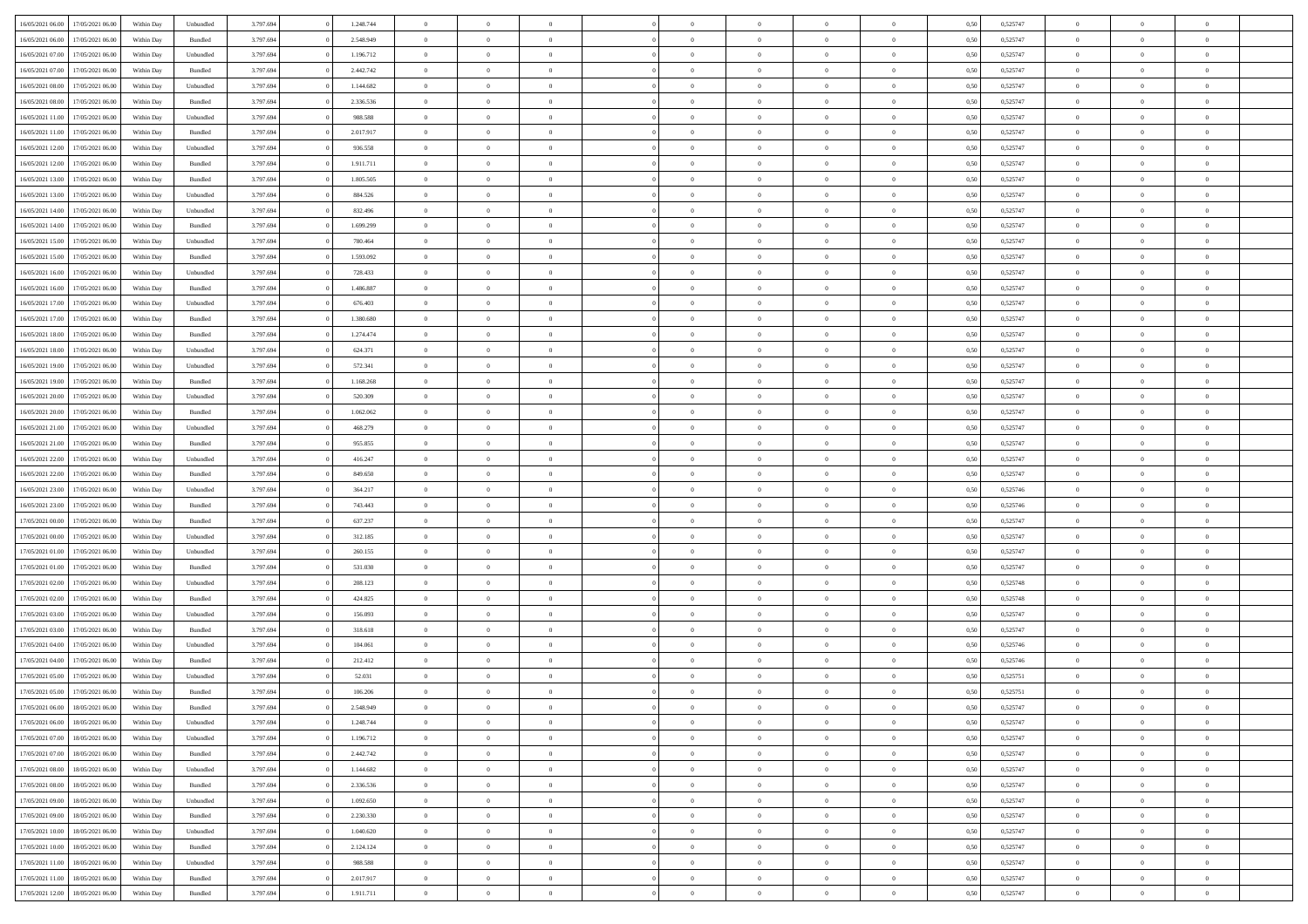| 16/05/2021 06:00 | 17/05/2021 06:00 | Within Day | Unbundled          | 3.797.694 | 1.248.744 | $\overline{0}$ | $\theta$       |                | $\Omega$       | $\Omega$       | $\theta$       | $\theta$       | 0,50 | 0,525747 | $\theta$       | $\overline{0}$ | $\theta$       |  |
|------------------|------------------|------------|--------------------|-----------|-----------|----------------|----------------|----------------|----------------|----------------|----------------|----------------|------|----------|----------------|----------------|----------------|--|
|                  |                  |            |                    |           |           |                |                |                |                |                |                |                |      |          |                |                |                |  |
| 16/05/2021 06:00 | 17/05/2021 06:00 | Within Day | Bundled            | 3.797.694 | 2.548.949 | $\overline{0}$ | $\theta$       | $\overline{0}$ | $\overline{0}$ | $\bf{0}$       | $\overline{0}$ | $\bf{0}$       | 0,50 | 0,525747 | $\theta$       | $\overline{0}$ | $\overline{0}$ |  |
| 16/05/2021 07:00 | 17/05/2021 06:00 | Within Day | Unbundled          | 3.797.694 | 1.196.712 | $\overline{0}$ | $\bf{0}$       | $\overline{0}$ | $\bf{0}$       | $\bf{0}$       | $\bf{0}$       | $\mathbf{0}$   | 0,50 | 0,525747 | $\overline{0}$ | $\overline{0}$ | $\overline{0}$ |  |
| 16/05/2021 07:00 | 17/05/2021 06:00 | Within Dav | Bundled            | 3.797.694 | 2.442.742 | $\overline{0}$ | $\overline{0}$ | $\overline{0}$ | $\overline{0}$ | $\bf{0}$       | $\overline{0}$ | $\overline{0}$ | 0.50 | 0,525747 | $\theta$       | $\theta$       | $\overline{0}$ |  |
| 16/05/2021 08:00 | 17/05/2021 06:00 | Within Day | Unbundled          | 3.797.694 | 1.144.682 | $\overline{0}$ | $\theta$       | $\overline{0}$ | $\overline{0}$ | $\bf{0}$       | $\overline{0}$ | $\bf{0}$       | 0,50 | 0,525747 | $\theta$       | $\overline{0}$ | $\overline{0}$ |  |
| 16/05/2021 08:00 | 17/05/2021 06:00 | Within Day | Bundled            | 3.797.694 | 2.336.536 | $\overline{0}$ | $\overline{0}$ | $\overline{0}$ | $\bf{0}$       | $\overline{0}$ | $\overline{0}$ | $\mathbf{0}$   | 0,50 | 0,525747 | $\overline{0}$ | $\overline{0}$ | $\bf{0}$       |  |
|                  |                  |            |                    |           |           |                | $\overline{0}$ |                |                | $\overline{0}$ |                |                |      |          | $\theta$       | $\overline{0}$ | $\overline{0}$ |  |
| 16/05/2021 11:00 | 17/05/2021 06:00 | Within Dav | Unbundled          | 3.797.694 | 988.588   | $\overline{0}$ |                | $\overline{0}$ | $\overline{0}$ |                | $\overline{0}$ | $\overline{0}$ | 0.50 | 0,525747 |                |                |                |  |
| 16/05/2021 11:00 | 17/05/2021 06:00 | Within Day | Bundled            | 3.797.694 | 2.017.917 | $\overline{0}$ | $\theta$       | $\overline{0}$ | $\overline{0}$ | $\bf{0}$       | $\overline{0}$ | $\bf{0}$       | 0,50 | 0,525747 | $\theta$       | $\theta$       | $\overline{0}$ |  |
| 16/05/2021 12:00 | 17/05/2021 06:00 | Within Day | Unbundled          | 3.797.694 | 936.558   | $\overline{0}$ | $\overline{0}$ | $\overline{0}$ | $\bf{0}$       | $\bf{0}$       | $\bf{0}$       | $\bf{0}$       | 0,50 | 0,525747 | $\,0\,$        | $\overline{0}$ | $\overline{0}$ |  |
| 16/05/2021 12:00 | 17/05/2021 06:00 | Within Dav | Bundled            | 3.797.694 | 1.911.711 | $\overline{0}$ | $\overline{0}$ | $\overline{0}$ | $\overline{0}$ | $\overline{0}$ | $\overline{0}$ | $\overline{0}$ | 0.50 | 0,525747 | $\theta$       | $\overline{0}$ | $\overline{0}$ |  |
| 16/05/2021 13:00 | 17/05/2021 06:00 | Within Day | Bundled            | 3.797.694 | 1.805.505 | $\overline{0}$ | $\theta$       | $\overline{0}$ | $\overline{0}$ | $\bf{0}$       | $\overline{0}$ | $\bf{0}$       | 0,50 | 0,525747 | $\,$ 0 $\,$    | $\overline{0}$ | $\overline{0}$ |  |
| 16/05/2021 13:00 | 17/05/2021 06:00 | Within Day | Unbundled          | 3.797.694 | 884.526   | $\overline{0}$ | $\bf{0}$       | $\overline{0}$ | $\bf{0}$       | $\bf{0}$       | $\bf{0}$       | $\mathbf{0}$   | 0,50 | 0,525747 | $\overline{0}$ | $\overline{0}$ | $\bf{0}$       |  |
| 16/05/2021 14:00 | 17/05/2021 06:00 | Within Day | Unbundled          | 3.797.694 | 832.496   | $\overline{0}$ | $\overline{0}$ | $\overline{0}$ | $\overline{0}$ | $\bf{0}$       | $\overline{0}$ | $\overline{0}$ | 0.50 | 0,525747 | $\theta$       | $\theta$       | $\overline{0}$ |  |
|                  |                  |            |                    |           |           | $\overline{0}$ | $\theta$       | $\overline{0}$ | $\overline{0}$ | $\bf{0}$       | $\overline{0}$ |                |      |          | $\theta$       | $\overline{0}$ | $\overline{0}$ |  |
| 16/05/2021 14:00 | 17/05/2021 06:00 | Within Day | Bundled            | 3.797.694 | 1.699.299 |                |                |                |                |                |                | $\bf{0}$       | 0,50 | 0,525747 |                |                |                |  |
| 16/05/2021 15:00 | 17/05/2021 06:00 | Within Day | Unbundled          | 3.797.694 | 780.464   | $\overline{0}$ | $\overline{0}$ | $\overline{0}$ | $\bf{0}$       | $\overline{0}$ | $\overline{0}$ | $\mathbf{0}$   | 0,50 | 0,525747 | $\overline{0}$ | $\overline{0}$ | $\bf{0}$       |  |
| 16/05/2021 15:00 | 17/05/2021 06:00 | Within Dav | Bundled            | 3.797.694 | 1.593.092 | $\overline{0}$ | $\overline{0}$ | $\overline{0}$ | $\overline{0}$ | $\overline{0}$ | $\overline{0}$ | $\overline{0}$ | 0.50 | 0,525747 | $\theta$       | $\overline{0}$ | $\overline{0}$ |  |
| 16/05/2021 16:00 | 17/05/2021 06:00 | Within Day | Unbundled          | 3.797.694 | 728.433   | $\overline{0}$ | $\theta$       | $\overline{0}$ | $\overline{0}$ | $\bf{0}$       | $\overline{0}$ | $\bf{0}$       | 0,50 | 0,525747 | $\theta$       | $\theta$       | $\overline{0}$ |  |
| 16/05/2021 16:00 | 17/05/2021 06:00 | Within Day | Bundled            | 3.797.694 | 1.486.887 | $\overline{0}$ | $\overline{0}$ | $\overline{0}$ | $\bf{0}$       | $\bf{0}$       | $\bf{0}$       | $\mathbf{0}$   | 0,50 | 0,525747 | $\,0\,$        | $\overline{0}$ | $\overline{0}$ |  |
| 16/05/2021 17:00 | 17/05/2021 06:00 | Within Day | Unbundled          | 3.797.694 | 676.403   | $\overline{0}$ | $\overline{0}$ | $\overline{0}$ | $\overline{0}$ | $\overline{0}$ | $\overline{0}$ | $\overline{0}$ | 0.50 | 0,525747 | $\theta$       | $\overline{0}$ | $\overline{0}$ |  |
| 16/05/2021 17:00 | 17/05/2021 06:00 | Within Day | Bundled            | 3.797.694 | 1.380.680 | $\overline{0}$ | $\theta$       | $\overline{0}$ | $\overline{0}$ | $\bf{0}$       | $\overline{0}$ | $\bf{0}$       | 0,50 | 0,525747 | $\,$ 0 $\,$    | $\overline{0}$ | $\overline{0}$ |  |
|                  |                  |            |                    |           |           |                |                |                |                |                |                |                |      |          |                |                |                |  |
| 16/05/2021 18:00 | 17/05/2021 06:00 | Within Day | Bundled            | 3.797.694 | 1.274.474 | $\overline{0}$ | $\overline{0}$ | $\overline{0}$ | $\bf{0}$       | $\bf{0}$       | $\bf{0}$       | $\mathbf{0}$   | 0,50 | 0,525747 | $\bf{0}$       | $\overline{0}$ | $\bf{0}$       |  |
| 16/05/2021 18:00 | 17/05/2021 06:00 | Within Day | Unbundled          | 3.797.694 | 624.371   | $\overline{0}$ | $\overline{0}$ | $\overline{0}$ | $\overline{0}$ | $\overline{0}$ | $\overline{0}$ | $\overline{0}$ | 0.50 | 0,525747 | $\theta$       | $\overline{0}$ | $\overline{0}$ |  |
| 16/05/2021 19:00 | 17/05/2021 06:00 | Within Day | Unbundled          | 3.797.694 | 572.341   | $\overline{0}$ | $\theta$       | $\overline{0}$ | $\overline{0}$ | $\bf{0}$       | $\overline{0}$ | $\bf{0}$       | 0,50 | 0,525747 | $\,$ 0 $\,$    | $\overline{0}$ | $\overline{0}$ |  |
| 16/05/2021 19:00 | 17/05/2021 06:00 | Within Day | Bundled            | 3.797.694 | 1.168.268 | $\overline{0}$ | $\overline{0}$ | $\overline{0}$ | $\bf{0}$       | $\overline{0}$ | $\overline{0}$ | $\mathbf{0}$   | 0,50 | 0,525747 | $\bf{0}$       | $\overline{0}$ | $\bf{0}$       |  |
| 16/05/2021 20:00 | 17/05/2021 06:00 | Within Dav | Unbundled          | 3.797.694 | 520.309   | $\overline{0}$ | $\overline{0}$ | $\overline{0}$ | $\overline{0}$ | $\overline{0}$ | $\overline{0}$ | $\overline{0}$ | 0.50 | 0,525747 | $\theta$       | $\overline{0}$ | $\overline{0}$ |  |
| 16/05/2021 20:00 | 17/05/2021 06:00 | Within Day | Bundled            | 3.797.694 | 1.062.062 | $\overline{0}$ | $\theta$       | $\overline{0}$ | $\overline{0}$ | $\bf{0}$       | $\overline{0}$ | $\bf{0}$       | 0,50 | 0,525747 | $\theta$       | $\theta$       | $\overline{0}$ |  |
| 16/05/2021 21.00 | 17/05/2021 06:00 | Within Day | Unbundled          | 3.797.694 | 468.279   | $\overline{0}$ | $\overline{0}$ | $\overline{0}$ | $\overline{0}$ | $\bf{0}$       | $\overline{0}$ | $\bf{0}$       | 0,50 | 0,525747 | $\,0\,$        | $\overline{0}$ | $\overline{0}$ |  |
| 16/05/2021 21:00 | 17/05/2021 06:00 | Within Day | Bundled            | 3.797.694 | 955.855   | $\overline{0}$ | $\overline{0}$ | $\overline{0}$ | $\overline{0}$ | $\overline{0}$ | $\overline{0}$ | $\overline{0}$ | 0.50 | 0,525747 | $\theta$       | $\overline{0}$ | $\overline{0}$ |  |
|                  |                  |            |                    |           |           |                |                |                |                |                |                |                |      |          |                |                |                |  |
| 16/05/2021 22:00 | 17/05/2021 06:00 | Within Day | Unbundled          | 3.797.694 | 416.247   | $\overline{0}$ | $\theta$       | $\overline{0}$ | $\overline{0}$ | $\bf{0}$       | $\overline{0}$ | $\bf{0}$       | 0,50 | 0,525747 | $\,$ 0 $\,$    | $\overline{0}$ | $\overline{0}$ |  |
| 16/05/2021 22:00 | 17/05/2021 06:00 | Within Day | Bundled            | 3.797.694 | 849.650   | $\overline{0}$ | $\bf{0}$       | $\overline{0}$ | $\overline{0}$ | $\bf{0}$       | $\overline{0}$ | $\bf{0}$       | 0,50 | 0,525747 | $\bf{0}$       | $\overline{0}$ | $\bf{0}$       |  |
| 16/05/2021 23:00 | 17/05/2021 06:00 | Within Day | Unbundled          | 3.797.694 | 364.217   | $\overline{0}$ | $\Omega$       | $\overline{0}$ | $\Omega$       | $\Omega$       | $\overline{0}$ | $\overline{0}$ | 0,50 | 0,525746 | $\,0\,$        | $\theta$       | $\theta$       |  |
| 16/05/2021 23:00 | 17/05/2021 06:00 | Within Day | Bundled            | 3.797.694 | 743.443   | $\overline{0}$ | $\theta$       | $\overline{0}$ | $\overline{0}$ | $\bf{0}$       | $\overline{0}$ | $\bf{0}$       | 0,50 | 0,525746 | $\,$ 0 $\,$    | $\overline{0}$ | $\overline{0}$ |  |
| 17/05/2021 00:00 | 17/05/2021 06:00 | Within Day | Bundled            | 3.797.694 | 637.237   | $\overline{0}$ | $\overline{0}$ | $\overline{0}$ | $\overline{0}$ | $\overline{0}$ | $\overline{0}$ | $\mathbf{0}$   | 0,50 | 0,525747 | $\bf{0}$       | $\overline{0}$ | $\bf{0}$       |  |
| 17/05/2021 00:00 | 17/05/2021 06:00 | Within Day | Unbundled          | 3.797.694 | 312.185   | $\overline{0}$ | $\Omega$       | $\Omega$       | $\Omega$       | $\bf{0}$       | $\overline{0}$ | $\overline{0}$ | 0.50 | 0,525747 | $\,0\,$        | $\theta$       | $\theta$       |  |
| 17/05/2021 01:00 | 17/05/2021 06:00 | Within Day | Unbundled          | 3.797.694 | 260.155   | $\overline{0}$ | $\theta$       | $\overline{0}$ | $\overline{0}$ | $\bf{0}$       | $\overline{0}$ | $\bf{0}$       | 0,50 | 0,525747 | $\,$ 0 $\,$    | $\overline{0}$ | $\overline{0}$ |  |
|                  |                  |            |                    |           |           |                |                |                |                |                |                |                |      |          |                |                |                |  |
| 17/05/2021 01:00 | 17/05/2021 06:00 | Within Day | Bundled            | 3.797.694 | 531.030   | $\overline{0}$ | $\overline{0}$ | $\overline{0}$ | $\bf{0}$       | $\bf{0}$       | $\bf{0}$       | $\bf{0}$       | 0,50 | 0,525747 | $\bf{0}$       | $\overline{0}$ | $\bf{0}$       |  |
| 17/05/2021 02:00 | 17/05/2021 06:00 | Within Day | Unbundled          | 3.797.694 | 208.123   | $\overline{0}$ | $\Omega$       | $\overline{0}$ | $\Omega$       | $\overline{0}$ | $\overline{0}$ | $\overline{0}$ | 0.50 | 0,525748 | $\,$ 0 $\,$    | $\theta$       | $\theta$       |  |
| 17/05/2021 02:00 | 17/05/2021 06:00 | Within Day | Bundled            | 3.797.694 | 424.825   | $\overline{0}$ | $\overline{0}$ | $\overline{0}$ | $\overline{0}$ | $\bf{0}$       | $\overline{0}$ | $\bf{0}$       | 0,50 | 0,525748 | $\,$ 0 $\,$    | $\overline{0}$ | $\overline{0}$ |  |
| 17/05/2021 03:00 | 17/05/2021 06:00 | Within Day | Unbundled          | 3.797.694 | 156.093   | $\overline{0}$ | $\overline{0}$ | $\overline{0}$ | $\bf{0}$       | $\bf{0}$       | $\bf{0}$       | $\mathbf{0}$   | 0,50 | 0,525747 | $\overline{0}$ | $\overline{0}$ | $\bf{0}$       |  |
| 17/05/2021 03:00 | 17/05/2021 06:00 | Within Day | Bundled            | 3.797.694 | 318.618   | $\overline{0}$ | $\Omega$       | $\overline{0}$ | $\Omega$       | $\overline{0}$ | $\overline{0}$ | $\overline{0}$ | 0,50 | 0,525747 | $\,0\,$        | $\theta$       | $\theta$       |  |
| 17/05/2021 04:00 | 17/05/2021 06:00 | Within Day | Unbundled          | 3.797.694 | 104.061   | $\overline{0}$ | $\overline{0}$ | $\overline{0}$ | $\overline{0}$ | $\,$ 0         | $\overline{0}$ | $\bf{0}$       | 0,50 | 0,525746 | $\,$ 0 $\,$    | $\overline{0}$ | $\overline{0}$ |  |
| 17/05/2021 04:00 | 17/05/2021 06:00 | Within Day | Bundled            | 3.797.694 | 212.412   | $\overline{0}$ | $\overline{0}$ | $\overline{0}$ | $\bf{0}$       | $\bf{0}$       | $\overline{0}$ | $\mathbf{0}$   | 0,50 | 0,525746 | $\bf{0}$       | $\overline{0}$ | $\bf{0}$       |  |
| 17/05/2021 05:00 | 17/05/2021 06:00 | Within Day | Unbundled          | 3.797.694 | 52.031    | $\overline{0}$ | $\Omega$       | $\Omega$       | $\Omega$       | $\Omega$       | $\Omega$       | $\overline{0}$ | 0.50 | 0,525751 | $\theta$       | $\theta$       | $\theta$       |  |
| 17/05/2021 05:00 | 17/05/2021 06:00 |            |                    | 3.797.694 | 106.206   | $\overline{0}$ | $\overline{0}$ | $\overline{0}$ | $\bf{0}$       | $\,$ 0         |                |                |      | 0,525751 | $\,0\,$        | $\,$ 0 $\,$    | $\overline{0}$ |  |
|                  |                  | Within Day | Bundled            |           |           |                |                |                |                |                | $\overline{0}$ | $\bf{0}$       | 0,50 |          |                |                |                |  |
| 17/05/2021 06:00 | 18/05/2021 06:00 | Within Day | $\mathbf B$ undled | 3.797.694 | 2.548.949 | $\bf{0}$       | $\bf{0}$       |                |                |                |                |                | 0,50 | 0,525747 | $\bf{0}$       | $\overline{0}$ |                |  |
| 17/05/2021 06:00 | 18/05/2021 06:00 | Within Day | Unbundled          | 3.797.694 | 1.248.744 | $\overline{0}$ | $\overline{0}$ | $\overline{0}$ | $\Omega$       | $\theta$       | $\overline{0}$ | $\overline{0}$ | 0,50 | 0,525747 | $\theta$       | $\theta$       | $\theta$       |  |
| 17/05/2021 07:00 | 18/05/2021 06:00 | Within Day | Unbundled          | 3.797.694 | 1.196.712 | $\overline{0}$ | $\,$ 0         | $\overline{0}$ | $\overline{0}$ | $\,$ 0 $\,$    | $\overline{0}$ | $\mathbf{0}$   | 0,50 | 0,525747 | $\,$ 0 $\,$    | $\,$ 0 $\,$    | $\,$ 0         |  |
| 17/05/2021 07:00 | 18/05/2021 06:00 | Within Day | Bundled            | 3.797.694 | 2.442.742 | $\overline{0}$ | $\overline{0}$ | $\overline{0}$ | $\overline{0}$ | $\overline{0}$ | $\overline{0}$ | $\mathbf{0}$   | 0,50 | 0,525747 | $\overline{0}$ | $\bf{0}$       | $\bf{0}$       |  |
| 17/05/2021 08:00 | 18/05/2021 06:00 | Within Day | Unbundled          | 3.797.694 | 1.144.682 | $\overline{0}$ | $\overline{0}$ | $\overline{0}$ | $\Omega$       | $\overline{0}$ | $\overline{0}$ | $\bf{0}$       | 0,50 | 0,525747 | $\overline{0}$ | $\theta$       | $\overline{0}$ |  |
| 17/05/2021 08:00 | 18/05/2021 06:00 | Within Day | Bundled            | 3.797.694 | 2.336.536 | $\overline{0}$ | $\,$ 0         | $\overline{0}$ | $\overline{0}$ | $\overline{0}$ | $\overline{0}$ | $\bf{0}$       | 0,50 | 0,525747 | $\,$ 0 $\,$    | $\overline{0}$ | $\overline{0}$ |  |
| 17/05/2021 09:00 | 18/05/2021 06:00 | Within Day | Unbundled          | 3.797.694 | 1.092.650 | $\overline{0}$ | $\overline{0}$ | $\overline{0}$ | $\overline{0}$ | $\overline{0}$ | $\overline{0}$ | $\mathbf{0}$   | 0,50 | 0,525747 | $\overline{0}$ | $\overline{0}$ | $\bf{0}$       |  |
|                  |                  |            |                    |           |           |                |                |                |                |                |                |                |      |          |                |                |                |  |
| 17/05/2021 09:00 | 18/05/2021 06:00 | Within Day | Bundled            | 3.797.694 | 2.230.330 | $\overline{0}$ | $\overline{0}$ | $\overline{0}$ | $\Omega$       | $\overline{0}$ | $\overline{0}$ | $\bf{0}$       | 0.50 | 0,525747 | $\overline{0}$ | $\theta$       | $\overline{0}$ |  |
| 17/05/2021 10:00 | 18/05/2021 06:00 | Within Day | Unbundled          | 3.797.694 | 1.040.620 | $\overline{0}$ | $\,$ 0         | $\overline{0}$ | $\bf{0}$       | $\bf{0}$       | $\bf{0}$       | $\bf{0}$       | 0,50 | 0,525747 | $\,$ 0 $\,$    | $\overline{0}$ | $\overline{0}$ |  |
| 17/05/2021 10:00 | 18/05/2021 06:00 | Within Day | Bundled            | 3.797.694 | 2.124.124 | $\overline{0}$ | $\bf{0}$       | $\overline{0}$ | $\overline{0}$ | $\overline{0}$ | $\bf{0}$       | $\mathbf{0}$   | 0,50 | 0,525747 | $\overline{0}$ | $\overline{0}$ | $\bf{0}$       |  |
| 17/05/2021 11:00 | 18/05/2021 06:00 | Within Day | Unbundled          | 3.797.694 | 988,588   | $\overline{0}$ | $\overline{0}$ | $\overline{0}$ | $\Omega$       | $\overline{0}$ | $\overline{0}$ | $\bf{0}$       | 0.50 | 0,525747 | $\overline{0}$ | $\theta$       | $\overline{0}$ |  |
| 17/05/2021 11:00 | 18/05/2021 06:00 | Within Day | Bundled            | 3.797.694 | 2.017.917 | $\overline{0}$ | $\bf{0}$       | $\overline{0}$ | $\overline{0}$ | $\bf{0}$       | $\bf{0}$       | $\mathbf{0}$   | 0,50 | 0,525747 | $\,$ 0 $\,$    | $\,$ 0 $\,$    | $\bf{0}$       |  |
| 17/05/2021 12:00 | 18/05/2021 06:00 | Within Day | Bundled            | 3.797.694 | 1.911.711 | $\overline{0}$ | $\overline{0}$ | $\overline{0}$ | $\overline{0}$ | $\bf{0}$       | $\bf{0}$       | $\mathbf{0}$   | 0,50 | 0,525747 | $\overline{0}$ | $\bf{0}$       | $\bf{0}$       |  |
|                  |                  |            |                    |           |           |                |                |                |                |                |                |                |      |          |                |                |                |  |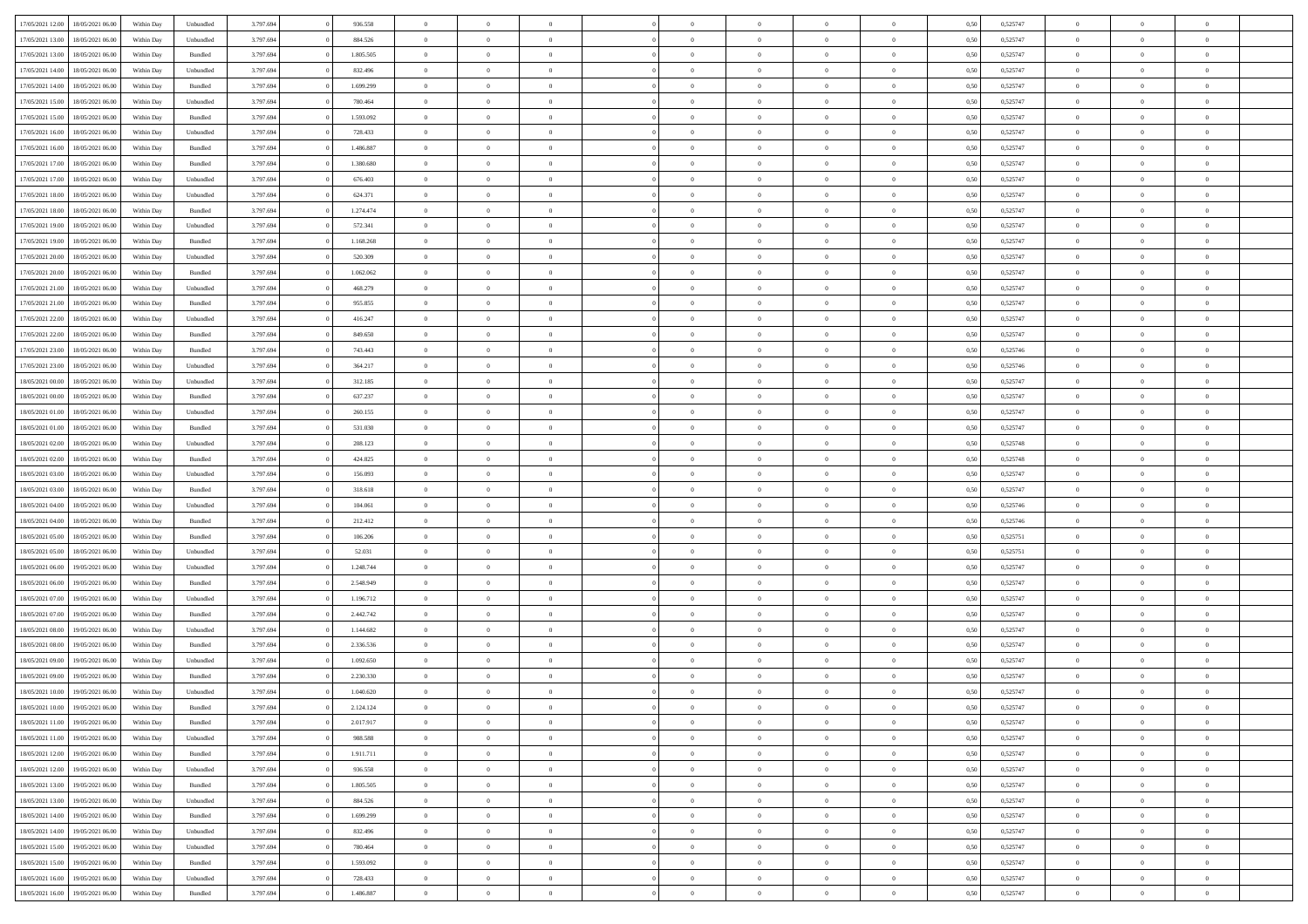| 17/05/2021 12:00 | 18/05/2021 06:00 | Within Day | Unbundled          | 3.797.694 | 936.558   | $\overline{0}$ | $\theta$       |                | $\Omega$       | $\Omega$       | $\overline{0}$ | $\theta$       | 0,50 | 0,525747 | $\theta$       | $\overline{0}$ | $\overline{0}$ |  |
|------------------|------------------|------------|--------------------|-----------|-----------|----------------|----------------|----------------|----------------|----------------|----------------|----------------|------|----------|----------------|----------------|----------------|--|
|                  |                  |            |                    |           |           |                |                |                |                |                |                |                |      |          |                |                |                |  |
| 17/05/2021 13:00 | 18/05/2021 06:00 | Within Day | Unbundled          | 3.797.694 | 884.526   | $\overline{0}$ | $\overline{0}$ | $\overline{0}$ | $\overline{0}$ | $\bf{0}$       | $\overline{0}$ | $\,$ 0 $\,$    | 0,50 | 0,525747 | $\theta$       | $\overline{0}$ | $\overline{0}$ |  |
| 17/05/2021 13:00 | 18/05/2021 06:00 | Within Day | Bundled            | 3.797.694 | 1.805.505 | $\overline{0}$ | $\bf{0}$       | $\overline{0}$ | $\bf{0}$       | $\bf{0}$       | $\bf{0}$       | $\mathbf{0}$   | 0,50 | 0,525747 | $\overline{0}$ | $\overline{0}$ | $\overline{0}$ |  |
| 17/05/2021 14:00 | 18/05/2021 06:00 | Within Dav | Unbundled          | 3.797.694 | 832.496   | $\overline{0}$ | $\overline{0}$ | $\overline{0}$ | $\overline{0}$ | $\bf{0}$       | $\overline{0}$ | $\overline{0}$ | 0.50 | 0,525747 | $\theta$       | $\theta$       | $\overline{0}$ |  |
| 17/05/2021 14:00 | 18/05/2021 06:00 | Within Day | Bundled            | 3.797.694 | 1.699.299 | $\overline{0}$ | $\theta$       | $\overline{0}$ | $\overline{0}$ | $\bf{0}$       | $\overline{0}$ | $\bf{0}$       | 0,50 | 0,525747 | $\,$ 0 $\,$    | $\overline{0}$ | $\overline{0}$ |  |
|                  |                  |            |                    |           |           |                |                |                |                |                |                |                |      |          |                |                |                |  |
| 17/05/2021 15:00 | 18/05/2021 06:00 | Within Day | Unbundled          | 3.797.694 | 780.464   | $\overline{0}$ | $\overline{0}$ | $\overline{0}$ | $\bf{0}$       | $\overline{0}$ | $\overline{0}$ | $\mathbf{0}$   | 0,50 | 0,525747 | $\overline{0}$ | $\overline{0}$ | $\bf{0}$       |  |
| 17/05/2021 15:00 | 18/05/2021 06:00 | Within Dav | Bundled            | 3.797.694 | 1.593.092 | $\overline{0}$ | $\overline{0}$ | $\overline{0}$ | $\overline{0}$ | $\overline{0}$ | $\overline{0}$ | $\overline{0}$ | 0.50 | 0,525747 | $\theta$       | $\overline{0}$ | $\overline{0}$ |  |
| 17/05/2021 16:00 | 18/05/2021 06:00 | Within Day | Unbundled          | 3.797.694 | 728.433   | $\overline{0}$ | $\theta$       | $\overline{0}$ | $\overline{0}$ | $\bf{0}$       | $\overline{0}$ | $\bf{0}$       | 0,50 | 0,525747 | $\theta$       | $\theta$       | $\overline{0}$ |  |
| 17/05/2021 16:00 | 18/05/2021 06:00 | Within Day | Bundled            | 3.797.694 | 1.486.887 | $\overline{0}$ | $\overline{0}$ | $\overline{0}$ | $\bf{0}$       | $\bf{0}$       | $\bf{0}$       | $\bf{0}$       | 0,50 | 0,525747 | $\,0\,$        | $\overline{0}$ | $\overline{0}$ |  |
| 17/05/2021 17:00 | 18/05/2021 06:00 | Within Dav | Bundled            | 3.797.694 | 1.380.680 | $\overline{0}$ | $\overline{0}$ | $\overline{0}$ | $\overline{0}$ | $\overline{0}$ | $\overline{0}$ | $\overline{0}$ | 0.50 | 0,525747 | $\theta$       | $\overline{0}$ | $\overline{0}$ |  |
| 17/05/2021 17:00 | 18/05/2021 06:00 | Within Day | Unbundled          | 3.797.694 | 676.403   | $\overline{0}$ | $\theta$       | $\overline{0}$ | $\overline{0}$ | $\bf{0}$       | $\overline{0}$ | $\bf{0}$       | 0,50 | 0,525747 | $\,$ 0 $\,$    | $\overline{0}$ | $\overline{0}$ |  |
|                  |                  |            |                    |           |           |                |                |                |                |                |                |                |      |          |                |                |                |  |
| 17/05/2021 18:00 | 18/05/2021 06:00 | Within Day | Unbundled          | 3.797.694 | 624.371   | $\overline{0}$ | $\bf{0}$       | $\overline{0}$ | $\bf{0}$       | $\bf{0}$       | $\bf{0}$       | $\mathbf{0}$   | 0,50 | 0,525747 | $\overline{0}$ | $\overline{0}$ | $\bf{0}$       |  |
| 17/05/2021 18:00 | 18/05/2021 06:00 | Within Day | Bundled            | 3.797.694 | 1.274.474 | $\overline{0}$ | $\overline{0}$ | $\overline{0}$ | $\overline{0}$ | $\bf{0}$       | $\overline{0}$ | $\overline{0}$ | 0.50 | 0,525747 | $\theta$       | $\theta$       | $\overline{0}$ |  |
| 17/05/2021 19:00 | 18/05/2021 06:00 | Within Day | Unbundled          | 3.797.694 | 572.341   | $\overline{0}$ | $\theta$       | $\overline{0}$ | $\overline{0}$ | $\bf{0}$       | $\overline{0}$ | $\bf{0}$       | 0,50 | 0,525747 | $\theta$       | $\overline{0}$ | $\overline{0}$ |  |
| 17/05/2021 19:00 | 18/05/2021 06:00 | Within Day | Bundled            | 3.797.694 | 1.168.268 | $\overline{0}$ | $\overline{0}$ | $\overline{0}$ | $\bf{0}$       | $\overline{0}$ | $\overline{0}$ | $\mathbf{0}$   | 0,50 | 0,525747 | $\overline{0}$ | $\overline{0}$ | $\bf{0}$       |  |
| 17/05/2021 20:00 | 18/05/2021 06:00 | Within Dav | Unbundled          | 3.797.694 | 520.309   | $\overline{0}$ | $\overline{0}$ | $\overline{0}$ | $\overline{0}$ | $\overline{0}$ | $\overline{0}$ | $\overline{0}$ | 0.50 | 0,525747 | $\theta$       | $\overline{0}$ | $\overline{0}$ |  |
| 17/05/2021 20:00 | 18/05/2021 06:00 | Within Day | Bundled            | 3.797.694 | 1.062.062 | $\overline{0}$ | $\theta$       | $\overline{0}$ | $\overline{0}$ | $\bf{0}$       | $\overline{0}$ | $\bf{0}$       | 0,50 | 0,525747 | $\theta$       | $\theta$       | $\overline{0}$ |  |
| 17/05/2021 21.00 | 18/05/2021 06:00 | Within Day | Unbundled          | 3.797.694 | 468.279   | $\overline{0}$ | $\overline{0}$ | $\overline{0}$ | $\bf{0}$       | $\bf{0}$       | $\bf{0}$       | $\bf{0}$       | 0,50 | 0,525747 | $\,0\,$        | $\overline{0}$ | $\overline{0}$ |  |
| 17/05/2021 21:00 | 18/05/2021 06:00 | Within Day | Bundled            | 3.797.694 | 955.855   | $\overline{0}$ | $\overline{0}$ | $\overline{0}$ | $\overline{0}$ | $\overline{0}$ | $\overline{0}$ | $\overline{0}$ | 0.50 | 0,525747 | $\theta$       | $\overline{0}$ | $\overline{0}$ |  |
|                  |                  |            |                    |           |           |                |                |                |                |                |                |                |      |          |                |                |                |  |
| 17/05/2021 22:00 | 18/05/2021 06:00 | Within Day | Unbundled          | 3.797.694 | 416.247   | $\overline{0}$ | $\theta$       | $\overline{0}$ | $\overline{0}$ | $\bf{0}$       | $\overline{0}$ | $\bf{0}$       | 0,50 | 0,525747 | $\,$ 0 $\,$    | $\overline{0}$ | $\overline{0}$ |  |
| 17/05/2021 22.00 | 18/05/2021 06:00 | Within Day | Bundled            | 3.797.694 | 849.650   | $\overline{0}$ | $\overline{0}$ | $\overline{0}$ | $\bf{0}$       | $\bf{0}$       | $\bf{0}$       | $\bf{0}$       | 0,50 | 0,525747 | $\bf{0}$       | $\overline{0}$ | $\bf{0}$       |  |
| 17/05/2021 23:00 | 18/05/2021 06:00 | Within Day | Bundled            | 3.797.694 | 743,443   | $\overline{0}$ | $\overline{0}$ | $\overline{0}$ | $\overline{0}$ | $\bf{0}$       | $\overline{0}$ | $\overline{0}$ | 0.50 | 0,525746 | $\theta$       | $\overline{0}$ | $\overline{0}$ |  |
| 17/05/2021 23:00 | 18/05/2021 06:00 | Within Day | Unbundled          | 3.797.694 | 364.217   | $\overline{0}$ | $\theta$       | $\overline{0}$ | $\overline{0}$ | $\bf{0}$       | $\overline{0}$ | $\bf{0}$       | 0,50 | 0,525746 | $\,$ 0 $\,$    | $\overline{0}$ | $\overline{0}$ |  |
| 18/05/2021 00:00 | 18/05/2021 06:00 | Within Day | Unbundled          | 3.797.694 | 312.185   | $\overline{0}$ | $\overline{0}$ | $\overline{0}$ | $\bf{0}$       | $\overline{0}$ | $\overline{0}$ | $\mathbf{0}$   | 0,50 | 0,525747 | $\overline{0}$ | $\overline{0}$ | $\bf{0}$       |  |
| 18/05/2021 00:00 | 18/05/2021 06:00 | Within Dav | Bundled            | 3.797.694 | 637.237   | $\overline{0}$ | $\overline{0}$ | $\overline{0}$ | $\overline{0}$ | $\overline{0}$ | $\overline{0}$ | $\overline{0}$ | 0.50 | 0,525747 | $\theta$       | $\overline{0}$ | $\overline{0}$ |  |
| 18/05/2021 01:00 | 18/05/2021 06:00 | Within Day | Unbundled          | 3.797.694 | 260.155   | $\overline{0}$ | $\theta$       | $\overline{0}$ | $\overline{0}$ | $\bf{0}$       | $\overline{0}$ | $\bf{0}$       | 0,50 | 0,525747 | $\theta$       | $\theta$       | $\overline{0}$ |  |
|                  |                  |            |                    |           |           |                |                |                |                |                |                |                |      |          |                |                |                |  |
| 18/05/2021 01:00 | 18/05/2021 06:00 | Within Day | Bundled            | 3.797.694 | 531.030   | $\overline{0}$ | $\overline{0}$ | $\overline{0}$ | $\overline{0}$ | $\bf{0}$       | $\overline{0}$ | $\bf{0}$       | 0,50 | 0,525747 | $\,0\,$        | $\overline{0}$ | $\overline{0}$ |  |
| 18/05/2021 02:00 | 18/05/2021 06:00 | Within Day | Unbundled          | 3.797.694 | 208.123   | $\overline{0}$ | $\overline{0}$ | $\overline{0}$ | $\overline{0}$ | $\overline{0}$ | $\overline{0}$ | $\overline{0}$ | 0.50 | 0,525748 | $\theta$       | $\overline{0}$ | $\overline{0}$ |  |
| 18/05/2021 02:00 | 18/05/2021 06:00 | Within Day | Bundled            | 3.797.694 | 424.825   | $\overline{0}$ | $\theta$       | $\overline{0}$ | $\overline{0}$ | $\bf{0}$       | $\overline{0}$ | $\bf{0}$       | 0,50 | 0,525748 | $\,$ 0 $\,$    | $\overline{0}$ | $\overline{0}$ |  |
| 18/05/2021 03:00 | 18/05/2021 06:00 | Within Day | Unbundled          | 3.797.694 | 156.093   | $\overline{0}$ | $\bf{0}$       | $\overline{0}$ | $\overline{0}$ | $\bf{0}$       | $\overline{0}$ | $\bf{0}$       | 0,50 | 0,525747 | $\bf{0}$       | $\overline{0}$ | $\bf{0}$       |  |
| 18/05/2021 03:00 | 18/05/2021 06:00 | Within Day | Bundled            | 3.797.694 | 318.618   | $\overline{0}$ | $\Omega$       | $\overline{0}$ | $\Omega$       | $\Omega$       | $\overline{0}$ | $\overline{0}$ | 0,50 | 0,525747 | $\,0\,$        | $\theta$       | $\theta$       |  |
| 18/05/2021 04:00 | 18/05/2021 06:00 | Within Day | Unbundled          | 3.797.694 | 104.061   | $\overline{0}$ | $\theta$       | $\overline{0}$ | $\overline{0}$ | $\bf{0}$       | $\overline{0}$ | $\bf{0}$       | 0,50 | 0,525746 | $\,$ 0 $\,$    | $\overline{0}$ | $\overline{0}$ |  |
| 18/05/2021 04:00 | 18/05/2021 06:00 | Within Day | Bundled            | 3.797.694 | 212.412   | $\overline{0}$ | $\overline{0}$ | $\overline{0}$ | $\bf{0}$       | $\overline{0}$ | $\overline{0}$ | $\mathbf{0}$   | 0,50 | 0,525746 | $\overline{0}$ | $\overline{0}$ | $\bf{0}$       |  |
|                  |                  |            |                    |           |           |                |                |                |                |                |                |                |      |          |                |                |                |  |
| 18/05/2021 05:00 | 18/05/2021 06:00 | Within Day | Bundled            | 3.797.694 | 106,206   | $\overline{0}$ | $\Omega$       | $\Omega$       | $\Omega$       | $\bf{0}$       | $\overline{0}$ | $\overline{0}$ | 0.50 | 0,525751 | $\,0\,$        | $\theta$       | $\theta$       |  |
| 18/05/2021 05:00 | 18/05/2021 06:00 | Within Day | Unbundled          | 3.797.694 | 52.031    | $\overline{0}$ | $\theta$       | $\overline{0}$ | $\overline{0}$ | $\bf{0}$       | $\overline{0}$ | $\bf{0}$       | 0,50 | 0,525751 | $\,$ 0 $\,$    | $\overline{0}$ | $\overline{0}$ |  |
| 18/05/2021 06:00 | 19/05/2021 06:00 | Within Day | Unbundled          | 3.797.694 | 1.248.744 | $\overline{0}$ | $\overline{0}$ | $\overline{0}$ | $\bf{0}$       | $\bf{0}$       | $\bf{0}$       | $\bf{0}$       | 0,50 | 0,525747 | $\bf{0}$       | $\overline{0}$ | $\bf{0}$       |  |
| 18/05/2021 06:00 | 19/05/2021 06:00 | Within Day | Bundled            | 3.797.694 | 2.548.949 | $\overline{0}$ | $\Omega$       | $\overline{0}$ | $\Omega$       | $\theta$       | $\overline{0}$ | $\overline{0}$ | 0.50 | 0,525747 | $\,$ 0 $\,$    | $\theta$       | $\theta$       |  |
| 18/05/2021 07:00 | 19/05/2021 06:00 | Within Day | Unbundled          | 3.797.694 | 1.196.712 | $\overline{0}$ | $\theta$       | $\overline{0}$ | $\overline{0}$ | $\bf{0}$       | $\overline{0}$ | $\bf{0}$       | 0,50 | 0,525747 | $\,$ 0 $\,$    | $\overline{0}$ | $\overline{0}$ |  |
| 18/05/2021 07:00 | 19/05/2021 06:00 | Within Day | Bundled            | 3.797.694 | 2.442.742 | $\overline{0}$ | $\bf{0}$       | $\overline{0}$ | $\bf{0}$       | $\bf{0}$       | $\bf{0}$       | $\bf{0}$       | 0,50 | 0,525747 | $\overline{0}$ | $\overline{0}$ | $\bf{0}$       |  |
| 18/05/2021 08:00 | 19/05/2021 06:00 | Within Day | Unbundled          | 3.797.694 | 1.144.682 | $\overline{0}$ | $\Omega$       | $\overline{0}$ | $\Omega$       | $\overline{0}$ | $\overline{0}$ | $\overline{0}$ | 0,50 | 0,525747 | $\,0\,$        | $\theta$       | $\theta$       |  |
|                  |                  |            |                    |           |           |                | $\overline{0}$ |                |                |                |                |                |      |          |                |                |                |  |
| 18/05/2021 08:00 | 19/05/2021 06:00 | Within Day | Bundled            | 3.797.694 | 2.336.536 | $\overline{0}$ |                | $\overline{0}$ | $\overline{0}$ | $\,$ 0         | $\overline{0}$ | $\bf{0}$       | 0,50 | 0,525747 | $\,$ 0 $\,$    | $\overline{0}$ | $\overline{0}$ |  |
| 18/05/2021 09:00 | 19/05/2021 06:00 | Within Day | Unbundled          | 3.797.694 | 1.092.650 | $\overline{0}$ | $\overline{0}$ | $\overline{0}$ | $\bf{0}$       | $\bf{0}$       | $\bf{0}$       | $\mathbf{0}$   | 0,50 | 0,525747 | $\overline{0}$ | $\overline{0}$ | $\bf{0}$       |  |
| 18/05/2021 09:00 | 19/05/2021 06:00 | Within Day | Bundled            | 3.797.694 | 2.230.330 | $\overline{0}$ | $\Omega$       | $\Omega$       | $\Omega$       | $\Omega$       | $\Omega$       | $\overline{0}$ | 0.50 | 0,525747 | $\theta$       | $\theta$       | $\theta$       |  |
| 18/05/2021 10:00 | 19/05/2021 06:00 | Within Day | Unbundled          | 3.797.694 | 1.040.620 | $\overline{0}$ | $\overline{0}$ | $\overline{0}$ | $\bf{0}$       | $\,$ 0         | $\bf{0}$       | $\bf{0}$       | 0,50 | 0,525747 | $\,0\,$        | $\,0\,$        | $\overline{0}$ |  |
| 18/05/2021 10:00 | 19/05/2021 06:00 | Within Day | $\mathbf B$ undled | 3.797.694 | 2.124.124 | $\bf{0}$       | $\bf{0}$       |                |                | $\bf{0}$       |                |                | 0,50 | 0,525747 | $\bf{0}$       | $\overline{0}$ |                |  |
| 18/05/2021 11:00 | 19/05/2021 06:00 | Within Day | Bundled            | 3.797.694 | 2.017.917 | $\overline{0}$ | $\overline{0}$ | $\overline{0}$ | $\Omega$       | $\overline{0}$ | $\overline{0}$ | $\overline{0}$ | 0,50 | 0,525747 | $\theta$       | $\theta$       | $\Omega$       |  |
| 18/05/2021 11:00 | 19/05/2021 06:00 | Within Day | Unbundled          | 3.797.694 | 988.588   | $\overline{0}$ | $\,$ 0         | $\overline{0}$ | $\bf{0}$       | $\,$ 0 $\,$    | $\overline{0}$ | $\,$ 0 $\,$    | 0,50 | 0,525747 | $\,$ 0 $\,$    | $\,$ 0 $\,$    | $\,$ 0         |  |
| 18/05/2021 12:00 | 19/05/2021 06:00 | Within Day | Bundled            | 3.797.694 | 1.911.711 | $\overline{0}$ | $\overline{0}$ | $\overline{0}$ | $\overline{0}$ | $\overline{0}$ | $\overline{0}$ | $\mathbf{0}$   | 0,50 | 0,525747 | $\overline{0}$ | $\bf{0}$       | $\overline{0}$ |  |
|                  |                  |            |                    |           |           |                |                |                |                |                |                |                |      |          |                |                |                |  |
| 18/05/2021 12:00 | 19/05/2021 06:00 | Within Day | Unbundled          | 3.797.694 | 936.558   | $\overline{0}$ | $\overline{0}$ | $\overline{0}$ | $\Omega$       | $\overline{0}$ | $\overline{0}$ | $\overline{0}$ | 0,50 | 0,525747 | $\overline{0}$ | $\theta$       | $\overline{0}$ |  |
| 18/05/2021 13:00 | 19/05/2021 06:00 | Within Day | Bundled            | 3.797.694 | 1.805.505 | $\overline{0}$ | $\,$ 0         | $\overline{0}$ | $\overline{0}$ | $\,$ 0 $\,$    | $\overline{0}$ | $\mathbf{0}$   | 0,50 | 0,525747 | $\,$ 0 $\,$    | $\overline{0}$ | $\overline{0}$ |  |
| 18/05/2021 13:00 | 19/05/2021 06:00 | Within Day | Unbundled          | 3.797.694 | 884.526   | $\overline{0}$ | $\overline{0}$ | $\overline{0}$ | $\overline{0}$ | $\overline{0}$ | $\overline{0}$ | $\mathbf{0}$   | 0,50 | 0,525747 | $\overline{0}$ | $\overline{0}$ | $\overline{0}$ |  |
| 18/05/2021 14:00 | 19/05/2021 06:00 | Within Day | Bundled            | 3.797.694 | 1.699.299 | $\overline{0}$ | $\overline{0}$ | $\overline{0}$ | $\Omega$       | $\overline{0}$ | $\overline{0}$ | $\bf{0}$       | 0.50 | 0,525747 | $\overline{0}$ | $\theta$       | $\overline{0}$ |  |
| 18/05/2021 14:00 | 19/05/2021 06:00 | Within Day | Unbundled          | 3.797.694 | 832.496   | $\overline{0}$ | $\,$ 0         | $\overline{0}$ | $\bf{0}$       | $\bf{0}$       | $\bf{0}$       | $\bf{0}$       | 0,50 | 0,525747 | $\,$ 0 $\,$    | $\overline{0}$ | $\overline{0}$ |  |
| 18/05/2021 15:00 | 19/05/2021 06:00 | Within Day | Unbundled          | 3.797.694 | 780.464   | $\overline{0}$ | $\bf{0}$       | $\overline{0}$ | $\overline{0}$ | $\overline{0}$ | $\overline{0}$ | $\mathbf{0}$   | 0,50 | 0,525747 | $\overline{0}$ | $\overline{0}$ | $\bf{0}$       |  |
| 18/05/2021 15:00 | 19/05/2021 06:00 | Within Day | Bundled            | 3.797.694 | 1.593.092 | $\overline{0}$ | $\overline{0}$ | $\overline{0}$ | $\Omega$       | $\overline{0}$ | $\overline{0}$ | $\overline{0}$ | 0.50 | 0,525747 | $\overline{0}$ | $\overline{0}$ | $\overline{0}$ |  |
|                  |                  |            |                    |           |           |                |                |                |                |                |                |                |      |          |                |                |                |  |
| 18/05/2021 16:00 | 19/05/2021 06:00 | Within Day | Unbundled          | 3.797.694 | 728.433   | $\overline{0}$ | $\bf{0}$       | $\overline{0}$ | $\bf{0}$       | $\bf{0}$       | $\bf{0}$       | $\mathbf{0}$   | 0,50 | 0,525747 | $\,$ 0 $\,$    | $\,$ 0 $\,$    | $\bf{0}$       |  |
| 18/05/2021 16:00 | 19/05/2021 06:00 | Within Day | Bundled            | 3.797.694 | 1.486.887 | $\overline{0}$ | $\overline{0}$ | $\overline{0}$ | $\overline{0}$ | $\overline{0}$ | $\bf{0}$       | $\mathbf{0}$   | 0,50 | 0,525747 | $\overline{0}$ | $\bf{0}$       | $\bf{0}$       |  |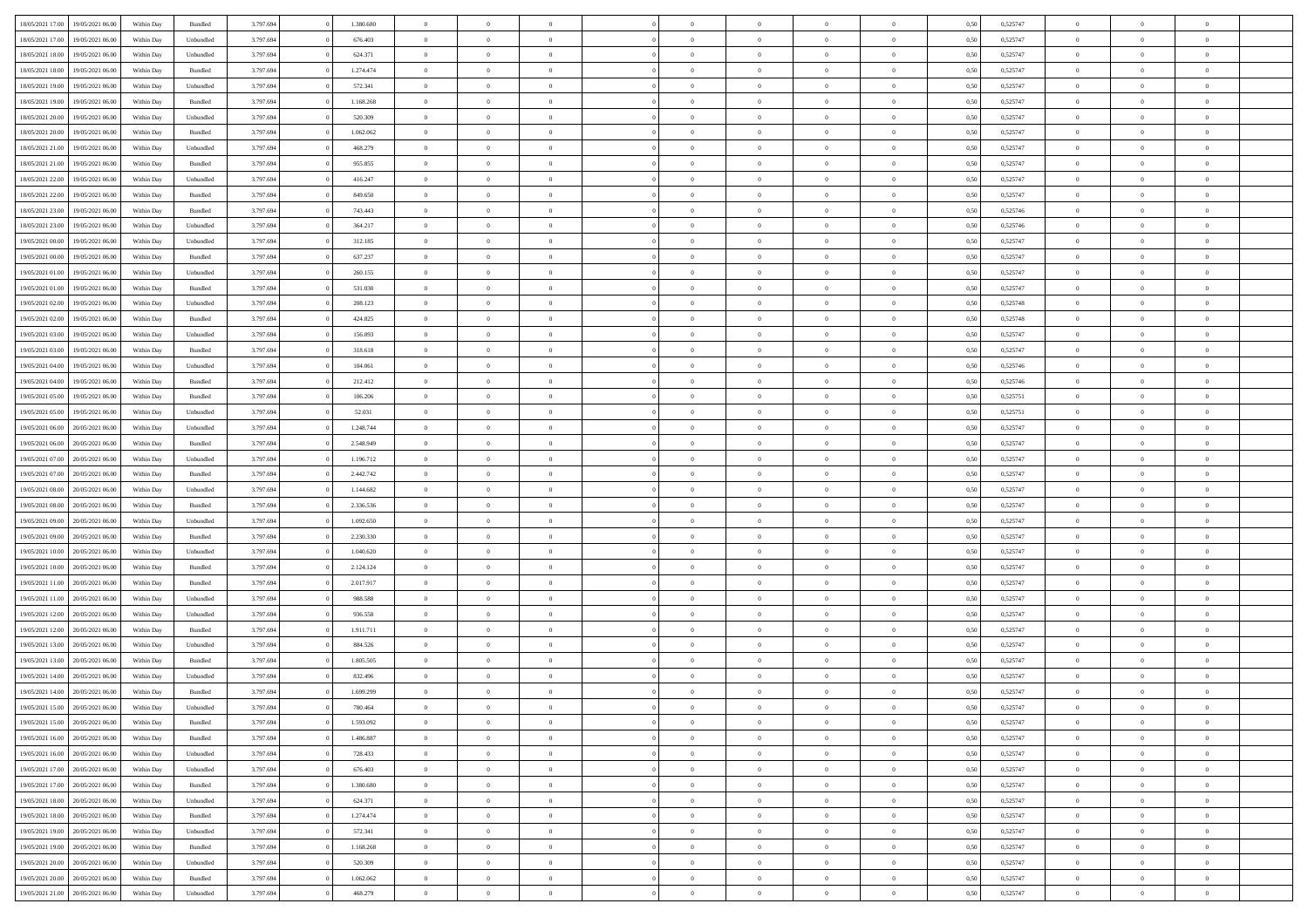| 18/05/2021 17:00 19/05/2021 06:00    | Within Day | Bundled   | 3.797.694 | 1.380.680 | $\overline{0}$ | $\overline{0}$             | $\Omega$       | $\Omega$       | $\theta$                         | $\Omega$                         | $\overline{0}$ | 0,50 | 0,525747 | $\theta$                | $\theta$                | $\overline{0}$                   |  |
|--------------------------------------|------------|-----------|-----------|-----------|----------------|----------------------------|----------------|----------------|----------------------------------|----------------------------------|----------------|------|----------|-------------------------|-------------------------|----------------------------------|--|
| 18/05/2021 17:00<br>19/05/2021 06:00 | Within Day | Unbundled | 3.797.694 | 676.403   | $\overline{0}$ | $\overline{0}$             | $\overline{0}$ | $\overline{0}$ | $\theta$                         | $\overline{0}$                   | $\bf{0}$       | 0,50 | 0,525747 | $\theta$                | $\theta$                | $\overline{0}$                   |  |
| 18/05/2021 18:00<br>19/05/2021 06:00 | Within Day | Unbundled | 3.797.694 | 624.371   | $\overline{0}$ | $\bf{0}$                   | $\overline{0}$ | $\overline{0}$ | $\bf{0}$                         | $\overline{0}$                   | $\bf{0}$       | 0,50 | 0,525747 | $\bf{0}$                | $\overline{0}$          | $\overline{0}$                   |  |
| 18/05/2021 18:00<br>19/05/2021 06:00 | Within Day | Bundled   | 3.797.694 | 1.274.474 | $\overline{0}$ | $\overline{0}$             | $\overline{0}$ | $\overline{0}$ | $\theta$                         | $\overline{0}$                   | $\overline{0}$ | 0.50 | 0,525747 | $\theta$                | $\theta$                | $\overline{0}$                   |  |
| 18/05/2021 19:00<br>19/05/2021 06:00 | Within Day | Unbundled | 3.797.694 | 572.341   | $\overline{0}$ | $\overline{0}$             | $\overline{0}$ | $\overline{0}$ | $\theta$                         | $\overline{0}$                   | $\bf{0}$       | 0,50 | 0,525747 | $\theta$                | $\theta$                | $\overline{0}$                   |  |
| 18/05/2021 19:00<br>19/05/2021 06:00 | Within Day | Bundled   | 3.797.694 | 1.168.268 | $\overline{0}$ | $\bf{0}$                   | $\overline{0}$ | $\overline{0}$ | $\overline{0}$                   | $\overline{0}$                   | $\bf{0}$       | 0,50 | 0,525747 | $\overline{0}$          | $\overline{0}$          | $\bf{0}$                         |  |
| 18/05/2021 20:00<br>19/05/2021 06:00 | Within Day | Unbundled | 3.797.694 | 520.309   | $\overline{0}$ | $\overline{0}$             | $\overline{0}$ | $\overline{0}$ | $\overline{0}$                   | $\overline{0}$                   | $\bf{0}$       | 0.5( | 0,525747 | $\theta$                | $\theta$                | $\overline{0}$                   |  |
|                                      |            |           |           |           |                |                            |                |                |                                  |                                  |                |      |          |                         |                         |                                  |  |
| 18/05/2021 20:00<br>19/05/2021 06:00 | Within Day | Bundled   | 3.797.694 | 1.062.062 | $\bf{0}$       | $\overline{0}$             | $\overline{0}$ | $\overline{0}$ | $\theta$                         | $\overline{0}$                   | $\bf{0}$       | 0,50 | 0,525747 | $\theta$                | $\theta$                | $\overline{0}$                   |  |
| 18/05/2021 21:00<br>19/05/2021 06:00 | Within Day | Unbundled | 3.797.694 | 468.279   | $\overline{0}$ | $\bf{0}$                   | $\overline{0}$ | $\overline{0}$ | $\overline{0}$                   | $\overline{0}$                   | $\bf{0}$       | 0,50 | 0,525747 | $\bf{0}$                | $\overline{0}$          | $\overline{0}$                   |  |
| 18/05/2021 21:00<br>19/05/2021 06:00 | Within Day | Bundled   | 3.797.694 | 955.855   | $\overline{0}$ | $\overline{0}$             | $\overline{0}$ | $\overline{0}$ | $\overline{0}$                   | $\overline{0}$                   | $\bf{0}$       | 0.50 | 0,525747 | $\theta$                | $\theta$                | $\overline{0}$                   |  |
| 18/05/2021 22:00<br>19/05/2021 06:00 | Within Day | Unbundled | 3.797.694 | 416.247   | $\bf{0}$       | $\overline{0}$             | $\overline{0}$ | $\overline{0}$ | $\theta$                         | $\overline{0}$                   | $\bf{0}$       | 0,50 | 0,525747 | $\theta$                | $\theta$                | $\overline{0}$                   |  |
| 18/05/2021 22:00<br>19/05/2021 06:00 | Within Day | Bundled   | 3.797.694 | 849.650   | $\overline{0}$ | $\bf{0}$                   | $\overline{0}$ | $\overline{0}$ | $\bf{0}$                         | $\overline{0}$                   | $\bf{0}$       | 0,50 | 0,525747 | $\bf{0}$                | $\overline{0}$          | $\overline{0}$                   |  |
| 18/05/2021 23:00<br>19/05/2021 06:00 | Within Day | Bundled   | 3.797.694 | 743,443   | $\overline{0}$ | $\overline{0}$             | $\overline{0}$ | $\overline{0}$ | $\overline{0}$                   | $\overline{0}$                   | $\overline{0}$ | 0.50 | 0.525746 | $\theta$                | $\theta$                | $\overline{0}$                   |  |
| 18/05/2021 23:00<br>19/05/2021 06:00 | Within Day | Unbundled | 3.797.694 | 364.217   | $\overline{0}$ | $\theta$                   | $\overline{0}$ | $\overline{0}$ | $\theta$                         | $\overline{0}$                   | $\,$ 0 $\,$    | 0,50 | 0,525746 | $\theta$                | $\theta$                | $\overline{0}$                   |  |
| 19/05/2021 00:00<br>19/05/2021 06:00 | Within Day | Unbundled | 3.797.694 | 312.185   | $\overline{0}$ | $\overline{0}$             | $\overline{0}$ | $\overline{0}$ | $\overline{0}$                   | $\overline{0}$                   | $\bf{0}$       | 0,50 | 0,525747 | $\overline{0}$          | $\overline{0}$          | $\bf{0}$                         |  |
| 19/05/2021 00:00<br>19/05/2021 06:00 | Within Day | Bundled   | 3.797.694 | 637.237   | $\overline{0}$ | $\overline{0}$             | $\overline{0}$ | $\overline{0}$ | $\overline{0}$                   | $\overline{0}$                   | $\overline{0}$ | 0.5( | 0,525747 | $\overline{0}$          | $\overline{0}$          | $\overline{0}$                   |  |
| 19/05/2021 01:00<br>19/05/2021 06:00 | Within Day | Unbundled | 3.797.694 | 260.155   | $\bf{0}$       | $\overline{0}$             | $\overline{0}$ | $\overline{0}$ | $\theta$                         | $\overline{0}$                   | $\bf{0}$       | 0,50 | 0,525747 | $\theta$                | $\theta$                | $\overline{0}$                   |  |
| 19/05/2021 01:00<br>19/05/2021 06:00 | Within Day | Bundled   | 3.797.694 | 531.030   | $\overline{0}$ | $\bf{0}$                   | $\overline{0}$ | $\overline{0}$ | $\bf{0}$                         | $\overline{0}$                   | $\bf{0}$       | 0,50 | 0,525747 | $\bf{0}$                | $\overline{0}$          | $\overline{0}$                   |  |
| 19/05/2021 02:00<br>19/05/2021 06:00 | Within Day | Unbundled | 3.797.694 | 208,123   | $\overline{0}$ | $\overline{0}$             | $\overline{0}$ | $\overline{0}$ | $\overline{0}$                   | $\overline{0}$                   | $\overline{0}$ | 0.50 | 0,525748 | $\theta$                | $\theta$                | $\overline{0}$                   |  |
| 19/05/2021 02:00<br>19/05/2021 06:00 | Within Day | Bundled   | 3.797.694 | 424.825   | $\bf{0}$       | $\overline{0}$             | $\overline{0}$ | $\overline{0}$ | $\theta$                         | $\overline{0}$                   | $\bf{0}$       | 0,50 | 0,525748 | $\theta$                | $\theta$                | $\overline{0}$                   |  |
| 19/05/2021 03:00<br>19/05/2021 06:00 | Within Day | Unbundled | 3.797.694 | 156.093   | $\overline{0}$ | $\bf{0}$                   | $\overline{0}$ | $\overline{0}$ | $\bf{0}$                         | $\overline{0}$                   | $\bf{0}$       | 0,50 | 0,525747 | $\bf{0}$                | $\overline{0}$          | $\overline{0}$                   |  |
| 19/05/2021 03:00<br>19/05/2021 06:00 | Within Day | Bundled   | 3.797.694 | 318,618   | $\overline{0}$ | $\overline{0}$             | $\overline{0}$ | $\overline{0}$ | $\overline{0}$                   | $\overline{0}$                   | $\overline{0}$ | 0.50 | 0,525747 | $\overline{0}$          | $\overline{0}$          | $\overline{0}$                   |  |
| 19/05/2021 04:00<br>19/05/2021 06:00 | Within Day | Unbundled | 3.797.694 | 104.061   | $\overline{0}$ | $\theta$                   | $\overline{0}$ | $\overline{0}$ | $\theta$                         | $\overline{0}$                   | $\bf{0}$       | 0,50 | 0,525746 | $\theta$                | $\theta$                | $\overline{0}$                   |  |
| 19/05/2021 04:00<br>19/05/2021 06:00 | Within Day | Bundled   | 3.797.694 | 212.412   | $\overline{0}$ | $\bf{0}$                   | $\overline{0}$ | $\overline{0}$ | $\overline{0}$                   | $\overline{0}$                   | $\bf{0}$       | 0,50 | 0,525746 | $\overline{0}$          | $\overline{0}$          | $\bf{0}$                         |  |
| 19/05/2021 05:00<br>19/05/2021 06:00 | Within Day | Bundled   | 3.797.694 | 106.206   | $\overline{0}$ | $\overline{0}$             | $\overline{0}$ | $\overline{0}$ | $\overline{0}$                   | $\overline{0}$                   | $\overline{0}$ | 0.5( | 0,525751 | $\overline{0}$          | $\overline{0}$          | $\overline{0}$                   |  |
| 19/05/2021 05:00<br>19/05/2021 06:00 | Within Day | Unbundled | 3.797.694 | 52.031    | $\bf{0}$       | $\overline{0}$             | $\overline{0}$ | $\overline{0}$ | $\theta$                         | $\overline{0}$                   | $\bf{0}$       | 0,50 | 0,525751 | $\theta$                | $\theta$                | $\overline{0}$                   |  |
| 19/05/2021 06:00<br>20/05/2021 06:00 | Within Day | Unbundled | 3.797.694 | 1.248.744 | $\overline{0}$ | $\bf{0}$                   | $\overline{0}$ | $\overline{0}$ | $\overline{0}$                   | $\overline{0}$                   | $\bf{0}$       | 0,50 | 0,525747 | $\bf{0}$                | $\overline{0}$          | $\overline{0}$                   |  |
| 19/05/2021 06:00<br>20/05/2021 06:00 | Within Day | Bundled   | 3.797.694 | 2.548.949 | $\overline{0}$ | $\overline{0}$             | $\overline{0}$ | $\overline{0}$ | $\overline{0}$                   | $\overline{0}$                   | $\overline{0}$ | 0.5( | 0,525747 | $\overline{0}$          | $\theta$                | $\overline{0}$                   |  |
| 19/05/2021 07:00<br>20/05/2021 06:00 | Within Day | Unbundled | 3.797.694 | 1.196.712 | $\bf{0}$       | $\overline{0}$             | $\overline{0}$ | $\overline{0}$ | $\theta$                         | $\overline{0}$                   | $\bf{0}$       | 0,50 | 0,525747 | $\theta$                | $\theta$                | $\overline{0}$                   |  |
| 19/05/2021 07:00<br>20/05/2021 06:00 | Within Day | Bundled   | 3.797.694 | 2.442.742 | $\overline{0}$ | $\bf{0}$                   | $\overline{0}$ | $\overline{0}$ | $\bf{0}$                         | $\overline{0}$                   | $\bf{0}$       | 0,50 | 0,525747 | $\bf{0}$                | $\overline{0}$          | $\overline{0}$                   |  |
| 19/05/2021 08:00<br>20/05/2021 06:00 | Within Day | Unbundled | 3.797.694 | 1.144.682 | $\overline{0}$ | $\overline{0}$             | $\Omega$       | $\Omega$       | $\Omega$                         | $\theta$                         | $\overline{0}$ | 0,50 | 0,525747 | $\bf{0}$                | $\Omega$                | $\theta$                         |  |
| 19/05/2021 08:00<br>20/05/2021 06:00 | Within Day | Bundled   | 3.797.694 | 2.336.536 | $\bf{0}$       | $\overline{0}$             | $\overline{0}$ | $\overline{0}$ | $\theta$                         | $\overline{0}$                   | $\bf{0}$       | 0,50 | 0,525747 | $\theta$                | $\theta$                | $\overline{0}$                   |  |
| 19/05/2021 09:00<br>20/05/2021 06:00 | Within Day | Unbundled | 3.797.694 | 1.092.650 | $\overline{0}$ | $\bf{0}$                   | $\overline{0}$ | $\overline{0}$ | $\overline{0}$                   | $\overline{0}$                   | $\bf{0}$       | 0,50 | 0,525747 | $\bf{0}$                | $\overline{0}$          | $\bf{0}$                         |  |
| 19/05/2021 09:00<br>20/05/2021 06:00 | Within Day | Bundled   | 3.797.694 | 2.230.330 | $\overline{0}$ | $\overline{0}$             | $\Omega$       | $\Omega$       | $\overline{0}$                   | $\Omega$                         | $\overline{0}$ | 0.50 | 0,525747 | $\bf{0}$                | $\theta$                | $\theta$                         |  |
| 19/05/2021 10:00<br>20/05/2021 06:00 | Within Day | Unbundled | 3.797.694 | 1.040.620 | $\bf{0}$       | $\overline{0}$             | $\overline{0}$ | $\overline{0}$ | $\theta$                         | $\overline{0}$                   | $\bf{0}$       | 0,50 | 0,525747 | $\theta$                | $\theta$                | $\overline{0}$                   |  |
| 19/05/2021 10:00<br>20/05/2021 06:00 | Within Day | Bundled   | 3.797.694 | 2.124.124 | $\overline{0}$ | $\bf{0}$                   | $\overline{0}$ | $\overline{0}$ | $\overline{0}$                   | $\overline{0}$                   | $\bf{0}$       | 0,50 | 0,525747 | $\bf{0}$                | $\overline{0}$          | $\overline{0}$                   |  |
| 19/05/2021 11:00<br>20/05/2021 06:00 | Within Day | Bundled   | 3.797.694 | 2.017.917 | $\overline{0}$ | $\overline{0}$             | $\Omega$       | $\Omega$       | $\Omega$                         | $\theta$                         | $\overline{0}$ | 0.50 | 0,525747 | $\bf{0}$                | $\Omega$                | $\theta$                         |  |
| 19/05/2021 11:00<br>20/05/2021 06:00 | Within Day | Unbundled | 3.797.694 | 988.588   | $\bf{0}$       | $\overline{0}$             | $\overline{0}$ | $\overline{0}$ | $\theta$                         | $\overline{0}$                   | $\bf{0}$       | 0,50 | 0,525747 | $\,$ 0 $\,$             | $\theta$                | $\overline{0}$                   |  |
| 19/05/2021 12:00<br>20/05/2021 06:00 | Within Day | Unbundled | 3.797.694 | 936.558   | $\overline{0}$ | $\bf{0}$                   | $\overline{0}$ | $\overline{0}$ | $\bf{0}$                         | $\overline{0}$                   | $\bf{0}$       | 0,50 | 0,525747 | $\bf{0}$                | $\overline{0}$          | $\overline{0}$                   |  |
| 19/05/2021 12:00<br>20/05/2021 06:00 | Within Day | Bundled   | 3.797.694 | 1.911.711 | $\overline{0}$ | $\overline{0}$             | $\Omega$       | $\Omega$       | $\overline{0}$                   | $\Omega$                         | $\overline{0}$ | 0,50 | 0,525747 | $\bf{0}$                | $\overline{0}$          | $\theta$                         |  |
| 19/05/2021 13:00<br>20/05/2021 06:00 | Within Day | Unbundled | 3.797.694 | 884.526   | $\bf{0}$       | $\overline{0}$             | $\overline{0}$ | $\overline{0}$ | $\overline{0}$                   | $\overline{0}$                   | $\bf{0}$       | 0,50 | 0,525747 | $\theta$                | $\theta$                | $\overline{0}$                   |  |
| 19/05/2021 13:00<br>20/05/2021 06:00 | Within Day | Bundled   | 3.797.694 | 1.805.505 | $\overline{0}$ | $\bf{0}$                   | $\overline{0}$ | $\overline{0}$ | $\overline{0}$                   | $\overline{0}$                   | $\bf{0}$       | 0,50 | 0,525747 | $\bf{0}$                | $\overline{0}$          | $\bf{0}$                         |  |
| 19/05/2021 14:00<br>20/05/2021 06:00 | Within Day | Unbundled | 3.797.694 | 832.496   | $\overline{0}$ | $\Omega$                   | $\Omega$       | $\Omega$       | $\Omega$                         | $\theta$                         | $\overline{0}$ | 0.50 | 0,525747 | $\theta$                | $\overline{0}$          | $\theta$                         |  |
| 19/05/2021 14:00 20/05/2021 06:00    | Within Day | Bundled   | 3.797.694 | 1.699.299 | $\bf{0}$       | $\bf{0}$                   | $\overline{0}$ | $\overline{0}$ | $\bf{0}$                         | $\overline{0}$                   | $\bf{0}$       | 0,50 | 0,525747 | $\bf{0}$                | $\,0\,$                 | $\overline{0}$                   |  |
| 19/05/2021 15:00 20/05/2021 06:00    | Within Day | Unbundled | 3.797.694 | 780.464   | $\bf{0}$       |                            |                |                |                                  |                                  |                | 0,50 | 0,525747 | $\bf{0}$                | $\bf{0}$                |                                  |  |
| 19/05/2021 15:00 20/05/2021 06:00    | Within Day | Bundled   | 3.797.694 | 1.593.092 | $\Omega$       | $\overline{0}$             | $\Omega$       | $\theta$       | $\overline{0}$                   | $\theta$                         | $\overline{0}$ | 0.50 | 0,525747 | $\theta$                | $\theta$                | $\theta$                         |  |
| 19/05/2021 16:00<br>20/05/2021 06:00 | Within Day | Bundled   | 3.797.694 | 1.486.887 | $\overline{0}$ | $\overline{0}$             | $\overline{0}$ | $\overline{0}$ | $\,$ 0 $\,$                      | $\overline{0}$                   | $\,$ 0 $\,$    | 0,50 | 0,525747 | $\,$ 0 $\,$             | $\,$ 0 $\,$             | $\,$ 0                           |  |
| 19/05/2021 16:00 20/05/2021 06:00    | Within Day | Unbundled | 3.797.694 | 728.433   | $\overline{0}$ | $\overline{0}$             | $\overline{0}$ | $\overline{0}$ | $\overline{0}$                   | $\overline{0}$                   | $\bf{0}$       | 0,50 | 0,525747 | $\overline{0}$          | $\bf{0}$                | $\overline{0}$                   |  |
|                                      |            |           |           |           |                |                            |                |                |                                  |                                  |                |      |          |                         |                         |                                  |  |
| 19/05/2021 17:00<br>20/05/2021 06:00 | Within Day | Unbundled | 3.797.694 | 676.403   | $\overline{0}$ | $\bf{0}$<br>$\overline{0}$ | $\overline{0}$ | $\overline{0}$ | $\overline{0}$<br>$\overline{0}$ | $\overline{0}$<br>$\overline{0}$ | $\bf{0}$       | 0,50 | 0,525747 | $\bf{0}$<br>$\,$ 0 $\,$ | $\theta$<br>$\,$ 0 $\,$ | $\overline{0}$<br>$\overline{0}$ |  |
| 19/05/2021 17:00<br>20/05/2021 06:00 | Within Day | Bundled   | 3.797.694 | 1.380.680 | $\overline{0}$ |                            | $\overline{0}$ | $\overline{0}$ |                                  |                                  | $\bf{0}$       | 0,50 | 0,525747 |                         |                         |                                  |  |
| 19/05/2021 18:00<br>20/05/2021 06:00 | Within Day | Unbundled | 3.797.694 | 624.371   | $\overline{0}$ | $\overline{0}$             | $\overline{0}$ | $\overline{0}$ | $\mathbf{0}$                     | $\overline{0}$                   | $\bf{0}$       | 0,50 | 0,525747 | $\overline{0}$          | $\overline{0}$          | $\overline{0}$                   |  |
| 19/05/2021 18:00<br>20/05/2021 06:00 | Within Day | Bundled   | 3.797.694 | 1.274.474 | $\overline{0}$ | $\bf{0}$                   | $\overline{0}$ | $\overline{0}$ | $\overline{0}$                   | $\overline{0}$                   | $\bf{0}$       | 0.50 | 0,525747 | $\overline{0}$          | $\theta$                | $\overline{0}$                   |  |
| 19/05/2021 19:00<br>20/05/2021 06:00 | Within Day | Unbundled | 3.797.694 | 572.341   | $\overline{0}$ | $\overline{0}$             | $\overline{0}$ | $\overline{0}$ | $\overline{0}$                   | $\overline{0}$                   | $\bf{0}$       | 0,50 | 0,525747 | $\,$ 0 $\,$             | $\bf{0}$                | $\overline{0}$                   |  |
| 19/05/2021 19:00<br>20/05/2021 06:00 | Within Day | Bundled   | 3.797.694 | 1.168.268 | $\overline{0}$ | $\bf{0}$                   | $\overline{0}$ | $\overline{0}$ | $\overline{0}$                   | $\overline{0}$                   | $\bf{0}$       | 0,50 | 0,525747 | $\overline{0}$          | $\overline{0}$          | $\bf{0}$                         |  |
| 19/05/2021 20:00<br>20/05/2021 06:00 | Within Day | Unbundled | 3.797.694 | 520.309   | $\overline{0}$ | $\overline{0}$             | $\overline{0}$ | $\overline{0}$ | $\overline{0}$                   | $\overline{0}$                   | $\bf{0}$       | 0.50 | 0,525747 | $\overline{0}$          | $\theta$                | $\overline{0}$                   |  |
| 19/05/2021 20:00<br>20/05/2021 06:00 | Within Day | Bundled   | 3.797.694 | 1.062.062 | $\overline{0}$ | $\,$ 0                     | $\overline{0}$ | $\overline{0}$ | $\bf{0}$                         | $\bf{0}$                         | $\bf{0}$       | 0,50 | 0,525747 | $\,$ 0 $\,$             | $\,$ 0 $\,$             | $\bf{0}$                         |  |
| 19/05/2021 21:00 20/05/2021 06:00    | Within Day | Unbundled | 3.797.694 | 468.279   | $\overline{0}$ | $\bf{0}$                   | $\overline{0}$ | $\overline{0}$ | $\overline{0}$                   | $\overline{0}$                   | $\bf{0}$       | 0,50 | 0,525747 | $\overline{0}$          | $\bf{0}$                | $\overline{0}$                   |  |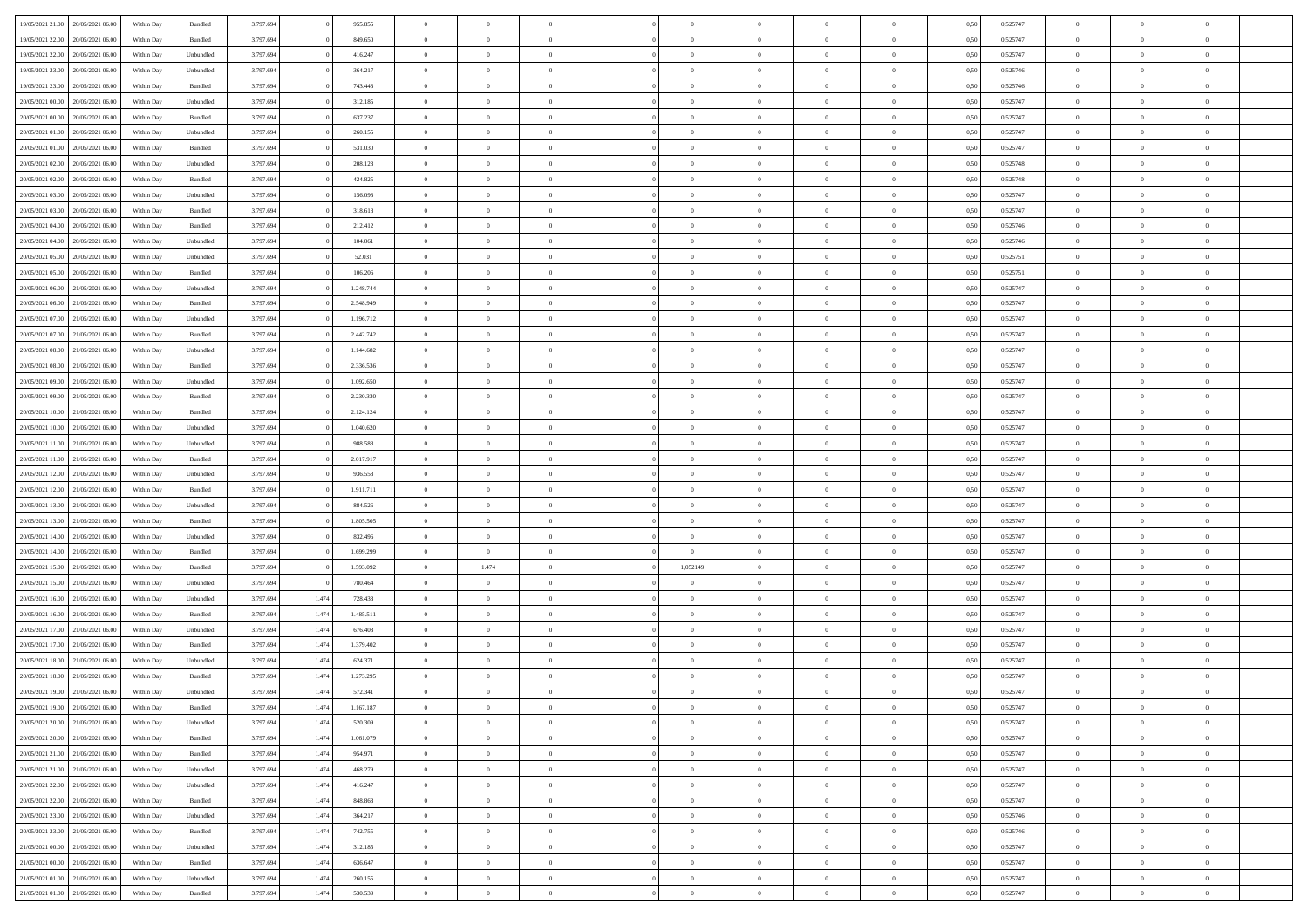| 19/05/2021 21:00 20/05/2021 06:00    | Within Day | Bundled            | 3.797.694 |       | 955.855   | $\overline{0}$ | $\overline{0}$ | $\Omega$       | $\Omega$       | $\Omega$       |                | $\overline{0}$ | 0,50 | 0,525747 | $\mathbf{0}$   | $\Omega$       | $\Omega$       |  |
|--------------------------------------|------------|--------------------|-----------|-------|-----------|----------------|----------------|----------------|----------------|----------------|----------------|----------------|------|----------|----------------|----------------|----------------|--|
| 19/05/2021 22:00<br>20/05/2021 06:00 | Within Day | Bundled            | 3.797.694 |       | 849.650   | $\bf{0}$       | $\overline{0}$ | $\theta$       | $\theta$       | $\overline{0}$ | $\overline{0}$ | $\,$ 0         | 0,50 | 0,525747 | $\mathbf{0}$   | $\theta$       | $\bf{0}$       |  |
| 19/05/2021 22:00<br>20/05/2021 06:00 | Within Day | Unbundled          | 3.797.694 |       | 416.247   | $\overline{0}$ | $\overline{0}$ | $\overline{0}$ | $\bf{0}$       | $\bf{0}$       | $\overline{0}$ | $\mathbf{0}$   | 0,50 | 0,525747 | $\bf{0}$       | $\bf{0}$       | $\bf{0}$       |  |
| 19/05/2021 23:00<br>20/05/2021 06:00 | Within Day | Unbundled          | 3.797.694 |       | 364.217   | $\overline{0}$ | $\overline{0}$ | $\overline{0}$ | $\overline{0}$ | $\overline{0}$ | $\overline{0}$ | $\overline{0}$ | 0.50 | 0,525746 | $\mathbf{0}$   | $\overline{0}$ | $\bf{0}$       |  |
|                                      |            |                    |           |       |           |                |                |                |                |                |                |                |      |          |                |                |                |  |
| 19/05/2021 23:00<br>20/05/2021 06:00 | Within Day | Bundled            | 3.797.694 |       | 743.443   | $\bf{0}$       | $\overline{0}$ | $\theta$       | $\theta$       | $\overline{0}$ | $\overline{0}$ | $\bf{0}$       | 0,50 | 0,525746 | $\mathbf{0}$   | $\theta$       | $\overline{0}$ |  |
| 20/05/2021 00:00<br>20/05/2021 06:00 | Within Day | Unbundled          | 3.797.694 |       | 312.185   | $\overline{0}$ | $\overline{0}$ | $\overline{0}$ | $\bf{0}$       | $\overline{0}$ | $\overline{0}$ | $\overline{0}$ | 0,50 | 0,525747 | $\overline{0}$ | $\bf{0}$       | $\overline{0}$ |  |
| 20/05/2021 00:00<br>20/05/2021 06:00 | Within Day | Bundled            | 3.797.694 |       | 637.237   | $\overline{0}$ | $\overline{0}$ | $\overline{0}$ | $\overline{0}$ | $\overline{0}$ | $\overline{0}$ | $\mathbf{0}$   | 0.50 | 0,525747 | $\mathbf{0}$   | $\overline{0}$ | $\overline{0}$ |  |
| 20/05/2021 01:00<br>20/05/2021 06:00 | Within Day | Unbundled          | 3.797.694 |       | 260.155   | $\bf{0}$       | $\overline{0}$ | $\overline{0}$ | $\theta$       | $\overline{0}$ | $\overline{0}$ | $\bf{0}$       | 0,50 | 0,525747 | $\theta$       | $\theta$       | $\bf{0}$       |  |
| 20/05/2021 01:00<br>20/05/2021 06:00 | Within Day | Bundled            | 3.797.694 |       | 531.030   | $\overline{0}$ | $\overline{0}$ | $\bf{0}$       | $\bf{0}$       | $\bf{0}$       | $\overline{0}$ | $\mathbf{0}$   | 0,50 | 0,525747 | $\bf{0}$       | $\bf{0}$       | $\bf{0}$       |  |
| 20/05/2021 06:00                     |            | Unbundled          | 3.797.694 |       | 208.123   | $\overline{0}$ | $\overline{0}$ | $\overline{0}$ | $\overline{0}$ | $\overline{0}$ | $\overline{0}$ | $\overline{0}$ | 0.50 | 0,525748 | $\overline{0}$ | $\overline{0}$ | $\overline{0}$ |  |
| 20/05/2021 02:00                     | Within Day |                    |           |       |           |                |                |                |                |                |                |                |      |          |                |                |                |  |
| 20/05/2021 02:00<br>20/05/2021 06:00 | Within Day | $\mathbf B$ undled | 3.797.694 |       | 424.825   | $\bf{0}$       | $\overline{0}$ | $\overline{0}$ | $\overline{0}$ | $\overline{0}$ | $\overline{0}$ | $\,$ 0         | 0,50 | 0,525748 | $\mathbf{0}$   | $\theta$       | $\bf{0}$       |  |
| 20/05/2021 03:00<br>20/05/2021 06:00 | Within Day | Unbundled          | 3.797.694 |       | 156.093   | $\overline{0}$ | $\overline{0}$ | $\overline{0}$ | $\bf{0}$       | $\bf{0}$       | $\overline{0}$ | $\mathbf{0}$   | 0,50 | 0,525747 | $\bf{0}$       | $\bf{0}$       | $\bf{0}$       |  |
| 20/05/2021 03:00<br>20/05/2021 06:00 | Within Day | Bundled            | 3.797.694 |       | 318.618   | $\overline{0}$ | $\overline{0}$ | $\overline{0}$ | $\overline{0}$ | $\overline{0}$ | $\overline{0}$ | $\overline{0}$ | 0.50 | 0.525747 | $\mathbf{0}$   | $\overline{0}$ | $\bf{0}$       |  |
| 20/05/2021 04:00<br>20/05/2021 06:00 | Within Day | $\mathbf B$ undled | 3.797.694 |       | 212.412   | $\bf{0}$       | $\overline{0}$ | $\theta$       | $\theta$       | $\overline{0}$ | $\overline{0}$ | $\,$ 0         | 0,50 | 0,525746 | $\theta$       | $\theta$       | $\overline{0}$ |  |
| 20/05/2021 04:00<br>20/05/2021 06:00 | Within Day | Unbundled          | 3.797.694 |       | 104.061   | $\overline{0}$ | $\overline{0}$ | $\overline{0}$ | $\bf{0}$       | $\overline{0}$ | $\overline{0}$ | $\overline{0}$ | 0,50 | 0,525746 | $\overline{0}$ | $\bf{0}$       | $\overline{0}$ |  |
|                                      |            |                    |           |       |           |                |                |                |                |                |                |                |      |          |                |                |                |  |
| 20/05/2021 05:00<br>20/05/2021 06:00 | Within Day | Unbundled          | 3.797.694 |       | 52.031    | $\overline{0}$ | $\overline{0}$ | $\overline{0}$ | $\overline{0}$ | $\overline{0}$ | $\overline{0}$ | $\mathbf{0}$   | 0.50 | 0,525751 | $\overline{0}$ | $\overline{0}$ | $\overline{0}$ |  |
| 20/05/2021 05:00<br>20/05/2021 06:00 | Within Day | Bundled            | 3.797.694 |       | 106.206   | $\bf{0}$       | $\overline{0}$ | $\overline{0}$ | $\overline{0}$ | $\overline{0}$ | $\overline{0}$ | $\bf{0}$       | 0,50 | 0,525751 | $\theta$       | $\theta$       | $\bf{0}$       |  |
| 20/05/2021 06:00<br>21/05/2021 06:00 | Within Day | Unbundled          | 3.797.694 |       | 1.248.744 | $\overline{0}$ | $\overline{0}$ | $\bf{0}$       | $\bf{0}$       | $\bf{0}$       | $\overline{0}$ | $\mathbf{0}$   | 0,50 | 0,525747 | $\bf{0}$       | $\bf{0}$       | $\bf{0}$       |  |
| 20/05/2021 06:00<br>21/05/2021 06:00 | Within Day | Bundled            | 3.797.694 |       | 2.548.949 | $\overline{0}$ | $\overline{0}$ | $\overline{0}$ | $\overline{0}$ | $\overline{0}$ | $\overline{0}$ | $\overline{0}$ | 0.50 | 0,525747 | $\overline{0}$ | $\overline{0}$ | $\overline{0}$ |  |
| 20/05/2021 07:00<br>21/05/2021 06:00 | Within Day | Unbundled          | 3.797.694 |       | 1.196.712 | $\bf{0}$       | $\overline{0}$ | $\overline{0}$ | $\theta$       | $\overline{0}$ | $\overline{0}$ | $\,$ 0         | 0,50 | 0,525747 | $\theta$       | $\theta$       | $\bf{0}$       |  |
| 20/05/2021 07:00<br>21/05/2021 06:00 | Within Day | Bundled            | 3.797.694 |       | 2.442.742 | $\overline{0}$ | $\overline{0}$ | $\overline{0}$ | $\bf{0}$       | $\bf{0}$       | $\overline{0}$ | $\mathbf{0}$   | 0,50 | 0,525747 | $\bf{0}$       | $\bf{0}$       | $\bf{0}$       |  |
| 20/05/2021 08:00<br>21/05/2021 06:00 | Within Day | Unbundled          | 3.797.694 |       | 1.144.682 | $\overline{0}$ | $\overline{0}$ | $\overline{0}$ | $\overline{0}$ | $\overline{0}$ | $\overline{0}$ | $\overline{0}$ | 0.50 | 0,525747 | $\overline{0}$ | $\overline{0}$ | $\bf{0}$       |  |
|                                      |            |                    |           |       |           |                |                |                |                |                |                |                |      |          |                |                |                |  |
| 20/05/2021 08:00<br>21/05/2021 06:00 | Within Day | Bundled            | 3.797.694 |       | 2.336.536 | $\bf{0}$       | $\overline{0}$ | $\overline{0}$ | $\theta$       | $\overline{0}$ | $\overline{0}$ | $\,$ 0         | 0,50 | 0,525747 | $\mathbf{0}$   | $\theta$       | $\bf{0}$       |  |
| 20/05/2021 09:00<br>21/05/2021 06:00 | Within Day | Unbundled          | 3.797.694 |       | 1.092.650 | $\overline{0}$ | $\overline{0}$ | $\overline{0}$ | $\bf{0}$       | $\overline{0}$ | $\overline{0}$ | $\overline{0}$ | 0,50 | 0,525747 | $\overline{0}$ | $\bf{0}$       | $\overline{0}$ |  |
| 20/05/2021 09:00<br>21/05/2021 06:00 | Within Day | Bundled            | 3.797.694 |       | 2.230.330 | $\overline{0}$ | $\overline{0}$ | $\overline{0}$ | $\overline{0}$ | $\overline{0}$ | $\overline{0}$ | $\overline{0}$ | 0.50 | 0,525747 | $\overline{0}$ | $\overline{0}$ | $\overline{0}$ |  |
| 20/05/2021 10:00<br>21/05/2021 06:00 | Within Day | Bundled            | 3.797.694 |       | 2.124.124 | $\bf{0}$       | $\overline{0}$ | $\overline{0}$ | $\overline{0}$ | $\overline{0}$ | $\overline{0}$ | $\bf{0}$       | 0,50 | 0,525747 | $\theta$       | $\theta$       | $\bf{0}$       |  |
| 20/05/2021 10:00<br>21/05/2021 06:00 | Within Day | Unbundled          | 3.797.694 |       | 1.040.620 | $\overline{0}$ | $\overline{0}$ | $\bf{0}$       | $\bf{0}$       | $\bf{0}$       | $\overline{0}$ | $\bf{0}$       | 0,50 | 0,525747 | $\bf{0}$       | $\bf{0}$       | $\bf{0}$       |  |
| 20/05/2021 11:00<br>21/05/2021 06:00 | Within Day | Unbundled          | 3.797.694 |       | 988.588   | $\overline{0}$ | $\overline{0}$ | $\overline{0}$ | $\overline{0}$ | $\overline{0}$ | $\overline{0}$ | $\overline{0}$ | 0.50 | 0,525747 | $\overline{0}$ | $\overline{0}$ | $\bf{0}$       |  |
|                                      |            |                    |           |       |           |                |                |                |                |                |                |                |      |          |                |                |                |  |
| 20/05/2021 11:00<br>21/05/2021 06:00 | Within Day | $\mathbf B$ undled | 3.797.694 |       | 2.017.917 | $\bf{0}$       | $\overline{0}$ | $\overline{0}$ | $\overline{0}$ | $\overline{0}$ | $\overline{0}$ | $\,$ 0         | 0,50 | 0,525747 | $\theta$       | $\theta$       | $\bf{0}$       |  |
| 20/05/2021 12:00<br>21/05/2021 06:00 | Within Day | Unbundled          | 3.797.694 |       | 936.558   | $\overline{0}$ | $\overline{0}$ | $\overline{0}$ | $\bf{0}$       | $\bf{0}$       | $\overline{0}$ | $\mathbf{0}$   | 0,50 | 0,525747 | $\bf{0}$       | $\bf{0}$       | $\bf{0}$       |  |
| 20/05/2021 12:00<br>21/05/2021 06:00 | Within Day | Bundled            | 3.797.694 |       | 1.911.711 | $\overline{0}$ | $\overline{0}$ | $\overline{0}$ | $\overline{0}$ | $\overline{0}$ | $\Omega$       | $\overline{0}$ | 0,50 | 0,525747 | $\bf{0}$       | $\Omega$       | $\Omega$       |  |
| 20/05/2021 13:00<br>21/05/2021 06:00 | Within Day | Unbundled          | 3.797.694 |       | 884.526   | $\bf{0}$       | $\overline{0}$ | $\overline{0}$ | $\theta$       | $\overline{0}$ | $\overline{0}$ | $\,$ 0         | 0,50 | 0,525747 | $\theta$       | $\theta$       | $\bf{0}$       |  |
| 20/05/2021 13:00<br>21/05/2021 06:00 | Within Day | Bundled            | 3.797.694 |       | 1.805.505 | $\overline{0}$ | $\overline{0}$ | $\overline{0}$ | $\bf{0}$       | $\overline{0}$ | $\overline{0}$ | $\overline{0}$ | 0,50 | 0,525747 | $\overline{0}$ | $\bf{0}$       | $\overline{0}$ |  |
| 20/05/2021 14:00<br>21/05/2021 06:00 | Within Day | Unbundled          | 3.797.694 |       | 832.496   | $\overline{0}$ | $\overline{0}$ | $\overline{0}$ | $\overline{0}$ | $\overline{0}$ | $\Omega$       | $\overline{0}$ | 0.50 | 0,525747 | $\overline{0}$ | $\Omega$       | $\Omega$       |  |
| 20/05/2021 14:00<br>21/05/2021 06:00 | Within Day | Bundled            | 3.797.694 |       | 1.699.299 | $\bf{0}$       | $\overline{0}$ | $\overline{0}$ | $\overline{0}$ | $\overline{0}$ | $\overline{0}$ | $\bf{0}$       | 0,50 | 0,525747 | $\theta$       | $\theta$       | $\bf{0}$       |  |
|                                      |            |                    |           |       |           |                |                |                |                |                |                |                |      |          |                |                |                |  |
| 20/05/2021 15:00<br>21/05/2021 06:00 | Within Day | Bundled            | 3.797.694 |       | 1.593.092 | $\overline{0}$ | 1.474          | $\overline{0}$ | 1,052149       | $\bf{0}$       | $\overline{0}$ | $\bf{0}$       | 0,50 | 0,525747 | $\bf{0}$       | $\bf{0}$       | $\bf{0}$       |  |
| 20/05/2021 15:00<br>21/05/2021 06:00 | Within Day | Unbundled          | 3.797.694 |       | 780.464   | $\overline{0}$ | $\theta$       | $\Omega$       | $\overline{0}$ | $\overline{0}$ | $\Omega$       | $\theta$       | 0.50 | 0,525747 | $\overline{0}$ | $\Omega$       | $\Omega$       |  |
| 20/05/2021 16:00<br>21/05/2021 06:00 | Within Day | Unbundled          | 3.797.694 | 1.474 | 728.433   | $\bf{0}$       | $\overline{0}$ | $\bf{0}$       | $\theta$       | $\overline{0}$ | $\overline{0}$ | $\,$ 0         | 0,50 | 0,525747 | $\theta$       | $\theta$       | $\bf{0}$       |  |
| 20/05/2021 16:00<br>21/05/2021 06:00 | Within Day | Bundled            | 3.797.694 | 1.474 | 1.485.511 | $\overline{0}$ | $\overline{0}$ | $\overline{0}$ | $\bf{0}$       | $\bf{0}$       | $\overline{0}$ | $\mathbf{0}$   | 0,50 | 0,525747 | $\overline{0}$ | $\bf{0}$       | $\bf{0}$       |  |
| 20/05/2021 17:00<br>21/05/2021 06:00 | Within Day | Unbundled          | 3.797.694 | 1.474 | 676.403   | $\overline{0}$ | $\overline{0}$ | $\overline{0}$ | $\overline{0}$ | $\bf{0}$       | $\Omega$       | $\overline{0}$ | 0,50 | 0,525747 | $\overline{0}$ | $\Omega$       | $\Omega$       |  |
| 20/05/2021 17:00<br>21/05/2021 06:00 | Within Day | Bundled            | 3.797.694 | 1.474 | 1.379.402 | $\bf{0}$       | $\overline{0}$ | $\overline{0}$ | $\overline{0}$ | $\overline{0}$ | $\overline{0}$ | $\,$ 0         | 0,50 | 0,525747 | $\,$ 0 $\,$    | $\theta$       | $\bf{0}$       |  |
|                                      |            |                    |           |       |           |                |                |                |                |                |                |                |      |          |                |                |                |  |
| 20/05/2021 18:00<br>21/05/2021 06:00 | Within Day | Unbundled          | 3.797.694 | 1.474 | 624.371   | $\overline{0}$ | $\overline{0}$ | $\bf{0}$       | $\bf{0}$       | $\overline{0}$ | $\overline{0}$ | $\overline{0}$ | 0,50 | 0,525747 | $\overline{0}$ | $\bf{0}$       | $\bf{0}$       |  |
| 20/05/2021 18:00<br>21/05/2021 06.00 | Within Day | Bundled            | 3.797.694 | 1.474 | 1.273.295 | $\overline{0}$ | $\Omega$       | $\Omega$       | $\overline{0}$ | $\overline{0}$ | $\Omega$       | $\overline{0}$ | 0.50 | 0,525747 | $\overline{0}$ | $\Omega$       | $\Omega$       |  |
| 20/05/2021 19:00 21/05/2021 06:00    | Within Day | Unbundled          | 3.797.694 | 1.474 | 572.341   | $\bf{0}$       | $\bf{0}$       | $\bf{0}$       | $\bf{0}$       | $\bf{0}$       | $\overline{0}$ | $\,$ 0         | 0,50 | 0,525747 | $\bf{0}$       | $\,$ 0         | $\,$ 0         |  |
| 20/05/2021 19:00 21/05/2021 06:00    | Within Day | Bundled            | 3.797.694 | 1.474 | 1.167.187 | $\bf{0}$       | $\bf{0}$       |                |                |                |                |                | 0,50 | 0,525747 | $\bf{0}$       | $\bf{0}$       |                |  |
| 20/05/2021 20:00 21/05/2021 06:00    | Within Day | Unbundled          | 3.797.694 | 1.474 | 520.309   | $\overline{0}$ | $\overline{0}$ | $\overline{0}$ | $\overline{0}$ | $\overline{0}$ | $\overline{0}$ | $\mathbf{0}$   | 0,50 | 0,525747 | $\overline{0}$ | $\overline{0}$ | $\theta$       |  |
| 20/05/2021 20:00 21/05/2021 06:00    | Within Day | Bundled            | 3.797.694 | 1.474 | 1.061.079 | $\overline{0}$ | $\overline{0}$ | $\overline{0}$ | $\bf{0}$       | $\overline{0}$ | $\overline{0}$ | $\mathbf{0}$   | 0,50 | 0,525747 | $\bf{0}$       | $\overline{0}$ | $\,$ 0 $\,$    |  |
| 20/05/2021 21:00 21/05/2021 06:00    | Within Day | Bundled            | 3.797.694 | 1.474 | 954.971   | $\overline{0}$ | $\overline{0}$ | $\overline{0}$ | $\bf{0}$       | $\overline{0}$ | $\overline{0}$ | $\mathbf{0}$   | 0,50 | 0,525747 | $\overline{0}$ | $\overline{0}$ | $\overline{0}$ |  |
| 20/05/2021 21:00 21/05/2021 06:00    |            |                    | 3.797.694 |       |           |                | $\overline{0}$ |                |                | $\bf{0}$       | $\overline{0}$ |                |      |          | $\overline{0}$ | $\overline{0}$ | $\overline{0}$ |  |
|                                      | Within Day | Unbundled          |           | 1.474 | 468.279   | $\overline{0}$ |                | $\overline{0}$ | $\bf{0}$       |                |                | $\overline{0}$ | 0,50 | 0,525747 |                |                |                |  |
| 20/05/2021 22:00 21/05/2021 06:00    | Within Day | Unbundled          | 3.797.694 | 1.474 | 416.247   | $\overline{0}$ | $\overline{0}$ | $\overline{0}$ | $\bf{0}$       | $\overline{0}$ | $\overline{0}$ | $\mathbf{0}$   | 0,50 | 0,525747 | $\,$ 0 $\,$    | $\theta$       | $\,$ 0 $\,$    |  |
| 20/05/2021 22:00 21/05/2021 06:00    | Within Day | Bundled            | 3.797.694 | 1.474 | 848.863   | $\overline{0}$ | $\overline{0}$ | $\overline{0}$ | $\overline{0}$ | $\overline{0}$ | $\overline{0}$ | $\overline{0}$ | 0,50 | 0,525747 | $\overline{0}$ | $\overline{0}$ | $\overline{0}$ |  |
| 20/05/2021 23:00 21/05/2021 06:00    | Within Day | Unbundled          | 3.797.694 | 1.474 | 364.217   | $\overline{0}$ | $\overline{0}$ | $\overline{0}$ | $\overline{0}$ | $\overline{0}$ | $\overline{0}$ | $\mathbf{0}$   | 0,50 | 0,525746 | $\overline{0}$ | $\overline{0}$ | $\overline{0}$ |  |
| 20/05/2021 23:00 21/05/2021 06:00    | Within Day | Bundled            | 3.797.694 | 1.474 | 742.755   | $\overline{0}$ | $\overline{0}$ | $\overline{0}$ | $\bf{0}$       | $\bf{0}$       | $\overline{0}$ | $\,$ 0 $\,$    | 0,50 | 0,525746 | $\,$ 0 $\,$    | $\overline{0}$ | $\bf{0}$       |  |
| 21/05/2021 00:00 21/05/2021 06:00    | Within Day | Unbundled          | 3.797.694 | 1.474 | 312.185   | $\overline{0}$ | $\overline{0}$ | $\overline{0}$ | $\bf{0}$       | $\overline{0}$ | $\overline{0}$ | $\overline{0}$ | 0,50 | 0,525747 | $\bf{0}$       | $\bf{0}$       | $\overline{0}$ |  |
| 21/05/2021 00:00 21/05/2021 06:00    | Within Day | Bundled            | 3.797.694 | 1.474 | 636.647   | $\overline{0}$ | $\overline{0}$ | $\overline{0}$ | $\bf{0}$       | $\overline{0}$ | $\overline{0}$ | $\overline{0}$ | 0,50 | 0,525747 | $\overline{0}$ | $\overline{0}$ | $\overline{0}$ |  |
|                                      |            |                    |           |       |           |                | $\overline{0}$ |                |                |                |                |                |      |          | $\,0\,$        | $\,0\,$        |                |  |
| 21/05/2021 01:00<br>21/05/2021 06:00 | Within Day | Unbundled          | 3.797.694 | 1.474 | 260.155   | $\overline{0}$ |                | $\overline{0}$ | $\bf{0}$       | $\bf{0}$       | $\overline{0}$ | $\,$ 0 $\,$    | 0,50 | 0,525747 |                |                | $\bf{0}$       |  |
| 21/05/2021 01:00 21/05/2021 06:00    | Within Day | Bundled            | 3.797.694 | 1.474 | 530.539   | $\overline{0}$ | $\overline{0}$ | $\overline{0}$ | $\bf{0}$       | $\overline{0}$ | $\overline{0}$ | $\mathbf{0}$   | 0,50 | 0,525747 | $\overline{0}$ | $\bf{0}$       | $\overline{0}$ |  |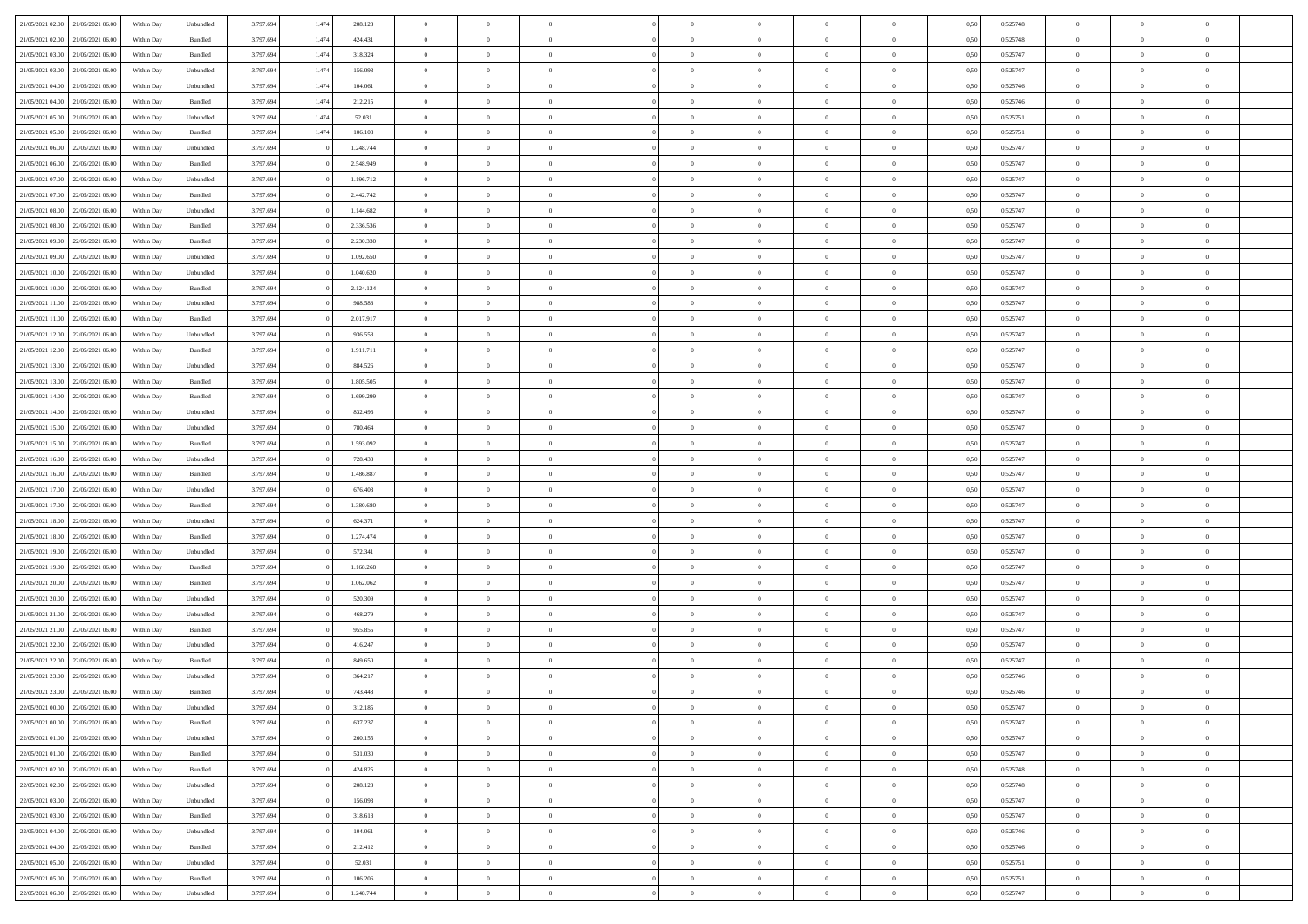| 21/05/2021 02:00 21/05/2021 06:00 |                  | Within Day | Unbundled                   | 3.797.694 | 1.474 | 208.123   | $\overline{0}$ | $\theta$       |                | $\overline{0}$ | $\bf{0}$       | $\overline{0}$ | $\theta$       | 0,50 | 0,525748 | $\theta$       | $\theta$       | $\theta$       |  |
|-----------------------------------|------------------|------------|-----------------------------|-----------|-------|-----------|----------------|----------------|----------------|----------------|----------------|----------------|----------------|------|----------|----------------|----------------|----------------|--|
|                                   |                  |            |                             |           |       |           | $\overline{0}$ |                | $\overline{0}$ |                |                |                |                |      |          |                |                | $\overline{0}$ |  |
| 21/05/2021 02:00                  | 21/05/2021 06.00 | Within Day | Bundled                     | 3.797.694 | 1.474 | 424.431   |                | $\overline{0}$ |                | $\overline{0}$ | $\bf{0}$       | $\bf{0}$       | $\bf{0}$       | 0,50 | 0,525748 | $\,$ 0 $\,$    | $\overline{0}$ |                |  |
| 21/05/2021 03:00                  | 21/05/2021 06:00 | Within Day | Bundled                     | 3.797.694 | 1.474 | 318.324   | $\overline{0}$ | $\overline{0}$ | $\overline{0}$ | $\overline{0}$ | $\bf{0}$       | $\overline{0}$ | $\mathbf{0}$   | 0.50 | 0,525747 | $\overline{0}$ | $\overline{0}$ | $\bf{0}$       |  |
| 21/05/2021 03:00                  | 21/05/2021 06:00 | Within Day | Unbundled                   | 3.797.694 | 1.474 | 156.093   | $\overline{0}$ | $\overline{0}$ | $\overline{0}$ | $\overline{0}$ | $\,0\,$        | $\overline{0}$ | $\overline{0}$ | 0,50 | 0,525747 | $\,$ 0 $\,$    | $\overline{0}$ | $\overline{0}$ |  |
| 21/05/2021 04:00                  | 21/05/2021 06.00 | Within Day | Unbundled                   | 3.797.694 | 1.474 | 104.061   | $\overline{0}$ | $\theta$       | $\overline{0}$ | $\overline{0}$ | $\,$ 0         | $\overline{0}$ | $\bf{0}$       | 0,50 | 0,525746 | $\,$ 0 $\,$    | $\overline{0}$ | $\overline{0}$ |  |
| 21/05/2021 04:00                  | 21/05/2021 06:00 | Within Day | Bundled                     | 3.797.694 | 1.474 | 212.215   | $\overline{0}$ | $\overline{0}$ | $\overline{0}$ | $\overline{0}$ | $\bf{0}$       | $\overline{0}$ | $\bf{0}$       | 0.50 | 0.525746 | $\,0\,$        | $\theta$       | $\overline{0}$ |  |
| 21/05/2021 05:00                  | 21/05/2021 06:00 | Within Day | Unbundled                   | 3.797.694 | 1.474 | 52.031    | $\overline{0}$ | $\overline{0}$ | $\overline{0}$ | $\overline{0}$ | $\bf{0}$       | $\overline{0}$ | $\bf{0}$       | 0,50 | 0,525751 | $\,$ 0 $\,$    | $\theta$       | $\overline{0}$ |  |
| 21/05/2021 05:00                  | 21/05/2021 06.00 | Within Day | Bundled                     | 3.797.694 | 1.474 | 106.108   | $\overline{0}$ | $\overline{0}$ | $\overline{0}$ | $\overline{0}$ | $\,$ 0         | $\bf{0}$       | $\bf{0}$       | 0,50 | 0,525751 | $\,$ 0 $\,$    | $\overline{0}$ | $\overline{0}$ |  |
| 21/05/2021 06:00                  | 22/05/2021 06:00 | Within Day | Unbundled                   | 3.797.694 |       | 1.248.744 | $\overline{0}$ | $\overline{0}$ | $\overline{0}$ | $\overline{0}$ | $\bf{0}$       | $\overline{0}$ | $\bf{0}$       | 0.50 | 0.525747 | $\bf{0}$       | $\overline{0}$ | $\bf{0}$       |  |
| 21/05/2021 06:00                  | 22/05/2021 06:00 | Within Day | Bundled                     | 3.797.694 |       | 2.548.949 | $\overline{0}$ | $\overline{0}$ | $\overline{0}$ | $\overline{0}$ | $\bf{0}$       | $\overline{0}$ | $\bf{0}$       | 0,50 | 0,525747 | $\,$ 0 $\,$    | $\overline{0}$ | $\overline{0}$ |  |
|                                   |                  |            |                             |           |       |           |                |                |                |                |                |                |                |      |          |                |                |                |  |
| 21/05/2021 07:00                  | 22/05/2021 06.00 | Within Day | Unbundled                   | 3.797.694 |       | 1.196.712 | $\overline{0}$ | $\overline{0}$ | $\overline{0}$ | $\overline{0}$ | $\,$ 0         | $\bf{0}$       | $\bf{0}$       | 0,50 | 0,525747 | $\,$ 0 $\,$    | $\overline{0}$ | $\overline{0}$ |  |
| 21/05/2021 07:00                  | 22/05/2021 06:00 | Within Day | $\mathbf B$ undled          | 3.797.694 |       | 2.442.742 | $\overline{0}$ | $\overline{0}$ | $\overline{0}$ | $\overline{0}$ | $\bf{0}$       | $\overline{0}$ | $\mathbf{0}$   | 0.50 | 0,525747 | $\,$ 0 $\,$    | $\,$ 0 $\,$    | $\bf{0}$       |  |
| 21/05/2021 08:00                  | 22/05/2021 06:00 | Within Day | Unbundled                   | 3.797.694 |       | 1.144.682 | $\overline{0}$ | $\overline{0}$ | $\overline{0}$ | $\overline{0}$ | $\bf{0}$       | $\overline{0}$ | $\overline{0}$ | 0,50 | 0,525747 | $\,$ 0 $\,$    | $\overline{0}$ | $\overline{0}$ |  |
| 21/05/2021 08:00                  | 22/05/2021 06.00 | Within Day | Bundled                     | 3.797.694 |       | 2.336.536 | $\overline{0}$ | $\theta$       | $\overline{0}$ | $\overline{0}$ | $\,$ 0         | $\overline{0}$ | $\bf{0}$       | 0,50 | 0,525747 | $\,$ 0 $\,$    | $\overline{0}$ | $\overline{0}$ |  |
| 21/05/2021 09:00                  | 22/05/2021 06:00 | Within Day | Bundled                     | 3.797.694 |       | 2.230.330 | $\overline{0}$ | $\overline{0}$ | $\overline{0}$ | $\overline{0}$ | $\bf{0}$       | $\overline{0}$ | $\bf{0}$       | 0.50 | 0.525747 | $\,0\,$        | $\theta$       | $\overline{0}$ |  |
| 21/05/2021 09:00                  | 22/05/2021 06:00 | Within Day | Unbundled                   | 3.797.694 |       | 1.092.650 | $\overline{0}$ | $\overline{0}$ | $\overline{0}$ | $\overline{0}$ | $\bf{0}$       | $\overline{0}$ | $\bf{0}$       | 0,50 | 0,525747 | $\,$ 0 $\,$    | $\theta$       | $\overline{0}$ |  |
| 21/05/2021 10:00                  | 22/05/2021 06.00 | Within Day | Unbundled                   | 3.797.694 |       | 1.040.620 | $\overline{0}$ | $\overline{0}$ | $\overline{0}$ | $\overline{0}$ | $\,$ 0         | $\bf{0}$       | $\bf{0}$       | 0,50 | 0,525747 | $\,$ 0 $\,$    | $\overline{0}$ | $\overline{0}$ |  |
| 21/05/2021 10:00                  | 22/05/2021 06:00 | Within Day | Bundled                     | 3.797.694 |       | 2.124.124 | $\overline{0}$ | $\overline{0}$ | $\overline{0}$ | $\overline{0}$ | $\bf{0}$       | $\overline{0}$ | $\mathbf{0}$   | 0.50 | 0.525747 | $\bf{0}$       | $\overline{0}$ | $\bf{0}$       |  |
| 21/05/2021 11:00                  | 22/05/2021 06:00 | Within Day | Unbundled                   | 3.797.694 |       | 988.588   | $\overline{0}$ | $\overline{0}$ | $\overline{0}$ | $\overline{0}$ | $\bf{0}$       | $\overline{0}$ | $\bf{0}$       | 0,50 | 0,525747 | $\,$ 0 $\,$    | $\overline{0}$ | $\overline{0}$ |  |
| 21/05/2021 11:00                  | 22/05/2021 06.00 | Within Day | Bundled                     | 3.797.694 |       | 2.017.917 | $\bf{0}$       | $\overline{0}$ | $\overline{0}$ | $\overline{0}$ | $\bf{0}$       | $\bf{0}$       | $\bf{0}$       | 0,50 | 0,525747 | $\,$ 0 $\,$    | $\overline{0}$ | $\overline{0}$ |  |
|                                   |                  |            |                             |           |       |           |                |                |                |                |                |                |                |      |          |                |                |                |  |
| 21/05/2021 12:00                  | 22/05/2021 06:00 | Within Day | Unbundled                   | 3.797.694 |       | 936.558   | $\overline{0}$ | $\overline{0}$ | $\overline{0}$ | $\overline{0}$ | $\bf{0}$       | $\overline{0}$ | $\mathbf{0}$   | 0.50 | 0,525747 | $\,$ 0 $\,$    | $\,$ 0 $\,$    | $\overline{0}$ |  |
| 21/05/2021 12:00                  | 22/05/2021 06:00 | Within Day | Bundled                     | 3.797.694 |       | 1.911.711 | $\overline{0}$ | $\overline{0}$ | $\overline{0}$ | $\overline{0}$ | $\bf{0}$       | $\overline{0}$ | $\overline{0}$ | 0,50 | 0,525747 | $\,$ 0 $\,$    | $\overline{0}$ | $\overline{0}$ |  |
| 21/05/2021 13:00                  | 22/05/2021 06.00 | Within Day | Unbundled                   | 3.797.694 |       | 884.526   | $\overline{0}$ | $\overline{0}$ | $\overline{0}$ | $\overline{0}$ | $\,$ 0         | $\bf{0}$       | $\bf{0}$       | 0,50 | 0,525747 | $\,$ 0 $\,$    | $\overline{0}$ | $\overline{0}$ |  |
| 21/05/2021 13:00                  | 22/05/2021 06:00 | Within Day | Bundled                     | 3.797.694 |       | 1.805.505 | $\overline{0}$ | $\overline{0}$ | $\overline{0}$ | $\overline{0}$ | $\bf{0}$       | $\overline{0}$ | $\bf{0}$       | 0.50 | 0.525747 | $\,0\,$        | $\theta$       | $\overline{0}$ |  |
| 21/05/2021 14:00                  | 22/05/2021 06:00 | Within Day | Bundled                     | 3.797.694 |       | 1.699.299 | $\overline{0}$ | $\overline{0}$ | $\overline{0}$ | $\overline{0}$ | $\,$ 0         | $\overline{0}$ | $\bf{0}$       | 0,50 | 0,525747 | $\,$ 0 $\,$    | $\theta$       | $\overline{0}$ |  |
| 21/05/2021 14:00                  | 22/05/2021 06.00 | Within Day | Unbundled                   | 3.797.694 |       | 832.496   | $\overline{0}$ | $\theta$       | $\overline{0}$ | $\overline{0}$ | $\,$ 0         | $\bf{0}$       | $\bf{0}$       | 0,50 | 0,525747 | $\,$ 0 $\,$    | $\overline{0}$ | $\overline{0}$ |  |
| 21/05/2021 15:00                  | 22/05/2021 06:00 | Within Day | Unbundled                   | 3.797.694 |       | 780,464   | $\overline{0}$ | $\overline{0}$ | $\overline{0}$ | $\overline{0}$ | $\bf{0}$       | $\overline{0}$ | $\bf{0}$       | 0.50 | 0.525747 | $\bf{0}$       | $\overline{0}$ | $\bf{0}$       |  |
| 21/05/2021 15:00                  | 22/05/2021 06:00 | Within Day | Bundled                     | 3.797.694 |       | 1.593.092 | $\overline{0}$ | $\overline{0}$ | $\overline{0}$ | $\overline{0}$ | $\bf{0}$       | $\overline{0}$ | $\bf{0}$       | 0,50 | 0,525747 | $\,$ 0 $\,$    | $\overline{0}$ | $\overline{0}$ |  |
| 21/05/2021 16:00                  | 22/05/2021 06.00 | Within Day | Unbundled                   | 3.797.694 |       | 728.433   | $\bf{0}$       | $\overline{0}$ | $\overline{0}$ | $\overline{0}$ | $\bf{0}$       | $\bf{0}$       | $\bf{0}$       | 0,50 | 0,525747 | $\,$ 0 $\,$    | $\overline{0}$ | $\overline{0}$ |  |
| 21/05/2021 16:00                  | 22/05/2021 06:00 | Within Day | Bundled                     | 3.797.694 |       | 1.486.887 | $\overline{0}$ | $\overline{0}$ | $\overline{0}$ | $\overline{0}$ | $\bf{0}$       | $\overline{0}$ | $\mathbf{0}$   | 0.50 | 0,525747 | $\overline{0}$ | $\,$ 0 $\,$    | $\bf{0}$       |  |
| 21/05/2021 17:00                  | 22/05/2021 06:00 | Within Dav | Unbundled                   | 3.797.694 |       | 676.403   | $\overline{0}$ | $\overline{0}$ | $\overline{0}$ | $\overline{0}$ | $\overline{0}$ | $\overline{0}$ | $\overline{0}$ | 0.50 | 0,525747 | $\theta$       | $\overline{0}$ | $\overline{0}$ |  |
|                                   |                  |            |                             |           |       |           | $\overline{0}$ | $\overline{0}$ | $\overline{0}$ | $\overline{0}$ | $\,$ 0         |                |                |      |          | $\,$ 0 $\,$    | $\overline{0}$ | $\overline{0}$ |  |
| 21/05/2021 17:00                  | 22/05/2021 06.00 | Within Day | Bundled                     | 3.797.694 |       | 1.380.680 |                |                |                |                |                | $\bf{0}$       | $\bf{0}$       | 0,50 | 0,525747 |                |                |                |  |
| 21/05/2021 18:00                  | 22/05/2021 06:00 | Within Day | Unbundled                   | 3.797.694 |       | 624.371   | $\overline{0}$ | $\overline{0}$ | $\overline{0}$ | $\overline{0}$ | $\bf{0}$       | $\overline{0}$ | $\bf{0}$       | 0.50 | 0.525747 | $\,0\,$        | $\theta$       | $\overline{0}$ |  |
| 21/05/2021 18:00                  | 22/05/2021 06:00 | Within Dav | Bundled                     | 3.797.694 |       | 1.274.474 | $\overline{0}$ | $\overline{0}$ | $\Omega$       | $\overline{0}$ | $\mathbf{0}$   | $\overline{0}$ | $\overline{0}$ | 0.50 | 0,525747 | $\theta$       | $\overline{0}$ | $\overline{0}$ |  |
| 21/05/2021 19:00                  | 22/05/2021 06.00 | Within Day | Unbundled                   | 3.797.694 |       | 572.341   | $\bf{0}$       | $\overline{0}$ | $\overline{0}$ | $\overline{0}$ | $\,$ 0         | $\bf{0}$       | $\bf{0}$       | 0,50 | 0,525747 | $\,$ 0 $\,$    | $\overline{0}$ | $\overline{0}$ |  |
| 21/05/2021 19:00                  | 22/05/2021 06:00 | Within Day | Bundled                     | 3.797.694 |       | 1.168.268 | $\overline{0}$ | $\overline{0}$ | $\overline{0}$ | $\overline{0}$ | $\bf{0}$       | $\overline{0}$ | $\mathbf{0}$   | 0.50 | 0.525747 | $\bf{0}$       | $\overline{0}$ | $\bf{0}$       |  |
| 21/05/2021 20:00                  | 22/05/2021 06:00 | Within Dav | Bundled                     | 3.797.694 |       | 1.062.062 | $\overline{0}$ | $\overline{0}$ | $\overline{0}$ | $\overline{0}$ | $\overline{0}$ | $\overline{0}$ | $\overline{0}$ | 0,50 | 0,525747 | $\theta$       | $\overline{0}$ | $\overline{0}$ |  |
| 21/05/2021 20:00                  | 22/05/2021 06.00 | Within Day | Unbundled                   | 3.797.694 |       | 520.309   | $\bf{0}$       | $\overline{0}$ | $\overline{0}$ | $\bf{0}$       | $\bf{0}$       | $\bf{0}$       | $\bf{0}$       | 0,50 | 0,525747 | $\,$ 0 $\,$    | $\overline{0}$ | $\overline{0}$ |  |
| 21/05/2021 21:00                  | 22/05/2021 06:00 | Within Day | Unbundled                   | 3.797.694 |       | 468.279   | $\overline{0}$ | $\overline{0}$ | $\overline{0}$ | $\overline{0}$ | $\bf{0}$       | $\overline{0}$ | $\mathbf{0}$   | 0.50 | 0,525747 | $\,$ 0 $\,$    | $\,$ 0 $\,$    | $\bf{0}$       |  |
| 21/05/2021 21:00                  | 22/05/2021 06:00 | Within Dav | Bundled                     | 3.797.694 |       | 955.855   | $\overline{0}$ | $\overline{0}$ | $\theta$       | $\overline{0}$ | $\mathbf{0}$   | $\overline{0}$ | $\overline{0}$ | 0.50 | 0,525747 | $\theta$       | $\overline{0}$ | $\overline{0}$ |  |
| 21/05/2021 22.00                  | 22/05/2021 06.00 | Within Day | Unbundled                   | 3.797.694 |       | 416.247   | $\bf{0}$       | $\overline{0}$ | $\overline{0}$ | $\overline{0}$ | $\bf{0}$       | $\overline{0}$ | $\bf{0}$       | 0,50 | 0,525747 | $\,$ 0 $\,$    | $\overline{0}$ | $\overline{0}$ |  |
| 21/05/2021 22.00                  | 22/05/2021 06:00 | Within Day | Bundled                     | 3.797.694 |       | 849,650   | $\overline{0}$ | $\overline{0}$ | $\overline{0}$ | $\overline{0}$ | $\bf{0}$       | $\Omega$       | $\overline{0}$ | 0.50 | 0.525747 | $\,0\,$        | $\theta$       | $\overline{0}$ |  |
| 21/05/2021 23:00                  | 22/05/2021 06:00 | Within Dav | Unbundled                   | 3.797.694 |       | 364.217   | $\overline{0}$ | $\theta$       | $\Omega$       | $\overline{0}$ | $\bf{0}$       | $\overline{0}$ | $\overline{0}$ | 0.50 | 0,525746 | $\theta$       | $\overline{0}$ | $\overline{0}$ |  |
| 21/05/2021 23:00                  | 22/05/2021 06:00 | Within Day | Bundled                     | 3.797.694 |       | 743.443   | $\bf{0}$       | $\overline{0}$ | $\overline{0}$ | $\bf{0}$       | $\,$ 0         | $\bf{0}$       | $\bf{0}$       | 0,50 | 0,525746 | $\,$ 0 $\,$    | $\overline{0}$ | $\overline{0}$ |  |
|                                   |                  |            |                             |           |       |           |                |                |                |                |                |                |                |      | 0,525747 |                |                |                |  |
| 22/05/2021 00:00                  | 22/05/2021 06:00 | Within Day | $\ensuremath{\mathsf{Unb}}$ | 3.797.694 |       | 312.185   | $\bf{0}$       | $\theta$       |                | $^{\circ}$     | $\Omega$       |                |                | 0,50 |          | $\bf{0}$       | $\theta$       |                |  |
| 22/05/2021 00:00 22/05/2021 06:00 |                  | Within Day | Bundled                     | 3.797.694 |       | 637.237   | $\overline{0}$ | $\overline{0}$ | $\overline{0}$ | $\overline{0}$ | $\overline{0}$ | $\overline{0}$ | $\mathbf{0}$   | 0,50 | 0,525747 | $\theta$       | $\overline{0}$ | $\overline{0}$ |  |
| 22/05/2021 01:00                  | 22/05/2021 06:00 | Within Day | Unbundled                   | 3.797.694 |       | 260.155   | $\overline{0}$ | $\bf{0}$       | $\overline{0}$ | $\bf{0}$       | $\overline{0}$ | $\overline{0}$ | $\bf{0}$       | 0,50 | 0,525747 | $\overline{0}$ | $\overline{0}$ | $\bf{0}$       |  |
| 22/05/2021 01:00                  | 22/05/2021 06:00 | Within Day | Bundled                     | 3.797.694 |       | 531.030   | $\overline{0}$ | $\overline{0}$ | $\overline{0}$ | $\overline{0}$ | $\overline{0}$ | $\overline{0}$ | $\mathbf{0}$   | 0.50 | 0,525747 | $\overline{0}$ | $\bf{0}$       | $\overline{0}$ |  |
| 22/05/2021 02:00                  | 22/05/2021 06:00 | Within Day | Bundled                     | 3.797.694 |       | 424.825   | $\overline{0}$ | $\overline{0}$ | $\overline{0}$ | $\overline{0}$ | $\overline{0}$ | $\overline{0}$ | $\mathbf{0}$   | 0,50 | 0,525748 | $\overline{0}$ | $\theta$       | $\overline{0}$ |  |
| 22/05/2021 02:00                  | 22/05/2021 06:00 | Within Day | Unbundled                   | 3.797.694 |       | 208.123   | $\overline{0}$ | $\overline{0}$ | $\overline{0}$ | $\overline{0}$ | $\bf{0}$       | $\bf{0}$       | $\bf{0}$       | 0,50 | 0,525748 | $\,$ 0 $\,$    | $\overline{0}$ | $\overline{0}$ |  |
| 22/05/2021 03:00                  | 22/05/2021 06:00 | Within Day | Unbundled                   | 3.797.694 |       | 156.093   | $\overline{0}$ | $\overline{0}$ | $\overline{0}$ | $\overline{0}$ | $\bf{0}$       | $\overline{0}$ | $\mathbf{0}$   | 0.50 | 0.525747 | $\,$ 0 $\,$    | $\overline{0}$ | $\overline{0}$ |  |
| 22/05/2021 03:00                  | 22/05/2021 06:00 | Within Day | Bundled                     | 3.797.694 |       | 318.618   | $\overline{0}$ | $\overline{0}$ | $\overline{0}$ | $\overline{0}$ | $\overline{0}$ | $\overline{0}$ | $\overline{0}$ | 0,50 | 0,525747 | $\overline{0}$ | $\theta$       | $\overline{0}$ |  |
| 22/05/2021 04:00                  | 22/05/2021 06:00 | Within Day | Unbundled                   | 3.797.694 |       | 104.061   | $\overline{0}$ | $\,$ 0         | $\overline{0}$ | $\bf{0}$       | $\,$ 0 $\,$    | $\overline{0}$ | $\bf{0}$       | 0,50 | 0,525746 | $\,$ 0 $\,$    | $\overline{0}$ | $\overline{0}$ |  |
| 22/05/2021 04:00                  | 22/05/2021 06:00 | Within Day | Bundled                     | 3.797.694 |       | 212.412   | $\overline{0}$ | $\overline{0}$ | $\overline{0}$ | $\overline{0}$ | $\bf{0}$       | $\overline{0}$ | $\mathbf{0}$   | 0.50 | 0.525746 | $\mathbf{0}$   | $\bf{0}$       | $\bf{0}$       |  |
| 22/05/2021 05:00                  | 22/05/2021 06:00 | Within Day | Unbundled                   | 3.797.694 |       | 52.031    | $\overline{0}$ | $\overline{0}$ | $\overline{0}$ | $\overline{0}$ | $\overline{0}$ | $\overline{0}$ | $\overline{0}$ | 0,50 | 0,525751 | $\overline{0}$ | $\overline{0}$ | $\overline{0}$ |  |
| 22/05/2021 05:00                  | 22/05/2021 06:00 | Within Day | Bundled                     | 3.797.694 |       | 106.206   | $\overline{0}$ | $\bf{0}$       | $\overline{0}$ | $\bf{0}$       | $\bf{0}$       | $\bf{0}$       | $\bf{0}$       | 0,50 | 0,525751 | $\overline{0}$ | $\overline{0}$ | $\bf{0}$       |  |
|                                   |                  |            |                             |           |       |           |                |                |                |                |                |                |                |      |          |                |                |                |  |
| 22/05/2021 06:00 23/05/2021 06:00 |                  | Within Day | Unbundled                   | 3.797.694 |       | 1.248.744 | $\,$ 0 $\,$    | $\,$ 0 $\,$    | $\overline{0}$ | $\overline{0}$ | $\,$ 0 $\,$    | $\,$ 0 $\,$    | $\,$ 0 $\,$    | 0,50 | 0,525747 | $\overline{0}$ | $\,$ 0 $\,$    | $\,$ 0 $\,$    |  |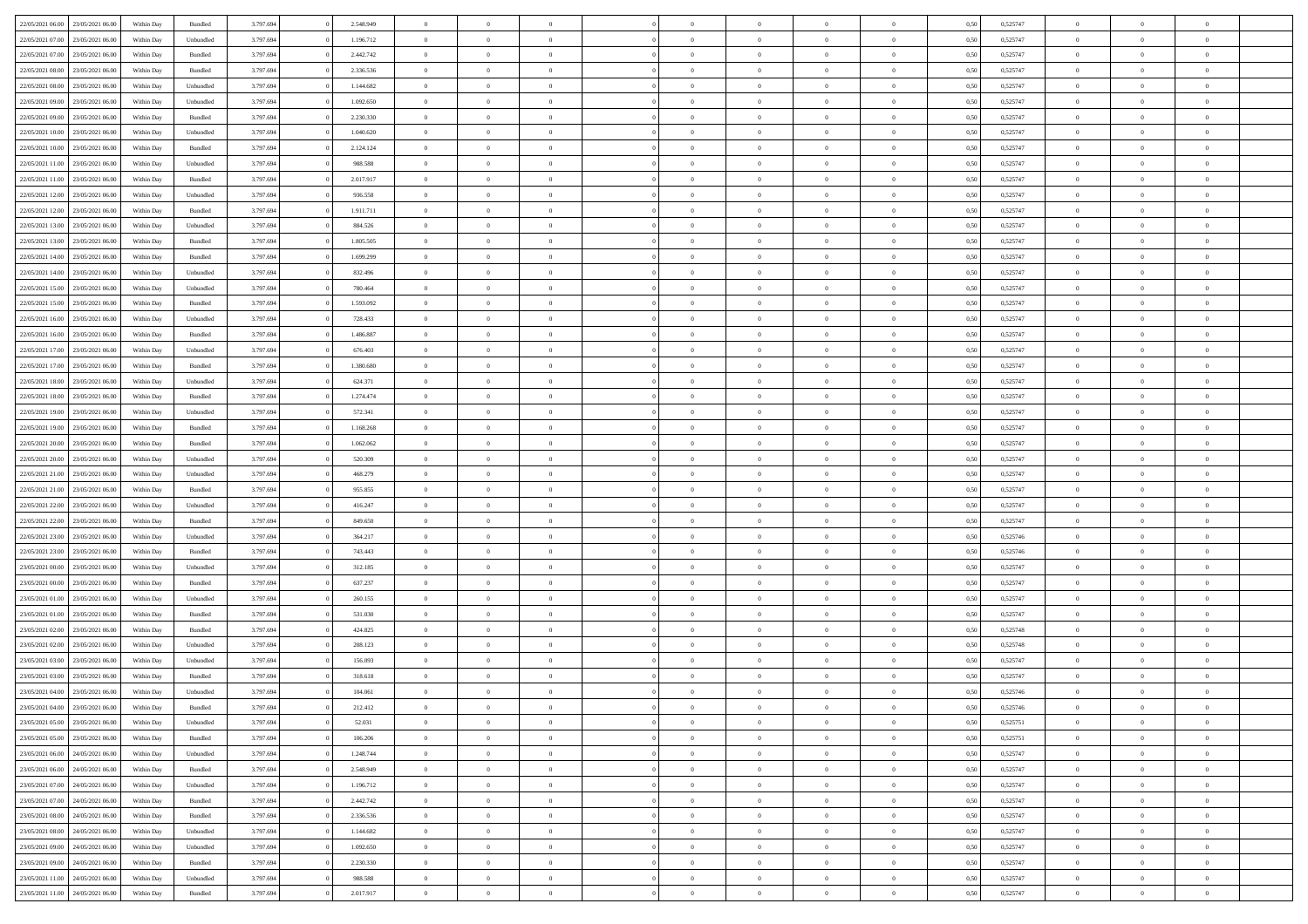| 22/05/2021 06:00 23/05/2021 06:00    | Within Day | Bundled   | 3.797.694 | 2.548.949 | $\overline{0}$ | $\overline{0}$ | $\Omega$       | $\Omega$       | $\theta$       | $\Omega$       | $\overline{0}$ | 0,50 | 0,525747 | $\theta$       | $\theta$       | $\theta$       |  |
|--------------------------------------|------------|-----------|-----------|-----------|----------------|----------------|----------------|----------------|----------------|----------------|----------------|------|----------|----------------|----------------|----------------|--|
| 22/05/2021 07:00<br>23/05/2021 06:00 | Within Day | Unbundled | 3.797.694 | 1.196.712 | $\overline{0}$ | $\overline{0}$ | $\overline{0}$ | $\overline{0}$ | $\theta$       | $\overline{0}$ | $\bf{0}$       | 0,50 | 0,525747 | $\theta$       | $\theta$       | $\overline{0}$ |  |
| 22/05/2021 07:00<br>23/05/2021 06:00 | Within Day | Bundled   | 3.797.694 | 2.442.742 | $\overline{0}$ | $\bf{0}$       | $\overline{0}$ | $\overline{0}$ | $\overline{0}$ | $\overline{0}$ | $\bf{0}$       | 0,50 | 0,525747 | $\bf{0}$       | $\overline{0}$ | $\overline{0}$ |  |
| 22/05/2021 08:00<br>23/05/2021 06:00 | Within Day | Bundled   | 3.797.694 | 2.336.536 | $\overline{0}$ | $\overline{0}$ | $\overline{0}$ | $\overline{0}$ | $\theta$       | $\overline{0}$ | $\overline{0}$ | 0.50 | 0,525747 | $\theta$       | $\theta$       | $\overline{0}$ |  |
| 22/05/2021 08:00<br>23/05/2021 06:00 | Within Day | Unbundled | 3.797.694 | 1.144.682 | $\overline{0}$ | $\overline{0}$ | $\overline{0}$ | $\overline{0}$ | $\theta$       | $\overline{0}$ | $\bf{0}$       | 0,50 | 0,525747 | $\theta$       | $\theta$       | $\overline{0}$ |  |
| 22/05/2021 09:00<br>23/05/2021 06:00 | Within Day | Unbundled | 3.797.694 | 1.092.650 | $\overline{0}$ | $\bf{0}$       | $\overline{0}$ | $\overline{0}$ | $\overline{0}$ | $\overline{0}$ | $\bf{0}$       | 0,50 | 0,525747 | $\overline{0}$ | $\overline{0}$ | $\bf{0}$       |  |
| 22/05/2021 09:00<br>23/05/2021 06:00 | Within Day | Bundled   | 3.797.694 | 2.230.330 | $\overline{0}$ | $\overline{0}$ | $\overline{0}$ | $\overline{0}$ | $\overline{0}$ | $\overline{0}$ | $\overline{0}$ | 0.5( | 0,525747 | $\theta$       | $\theta$       | $\overline{0}$ |  |
|                                      |            |           |           |           |                |                |                |                |                |                |                |      |          |                |                |                |  |
| 22/05/2021 10:00<br>23/05/2021 06:00 | Within Day | Unbundled | 3.797.694 | 1.040.620 | $\bf{0}$       | $\overline{0}$ | $\overline{0}$ | $\overline{0}$ | $\theta$       | $\overline{0}$ | $\bf{0}$       | 0,50 | 0,525747 | $\theta$       | $\theta$       | $\overline{0}$ |  |
| 22/05/2021 10:00<br>23/05/2021 06:00 | Within Day | Bundled   | 3.797.694 | 2.124.124 | $\overline{0}$ | $\bf{0}$       | $\overline{0}$ | $\overline{0}$ | $\overline{0}$ | $\overline{0}$ | $\bf{0}$       | 0,50 | 0,525747 | $\bf{0}$       | $\bf{0}$       | $\overline{0}$ |  |
| 22/05/2021 11:00<br>23/05/2021 06:00 | Within Day | Unbundled | 3.797.694 | 988.588   | $\overline{0}$ | $\overline{0}$ | $\overline{0}$ | $\overline{0}$ | $\overline{0}$ | $\overline{0}$ | $\bf{0}$       | 0.50 | 0,525747 | $\theta$       | $\theta$       | $\overline{0}$ |  |
| 22/05/2021 11:00<br>23/05/2021 06:00 | Within Day | Bundled   | 3.797.694 | 2.017.917 | $\overline{0}$ | $\overline{0}$ | $\overline{0}$ | $\overline{0}$ | $\theta$       | $\overline{0}$ | $\bf{0}$       | 0,50 | 0,525747 | $\theta$       | $\theta$       | $\overline{0}$ |  |
| 22/05/2021 12:00<br>23/05/2021 06:00 | Within Day | Unbundled | 3.797.694 | 936.558   | $\overline{0}$ | $\bf{0}$       | $\overline{0}$ | $\overline{0}$ | $\bf{0}$       | $\overline{0}$ | $\bf{0}$       | 0,50 | 0,525747 | $\bf{0}$       | $\overline{0}$ | $\overline{0}$ |  |
| 22/05/2021 12:00<br>23/05/2021 06:00 | Within Day | Bundled   | 3.797.694 | 1.911.711 | $\overline{0}$ | $\overline{0}$ | $\overline{0}$ | $\overline{0}$ | $\overline{0}$ | $\overline{0}$ | $\overline{0}$ | 0.5( | 0,525747 | $\theta$       | $\theta$       | $\overline{0}$ |  |
| 22/05/2021 13:00<br>23/05/2021 06:00 | Within Day | Unbundled | 3.797.694 | 884.526   | $\overline{0}$ | $\overline{0}$ | $\overline{0}$ | $\overline{0}$ | $\theta$       | $\overline{0}$ | $\,$ 0 $\,$    | 0,50 | 0,525747 | $\theta$       | $\theta$       | $\overline{0}$ |  |
| 22/05/2021 13:00<br>23/05/2021 06:00 | Within Day | Bundled   | 3.797.694 | 1.805.505 | $\overline{0}$ | $\bf{0}$       | $\overline{0}$ | $\overline{0}$ | $\overline{0}$ | $\overline{0}$ | $\bf{0}$       | 0,50 | 0,525747 | $\bf{0}$       | $\overline{0}$ | $\bf{0}$       |  |
| 22/05/2021 14:00<br>23/05/2021 06:00 | Within Day | Bundled   | 3.797.694 | 1.699.299 | $\overline{0}$ | $\overline{0}$ | $\overline{0}$ | $\overline{0}$ | $\overline{0}$ | $\overline{0}$ | $\overline{0}$ | 0.5( | 0,525747 | $\theta$       | $\theta$       | $\overline{0}$ |  |
| 22/05/2021 14:00<br>23/05/2021 06:00 | Within Day | Unbundled | 3.797.694 | 832.496   | $\bf{0}$       | $\overline{0}$ | $\overline{0}$ | $\overline{0}$ | $\theta$       | $\overline{0}$ | $\bf{0}$       | 0,50 | 0,525747 | $\theta$       | $\theta$       | $\overline{0}$ |  |
| 22/05/2021 15:00<br>23/05/2021 06:00 | Within Day | Unbundled | 3.797.694 | 780.464   | $\overline{0}$ | $\bf{0}$       | $\overline{0}$ | $\overline{0}$ | $\overline{0}$ | $\overline{0}$ | $\bf{0}$       | 0,50 | 0,525747 | $\bf{0}$       | $\overline{0}$ | $\overline{0}$ |  |
| 22/05/2021 15:00<br>23/05/2021 06:00 | Within Day | Bundled   | 3.797.694 | 1.593.092 | $\overline{0}$ | $\overline{0}$ | $\overline{0}$ | $\overline{0}$ | $\overline{0}$ | $\overline{0}$ | $\overline{0}$ | 0.50 | 0,525747 | $\theta$       | $\theta$       | $\overline{0}$ |  |
| 22/05/2021 16:00<br>23/05/2021 06:00 | Within Day | Unbundled | 3.797.694 | 728.433   | $\bf{0}$       | $\overline{0}$ | $\overline{0}$ | $\overline{0}$ | $\theta$       | $\overline{0}$ | $\bf{0}$       | 0,50 | 0,525747 | $\theta$       | $\theta$       | $\overline{0}$ |  |
|                                      |            |           |           |           |                |                |                |                |                |                |                |      |          |                |                |                |  |
| 22/05/2021 16:00<br>23/05/2021 06:00 | Within Day | Bundled   | 3.797.694 | 1.486.887 | $\overline{0}$ | $\bf{0}$       | $\overline{0}$ | $\overline{0}$ | $\overline{0}$ | $\overline{0}$ | $\bf{0}$       | 0,50 | 0,525747 | $\bf{0}$       | $\overline{0}$ | $\overline{0}$ |  |
| 22/05/2021 17:00<br>23/05/2021 06:00 | Within Day | Unbundled | 3.797.694 | 676.403   | $\overline{0}$ | $\overline{0}$ | $\overline{0}$ | $\overline{0}$ | $\overline{0}$ | $\overline{0}$ | $\overline{0}$ | 0.5( | 0,525747 | $\theta$       | $\theta$       | $\overline{0}$ |  |
| 22/05/2021 17:00<br>23/05/2021 06:00 | Within Day | Bundled   | 3.797.694 | 1.380.680 | $\overline{0}$ | $\overline{0}$ | $\overline{0}$ | $\overline{0}$ | $\theta$       | $\overline{0}$ | $\bf{0}$       | 0,50 | 0,525747 | $\theta$       | $\theta$       | $\overline{0}$ |  |
| 22/05/2021 18:00<br>23/05/2021 06:00 | Within Day | Unbundled | 3.797.694 | 624.371   | $\overline{0}$ | $\bf{0}$       | $\overline{0}$ | $\overline{0}$ | $\overline{0}$ | $\overline{0}$ | $\bf{0}$       | 0,50 | 0,525747 | $\bf{0}$       | $\overline{0}$ | $\bf{0}$       |  |
| 22/05/2021 18:00<br>23/05/2021 06:00 | Within Day | Bundled   | 3.797.694 | 1.274.474 | $\overline{0}$ | $\overline{0}$ | $\overline{0}$ | $\overline{0}$ | $\overline{0}$ | $\overline{0}$ | $\overline{0}$ | 0.5( | 0,525747 | $\theta$       | $\theta$       | $\overline{0}$ |  |
| 22/05/2021 19:00<br>23/05/2021 06:00 | Within Day | Unbundled | 3.797.694 | 572.341   | $\bf{0}$       | $\overline{0}$ | $\overline{0}$ | $\overline{0}$ | $\theta$       | $\overline{0}$ | $\bf{0}$       | 0,50 | 0,525747 | $\theta$       | $\theta$       | $\overline{0}$ |  |
| 22/05/2021 19:00<br>23/05/2021 06:00 | Within Day | Bundled   | 3.797.694 | 1.168.268 | $\overline{0}$ | $\bf{0}$       | $\overline{0}$ | $\overline{0}$ | $\overline{0}$ | $\bf{0}$       | $\bf{0}$       | 0,50 | 0,525747 | $\bf{0}$       | $\bf{0}$       | $\overline{0}$ |  |
| 22/05/2021 20:00<br>23/05/2021 06:00 | Within Day | Bundled   | 3.797.694 | 1.062.062 | $\overline{0}$ | $\overline{0}$ | $\overline{0}$ | $\overline{0}$ | $\overline{0}$ | $\overline{0}$ | $\overline{0}$ | 0.5( | 0,525747 | $\theta$       | $\theta$       | $\overline{0}$ |  |
| 22/05/2021 20:00<br>23/05/2021 06:00 | Within Day | Unbundled | 3.797.694 | 520.309   | $\bf{0}$       | $\overline{0}$ | $\overline{0}$ | $\overline{0}$ | $\theta$       | $\overline{0}$ | $\bf{0}$       | 0,50 | 0,525747 | $\theta$       | $\theta$       | $\overline{0}$ |  |
| 22/05/2021 21:00<br>23/05/2021 06:00 | Within Day | Unbundled | 3.797.694 | 468.279   | $\overline{0}$ | $\bf{0}$       | $\overline{0}$ | $\overline{0}$ | $\bf{0}$       | $\overline{0}$ | $\bf{0}$       | 0,50 | 0,525747 | $\bf{0}$       | $\overline{0}$ | $\overline{0}$ |  |
| 22/05/2021 21:00<br>23/05/2021 06:00 | Within Day | Bundled   | 3.797.694 | 955.855   | $\overline{0}$ | $\overline{0}$ | $\Omega$       | $\Omega$       | $\Omega$       | $\theta$       | $\overline{0}$ | 0,50 | 0,525747 | $\,$ 0 $\,$    | $\Omega$       | $\theta$       |  |
| 22/05/2021 22:00<br>23/05/2021 06:00 | Within Day | Unbundled | 3.797.694 | 416.247   | $\overline{0}$ | $\overline{0}$ | $\overline{0}$ | $\overline{0}$ | $\theta$       | $\overline{0}$ | $\bf{0}$       | 0,50 | 0,525747 | $\theta$       | $\theta$       | $\overline{0}$ |  |
| 22/05/2021 22:00<br>23/05/2021 06:00 | Within Day | Bundled   | 3.797.694 | 849.650   | $\overline{0}$ | $\bf{0}$       | $\overline{0}$ | $\overline{0}$ | $\bf{0}$       | $\overline{0}$ | $\bf{0}$       | 0,50 | 0,525747 | $\bf{0}$       | $\overline{0}$ | $\bf{0}$       |  |
| 22/05/2021 23:00<br>23/05/2021 06:00 | Within Day | Unbundled | 3.797.694 | 364.217   | $\overline{0}$ | $\overline{0}$ | $\Omega$       | $\Omega$       | $\overline{0}$ | $\Omega$       | $\overline{0}$ | 0.50 | 0,525746 | $\bf{0}$       | $\theta$       | $\theta$       |  |
| 22/05/2021 23:00<br>23/05/2021 06:00 | Within Day | Bundled   | 3.797.694 | 743.443   | $\bf{0}$       | $\overline{0}$ | $\overline{0}$ | $\overline{0}$ | $\theta$       | $\overline{0}$ | $\bf{0}$       | 0,50 | 0,525746 | $\theta$       | $\theta$       | $\overline{0}$ |  |
|                                      |            |           |           |           |                | $\bf{0}$       |                |                | $\overline{0}$ |                |                |      |          | $\bf{0}$       | $\overline{0}$ | $\overline{0}$ |  |
| 23/05/2021 00:00<br>23/05/2021 06:00 | Within Day | Unbundled | 3.797.694 | 312.185   | $\overline{0}$ |                | $\overline{0}$ | $\overline{0}$ |                | $\bf{0}$       | $\bf{0}$       | 0,50 | 0,525747 |                |                |                |  |
| 23/05/2021 00:00<br>23/05/2021 06:00 | Within Day | Bundled   | 3.797.694 | 637.237   | $\overline{0}$ | $\overline{0}$ | $\Omega$       | $\Omega$       | $\Omega$       | $\Omega$       | $\overline{0}$ | 0.50 | 0,525747 | $\theta$       | $\Omega$       | $\theta$       |  |
| 23/05/2021 01:00<br>23/05/2021 06:00 | Within Day | Unbundled | 3.797.694 | 260.155   | $\bf{0}$       | $\overline{0}$ | $\overline{0}$ | $\overline{0}$ | $\theta$       | $\overline{0}$ | $\bf{0}$       | 0,50 | 0,525747 | $\theta$       | $\theta$       | $\overline{0}$ |  |
| 23/05/2021 01:00<br>23/05/2021 06:00 | Within Day | Bundled   | 3.797.694 | 531.030   | $\overline{0}$ | $\bf{0}$       | $\overline{0}$ | $\overline{0}$ | $\overline{0}$ | $\overline{0}$ | $\bf{0}$       | 0,50 | 0,525747 | $\bf{0}$       | $\overline{0}$ | $\overline{0}$ |  |
| 23/05/2021 02:00<br>23/05/2021 06:00 | Within Day | Bundled   | 3.797.694 | 424.825   | $\overline{0}$ | $\overline{0}$ | $\Omega$       | $\Omega$       | $\theta$       | $\Omega$       | $\overline{0}$ | 0,50 | 0,525748 | $\bf{0}$       | $\overline{0}$ | $\theta$       |  |
| 23/05/2021 02:00<br>23/05/2021 06:00 | Within Day | Unbundled | 3.797.694 | 208.123   | $\bf{0}$       | $\overline{0}$ | $\overline{0}$ | $\overline{0}$ | $\theta$       | $\overline{0}$ | $\bf{0}$       | 0,50 | 0,525748 | $\,$ 0 $\,$    | $\theta$       | $\overline{0}$ |  |
| 23/05/2021 03:00<br>23/05/2021 06:00 | Within Day | Unbundled | 3.797.694 | 156.093   | $\overline{0}$ | $\bf{0}$       | $\overline{0}$ | $\overline{0}$ | $\overline{0}$ | $\overline{0}$ | $\bf{0}$       | 0,50 | 0,525747 | $\bf{0}$       | $\overline{0}$ | $\bf{0}$       |  |
| 23/05/2021 03:00<br>23/05/2021 06:00 | Within Day | Bundled   | 3.797.694 | 318.618   | $\overline{0}$ | $\Omega$       | $\Omega$       | $\Omega$       | $\Omega$       | $\theta$       | $\overline{0}$ | 0.50 | 0,525747 | $\theta$       | $\Omega$       | $\theta$       |  |
| 23/05/2021 04:00 23/05/2021 06:00    | Within Day | Unbundled | 3.797.694 | 104.061   | $\overline{0}$ | $\bf{0}$       | $\overline{0}$ | $\overline{0}$ | $\bf{0}$       | $\bf{0}$       | $\bf{0}$       | 0,50 | 0,525746 | $\bf{0}$       | $\bf{0}$       | $\overline{0}$ |  |
| 23/05/2021 04:00 23/05/2021 06:00    | Within Day | Bundled   | 3.797.694 | 212.412   |                |                |                |                |                |                |                | 0,50 | 0,525746 | $\bf{0}$       | $\bf{0}$       |                |  |
| 23/05/2021 05:00 23/05/2021 06:00    | Within Day | Unbundled | 3.797.694 | 52.031    | $\Omega$       | $\overline{0}$ | $\Omega$       | $\theta$       | $\Omega$       | $\theta$       | $\overline{0}$ | 0.50 | 0,525751 | $\theta$       | $\theta$       | $\Omega$       |  |
| 23/05/2021 05:00<br>23/05/2021 06:00 | Within Day | Bundled   | 3.797.694 | 106.206   | $\overline{0}$ | $\overline{0}$ | $\overline{0}$ | $\overline{0}$ | $\overline{0}$ | $\overline{0}$ | $\,$ 0 $\,$    | 0,50 | 0,525751 | $\,$ 0 $\,$    | $\,$ 0 $\,$    | $\,$ 0         |  |
| 24/05/2021 06:00<br>23/05/2021 06:00 | Within Day | Unbundled | 3.797.694 | 1.248.744 | $\overline{0}$ | $\overline{0}$ | $\overline{0}$ | $\overline{0}$ | $\overline{0}$ | $\overline{0}$ | $\bf{0}$       | 0,50 | 0,525747 | $\overline{0}$ | $\bf{0}$       | $\overline{0}$ |  |
| 23/05/2021 06:00<br>24/05/2021 06:00 | Within Day | Bundled   | 3.797.694 | 2.548.949 | $\overline{0}$ | $\bf{0}$       | $\overline{0}$ | $\overline{0}$ | $\overline{0}$ | $\overline{0}$ | $\bf{0}$       | 0,50 | 0,525747 | $\bf{0}$       | $\theta$       | $\overline{0}$ |  |
| 23/05/2021 07:00<br>24/05/2021 06:00 | Within Day | Unbundled | 3.797.694 | 1.196.712 | $\overline{0}$ | $\,$ 0         | $\overline{0}$ | $\overline{0}$ | $\overline{0}$ | $\overline{0}$ | $\bf{0}$       | 0,50 | 0,525747 | $\,$ 0 $\,$    | $\,$ 0 $\,$    | $\overline{0}$ |  |
| 23/05/2021 07:00<br>24/05/2021 06:00 | Within Day | Bundled   | 3.797.694 | 2.442.742 | $\overline{0}$ | $\overline{0}$ | $\overline{0}$ | $\overline{0}$ | $\mathbf{0}$   | $\overline{0}$ | $\bf{0}$       | 0,50 | 0,525747 | $\overline{0}$ | $\overline{0}$ | $\overline{0}$ |  |
| 23/05/2021 08:00<br>24/05/2021 06:00 | Within Day | Bundled   | 3.797.694 | 2.336.536 | $\overline{0}$ | $\overline{0}$ | $\overline{0}$ | $\overline{0}$ | $\overline{0}$ | $\overline{0}$ | $\bf{0}$       | 0.50 | 0,525747 | $\overline{0}$ | $\theta$       | $\overline{0}$ |  |
| 23/05/2021 08:00<br>24/05/2021 06:00 |            | Unbundled | 3.797.694 | 1.144.682 | $\overline{0}$ | $\,$ 0         |                |                | $\overline{0}$ | $\overline{0}$ |                |      | 0,525747 | $\,$ 0 $\,$    | $\bf{0}$       | $\overline{0}$ |  |
|                                      | Within Day |           |           |           |                |                | $\overline{0}$ | $\overline{0}$ |                |                | $\bf{0}$       | 0,50 |          |                |                |                |  |
| 24/05/2021 06:00<br>23/05/2021 09:00 | Within Day | Unbundled | 3.797.694 | 1.092.650 | $\overline{0}$ | $\bf{0}$       | $\overline{0}$ | $\overline{0}$ | $\overline{0}$ | $\overline{0}$ | $\bf{0}$       | 0,50 | 0,525747 | $\bf{0}$       | $\overline{0}$ | $\bf{0}$       |  |
| 24/05/2021 06:00<br>23/05/2021 09:00 | Within Day | Bundled   | 3.797.694 | 2.230.330 | $\overline{0}$ | $\overline{0}$ | $\overline{0}$ | $\overline{0}$ | $\overline{0}$ | $\overline{0}$ | $\bf{0}$       | 0.50 | 0,525747 | $\overline{0}$ | $\theta$       | $\overline{0}$ |  |
| 23/05/2021 11:00<br>24/05/2021 06:00 | Within Day | Unbundled | 3.797.694 | 988.588   | $\overline{0}$ | $\,$ 0         | $\overline{0}$ | $\overline{0}$ | $\overline{0}$ | $\bf{0}$       | $\bf{0}$       | 0,50 | 0,525747 | $\,$ 0 $\,$    | $\,$ 0 $\,$    | $\overline{0}$ |  |
| 23/05/2021 11:00 24/05/2021 06:00    | Within Day | Bundled   | 3.797.694 | 2.017.917 | $\overline{0}$ | $\bf{0}$       | $\overline{0}$ | $\overline{0}$ | $\overline{0}$ | $\overline{0}$ | $\bf{0}$       | 0,50 | 0,525747 | $\overline{0}$ | $\bf{0}$       | $\overline{0}$ |  |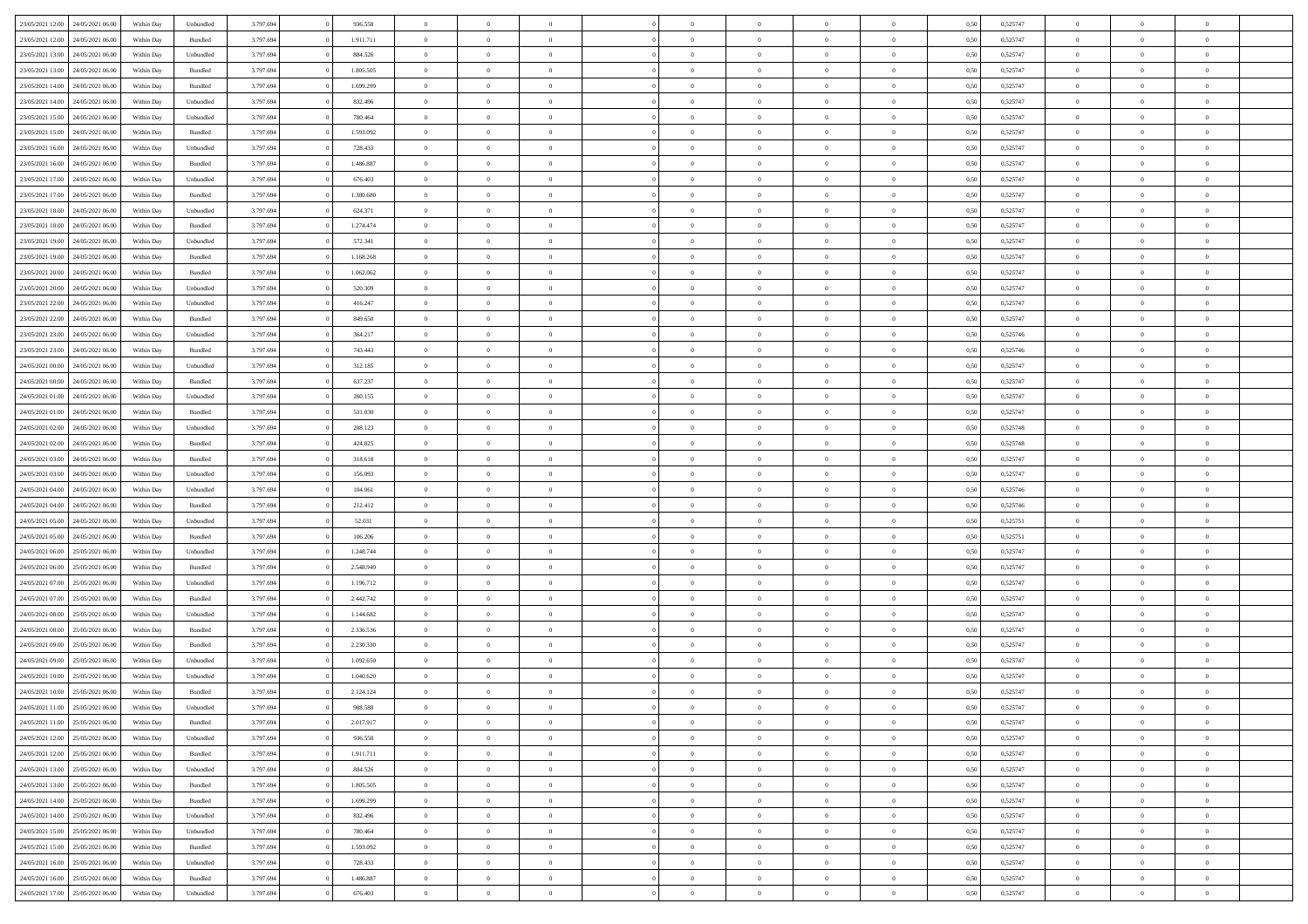| 23/05/2021 12:00 24/05/2021 06:00    | Within Day | Unbundled         | 3.797.694 | 936.558   | $\overline{0}$ | $\overline{0}$ |                | $\overline{0}$ | $\theta$       |                | $\theta$       | 0,50 | 0,525747 | $\theta$       | $\theta$       | $\overline{0}$ |  |
|--------------------------------------|------------|-------------------|-----------|-----------|----------------|----------------|----------------|----------------|----------------|----------------|----------------|------|----------|----------------|----------------|----------------|--|
|                                      |            |                   |           |           |                |                |                |                |                |                |                |      |          |                |                |                |  |
| 23/05/2021 12:00<br>24/05/2021 06.00 | Within Day | Bundled           | 3.797.69  | 1.911.711 | $\bf{0}$       | $\bf{0}$       | $\bf{0}$       | $\overline{0}$ | $\overline{0}$ | $\overline{0}$ | $\bf{0}$       | 0,50 | 0,525747 | $\,$ 0 $\,$    | $\bf{0}$       | $\overline{0}$ |  |
| 23/05/2021 13:00<br>24/05/2021 06:00 | Within Day | Unbundled         | 3.797.694 | 884.526   | $\overline{0}$ | $\bf{0}$       | $\overline{0}$ | $\bf{0}$       | $\bf{0}$       | $\overline{0}$ | $\bf{0}$       | 0.50 | 0,525747 | $\bf{0}$       | $\overline{0}$ | $\overline{0}$ |  |
| 23/05/2021 13:00<br>24/05/2021 06:00 | Within Day | Bundled           | 3.797.694 | 1.805.505 | $\overline{0}$ | $\overline{0}$ | $\overline{0}$ | $\overline{0}$ | $\theta$       | $\overline{0}$ | $\bf{0}$       | 0,50 | 0,525747 | $\,$ 0 $\,$    | $\theta$       | $\overline{0}$ |  |
| 23/05/2021 14:00<br>24/05/2021 06.00 | Within Day | Bundled           | 3.797.69  | 1.699.299 | $\bf{0}$       | $\overline{0}$ | $\bf{0}$       | $\overline{0}$ | $\theta$       | $\overline{0}$ | $\bf{0}$       | 0,50 | 0,525747 | $\,$ 0 $\,$    | $\bf{0}$       | $\overline{0}$ |  |
| 23/05/2021 14:00<br>24/05/2021 06.00 | Within Day | Unbundled         | 3.797.694 | 832.496   | $\overline{0}$ | $\overline{0}$ | $\overline{0}$ | $\bf{0}$       | $\overline{0}$ | $\theta$       | $\bf{0}$       | 0.50 | 0.525747 | $\bf{0}$       | $\theta$       | $\overline{0}$ |  |
| 23/05/2021 15:00<br>24/05/2021 06:00 | Within Day | Unbundled         | 3.797.694 | 780.464   | $\bf{0}$       | $\overline{0}$ | $\overline{0}$ | $\overline{0}$ | $\overline{0}$ | $\overline{0}$ | $\bf{0}$       | 0,50 | 0,525747 | $\,$ 0 $\,$    | $\theta$       | $\overline{0}$ |  |
|                                      |            |                   |           |           |                |                |                |                |                |                |                |      |          |                |                |                |  |
| 23/05/2021 15:00<br>24/05/2021 06.00 | Within Day | Bundled           | 3.797.694 | 1.593.092 | $\bf{0}$       | $\overline{0}$ | $\bf{0}$       | $\overline{0}$ | $\overline{0}$ | $\overline{0}$ | $\bf{0}$       | 0,50 | 0,525747 | $\,$ 0 $\,$    | $\bf{0}$       | $\overline{0}$ |  |
| 23/05/2021 16:00<br>24/05/2021 06:00 | Within Day | Unbundled         | 3.797.694 | 728.433   | $\overline{0}$ | $\bf{0}$       | $\overline{0}$ | $\bf{0}$       | $\overline{0}$ | $\overline{0}$ | $\bf{0}$       | 0.50 | 0.525747 | $\bf{0}$       | $\overline{0}$ | $\overline{0}$ |  |
| 23/05/2021 16:00<br>24/05/2021 06:00 | Within Day | Bundled           | 3.797.694 | 1.486.887 | $\overline{0}$ | $\bf{0}$       | $\overline{0}$ | $\overline{0}$ | $\overline{0}$ | $\overline{0}$ | $\bf{0}$       | 0,50 | 0,525747 | $\,$ 0 $\,$    | $\bf{0}$       | $\overline{0}$ |  |
| 23/05/2021 17:00<br>24/05/2021 06.00 | Within Day | Unbundled         | 3.797.69  | 676.403   | $\bf{0}$       | $\overline{0}$ | $\bf{0}$       | $\bf{0}$       | $\bf{0}$       | $\overline{0}$ | $\bf{0}$       | 0,50 | 0,525747 | $\,$ 0 $\,$    | $\bf{0}$       | $\overline{0}$ |  |
| 23/05/2021 17:00<br>24/05/2021 06:00 | Within Day | Bundled           | 3.797.694 | 1.380.680 | $\overline{0}$ | $\bf{0}$       | $\overline{0}$ | $\overline{0}$ | $\bf{0}$       | $\overline{0}$ | $\bf{0}$       | 0.50 | 0,525747 | $\bf{0}$       | $\overline{0}$ | $\bf{0}$       |  |
| 23/05/2021 18:00<br>24/05/2021 06:00 | Within Day | Unbundled         | 3.797.694 | 624.371   | $\overline{0}$ | $\overline{0}$ | $\overline{0}$ | $\overline{0}$ | $\theta$       | $\overline{0}$ | $\bf{0}$       | 0,50 | 0,525747 | $\,$ 0 $\,$    | $\theta$       | $\overline{0}$ |  |
| 23/05/2021 18:00<br>24/05/2021 06.00 | Within Day | Bundled           | 3.797.69  | 1.274.474 | $\bf{0}$       | $\overline{0}$ | $\bf{0}$       | $\overline{0}$ | $\bf{0}$       | $\overline{0}$ | $\bf{0}$       | 0,50 | 0,525747 | $\,$ 0 $\,$    | $\bf{0}$       | $\overline{0}$ |  |
|                                      |            |                   |           |           |                |                |                |                |                |                |                |      |          |                |                |                |  |
| 23/05/2021 19:00<br>24/05/2021 06.00 | Within Day | Unbundled         | 3.797.694 | 572.341   | $\overline{0}$ | $\overline{0}$ | $\overline{0}$ | $\bf{0}$       | $\overline{0}$ | $\theta$       | $\bf{0}$       | 0.50 | 0.525747 | $\bf{0}$       | $\theta$       | $\overline{0}$ |  |
| 23/05/2021 19:00<br>24/05/2021 06:00 | Within Day | Bundled           | 3.797.694 | 1.168.268 | $\bf{0}$       | $\overline{0}$ | $\overline{0}$ | $\overline{0}$ | $\overline{0}$ | $\overline{0}$ | $\bf{0}$       | 0,50 | 0,525747 | $\,$ 0 $\,$    | $\theta$       | $\overline{0}$ |  |
| 23/05/2021 20:00<br>24/05/2021 06.00 | Within Day | Bundled           | 3.797.694 | 1.062.062 | $\bf{0}$       | $\overline{0}$ | $\bf{0}$       | $\overline{0}$ | $\bf{0}$       | $\overline{0}$ | $\bf{0}$       | 0,50 | 0,525747 | $\,$ 0 $\,$    | $\bf{0}$       | $\overline{0}$ |  |
| 23/05/2021 20:00<br>24/05/2021 06:00 | Within Day | Unbundled         | 3.797.694 | 520,309   | $\overline{0}$ | $\bf{0}$       | $\overline{0}$ | $\bf{0}$       | $\bf{0}$       | $\overline{0}$ | $\bf{0}$       | 0.50 | 0.525747 | $\bf{0}$       | $\overline{0}$ | $\overline{0}$ |  |
| 23/05/2021 22:00<br>24/05/2021 06:00 | Within Day | Unbundled         | 3.797.694 | 416.247   | $\bf{0}$       | $\bf{0}$       | $\overline{0}$ | $\overline{0}$ | $\overline{0}$ | $\overline{0}$ | $\bf{0}$       | 0,50 | 0,525747 | $\,$ 0 $\,$    | $\bf{0}$       | $\overline{0}$ |  |
| 23/05/2021 22:00<br>24/05/2021 06.00 | Within Day | Bundled           | 3.797.69  | 849.650   | $\bf{0}$       | $\bf{0}$       | $\bf{0}$       | $\bf{0}$       | $\overline{0}$ | $\overline{0}$ | $\bf{0}$       | 0,50 | 0,525747 | $\,$ 0 $\,$    | $\bf{0}$       | $\overline{0}$ |  |
| 23/05/2021 23:00<br>24/05/2021 06:00 | Within Day | Unbundled         | 3.797.694 | 364.217   | $\overline{0}$ | $\bf{0}$       | $\overline{0}$ | $\overline{0}$ | $\bf{0}$       | $\overline{0}$ | $\bf{0}$       | 0.50 | 0,525746 | $\bf{0}$       | $\overline{0}$ | $\bf{0}$       |  |
| 23/05/2021 23:00<br>24/05/2021 06:00 | Within Day | Bundled           | 3.797.694 | 743.443   | $\overline{0}$ | $\overline{0}$ | $\overline{0}$ | $\overline{0}$ | $\theta$       | $\overline{0}$ | $\bf{0}$       | 0,50 | 0,525746 | $\,$ 0 $\,$    | $\theta$       | $\overline{0}$ |  |
| 24/05/2021 06.00                     | Within Day | Unbundled         | 3.797.69  | 312.185   | $\bf{0}$       | $\overline{0}$ | $\bf{0}$       | $\bf{0}$       | $\overline{0}$ | $\overline{0}$ | $\bf{0}$       | 0,50 | 0,525747 | $\,$ 0 $\,$    | $\bf{0}$       | $\overline{0}$ |  |
| 24/05/2021 00:00                     |            |                   |           |           |                |                |                |                |                |                |                |      |          |                |                |                |  |
| 24/05/2021 00:00<br>24/05/2021 06.00 | Within Day | Bundled           | 3.797.694 | 637.237   | $\overline{0}$ | $\overline{0}$ | $\overline{0}$ | $\bf{0}$       | $\overline{0}$ | $\theta$       | $\bf{0}$       | 0.50 | 0.525747 | $\bf{0}$       | $\theta$       | $\overline{0}$ |  |
| 24/05/2021 01:00<br>24/05/2021 06:00 | Within Day | Unbundled         | 3.797.694 | 260.155   | $\bf{0}$       | $\overline{0}$ | $\overline{0}$ | $\overline{0}$ | $\overline{0}$ | $\overline{0}$ | $\bf{0}$       | 0,50 | 0,525747 | $\,$ 0 $\,$    | $\theta$       | $\overline{0}$ |  |
| 24/05/2021 01:00<br>24/05/2021 06.00 | Within Day | Bundled           | 3.797.694 | 531.030   | $\bf{0}$       | $\overline{0}$ | $\bf{0}$       | $\overline{0}$ | $\bf{0}$       | $\overline{0}$ | $\bf{0}$       | 0,50 | 0,525747 | $\,$ 0 $\,$    | $\theta$       | $\overline{0}$ |  |
| 24/05/2021 02:00<br>24/05/2021 06:00 | Within Day | Unbundled         | 3.797.694 | 208.123   | $\overline{0}$ | $\bf{0}$       | $\overline{0}$ | $\bf{0}$       | $\overline{0}$ | $\overline{0}$ | $\bf{0}$       | 0.50 | 0.525748 | $\bf{0}$       | $\overline{0}$ | $\overline{0}$ |  |
| 24/05/2021 02:00<br>24/05/2021 06:00 | Within Day | Bundled           | 3.797.694 | 424.825   | $\overline{0}$ | $\bf{0}$       | $\overline{0}$ | $\overline{0}$ | $\overline{0}$ | $\overline{0}$ | $\bf{0}$       | 0,50 | 0,525748 | $\,$ 0 $\,$    | $\bf{0}$       | $\overline{0}$ |  |
| 24/05/2021 03:00<br>24/05/2021 06.00 | Within Day | Bundled           | 3.797.69  | 318.618   | $\bf{0}$       | $\bf{0}$       | $\bf{0}$       | $\bf{0}$       | $\overline{0}$ | $\overline{0}$ | $\bf{0}$       | 0,50 | 0,525747 | $\,$ 0 $\,$    | $\bf{0}$       | $\overline{0}$ |  |
| 24/05/2021 03:00<br>24/05/2021 06:00 | Within Day | Unbundled         | 3.797.694 | 156.093   | $\overline{0}$ | $\bf{0}$       | $\overline{0}$ | $\bf{0}$       | $\bf{0}$       | $\overline{0}$ | $\bf{0}$       | 0.50 | 0,525747 | $\bf{0}$       | $\overline{0}$ | $\overline{0}$ |  |
| 24/05/2021 04:00<br>24/05/2021 06:00 | Within Day | Unbundled         | 3.797.694 | 104.061   | $\overline{0}$ | $\overline{0}$ | $\overline{0}$ | $\overline{0}$ | $\overline{0}$ | $\overline{0}$ | $\bf{0}$       | 0.50 | 0,525746 | $\theta$       | $\theta$       | $\overline{0}$ |  |
| 24/05/2021 06.00                     | Within Day | Bundled           | 3.797.694 | 212.412   | $\bf{0}$       | $\overline{0}$ | $\bf{0}$       | $\bf{0}$       | $\overline{0}$ | $\overline{0}$ | $\bf{0}$       | 0,50 | 0,525746 | $\,$ 0 $\,$    | $\bf{0}$       | $\overline{0}$ |  |
| 24/05/2021 04:00                     |            |                   |           |           |                |                |                |                |                |                |                |      |          |                |                |                |  |
| 24/05/2021 05:00<br>24/05/2021 06.00 | Within Day | Unbundled         | 3.797.694 | 52.031    | $\overline{0}$ | $\overline{0}$ | $\overline{0}$ | $\bf{0}$       | $\overline{0}$ | $\overline{0}$ | $\bf{0}$       | 0.50 | 0,525751 | $\,$ 0 $\,$    | $\theta$       | $\overline{0}$ |  |
| 24/05/2021 05:00<br>24/05/2021 06:00 | Within Day | Bundled           | 3.797.694 | 106.206   | $\overline{0}$ | $\overline{0}$ | $\overline{0}$ | $\overline{0}$ | $\overline{0}$ | $\overline{0}$ | $\overline{0}$ | 0.50 | 0,525751 | $\theta$       | $\theta$       | $\overline{0}$ |  |
| 24/05/2021 06:00<br>25/05/2021 06.00 | Within Day | Unbundled         | 3.797.694 | 1.248.744 | $\bf{0}$       | $\overline{0}$ | $\bf{0}$       | $\bf{0}$       | $\bf{0}$       | $\overline{0}$ | $\bf{0}$       | 0,50 | 0,525747 | $\,$ 0 $\,$    | $\bf{0}$       | $\overline{0}$ |  |
| 24/05/2021 06:00<br>25/05/2021 06:00 | Within Day | Bundled           | 3.797.694 | 2.548.949 | $\overline{0}$ | $\bf{0}$       | $\overline{0}$ | $\bf{0}$       | $\overline{0}$ | $\overline{0}$ | $\bf{0}$       | 0.50 | 0.525747 | $\bf{0}$       | $\overline{0}$ | $\overline{0}$ |  |
| 24/05/2021 07:00<br>25/05/2021 06:00 | Within Day | Unbundled         | 3.797.694 | 1.196.712 | $\overline{0}$ | $\overline{0}$ | $\overline{0}$ | $\overline{0}$ | $\overline{0}$ | $\overline{0}$ | $\overline{0}$ | 0.50 | 0,525747 | $\theta$       | $\theta$       | $\overline{0}$ |  |
| 24/05/2021 07:00<br>25/05/2021 06.00 | Within Day | Bundled           | 3.797.69  | 2.442.742 | $\bf{0}$       | $\bf{0}$       | $\bf{0}$       | $\bf{0}$       | $\overline{0}$ | $\overline{0}$ | $\bf{0}$       | 0,50 | 0,525747 | $\,$ 0 $\,$    | $\bf{0}$       | $\overline{0}$ |  |
| 24/05/2021 08:00<br>25/05/2021 06:00 | Within Day | Unbundled         | 3.797.694 | 1.144.682 | $\overline{0}$ | $\bf{0}$       | $\overline{0}$ | $\overline{0}$ | $\bf{0}$       | $\overline{0}$ | $\bf{0}$       | 0.50 | 0,525747 | $\bf{0}$       | $\overline{0}$ | $\overline{0}$ |  |
| 24/05/2021 08:00<br>25/05/2021 06:00 | Within Day | Bundled           | 3.797.694 | 2.336.536 | $\overline{0}$ | $\overline{0}$ | $\overline{0}$ | $\overline{0}$ | $\overline{0}$ | $\overline{0}$ | $\bf{0}$       | 0.50 | 0,525747 | $\theta$       | $\theta$       | $\overline{0}$ |  |
| 25/05/2021 06.00                     | Within Day | Bundled           | 3.797.694 | 2.230.330 | $\bf{0}$       | $\overline{0}$ | $\bf{0}$       | $\bf{0}$       | $\overline{0}$ | $\overline{0}$ | $\bf{0}$       | 0,50 | 0,525747 | $\,$ 0 $\,$    | $\bf{0}$       | $\overline{0}$ |  |
| 24/05/2021 09:00                     |            |                   |           |           |                |                |                |                |                |                |                |      |          |                |                |                |  |
| 24/05/2021 09:00<br>25/05/2021 06.00 | Within Day | Unbundled         | 3.797.694 | 1.092.650 | $\overline{0}$ | $\overline{0}$ | $\overline{0}$ | $\overline{0}$ | $\overline{0}$ | $\Omega$       | $\bf{0}$       | 0.50 | 0,525747 | $\bf{0}$       | $\theta$       | $\overline{0}$ |  |
| 24/05/2021 10:00<br>25/05/2021 06:00 | Within Day | Unbundled         | 3.797.694 | 1.040.620 | $\overline{0}$ | $\overline{0}$ | $\overline{0}$ | $\overline{0}$ | $\theta$       | $\overline{0}$ | $\overline{0}$ | 0.50 | 0,525747 | $\theta$       | $\theta$       | $\overline{0}$ |  |
| 24/05/2021 10:00<br>25/05/2021 06:00 | Within Day | Bundled           | 3.797.694 | 2.124.124 | $\bf{0}$       | $\bf{0}$       | $\bf{0}$       | $\bf{0}$       | $\bf{0}$       | $\overline{0}$ | $\bf{0}$       | 0,50 | 0,525747 | $\,$ 0 $\,$    | $\bf{0}$       | $\overline{0}$ |  |
| 24/05/2021 11:00 25/05/2021 06:00    | Within Day | ${\sf Unbundred}$ | 3.797.694 | 988 588   | $\overline{0}$ | $\Omega$       |                | $\overline{0}$ | $\Omega$       |                |                | 0,50 | 0,525747 | $\theta$       | $\bf{0}$       |                |  |
| 24/05/2021 11:00 25/05/2021 06:00    | Within Day | Bundled           | 3.797.694 | 2.017.917 | $\overline{0}$ | $\overline{0}$ | $\overline{0}$ | $\overline{0}$ | $\overline{0}$ | $\overline{0}$ | $\bf{0}$       | 0,50 | 0,525747 | $\theta$       | $\overline{0}$ | $\overline{0}$ |  |
| 24/05/2021 12:00<br>25/05/2021 06:00 | Within Day | Unbundled         | 3.797.694 | 936.558   | $\overline{0}$ | $\bf{0}$       | $\overline{0}$ | $\overline{0}$ | $\bf{0}$       | $\overline{0}$ | $\bf{0}$       | 0,50 | 0,525747 | $\bf{0}$       | $\overline{0}$ | $\bf{0}$       |  |
| 24/05/2021 12:00 25/05/2021 06:00    | Within Day | Bundled           | 3.797.694 | 1.911.711 | $\overline{0}$ | $\overline{0}$ | $\overline{0}$ | $\overline{0}$ | $\mathbf{0}$   | $\overline{0}$ | $\,$ 0 $\,$    | 0.50 | 0,525747 | $\overline{0}$ | $\bf{0}$       | $\,$ 0 $\,$    |  |
| 24/05/2021 13:00 25/05/2021 06:00    | Within Day | Unbundled         | 3.797.694 | 884.526   | $\overline{0}$ | $\overline{0}$ | $\overline{0}$ | $\overline{0}$ | $\overline{0}$ | $\overline{0}$ | $\bf{0}$       | 0,50 | 0,525747 | $\overline{0}$ | $\theta$       | $\overline{0}$ |  |
| 24/05/2021 13:00<br>25/05/2021 06:00 | Within Day | Bundled           | 3.797.694 | 1.805.505 | $\overline{0}$ | $\bf{0}$       | $\overline{0}$ | $\overline{0}$ | $\bf{0}$       | $\overline{0}$ | $\bf{0}$       | 0,50 | 0,525747 | $\bf{0}$       | $\overline{0}$ | $\overline{0}$ |  |
|                                      |            |                   |           |           |                |                |                |                |                |                |                |      |          |                |                |                |  |
| 24/05/2021 14:00<br>25/05/2021 06:00 | Within Day | Bundled           | 3.797.694 | 1.699.299 | $\overline{0}$ | $\bf{0}$       | $\overline{0}$ | $\overline{0}$ | $\bf{0}$       | $\overline{0}$ | $\bf{0}$       | 0.50 | 0.525747 | $\,$ 0 $\,$    | $\overline{0}$ | $\,$ 0         |  |
| 24/05/2021 14:00<br>25/05/2021 06:00 | Within Day | Unbundled         | 3.797.694 | 832.496   | $\overline{0}$ | $\overline{0}$ | $\overline{0}$ | $\overline{0}$ | $\overline{0}$ | $\overline{0}$ | $\bf{0}$       | 0,50 | 0,525747 | $\overline{0}$ | $\theta$       | $\overline{0}$ |  |
| 25/05/2021 06:00<br>24/05/2021 15:00 | Within Day | Unbundled         | 3.797.694 | 780.464   | $\overline{0}$ | $\overline{0}$ | $\overline{0}$ | $\overline{0}$ | $\overline{0}$ | $\overline{0}$ | $\bf{0}$       | 0,50 | 0,525747 | $\bf{0}$       | $\overline{0}$ | $\,$ 0         |  |
| 24/05/2021 15:00 25/05/2021 06:00    | Within Day | Bundled           | 3.797.694 | 1.593.092 | $\overline{0}$ | $\overline{0}$ | $\overline{0}$ | $\overline{0}$ | $\overline{0}$ | $\overline{0}$ | $\bf{0}$       | 0.50 | 0.525747 | $\mathbf{0}$   | $\bf{0}$       | $\,$ 0         |  |
| 24/05/2021 16:00 25/05/2021 06:00    | Within Day | Unbundled         | 3.797.694 | 728.433   | $\overline{0}$ | $\overline{0}$ | $\overline{0}$ | $\overline{0}$ | $\overline{0}$ | $\overline{0}$ | $\bf{0}$       | 0,50 | 0,525747 | $\overline{0}$ | $\overline{0}$ | $\overline{0}$ |  |
| 24/05/2021 16:00<br>25/05/2021 06.00 | Within Day | Bundled           | 3.797.694 | 1.486.887 | $\overline{0}$ | $\bf{0}$       | $\overline{0}$ | $\overline{0}$ | $\overline{0}$ | $\overline{0}$ | $\bf{0}$       | 0,50 | 0,525747 | $\bf{0}$       | $\overline{0}$ | $\bf{0}$       |  |
| 24/05/2021 17:00 25/05/2021 06:00    | Within Day | ${\sf Unbundred}$ | 3.797.694 | 676.403   | $\,$ 0 $\,$    | $\bf{0}$       | $\overline{0}$ | $\overline{0}$ | $\,$ 0 $\,$    | $\,$ 0 $\,$    | $\,$ 0 $\,$    | 0,50 | 0,525747 | $\,$ 0 $\,$    | $\,$ 0 $\,$    | $\,$ 0 $\,$    |  |
|                                      |            |                   |           |           |                |                |                |                |                |                |                |      |          |                |                |                |  |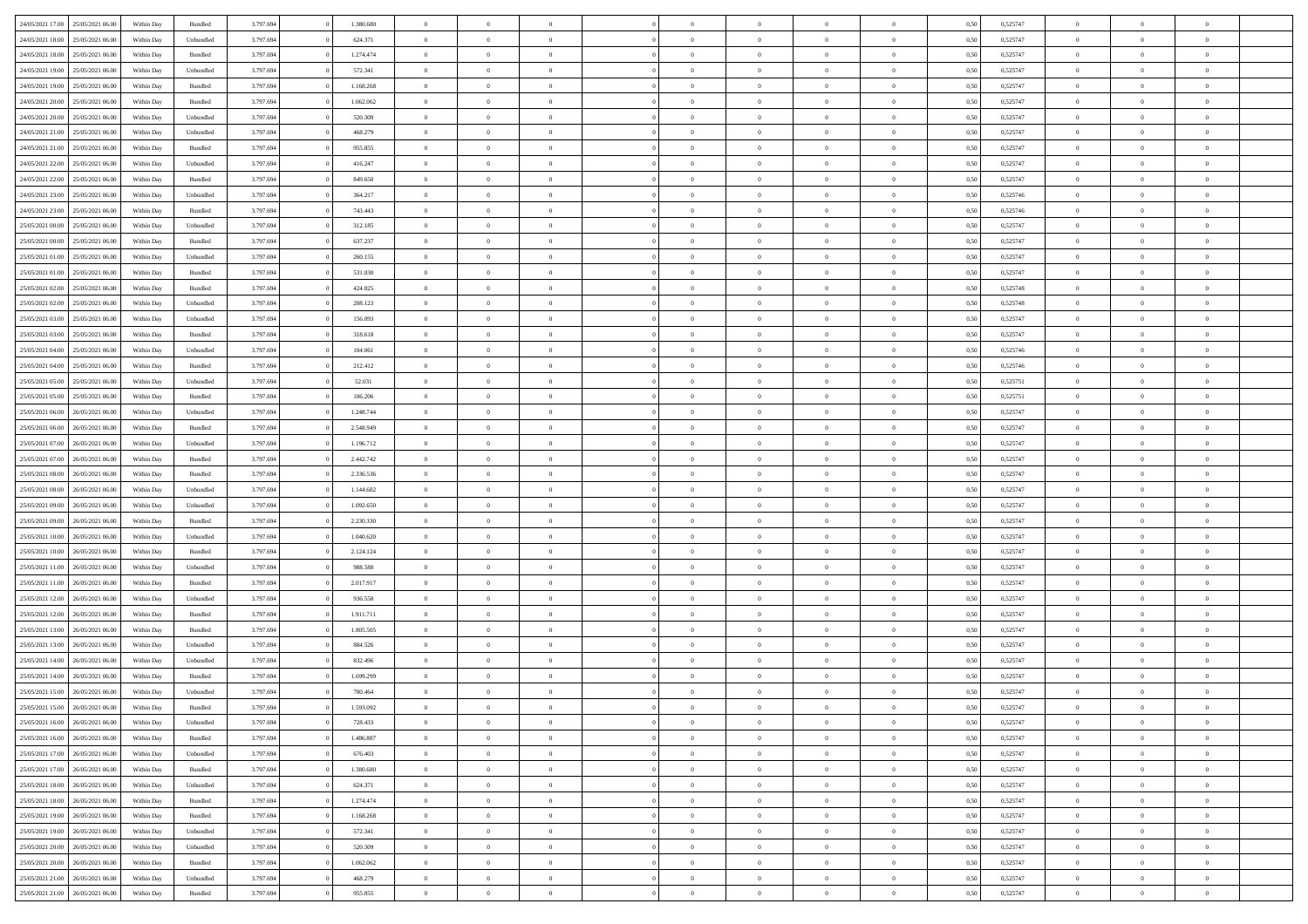| 24/05/2021 17:00 | 25/05/2021 06:00 | Within Day | Bundled            | 3.797.694 | 1.380.680 | $\overline{0}$ | $\Omega$       |                | $\Omega$       | $\Omega$       | $\theta$       | $\theta$       | 0,50 | 0,525747 | $\theta$       | $\theta$       | $\theta$       |  |
|------------------|------------------|------------|--------------------|-----------|-----------|----------------|----------------|----------------|----------------|----------------|----------------|----------------|------|----------|----------------|----------------|----------------|--|
| 24/05/2021 18:00 | 25/05/2021 06:00 | Within Day | Unbundled          | 3.797.694 | 624.371   | $\overline{0}$ | $\theta$       | $\overline{0}$ | $\overline{0}$ | $\bf{0}$       | $\overline{0}$ | $\bf{0}$       | 0,50 | 0,525747 | $\theta$       | $\overline{0}$ | $\overline{0}$ |  |
| 24/05/2021 18:00 | 25/05/2021 06:00 | Within Day | Bundled            | 3.797.694 | 1.274.474 | $\overline{0}$ | $\bf{0}$       | $\overline{0}$ | $\bf{0}$       | $\bf{0}$       | $\bf{0}$       | $\mathbf{0}$   | 0,50 | 0,525747 | $\overline{0}$ | $\overline{0}$ | $\overline{0}$ |  |
| 24/05/2021 19:00 | 25/05/2021 06:00 | Within Dav | Unbundled          | 3.797.694 | 572.341   | $\overline{0}$ | $\overline{0}$ | $\overline{0}$ | $\overline{0}$ | $\bf{0}$       | $\overline{0}$ | $\overline{0}$ | 0.50 | 0,525747 | $\theta$       | $\theta$       | $\overline{0}$ |  |
| 24/05/2021 19:00 | 25/05/2021 06:00 | Within Day | Bundled            | 3.797.694 | 1.168.268 | $\overline{0}$ | $\theta$       | $\overline{0}$ | $\overline{0}$ | $\bf{0}$       | $\overline{0}$ | $\bf{0}$       | 0,50 | 0,525747 | $\theta$       | $\overline{0}$ | $\overline{0}$ |  |
|                  |                  |            |                    |           |           |                |                |                |                |                |                |                |      |          |                |                |                |  |
| 24/05/2021 20:00 | 25/05/2021 06:00 | Within Day | Bundled            | 3.797.694 | 1.062.062 | $\overline{0}$ | $\overline{0}$ | $\overline{0}$ | $\bf{0}$       | $\overline{0}$ | $\overline{0}$ | $\mathbf{0}$   | 0,50 | 0,525747 | $\overline{0}$ | $\overline{0}$ | $\bf{0}$       |  |
| 24/05/2021 20:00 | 25/05/2021 06:00 | Within Dav | Unbundled          | 3.797.694 | 520.309   | $\overline{0}$ | $\overline{0}$ | $\overline{0}$ | $\overline{0}$ | $\overline{0}$ | $\overline{0}$ | $\overline{0}$ | 0.50 | 0,525747 | $\theta$       | $\overline{0}$ | $\overline{0}$ |  |
| 24/05/2021 21:00 | 25/05/2021 06:00 | Within Day | Unbundled          | 3.797.694 | 468.279   | $\overline{0}$ | $\theta$       | $\overline{0}$ | $\overline{0}$ | $\bf{0}$       | $\overline{0}$ | $\bf{0}$       | 0,50 | 0,525747 | $\theta$       | $\theta$       | $\overline{0}$ |  |
| 24/05/2021 21:00 | 25/05/2021 06:00 | Within Day | Bundled            | 3.797.694 | 955.855   | $\overline{0}$ | $\overline{0}$ | $\overline{0}$ | $\bf{0}$       | $\bf{0}$       | $\bf{0}$       | $\bf{0}$       | 0,50 | 0,525747 | $\,0\,$        | $\overline{0}$ | $\overline{0}$ |  |
| 24/05/2021 22.00 | 25/05/2021 06:00 | Within Dav | Unbundled          | 3.797.694 | 416.247   | $\overline{0}$ | $\overline{0}$ | $\overline{0}$ | $\overline{0}$ | $\overline{0}$ | $\overline{0}$ | $\overline{0}$ | 0.50 | 0,525747 | $\theta$       | $\overline{0}$ | $\overline{0}$ |  |
| 24/05/2021 22:00 | 25/05/2021 06:00 | Within Day | Bundled            | 3.797.694 | 849.650   | $\overline{0}$ | $\theta$       | $\overline{0}$ | $\overline{0}$ | $\bf{0}$       | $\overline{0}$ | $\bf{0}$       | 0,50 | 0,525747 | $\,$ 0 $\,$    | $\overline{0}$ | $\overline{0}$ |  |
| 24/05/2021 23:00 | 25/05/2021 06:00 | Within Day | Unbundled          | 3.797.694 | 364.217   | $\overline{0}$ | $\bf{0}$       | $\overline{0}$ | $\bf{0}$       | $\bf{0}$       | $\bf{0}$       | $\mathbf{0}$   | 0,50 | 0,525746 | $\overline{0}$ | $\overline{0}$ | $\bf{0}$       |  |
| 24/05/2021 23:00 | 25/05/2021 06:00 | Within Day | Bundled            | 3.797.694 | 743,443   | $\overline{0}$ | $\overline{0}$ | $\overline{0}$ | $\overline{0}$ | $\bf{0}$       | $\overline{0}$ | $\overline{0}$ | 0.50 | 0,525746 | $\theta$       | $\theta$       | $\overline{0}$ |  |
|                  |                  |            |                    |           |           |                |                |                |                |                |                |                |      |          |                |                |                |  |
| 25/05/2021 00:00 | 25/05/2021 06:00 | Within Day | Unbundled          | 3.797.694 | 312.185   | $\overline{0}$ | $\theta$       | $\overline{0}$ | $\overline{0}$ | $\bf{0}$       | $\overline{0}$ | $\bf{0}$       | 0,50 | 0,525747 | $\theta$       | $\overline{0}$ | $\overline{0}$ |  |
| 25/05/2021 00:00 | 25/05/2021 06:00 | Within Day | Bundled            | 3.797.694 | 637.237   | $\overline{0}$ | $\overline{0}$ | $\overline{0}$ | $\bf{0}$       | $\overline{0}$ | $\overline{0}$ | $\mathbf{0}$   | 0,50 | 0,525747 | $\overline{0}$ | $\overline{0}$ | $\bf{0}$       |  |
| 25/05/2021 01:00 | 25/05/2021 06:00 | Within Dav | Unbundled          | 3.797.694 | 260.155   | $\overline{0}$ | $\overline{0}$ | $\overline{0}$ | $\overline{0}$ | $\overline{0}$ | $\overline{0}$ | $\overline{0}$ | 0.50 | 0,525747 | $\theta$       | $\overline{0}$ | $\overline{0}$ |  |
| 25/05/2021 01:00 | 25/05/2021 06:00 | Within Day | Bundled            | 3.797.694 | 531.030   | $\overline{0}$ | $\theta$       | $\overline{0}$ | $\overline{0}$ | $\bf{0}$       | $\overline{0}$ | $\bf{0}$       | 0,50 | 0,525747 | $\theta$       | $\theta$       | $\overline{0}$ |  |
| 25/05/2021 02:00 | 25/05/2021 06:00 | Within Day | Bundled            | 3.797.694 | 424.825   | $\overline{0}$ | $\overline{0}$ | $\overline{0}$ | $\bf{0}$       | $\bf{0}$       | $\bf{0}$       | $\mathbf{0}$   | 0,50 | 0,525748 | $\,0\,$        | $\overline{0}$ | $\overline{0}$ |  |
| 25/05/2021 02:00 | 25/05/2021 06:00 | Within Dav | Unbundled          | 3.797.694 | 208.123   | $\overline{0}$ | $\overline{0}$ | $\overline{0}$ | $\overline{0}$ | $\overline{0}$ | $\overline{0}$ | $\overline{0}$ | 0.50 | 0,525748 | $\theta$       | $\overline{0}$ | $\overline{0}$ |  |
| 25/05/2021 03:00 | 25/05/2021 06:00 | Within Day | Unbundled          | 3.797.694 | 156.093   | $\overline{0}$ | $\theta$       | $\overline{0}$ | $\overline{0}$ | $\bf{0}$       | $\overline{0}$ | $\bf{0}$       | 0,50 | 0,525747 | $\,$ 0 $\,$    | $\overline{0}$ | $\overline{0}$ |  |
|                  |                  |            |                    |           |           |                |                |                |                |                |                |                |      |          |                |                |                |  |
| 25/05/2021 03:00 | 25/05/2021 06:00 | Within Day | Bundled            | 3.797.694 | 318.618   | $\overline{0}$ | $\overline{0}$ | $\overline{0}$ | $\bf{0}$       | $\bf{0}$       | $\bf{0}$       | $\mathbf{0}$   | 0,50 | 0,525747 | $\bf{0}$       | $\overline{0}$ | $\bf{0}$       |  |
| 25/05/2021 04:00 | 25/05/2021 06:00 | Within Day | Unbundled          | 3.797.694 | 104.061   | $\overline{0}$ | $\overline{0}$ | $\overline{0}$ | $\overline{0}$ | $\bf{0}$       | $\overline{0}$ | $\overline{0}$ | 0.50 | 0,525746 | $\theta$       | $\overline{0}$ | $\overline{0}$ |  |
| 25/05/2021 04:00 | 25/05/2021 06:00 | Within Day | Bundled            | 3.797.694 | 212.412   | $\overline{0}$ | $\theta$       | $\overline{0}$ | $\overline{0}$ | $\bf{0}$       | $\overline{0}$ | $\bf{0}$       | 0,50 | 0,525746 | $\,$ 0 $\,$    | $\overline{0}$ | $\overline{0}$ |  |
| 25/05/2021 05:00 | 25/05/2021 06:00 | Within Day | Unbundled          | 3.797.694 | 52.031    | $\overline{0}$ | $\overline{0}$ | $\overline{0}$ | $\bf{0}$       | $\overline{0}$ | $\overline{0}$ | $\mathbf{0}$   | 0,50 | 0,525751 | $\overline{0}$ | $\overline{0}$ | $\bf{0}$       |  |
| 25/05/2021 05:00 | 25/05/2021 06:00 | Within Dav | Bundled            | 3.797.694 | 106.206   | $\overline{0}$ | $\overline{0}$ | $\overline{0}$ | $\overline{0}$ | $\overline{0}$ | $\overline{0}$ | $\overline{0}$ | 0.50 | 0,525751 | $\theta$       | $\overline{0}$ | $\overline{0}$ |  |
| 25/05/2021 06:00 | 26/05/2021 06:00 | Within Day | Unbundled          | 3.797.694 | 1.248.744 | $\overline{0}$ | $\theta$       | $\overline{0}$ | $\overline{0}$ | $\bf{0}$       | $\overline{0}$ | $\bf{0}$       | 0,50 | 0,525747 | $\theta$       | $\theta$       | $\overline{0}$ |  |
| 25/05/2021 06:00 | 26/05/2021 06:00 | Within Day | Bundled            | 3.797.694 | 2.548.949 | $\overline{0}$ | $\overline{0}$ | $\overline{0}$ | $\bf{0}$       | $\bf{0}$       | $\bf{0}$       | $\bf{0}$       | 0,50 | 0,525747 | $\,0\,$        | $\overline{0}$ | $\overline{0}$ |  |
|                  | 26/05/2021 06:00 |            | Unbundled          | 3.797.694 | 1.196.712 | $\overline{0}$ | $\overline{0}$ | $\overline{0}$ | $\overline{0}$ | $\overline{0}$ | $\overline{0}$ | $\overline{0}$ | 0.50 | 0,525747 | $\theta$       | $\overline{0}$ | $\overline{0}$ |  |
| 25/05/2021 07:00 |                  | Within Day |                    |           |           |                |                |                |                |                |                |                |      |          |                |                |                |  |
| 25/05/2021 07:00 | 26/05/2021 06:00 | Within Day | Bundled            | 3.797.694 | 2.442.742 | $\overline{0}$ | $\theta$       | $\overline{0}$ | $\overline{0}$ | $\bf{0}$       | $\overline{0}$ | $\bf{0}$       | 0,50 | 0,525747 | $\,$ 0 $\,$    | $\overline{0}$ | $\overline{0}$ |  |
| 25/05/2021 08:00 | 26/05/2021 06:00 | Within Day | Bundled            | 3.797.694 | 2.336.536 | $\overline{0}$ | $\overline{0}$ | $\overline{0}$ | $\bf{0}$       | $\bf{0}$       | $\bf{0}$       | $\bf{0}$       | 0,50 | 0,525747 | $\overline{0}$ | $\overline{0}$ | $\bf{0}$       |  |
| 25/05/2021 08:00 | 26/05/2021 06:00 | Within Day | Unbundled          | 3.797.694 | 1.144.682 | $\overline{0}$ | $\Omega$       | $\Omega$       | $\Omega$       | $\Omega$       | $\overline{0}$ | $\overline{0}$ | 0,50 | 0,525747 | $\,0\,$        | $\theta$       | $\theta$       |  |
| 25/05/2021 09:00 | 26/05/2021 06:00 | Within Day | Unbundled          | 3.797.694 | 1.092.650 | $\overline{0}$ | $\theta$       | $\overline{0}$ | $\overline{0}$ | $\bf{0}$       | $\overline{0}$ | $\bf{0}$       | 0,50 | 0,525747 | $\theta$       | $\overline{0}$ | $\overline{0}$ |  |
| 25/05/2021 09:00 | 26/05/2021 06:00 | Within Day | Bundled            | 3.797.694 | 2.230.330 | $\overline{0}$ | $\overline{0}$ | $\overline{0}$ | $\bf{0}$       | $\overline{0}$ | $\overline{0}$ | $\mathbf{0}$   | 0,50 | 0,525747 | $\overline{0}$ | $\overline{0}$ | $\bf{0}$       |  |
| 25/05/2021 10:00 | 26/05/2021 06:00 | Within Day | Unbundled          | 3.797.694 | 1.040.620 | $\overline{0}$ | $\Omega$       | $\Omega$       | $\Omega$       | $\bf{0}$       | $\overline{0}$ | $\overline{0}$ | 0.50 | 0,525747 | $\,0\,$        | $\theta$       | $\theta$       |  |
| 25/05/2021 10:00 | 26/05/2021 06:00 | Within Day | Bundled            | 3.797.694 | 2.124.124 | $\overline{0}$ | $\theta$       | $\overline{0}$ | $\overline{0}$ | $\bf{0}$       | $\overline{0}$ | $\bf{0}$       | 0,50 | 0,525747 | $\,$ 0 $\,$    | $\overline{0}$ | $\overline{0}$ |  |
|                  |                  |            |                    |           |           |                | $\overline{0}$ |                |                | $\bf{0}$       |                |                |      |          | $\bf{0}$       | $\overline{0}$ | $\bf{0}$       |  |
| 25/05/2021 11:00 | 26/05/2021 06:00 | Within Day | Unbundled          | 3.797.694 | 988.588   | $\overline{0}$ |                | $\overline{0}$ | $\bf{0}$       |                | $\bf{0}$       | $\bf{0}$       | 0,50 | 0,525747 |                |                |                |  |
| 25/05/2021 11:00 | 26/05/2021 06:00 | Within Day | Bundled            | 3.797.694 | 2.017.917 | $\overline{0}$ | $\Omega$       | $\Omega$       | $\Omega$       | $\theta$       | $\overline{0}$ | $\overline{0}$ | 0.50 | 0,525747 | $\,$ 0 $\,$    | $\theta$       | $\theta$       |  |
| 25/05/2021 12:00 | 26/05/2021 06:00 | Within Day | Unbundled          | 3.797.694 | 936.558   | $\overline{0}$ | $\theta$       | $\overline{0}$ | $\overline{0}$ | $\bf{0}$       | $\overline{0}$ | $\bf{0}$       | 0,50 | 0,525747 | $\,$ 0 $\,$    | $\overline{0}$ | $\overline{0}$ |  |
| 25/05/2021 12:00 | 26/05/2021 06:00 | Within Day | Bundled            | 3.797.694 | 1.911.711 | $\overline{0}$ | $\bf{0}$       | $\overline{0}$ | $\bf{0}$       | $\bf{0}$       | $\bf{0}$       | $\mathbf{0}$   | 0,50 | 0,525747 | $\overline{0}$ | $\overline{0}$ | $\bf{0}$       |  |
| 25/05/2021 13:00 | 26/05/2021 06:00 | Within Day | Bundled            | 3.797.694 | 1.805.505 | $\overline{0}$ | $\Omega$       | $\overline{0}$ | $\Omega$       | $\overline{0}$ | $\overline{0}$ | $\overline{0}$ | 0,50 | 0,525747 | $\,0\,$        | $\theta$       | $\theta$       |  |
| 25/05/2021 13:00 | 26/05/2021 06:00 | Within Day | Unbundled          | 3.797.694 | 884.526   | $\overline{0}$ | $\overline{0}$ | $\overline{0}$ | $\overline{0}$ | $\bf{0}$       | $\overline{0}$ | $\bf{0}$       | 0,50 | 0,525747 | $\,$ 0 $\,$    | $\overline{0}$ | $\overline{0}$ |  |
| 25/05/2021 14:00 | 26/05/2021 06:00 | Within Day | Unbundled          | 3.797.694 | 832.496   | $\overline{0}$ | $\overline{0}$ | $\overline{0}$ | $\bf{0}$       | $\bf{0}$       | $\bf{0}$       | $\mathbf{0}$   | 0,50 | 0,525747 | $\overline{0}$ | $\overline{0}$ | $\bf{0}$       |  |
| 25/05/2021 14:00 | 26/05/2021 06:00 | Within Day | Bundled            | 3.797.694 | 1.699.299 | $\overline{0}$ | $\Omega$       | $\Omega$       | $\Omega$       | $\Omega$       | $\Omega$       | $\overline{0}$ | 0.50 | 0,525747 | $\theta$       | $\theta$       | $\theta$       |  |
| 25/05/2021 15:00 | 26/05/2021 06:00 | Within Day | Unbundled          | 3.797.694 | 780.464   | $\overline{0}$ | $\overline{0}$ | $\overline{0}$ | $\bf{0}$       | $\,$ 0         | $\bf{0}$       | $\bf{0}$       | 0,50 | 0,525747 | $\,0\,$        | $\overline{0}$ | $\overline{0}$ |  |
| 25/05/2021 15:00 | 26/05/2021 06:00 | Within Day | $\mathbf B$ undled | 3.797.694 |           |                |                |                |                |                |                |                |      |          |                |                |                |  |
|                  |                  |            |                    |           | 1.593.092 | $\bf{0}$       | $\bf{0}$       |                |                |                |                |                | 0,50 | 0,525747 | $\bf{0}$       | $\overline{0}$ |                |  |
| 25/05/2021 16:00 | 26/05/2021 06:00 | Within Day | Unbundled          | 3.797.694 | 728.433   | $\overline{0}$ | $\overline{0}$ | $\overline{0}$ | $\Omega$       | $\overline{0}$ | $\overline{0}$ | $\overline{0}$ | 0.50 | 0,525747 | $\theta$       | $\theta$       | $\theta$       |  |
| 25/05/2021 16:00 | 26/05/2021 06:00 | Within Day | Bundled            | 3.797.694 | 1.486.887 | $\overline{0}$ | $\,$ 0         | $\overline{0}$ | $\bf{0}$       | $\,$ 0 $\,$    | $\overline{0}$ | $\mathbf{0}$   | 0,50 | 0,525747 | $\,$ 0 $\,$    | $\,$ 0 $\,$    | $\,$ 0         |  |
| 25/05/2021 17:00 | 26/05/2021 06:00 | Within Day | Unbundled          | 3.797.694 | 676.403   | $\overline{0}$ | $\overline{0}$ | $\overline{0}$ | $\overline{0}$ | $\overline{0}$ | $\overline{0}$ | $\mathbf{0}$   | 0,50 | 0,525747 | $\overline{0}$ | $\bf{0}$       | $\bf{0}$       |  |
| 25/05/2021 17:00 | 26/05/2021 06:00 | Within Day | Bundled            | 3.797.694 | 1.380.680 | $\overline{0}$ | $\overline{0}$ | $\overline{0}$ | $\Omega$       | $\overline{0}$ | $\overline{0}$ | $\overline{0}$ | 0,50 | 0,525747 | $\overline{0}$ | $\theta$       | $\overline{0}$ |  |
| 25/05/2021 18:00 | 26/05/2021 06:00 | Within Day | Unbundled          | 3.797.694 | 624.371   | $\overline{0}$ | $\,$ 0         | $\overline{0}$ | $\overline{0}$ | $\,$ 0 $\,$    | $\overline{0}$ | $\mathbf{0}$   | 0,50 | 0,525747 | $\,$ 0 $\,$    | $\overline{0}$ | $\overline{0}$ |  |
| 25/05/2021 18:00 | 26/05/2021 06:00 | Within Day | Bundled            | 3.797.694 | 1.274.474 | $\overline{0}$ | $\overline{0}$ | $\overline{0}$ | $\overline{0}$ | $\overline{0}$ | $\overline{0}$ | $\mathbf{0}$   | 0,50 | 0,525747 | $\overline{0}$ | $\overline{0}$ | $\bf{0}$       |  |
| 25/05/2021 19:00 | 26/05/2021 06:00 | Within Day | Bundled            | 3.797.694 | 1.168.268 | $\overline{0}$ | $\overline{0}$ | $\overline{0}$ | $\Omega$       | $\overline{0}$ | $\overline{0}$ | $\bf{0}$       | 0.50 | 0,525747 | $\overline{0}$ | $\theta$       | $\overline{0}$ |  |
|                  |                  |            |                    |           |           |                |                |                |                |                |                |                |      |          |                |                |                |  |
| 25/05/2021 19:00 | 26/05/2021 06:00 | Within Day | Unbundled          | 3.797.694 | 572.341   | $\overline{0}$ | $\,$ 0         | $\overline{0}$ | $\bf{0}$       | $\bf{0}$       | $\bf{0}$       | $\bf{0}$       | 0,50 | 0,525747 | $\,$ 0 $\,$    | $\overline{0}$ | $\overline{0}$ |  |
| 25/05/2021 20:00 | 26/05/2021 06:00 | Within Day | Unbundled          | 3.797.694 | 520.309   | $\overline{0}$ | $\bf{0}$       | $\overline{0}$ | $\overline{0}$ | $\overline{0}$ | $\overline{0}$ | $\mathbf{0}$   | 0,50 | 0,525747 | $\overline{0}$ | $\overline{0}$ | $\bf{0}$       |  |
| 25/05/2021 20:00 | 26/05/2021 06:00 | Within Day | Bundled            | 3.797.694 | 1.062.062 | $\overline{0}$ | $\overline{0}$ | $\overline{0}$ | $\Omega$       | $\overline{0}$ | $\overline{0}$ | $\overline{0}$ | 0.50 | 0,525747 | $\overline{0}$ | $\overline{0}$ | $\overline{0}$ |  |
| 25/05/2021 21:00 | 26/05/2021 06:00 | Within Day | Unbundled          | 3.797.694 | 468.279   | $\overline{0}$ | $\bf{0}$       | $\overline{0}$ | $\overline{0}$ | $\bf{0}$       | $\bf{0}$       | $\bf{0}$       | 0,50 | 0,525747 | $\,$ 0 $\,$    | $\,$ 0 $\,$    | $\bf{0}$       |  |
| 25/05/2021 21:00 | 26/05/2021 06:00 | Within Day | Bundled            | 3.797.694 | 955.855   | $\overline{0}$ | $\bf{0}$       | $\overline{0}$ | $\bf{0}$       | $\bf{0}$       | $\bf{0}$       | $\bf{0}$       | 0,50 | 0,525747 | $\overline{0}$ | $\overline{0}$ | $\bf{0}$       |  |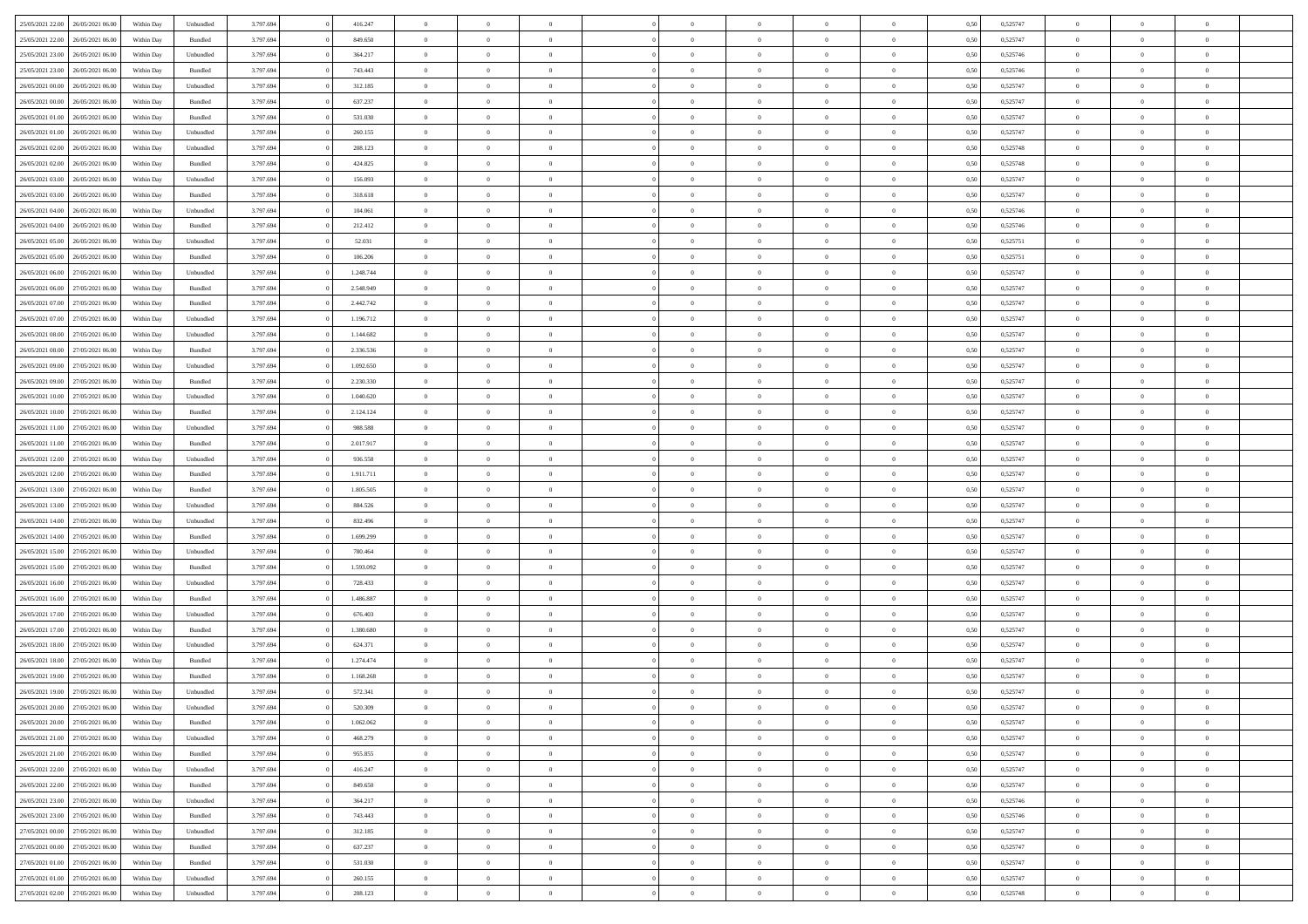| 25/05/2021 22:00                  | 26/05/2021 06:00 | Within Day | Unbundled | 3.797.694 | 416.247   | $\overline{0}$ | $\Omega$       |                | $\Omega$       | $\Omega$       | $\Omega$       | $\theta$       | 0.50 | 0,525747 | $\theta$       | $\theta$       | $\theta$       |  |
|-----------------------------------|------------------|------------|-----------|-----------|-----------|----------------|----------------|----------------|----------------|----------------|----------------|----------------|------|----------|----------------|----------------|----------------|--|
| 25/05/2021 22:00                  | 26/05/2021 06:00 | Within Day | Bundled   | 3.797.694 | 849.650   | $\overline{0}$ | $\theta$       | $\overline{0}$ | $\overline{0}$ | $\bf{0}$       | $\overline{0}$ | $\bf{0}$       | 0,50 | 0,525747 | $\theta$       | $\theta$       | $\overline{0}$ |  |
| 25/05/2021 23:00                  | 26/05/2021 06:00 | Within Day | Unbundled | 3.797.694 | 364.217   | $\overline{0}$ | $\overline{0}$ | $\overline{0}$ | $\bf{0}$       | $\bf{0}$       | $\bf{0}$       | $\bf{0}$       | 0,50 | 0,525746 | $\overline{0}$ | $\overline{0}$ | $\overline{0}$ |  |
| 25/05/2021 23:00                  | 26/05/2021 06:00 | Within Dav | Bundled   | 3.797.694 | 743,443   | $\overline{0}$ | $\theta$       | $\overline{0}$ | $\overline{0}$ | $\bf{0}$       | $\overline{0}$ | $\overline{0}$ | 0.50 | 0,525746 | $\theta$       | $\theta$       | $\overline{0}$ |  |
| 26/05/2021 00:00                  | 26/05/2021 06:00 | Within Day | Unbundled | 3.797.694 | 312.185   | $\overline{0}$ | $\theta$       | $\overline{0}$ | $\overline{0}$ | $\bf{0}$       | $\overline{0}$ | $\bf{0}$       | 0,50 | 0,525747 | $\theta$       | $\overline{0}$ | $\overline{0}$ |  |
| 26/05/2021 00:00                  | 26/05/2021 06:00 | Within Day | Bundled   | 3.797.694 | 637.237   | $\overline{0}$ | $\bf{0}$       | $\overline{0}$ | $\bf{0}$       | $\overline{0}$ | $\overline{0}$ | $\mathbf{0}$   | 0,50 | 0,525747 | $\overline{0}$ | $\overline{0}$ | $\bf{0}$       |  |
|                                   |                  |            |           |           |           |                |                |                |                | $\overline{0}$ |                |                |      |          | $\theta$       | $\overline{0}$ | $\overline{0}$ |  |
| 26/05/2021 01:00                  | 26/05/2021 06:00 | Within Dav | Bundled   | 3.797.694 | 531.030   | $\overline{0}$ | $\overline{0}$ | $\overline{0}$ | $\overline{0}$ |                | $\overline{0}$ | $\overline{0}$ | 0.50 | 0,525747 |                |                |                |  |
| 26/05/2021 01:00                  | 26/05/2021 06:00 | Within Day | Unbundled | 3.797.694 | 260.155   | $\overline{0}$ | $\theta$       | $\overline{0}$ | $\overline{0}$ | $\bf{0}$       | $\overline{0}$ | $\bf{0}$       | 0,50 | 0,525747 | $\theta$       | $\theta$       | $\overline{0}$ |  |
| 26/05/2021 02:00                  | 26/05/2021 06:00 | Within Day | Unbundled | 3.797.694 | 208.123   | $\overline{0}$ | $\overline{0}$ | $\overline{0}$ | $\bf{0}$       | $\bf{0}$       | $\bf{0}$       | $\bf{0}$       | 0,50 | 0,525748 | $\,0\,$        | $\overline{0}$ | $\overline{0}$ |  |
| 26/05/2021 02:00                  | 26/05/2021 06:00 | Within Dav | Bundled   | 3.797.694 | 424.825   | $\overline{0}$ | $\overline{0}$ | $\overline{0}$ | $\overline{0}$ | $\overline{0}$ | $\overline{0}$ | $\overline{0}$ | 0.50 | 0,525748 | $\theta$       | $\overline{0}$ | $\overline{0}$ |  |
| 26/05/2021 03:00                  | 26/05/2021 06:00 | Within Day | Unbundled | 3.797.694 | 156.093   | $\overline{0}$ | $\theta$       | $\overline{0}$ | $\overline{0}$ | $\bf{0}$       | $\overline{0}$ | $\bf{0}$       | 0,50 | 0,525747 | $\,$ 0 $\,$    | $\overline{0}$ | $\overline{0}$ |  |
| 26/05/2021 03:00                  | 26/05/2021 06:00 | Within Day | Bundled   | 3.797.694 | 318.618   | $\overline{0}$ | $\overline{0}$ | $\overline{0}$ | $\bf{0}$       | $\bf{0}$       | $\bf{0}$       | $\bf{0}$       | 0,50 | 0,525747 | $\bf{0}$       | $\overline{0}$ | $\overline{0}$ |  |
| 26/05/2021 04:00                  | 26/05/2021 06:00 | Within Day | Unbundled | 3.797.694 | 104.061   | $\overline{0}$ | $\overline{0}$ | $\overline{0}$ | $\overline{0}$ | $\bf{0}$       | $\overline{0}$ | $\overline{0}$ | 0.50 | 0,525746 | $\theta$       | $\theta$       | $\overline{0}$ |  |
| 26/05/2021 04:00                  | 26/05/2021 06:00 |            |           | 3.797.694 | 212.412   | $\overline{0}$ | $\theta$       | $\overline{0}$ | $\overline{0}$ | $\bf{0}$       | $\overline{0}$ | $\overline{0}$ |      | 0,525746 | $\theta$       | $\theta$       | $\overline{0}$ |  |
|                                   |                  | Within Day | Bundled   |           |           |                |                |                |                |                |                |                | 0,50 |          |                |                |                |  |
| 26/05/2021 05:00                  | 26/05/2021 06:00 | Within Day | Unbundled | 3.797.694 | 52.031    | $\overline{0}$ | $\bf{0}$       | $\overline{0}$ | $\bf{0}$       | $\overline{0}$ | $\overline{0}$ | $\mathbf{0}$   | 0,50 | 0,525751 | $\bf{0}$       | $\overline{0}$ | $\bf{0}$       |  |
| 26/05/2021 05:00                  | 26/05/2021 06:00 | Within Dav | Bundled   | 3.797.694 | 106.206   | $\overline{0}$ | $\overline{0}$ | $\overline{0}$ | $\overline{0}$ | $\overline{0}$ | $\overline{0}$ | $\overline{0}$ | 0.50 | 0,525751 | $\theta$       | $\overline{0}$ | $\overline{0}$ |  |
| 26/05/2021 06:00                  | 27/05/2021 06:00 | Within Day | Unbundled | 3.797.694 | 1.248.744 | $\overline{0}$ | $\theta$       | $\overline{0}$ | $\overline{0}$ | $\bf{0}$       | $\overline{0}$ | $\bf{0}$       | 0,50 | 0,525747 | $\theta$       | $\theta$       | $\overline{0}$ |  |
| 26/05/2021 06:00                  | 27/05/2021 06:00 | Within Day | Bundled   | 3.797.694 | 2.548.949 | $\overline{0}$ | $\overline{0}$ | $\overline{0}$ | $\bf{0}$       | $\bf{0}$       | $\bf{0}$       | $\bf{0}$       | 0,50 | 0,525747 | $\,0\,$        | $\overline{0}$ | $\overline{0}$ |  |
| 26/05/2021 07:00                  | 27/05/2021 06:00 | Within Day | Bundled   | 3.797.694 | 2.442.742 | $\overline{0}$ | $\overline{0}$ | $\overline{0}$ | $\overline{0}$ | $\overline{0}$ | $\overline{0}$ | $\overline{0}$ | 0.50 | 0,525747 | $\theta$       | $\overline{0}$ | $\overline{0}$ |  |
| 26/05/2021 07:00                  | 27/05/2021 06:00 | Within Day | Unbundled | 3.797.694 | 1.196.712 | $\overline{0}$ | $\theta$       | $\overline{0}$ | $\overline{0}$ | $\bf{0}$       | $\overline{0}$ | $\bf{0}$       | 0,50 | 0,525747 | $\theta$       | $\theta$       | $\overline{0}$ |  |
| 26/05/2021 08:00                  | 27/05/2021 06:00 | Within Day | Unbundled | 3.797.694 | 1.144.682 | $\overline{0}$ | $\overline{0}$ | $\overline{0}$ | $\bf{0}$       | $\bf{0}$       | $\bf{0}$       | $\bf{0}$       | 0,50 | 0,525747 | $\,0\,$        | $\overline{0}$ | $\overline{0}$ |  |
| 26/05/2021 08:00                  | 27/05/2021 06:00 |            | Bundled   | 3.797.694 | 2.336.536 | $\overline{0}$ | $\overline{0}$ | $\overline{0}$ |                | $\bf{0}$       | $\overline{0}$ |                | 0.50 | 0,525747 | $\theta$       | $\theta$       | $\overline{0}$ |  |
|                                   |                  | Within Day |           |           |           |                |                |                | $\overline{0}$ |                |                | $\overline{0}$ |      |          |                |                |                |  |
| 26/05/2021 09:00                  | 27/05/2021 06:00 | Within Day | Unbundled | 3.797.694 | 1.092.650 | $\overline{0}$ | $\theta$       | $\overline{0}$ | $\overline{0}$ | $\bf{0}$       | $\overline{0}$ | $\bf{0}$       | 0,50 | 0,525747 | $\,$ 0 $\,$    | $\overline{0}$ | $\overline{0}$ |  |
| 26/05/2021 09:00                  | 27/05/2021 06:00 | Within Day | Bundled   | 3.797.694 | 2.230.330 | $\overline{0}$ | $\bf{0}$       | $\overline{0}$ | $\bf{0}$       | $\overline{0}$ | $\overline{0}$ | $\mathbf{0}$   | 0,50 | 0,525747 | $\bf{0}$       | $\overline{0}$ | $\bf{0}$       |  |
| 26/05/2021 10:00                  | 27/05/2021 06:00 | Within Dav | Unbundled | 3.797.694 | 1.040.620 | $\overline{0}$ | $\overline{0}$ | $\overline{0}$ | $\overline{0}$ | $\overline{0}$ | $\overline{0}$ | $\overline{0}$ | 0.50 | 0,525747 | $\theta$       | $\overline{0}$ | $\overline{0}$ |  |
| 26/05/2021 10:00                  | 27/05/2021 06:00 | Within Day | Bundled   | 3.797.694 | 2.124.124 | $\overline{0}$ | $\theta$       | $\overline{0}$ | $\overline{0}$ | $\bf{0}$       | $\overline{0}$ | $\bf{0}$       | 0,50 | 0,525747 | $\theta$       | $\theta$       | $\overline{0}$ |  |
| 26/05/2021 11:00                  | 27/05/2021 06:00 | Within Day | Unbundled | 3.797.694 | 988.588   | $\overline{0}$ | $\overline{0}$ | $\overline{0}$ | $\bf{0}$       | $\bf{0}$       | $\bf{0}$       | $\bf{0}$       | 0,50 | 0,525747 | $\,0\,$        | $\overline{0}$ | $\overline{0}$ |  |
| 26/05/2021 11:00                  | 27/05/2021 06:00 | Within Day | Bundled   | 3.797.694 | 2.017.917 | $\overline{0}$ | $\overline{0}$ | $\overline{0}$ | $\overline{0}$ | $\overline{0}$ | $\overline{0}$ | $\overline{0}$ | 0.50 | 0,525747 | $\theta$       | $\overline{0}$ | $\overline{0}$ |  |
| 26/05/2021 12:00                  | 27/05/2021 06:00 | Within Day | Unbundled | 3.797.694 | 936.558   | $\overline{0}$ | $\theta$       | $\overline{0}$ | $\overline{0}$ | $\bf{0}$       | $\overline{0}$ | $\bf{0}$       | 0,50 | 0,525747 | $\,$ 0 $\,$    | $\theta$       | $\overline{0}$ |  |
|                                   |                  |            |           |           |           |                |                |                |                |                |                |                |      |          |                |                |                |  |
| 26/05/2021 12:00                  | 27/05/2021 06:00 | Within Day | Bundled   | 3.797.694 | 1.911.711 | $\overline{0}$ | $\overline{0}$ | $\overline{0}$ | $\bf{0}$       | $\bf{0}$       | $\bf{0}$       | $\bf{0}$       | 0,50 | 0,525747 | $\bf{0}$       | $\overline{0}$ | $\overline{0}$ |  |
| 26/05/2021 13:00                  | 27/05/2021 06:00 | Within Day | Bundled   | 3.797.694 | 1.805.505 | $\overline{0}$ | $\Omega$       | $\Omega$       | $\Omega$       | $\Omega$       | $\Omega$       | $\overline{0}$ | 0,50 | 0,525747 | $\,0\,$        | $\Omega$       | $\theta$       |  |
| 26/05/2021 13:00                  | 27/05/2021 06:00 | Within Day | Unbundled | 3.797.694 | 884.526   | $\overline{0}$ | $\theta$       | $\overline{0}$ | $\overline{0}$ | $\bf{0}$       | $\overline{0}$ | $\bf{0}$       | 0,50 | 0,525747 | $\theta$       | $\theta$       | $\overline{0}$ |  |
| 26/05/2021 14:00                  | 27/05/2021 06:00 | Within Day | Unbundled | 3.797.694 | 832.496   | $\overline{0}$ | $\overline{0}$ | $\overline{0}$ | $\bf{0}$       | $\bf{0}$       | $\overline{0}$ | $\mathbf{0}$   | 0,50 | 0,525747 | $\bf{0}$       | $\overline{0}$ | $\bf{0}$       |  |
| 26/05/2021 14:00                  | 27/05/2021 06:00 | Within Day | Bundled   | 3.797.694 | 1.699.299 | $\overline{0}$ | $\Omega$       | $\Omega$       | $\Omega$       | $\bf{0}$       | $\overline{0}$ | $\overline{0}$ | 0.50 | 0,525747 | $\,0\,$        | $\theta$       | $\theta$       |  |
| 26/05/2021 15:00                  | 27/05/2021 06:00 | Within Day | Unbundled | 3.797.694 | 780.464   | $\overline{0}$ | $\theta$       | $\overline{0}$ | $\overline{0}$ | $\bf{0}$       | $\overline{0}$ | $\bf{0}$       | 0,50 | 0,525747 | $\,$ 0 $\,$    | $\theta$       | $\overline{0}$ |  |
| 26/05/2021 15:00                  | 27/05/2021 06:00 | Within Day | Bundled   | 3.797.694 | 1.593.092 | $\overline{0}$ | $\overline{0}$ | $\overline{0}$ | $\bf{0}$       | $\bf{0}$       | $\bf{0}$       | $\bf{0}$       | 0,50 | 0,525747 | $\,0\,$        | $\overline{0}$ | $\overline{0}$ |  |
| 26/05/2021 16:00                  | 27/05/2021 06:00 | Within Day | Unbundled | 3.797.694 | 728.433   | $\overline{0}$ | $\Omega$       | $\Omega$       | $\Omega$       | $\Omega$       | $\theta$       | $\overline{0}$ | 0.50 | 0,525747 | $\theta$       | $\theta$       | $\theta$       |  |
| 26/05/2021 16:00                  | 27/05/2021 06:00 | Within Day | Bundled   | 3.797.694 | 1.486.887 | $\overline{0}$ | $\theta$       | $\overline{0}$ | $\overline{0}$ | $\bf{0}$       | $\overline{0}$ | $\bf{0}$       | 0,50 | 0,525747 | $\,$ 0 $\,$    | $\overline{0}$ | $\overline{0}$ |  |
|                                   |                  |            |           |           |           |                |                |                |                |                |                |                |      |          |                |                |                |  |
| 26/05/2021 17:00                  | 27/05/2021 06:00 | Within Day | Unbundled | 3.797.694 | 676.403   | $\overline{0}$ | $\overline{0}$ | $\overline{0}$ | $\overline{0}$ | $\bf{0}$       | $\overline{0}$ | $\bf{0}$       | 0,50 | 0,525747 | $\overline{0}$ | $\overline{0}$ | $\overline{0}$ |  |
| 26/05/2021 17:00                  | 27/05/2021 06:00 | Within Day | Bundled   | 3.797.694 | 1.380,680 | $\overline{0}$ | $\Omega$       | $\overline{0}$ | $\Omega$       | $\Omega$       | $\overline{0}$ | $\overline{0}$ | 0,50 | 0,525747 | $\,0\,$        | $\theta$       | $\theta$       |  |
| 26/05/2021 18:00                  | 27/05/2021 06:00 | Within Day | Unbundled | 3.797.694 | 624.371   | $\overline{0}$ | $\theta$       | $\overline{0}$ | $\overline{0}$ | $\bf{0}$       | $\overline{0}$ | $\bf{0}$       | 0,50 | 0,525747 | $\,$ 0 $\,$    | $\overline{0}$ | $\overline{0}$ |  |
| 26/05/2021 18:00                  | 27/05/2021 06:00 | Within Day | Bundled   | 3.797.694 | 1.274.474 | $\overline{0}$ | $\overline{0}$ | $\overline{0}$ | $\overline{0}$ | $\bf{0}$       | $\overline{0}$ | $\mathbf{0}$   | 0,50 | 0,525747 | $\overline{0}$ | $\overline{0}$ | $\bf{0}$       |  |
| 26/05/2021 19:00                  | 27/05/2021 06:00 | Within Day | Bundled   | 3.797.694 | 1.168.268 | $\overline{0}$ | $\Omega$       | $\Omega$       | $\Omega$       | $\Omega$       | $\Omega$       | $\overline{0}$ | 0.50 | 0,525747 | $\theta$       | $\theta$       | $\theta$       |  |
| 26/05/2021 19:00                  | 27/05/2021 06:00 | Within Day | Unbundled | 3.797.694 | 572.341   | $\overline{0}$ | $\overline{0}$ | $\overline{0}$ | $\bf{0}$       | $\,$ 0         | $\overline{0}$ | $\bf{0}$       | 0,50 | 0,525747 | $\,0\,$        | $\overline{0}$ | $\overline{0}$ |  |
| 26/05/2021 20:00                  | 27/05/2021 06:00 | Within Day | Unbundled | 3.797.694 | 520.309   | $\bf{0}$       | $\bf{0}$       |                |                |                |                |                | 0,50 | 0,525747 | $\bf{0}$       | $\overline{0}$ |                |  |
| 26/05/2021 20:00                  | 27/05/2021 06:00 | Within Day | Bundled   | 3.797.694 | 1.062.062 | $\overline{0}$ | $\overline{0}$ | $\overline{0}$ | $\Omega$       | $\overline{0}$ | $\overline{0}$ | $\overline{0}$ | 0.50 | 0,525747 | $\theta$       | $\theta$       | $\theta$       |  |
| 26/05/2021 21:00                  | 27/05/2021 06:00 |            | Unbundled | 3.797.694 | 468.279   | $\overline{0}$ | $\,$ 0         | $\overline{0}$ |                | $\,$ 0 $\,$    | $\overline{0}$ | $\,$ 0 $\,$    |      | 0,525747 | $\,$ 0 $\,$    | $\,$ 0 $\,$    | $\,$ 0         |  |
|                                   |                  | Within Day |           |           |           |                |                |                | $\overline{0}$ |                |                |                | 0,50 |          |                |                |                |  |
| 26/05/2021 21.00                  | 27/05/2021 06:00 | Within Day | Bundled   | 3.797.694 | 955.855   | $\overline{0}$ | $\overline{0}$ | $\overline{0}$ | $\overline{0}$ | $\overline{0}$ | $\overline{0}$ | $\mathbf{0}$   | 0,50 | 0,525747 | $\overline{0}$ | $\bf{0}$       | $\overline{0}$ |  |
| 26/05/2021 22:00                  | 27/05/2021 06:00 | Within Day | Unbundled | 3.797.694 | 416.247   | $\overline{0}$ | $\overline{0}$ | $\overline{0}$ | $\Omega$       | $\overline{0}$ | $\overline{0}$ | $\overline{0}$ | 0,50 | 0,525747 | $\overline{0}$ | $\theta$       | $\overline{0}$ |  |
| 26/05/2021 22.00                  | 27/05/2021 06:00 | Within Day | Bundled   | 3.797.694 | 849.650   | $\overline{0}$ | $\,$ 0         | $\overline{0}$ | $\overline{0}$ | $\,$ 0 $\,$    | $\overline{0}$ | $\mathbf{0}$   | 0,50 | 0,525747 | $\,$ 0 $\,$    | $\overline{0}$ | $\overline{0}$ |  |
| 26/05/2021 23.00                  | 27/05/2021 06:00 | Within Day | Unbundled | 3.797.694 | 364.217   | $\overline{0}$ | $\overline{0}$ | $\overline{0}$ | $\overline{0}$ | $\overline{0}$ | $\overline{0}$ | $\mathbf{0}$   | 0,50 | 0,525746 | $\overline{0}$ | $\overline{0}$ | $\bf{0}$       |  |
| 26/05/2021 23:00                  | 27/05/2021 06:00 | Within Day | Bundled   | 3.797.694 | 743.443   | $\overline{0}$ | $\overline{0}$ | $\overline{0}$ | $\Omega$       | $\overline{0}$ | $\overline{0}$ | $\bf{0}$       | 0.50 | 0,525746 | $\overline{0}$ | $\theta$       | $\overline{0}$ |  |
| 27/05/2021 00:00                  | 27/05/2021 06:00 | Within Day | Unbundled | 3.797.694 | 312.185   | $\overline{0}$ | $\,$ 0         | $\overline{0}$ | $\overline{0}$ | $\bf{0}$       | $\bf{0}$       | $\bf{0}$       | 0,50 | 0,525747 | $\,$ 0 $\,$    | $\overline{0}$ | $\overline{0}$ |  |
| 27/05/2021 00:00                  | 27/05/2021 06:00 | Within Day | Bundled   | 3.797.694 | 637.237   | $\overline{0}$ | $\bf{0}$       | $\overline{0}$ | $\overline{0}$ | $\overline{0}$ | $\overline{0}$ | $\mathbf{0}$   | 0,50 | 0,525747 | $\overline{0}$ | $\overline{0}$ | $\bf{0}$       |  |
|                                   |                  |            |           |           |           | $\overline{0}$ | $\overline{0}$ | $\overline{0}$ | $\Omega$       | $\overline{0}$ | $\overline{0}$ |                |      |          |                | $\overline{0}$ | $\overline{0}$ |  |
| 27/05/2021 01:00                  | 27/05/2021 06:00 | Within Day | Bundled   | 3.797.694 | 531.030   |                |                |                |                |                |                | $\overline{0}$ | 0.50 | 0,525747 | $\overline{0}$ |                |                |  |
| 27/05/2021 01:00                  | 27/05/2021 06:00 | Within Day | Unbundled | 3.797.694 | 260.155   | $\overline{0}$ | $\bf{0}$       | $\overline{0}$ | $\overline{0}$ | $\bf{0}$       | $\bf{0}$       | $\mathbf{0}$   | 0,50 | 0,525747 | $\,$ 0 $\,$    | $\,$ 0 $\,$    | $\bf{0}$       |  |
| 27/05/2021 02.00 27/05/2021 06.00 |                  | Within Day | Unbundled | 3.797.694 | 208.123   | $\overline{0}$ | $\bf{0}$       | $\overline{0}$ | $\bf{0}$       | $\bf{0}$       | $\bf{0}$       | $\bf{0}$       | 0,50 | 0,525748 | $\overline{0}$ | $\overline{0}$ | $\bf{0}$       |  |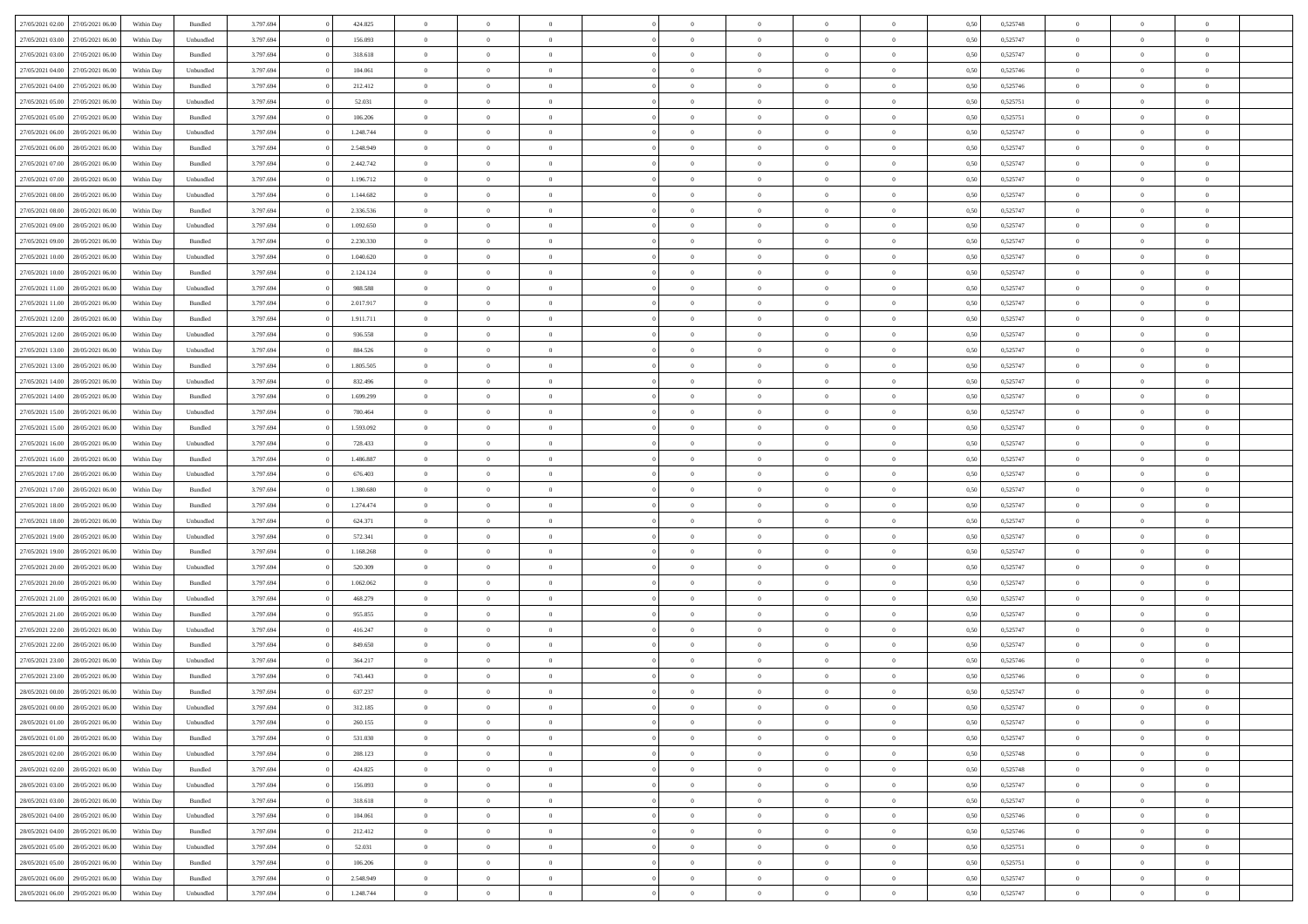| 27/05/2021 02:00 27/05/2021 06:00    | Within Day | Bundled   | 3.797.694 | 424.825   | $\overline{0}$ | $\overline{0}$ | $\Omega$       | $\Omega$       | $\theta$       | $\Omega$       | $\overline{0}$ | 0,50 | 0,525748 | $\theta$       | $\theta$       | $\theta$       |  |
|--------------------------------------|------------|-----------|-----------|-----------|----------------|----------------|----------------|----------------|----------------|----------------|----------------|------|----------|----------------|----------------|----------------|--|
| 27/05/2021 03:00<br>27/05/2021 06:00 | Within Day | Unbundled | 3.797.694 | 156.093   | $\overline{0}$ | $\overline{0}$ | $\overline{0}$ | $\overline{0}$ | $\theta$       | $\overline{0}$ | $\bf{0}$       | 0,50 | 0,525747 | $\theta$       | $\theta$       | $\overline{0}$ |  |
| 27/05/2021 03:00<br>27/05/2021 06:00 | Within Day | Bundled   | 3.797.694 | 318.618   | $\overline{0}$ | $\bf{0}$       | $\overline{0}$ | $\overline{0}$ | $\overline{0}$ | $\bf{0}$       | $\bf{0}$       | 0,50 | 0,525747 | $\bf{0}$       | $\overline{0}$ | $\overline{0}$ |  |
| 27/05/2021 04:00<br>27/05/2021 06:00 | Within Day | Unbundled | 3.797.694 | 104.061   | $\overline{0}$ | $\overline{0}$ | $\overline{0}$ | $\overline{0}$ | $\theta$       | $\overline{0}$ | $\overline{0}$ | 0.50 | 0.525746 | $\theta$       | $\theta$       | $\overline{0}$ |  |
| 27/05/2021 04:00<br>27/05/2021 06:00 | Within Day | Bundled   | 3.797.694 | 212.412   | $\overline{0}$ | $\overline{0}$ | $\overline{0}$ | $\overline{0}$ | $\theta$       | $\overline{0}$ | $\bf{0}$       | 0,50 | 0,525746 | $\theta$       | $\theta$       | $\overline{0}$ |  |
| 27/05/2021 05:00<br>27/05/2021 06:00 | Within Day | Unbundled | 3.797.694 | 52.031    | $\overline{0}$ | $\bf{0}$       | $\overline{0}$ | $\overline{0}$ | $\overline{0}$ | $\overline{0}$ | $\bf{0}$       | 0,50 | 0,525751 | $\bf{0}$       | $\overline{0}$ | $\bf{0}$       |  |
| 27/05/2021 06:00                     |            | Bundled   | 3.797.694 | 106.206   | $\overline{0}$ | $\overline{0}$ | $\overline{0}$ | $\overline{0}$ | $\overline{0}$ | $\overline{0}$ | $\overline{0}$ | 0.5( | 0,525751 | $\theta$       | $\theta$       | $\overline{0}$ |  |
| 27/05/2021 05:00                     | Within Day |           |           |           |                |                |                |                |                |                |                |      |          |                |                |                |  |
| 27/05/2021 06:00<br>28/05/2021 06:00 | Within Day | Unbundled | 3.797.694 | 1.248.744 | $\bf{0}$       | $\overline{0}$ | $\overline{0}$ | $\overline{0}$ | $\theta$       | $\overline{0}$ | $\bf{0}$       | 0,50 | 0,525747 | $\theta$       | $\theta$       | $\overline{0}$ |  |
| 27/05/2021 06:00<br>28/05/2021 06:00 | Within Day | Bundled   | 3.797.694 | 2.548.949 | $\overline{0}$ | $\bf{0}$       | $\overline{0}$ | $\overline{0}$ | $\overline{0}$ | $\overline{0}$ | $\bf{0}$       | 0,50 | 0,525747 | $\bf{0}$       | $\bf{0}$       | $\overline{0}$ |  |
| 27/05/2021 07:00<br>28/05/2021 06:00 | Within Day | Bundled   | 3.797.694 | 2.442.742 | $\overline{0}$ | $\overline{0}$ | $\overline{0}$ | $\overline{0}$ | $\overline{0}$ | $\overline{0}$ | $\overline{0}$ | 0.50 | 0,525747 | $\theta$       | $\theta$       | $\overline{0}$ |  |
| 27/05/2021 07:00<br>28/05/2021 06:00 | Within Day | Unbundled | 3.797.694 | 1.196.712 | $\bf{0}$       | $\overline{0}$ | $\overline{0}$ | $\overline{0}$ | $\theta$       | $\overline{0}$ | $\bf{0}$       | 0,50 | 0,525747 | $\theta$       | $\theta$       | $\overline{0}$ |  |
| 27/05/2021 08:00<br>28/05/2021 06:00 | Within Day | Unbundled | 3.797.694 | 1.144.682 | $\overline{0}$ | $\bf{0}$       | $\overline{0}$ | $\overline{0}$ | $\overline{0}$ | $\overline{0}$ | $\bf{0}$       | 0,50 | 0,525747 | $\bf{0}$       | $\overline{0}$ | $\overline{0}$ |  |
| 27/05/2021 08:00<br>28/05/2021 06:00 | Within Day | Bundled   | 3.797.694 | 2.336.536 | $\overline{0}$ | $\overline{0}$ | $\overline{0}$ | $\overline{0}$ | $\overline{0}$ | $\overline{0}$ | $\overline{0}$ | 0.5( | 0,525747 | $\theta$       | $\theta$       | $\overline{0}$ |  |
| 27/05/2021 09:00<br>28/05/2021 06:00 | Within Day | Unbundled | 3.797.694 | 1.092.650 | $\overline{0}$ | $\theta$       | $\overline{0}$ | $\overline{0}$ | $\theta$       | $\overline{0}$ | $\bf{0}$       | 0,50 | 0,525747 | $\theta$       | $\theta$       | $\overline{0}$ |  |
| 27/05/2021 09:00<br>28/05/2021 06:00 | Within Day | Bundled   | 3.797.694 | 2.230.330 | $\overline{0}$ | $\bf{0}$       | $\overline{0}$ | $\overline{0}$ | $\overline{0}$ | $\overline{0}$ | $\bf{0}$       | 0,50 | 0,525747 | $\bf{0}$       | $\overline{0}$ | $\bf{0}$       |  |
| 27/05/2021 10:00<br>28/05/2021 06:00 | Within Day | Unbundled | 3.797.694 | 1.040.620 | $\overline{0}$ | $\overline{0}$ | $\overline{0}$ | $\overline{0}$ | $\overline{0}$ | $\overline{0}$ | $\overline{0}$ | 0.5( | 0,525747 | $\theta$       | $\theta$       | $\overline{0}$ |  |
| 27/05/2021 10:00<br>28/05/2021 06:00 | Within Day | Bundled   | 3.797.694 | 2.124.124 | $\overline{0}$ | $\theta$       | $\overline{0}$ | $\overline{0}$ | $\theta$       | $\overline{0}$ | $\bf{0}$       | 0,50 | 0,525747 | $\theta$       | $\theta$       | $\overline{0}$ |  |
| 27/05/2021 11:00<br>28/05/2021 06:00 | Within Day | Unbundled | 3.797.694 | 988.588   | $\overline{0}$ | $\bf{0}$       | $\overline{0}$ | $\overline{0}$ | $\overline{0}$ | $\bf{0}$       | $\bf{0}$       | 0,50 | 0,525747 | $\bf{0}$       | $\overline{0}$ | $\overline{0}$ |  |
| 27/05/2021 11:00<br>28/05/2021 06:00 | Within Day | Bundled   | 3.797.694 | 2.017.917 | $\overline{0}$ | $\overline{0}$ | $\overline{0}$ | $\overline{0}$ | $\overline{0}$ | $\overline{0}$ | $\overline{0}$ | 0.50 | 0,525747 | $\theta$       | $\theta$       | $\overline{0}$ |  |
| 27/05/2021 12:00<br>28/05/2021 06:00 | Within Day | Bundled   | 3.797.694 | 1.911.711 | $\bf{0}$       | $\overline{0}$ | $\overline{0}$ | $\overline{0}$ | $\theta$       | $\overline{0}$ | $\bf{0}$       | 0,50 | 0,525747 | $\theta$       | $\theta$       | $\overline{0}$ |  |
| 27/05/2021 12:00<br>28/05/2021 06:00 | Within Day | Unbundled | 3.797.694 | 936.558   | $\overline{0}$ | $\bf{0}$       | $\overline{0}$ | $\overline{0}$ | $\overline{0}$ | $\overline{0}$ | $\bf{0}$       | 0,50 | 0,525747 | $\bf{0}$       | $\bf{0}$       | $\overline{0}$ |  |
| 27/05/2021 13:00<br>28/05/2021 06:00 | Within Day | Unbundled | 3.797.694 | 884.526   | $\overline{0}$ | $\overline{0}$ | $\overline{0}$ | $\overline{0}$ | $\overline{0}$ | $\overline{0}$ | $\overline{0}$ | 0.5( | 0,525747 | $\theta$       | $\theta$       | $\overline{0}$ |  |
|                                      |            |           |           |           |                |                |                |                |                |                |                |      |          |                |                |                |  |
| 27/05/2021 13:00<br>28/05/2021 06:00 | Within Day | Bundled   | 3.797.694 | 1.805.505 | $\bf{0}$       | $\overline{0}$ | $\overline{0}$ | $\overline{0}$ | $\theta$       | $\overline{0}$ | $\bf{0}$       | 0,50 | 0,525747 | $\theta$       | $\theta$       | $\overline{0}$ |  |
| 27/05/2021 14:00<br>28/05/2021 06:00 | Within Day | Unbundled | 3.797.694 | 832.496   | $\overline{0}$ | $\bf{0}$       | $\overline{0}$ | $\overline{0}$ | $\bf{0}$       | $\overline{0}$ | $\bf{0}$       | 0,50 | 0,525747 | $\bf{0}$       | $\overline{0}$ | $\bf{0}$       |  |
| 27/05/2021 14:00<br>28/05/2021 06:00 | Within Day | Bundled   | 3.797.694 | 1.699.299 | $\overline{0}$ | $\overline{0}$ | $\overline{0}$ | $\overline{0}$ | $\overline{0}$ | $\overline{0}$ | $\overline{0}$ | 0.5( | 0,525747 | $\theta$       | $\theta$       | $\overline{0}$ |  |
| 27/05/2021 15:00<br>28/05/2021 06:00 | Within Day | Unbundled | 3.797.694 | 780.464   | $\overline{0}$ | $\theta$       | $\overline{0}$ | $\overline{0}$ | $\theta$       | $\overline{0}$ | $\bf{0}$       | 0,50 | 0,525747 | $\theta$       | $\theta$       | $\overline{0}$ |  |
| 27/05/2021 15:00<br>28/05/2021 06:00 | Within Day | Bundled   | 3.797.694 | 1.593.092 | $\overline{0}$ | $\bf{0}$       | $\overline{0}$ | $\overline{0}$ | $\overline{0}$ | $\bf{0}$       | $\bf{0}$       | 0,50 | 0,525747 | $\bf{0}$       | $\bf{0}$       | $\overline{0}$ |  |
| 27/05/2021 16:00<br>28/05/2021 06:00 | Within Day | Unbundled | 3.797.694 | 728.433   | $\overline{0}$ | $\overline{0}$ | $\overline{0}$ | $\overline{0}$ | $\overline{0}$ | $\overline{0}$ | $\overline{0}$ | 0.5( | 0,525747 | $\theta$       | $\theta$       | $\overline{0}$ |  |
| 27/05/2021 16:00<br>28/05/2021 06:00 | Within Day | Bundled   | 3.797.694 | 1.486.887 | $\bf{0}$       | $\overline{0}$ | $\overline{0}$ | $\overline{0}$ | $\theta$       | $\overline{0}$ | $\bf{0}$       | 0,50 | 0,525747 | $\theta$       | $\theta$       | $\overline{0}$ |  |
| 27/05/2021 17:00<br>28/05/2021 06:00 | Within Day | Unbundled | 3.797.694 | 676.403   | $\overline{0}$ | $\bf{0}$       | $\overline{0}$ | $\overline{0}$ | $\overline{0}$ | $\overline{0}$ | $\bf{0}$       | 0,50 | 0,525747 | $\bf{0}$       | $\overline{0}$ | $\overline{0}$ |  |
| 27/05/2021 17:00<br>28/05/2021 06:00 | Within Day | Bundled   | 3.797.694 | 1.380.680 | $\overline{0}$ | $\overline{0}$ | $\Omega$       | $\Omega$       | $\Omega$       | $\theta$       | $\overline{0}$ | 0,50 | 0,525747 | $\,$ 0 $\,$    | $\Omega$       | $\theta$       |  |
| 27/05/2021 18:00<br>28/05/2021 06:00 | Within Day | Bundled   | 3.797.694 | 1.274.474 | $\overline{0}$ | $\overline{0}$ | $\overline{0}$ | $\overline{0}$ | $\theta$       | $\overline{0}$ | $\bf{0}$       | 0,50 | 0,525747 | $\theta$       | $\theta$       | $\overline{0}$ |  |
| 27/05/2021 18:00<br>28/05/2021 06:00 | Within Day | Unbundled | 3.797.694 | 624.371   | $\overline{0}$ | $\bf{0}$       | $\overline{0}$ | $\overline{0}$ | $\bf{0}$       | $\overline{0}$ | $\bf{0}$       | 0,50 | 0,525747 | $\bf{0}$       | $\overline{0}$ | $\bf{0}$       |  |
| 27/05/2021 19:00<br>28/05/2021 06:00 | Within Day | Unbundled | 3.797.694 | 572.341   | $\overline{0}$ | $\overline{0}$ | $\Omega$       | $\Omega$       | $\overline{0}$ | $\Omega$       | $\overline{0}$ | 0.50 | 0,525747 | $\bf{0}$       | $\Omega$       | $\theta$       |  |
| 27/05/2021 19:00<br>28/05/2021 06:00 | Within Day | Bundled   | 3.797.694 | 1.168.268 | $\bf{0}$       | $\overline{0}$ | $\overline{0}$ | $\overline{0}$ | $\theta$       | $\overline{0}$ | $\bf{0}$       | 0,50 | 0,525747 | $\theta$       | $\theta$       | $\overline{0}$ |  |
| 27/05/2021 20:00<br>28/05/2021 06:00 | Within Day | Unbundled | 3.797.694 | 520.309   | $\overline{0}$ | $\bf{0}$       | $\overline{0}$ | $\overline{0}$ | $\overline{0}$ | $\bf{0}$       | $\bf{0}$       | 0,50 | 0,525747 | $\bf{0}$       | $\bf{0}$       | $\overline{0}$ |  |
| 27/05/2021 20:00<br>28/05/2021 06:00 | Within Day | Bundled   | 3.797.694 | 1.062.062 | $\overline{0}$ | $\theta$       | $\Omega$       | $\Omega$       | $\Omega$       | $\Omega$       | $\overline{0}$ | 0.50 | 0,525747 | $\theta$       | $\Omega$       | $\theta$       |  |
| 27/05/2021 21:00<br>28/05/2021 06:00 | Within Day | Unbundled | 3.797.694 | 468.279   | $\bf{0}$       | $\overline{0}$ | $\overline{0}$ | $\overline{0}$ | $\theta$       | $\overline{0}$ | $\bf{0}$       | 0,50 | 0,525747 | $\theta$       | $\theta$       | $\overline{0}$ |  |
| 27/05/2021 21:00<br>28/05/2021 06:00 | Within Day | Bundled   | 3.797.694 | 955.855   | $\overline{0}$ | $\bf{0}$       | $\overline{0}$ | $\overline{0}$ | $\overline{0}$ | $\overline{0}$ | $\bf{0}$       | 0,50 | 0,525747 | $\bf{0}$       | $\overline{0}$ | $\overline{0}$ |  |
| 27/05/2021 22:00<br>28/05/2021 06:00 | Within Day | Unbundled | 3.797.694 | 416.247   | $\overline{0}$ | $\overline{0}$ | $\Omega$       | $\Omega$       | $\theta$       | $\theta$       | $\overline{0}$ | 0,50 | 0,525747 | $\bf{0}$       | $\Omega$       | $\theta$       |  |
| 27/05/2021 22:00<br>28/05/2021 06:00 | Within Day | Bundled   | 3.797.694 | 849.650   | $\bf{0}$       | $\overline{0}$ | $\overline{0}$ | $\overline{0}$ | $\theta$       | $\overline{0}$ | $\bf{0}$       | 0,50 | 0,525747 | $\theta$       | $\theta$       | $\overline{0}$ |  |
| 27/05/2021 23:00<br>28/05/2021 06:00 | Within Day | Unbundled | 3.797.694 | 364.217   | $\overline{0}$ | $\bf{0}$       | $\overline{0}$ | $\overline{0}$ | $\overline{0}$ | $\overline{0}$ | $\bf{0}$       | 0,50 | 0,525746 | $\overline{0}$ | $\overline{0}$ | $\bf{0}$       |  |
| 27/05/2021 23:00<br>28/05/2021 06:00 | Within Day | Bundled   | 3.797.694 | 743.443   | $\Omega$       | $\Omega$       | $\Omega$       | $\Omega$       | $\Omega$       | $\theta$       | $\overline{0}$ | 0.50 | 0,525746 | $\theta$       | $\Omega$       | $\theta$       |  |
| 28/05/2021 00:00<br>28/05/2021 06:00 | Within Day | Bundled   | 3.797.694 | 637.237   | $\overline{0}$ | $\bf{0}$       | $\overline{0}$ | $\overline{0}$ | $\bf{0}$       | $\overline{0}$ | $\bf{0}$       | 0,50 | 0,525747 | $\bf{0}$       | $\bf{0}$       | $\overline{0}$ |  |
| 28/05/2021 00:00 28/05/2021 06:00    | Within Day | Unbundled | 3.797.694 | 312.185   |                |                |                |                |                |                |                | 0,50 | 0,525747 | $\bf{0}$       | $\bf{0}$       |                |  |
| 28/05/2021 01:00 28/05/2021 06:00    | Within Day | Unbundled | 3.797.694 | 260,155   | $\Omega$       | $\overline{0}$ | $\Omega$       | $\theta$       | $\overline{0}$ | $\theta$       | $\overline{0}$ | 0.50 | 0,525747 | $\theta$       | $\theta$       | $\theta$       |  |
| 28/05/2021 01:00<br>28/05/2021 06:00 | Within Day | Bundled   | 3.797.694 | 531.030   | $\overline{0}$ | $\overline{0}$ | $\overline{0}$ | $\overline{0}$ | $\,$ 0 $\,$    | $\overline{0}$ | $\,$ 0 $\,$    | 0,50 | 0,525747 | $\,$ 0 $\,$    | $\,$ 0 $\,$    | $\,$ 0         |  |
|                                      |            |           |           |           |                |                |                |                |                |                |                |      |          |                |                |                |  |
| 28/05/2021 02:00<br>28/05/2021 06:00 | Within Day | Unbundled | 3.797.694 | 208.123   | $\overline{0}$ | $\overline{0}$ | $\overline{0}$ | $\overline{0}$ | $\overline{0}$ | $\overline{0}$ | $\bf{0}$       | 0,50 | 0,525748 | $\overline{0}$ | $\bf{0}$       | $\overline{0}$ |  |
| 28/05/2021 02:00<br>28/05/2021 06:00 | Within Day | Bundled   | 3.797.694 | 424.825   | $\overline{0}$ | $\bf{0}$       | $\overline{0}$ | $\overline{0}$ | $\overline{0}$ | $\overline{0}$ | $\bf{0}$       | 0,50 | 0,525748 | $\bf{0}$       | $\theta$       | $\overline{0}$ |  |
| 28/05/2021 03:00<br>28/05/2021 06:00 | Within Day | Unbundled | 3.797.694 | 156.093   | $\overline{0}$ | $\overline{0}$ | $\overline{0}$ | $\overline{0}$ | $\overline{0}$ | $\overline{0}$ | $\bf{0}$       | 0,50 | 0,525747 | $\,$ 0 $\,$    | $\,$ 0 $\,$    | $\overline{0}$ |  |
| 28/05/2021 03:00<br>28/05/2021 06:00 | Within Day | Bundled   | 3.797.694 | 318.618   | $\overline{0}$ | $\overline{0}$ | $\overline{0}$ | $\overline{0}$ | $\mathbf{0}$   | $\overline{0}$ | $\bf{0}$       | 0,50 | 0,525747 | $\overline{0}$ | $\overline{0}$ | $\overline{0}$ |  |
| 28/05/2021 04:00<br>28/05/2021 06:00 | Within Day | Unbundled | 3.797.694 | 104.061   | $\overline{0}$ | $\bf{0}$       | $\overline{0}$ | $\overline{0}$ | $\overline{0}$ | $\overline{0}$ | $\bf{0}$       | 0.50 | 0,525746 | $\overline{0}$ | $\theta$       | $\overline{0}$ |  |
| 28/05/2021 04:00<br>28/05/2021 06:00 | Within Day | Bundled   | 3.797.694 | 212.412   | $\overline{0}$ | $\overline{0}$ | $\overline{0}$ | $\overline{0}$ | $\overline{0}$ | $\bf{0}$       | $\bf{0}$       | 0,50 | 0,525746 | $\,$ 0 $\,$    | $\,$ 0 $\,$    | $\overline{0}$ |  |
| 28/05/2021 06:00<br>28/05/2021 05:00 | Within Day | Unbundled | 3.797.694 | 52.031    | $\overline{0}$ | $\bf{0}$       | $\overline{0}$ | $\overline{0}$ | $\overline{0}$ | $\overline{0}$ | $\bf{0}$       | 0,50 | 0,525751 | $\overline{0}$ | $\overline{0}$ | $\bf{0}$       |  |
| 28/05/2021 05:00<br>28/05/2021 06:00 | Within Day | Bundled   | 3.797.694 | 106.206   | $\overline{0}$ | $\overline{0}$ | $\overline{0}$ | $\overline{0}$ | $\overline{0}$ | $\overline{0}$ | $\bf{0}$       | 0.50 | 0,525751 | $\overline{0}$ | $\theta$       | $\overline{0}$ |  |
| 28/05/2021 06:00<br>29/05/2021 06:00 | Within Day | Bundled   | 3.797.694 | 2.548.949 | $\overline{0}$ | $\,$ 0         | $\overline{0}$ | $\overline{0}$ | $\bf{0}$       | $\bf{0}$       | $\bf{0}$       | 0,50 | 0,525747 | $\,$ 0 $\,$    | $\,$ 0 $\,$    | $\bf{0}$       |  |
| 28/05/2021 06:00 29/05/2021 06:00    | Within Day | Unbundled | 3.797.694 | 1.248.744 | $\overline{0}$ | $\bf{0}$       | $\overline{0}$ | $\overline{0}$ | $\overline{0}$ | $\overline{0}$ | $\bf{0}$       | 0,50 | 0,525747 | $\overline{0}$ | $\bf{0}$       | $\overline{0}$ |  |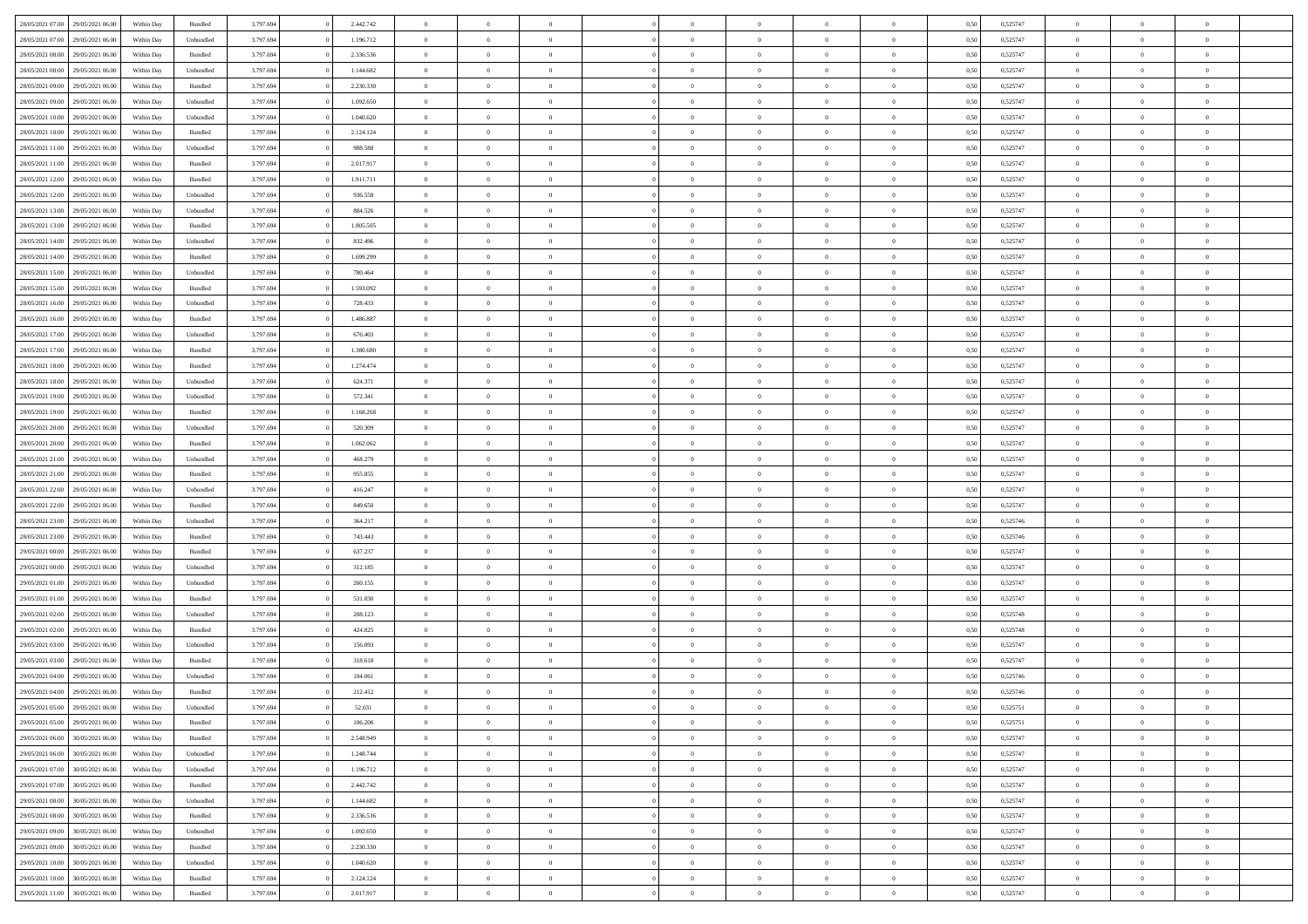| 28/05/2021 07:00 | 29/05/2021 06:00 | Within Day | Bundled   | 3.797.694 | 2.442.742 | $\overline{0}$ | $\Omega$       |                | $\Omega$       | $\Omega$       | $\theta$       | $\theta$       | 0.50 | 0,525747 | $\theta$       | $\theta$       | $\theta$       |  |
|------------------|------------------|------------|-----------|-----------|-----------|----------------|----------------|----------------|----------------|----------------|----------------|----------------|------|----------|----------------|----------------|----------------|--|
|                  |                  |            |           |           |           |                |                |                |                |                |                |                |      |          |                |                |                |  |
| 28/05/2021 07:00 | 29/05/2021 06:00 | Within Day | Unbundled | 3.797.694 | 1.196.712 | $\overline{0}$ | $\theta$       | $\overline{0}$ | $\overline{0}$ | $\bf{0}$       | $\overline{0}$ | $\bf{0}$       | 0,50 | 0,525747 | $\theta$       | $\overline{0}$ | $\overline{0}$ |  |
| 28/05/2021 08:00 | 29/05/2021 06:00 | Within Day | Bundled   | 3.797.694 | 2.336.536 | $\overline{0}$ | $\bf{0}$       | $\overline{0}$ | $\bf{0}$       | $\bf{0}$       | $\bf{0}$       | $\mathbf{0}$   | 0,50 | 0,525747 | $\overline{0}$ | $\overline{0}$ | $\overline{0}$ |  |
| 28/05/2021 08:00 | 29/05/2021 06:00 | Within Dav | Unbundled | 3.797.694 | 1.144.682 | $\overline{0}$ | $\overline{0}$ | $\overline{0}$ | $\overline{0}$ | $\bf{0}$       | $\overline{0}$ | $\overline{0}$ | 0.50 | 0,525747 | $\theta$       | $\theta$       | $\overline{0}$ |  |
|                  |                  |            |           |           |           | $\overline{0}$ | $\theta$       | $\overline{0}$ | $\overline{0}$ | $\bf{0}$       | $\overline{0}$ |                |      |          | $\theta$       | $\overline{0}$ | $\overline{0}$ |  |
| 28/05/2021 09:00 | 29/05/2021 06:00 | Within Day | Bundled   | 3.797.694 | 2.230.330 |                |                |                |                |                |                | $\bf{0}$       | 0,50 | 0,525747 |                |                |                |  |
| 28/05/2021 09:00 | 29/05/2021 06:00 | Within Day | Unbundled | 3.797.694 | 1.092.650 | $\overline{0}$ | $\overline{0}$ | $\overline{0}$ | $\bf{0}$       | $\overline{0}$ | $\overline{0}$ | $\mathbf{0}$   | 0,50 | 0,525747 | $\overline{0}$ | $\overline{0}$ | $\bf{0}$       |  |
| 28/05/2021 10:00 | 29/05/2021 06:00 | Within Dav | Unbundled | 3.797.694 | 1.040.620 | $\overline{0}$ | $\overline{0}$ | $\overline{0}$ | $\overline{0}$ | $\overline{0}$ | $\overline{0}$ | $\overline{0}$ | 0.50 | 0,525747 | $\theta$       | $\overline{0}$ | $\overline{0}$ |  |
| 28/05/2021 10:00 | 29/05/2021 06:00 | Within Day | Bundled   | 3.797.694 | 2.124.124 | $\overline{0}$ | $\theta$       | $\overline{0}$ | $\overline{0}$ | $\bf{0}$       | $\overline{0}$ | $\bf{0}$       | 0,50 | 0,525747 | $\theta$       | $\theta$       | $\overline{0}$ |  |
| 28/05/2021 11:00 | 29/05/2021 06:00 | Within Day | Unbundled | 3.797.694 | 988.588   | $\overline{0}$ | $\overline{0}$ | $\overline{0}$ | $\bf{0}$       | $\bf{0}$       | $\bf{0}$       | $\bf{0}$       | 0,50 | 0,525747 | $\,0\,$        | $\overline{0}$ | $\overline{0}$ |  |
|                  |                  |            |           |           |           |                | $\overline{0}$ |                |                | $\overline{0}$ |                |                |      |          | $\theta$       | $\overline{0}$ | $\overline{0}$ |  |
| 28/05/2021 11:00 | 29/05/2021 06:00 | Within Dav | Bundled   | 3.797.694 | 2.017.917 | $\overline{0}$ |                | $\overline{0}$ | $\overline{0}$ |                | $\overline{0}$ | $\overline{0}$ | 0.50 | 0,525747 |                |                |                |  |
| 28/05/2021 12:00 | 29/05/2021 06:00 | Within Day | Bundled   | 3.797.694 | 1.911.711 | $\overline{0}$ | $\theta$       | $\overline{0}$ | $\overline{0}$ | $\bf{0}$       | $\overline{0}$ | $\bf{0}$       | 0,50 | 0,525747 | $\,$ 0 $\,$    | $\overline{0}$ | $\overline{0}$ |  |
| 28/05/2021 12:00 | 29/05/2021 06:00 | Within Day | Unbundled | 3.797.694 | 936.558   | $\overline{0}$ | $\bf{0}$       | $\overline{0}$ | $\bf{0}$       | $\bf{0}$       | $\bf{0}$       | $\bf{0}$       | 0,50 | 0,525747 | $\overline{0}$ | $\overline{0}$ | $\bf{0}$       |  |
| 28/05/2021 13:00 | 29/05/2021 06:00 | Within Day | Unbundled | 3.797.694 | 884.526   | $\overline{0}$ | $\overline{0}$ | $\overline{0}$ | $\overline{0}$ | $\bf{0}$       | $\overline{0}$ | $\overline{0}$ | 0.50 | 0,525747 | $\theta$       | $\theta$       | $\overline{0}$ |  |
| 28/05/2021 13:00 | 29/05/2021 06:00 | Within Day | Bundled   | 3.797.694 | 1.805.505 | $\overline{0}$ | $\theta$       | $\overline{0}$ | $\overline{0}$ | $\bf{0}$       | $\overline{0}$ | $\overline{0}$ | 0,50 | 0,525747 | $\theta$       | $\overline{0}$ | $\overline{0}$ |  |
|                  |                  |            |           |           |           |                |                |                |                |                |                |                |      |          |                |                |                |  |
| 28/05/2021 14:00 | 29/05/2021 06:00 | Within Day | Unbundled | 3.797.694 | 832.496   | $\overline{0}$ | $\overline{0}$ | $\overline{0}$ | $\bf{0}$       | $\overline{0}$ | $\overline{0}$ | $\mathbf{0}$   | 0,50 | 0,525747 | $\overline{0}$ | $\overline{0}$ | $\bf{0}$       |  |
| 28/05/2021 14:00 | 29/05/2021 06:00 | Within Dav | Bundled   | 3.797.694 | 1.699.299 | $\overline{0}$ | $\overline{0}$ | $\overline{0}$ | $\overline{0}$ | $\overline{0}$ | $\overline{0}$ | $\overline{0}$ | 0.50 | 0,525747 | $\theta$       | $\overline{0}$ | $\overline{0}$ |  |
| 28/05/2021 15:00 | 29/05/2021 06:00 | Within Day | Unbundled | 3.797.694 | 780.464   | $\overline{0}$ | $\theta$       | $\overline{0}$ | $\overline{0}$ | $\bf{0}$       | $\overline{0}$ | $\bf{0}$       | 0,50 | 0,525747 | $\theta$       | $\theta$       | $\overline{0}$ |  |
| 28/05/2021 15:00 | 29/05/2021 06:00 | Within Day | Bundled   | 3.797.694 | 1.593.092 | $\overline{0}$ | $\overline{0}$ | $\overline{0}$ | $\bf{0}$       | $\bf{0}$       | $\bf{0}$       | $\bf{0}$       | 0,50 | 0,525747 | $\bf{0}$       | $\overline{0}$ | $\overline{0}$ |  |
| 28/05/2021 16:00 | 29/05/2021 06:00 | Within Dav | Unbundled | 3.797.694 | 728.433   | $\overline{0}$ | $\overline{0}$ | $\overline{0}$ | $\overline{0}$ | $\overline{0}$ | $\overline{0}$ | $\overline{0}$ | 0.50 | 0,525747 | $\theta$       | $\overline{0}$ | $\overline{0}$ |  |
| 28/05/2021 16:00 | 29/05/2021 06:00 | Within Day | Bundled   | 3.797.694 | 1.486.887 | $\overline{0}$ | $\theta$       | $\overline{0}$ | $\overline{0}$ | $\bf{0}$       | $\overline{0}$ | $\bf{0}$       | 0,50 | 0,525747 | $\,$ 0 $\,$    | $\overline{0}$ | $\overline{0}$ |  |
|                  |                  |            |           |           |           |                |                |                |                |                |                |                |      |          |                |                |                |  |
| 28/05/2021 17:00 | 29/05/2021 06:00 | Within Day | Unbundled | 3.797.694 | 676.403   | $\overline{0}$ | $\overline{0}$ | $\overline{0}$ | $\bf{0}$       | $\bf{0}$       | $\bf{0}$       | $\bf{0}$       | 0,50 | 0,525747 | $\bf{0}$       | $\overline{0}$ | $\bf{0}$       |  |
| 28/05/2021 17:00 | 29/05/2021 06:00 | Within Day | Bundled   | 3.797.694 | 1.380.680 | $\overline{0}$ | $\overline{0}$ | $\overline{0}$ | $\overline{0}$ | $\bf{0}$       | $\overline{0}$ | $\overline{0}$ | 0.50 | 0,525747 | $\theta$       | $\overline{0}$ | $\overline{0}$ |  |
| 28/05/2021 18:00 | 29/05/2021 06:00 | Within Day | Bundled   | 3.797.694 | 1.274.474 | $\overline{0}$ | $\theta$       | $\overline{0}$ | $\overline{0}$ | $\bf{0}$       | $\overline{0}$ | $\bf{0}$       | 0,50 | 0,525747 | $\,$ 0 $\,$    | $\overline{0}$ | $\overline{0}$ |  |
| 28/05/2021 18:00 | 29/05/2021 06:00 | Within Day | Unbundled | 3.797.694 | 624.371   | $\overline{0}$ | $\overline{0}$ | $\overline{0}$ | $\bf{0}$       | $\overline{0}$ | $\overline{0}$ | $\mathbf{0}$   | 0,50 | 0,525747 | $\overline{0}$ | $\overline{0}$ | $\bf{0}$       |  |
| 28/05/2021 19:00 | 29/05/2021 06:00 | Within Dav | Unbundled | 3.797.694 | 572.341   | $\overline{0}$ | $\overline{0}$ | $\overline{0}$ | $\overline{0}$ | $\overline{0}$ | $\overline{0}$ | $\overline{0}$ | 0.50 | 0,525747 | $\theta$       | $\overline{0}$ | $\overline{0}$ |  |
| 28/05/2021 19:00 | 29/05/2021 06:00 | Within Day | Bundled   | 3.797.694 | 1.168.268 | $\overline{0}$ | $\theta$       | $\overline{0}$ | $\overline{0}$ | $\bf{0}$       | $\overline{0}$ | $\bf{0}$       | 0,50 | 0,525747 | $\theta$       | $\theta$       | $\overline{0}$ |  |
| 28/05/2021 20:00 | 29/05/2021 06:00 | Within Day | Unbundled | 3.797.694 | 520.309   | $\overline{0}$ | $\overline{0}$ | $\overline{0}$ | $\bf{0}$       | $\bf{0}$       | $\bf{0}$       | $\bf{0}$       | 0,50 | 0,525747 | $\,0\,$        | $\overline{0}$ | $\overline{0}$ |  |
|                  | 29/05/2021 06:00 |            | Bundled   | 3.797.694 | 1.062.062 | $\overline{0}$ | $\overline{0}$ | $\overline{0}$ | $\overline{0}$ | $\overline{0}$ | $\overline{0}$ | $\overline{0}$ | 0.50 | 0,525747 | $\theta$       | $\overline{0}$ | $\overline{0}$ |  |
| 28/05/2021 20:00 |                  | Within Day |           |           |           |                |                |                |                |                |                |                |      |          |                |                |                |  |
| 28/05/2021 21:00 | 29/05/2021 06:00 | Within Day | Unbundled | 3.797.694 | 468.279   | $\overline{0}$ | $\theta$       | $\overline{0}$ | $\overline{0}$ | $\bf{0}$       | $\overline{0}$ | $\bf{0}$       | 0,50 | 0,525747 | $\,$ 0 $\,$    | $\overline{0}$ | $\overline{0}$ |  |
| 28/05/2021 21.00 | 29/05/2021 06:00 | Within Day | Bundled   | 3.797.694 | 955.855   | $\overline{0}$ | $\overline{0}$ | $\overline{0}$ | $\overline{0}$ | $\bf{0}$       | $\overline{0}$ | $\bf{0}$       | 0,50 | 0,525747 | $\overline{0}$ | $\overline{0}$ | $\bf{0}$       |  |
| 28/05/2021 22:00 | 29/05/2021 06:00 | Within Day | Unbundled | 3.797.694 | 416.247   | $\overline{0}$ | $\Omega$       | $\Omega$       | $\Omega$       | $\Omega$       | $\Omega$       | $\overline{0}$ | 0,50 | 0,525747 | $\,0\,$        | $\theta$       | $\theta$       |  |
| 28/05/2021 22:00 | 29/05/2021 06:00 | Within Day | Bundled   | 3.797.694 | 849.650   | $\overline{0}$ | $\theta$       | $\overline{0}$ | $\overline{0}$ | $\bf{0}$       | $\overline{0}$ | $\bf{0}$       | 0,50 | 0,525747 | $\theta$       | $\overline{0}$ | $\overline{0}$ |  |
| 28/05/2021 23:00 | 29/05/2021 06:00 | Within Day | Unbundled | 3.797.694 | 364.217   | $\overline{0}$ | $\overline{0}$ | $\overline{0}$ | $\overline{0}$ | $\overline{0}$ | $\overline{0}$ | $\mathbf{0}$   | 0,50 | 0,525746 | $\overline{0}$ | $\overline{0}$ | $\bf{0}$       |  |
| 28/05/2021 23:00 | 29/05/2021 06:00 |            | Bundled   | 3.797.694 | 743.443   | $\overline{0}$ | $\Omega$       | $\Omega$       | $\Omega$       | $\bf{0}$       | $\overline{0}$ | $\overline{0}$ | 0.50 | 0,525746 | $\,0\,$        | $\theta$       | $\theta$       |  |
|                  |                  | Within Day |           |           |           |                |                |                |                |                |                |                |      |          |                |                |                |  |
| 29/05/2021 00:00 | 29/05/2021 06:00 | Within Day | Bundled   | 3.797.694 | 637.237   | $\overline{0}$ | $\theta$       | $\overline{0}$ | $\overline{0}$ | $\bf{0}$       | $\overline{0}$ | $\bf{0}$       | 0,50 | 0,525747 | $\,$ 0 $\,$    | $\overline{0}$ | $\overline{0}$ |  |
| 29/05/2021 00:00 | 29/05/2021 06:00 | Within Day | Unbundled | 3.797.694 | 312.185   | $\overline{0}$ | $\overline{0}$ | $\overline{0}$ | $\overline{0}$ | $\bf{0}$       | $\overline{0}$ | $\bf{0}$       | 0,50 | 0,525747 | $\bf{0}$       | $\overline{0}$ | $\bf{0}$       |  |
| 29/05/2021 01:00 | 29/05/2021 06:00 | Within Day | Unbundled | 3.797.694 | 260.155   | $\overline{0}$ | $\Omega$       | $\Omega$       | $\Omega$       | $\theta$       | $\theta$       | $\overline{0}$ | 0.50 | 0,525747 | $\,$ 0 $\,$    | $\theta$       | $\theta$       |  |
| 29/05/2021 01:00 | 29/05/2021 06:00 | Within Day | Bundled   | 3.797.694 | 531.030   | $\overline{0}$ | $\theta$       | $\overline{0}$ | $\overline{0}$ | $\bf{0}$       | $\overline{0}$ | $\bf{0}$       | 0,50 | 0,525747 | $\,$ 0 $\,$    | $\overline{0}$ | $\overline{0}$ |  |
| 29/05/2021 02:00 | 29/05/2021 06:00 | Within Day | Unbundled | 3.797.694 | 208.123   | $\overline{0}$ | $\bf{0}$       | $\overline{0}$ | $\overline{0}$ | $\bf{0}$       | $\overline{0}$ | $\bf{0}$       | 0,50 | 0,525748 | $\overline{0}$ | $\overline{0}$ | $\bf{0}$       |  |
| 29/05/2021 02:00 | 29/05/2021 06:00 | Within Day | Bundled   | 3.797.694 | 424.825   | $\overline{0}$ | $\Omega$       | $\overline{0}$ | $\Omega$       | $\Omega$       | $\overline{0}$ | $\overline{0}$ | 0,50 | 0,525748 | $\,0\,$        | $\theta$       | $\theta$       |  |
| 29/05/2021 03:00 | 29/05/2021 06:00 | Within Day | Unbundled | 3.797.694 | 156.093   | $\overline{0}$ | $\overline{0}$ | $\overline{0}$ | $\overline{0}$ | $\bf{0}$       | $\overline{0}$ | $\bf{0}$       | 0,50 | 0,525747 | $\,$ 0 $\,$    | $\overline{0}$ | $\overline{0}$ |  |
|                  |                  |            |           |           |           |                |                |                |                |                |                |                |      |          |                |                |                |  |
| 29/05/2021 03:00 | 29/05/2021 06:00 | Within Day | Bundled   | 3.797.694 | 318.618   | $\overline{0}$ | $\overline{0}$ | $\overline{0}$ | $\overline{0}$ | $\bf{0}$       | $\overline{0}$ | $\mathbf{0}$   | 0,50 | 0,525747 | $\overline{0}$ | $\overline{0}$ | $\bf{0}$       |  |
| 29/05/2021 04:00 | 29/05/2021 06:00 | Within Day | Unbundled | 3.797.694 | 104,061   | $\overline{0}$ | $\Omega$       | $\Omega$       | $\Omega$       | $\Omega$       | $\Omega$       | $\overline{0}$ | 0.50 | 0,525746 | $\theta$       | $\theta$       | $\theta$       |  |
| 29/05/2021 04:00 | 29/05/2021 06:00 | Within Day | Bundled   | 3.797.694 | 212.412   | $\overline{0}$ | $\overline{0}$ | $\overline{0}$ | $\bf{0}$       | $\,$ 0         | $\bf{0}$       | $\bf{0}$       | 0,50 | 0,525746 | $\,0\,$        | $\,$ 0 $\,$    | $\overline{0}$ |  |
| 29/05/2021 05:00 | 29/05/2021 06:00 | Within Day | Unbundled | 3.797.694 | 52.031    | $\bf{0}$       | $\bf{0}$       |                |                |                |                |                | 0,50 | 0,525751 | $\bf{0}$       | $\overline{0}$ |                |  |
| 29/05/2021 05:00 | 29/05/2021 06:00 | Within Day | Bundled   | 3.797.694 | 106,206   | $\overline{0}$ | $\overline{0}$ | $\overline{0}$ | $\Omega$       | $\overline{0}$ | $\overline{0}$ | $\overline{0}$ | 0,50 | 0,525751 | $\theta$       | $\theta$       | $\theta$       |  |
| 29/05/2021 06:00 | 30/05/2021 06:00 | Within Day | Bundled   | 3.797.694 | 2.548.949 | $\overline{0}$ | $\,$ 0         | $\overline{0}$ | $\bf{0}$       | $\,$ 0 $\,$    | $\overline{0}$ | $\mathbf{0}$   | 0,50 | 0,525747 | $\,$ 0 $\,$    | $\,$ 0 $\,$    | $\,$ 0         |  |
|                  |                  |            |           |           |           |                |                |                |                |                |                |                |      |          |                |                |                |  |
| 29/05/2021 06:00 | 30/05/2021 06:00 | Within Day | Unbundled | 3.797.694 | 1.248.744 | $\overline{0}$ | $\overline{0}$ | $\overline{0}$ | $\overline{0}$ | $\overline{0}$ | $\overline{0}$ | $\mathbf{0}$   | 0,50 | 0,525747 | $\overline{0}$ | $\bf{0}$       | $\bf{0}$       |  |
| 29/05/2021 07:00 | 30/05/2021 06:00 | Within Day | Unbundled | 3.797.694 | 1.196.712 | $\overline{0}$ | $\theta$       | $\overline{0}$ | $\Omega$       | $\overline{0}$ | $\overline{0}$ | $\bf{0}$       | 0,50 | 0,525747 | $\overline{0}$ | $\theta$       | $\overline{0}$ |  |
| 29/05/2021 07:00 | 30/05/2021 06:00 | Within Day | Bundled   | 3.797.694 | 2.442.742 | $\overline{0}$ | $\,$ 0         | $\overline{0}$ | $\overline{0}$ | $\overline{0}$ | $\overline{0}$ | $\bf{0}$       | 0,50 | 0,525747 | $\,$ 0 $\,$    | $\overline{0}$ | $\overline{0}$ |  |
| 29/05/2021 08:00 | 30/05/2021 06:00 | Within Day | Unbundled | 3.797.694 | 1.144.682 | $\overline{0}$ | $\overline{0}$ | $\overline{0}$ | $\overline{0}$ | $\overline{0}$ | $\overline{0}$ | $\mathbf{0}$   | 0,50 | 0,525747 | $\overline{0}$ | $\bf{0}$       | $\bf{0}$       |  |
| 29/05/2021 08:00 | 30/05/2021 06:00 | Within Day | Bundled   | 3.797.694 | 2.336.536 | $\overline{0}$ | $\overline{0}$ | $\overline{0}$ | $\Omega$       | $\overline{0}$ | $\overline{0}$ | $\bf{0}$       | 0.50 | 0,525747 | $\overline{0}$ | $\theta$       | $\overline{0}$ |  |
| 29/05/2021 09:00 | 30/05/2021 06:00 | Within Day | Unbundled | 3.797.694 | 1.092.650 | $\overline{0}$ | $\,$ 0         | $\overline{0}$ | $\bf{0}$       | $\bf{0}$       | $\bf{0}$       | $\bf{0}$       | 0,50 | 0,525747 | $\,$ 0 $\,$    | $\overline{0}$ | $\overline{0}$ |  |
| 29/05/2021 09:00 | 30/05/2021 06:00 | Within Day | Bundled   | 3.797.694 | 2.230.330 | $\overline{0}$ | $\bf{0}$       | $\overline{0}$ | $\overline{0}$ | $\overline{0}$ | $\overline{0}$ | $\mathbf{0}$   | 0,50 | 0,525747 | $\overline{0}$ | $\overline{0}$ | $\bf{0}$       |  |
|                  |                  |            |           |           |           |                |                |                |                |                |                |                |      |          |                |                |                |  |
| 29/05/2021 10:00 | 30/05/2021 06:00 | Within Day | Unbundled | 3.797.694 | 1.040.620 | $\overline{0}$ | $\overline{0}$ | $\overline{0}$ | $\Omega$       | $\overline{0}$ | $\overline{0}$ | $\bf{0}$       | 0.50 | 0,525747 | $\overline{0}$ | $\overline{0}$ | $\overline{0}$ |  |
| 29/05/2021 10:00 | 30/05/2021 06:00 | Within Day | Bundled   | 3.797.694 | 2.124.124 | $\overline{0}$ | $\bf{0}$       | $\overline{0}$ | $\overline{0}$ | $\bf{0}$       | $\bf{0}$       | $\mathbf{0}$   | 0,50 | 0,525747 | $\,$ 0 $\,$    | $\,$ 0 $\,$    | $\bf{0}$       |  |
| 29/05/2021 11:00 | 30/05/2021 06:00 | Within Day | Bundled   | 3.797.694 | 2.017.917 | $\overline{0}$ | $\overline{0}$ | $\overline{0}$ | $\overline{0}$ | $\bf{0}$       | $\bf{0}$       | $\mathbf{0}$   | 0,50 | 0,525747 | $\overline{0}$ | $\bf{0}$       | $\bf{0}$       |  |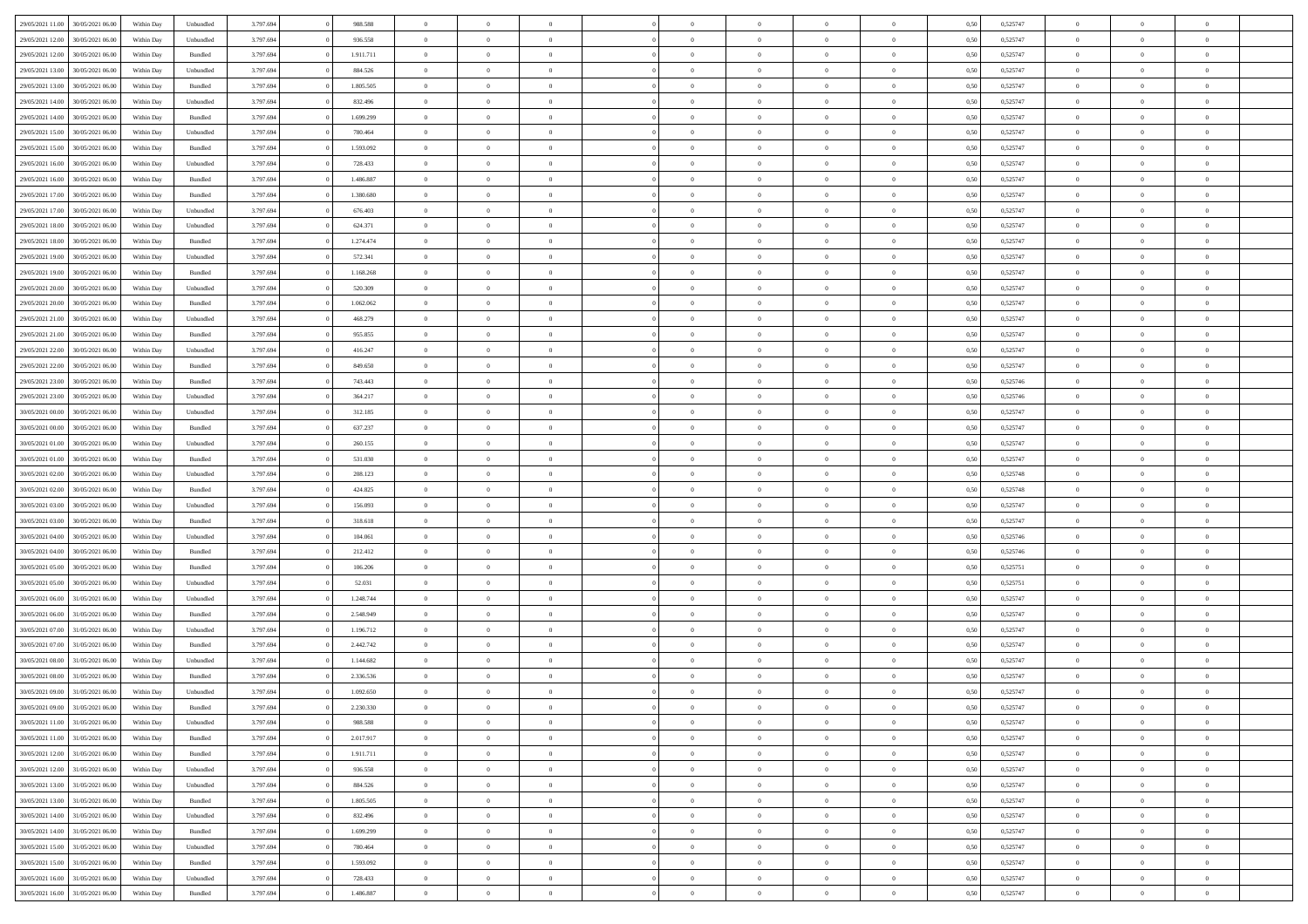| 29/05/2021 11:00 | 30/05/2021 06:00 | Within Day | Unbundled          | 3.797.694 | 988.588   | $\overline{0}$ | $\theta$       |                | $\Omega$       | $\Omega$       | $\theta$       | $\theta$       | 0,50 | 0,525747 | $\theta$       | $\overline{0}$ | $\theta$       |  |
|------------------|------------------|------------|--------------------|-----------|-----------|----------------|----------------|----------------|----------------|----------------|----------------|----------------|------|----------|----------------|----------------|----------------|--|
|                  |                  |            |                    |           |           |                |                |                |                |                |                |                |      |          |                |                |                |  |
| 29/05/2021 12:00 | 30/05/2021 06:00 | Within Day | Unbundled          | 3.797.694 | 936.558   | $\overline{0}$ | $\theta$       | $\overline{0}$ | $\overline{0}$ | $\bf{0}$       | $\overline{0}$ | $\bf{0}$       | 0,50 | 0,525747 | $\theta$       | $\overline{0}$ | $\overline{0}$ |  |
| 29/05/2021 12:00 | 30/05/2021 06:00 | Within Day | Bundled            | 3.797.694 | 1.911.711 | $\overline{0}$ | $\bf{0}$       | $\overline{0}$ | $\bf{0}$       | $\bf{0}$       | $\bf{0}$       | $\mathbf{0}$   | 0,50 | 0,525747 | $\overline{0}$ | $\overline{0}$ | $\overline{0}$ |  |
| 29/05/2021 13:00 | 30/05/2021 06:00 | Within Dav | Unbundled          | 3.797.694 | 884.526   | $\overline{0}$ | $\overline{0}$ | $\overline{0}$ | $\overline{0}$ | $\bf{0}$       | $\overline{0}$ | $\overline{0}$ | 0.50 | 0,525747 | $\theta$       | $\theta$       | $\overline{0}$ |  |
| 29/05/2021 13:00 | 30/05/2021 06:00 | Within Day | Bundled            | 3.797.694 | 1.805.505 | $\overline{0}$ | $\theta$       | $\overline{0}$ | $\overline{0}$ | $\bf{0}$       | $\overline{0}$ | $\bf{0}$       | 0,50 | 0,525747 | $\theta$       | $\overline{0}$ | $\overline{0}$ |  |
|                  |                  |            |                    |           |           |                |                |                |                |                |                |                |      |          |                |                |                |  |
| 29/05/2021 14:00 | 30/05/2021 06:00 | Within Day | Unbundled          | 3.797.694 | 832.496   | $\overline{0}$ | $\overline{0}$ | $\overline{0}$ | $\bf{0}$       | $\overline{0}$ | $\overline{0}$ | $\mathbf{0}$   | 0,50 | 0,525747 | $\overline{0}$ | $\overline{0}$ | $\bf{0}$       |  |
| 29/05/2021 14:00 | 30/05/2021 06:00 | Within Dav | Bundled            | 3.797.694 | 1.699.299 | $\overline{0}$ | $\overline{0}$ | $\overline{0}$ | $\overline{0}$ | $\overline{0}$ | $\overline{0}$ | $\overline{0}$ | 0.50 | 0,525747 | $\theta$       | $\overline{0}$ | $\overline{0}$ |  |
| 29/05/2021 15:00 | 30/05/2021 06:00 | Within Day | Unbundled          | 3.797.694 | 780.464   | $\overline{0}$ | $\theta$       | $\overline{0}$ | $\overline{0}$ | $\bf{0}$       | $\overline{0}$ | $\bf{0}$       | 0,50 | 0,525747 | $\theta$       | $\theta$       | $\overline{0}$ |  |
| 29/05/2021 15:00 | 30/05/2021 06:00 | Within Day | Bundled            | 3.797.694 | 1.593.092 | $\overline{0}$ | $\overline{0}$ | $\overline{0}$ | $\bf{0}$       | $\bf{0}$       | $\bf{0}$       | $\bf{0}$       | 0,50 | 0,525747 | $\,0\,$        | $\overline{0}$ | $\overline{0}$ |  |
| 29/05/2021 16:00 | 30/05/2021 06:00 | Within Dav | Unbundled          | 3.797.694 | 728.433   | $\overline{0}$ | $\overline{0}$ | $\overline{0}$ | $\overline{0}$ | $\overline{0}$ | $\overline{0}$ | $\overline{0}$ | 0.50 | 0,525747 | $\theta$       | $\overline{0}$ | $\overline{0}$ |  |
|                  |                  |            |                    |           |           |                |                |                |                |                |                |                |      |          |                |                |                |  |
| 29/05/2021 16:00 | 30/05/2021 06:00 | Within Day | Bundled            | 3.797.694 | 1.486.887 | $\overline{0}$ | $\theta$       | $\overline{0}$ | $\overline{0}$ | $\bf{0}$       | $\overline{0}$ | $\bf{0}$       | 0,50 | 0,525747 | $\,$ 0 $\,$    | $\overline{0}$ | $\overline{0}$ |  |
| 29/05/2021 17:00 | 30/05/2021 06:00 | Within Day | Bundled            | 3.797.694 | 1.380.680 | $\overline{0}$ | $\bf{0}$       | $\overline{0}$ | $\bf{0}$       | $\bf{0}$       | $\bf{0}$       | $\mathbf{0}$   | 0,50 | 0,525747 | $\overline{0}$ | $\overline{0}$ | $\bf{0}$       |  |
| 29/05/2021 17:00 | 30/05/2021 06:00 | Within Day | Unbundled          | 3.797.694 | 676.403   | $\overline{0}$ | $\overline{0}$ | $\overline{0}$ | $\overline{0}$ | $\overline{0}$ | $\overline{0}$ | $\overline{0}$ | 0.50 | 0,525747 | $\theta$       | $\theta$       | $\overline{0}$ |  |
| 29/05/2021 18:00 | 30/05/2021 06:00 | Within Day | Unbundled          | 3.797.694 | 624.371   | $\overline{0}$ | $\theta$       | $\overline{0}$ | $\overline{0}$ | $\bf{0}$       | $\overline{0}$ | $\bf{0}$       | 0,50 | 0,525747 | $\theta$       | $\overline{0}$ | $\overline{0}$ |  |
| 29/05/2021 18:00 | 30/05/2021 06:00 | Within Day | Bundled            | 3.797.694 | 1.274.474 | $\overline{0}$ | $\overline{0}$ | $\overline{0}$ | $\bf{0}$       | $\overline{0}$ | $\overline{0}$ | $\mathbf{0}$   | 0,50 | 0,525747 | $\overline{0}$ | $\overline{0}$ | $\bf{0}$       |  |
| 29/05/2021 19:00 | 30/05/2021 06:00 | Within Dav | Unbundled          | 3.797.694 | 572.341   | $\overline{0}$ | $\overline{0}$ | $\overline{0}$ | $\overline{0}$ | $\overline{0}$ | $\overline{0}$ | $\overline{0}$ | 0.50 | 0,525747 | $\theta$       | $\overline{0}$ | $\overline{0}$ |  |
|                  |                  |            |                    |           |           |                |                |                |                |                |                |                |      |          |                |                |                |  |
| 29/05/2021 19:00 | 30/05/2021 06:00 | Within Day | Bundled            | 3.797.694 | 1.168.268 | $\overline{0}$ | $\theta$       | $\overline{0}$ | $\overline{0}$ | $\bf{0}$       | $\overline{0}$ | $\bf{0}$       | 0,50 | 0,525747 | $\,$ 0 $\,$    | $\theta$       | $\overline{0}$ |  |
| 29/05/2021 20:00 | 30/05/2021 06:00 | Within Day | Unbundled          | 3.797.694 | 520.309   | $\overline{0}$ | $\overline{0}$ | $\overline{0}$ | $\bf{0}$       | $\bf{0}$       | $\bf{0}$       | $\mathbf{0}$   | 0,50 | 0,525747 | $\bf{0}$       | $\overline{0}$ | $\bf{0}$       |  |
| 29/05/2021 20:00 | 30/05/2021 06:00 | Within Dav | Bundled            | 3.797.694 | 1.062.062 | $\overline{0}$ | $\overline{0}$ | $\overline{0}$ | $\overline{0}$ | $\overline{0}$ | $\overline{0}$ | $\overline{0}$ | 0.50 | 0,525747 | $\theta$       | $\overline{0}$ | $\overline{0}$ |  |
| 29/05/2021 21:00 | 30/05/2021 06:00 | Within Day | Unbundled          | 3.797.694 | 468.279   | $\overline{0}$ | $\theta$       | $\overline{0}$ | $\overline{0}$ | $\bf{0}$       | $\overline{0}$ | $\bf{0}$       | 0,50 | 0,525747 | $\,$ 0 $\,$    | $\overline{0}$ | $\overline{0}$ |  |
| 29/05/2021 21.00 | 30/05/2021 06:00 | Within Day | Bundled            | 3.797.694 | 955.855   | $\overline{0}$ | $\overline{0}$ | $\overline{0}$ | $\bf{0}$       | $\bf{0}$       | $\bf{0}$       | $\mathbf{0}$   | 0,50 | 0,525747 | $\bf{0}$       | $\overline{0}$ | $\bf{0}$       |  |
| 29/05/2021 22.00 | 30/05/2021 06:00 | Within Day | Unbundled          | 3.797.694 | 416.247   | $\overline{0}$ | $\overline{0}$ | $\overline{0}$ | $\overline{0}$ | $\bf{0}$       | $\overline{0}$ | $\overline{0}$ | 0.50 | 0,525747 | $\theta$       | $\overline{0}$ | $\overline{0}$ |  |
|                  |                  |            |                    |           |           |                |                |                |                |                |                |                |      |          |                |                |                |  |
| 29/05/2021 22:00 | 30/05/2021 06:00 | Within Day | Bundled            | 3.797.694 | 849.650   | $\overline{0}$ | $\theta$       | $\overline{0}$ | $\overline{0}$ | $\bf{0}$       | $\overline{0}$ | $\bf{0}$       | 0,50 | 0,525747 | $\,$ 0 $\,$    | $\overline{0}$ | $\overline{0}$ |  |
| 29/05/2021 23:00 | 30/05/2021 06:00 | Within Day | Bundled            | 3.797.694 | 743.443   | $\overline{0}$ | $\overline{0}$ | $\overline{0}$ | $\bf{0}$       | $\overline{0}$ | $\overline{0}$ | $\mathbf{0}$   | 0,50 | 0,525746 | $\overline{0}$ | $\overline{0}$ | $\bf{0}$       |  |
| 29/05/2021 23:00 | 30/05/2021 06:00 | Within Dav | Unbundled          | 3.797.694 | 364.217   | $\overline{0}$ | $\overline{0}$ | $\overline{0}$ | $\overline{0}$ | $\overline{0}$ | $\overline{0}$ | $\overline{0}$ | 0.50 | 0,525746 | $\overline{0}$ | $\overline{0}$ | $\overline{0}$ |  |
| 30/05/2021 00:00 | 30/05/2021 06:00 | Within Day | Unbundled          | 3.797.694 | 312.185   | $\overline{0}$ | $\theta$       | $\overline{0}$ | $\overline{0}$ | $\bf{0}$       | $\overline{0}$ | $\bf{0}$       | 0,50 | 0,525747 | $\theta$       | $\theta$       | $\overline{0}$ |  |
| 30/05/2021 00:00 | 30/05/2021 06:00 | Within Day | Bundled            | 3.797.694 | 637.237   | $\overline{0}$ | $\overline{0}$ | $\overline{0}$ | $\bf{0}$       | $\bf{0}$       | $\bf{0}$       | $\bf{0}$       | 0,50 | 0,525747 | $\,0\,$        | $\overline{0}$ | $\overline{0}$ |  |
| 30/05/2021 01:00 | 30/05/2021 06:00 | Within Day | Unbundled          | 3.797.694 | 260.155   | $\overline{0}$ | $\overline{0}$ | $\overline{0}$ | $\overline{0}$ | $\overline{0}$ | $\overline{0}$ | $\overline{0}$ | 0.50 | 0,525747 | $\theta$       | $\overline{0}$ | $\overline{0}$ |  |
|                  |                  |            |                    |           |           |                |                |                |                |                |                |                |      |          |                |                |                |  |
| 30/05/2021 01:00 | 30/05/2021 06:00 | Within Day | Bundled            | 3.797.694 | 531.030   | $\overline{0}$ | $\theta$       | $\overline{0}$ | $\overline{0}$ | $\bf{0}$       | $\overline{0}$ | $\bf{0}$       | 0,50 | 0,525747 | $\,$ 0 $\,$    | $\overline{0}$ | $\overline{0}$ |  |
| 30/05/2021 02:00 | 30/05/2021 06:00 | Within Day | Unbundled          | 3.797.694 | 208.123   | $\overline{0}$ | $\overline{0}$ | $\overline{0}$ | $\bf{0}$       | $\bf{0}$       | $\bf{0}$       | $\bf{0}$       | 0,50 | 0,525748 | $\overline{0}$ | $\overline{0}$ | $\bf{0}$       |  |
| 30/05/2021 02.00 | 30/05/2021 06:00 | Within Day | Bundled            | 3.797.694 | 424.825   | $\overline{0}$ | $\Omega$       | $\overline{0}$ | $\Omega$       | $\Omega$       | $\overline{0}$ | $\overline{0}$ | 0,50 | 0,525748 | $\,0\,$        | $\theta$       | $\theta$       |  |
| 30/05/2021 03:00 | 30/05/2021 06:00 | Within Day | Unbundled          | 3.797.694 | 156.093   | $\overline{0}$ | $\theta$       | $\overline{0}$ | $\overline{0}$ | $\bf{0}$       | $\overline{0}$ | $\bf{0}$       | 0,50 | 0,525747 | $\,$ 0 $\,$    | $\overline{0}$ | $\overline{0}$ |  |
| 30/05/2021 03:00 | 30/05/2021 06:00 | Within Day | Bundled            | 3.797.694 | 318.618   | $\overline{0}$ | $\overline{0}$ | $\overline{0}$ | $\bf{0}$       | $\overline{0}$ | $\overline{0}$ | $\mathbf{0}$   | 0,50 | 0,525747 | $\overline{0}$ | $\overline{0}$ | $\bf{0}$       |  |
| 30/05/2021 04:00 | 30/05/2021 06:00 | Within Day | Unbundled          | 3.797.694 | 104,061   | $\overline{0}$ | $\Omega$       | $\Omega$       | $\Omega$       | $\bf{0}$       | $\overline{0}$ | $\overline{0}$ | 0.50 | 0,525746 | $\,$ 0 $\,$    | $\theta$       | $\theta$       |  |
|                  |                  |            |                    |           |           |                |                |                |                |                |                |                |      |          |                |                |                |  |
| 30/05/2021 04:00 | 30/05/2021 06:00 | Within Day | Bundled            | 3.797.694 | 212.412   | $\overline{0}$ | $\theta$       | $\overline{0}$ | $\overline{0}$ | $\bf{0}$       | $\overline{0}$ | $\bf{0}$       | 0,50 | 0,525746 | $\,$ 0 $\,$    | $\overline{0}$ | $\overline{0}$ |  |
| 30/05/2021 05:00 | 30/05/2021 06:00 | Within Day | Bundled            | 3.797.694 | 106.206   | $\overline{0}$ | $\overline{0}$ | $\overline{0}$ | $\bf{0}$       | $\bf{0}$       | $\bf{0}$       | $\bf{0}$       | 0,50 | 0,525751 | $\bf{0}$       | $\overline{0}$ | $\bf{0}$       |  |
| 30/05/2021 05:00 | 30/05/2021 06:00 | Within Day | Unbundled          | 3.797.694 | 52.031    | $\overline{0}$ | $\Omega$       | $\overline{0}$ | $\Omega$       | $\theta$       | $\overline{0}$ | $\overline{0}$ | 0.50 | 0,525751 | $\,$ 0 $\,$    | $\theta$       | $\theta$       |  |
| 30/05/2021 06:00 | 31/05/2021 06:00 | Within Day | Unbundled          | 3.797.694 | 1.248.744 | $\overline{0}$ | $\theta$       | $\overline{0}$ | $\overline{0}$ | $\bf{0}$       | $\overline{0}$ | $\bf{0}$       | 0,50 | 0,525747 | $\,$ 0 $\,$    | $\overline{0}$ | $\overline{0}$ |  |
| 30/05/2021 06:00 | 31/05/2021 06:00 | Within Day | Bundled            | 3.797.694 | 2.548.949 | $\overline{0}$ | $\bf{0}$       | $\overline{0}$ | $\bf{0}$       | $\bf{0}$       | $\bf{0}$       | $\mathbf{0}$   | 0,50 | 0,525747 | $\overline{0}$ | $\overline{0}$ | $\bf{0}$       |  |
| 30/05/2021 07:00 | 31/05/2021 06.00 | Within Day | Unbundled          | 3.797.694 | 1.196.712 | $\overline{0}$ | $\Omega$       | $\overline{0}$ | $\Omega$       | $\overline{0}$ | $\overline{0}$ | $\overline{0}$ | 0,50 | 0,525747 | $\,0\,$        | $\theta$       | $\theta$       |  |
| 30/05/2021 07:00 | 31/05/2021 06:00 | Within Day | Bundled            | 3.797.694 | 2.442.742 | $\overline{0}$ | $\overline{0}$ | $\overline{0}$ | $\overline{0}$ | $\bf{0}$       | $\overline{0}$ | $\bf{0}$       | 0,50 | 0,525747 | $\,$ 0 $\,$    | $\overline{0}$ | $\overline{0}$ |  |
|                  |                  |            |                    |           |           |                |                |                |                |                |                |                |      |          |                |                |                |  |
| 30/05/2021 08:00 | 31/05/2021 06:00 | Within Day | Unbundled          | 3.797.694 | 1.144.682 | $\overline{0}$ | $\overline{0}$ | $\overline{0}$ | $\bf{0}$       | $\bf{0}$       | $\overline{0}$ | $\mathbf{0}$   | 0,50 | 0,525747 | $\bf{0}$       | $\overline{0}$ | $\bf{0}$       |  |
| 30/05/2021 08:00 | 31/05/2021 06:00 | Within Day | Bundled            | 3.797.694 | 2.336.536 | $\overline{0}$ | $\Omega$       | $\Omega$       | $\Omega$       | $\Omega$       | $\Omega$       | $\overline{0}$ | 0.50 | 0,525747 | $\theta$       | $\theta$       | $\theta$       |  |
| 30/05/2021 09:00 | 31/05/2021 06:00 | Within Day | Unbundled          | 3.797.694 | 1.092.650 | $\overline{0}$ | $\overline{0}$ | $\overline{0}$ | $\bf{0}$       | $\,$ 0         | $\overline{0}$ | $\bf{0}$       | 0,50 | 0,525747 | $\,0\,$        | $\,$ 0 $\,$    | $\overline{0}$ |  |
| 30/05/2021 09:00 | 31/05/2021 06:00 | Within Day | $\mathbf B$ undled | 3.797.694 | 2.230.330 | $\bf{0}$       | $\bf{0}$       |                |                |                |                |                | 0,50 | 0,525747 | $\bf{0}$       | $\overline{0}$ |                |  |
| 30/05/2021 11:00 | 31/05/2021 06:00 | Within Day | Unbundled          | 3.797.694 | 988,588   | $\overline{0}$ | $\overline{0}$ | $\overline{0}$ | $\Omega$       | $\overline{0}$ | $\overline{0}$ | $\overline{0}$ | 0,50 | 0,525747 | $\theta$       | $\theta$       | $\Omega$       |  |
| 30/05/2021 11:00 | 31/05/2021 06:00 | Within Day | Bundled            | 3.797.694 | 2.017.917 | $\overline{0}$ | $\,$ 0         | $\overline{0}$ | $\overline{0}$ | $\,$ 0 $\,$    | $\overline{0}$ | $\,$ 0 $\,$    | 0,50 | 0,525747 | $\,$ 0 $\,$    | $\,$ 0 $\,$    | $\,$ 0         |  |
|                  |                  |            |                    |           |           |                |                |                |                |                |                |                |      |          |                |                |                |  |
| 30/05/2021 12:00 | 31/05/2021 06:00 | Within Day | Bundled            | 3.797.694 | 1.911.711 | $\overline{0}$ | $\overline{0}$ | $\overline{0}$ | $\overline{0}$ | $\overline{0}$ | $\overline{0}$ | $\mathbf{0}$   | 0,50 | 0,525747 | $\overline{0}$ | $\bf{0}$       | $\overline{0}$ |  |
| 30/05/2021 12:00 | 31/05/2021 06:00 | Within Day | Unbundled          | 3.797.694 | 936.558   | $\overline{0}$ | $\overline{0}$ | $\overline{0}$ | $\Omega$       | $\overline{0}$ | $\overline{0}$ | $\overline{0}$ | 0,50 | 0,525747 | $\overline{0}$ | $\theta$       | $\overline{0}$ |  |
| 30/05/2021 13:00 | 31/05/2021 06:00 | Within Day | Unbundled          | 3.797.694 | 884.526   | $\overline{0}$ | $\,$ 0         | $\overline{0}$ | $\overline{0}$ | $\,$ 0 $\,$    | $\overline{0}$ | $\mathbf{0}$   | 0,50 | 0,525747 | $\,$ 0 $\,$    | $\overline{0}$ | $\overline{0}$ |  |
| 30/05/2021 13:00 | 31/05/2021 06:00 | Within Day | Bundled            | 3.797.694 | 1.805.505 | $\overline{0}$ | $\overline{0}$ | $\overline{0}$ | $\overline{0}$ | $\overline{0}$ | $\overline{0}$ | $\mathbf{0}$   | 0,50 | 0,525747 | $\overline{0}$ | $\overline{0}$ | $\overline{0}$ |  |
| 30/05/2021 14:00 | 31/05/2021 06:00 | Within Day | Unbundled          | 3.797.694 | 832.496   | $\overline{0}$ | $\overline{0}$ | $\overline{0}$ | $\Omega$       | $\overline{0}$ | $\overline{0}$ | $\bf{0}$       | 0.50 | 0,525747 | $\overline{0}$ | $\theta$       | $\overline{0}$ |  |
| 30/05/2021 14:00 | 31/05/2021 06:00 | Within Day | Bundled            | 3.797.694 | 1.699.299 | $\overline{0}$ | $\,$ 0         | $\overline{0}$ | $\overline{0}$ | $\bf{0}$       | $\overline{0}$ | $\bf{0}$       | 0,50 | 0,525747 | $\,$ 0 $\,$    | $\overline{0}$ | $\overline{0}$ |  |
| 30/05/2021 15:00 | 31/05/2021 06:00 | Within Day | Unbundled          | 3.797.694 | 780.464   | $\overline{0}$ | $\bf{0}$       | $\overline{0}$ | $\overline{0}$ | $\overline{0}$ | $\overline{0}$ | $\mathbf{0}$   | 0,50 | 0,525747 | $\overline{0}$ | $\overline{0}$ | $\bf{0}$       |  |
|                  |                  |            |                    |           |           |                |                |                |                |                |                |                |      |          |                |                |                |  |
| 30/05/2021 15:00 | 31/05/2021 06:00 | Within Day | Bundled            | 3.797.694 | 1.593.092 | $\overline{0}$ | $\overline{0}$ | $\overline{0}$ | $\Omega$       | $\overline{0}$ | $\overline{0}$ | $\overline{0}$ | 0.50 | 0,525747 | $\overline{0}$ | $\overline{0}$ | $\overline{0}$ |  |
| 30/05/2021 16:00 | 31/05/2021 06:00 | Within Day | Unbundled          | 3.797.694 | 728.433   | $\overline{0}$ | $\bf{0}$       | $\overline{0}$ | $\bf{0}$       | $\bf{0}$       | $\overline{0}$ | $\mathbf{0}$   | 0,50 | 0,525747 | $\,$ 0 $\,$    | $\,$ 0 $\,$    | $\bf{0}$       |  |
| 30/05/2021 16:00 | 31/05/2021 06:00 | Within Day | Bundled            | 3.797.694 | 1.486.887 | $\overline{0}$ | $\overline{0}$ | $\overline{0}$ | $\overline{0}$ | $\overline{0}$ | $\overline{0}$ | $\mathbf{0}$   | 0,50 | 0,525747 | $\overline{0}$ | $\bf{0}$       | $\bf{0}$       |  |